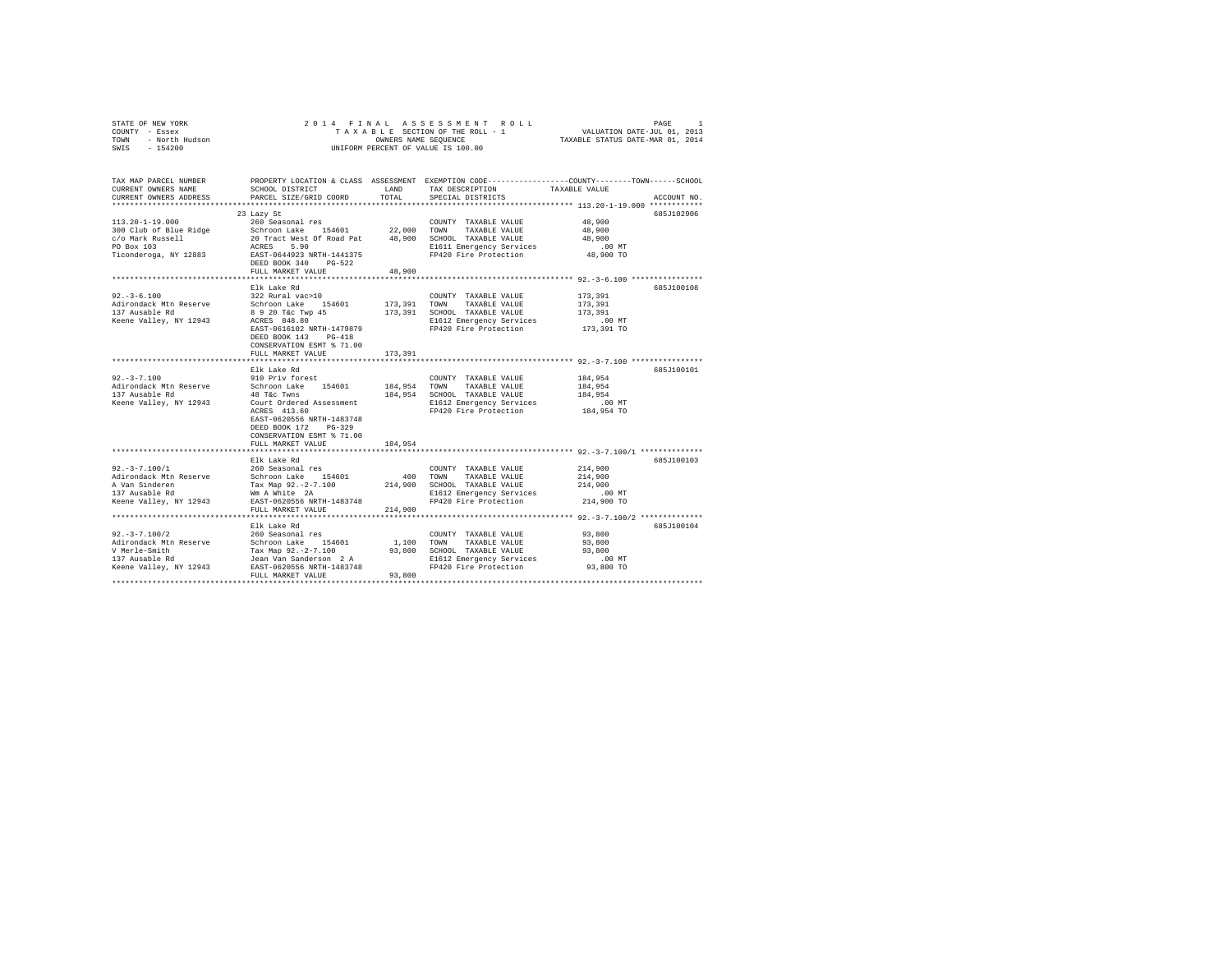| COUNTY - Essex<br>TOWN<br>- North Hudson<br>SWIS<br>$-154200$                                     |                                                                                | OWNERS NAME SEOUENCE | TAXABLE SECTION OF THE ROLL - 1<br>UNIFORM PERCENT OF VALUE IS 100.00                                                                  | VALUATION DATE-JUL 01, 2013<br>TAXABLE STATUS DATE-MAR 01, 2014       |             |
|---------------------------------------------------------------------------------------------------|--------------------------------------------------------------------------------|----------------------|----------------------------------------------------------------------------------------------------------------------------------------|-----------------------------------------------------------------------|-------------|
| TAX MAP PARCEL NUMBER<br>CURRENT OWNERS NAME<br>CURRENT OWNERS ADDRESS<br>*********************** | SCHOOL DISTRICT<br>PARCEL SIZE/GRID COORD                                      | LAND<br>TOTAL        | PROPERTY LOCATION & CLASS ASSESSMENT EXEMPTION CODE---------------COUNTY-------TOWN-----SCHOOL<br>TAX DESCRIPTION<br>SPECIAL DISTRICTS | TAXABLE VALUE<br>************************ 113.20-1-19.000 *********** | ACCOUNT NO. |
|                                                                                                   | 23 Lazy St                                                                     |                      |                                                                                                                                        |                                                                       | 685J102906  |
| $113.20 - 1 - 19.000$                                                                             | 260 Seasonal res                                                               | 22,000               | COUNTY TAXABLE VALUE                                                                                                                   | 48,900<br>48,900                                                      |             |
| 300 Club of Blue Ridge<br>c/o Mark Russell                                                        | Schroon Lake 154601<br>20 Tract West Of Road Pat                               | 48,900               | TOWN<br>TAXABLE VALUE<br>SCHOOL TAXABLE VALUE                                                                                          | 48,900                                                                |             |
| PO Box 103                                                                                        | ACRES<br>5.90                                                                  |                      | E1611 Emergency Services                                                                                                               | $.00$ MT                                                              |             |
| Ticonderoga, NY 12883                                                                             | EAST-0644923 NRTH-1441375<br>DEED BOOK 340 PG-522                              |                      | FP420 Fire Protection                                                                                                                  | 48,900 TO                                                             |             |
|                                                                                                   | FULL MARKET VALUE                                                              | 48,900               |                                                                                                                                        |                                                                       |             |
|                                                                                                   | Elk Lake Rd                                                                    |                      |                                                                                                                                        |                                                                       |             |
| $92. - 3 - 6.100$                                                                                 | 322 Rural vac>10                                                               |                      | COUNTY TAXABLE VALUE                                                                                                                   | 173,391                                                               | 685J100108  |
| Adirondack Mtn Reserve                                                                            | Schroon Lake 154601                                                            | 173,391              | TOWN<br>TAXABLE VALUE                                                                                                                  | 173,391                                                               |             |
| 137 Ausable Rd                                                                                    | 8 9 20 T&c Twp 45                                                              | 173,391              | SCHOOL TAXABLE VALUE                                                                                                                   | 173,391                                                               |             |
| Keene Valley, NY 12943                                                                            | ACRES 848.80                                                                   |                      | E1612 Emergency Services                                                                                                               | $.00$ MT                                                              |             |
|                                                                                                   | EAST-0616102 NRTH-1479879<br>DEED BOOK 143 PG-418<br>CONSERVATION ESMT % 71.00 |                      | FP420 Fire Protection                                                                                                                  | 173,391 TO                                                            |             |
|                                                                                                   | FULL MARKET VALUE                                                              | 173,391              |                                                                                                                                        |                                                                       |             |
|                                                                                                   |                                                                                |                      |                                                                                                                                        |                                                                       |             |
|                                                                                                   | Elk Lake Rd                                                                    |                      |                                                                                                                                        |                                                                       | 685J100101  |
| $92. - 3 - 7.100$                                                                                 | 910 Priv forest                                                                |                      | COUNTY TAXABLE VALUE                                                                                                                   | 184,954                                                               |             |
| Adirondack Mtn Reserve                                                                            | Schroon Lake 154601                                                            | 184,954 TOWN         | TAXABLE VALUE                                                                                                                          | 184,954                                                               |             |
| 137 Ausable Rd                                                                                    | 48 T&c Twns<br>Court Ordered Assessment                                        |                      | 184,954 SCHOOL TAXABLE VALUE                                                                                                           | 184,954                                                               |             |
| Keene Valley, NY 12943                                                                            | ACRES 413.60                                                                   |                      | E1612 Emergency Services<br>FP420 Fire Protection                                                                                      | $.00$ MT<br>184,954 TO                                                |             |
|                                                                                                   | EAST-0620556 NRTH-1483748<br>DEED BOOK 172 PG-329<br>CONSERVATION ESMT % 71.00 |                      |                                                                                                                                        |                                                                       |             |
|                                                                                                   | FULL MARKET VALUE                                                              | 184,954              |                                                                                                                                        |                                                                       |             |
|                                                                                                   | ************************<br>Elk Lake Rd                                        |                      |                                                                                                                                        |                                                                       | 685J100103  |
| $92. -3 - 7.100/1$                                                                                | 260 Seasonal res                                                               |                      | COUNTY TAXABLE VALUE                                                                                                                   | 214,900                                                               |             |
| Adirondack Mtn Reserve                                                                            | Schroon Lake 154601                                                            | 400                  | TOWN TAXABLE VALUE                                                                                                                     | 214,900                                                               |             |
| A Van Sinderen                                                                                    | Tax Map 92.-2-7.100                                                            | 214,900              | SCHOOL TAXABLE VALUE                                                                                                                   | 214,900                                                               |             |
| 137 Ausable Rd                                                                                    | Wm A White 2A                                                                  |                      | E1612 Emergency Services                                                                                                               | $.00$ MT                                                              |             |
| Keene Valley, NY 12943                                                                            | EAST-0620556 NRTH-1483748<br>FULL MARKET VALUE                                 | 214,900              | FP420 Fire Protection                                                                                                                  | 214,900 TO                                                            |             |
|                                                                                                   |                                                                                |                      |                                                                                                                                        |                                                                       |             |
|                                                                                                   | Elk Lake Rd                                                                    |                      |                                                                                                                                        |                                                                       | 685J100104  |
| $92. -3 - 7.100/2$<br>Adirondack Mtn Reserve                                                      | 260 Seasonal res<br>Schroon Lake 154601                                        | 1,100                | COUNTY TAXABLE VALUE<br>TOWN<br>TAXABLE VALUE                                                                                          | 93,800<br>93,800                                                      |             |
| V Merle-Smith                                                                                     | Tax Map 92.-2-7.100                                                            | 93,800               | SCHOOL TAXABLE VALUE                                                                                                                   | 93,800                                                                |             |
| 137 Ausable Rd                                                                                    | Jean Van Sanderson 2 A                                                         |                      | E1612 Emergency Services                                                                                                               | $.00$ MT                                                              |             |
| Keene Valley, NY 12943                                                                            | EAST-0620556 NRTH-1483748                                                      |                      | FP420 Fire Protection                                                                                                                  | 93,800 TO                                                             |             |
|                                                                                                   | FULL MARKET VALUE                                                              | 93,800               |                                                                                                                                        |                                                                       |             |
|                                                                                                   |                                                                                |                      |                                                                                                                                        |                                                                       |             |

STATE OF NEW YORK 2014 FINAL ASSESSMENT ROLL PAGE 1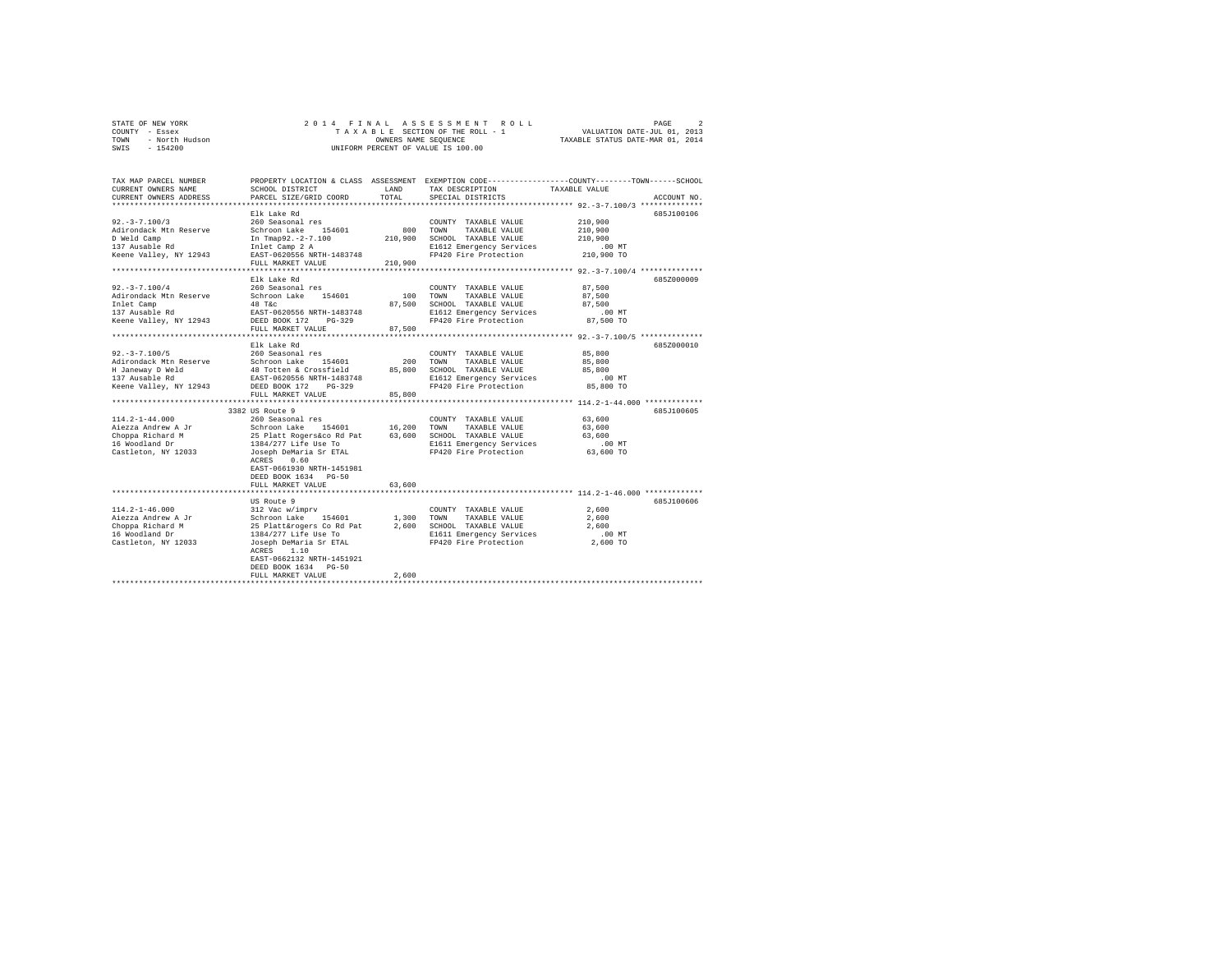| STATE OF NEW YORK      | 2014 FINAL ASSESSMENT ROLL         | $\overline{2}$<br>PAGE           |
|------------------------|------------------------------------|----------------------------------|
| - Essex<br>COUNTY      | TAXABLE SECTION OF THE ROLL - 1    | VALUATION DATE-JUL 01, 2013      |
| - North Hudson<br>TOWN | OWNERS NAME SEOUENCE               | TAXABLE STATUS DATE-MAR 01, 2014 |
| $-154200$<br>SWIS      | UNIFORM PERCENT OF VALUE IS 100.00 |                                  |

| TAX MAP PARCEL NUMBER<br>CURRENT OWNERS NAME       | SCHOOL DISTRICT                                   | LAND        | PROPERTY LOCATION & CLASS ASSESSMENT EXEMPTION CODE----------------COUNTY-------TOWN------SCHOOL<br>TAX DESCRIPTION | TAXABLE VALUE                            |             |
|----------------------------------------------------|---------------------------------------------------|-------------|---------------------------------------------------------------------------------------------------------------------|------------------------------------------|-------------|
| CURRENT OWNERS ADDRESS<br>************************ | PARCEL SIZE/GRID COORD                            | TOTAL       | SPECIAL DISTRICTS                                                                                                   |                                          | ACCOUNT NO. |
|                                                    |                                                   |             |                                                                                                                     |                                          | 685J100106  |
| $92. - 3 - 7.100/3$                                | Elk Lake Rd<br>260 Seasonal res                   |             | COUNTY TAXABLE VALUE                                                                                                | 210,900                                  |             |
| Adirondack Mtn Reserve                             | Schroon Lake 154601                               |             | 800 TOWN<br>TAXABLE VALUE                                                                                           | 210,900                                  |             |
| D Weld Camp                                        | In Tmap92.-2-7.100                                | 210,900     | SCHOOL TAXABLE VALUE                                                                                                | 210,900                                  |             |
| 137 Ausable Rd                                     | Inlet Camp 2 A                                    |             | E1612 Emergency Services                                                                                            | $.00$ MT                                 |             |
| Keene Valley, NY 12943                             | EAST-0620556 NRTH-1483748                         |             | FP420 Fire Protection                                                                                               | 210,900 TO                               |             |
|                                                    | FULL MARKET VALUE                                 | 210,900     |                                                                                                                     |                                          |             |
|                                                    | ***********************                           |             |                                                                                                                     |                                          |             |
|                                                    | Elk Lake Rd                                       |             |                                                                                                                     |                                          | 685Z000009  |
| $92. - 3 - 7.100/4$                                | 260 Seasonal res                                  |             | COUNTY TAXABLE VALUE                                                                                                | 87,500                                   |             |
| Adirondack Mtn Reserve                             | Schroon Lake 154601                               | 100         | TOWN<br>TAXABLE VALUE                                                                                               | 87,500                                   |             |
| Inlet Camp                                         | 48 T&C                                            | 87,500      | SCHOOL TAXABLE VALUE                                                                                                | 87,500                                   |             |
| 137 Ausable Rd                                     | EAST-0620556 NRTH-1483748                         |             | E1612 Emergency Services                                                                                            | $.00$ MT                                 |             |
| Keene Valley, NY 12943                             | DEED BOOK 172<br>$PG-329$                         |             | FP420 Fire Protection                                                                                               | 87,500 TO                                |             |
|                                                    | FULL MARKET VALUE                                 | 87.500      |                                                                                                                     |                                          |             |
|                                                    | ****************************                      |             |                                                                                                                     |                                          |             |
|                                                    | Elk Lake Rd                                       |             |                                                                                                                     |                                          | 685Z000010  |
| $92. - 3 - 7.100/5$                                | 260 Seasonal res                                  |             | COUNTY TAXABLE VALUE                                                                                                | 85,800                                   |             |
| Adirondack Mtn Reserve                             | Schroon Lake 154601                               | 200         | TOWN<br>TAXABLE VALUE                                                                                               | 85,800                                   |             |
| H Janeway D Weld                                   | 48 Totten & Crossfield                            | 85,800      | SCHOOL TAXABLE VALUE                                                                                                | 85,800                                   |             |
| 137 Ausable Rd                                     | EAST-0620556 NRTH-1483748                         |             | E1612 Emergency Services                                                                                            | $.00$ MT                                 |             |
| Keene Valley, NY 12943                             | DEED BOOK 172<br>$PG-329$                         |             | FP420 Fire Protection                                                                                               | 85,800 TO                                |             |
|                                                    | FULL MARKET VALUE                                 | 85,800      |                                                                                                                     |                                          |             |
|                                                    | **********************                            |             |                                                                                                                     | ************* 114.2-1-44.000 *********** |             |
|                                                    | 3382 US Route 9                                   |             |                                                                                                                     |                                          | 685J100605  |
| $114.2 - 1 - 44.000$                               | 260 Seasonal res                                  |             | COUNTY TAXABLE VALUE                                                                                                | 63,600                                   |             |
| Aiezza Andrew A Jr                                 | Schroon Lake 154601                               | 16,200 TOWN | TAXABLE VALUE                                                                                                       | 63,600                                   |             |
| Choppa Richard M                                   | 25 Platt Rogers&co Rd Pat<br>1384/277 Life Use To |             | 63,600 SCHOOL TAXABLE VALUE                                                                                         | 63,600                                   |             |
| 16 Woodland Dr                                     |                                                   |             | E1611 Emergency Services                                                                                            | $.00$ MT                                 |             |
| Castleton, NY 12033                                | Joseph DeMaria Sr ETAL                            |             | FP420 Fire Protection                                                                                               | 63,600 TO                                |             |
|                                                    | ACRES<br>0.60                                     |             |                                                                                                                     |                                          |             |
|                                                    | EAST-0661930 NRTH-1451981                         |             |                                                                                                                     |                                          |             |
|                                                    | DEED BOOK 1634 PG-50                              |             |                                                                                                                     |                                          |             |
|                                                    | FULL MARKET VALUE<br>***********************      | 63,600      |                                                                                                                     |                                          |             |
|                                                    |                                                   |             | ************************************* 114.2-1-46.000 **************                                                 |                                          |             |
|                                                    | US Route 9                                        |             |                                                                                                                     |                                          | 685J100606  |
| $114.2 - 1 - 46.000$                               | 312 Vac w/imprv                                   |             | COUNTY TAXABLE VALUE                                                                                                | 2,600                                    |             |
| Aiezza Andrew A Jr                                 | Schroon Lake<br>154601                            | 1,300       | TAXABLE VALUE<br>TOWN                                                                                               | 2,600                                    |             |
| Choppa Richard M                                   | 25 Platt&rogers Co Rd Pat                         | 2,600       | SCHOOL TAXABLE VALUE                                                                                                | 2,600                                    |             |
| 16 Woodland Dr                                     | 1384/277 Life Use To                              |             | E1611 Emergency Services<br>FP420 Fire Protection                                                                   | $.00$ MT                                 |             |
| Castleton, NY 12033                                | Joseph DeMaria Sr ETAL<br>ACRES<br>1.10           |             |                                                                                                                     | 2,600 TO                                 |             |
|                                                    | EAST-0662132 NRTH-1451921                         |             |                                                                                                                     |                                          |             |
|                                                    | DEED BOOK 1634 PG-50                              |             |                                                                                                                     |                                          |             |
|                                                    | FULL MARKET VALUE                                 | 2,600       |                                                                                                                     |                                          |             |
|                                                    |                                                   |             |                                                                                                                     |                                          |             |
|                                                    |                                                   |             |                                                                                                                     |                                          |             |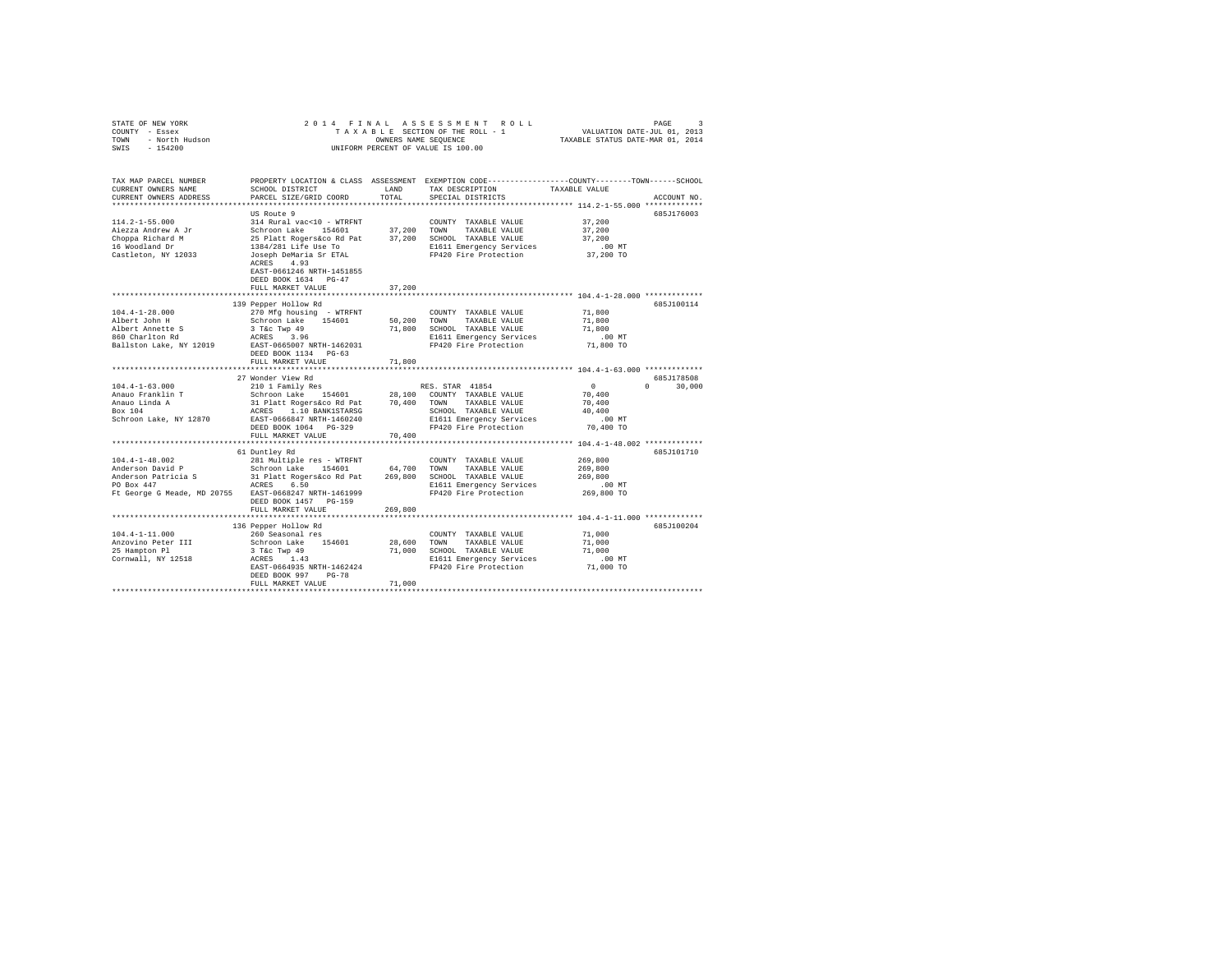| STATE OF NEW YORK<br>COUNTY - Essex<br>TOWN - North Hudson<br>SWIS - 154200                             |                                                                                                                                               |               | 2014 FINAL ASSESSMENT ROLL<br>TAXABLE SECTION OF THE ROLL - 1<br>OWNERS NAME SEQUENCE<br>UNIFORM PERCENT OF VALUE IS 100.00             | VALUATION DATE-JUL 01, 2013<br>TAXABLE STATUS DATE-MAR 01, 2014 | PAGE<br>-2    |
|---------------------------------------------------------------------------------------------------------|-----------------------------------------------------------------------------------------------------------------------------------------------|---------------|-----------------------------------------------------------------------------------------------------------------------------------------|-----------------------------------------------------------------|---------------|
| TAX MAP PARCEL NUMBER<br>CURRENT OWNERS NAME<br>CURRENT OWNERS ADDRESS                                  | SCHOOL DISTRICT<br>PARCEL SIZE/GRID COORD                                                                                                     | LAND<br>TOTAL | PROPERTY LOCATION & CLASS ASSESSMENT EXEMPTION CODE---------------COUNTY-------TOWN------SCHOOL<br>TAX DESCRIPTION<br>SPECIAL DISTRICTS | TAXABLE VALUE                                                   | ACCOUNT NO.   |
| ************************                                                                                |                                                                                                                                               |               |                                                                                                                                         |                                                                 |               |
| $114.2 - 1 - 55.000$<br>Aiezza Andrew A Jr<br>Choppa Richard M<br>16 Woodland Dr<br>Castleton, NY 12033 | US Route 9<br>314 Rural vac<10 - WTRFNT<br>Schroon Lake 154601<br>25 Platt Rogers&co Rd Pat<br>1384/281 Life Use To<br>Joseph DeMaria Sr ETAL | 37.200 TOWN   | COUNTY TAXABLE VALUE<br>TAXABLE VALUE<br>37,200 SCHOOL TAXABLE VALUE<br>E1611 Emergency Services<br>FP420 Fire Protection               | 37,200<br>37,200<br>37,200<br>$.00$ MT<br>37,200 TO             | 685J176003    |
|                                                                                                         | ACRES 4.93<br>EAST-0661246 NRTH-1451855<br>DEED BOOK 1634 PG-47<br>FULL MARKET VALUE                                                          | 37,200        |                                                                                                                                         |                                                                 |               |
|                                                                                                         | 139 Pepper Hollow Rd                                                                                                                          |               |                                                                                                                                         |                                                                 | 685J100114    |
| $104.4 - 1 - 28.000$                                                                                    | 270 Mfg housing - WTRFNT                                                                                                                      |               | COUNTY TAXABLE VALUE                                                                                                                    | 71,800                                                          |               |
| Albert John H<br>Albert Annette S                                                                       | Schroon Lake 154601<br>3 T&c Twp 49                                                                                                           | 50.200 TOWN   | TAXABLE VALUE<br>71,800 SCHOOL TAXABLE VALUE                                                                                            | 71,800<br>71,800                                                |               |
| 860 Charlton Rd                                                                                         | ACRES 3.96                                                                                                                                    |               | E1611 Emergency Services                                                                                                                | $.00$ MT                                                        |               |
| Ballston Lake, NY 12019                                                                                 | EAST-0665007 NRTH-1462031<br>DEED BOOK 1134 PG-63                                                                                             |               | FP420 Fire Protection                                                                                                                   | 71,800 TO                                                       |               |
|                                                                                                         | FULL MARKET VALUE                                                                                                                             | 71,800        |                                                                                                                                         |                                                                 |               |
|                                                                                                         | 27 Wonder View Rd                                                                                                                             |               |                                                                                                                                         |                                                                 | 685J178508    |
| $104.4 - 1 - 63.000$                                                                                    | 210 1 Family Res                                                                                                                              |               | RES. STAR 41854                                                                                                                         | $\mathbf{0}$                                                    | $0 \t 30.000$ |
| Anauo Franklin T                                                                                        | Schroon Lake 154601                                                                                                                           |               | 28,100 COUNTY TAXABLE VALUE                                                                                                             | 70,400                                                          |               |
| Anauo Linda A                                                                                           | 31 Platt Rogers&co Rd Pat                                                                                                                     |               | 70.400 TOWN<br>TAXABLE VALUE                                                                                                            | 70,400                                                          |               |
| Box 104                                                                                                 | ACRES 1.10 BANK1STARSG                                                                                                                        |               | SCHOOL TAXABLE VALUE                                                                                                                    | 40,400                                                          |               |
| Schroon Lake, NY 12870                                                                                  | EAST-0666847 NRTH-1460240                                                                                                                     |               | E1611 Emergency Services                                                                                                                | $.00$ MT                                                        |               |
|                                                                                                         | DEED BOOK 1064 PG-329                                                                                                                         |               | FP420 Fire Protection                                                                                                                   | 70,400 TO                                                       |               |
|                                                                                                         | FULL MARKET VALUE                                                                                                                             | 70,400        |                                                                                                                                         |                                                                 |               |
|                                                                                                         |                                                                                                                                               |               |                                                                                                                                         |                                                                 |               |
|                                                                                                         | 61 Duntley Rd                                                                                                                                 |               |                                                                                                                                         |                                                                 | 685J101710    |
| $104.4 - 1 - 48.002$                                                                                    | 281 Multiple res - WTRFNT                                                                                                                     |               | COUNTY TAXABLE VALUE                                                                                                                    | 269,800                                                         |               |
| Anderson David P<br>Anderson Patricia S                                                                 | Schroon Lake 154601 64,700 TOWN<br>31 Platt Rogers&co Rd Pat 269,800 SCHOO                                                                    |               | TAXABLE VALUE                                                                                                                           | 269,800<br>269,800                                              |               |
| PO Box 447                                                                                              | ACRES 6.50                                                                                                                                    |               | 269,800 SCHOOL TAXABLE VALUE<br>E1611 Emergency Services                                                                                | $.00$ MT                                                        |               |
| Ft George G Meade, MD 20755 EAST-0668247 NRTH-1461999                                                   |                                                                                                                                               |               | FP420 Fire Protection                                                                                                                   | 269,800 TO                                                      |               |
|                                                                                                         | DEED BOOK 1457 PG-159                                                                                                                         |               |                                                                                                                                         |                                                                 |               |
|                                                                                                         | FULL MARKET VALUE                                                                                                                             | 269,800       |                                                                                                                                         |                                                                 |               |
|                                                                                                         |                                                                                                                                               |               |                                                                                                                                         |                                                                 |               |
|                                                                                                         | 136 Pepper Hollow Rd                                                                                                                          |               |                                                                                                                                         |                                                                 | 685J100204    |
| $104.4 - 1 - 11.000$                                                                                    | 260 Seasonal res                                                                                                                              |               | COUNTY TAXABLE VALUE                                                                                                                    | 71,000                                                          |               |
| Anzovino Peter III                                                                                      | Schroon Lake 154601                                                                                                                           |               | 28,600 TOWN<br>TAXABLE VALUE                                                                                                            | 71,000                                                          |               |
| 25 Hampton Pl                                                                                           | 3 T&C Twp 49                                                                                                                                  |               | 71,000 SCHOOL TAXABLE VALUE                                                                                                             | 71,000                                                          |               |
| Cornwall, NY 12518                                                                                      | ACRES 1.43                                                                                                                                    |               | E1611 Emergency Services                                                                                                                | $.00$ MT                                                        |               |
|                                                                                                         | EAST-0664935 NRTH-1462424<br>DEED BOOK 997 PG-78                                                                                              |               | FP420 Fire Protection                                                                                                                   | 71,000 TO                                                       |               |
|                                                                                                         | FULL MARKET VALUE                                                                                                                             | 71,000        |                                                                                                                                         |                                                                 |               |
|                                                                                                         |                                                                                                                                               |               |                                                                                                                                         |                                                                 |               |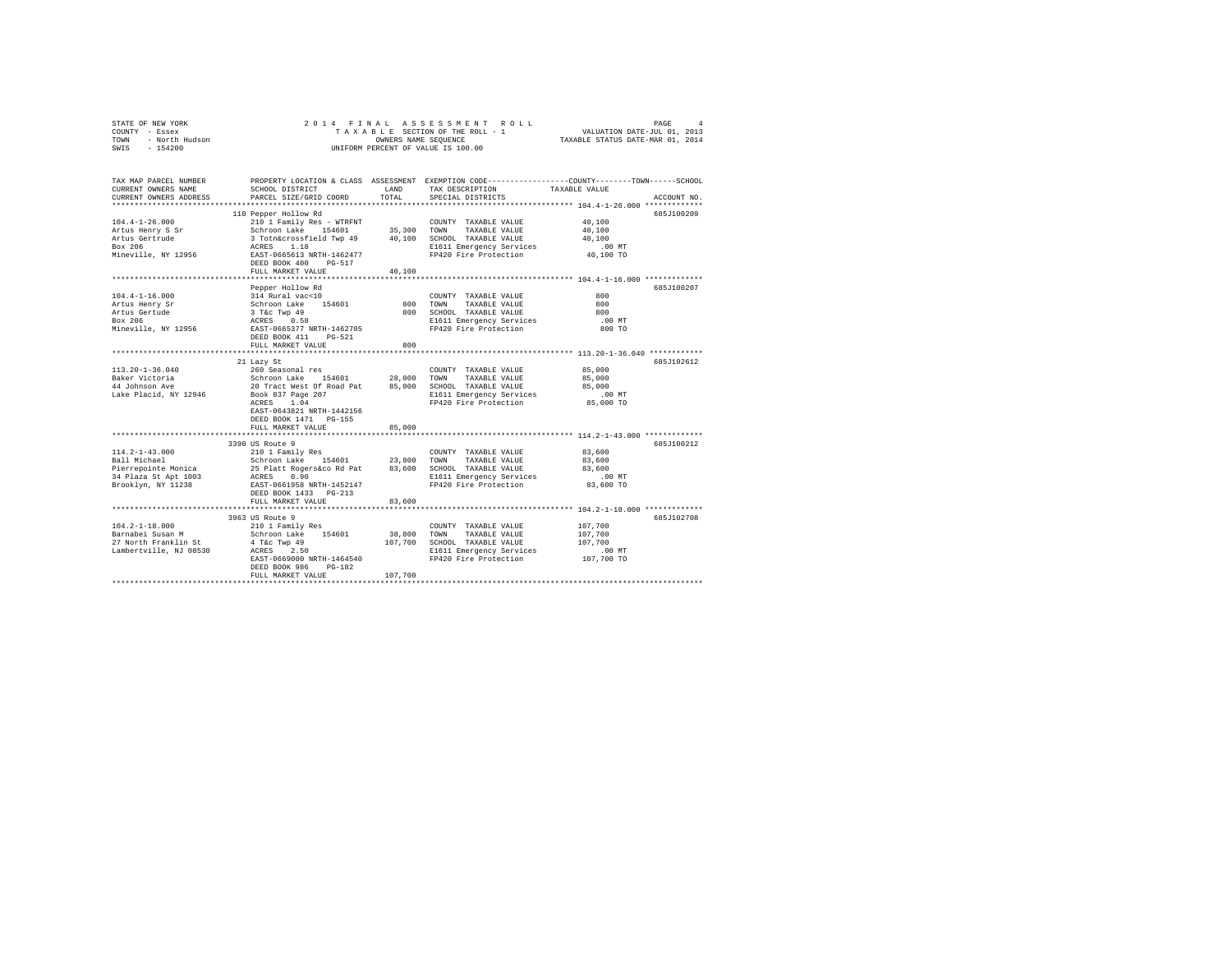| STATE OF NEW YORK                    | 2014 FINAL                              |                      | ASSESSMENT ROLL                               | PAGE                                                                                           | 4 |
|--------------------------------------|-----------------------------------------|----------------------|-----------------------------------------------|------------------------------------------------------------------------------------------------|---|
| COUNTY - Essex                       |                                         |                      | TAXABLE SECTION OF THE ROLL - 1               | VALUATION DATE-JUL 01, 2013                                                                    |   |
| - North Hudson<br>TOWN               |                                         | OWNERS NAME SEQUENCE |                                               | TAXABLE STATUS DATE-MAR 01, 2014                                                               |   |
| SWIS<br>$-154200$                    |                                         |                      | UNIFORM PERCENT OF VALUE IS 100.00            |                                                                                                |   |
|                                      |                                         |                      |                                               |                                                                                                |   |
|                                      |                                         |                      |                                               |                                                                                                |   |
| TAX MAP PARCEL NUMBER                |                                         |                      |                                               | PROPERTY LOCATION & CLASS ASSESSMENT EXEMPTION CODE---------------COUNTY-------TOWN-----SCHOOL |   |
| CURRENT OWNERS NAME                  | SCHOOL DISTRICT                         | LAND                 | TAX DESCRIPTION                               | TAXABLE VALUE                                                                                  |   |
| CURRENT OWNERS ADDRESS               | PARCEL SIZE/GRID COORD                  | TOTAL                | SPECIAL DISTRICTS                             | ACCOUNT NO.                                                                                    |   |
|                                      |                                         |                      |                                               |                                                                                                |   |
|                                      | 110 Pepper Hollow Rd                    |                      |                                               | 685J100209                                                                                     |   |
| $104.4 - 1 - 26.000$                 | 210 1 Family Res - WTRFNT               |                      | COUNTY TAXABLE VALUE                          | 40,100                                                                                         |   |
| Artus Henry S Sr                     | Schroon Lake 154601                     | 35,300               | TOWN<br>TAXABLE VALUE                         | 40,100                                                                                         |   |
| Artus Gertrude                       | 3 Totn&crossfield Twp 49                | 40,100               | SCHOOL TAXABLE VALUE                          | 40,100                                                                                         |   |
| Box 206                              | ACRES<br>1.18                           |                      | E1611 Emergency Services                      | $.00$ MT                                                                                       |   |
| Mineville, NY 12956                  | EAST-0665613 NRTH-1462477               |                      | FP420 Fire Protection                         | 40,100 TO                                                                                      |   |
|                                      | DEED BOOK 400<br>PG-517                 |                      |                                               |                                                                                                |   |
|                                      | FULL MARKET VALUE                       | 40,100               |                                               |                                                                                                |   |
|                                      | *************************               | ************         |                                               | ************************************ 104.4-1-16.000 *************                              |   |
|                                      | Pepper Hollow Rd                        |                      |                                               | 685J100207                                                                                     |   |
| $104.4 - 1 - 16.000$                 | 314 Rural vac<10                        |                      | COUNTY TAXABLE VALUE                          | 800                                                                                            |   |
| Artus Henry Sr                       | Schroon Lake<br>154601                  | 800                  | TOWN<br>TAXABLE VALUE                         | 800                                                                                            |   |
| Artus Gertude                        | 3 T&C Twp 49<br>ACRES 0.58              |                      | 800 SCHOOL TAXABLE VALUE                      | 800                                                                                            |   |
| Box 206                              |                                         |                      | E1611 Emergency Services                      | $.00$ MT                                                                                       |   |
| Mineville, NY 12956                  | EAST-0665377 NRTH-1462705               |                      | FP420 Fire Protection                         | 800 TO                                                                                         |   |
|                                      | DEED BOOK 411 PG-521                    |                      |                                               |                                                                                                |   |
|                                      | FULL MARKET VALUE                       | 800                  |                                               |                                                                                                |   |
|                                      |                                         |                      |                                               |                                                                                                |   |
|                                      | 21 Lazy St                              |                      |                                               | 6857102612                                                                                     |   |
| 113.20-1-36.040                      | 260 Seasonal res                        |                      | COUNTY TAXABLE VALUE                          | 85,000                                                                                         |   |
| Baker Victoria<br>44 Johnson Ave     | Schroon Lake 154601                     | 28,000               | TAXABLE VALUE<br>TOWN                         | 85,000                                                                                         |   |
|                                      | 20 Tract West Of Road Pat               | 85,000               | SCHOOL TAXABLE VALUE                          | 85,000                                                                                         |   |
| Lake Placid, NY 12946                | Book 837 Page 207                       |                      | E1611 Emergency Services                      | .00MT                                                                                          |   |
|                                      | ACRES<br>1.04                           |                      | FP420 Fire Protection                         | 85,000 TO                                                                                      |   |
|                                      | EAST-0643821 NRTH-1442156               |                      |                                               |                                                                                                |   |
|                                      | DEED BOOK 1471 PG-155                   |                      |                                               |                                                                                                |   |
|                                      | FULL MARKET VALUE                       | 85,000               |                                               |                                                                                                |   |
|                                      |                                         |                      |                                               |                                                                                                |   |
|                                      | 3390 US Route 9                         |                      |                                               | 685J100212                                                                                     |   |
| $114.2 - 1 - 43.000$<br>Ball Michael | 210 1 Family Res                        |                      | COUNTY TAXABLE VALUE                          | 83,600                                                                                         |   |
|                                      | Schroon Lake 154601                     | 23,800               | TAXABLE VALUE<br>TOWN                         | 83,600                                                                                         |   |
| Pierrepointe Monica                  | 25 Platt Rogers&co Rd Pat               | 83,600               | SCHOOL TAXABLE VALUE                          | 83,600                                                                                         |   |
| 34 Plaza St Apt 1003                 | ACRES 0.90                              |                      | E1611 Emergency Services                      | $.00$ MT                                                                                       |   |
| Brooklyn, NY 11238                   | EAST-0661958 NRTH-1452147               |                      | FP420 Fire Protection                         | 83,600 TO                                                                                      |   |
|                                      | DEED BOOK 1433 PG-213                   |                      |                                               |                                                                                                |   |
|                                      | FULL MARKET VALUE                       | 83,600               |                                               |                                                                                                |   |
|                                      |                                         |                      |                                               |                                                                                                |   |
| $104.2 - 1 - 18.000$                 | 3963 US Route 9                         |                      |                                               | 685J102708<br>107,700                                                                          |   |
| Barnabei Susan M                     | 210 1 Family Res<br>Schroon Lake 154601 | 38,800               | COUNTY TAXABLE VALUE<br>TOWN<br>TAXABLE VALUE | 107,700                                                                                        |   |
| 27 North Franklin St                 | 4 T&C Twp 49                            | 107,700              | SCHOOL TAXABLE VALUE                          | 107,700                                                                                        |   |
| Lambertville, NJ 08530               | ACRES 2.50                              |                      | E1611 Emergency Services                      | $.00$ MT                                                                                       |   |
|                                      | EAST-0669000 NRTH-1464540               |                      | FP420 Fire Protection                         | 107,700 TO                                                                                     |   |
|                                      | DEED BOOK 986<br>PG-182                 |                      |                                               |                                                                                                |   |
|                                      | FULL MARKET VALUE                       | 107,700              |                                               |                                                                                                |   |
|                                      |                                         |                      |                                               |                                                                                                |   |
|                                      |                                         |                      |                                               |                                                                                                |   |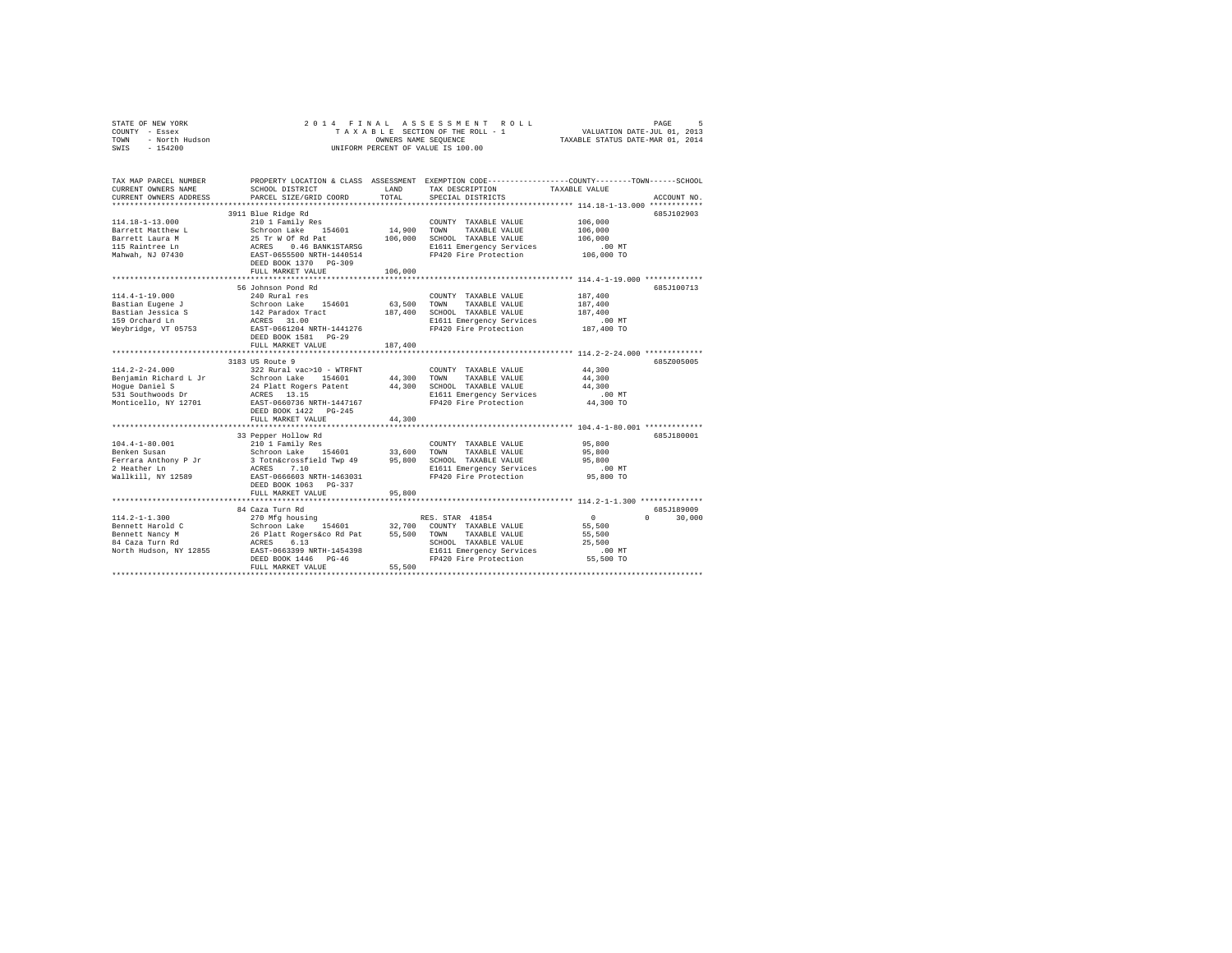| STATE OF NEW YORK<br>COUNTY - Essex<br>- North Hudson<br>TOWN<br>SWIS - 154200                               |                                                                                                                                                                                                                            |                    | 2014 FINAL ASSESSMENT ROLL<br>TAXABLE SECTION OF THE ROLL - 1 VALUATION DATE-JUL 01, 2013<br>OWNERS NAME SEOUENCE<br>UNIFORM PERCENT OF VALUE IS 100.00 | TAXABLE STATUS DATE-MAR 01, 2014                             | PAGE<br>-5  |
|--------------------------------------------------------------------------------------------------------------|----------------------------------------------------------------------------------------------------------------------------------------------------------------------------------------------------------------------------|--------------------|---------------------------------------------------------------------------------------------------------------------------------------------------------|--------------------------------------------------------------|-------------|
| TAX MAP PARCEL NUMBER<br>CURRENT OWNERS NAME<br>CURRENT OWNERS ADDRESS                                       | SCHOOL DISTRICT<br>PARCEL SIZE/GRID COORD                                                                                                                                                                                  | LAND<br>TOTAL      | PROPERTY LOCATION & CLASS ASSESSMENT EXEMPTION CODE---------------COUNTY-------TOWN------SCHOOL<br>TAX DESCRIPTION TAXABLE VALUE<br>SPECIAL DISTRICTS   |                                                              | ACCOUNT NO. |
| $114.18 - 1 - 13.000$<br>Barrett Matthew L<br>Barrett Laura M<br>115 Raintree Ln<br>Mahwah, NJ 07430         | 3911 Blue Ridge Rd<br>210 1 Family Res<br>Schroon Lake 154601 14,900<br>25 Tr W Of Rd Pat 106,000<br>0.46 BANK1STARSG<br>ACRES 0.46 BANK1STARSG<br>EAST-0655500 NRTH-1440514<br>DEED BOOK 1370 PG-309<br>FULL MARKET VALUE | 106,000            | COUNTY TAXABLE VALUE<br>TAXABLE VALUE<br>TOWN<br>SCHOOL TAXABLE VALUE<br>E1611 Emergency Services<br>FP420 Fire Protection                              | 106,000<br>106,000<br>106,000<br>$.00$ MT<br>106,000 TO      | 685J102903  |
| $114.4 - 1 - 19.000$<br>Bastian Eugene J<br>Bastian Jessica S<br>159 Orchard Ln<br>Weybridge, VT 05753       | 56 Johnson Pond Rd<br>240 Rural res<br>Schroon Lake 154601 63,500<br>142 Paradox Tract<br>ACRES 31.00<br>EAST-0661204 NRTH-1441276<br>DEED BOOK 1581 PG-29<br>FULL MARKET VALUE                                            | 187,400<br>187.400 | COUNTY TAXABLE VALUE<br>TOWN<br>TAXABLE VALUE<br>SCHOOL TAXABLE VALUE<br>E1611 Emergency Services<br>FP420 Fire Protection                              | $187\,, 400$<br>187,400<br>187,400<br>$.00$ MT<br>187,400 TO | 685J100713  |
| $114.2 - 2 - 24.000$<br>Benjamin Richard L Jr<br>Hoque Daniel S<br>531 Southwoods Dr<br>Monticello, NY 12701 | 3183 US Route 9<br>24 Platt Rogers Patent<br>ACRES 13.15<br>EAST-0660736 NRTH-1447167<br>DEED BOOK 1422 PG-245                                                                                                             | 44,300             | COUNTY TAXABLE VALUE<br>TAXABLE VALUE<br>SCHOOL TAXABLE VALUE<br>E1611 Emergency Services<br>FP420 Fire Protection                                      | 44,300<br>44,300<br>44,300<br>.00MT<br>44,300 TO             | 685Z005005  |
| $104.4 - 1 - 80.001$<br>Benken Susan<br>Ferrara Anthony P Jr<br>2 Heather Ln<br>Wallkill, NY 12589           | FULL MARKET VALUE<br>33 Pepper Hollow Rd<br>210 1 Family Res<br>Schroon Lake 154601 33,600<br>3 Totn&crossfield Twp 49 95,800<br>ACRES<br>7.10<br>EAST-0666603 NRTH-1463031                                                | 44,300             | COUNTY TAXABLE VALUE<br>TOWN<br>TAXABLE VALUE<br>SCHOOL TAXABLE VALUE<br>E1611 Emergency Services<br>FP420 Fire Protection                              | 95,800<br>95,800<br>95,800<br>$.00$ MT<br>95,800 TO          | 685J180001  |

|                        | DEED BOOK 1063 PG-337<br>FULL MARKET VALUE | 95,800                          |           |             |
|------------------------|--------------------------------------------|---------------------------------|-----------|-------------|
|                        | 84 Caza Turn Rd                            |                                 |           | 685J189009  |
| $114.2 - 1 - 1.300$    | 270 Mfg housing                            | RES. STAR 41854                 |           | 30,000<br>0 |
| Bennett Harold C       | Schroon Lake<br>154601                     | 32,700<br>COUNTY TAXABLE VALUE  | 55,500    |             |
| Bennett Nancy M        | 26 Platt Rogers&co Rd Pat                  | 55,500<br>TAXABLE VALUE<br>TOWN | 55,500    |             |
| 84 Caza Turn Rd        | ACRES 6.13                                 | SCHOOL TAXABLE VALUE            | 25,500    |             |
| North Hudson, NY 12855 | EAST-0663399 NRTH-1454398                  | E1611 Emergency Services        | $.00$ MT  |             |
|                        | DEED BOOK 1446 PG-46                       | FP420 Fire Protection           | 55,500 TO |             |
|                        | FULL MARKET VALUE                          | 55,500                          |           |             |
|                        |                                            |                                 |           |             |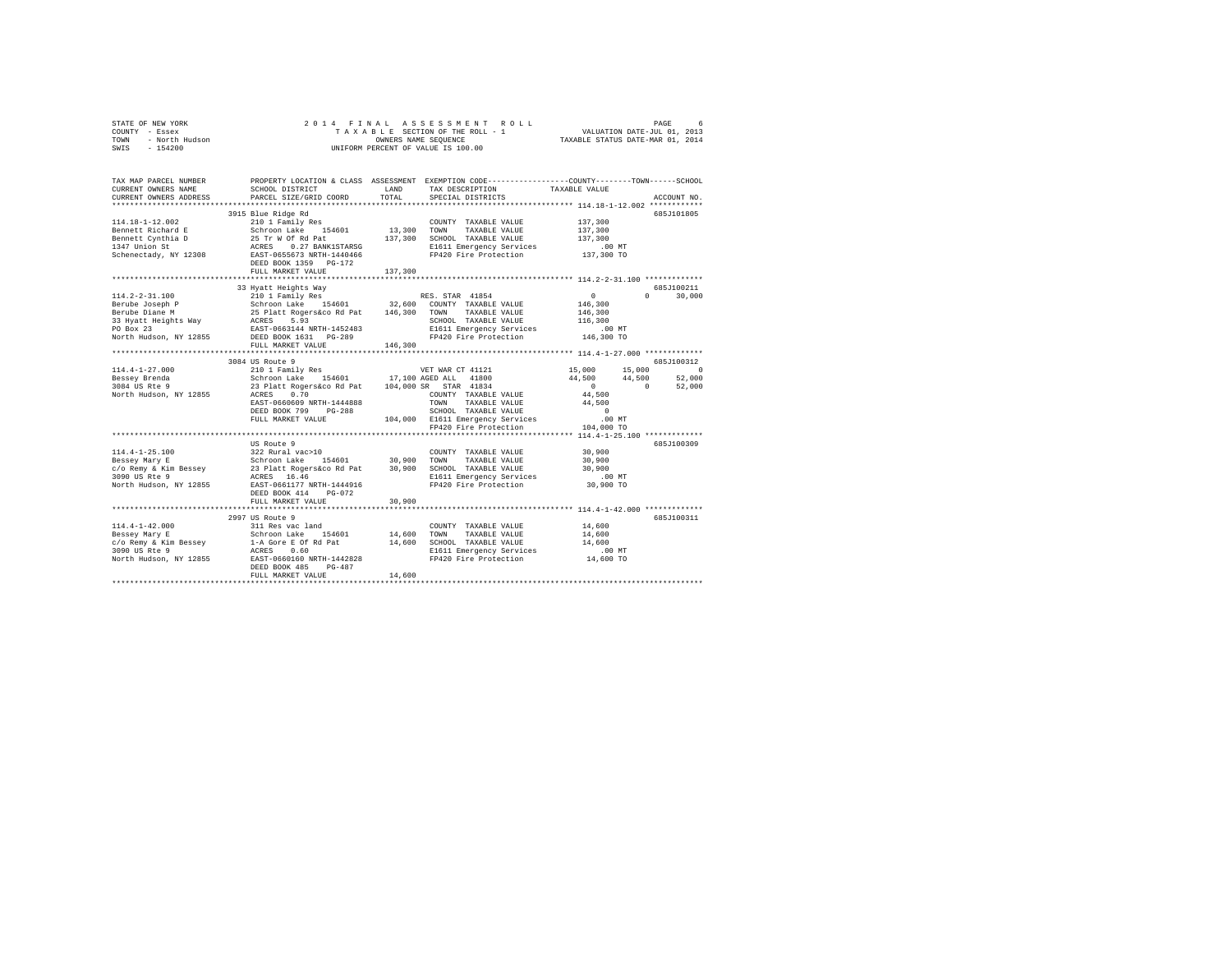| STATE OF NEW YORK                                                                                                                                                 | 2014 FINAL                                                                                      |         |                                                                                                 |                                  |          |             |
|-------------------------------------------------------------------------------------------------------------------------------------------------------------------|-------------------------------------------------------------------------------------------------|---------|-------------------------------------------------------------------------------------------------|----------------------------------|----------|-------------|
| COUNTY - Essex                                                                                                                                                    |                                                                                                 |         |                                                                                                 |                                  |          |             |
| TOWN                                                                                                                                                              |                                                                                                 |         |                                                                                                 | TAXABLE STATUS DATE-MAR 01, 2014 |          |             |
| OF NEW YORK<br>7 - Essex<br>- North Hudson<br>- 154200<br>SWIS                                                                                                    |                                                                                                 |         | OWNERS NAME SEQUENCE<br>UNIFORM PERCENT OF VALUE IS 100.00                                      |                                  |          |             |
|                                                                                                                                                                   |                                                                                                 |         |                                                                                                 |                                  |          |             |
|                                                                                                                                                                   |                                                                                                 |         |                                                                                                 |                                  |          |             |
|                                                                                                                                                                   |                                                                                                 |         |                                                                                                 |                                  |          |             |
| TAX MAP PARCEL NUMBER                                                                                                                                             |                                                                                                 |         | PROPERTY LOCATION & CLASS ASSESSMENT EXEMPTION CODE---------------COUNTY-------TOWN------SCHOOL |                                  |          |             |
| CURRENT OWNERS NAME                                                                                                                                               | SCHOOL DISTRICT                                                                                 | LAND    | TAX DESCRIPTION                                                                                 | TAXABLE VALUE                    |          |             |
| CURRENT OWNERS ADDRESS                                                                                                                                            | PARCEL SIZE/GRID COORD                                                                          | TOTAL   | SPECIAL DISTRICTS                                                                               |                                  |          | ACCOUNT NO. |
|                                                                                                                                                                   |                                                                                                 |         |                                                                                                 |                                  |          |             |
|                                                                                                                                                                   | 3915 Blue Ridge Rd                                                                              |         |                                                                                                 |                                  |          | 685J101805  |
| $114.18 - 1 - 12.002$                                                                                                                                             | 210 1 Family Res                                                                                |         | COUNTY TAXABLE VALUE                                                                            | 137,300                          |          |             |
|                                                                                                                                                                   |                                                                                                 | 13,300  | TOWN<br>TAXABLE VALUE                                                                           |                                  |          |             |
| Bennett Richard E                                                                                                                                                 |                                                                                                 |         |                                                                                                 | 137,300                          |          |             |
| Bennett Cynthia D                                                                                                                                                 |                                                                                                 | 137,300 | SCHOOL TAXABLE VALUE                                                                            | 137,300                          |          |             |
| 1347 Union St                                                                                                                                                     | Schroon Lake 154601<br>25 Tr W Of Rd Pat<br>ACRES 0.27 BANK1STARSG<br>EAST-0655673 NRTH-1440466 |         | E1611 Emergency Services                                                                        | $.00$ MT                         |          |             |
| Schenectady, NY 12308                                                                                                                                             |                                                                                                 |         | FP420 Fire Protection                                                                           | 137,300 TO                       |          |             |
|                                                                                                                                                                   | DEED BOOK 1359 PG-172                                                                           |         |                                                                                                 |                                  |          |             |
|                                                                                                                                                                   | FULL MARKET VALUE                                                                               | 137,300 |                                                                                                 |                                  |          |             |
|                                                                                                                                                                   |                                                                                                 |         |                                                                                                 |                                  |          |             |
|                                                                                                                                                                   | 33 Hyatt Heights Way                                                                            |         |                                                                                                 |                                  |          | 685J100211  |
| $114.2 - 2 - 31.100$                                                                                                                                              | 210 1 Family Res RES. STAR 41854<br>Schroon Lake 154601 32,600 COUNTY TAXABLE VALUE             |         |                                                                                                 | 0                                | $\Omega$ | 30,000      |
| Berube Joseph P                                                                                                                                                   |                                                                                                 |         |                                                                                                 | 146,300                          |          |             |
|                                                                                                                                                                   | 25 Platt Rogers&co Rd Pat 146,300                                                               |         | TOWN TAXABLE VALUE                                                                              | 146,300                          |          |             |
|                                                                                                                                                                   |                                                                                                 |         | SCHOOL TAXABLE VALUE                                                                            | 116,300                          |          |             |
| Berius voorber 1988 – 25 Platt Rogersson – 1988 – 2008<br>Berius Diane M – 25 Platt Rogersson – 1988<br>26 EAST-0663144 NRTH-1452483<br>EAST-0663144 NRTH-1452483 |                                                                                                 |         |                                                                                                 |                                  |          |             |
|                                                                                                                                                                   |                                                                                                 |         | E1611 Emergency Services                                                                        | $.00$ MT                         |          |             |
| North Hudson, NY 12855                                                                                                                                            | DEED BOOK 1631 PG-289                                                                           |         | FP420 Fire Protection                                                                           | 146,300 TO                       |          |             |
|                                                                                                                                                                   | FULL MARKET VALUE                                                                               | 146,300 |                                                                                                 |                                  |          |             |
|                                                                                                                                                                   |                                                                                                 |         |                                                                                                 |                                  |          |             |
|                                                                                                                                                                   | 3084 US Route 9                                                                                 |         |                                                                                                 |                                  |          | 685.7100312 |
| 114.4-1-27.000                                                                                                                                                    | 210 1 Family Res                                                                                |         | VET WAR CT 41121                                                                                | 15,000                           | 15,000   | $\sim$ 0    |
| Bessey Brenda<br>3084 US Rte 9                                                                                                                                    | Schroon Lake 154601 17,100 AGED ALL 41800<br>23 Platt Rogers&co Rd Pat 104,000 SR STAR 41834    |         |                                                                                                 | 44,500                           | 44,500   | 52,000      |
|                                                                                                                                                                   |                                                                                                 |         |                                                                                                 | $\sim$ 0                         | $\sim$ 0 | 52,000      |
| North Hudson, NY 12855                                                                                                                                            | ACRES 0.70                                                                                      |         | COUNTY TAXABLE VALUE                                                                            | 44,500                           |          |             |
|                                                                                                                                                                   | EAST-0660609 NRTH-1444888                                                                       |         |                                                                                                 | 44,500                           |          |             |
|                                                                                                                                                                   | DEED BOOK 799 PG-288                                                                            |         | TOWN TAXABLE VALUE<br>SCHOOL TAXABLE VALUE                                                      | $\sim$ 0                         |          |             |
|                                                                                                                                                                   | FULL MARKET VALUE                                                                               |         | 104,000 E1611 Emergency Services                                                                | $.00$ MT                         |          |             |
|                                                                                                                                                                   |                                                                                                 |         | FP420 Fire Protection                                                                           | 104,000 TO                       |          |             |
|                                                                                                                                                                   |                                                                                                 |         |                                                                                                 |                                  |          |             |
|                                                                                                                                                                   |                                                                                                 |         |                                                                                                 |                                  |          |             |
|                                                                                                                                                                   | US Route 9                                                                                      |         |                                                                                                 |                                  |          | 685J100309  |
| 114.4-1-25.100<br>114.4-1-25.100<br>Bessey Mary E                                                                                                                 | 322 Rural vac>10<br>Schroon Lake 154601 30,900                                                  |         | COUNTY TAXABLE VALUE                                                                            | 30,900                           |          |             |
|                                                                                                                                                                   |                                                                                                 |         | TOWN<br>TAXABLE VALUE                                                                           | 30,900                           |          |             |
| c/o Remy & Kim Bessey                                                                                                                                             | 23 Platt Rogers&co Rd Pat 30,900 SCHOOL TAXABLE VALUE                                           |         |                                                                                                 | 30,900                           |          |             |
| 3090 US Rte 9                                                                                                                                                     | ACRES 16.46                                                                                     |         | E1611 Emergency Services                                                                        | $.00$ MT                         |          |             |
| North Hudson, NY 12855                                                                                                                                            | EAST-0661177 NRTH-1444916                                                                       |         | FP420 Fire Protection                                                                           | 30,900 TO                        |          |             |
|                                                                                                                                                                   | DEED BOOK 414 PG-072                                                                            |         |                                                                                                 |                                  |          |             |
|                                                                                                                                                                   | FULL MARKET VALUE                                                                               | 30,900  |                                                                                                 |                                  |          |             |
|                                                                                                                                                                   |                                                                                                 |         |                                                                                                 |                                  |          |             |
|                                                                                                                                                                   | 2997 US Route 9                                                                                 |         |                                                                                                 |                                  |          | 685J100311  |
| $114.4 - 1 - 42.000$                                                                                                                                              | 311 Res vac land                                                                                |         | COUNTY TAXABLE VALUE                                                                            | 14,600                           |          |             |
| Bessey Mary E                                                                                                                                                     |                                                                                                 | 14,600  |                                                                                                 |                                  |          |             |
|                                                                                                                                                                   | Schroon Lake 154601                                                                             |         | TOWN<br>TAXABLE VALUE                                                                           | 14,600                           |          |             |
| c/o Remy & Kim Bessey                                                                                                                                             | 1-A Gore E Of Rd Pat                                                                            | 14,600  | SCHOOL TAXABLE VALUE                                                                            | 14,600                           |          |             |
| 3090 US Rte 9                                                                                                                                                     | ACRES 0.60                                                                                      |         | E1611 Emergency Services                                                                        | $.00$ MT                         |          |             |
| North Hudson, NY 12855                                                                                                                                            | EAST-0660160 NRTH-1442828                                                                       |         | FP420 Fire Protection                                                                           | 14,600 TO                        |          |             |
|                                                                                                                                                                   | DEED BOOK 485 PG-487                                                                            |         |                                                                                                 |                                  |          |             |
|                                                                                                                                                                   | FULL MARKET VALUE                                                                               | 14,600  |                                                                                                 |                                  |          |             |
|                                                                                                                                                                   |                                                                                                 |         |                                                                                                 |                                  |          |             |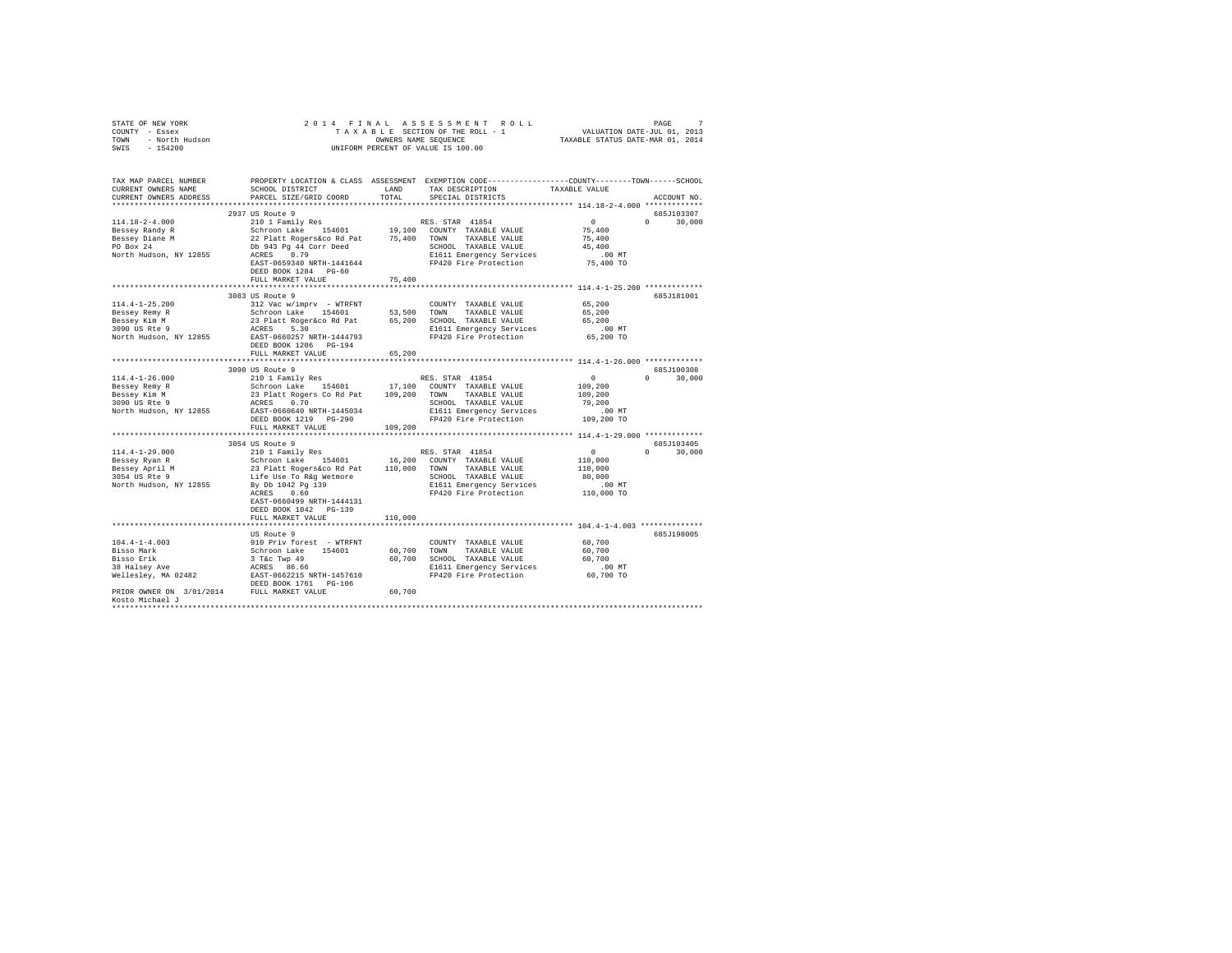| STATE OF NEW YORK<br>COUNTY - Essex<br>TOWN - North Hudson<br>SWIS - 154200 |                                                                                                                                                                                                           |                       | 2014 FINAL ASSESSMENT ROLL<br>$\begin{tabular}{ccccc} T\texttt{A} & X & A\texttt{B} & L\texttt{E} & SECTDON OF THE NOLL - 1 & & & & & & & & & & \texttt{PAGE} & \\ & & & & & & & & & & & & & \texttt{VALUATION DATE-JUL 01, 2013} \\ & & & & & & & & & & & & \texttt{VALUATION DATE-JUL 01, 2013} \\ & & & & & & & & & & & & \texttt{WALUATION DATE-JUL 01, 2013} \end{tabular}$<br>UNIFORM PERCENT OF VALUE IS 100.00 |                                                    | 7             |
|-----------------------------------------------------------------------------|-----------------------------------------------------------------------------------------------------------------------------------------------------------------------------------------------------------|-----------------------|------------------------------------------------------------------------------------------------------------------------------------------------------------------------------------------------------------------------------------------------------------------------------------------------------------------------------------------------------------------------------------------------------------------------|----------------------------------------------------|---------------|
| TAX MAP PARCEL NUMBER<br>CURRENT OWNERS NAME<br>CURRENT OWNERS ADDRESS      | PROPERTY LOCATION & CLASS ASSESSMENT EXEMPTION CODE----------------COUNTY-------TOWN------SCHOOL<br>PARCEL SIZE/GRID COORD TOTAL                                                                          |                       | SCHOOL DISTRICT LAND TAX DESCRIPTION<br>SPECIAL DISTRICTS                                                                                                                                                                                                                                                                                                                                                              | TAXABLE VALUE                                      | ACCOUNT NO.   |
|                                                                             | 2937 US Route 9                                                                                                                                                                                           |                       |                                                                                                                                                                                                                                                                                                                                                                                                                        |                                                    | 685J103307    |
| $114.18 - 2 - 4.000$                                                        | 210 1 Family Res                                                                                                                                                                                          |                       | RES. STAR 41854                                                                                                                                                                                                                                                                                                                                                                                                        | $\sim$ 0                                           | $0 \t 30.000$ |
| Bessey Randy R                                                              | Schroon Lake 154601 19,100 COUNTY TAXABLE VALUE                                                                                                                                                           |                       |                                                                                                                                                                                                                                                                                                                                                                                                                        | 75,400                                             |               |
|                                                                             | 22 Platt Rogers&co Rd Pat 75,400 TOWN TAXABLE VALUE                                                                                                                                                       |                       |                                                                                                                                                                                                                                                                                                                                                                                                                        | 75,400                                             |               |
| Bessey Diane M<br>PO Box 24                                                 |                                                                                                                                                                                                           |                       |                                                                                                                                                                                                                                                                                                                                                                                                                        | 45,400                                             |               |
| North Hudson, NY 12855                                                      | Db 943 Pg 44 Corr Deed<br>ACRES 0.79                                                                                                                                                                      |                       | SCHOOL TAXABLE VALUE<br>E1611 Emergency Services<br>FP420 Fire Protection                                                                                                                                                                                                                                                                                                                                              | $.00$ MT                                           |               |
|                                                                             | EAST-0659340 NRTH-1441644                                                                                                                                                                                 |                       |                                                                                                                                                                                                                                                                                                                                                                                                                        | 75,400 TO                                          |               |
|                                                                             | DEED BOOK 1284 PG-60                                                                                                                                                                                      |                       |                                                                                                                                                                                                                                                                                                                                                                                                                        |                                                    |               |
|                                                                             | FULL MARKET VALUE                                                                                                                                                                                         | 75,400                |                                                                                                                                                                                                                                                                                                                                                                                                                        |                                                    |               |
|                                                                             |                                                                                                                                                                                                           |                       |                                                                                                                                                                                                                                                                                                                                                                                                                        |                                                    |               |
|                                                                             | 3083 US Route 9                                                                                                                                                                                           |                       |                                                                                                                                                                                                                                                                                                                                                                                                                        |                                                    | 685J181001    |
| $114.4 - 1 - 25.200$<br>Bessey Remy R                                       | 312 Vac w/imprv - WTRFNT                                                                                                                                                                                  |                       | COUNTY TAXABLE VALUE                                                                                                                                                                                                                                                                                                                                                                                                   | 65,200<br>65,200                                   |               |
|                                                                             |                                                                                                                                                                                                           |                       |                                                                                                                                                                                                                                                                                                                                                                                                                        | 65,200                                             |               |
| Bessey Kim M<br>3090 US Rte 9                                               |                                                                                                                                                                                                           |                       | E1611 Emergency Services                                                                                                                                                                                                                                                                                                                                                                                               | $.00$ MT                                           |               |
| North Hudson, NY 12855                                                      | Schroon Lake 154601 53,500 TOWN TAXABLE VALUE<br>23 Platt Roger 6:0 Rd 65,200 SCHOOL TAXABLE VALUE<br>ACRES 5.30 RCHOL RATE 1611 Emergency Services<br>25 EAST-0660257 NRTH-1444793 F0420 Fier Protection |                       | FP420 Fire Protection                                                                                                                                                                                                                                                                                                                                                                                                  | 65,200 TO                                          |               |
|                                                                             | DEED BOOK 1206 PG-194                                                                                                                                                                                     |                       |                                                                                                                                                                                                                                                                                                                                                                                                                        |                                                    |               |
|                                                                             | FULL MARKET VALUE                                                                                                                                                                                         | 65,200                |                                                                                                                                                                                                                                                                                                                                                                                                                        |                                                    |               |
|                                                                             |                                                                                                                                                                                                           | ********************* |                                                                                                                                                                                                                                                                                                                                                                                                                        | ********************* 114.4-1-26.000 ************* |               |
|                                                                             | 3090 US Route 9                                                                                                                                                                                           |                       |                                                                                                                                                                                                                                                                                                                                                                                                                        |                                                    | 685J100308    |
| $114.4 - 1 - 26.000$                                                        | 210 1 Family Res                                                                                                                                                                                          |                       | RES. STAR 41854                                                                                                                                                                                                                                                                                                                                                                                                        | $\sim$ 0                                           | $0 \t 30,000$ |
| Bessey Remy R                                                               | Schroon Lake 154601 17,100 COUNTY TAXABLE VALUE<br>23 Platt Rogers Co Rd Pat 109,200 TOWN TAXABLE VALUE                                                                                                   |                       |                                                                                                                                                                                                                                                                                                                                                                                                                        | 109,200                                            |               |
| Bessey Kim M<br>3090 US Rte 9                                               |                                                                                                                                                                                                           |                       | TAXABLE VALUE                                                                                                                                                                                                                                                                                                                                                                                                          | 109,200                                            |               |
| North Hudson, NY 12855                                                      | ACRES 0.70<br>EAST-0660640 NRTH-1445034                                                                                                                                                                   |                       | SCHOOL TAXABLE VALUE                                                                                                                                                                                                                                                                                                                                                                                                   | 79,200<br>$.00$ MT                                 |               |
|                                                                             | DEED BOOK 1219 PG-290                                                                                                                                                                                     |                       | SCHOOL TAXABLE VALUE<br>E1611 Emergency Services<br>FP420 Fire Protection<br>FP420 Fire Protection                                                                                                                                                                                                                                                                                                                     | 109,200 TO                                         |               |
|                                                                             | FULL MARKET VALUE                                                                                                                                                                                         | 109,200               |                                                                                                                                                                                                                                                                                                                                                                                                                        |                                                    |               |
|                                                                             |                                                                                                                                                                                                           |                       |                                                                                                                                                                                                                                                                                                                                                                                                                        |                                                    |               |
|                                                                             | 3054 US Route 9                                                                                                                                                                                           |                       |                                                                                                                                                                                                                                                                                                                                                                                                                        |                                                    | 685J103405    |
| 114.4-1-29.000                                                              | 210 1 Family Res                                                                                                                                                                                          |                       | RES. STAR 41854                                                                                                                                                                                                                                                                                                                                                                                                        | $\overline{0}$                                     | $0 \t 30,000$ |
|                                                                             |                                                                                                                                                                                                           |                       |                                                                                                                                                                                                                                                                                                                                                                                                                        | 110,000                                            |               |
| Bessey Ryan R<br>Bessey April M<br>3054 US Rte 9                            |                                                                                                                                                                                                           |                       | TAXABLE VALUE                                                                                                                                                                                                                                                                                                                                                                                                          | 110,000                                            |               |
|                                                                             | Life Use To R&g Wetmore                                                                                                                                                                                   |                       | SCHOOL TAXABLE VALUE                                                                                                                                                                                                                                                                                                                                                                                                   | 80,000                                             |               |
| North Hudson, NY 12855                                                      | By Db 1042 Pg 139<br>20PFS 0.60                                                                                                                                                                           |                       | E1611 Emergency Services                                                                                                                                                                                                                                                                                                                                                                                               | $.00$ MT                                           |               |
|                                                                             | ACRES 0.60<br>EAST-0660499 NRTH-1444131                                                                                                                                                                   |                       | FP420 Fire Protection                                                                                                                                                                                                                                                                                                                                                                                                  | $110,000$ TO                                       |               |
|                                                                             | DEED BOOK 1042 PG-139                                                                                                                                                                                     |                       |                                                                                                                                                                                                                                                                                                                                                                                                                        |                                                    |               |
|                                                                             | FULL MARKET VALUE                                                                                                                                                                                         | 110,000               |                                                                                                                                                                                                                                                                                                                                                                                                                        |                                                    |               |
|                                                                             |                                                                                                                                                                                                           |                       |                                                                                                                                                                                                                                                                                                                                                                                                                        |                                                    |               |
|                                                                             | US Route 9                                                                                                                                                                                                |                       |                                                                                                                                                                                                                                                                                                                                                                                                                        |                                                    | 685J198005    |
| $104.4 - 1 - 4.003$                                                         | 910 Priv forest - WTRFNT                                                                                                                                                                                  |                       | COUNTY TAXABLE VALUE                                                                                                                                                                                                                                                                                                                                                                                                   | 60,700                                             |               |
|                                                                             |                                                                                                                                                                                                           |                       | 60,700 TOWN TAXABLE VALUE                                                                                                                                                                                                                                                                                                                                                                                              | 60,700                                             |               |
|                                                                             |                                                                                                                                                                                                           |                       | 60,700 SCHOOL TAXABLE VALUE                                                                                                                                                                                                                                                                                                                                                                                            | 60,700                                             |               |
|                                                                             |                                                                                                                                                                                                           |                       | E1611 Emergency Services .00 MT<br>FP420 Fire Protection 60,700 TO                                                                                                                                                                                                                                                                                                                                                     |                                                    |               |
|                                                                             |                                                                                                                                                                                                           |                       |                                                                                                                                                                                                                                                                                                                                                                                                                        |                                                    |               |
|                                                                             |                                                                                                                                                                                                           |                       |                                                                                                                                                                                                                                                                                                                                                                                                                        |                                                    |               |
| PRIOR OWNER ON 3/01/2014 FULL MARKET VALUE                                  |                                                                                                                                                                                                           | 60,700                |                                                                                                                                                                                                                                                                                                                                                                                                                        |                                                    |               |
| Kosto Michael J                                                             |                                                                                                                                                                                                           |                       |                                                                                                                                                                                                                                                                                                                                                                                                                        |                                                    |               |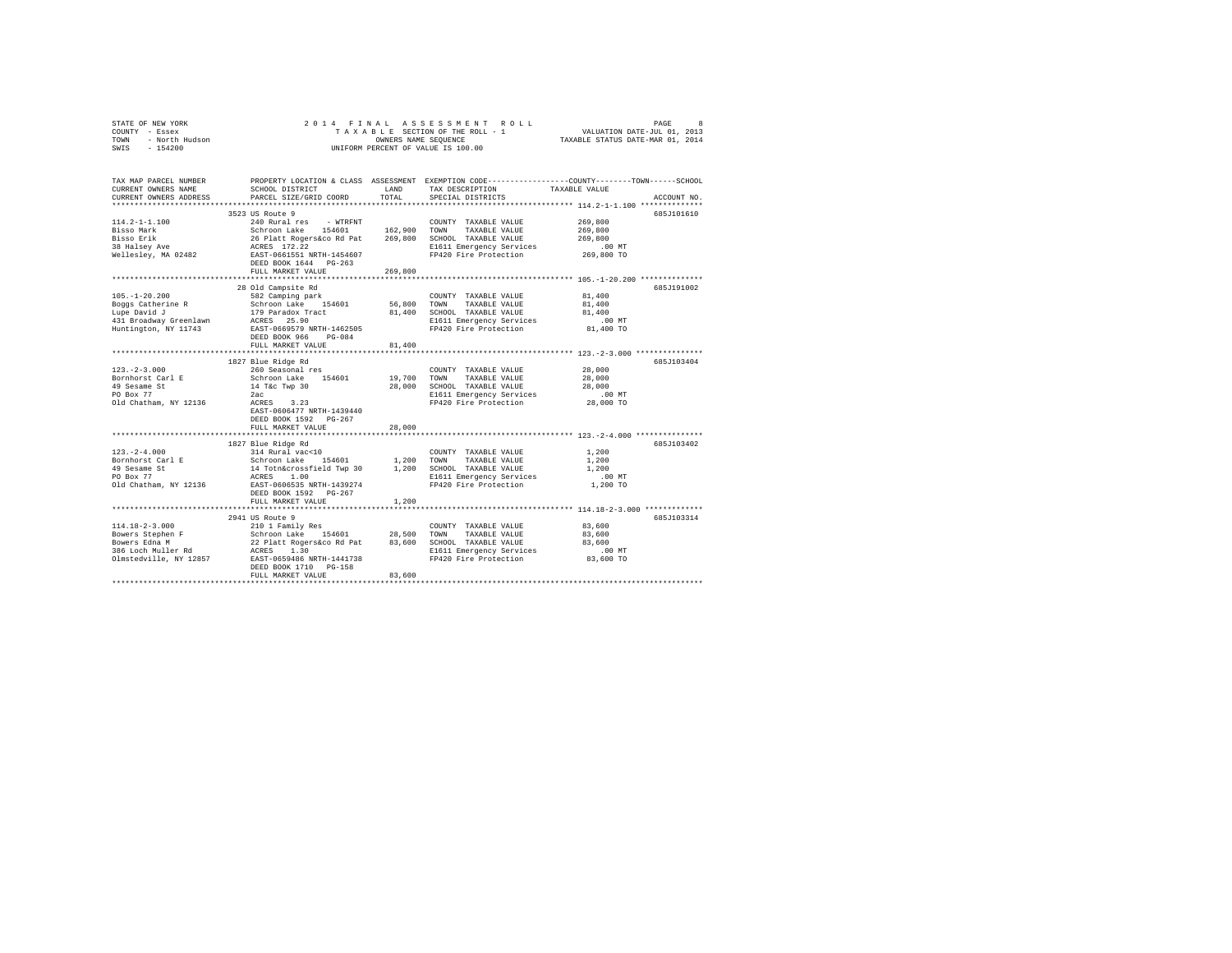| STATE OF NEW YORK<br>COUNTY - Essex                                    | 2014 FINAL                                       |                      | ASSESSMENT ROLL<br>TAXABLE SECTION OF THE ROLL - 1 | PAGE<br>VALUATION DATE-JUL 01, 2013                                                                                            | 8 |
|------------------------------------------------------------------------|--------------------------------------------------|----------------------|----------------------------------------------------|--------------------------------------------------------------------------------------------------------------------------------|---|
| - North Hudson<br>TOWN<br>SWIS<br>$-154200$                            |                                                  | OWNERS NAME SEQUENCE | UNIFORM PERCENT OF VALUE IS 100.00                 | TAXABLE STATUS DATE-MAR 01, 2014                                                                                               |   |
| TAX MAP PARCEL NUMBER<br>CURRENT OWNERS NAME<br>CURRENT OWNERS ADDRESS | SCHOOL DISTRICT<br>PARCEL SIZE/GRID COORD        | LAND<br>TOTAL        | TAX DESCRIPTION<br>SPECIAL DISTRICTS               | PROPERTY LOCATION & CLASS ASSESSMENT EXEMPTION CODE---------------COUNTY-------TOWN-----SCHOOL<br>TAXABLE VALUE<br>ACCOUNT NO. |   |
|                                                                        |                                                  |                      |                                                    |                                                                                                                                |   |
| $114.2 - 1 - 1.100$                                                    | 3523 US Route 9<br>240 Rural res<br>- WTRFNT     |                      | COUNTY TAXABLE VALUE                               | 685J101610<br>269,800                                                                                                          |   |
| Bisso Mark                                                             | Schroon Lake 154601                              | 162,900              | TOWN<br>TAXABLE VALUE                              | 269,800                                                                                                                        |   |
| Bisso Erik                                                             | Schroon Lake 154601<br>26 Platt Rogers&co Rd Pat | 269,800              | SCHOOL TAXABLE VALUE                               | 269,800                                                                                                                        |   |
| 38 Halsey Ave                                                          | ACRES 172.22                                     |                      | E1611 Emergency Services                           | .00MT                                                                                                                          |   |
| Wellesley, MA 02482                                                    | EAST-0661551 NRTH-1454607                        |                      | FP420 Fire Protection                              | 269,800 TO                                                                                                                     |   |
|                                                                        | DEED BOOK 1644 PG-263                            |                      |                                                    |                                                                                                                                |   |
|                                                                        | FULL MARKET VALUE                                | 269,800              |                                                    |                                                                                                                                |   |
|                                                                        |                                                  | *************        |                                                    | *************************** 105.-1-20.200 **************                                                                       |   |
|                                                                        | 28 Old Campsite Rd                               |                      |                                                    | 685J191002                                                                                                                     |   |
| $105. - 1 - 20.200$                                                    | 582 Camping park                                 | 56,800               | COUNTY TAXABLE VALUE                               | 81,400                                                                                                                         |   |
| Boggs Catherine R<br>Lupe David J                                      | Schroon Lake 154601<br>179 Paradox Tract         | 81,400               | TOWN<br>TAXABLE VALUE<br>SCHOOL TAXABLE VALUE      | 81,400<br>81,400                                                                                                               |   |
| 431 Broadway Greenlawn                                                 | ACRES 25.90                                      |                      | E1611 Emergency Services                           | $.00$ MT                                                                                                                       |   |
| Huntington, NY 11743                                                   | EAST-0669579 NRTH-1462505                        |                      | FP420 Fire Protection                              | 81,400 TO                                                                                                                      |   |
|                                                                        | DEED BOOK 966<br>$PG-084$                        |                      |                                                    |                                                                                                                                |   |
|                                                                        | FULL MARKET VALUE                                | 81,400               |                                                    |                                                                                                                                |   |
|                                                                        |                                                  |                      |                                                    |                                                                                                                                |   |
|                                                                        | 1827 Blue Ridge Rd                               |                      |                                                    | 685.T103404                                                                                                                    |   |
| $123. - 2 - 3.000$                                                     | 260 Seasonal res                                 |                      | COUNTY TAXABLE VALUE                               | 28,000                                                                                                                         |   |
| Bornhorst Carl E                                                       | Schroon Lake 154601                              | 19,700               | TOWN<br>TAXABLE VALUE                              | 28,000                                                                                                                         |   |
| 49 Sesame St<br>PO Box 77                                              | 14 T&c Twp 30<br>2ac                             | 28,000               | SCHOOL TAXABLE VALUE<br>E1611 Emergency Services   | 28,000<br>$.00$ MT                                                                                                             |   |
| Old Chatham, NY 12136                                                  | ACRES 3.23                                       |                      | FP420 Fire Protection                              | 28,000 TO                                                                                                                      |   |
|                                                                        | EAST-0606477 NRTH-1439440                        |                      |                                                    |                                                                                                                                |   |
|                                                                        | DEED BOOK 1592 PG-267                            |                      |                                                    |                                                                                                                                |   |
|                                                                        | FULL MARKET VALUE                                | 28,000               |                                                    |                                                                                                                                |   |
|                                                                        |                                                  |                      |                                                    |                                                                                                                                |   |
|                                                                        | 1827 Blue Ridge Rd                               |                      |                                                    | 685J103402                                                                                                                     |   |
| $123. -2 - 4.000$                                                      | 314 Rural vac<10                                 |                      | COUNTY TAXABLE VALUE                               | 1,200                                                                                                                          |   |
| Bornhorst Carl E                                                       | Schroon Lake<br>154601                           | 1,200                | TAXABLE VALUE<br>TOWN                              | 1,200<br>1,200                                                                                                                 |   |
| 49 Sesame St<br>PO Box 77                                              | 14 Totn&crossfield Twp 30<br>ACRES 1.00          | 1,200                | SCHOOL TAXABLE VALUE<br>E1611 Emergency Services   | .00 MT                                                                                                                         |   |
| Old Chatham, NY 12136                                                  | EAST-0606535 NRTH-1439274                        |                      | FP420 Fire Protection                              | 1,200 TO                                                                                                                       |   |
|                                                                        | DEED BOOK 1592 PG-267                            |                      |                                                    |                                                                                                                                |   |
|                                                                        | FULL MARKET VALUE                                | 1,200                |                                                    |                                                                                                                                |   |
|                                                                        |                                                  |                      |                                                    | *********************************** 114.18-2-3.000 *************                                                               |   |
|                                                                        | 2941 US Route 9                                  |                      |                                                    | 685J103314                                                                                                                     |   |
| $114.18 - 2 - 3.000$                                                   | 210 1 Family Res                                 |                      | COUNTY TAXABLE VALUE                               | 83,600                                                                                                                         |   |
| Bowers Stephen F                                                       | Schroon Lake 154601                              | 28,500               | TOWN<br>TAXABLE VALUE                              | 83,600                                                                                                                         |   |
| Bowers Edna M<br>386 Loch Muller Rd                                    | 22 Platt Rogers&co Rd Pat<br>ACRES 1.30          | 83,600               | SCHOOL TAXABLE VALUE<br>E1611 Emergency Services   | 83,600<br>$.00$ MT                                                                                                             |   |
| Olmstedville, NY 12857                                                 | EAST-0659486 NRTH-1441738                        |                      | FP420 Fire Protection                              | 83,600 TO                                                                                                                      |   |
|                                                                        | DEED BOOK 1710 PG-158                            |                      |                                                    |                                                                                                                                |   |
|                                                                        | FULL MARKET VALUE                                | 83,600               |                                                    |                                                                                                                                |   |
|                                                                        |                                                  |                      |                                                    |                                                                                                                                |   |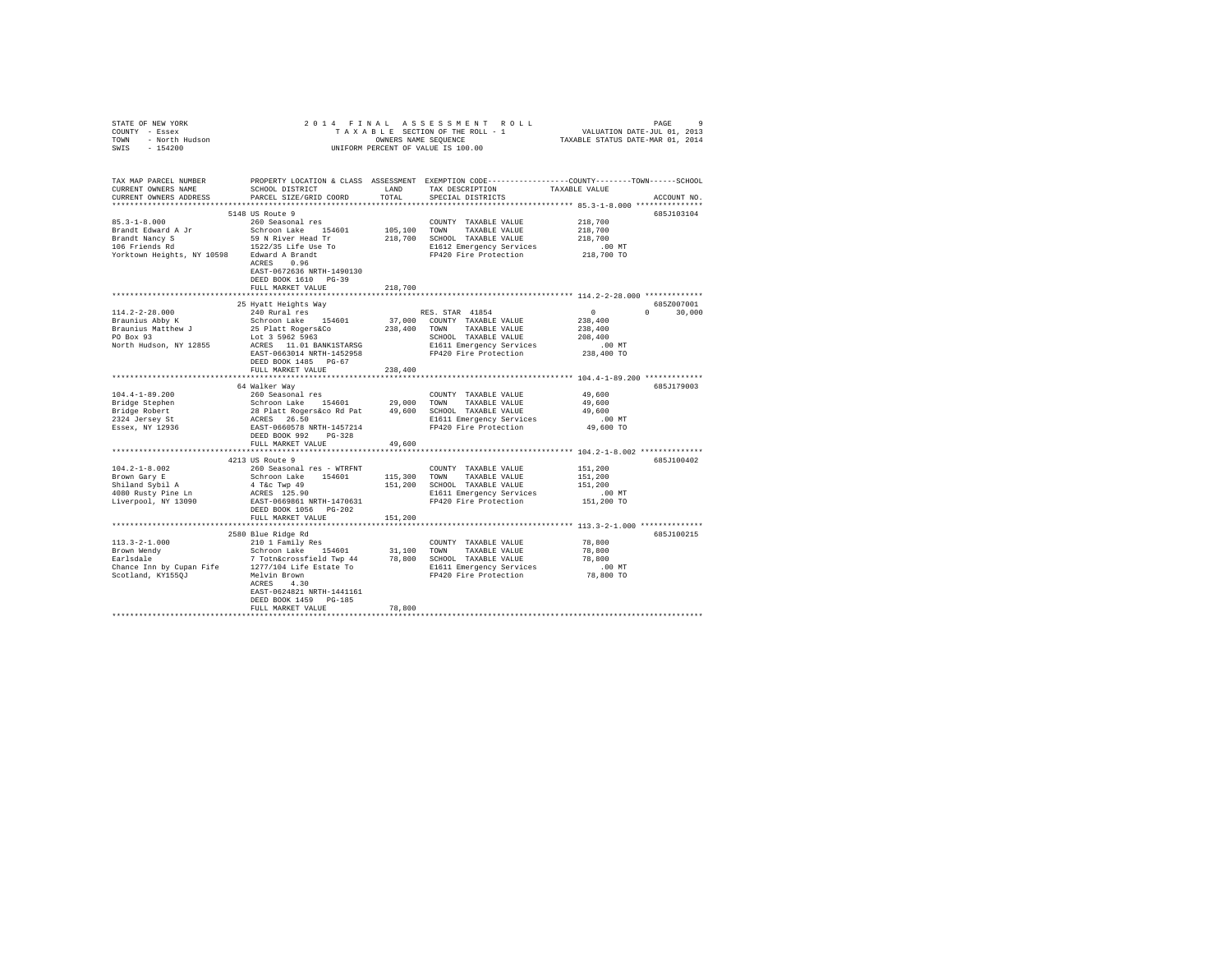| STATE OF NEW YORK<br>STATE OF NEW YORK<br>COUNTY - Essex<br>TOWN - North Hudson<br>SWIS - 154200                                                                                                                                                                                                                                                                                                                             |                                                                                                               |         | 2014 FINAL ASSESSMENT ROLL<br>9 PAGE 9 PAGE 2 O 1 4 FINAL ASSESSMENT ROLL<br>TAXABLE SECTION OF THE ROLL - 1 VALUATION DATE-JUL 01, 2013<br>TAXABLE STATUS DATE-MAR 01, 2014<br>UNIFORM PERCENT OF VALUE IS 100.00 |                                                                 | PAGE<br>9     |
|------------------------------------------------------------------------------------------------------------------------------------------------------------------------------------------------------------------------------------------------------------------------------------------------------------------------------------------------------------------------------------------------------------------------------|---------------------------------------------------------------------------------------------------------------|---------|--------------------------------------------------------------------------------------------------------------------------------------------------------------------------------------------------------------------|-----------------------------------------------------------------|---------------|
| TAX MAP PARCEL NUMBER                                                                                                                                                                                                                                                                                                                                                                                                        |                                                                                                               |         | PROPERTY LOCATION & CLASS ASSESSMENT EXEMPTION CODE----------------COUNTY-------TOWN-----SCHOOL                                                                                                                    |                                                                 | ACCOUNT NO.   |
| $85.3 - 1 - 8.000$<br>Yorktown Heights, NY 10598 Edward A Brandt<br>ACRES 0.96                                                                                                                                                                                                                                                                                                                                               | 5148 US Route 9<br>260 Seasonal res<br>EAST-0672636 NRTH-1490130<br>DEED BOOK 1610 PG-39<br>FULL MARKET VALUE |         | COUNTY TAXABLE VALUE                                                                                                                                                                                               | 218,700                                                         | 685J103104    |
|                                                                                                                                                                                                                                                                                                                                                                                                                              | 25 Hyatt Heights Way                                                                                          | 218,700 |                                                                                                                                                                                                                    |                                                                 | 685Z007001    |
| $114.2 - 2 - 28.000$<br>Example 2010<br>Braunius Abby K<br>Po Box 93<br>Morth Final<br>North Hudson, NY 12855 ACRES 11.01 BANK1STARSG                                                                                                                                                                                                                                                                                        | 240 Rural res<br>DEED BOOK 1485 PG-67<br>FULL MARKET VALUE                                                    | 238,400 | RES. STAR 41854                                                                                                                                                                                                    | $\overline{0}$ and $\overline{0}$ and $\overline{0}$<br>238,400 | $0 \t 30,000$ |
|                                                                                                                                                                                                                                                                                                                                                                                                                              |                                                                                                               |         |                                                                                                                                                                                                                    |                                                                 |               |
| $104.4 - 1 - 89.200$<br>Bridge Stephen<br>Bridge Robert<br>2324 Jersey St<br>Essex, NY 12936                                                                                                                                                                                                                                                                                                                                 | 64 Walker Way<br>260 Seasonal res<br>DEED BOOK 992 PG-328                                                     |         | COUNTY TAXABLE VALUE 49,600                                                                                                                                                                                        |                                                                 | 685J179003    |
|                                                                                                                                                                                                                                                                                                                                                                                                                              | FULL MARKET VALUE                                                                                             | 49,600  |                                                                                                                                                                                                                    |                                                                 |               |
|                                                                                                                                                                                                                                                                                                                                                                                                                              | 4213 US Route 9<br>DEED BOOK 1056 PG-202                                                                      |         |                                                                                                                                                                                                                    |                                                                 | 685J100402    |
|                                                                                                                                                                                                                                                                                                                                                                                                                              | FULL MARKET VALUE                                                                                             | 151,200 |                                                                                                                                                                                                                    |                                                                 |               |
| $\begin{tabular}{lcccc} 113.3-2-1.000 & \textit{2000 NIT} & \textit{2000 NIT} & \textit{TXABLE VALUE} & \textit{2113} & \textit{2121} & \textit{2001} \\ & & & & 210 & 1\text{ ramily Res} & \textit{COUNIT} & \textit{TXABLE VALUE} & \textit{78,800} \\ \textit{Brown Mendy} & & & & & 2\text{Chron Lake} & \textit{154601} & \textit{31,100} & \textit{TONN} & \textit{TXABLE VALUE} & \textit{78,800} \\ \textit{Earlsd$ | EAST-0624821 NRTH-1441161<br>DEED BOOK 1459 PG-185                                                            |         |                                                                                                                                                                                                                    |                                                                 | 685J100215    |
|                                                                                                                                                                                                                                                                                                                                                                                                                              | FULL MARKET VALUE                                                                                             | 78,800  |                                                                                                                                                                                                                    |                                                                 |               |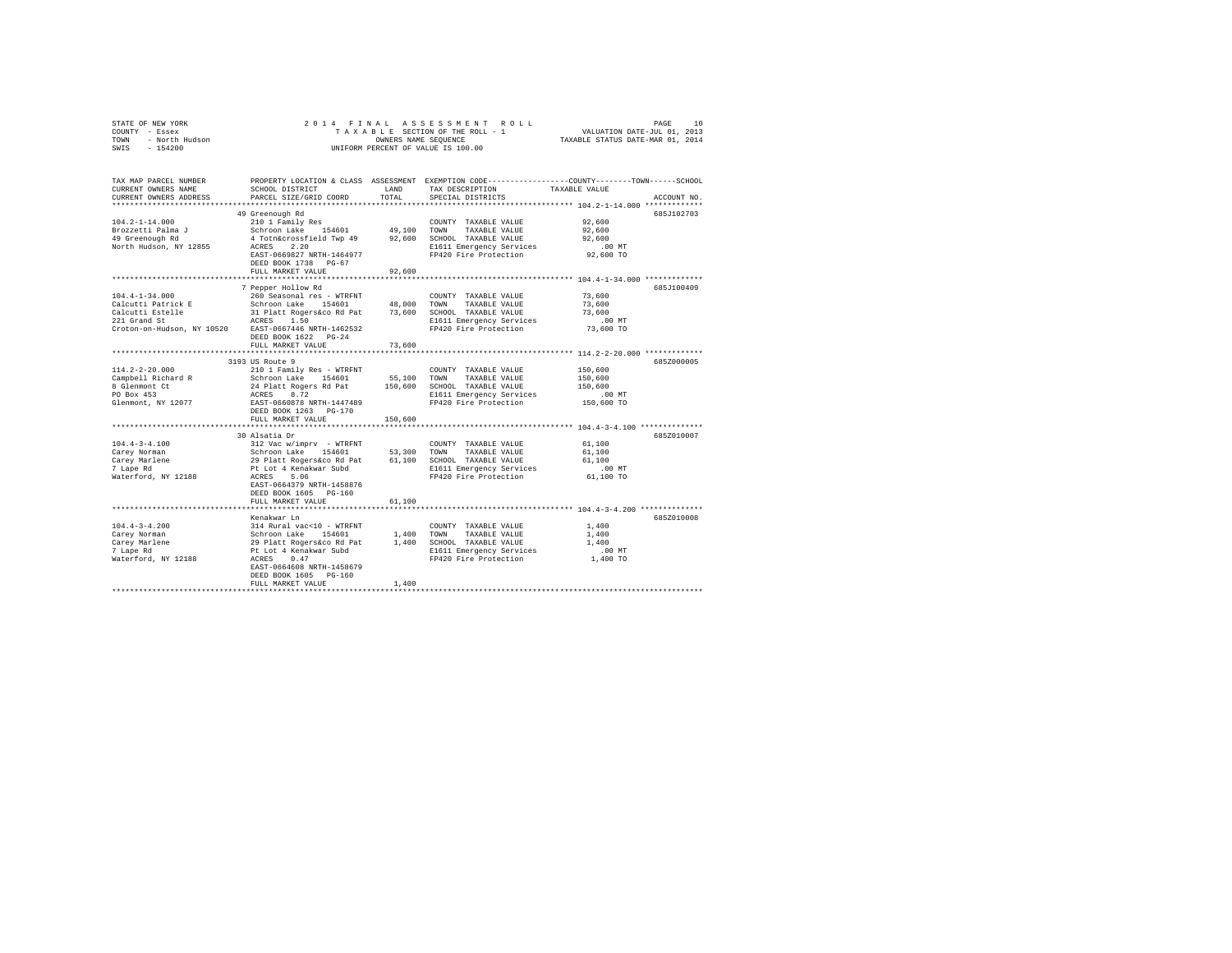|                | STATE OF NEW YORK |  |  |  |  | 2014 FINAL ASSESSMENT ROLL         | PAGE                             | 10 |
|----------------|-------------------|--|--|--|--|------------------------------------|----------------------------------|----|
| COUNTY - Essex |                   |  |  |  |  | TAXABLE SECTION OF THE ROLL - 1    | VALUATION DATE-JUL 01, 2013      |    |
| TOWN           | - North Hudson    |  |  |  |  | OWNERS NAME SEOUENCE               | TAXABLE STATUS DATE-MAR 01, 2014 |    |
| SWIS           | $-154200$         |  |  |  |  | UNIFORM PERCENT OF VALUE IS 100.00 |                                  |    |

| TAX MAP PARCEL NUMBER<br>CURRENT OWNERS NAME<br>CURRENT OWNERS ADDRESS | SCHOOL DISTRICT<br>PARCEL SIZE/GRID COORD           | LAND<br>TOTAL | TAX DESCRIPTION<br>SPECIAL DISTRICTS | PROPERTY LOCATION & CLASS ASSESSMENT EXEMPTION CODE----------------COUNTY-------TOWN-----SCHOOL<br>TAXABLE VALUE<br>ACCOUNT NO. |
|------------------------------------------------------------------------|-----------------------------------------------------|---------------|--------------------------------------|---------------------------------------------------------------------------------------------------------------------------------|
|                                                                        |                                                     |               |                                      |                                                                                                                                 |
|                                                                        | 49 Greenough Rd                                     |               |                                      | 685J102703                                                                                                                      |
| $104.2 - 1 - 14.000$                                                   | 210 1 Family Res                                    |               | COUNTY TAXABLE VALUE                 | 92,600                                                                                                                          |
| Brozzetti Palma J                                                      | Schroon Lake 154601                                 | 49,100 TOWN   | TAXABLE VALUE                        | 92.600                                                                                                                          |
| 49 Greenough Rd                                                        | 4 Totn&crossfield Twp 49                            |               | 92,600 SCHOOL TAXABLE VALUE          | 92,600                                                                                                                          |
| North Hudson, NY 12855                                                 | ACRES<br>2.20                                       |               | E1611 Emergency Services             | .00 MT                                                                                                                          |
|                                                                        | EAST-0669827 NRTH-1464977                           |               | FP420 Fire Protection                | 92,600 TO                                                                                                                       |
|                                                                        | DEED BOOK 1738 PG-67                                |               |                                      |                                                                                                                                 |
|                                                                        | FULL MARKET VALUE                                   | 92,600        |                                      |                                                                                                                                 |
|                                                                        |                                                     |               |                                      |                                                                                                                                 |
|                                                                        | 7 Pepper Hollow Rd                                  |               |                                      | 685J100409                                                                                                                      |
| $104.4 - 1 - 34.000$                                                   | 260 Seasonal res - WTRFNT                           |               | COUNTY TAXABLE VALUE                 | 73,600                                                                                                                          |
| Calcutti Patrick E                                                     | Schroon Lake 154601                                 | 48,000        | TAXABLE VALUE<br>TOWN                | 73,600                                                                                                                          |
| Calcutti Estelle                                                       | 31 Platt Rogers&co Rd Pat<br>ACRES 1.50             | 73,600        | SCHOOL TAXABLE VALUE                 | 73,600                                                                                                                          |
| 221 Grand St                                                           |                                                     |               | E1611 Emergency Services             | .00 MT                                                                                                                          |
| Croton-on-Hudson, NY 10520 EAST-0667446 NRTH-1462532                   |                                                     |               | FP420 Fire Protection                | 73,600 TO                                                                                                                       |
|                                                                        | DEED BOOK 1622 PG-24                                |               |                                      |                                                                                                                                 |
|                                                                        | FULL MARKET VALUE                                   | 73,600        |                                      |                                                                                                                                 |
|                                                                        |                                                     |               |                                      |                                                                                                                                 |
| $114.2 - 2 - 20.000$                                                   | 3193 US Route 9<br>210 1 Family Res - WTRFNT        |               | COUNTY TAXABLE VALUE                 | 685Z000005<br>150,600                                                                                                           |
| Campbell Richard R                                                     | Schroon Lake 154601                                 | 55,100        | TOWN<br>TAXABLE VALUE                | 150,600                                                                                                                         |
| 8 Glenmont Ct                                                          | 24 Platt Rogers Rd Pat                              | 150,600       | SCHOOL TAXABLE VALUE                 | 150,600                                                                                                                         |
| PO Box 453                                                             |                                                     |               | E1611 Emergency Services             | .00 MT                                                                                                                          |
| Glenmont, NY 12077                                                     | ACRES 8.72<br>EAST-0660878 NRTH-1447489             |               | FP420 Fire Protection                | 150,600 TO                                                                                                                      |
|                                                                        | DEED BOOK 1263 PG-170                               |               |                                      |                                                                                                                                 |
|                                                                        | FULL MARKET VALUE                                   | 150,600       |                                      |                                                                                                                                 |
|                                                                        | ***********************                             |               |                                      | *********** 104.4-3-4.100 ************                                                                                          |
|                                                                        | 30 Alsatia Dr                                       |               |                                      | 685Z010007                                                                                                                      |
| $104.4 - 3 - 4.100$                                                    | 312 Vac w/imprv - WTRFNT                            |               | COUNTY TAXABLE VALUE                 | 61,100                                                                                                                          |
| Carey Norman                                                           | Schroon Lake 154601                                 | 53,300 TOWN   | TAXABLE VALUE                        | 61,100                                                                                                                          |
| Carev Marlene                                                          | 29 Platt Rogers&co Rd Pat<br>Pt Lot 4 Kenakwar Subd | 61,100        | SCHOOL TAXABLE VALUE                 | 61,100                                                                                                                          |
| 7 Lape Rd                                                              |                                                     |               | E1611 Emergency Services             | $.00$ MT                                                                                                                        |
| Waterford, NY 12188                                                    | 5.06<br>ACRES                                       |               | FP420 Fire Protection                | 61,100 TO                                                                                                                       |
|                                                                        | EAST-0664379 NRTH-1458876                           |               |                                      |                                                                                                                                 |
|                                                                        | DEED BOOK 1605 PG-160                               |               |                                      |                                                                                                                                 |
|                                                                        | FULL MARKET VALUE                                   | 61,100        |                                      |                                                                                                                                 |
|                                                                        |                                                     |               |                                      |                                                                                                                                 |
|                                                                        | Kenakwar Ln                                         |               |                                      | 685Z010008                                                                                                                      |
| $104.4 - 3 - 4.200$                                                    |                                                     |               | COUNTY TAXABLE VALUE                 | 1,400                                                                                                                           |
| Carey Norman                                                           |                                                     | 1,400 TOWN    | TAXABLE VALUE                        | 1,400                                                                                                                           |
| Carey Marlene                                                          |                                                     |               | 1,400 SCHOOL TAXABLE VALUE           | 1,400                                                                                                                           |
| 7 Lape Rd                                                              |                                                     |               | E1611 Emergency Services             | .00 MT                                                                                                                          |
| Waterford, NY 12188                                                    | EAST-0664608 NRTH-1458679                           |               | FP420 Fire Protection                | 1,400 TO                                                                                                                        |
|                                                                        | DEED BOOK 1605<br>$PG-160$                          |               |                                      |                                                                                                                                 |
|                                                                        | FULL MARKET VALUE                                   | 1,400         |                                      |                                                                                                                                 |
|                                                                        |                                                     |               |                                      |                                                                                                                                 |
|                                                                        |                                                     |               |                                      |                                                                                                                                 |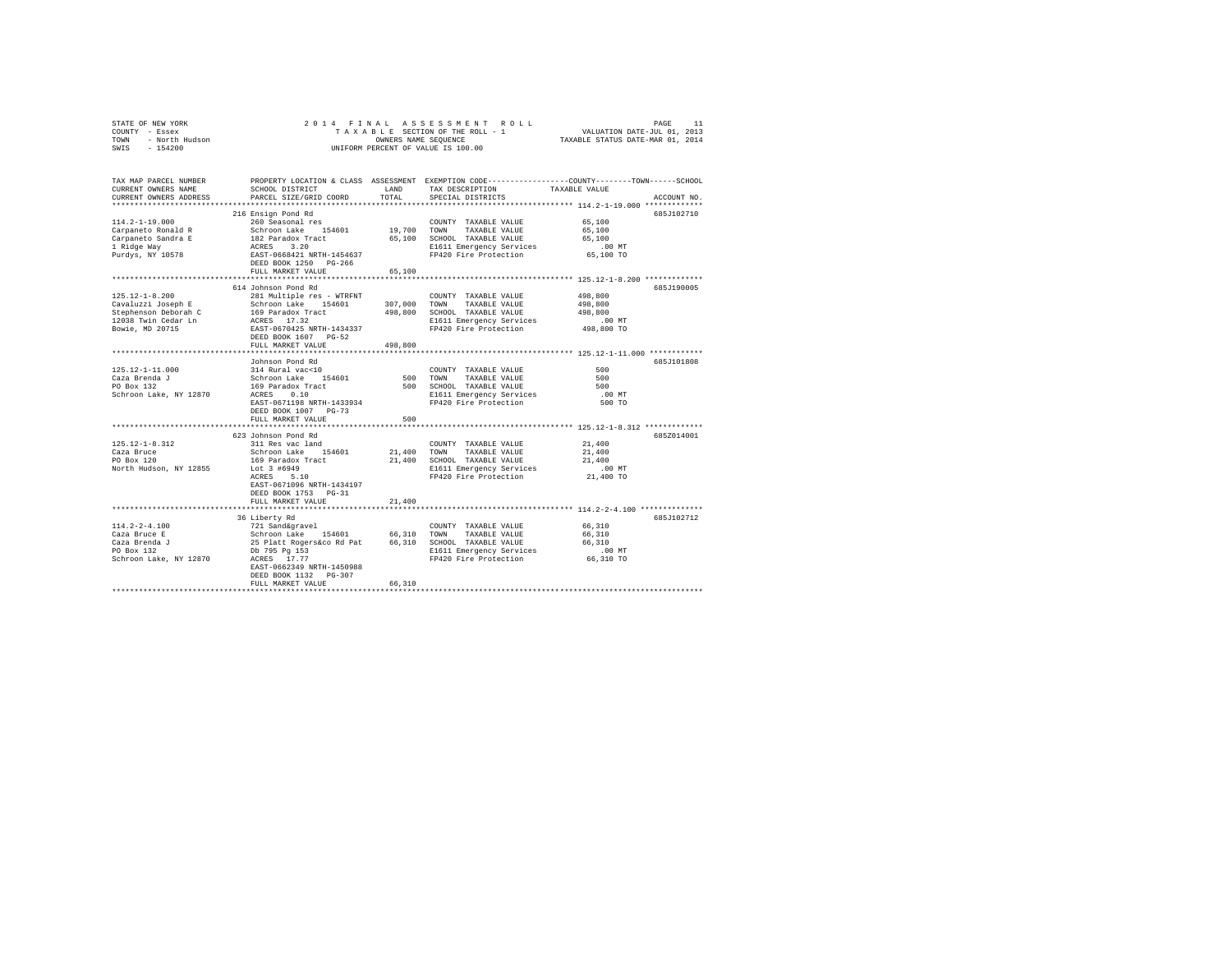| STATE OF NEW YORK 2013<br>COUNTY - Essex<br>TOWN - North Hudson<br>SWIS - 154200 | 2014 FINAL<br>OWNERS NAME SEQUENCE<br>UNIFORM PERCENT OF VALUE IS 100.00                                                                                             |             |                                                                       |                                                                                                                       |
|----------------------------------------------------------------------------------|----------------------------------------------------------------------------------------------------------------------------------------------------------------------|-------------|-----------------------------------------------------------------------|-----------------------------------------------------------------------------------------------------------------------|
|                                                                                  |                                                                                                                                                                      |             |                                                                       |                                                                                                                       |
|                                                                                  |                                                                                                                                                                      |             |                                                                       | TAX MAP PARCEL NUMBER PROPERTY LOCATION & CLASS ASSESSMENT EXEMPTION CODE---------------COUNTY-------TOWN------SCHOOL |
| CURRENT OWNERS NAME                                                              | SCHOOL DISTRICT                                                                                                                                                      | <b>LAND</b> | TAX DESCRIPTION                                                       | TAXABLE VALUE                                                                                                         |
| CURRENT OWNERS ADDRESS                                                           | PARCEL SIZE/GRID COORD                                                                                                                                               | TOTAL       | SPECIAL DISTRICTS                                                     | ACCOUNT NO.                                                                                                           |
|                                                                                  |                                                                                                                                                                      |             |                                                                       | 685J102710                                                                                                            |
| $114.2 - 1 - 19.000$                                                             | 216 Ensign Pond Rd<br>260 Seasonal res                                                                                                                               |             | COUNTY TAXABLE VALUE                                                  | 65,100                                                                                                                |
| Carpaneto Ronald R                                                               |                                                                                                                                                                      | 19,700      | TOWN<br>TAXABLE VALUE                                                 | 65,100                                                                                                                |
| Carpaneto Sandra E                                                               |                                                                                                                                                                      |             | 65,100 SCHOOL TAXABLE VALUE                                           | 65,100                                                                                                                |
| 1 Ridge Way                                                                      |                                                                                                                                                                      |             |                                                                       |                                                                                                                       |
| Purdys, NY 10578                                                                 | Schroon Lake 154601<br>182 Paradox Tract<br>ACRES 3.20<br>EAST-0668421 NRTH-1454637<br>DEED BOOK 1250 PG-266                                                         |             | E1611 Emergency Services .00 MT<br>FP420 Fire Protection  65,100 TO   |                                                                                                                       |
|                                                                                  |                                                                                                                                                                      |             |                                                                       |                                                                                                                       |
|                                                                                  | FULL MARKET VALUE                                                                                                                                                    | 65,100      |                                                                       |                                                                                                                       |
|                                                                                  |                                                                                                                                                                      |             |                                                                       |                                                                                                                       |
|                                                                                  | 614 Johnson Pond Rd                                                                                                                                                  |             |                                                                       | 685J190005                                                                                                            |
| $125.12 - 1 - 8.200$                                                             | 281 Multiple res - WTRFNT                                                                                                                                            |             | COUNTY TAXABLE VALUE                                                  | 498,800                                                                                                               |
| Cavaluzzi Joseph E                                                               | Schroon Lake 154601                                                                                                                                                  |             | 307,000 TOWN TAXABLE VALUE<br>498,800 SCHOOL TAXABLE VALUE            | 498,800<br>498,800                                                                                                    |
| Stephenson Deborah C<br>12038 Twin Cedar Ln                                      |                                                                                                                                                                      |             | E1611 Emergency Services                                              | .00 MT                                                                                                                |
| Bowie, MD 20715                                                                  | 169 Paradox Tract<br>ACRES 17.32<br>EAST-0670425 NRTH-1434337                                                                                                        |             | FP420 Fire Protection                                                 | 498,800 TO                                                                                                            |
|                                                                                  | DEED BOOK 1607 PG-52                                                                                                                                                 |             |                                                                       |                                                                                                                       |
|                                                                                  | FULL MARKET VALUE                                                                                                                                                    | 498,800     |                                                                       |                                                                                                                       |
|                                                                                  |                                                                                                                                                                      |             |                                                                       | ******************************* 125.12-1-11.000 ************                                                          |
|                                                                                  | Johnson Pond Rd                                                                                                                                                      |             |                                                                       | 685J101808                                                                                                            |
|                                                                                  |                                                                                                                                                                      |             | COUNTY TAXABLE VALUE                                                  | 500                                                                                                                   |
|                                                                                  |                                                                                                                                                                      |             | 500 TOWN TAXABLE VALUE                                                | 500                                                                                                                   |
|                                                                                  |                                                                                                                                                                      |             | 500 SCHOOL TAXABLE VALUE                                              | 500<br>.00 MT                                                                                                         |
|                                                                                  | EAST-0671198 NRTH-1433934                                                                                                                                            |             | E1611 Emergency Services<br>FP420 Fire Protection                     | 500 TO                                                                                                                |
|                                                                                  | DEED BOOK 1007 PG-73                                                                                                                                                 |             |                                                                       |                                                                                                                       |
|                                                                                  | FULL MARKET VALUE                                                                                                                                                    | 500         |                                                                       |                                                                                                                       |
|                                                                                  |                                                                                                                                                                      |             |                                                                       |                                                                                                                       |
|                                                                                  | 623 Johnson Pond Rd                                                                                                                                                  |             |                                                                       | 685Z014001                                                                                                            |
| $125.12 - 1 - 8.312$                                                             | 311 Res vac land                                                                                                                                                     |             | COUNTY TAXABLE VALUE                                                  | 21,400                                                                                                                |
| Caza Bruce<br>PO Box 120                                                         | Schroon Lake 154601                                                                                                                                                  |             | 21,400 TOWN TAXABLE VALUE<br>21,400 SCHOOL TAXABLE VALUE              | 21,400                                                                                                                |
| PO Box 120                                                                       | 169 Paradox Tract                                                                                                                                                    |             |                                                                       | 21,400                                                                                                                |
| North Hudson, NY 12855                                                           | Lot 3 #6949<br>ACRES 5.10                                                                                                                                            |             | E1611 Emergency Services<br>FP420 Fire Protection 21,400 TO           | $.00$ MT                                                                                                              |
|                                                                                  | EAST-0671096 NRTH-1434197                                                                                                                                            |             |                                                                       |                                                                                                                       |
|                                                                                  | DEED BOOK 1753 PG-31                                                                                                                                                 |             |                                                                       |                                                                                                                       |
|                                                                                  | FULL MARKET VALUE                                                                                                                                                    | 21,400      |                                                                       |                                                                                                                       |
|                                                                                  | *************************                                                                                                                                            |             |                                                                       | ********************************* 114.2-2-4.100 ***************                                                       |
|                                                                                  | 36 Liberty Rd                                                                                                                                                        |             |                                                                       | 685J102712                                                                                                            |
| $114.2 - 2 - 4.100$                                                              | 721 Sand&gravel                                                                                                                                                      |             | COUNTY TAXABLE VALUE                                                  | 66,310                                                                                                                |
| Caza Bruce E                                                                     |                                                                                                                                                                      |             |                                                                       | 66,310                                                                                                                |
| Caza Brenda J<br>PO Box 132                                                      | Contract Contract 154601 66,310 TOWN TAXABLE VALUE<br>25 Platt Rogerskoo Rd Pat 66,310 SCHOOL TAXABLE VALUE<br>25 Platt Rogerskoo Rd Pat 66,310 SCHOOL TAXABLE VALUE |             |                                                                       | 66,310                                                                                                                |
|                                                                                  |                                                                                                                                                                      |             | E1611 Emergency Services 66,310 TD<br>FP420 Fire Protection 66,310 TO |                                                                                                                       |
| Schroon Lake, NY 12870 ACRES 17.77                                               |                                                                                                                                                                      |             |                                                                       |                                                                                                                       |
|                                                                                  | EAST-0662349 NRTH-1450988<br>DEED BOOK 1132 PG-307                                                                                                                   |             |                                                                       |                                                                                                                       |
|                                                                                  | FULL MARKET VALUE                                                                                                                                                    | 66,310      |                                                                       |                                                                                                                       |
|                                                                                  |                                                                                                                                                                      |             |                                                                       |                                                                                                                       |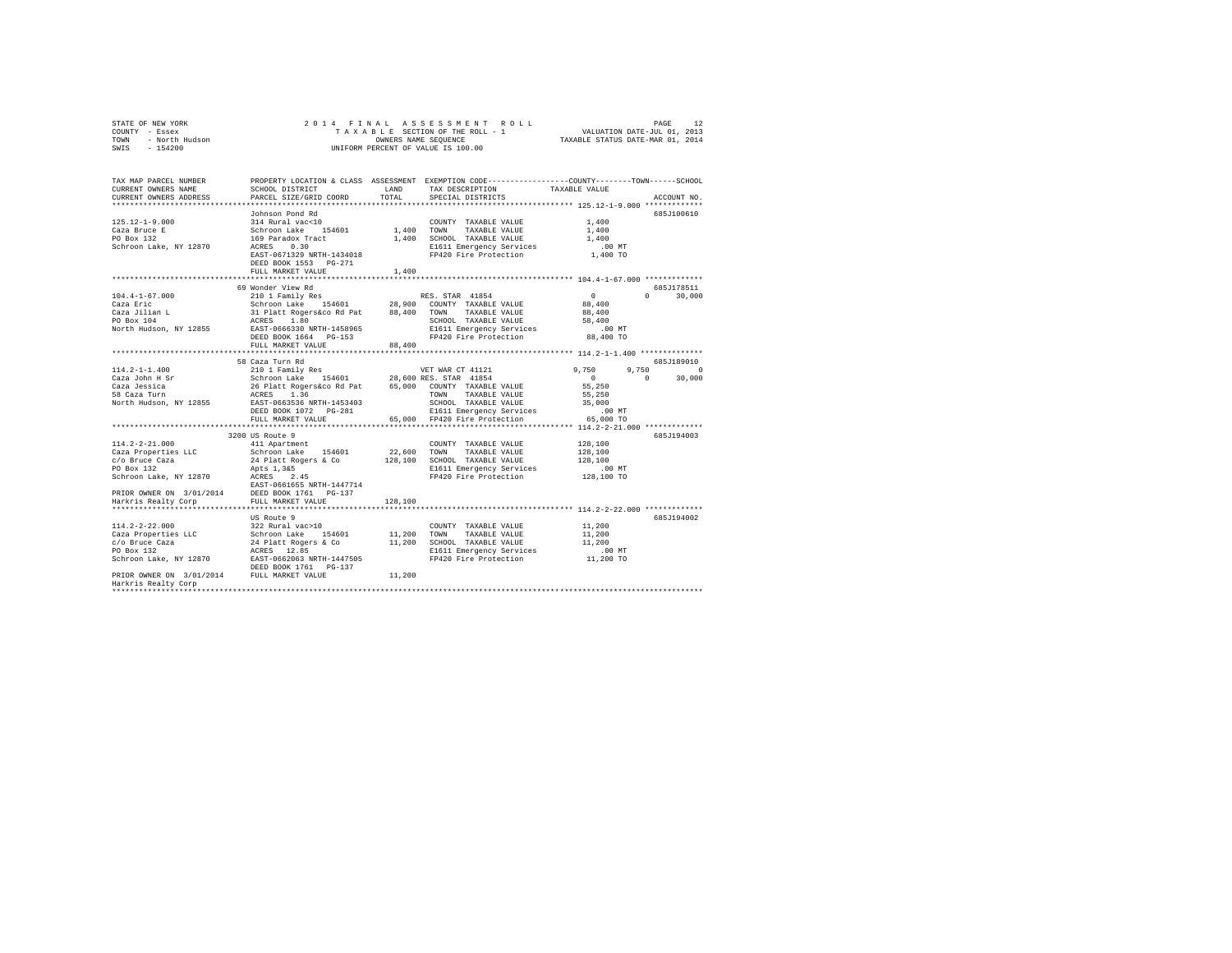| STATE OF NEW YORK |                |  |  | 2014 FINAL ASSESSMENT ROLL         |                                  | PAGE                        | 12 |
|-------------------|----------------|--|--|------------------------------------|----------------------------------|-----------------------------|----|
| COUNTY - Essex    |                |  |  | TAXABLE SECTION OF THE ROLL - 1    |                                  | VALUATION DATE-JUL 01, 2013 |    |
| TOWN              | - North Hudson |  |  | OWNERS NAME SEOUENCE               | TAXABLE STATUS DATE-MAR 01, 2014 |                             |    |
| SWIS - 154200     |                |  |  | UNIFORM PERCENT OF VALUE IS 100.00 |                                  |                             |    |

| TAX MAP PARCEL NUMBER<br>CURRENT OWNERS NAME                                                                                                                                                                                           | SCHOOL DISTRICT                                                                                                                                                                                                                |         | PROPERTY LOCATION & CLASS ASSESSMENT EXEMPTION CODE---------------COUNTY-------TOWN-----SCHOOL<br>LAND TAX DESCRIPTION | TAXABLE VALUE        |                        |
|----------------------------------------------------------------------------------------------------------------------------------------------------------------------------------------------------------------------------------------|--------------------------------------------------------------------------------------------------------------------------------------------------------------------------------------------------------------------------------|---------|------------------------------------------------------------------------------------------------------------------------|----------------------|------------------------|
| CURRENT OWNERS ADDRESS                                                                                                                                                                                                                 | PARCEL SIZE/GRID COORD                                                                                                                                                                                                         | TOTAL   | SPECIAL DISTRICTS                                                                                                      |                      | ACCOUNT NO.            |
|                                                                                                                                                                                                                                        |                                                                                                                                                                                                                                |         |                                                                                                                        |                      |                        |
| 125.12-1-9.000                                                                                                                                                                                                                         | Johnson Pond Rd<br>00011801 HR (2001)<br>2001 March 2001 March 2001 (2001)<br>2001 March 2002 (2001)<br>2003 March 2003 (2001)<br>2003 March 2003 (2001)<br>2003 March 2010 (2011 Emergency Services<br>2010 March 2010 (2012) |         | COUNTY TAXABLE VALUE                                                                                                   | 1,400                | 685J100610             |
| Caza Bruce E                                                                                                                                                                                                                           |                                                                                                                                                                                                                                |         |                                                                                                                        | 1,400                |                        |
| PO Box 132                                                                                                                                                                                                                             |                                                                                                                                                                                                                                |         | 1,400 SCHOOL TAXABLE VALUE                                                                                             | 1,400                |                        |
| Schroon Lake, NY 12870                                                                                                                                                                                                                 |                                                                                                                                                                                                                                |         | E1611 Emergency Services                                                                                               | $.00$ MT             |                        |
|                                                                                                                                                                                                                                        | EAST-0671329 NRTH-1434018                                                                                                                                                                                                      |         | FP420 Fire Protection 1,400 TO                                                                                         |                      |                        |
|                                                                                                                                                                                                                                        | DEED BOOK 1553 PG-271                                                                                                                                                                                                          |         |                                                                                                                        |                      |                        |
|                                                                                                                                                                                                                                        | FULL MARKET VALUE                                                                                                                                                                                                              | 1,400   |                                                                                                                        |                      |                        |
|                                                                                                                                                                                                                                        |                                                                                                                                                                                                                                |         |                                                                                                                        |                      |                        |
|                                                                                                                                                                                                                                        | 69 Wonder View Rd                                                                                                                                                                                                              |         |                                                                                                                        |                      | 685J178511             |
| $104.4 - 1 - 67.000$                                                                                                                                                                                                                   | 210 1 Family Res                                                                                                                                                                                                               |         | RES. STAR 41854                                                                                                        | $\sim$ 0             | $\mathbf{0}$<br>30,000 |
| 104.4-1-67.000 MM (2010) Fassilly Research of Marily Research of Marily Research of Marily Research of Marily R<br>Caza Jilian L (2021) Marily Maria (2021) Marily Marily Marily Marily Marily Marily Marily Marily Marily Marily      |                                                                                                                                                                                                                                |         |                                                                                                                        | 88,400               |                        |
|                                                                                                                                                                                                                                        |                                                                                                                                                                                                                                |         |                                                                                                                        | 88,400               |                        |
|                                                                                                                                                                                                                                        |                                                                                                                                                                                                                                |         | SCHOOL TAXABLE VALUE                                                                                                   | 58,400               |                        |
|                                                                                                                                                                                                                                        |                                                                                                                                                                                                                                |         |                                                                                                                        |                      |                        |
|                                                                                                                                                                                                                                        | DEED BOOK 1664    PG-153                                                                                                                                                                                                       |         | E1611 Emergency Services .00 MT<br>FP420 Fire Protection  88,400 TO                                                    |                      |                        |
|                                                                                                                                                                                                                                        | FULL MARKET VALUE                                                                                                                                                                                                              | 88,400  |                                                                                                                        |                      |                        |
|                                                                                                                                                                                                                                        |                                                                                                                                                                                                                                |         |                                                                                                                        |                      |                        |
|                                                                                                                                                                                                                                        | 58 Caza Turn Rd                                                                                                                                                                                                                |         |                                                                                                                        |                      | 685J189010             |
| $114.2 - 1 - 1.400$                                                                                                                                                                                                                    | 210 1 Family Res                                                                                                                                                                                                               |         | VET WAR CT 41121                                                                                                       | 9,750                | 9,750 0                |
|                                                                                                                                                                                                                                        |                                                                                                                                                                                                                                |         |                                                                                                                        | $0$<br>55,250        | $\mathbf{0}$<br>30,000 |
|                                                                                                                                                                                                                                        |                                                                                                                                                                                                                                |         |                                                                                                                        |                      |                        |
|                                                                                                                                                                                                                                        |                                                                                                                                                                                                                                |         | TOWN TAXABLE VALUE                                                                                                     | 55,250               |                        |
|                                                                                                                                                                                                                                        |                                                                                                                                                                                                                                |         | SCHOOL TAXABLE VALUE                                                                                                   | 35,000               |                        |
|                                                                                                                                                                                                                                        |                                                                                                                                                                                                                                |         | SCHOOL TAAABLE VALUE 51611 E1611 E1611 E1611<br>E1611 E1611 Engregency Services 65,000 FP420 Fire Protection 65,000 TO |                      |                        |
|                                                                                                                                                                                                                                        | FULL MARKET VALUE                                                                                                                                                                                                              |         |                                                                                                                        |                      |                        |
|                                                                                                                                                                                                                                        |                                                                                                                                                                                                                                |         |                                                                                                                        |                      |                        |
|                                                                                                                                                                                                                                        | 3200 US Route 9                                                                                                                                                                                                                |         |                                                                                                                        |                      | 685J194003             |
| $114.2 - 2 - 21.000$                                                                                                                                                                                                                   | 411 Apartment                                                                                                                                                                                                                  |         | COUNTY TAXABLE VALUE                                                                                                   | 128,100              |                        |
|                                                                                                                                                                                                                                        |                                                                                                                                                                                                                                |         |                                                                                                                        | 128,100              |                        |
| aza da a                                                                                                                                                                                                                               |                                                                                                                                                                                                                                |         | 128,100 SCHOOL TAXABLE VALUE                                                                                           | 128,100              |                        |
| PO Box 132                                                                                                                                                                                                                             | Apts 1, 3&5<br>ACRES 2.45                                                                                                                                                                                                      |         | E1611 Emergency Services                                                                                               | 00 MT.<br>128,100 TO |                        |
| Schroon Lake, NY 12870                                                                                                                                                                                                                 |                                                                                                                                                                                                                                |         | FP420 Fire Protection                                                                                                  |                      |                        |
|                                                                                                                                                                                                                                        |                                                                                                                                                                                                                                |         |                                                                                                                        |                      |                        |
|                                                                                                                                                                                                                                        |                                                                                                                                                                                                                                |         |                                                                                                                        |                      |                        |
|                                                                                                                                                                                                                                        |                                                                                                                                                                                                                                | 128,100 |                                                                                                                        |                      |                        |
|                                                                                                                                                                                                                                        |                                                                                                                                                                                                                                |         |                                                                                                                        |                      |                        |
| $114.2 - 2 - 22.000$                                                                                                                                                                                                                   | US Route 9<br>322 Rural vac>10                                                                                                                                                                                                 |         | COUNTY TAXABLE VALUE 11,200                                                                                            |                      | 685J194002             |
|                                                                                                                                                                                                                                        |                                                                                                                                                                                                                                |         |                                                                                                                        |                      |                        |
| 11,200 TOWN TAXABLE VALUE<br>Caza Properties LLC 3chroon Lake 154601 11,200 TOWN TAXABLE VALUE<br>CO Bruce Caza 22 24 Platt Rogers & Co 11,200 SCHOOL TAXABLE VALUE<br>PO Box 132 24 PLATE 1447505 11611 Emergency Services<br>Schroon |                                                                                                                                                                                                                                |         |                                                                                                                        | 11,200<br>11,200     |                        |
|                                                                                                                                                                                                                                        |                                                                                                                                                                                                                                |         | E1611 Emergency Services                                                                                               |                      |                        |
|                                                                                                                                                                                                                                        |                                                                                                                                                                                                                                |         | FP420 Fire Protection 11,200 TO                                                                                        | $.00$ MT             |                        |
|                                                                                                                                                                                                                                        | DEED BOOK 1761 PG-137                                                                                                                                                                                                          |         |                                                                                                                        |                      |                        |
| PRIOR OWNER ON 3/01/2014 FULL MARKET VALUE 11,200                                                                                                                                                                                      |                                                                                                                                                                                                                                |         |                                                                                                                        |                      |                        |
| Harkris Realty Corp                                                                                                                                                                                                                    |                                                                                                                                                                                                                                |         |                                                                                                                        |                      |                        |
|                                                                                                                                                                                                                                        |                                                                                                                                                                                                                                |         |                                                                                                                        |                      |                        |
|                                                                                                                                                                                                                                        |                                                                                                                                                                                                                                |         |                                                                                                                        |                      |                        |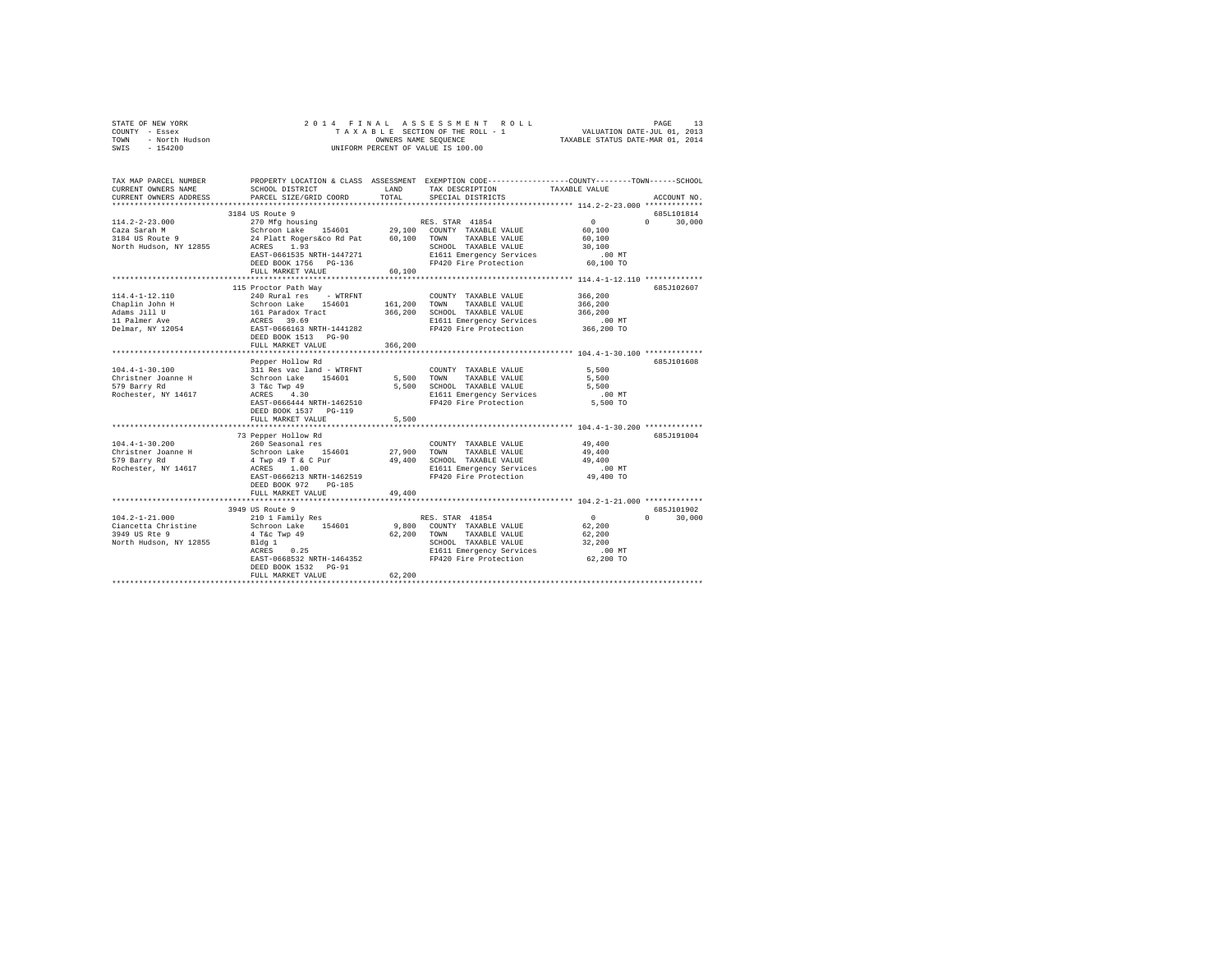| STATE OF NEW YORK<br>COUNTY - Essex<br>TOWN<br>- North Hudson<br>SWIS - 154200    |                                                                                                                                    |            | 2014 FINAL ASSESSMENT ROLL<br>TAXABLE SECTION OF THE ROLL - 1 VALUATION DATE-JUL 01, 2013<br>OWNERS NAME SEQUENCE TAXABLE STATUS DATE-MAR 01, 2014<br>UNIFORM PERCENT OF VALUE IS 100.00 |                       | PAGE<br>13             |
|-----------------------------------------------------------------------------------|------------------------------------------------------------------------------------------------------------------------------------|------------|------------------------------------------------------------------------------------------------------------------------------------------------------------------------------------------|-----------------------|------------------------|
|                                                                                   |                                                                                                                                    |            |                                                                                                                                                                                          |                       |                        |
| TAX MAP PARCEL NUMBER<br>CURRENT OWNERS NAME                                      | PROPERTY LOCATION & CLASS ASSESSMENT EXEMPTION CODE----------------COUNTY-------TOWN-----SCHOOL<br>SCHOOL DISTRICT                 | T.AND      | TAX DESCRIPTION TAXABLE VALUE                                                                                                                                                            |                       |                        |
|                                                                                   | CURRENT OWNERS ADDRESS PARCEL SIZE/GRID COORD TOTAL                                                                                |            | SPECIAL DISTRICTS                                                                                                                                                                        |                       | ACCOUNT NO.            |
|                                                                                   | 3184 US Route 9                                                                                                                    |            |                                                                                                                                                                                          |                       | 685L101814             |
| $114.2 - 2 - 23.000$<br>Caza Sarah M<br>3184 US Route 9<br>North Hudson, NY 12855 | Schroon Lake 154601 29,100 COUNTY TAXABLE VALUE 60,100<br>24 Platt Rogers&co Rd Pat 60,100 TOWN TAXABLE VALUE 60,100<br>ACRES 1.93 |            | 270 Mfg housing 50 RES. STAR 41854<br>SCHOOL TAXABLE VALUE                                                                                                                               | $\sim$ 0<br>30,100    | $\mathbf{a}$<br>30,000 |
|                                                                                   | EAST-0661535 NRTH-1447271<br>DEED BOOK 1756 PG-136<br>FULL MARKET VALUE                                                            | 60,100     | E1611 Emergency Services<br>FP420 Fire Protection                                                                                                                                        | $.00$ MT<br>60,100 TO |                        |
|                                                                                   | 115 Proctor Path Way                                                                                                               |            |                                                                                                                                                                                          |                       | 6857102607             |
| $114.4 - 1 - 12.110$                                                              | 240 Rural res - WTRFNT                                                                                                             |            | COUNTY TAXABLE VALUE                                                                                                                                                                     | 366,200               |                        |
| Chaplin John H                                                                    | Schroon Lake 154601 161,200 TOWN                                                                                                   |            | TAXABLE VALUE                                                                                                                                                                            | 366,200               |                        |
| Adams Jill U                                                                      | 161 Paradox Tract                                                                                                                  | 366,200    | SCHOOL TAXABLE VALUE                                                                                                                                                                     | 366,200               |                        |
| 11 Palmer Ave                                                                     | ACRES 39.69                                                                                                                        |            | E1611 Emergency Services                                                                                                                                                                 | .00 MT                |                        |
| Delmar, NY 12054                                                                  | EAST-0666163 NRTH-1441282<br>DEED BOOK 1513 PG-90                                                                                  |            | FP420 Fire Protection 366,200 TO                                                                                                                                                         |                       |                        |
|                                                                                   | FULL MARKET VALUE                                                                                                                  | 366, 200   |                                                                                                                                                                                          |                       |                        |
|                                                                                   |                                                                                                                                    |            |                                                                                                                                                                                          |                       |                        |
| $104.4 - 1 - 30.100$                                                              | Pepper Hollow Rd<br>311 Res vac land - WTRFNT                                                                                      |            | COUNTY TAXABLE VALUE                                                                                                                                                                     | 5,500                 | 685J101608             |
| Christner Joanne H                                                                | Schroon Lake 154601                                                                                                                | 5.500 TOWN | TAXABLE VALUE 5,500                                                                                                                                                                      |                       |                        |
| 579 Barry Rd                                                                      | $3$ T&C Twp $49$                                                                                                                   | 5,500      | SCHOOL TAXABLE VALUE                                                                                                                                                                     | 5,500                 |                        |
| Rochester, NY 14617                                                               | ACRES 4.30                                                                                                                         |            | E1611 Emergency Services                                                                                                                                                                 | .00 MT                |                        |
|                                                                                   | EAST-0666444 NRTH-1462510<br>DEED BOOK 1537 PG-119                                                                                 |            | FP420 Fire Protection                                                                                                                                                                    | 5,500 TO              |                        |
|                                                                                   | FULL MARKET VALUE                                                                                                                  | 5,500      |                                                                                                                                                                                          |                       |                        |
|                                                                                   | 73 Pepper Hollow Rd                                                                                                                |            |                                                                                                                                                                                          |                       | 685J191004             |
| $104.4 - 1 - 30.200$                                                              | 260 Seasonal res                                                                                                                   |            | COUNTY TAXABLE VALUE                                                                                                                                                                     | 49,400                |                        |
| Christner Joanne H                                                                | Schroon Lake 154601                                                                                                                | 27,900     | TOWN<br>TAXABLE VALUE                                                                                                                                                                    | 49,400                |                        |
|                                                                                   |                                                                                                                                    |            |                                                                                                                                                                                          |                       |                        |

| 579 Barry Rd           | 4 Twp 49 T & C Pur        | 49,400 | SCHOOL TAXABLE VALUE     | 49,400    |                        |
|------------------------|---------------------------|--------|--------------------------|-----------|------------------------|
| Rochester, NY 14617    | ACRES 1.00                |        | E1611 Emergency Services | $.00$ MT  |                        |
|                        | EAST-0666213 NRTH-1462519 |        | FP420 Fire Protection    | 49,400 TO |                        |
|                        | DEED BOOK 972<br>PG-185   |        |                          |           |                        |
|                        | FULL MARKET VALUE         | 49,400 |                          |           |                        |
|                        |                           |        |                          |           | *************          |
|                        | 3949 US Route 9           |        |                          |           | 685J101902             |
| $104.2 - 1 - 21.000$   | 210 1 Family Res          |        | RES. STAR 41854          |           | 30,000<br>$\mathbf{r}$ |
| Ciancetta Christine    | 154601<br>Schroon Lake    | 9,800  | COUNTY TAXABLE VALUE     | 62,200    |                        |
| 3949 US Rte 9          | 4 T&c Twp 49              | 62,200 | TOWN<br>TAXABLE VALUE    | 62,200    |                        |
| North Hudson, NY 12855 | Bldg 1                    |        | SCHOOL TAXABLE VALUE     | 32,200    |                        |
|                        | 0.25<br>ACRES             |        | E1611 Emergency Services | $.00$ MT  |                        |
|                        | EAST-0668532 NRTH-1464352 |        | FP420 Fire Protection    | 62,200 TO |                        |
|                        | DEED BOOK 1532 PG-91      |        |                          |           |                        |
|                        | FULL MARKET VALUE         | 62,200 |                          |           |                        |
|                        |                           |        |                          |           |                        |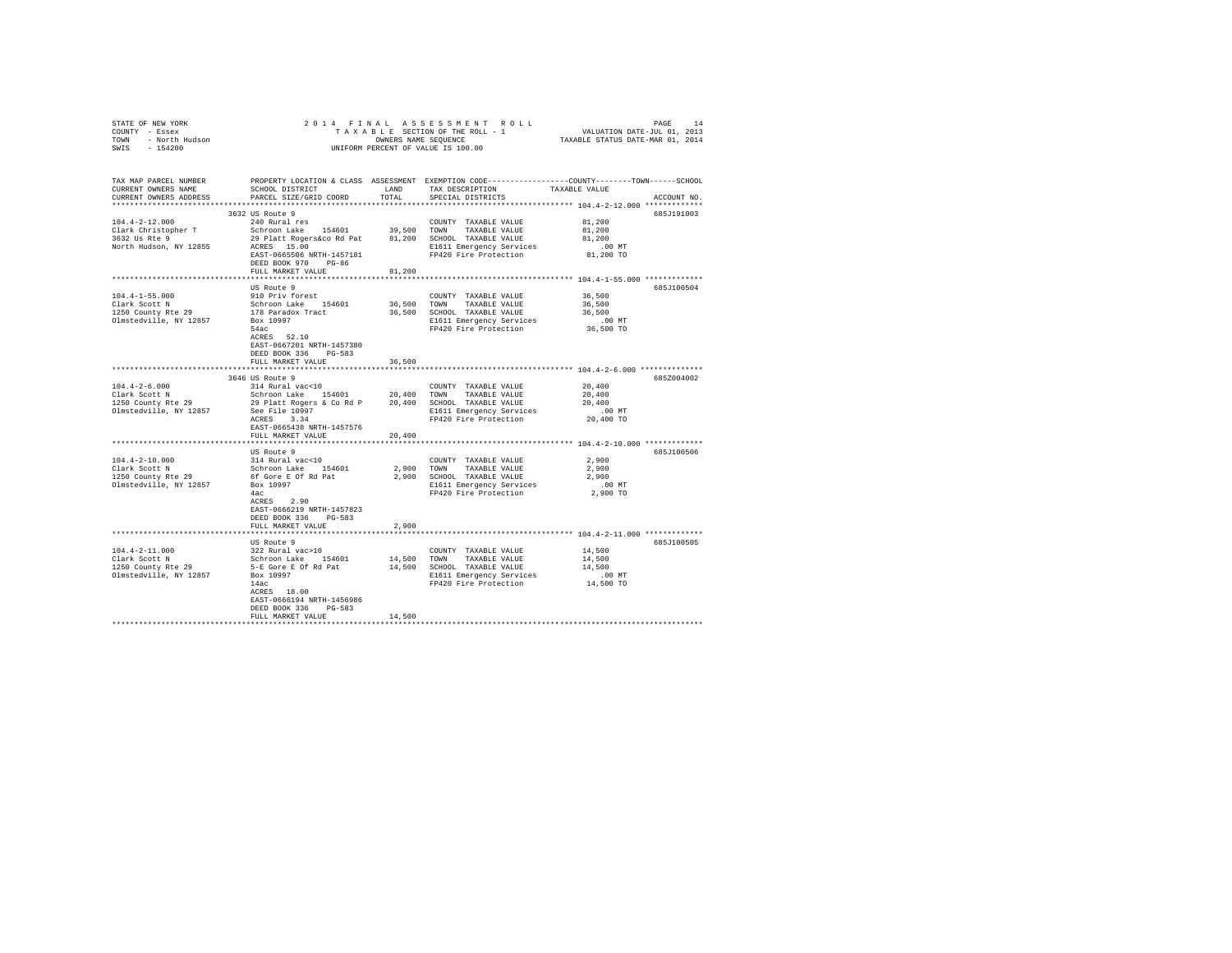| CURRENT OWNERS NAME<br>CURRENT OWNERS ADDRESS PARCEL SIZE/GRID COORD TOTAL |                                                                                                     |        | SCHOOL DISTRICT                    LAND       TAX DESCRIPTION                  TAXABLE VALUE<br>SPECIAL DISTRICTS | TAX MAP PARCEL NUMBER THE PROPERTY LOCATION & CLASS ASSESSMENT EXEMPTION CODE-------------COUNTY-------TOWN-----SCHOOL<br>ACCOUNT NO. |
|----------------------------------------------------------------------------|-----------------------------------------------------------------------------------------------------|--------|-------------------------------------------------------------------------------------------------------------------|---------------------------------------------------------------------------------------------------------------------------------------|
| 104.4-2-12.000 240 Rural res                                               | 3632 US Route 9<br>FULL MARKET VALUE                                                                | 81,200 | COUNTY TAXABLE VALUE                                                                                              | 685J191003<br>81,200                                                                                                                  |
|                                                                            | US Route 9<br>ACRES 52.10<br>EAST-0667201 NRTH-1457380<br>DEED BOOK 336 PG-583<br>FULL MARKET VALUE | 36,500 |                                                                                                                   | 685J100504                                                                                                                            |
|                                                                            |                                                                                                     |        |                                                                                                                   |                                                                                                                                       |
|                                                                            | FULL MARKET VALUE 20,400                                                                            |        |                                                                                                                   | 685Z004002                                                                                                                            |
|                                                                            |                                                                                                     |        |                                                                                                                   |                                                                                                                                       |
|                                                                            | US Route 9<br>ACRES 2.90<br>EAST-0666219 NRTH-1457823<br>DEED BOOK 336 PG-583                       |        |                                                                                                                   | 685J100506                                                                                                                            |
|                                                                            | FULL MARKET VALUE                                                                                   | 2,900  |                                                                                                                   |                                                                                                                                       |
|                                                                            | EAST-0666194 NRTH-1456986<br>DEED BOOK 336 PG-583<br>FULL MARKET VALUE                              | 14,500 |                                                                                                                   | 685J100505                                                                                                                            |
|                                                                            |                                                                                                     |        |                                                                                                                   |                                                                                                                                       |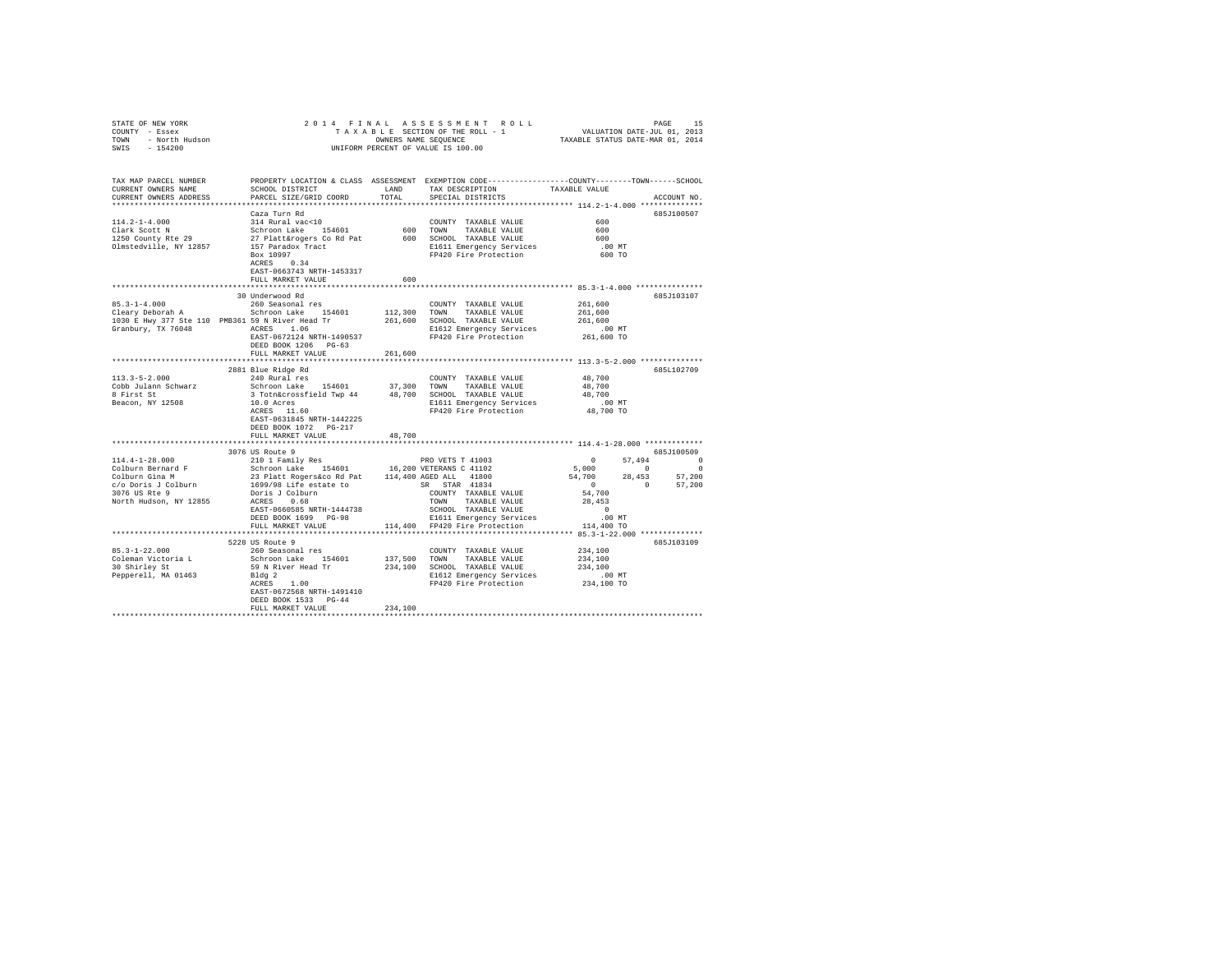|                       | $\begin{array}{cccccccccccc} \texttt{STATE OF NEW YORK} & \texttt{OREN} & \texttt{ORR} & \texttt{ORR} & \texttt{ORR} & \texttt{ORR} & \texttt{ORR} & \texttt{ORR} & \texttt{ORR} & \texttt{ORR} & \texttt{ORR} & \texttt{ORR} & \texttt{ORR} & \texttt{ORR} & \texttt{ORR} & \texttt{ORR} & \texttt{ORR} & \texttt{ORR} & \texttt{ORR} & \texttt{ORR} & \texttt{ORR} & \texttt{ORR} & \texttt{ORR} & \texttt{ORR} & \texttt{ORR} & \texttt{ORR} & \$ |         |                                                                                                |                                      |             |
|-----------------------|------------------------------------------------------------------------------------------------------------------------------------------------------------------------------------------------------------------------------------------------------------------------------------------------------------------------------------------------------------------------------------------------------------------------------------------------------|---------|------------------------------------------------------------------------------------------------|--------------------------------------|-------------|
| TAX MAP PARCEL NUMBER |                                                                                                                                                                                                                                                                                                                                                                                                                                                      |         | PROPERTY LOCATION & CLASS ASSESSMENT EXEMPTION CODE---------------COUNTY-------TOWN-----SCHOOL |                                      | ACCOUNT NO. |
|                       | Caza Turn Rd<br>$114.2-1-4.000$ $134 \text{ Rural vac}10$ $1250 \text{ County Rke } 29$ COUNTY TAXABLE VALUE<br>1250 County Ree 29<br>137 Paradox Taxable USS (1900 TOWN TAXABLE VALUE<br>1250 County Ree 29<br>27 Plattárogers Cord Pat<br>27 Paradox Track 600 SCHOOL TAXABLE<br>EAST-0663743 NRTH-1453317                                                                                                                                         |         |                                                                                                | 600<br>600<br>600<br>.00MT<br>600 TO | 685.T100507 |
|                       | FULL MARKET VALUE                                                                                                                                                                                                                                                                                                                                                                                                                                    | 600     |                                                                                                |                                      |             |
|                       | 30 Underwood Rd<br>FULL MARKET VALUE 261,600                                                                                                                                                                                                                                                                                                                                                                                                         |         |                                                                                                |                                      | 685J103107  |
|                       |                                                                                                                                                                                                                                                                                                                                                                                                                                                      |         |                                                                                                |                                      |             |
|                       |                                                                                                                                                                                                                                                                                                                                                                                                                                                      |         |                                                                                                |                                      |             |
| $113.3 - 5 - 2.000$   | 2881 Blue Ridge Rd<br>240 Rural res<br>113.3-0-2.000<br>Cobb Julann Schwarz Schroon Lake 154601 37,300 TOWN TAXABLE VALUE 48,700<br>8 First St 3 Totnacrossfield Twp 44 48,700 SCHOOL TAXABLE VALUE 48,700<br>8 First St 3 Totnacrossfield Twp 44 48,700 SCHOOL TAXABLE VAL<br>EAST-0631845 NRTH-1442225<br>DEED BOOK 1072 PG-217<br>FULL MARKET VALUE                                                                                               | 48,700  | COUNTY TAXABLE VALUE                                                                           | 48,700                               | 685L102709  |
|                       |                                                                                                                                                                                                                                                                                                                                                                                                                                                      |         |                                                                                                |                                      |             |
|                       | 3076 US Route 9                                                                                                                                                                                                                                                                                                                                                                                                                                      |         |                                                                                                |                                      | 685J100509  |
|                       | NOTES UNITY IN TAXABLE VALUE 28,453<br>RASES 0.68 TOWN TAXABLE VALUE 28,453<br>RAST-0660585 NRTH-1444738 SCHOOL TAXABLE VALUE 28,453<br>DEED BOOK 1699 PG-98 EI611 Emergency Services 10 MT<br>FULL MARKET VALUE 114,400 FP420 Fire Pr                                                                                                                                                                                                               |         |                                                                                                | 54,700                               |             |
|                       |                                                                                                                                                                                                                                                                                                                                                                                                                                                      |         |                                                                                                |                                      |             |
| $85.3 - 1 - 22.000$   | 5228 US Route 9<br>260 Seasonal res<br>EAST-0672568 NRTH-1491410<br>DEED BOOK 1533 PG-44<br>FULL MARKET VALUE                                                                                                                                                                                                                                                                                                                                        | 234,100 | COUNTY TAXABLE VALUE 234,100                                                                   |                                      | 685J103109  |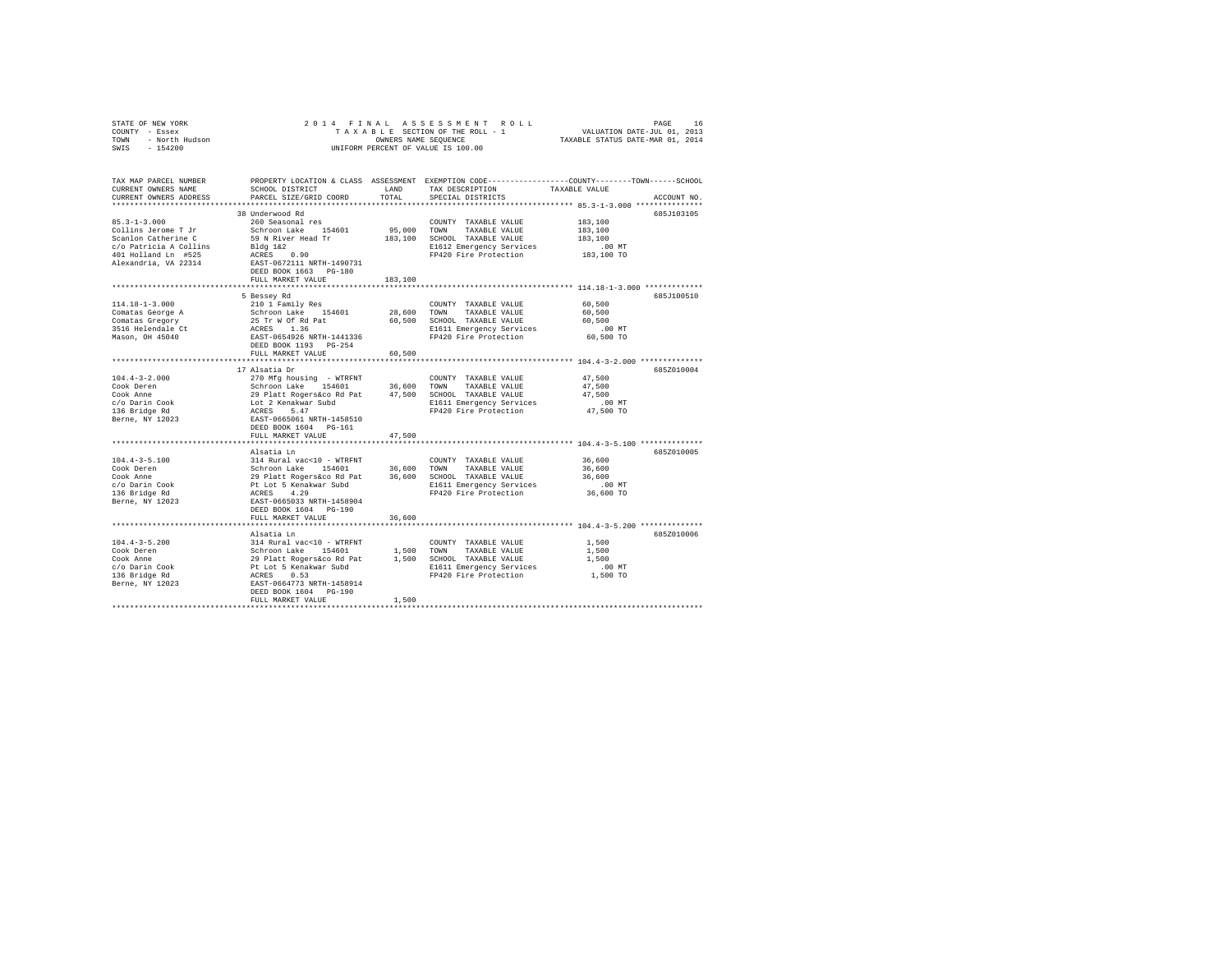| STATE OF NEW YORK<br>COUNTY - Essex<br>TOWN - North Hudson<br>SWIS - 154200                                                                                         |                                                                                                                                                                                                                                                                                                                                  |                        | 2014 FINAL ASSESSMENT ROLL<br>UNIFORM PERCENT OF VALUE IS 100.00                                                            | PAGE<br>16                                                                                                    |
|---------------------------------------------------------------------------------------------------------------------------------------------------------------------|----------------------------------------------------------------------------------------------------------------------------------------------------------------------------------------------------------------------------------------------------------------------------------------------------------------------------------|------------------------|-----------------------------------------------------------------------------------------------------------------------------|---------------------------------------------------------------------------------------------------------------|
| TAX MAP PARCEL NUMBER<br>CURRENT OWNERS NAME<br>CURRENT OWNERS ADDRESS                                                                                              | PARCEL SIZE/GRID COORD TOTAL                                                                                                                                                                                                                                                                                                     |                        | SCHOOL DISTRICT                          LAND          TAX DESCRIPTION                   TAXABLE VALUE<br>SPECIAL DISTRICTS | PROPERTY LOCATION & CLASS ASSESSMENT EXEMPTION CODE---------------COUNTY-------TOWN-----SCHOOL<br>ACCOUNT NO. |
| $85.3 - 1 - 3.000$<br>Collins Jerome T Jr<br>Scanlon Catherine C<br>c/o Patricia A Collins<br>401 Holland Ln #525<br>Alexandria, VA 22314 EAST-0672111 NRTH-1490731 | 38 Underwood Rd<br>260 Seasonal res<br>Schroon Lake 154601<br>59 N River Head Tr<br>Bldg 1&2<br>ACRES 0.90<br>DEED BOOK 1663 PG-180<br>FULL MARKET VALUE                                                                                                                                                                         | 95,000 TOWN<br>183,100 | COUNTY TAXABLE VALUE<br>TAXABLE VALUE<br>183,100 SCHOOL TAXABLE VALUE<br>E1612 Emergency Services<br>FP420 Fire Protection  | 685J103105<br>183,100<br>183,100<br>183,100<br>.00 MT<br>183,100 TO                                           |
|                                                                                                                                                                     | 5 Bessey Rd                                                                                                                                                                                                                                                                                                                      |                        |                                                                                                                             | 685J100510                                                                                                    |
| $114.18 - 1 - 3.000$<br>Comatas George A<br>Comatas Gregory<br>3516 Helendale Ct<br>Mason, OH 45040                                                                 | 210 1 Family Res<br>Schroon Lake 154601<br>25 Tr W Of Rd Pat<br>ACRES 1.36<br>EAST-0654926 NRTH-1441336<br>DEED BOOK 1193 PG-254<br>FULL MARKET VALUE                                                                                                                                                                            | 28,600 TOWN<br>60,500  | COUNTY TAXABLE VALUE<br>TAXABLE VALUE<br>60.500 SCHOOL TAXABLE VALUE<br>E1611 Emergency Services<br>FP420 Fire Protection   | 60,500<br>60,500<br>60,500<br>.00 MT<br>60,500 TO                                                             |
|                                                                                                                                                                     |                                                                                                                                                                                                                                                                                                                                  |                        |                                                                                                                             |                                                                                                               |
| $104.4 - 3 - 2.000$<br>Cook Deren<br>Cook Anne<br>c/o Darin Cook<br>136 Bridge Rd<br>Berne, NY 12023                                                                | 17 Alsatia Dr<br>DEED BOOK 1604 PG-161<br>FULL MARKET VALUE                                                                                                                                                                                                                                                                      | 47.500                 | E1611 Emergency Services<br>FP420 Fire Protection                                                                           | 685Z010004<br>47,500<br>47.500<br>47.500<br>.00MT<br>$47,500$ TO                                              |
|                                                                                                                                                                     |                                                                                                                                                                                                                                                                                                                                  |                        |                                                                                                                             |                                                                                                               |
| $104.4 - 3 - 5.100$<br>Cook Deren<br>Cook Anne<br>c/o Darin Cook<br>136 Bridge Rd<br>Berne, NY 12023                                                                | Alsatia Ln<br>DEED BOOK 1604 PG-190<br>FULL MARKET VALUE                                                                                                                                                                                                                                                                         |                        | E1611 Emergency Services<br>FP420 Fire Protection                                                                           | 685Z010005<br>36,600<br>36,600<br>36,600<br>$.00$ MT<br>36,600 TO                                             |
|                                                                                                                                                                     |                                                                                                                                                                                                                                                                                                                                  | 36,600                 |                                                                                                                             |                                                                                                               |
| $104.4 - 3 - 5.200$<br>Cook Deren<br>Cook Anne<br>c/o Darin Cook<br>136 Bridge Rd<br>Berne, NY 12023                                                                | Alsatia Ln<br>314 Rural vac<10 - WTRFNT<br>912 Anian Valley 1,500 TOWN TAXABLE VALUE 29 Platt Rogersico Rd Pat 1,500 TOWN TAXABLE VALUE 29 Platt Regersico Rd Pat 1,500 SCHOOL TAXABLE VALUE 20 ACRES 0.53<br>Pt Lot 5 Kenakwar Subd 51611 Energency Services<br>RCRES 0.53<br>EXS<br>DEED BOOK 1604 PG-190<br>FULL MARKET VALUE | 1,500                  | COUNTY TAXABLE VALUE                                                                                                        | 685Z010006<br>1,500<br>1,500<br>1,500<br>.00MT<br>1,500 TO                                                    |
|                                                                                                                                                                     |                                                                                                                                                                                                                                                                                                                                  |                        |                                                                                                                             |                                                                                                               |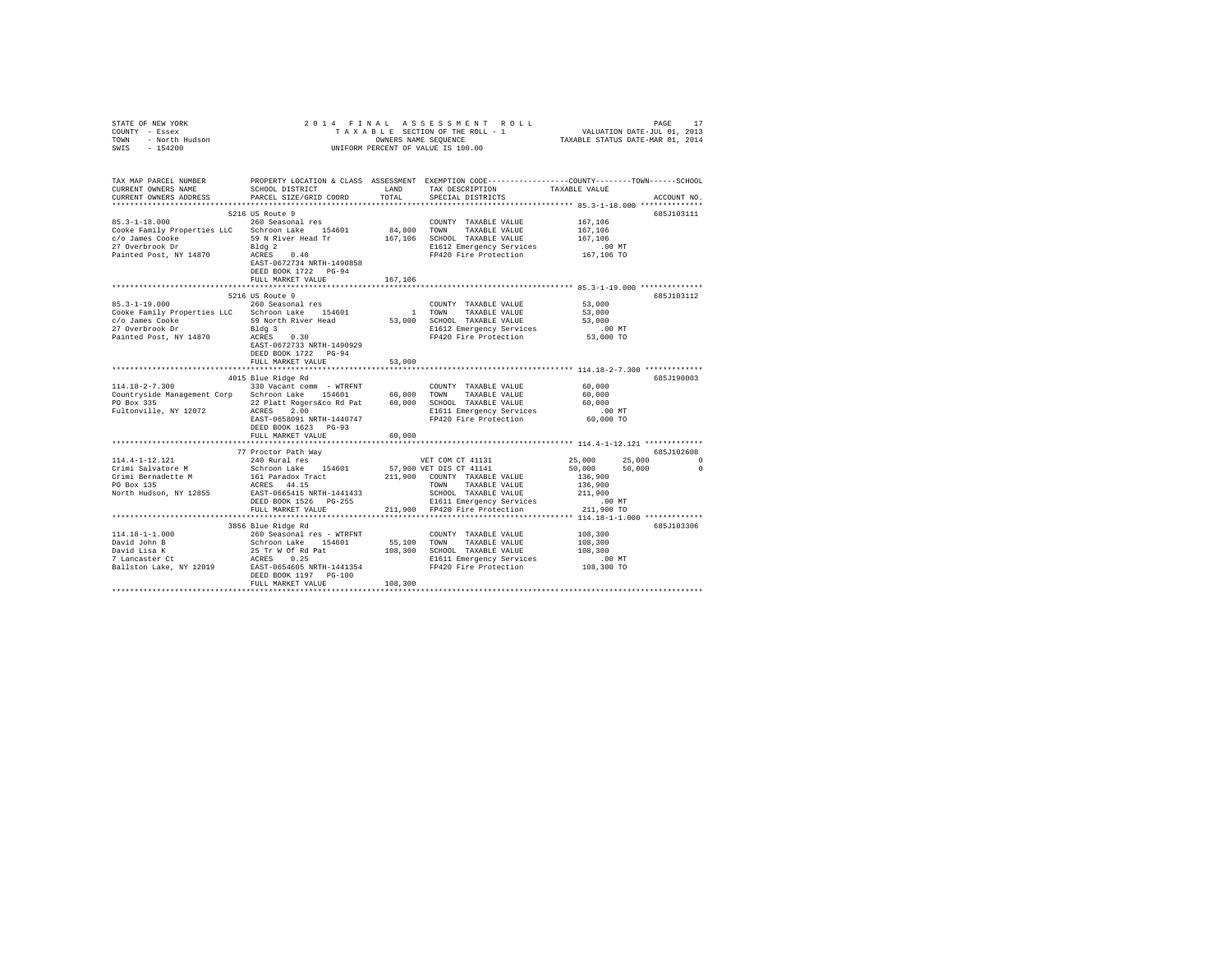| STATE OF NEW YORK<br>COUNTY - Essex<br>TOWN - North Hudson<br>SWIS - 154200 |                                                       |               | 2014 FINAL ASSESSMENT ROLL                                                                                                              |               | PAGE   | 17          |
|-----------------------------------------------------------------------------|-------------------------------------------------------|---------------|-----------------------------------------------------------------------------------------------------------------------------------------|---------------|--------|-------------|
| TAX MAP PARCEL NUMBER<br>CURRENT OWNERS NAME<br>CURRENT OWNERS ADDRESS      | SCHOOL DISTRICT<br>PARCEL SIZE/GRID COORD             | LAND<br>TOTAL | PROPERTY LOCATION & CLASS ASSESSMENT EXEMPTION CODE---------------COUNTY-------TOWN------SCHOOL<br>TAX DESCRIPTION<br>SPECIAL DISTRICTS | TAXABLE VALUE |        | ACCOUNT NO. |
|                                                                             |                                                       |               |                                                                                                                                         |               |        |             |
|                                                                             | 5216 US Route 9                                       |               |                                                                                                                                         |               |        | 685J103111  |
| $85.3 - 1 - 18.000$                                                         | 260 Seasonal res                                      |               | COUNTY TAXABLE VALUE                                                                                                                    | 167,106       |        |             |
| Cooke Family Properties LLC Schroon Lake 154601                             |                                                       |               | 84,800 TOWN TAXABLE VALUE                                                                                                               | 167,106       |        |             |
| c/o James Cooke                                                             | 59 N River Head Tr                                    |               | 167,106 SCHOOL TAXABLE VALUE                                                                                                            | 167.106       |        |             |
| 27 Overbrook Dr                                                             | Bldg 2                                                |               | E1612 Emergency Services                                                                                                                | $.00$ MT      |        |             |
| Painted Post, NY 14870                                                      | ACRES 0.40                                            |               | FP420 Fire Protection                                                                                                                   | 167,106 TO    |        |             |
|                                                                             | EAST-0672734 NRTH-1490858                             |               |                                                                                                                                         |               |        |             |
|                                                                             | DEED BOOK 1722    PG-94                               |               |                                                                                                                                         |               |        |             |
|                                                                             | FULL MARKET VALUE                                     | 167.106       |                                                                                                                                         |               |        |             |
|                                                                             | 5216 US Route 9                                       |               |                                                                                                                                         |               |        | 685J103112  |
| $85.3 - 1 - 19.000$                                                         | 260 Seasonal res                                      |               | COUNTY TAXABLE VALUE                                                                                                                    | 53,000        |        |             |
| Cooke Family Properties LLC Schroon Lake 154601                             |                                                       |               | 1 TOWN TAXABLE VALUE                                                                                                                    | 53,000        |        |             |
|                                                                             | 59 North River Head                                   |               | 53,000 SCHOOL TAXABLE VALUE                                                                                                             | 53,000        |        |             |
| c/o James Cooke<br>27 Overbrook Dr                                          |                                                       |               |                                                                                                                                         | $.00$ MT      |        |             |
| Painted Post, NY 14870                                                      | Bldg 3<br>ACRES 0.30                                  |               | E1612 Emergency Services<br>FP420 Fire Protection                                                                                       | 53,000 TO     |        |             |
|                                                                             | EAST-0672733 NRTH-1490929                             |               |                                                                                                                                         |               |        |             |
|                                                                             | DEED BOOK 1722 PG-94                                  |               |                                                                                                                                         |               |        |             |
|                                                                             | FULL MARKET VALUE                                     | 53,000        |                                                                                                                                         |               |        |             |
|                                                                             |                                                       |               |                                                                                                                                         |               |        |             |
|                                                                             | 4015 Blue Ridge Rd                                    |               |                                                                                                                                         |               |        | 685J190003  |
| 114.18-2-7.300 330 Vacant comm - WTRFNT                                     |                                                       |               | COUNTY TAXABLE VALUE                                                                                                                    | 60,000        |        |             |
| Countryside Management Corp Schroon Lake 154601                             |                                                       |               | 60,000 TOWN TAXABLE VALUE                                                                                                               | 60,000        |        |             |
| PO Box 335                                                                  | 22 Platt Rogers&co Rd Pat 60,000 SCHOOL TAXABLE VALUE |               |                                                                                                                                         | 60,000        |        |             |
| Fultonville, NY 12072                                                       | ACRES 2.00                                            |               | E1611 Emergency Services                                                                                                                | .00MT         |        |             |
|                                                                             | EAST-0658091 NRTH-1440747                             |               | FP420 Fire Protection                                                                                                                   | 60,000 TO     |        |             |
|                                                                             | DEED BOOK 1623 PG-93                                  |               |                                                                                                                                         |               |        |             |
|                                                                             | FULL MARKET VALUE                                     | 60,000        |                                                                                                                                         |               |        |             |
|                                                                             |                                                       |               |                                                                                                                                         |               |        |             |
|                                                                             | 77 Proctor Path Way                                   |               |                                                                                                                                         |               |        | 685J102608  |
| 114.4-1-12.121                                                              | 240 Rural res                                         |               | VET COM CT 41131                                                                                                                        | 25,000        | 25,000 | $\sim$      |
| Crimi Salvatore M                                                           | Schroon Lake 154601                                   |               | 57,900 VET DIS CT 41141<br>211,900 COUNTY TAXABLE VALUE                                                                                 | 50,000        | 50,000 | $\Omega$    |
| Crimi Bernadette M                                                          | 161 Paradox Tract<br>ACRES 44.15                      |               |                                                                                                                                         | 136,900       |        |             |
| PO Box 135                                                                  |                                                       |               | TOWN TAXABLE VALUE                                                                                                                      | 136,900       |        |             |
| North Hudson, NY 12855                                                      | EAST-0665415 NRTH-1441433                             |               | SCHOOL TAXABLE VALUE                                                                                                                    | 211,900       |        |             |
|                                                                             | DEED BOOK 1526 PG-255                                 |               | E1611 Emergency Services                                                                                                                | $.00$ MT      |        |             |
|                                                                             | FULL MARKET VALUE                                     |               | 211.900 FP420 Fire Protection                                                                                                           | 211,900 TO    |        |             |
|                                                                             |                                                       |               |                                                                                                                                         |               |        |             |
| $114.18 - 1 - 1.000$                                                        | 3856 Blue Ridge Rd<br>260 Seasonal res - WTRFNT       |               | COUNTY TAXABLE VALUE                                                                                                                    | 108,300       |        | 685J103306  |
| David John B                                                                |                                                       |               |                                                                                                                                         | 108,300       |        |             |
| David Lisa K                                                                | Schroon Lake 154601<br>25 Tr W Of Rd Pat              |               | 55,100 TOWN TAXABLE VALUE<br>108,300 SCHOOL TAXABLE VALUE                                                                               | 108,300       |        |             |
| 7 Lancaster Ct                                                              | ACRES 0.25                                            |               | E1611 Emergency Services                                                                                                                | $.00$ MT      |        |             |
| Ballston Lake, NY 12019                                                     | EAST-0654605 NRTH-1441354                             |               | FP420 Fire Protection                                                                                                                   | 108,300 TO    |        |             |
|                                                                             | DEED BOOK 1197 PG-100                                 |               |                                                                                                                                         |               |        |             |
|                                                                             | FULL MARKET VALUE                                     | 108,300       |                                                                                                                                         |               |        |             |
|                                                                             |                                                       |               |                                                                                                                                         |               |        |             |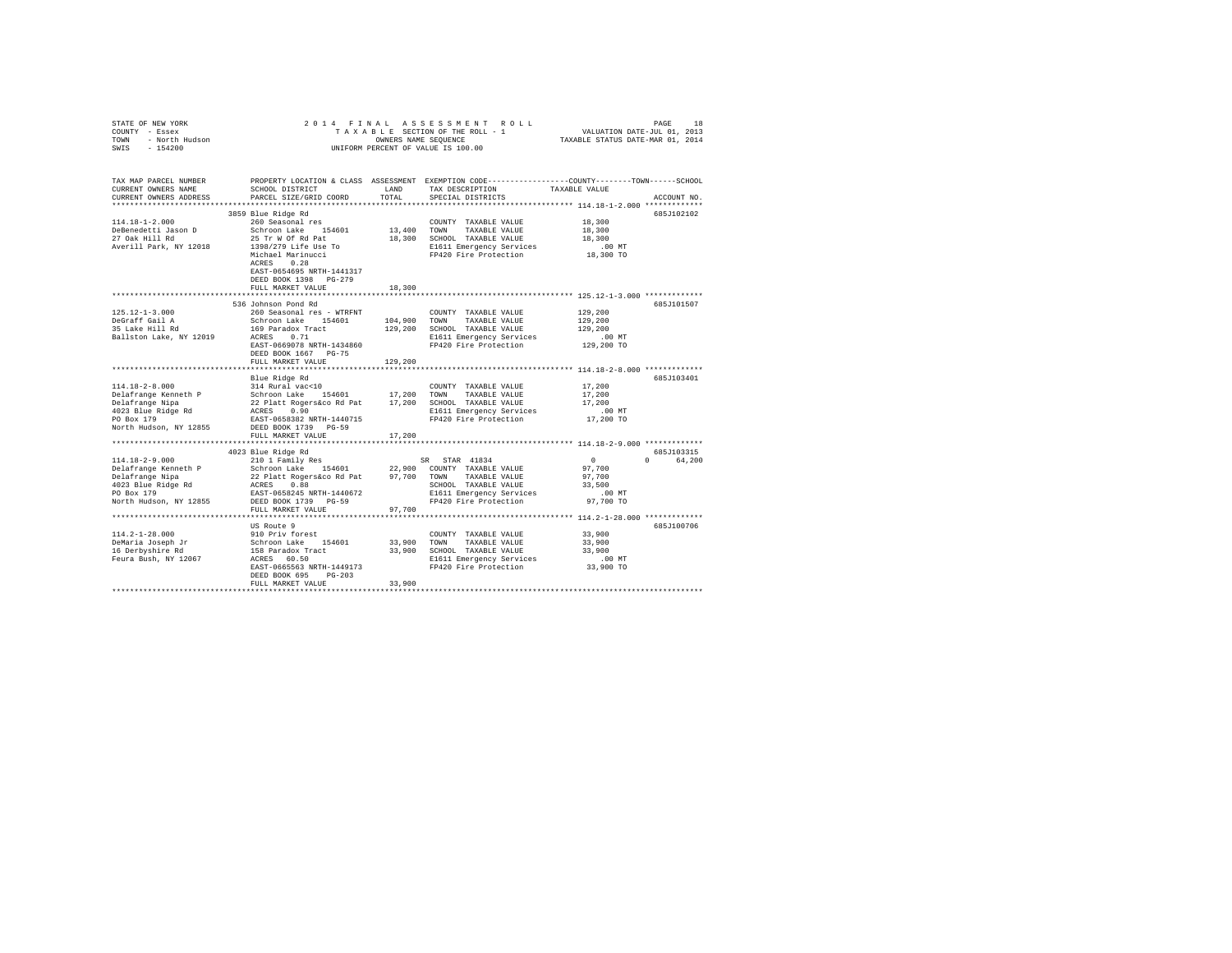| $\begin{array}{cccccccccccccccc} \texttt{STATE OF NEW YORK} & \texttt{DRSE} & \texttt{OREN} & \texttt{ORSE} & \texttt{S} & \texttt{S} & \texttt{S} & \texttt{S} & \texttt{S} & \texttt{S} & \texttt{S} & \texttt{S} & \texttt{S} & \texttt{S} & \texttt{S} & \texttt{S} & \texttt{S} & \texttt{S} & \texttt{S} & \texttt{S} & \texttt{S} & \texttt{S} & \texttt{S} & \texttt{S} & \texttt{S} & \texttt{S} & \texttt{S} & \texttt{S} & \texttt{S} & \$ |                                                    |               |                                                                                                                                                       |                                                          |             |
|-------------------------------------------------------------------------------------------------------------------------------------------------------------------------------------------------------------------------------------------------------------------------------------------------------------------------------------------------------------------------------------------------------------------------------------------------------|----------------------------------------------------|---------------|-------------------------------------------------------------------------------------------------------------------------------------------------------|----------------------------------------------------------|-------------|
| TAX MAP PARCEL NUMBER<br>CURRENT OWNERS NAME<br>CURRENT OWNERS ADDRESS                                                                                                                                                                                                                                                                                                                                                                                | SCHOOL DISTRICT<br>PARCEL SIZE/GRID COORD          | LAND<br>TOTAL | PROPERTY LOCATION & CLASS ASSESSMENT EXEMPTION CODE---------------COUNTY-------TOWN------SCHOOL<br>TAX DESCRIPTION TAXABLE VALUE<br>SPECIAL DISTRICTS |                                                          | ACCOUNT NO. |
|                                                                                                                                                                                                                                                                                                                                                                                                                                                       | 3859 Blue Ridge Rd                                 |               |                                                                                                                                                       |                                                          | 685J102102  |
| 114.18-1-2.000                                                                                                                                                                                                                                                                                                                                                                                                                                        | 260 Seasonal res                                   |               | COUNTY TAXABLE VALUE                                                                                                                                  | 18,300                                                   |             |
| DeBenedetti Jason D<br>27 Oak Hill Rd                                                                                                                                                                                                                                                                                                                                                                                                                 | Schroon Lake 154601 13,400 TOWN TAXABLE VALUE      |               |                                                                                                                                                       | 18,300                                                   |             |
|                                                                                                                                                                                                                                                                                                                                                                                                                                                       |                                                    |               |                                                                                                                                                       |                                                          |             |
| Averill Park, NY 12018                                                                                                                                                                                                                                                                                                                                                                                                                                |                                                    |               |                                                                                                                                                       |                                                          |             |
|                                                                                                                                                                                                                                                                                                                                                                                                                                                       |                                                    |               |                                                                                                                                                       |                                                          |             |
|                                                                                                                                                                                                                                                                                                                                                                                                                                                       | EAST-0654695 NRTH-1441317<br>DEED BOOK 1398 PG-279 |               |                                                                                                                                                       |                                                          |             |
|                                                                                                                                                                                                                                                                                                                                                                                                                                                       | FULL MARKET VALUE                                  | 18,300        |                                                                                                                                                       |                                                          |             |
|                                                                                                                                                                                                                                                                                                                                                                                                                                                       | 536 Johnson Pond Rd                                |               |                                                                                                                                                       |                                                          | 685J101507  |
| $[125.12-1-3.000] \put(0.25) {\small 125.12-1-3.000} \put(0.25) {\small 125.12-1-3.000} \put(0.25) {\small 125.12-1-3.000} \put(0.25) {\small 125.12-1-3.000} \put(0.25) {\small 125.12-1-3.000} \put(0.25) {\small 125.12-1-3.000} \put(0.25) {\small 125.12-1-3.000} \put(0.25) {\small 125.12-1-3.$                                                                                                                                                |                                                    |               |                                                                                                                                                       |                                                          |             |
|                                                                                                                                                                                                                                                                                                                                                                                                                                                       |                                                    |               |                                                                                                                                                       |                                                          |             |
|                                                                                                                                                                                                                                                                                                                                                                                                                                                       |                                                    |               |                                                                                                                                                       |                                                          |             |
|                                                                                                                                                                                                                                                                                                                                                                                                                                                       |                                                    |               |                                                                                                                                                       | .00 MT                                                   |             |
|                                                                                                                                                                                                                                                                                                                                                                                                                                                       |                                                    |               |                                                                                                                                                       | 129,200 TO                                               |             |
|                                                                                                                                                                                                                                                                                                                                                                                                                                                       | DEED BOOK 1667 PG-75                               |               |                                                                                                                                                       |                                                          |             |
|                                                                                                                                                                                                                                                                                                                                                                                                                                                       | FULL MARKET VALUE                                  | 129,200       |                                                                                                                                                       |                                                          |             |
|                                                                                                                                                                                                                                                                                                                                                                                                                                                       |                                                    |               |                                                                                                                                                       | *************************** 114.18-2-8.000 ************* |             |
|                                                                                                                                                                                                                                                                                                                                                                                                                                                       | Blue Ridge Rd                                      |               |                                                                                                                                                       |                                                          | 685J103401  |
|                                                                                                                                                                                                                                                                                                                                                                                                                                                       |                                                    |               |                                                                                                                                                       | 17,200<br>17,200                                         |             |
|                                                                                                                                                                                                                                                                                                                                                                                                                                                       |                                                    |               |                                                                                                                                                       |                                                          |             |
|                                                                                                                                                                                                                                                                                                                                                                                                                                                       |                                                    |               |                                                                                                                                                       | 17,200<br>.00 MT                                         |             |
|                                                                                                                                                                                                                                                                                                                                                                                                                                                       |                                                    |               |                                                                                                                                                       | 17,200 TO                                                |             |
|                                                                                                                                                                                                                                                                                                                                                                                                                                                       |                                                    |               |                                                                                                                                                       |                                                          |             |
|                                                                                                                                                                                                                                                                                                                                                                                                                                                       |                                                    |               |                                                                                                                                                       |                                                          |             |
|                                                                                                                                                                                                                                                                                                                                                                                                                                                       |                                                    |               |                                                                                                                                                       |                                                          |             |
|                                                                                                                                                                                                                                                                                                                                                                                                                                                       |                                                    |               |                                                                                                                                                       |                                                          | 685J103315  |
|                                                                                                                                                                                                                                                                                                                                                                                                                                                       |                                                    |               |                                                                                                                                                       |                                                          | 0 64,200    |
|                                                                                                                                                                                                                                                                                                                                                                                                                                                       |                                                    |               |                                                                                                                                                       |                                                          |             |
|                                                                                                                                                                                                                                                                                                                                                                                                                                                       |                                                    |               |                                                                                                                                                       |                                                          |             |
|                                                                                                                                                                                                                                                                                                                                                                                                                                                       |                                                    |               |                                                                                                                                                       |                                                          |             |
|                                                                                                                                                                                                                                                                                                                                                                                                                                                       |                                                    |               |                                                                                                                                                       |                                                          |             |
|                                                                                                                                                                                                                                                                                                                                                                                                                                                       |                                                    |               |                                                                                                                                                       |                                                          |             |
|                                                                                                                                                                                                                                                                                                                                                                                                                                                       | FULL MARKET VALUE                                  | 97,700        |                                                                                                                                                       |                                                          |             |
|                                                                                                                                                                                                                                                                                                                                                                                                                                                       |                                                    |               |                                                                                                                                                       |                                                          |             |
|                                                                                                                                                                                                                                                                                                                                                                                                                                                       | US Route 9                                         |               |                                                                                                                                                       |                                                          | 685J100706  |
|                                                                                                                                                                                                                                                                                                                                                                                                                                                       |                                                    |               | COUNTY TAXABLE VALUE 33,900<br>COUNTY TAXABLE VALUE<br>33,900 TOWN TAXABLE VALUE<br>33,900 SCHOOL TAXABLE VALUE                                       | 33,900                                                   |             |
|                                                                                                                                                                                                                                                                                                                                                                                                                                                       |                                                    |               |                                                                                                                                                       | 33,900                                                   |             |
|                                                                                                                                                                                                                                                                                                                                                                                                                                                       |                                                    |               |                                                                                                                                                       |                                                          |             |
|                                                                                                                                                                                                                                                                                                                                                                                                                                                       |                                                    |               |                                                                                                                                                       |                                                          |             |
|                                                                                                                                                                                                                                                                                                                                                                                                                                                       | DEED BOOK 695 PG-203                               |               |                                                                                                                                                       |                                                          |             |
|                                                                                                                                                                                                                                                                                                                                                                                                                                                       | FULL MARKET VALUE                                  | 33,900        |                                                                                                                                                       |                                                          |             |
|                                                                                                                                                                                                                                                                                                                                                                                                                                                       |                                                    |               |                                                                                                                                                       |                                                          |             |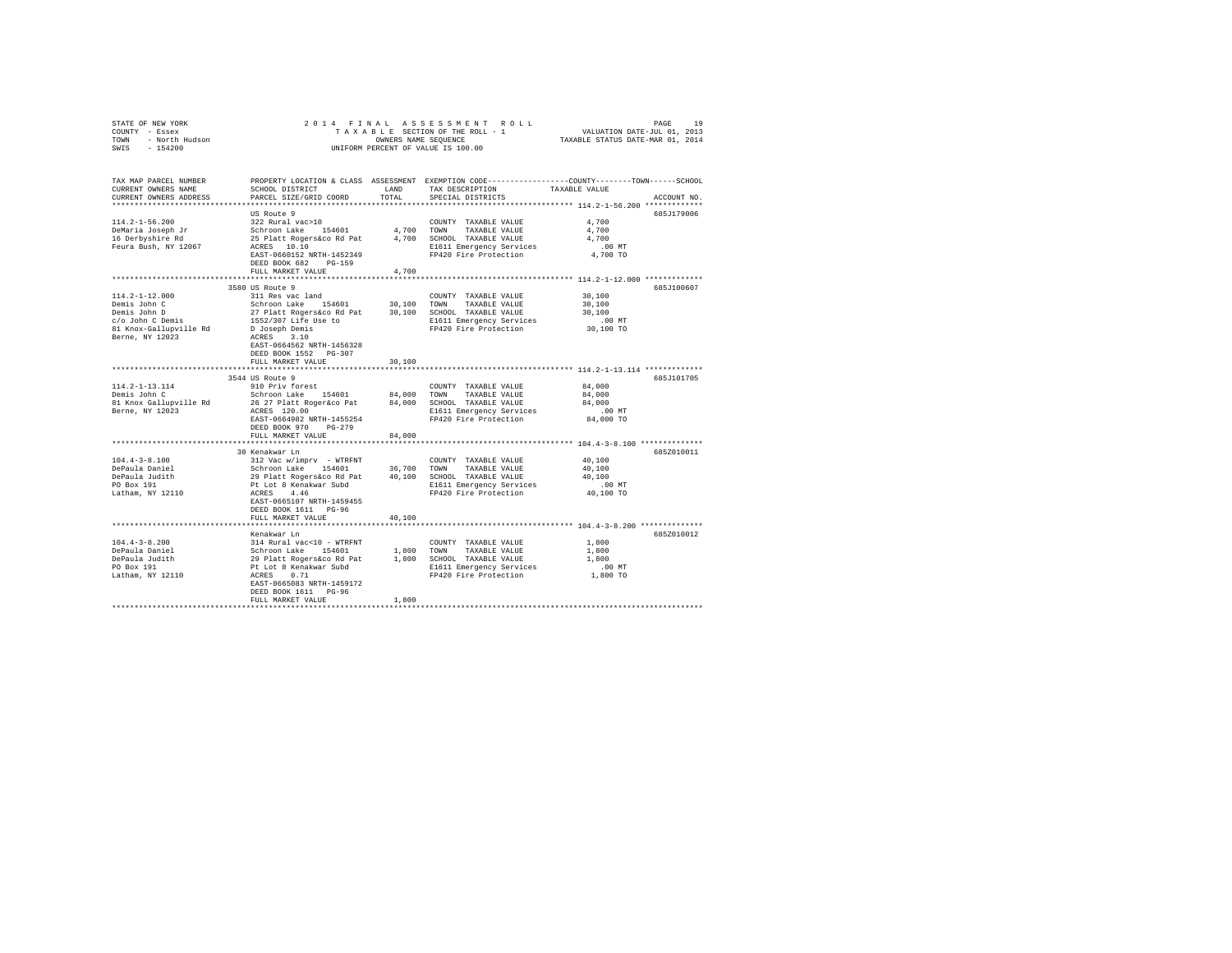| STATE OF NEW YORK<br>COUNTY - Essex<br>TOWN - North Hudson<br>SWIS - 154200               |                                                                                                                                                                                                                                                                        |        | 2014 FINAL ASSESSMENT ROLL<br>OWNERS NAME SEQUENCE<br>UNIFORM PERCENT OF VALUE IS 100.00                                                                                                                                 | PAGE<br>19<br>TAXABLE SECTION OF THE ROLL - 1 VALUATION DATE-JUL 01, 2013<br>TAXABLE STATUS DATE-MAR 01, 2014                          |
|-------------------------------------------------------------------------------------------|------------------------------------------------------------------------------------------------------------------------------------------------------------------------------------------------------------------------------------------------------------------------|--------|--------------------------------------------------------------------------------------------------------------------------------------------------------------------------------------------------------------------------|----------------------------------------------------------------------------------------------------------------------------------------|
| TAX MAP PARCEL NUMBER<br>CURRENT OWNERS NAME<br>CURRENT OWNERS ADDRESS                    | SCHOOL DISTRICT TAND TAX DESCRIPTION<br>PARCEL SIZE/GRID COORD                                                                                                                                                                                                         | TOTAL  | SPECIAL DISTRICTS                                                                                                                                                                                                        | PROPERTY LOCATION & CLASS ASSESSMENT EXEMPTION CODE---------------COUNTY-------TOWN-----SCHOOL<br>TAXABLE VALUE<br>ACCOUNT NO.         |
| $114.2 - 1 - 56.200$<br>DeMaria Joseph Jr<br>16 Derbyshire Rd<br>Feura Bush, NY 12067     | US Route 9<br>322 Rural vac>10<br>Schroon Lake 154601 4,700 TOWN<br>25 Platt Rogers&co Rd Pat<br>ACRES 10.10<br>EAST-0660152 NRTH-1452349<br>DEED BOOK 682 PG-159<br>FULL MARKET VALUE                                                                                 | 4,700  | COUNTY TAXABLE VALUE<br>TAXABLE VALUE<br>4,700 SCHOOL TAXABLE VALUE<br>E1611 Emergency Services<br>FP420 Fire Protection                                                                                                 | 685.T179006<br>4,700<br>4,700<br>4.700<br>.00MT<br>4,700 TO                                                                            |
|                                                                                           |                                                                                                                                                                                                                                                                        |        |                                                                                                                                                                                                                          |                                                                                                                                        |
| $114.2 - 1 - 12.000$<br>Demis John C<br>Berne, NY 12023                                   | 3580 US Route 9<br>311 Res vac land<br>Schroon Lake 154601 30,100 TOWN TAXABLE VALUE<br>ACRES 3.10<br>EAST-0664562 NRTH-1456328<br>DEED BOOK 1552 PG-307                                                                                                               |        | COUNTY TAXABLE VALUE<br>E1611 Emergency Services<br>FP420 Fire Protection 30,100 TO                                                                                                                                      | 685J100607<br>30,100<br>30,100<br>30,100<br>$.00$ MT                                                                                   |
|                                                                                           | FULL MARKET VALUE                                                                                                                                                                                                                                                      | 30,100 |                                                                                                                                                                                                                          |                                                                                                                                        |
| 114.2-1-13.114<br>Demis John C<br>81 Knox Gallupville Rd<br>Berne, NY 12023               | 3544 US Route 9<br>910 Priv forest<br>Schroon Lake 154601<br>ACRES 120.00<br>EAST-0664982 NRTH-1455254                                                                                                                                                                 |        | COUNTY TAXABLE VALUE<br>84,000 TOWN TAXABLE VALUE<br>Schroon Lake 194601 or or the the control of the SCHIE<br>26 27 Platt Rogeraco Pat 84,000 SCHOOL TAXABLE VALUE<br>E1611 Emergency Services<br>FP420 Fire Protection | *********************************** 114.2-1-13.114 **************<br>685J101705<br>84,000<br>84,000<br>84,000<br>$.00$ MT<br>84,000 TO |
|                                                                                           | DEED BOOK 970 PG-279                                                                                                                                                                                                                                                   |        |                                                                                                                                                                                                                          |                                                                                                                                        |
|                                                                                           | FULL MARKET VALUE                                                                                                                                                                                                                                                      | 84,000 |                                                                                                                                                                                                                          |                                                                                                                                        |
| $104.4 - 3 - 8.100$<br>DePaula Daniel<br>DePaula Judith<br>PO Box 191<br>Latham, NY 12110 | 30 Kenakwar Ln<br>312 Vac w/imprv - WTRFNT<br>Schroon Lake 154601 36,700 TOWN TAXABLE VALUE<br>29 Platt Rogers&co Rd Pat 40,100 SCHOOL TAXABLE VALUE<br>Pt Lot 8 Kenakwar Subd<br>ACRES 4.46<br>EAST-0665107 NRTH-1459455<br>DEED BOOK 1611 PG-96<br>FULL MARKET VALUE | 40,100 | COUNTY TAXABLE VALUE<br>E1611 Emergency Services<br>FP420 Fire Protection                                                                                                                                                | 685Z010011<br>40,100<br>40,100<br>40,100<br>$.00$ MT<br>40,100 TO                                                                      |
|                                                                                           |                                                                                                                                                                                                                                                                        |        |                                                                                                                                                                                                                          |                                                                                                                                        |
| $104.4 - 3 - 8.200$<br>DePaula Daniel<br>DePaula Judith<br>PO Box 191<br>Latham, NY 12110 | Kenakwar Ln<br>314 Rural vac<10 - WTRFNT<br>Schroon Lake 154601<br>29 Platt Rogers&co Rd Pat<br>Pt Lot 8 Kenakwar Subd<br>ACRES 0.71<br>EAST-0665083 NRTH-1459172<br>DEED BOOK 1611 PG-96<br>FULL MARKET VALUE                                                         | 1,800  | COUNTY TAXABLE VALUE<br>1,800 TOWN TAXABLE VALUE<br>1,800 SCHOOL TAXABLE VALUE<br>E1611 Emergency Services<br>FP420 Fire Protection                                                                                      | 685Z010012<br>1,800<br>1,800<br>1,800<br>.00MT<br>1,800 TO                                                                             |
|                                                                                           |                                                                                                                                                                                                                                                                        |        |                                                                                                                                                                                                                          |                                                                                                                                        |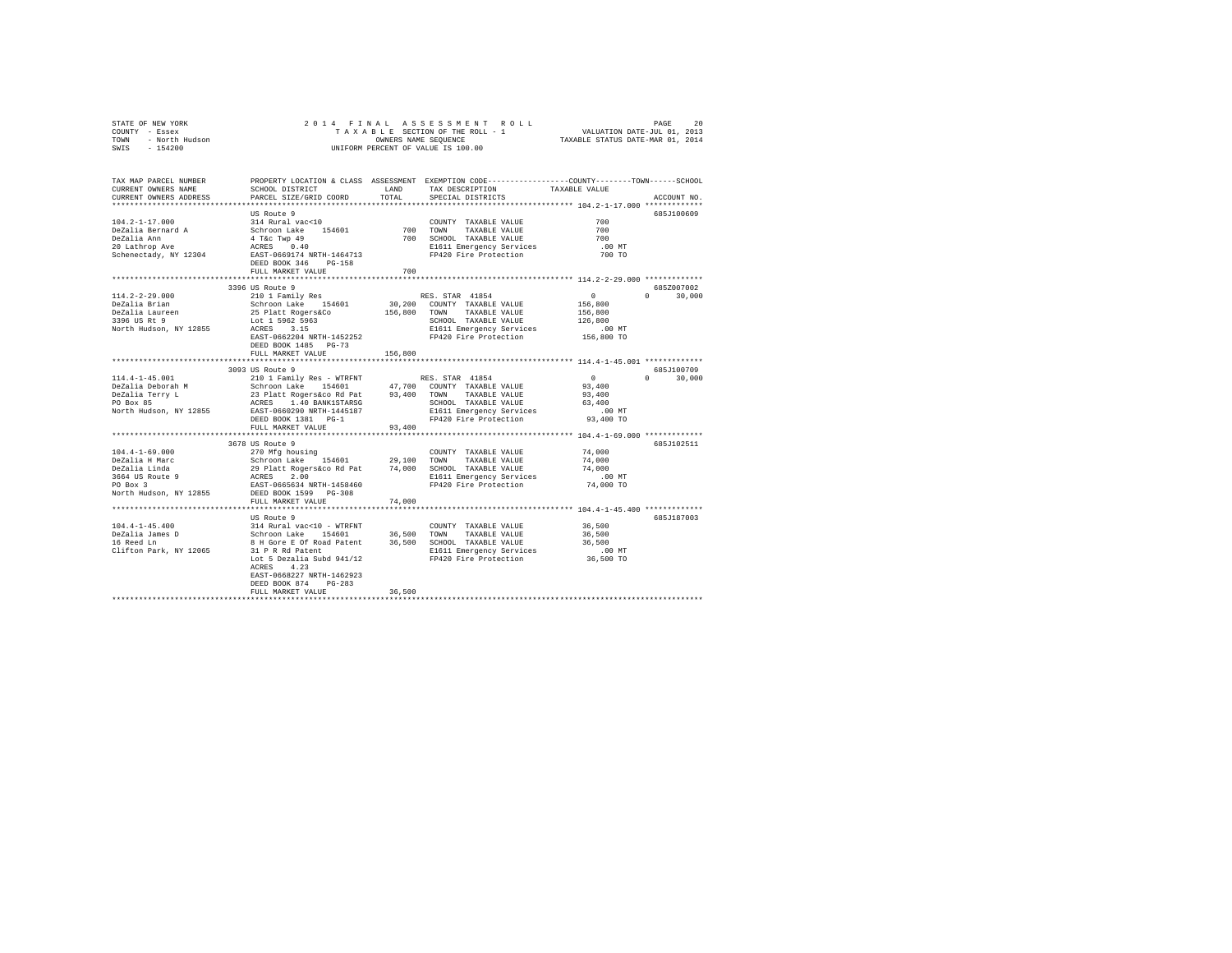| COUNTY - Essex<br>TOWN - North Hudson<br>SWIS - 154200                                                                                                                                                                                                                                                                                                                                | T A X A B L E SECTION OF THE ROLL -<br>OWNIFORM DENGERS NAME SEQUENCE<br>UNIFORM PERCENT OF VALUE IS 100.00 |         |  |                         |               |  |  |
|---------------------------------------------------------------------------------------------------------------------------------------------------------------------------------------------------------------------------------------------------------------------------------------------------------------------------------------------------------------------------------------|-------------------------------------------------------------------------------------------------------------|---------|--|-------------------------|---------------|--|--|
|                                                                                                                                                                                                                                                                                                                                                                                       |                                                                                                             |         |  |                         |               |  |  |
|                                                                                                                                                                                                                                                                                                                                                                                       |                                                                                                             |         |  |                         |               |  |  |
|                                                                                                                                                                                                                                                                                                                                                                                       |                                                                                                             |         |  |                         |               |  |  |
|                                                                                                                                                                                                                                                                                                                                                                                       |                                                                                                             |         |  |                         |               |  |  |
|                                                                                                                                                                                                                                                                                                                                                                                       |                                                                                                             |         |  |                         | 685J100609    |  |  |
|                                                                                                                                                                                                                                                                                                                                                                                       |                                                                                                             |         |  | $700$<br>$700$          |               |  |  |
|                                                                                                                                                                                                                                                                                                                                                                                       |                                                                                                             |         |  |                         |               |  |  |
|                                                                                                                                                                                                                                                                                                                                                                                       |                                                                                                             |         |  | 700                     |               |  |  |
|                                                                                                                                                                                                                                                                                                                                                                                       |                                                                                                             |         |  | .00MT<br>700 TO         |               |  |  |
|                                                                                                                                                                                                                                                                                                                                                                                       |                                                                                                             |         |  |                         |               |  |  |
|                                                                                                                                                                                                                                                                                                                                                                                       | FULL MARKET VALUE                                                                                           | 700     |  |                         |               |  |  |
|                                                                                                                                                                                                                                                                                                                                                                                       |                                                                                                             |         |  |                         |               |  |  |
|                                                                                                                                                                                                                                                                                                                                                                                       | 3396 US Route 9                                                                                             |         |  |                         | 685Z007002    |  |  |
|                                                                                                                                                                                                                                                                                                                                                                                       |                                                                                                             |         |  |                         |               |  |  |
|                                                                                                                                                                                                                                                                                                                                                                                       |                                                                                                             |         |  | $0$ 0 30,000<br>156,800 |               |  |  |
|                                                                                                                                                                                                                                                                                                                                                                                       |                                                                                                             |         |  |                         |               |  |  |
|                                                                                                                                                                                                                                                                                                                                                                                       |                                                                                                             |         |  |                         |               |  |  |
|                                                                                                                                                                                                                                                                                                                                                                                       |                                                                                                             |         |  |                         |               |  |  |
|                                                                                                                                                                                                                                                                                                                                                                                       |                                                                                                             |         |  |                         |               |  |  |
|                                                                                                                                                                                                                                                                                                                                                                                       | DEED BOOK 1485 PG-73                                                                                        |         |  |                         |               |  |  |
|                                                                                                                                                                                                                                                                                                                                                                                       | FULL MARKET VALUE                                                                                           | 156,800 |  |                         |               |  |  |
|                                                                                                                                                                                                                                                                                                                                                                                       | 3093 US Route 9                                                                                             |         |  |                         | 685J100709    |  |  |
|                                                                                                                                                                                                                                                                                                                                                                                       |                                                                                                             |         |  |                         | $0 \t 30,000$ |  |  |
|                                                                                                                                                                                                                                                                                                                                                                                       |                                                                                                             |         |  |                         |               |  |  |
|                                                                                                                                                                                                                                                                                                                                                                                       |                                                                                                             |         |  |                         |               |  |  |
|                                                                                                                                                                                                                                                                                                                                                                                       |                                                                                                             |         |  |                         |               |  |  |
|                                                                                                                                                                                                                                                                                                                                                                                       |                                                                                                             |         |  |                         |               |  |  |
| $[14.4-1-45.001$3093 OK-Node$ 93,400DeZalia Pebrynah MDeZalia Perry LDeZalia Perry L20.400DeZalia Perry L21.400DeZalia Perry L22.40023.40124.400DeZalia Perry L24.40025.40126.40127.40028.40129.40020.40120.40220.40321.40022.40123.4$                                                                                                                                                |                                                                                                             |         |  |                         |               |  |  |
|                                                                                                                                                                                                                                                                                                                                                                                       |                                                                                                             |         |  |                         |               |  |  |
|                                                                                                                                                                                                                                                                                                                                                                                       |                                                                                                             |         |  |                         |               |  |  |
|                                                                                                                                                                                                                                                                                                                                                                                       | 3678 US Route 9                                                                                             |         |  |                         | 685J102511    |  |  |
|                                                                                                                                                                                                                                                                                                                                                                                       |                                                                                                             |         |  |                         |               |  |  |
|                                                                                                                                                                                                                                                                                                                                                                                       |                                                                                                             |         |  |                         |               |  |  |
|                                                                                                                                                                                                                                                                                                                                                                                       |                                                                                                             |         |  |                         |               |  |  |
|                                                                                                                                                                                                                                                                                                                                                                                       |                                                                                                             |         |  |                         |               |  |  |
|                                                                                                                                                                                                                                                                                                                                                                                       |                                                                                                             |         |  |                         |               |  |  |
|                                                                                                                                                                                                                                                                                                                                                                                       | FULL MARKET VALUE                                                                                           | 74,000  |  |                         |               |  |  |
|                                                                                                                                                                                                                                                                                                                                                                                       |                                                                                                             |         |  |                         |               |  |  |
|                                                                                                                                                                                                                                                                                                                                                                                       | US Route 9                                                                                                  |         |  |                         | 685J187003    |  |  |
|                                                                                                                                                                                                                                                                                                                                                                                       |                                                                                                             |         |  |                         |               |  |  |
|                                                                                                                                                                                                                                                                                                                                                                                       |                                                                                                             |         |  |                         |               |  |  |
|                                                                                                                                                                                                                                                                                                                                                                                       |                                                                                                             |         |  |                         |               |  |  |
|                                                                                                                                                                                                                                                                                                                                                                                       |                                                                                                             |         |  |                         |               |  |  |
| $\begin{tabular}{l c c c c c} \hline 104.4-1-45.400 & 314 Rural vac<10 - WTRRNT & 100WNTY TAXABLE VALUE & 36,500DeZalia James D & Schroon Lake & 154601 & 36,500 TORM & TAXABLE VALUE & 36,50016 Reed Ln & 8 H Core E of Road Patent & 36,500 SCHOOL TAXABLE VALUE & 36,500Cilfrom Park, NY 12065 & 31 P R Rd Pattent & 36,500 ECHOOL TAXABLE VALUE & 36,500Lot 5 Dezalda Subd 941/1$ | ACRES 4.23                                                                                                  |         |  |                         |               |  |  |
|                                                                                                                                                                                                                                                                                                                                                                                       | EAST-0668227 NRTH-1462923                                                                                   |         |  |                         |               |  |  |
|                                                                                                                                                                                                                                                                                                                                                                                       | DEED BOOK 874 PG-283                                                                                        |         |  |                         |               |  |  |
|                                                                                                                                                                                                                                                                                                                                                                                       | FULL MARKET VALUE                                                                                           | 36,500  |  |                         |               |  |  |
|                                                                                                                                                                                                                                                                                                                                                                                       |                                                                                                             |         |  |                         |               |  |  |

STATE OF NEW YORK 2014 FINAL ASSESSMENT ROLL PAGE 20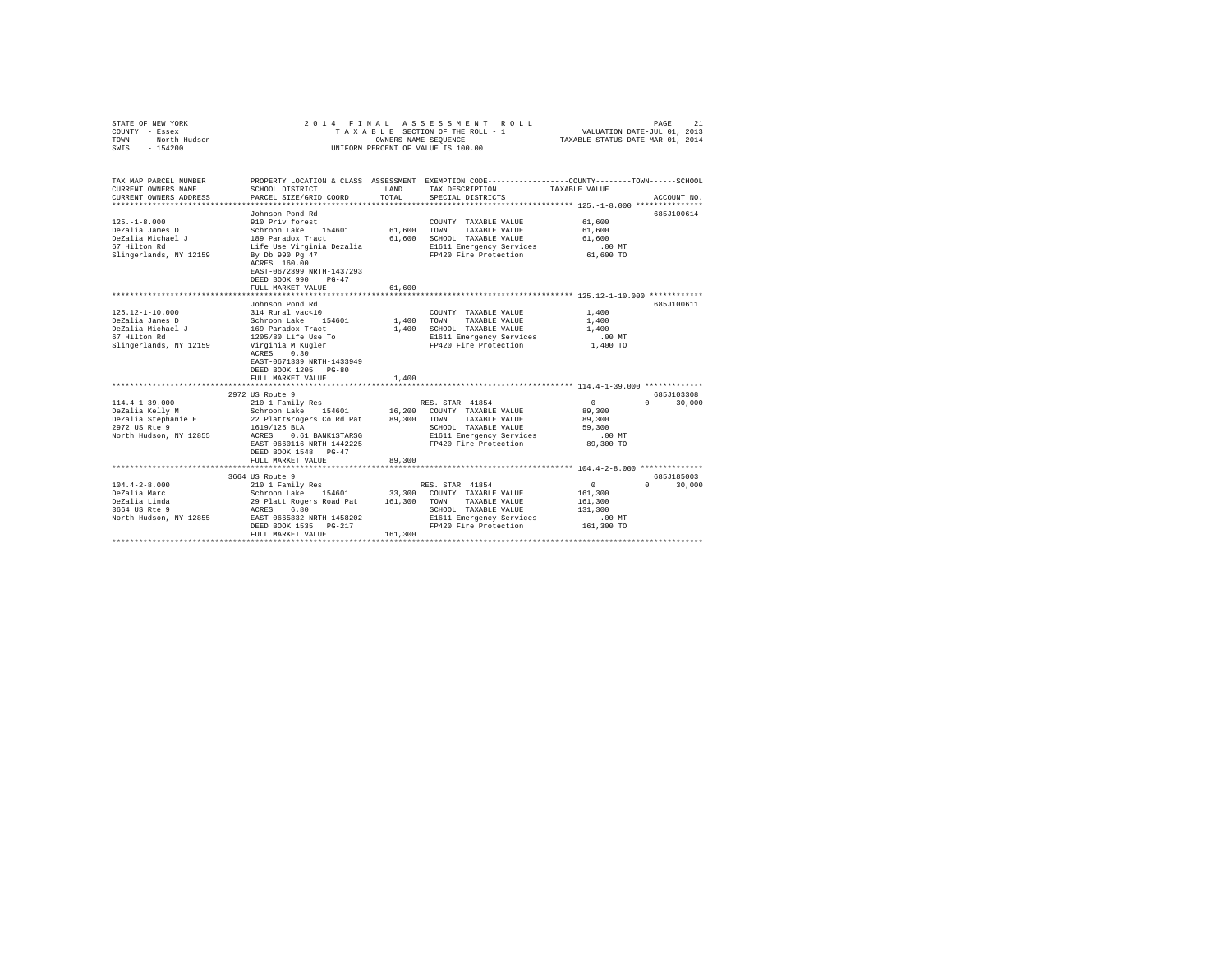| STATE OF NEW YORK<br>COUNTY - Essex<br>$-$ North Hudson<br>$-$ 154000<br>TOWN<br>SWIS - 154200 |                                                                                                                    |             | 2014 FINAL ASSESSMENT ROLL<br>TAXABLE SECTION OF THE ROLL - 1<br>OWNERS NAME SEQUENCE<br>UNIFORM PERCENT OF VALUE IS 100.00 | VALUATION DATE-JUL 01, 2013<br>TAXABLE STATUS DATE-MAR 01, 2014 | 21<br>PAGE             |
|------------------------------------------------------------------------------------------------|--------------------------------------------------------------------------------------------------------------------|-------------|-----------------------------------------------------------------------------------------------------------------------------|-----------------------------------------------------------------|------------------------|
| TAX MAP PARCEL NUMBER<br>CURRENT OWNERS NAME                                                   | PROPERTY LOCATION & CLASS ASSESSMENT EXEMPTION CODE---------------COUNTY-------TOWN------SCHOOL<br>SCHOOL DISTRICT | LAND        | TAX DESCRIPTION                                                                                                             | TAXABLE VALUE                                                   |                        |
| CURRENT OWNERS ADDRESS                                                                         | PARCEL SIZE/GRID COORD                                                                                             | TOTAL       | SPECIAL DISTRICTS                                                                                                           |                                                                 | ACCOUNT NO.            |
| ***********************                                                                        | ****************************                                                                                       |             |                                                                                                                             |                                                                 |                        |
|                                                                                                | Johnson Pond Rd                                                                                                    |             |                                                                                                                             |                                                                 | 685J100614             |
| $125 - 1 - 8.000$                                                                              | 910 Priv forest                                                                                                    |             | COUNTY TAXABLE VALUE                                                                                                        | 61,600                                                          |                        |
| DeZalia James D                                                                                | Schroon Lake 154601                                                                                                | 61,600 TOWN | TAXABLE VALUE                                                                                                               | 61,600                                                          |                        |
| DeZalia Michael J                                                                              | 189 Paradox Tract                                                                                                  |             | 61,600 SCHOOL TAXABLE VALUE                                                                                                 | 61,600                                                          |                        |
| 67 Hilton Rd                                                                                   | Life Use Virginia Dezalia                                                                                          |             | E1611 Emergency Services                                                                                                    | $.00$ MT                                                        |                        |
| Slingerlands, NY 12159                                                                         | By Db 990 Pg 47<br>ACRES 160.00<br>EAST-0672399 NRTH-1437293<br>DEED BOOK 990 PG-47                                |             | FP420 Fire Protection                                                                                                       | 61,600 TO                                                       |                        |
|                                                                                                | FULL MARKET VALUE                                                                                                  | 61,600      |                                                                                                                             |                                                                 |                        |
|                                                                                                | ******************************                                                                                     |             |                                                                                                                             |                                                                 |                        |
|                                                                                                | Johnson Pond Rd                                                                                                    |             |                                                                                                                             |                                                                 | 685J100611             |
| 125.12-1-10.000                                                                                | 314 Rural vac<10                                                                                                   |             | COUNTY TAXABLE VALUE                                                                                                        | 1,400                                                           |                        |
| DeZalia James D                                                                                | Schroon Lake 154601                                                                                                | 1,400 TOWN  | TAXABLE VALUE                                                                                                               | 1,400                                                           |                        |
| DeZalia Michael J<br>67 Hilton Rd                                                              | 169 Paradox Tract                                                                                                  |             | 1,400 SCHOOL TAXABLE VALUE                                                                                                  | 1,400                                                           |                        |
|                                                                                                | 1205/80 Life Use To                                                                                                |             | E1611 Emergency Services                                                                                                    | $.00$ MT                                                        |                        |
| Slingerlands, NY 12159                                                                         | Virginia M Kugler<br>ACRES 0.30<br>EAST-0671339 NRTH-1433949<br>DEED BOOK 1205 PG-80<br>FULL MARKET VALUE          | 1,400       | FP420 Fire Protection                                                                                                       | 1,400 TO                                                        |                        |
|                                                                                                |                                                                                                                    |             |                                                                                                                             |                                                                 |                        |
|                                                                                                | 2972 US Route 9                                                                                                    |             |                                                                                                                             |                                                                 | 685J103308             |
| $114.4 - 1 - 39.000$                                                                           | 210 1 Family Res                                                                                                   |             | RES. STAR 41854                                                                                                             | $\circ$                                                         | $\cap$<br>30,000       |
| DeZalia Kelly M                                                                                | Schroon Lake 154601 16,200 COUNTY TAXABLE VALUE                                                                    |             |                                                                                                                             | 89,300                                                          |                        |
| DeZalia Stephanie E                                                                            | 22 Platt&rogers Co Rd Pat                                                                                          | 89,300 TOWN | TAXABLE VALUE                                                                                                               | 89,300                                                          |                        |
| 2972 US Rte 9                                                                                  | 1619/125 BLA                                                                                                       |             | SCHOOL TAXABLE VALUE                                                                                                        | 59,300                                                          |                        |
| North Hudson, NY 12855                                                                         | ACRES 0.61 BANK1STARSG                                                                                             |             | E1611 Emergency Services                                                                                                    | .00 MT                                                          |                        |
|                                                                                                | EAST-0660116 NRTH-1442225<br>DEED BOOK 1548 PG-47                                                                  |             | FP420 Fire Protection                                                                                                       | 89,300 TO                                                       |                        |
|                                                                                                | FULL MARKET VALUE<br>********************************                                                              | 89,300      |                                                                                                                             |                                                                 |                        |
|                                                                                                | 3664 US Route 9                                                                                                    |             |                                                                                                                             |                                                                 | 685J185003             |
| $104.4 - 2 - 8.000$                                                                            | 210 1 Family Res                                                                                                   |             | RES. STAR 41854                                                                                                             | 0                                                               | $\mathbf{r}$<br>30,000 |
| DeZalia Marc                                                                                   | Schroon Lake 154601                                                                                                |             | 33,300 COUNTY TAXABLE VALUE                                                                                                 | 161,300                                                         |                        |
| DeZalia Linda                                                                                  | 29 Platt Rogers Road Pat 161,300 TOWN                                                                              |             | TAXABLE VALUE                                                                                                               | 161,300                                                         |                        |
| $3664$ US Rte $9$                                                                              | 6.80<br>ACRES                                                                                                      |             | SCHOOL TAXABLE VALUE                                                                                                        | 131,300                                                         |                        |
| North Hudson, NY 12855                                                                         | EAST-0665832 NRTH-1458202                                                                                          |             | E1611 Emergency Services                                                                                                    | .00MT                                                           |                        |
|                                                                                                | DEED BOOK 1535 PG-217                                                                                              |             | FP420 Fire Protection                                                                                                       | 161,300 TO                                                      |                        |
|                                                                                                | FULL MARKET VALUE                                                                                                  | 161,300     |                                                                                                                             |                                                                 |                        |
|                                                                                                |                                                                                                                    |             |                                                                                                                             |                                                                 |                        |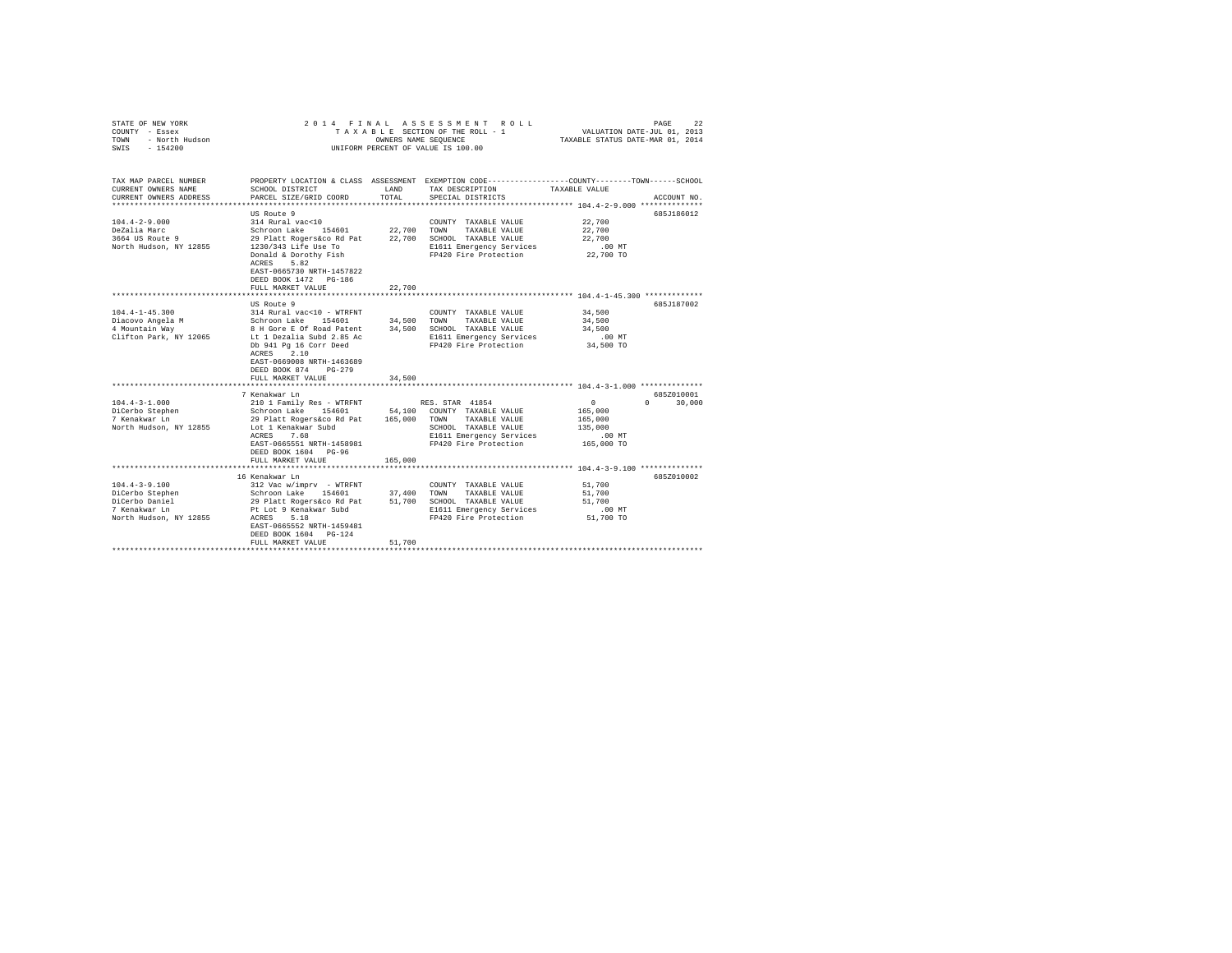| STATE OF NEW YORK<br>COUNTY - Essex<br>- North Hudson<br>TOWN<br>$-154200$<br>SWIS                                                              | 2014 FINAL                                                                                                                                                                                                                                                                                                                                               | OWNERS NAME SEQUENCE        | ASSESSMENT ROLL<br>TAXABLE SECTION OF THE ROLL - 1<br>UNIFORM PERCENT OF VALUE IS 100.00                                                                                                              | VALUATION DATE-JUL 01, 2013<br>TAXABLE STATUS DATE-MAR 01, 2014                              | 22<br>PAGE                         |
|-------------------------------------------------------------------------------------------------------------------------------------------------|----------------------------------------------------------------------------------------------------------------------------------------------------------------------------------------------------------------------------------------------------------------------------------------------------------------------------------------------------------|-----------------------------|-------------------------------------------------------------------------------------------------------------------------------------------------------------------------------------------------------|----------------------------------------------------------------------------------------------|------------------------------------|
| TAX MAP PARCEL NUMBER<br>CURRENT OWNERS NAME<br>CURRENT OWNERS ADDRESS                                                                          | SCHOOL DISTRICT<br>PARCEL SIZE/GRID COORD                                                                                                                                                                                                                                                                                                                | LAND<br>TOTAL               | PROPERTY LOCATION & CLASS ASSESSMENT EXEMPTION CODE---------------COUNTY-------TOWN------SCHOOL<br>TAX DESCRIPTION<br>SPECIAL DISTRICTS                                                               | TAXABLE VALUE                                                                                | ACCOUNT NO.                        |
|                                                                                                                                                 |                                                                                                                                                                                                                                                                                                                                                          |                             |                                                                                                                                                                                                       |                                                                                              |                                    |
| $104.4 - 2 - 9.000$<br>DeZalia Marc<br>3664 US Route 9<br>North Hudson, NY 12855                                                                | US Route 9<br>314 Rural vac<10<br>Schroon Lake 154601<br>29 Platt Rogers&co Rd Pat<br>1230/343 Life Use To<br>Donald & Dorothy Fish<br>ACRES<br>5.82<br>EAST-0665730 NRTH-1457822<br>DEED BOOK 1472 PG-186<br>FULL MARKET VALUE                                                                                                                          | 22,700<br>22.700<br>22,700  | COUNTY TAXABLE VALUE<br>TOWN<br>TAXABLE VALUE<br>SCHOOL TAXABLE VALUE<br>E1611 Emergency Services<br>FP420 Fire Protection                                                                            | 22,700<br>22,700<br>22,700<br>$.00$ MT<br>22,700 TO                                          | 685J186012                         |
|                                                                                                                                                 | **********************                                                                                                                                                                                                                                                                                                                                   |                             |                                                                                                                                                                                                       | *********************** 104.4-1-45.300 *************                                         |                                    |
| $104.4 - 1 - 45.300$<br>Diacovo Angela M<br>4 Mountain Way<br>Clifton Park, NY 12065<br>$104.4 - 3 - 1.000$<br>DiCerbo Stephen<br>7 Kenakwar Ln | US Route 9<br>314 Rural vac<10 - WTRFNT<br>Schroon Lake 154601<br>8 H Gore E Of Road Patent 34,500<br>Lt 1 Dezalia Subd 2.85 Ac<br>Db 941 Pg 16 Corr Deed<br>ACRES 2.10<br>EAST-0669008 NRTH-1463689<br>DEED BOOK 874<br>$PG-279$<br>FULL MARKET VALUE<br>7 Kenakwar Ln<br>210 1 Family Res - WTRFNT<br>Schroon Lake 154601<br>29 Platt Rogers&co Rd Pat | 34,500<br>34,500<br>165,000 | COUNTY TAXABLE VALUE<br>TOWN<br>TAXABLE VALUE<br>SCHOOL TAXABLE VALUE<br>E1611 Emergency Services<br>FP420 Fire Protection<br>RES. STAR 41854<br>54.100 COUNTY TAXABLE VALUE<br>TAXABLE VALUE<br>TOWN | 34,500<br>34,500<br>34,500<br>.00MT<br>34,500 TO<br>$\sim$<br>$\Omega$<br>165,000<br>165,000 | 685J187002<br>685Z010001<br>30,000 |
| North Hudson, NY 12855                                                                                                                          | Lot 1 Kenakwar Subd<br>7.68<br>ACRES<br>EAST-0665551 NRTH-1458981<br>DEED BOOK 1604 PG-96<br>FULL MARKET VALUE                                                                                                                                                                                                                                           | 165,000                     | SCHOOL TAXABLE VALUE<br>E1611 Emergency Services<br>FP420 Fire Protection                                                                                                                             | 135,000<br>.00MT<br>165,000 TO                                                               |                                    |
|                                                                                                                                                 | 16 Kenakwar Ln                                                                                                                                                                                                                                                                                                                                           |                             |                                                                                                                                                                                                       |                                                                                              | 685Z010002                         |
| $104.4 - 3 - 9.100$<br>DiCerbo Stephen<br>DiCerbo Daniel<br>7 Kenakwar Ln<br>North Hudson, NY 12855                                             | 312 Vac w/imprv - WTRFNT<br>Schroon Lake 154601<br>29 Platt Rogers&co Rd Pat<br>Pt Lot 9 Kenakwar Subd<br>ACRES<br>5.18<br>EAST-0665552 NRTH-1459481<br>DEED BOOK 1604 PG-124<br>FULL MARKET VALUE                                                                                                                                                       | 37,400<br>51,700<br>51,700  | COUNTY TAXABLE VALUE<br>TOWN<br>TAXABLE VALUE<br>SCHOOL TAXABLE VALUE<br>E1611 Emergency Services<br>FP420 Fire Protection                                                                            | 51,700<br>51,700<br>51,700<br>.00 MT<br>51,700 TO                                            |                                    |
|                                                                                                                                                 |                                                                                                                                                                                                                                                                                                                                                          |                             |                                                                                                                                                                                                       |                                                                                              |                                    |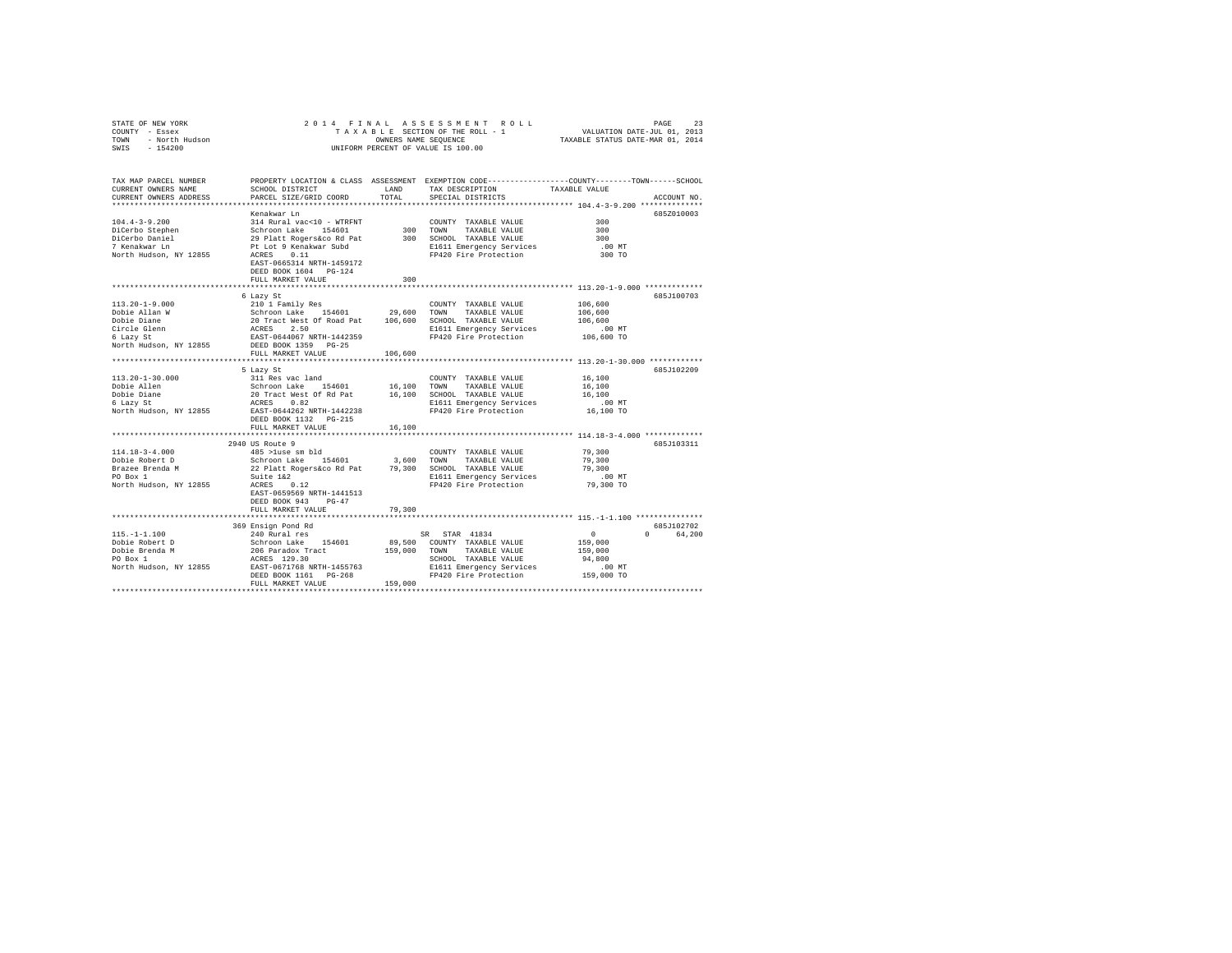| STATE OF NEW YORK<br>COUNTY - Essex<br>TOWN - North Hudson<br>SWIS - 154200                                                                                            | TAXABLE SECTION OF THE ROLL - 1<br>VALUATION DATE-JUL 01, 2013<br>ONNERS NAME STATUS DATE-MAR 01, 2014<br>UNIFORM PERCENT OF VALUE IS 100.00 |          | 2014 FINAL ASSESSMENT ROLL                                                   |                                                 | PAGE<br>23             |
|------------------------------------------------------------------------------------------------------------------------------------------------------------------------|----------------------------------------------------------------------------------------------------------------------------------------------|----------|------------------------------------------------------------------------------|-------------------------------------------------|------------------------|
| TAX MAP PARCEL NUMBER PROPERTY LOCATION & CLASS ASSESSMENT EXEMPTION CODE---------------COUNTY-------TOWN------SCHOOL<br>CURRENT OWNERS NAME<br>CURRENT OWNERS ADDRESS | SCHOOL DISTRICT LAND<br>PARCEL SIZE/GRID COORD                                                                                               | TOTAL    | TAX DESCRIPTION<br>SPECIAL DISTRICTS                                         | TAXABLE VALUE                                   | ACCOUNT NO.            |
|                                                                                                                                                                        |                                                                                                                                              |          |                                                                              | ****************** 104.4-3-9.200 ************** |                        |
|                                                                                                                                                                        | Kenakwar Ln                                                                                                                                  |          |                                                                              |                                                 | 685Z010003             |
| $104.4 - 3 - 9.200$                                                                                                                                                    | 314 Rural vac<10 - WTRFNT                                                                                                                    |          | COUNTY TAXABLE VALUE                                                         | 300                                             |                        |
|                                                                                                                                                                        | Schroon Lake 154601<br>29 Platt Rogers&co Rd Pat                                                                                             | 300 TOWN | TAXABLE VALUE                                                                | 300                                             |                        |
| DiCerbo Stephen<br>DiCerbo Daniel<br>7 Kenakwar Ln                                                                                                                     |                                                                                                                                              |          | 300 SCHOOL TAXABLE VALUE                                                     | 300                                             |                        |
|                                                                                                                                                                        | Pt Lot 9 Kenakwar Subd<br>ACRES 0.11                                                                                                         |          | E1611 Emergency Services<br>FP420 Fire Protection                            | $.00$ MT                                        |                        |
| North Hudson, NY 12855                                                                                                                                                 |                                                                                                                                              |          |                                                                              | 300 TO                                          |                        |
|                                                                                                                                                                        | EAST-0665314 NRTH-1459172                                                                                                                    |          |                                                                              |                                                 |                        |
|                                                                                                                                                                        | DEED BOOK 1604 PG-124                                                                                                                        |          |                                                                              |                                                 |                        |
|                                                                                                                                                                        | FULL MARKET VALUE                                                                                                                            | 300      |                                                                              |                                                 |                        |
|                                                                                                                                                                        | 6 Lazy St                                                                                                                                    |          |                                                                              |                                                 | 685J100703             |
| $113.20 - 1 - 9.000$                                                                                                                                                   | 210 1 Family Res                                                                                                                             |          | COUNTY TAXABLE VALUE                                                         | 106,600                                         |                        |
| Dobie Allan W                                                                                                                                                          |                                                                                                                                              |          |                                                                              | 106,600                                         |                        |
| Dobie Diane                                                                                                                                                            | Schroon Lake 154601 29,600 TOWN TAXABLE VALUE<br>20 Tract West Of Road Pat 106,600 SCHOOL TAXABLE VALUE                                      |          |                                                                              | 106,600                                         |                        |
|                                                                                                                                                                        | ACRES 2.50                                                                                                                                   |          | E1611 Emergency Services                                                     | .00 MT                                          |                        |
| Circle Glenn<br>6 Lazy St                                                                                                                                              | EAST-0644067 NRTH-1442359                                                                                                                    |          | FP420 Fire Protection                                                        | 106,600 TO                                      |                        |
| North Hudson, NY 12855                                                                                                                                                 | DEED BOOK 1359 PG-25                                                                                                                         |          |                                                                              |                                                 |                        |
|                                                                                                                                                                        | FULL MARKET VALUE                                                                                                                            | 106,600  |                                                                              |                                                 |                        |
|                                                                                                                                                                        |                                                                                                                                              |          |                                                                              |                                                 |                        |
|                                                                                                                                                                        | 5 Lazy St                                                                                                                                    |          |                                                                              |                                                 | 685J102209             |
| $113.20 - 1 - 30.000$                                                                                                                                                  | 311 Res vac land                                                                                                                             |          | COUNTY TAXABLE VALUE                                                         | 16,100                                          |                        |
| Dobie Allen                                                                                                                                                            | Schroon Lake 154601                                                                                                                          |          | 16,100 TOWN TAXABLE VALUE                                                    | 16,100                                          |                        |
| Dobie Diane                                                                                                                                                            | 20 Tract West Of Rd Pat                                                                                                                      |          | 16,100 SCHOOL TAXABLE VALUE                                                  | 16,100                                          |                        |
| 6 Lazy St                                                                                                                                                              | ACRES 0.82                                                                                                                                   |          | E1611 Emergency Services                                                     | $.00$ MT                                        |                        |
| North Hudson, NY 12855 EAST-0644262 NRTH-1442238                                                                                                                       |                                                                                                                                              |          | FP420 Fire Protection                                                        | 16,100 TO                                       |                        |
|                                                                                                                                                                        | DEED BOOK 1132    PG-215                                                                                                                     |          |                                                                              |                                                 |                        |
|                                                                                                                                                                        | FULL MARKET VALUE                                                                                                                            | 16,100   |                                                                              |                                                 |                        |
|                                                                                                                                                                        |                                                                                                                                              |          |                                                                              |                                                 |                        |
|                                                                                                                                                                        | 2940 US Route 9                                                                                                                              |          |                                                                              |                                                 | 685J103311             |
| $114.18 - 3 - 4.000$                                                                                                                                                   | 485 >luse sm bld                                                                                                                             |          | COUNTY TAXABLE VALUE                                                         | 79,300                                          |                        |
| Dobie Robert D                                                                                                                                                         | Schroon Lake 154601                                                                                                                          |          | 3,600 TOWN TAXABLE VALUE                                                     | 79,300                                          |                        |
| Brazee Brenda M<br>PO Box 1                                                                                                                                            | 22 Platt Rogers&co Rd Pat 79,300 SCHOOL TAXABLE VALUE                                                                                        |          |                                                                              | 79,300                                          |                        |
|                                                                                                                                                                        | Suite $1\&2$<br>ACRES 0.12                                                                                                                   |          | E1611 Emergency Services                                                     | $.00$ MT                                        |                        |
| North Hudson, NY 12855                                                                                                                                                 |                                                                                                                                              |          | FP420 Fire Protection                                                        | 79,300 TO                                       |                        |
|                                                                                                                                                                        | EAST-0659569 NRTH-1441513                                                                                                                    |          |                                                                              |                                                 |                        |
|                                                                                                                                                                        | DEED BOOK 943 PG-47                                                                                                                          |          |                                                                              |                                                 |                        |
|                                                                                                                                                                        | FULL MARKET VALUE                                                                                                                            | 79,300   |                                                                              |                                                 |                        |
|                                                                                                                                                                        |                                                                                                                                              |          |                                                                              |                                                 |                        |
| $115. - 1 - 1.100$                                                                                                                                                     | 369 Ensign Pond Rd<br>240 Rural res                                                                                                          |          |                                                                              | $\sim$ 0                                        | 685J102702<br>0 64.200 |
| Dobie Robert D                                                                                                                                                         | Schroon Lake 154601                                                                                                                          |          | SR STAR 41834                                                                | 159,000                                         |                        |
|                                                                                                                                                                        |                                                                                                                                              |          | 89,500 COUNTY TAXABLE VALUE<br>TAXABLE VALUE                                 | 159,000                                         |                        |
| Dobie Brenda M<br>PO Box 1                                                                                                                                             | 206 Paradox Tract 159,000 TOWN<br>ACRES 129.30                                                                                               |          | SCHOOL TAXABLE VALUE                                                         | 94,800                                          |                        |
| North Hudson, NY 12855 EAST-0671768 NRTH-1455763                                                                                                                       |                                                                                                                                              |          |                                                                              | $.00$ MT                                        |                        |
|                                                                                                                                                                        | DEED BOOK 1161 PG-268                                                                                                                        |          | E1611 Emergency Services<br>End20 Fine Deat - - - -<br>FP420 Fire Protection | 159,000 TO                                      |                        |
|                                                                                                                                                                        | FULL MARKET VALUE                                                                                                                            | 159,000  |                                                                              |                                                 |                        |
|                                                                                                                                                                        |                                                                                                                                              |          |                                                                              |                                                 |                        |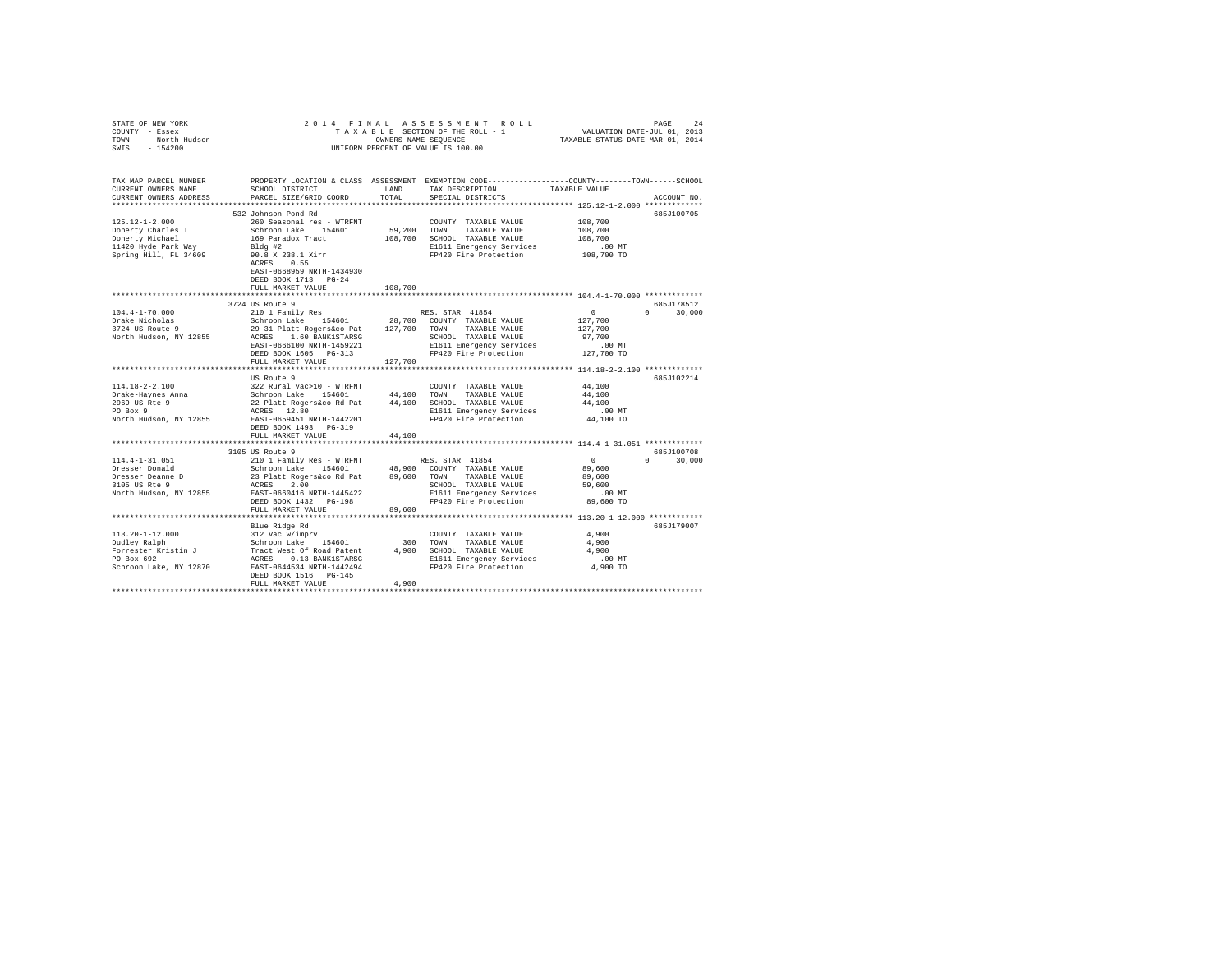| PROPERTY LOCATION & CLASS ASSESSMENT EXEMPTION CODE---------------COUNTY-------TOWN------SCHOOL<br>TAX MAP PARCEL NUMBER<br>TAX DESCRIPTION TAXABLE VALUE<br>SCHOOL DISTRICT<br>CURRENT OWNERS NAME<br>LAND<br>PARCEL SIZE/GRID COORD<br>TOTAL<br>SPECIAL DISTRICTS<br>CURRENT OWNERS ADDRESS<br>ACCOUNT NO.<br>532 Johnson Pond Rd<br>685J100705<br>$125.12 - 1 - 2.000$<br>108,700<br>260 Seasonal res - WTRFNT<br>COUNTY TAXABLE VALUE<br>CONFINE TRANSFARING THE SCHOON LARE IS THAT USE TO CONFINE THE SCHOON LARE IS TO TOWN TAXABLE VALUE 108,700<br>Doherty Michael 169 Paradox Tract 108,700 SCHOOL TAXABLE VALUE 108,700<br>11420 Hyde Park Way Bldg #2<br>Spring Hill<br>EAST-0668959 NRTH-1434930<br>DEED BOOK 1713 PG-24<br>FULL MARKET VALUE<br>108,700<br>3724 US Route 9<br>685J178512<br>$0 \t 30,000$<br>US Route 9<br>685J102214<br>$\begin{tabular}{llllllll} \multicolumn{2}{c}{\textbf{COUNTY}} & \textbf{TAXABLE VALUE} & & \multicolumn{2}{c}{44,100} \\ \multicolumn{2}{c}{\textbf{TONN}} & \textbf{TAXABLE VALUE} & & \multicolumn{2}{c}{44,100} \end{tabular}$<br>44,100<br>$.00$ MT<br>44,100 TO<br>DEED BOOK 1493 PG-319<br>FULL MARKET VALUE<br>44,100<br>3105 US Route 9<br>685J100708<br>$\overline{0}$<br>$0 \t 30,000$<br>89,600<br>FULL MARKET VALUE<br>89,600<br>Blue Ridge Rd<br>685J179007<br>DEED BOOK 1516 PG-145<br>4,900<br>FULL MARKET VALUE | STATE OF NEW YORK<br>STATE OF REW YORK WORK 2014 FINAL AS SESS ON EN TRICILLY TAXABLE STATE OF A 2013<br>TOWN - NO HUGH HOLD (2013)<br>TAXABLE STATE OF THE ROLL -1 (2013)<br>SWIS - 154200 – UNIFORM PERCENT OF VALUE IS 100.00 |  | 2014 FINAL ASSESSMENT ROLL | PAGE<br>2.4 |
|-----------------------------------------------------------------------------------------------------------------------------------------------------------------------------------------------------------------------------------------------------------------------------------------------------------------------------------------------------------------------------------------------------------------------------------------------------------------------------------------------------------------------------------------------------------------------------------------------------------------------------------------------------------------------------------------------------------------------------------------------------------------------------------------------------------------------------------------------------------------------------------------------------------------------------------------------------------------------------------------------------------------------------------------------------------------------------------------------------------------------------------------------------------------------------------------------------------------------------------------------------------------------------------------------------------------------------------------------------------------------------------------|----------------------------------------------------------------------------------------------------------------------------------------------------------------------------------------------------------------------------------|--|----------------------------|-------------|
|                                                                                                                                                                                                                                                                                                                                                                                                                                                                                                                                                                                                                                                                                                                                                                                                                                                                                                                                                                                                                                                                                                                                                                                                                                                                                                                                                                                         |                                                                                                                                                                                                                                  |  |                            |             |
|                                                                                                                                                                                                                                                                                                                                                                                                                                                                                                                                                                                                                                                                                                                                                                                                                                                                                                                                                                                                                                                                                                                                                                                                                                                                                                                                                                                         |                                                                                                                                                                                                                                  |  |                            |             |
|                                                                                                                                                                                                                                                                                                                                                                                                                                                                                                                                                                                                                                                                                                                                                                                                                                                                                                                                                                                                                                                                                                                                                                                                                                                                                                                                                                                         |                                                                                                                                                                                                                                  |  |                            |             |
|                                                                                                                                                                                                                                                                                                                                                                                                                                                                                                                                                                                                                                                                                                                                                                                                                                                                                                                                                                                                                                                                                                                                                                                                                                                                                                                                                                                         |                                                                                                                                                                                                                                  |  |                            |             |
|                                                                                                                                                                                                                                                                                                                                                                                                                                                                                                                                                                                                                                                                                                                                                                                                                                                                                                                                                                                                                                                                                                                                                                                                                                                                                                                                                                                         |                                                                                                                                                                                                                                  |  |                            |             |
|                                                                                                                                                                                                                                                                                                                                                                                                                                                                                                                                                                                                                                                                                                                                                                                                                                                                                                                                                                                                                                                                                                                                                                                                                                                                                                                                                                                         |                                                                                                                                                                                                                                  |  |                            |             |
|                                                                                                                                                                                                                                                                                                                                                                                                                                                                                                                                                                                                                                                                                                                                                                                                                                                                                                                                                                                                                                                                                                                                                                                                                                                                                                                                                                                         |                                                                                                                                                                                                                                  |  |                            |             |
|                                                                                                                                                                                                                                                                                                                                                                                                                                                                                                                                                                                                                                                                                                                                                                                                                                                                                                                                                                                                                                                                                                                                                                                                                                                                                                                                                                                         |                                                                                                                                                                                                                                  |  |                            |             |
|                                                                                                                                                                                                                                                                                                                                                                                                                                                                                                                                                                                                                                                                                                                                                                                                                                                                                                                                                                                                                                                                                                                                                                                                                                                                                                                                                                                         |                                                                                                                                                                                                                                  |  |                            |             |
|                                                                                                                                                                                                                                                                                                                                                                                                                                                                                                                                                                                                                                                                                                                                                                                                                                                                                                                                                                                                                                                                                                                                                                                                                                                                                                                                                                                         |                                                                                                                                                                                                                                  |  |                            |             |
|                                                                                                                                                                                                                                                                                                                                                                                                                                                                                                                                                                                                                                                                                                                                                                                                                                                                                                                                                                                                                                                                                                                                                                                                                                                                                                                                                                                         |                                                                                                                                                                                                                                  |  |                            |             |
|                                                                                                                                                                                                                                                                                                                                                                                                                                                                                                                                                                                                                                                                                                                                                                                                                                                                                                                                                                                                                                                                                                                                                                                                                                                                                                                                                                                         |                                                                                                                                                                                                                                  |  |                            |             |
|                                                                                                                                                                                                                                                                                                                                                                                                                                                                                                                                                                                                                                                                                                                                                                                                                                                                                                                                                                                                                                                                                                                                                                                                                                                                                                                                                                                         |                                                                                                                                                                                                                                  |  |                            |             |
|                                                                                                                                                                                                                                                                                                                                                                                                                                                                                                                                                                                                                                                                                                                                                                                                                                                                                                                                                                                                                                                                                                                                                                                                                                                                                                                                                                                         |                                                                                                                                                                                                                                  |  |                            |             |
|                                                                                                                                                                                                                                                                                                                                                                                                                                                                                                                                                                                                                                                                                                                                                                                                                                                                                                                                                                                                                                                                                                                                                                                                                                                                                                                                                                                         |                                                                                                                                                                                                                                  |  |                            |             |
|                                                                                                                                                                                                                                                                                                                                                                                                                                                                                                                                                                                                                                                                                                                                                                                                                                                                                                                                                                                                                                                                                                                                                                                                                                                                                                                                                                                         |                                                                                                                                                                                                                                  |  |                            |             |
|                                                                                                                                                                                                                                                                                                                                                                                                                                                                                                                                                                                                                                                                                                                                                                                                                                                                                                                                                                                                                                                                                                                                                                                                                                                                                                                                                                                         |                                                                                                                                                                                                                                  |  |                            |             |
|                                                                                                                                                                                                                                                                                                                                                                                                                                                                                                                                                                                                                                                                                                                                                                                                                                                                                                                                                                                                                                                                                                                                                                                                                                                                                                                                                                                         |                                                                                                                                                                                                                                  |  |                            |             |
|                                                                                                                                                                                                                                                                                                                                                                                                                                                                                                                                                                                                                                                                                                                                                                                                                                                                                                                                                                                                                                                                                                                                                                                                                                                                                                                                                                                         |                                                                                                                                                                                                                                  |  |                            |             |
|                                                                                                                                                                                                                                                                                                                                                                                                                                                                                                                                                                                                                                                                                                                                                                                                                                                                                                                                                                                                                                                                                                                                                                                                                                                                                                                                                                                         |                                                                                                                                                                                                                                  |  |                            |             |
|                                                                                                                                                                                                                                                                                                                                                                                                                                                                                                                                                                                                                                                                                                                                                                                                                                                                                                                                                                                                                                                                                                                                                                                                                                                                                                                                                                                         |                                                                                                                                                                                                                                  |  |                            |             |
|                                                                                                                                                                                                                                                                                                                                                                                                                                                                                                                                                                                                                                                                                                                                                                                                                                                                                                                                                                                                                                                                                                                                                                                                                                                                                                                                                                                         |                                                                                                                                                                                                                                  |  |                            |             |
|                                                                                                                                                                                                                                                                                                                                                                                                                                                                                                                                                                                                                                                                                                                                                                                                                                                                                                                                                                                                                                                                                                                                                                                                                                                                                                                                                                                         |                                                                                                                                                                                                                                  |  |                            |             |
|                                                                                                                                                                                                                                                                                                                                                                                                                                                                                                                                                                                                                                                                                                                                                                                                                                                                                                                                                                                                                                                                                                                                                                                                                                                                                                                                                                                         |                                                                                                                                                                                                                                  |  |                            |             |
|                                                                                                                                                                                                                                                                                                                                                                                                                                                                                                                                                                                                                                                                                                                                                                                                                                                                                                                                                                                                                                                                                                                                                                                                                                                                                                                                                                                         |                                                                                                                                                                                                                                  |  |                            |             |
|                                                                                                                                                                                                                                                                                                                                                                                                                                                                                                                                                                                                                                                                                                                                                                                                                                                                                                                                                                                                                                                                                                                                                                                                                                                                                                                                                                                         |                                                                                                                                                                                                                                  |  |                            |             |
|                                                                                                                                                                                                                                                                                                                                                                                                                                                                                                                                                                                                                                                                                                                                                                                                                                                                                                                                                                                                                                                                                                                                                                                                                                                                                                                                                                                         |                                                                                                                                                                                                                                  |  |                            |             |
|                                                                                                                                                                                                                                                                                                                                                                                                                                                                                                                                                                                                                                                                                                                                                                                                                                                                                                                                                                                                                                                                                                                                                                                                                                                                                                                                                                                         |                                                                                                                                                                                                                                  |  |                            |             |
|                                                                                                                                                                                                                                                                                                                                                                                                                                                                                                                                                                                                                                                                                                                                                                                                                                                                                                                                                                                                                                                                                                                                                                                                                                                                                                                                                                                         |                                                                                                                                                                                                                                  |  |                            |             |
|                                                                                                                                                                                                                                                                                                                                                                                                                                                                                                                                                                                                                                                                                                                                                                                                                                                                                                                                                                                                                                                                                                                                                                                                                                                                                                                                                                                         |                                                                                                                                                                                                                                  |  |                            |             |
|                                                                                                                                                                                                                                                                                                                                                                                                                                                                                                                                                                                                                                                                                                                                                                                                                                                                                                                                                                                                                                                                                                                                                                                                                                                                                                                                                                                         |                                                                                                                                                                                                                                  |  |                            |             |
|                                                                                                                                                                                                                                                                                                                                                                                                                                                                                                                                                                                                                                                                                                                                                                                                                                                                                                                                                                                                                                                                                                                                                                                                                                                                                                                                                                                         |                                                                                                                                                                                                                                  |  |                            |             |
|                                                                                                                                                                                                                                                                                                                                                                                                                                                                                                                                                                                                                                                                                                                                                                                                                                                                                                                                                                                                                                                                                                                                                                                                                                                                                                                                                                                         |                                                                                                                                                                                                                                  |  |                            |             |
|                                                                                                                                                                                                                                                                                                                                                                                                                                                                                                                                                                                                                                                                                                                                                                                                                                                                                                                                                                                                                                                                                                                                                                                                                                                                                                                                                                                         |                                                                                                                                                                                                                                  |  |                            |             |
|                                                                                                                                                                                                                                                                                                                                                                                                                                                                                                                                                                                                                                                                                                                                                                                                                                                                                                                                                                                                                                                                                                                                                                                                                                                                                                                                                                                         |                                                                                                                                                                                                                                  |  |                            |             |
|                                                                                                                                                                                                                                                                                                                                                                                                                                                                                                                                                                                                                                                                                                                                                                                                                                                                                                                                                                                                                                                                                                                                                                                                                                                                                                                                                                                         |                                                                                                                                                                                                                                  |  |                            |             |
|                                                                                                                                                                                                                                                                                                                                                                                                                                                                                                                                                                                                                                                                                                                                                                                                                                                                                                                                                                                                                                                                                                                                                                                                                                                                                                                                                                                         |                                                                                                                                                                                                                                  |  |                            |             |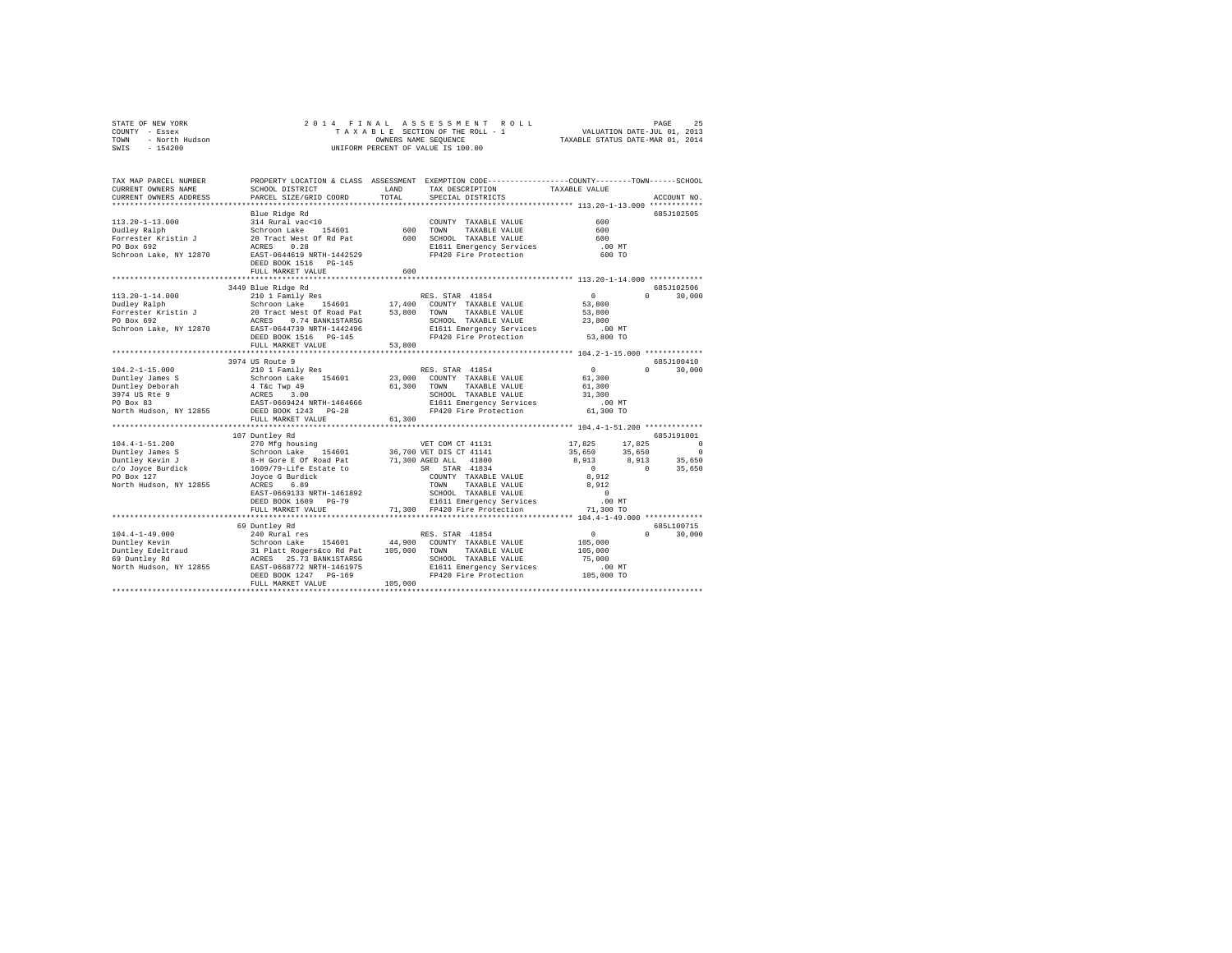| STATE OF NEW YORK |                |  |  | 2014 FINAL ASSESSMENT ROLL         |  |                                  | PAGE                        | 25 |
|-------------------|----------------|--|--|------------------------------------|--|----------------------------------|-----------------------------|----|
| COUNTY - Essex    |                |  |  | TAXABLE SECTION OF THE ROLL - 1    |  |                                  | VALUATION DATE-JUL 01, 2013 |    |
| TOWN              | - North Hudson |  |  | OWNERS NAME SEOUENCE               |  | TAXABLE STATUS DATE-MAR 01, 2014 |                             |    |
| SWIS<br>$-154200$ |                |  |  | UNIFORM PERCENT OF VALUE IS 100.00 |  |                                  |                             |    |

| TAX MAP PARCEL NUMBER<br>CURRENT OWNERS NAME<br>CURRENT OWNERS ADDRESS | SCHOOL DISTRICT<br>PARCEL SIZE/GRID COORD                                                                        | LAND<br>TOTAL    | PROPERTY LOCATION & CLASS ASSESSMENT EXEMPTION CODE----------------COUNTY-------TOWN-----SCHOOL<br>TAX DESCRIPTION<br>SPECIAL DISTRICTS | TAXABLE VALUE    | ACCOUNT NO.          |
|------------------------------------------------------------------------|------------------------------------------------------------------------------------------------------------------|------------------|-----------------------------------------------------------------------------------------------------------------------------------------|------------------|----------------------|
|                                                                        |                                                                                                                  |                  |                                                                                                                                         |                  |                      |
|                                                                        | Blue Ridge Rd                                                                                                    |                  |                                                                                                                                         |                  | 685J102505           |
| $113.20 - 1 - 13.000$                                                  | 314 Rural vac<10                                                                                                 |                  | COUNTY TAXABLE VALUE                                                                                                                    | 600              |                      |
| Dudley Ralph                                                           | Schroon Lake 154601                                                                                              | 600              | TOWN<br>TAXABLE VALUE                                                                                                                   | 600              |                      |
| Forrester Kristin J                                                    | 20 Tract West Of Rd Pat                                                                                          | 600              | SCHOOL TAXABLE VALUE                                                                                                                    | 600              |                      |
| PO Box 692                                                             | 0.28<br>ACRES                                                                                                    |                  | E1611 Emergency Services                                                                                                                | $.00$ MT         |                      |
| Schroon Lake, NY 12870                                                 | EAST-0644619 NRTH-1442529<br>DEED BOOK 1516 PG-145                                                               |                  | FP420 Fire Protection                                                                                                                   | 600 TO           |                      |
|                                                                        | FULL MARKET VALUE                                                                                                | 600              |                                                                                                                                         |                  |                      |
|                                                                        |                                                                                                                  |                  | ************************************ 113.20-1-14.000 *************                                                                      |                  |                      |
|                                                                        | 3449 Blue Ridge Rd                                                                                               |                  |                                                                                                                                         |                  | 685J102506           |
| $113.20 - 1 - 14.000$                                                  | 210 1 Family Res                                                                                                 |                  | RES. STAR 41854                                                                                                                         | $\circ$          | 30,000<br>$\cap$     |
| Dudley Ralph                                                           |                                                                                                                  |                  | 17,400 COUNTY TAXABLE VALUE                                                                                                             | 53,800           |                      |
| Forrester Kristin J                                                    |                                                                                                                  | 53,800           | TOWN<br>TAXABLE VALUE                                                                                                                   | 53,800           |                      |
| PO Box 692                                                             | Schroon Lake 154601<br>20 Tract West Of Road Pat<br>ACRES 0.74 BANK1STARSG<br>EAST-0644739 NRTH-1442496          |                  | SCHOOL TAXABLE VALUE                                                                                                                    | 23,800           |                      |
| Schroon Lake, NY 12870                                                 |                                                                                                                  |                  | E1611 Emergency Services                                                                                                                | $.00$ MT         |                      |
|                                                                        | DEED BOOK 1516 PG-145                                                                                            |                  | FP420 Fire Protection                                                                                                                   | 53,800 TO        |                      |
|                                                                        | FULL MARKET VALUE                                                                                                | 53,800           |                                                                                                                                         |                  |                      |
|                                                                        |                                                                                                                  |                  |                                                                                                                                         |                  |                      |
|                                                                        | 3974 US Route 9                                                                                                  |                  |                                                                                                                                         |                  | 685J100410<br>$\cap$ |
| $104.2 - 1 - 15.000$                                                   | 210 1 Family Res                                                                                                 |                  | RES. STAR 41854                                                                                                                         | $\circ$          | 30,000               |
| Duntley James S                                                        | 154601<br>Schroon Lake                                                                                           | 23,000<br>61,300 | COUNTY TAXABLE VALUE<br>TOWN<br>TAXABLE VALUE                                                                                           | 61,300<br>61,300 |                      |
| Duntley Deborah<br>3974 US Rte 9                                       | 4 T&c Twp 49<br>ACRES 3.00<br>EAST-0669424 NRTH-1464666                                                          |                  | SCHOOL TAXABLE VALUE                                                                                                                    | 31,300           |                      |
| PO Box 83                                                              |                                                                                                                  |                  | E1611 Emergency Services                                                                                                                | $.00$ MT         |                      |
| North Hudson, NY 12855 DEED BOOK 1243 PG-28                            |                                                                                                                  |                  | FP420 Fire Protection                                                                                                                   | 61,300 TO        |                      |
|                                                                        | FULL MARKET VALUE                                                                                                | 61,300           |                                                                                                                                         |                  |                      |
|                                                                        |                                                                                                                  |                  |                                                                                                                                         |                  |                      |
|                                                                        | 107 Duntley Rd                                                                                                   |                  |                                                                                                                                         |                  | 685J191001           |
| $104.4 - 1 - 51.200$                                                   | 270 Mfg housing                                                                                                  |                  | VET COM CT 41131                                                                                                                        | 17,825<br>17.825 | $\circ$              |
| Duntley James S                                                        |                                                                                                                  |                  | 36,700 VET DIS CT 41141                                                                                                                 | 35,650<br>35,650 | $^{\circ}$           |
| Duntley Kevin J                                                        | Schroon Lake 154601<br>8-H Gore E Of Road Pat                                                                    |                  | 71,300 AGED ALL 41800                                                                                                                   | 8,913<br>8,913   | 35,650               |
| c/o Joyce Burdick                                                      | 1609/79-Life Estate to                                                                                           |                  | SR STAR 41834                                                                                                                           | $\sim$ 0         | $\Omega$<br>35,650   |
| PO Box 127                                                             | Jovce G Burdick                                                                                                  |                  | COUNTY TAXABLE VALUE                                                                                                                    | 8,912            |                      |
| North Hudson, NY 12855                                                 | ACRES<br>6.89                                                                                                    |                  | TAXABLE VALUE<br>TOWN                                                                                                                   | 8.912            |                      |
|                                                                        | EAST-0669133 NRTH-1461892                                                                                        |                  | SCHOOL TAXABLE VALUE                                                                                                                    | $\sim$ 0         |                      |
|                                                                        | DEED BOOK 1609 PG-79                                                                                             |                  | E1611 Emergency Services                                                                                                                | .00 MT           |                      |
|                                                                        | FULL MARKET VALUE                                                                                                |                  | 71,300 FP420 Fire Protection                                                                                                            | 71,300 TO        |                      |
|                                                                        |                                                                                                                  |                  |                                                                                                                                         |                  |                      |
|                                                                        | 69 Duntley Rd                                                                                                    |                  |                                                                                                                                         |                  | 685L100715           |
| $104.4 - 1 - 49.000$                                                   | 240 Rural res                                                                                                    |                  | RES. STAR 41854                                                                                                                         | $\circ$          | $\Omega$<br>30,000   |
| Duntley Kevin                                                          |                                                                                                                  | 44,900           | COUNTY TAXABLE VALUE                                                                                                                    | 105,000          |                      |
| Duntley Edeltraud<br>-- -------- Pd                                    | Schroon Lake 154601 44,900<br>31 Platt Rogers act 25,000<br>ACRES 25.73 BANK1STARSG<br>EAST-0668772 NRTH-1461975 |                  | TAXABLE VALUE<br>TOWN                                                                                                                   | 105,000          |                      |
| 69 Duntley Rd                                                          |                                                                                                                  |                  | SCHOOL TAXABLE VALUE                                                                                                                    | 75,000           |                      |
| North Hudson, NY 12855                                                 |                                                                                                                  |                  | E1611 Emergency Services                                                                                                                | $.00$ MT         |                      |
|                                                                        | DEED BOOK 1247 PG-169                                                                                            |                  | FP420 Fire Protection 105,000 TO                                                                                                        |                  |                      |
|                                                                        | FULL MARKET VALUE                                                                                                | 105,000          |                                                                                                                                         |                  |                      |
|                                                                        |                                                                                                                  |                  |                                                                                                                                         |                  |                      |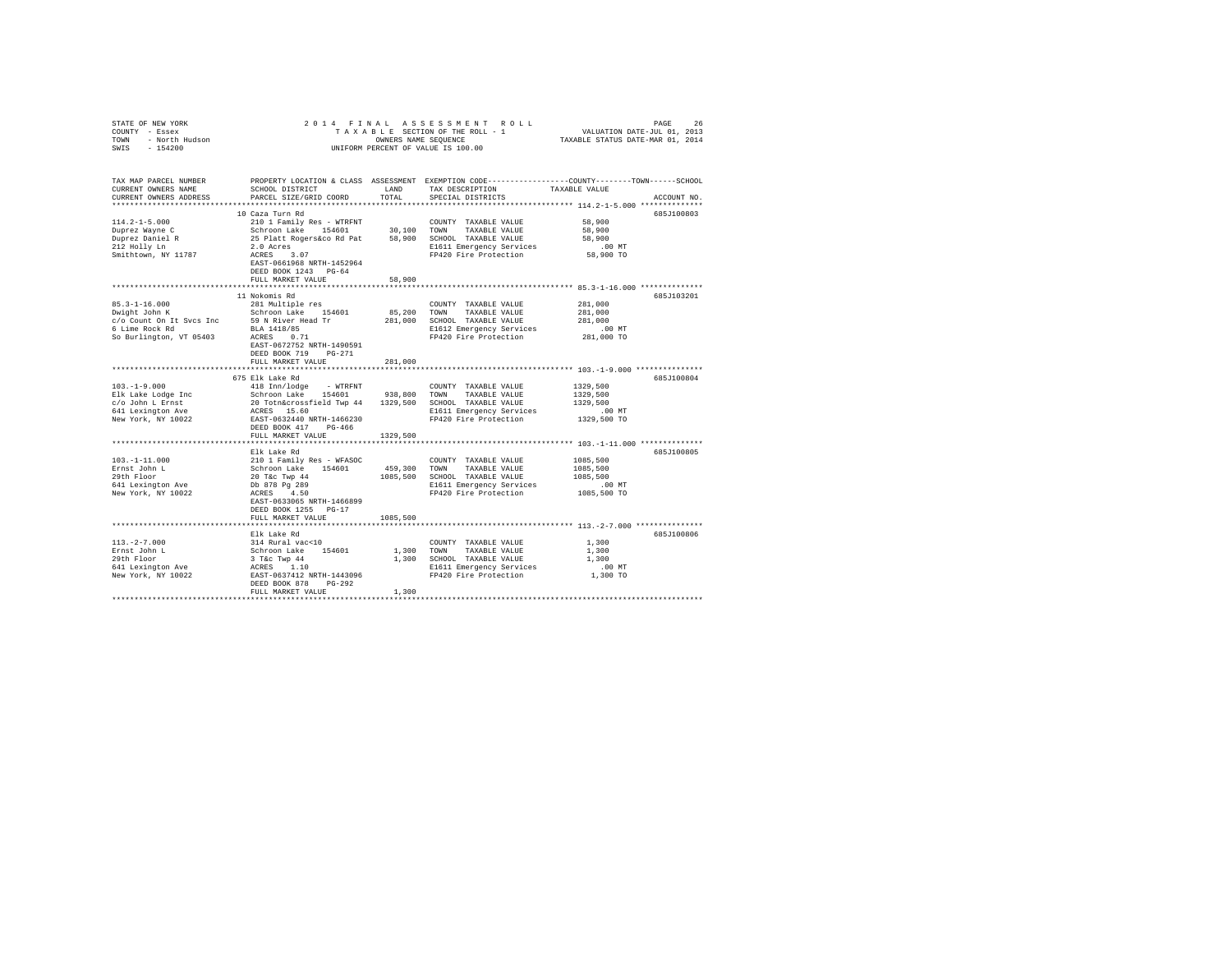| STATE OF NEW YORK<br>COUNTY - Essex<br>TOWN - North Hudson<br>SWIS - 154200                                                                                                                                                                                                                                          |                                                                                                                   |               | 2014 FINAL ASSESSMENT ROLL<br>UNIFORM PERCENT OF VALUE IS 100.00                                                                                                                                                                                          | TAXABLE SECTION OF THE ROLL - 1<br>TAXABLE SECTION OF THE ROLL - 1 WALUATION DATE-JUL 01, 2013<br>TRATABLE STATUS DATE-MED OF THE ROLL - 1 TAXABLE STATUS DATE-MED 01 2014 |
|----------------------------------------------------------------------------------------------------------------------------------------------------------------------------------------------------------------------------------------------------------------------------------------------------------------------|-------------------------------------------------------------------------------------------------------------------|---------------|-----------------------------------------------------------------------------------------------------------------------------------------------------------------------------------------------------------------------------------------------------------|----------------------------------------------------------------------------------------------------------------------------------------------------------------------------|
| TAX MAP PARCEL NUMBER<br>CURRENT OWNERS NAME<br>CURRENT OWNERS ADDRESS                                                                                                                                                                                                                                               | SCHOOL DISTRICT<br>PARCEL SIZE/GRID COORD                                                                         | LAND<br>TOTAL | TAX DESCRIPTION TAXABLE VALUE<br>SPECIAL DISTRICTS                                                                                                                                                                                                        | PROPERTY LOCATION & CLASS ASSESSMENT EXEMPTION CODE----------------COUNTY-------TOWN------SCHOOL<br>ACCOUNT NO.                                                            |
|                                                                                                                                                                                                                                                                                                                      | 10 Caza Turn Rd                                                                                                   |               |                                                                                                                                                                                                                                                           | 685J100803                                                                                                                                                                 |
| $114.2 - 1 - 5.000$<br>Duprez Wayne C<br>Duprez Daniel R<br>212 Holly Ln<br>Smithtown, NY 11787                                                                                                                                                                                                                      | EAST-0661968 NRTH-1452964<br>DEED BOOK 1243 PG-64                                                                 |               | A COUNTY TAXABLE VALUE<br>School also 154601<br>School also 154601<br>20,100 TONN TAXABLE VALUE<br>20 Acress 25 Platt Rogers.co Rd Pat<br>20 Acress<br>20 ACRES<br>20 ACRES<br>20 ACRES<br>20 ACRES<br>20 ACRES<br>20 ACRES<br>20 ACRES<br>20 ACRES<br>20 | 58,900<br>58,900<br>58,900<br>$.00$ MT<br>58,900 TO                                                                                                                        |
|                                                                                                                                                                                                                                                                                                                      | FULL MARKET VALUE                                                                                                 | 58,900        |                                                                                                                                                                                                                                                           |                                                                                                                                                                            |
| $85.3 - 1 - 16.000$<br>$\frac{1}{2}$ and $\frac{1}{2}$ and $\frac{1}{2}$ and $\frac{1}{2}$ and $\frac{1}{2}$ and $\frac{1}{2}$ and $\frac{1}{2}$ and $\frac{1}{2}$ and $\frac{1}{2}$ and $\frac{1}{2}$ and $\frac{1}{2}$ and $\frac{1}{2}$ and $\frac{1}{2}$ and $\frac{1}{2}$ and $\frac{1}{2}$ and $\frac{1}{2}$ a | 11 Nokomis Rd<br>281 Multiple res<br>EAST-0672752 NRTH-1490591<br>DEED BOOK 719 PG-271<br>FULL MARKET VALUE       | 281,000       | COUNTY TAXABLE VALUE<br>85,200 TOWN TAXABLE VALUE<br>281,000 SCHOOL TAXABLE VALUE                                                                                                                                                                         | 685J103201<br>281,000<br>281,000<br>281,000                                                                                                                                |
|                                                                                                                                                                                                                                                                                                                      |                                                                                                                   |               |                                                                                                                                                                                                                                                           |                                                                                                                                                                            |
|                                                                                                                                                                                                                                                                                                                      |                                                                                                                   |               |                                                                                                                                                                                                                                                           | 685J100804<br>1329,500<br>1329,500<br>1329,500<br>00 MT.<br>1329,500 TO                                                                                                    |
|                                                                                                                                                                                                                                                                                                                      | FULL MARKET VALUE 1329,500                                                                                        |               |                                                                                                                                                                                                                                                           |                                                                                                                                                                            |
|                                                                                                                                                                                                                                                                                                                      | Elk Lake Rd                                                                                                       |               |                                                                                                                                                                                                                                                           | 685J100805                                                                                                                                                                 |
| $103. -1 - 11.000$<br>Ernst John L<br>29th Floor<br>641 Lexington Ave<br>New York, NY 10022                                                                                                                                                                                                                          | EAST-0633065 NRTH-1466899<br>DEED BOOK 1255 PG-17                                                                 |               |                                                                                                                                                                                                                                                           | 1085,500<br>1085,500<br>1085,500<br>00 MT.<br>1085,500 TO                                                                                                                  |
|                                                                                                                                                                                                                                                                                                                      | FULL MARKET VALUE                                                                                                 | 1085,500      |                                                                                                                                                                                                                                                           |                                                                                                                                                                            |
| $113.-2-7.000$<br>Ernst John L<br>29th Floor<br>641 Lexington Ave<br>New York, NY 10022                                                                                                                                                                                                                              | Elk Lake Rd<br>314 Rural vac<10<br>Schroon Lake 154601<br>3 T&C Twp 44<br>ACRES 1.10<br>EAST-0637412 NRTH-1443096 |               | COUNTY TAXABLE VALUE<br>1,300 TOWN TAXABLE VALUE<br>1,300 SCHOOL TAXABLE VALUE<br>E1611 Emergency Services<br>FP420 Fire Protection                                                                                                                       | 685J100806<br>1,300<br>1,300<br>1,300<br>.00 MT.<br>1,300 TO                                                                                                               |
|                                                                                                                                                                                                                                                                                                                      | DEED BOOK 878 PG-292<br>FULL MARKET VALUE                                                                         | 1,300         |                                                                                                                                                                                                                                                           |                                                                                                                                                                            |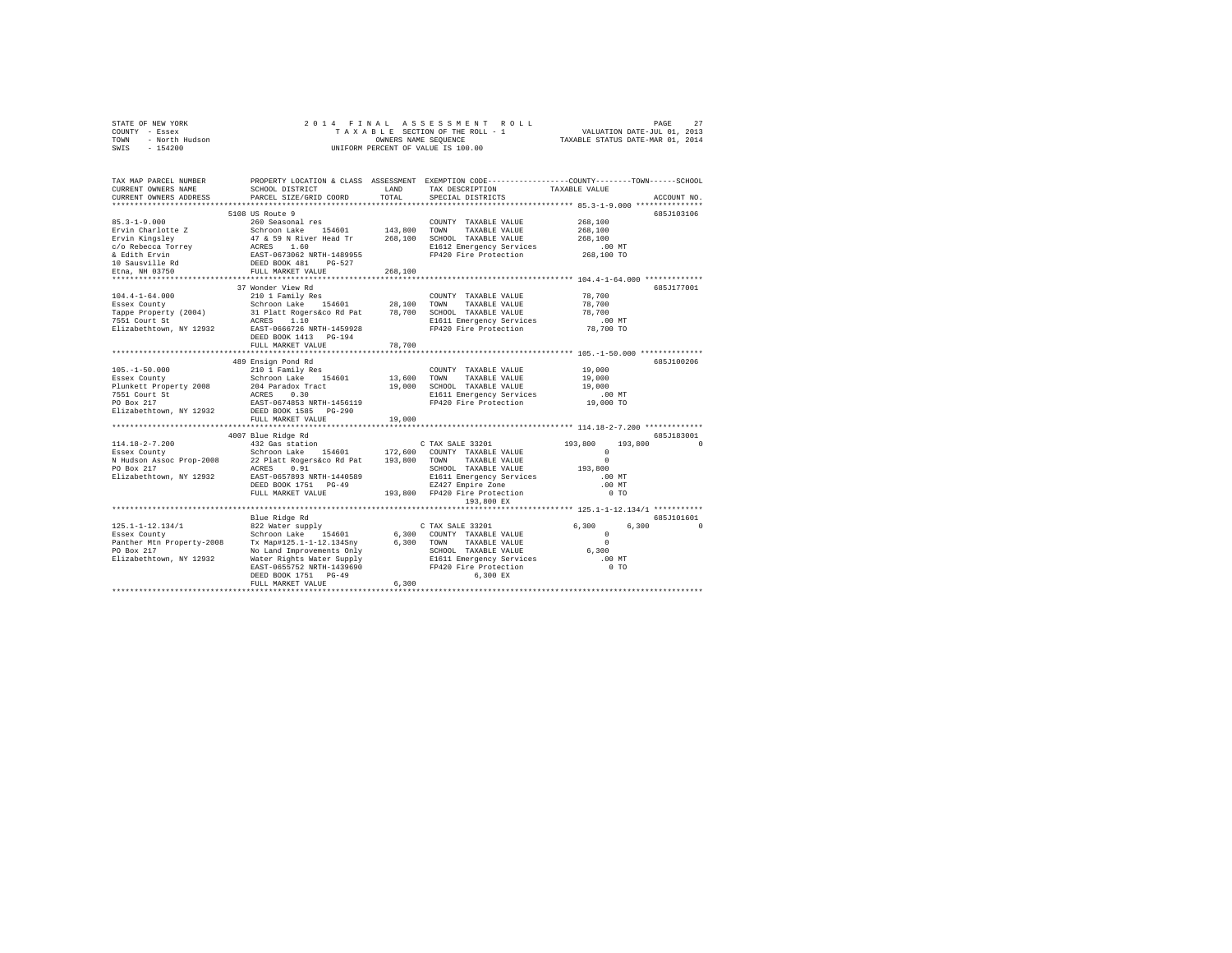|                | STATE OF NEW YORK |  |  |  |  | 2014 FINAL ASSESSMENT ROLL         |                                  | PAGE                        | 27 |
|----------------|-------------------|--|--|--|--|------------------------------------|----------------------------------|-----------------------------|----|
| COUNTY - Essex |                   |  |  |  |  | TAXABLE SECTION OF THE ROLL - 1    |                                  | VALUATION DATE-JUL 01, 2013 |    |
| TOWN           | - North Hudson    |  |  |  |  | OWNERS NAME SEOUENCE               | TAXABLE STATUS DATE-MAR 01, 2014 |                             |    |
| SWIS - 154200  |                   |  |  |  |  | UNIFORM PERCENT OF VALUE IS 100.00 |                                  |                             |    |

| TAX MAP PARCEL NUMBER<br>CURRENT OWNERS NAME<br>CURRENT OWNERS ADDRESS | SCHOOL DISTRICT<br>PARCEL SIZE/GRID COORD                                                                         | LAND<br>TOTAL | PROPERTY LOCATION & CLASS ASSESSMENT EXEMPTION CODE---------------COUNTY-------TOWN-----SCHOOL<br>TAX DESCRIPTION<br>SPECIAL DISTRICTS | TAXABLE VALUE       | ACCOUNT NO. |
|------------------------------------------------------------------------|-------------------------------------------------------------------------------------------------------------------|---------------|----------------------------------------------------------------------------------------------------------------------------------------|---------------------|-------------|
| ***********************                                                |                                                                                                                   |               |                                                                                                                                        |                     |             |
|                                                                        | 5108 US Route 9                                                                                                   |               |                                                                                                                                        |                     | 685J103106  |
| $85.3 - 1 - 9.000$                                                     | 260 Seasonal res                                                                                                  |               | COUNTY TAXABLE VALUE                                                                                                                   | 268,100             |             |
| Ervin Charlotte Z                                                      | Schroon Lake 154601<br>47 & 59 N River Head Tr<br>ACRES 1.60<br>EAST-0673062 NRTH-1489955<br>DEED BOOK 481 PG-527 | 143,800 TOWN  | TAXABLE VALUE                                                                                                                          | 268,100             |             |
| Ervin Kingsley                                                         |                                                                                                                   | 268,100       | SCHOOL TAXABLE VALUE                                                                                                                   | 268,100             |             |
| c/o Rebecca Torrey<br>& Edith Ervin                                    |                                                                                                                   |               | E1612 Emergency Services                                                                                                               | $.00$ MT            |             |
|                                                                        |                                                                                                                   |               | FP420 Fire Protection                                                                                                                  | 268,100 TO          |             |
|                                                                        |                                                                                                                   |               |                                                                                                                                        |                     |             |
| & Edith Elvin<br>10 Sausville Rd<br>---- 02750                         | FULL MARKET VALUE                                                                                                 | 268,100       |                                                                                                                                        |                     |             |
|                                                                        |                                                                                                                   |               |                                                                                                                                        |                     |             |
|                                                                        | 37 Wonder View Rd                                                                                                 |               |                                                                                                                                        |                     | 685J177001  |
| $104.4 - 1 - 64.000$                                                   | 210 1 Family Res                                                                                                  |               | COUNTY TAXABLE VALUE                                                                                                                   | 78,700              |             |
| Essex County                                                           |                                                                                                                   | 28,100 TOWN   | TAXABLE VALUE                                                                                                                          | 78,700              |             |
| Tappe Property (2004)<br>7551 Court St                                 | Schroon Lake 154601<br>31 Platt Rogers&co Rd Pat<br>ACRES 1.10                                                    | 78,700        | SCHOOL TAXABLE VALUE                                                                                                                   | 78,700              |             |
| Elizabethtown, NY 12932                                                | EAST-0666726 NRTH-1459928                                                                                         |               | E1611 Emergency Services<br>FP420 Fire Protection                                                                                      | .00 MT<br>78,700 TO |             |
|                                                                        | DEED BOOK 1413 PG-194                                                                                             |               |                                                                                                                                        |                     |             |
|                                                                        | FULL MARKET VALUE                                                                                                 | 78,700        |                                                                                                                                        |                     |             |
|                                                                        |                                                                                                                   |               |                                                                                                                                        |                     |             |
|                                                                        | 489 Ensign Pond Rd                                                                                                |               |                                                                                                                                        |                     | 685J100206  |
| $105. - 1 - 50.000$                                                    | 210 1 Family Res                                                                                                  |               | COUNTY TAXABLE VALUE                                                                                                                   | 19,000              |             |
| Essex County                                                           |                                                                                                                   | 13,600        | TOWN<br>TAXABLE VALUE                                                                                                                  | 19,000              |             |
| Plunkett Property 2008                                                 | Schroon Lake 154601<br>204 Paradox Tract                                                                          | 19,000        | SCHOOL TAXABLE VALUE                                                                                                                   | 19,000              |             |
| 7551 Court St                                                          |                                                                                                                   |               | E1611 Emergency Services                                                                                                               | $.00$ MT            |             |
| PO Box 217                                                             | ACRES 0.30<br>EAST-0674853 NRTH-1456119                                                                           |               | FP420 Fire Protection                                                                                                                  | 19,000 TO           |             |
| Elizabethtown, NY 12932                                                | DEED BOOK 1585<br>PG-290                                                                                          |               |                                                                                                                                        |                     |             |
|                                                                        | FULL MARKET VALUE                                                                                                 | 19,000        |                                                                                                                                        |                     |             |
|                                                                        |                                                                                                                   |               |                                                                                                                                        |                     |             |
|                                                                        | 4007 Blue Ridge Rd                                                                                                |               |                                                                                                                                        |                     | 685J183001  |
| 114.18-2-7.200                                                         | 432 Gas station                                                                                                   |               | C TAX SALE 33201                                                                                                                       | 193,800<br>193,800  |             |
|                                                                        |                                                                                                                   |               |                                                                                                                                        | $\Omega$            |             |
|                                                                        |                                                                                                                   |               | TAXABLE VALUE                                                                                                                          | $\Omega$            |             |
|                                                                        | EAST-0657893 NRTH-1440589                                                                                         |               | SCHOOL TAXABLE VALUE                                                                                                                   | 193,800             |             |
| Elizabethtown, NY 12932                                                |                                                                                                                   |               | E1611 Emergency Services                                                                                                               | .00 MT              |             |
|                                                                        | DEED BOOK 1751 PG-49                                                                                              |               | EZ427 Empire Zone<br>193.800 FP420 Fire Protection                                                                                     | .00MT               |             |
|                                                                        | FULL MARKET VALUE                                                                                                 |               | 193,800 EX                                                                                                                             | 0 <sub>T</sub>      |             |
|                                                                        |                                                                                                                   |               |                                                                                                                                        |                     |             |
|                                                                        | Blue Ridge Rd                                                                                                     |               |                                                                                                                                        |                     | 685J101601  |
| $125.1 - 1 - 12.134/1$                                                 | 822 Water supply                                                                                                  |               | C TAX SALE 33201                                                                                                                       | 6,300<br>6,300      | $\Omega$    |
| Essex County                                                           | Schroon Lake 154601                                                                                               |               | 6,300 COUNTY TAXABLE VALUE                                                                                                             | $^{\circ}$          |             |
| Panther Mtn Property-2008                                              | Tx Map#125.1-1-12.134Sny                                                                                          |               | 6.300 TOWN<br>TAXABLE VALUE                                                                                                            | $\Omega$            |             |
| PO Box 217                                                             | No Land Improvements Only                                                                                         |               | SCHOOL TAXABLE VALUE                                                                                                                   | 6,300               |             |
| Elizabethtown, NY 12932                                                | Water Rights Water Supply                                                                                         |               | E1611 Emergency Services                                                                                                               | .00 MT              |             |
|                                                                        | EAST-0655752 NRTH-1439690                                                                                         |               | FP420 Fire Protection                                                                                                                  | 0 <sub>T</sub>      |             |
|                                                                        | DEED BOOK 1751 PG-49                                                                                              |               | 6,300 EX                                                                                                                               |                     |             |
|                                                                        | FULL MARKET VALUE                                                                                                 | 6.300         |                                                                                                                                        |                     |             |
|                                                                        |                                                                                                                   |               |                                                                                                                                        |                     |             |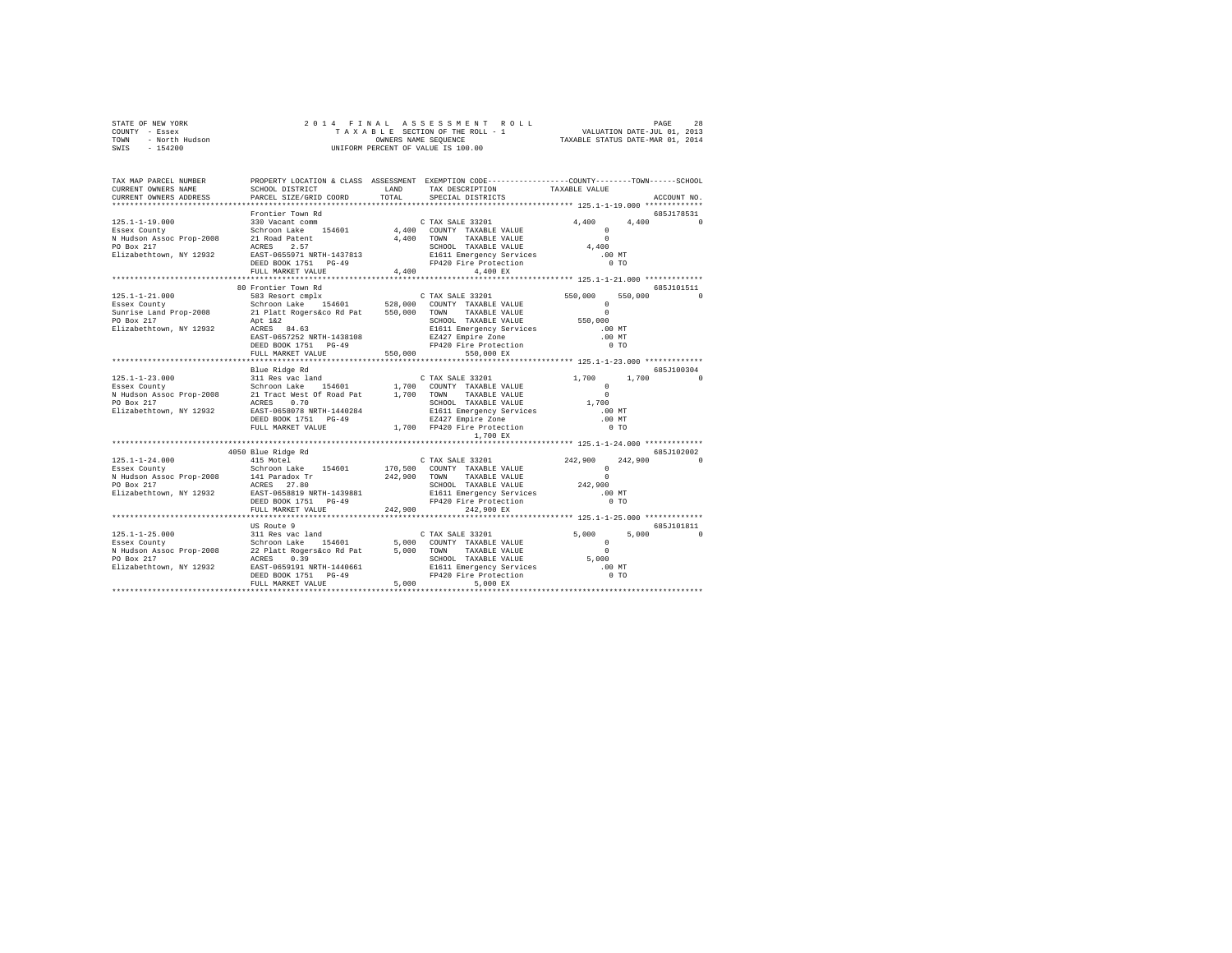|      | STATE OF NEW YORK | 2014 FINAL ASSESSMENT ROLL         | 28<br>PAGE                       |
|------|-------------------|------------------------------------|----------------------------------|
|      | COUNTY - Essex    | TAXABLE SECTION OF THE ROLL - 1    | VALUATION DATE-JUL 01, 2013      |
| TOWN | - North Hudson    | OWNERS NAME SEOUENCE               | TAXABLE STATUS DATE-MAR 01, 2014 |
|      | SWIS - 154200     | UNIFORM PERCENT OF VALUE IS 100.00 |                                  |

| TAX MAP PARCEL NUMBER<br>CURRENT OWNERS NAME  |                     |       | PROPERTY LOCATION & CLASS ASSESSMENT EXEMPTION CODE----------------COUNTY-------TOWN------SCHOOL<br>SCHOOL DISTRICT                      LAND        TAX DESCRIPTION                 TAXABLE VALUE |                            |             |
|-----------------------------------------------|---------------------|-------|----------------------------------------------------------------------------------------------------------------------------------------------------------------------------------------------------|----------------------------|-------------|
| CURRENT OWNERS ADDRESS PARCEL SIZE/GRID COORD |                     | TOTAL | SPECIAL DISTRICTS                                                                                                                                                                                  |                            | ACCOUNT NO. |
|                                               |                     |       |                                                                                                                                                                                                    |                            | 685J178531  |
|                                               |                     |       |                                                                                                                                                                                                    | 4,400                      | 4.400 0     |
|                                               |                     |       |                                                                                                                                                                                                    |                            |             |
|                                               |                     |       |                                                                                                                                                                                                    | $^{\circ}$                 |             |
|                                               |                     |       |                                                                                                                                                                                                    | $\Omega$                   |             |
|                                               |                     |       |                                                                                                                                                                                                    | 4,400                      |             |
|                                               |                     |       |                                                                                                                                                                                                    | $.00$ MT                   |             |
|                                               |                     |       |                                                                                                                                                                                                    | 0 <sub>T</sub>             |             |
|                                               |                     |       |                                                                                                                                                                                                    |                            |             |
|                                               |                     |       |                                                                                                                                                                                                    |                            |             |
|                                               | 80 Frontier Town Rd |       |                                                                                                                                                                                                    |                            | 685J101511  |
|                                               |                     |       |                                                                                                                                                                                                    | 550,000                    | 550,000 0   |
|                                               |                     |       |                                                                                                                                                                                                    | $\Omega$                   |             |
|                                               |                     |       |                                                                                                                                                                                                    |                            |             |
|                                               |                     |       |                                                                                                                                                                                                    | $\Omega$                   |             |
|                                               |                     |       | SCHOOL TAXABLE VALUE                                                                                                                                                                               | 550,000                    |             |
|                                               |                     |       |                                                                                                                                                                                                    | $.00$ MT                   |             |
|                                               |                     |       |                                                                                                                                                                                                    | $.00$ MT                   |             |
|                                               |                     |       |                                                                                                                                                                                                    | $0$ TO                     |             |
|                                               | FULL MARKET VALUE   |       | 550,000 550,000 EX                                                                                                                                                                                 |                            |             |
|                                               |                     |       |                                                                                                                                                                                                    |                            |             |
|                                               | Blue Ridge Rd       |       |                                                                                                                                                                                                    |                            | 685J100304  |
|                                               |                     |       |                                                                                                                                                                                                    | 1,700                      |             |
|                                               |                     |       |                                                                                                                                                                                                    |                            |             |
|                                               |                     |       |                                                                                                                                                                                                    |                            |             |
|                                               |                     |       |                                                                                                                                                                                                    |                            |             |
|                                               |                     |       |                                                                                                                                                                                                    |                            |             |
|                                               |                     |       |                                                                                                                                                                                                    | .00 MT                     |             |
|                                               |                     |       |                                                                                                                                                                                                    | $.00$ MT                   |             |
|                                               |                     |       |                                                                                                                                                                                                    | 0 <sub>T</sub>             |             |
|                                               |                     |       | 1,700 EX                                                                                                                                                                                           |                            |             |
|                                               |                     |       |                                                                                                                                                                                                    |                            |             |
|                                               |                     |       |                                                                                                                                                                                                    |                            | 685-102002  |
|                                               |                     |       |                                                                                                                                                                                                    | $242,900$ $242,900$ 0<br>0 |             |
|                                               |                     |       |                                                                                                                                                                                                    |                            |             |
|                                               |                     |       |                                                                                                                                                                                                    |                            |             |
|                                               |                     |       | SCHOOL TAXABLE VALUE 242,900                                                                                                                                                                       |                            |             |
|                                               |                     |       |                                                                                                                                                                                                    | $.00$ MT                   |             |
|                                               |                     |       | E1611 Emergency Services<br>F1611 Emergency Services<br>FP420 Fire Protection                                                                                                                      |                            |             |
|                                               |                     |       |                                                                                                                                                                                                    | 0.70                       |             |
|                                               | FULL MARKET VALUE   |       | 242,900 242,900 EX                                                                                                                                                                                 |                            |             |
|                                               |                     |       |                                                                                                                                                                                                    |                            |             |
|                                               | US Route 9          |       |                                                                                                                                                                                                    |                            | 685J101811  |
|                                               |                     |       |                                                                                                                                                                                                    |                            | $\Omega$    |
|                                               |                     |       |                                                                                                                                                                                                    |                            |             |
|                                               |                     |       |                                                                                                                                                                                                    |                            |             |
|                                               |                     |       |                                                                                                                                                                                                    |                            |             |
|                                               |                     |       |                                                                                                                                                                                                    |                            |             |
|                                               |                     |       |                                                                                                                                                                                                    |                            |             |
|                                               |                     |       |                                                                                                                                                                                                    |                            |             |
|                                               |                     |       |                                                                                                                                                                                                    |                            |             |
|                                               |                     |       |                                                                                                                                                                                                    |                            |             |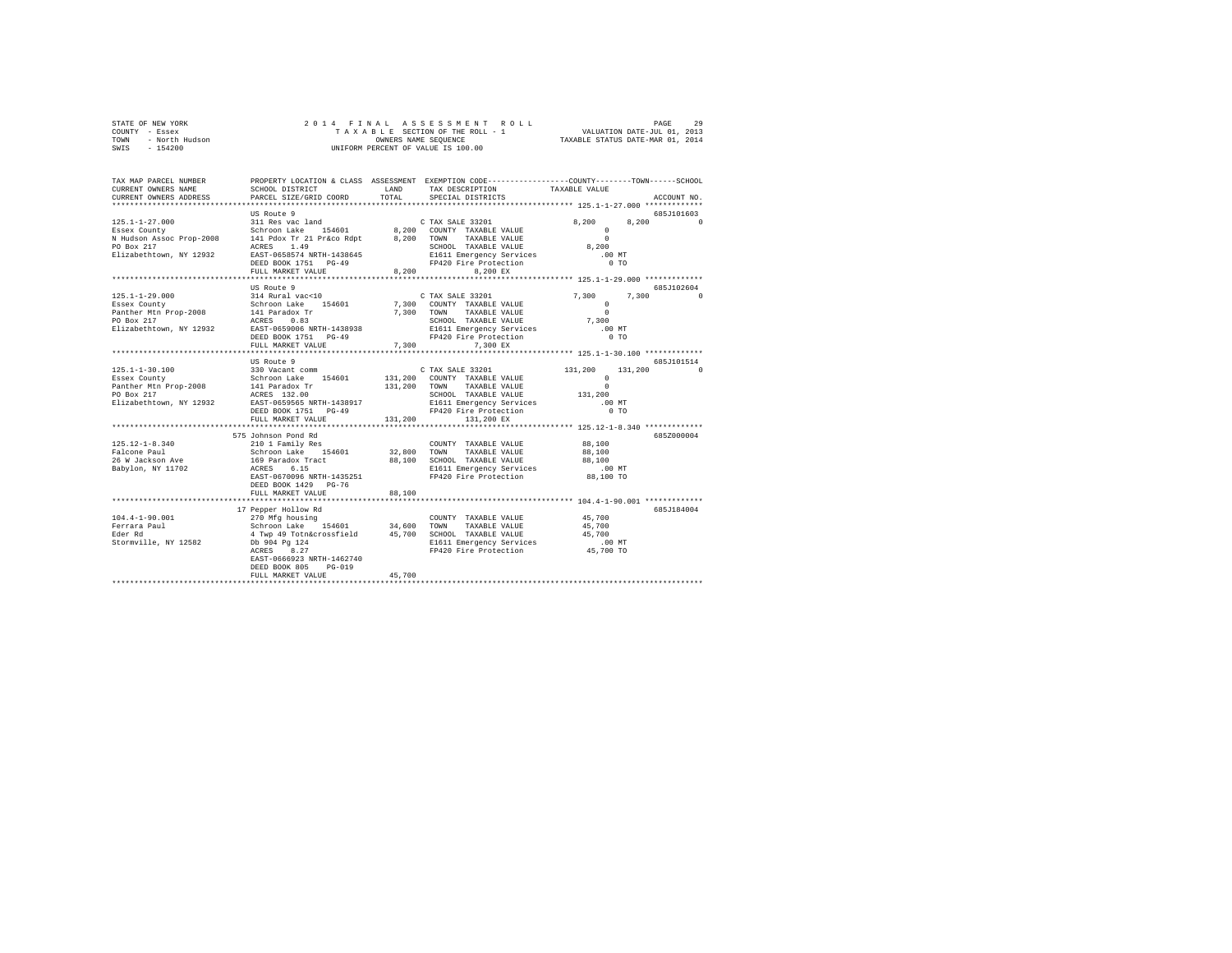| STATE OF NEW YORK      | 2014 FINAL ASSESSMENT ROLL         | 29<br>PAGE                       |
|------------------------|------------------------------------|----------------------------------|
| - Essex<br>COUNTY      | TAXABLE SECTION OF THE ROLL - 1    | VALUATION DATE-JUL 01, 2013      |
| - North Hudson<br>TOWN | OWNERS NAME SEOUENCE               | TAXABLE STATUS DATE-MAR 01, 2014 |
| $-154200$<br>SWIS      | UNIFORM PERCENT OF VALUE IS 100.00 |                                  |

| TAX MAP PARCEL NUMBER<br>CURRENT OWNERS NAME<br>CURRENT OWNERS ADDRESS                                    | SCHOOL DISTRICT<br>PARCEL SIZE/GRID COORD                                                                                                                                                                                                                                                                                                                         | T.AND<br>TOTAL          | TAX DESCRIPTION TAXABLE VALUE<br>SPECIAL DISTRICTS                                                                                                                                      | PROPERTY LOCATION & CLASS ASSESSMENT EXEMPTION CODE---------------COUNTY-------TOWN-----SCHOOL                                   | ACCOUNT NO.            |
|-----------------------------------------------------------------------------------------------------------|-------------------------------------------------------------------------------------------------------------------------------------------------------------------------------------------------------------------------------------------------------------------------------------------------------------------------------------------------------------------|-------------------------|-----------------------------------------------------------------------------------------------------------------------------------------------------------------------------------------|----------------------------------------------------------------------------------------------------------------------------------|------------------------|
| $125.1 - 1 - 27.000$<br>Essex County<br>N Hudson Assoc Prop-2008<br>PO Box 217<br>Elizabethtown, NY 12932 | US Route 9<br>311 Res vac land<br>Schroon Lake 154601<br>141 Pdox Tr 21 Pr&co Rdpt<br>1.49<br>ACRES<br>EAST-0658574 NRTH-1438645<br>DEED BOOK 1751    PG-49<br>FULL MARKET VALUE                                                                                                                                                                                  | 8,200<br>**********     | C TAX SALE 33201<br>Schroon Lake 154601 8,200 COUNTY TAXABLE VALUE<br>8.200 TOWN TAXABLE VALUE<br>SCHOOL TAXABLE VALUE<br>E1611 Emergency Services<br>FP420 Fire Protection<br>8.200 EX | 8,200<br>8,200<br>$^{\circ}$<br>$\Omega$<br>8,200<br>$.00$ MT<br>$0$ TO<br>************************* 125.1-1-29.000 ************ | 685J101603<br>$\Omega$ |
| $125.1 - 1 - 29.000$<br>Essex County<br>Panther Mtn Prop-2008 141 Paradox Tr<br>PO Box 217 2CRES 0.83     | US Route 9<br>314 Rural vac<10<br>Schroon Lake 154601<br>Elizabethtown, NY 12932 EAST-0659006 NRTH-1438938<br>DEED BOOK 1751 PG-49<br>FULL MARKET VALUE                                                                                                                                                                                                           | 7,300 TOWN              | C TAX SALE 33201<br>7,300 COUNTY TAXABLE VALUE<br>TAXABLE VALUE<br>SCHOOL TAXABLE VALUE<br>E1611 Emergency Services<br>FP420 Fire Protection<br>7.300<br>7,300 EX                       | 7,300<br>7.300<br>$\Omega$<br>$\Omega$<br>7,300<br>$.00$ MT<br>0 <sub>T</sub>                                                    | 685J102604             |
| $125.1 - 1 - 30.100$<br>Essex County<br>Panther Mtn Prop-2008<br>PO Box 217<br>Elizabethtown, NY 12932    | US Route 9<br>330 Vacant comm<br>Schroon Lake 154601<br>141 Paradox Tr<br>ACRES 132.00<br>EAST-0659565 NRTH-1438917<br>DEED BOOK 1751 PG-49<br>FULL MARKET VALUE<br>**************************                                                                                                                                                                    | 131,200 TOWN<br>131,200 | C TAX SALE 33201<br>131,200 COUNTY TAXABLE VALUE<br>TAXABLE VALUE<br>SCHOOL TAXABLE VALUE<br>SCHOOL TAXABLE VALUE<br>E1611 Emergency Services<br>FP420 Fire Protection<br>131,200 EX    | 131,200<br>131,200<br>$^{\circ}$<br>$\Omega$<br>131,200<br>$.00$ MT<br>0 <sub>T</sub>                                            | 685J101514<br>$\Omega$ |
| $125.12 - 1 - 8.340$<br>Falcone Paul<br>26 W Jackson Ave<br>Babylon, NY 11702                             | 575 Johnson Pond Rd<br>210 1 Family Res<br>Schroon Lake 154601 32,800 TOWN<br>169 Paradox Tract 88,100 SCHOO<br>ACRES<br>6.15<br>EAST-0670096 NRTH-1435251<br>DEED BOOK 1429 PG-76<br>FULL MARKET VALUE<br>***************************                                                                                                                            | 88,100                  | COUNTY TAXABLE VALUE<br>TAXABLE VALUE<br>SCHOOL TAXABLE VALUE<br>SCHOOL TAXABLE VALUE<br>E1611 Emergency Services<br>FP420 Fire Protection                                              | ****************************** 125.12-1-8.340 *************<br>88,100<br>88,100<br>88,100<br>.00 MT<br>88,100 TO                 | 685Z000004             |
| $104.4 - 1 - 90.001$<br>Ferrara Paul<br>Eder Rd<br>Stormville, NY 12582                                   | 17 Pepper Hollow Rd<br>270 Mfg housing 2000<br>Schroon Lake 154601 34,600 TOWN TAXABLE VALUE 45,700<br>4 Twp 49 Tothácrossfield 45,700 SCHOOL TAXABLE VALUE 45,700<br>2014 Twp 49 Tothácrossfield 45,700 SCHOOL TAXABLE VALUE 45,700<br>200 B1611 Emergency Servi<br>ACRES<br>8.27<br>EAST-0666923 NRTH-1462740<br>DEED BOOK 805<br>$PG-019$<br>FULL MARKET VALUE | 45,700                  | E1611 Emergency Services .00 MT<br>FP420 Fire Protection  45,700 TO                                                                                                                     | ******************* 104.4-1-90.001 *************                                                                                 | 685J184004             |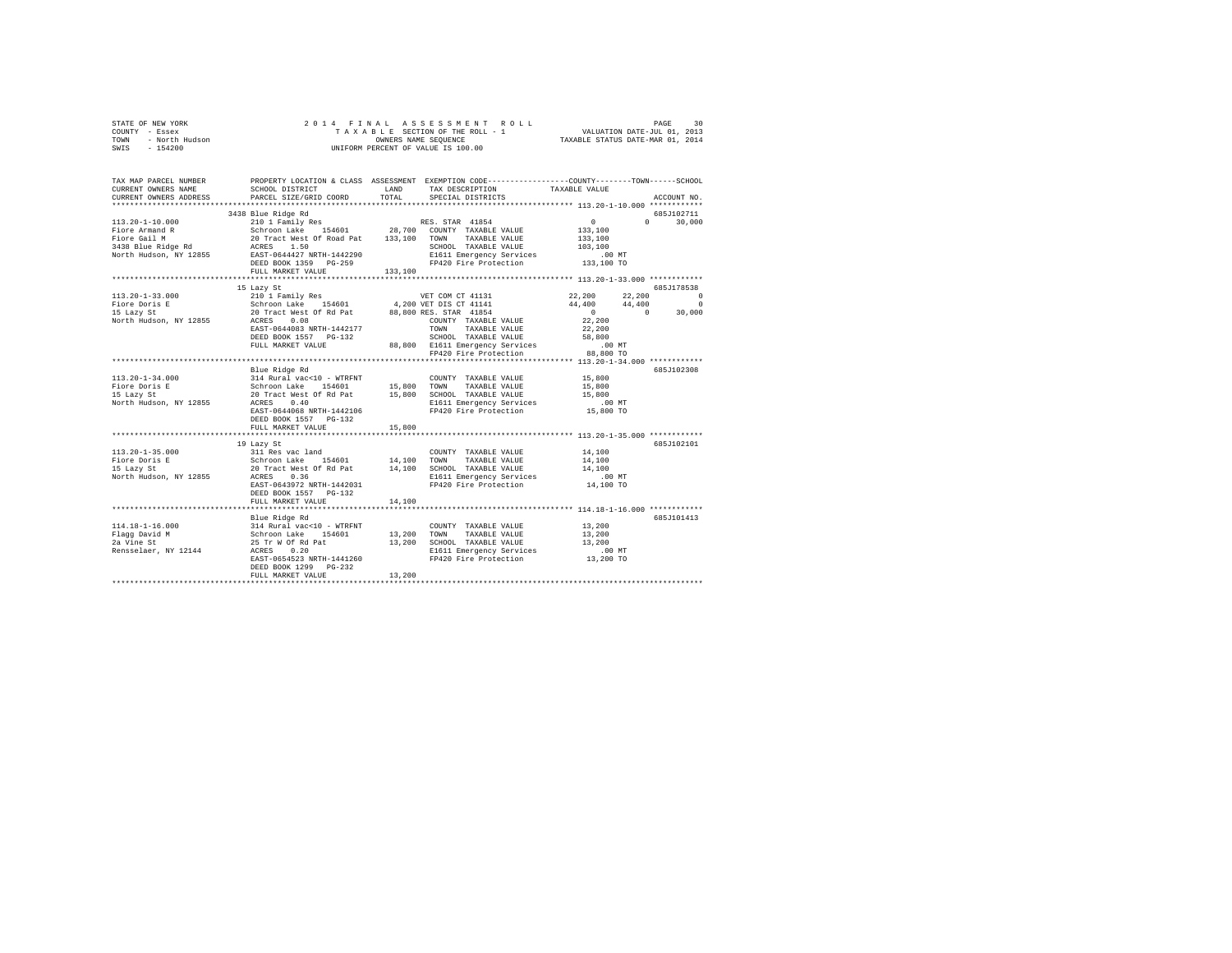|      | STATE OF NEW YORK | 2014 FINAL ASSESSMENT ROLL         | 30<br>PAGE                       |
|------|-------------------|------------------------------------|----------------------------------|
|      | COUNTY - Essex    | TAXABLE SECTION OF THE ROLL - 1    | VALUATION DATE-JUL 01, 2013      |
| TOWN | - North Hudson    | OWNERS NAME SEOUENCE               | TAXABLE STATUS DATE-MAR 01, 2014 |
| SWIS | $-154200$         | UNIFORM PERCENT OF VALUE IS 100.00 |                                  |

| TAX MAP PARCEL NUMBER<br>CURRENT OWNERS NAME | PROPERTY LOCATION & CLASS ASSESSMENT EXEMPTION CODE----------------COUNTY-------TOWN------SCHOOL<br>SCHOOL DISTRICT                                                                                                                   | LAND    | TAX DESCRIPTION TAXABLE VALUE                                                                             |                                                 |                |
|----------------------------------------------|---------------------------------------------------------------------------------------------------------------------------------------------------------------------------------------------------------------------------------------|---------|-----------------------------------------------------------------------------------------------------------|-------------------------------------------------|----------------|
|                                              | CURRENT OWNERS ADDRESS PARCEL SIZE/GRID COORD                                                                                                                                                                                         |         | TOTAL SPECIAL DISTRICTS                                                                                   |                                                 | ACCOUNT NO.    |
|                                              | 3438 Blue Ridge Rd                                                                                                                                                                                                                    |         |                                                                                                           |                                                 | 685J102711     |
|                                              |                                                                                                                                                                                                                                       |         |                                                                                                           |                                                 | $0 \t 30.000$  |
|                                              |                                                                                                                                                                                                                                       |         |                                                                                                           |                                                 |                |
|                                              |                                                                                                                                                                                                                                       |         |                                                                                                           |                                                 |                |
|                                              |                                                                                                                                                                                                                                       |         |                                                                                                           |                                                 |                |
|                                              |                                                                                                                                                                                                                                       |         | SCHOOL TAXABLE VALUE 103,100<br>FIG11 Emergency Services 103,100<br>FP420 Fire Protection 133,100 TO      |                                                 |                |
|                                              |                                                                                                                                                                                                                                       |         |                                                                                                           |                                                 |                |
|                                              | FULL MARKET VALUE                                                                                                                                                                                                                     | 133,100 |                                                                                                           |                                                 |                |
|                                              |                                                                                                                                                                                                                                       |         |                                                                                                           |                                                 |                |
|                                              | 15 Lazy St                                                                                                                                                                                                                            |         |                                                                                                           |                                                 | 685.T178538    |
|                                              | 113.20-1-33.000 210 1 Family Res WET COM CT 41131<br>Fiore Doris E Schroon Lake 154601 4,200 VET DIS CT 41141<br>15 Lazy St Schroon Lake 154601 88,800 RES. STAR 41854<br>North Hudson, NY 12855 ACRES 0.08                           |         |                                                                                                           | $22,200$ $22,200$<br>$44,400$ $44,400$          | $\overline{0}$ |
|                                              |                                                                                                                                                                                                                                       |         |                                                                                                           |                                                 | $\sim$ 0       |
|                                              |                                                                                                                                                                                                                                       |         |                                                                                                           | $\begin{smallmatrix}0\\22,200\end{smallmatrix}$ | $0 \t 30,000$  |
|                                              | EAST-0644083 NRTH-1442177                                                                                                                                                                                                             |         |                                                                                                           |                                                 |                |
|                                              |                                                                                                                                                                                                                                       |         | TOWN TAXABLE VALUE<br>SCHOOL TAXABLE VALUE                                                                | 22,200                                          |                |
|                                              | DEED BOOK 1557 PG-132                                                                                                                                                                                                                 |         |                                                                                                           |                                                 |                |
|                                              | FULL MARKET VALUE                                                                                                                                                                                                                     |         |                                                                                                           |                                                 |                |
|                                              |                                                                                                                                                                                                                                       |         |                                                                                                           |                                                 |                |
|                                              |                                                                                                                                                                                                                                       |         |                                                                                                           |                                                 |                |
|                                              | Blue Ridge Rd                                                                                                                                                                                                                         |         |                                                                                                           |                                                 | 685J102308     |
|                                              |                                                                                                                                                                                                                                       |         |                                                                                                           |                                                 |                |
|                                              | 113.20-1-34.000<br>Fiore Doring Market (194601 - WTRFNT COUNTY TAXABLE VALUE 15,800<br>For Schroon Lake 154601 15,800 TOWN TAXABLE VALUE 15,800<br>IS Lazy St 20 Tract West Of Rd Pat 15,800 SCHOOL TAXABLE VALUE 15,800<br>North Hud |         |                                                                                                           |                                                 |                |
|                                              |                                                                                                                                                                                                                                       |         | 15,800 SCHOOL TAXABLE VALUE 15,800<br>EI611 Emergency Services 1600 MT<br>FP420 Fire Protection 15,800 TO |                                                 |                |
|                                              |                                                                                                                                                                                                                                       |         |                                                                                                           |                                                 |                |
|                                              |                                                                                                                                                                                                                                       |         |                                                                                                           |                                                 |                |
|                                              | DEED BOOK 1557 PG-132                                                                                                                                                                                                                 |         |                                                                                                           |                                                 |                |
|                                              | FULL MARKET VALUE                                                                                                                                                                                                                     | 15,800  |                                                                                                           |                                                 |                |
|                                              |                                                                                                                                                                                                                                       |         |                                                                                                           |                                                 |                |
|                                              | 19 Lazy St                                                                                                                                                                                                                            |         |                                                                                                           |                                                 | 685J102101     |
|                                              |                                                                                                                                                                                                                                       |         |                                                                                                           |                                                 |                |
|                                              |                                                                                                                                                                                                                                       |         |                                                                                                           |                                                 |                |
|                                              |                                                                                                                                                                                                                                       |         |                                                                                                           |                                                 |                |
|                                              |                                                                                                                                                                                                                                       |         |                                                                                                           | $.00$ MT                                        |                |
|                                              |                                                                                                                                                                                                                                       |         | FP420 Fire Protection 14,100 TO                                                                           |                                                 |                |
|                                              | DEED BOOK 1557 PG-132                                                                                                                                                                                                                 |         |                                                                                                           |                                                 |                |
|                                              | FULL MARKET VALUE                                                                                                                                                                                                                     | 14,100  |                                                                                                           |                                                 |                |
|                                              |                                                                                                                                                                                                                                       |         |                                                                                                           |                                                 |                |
|                                              |                                                                                                                                                                                                                                       |         |                                                                                                           |                                                 | 685J101413     |
|                                              |                                                                                                                                                                                                                                       |         |                                                                                                           |                                                 |                |
|                                              |                                                                                                                                                                                                                                       |         |                                                                                                           |                                                 |                |
|                                              |                                                                                                                                                                                                                                       |         |                                                                                                           |                                                 |                |
|                                              |                                                                                                                                                                                                                                       |         |                                                                                                           |                                                 |                |
|                                              |                                                                                                                                                                                                                                       |         |                                                                                                           |                                                 |                |
|                                              | DEED BOOK 1299 PG-232                                                                                                                                                                                                                 |         |                                                                                                           |                                                 |                |
|                                              |                                                                                                                                                                                                                                       |         |                                                                                                           |                                                 |                |
|                                              |                                                                                                                                                                                                                                       |         |                                                                                                           |                                                 |                |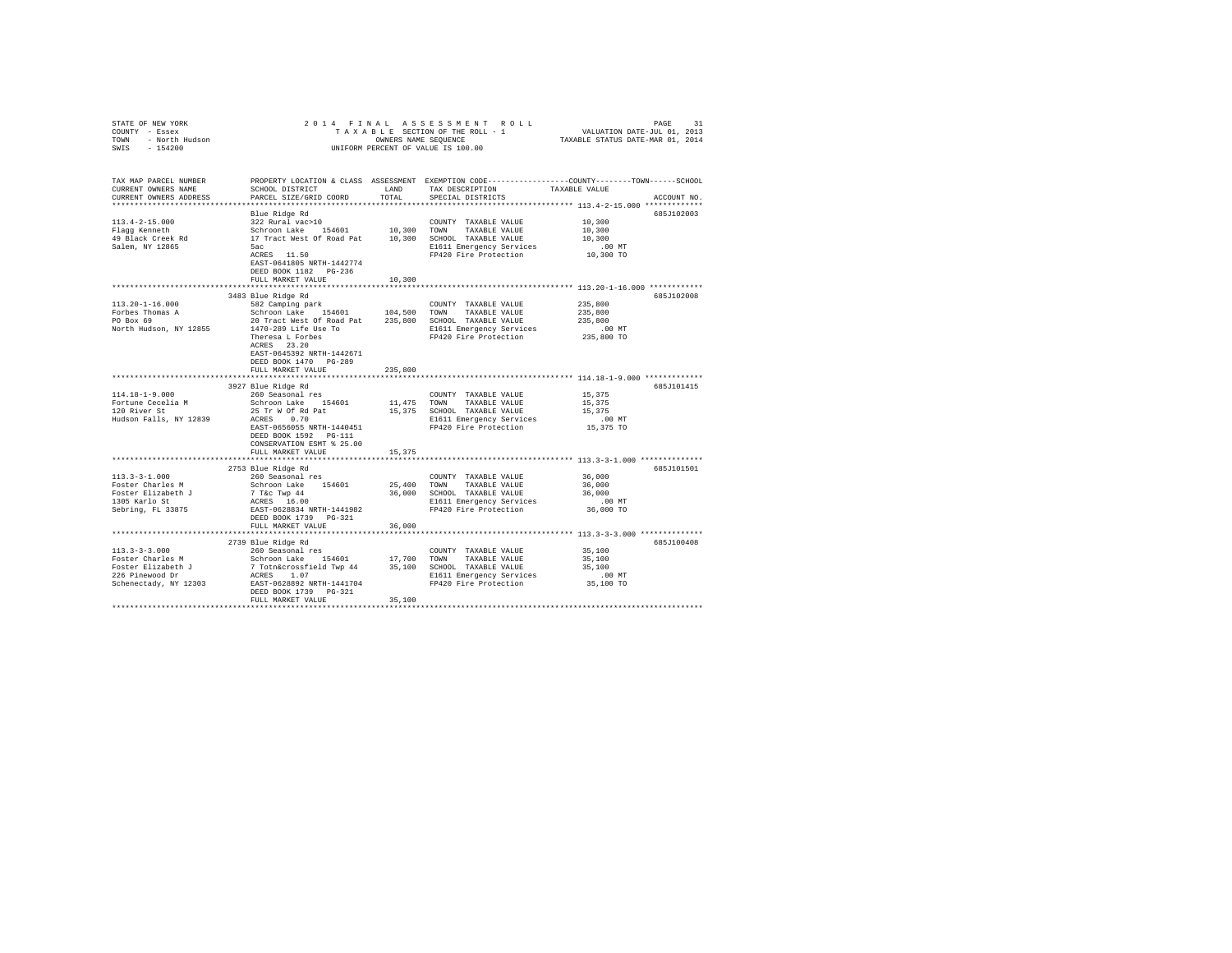| STATE OF NEW YORK                                          |                                                                                                                                                                                           |             | 2014 FINAL ASSESSMENT ROLL                        | PAGE<br>31                                                                                                                           |
|------------------------------------------------------------|-------------------------------------------------------------------------------------------------------------------------------------------------------------------------------------------|-------------|---------------------------------------------------|--------------------------------------------------------------------------------------------------------------------------------------|
| CURRENT OWNERS NAME<br>CURRENT OWNERS ADDRESS              | SCHOOL DISTRICT                      LAND        TAX DESCRIPTION                 TAXABLE VALUE<br>PARCEL SIZE/GRID COORD                                                                  | TOTAL       | SPECIAL DISTRICTS                                 | TAX MAP PARCEL NUMBER   PROPERTY LOCATION & CLASS ASSESSMENT EXEMPTION CODE--------------COUNTY-------TOWN-----SCHOOL<br>ACCOUNT NO. |
|                                                            |                                                                                                                                                                                           |             |                                                   |                                                                                                                                      |
| $113.4 - 2 - 15.000$<br>Flagg Kenneth<br>49 Black Creek Rd | Blue Ridge Rd<br>Alde Kloge Ad<br>Schroon Lake 154601 10,300 TOWN TAXABLE VALUE<br>Schroon Lake 154601 10,300 TOWN TAXABLE VALUE<br>17 Tract West Of Road Pat 10,300 SCHOOL TAXABLE VALUE |             | COUNTY TAXABLE VALUE                              | 685J102003<br>10,300<br>10,300<br>10,300                                                                                             |
| Salem, NY 12865                                            | 5ac<br>5ac<br>ACRES 11.50<br>EAST-0641805 NRTH-1442774                                                                                                                                    |             | E1611 Emergency Services<br>FP420 Fire Protection | .00 MT<br>10,300 TO                                                                                                                  |
|                                                            | FULL MARKET VALUE 10,300                                                                                                                                                                  |             |                                                   |                                                                                                                                      |
|                                                            | 3483 Blue Ridge Rd                                                                                                                                                                        |             |                                                   | 685J102008                                                                                                                           |
| $113.20 - 1 - 16.000$<br>Forbes Thomas A<br>PO Box 69      | 582 Camping park<br>Schroon Lake 154601 104,500 TOWN TAXABLE VALUE<br>20 Tract West Of Road Pat 235,800 SCHOOL TAXABLE VALUE                                                              |             | COUNTY TAXABLE VALUE                              | 235,800<br>235,800<br>235,800                                                                                                        |
|                                                            | PO BOX 69<br>North Hudson, NY 12855<br>The Property Services<br>The Property Services<br>ACRES 23.20<br>REES 23.20<br>EAST-0645392 NRTH-1442671<br>DEED BOOK 1470   PG-289                |             | FP420 Fire Protection                             | .00 MT<br>235,800 TO                                                                                                                 |
|                                                            | FULL MARKET VALUE                                                                                                                                                                         | 235,800     |                                                   |                                                                                                                                      |
|                                                            |                                                                                                                                                                                           |             |                                                   |                                                                                                                                      |
| $114.18 - 1 - 9.000$                                       | 3927 Blue Ridge Rd<br>260 Seasonal res                                                                                                                                                    |             |                                                   | 685J101415                                                                                                                           |
| Fortune Cecelia M                                          | 260 Seasonal res<br>Schroon Lake 154601 11,475 TOWN<br>35 THE MOSE 154601 11,475 TOWN                                                                                                     |             | COUNTY TAXABLE VALUE<br>TAXABLE VALUE             | 15,375<br>15,375                                                                                                                     |
| 120 River St                                               |                                                                                                                                                                                           |             | 15,375 SCHOOL TAXABLE VALUE                       | 15,375                                                                                                                               |
| Hudson Falls, NY 12839                                     | 25 Tr W Of Rd Pat<br>ACRES 0.70<br>DEED BOOK 1592    PG-111<br>CONSERVATION ESMT % 25.00                                                                                                  |             |                                                   | $.00$ MT<br>15,375 TO                                                                                                                |
|                                                            | FULL MARKET VALUE 15,375                                                                                                                                                                  |             |                                                   | *********************************** 113.3-3-1.000 ***************                                                                    |
| $113.3 - 3 - 1.000$                                        | 2753 Blue Ridge Rd<br>260 Seasonal res                                                                                                                                                    |             | COUNTY TAXABLE VALUE                              | 685J101501<br>36,000                                                                                                                 |
| Foster Charles M<br>Foster Elizabeth J<br>1305 Karlo St    | Schroon Lake 154601<br>7 T&C Twp 44 36,000 SCHOOL TAXABLE VALUE<br>ACRES 16.00 E1611 Emergency Services                                                                                   | 25,400 TOWN | TAXABLE VALUE                                     | 36,000<br>36,000<br>.00MT                                                                                                            |
| Sebring, FL 33875                                          | EAST-0628834 NRTH-1441982<br>DEED BOOK 1739 PG-321                                                                                                                                        |             | FP420 Fire Protection                             | 36,000 TO                                                                                                                            |
|                                                            | FULL MARKET VALUE                                                                                                                                                                         | 36,000      |                                                   |                                                                                                                                      |
|                                                            | 2739 Blue Ridge Rd                                                                                                                                                                        |             |                                                   | 685J100408                                                                                                                           |
|                                                            | 260 Seasonal res                                                                                                                                                                          |             | COUNTY TAXABLE VALUE                              | 35,100                                                                                                                               |
|                                                            |                                                                                                                                                                                           |             |                                                   | 35,100                                                                                                                               |
|                                                            |                                                                                                                                                                                           |             |                                                   | 35,100                                                                                                                               |
| Schenectady, NY 12303                                      | EAST-0628892 NRTH-1441704<br>DEED BOOK 1739 PG-321                                                                                                                                        |             | FP420 Fire Protection                             | .00 MT.<br>35,100 TO                                                                                                                 |
|                                                            | FULL MARKET VALUE                                                                                                                                                                         | 35,100      |                                                   |                                                                                                                                      |
|                                                            |                                                                                                                                                                                           |             |                                                   |                                                                                                                                      |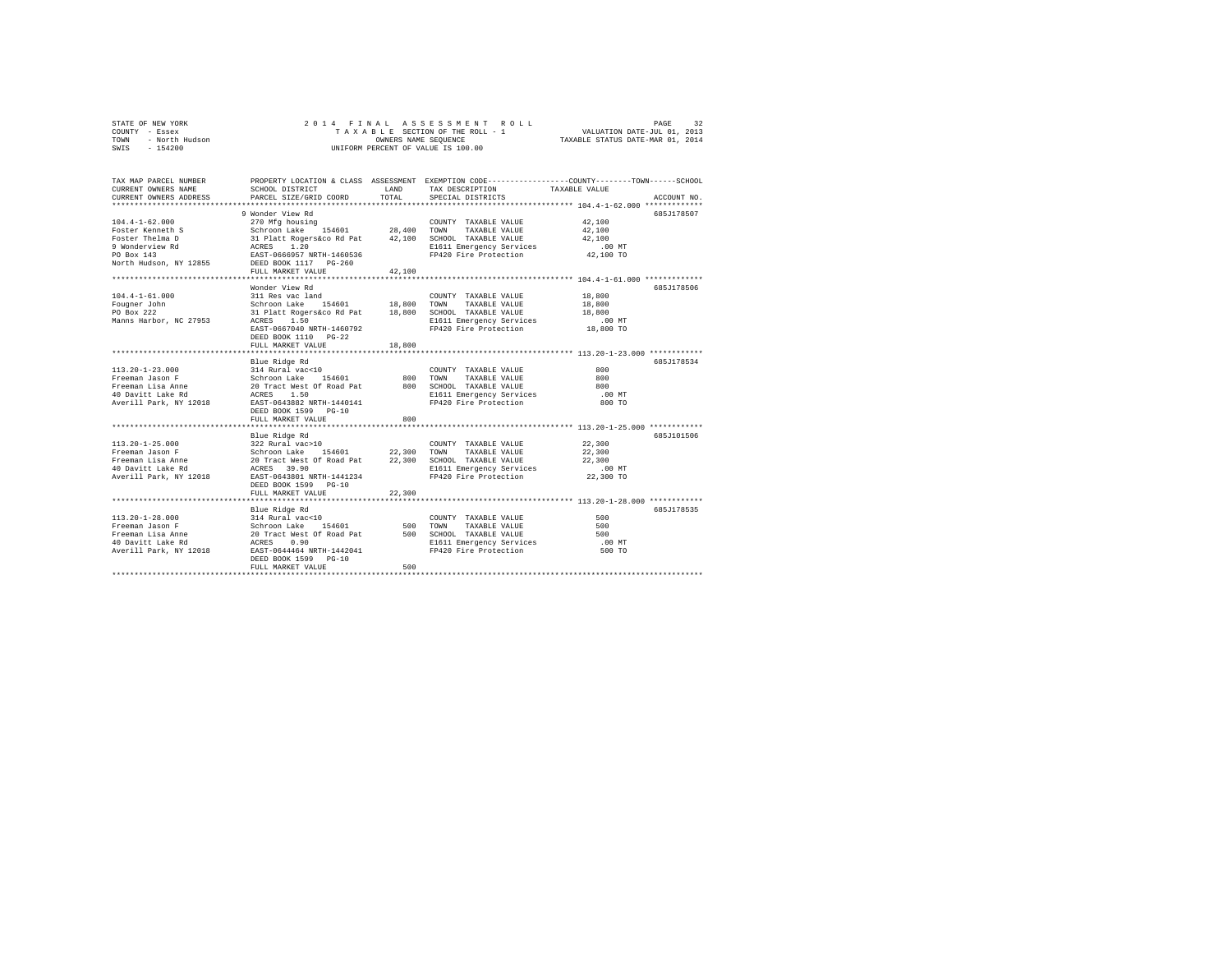|                | STATE OF NEW YORK |  |  |  |  | 2014 FINAL ASSESSMENT ROLL         | PAGE                             | 32 |
|----------------|-------------------|--|--|--|--|------------------------------------|----------------------------------|----|
| COUNTY - Essex |                   |  |  |  |  | TAXABLE SECTION OF THE ROLL - 1    | VALUATION DATE-JUL 01, 2013      |    |
| TOWN           | - North Hudson    |  |  |  |  | OWNERS NAME SEOUENCE               | TAXABLE STATUS DATE-MAR 01, 2014 |    |
| SWIS           | $-154200$         |  |  |  |  | UNIFORM PERCENT OF VALUE IS 100.00 |                                  |    |

| TAX MAP PARCEL NUMBER<br>CURRENT OWNERS NAME<br>CURRENT OWNERS ADDRESS                                                                                                                                                                                                                                                                                                                                                                                     | SCHOOL DISTRICT<br>PARCEL SIZE/GRID COORD                                                                                                                                         | LAND<br>TOTAL | TAX DESCRIPTION TAXABLE VALUE<br>SPECIAL DISTRICTS                                                                                      | PROPERTY LOCATION & CLASS ASSESSMENT EXEMPTION CODE---------------COUNTY-------TOWN-----SCHOOL<br>ACCOUNT NO. |  |
|------------------------------------------------------------------------------------------------------------------------------------------------------------------------------------------------------------------------------------------------------------------------------------------------------------------------------------------------------------------------------------------------------------------------------------------------------------|-----------------------------------------------------------------------------------------------------------------------------------------------------------------------------------|---------------|-----------------------------------------------------------------------------------------------------------------------------------------|---------------------------------------------------------------------------------------------------------------|--|
|                                                                                                                                                                                                                                                                                                                                                                                                                                                            | 9 Wonder View Rd                                                                                                                                                                  |               |                                                                                                                                         | 685J178507<br>42,100<br>42,100<br>42,100                                                                      |  |
|                                                                                                                                                                                                                                                                                                                                                                                                                                                            | FULL MARKET VALUE                                                                                                                                                                 | 42,100        | FP420 Fire Protection 42,100 TO                                                                                                         | $.00$ MT                                                                                                      |  |
| $104.4 - 1 - 61.000$<br>Fougner John<br>PO Box 222<br>Manns Harbor, NC 27953 ACRES                                                                                                                                                                                                                                                                                                                                                                         | Wonder View Rd<br>311 Res vac land<br>Schroon Lake 154601 18,800 TOWN TAXABLE VALUE<br>31 Platt Rogers&co Rd Pat 18,800 SCHOOL TAXABLE VALUE<br>1.50<br>EAST-0667040 NRTH-1460792 |               | COUNTY TAXABLE VALUE 18,800<br>E1611 Emergency Services .00 MT<br>FP420 Fire Protection .08,800 TO<br>FP420 Fire Protection             | 6857178506<br>18,800<br>18,800                                                                                |  |
|                                                                                                                                                                                                                                                                                                                                                                                                                                                            | DEED BOOK 1110 PG-22<br>FULL MARKET VALUE                                                                                                                                         | 18,800        |                                                                                                                                         |                                                                                                               |  |
|                                                                                                                                                                                                                                                                                                                                                                                                                                                            | Blue Ridge Rd<br>DEED BOOK 1599 PG-10                                                                                                                                             |               | COUNTY TAXABLE VALUE 000                                                                                                                | 685.7178534<br>800<br>800<br>$.00$ MT<br>800 TO                                                               |  |
|                                                                                                                                                                                                                                                                                                                                                                                                                                                            | FULL MARKET VALUE                                                                                                                                                                 | 800           |                                                                                                                                         |                                                                                                               |  |
| $\begin{array}{lcccccc} 113.20-1-25.000 & 322~{\rm Rura1\ vac}>10 & {\rm COUNTY\ TAXABLE\ VALUE} & 22,300\\ {\rm Freeman\ Jason\ F} & {\rm Schoron\ LXBLE} & 22,300 & {\rm TNXABLE\ VALUE} & 22,300\\ {\rm Freeman\ Jasame} & 20~{\rm Tract\ West\ O\ Road\ Pat} & 22,300 & {\rm SCHOOL\ TAXABLE\ VALUE} & 22,300\\ 40~{\rm David\ Lake\ Rd} & {\rm ACRES} & 39.90 & {\rm E1611\ Emergency\ Services}$<br>Averill Park, NY 12018 EAST-0643801 NRTH-1441234 | Blue Ridge Rd<br>DEED BOOK 1599 PG-10                                                                                                                                             |               | $\begin{minipage}{0.9\linewidth} \textbf{COUNTY} & \textbf{TAXABLE} & \textbf{VALUE} \end{minipage}$<br>FP420 Fire Protection 22,300 TO | 685-7101506                                                                                                   |  |
|                                                                                                                                                                                                                                                                                                                                                                                                                                                            | FULL MARKET VALUE                                                                                                                                                                 | 22,300        |                                                                                                                                         |                                                                                                               |  |
|                                                                                                                                                                                                                                                                                                                                                                                                                                                            | Blue Ridge Rd<br>FULL MARKET VALUE                                                                                                                                                | 500           | COUNTY TAXABLE VALUE<br>TAXABLE VALUE<br>E1611 Emergency Services<br>FP420 Fire Protection                                              | 685J178535<br>500<br>500<br>500<br>$.00$ MT<br>500 TO                                                         |  |
|                                                                                                                                                                                                                                                                                                                                                                                                                                                            |                                                                                                                                                                                   |               |                                                                                                                                         |                                                                                                               |  |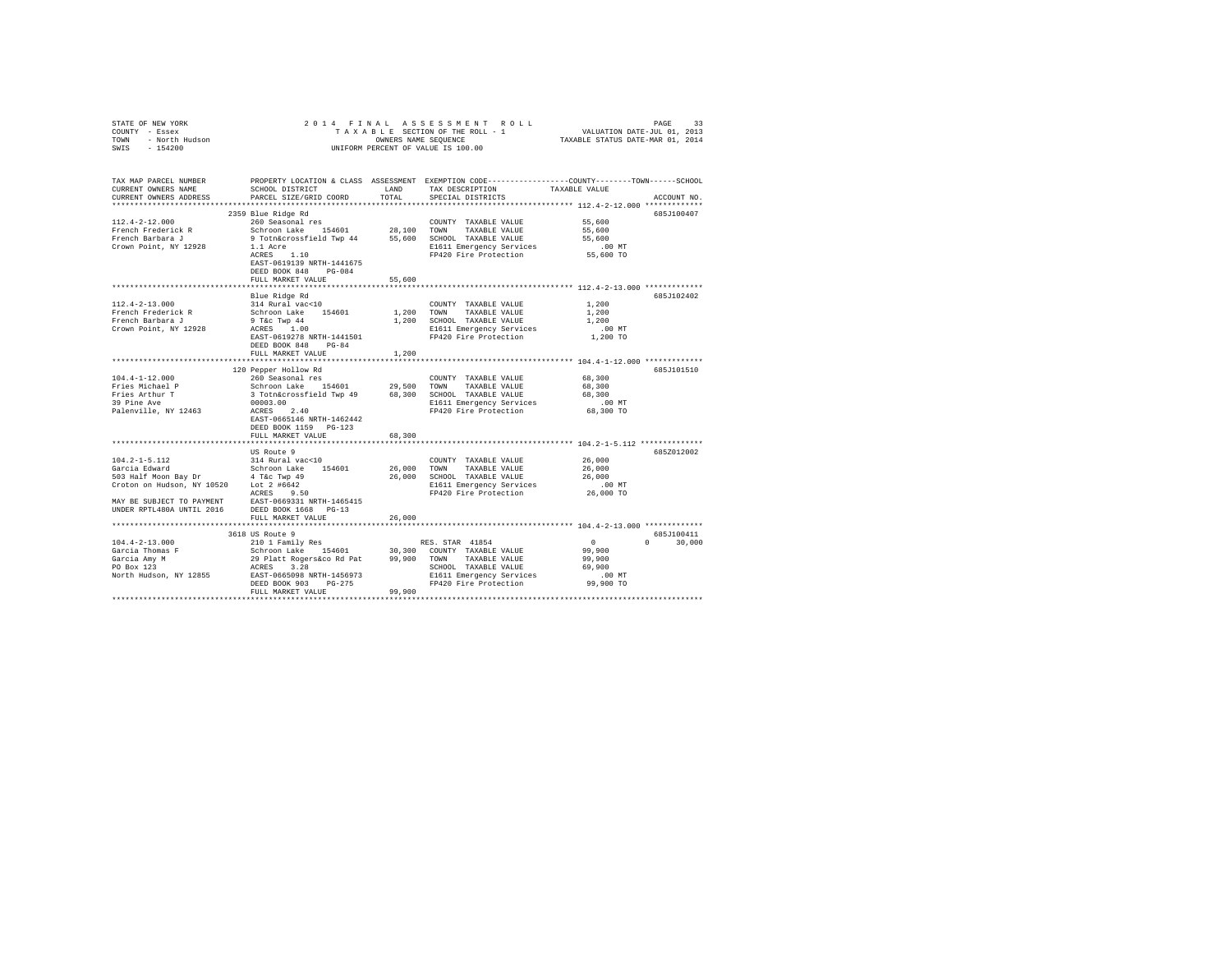| STATE OF NEW YORK<br>COUNTY - Essex<br>TOWN - North Hudson<br>SWIS - 154200 |                                                                                                                                                                                  |        | 2014 FINAL ASSESSMENT ROLL<br>UNIFORM PERCENT OF VALUE IS 100.00           |                    | PAGE<br>33    |
|-----------------------------------------------------------------------------|----------------------------------------------------------------------------------------------------------------------------------------------------------------------------------|--------|----------------------------------------------------------------------------|--------------------|---------------|
| TAX MAP PARCEL NUMBER<br>CURRENT OWNERS NAME<br>CURRENT OWNERS ADDRESS      | PROPERTY LOCATION & CLASS ASSESSMENT EXEMPTION CODE----------------COUNTY-------TOWN------SCHOOL                                                                                 |        | TAX DESCRIPTION TAXABLE VALUE<br>SPECIAL DISTRICTS                         |                    | ACCOUNT NO.   |
|                                                                             |                                                                                                                                                                                  |        |                                                                            |                    |               |
|                                                                             | 2359 Blue Ridge Rd                                                                                                                                                               |        |                                                                            |                    | 685J100407    |
| $112.4 - 2 - 12.000$                                                        | 2333 260 Seasonal res<br>260 Seasonal res<br>260 Seasonal res<br>28,100 TAXABLE VALUE<br>28,100 TAYABLE VALUE                                                                    |        | COUNTY TAXABLE VALUE 55,600                                                |                    |               |
| French Frederick R<br>French Barbara J                                      |                                                                                                                                                                                  |        |                                                                            | 55,600             |               |
|                                                                             |                                                                                                                                                                                  |        |                                                                            | 55,600             |               |
|                                                                             |                                                                                                                                                                                  |        |                                                                            |                    |               |
|                                                                             | EAST-0619139 NRTH-1441675<br>DEED BOOK 848 PG-084                                                                                                                                |        |                                                                            |                    |               |
|                                                                             | FULL MARKET VALUE                                                                                                                                                                | 55,600 |                                                                            |                    |               |
|                                                                             |                                                                                                                                                                                  |        |                                                                            |                    |               |
|                                                                             | Blue Ridge Rd                                                                                                                                                                    |        |                                                                            |                    | 685J102402    |
| 112.4-2-13.000                                                              | 314 Rural vac<10                                                                                                                                                                 |        | COUNTY TAXABLE VALUE                                                       | 1,200              |               |
|                                                                             |                                                                                                                                                                                  |        |                                                                            | 1,200              |               |
|                                                                             | 9 T&C Twp 44<br>ACRES 1.00                                                                                                                                                       |        |                                                                            | 1,200              |               |
| Crown Point, NY 12928                                                       |                                                                                                                                                                                  |        | E1611 Emergency Services<br>FP420 Fire Protection                          | $.00$ MT           |               |
|                                                                             | EAST-0619278 NRTH-1441501<br>DEED BOOK 848 PG-84                                                                                                                                 |        |                                                                            | 1,200 TO           |               |
|                                                                             | FULL MARKET VALUE                                                                                                                                                                | 1,200  |                                                                            |                    |               |
|                                                                             |                                                                                                                                                                                  |        |                                                                            |                    |               |
|                                                                             | 120 Pepper Hollow Rd                                                                                                                                                             |        |                                                                            |                    | 685J101510    |
|                                                                             |                                                                                                                                                                                  |        |                                                                            | 68,300             |               |
|                                                                             |                                                                                                                                                                                  |        |                                                                            | 68,300             |               |
|                                                                             |                                                                                                                                                                                  |        |                                                                            | 68,300             |               |
|                                                                             |                                                                                                                                                                                  |        | E1611 Emergency Services<br>FP420 Fire Protection                          | $.00$ MT           |               |
|                                                                             |                                                                                                                                                                                  |        |                                                                            | 68,300 TO          |               |
|                                                                             | EAST-0665146 NRTH-1462442                                                                                                                                                        |        |                                                                            |                    |               |
|                                                                             | DEED BOOK 1159    PG-123                                                                                                                                                         |        |                                                                            |                    |               |
|                                                                             | FULL MARKET VALUE                                                                                                                                                                | 68,300 |                                                                            |                    |               |
|                                                                             |                                                                                                                                                                                  |        |                                                                            |                    |               |
|                                                                             | US Route 9                                                                                                                                                                       |        |                                                                            |                    | 685Z012002    |
|                                                                             |                                                                                                                                                                                  |        |                                                                            | 26,000             |               |
|                                                                             |                                                                                                                                                                                  |        |                                                                            | 26,000             |               |
|                                                                             |                                                                                                                                                                                  |        |                                                                            | 26,000<br>$.00$ MT |               |
|                                                                             |                                                                                                                                                                                  |        |                                                                            | 26,000 TO          |               |
|                                                                             |                                                                                                                                                                                  |        |                                                                            |                    |               |
|                                                                             |                                                                                                                                                                                  |        |                                                                            |                    |               |
|                                                                             | FULL MARKET VALUE                                                                                                                                                                | 26,000 |                                                                            |                    |               |
|                                                                             |                                                                                                                                                                                  |        |                                                                            |                    |               |
|                                                                             | 3618 US Route 9                                                                                                                                                                  |        |                                                                            |                    | 685J100411    |
| $104.4 - 2 - 13.000$                                                        | 3618 US Route 9<br>210 1 Family Res RES. STAR 41854<br>210 1 Family Res 154601 30,300 COUNTY TAXABLE VALUE<br>29 Platt Rogersáco Rd Pat 99,900 TOWN TAXABLE VALUE<br>2010 12 --- |        |                                                                            | $\sim$ 0           | $0 \t 30,000$ |
| Garcia Thomas F                                                             |                                                                                                                                                                                  |        |                                                                            | 99,900             |               |
| Garcia Amy M<br>PO Box 123                                                  |                                                                                                                                                                                  |        |                                                                            | 99,900             |               |
|                                                                             |                                                                                                                                                                                  |        | SCHOOL TAXABLE VALUE                                                       | 69,900             |               |
| North Hudson, NY 12855 EAST-0665098 NRTH-1456973                            |                                                                                                                                                                                  |        |                                                                            | .00 MT             |               |
|                                                                             | DEED BOOK 903 PG-275                                                                                                                                                             |        | SCHOOL TAXABLE VALULE<br>E1611 Emergency Services<br>FP420 Fire Protection | 99,900 TO          |               |
|                                                                             | FULL MARKET VALUE                                                                                                                                                                | 99,900 |                                                                            |                    |               |
|                                                                             |                                                                                                                                                                                  |        |                                                                            |                    |               |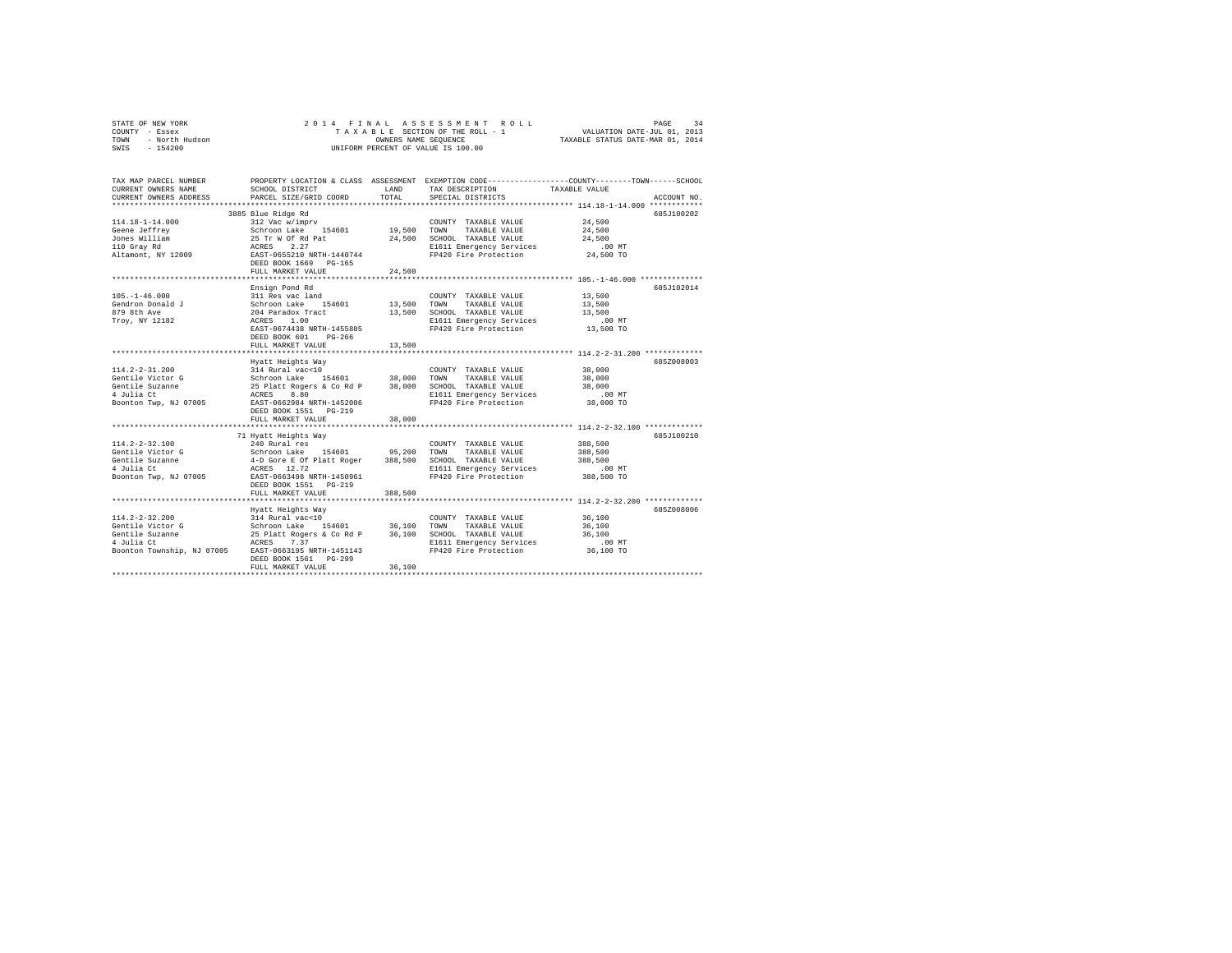|                | STATE OF NEW YORK |  |  |  |  | 2014 FINAL ASSESSMENT ROLL                                     | PAGE | 34 |
|----------------|-------------------|--|--|--|--|----------------------------------------------------------------|------|----|
| COUNTY - Essex |                   |  |  |  |  | VALUATION DATE-JUL 01, 2013<br>TAXABLE SECTION OF THE ROLL - 1 |      |    |
| TOWN           | - North Hudson    |  |  |  |  | TAXABLE STATUS DATE-MAR 01, 2014<br>OWNERS NAME SEOUENCE       |      |    |
| SWIS           | $-154200$         |  |  |  |  | UNIFORM PERCENT OF VALUE IS 100.00                             |      |    |

| TAX MAP PARCEL NUMBER<br>CURRENT OWNERS NAME<br>CURRENT OWNERS ADDRESS                                                                                                                                                                                                                                                                                                    | SCHOOL DISTRICT<br>PARCEL SIZE/GRID COORD                                                                         | LAND<br>TOTAL | PROPERTY LOCATION & CLASS ASSESSMENT EXEMPTION CODE---------------COUNTY-------TOWN------SCHOOL<br>TAX DESCRIPTION<br>SPECIAL DISTRICTS | TAXABLE VALUE              | ACCOUNT NO. |
|---------------------------------------------------------------------------------------------------------------------------------------------------------------------------------------------------------------------------------------------------------------------------------------------------------------------------------------------------------------------------|-------------------------------------------------------------------------------------------------------------------|---------------|-----------------------------------------------------------------------------------------------------------------------------------------|----------------------------|-------------|
|                                                                                                                                                                                                                                                                                                                                                                           | 3885 Blue Ridge Rd<br>FULL MARKET VALUE                                                                           | 24,500        | E1611 Emergency Services .00 MT<br>FP420 Fire Protection 24,500 TO                                                                      | 24,500<br>24,500<br>24,500 | 685J100202  |
| $105. - 1 - 46.000$                                                                                                                                                                                                                                                                                                                                                       | Ensign Pond Rd<br>311 Res vac land<br>EAST-0674438 NRTH-1455885<br>$PG-266$<br>DEED BOOK 601<br>FULL MARKET VALUE | 13,500        | COUNTY TAXABLE VALUE 13,500<br>E1611 Emergency Services .00 MT<br>FP420 Fire Protection  13,500 TO<br>FP420 Fire Protection             | 13,500<br>13,500           | 685J102014  |
| $\begin{tabular}{l c c c c c c c} \hline 114.2-2-31.200 & 214 Rural vac10 & 200WIT T AXABLE VALUE & 38,000 \\ \hline \multicolumn{3}{c}{\bf{I14.2-2-31.200}} & 314 Rural vac10 & 38,000 T0WW TAXABLE VALUE & 38,000 \\ \hline \multicolumn{3}{c}{\bf{I25.12} at 2500} & 314 Rural vac10 & 38,000 T0NN TAXABLE VALUE & 38,000 \\ \hline \multicolumn{3}{c}{\bf{I31.2} at $ | Hyatt Heights Way<br>DEED BOOK 1551    PG-219<br>FULL MARKET VALUE                                                | 38,000        | E1611 Emergency Services .00 MT<br>FP420 Fire Protection 38,000 TO                                                                      |                            | 6857008003  |
| $114.2 - 2 - 32.100$<br>Gentile Victor G<br>Gentile Suzanne<br>4 Julia Ct<br>Boonton Twp, NJ 07005 EAST-0663498 NRTH-1450961                                                                                                                                                                                                                                              | 71 Hyatt Heights Way<br>DEED BOOK 1551    PG-219<br>FULL MARKET VALUE                                             | 388,500       | FP420 Fire Protection 388,500 TO                                                                                                        | 388,500                    | 6857100210  |
| $114.2 - 2 - 32.200$<br>Gentile Victor G<br>Gentile Suzanne<br>4 Julia Ct<br>Boonton Township, NJ 07005 EAST-0663195 NRTH-1451143                                                                                                                                                                                                                                         | Hyatt Heights Way<br>DEED BOOK 1561 PG-299<br>FULL MARKET VALUE                                                   | 36,100        | FP420 Fire Protection                                                                                                                   | 36,100 TO                  | 685Z008006  |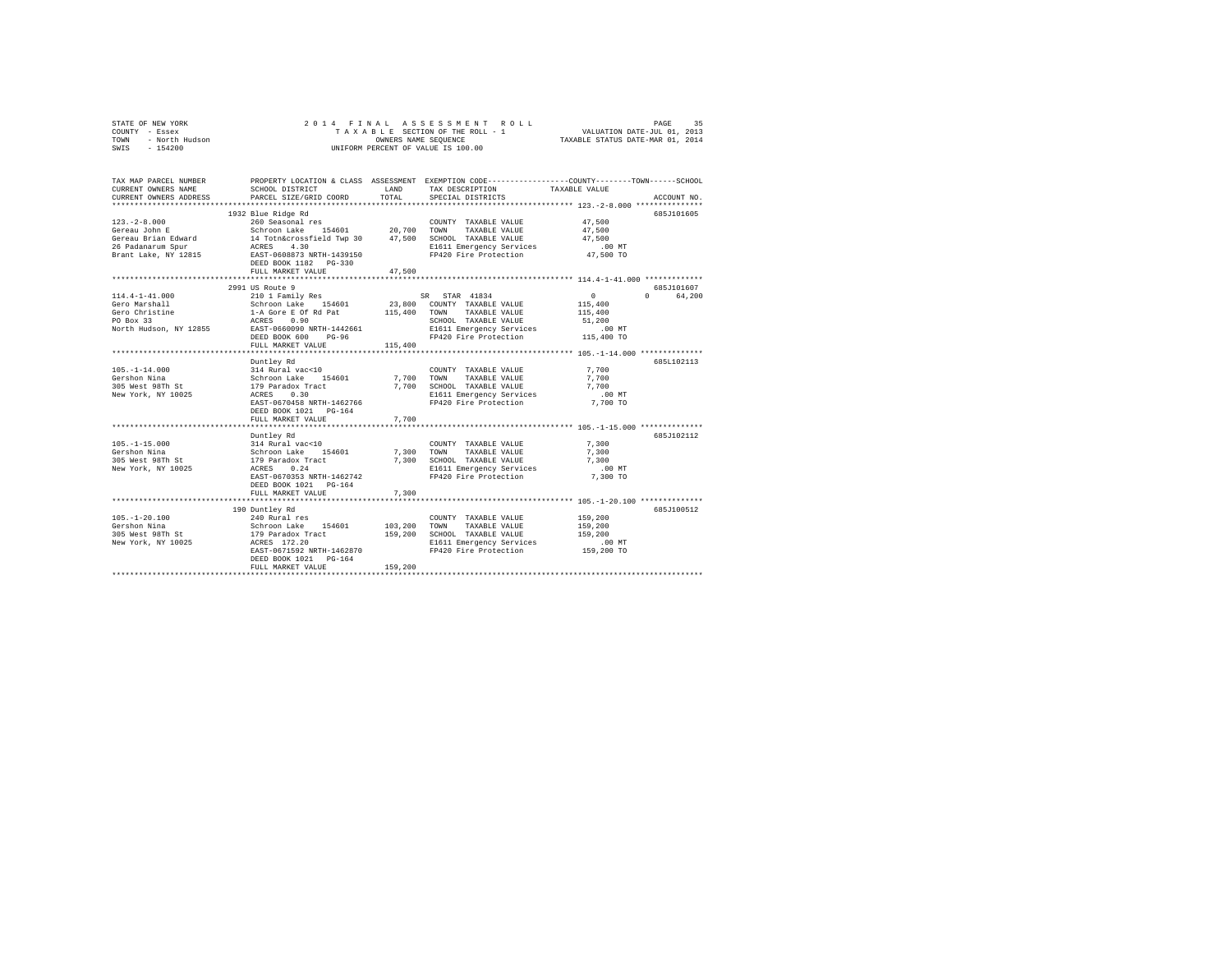|      | STATE OF NEW YORK | 2014 FINAL ASSESSMENT ROLL         | 35<br>PAGE                       |
|------|-------------------|------------------------------------|----------------------------------|
|      | COUNTY - Essex    | TAXABLE SECTION OF THE ROLL - 1    | VALUATION DATE-JUL 01, 2013      |
| TOWN | - North Hudson    | OWNERS NAME SEOUENCE               | TAXABLE STATUS DATE-MAR 01, 2014 |
| SWIS | $-154200$         | UNIFORM PERCENT OF VALUE IS 100.00 |                                  |

| TAX MAP PARCEL NUMBER<br>CURRENT OWNERS NAME<br>CURRENT OWNERS ADDRESS            | SCHOOL DISTRICT<br>PARCEL SIZE/GRID COORD                                                                                                                                                                                                                                                                                                                                                                                                                                                                                                                      | LAND<br>TOTAL | PROPERTY LOCATION & CLASS ASSESSMENT EXEMPTION CODE----------------COUNTY-------TOWN-----SCHOOL<br>TAX DESCRIPTION<br>SPECIAL DISTRICTS | TAXABLE VALUE                                   | ACCOUNT NO.                       |
|-----------------------------------------------------------------------------------|----------------------------------------------------------------------------------------------------------------------------------------------------------------------------------------------------------------------------------------------------------------------------------------------------------------------------------------------------------------------------------------------------------------------------------------------------------------------------------------------------------------------------------------------------------------|---------------|-----------------------------------------------------------------------------------------------------------------------------------------|-------------------------------------------------|-----------------------------------|
|                                                                                   | *******************************                                                                                                                                                                                                                                                                                                                                                                                                                                                                                                                                |               |                                                                                                                                         | $.00$ MT<br>47,500 TO                           | 685J101605                        |
| $114.4 - 1 - 41.000$<br>Gero Marshall<br>Gero christine<br>North Hudson, NY 12855 | 2991 US Route 9<br>2000 1 Family Res 52, 88 STAR 41834<br>Schroon Lake 154601 23,800 COUNTY TAXABLE VALUE<br>1-A Gore E of Rd Pat 115,400 TOWN TAXABLE VALUE<br>ACRES 0.90 NETH-1442661 SCHOOL TAXABLE VALUE<br>REST-0660990 NRTH-1442661 E115 Rmergency<br>DEED BOOK 600<br>$PG-96$<br>FULL MARKET VALUE                                                                                                                                                                                                                                                      | 115,400       | SCHOOL TAXABLE VALUE<br>E1611 Emergency Services .00 MT<br>FP420 Fire Protection  115,400 TO                                            | $\sim$ 0 $\sim$<br>115,400<br>115,400<br>51,200 | 685-7101607<br>$\Omega$<br>64,200 |
| $105. - 1 - 14.000$<br>Gershon Nina<br>305 West 98Th St<br>New York, NY 10025     | ***********************<br>Duntley Rd<br>$\begin{tabular}{lcccccc} 314 \texttt{ Rural} \texttt{vac}\mbox{-}10 & & & \texttt{COUNT} \texttt{TXABLE} \texttt{VALUE} & 7,700 \\ \texttt{Schron Lake} & 154601 & 7,700 & \texttt{TONNT} & \texttt{TXABLE} \texttt{VALUE} & 7,700 \\ 179 \texttt{Pradeor} \texttt{Trace} & 7,700 & \texttt{SCHOOL} \texttt{TXABLE} \texttt{VALUE} & 7,700 \\ \texttt{ACHOLS} & 0.30 & & \texttt{SCHOOL} \texttt{TRXABLE} \texttt{VALUE} & 7,000 \\ \end$<br>EAST-0670458 NRTH-1462766<br>DEED BOOK 1021 PG-164<br>FULL MARKET VALUE | 7.700         | *********************************** 105.-1-14.000 *************<br>FP420 Fire Protection 7.700 TO                                       | $.00$ MT                                        | 685L102113                        |
| $105. -1 - 15.000$<br>Gershon Nina<br>305 West 98Th St<br>New York, NY 10025      | Duntley Rd<br>$\begin{tabular}{lcccccc} 314 \text{ Rural vac}\times10 & & & & \text{COUNT TAXABLE VALUE} & & 7,300 \\ \text{Schroon Lake} & 154601 & & 7,300 & \text{TONNT} & \text{TXABLE VALUE} & & 7,300 \\ \text{179 Parador Tract} & & & 7,300 & \text{SCHOOL TAXABLE VALUE} & & 7,300 \\ \text{ACRES} & 0.24 & & & 7,300 & \text{SCHOOL TAXABLE VALUE} & & 7,300 \\ \end{tabular}$<br>EAST-0670353 NRTH-1462742<br>DEED BOOK 1021 PG-164<br>FULL MARKET VALUE                                                                                            | 7,300         | FP420 Fire Protection                                                                                                                   | $.00$ MT<br>7,300 TO                            | 685J102112                        |
|                                                                                   | 190 Duntley Rd<br>EAST-0671592 NRTH-1462870<br>DEED BOOK 1021    PG-164<br>FULL MARKET VALUE                                                                                                                                                                                                                                                                                                                                                                                                                                                                   | 159,200       | FP420 Fire Protection                                                                                                                   | 159,200 TO                                      | 685J100512                        |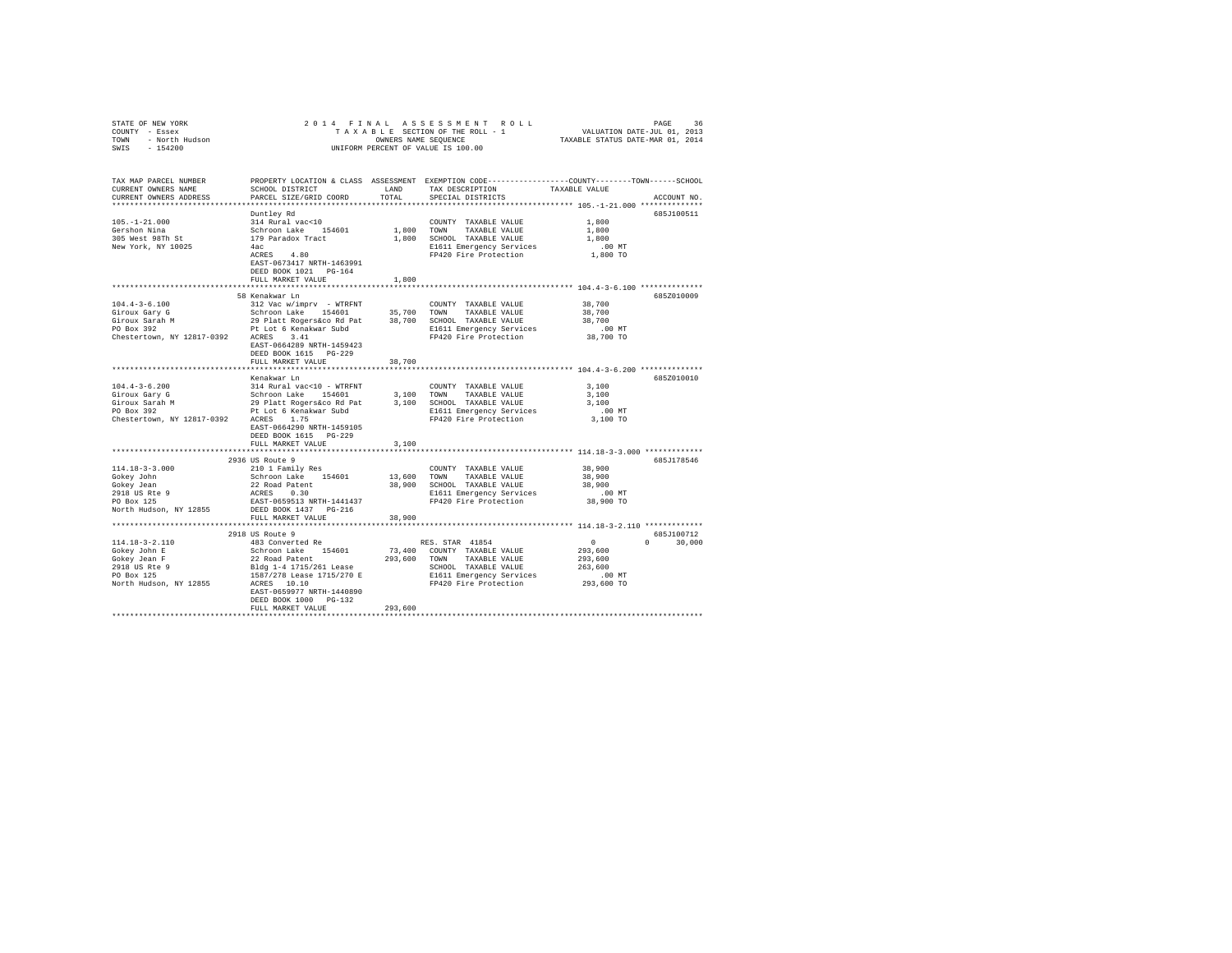| STATE OF NEW YORK<br>COUNTY - Essex<br>TOWN - North Hudson<br>SWIS - 154200                                                                                                                                                                |                                                                                                                                                                                                                                                                                                                                                                                                                                              |              |                                                                                                                                              |                     |              |
|--------------------------------------------------------------------------------------------------------------------------------------------------------------------------------------------------------------------------------------------|----------------------------------------------------------------------------------------------------------------------------------------------------------------------------------------------------------------------------------------------------------------------------------------------------------------------------------------------------------------------------------------------------------------------------------------------|--------------|----------------------------------------------------------------------------------------------------------------------------------------------|---------------------|--------------|
| TAX MAP PARCEL NUMBER<br>CURRENT OWNERS NAME<br>CURRENT OWNERS ADDRESS                                                                                                                                                                     | PROPERTY LOCATION & CLASS ASSESSMENT EXEMPTION CODE----------------COUNTY-------TOWN-----SCHOOL                                                                                                                                                                                                                                                                                                                                              |              | LAND TAX DESCRIPTION TAXABLE VALUE TOTAL SPECIAL DISTRICTS                                                                                   |                     | ACCOUNT NO.  |
|                                                                                                                                                                                                                                            | Duntlev Rd                                                                                                                                                                                                                                                                                                                                                                                                                                   |              |                                                                                                                                              |                     | 685J100511   |
| $105. - 1 - 21.000$                                                                                                                                                                                                                        | 314 Rural vac<10                                                                                                                                                                                                                                                                                                                                                                                                                             |              |                                                                                                                                              | 1,800               |              |
| Gershon Nina                                                                                                                                                                                                                               |                                                                                                                                                                                                                                                                                                                                                                                                                                              |              |                                                                                                                                              | 1,800               |              |
| 305 West 98Th St                                                                                                                                                                                                                           | 179 Paradox Tract                                                                                                                                                                                                                                                                                                                                                                                                                            |              | 1,800 SCHOOL TAXABLE VALUE                                                                                                                   | 1,800               |              |
| New York, NY 10025                                                                                                                                                                                                                         | 4 a c                                                                                                                                                                                                                                                                                                                                                                                                                                        |              |                                                                                                                                              |                     |              |
|                                                                                                                                                                                                                                            | ACRES 4.80<br>EAST-0673417 NRTH-1463991<br>DEED BOOK 1021 PG-164                                                                                                                                                                                                                                                                                                                                                                             |              | E1611 Emergency Services .00 MT<br>FP420 Fire Protection .00 TO                                                                              |                     |              |
|                                                                                                                                                                                                                                            | FULL MARKET VALUE                                                                                                                                                                                                                                                                                                                                                                                                                            | 1,800        |                                                                                                                                              |                     |              |
|                                                                                                                                                                                                                                            |                                                                                                                                                                                                                                                                                                                                                                                                                                              |              |                                                                                                                                              |                     |              |
|                                                                                                                                                                                                                                            | 58 Kenakwar Ln                                                                                                                                                                                                                                                                                                                                                                                                                               |              |                                                                                                                                              |                     | 685Z010009   |
|                                                                                                                                                                                                                                            |                                                                                                                                                                                                                                                                                                                                                                                                                                              |              |                                                                                                                                              |                     |              |
|                                                                                                                                                                                                                                            |                                                                                                                                                                                                                                                                                                                                                                                                                                              |              |                                                                                                                                              |                     |              |
|                                                                                                                                                                                                                                            |                                                                                                                                                                                                                                                                                                                                                                                                                                              |              |                                                                                                                                              |                     |              |
|                                                                                                                                                                                                                                            |                                                                                                                                                                                                                                                                                                                                                                                                                                              |              |                                                                                                                                              |                     |              |
|                                                                                                                                                                                                                                            | EAST-0664289 NRTH-1459423                                                                                                                                                                                                                                                                                                                                                                                                                    |              |                                                                                                                                              |                     |              |
|                                                                                                                                                                                                                                            | DEED BOOK 1615 PG-229                                                                                                                                                                                                                                                                                                                                                                                                                        |              |                                                                                                                                              |                     |              |
|                                                                                                                                                                                                                                            | FULL MARKET VALUE                                                                                                                                                                                                                                                                                                                                                                                                                            | 38,700       |                                                                                                                                              |                     |              |
|                                                                                                                                                                                                                                            |                                                                                                                                                                                                                                                                                                                                                                                                                                              |              |                                                                                                                                              |                     |              |
|                                                                                                                                                                                                                                            | Kenakwar Ln                                                                                                                                                                                                                                                                                                                                                                                                                                  |              |                                                                                                                                              |                     | 685Z010010   |
| $104.4 - 3 - 6.200$                                                                                                                                                                                                                        | 314 Rural vac<10 - WTRFNT                                                                                                                                                                                                                                                                                                                                                                                                                    |              | COUNTY TAXABLE VALUE                                                                                                                         | 3,100               |              |
|                                                                                                                                                                                                                                            |                                                                                                                                                                                                                                                                                                                                                                                                                                              |              |                                                                                                                                              | 3,100               |              |
| Figure 2.2007<br>Schroon Lake 154601 3,100 TOWN TAXABLE VALUE<br>Giroux Sarah M 29 Platt Rogers&co Rd Pat 3,100 SCHOOL TAXABLE VALUE<br>PO Box 392 Pt Lot 6 Kenakwar Subd<br>Figure 2.200 Box 392<br>Pt Lot 6 Kenakwar Subd<br>Prince Rese |                                                                                                                                                                                                                                                                                                                                                                                                                                              |              |                                                                                                                                              | 3,100               |              |
|                                                                                                                                                                                                                                            |                                                                                                                                                                                                                                                                                                                                                                                                                                              |              | E1611 Emergency Services<br>FP420 Fire Protection                                                                                            | $.00$ MT            |              |
| Chestertown, NY 12817-0392 ACRES 1.75                                                                                                                                                                                                      | EAST-0664290 NRTH-1459105<br>DEED BOOK 1615 PG-229                                                                                                                                                                                                                                                                                                                                                                                           |              |                                                                                                                                              | 3,100 TO            |              |
|                                                                                                                                                                                                                                            | FULL MARKET VALUE                                                                                                                                                                                                                                                                                                                                                                                                                            | 3,100        |                                                                                                                                              |                     |              |
|                                                                                                                                                                                                                                            |                                                                                                                                                                                                                                                                                                                                                                                                                                              |              |                                                                                                                                              |                     |              |
| $114.18 - 3 - 3.000$                                                                                                                                                                                                                       | 2936 US Route 9                                                                                                                                                                                                                                                                                                                                                                                                                              |              |                                                                                                                                              | 38,900              | 685J178546   |
| Gokey John                                                                                                                                                                                                                                 | 210 1 Family Res<br>Schroon Lake 154601                                                                                                                                                                                                                                                                                                                                                                                                      |              | COUNTY TAXABLE VALUE                                                                                                                         | 38,900              |              |
| Gokey Jean                                                                                                                                                                                                                                 |                                                                                                                                                                                                                                                                                                                                                                                                                                              |              | UNING INSURANCE IN THE SALUE 38,900 SCHOOL TAXABLE VALUE<br>38,900 SCHOOL TAXABLE VALUE<br>E1611 Emergency Services<br>FP420 Fire Protection | 38,900              |              |
|                                                                                                                                                                                                                                            | 22 Road Patent<br>ACRES 0.30                                                                                                                                                                                                                                                                                                                                                                                                                 |              |                                                                                                                                              |                     |              |
| 2918 US Rte 9<br>PO Box 125                                                                                                                                                                                                                | EAST-0659513 NRTH-1441437                                                                                                                                                                                                                                                                                                                                                                                                                    |              |                                                                                                                                              | 00 MT.<br>38,900 TO |              |
| North Hudson, NY 12855 DEED BOOK 1437 PG-216                                                                                                                                                                                               |                                                                                                                                                                                                                                                                                                                                                                                                                                              |              |                                                                                                                                              |                     |              |
|                                                                                                                                                                                                                                            | FULL MARKET VALUE                                                                                                                                                                                                                                                                                                                                                                                                                            | 38,900       |                                                                                                                                              |                     |              |
|                                                                                                                                                                                                                                            |                                                                                                                                                                                                                                                                                                                                                                                                                                              |              |                                                                                                                                              |                     |              |
|                                                                                                                                                                                                                                            | 2918 US Route 9                                                                                                                                                                                                                                                                                                                                                                                                                              |              |                                                                                                                                              |                     | 685J100712   |
| 114.18-3-2.110                                                                                                                                                                                                                             | 200 00 KDS. STAR 41854<br>Schroon Lake 154601 73,400 COUNTY TAXABLE VALUE                                                                                                                                                                                                                                                                                                                                                                    |              |                                                                                                                                              | $\sim$ 0            | $0 \t30.000$ |
| Gokey John E                                                                                                                                                                                                                               |                                                                                                                                                                                                                                                                                                                                                                                                                                              |              |                                                                                                                                              | 293,600             |              |
| Gokey Jean F                                                                                                                                                                                                                               | 22 Road Patent                                                                                                                                                                                                                                                                                                                                                                                                                               | 293,600 TOWN |                                                                                                                                              |                     |              |
| 2918 US Rte 9<br>PO Box 125                                                                                                                                                                                                                |                                                                                                                                                                                                                                                                                                                                                                                                                                              |              |                                                                                                                                              |                     |              |
|                                                                                                                                                                                                                                            |                                                                                                                                                                                                                                                                                                                                                                                                                                              |              |                                                                                                                                              |                     |              |
| North Hudson, NY 12855                                                                                                                                                                                                                     | $157/27\,\text{Read Path} \quad \text{Lap} \quad \text{263,600} \quad \text{263,600} \quad \text{264,600} \quad \text{265,600} \quad \text{267,600} \quad \text{268,600} \quad \text{269,600} \quad \text{27,600} \quad \text{28,600} \quad \text{28,600} \quad \text{293,600} \quad \text{293,600} \quad \text{208,600} \quad \text{209,600} \quad \text{200} \quad \text{201} \quad$<br>EAST-0659977 NRTH-1440890<br>DEED BOOK 1000 PG-132 |              |                                                                                                                                              |                     |              |
|                                                                                                                                                                                                                                            | FULL MARKET VALUE                                                                                                                                                                                                                                                                                                                                                                                                                            | 293,600      |                                                                                                                                              |                     |              |
|                                                                                                                                                                                                                                            |                                                                                                                                                                                                                                                                                                                                                                                                                                              |              |                                                                                                                                              |                     |              |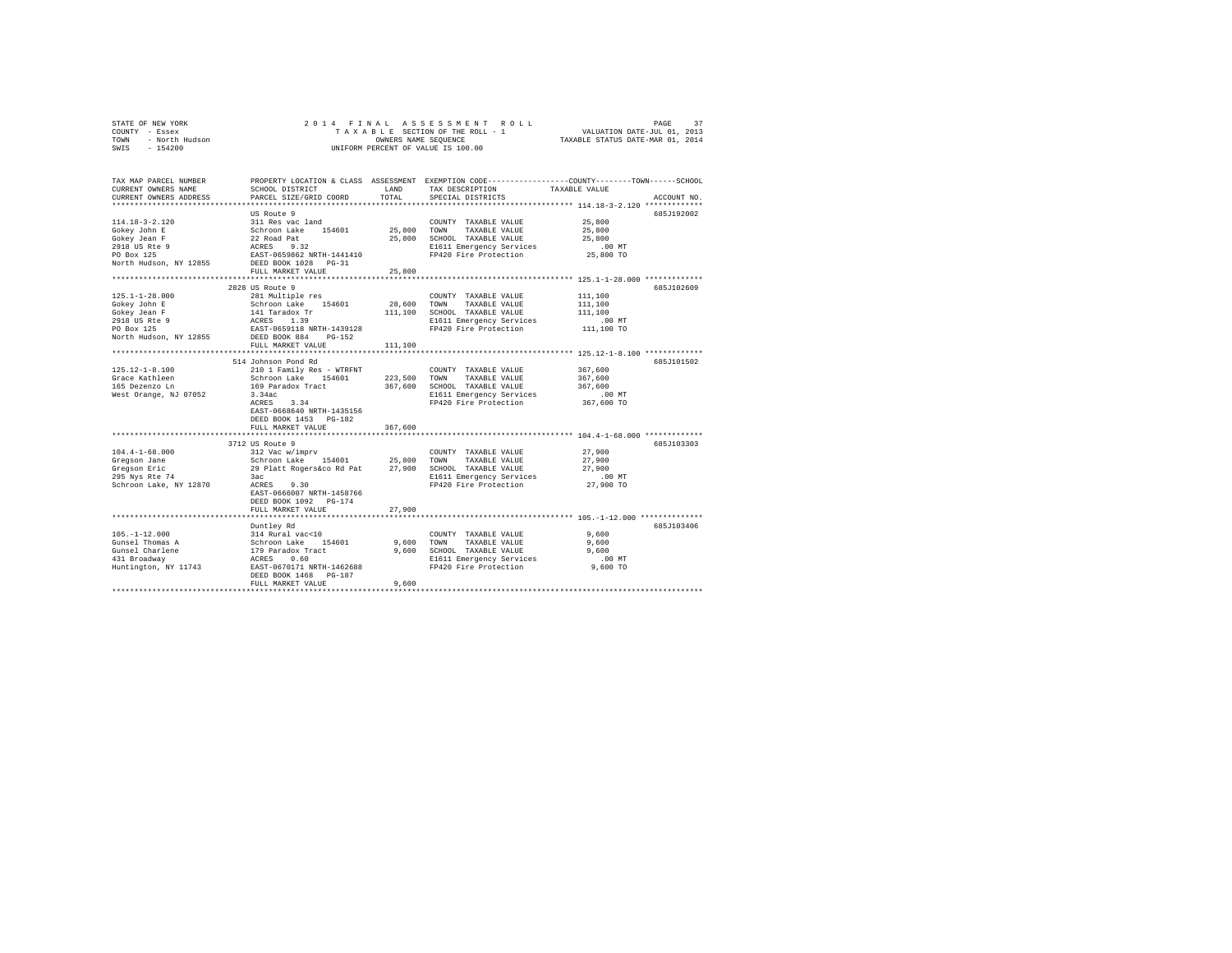|                                                                             | 2014 FINAL                                                                                          |             |                                                                                                 |                                  |             |
|-----------------------------------------------------------------------------|-----------------------------------------------------------------------------------------------------|-------------|-------------------------------------------------------------------------------------------------|----------------------------------|-------------|
|                                                                             |                                                                                                     |             |                                                                                                 |                                  |             |
| STATE OF NEW YORK<br>COUNTY - Essex<br>TOWN - North Hudson<br>SWIS - 154200 |                                                                                                     |             | T A X A B L E SECTION OF THE ROLL - 1<br>OWNERS NAME SEQUENCE                                   | TAXABLE STATUS DATE-MAR 01, 2014 |             |
|                                                                             |                                                                                                     |             | UNIFORM PERCENT OF VALUE IS 100.00                                                              |                                  |             |
|                                                                             |                                                                                                     |             |                                                                                                 |                                  |             |
|                                                                             |                                                                                                     |             |                                                                                                 |                                  |             |
| TAX MAP PARCEL NUMBER                                                       |                                                                                                     |             | PROPERTY LOCATION & CLASS ASSESSMENT EXEMPTION CODE---------------COUNTY-------TOWN------SCHOOL |                                  |             |
| CURRENT OWNERS NAME                                                         | SCHOOL DISTRICT                                                                                     | LAND        | TAX DESCRIPTION                                                                                 | TAXABLE VALUE                    |             |
| CURRENT OWNERS ADDRESS                                                      | PARCEL SIZE/GRID COORD                                                                              | TOTAL       | SPECIAL DISTRICTS                                                                               |                                  | ACCOUNT NO. |
|                                                                             |                                                                                                     |             |                                                                                                 |                                  |             |
|                                                                             | US Route 9                                                                                          |             |                                                                                                 |                                  | 685J192002  |
| $114.18 - 3 - 2.120$                                                        | 311 Res vac land<br>Schroon Lake 154601                                                             |             | COUNTY TAXABLE VALUE                                                                            | 25,800                           |             |
| Gokey John E                                                                |                                                                                                     | 25,800 TOWN | TAXABLE VALUE                                                                                   | 25,800                           |             |
| Gokey Jean F                                                                |                                                                                                     |             | 25,800 SCHOOL TAXABLE VALUE                                                                     | 25,800                           |             |
| 2918 US Rte 9<br>PO Box 125                                                 | 22 Road Pat<br>ACRES 9.32<br>EAST-0659862 NRTH-1441410                                              |             | E1611 Emergency Services .00 MT<br>FP420 Fire Protection 25,800 TO                              |                                  |             |
| North Hudson, NY 12855 DEED BOOK 1028 PG-31                                 |                                                                                                     |             |                                                                                                 |                                  |             |
|                                                                             | FULL MARKET VALUE                                                                                   | 25,800      |                                                                                                 |                                  |             |
|                                                                             |                                                                                                     |             |                                                                                                 |                                  |             |
|                                                                             | 2828 US Route 9                                                                                     |             |                                                                                                 |                                  | 685J102609  |
| $125.1 - 1 - 28.000$                                                        | 281 Multiple res                                                                                    |             | COUNTY TAXABLE VALUE                                                                            | 111,100                          |             |
| Gokey John E                                                                | Schroon Lake 154601                                                                                 | 28,600 TOWN | TAXABLE VALUE                                                                                   | 111,100                          |             |
| Gokey Jean F                                                                |                                                                                                     |             | 111,100 SCHOOL TAXABLE VALUE                                                                    | 111,100                          |             |
|                                                                             |                                                                                                     |             | E1611 Emergency Services                                                                        | $.00$ MT                         |             |
| 2918 US Rte 9<br>PO Box 125                                                 | 141 Taradox Tr<br>ACRES 1.39<br>EAST-0659118 NRTH-1439128                                           |             | FP420 Fire Protection                                                                           | 111,100 TO                       |             |
| North Hudson, NY 12855                                                      | DEED BOOK 884 PG-152                                                                                |             |                                                                                                 |                                  |             |
|                                                                             | FULL MARKET VALUE                                                                                   | 111,100     |                                                                                                 |                                  |             |
|                                                                             |                                                                                                     |             | ************************************ 125.12-1-8.100 *************                               |                                  |             |
|                                                                             | 514 Johnson Pond Rd                                                                                 |             |                                                                                                 |                                  | 685J101502  |
| $125.12 - 1 - 8.100$                                                        | 210 1 Family Res - WTRFNT                                                                           |             | COUNTY TAXABLE VALUE                                                                            | 367,600                          |             |
| Grace Kathleen                                                              | Schroon Lake 154601 223,500 TOWN                                                                    |             | TAXABLE VALUE                                                                                   | 367,600                          |             |
| 165 Dezenzo Ln                                                              |                                                                                                     |             | 367,600 SCHOOL TAXABLE VALUE                                                                    | 367,600                          |             |
| West Orange, NJ 07052                                                       | 169 Paradox Tract<br>3.34ac<br>ACRES 3.34                                                           |             | E1611 Emergency Services                                                                        | $.00$ MT<br>$367,600$ TO         |             |
|                                                                             |                                                                                                     |             | FP420 Fire Protection                                                                           |                                  |             |
|                                                                             | EAST-0668640 NRTH-1435156                                                                           |             |                                                                                                 |                                  |             |
|                                                                             | DEED BOOK 1453 PG-182                                                                               | 367,600     |                                                                                                 |                                  |             |
|                                                                             | FULL MARKET VALUE                                                                                   |             |                                                                                                 |                                  |             |
|                                                                             | 3712 US Route 9                                                                                     |             |                                                                                                 |                                  | 685.T103303 |
| $104.4 - 1 - 68.000$                                                        | 312 Vac w/imprv                                                                                     |             | COUNTY TAXABLE VALUE                                                                            | 27,900                           |             |
| Gregson Jane                                                                | Schroon Lake 154601 25,800 TOWN                                                                     |             | TAXABLE VALUE                                                                                   | 27,900                           |             |
| Gregson Eric                                                                |                                                                                                     |             |                                                                                                 | 27,900                           |             |
| 295 Nys Rte 74                                                              | 29 Platt Rogers&co Rd Pat 27,900 SCHOOL TAXABLE VALUE<br>Bac<br>ACRES 9.30 PL611 Emergency Services |             |                                                                                                 | $.00$ MT                         |             |
| Schroon Lake, NY 12870                                                      | ACRES 9.30                                                                                          |             | FP420 Fire Protection                                                                           | 27,900 TO                        |             |
|                                                                             | EAST-0666007 NRTH-1458766                                                                           |             |                                                                                                 |                                  |             |
|                                                                             | DEED BOOK 1092 PG-174                                                                               |             |                                                                                                 |                                  |             |
|                                                                             | FULL MARKET VALUE                                                                                   | 27,900      |                                                                                                 |                                  |             |
|                                                                             |                                                                                                     |             |                                                                                                 |                                  |             |
|                                                                             | Duntley Rd                                                                                          |             |                                                                                                 |                                  | 685J103406  |
| $105. - 1 - 12.000$                                                         | 314 Rural vac<10<br>Schroon Lake 154601<br>179 Paradox Tract<br>ACRES 0.60                          |             | COUNTY TAXABLE VALUE                                                                            | 9,600                            |             |
| Gunsel Thomas A                                                             |                                                                                                     |             | 9,600 TOWN<br>TAXABLE VALUE                                                                     | 9,600                            |             |
| Gunsel Charlene<br>431 Rroadway                                             |                                                                                                     |             | 9,600 SCHOOL TAXABLE VALUE                                                                      | 9,600                            |             |
|                                                                             | Huntington, NY 11743 EAST-0670171 NRTH-1462688                                                      |             | E1611 Emergency Services<br>FP420 Fire Protection                                               | .00MT                            |             |
|                                                                             |                                                                                                     |             |                                                                                                 | 9,600 TO                         |             |
|                                                                             | DEED BOOK 1468 PG-187<br>FULL MARKET VALUE                                                          | 9,600       |                                                                                                 |                                  |             |
|                                                                             |                                                                                                     |             |                                                                                                 |                                  |             |
|                                                                             |                                                                                                     |             |                                                                                                 |                                  |             |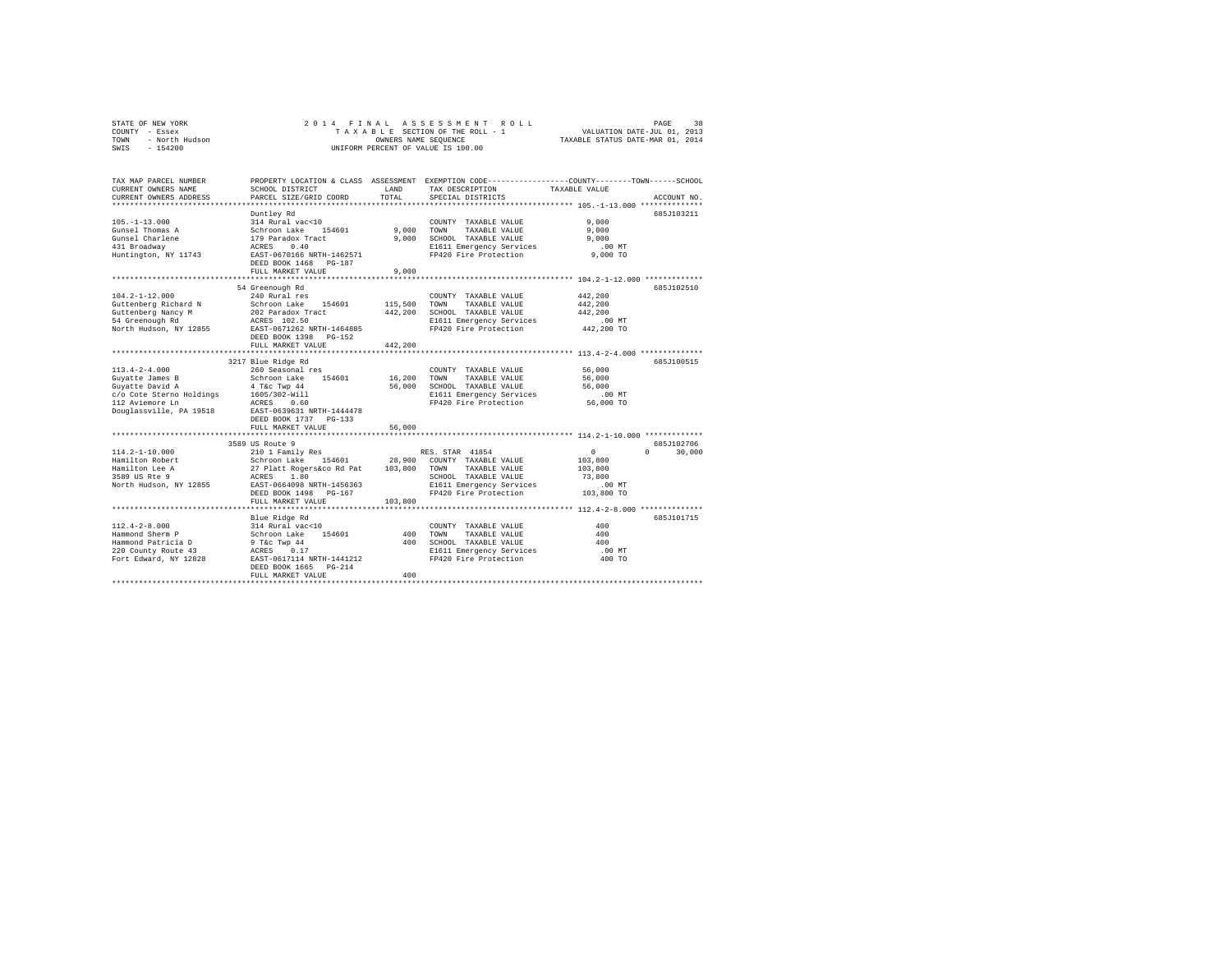| STATE OF NEW YORK      | 2014 FINAL ASSESSMENT ROLL         | 38<br>PAGE                       |
|------------------------|------------------------------------|----------------------------------|
| - Essex<br>COUNTY      | TAXABLE SECTION OF THE ROLL - 1    | VALUATION DATE-JUL 01, 2013      |
| - North Hudson<br>TOWN | OWNERS NAME SEOUENCE               | TAXABLE STATUS DATE-MAR 01, 2014 |
| $-154200$<br>SWIS      | UNIFORM PERCENT OF VALUE IS 100.00 |                                  |

| TAX MAP PARCEL NUMBER<br>CURRENT OWNERS NAME<br>CURRENT OWNERS ADDRESS | SCHOOL DISTRICT<br>PARCEL SIZE/GRID COORD<br>***********************                        | LAND<br>TOTAL  | TAX DESCRIPTION<br>SPECIAL DISTRICTS                                  | PROPERTY LOCATION & CLASS ASSESSMENT EXEMPTION CODE----------------COUNTY-------TOWN------SCHOOL<br>TAXABLE VALUE<br>ACCOUNT NO. |
|------------------------------------------------------------------------|---------------------------------------------------------------------------------------------|----------------|-----------------------------------------------------------------------|----------------------------------------------------------------------------------------------------------------------------------|
| $105. - 1 - 13.000$<br>Gunsel Thomas A<br>Gunsel Charlene              | Duntley Rd<br>314 Rural vac<10<br>Schroon Lake 15<br>179 Paradox Tract<br>154601            | 9.000<br>9,000 | COUNTY TAXABLE VALUE<br>TOWN<br>TAXABLE VALUE<br>SCHOOL TAXABLE VALUE | 685J103211<br>9.000<br>9.000<br>9.000                                                                                            |
| 431 Broadway<br>Huntington, NY 11743                                   | ACRES<br>0.40<br>EAST-0670166 NRTH-1462571<br>DEED BOOK 1468<br>PG-187<br>FULL MARKET VALUE | 9.000          | E1611 Emergency Services<br>FP420 Fire Protection                     | $.00$ MT<br>$9.000$ TO                                                                                                           |
|                                                                        | 54 Greenough Rd                                                                             |                |                                                                       | 6857102510                                                                                                                       |
| $104.2 - 1 - 12.000$                                                   | 240 Rural res                                                                               |                | COUNTY TAXABLE VALUE                                                  | 442.200                                                                                                                          |
| Guttenberg Richard N                                                   | Schroon Lake 154601                                                                         | 115,500        | TOWN<br>TAXABLE VALUE                                                 | 442,200                                                                                                                          |
| Guttenberg Nancy M                                                     | 202 Paradox Tract                                                                           | 442,200        | SCHOOL TAXABLE VALUE                                                  | 442.200                                                                                                                          |
| 54 Greenough Rd                                                        | ACRES 102.50                                                                                |                | E1611 Emergency Services                                              | .00MT                                                                                                                            |
| North Hudson, NY 12855                                                 | EAST-0671262 NRTH-1464885                                                                   |                | FP420 Fire Protection                                                 | 442,200 TO                                                                                                                       |
|                                                                        | DEED BOOK 1398 PG-152                                                                       |                |                                                                       |                                                                                                                                  |
|                                                                        | FULL MARKET VALUE                                                                           | 442,200        |                                                                       |                                                                                                                                  |
|                                                                        |                                                                                             |                |                                                                       |                                                                                                                                  |
|                                                                        | 3217 Blue Ridge Rd                                                                          |                |                                                                       | 685J100515                                                                                                                       |
| $113.4 - 2 - 4.000$                                                    | 260 Seasonal res                                                                            |                | COUNTY TAXABLE VALUE                                                  | 56,000                                                                                                                           |
| Guyatte James B                                                        | Schroon Lake 154601                                                                         | 16,200         | TOWN<br>TAXABLE VALUE                                                 | 56,000                                                                                                                           |
| Guyatte David A                                                        | 4 T&c Twp 44                                                                                | 56,000         | SCHOOL TAXABLE VALUE                                                  | 56,000                                                                                                                           |
| c/o Cote Sterno Holdings                                               | 1605/302-Will                                                                               |                | E1611 Emergency Services                                              | .00 MT                                                                                                                           |
| 112 Aviemore Ln                                                        | 0.60<br>ACRES                                                                               |                | FP420 Fire Protection                                                 | 56,000 TO                                                                                                                        |
| Douglassville, PA 19518                                                | EAST-0639631 NRTH-1444478                                                                   |                |                                                                       |                                                                                                                                  |
|                                                                        | DEED BOOK 1737 PG-133                                                                       |                |                                                                       |                                                                                                                                  |
|                                                                        | FULL MARKET VALUE                                                                           | 56,000         |                                                                       |                                                                                                                                  |
|                                                                        | *****************************                                                               |                |                                                                       | ******************************* 114.2-1-10.000 *************                                                                     |
|                                                                        | 3589 US Route 9                                                                             |                |                                                                       | 685J102706                                                                                                                       |
| $114.2 - 1 - 10.000$                                                   | 210 1 Family Res                                                                            |                | RES. STAR 41854                                                       | $\circ$<br>$\Omega$<br>30,000                                                                                                    |
| Hamilton Robert                                                        | Schroon Lake 154601                                                                         | 28,900         | COUNTY TAXABLE VALUE                                                  | 103,800                                                                                                                          |
| Hamilton Lee A                                                         | 27 Platt Rogers&co Rd Pat                                                                   | 103,800        | TAXABLE VALUE<br>TOWN                                                 | 103,800                                                                                                                          |
| 3589 US Rte 9                                                          | ACRES<br>1.80                                                                               |                | SCHOOL TAXABLE VALUE                                                  | 73,800                                                                                                                           |
| North Hudson, NY 12855                                                 | EAST-0664098 NRTH-1456363                                                                   |                | E1611 Emergency Services                                              | .00 MT                                                                                                                           |
|                                                                        | DEED BOOK 1498 PG-167                                                                       |                | FP420 Fire Protection                                                 | 103,800 TO                                                                                                                       |
|                                                                        | FULL MARKET VALUE                                                                           | 103,800        |                                                                       |                                                                                                                                  |
|                                                                        | ***********************                                                                     |                |                                                                       |                                                                                                                                  |
|                                                                        | Blue Ridge Rd                                                                               |                |                                                                       | 685J101715                                                                                                                       |
| $112.4 - 2 - 8.000$                                                    | 314 Rural vac<10                                                                            |                | COUNTY TAXABLE VALUE                                                  | 400                                                                                                                              |
| Hammond Sherm P                                                        | Schroon Lake<br>154601                                                                      | 400            | TOWN<br>TAXABLE VALUE                                                 | 400                                                                                                                              |
| Hammond Patricia D                                                     | 9 T&c Twp 44                                                                                | 400            | SCHOOL TAXABLE VALUE                                                  | 400                                                                                                                              |
| 220 County Route 43                                                    | ACRES<br>0.17                                                                               |                | E1611 Emergency Services                                              | .00 MT                                                                                                                           |
| Fort Edward, NY 12828                                                  | EAST-0617114 NRTH-1441212                                                                   |                | FP420 Fire Protection                                                 | 400 TO                                                                                                                           |
|                                                                        | DEED BOOK 1665 PG-214                                                                       | 400            |                                                                       |                                                                                                                                  |
|                                                                        | FULL MARKET VALUE                                                                           |                |                                                                       |                                                                                                                                  |
|                                                                        |                                                                                             |                |                                                                       |                                                                                                                                  |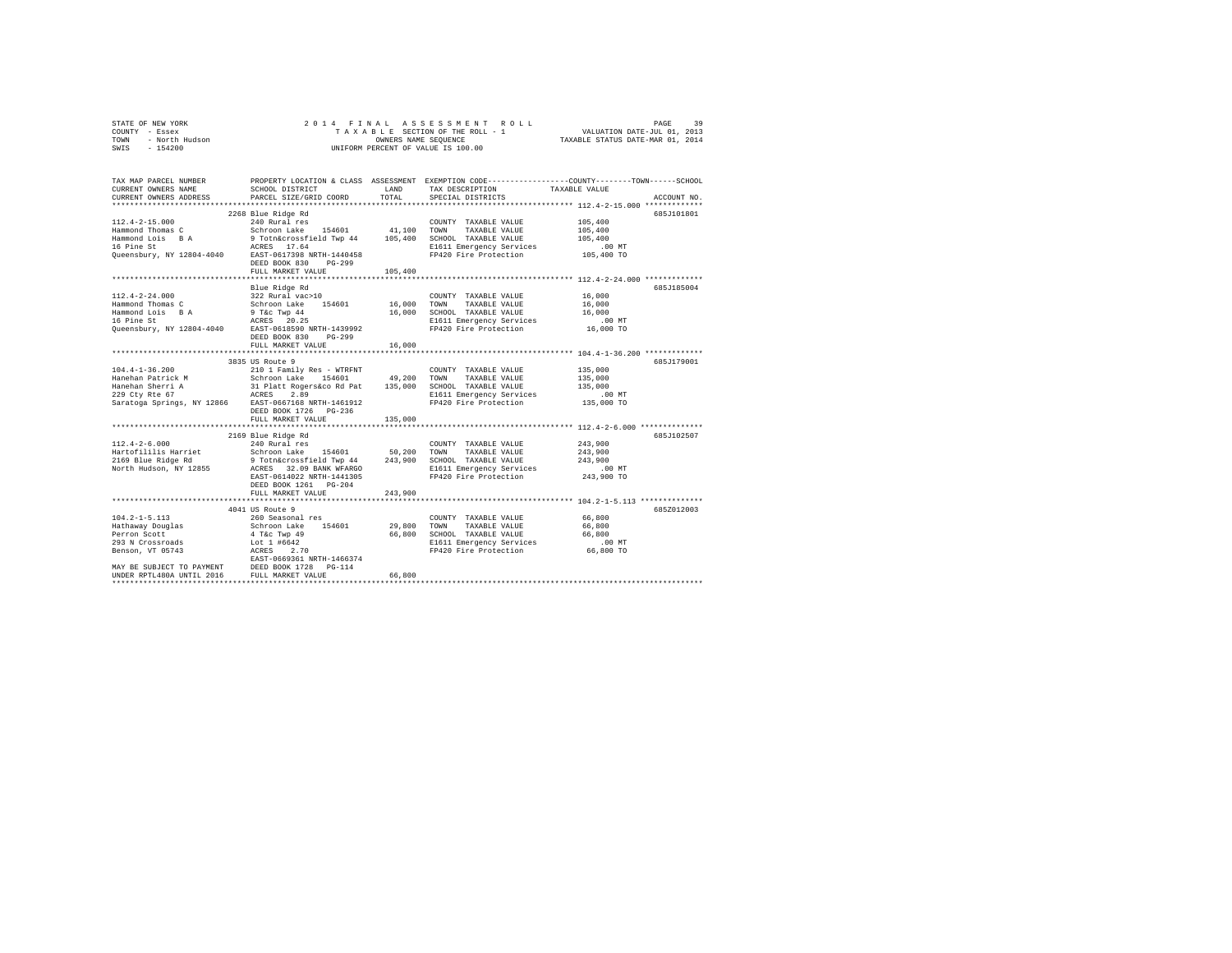|                | STATE OF NEW YORK |  |  |  |  | 2014 FINAL ASSESSMENT ROLL                                     | PAGE | 39 |
|----------------|-------------------|--|--|--|--|----------------------------------------------------------------|------|----|
| COUNTY - Essex |                   |  |  |  |  | VALUATION DATE-JUL 01, 2013<br>TAXABLE SECTION OF THE ROLL - 1 |      |    |
| TOWN           | - North Hudson    |  |  |  |  | TAXABLE STATUS DATE-MAR 01, 2014<br>OWNERS NAME SEOUENCE       |      |    |
| SWIS           | $-154200$         |  |  |  |  | UNIFORM PERCENT OF VALUE IS 100.00                             |      |    |

| TAX MAP PARCEL NUMBER<br>CURRENT OWNERS NAME<br>CURRENT OWNERS ADDRESS                         | SCHOOL DISTRICT<br>PARCEL SIZE/GRID COORD                                                                                                                                                                                                                                                                                                                                                                                                                               | LAND<br>TOTAL | TAX DESCRIPTION<br>SPECIAL DISTRICTS              | PROPERTY LOCATION & CLASS ASSESSMENT EXEMPTION CODE----------------COUNTY-------TOWN-----SCHOOL<br>TAXABLE VALUE<br>ACCOUNT NO. |
|------------------------------------------------------------------------------------------------|-------------------------------------------------------------------------------------------------------------------------------------------------------------------------------------------------------------------------------------------------------------------------------------------------------------------------------------------------------------------------------------------------------------------------------------------------------------------------|---------------|---------------------------------------------------|---------------------------------------------------------------------------------------------------------------------------------|
|                                                                                                |                                                                                                                                                                                                                                                                                                                                                                                                                                                                         |               |                                                   |                                                                                                                                 |
|                                                                                                | 2268 Blue Ridge Rd                                                                                                                                                                                                                                                                                                                                                                                                                                                      |               |                                                   | 685J101801                                                                                                                      |
|                                                                                                |                                                                                                                                                                                                                                                                                                                                                                                                                                                                         |               |                                                   | 105,400                                                                                                                         |
|                                                                                                |                                                                                                                                                                                                                                                                                                                                                                                                                                                                         |               |                                                   |                                                                                                                                 |
|                                                                                                |                                                                                                                                                                                                                                                                                                                                                                                                                                                                         |               |                                                   | 105,400<br>105,400                                                                                                              |
|                                                                                                |                                                                                                                                                                                                                                                                                                                                                                                                                                                                         |               | E1611 Emergency Services                          | 00 MT.<br>105,400 TO                                                                                                            |
|                                                                                                |                                                                                                                                                                                                                                                                                                                                                                                                                                                                         |               | FP420 Fire Protection                             |                                                                                                                                 |
|                                                                                                | $PG-299$<br>DEED BOOK 830                                                                                                                                                                                                                                                                                                                                                                                                                                               |               |                                                   |                                                                                                                                 |
|                                                                                                | FULL MARKET VALUE                                                                                                                                                                                                                                                                                                                                                                                                                                                       | 105,400       |                                                   |                                                                                                                                 |
|                                                                                                |                                                                                                                                                                                                                                                                                                                                                                                                                                                                         |               |                                                   |                                                                                                                                 |
|                                                                                                | Blue Ridge Rd                                                                                                                                                                                                                                                                                                                                                                                                                                                           |               |                                                   | 685J185004                                                                                                                      |
| $112.4 - 2 - 24.000$                                                                           | COUNT Schroon Lake 154601 16,000 TOWN                                                                                                                                                                                                                                                                                                                                                                                                                                   |               | COUNTY TAXABLE VALUE                              | 16,000                                                                                                                          |
| Hammond Thomas C                                                                               |                                                                                                                                                                                                                                                                                                                                                                                                                                                                         |               | TAXABLE VALUE                                     | 16,000                                                                                                                          |
|                                                                                                |                                                                                                                                                                                                                                                                                                                                                                                                                                                                         |               |                                                   | 16,000<br>.00 MT                                                                                                                |
|                                                                                                |                                                                                                                                                                                                                                                                                                                                                                                                                                                                         |               |                                                   |                                                                                                                                 |
|                                                                                                | Hammond Lois BA 9 T&C Twp 44 16,000 SCHOOL TAXABLE VALUE<br>16 Pine St 10 2008 2025 2025 2020 11611 Emergency Services<br>Queensbury, NY 12804-4040 EAST-0618590 NRTH-1439992 FP420 Fire Protection                                                                                                                                                                                                                                                                     |               |                                                   | 16,000 TO                                                                                                                       |
|                                                                                                | DEED BOOK 830<br>PG-299                                                                                                                                                                                                                                                                                                                                                                                                                                                 |               |                                                   |                                                                                                                                 |
|                                                                                                | FULL MARKET VALUE                                                                                                                                                                                                                                                                                                                                                                                                                                                       | 16,000        |                                                   |                                                                                                                                 |
|                                                                                                | 3835 US Route 9                                                                                                                                                                                                                                                                                                                                                                                                                                                         |               |                                                   | 685J179001                                                                                                                      |
|                                                                                                |                                                                                                                                                                                                                                                                                                                                                                                                                                                                         |               | COUNTY TAXABLE VALUE                              | 135,000                                                                                                                         |
|                                                                                                |                                                                                                                                                                                                                                                                                                                                                                                                                                                                         |               | TAXABLE VALUE                                     | 135,000                                                                                                                         |
|                                                                                                |                                                                                                                                                                                                                                                                                                                                                                                                                                                                         |               | SCHOOL TAXABLE VALUE                              | 135,000                                                                                                                         |
|                                                                                                |                                                                                                                                                                                                                                                                                                                                                                                                                                                                         |               |                                                   | .00 MT                                                                                                                          |
|                                                                                                |                                                                                                                                                                                                                                                                                                                                                                                                                                                                         |               | E1611 Emergency Services<br>FP420 Fire Protection | 135,000 TO                                                                                                                      |
|                                                                                                | DEED BOOK 1726 PG-236                                                                                                                                                                                                                                                                                                                                                                                                                                                   |               |                                                   |                                                                                                                                 |
|                                                                                                | FULL MARKET VALUE                                                                                                                                                                                                                                                                                                                                                                                                                                                       | 135,000       |                                                   |                                                                                                                                 |
|                                                                                                |                                                                                                                                                                                                                                                                                                                                                                                                                                                                         |               |                                                   |                                                                                                                                 |
|                                                                                                | 2169 Blue Ridge Rd                                                                                                                                                                                                                                                                                                                                                                                                                                                      |               |                                                   | 685J102507                                                                                                                      |
| $112.4 - 2 - 6.000$                                                                            | 240 Rural res                                                                                                                                                                                                                                                                                                                                                                                                                                                           |               | COUNTY TAXABLE VALUE                              | 243,900                                                                                                                         |
|                                                                                                |                                                                                                                                                                                                                                                                                                                                                                                                                                                                         |               | TAXABLE VALUE                                     | 243,900                                                                                                                         |
|                                                                                                |                                                                                                                                                                                                                                                                                                                                                                                                                                                                         |               |                                                   | 243,900                                                                                                                         |
|                                                                                                | $\begin{tabular}{l c c c c c c c} \multicolumn{2}{c}{\textbf{H11}} & $\mathsf{2}$ & $\mathsf{2}$ & $\mathsf{2}$ & $\mathsf{2}$ & $\mathsf{2}$ & $\mathsf{2}$ & $\mathsf{2}$ & $\mathsf{2}$ & $\mathsf{2}$ & $\mathsf{2}$ & $\mathsf{2}$ & $\mathsf{2}$ & $\mathsf{2}$ & $\mathsf{2}$ & $\mathsf{2}$ & $\mathsf{2}$ & $\mathsf{2}$ & $\mathsf{2}$ & $\mathsf{2}$ & $\mathsf{2}$ & $\mathsf{2}$ & $\mathsf{2}$ & $\mathsf{2}$ & $\mathsf{2}$ & $\mathsf{2}$ & $\mathsf{2$ |               | E1611 Emergency Services                          | 00 MT.<br>243,900 TO                                                                                                            |
|                                                                                                | EAST-0614022 NRTH-1441305                                                                                                                                                                                                                                                                                                                                                                                                                                               |               | FP420 Fire Protection                             |                                                                                                                                 |
|                                                                                                | DEED BOOK 1261 PG-204                                                                                                                                                                                                                                                                                                                                                                                                                                                   |               |                                                   |                                                                                                                                 |
|                                                                                                | FULL MARKET VALUE                                                                                                                                                                                                                                                                                                                                                                                                                                                       | 243,900       |                                                   |                                                                                                                                 |
|                                                                                                | **********************                                                                                                                                                                                                                                                                                                                                                                                                                                                  |               |                                                   | ********* 104.2-1-5.113 ************                                                                                            |
|                                                                                                | 4041 US Route 9                                                                                                                                                                                                                                                                                                                                                                                                                                                         |               |                                                   | 685Z012003                                                                                                                      |
|                                                                                                |                                                                                                                                                                                                                                                                                                                                                                                                                                                                         |               | COUNTY TAXABLE VALUE                              | 66,800                                                                                                                          |
| 104.2-1-5.11.<br>Hathaway Douglas                                                              | 260 Seasonal res<br>Schroon Lake 154601<br>4 T&c Twp 49<br>Lot 1 #6642                                                                                                                                                                                                                                                                                                                                                                                                  | 29,800 TOWN   | TAXABLE VALUE                                     | 66,800                                                                                                                          |
|                                                                                                |                                                                                                                                                                                                                                                                                                                                                                                                                                                                         |               | 66,800 SCHOOL TAXABLE VALUE 66,800                |                                                                                                                                 |
| 293 N Crossroads                                                                               |                                                                                                                                                                                                                                                                                                                                                                                                                                                                         |               | E1611 Emergency Services                          | .00 MT                                                                                                                          |
| Benson, VT 05743                                                                               | ACRES 2.70<br>EAST-0669361 NRTH-1466374                                                                                                                                                                                                                                                                                                                                                                                                                                 |               | FP420 Fire Protection 66,800 TO                   |                                                                                                                                 |
|                                                                                                |                                                                                                                                                                                                                                                                                                                                                                                                                                                                         |               |                                                   |                                                                                                                                 |
| MAY BE SUBJECT TO PAYMENT DEED BOOK 1728 PG-114<br>UNDER RPTL480A UNTIL 2016 FULL MARKET VALUE |                                                                                                                                                                                                                                                                                                                                                                                                                                                                         |               |                                                   |                                                                                                                                 |
|                                                                                                |                                                                                                                                                                                                                                                                                                                                                                                                                                                                         | 66,800        |                                                   |                                                                                                                                 |
|                                                                                                |                                                                                                                                                                                                                                                                                                                                                                                                                                                                         |               |                                                   |                                                                                                                                 |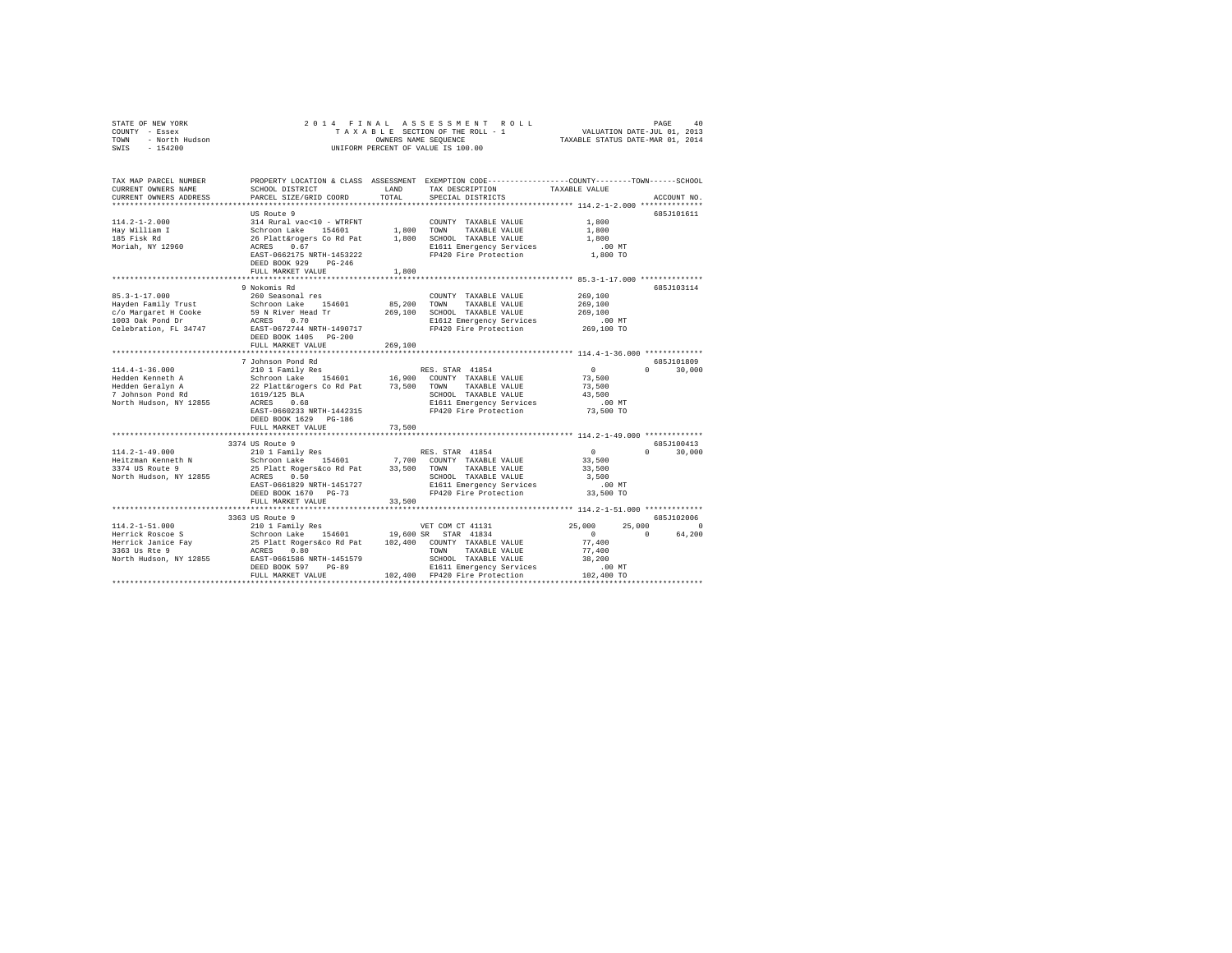| STATE OF NEW YORK<br>COUNTY - Essex<br>TOWN - North Hudson<br>SWIS - 154200                                                                                            | OWNERS NAME SEQUENCE<br>UNIFORM PERCENT OF VALUE IS 100.00                                                                                                                                                                                                                                                           |               | 2014 FINAL ASSESSMENT ROLL<br>TAXABLE SECTION OF THE ROLL - 1 WALUATION DATE-JUL 01, 2013<br>CREATION OF THE ROLL - 1 WALUATION DATE-JUL 01, 2013<br>TAXABLE STATUS DATE-MAR 01, 2014 |                                                                   | PAGE<br>40                     |
|------------------------------------------------------------------------------------------------------------------------------------------------------------------------|----------------------------------------------------------------------------------------------------------------------------------------------------------------------------------------------------------------------------------------------------------------------------------------------------------------------|---------------|---------------------------------------------------------------------------------------------------------------------------------------------------------------------------------------|-------------------------------------------------------------------|--------------------------------|
| TAX MAP PARCEL NUMBER PROPERTY LOCATION & CLASS ASSESSMENT EXEMPTION CODE---------------COUNTY-------TOWN------SCHOOL<br>CURRENT OWNERS NAME<br>CURRENT OWNERS ADDRESS | SCHOOL DISTRICT<br>PARCEL SIZE/GRID COORD                                                                                                                                                                                                                                                                            | LAND<br>TOTAL | TAX DESCRIPTION<br>SPECIAL DISTRICTS                                                                                                                                                  | TAXABLE VALUE                                                     | ACCOUNT NO.                    |
| $114.2 - 1 - 2.000$<br>Hay William I<br>185 Fisk Rd<br>Moriah, NY 12960                                                                                                | US Route 9<br>314 Rural vac<10 - WTRFNT<br>2-1. Anisom Lake 154601 1,800 TOWN TAXABLE VALUE<br>26 Plattarogers Co Rd Pat 1,800 SCRIOL TAXABLE VALUE<br>26 Plattarogers Co Rd Pat 1,800 SCRIOL TAXABLE VALUE<br>EAST-0662175 NRTH-1453222 FP420 Fire Protection 1,800 TO<br>DEED BOOK 929 PG-246<br>FULL MARKET VALUE | 1,800         | COUNTY TAXABLE VALUE<br>E1611 Emergency Services                                                                                                                                      | 1,800<br>1,800<br>1,800<br>.00MT                                  | 685J101611                     |
|                                                                                                                                                                        |                                                                                                                                                                                                                                                                                                                      |               |                                                                                                                                                                                       |                                                                   |                                |
| $85.3 - 1 - 17.000$<br>Hayden Family Trust<br>c/o Margaret H Cooke 59 N River Head Tr $269,100$ SCHOOL TAXABLE VALUE<br>1003 Oak Pond Dr<br>Celebration, FL 34747      | 9 Nokomis Rd<br>260 Seasonal res<br>Schroon Lake 154601<br>ACRES 0.70<br>EAST-0672744 NRTH-1490717<br>DEED BOOK 1405 PG-200<br>FULL MARKET VALUE                                                                                                                                                                     | 269,100       | COUNTY TAXABLE VALUE<br>85,200 TOWN TAXABLE VALUE<br>E1612 Emergency Services<br>FP420 Fire Protection                                                                                | 269,100<br>269,100<br>269,100<br>$.00$ MT<br>269,100 TO           | 685J103114                     |
|                                                                                                                                                                        |                                                                                                                                                                                                                                                                                                                      |               |                                                                                                                                                                                       |                                                                   |                                |
| $114.4 - 1 - 36.000$<br>Hedden Kenneth A<br>Hedden Geralyn A<br>7 Johnson Pond Rd<br>North Hudson, NY 12855                                                            | EAST-0660233 NRTH-1442315<br>DEED BOOK 1629 PG-186                                                                                                                                                                                                                                                                   |               | SCHOOL TAXABLE VALUE<br>E1611 Emergency Services<br>FP420 Fire Protection                                                                                                             | $\sim$ 0<br>73,500<br>73,500<br>43,500<br>$.00$ MT<br>$73,500$ TO | 685J101809<br>$0 \t 30.000$    |
|                                                                                                                                                                        | FULL MARKET VALUE                                                                                                                                                                                                                                                                                                    | 73,500        |                                                                                                                                                                                       |                                                                   |                                |
| $114.2 - 1 - 49.000$<br>Heitzman Kenneth N<br>3374 US Route 9<br>North Hudson, NY 12855                                                                                | 3374 US Route 9<br>210 1 Family Res<br>410 1 samily Res († 1885)<br>Schroon Lake 154601 – 7,700 COUNTY TAXABLE VALUE<br>25 Platt Rogers&co Rd Pat – 33,500 TOWN TAXABLE VALUE<br>ACRES – 6,0<br>ACRES 0.50<br>EAST-0661829 NRTH-1451727<br>DEED BOOK 1670 PG-73<br>FULL MARKET VALUE                                 | 33,500        | SCHOOL TAXABLE VALUE<br>E1611 Emergency Services<br>FP420 Fire Protection 33,500 TO                                                                                                   | $\sim$ 0<br>33,500<br>33,500<br>3,500<br>$.00$ MT                 | 685J100413<br>$0 \t 30.000$    |
|                                                                                                                                                                        |                                                                                                                                                                                                                                                                                                                      |               |                                                                                                                                                                                       |                                                                   |                                |
|                                                                                                                                                                        | 3363 US Route 9                                                                                                                                                                                                                                                                                                      |               |                                                                                                                                                                                       |                                                                   | 685J102006                     |
| $114.2 - 1 - 51.000$<br>Herrick Roscoe S<br>Herrick Janice Fay<br>3363 Us Rte 9<br>North Hudson, NY 12855 EAST-0661586 NRTH-1451579                                    | DEED BOOK 597 PG-89<br>FULL MARKET VALUE                                                                                                                                                                                                                                                                             |               | SCHOOL TAXABLE VALUE<br>E1611 Emergency Services<br>E1611 Emergency Services<br>102,400 FP420 Fire Protection 102,400 TO                                                              | 25,000<br>77,400<br>77,400<br>38,200<br>.00 MT                    | 25,000 0<br>$\sim$ 0<br>64,200 |
|                                                                                                                                                                        |                                                                                                                                                                                                                                                                                                                      |               |                                                                                                                                                                                       |                                                                   |                                |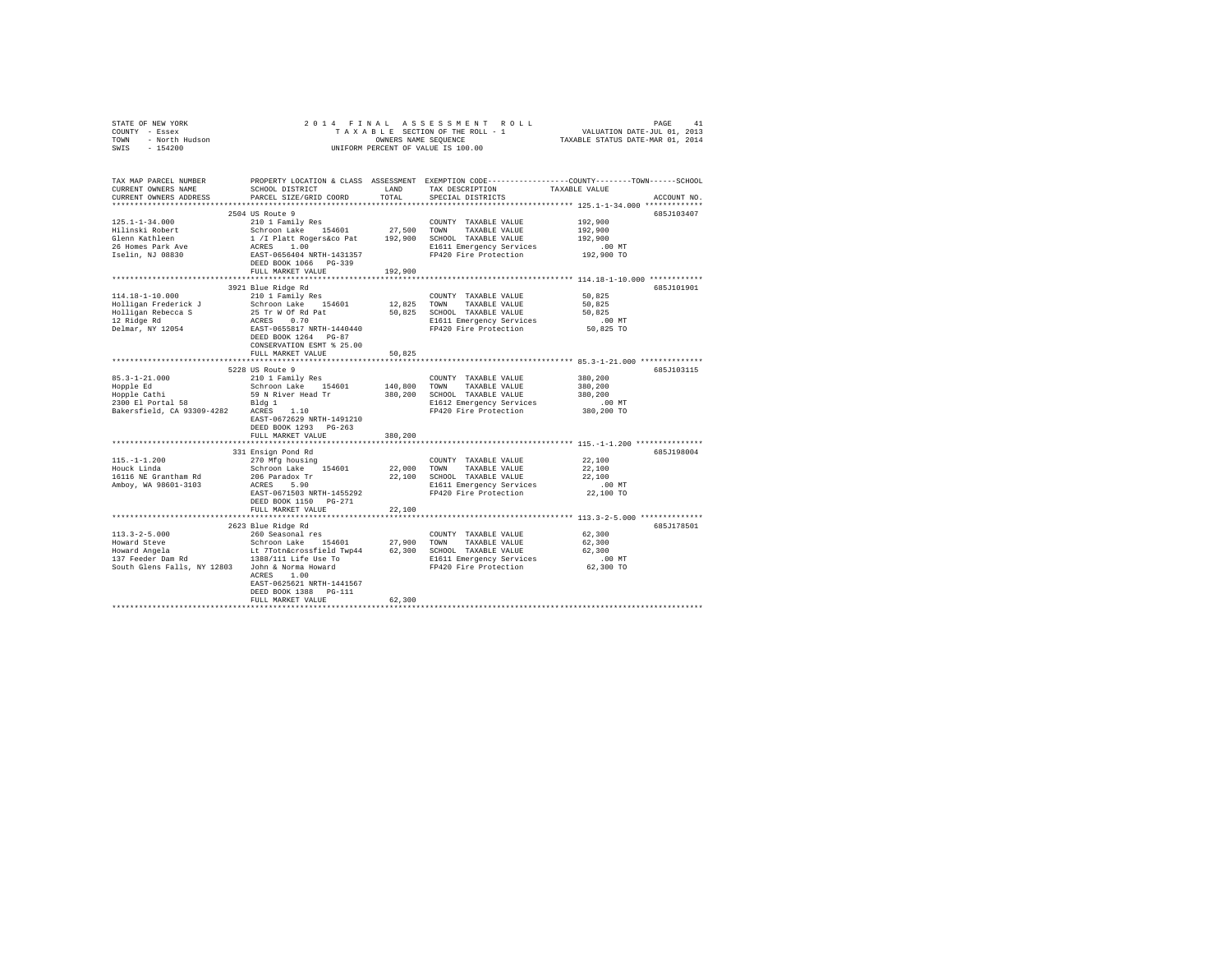| $\begin{array}{cccccccccccccccc} \texttt{STARTE OF NEW VORE} & \texttt{PAGE} & \texttt{1} & \texttt{1} & \texttt{2} & \texttt{0} & \texttt{1} & \texttt{4} & \texttt{5} & \texttt{5} & \texttt{5} & \texttt{6} & \texttt{6} & \texttt{7} & \texttt{8} & \texttt{8} & \texttt{9} & \texttt{1} & \texttt{1} & \texttt{1} & \texttt{1} & \texttt{1} & \texttt{1} & \texttt{1} & \texttt{1} & \texttt{1} & \texttt{1} & \texttt{1} & \texttt{1} &$ |                                                                                                                                                                                                                                                     |              |                                                             |               |             |
|------------------------------------------------------------------------------------------------------------------------------------------------------------------------------------------------------------------------------------------------------------------------------------------------------------------------------------------------------------------------------------------------------------------------------------------------|-----------------------------------------------------------------------------------------------------------------------------------------------------------------------------------------------------------------------------------------------------|--------------|-------------------------------------------------------------|---------------|-------------|
|                                                                                                                                                                                                                                                                                                                                                                                                                                                |                                                                                                                                                                                                                                                     |              |                                                             |               |             |
|                                                                                                                                                                                                                                                                                                                                                                                                                                                |                                                                                                                                                                                                                                                     |              |                                                             |               |             |
|                                                                                                                                                                                                                                                                                                                                                                                                                                                |                                                                                                                                                                                                                                                     |              |                                                             |               |             |
|                                                                                                                                                                                                                                                                                                                                                                                                                                                |                                                                                                                                                                                                                                                     |              |                                                             |               |             |
| TAX MAP PARCEL NUMBER THE PROPERTY LOCATION & CLASS ASSESSMENT EXEMPTION CODE--------------COUNTY-------TOWN-----SCHOOL                                                                                                                                                                                                                                                                                                                        |                                                                                                                                                                                                                                                     |              |                                                             |               |             |
| CURRENT OWNERS NAME                                                                                                                                                                                                                                                                                                                                                                                                                            | SCHOOL DISTRICT                                                                                                                                                                                                                                     | LAND         | TAX DESCRIPTION                                             | TAXABLE VALUE |             |
| CURRENT OWNERS ADDRESS                                                                                                                                                                                                                                                                                                                                                                                                                         | PARCEL SIZE/GRID COORD                                                                                                                                                                                                                              | TOTAL        | SPECIAL DISTRICTS                                           |               | ACCOUNT NO. |
|                                                                                                                                                                                                                                                                                                                                                                                                                                                |                                                                                                                                                                                                                                                     |              |                                                             |               |             |
|                                                                                                                                                                                                                                                                                                                                                                                                                                                | 2504 US Route 9                                                                                                                                                                                                                                     |              |                                                             |               | 685J103407  |
| $125.1 - 1 - 34.000$                                                                                                                                                                                                                                                                                                                                                                                                                           | 210 1 Family Res                                                                                                                                                                                                                                    |              | COUNTY TAXABLE VALUE                                        | 192,900       |             |
| Hilinski Robert<br>Glenn Kathleen                                                                                                                                                                                                                                                                                                                                                                                                              |                                                                                                                                                                                                                                                     |              |                                                             | 192,900       |             |
|                                                                                                                                                                                                                                                                                                                                                                                                                                                |                                                                                                                                                                                                                                                     |              |                                                             | 192,900       |             |
|                                                                                                                                                                                                                                                                                                                                                                                                                                                |                                                                                                                                                                                                                                                     |              |                                                             | $.00$ MT      |             |
| 26 Homes Park Ave<br>Iselin, NJ 08830                                                                                                                                                                                                                                                                                                                                                                                                          | 210 1 ranniy Res 154601 27,500 COWN TAXABLE VALUE<br>1 / Platt Rogersko Pat 192,900 SCHOOL TAXABLE VALUE<br>2 / RES 1.00<br>RAES 1.00 RIGI1 Emergency Services<br>RAES 1.00<br>RES 1.00 RIGI1 Emergency Services<br>PP420 Fire Protection<br>RPM 10 |              |                                                             | 192,900 TO    |             |
|                                                                                                                                                                                                                                                                                                                                                                                                                                                | DEED BOOK 1066 PG-339                                                                                                                                                                                                                               |              |                                                             |               |             |
|                                                                                                                                                                                                                                                                                                                                                                                                                                                | FULL MARKET VALUE                                                                                                                                                                                                                                   | 192,900      |                                                             |               |             |
|                                                                                                                                                                                                                                                                                                                                                                                                                                                |                                                                                                                                                                                                                                                     |              |                                                             |               |             |
|                                                                                                                                                                                                                                                                                                                                                                                                                                                | 3921 Blue Ridge Rd                                                                                                                                                                                                                                  |              |                                                             |               | 685J101901  |
| $114.18 - 1 - 10.000$                                                                                                                                                                                                                                                                                                                                                                                                                          | 210 1 Family Res                                                                                                                                                                                                                                    |              | COUNTY TAXABLE VALUE                                        | 50,825        |             |
|                                                                                                                                                                                                                                                                                                                                                                                                                                                |                                                                                                                                                                                                                                                     |              |                                                             | 50.825        |             |
|                                                                                                                                                                                                                                                                                                                                                                                                                                                |                                                                                                                                                                                                                                                     |              |                                                             | 50.825        |             |
|                                                                                                                                                                                                                                                                                                                                                                                                                                                |                                                                                                                                                                                                                                                     |              |                                                             | $.00$ MT      |             |
|                                                                                                                                                                                                                                                                                                                                                                                                                                                |                                                                                                                                                                                                                                                     |              |                                                             | 50,825 TO     |             |
|                                                                                                                                                                                                                                                                                                                                                                                                                                                |                                                                                                                                                                                                                                                     |              |                                                             |               |             |
|                                                                                                                                                                                                                                                                                                                                                                                                                                                |                                                                                                                                                                                                                                                     |              |                                                             |               |             |
|                                                                                                                                                                                                                                                                                                                                                                                                                                                | FULL MARKET VALUE                                                                                                                                                                                                                                   | 50,825       |                                                             |               |             |
|                                                                                                                                                                                                                                                                                                                                                                                                                                                |                                                                                                                                                                                                                                                     |              | ****************************** 85.3-1-21.000 ************** |               |             |
|                                                                                                                                                                                                                                                                                                                                                                                                                                                | 5228 US Route 9                                                                                                                                                                                                                                     |              |                                                             |               | 685J103115  |
|                                                                                                                                                                                                                                                                                                                                                                                                                                                |                                                                                                                                                                                                                                                     |              | COUNTY TAXABLE VALUE                                        | 380,200       |             |
|                                                                                                                                                                                                                                                                                                                                                                                                                                                | Schroon Lake 154601 140,800 TOWN TAXABLE VALUE                                                                                                                                                                                                      |              |                                                             | 380,200       |             |
| 85.3-1-21.000<br>Hopple Ed Schroon Lake 154601<br>Hopple Cathi Schroon Lake 154601<br>2300 El portal 58 93 N River Head Tr<br>2300 El portal 58 93309-4282<br>Bakersfield, CA 93309-4282<br>ACRES 1.10                                                                                                                                                                                                                                         |                                                                                                                                                                                                                                                     |              | 380,200 SCHOOL TAXABLE VALUE<br>E1612 Emergency Services    | 380,200       |             |
|                                                                                                                                                                                                                                                                                                                                                                                                                                                |                                                                                                                                                                                                                                                     |              |                                                             | .00 MT        |             |
|                                                                                                                                                                                                                                                                                                                                                                                                                                                |                                                                                                                                                                                                                                                     |              | FP420 Fire Protection 380,200 TO                            |               |             |
|                                                                                                                                                                                                                                                                                                                                                                                                                                                | EAST-0672629 NRTH-1491210                                                                                                                                                                                                                           |              |                                                             |               |             |
|                                                                                                                                                                                                                                                                                                                                                                                                                                                | DEED BOOK 1293 PG-263                                                                                                                                                                                                                               |              |                                                             |               |             |
|                                                                                                                                                                                                                                                                                                                                                                                                                                                | FULL MARKET VALUE                                                                                                                                                                                                                                   | 380,200      |                                                             |               |             |
|                                                                                                                                                                                                                                                                                                                                                                                                                                                |                                                                                                                                                                                                                                                     | ************ | ****************************** 115.-1-1.200 *************** |               |             |
|                                                                                                                                                                                                                                                                                                                                                                                                                                                | 331 Ensign Pond Rd                                                                                                                                                                                                                                  |              |                                                             |               | 685J198004  |
| $115. - 1 - 1.200$                                                                                                                                                                                                                                                                                                                                                                                                                             | 270 Mfg housing                                                                                                                                                                                                                                     |              | COUNTY TAXABLE VALUE                                        | 22,100        |             |
| Houck Linda                                                                                                                                                                                                                                                                                                                                                                                                                                    | Schroon Lake 154601                                                                                                                                                                                                                                 |              | 22,000 TOWN TAXABLE VALUE                                   | 22,100        |             |
| 16116 NE Grantham Rd                                                                                                                                                                                                                                                                                                                                                                                                                           | 206 Paradox Tr<br>ACRES 5.90                                                                                                                                                                                                                        |              | 22,100 SCHOOL TAXABLE VALUE                                 | 22,100        |             |
| Amboy, WA 98601-3103                                                                                                                                                                                                                                                                                                                                                                                                                           |                                                                                                                                                                                                                                                     |              | E1611 Emergency Services                                    | .00MT         |             |
|                                                                                                                                                                                                                                                                                                                                                                                                                                                | EAST-0671503 NRTH-1455292                                                                                                                                                                                                                           |              | FP420 Fire Protection                                       | 22,100 TO     |             |
|                                                                                                                                                                                                                                                                                                                                                                                                                                                | DEED BOOK 1150 PG-271                                                                                                                                                                                                                               |              |                                                             |               |             |
|                                                                                                                                                                                                                                                                                                                                                                                                                                                | FULL MARKET VALUE                                                                                                                                                                                                                                   | 22,100       |                                                             |               |             |
|                                                                                                                                                                                                                                                                                                                                                                                                                                                |                                                                                                                                                                                                                                                     |              |                                                             |               |             |
|                                                                                                                                                                                                                                                                                                                                                                                                                                                | 2623 Blue Ridge Rd                                                                                                                                                                                                                                  |              |                                                             |               | 685J178501  |
|                                                                                                                                                                                                                                                                                                                                                                                                                                                |                                                                                                                                                                                                                                                     |              |                                                             |               |             |
| $\begin{tabular}{lcccc} 113.3-2-5.000 & 200-200-1400 & 200-800-801 & 200-800-801 & 200-800-801 & 200-800-800-801 & 200-800-801 & 200-800-801 & 200-800-801 & 200-800-801 & 200-801 & 200-801 & 200-801 & 200-801 & 200-801 & 200-801 & 200-801 & 200-801 & 2$                                                                                                                                                                                  |                                                                                                                                                                                                                                                     |              |                                                             |               |             |
|                                                                                                                                                                                                                                                                                                                                                                                                                                                |                                                                                                                                                                                                                                                     |              |                                                             |               |             |
|                                                                                                                                                                                                                                                                                                                                                                                                                                                |                                                                                                                                                                                                                                                     |              |                                                             |               |             |
|                                                                                                                                                                                                                                                                                                                                                                                                                                                |                                                                                                                                                                                                                                                     |              |                                                             |               |             |
|                                                                                                                                                                                                                                                                                                                                                                                                                                                | ACRES 1.00                                                                                                                                                                                                                                          |              |                                                             |               |             |
|                                                                                                                                                                                                                                                                                                                                                                                                                                                | EAST-0625621 NRTH-1441567                                                                                                                                                                                                                           |              |                                                             |               |             |
|                                                                                                                                                                                                                                                                                                                                                                                                                                                | DEED BOOK 1388 PG-111                                                                                                                                                                                                                               |              |                                                             |               |             |
|                                                                                                                                                                                                                                                                                                                                                                                                                                                | FULL MARKET VALUE                                                                                                                                                                                                                                   | 62,300       |                                                             |               |             |
|                                                                                                                                                                                                                                                                                                                                                                                                                                                |                                                                                                                                                                                                                                                     |              |                                                             |               |             |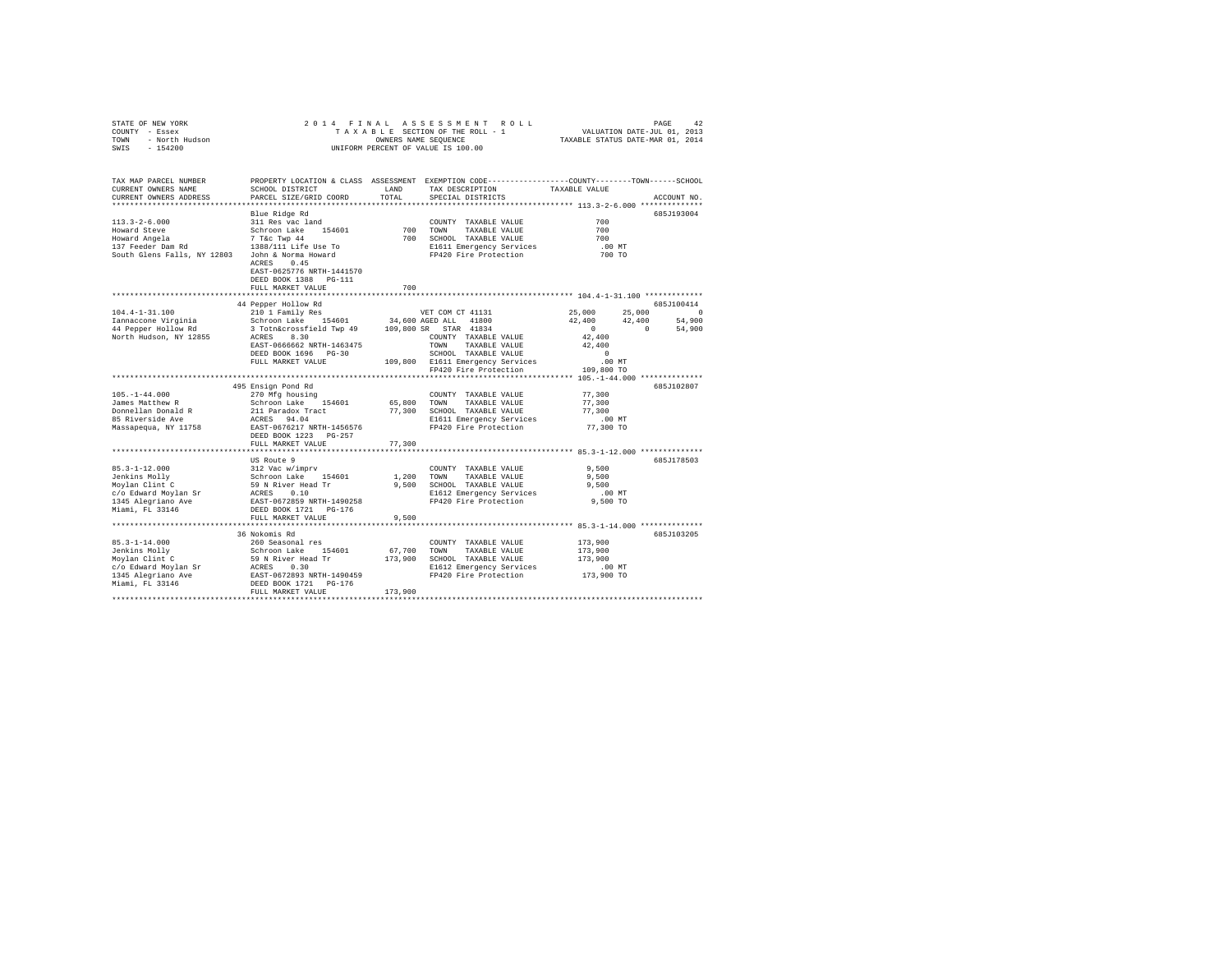| STATE OF NEW YORK                                                        | 2014 FINAL                                                                                                            |             |                                                                                                 |                      |             |
|--------------------------------------------------------------------------|-----------------------------------------------------------------------------------------------------------------------|-------------|-------------------------------------------------------------------------------------------------|----------------------|-------------|
| OF NEW YORK<br>Y - Essex<br>- North Hudson<br>- 154200<br>COUNTY - Essex |                                                                                                                       |             |                                                                                                 |                      |             |
| TOWN                                                                     |                                                                                                                       |             |                                                                                                 |                      |             |
| SWIS                                                                     |                                                                                                                       |             | UNIFORM PERCENT OF VALUE IS 100.00                                                              |                      |             |
|                                                                          |                                                                                                                       |             |                                                                                                 |                      |             |
|                                                                          |                                                                                                                       |             |                                                                                                 |                      |             |
| TAX MAP PARCEL NUMBER                                                    |                                                                                                                       |             | PROPERTY LOCATION & CLASS ASSESSMENT EXEMPTION CODE---------------COUNTY-------TOWN------SCHOOL |                      |             |
| CURRENT OWNERS NAME                                                      | SCHOOL DISTRICT                                                                                                       | LAND        | TAX DESCRIPTION                                                                                 | TAXABLE VALUE        |             |
| CURRENT OWNERS ADDRESS                                                   | PARCEL SIZE/GRID COORD                                                                                                | TOTAL       | SPECIAL DISTRICTS                                                                               |                      | ACCOUNT NO. |
|                                                                          |                                                                                                                       |             |                                                                                                 |                      |             |
|                                                                          | Blue Ridge Rd                                                                                                         |             |                                                                                                 |                      | 685J193004  |
| $113.3 - 2 - 6.000$                                                      | 311 Res vac land                                                                                                      |             | COUNTY TAXABLE VALUE                                                                            | 700                  |             |
|                                                                          |                                                                                                                       |             |                                                                                                 |                      |             |
| Howard Steve                                                             | Schroon Lake 154601                                                                                                   |             | 700 TOWN<br>TAXABLE VALUE                                                                       | 700                  |             |
|                                                                          |                                                                                                                       |             | 700 SCHOOL TAXABLE VALUE                                                                        | 700                  |             |
|                                                                          |                                                                                                                       |             | E1611 Emergency Services                                                                        | $.00$ MT             |             |
| South Glens Falls, NY 12803                                              | John & Norma Howard                                                                                                   |             | FP420 Fire Protection                                                                           | 700 TO               |             |
|                                                                          | ACRES 0.45                                                                                                            |             |                                                                                                 |                      |             |
|                                                                          | EAST-0625776 NRTH-1441570                                                                                             |             |                                                                                                 |                      |             |
|                                                                          | DEED BOOK 1388 PG-111                                                                                                 |             |                                                                                                 |                      |             |
|                                                                          | FULL MARKET VALUE                                                                                                     | 700         |                                                                                                 |                      |             |
|                                                                          |                                                                                                                       |             |                                                                                                 |                      |             |
|                                                                          | 44 Pepper Hollow Rd                                                                                                   |             |                                                                                                 |                      | 685J100414  |
| $104.4 - 1 - 31.100$                                                     | 210 1 Family Res                                                                                                      |             | VET COM CT 41131                                                                                | 25,000               | 25,000 0    |
| Iannaccone Virginia                                                      | Schroon Lake 154601                                                                                                   |             | 34,600 AGED ALL 41800                                                                           | 42,400<br>42,400     | 54,900      |
| 44 Pepper Hollow Rd                                                      | 3 Totn&crossfield Twp 49 109,800 SR STAR 41834                                                                        |             |                                                                                                 | $\sim$ 0<br>$\sim$ 0 | 54,900      |
| North Hudson, NY 12855                                                   | ACRES 8.30                                                                                                            |             | COUNTY TAXABLE VALUE                                                                            | 42,400               |             |
|                                                                          |                                                                                                                       |             |                                                                                                 |                      |             |
|                                                                          | EAST-0666662 NRTH-1463475                                                                                             |             | TOWN<br>TAXABLE VALUE                                                                           | 42,400               |             |
|                                                                          | DEED BOOK 1696 PG-30                                                                                                  |             | SCHOOL TAXABLE VALUE<br>109,800 E1611 Emergency Services<br>FP420 Fire Protection               | $\sim$ 0             |             |
|                                                                          | FULL MARKET VALUE                                                                                                     |             |                                                                                                 | .00 MT               |             |
|                                                                          |                                                                                                                       |             |                                                                                                 | 109,800 TO           |             |
|                                                                          |                                                                                                                       |             |                                                                                                 |                      |             |
|                                                                          | 495 Ensign Pond Rd                                                                                                    |             |                                                                                                 |                      | 685J102807  |
| $105. - 1 - 44.000$                                                      | 270 Mfg housing                                                                                                       |             | COUNTY TAXABLE VALUE                                                                            | 77,300               |             |
| James Matthew R                                                          |                                                                                                                       |             | 65,800 TOWN TAXABLE VALUE                                                                       | 77,300               |             |
| Donnellan Donald R<br>85 Riverside Ave                                   | ------------ Lake 154601<br>211 Paradox Tract<br>ACRES 94.04<br>EAST-0676217 NRTH-1456576<br>DEED BOOK 1222 --------- |             | 77,300 SCHOOL TAXABLE VALUE                                                                     | 77,300               |             |
|                                                                          |                                                                                                                       |             | E1611 Emergency Services                                                                        | $.00$ MT             |             |
| Massapequa, NY 11758                                                     |                                                                                                                       |             | FP420 Fire Protection                                                                           | 77,300 TO            |             |
|                                                                          |                                                                                                                       |             |                                                                                                 |                      |             |
|                                                                          | FULL MARKET VALUE                                                                                                     | 77,300      |                                                                                                 |                      |             |
|                                                                          |                                                                                                                       |             |                                                                                                 |                      |             |
|                                                                          | US Route 9                                                                                                            |             |                                                                                                 |                      | 685J178503  |
| $85.3 - 1 - 12.000$                                                      | 312 Vac w/imprv                                                                                                       |             | COUNTY TAXABLE VALUE                                                                            | 9,500                |             |
| Jenkins Molly<br>Moylan Clint C                                          | Schroon Lake 154601                                                                                                   | 1,200       | TOWN<br>TAXABLE VALUE                                                                           | 9,500                |             |
|                                                                          |                                                                                                                       |             | 9,500 SCHOOL TAXABLE VALUE                                                                      | 9,500                |             |
|                                                                          | 59 N River Head Tr<br>ACRES 0.10<br>EAST-0672859 NRTH-1490258<br>DEED BOOK 1721 PG-176                                |             |                                                                                                 |                      |             |
| c/o Edward Moylan Sr<br>1345 Alegriano Ave                               |                                                                                                                       |             | E1612 Emergency Services                                                                        | $.00$ MT             |             |
|                                                                          |                                                                                                                       |             | FP420 Fire Protection                                                                           | 9,500 TO             |             |
| Miami, FL 33146                                                          |                                                                                                                       |             |                                                                                                 |                      |             |
|                                                                          | FULL MARKET VALUE                                                                                                     | 9,500       |                                                                                                 |                      |             |
|                                                                          |                                                                                                                       |             |                                                                                                 |                      |             |
|                                                                          | 36 Nokomis Rd                                                                                                         |             |                                                                                                 |                      | 685J103205  |
|                                                                          |                                                                                                                       |             | COUNTY TAXABLE VALUE                                                                            | 173,900              |             |
|                                                                          |                                                                                                                       | 67,700 TOWN | TAXABLE VALUE                                                                                   | 173,900              |             |
|                                                                          |                                                                                                                       |             | 173,900 SCHOOL TAXABLE VALUE                                                                    | 173,900              |             |
|                                                                          |                                                                                                                       |             | E1612 Emergency Services                                                                        | $.00$ MT             |             |
|                                                                          |                                                                                                                       |             | FP420 Fire Protection                                                                           | 173,900 TO           |             |
| Miami, FL 33146                                                          |                                                                                                                       |             |                                                                                                 |                      |             |
|                                                                          | FULL MARKET VALUE                                                                                                     | 173,900     |                                                                                                 |                      |             |
|                                                                          |                                                                                                                       |             |                                                                                                 |                      |             |
|                                                                          |                                                                                                                       |             |                                                                                                 |                      |             |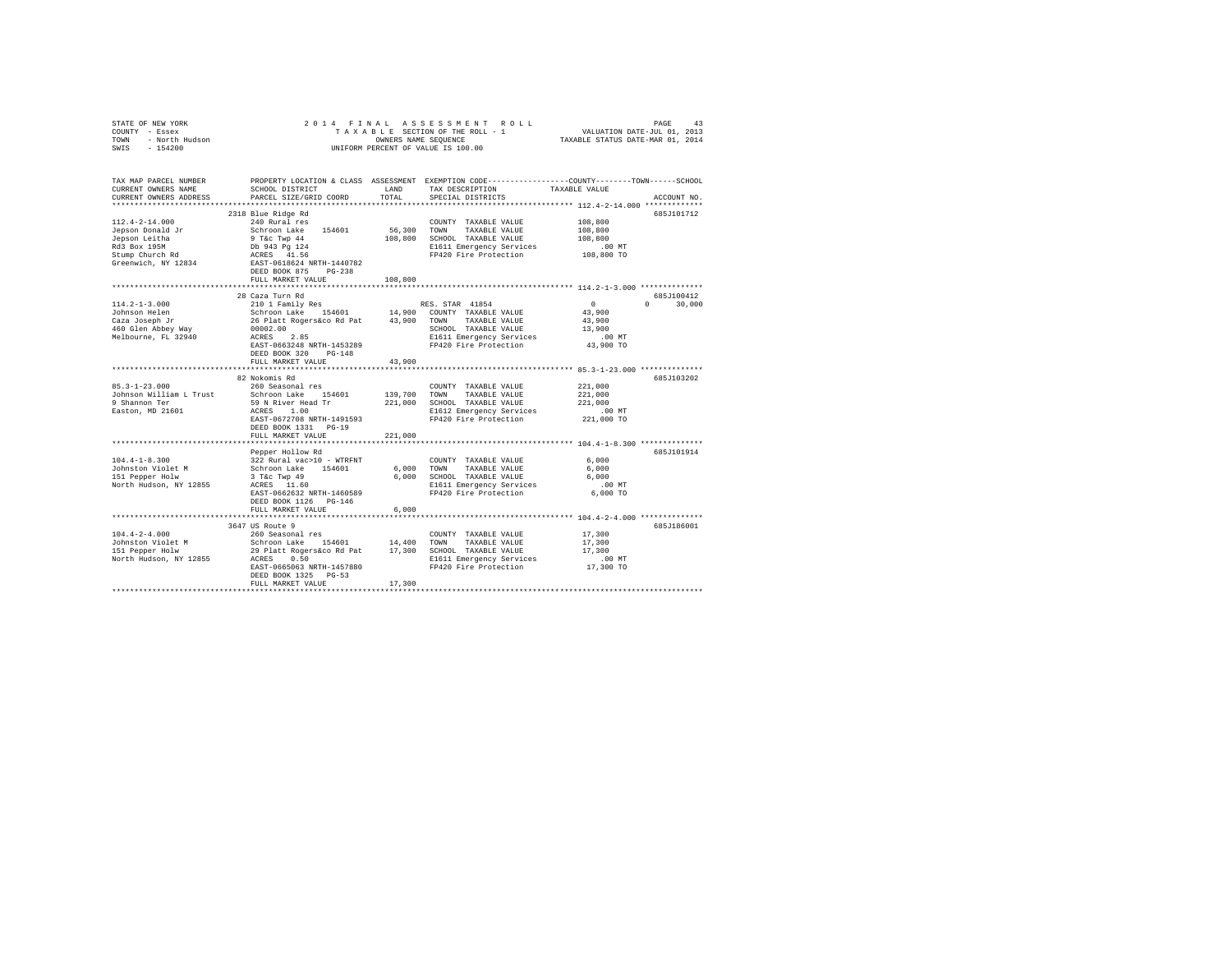| STATE OF NEW YORK<br>COUNTY - Essex<br>TOWN - North Hudson<br>SWIS - 154200                                                                                            | 2014 FINAL ASSESSMENT ROLL<br>PAGE<br>43<br>T A X A B L E SECTION OF THE ROLL - 1<br>ONNERS NAMES NAME SEQUENCE<br>UNIFORM PERCENT OF VALUE IS 100.00<br>VALUATION DATE-JUL 01, 2013<br>TAXABLE STATUS DATE-MAR 01, 2014 |                       |                                                                                                                                                                                       |                                                                       |               |  |  |  |  |  |
|------------------------------------------------------------------------------------------------------------------------------------------------------------------------|--------------------------------------------------------------------------------------------------------------------------------------------------------------------------------------------------------------------------|-----------------------|---------------------------------------------------------------------------------------------------------------------------------------------------------------------------------------|-----------------------------------------------------------------------|---------------|--|--|--|--|--|
| TAX MAP PARCEL NUMBER PROPERTY LOCATION & CLASS ASSESSMENT EXEMPTION CODE---------------COUNTY-------TOWN------SCHOOL<br>CURRENT OWNERS NAME<br>CURRENT OWNERS ADDRESS | SCHOOL DISTRICT<br>PARCEL SIZE/GRID COORD                                                                                                                                                                                | TOTAL                 | LAND TAX DESCRIPTION<br>SPECIAL DISTRICTS                                                                                                                                             | TAXABLE VALUE<br>*********************** 112.4-2-14.000 ************* | ACCOUNT NO.   |  |  |  |  |  |
|                                                                                                                                                                        | 2318 Blue Ridge Rd                                                                                                                                                                                                       |                       |                                                                                                                                                                                       |                                                                       | 685J101712    |  |  |  |  |  |
| $112.4 - 2 - 14.000$<br>Jepson Donald Jr<br>Jepson Leitha<br>Rd3 Box 195M<br>Stump Church Rd<br>Greenwich, NY 12834                                                    | 240 Rural res<br>Schroon Lake 154601<br>9 T&c Twp 44<br>Db 943 Pg 124<br>ACRES 41.56<br>EAST-0618624 NRTH-1440782                                                                                                        | 56,300 TOWN           | COUNTY TAXABLE VALUE<br>TAXABLE VALUE<br>108,800 SCHOOL TAXABLE VALUE 108,800 SCHOOL TAXABLE VALUE 108,800<br>EI611 Emergency Services 108,800 TO<br>FP420 Fire Protection 108,800 TO | 108,800<br>108,800                                                    |               |  |  |  |  |  |
|                                                                                                                                                                        | DEED BOOK 875 PG-238                                                                                                                                                                                                     |                       |                                                                                                                                                                                       |                                                                       |               |  |  |  |  |  |
|                                                                                                                                                                        | FULL MARKET VALUE                                                                                                                                                                                                        | 108,800               |                                                                                                                                                                                       |                                                                       |               |  |  |  |  |  |
|                                                                                                                                                                        |                                                                                                                                                                                                                          |                       |                                                                                                                                                                                       |                                                                       |               |  |  |  |  |  |
|                                                                                                                                                                        | 28 Caza Turn Rd                                                                                                                                                                                                          |                       |                                                                                                                                                                                       |                                                                       | 685J100412    |  |  |  |  |  |
| $114.2 - 1 - 3.000$<br>Johnson Helen                                                                                                                                   | RES. STAR 41854<br>Schroon Lake 154601 14,900 COUNTY TAXABLE VALUE<br>26 Platt Rogersáco Rd Pat 43,900 COUNTY TAXABLE VALUE<br>00002.00 SCHOOL ON SCHOOL TAXABLE VALUE<br>ACRES 2.85 SI611 Emergency Services            |                       |                                                                                                                                                                                       | $\sim$ 0<br>43,900                                                    | $0 \t 30,000$ |  |  |  |  |  |
| Caza Joseph Jr                                                                                                                                                         |                                                                                                                                                                                                                          |                       |                                                                                                                                                                                       | 43,900                                                                |               |  |  |  |  |  |
| 460 Glen Abbey Way                                                                                                                                                     |                                                                                                                                                                                                                          |                       | SCHOOL TAXABLE VALUE                                                                                                                                                                  | 13,900                                                                |               |  |  |  |  |  |
| Melbourne, FL 32940                                                                                                                                                    |                                                                                                                                                                                                                          |                       | E1611 Emergency Services<br>FP420 Fire Protection                                                                                                                                     | .00MT                                                                 |               |  |  |  |  |  |
|                                                                                                                                                                        | EAST-0663248 NRTH-1453289                                                                                                                                                                                                |                       |                                                                                                                                                                                       | 43,900 TO                                                             |               |  |  |  |  |  |
|                                                                                                                                                                        | DEED BOOK 320 PG-148                                                                                                                                                                                                     |                       |                                                                                                                                                                                       |                                                                       |               |  |  |  |  |  |
|                                                                                                                                                                        | FULL MARKET VALUE                                                                                                                                                                                                        | 43,900                |                                                                                                                                                                                       |                                                                       |               |  |  |  |  |  |
|                                                                                                                                                                        |                                                                                                                                                                                                                          |                       |                                                                                                                                                                                       |                                                                       |               |  |  |  |  |  |
|                                                                                                                                                                        | 82 Nokomis Rd                                                                                                                                                                                                            |                       |                                                                                                                                                                                       |                                                                       | 685J103202    |  |  |  |  |  |
| $85.3 - 1 - 23.000$                                                                                                                                                    | 260 Seasonal res                                                                                                                                                                                                         | COUNT<br>139,700 TOWN | COUNTY TAXABLE VALUE                                                                                                                                                                  | 221,000                                                               |               |  |  |  |  |  |
| Johnson William L Trust                                                                                                                                                | Schroon Lake 154601                                                                                                                                                                                                      |                       | TAXABLE VALUE                                                                                                                                                                         | 221,000                                                               |               |  |  |  |  |  |
| 9 Shannon Ter                                                                                                                                                          | 59 N River Head Tr<br>ACRES 1.00                                                                                                                                                                                         |                       | 221,000 SCHOOL TAXABLE VALUE<br>E1612 Emergency Services<br>FP420 Fire Protection                                                                                                     | 221,000                                                               |               |  |  |  |  |  |
| Easton, MD 21601                                                                                                                                                       |                                                                                                                                                                                                                          |                       |                                                                                                                                                                                       | .00 MT                                                                |               |  |  |  |  |  |
|                                                                                                                                                                        | EAST-0672708 NRTH-1491593                                                                                                                                                                                                |                       |                                                                                                                                                                                       | 221,000 TO                                                            |               |  |  |  |  |  |
|                                                                                                                                                                        | DEED BOOK 1331 PG-19                                                                                                                                                                                                     |                       |                                                                                                                                                                                       |                                                                       |               |  |  |  |  |  |
|                                                                                                                                                                        | FULL MARKET VALUE                                                                                                                                                                                                        | 221,000               |                                                                                                                                                                                       |                                                                       |               |  |  |  |  |  |
|                                                                                                                                                                        | Pepper Hollow Rd                                                                                                                                                                                                         |                       |                                                                                                                                                                                       |                                                                       | 685J101914    |  |  |  |  |  |
| $104.4 - 1 - 8.300$                                                                                                                                                    | 322 Rural vac>10 - WTRFNT                                                                                                                                                                                                |                       | COUNTY TAXABLE VALUE                                                                                                                                                                  | 6,000                                                                 |               |  |  |  |  |  |
|                                                                                                                                                                        |                                                                                                                                                                                                                          |                       | TAXABLE VALUE                                                                                                                                                                         | 6,000                                                                 |               |  |  |  |  |  |
| Johnston Violet M<br>151 Pepper Holw                                                                                                                                   | Schroon Lake 154601 6,000 TOWN<br>3 T&c Twp 49 6,000 SCHOO                                                                                                                                                               |                       | 6,000 SCHOOL TAXABLE VALUE                                                                                                                                                            | 6,000                                                                 |               |  |  |  |  |  |
| North Hudson, NY 12855                                                                                                                                                 | 3 T&C Twp 49<br>ACRES 11.60                                                                                                                                                                                              |                       | E1611 Emergency Services                                                                                                                                                              | $.00$ MT                                                              |               |  |  |  |  |  |
|                                                                                                                                                                        | EAST-0662632 NRTH-1460589                                                                                                                                                                                                |                       | FP420 Fire Protection                                                                                                                                                                 | 6,000 TO                                                              |               |  |  |  |  |  |
|                                                                                                                                                                        | DEED BOOK 1126 PG-146                                                                                                                                                                                                    |                       |                                                                                                                                                                                       |                                                                       |               |  |  |  |  |  |
|                                                                                                                                                                        | FULL MARKET VALUE                                                                                                                                                                                                        | 6,000                 |                                                                                                                                                                                       |                                                                       |               |  |  |  |  |  |
|                                                                                                                                                                        |                                                                                                                                                                                                                          |                       |                                                                                                                                                                                       |                                                                       |               |  |  |  |  |  |
|                                                                                                                                                                        | 3647 US Route 9                                                                                                                                                                                                          |                       |                                                                                                                                                                                       |                                                                       | 685J186001    |  |  |  |  |  |
| $104.4 - 2 - 4.000$                                                                                                                                                    | 260 Seasonal res                                                                                                                                                                                                         |                       | COUNTY TAXABLE VALUE                                                                                                                                                                  | 17,300                                                                |               |  |  |  |  |  |
| Johnston Violet M                                                                                                                                                      | 200 Seasonaires<br>Schroon Lake 154601 14,400 TOWN TAXABLE VALUE<br>29 Platt Rogers&co Rd Pat 17,300 SCHOOL TAXABLE VALUE<br>1711 Emergency Services                                                                     |                       |                                                                                                                                                                                       | 17,300                                                                |               |  |  |  |  |  |
| 151 Pepper Holw                                                                                                                                                        |                                                                                                                                                                                                                          |                       |                                                                                                                                                                                       | 17,300                                                                |               |  |  |  |  |  |
| North Hudson, NY 12855 ACRES 0.50                                                                                                                                      |                                                                                                                                                                                                                          |                       | E1611 Emergency Services<br>FP420 Fire Protection                                                                                                                                     | 00 MT.<br>17,300 TO                                                   |               |  |  |  |  |  |
|                                                                                                                                                                        | EAST-0665063 NRTH-1457880                                                                                                                                                                                                |                       |                                                                                                                                                                                       |                                                                       |               |  |  |  |  |  |
|                                                                                                                                                                        | DEED BOOK 1325 PG-53                                                                                                                                                                                                     |                       |                                                                                                                                                                                       |                                                                       |               |  |  |  |  |  |
|                                                                                                                                                                        | FULL MARKET VALUE                                                                                                                                                                                                        | 17,300                |                                                                                                                                                                                       |                                                                       |               |  |  |  |  |  |
|                                                                                                                                                                        |                                                                                                                                                                                                                          |                       |                                                                                                                                                                                       |                                                                       |               |  |  |  |  |  |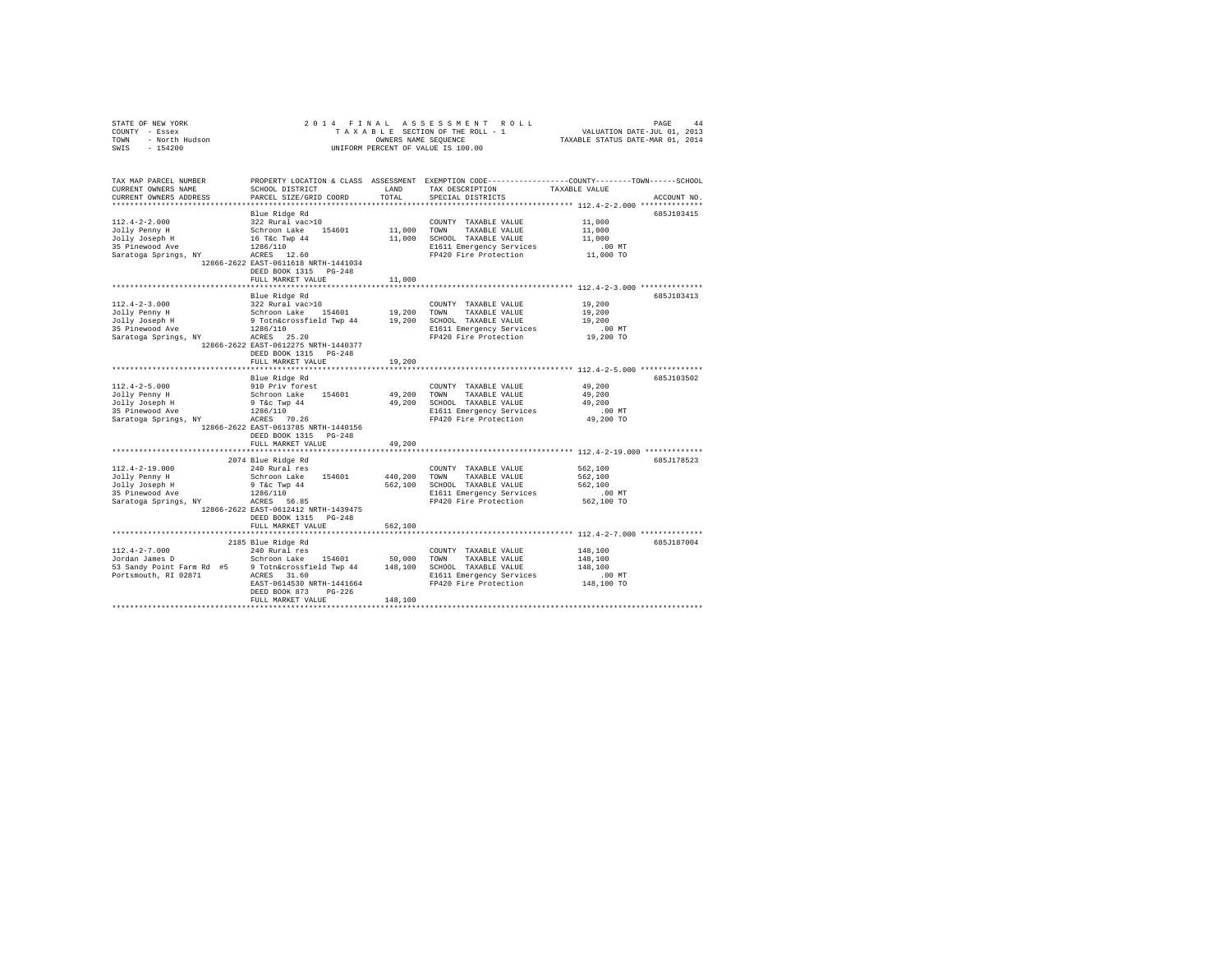|                                                                                                                                                                                                                                                   | 2014 FINAL                                                                                                                                       |         |                                                                                                  |               |             |
|---------------------------------------------------------------------------------------------------------------------------------------------------------------------------------------------------------------------------------------------------|--------------------------------------------------------------------------------------------------------------------------------------------------|---------|--------------------------------------------------------------------------------------------------|---------------|-------------|
| STATE OF NEW YORK 1999<br>COUNTY - Essex 1999<br>TOWN - North Hudson<br>SWIS - 154200                                                                                                                                                             |                                                                                                                                                  |         |                                                                                                  |               |             |
|                                                                                                                                                                                                                                                   |                                                                                                                                                  |         | OWNERS NAME SEQUENCE                                                                             |               |             |
|                                                                                                                                                                                                                                                   |                                                                                                                                                  |         | UNIFORM PERCENT OF VALUE IS 100.00                                                               |               |             |
|                                                                                                                                                                                                                                                   |                                                                                                                                                  |         |                                                                                                  |               |             |
|                                                                                                                                                                                                                                                   |                                                                                                                                                  |         |                                                                                                  |               |             |
| TAX MAP PARCEL NUMBER                                                                                                                                                                                                                             |                                                                                                                                                  |         | PROPERTY LOCATION & CLASS ASSESSMENT EXEMPTION CODE----------------COUNTY-------TOWN------SCHOOL |               |             |
| CURRENT OWNERS NAME                                                                                                                                                                                                                               | SCHOOL DISTRICT                                                                                                                                  | LAND    | TAX DESCRIPTION                                                                                  | TAXABLE VALUE |             |
| CURRENT OWNERS ADDRESS                                                                                                                                                                                                                            | PARCEL SIZE/GRID COORD                                                                                                                           | TOTAL   | SPECIAL DISTRICTS                                                                                |               | ACCOUNT NO. |
|                                                                                                                                                                                                                                                   |                                                                                                                                                  |         |                                                                                                  |               |             |
|                                                                                                                                                                                                                                                   | Blue Ridge Rd                                                                                                                                    |         |                                                                                                  |               | 685J103415  |
| $112.4 - 2 - 2.000$                                                                                                                                                                                                                               | 322 Rural vac>10                                                                                                                                 |         | COUNTY TAXABLE VALUE                                                                             | 11,000        |             |
|                                                                                                                                                                                                                                                   |                                                                                                                                                  |         | 11,000 TOWN TAXABLE VALUE                                                                        | 11,000        |             |
|                                                                                                                                                                                                                                                   |                                                                                                                                                  |         | 11,000 SCHOOL TAXABLE VALUE                                                                      | 11,000        |             |
|                                                                                                                                                                                                                                                   |                                                                                                                                                  |         | E1611 Emergency Services                                                                         | $.00$ MT      |             |
| Fig. 1988<br>1991 - The Schroon Lake 154601<br>1991 - Schroon Lake 154601<br>1998 - 1286/110<br>1286/110<br>2087 - 1286/110<br>2087 - 2088/110<br>2087 - 2088/110<br>2088/110<br>2088/110<br>2088/110<br>2088/110<br>2088/110<br>2088/110<br>2088 |                                                                                                                                                  |         | FP420 Fire Protection                                                                            | $11,000$ TO   |             |
|                                                                                                                                                                                                                                                   | 12866-2622 EAST-0611618 NRTH-1441034                                                                                                             |         |                                                                                                  |               |             |
|                                                                                                                                                                                                                                                   | DEED BOOK 1315 PG-248                                                                                                                            |         |                                                                                                  |               |             |
|                                                                                                                                                                                                                                                   | FULL MARKET VALUE                                                                                                                                | 11,000  |                                                                                                  |               |             |
|                                                                                                                                                                                                                                                   |                                                                                                                                                  |         |                                                                                                  |               |             |
|                                                                                                                                                                                                                                                   | Blue Ridge Rd                                                                                                                                    |         |                                                                                                  |               | 685J103413  |
| $112.4 - 2 - 3.000$                                                                                                                                                                                                                               | 322 Rural vac>10                                                                                                                                 |         | COUNTY TAXABLE VALUE                                                                             | 19,200        |             |
|                                                                                                                                                                                                                                                   |                                                                                                                                                  |         |                                                                                                  | 19,200        |             |
|                                                                                                                                                                                                                                                   | Schroon Lake 154601 19,200 TOWN TAXABLE VALUE<br>9 Tothacrossfield Twp 44 19,200 SCHOOL TAXABLE VALUE<br>1286/110 11861 El611 Emergency Services |         |                                                                                                  | 19,200        |             |
|                                                                                                                                                                                                                                                   |                                                                                                                                                  |         |                                                                                                  | $.00$ MT      |             |
| Tolly Penny H<br>Schroon Lake 154601<br>1991 H<br>Schroon Lake 154601<br>1996/110<br>23 Pinewood Ave 1286/110<br>2087 25.20<br>2087 25.20                                                                                                         |                                                                                                                                                  |         | E1611 Emergency Services<br>FP420 Fire Protection                                                | 19,200 TO     |             |
|                                                                                                                                                                                                                                                   | 12866-2622 EAST-0612275 NRTH-1440377                                                                                                             |         |                                                                                                  |               |             |
|                                                                                                                                                                                                                                                   | DEED BOOK 1315 PG-248                                                                                                                            |         |                                                                                                  |               |             |
|                                                                                                                                                                                                                                                   | FULL MARKET VALUE                                                                                                                                | 19,200  |                                                                                                  |               |             |
|                                                                                                                                                                                                                                                   |                                                                                                                                                  |         |                                                                                                  |               |             |
|                                                                                                                                                                                                                                                   | Blue Ridge Rd                                                                                                                                    |         |                                                                                                  |               | 685J103502  |
| $112.4 - 2 - 5.000$                                                                                                                                                                                                                               | 910 Priv forest                                                                                                                                  |         | COUNTY TAXABLE VALUE                                                                             | 49,200        |             |
|                                                                                                                                                                                                                                                   |                                                                                                                                                  |         | 49,200 TOWN TAXABLE VALUE                                                                        | 49,200        |             |
|                                                                                                                                                                                                                                                   |                                                                                                                                                  |         | 49,200 SCHOOL TAXABLE VALUE                                                                      | 49,200        |             |
|                                                                                                                                                                                                                                                   |                                                                                                                                                  |         | E1611 Emergency Services                                                                         | $.00$ MT      |             |
| Jolly Penny H Schroon Lake 154601<br>Jolly Joseph H 9 Tac Twp 44<br>315 Pinewood Ave 1286/110<br>Saratoga Springs, NY ACRES 70.26                                                                                                                 |                                                                                                                                                  |         | FP420 Fire Protection                                                                            | 49,200 TO     |             |
|                                                                                                                                                                                                                                                   | 12866-2622 EAST-0613785 NRTH-1440156                                                                                                             |         |                                                                                                  |               |             |
|                                                                                                                                                                                                                                                   | DEED BOOK 1315 PG-248                                                                                                                            |         |                                                                                                  |               |             |
|                                                                                                                                                                                                                                                   | FULL MARKET VALUE                                                                                                                                | 49,200  |                                                                                                  |               |             |
|                                                                                                                                                                                                                                                   |                                                                                                                                                  |         |                                                                                                  |               |             |
|                                                                                                                                                                                                                                                   | 2074 Blue Ridge Rd                                                                                                                               |         |                                                                                                  |               | 685J178523  |
| $112.4 - 2 - 19.000$                                                                                                                                                                                                                              | 240 Rural res                                                                                                                                    |         | COUNTY TAXABLE VALUE                                                                             | 562,100       |             |
| Jolly Penny H<br>Jolly Joseph H<br>35 Pinewood Ave                                                                                                                                                                                                | Schroon Lake 154601                                                                                                                              |         | 440,200 TOWN TAXABLE VALUE<br>562,100 SCHOOL TAXABLE VALUE<br>E1611 Emergency Services           | 562,100       |             |
|                                                                                                                                                                                                                                                   |                                                                                                                                                  |         |                                                                                                  | 562,100       |             |
| Jolly Joseph H 9 T&C Twp 44<br>35 Pinewood Ave 1286/110<br>Saratoga Springs, NY ACRES 56.85                                                                                                                                                       |                                                                                                                                                  |         | E1611 Emergency Services                                                                         | $.00$ MT      |             |
|                                                                                                                                                                                                                                                   |                                                                                                                                                  |         | FP420 Fire Protection                                                                            | 562,100 TO    |             |
|                                                                                                                                                                                                                                                   | 12866-2622 EAST-0612412 NRTH-1439475                                                                                                             |         |                                                                                                  |               |             |
|                                                                                                                                                                                                                                                   | DEED BOOK 1315 PG-248                                                                                                                            |         |                                                                                                  |               |             |
|                                                                                                                                                                                                                                                   | FULL MARKET VALUE                                                                                                                                | 562,100 |                                                                                                  |               |             |
|                                                                                                                                                                                                                                                   |                                                                                                                                                  |         |                                                                                                  |               |             |
|                                                                                                                                                                                                                                                   | 2185 Blue Ridge Rd                                                                                                                               |         |                                                                                                  |               | 685J187004  |
|                                                                                                                                                                                                                                                   |                                                                                                                                                  |         | COUNTY TAXABLE VALUE                                                                             | 148,100       |             |
| 112.4-2-7.000<br>$\frac{1}{2}$ John James D Schroon Lake 154601 50,000 TOWN TAXABLE VALUE<br>53 Sandy Point Farm Rd #5 9 Tothécrossfield Twp 44 148,100 SCHOOL TAXABLE VALUE<br>53 Sandy Point Farm Rd #5 9 Tothecrossfield Twp 44 148,           |                                                                                                                                                  |         |                                                                                                  | 148,100       |             |
|                                                                                                                                                                                                                                                   |                                                                                                                                                  |         |                                                                                                  | 148,100       |             |
| Portsmouth, RI 02871 ACRES 31.60                                                                                                                                                                                                                  |                                                                                                                                                  |         | E1611 Emergency Services                                                                         | .00 MT        |             |
|                                                                                                                                                                                                                                                   | EAST-0614530 NRTH-1441664                                                                                                                        |         | FP420 Fire Protection                                                                            | 148,100 TO    |             |
|                                                                                                                                                                                                                                                   | DEED BOOK 873 PG-226                                                                                                                             |         |                                                                                                  |               |             |
|                                                                                                                                                                                                                                                   | FULL MARKET VALUE                                                                                                                                | 148,100 |                                                                                                  |               |             |
|                                                                                                                                                                                                                                                   |                                                                                                                                                  |         |                                                                                                  |               |             |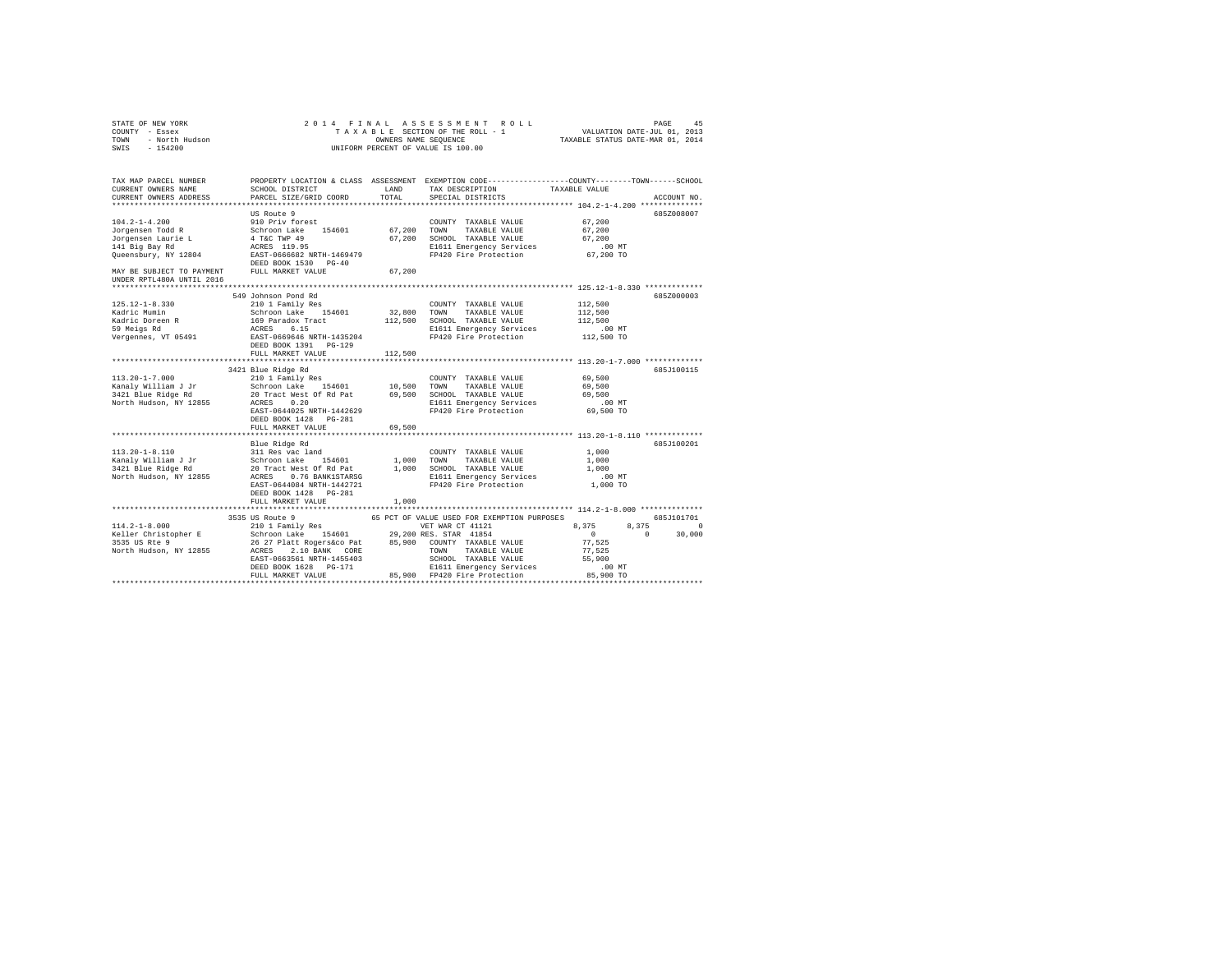| STATE OF NEW YORK<br>COUNTY - Essex<br>TOWN - North Hudson<br>SWIS - 154200                                                                                                                                                                                                                                                                                                                                                                 | 2014 FINAL ASSESSMENT ROLL<br>PAGE<br>45                                                                                                                                                                                               |         |                                                                                                                                                             |                      |             |  |  |
|---------------------------------------------------------------------------------------------------------------------------------------------------------------------------------------------------------------------------------------------------------------------------------------------------------------------------------------------------------------------------------------------------------------------------------------------|----------------------------------------------------------------------------------------------------------------------------------------------------------------------------------------------------------------------------------------|---------|-------------------------------------------------------------------------------------------------------------------------------------------------------------|----------------------|-------------|--|--|
| TAX MAP PARCEL NUMBER THE PROPERTY LOCATION & CLASS ASSESSMENT EXEMPTION CODE--------------COUNTY-------TOWN------SCHOOL                                                                                                                                                                                                                                                                                                                    |                                                                                                                                                                                                                                        |         |                                                                                                                                                             |                      |             |  |  |
| CURRENT OWNERS NAME                                                                                                                                                                                                                                                                                                                                                                                                                         | <b>LAND</b><br>SCHOOL DISTRICT                                                                                                                                                                                                         | TOTAL   | TAX DESCRIPTION                                                                                                                                             | TAXABLE VALUE        |             |  |  |
| CURRENT OWNERS ADDRESS                                                                                                                                                                                                                                                                                                                                                                                                                      | PARCEL SIZE/GRID COORD                                                                                                                                                                                                                 |         | SPECIAL DISTRICTS                                                                                                                                           |                      | ACCOUNT NO. |  |  |
|                                                                                                                                                                                                                                                                                                                                                                                                                                             | US Route 9                                                                                                                                                                                                                             |         |                                                                                                                                                             |                      | 685Z008007  |  |  |
| $104.2 - 1 - 4.200$                                                                                                                                                                                                                                                                                                                                                                                                                         |                                                                                                                                                                                                                                        |         |                                                                                                                                                             | 67,200               |             |  |  |
| Jorgensen Todd R                                                                                                                                                                                                                                                                                                                                                                                                                            |                                                                                                                                                                                                                                        |         |                                                                                                                                                             | 67,200               |             |  |  |
| Jorgensen Laurie L                                                                                                                                                                                                                                                                                                                                                                                                                          |                                                                                                                                                                                                                                        |         |                                                                                                                                                             | 67.200               |             |  |  |
| 141 Big Bay Rd                                                                                                                                                                                                                                                                                                                                                                                                                              |                                                                                                                                                                                                                                        |         | E1611 Emergency Services                                                                                                                                    | $.00$ MT             |             |  |  |
| Queensbury, NY 12804                                                                                                                                                                                                                                                                                                                                                                                                                        | SONORTY TAXABLE VALUE<br>Schroom Lake 154601 67,200 TOWN TAXABLE VALUE<br>4 TAC TWP 49 67,200 SCHOOL TAXABLE VALUE<br>ACRES 119.95 5157-1066682 NRTH-1469479 E1611 Emergency Services<br>EAST-0666682 NRTH-1469479 FP420 Fire Protecti |         | FP420 Fire Protection                                                                                                                                       | 00 MT.<br>67,200 TO  |             |  |  |
| MAY BE SUBJECT TO PAYMENT FULL MARKET VALUE                                                                                                                                                                                                                                                                                                                                                                                                 |                                                                                                                                                                                                                                        | 67,200  |                                                                                                                                                             |                      |             |  |  |
| UNDER RPTL480A UNTIL 2016                                                                                                                                                                                                                                                                                                                                                                                                                   |                                                                                                                                                                                                                                        |         |                                                                                                                                                             |                      |             |  |  |
|                                                                                                                                                                                                                                                                                                                                                                                                                                             |                                                                                                                                                                                                                                        |         |                                                                                                                                                             |                      |             |  |  |
|                                                                                                                                                                                                                                                                                                                                                                                                                                             | 549 Johnson Pond Rd<br>210 1 Family Res                                                                                                                                                                                                |         | COUNTY TAXABLE VALUE                                                                                                                                        |                      | 685Z000003  |  |  |
| $125.12 - 1 - 8.330$<br>Kadric Mumin                                                                                                                                                                                                                                                                                                                                                                                                        |                                                                                                                                                                                                                                        |         |                                                                                                                                                             | 112,500<br>112,500   |             |  |  |
| Kadric Doreen R                                                                                                                                                                                                                                                                                                                                                                                                                             | Schroon Lake 154601                                                                                                                                                                                                                    |         | 32,800 TOWN TAXABLE VALUE<br>112,500 SCHOOL TAXABLE VALUE                                                                                                   | 112,500              |             |  |  |
| Radiic Borcon .<br>59 Meigs Rd                                                                                                                                                                                                                                                                                                                                                                                                              |                                                                                                                                                                                                                                        |         | E1611 Emergency Services                                                                                                                                    | .00 MT               |             |  |  |
| Vergennes, VT 05491                                                                                                                                                                                                                                                                                                                                                                                                                         | 169 Paradox Tract<br>ACRES 6.15<br>EAST-0669646 NRTH-1435204                                                                                                                                                                           |         | FP420 Fire Protection                                                                                                                                       | 112,500 TO           |             |  |  |
|                                                                                                                                                                                                                                                                                                                                                                                                                                             | DEED BOOK 1391 PG-129                                                                                                                                                                                                                  |         |                                                                                                                                                             |                      |             |  |  |
|                                                                                                                                                                                                                                                                                                                                                                                                                                             | FULL MARKET VALUE                                                                                                                                                                                                                      | 112,500 |                                                                                                                                                             |                      |             |  |  |
|                                                                                                                                                                                                                                                                                                                                                                                                                                             | 3421 Blue Ridge Rd                                                                                                                                                                                                                     |         |                                                                                                                                                             |                      | 685.T100115 |  |  |
|                                                                                                                                                                                                                                                                                                                                                                                                                                             |                                                                                                                                                                                                                                        |         |                                                                                                                                                             | 69,500               |             |  |  |
|                                                                                                                                                                                                                                                                                                                                                                                                                                             |                                                                                                                                                                                                                                        |         |                                                                                                                                                             | 69,500               |             |  |  |
|                                                                                                                                                                                                                                                                                                                                                                                                                                             |                                                                                                                                                                                                                                        |         |                                                                                                                                                             | 69,500               |             |  |  |
| North Hudson, NY 12855                                                                                                                                                                                                                                                                                                                                                                                                                      | ACRES 0.20                                                                                                                                                                                                                             |         |                                                                                                                                                             | $.00$ MT             |             |  |  |
|                                                                                                                                                                                                                                                                                                                                                                                                                                             | EAST-0644025 NRTH-1442629                                                                                                                                                                                                              |         | E1611 Emergency Services<br>FP420 Fire Protection                                                                                                           | 69,500 TO            |             |  |  |
|                                                                                                                                                                                                                                                                                                                                                                                                                                             | DEED BOOK 1428   PG-281                                                                                                                                                                                                                |         |                                                                                                                                                             |                      |             |  |  |
|                                                                                                                                                                                                                                                                                                                                                                                                                                             | FULL MARKET VALUE                                                                                                                                                                                                                      | 69,500  |                                                                                                                                                             |                      |             |  |  |
|                                                                                                                                                                                                                                                                                                                                                                                                                                             |                                                                                                                                                                                                                                        |         |                                                                                                                                                             |                      |             |  |  |
| $113.20 - 1 - 8.110$                                                                                                                                                                                                                                                                                                                                                                                                                        | Blue Ridge Rd<br>311 Res vac land                                                                                                                                                                                                      |         | COUNTY TAXABLE VALUE                                                                                                                                        | 1,000                | 685J100201  |  |  |
| Kanaly William J Jr                                                                                                                                                                                                                                                                                                                                                                                                                         |                                                                                                                                                                                                                                        |         |                                                                                                                                                             | 1,000                |             |  |  |
| 3421 Blue Ridge Rd                                                                                                                                                                                                                                                                                                                                                                                                                          |                                                                                                                                                                                                                                        |         | Schroon Lake 154601 1,000 TOWN TAXABLE VALUE<br>20 Tract West Of Rd tat 1,000 SCHOOL TAXABLE VALUE<br>ACRES 0.76 BANKISTARSG 1,000 E1611 Emergency Services | 1,000                |             |  |  |
| North Hudson, NY 12855                                                                                                                                                                                                                                                                                                                                                                                                                      |                                                                                                                                                                                                                                        |         | E1611 Emergency Services                                                                                                                                    | .00MT                |             |  |  |
|                                                                                                                                                                                                                                                                                                                                                                                                                                             | EAST-0644084 NRTH-1442721                                                                                                                                                                                                              |         | FP420 Fire Protection                                                                                                                                       | 1,000 TO             |             |  |  |
|                                                                                                                                                                                                                                                                                                                                                                                                                                             | DEED BOOK 1428 PG-281                                                                                                                                                                                                                  |         |                                                                                                                                                             |                      |             |  |  |
|                                                                                                                                                                                                                                                                                                                                                                                                                                             | FULL MARKET VALUE                                                                                                                                                                                                                      | 1,000   |                                                                                                                                                             |                      |             |  |  |
|                                                                                                                                                                                                                                                                                                                                                                                                                                             |                                                                                                                                                                                                                                        |         |                                                                                                                                                             |                      |             |  |  |
|                                                                                                                                                                                                                                                                                                                                                                                                                                             |                                                                                                                                                                                                                                        |         |                                                                                                                                                             |                      | 685J101701  |  |  |
|                                                                                                                                                                                                                                                                                                                                                                                                                                             |                                                                                                                                                                                                                                        |         |                                                                                                                                                             | 8,375                | 8.375 0     |  |  |
|                                                                                                                                                                                                                                                                                                                                                                                                                                             |                                                                                                                                                                                                                                        |         |                                                                                                                                                             | $\sim$ 0<br>$\sim$ 0 | 30,000      |  |  |
|                                                                                                                                                                                                                                                                                                                                                                                                                                             |                                                                                                                                                                                                                                        |         |                                                                                                                                                             | 77.525<br>77.525     |             |  |  |
|                                                                                                                                                                                                                                                                                                                                                                                                                                             |                                                                                                                                                                                                                                        |         |                                                                                                                                                             | 55,900               |             |  |  |
|                                                                                                                                                                                                                                                                                                                                                                                                                                             |                                                                                                                                                                                                                                        |         |                                                                                                                                                             | $.00$ MT             |             |  |  |
| $\begin{tabular}{c c c c} \multicolumn{2}{c}{\textbf{3335 US Rute 9}} & \multicolumn{2}{c}{\textbf{5335 US Rute 9}} & \multicolumn{2}{c}{\textbf{58 FC TO VALUE US DED FOR EXEMENTION PURPOSES}} \\ \multicolumn{2}{c}{\textbf{111.2--1-8}} & \multicolumn{2}{c}{\textbf{1201 T amily Res} } & \multicolumn{2}{c}{\textbf{131.2--1-8}} & \multicolumn{2}{c}{\textbf{141.2--1-8}} & \multicolumn{2}{c}{\textbf{151.2--1-8}} & \multicolumn{$ |                                                                                                                                                                                                                                        |         |                                                                                                                                                             | 85,900 TO            |             |  |  |
|                                                                                                                                                                                                                                                                                                                                                                                                                                             |                                                                                                                                                                                                                                        |         |                                                                                                                                                             |                      |             |  |  |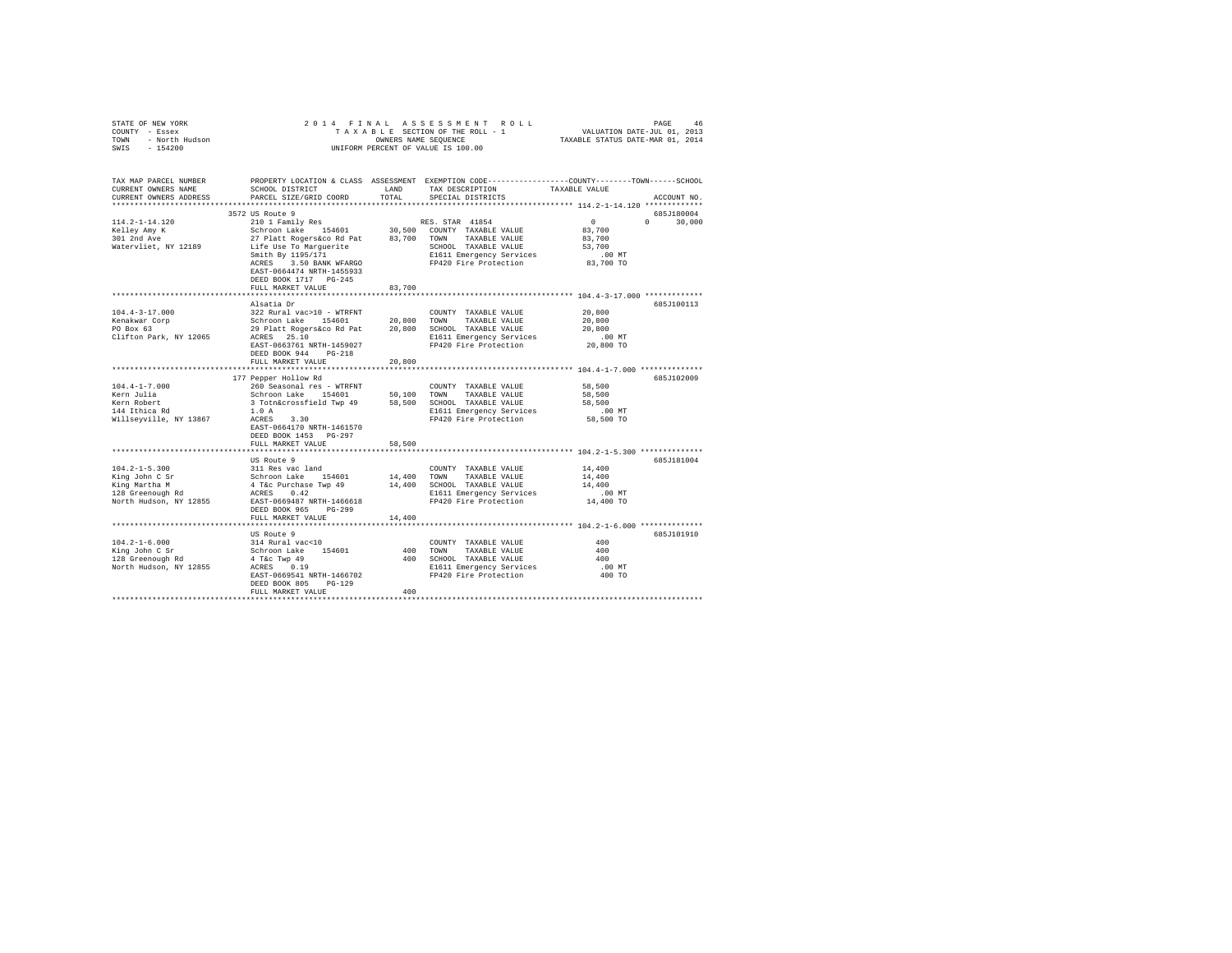| TAX MAP PARCEL NUMBER PROPERTY LOCATION & CLASS ASSESSMENT EXEMPTION CODE---------------COUNTY-------TOWN-----SCHOOL<br>TAX DESCRIPTION<br>TAXABLE VALUE<br>CURRENT OWNERS NAME<br>SCHOOL DISTRICT<br>LAND<br>TOTAL<br>CURRENT OWNERS ADDRESS<br>PARCEL SIZE/GRID COORD<br>SPECIAL DISTRICTS<br>ACCOUNT NO.<br>3572 US Route 9<br>685J180004<br>$114.2 - 1 - 14.120$<br>210 1 Family Res<br>RES. STAR 41854<br>$\mathbf{0}$<br>$0 \t 30,000$<br>Schroon Lake 154601 30,500 COUNTY TAXABLE VALUE<br>27 Platt Rogers on Pat 83,700 TOWN TAXABLE VALUE<br>1992 Life Use To Marguerite<br>83,700<br>Kelley Amy K<br>$301$ 2nd Ave<br>83,700<br>Watervliet, NY 12189<br>53,700<br>Smith By 1195/171<br>E1611 Emergency Services<br>$.00$ MT<br>FP420 Fire Protection 83,700 TO<br>ACRES 3.50 BANK WFARGO<br>EAST-0664474 NRTH-1455933<br>DEED BOOK 1717 PG-245<br>FULL MARKET VALUE<br>83,700<br>Alsatia Dr<br>685J100113<br>$104.4 - 3 - 17.000$<br>322 Rural vac>10 - WTRFNT<br>20,800<br>COUNTY TAXABLE VALUE<br>Schroon Lake 154601 20,800 TOWN TAXABLE VALUE<br>29 Platt Rogers&co Rd Pat 20,800 SCHOOL TAXABLE VALUE<br>ACRES 25.10 ROBER 20,800 S1611 Emergency Services<br>Kenakwar Corp<br>PO Box 63<br>20,800<br>20,800<br>.00 MT<br>E1611 Emergency Services<br>FP420 Fire Protection<br>20,800 TO<br>EAST-0663761 NRTH-1459027<br>DEED BOOK 944 PG-218<br>FULL MARKET VALUE<br>20,800<br>177 Pepper Hollow Rd<br>685J102009<br>$104.4 - 1 - 7.000$<br>260 Seasonal res - WTRFNT<br>COUNTY TAXABLE VALUE<br>58,500<br>Kern Julia<br>Schroon Lake 154601 50,100 TOWN TAXABLE VALUE<br>58,500<br>3 Totn&crossfield Twp 49 58,500 SCHOOL TAXABLE VALUE<br>58,500<br>144 Ithica Rd<br>1.0A<br>E1611 Emergency Services<br>$.00$ MT<br>FP420 Fire Protection 58,500 TO<br>ACRES 3.30<br>EAST-0664170 NRTH-1461570<br>DEED BOOK 1453 PG-297<br>FULL MARKET VALUE<br>58,500<br>US Route 9<br>685J181004<br>311 Res vac land<br>COUNTY TAXABLE VALUE<br>14,400<br>Schroon Lake 154601 14,400 TOWN TAXABLE VALUE<br>4 T&C Purchase Twp 49 14,400 SCHOOL TAXABLE VALUE<br>4 T&C PURCHASE TWP 49 14,400 SCHOOL TAXABLE VALUE<br>King John C Sr<br>King Martha M<br>128 Greenough Rd<br>14,400<br>14,400<br>E1611 Emergency Services<br>FP420 Fire Protection<br>$.00$ MT<br>North Hudson, NY 12855<br>14,400 TO<br>EAST-0669487 NRTH-1466618<br>DEED BOOK 965 PG-299<br>FULL MARKET VALUE<br>14,400<br>US Route 9<br>685J101910<br>COUNTY TAXABLE VALUE<br>400<br>400 TOWN TAXABLE VALUE<br>400<br>400 SCHOOL TAXABLE VALUE<br>400<br>E1611 Emergency Services<br>FP420 Fire Protection<br>.00 MT<br>400 TO<br>EAST-0669541 NRTH-1466702<br>DEED BOOK 805 PG-129<br>400<br>FULL MARKET VALUE | STATE OF NEW YORK 2017<br>COUNTY - Essex<br>TOWN - North Hudson<br>SWIS - 154200 | PAGE 46 PINAL ASSESSMENT ROLL PROPERTION PAGE 46<br>TAXABLE SECTION OF THE ROLL - 1 VALUATION DATE-JUL 01, 2013<br>OWNERS NAME SEQUENCE TAXABLE STATUS DATE-MAR 01, 2014<br>OWNERS NAME SEQUENCE<br>UNIFORM PERCENT OF VALUE IS 100.00 |  |  |  |  |  |  |
|-----------------------------------------------------------------------------------------------------------------------------------------------------------------------------------------------------------------------------------------------------------------------------------------------------------------------------------------------------------------------------------------------------------------------------------------------------------------------------------------------------------------------------------------------------------------------------------------------------------------------------------------------------------------------------------------------------------------------------------------------------------------------------------------------------------------------------------------------------------------------------------------------------------------------------------------------------------------------------------------------------------------------------------------------------------------------------------------------------------------------------------------------------------------------------------------------------------------------------------------------------------------------------------------------------------------------------------------------------------------------------------------------------------------------------------------------------------------------------------------------------------------------------------------------------------------------------------------------------------------------------------------------------------------------------------------------------------------------------------------------------------------------------------------------------------------------------------------------------------------------------------------------------------------------------------------------------------------------------------------------------------------------------------------------------------------------------------------------------------------------------------------------------------------------------------------------------------------------------------------------------------------------------------------------------------------------------------------------------------------------------------------------------------------------------------------------------------------------------------------------------------------------------------------------------------------------------------------------------------------------------------------------------------------------------------------|----------------------------------------------------------------------------------|----------------------------------------------------------------------------------------------------------------------------------------------------------------------------------------------------------------------------------------|--|--|--|--|--|--|
|                                                                                                                                                                                                                                                                                                                                                                                                                                                                                                                                                                                                                                                                                                                                                                                                                                                                                                                                                                                                                                                                                                                                                                                                                                                                                                                                                                                                                                                                                                                                                                                                                                                                                                                                                                                                                                                                                                                                                                                                                                                                                                                                                                                                                                                                                                                                                                                                                                                                                                                                                                                                                                                                                         |                                                                                  |                                                                                                                                                                                                                                        |  |  |  |  |  |  |
|                                                                                                                                                                                                                                                                                                                                                                                                                                                                                                                                                                                                                                                                                                                                                                                                                                                                                                                                                                                                                                                                                                                                                                                                                                                                                                                                                                                                                                                                                                                                                                                                                                                                                                                                                                                                                                                                                                                                                                                                                                                                                                                                                                                                                                                                                                                                                                                                                                                                                                                                                                                                                                                                                         |                                                                                  |                                                                                                                                                                                                                                        |  |  |  |  |  |  |
|                                                                                                                                                                                                                                                                                                                                                                                                                                                                                                                                                                                                                                                                                                                                                                                                                                                                                                                                                                                                                                                                                                                                                                                                                                                                                                                                                                                                                                                                                                                                                                                                                                                                                                                                                                                                                                                                                                                                                                                                                                                                                                                                                                                                                                                                                                                                                                                                                                                                                                                                                                                                                                                                                         |                                                                                  |                                                                                                                                                                                                                                        |  |  |  |  |  |  |
|                                                                                                                                                                                                                                                                                                                                                                                                                                                                                                                                                                                                                                                                                                                                                                                                                                                                                                                                                                                                                                                                                                                                                                                                                                                                                                                                                                                                                                                                                                                                                                                                                                                                                                                                                                                                                                                                                                                                                                                                                                                                                                                                                                                                                                                                                                                                                                                                                                                                                                                                                                                                                                                                                         |                                                                                  |                                                                                                                                                                                                                                        |  |  |  |  |  |  |
|                                                                                                                                                                                                                                                                                                                                                                                                                                                                                                                                                                                                                                                                                                                                                                                                                                                                                                                                                                                                                                                                                                                                                                                                                                                                                                                                                                                                                                                                                                                                                                                                                                                                                                                                                                                                                                                                                                                                                                                                                                                                                                                                                                                                                                                                                                                                                                                                                                                                                                                                                                                                                                                                                         |                                                                                  |                                                                                                                                                                                                                                        |  |  |  |  |  |  |
|                                                                                                                                                                                                                                                                                                                                                                                                                                                                                                                                                                                                                                                                                                                                                                                                                                                                                                                                                                                                                                                                                                                                                                                                                                                                                                                                                                                                                                                                                                                                                                                                                                                                                                                                                                                                                                                                                                                                                                                                                                                                                                                                                                                                                                                                                                                                                                                                                                                                                                                                                                                                                                                                                         |                                                                                  |                                                                                                                                                                                                                                        |  |  |  |  |  |  |
|                                                                                                                                                                                                                                                                                                                                                                                                                                                                                                                                                                                                                                                                                                                                                                                                                                                                                                                                                                                                                                                                                                                                                                                                                                                                                                                                                                                                                                                                                                                                                                                                                                                                                                                                                                                                                                                                                                                                                                                                                                                                                                                                                                                                                                                                                                                                                                                                                                                                                                                                                                                                                                                                                         |                                                                                  |                                                                                                                                                                                                                                        |  |  |  |  |  |  |
|                                                                                                                                                                                                                                                                                                                                                                                                                                                                                                                                                                                                                                                                                                                                                                                                                                                                                                                                                                                                                                                                                                                                                                                                                                                                                                                                                                                                                                                                                                                                                                                                                                                                                                                                                                                                                                                                                                                                                                                                                                                                                                                                                                                                                                                                                                                                                                                                                                                                                                                                                                                                                                                                                         |                                                                                  |                                                                                                                                                                                                                                        |  |  |  |  |  |  |
|                                                                                                                                                                                                                                                                                                                                                                                                                                                                                                                                                                                                                                                                                                                                                                                                                                                                                                                                                                                                                                                                                                                                                                                                                                                                                                                                                                                                                                                                                                                                                                                                                                                                                                                                                                                                                                                                                                                                                                                                                                                                                                                                                                                                                                                                                                                                                                                                                                                                                                                                                                                                                                                                                         |                                                                                  |                                                                                                                                                                                                                                        |  |  |  |  |  |  |
|                                                                                                                                                                                                                                                                                                                                                                                                                                                                                                                                                                                                                                                                                                                                                                                                                                                                                                                                                                                                                                                                                                                                                                                                                                                                                                                                                                                                                                                                                                                                                                                                                                                                                                                                                                                                                                                                                                                                                                                                                                                                                                                                                                                                                                                                                                                                                                                                                                                                                                                                                                                                                                                                                         |                                                                                  |                                                                                                                                                                                                                                        |  |  |  |  |  |  |
|                                                                                                                                                                                                                                                                                                                                                                                                                                                                                                                                                                                                                                                                                                                                                                                                                                                                                                                                                                                                                                                                                                                                                                                                                                                                                                                                                                                                                                                                                                                                                                                                                                                                                                                                                                                                                                                                                                                                                                                                                                                                                                                                                                                                                                                                                                                                                                                                                                                                                                                                                                                                                                                                                         |                                                                                  |                                                                                                                                                                                                                                        |  |  |  |  |  |  |
|                                                                                                                                                                                                                                                                                                                                                                                                                                                                                                                                                                                                                                                                                                                                                                                                                                                                                                                                                                                                                                                                                                                                                                                                                                                                                                                                                                                                                                                                                                                                                                                                                                                                                                                                                                                                                                                                                                                                                                                                                                                                                                                                                                                                                                                                                                                                                                                                                                                                                                                                                                                                                                                                                         |                                                                                  |                                                                                                                                                                                                                                        |  |  |  |  |  |  |
|                                                                                                                                                                                                                                                                                                                                                                                                                                                                                                                                                                                                                                                                                                                                                                                                                                                                                                                                                                                                                                                                                                                                                                                                                                                                                                                                                                                                                                                                                                                                                                                                                                                                                                                                                                                                                                                                                                                                                                                                                                                                                                                                                                                                                                                                                                                                                                                                                                                                                                                                                                                                                                                                                         |                                                                                  |                                                                                                                                                                                                                                        |  |  |  |  |  |  |
|                                                                                                                                                                                                                                                                                                                                                                                                                                                                                                                                                                                                                                                                                                                                                                                                                                                                                                                                                                                                                                                                                                                                                                                                                                                                                                                                                                                                                                                                                                                                                                                                                                                                                                                                                                                                                                                                                                                                                                                                                                                                                                                                                                                                                                                                                                                                                                                                                                                                                                                                                                                                                                                                                         |                                                                                  |                                                                                                                                                                                                                                        |  |  |  |  |  |  |
|                                                                                                                                                                                                                                                                                                                                                                                                                                                                                                                                                                                                                                                                                                                                                                                                                                                                                                                                                                                                                                                                                                                                                                                                                                                                                                                                                                                                                                                                                                                                                                                                                                                                                                                                                                                                                                                                                                                                                                                                                                                                                                                                                                                                                                                                                                                                                                                                                                                                                                                                                                                                                                                                                         |                                                                                  |                                                                                                                                                                                                                                        |  |  |  |  |  |  |
|                                                                                                                                                                                                                                                                                                                                                                                                                                                                                                                                                                                                                                                                                                                                                                                                                                                                                                                                                                                                                                                                                                                                                                                                                                                                                                                                                                                                                                                                                                                                                                                                                                                                                                                                                                                                                                                                                                                                                                                                                                                                                                                                                                                                                                                                                                                                                                                                                                                                                                                                                                                                                                                                                         |                                                                                  |                                                                                                                                                                                                                                        |  |  |  |  |  |  |
|                                                                                                                                                                                                                                                                                                                                                                                                                                                                                                                                                                                                                                                                                                                                                                                                                                                                                                                                                                                                                                                                                                                                                                                                                                                                                                                                                                                                                                                                                                                                                                                                                                                                                                                                                                                                                                                                                                                                                                                                                                                                                                                                                                                                                                                                                                                                                                                                                                                                                                                                                                                                                                                                                         |                                                                                  |                                                                                                                                                                                                                                        |  |  |  |  |  |  |
|                                                                                                                                                                                                                                                                                                                                                                                                                                                                                                                                                                                                                                                                                                                                                                                                                                                                                                                                                                                                                                                                                                                                                                                                                                                                                                                                                                                                                                                                                                                                                                                                                                                                                                                                                                                                                                                                                                                                                                                                                                                                                                                                                                                                                                                                                                                                                                                                                                                                                                                                                                                                                                                                                         | Clifton Park, NY 12065                                                           |                                                                                                                                                                                                                                        |  |  |  |  |  |  |
|                                                                                                                                                                                                                                                                                                                                                                                                                                                                                                                                                                                                                                                                                                                                                                                                                                                                                                                                                                                                                                                                                                                                                                                                                                                                                                                                                                                                                                                                                                                                                                                                                                                                                                                                                                                                                                                                                                                                                                                                                                                                                                                                                                                                                                                                                                                                                                                                                                                                                                                                                                                                                                                                                         |                                                                                  |                                                                                                                                                                                                                                        |  |  |  |  |  |  |
|                                                                                                                                                                                                                                                                                                                                                                                                                                                                                                                                                                                                                                                                                                                                                                                                                                                                                                                                                                                                                                                                                                                                                                                                                                                                                                                                                                                                                                                                                                                                                                                                                                                                                                                                                                                                                                                                                                                                                                                                                                                                                                                                                                                                                                                                                                                                                                                                                                                                                                                                                                                                                                                                                         |                                                                                  |                                                                                                                                                                                                                                        |  |  |  |  |  |  |
|                                                                                                                                                                                                                                                                                                                                                                                                                                                                                                                                                                                                                                                                                                                                                                                                                                                                                                                                                                                                                                                                                                                                                                                                                                                                                                                                                                                                                                                                                                                                                                                                                                                                                                                                                                                                                                                                                                                                                                                                                                                                                                                                                                                                                                                                                                                                                                                                                                                                                                                                                                                                                                                                                         |                                                                                  |                                                                                                                                                                                                                                        |  |  |  |  |  |  |
|                                                                                                                                                                                                                                                                                                                                                                                                                                                                                                                                                                                                                                                                                                                                                                                                                                                                                                                                                                                                                                                                                                                                                                                                                                                                                                                                                                                                                                                                                                                                                                                                                                                                                                                                                                                                                                                                                                                                                                                                                                                                                                                                                                                                                                                                                                                                                                                                                                                                                                                                                                                                                                                                                         |                                                                                  |                                                                                                                                                                                                                                        |  |  |  |  |  |  |
|                                                                                                                                                                                                                                                                                                                                                                                                                                                                                                                                                                                                                                                                                                                                                                                                                                                                                                                                                                                                                                                                                                                                                                                                                                                                                                                                                                                                                                                                                                                                                                                                                                                                                                                                                                                                                                                                                                                                                                                                                                                                                                                                                                                                                                                                                                                                                                                                                                                                                                                                                                                                                                                                                         |                                                                                  |                                                                                                                                                                                                                                        |  |  |  |  |  |  |
|                                                                                                                                                                                                                                                                                                                                                                                                                                                                                                                                                                                                                                                                                                                                                                                                                                                                                                                                                                                                                                                                                                                                                                                                                                                                                                                                                                                                                                                                                                                                                                                                                                                                                                                                                                                                                                                                                                                                                                                                                                                                                                                                                                                                                                                                                                                                                                                                                                                                                                                                                                                                                                                                                         |                                                                                  |                                                                                                                                                                                                                                        |  |  |  |  |  |  |
|                                                                                                                                                                                                                                                                                                                                                                                                                                                                                                                                                                                                                                                                                                                                                                                                                                                                                                                                                                                                                                                                                                                                                                                                                                                                                                                                                                                                                                                                                                                                                                                                                                                                                                                                                                                                                                                                                                                                                                                                                                                                                                                                                                                                                                                                                                                                                                                                                                                                                                                                                                                                                                                                                         | Kern Robert                                                                      |                                                                                                                                                                                                                                        |  |  |  |  |  |  |
|                                                                                                                                                                                                                                                                                                                                                                                                                                                                                                                                                                                                                                                                                                                                                                                                                                                                                                                                                                                                                                                                                                                                                                                                                                                                                                                                                                                                                                                                                                                                                                                                                                                                                                                                                                                                                                                                                                                                                                                                                                                                                                                                                                                                                                                                                                                                                                                                                                                                                                                                                                                                                                                                                         |                                                                                  |                                                                                                                                                                                                                                        |  |  |  |  |  |  |
|                                                                                                                                                                                                                                                                                                                                                                                                                                                                                                                                                                                                                                                                                                                                                                                                                                                                                                                                                                                                                                                                                                                                                                                                                                                                                                                                                                                                                                                                                                                                                                                                                                                                                                                                                                                                                                                                                                                                                                                                                                                                                                                                                                                                                                                                                                                                                                                                                                                                                                                                                                                                                                                                                         | Willseyville, NY 13867                                                           |                                                                                                                                                                                                                                        |  |  |  |  |  |  |
|                                                                                                                                                                                                                                                                                                                                                                                                                                                                                                                                                                                                                                                                                                                                                                                                                                                                                                                                                                                                                                                                                                                                                                                                                                                                                                                                                                                                                                                                                                                                                                                                                                                                                                                                                                                                                                                                                                                                                                                                                                                                                                                                                                                                                                                                                                                                                                                                                                                                                                                                                                                                                                                                                         |                                                                                  |                                                                                                                                                                                                                                        |  |  |  |  |  |  |
|                                                                                                                                                                                                                                                                                                                                                                                                                                                                                                                                                                                                                                                                                                                                                                                                                                                                                                                                                                                                                                                                                                                                                                                                                                                                                                                                                                                                                                                                                                                                                                                                                                                                                                                                                                                                                                                                                                                                                                                                                                                                                                                                                                                                                                                                                                                                                                                                                                                                                                                                                                                                                                                                                         |                                                                                  |                                                                                                                                                                                                                                        |  |  |  |  |  |  |
|                                                                                                                                                                                                                                                                                                                                                                                                                                                                                                                                                                                                                                                                                                                                                                                                                                                                                                                                                                                                                                                                                                                                                                                                                                                                                                                                                                                                                                                                                                                                                                                                                                                                                                                                                                                                                                                                                                                                                                                                                                                                                                                                                                                                                                                                                                                                                                                                                                                                                                                                                                                                                                                                                         |                                                                                  |                                                                                                                                                                                                                                        |  |  |  |  |  |  |
|                                                                                                                                                                                                                                                                                                                                                                                                                                                                                                                                                                                                                                                                                                                                                                                                                                                                                                                                                                                                                                                                                                                                                                                                                                                                                                                                                                                                                                                                                                                                                                                                                                                                                                                                                                                                                                                                                                                                                                                                                                                                                                                                                                                                                                                                                                                                                                                                                                                                                                                                                                                                                                                                                         |                                                                                  |                                                                                                                                                                                                                                        |  |  |  |  |  |  |
|                                                                                                                                                                                                                                                                                                                                                                                                                                                                                                                                                                                                                                                                                                                                                                                                                                                                                                                                                                                                                                                                                                                                                                                                                                                                                                                                                                                                                                                                                                                                                                                                                                                                                                                                                                                                                                                                                                                                                                                                                                                                                                                                                                                                                                                                                                                                                                                                                                                                                                                                                                                                                                                                                         | $104.2 - 1 - 5.300$                                                              |                                                                                                                                                                                                                                        |  |  |  |  |  |  |
|                                                                                                                                                                                                                                                                                                                                                                                                                                                                                                                                                                                                                                                                                                                                                                                                                                                                                                                                                                                                                                                                                                                                                                                                                                                                                                                                                                                                                                                                                                                                                                                                                                                                                                                                                                                                                                                                                                                                                                                                                                                                                                                                                                                                                                                                                                                                                                                                                                                                                                                                                                                                                                                                                         |                                                                                  |                                                                                                                                                                                                                                        |  |  |  |  |  |  |
|                                                                                                                                                                                                                                                                                                                                                                                                                                                                                                                                                                                                                                                                                                                                                                                                                                                                                                                                                                                                                                                                                                                                                                                                                                                                                                                                                                                                                                                                                                                                                                                                                                                                                                                                                                                                                                                                                                                                                                                                                                                                                                                                                                                                                                                                                                                                                                                                                                                                                                                                                                                                                                                                                         |                                                                                  |                                                                                                                                                                                                                                        |  |  |  |  |  |  |
|                                                                                                                                                                                                                                                                                                                                                                                                                                                                                                                                                                                                                                                                                                                                                                                                                                                                                                                                                                                                                                                                                                                                                                                                                                                                                                                                                                                                                                                                                                                                                                                                                                                                                                                                                                                                                                                                                                                                                                                                                                                                                                                                                                                                                                                                                                                                                                                                                                                                                                                                                                                                                                                                                         |                                                                                  |                                                                                                                                                                                                                                        |  |  |  |  |  |  |
|                                                                                                                                                                                                                                                                                                                                                                                                                                                                                                                                                                                                                                                                                                                                                                                                                                                                                                                                                                                                                                                                                                                                                                                                                                                                                                                                                                                                                                                                                                                                                                                                                                                                                                                                                                                                                                                                                                                                                                                                                                                                                                                                                                                                                                                                                                                                                                                                                                                                                                                                                                                                                                                                                         |                                                                                  |                                                                                                                                                                                                                                        |  |  |  |  |  |  |
|                                                                                                                                                                                                                                                                                                                                                                                                                                                                                                                                                                                                                                                                                                                                                                                                                                                                                                                                                                                                                                                                                                                                                                                                                                                                                                                                                                                                                                                                                                                                                                                                                                                                                                                                                                                                                                                                                                                                                                                                                                                                                                                                                                                                                                                                                                                                                                                                                                                                                                                                                                                                                                                                                         |                                                                                  |                                                                                                                                                                                                                                        |  |  |  |  |  |  |
|                                                                                                                                                                                                                                                                                                                                                                                                                                                                                                                                                                                                                                                                                                                                                                                                                                                                                                                                                                                                                                                                                                                                                                                                                                                                                                                                                                                                                                                                                                                                                                                                                                                                                                                                                                                                                                                                                                                                                                                                                                                                                                                                                                                                                                                                                                                                                                                                                                                                                                                                                                                                                                                                                         |                                                                                  |                                                                                                                                                                                                                                        |  |  |  |  |  |  |
|                                                                                                                                                                                                                                                                                                                                                                                                                                                                                                                                                                                                                                                                                                                                                                                                                                                                                                                                                                                                                                                                                                                                                                                                                                                                                                                                                                                                                                                                                                                                                                                                                                                                                                                                                                                                                                                                                                                                                                                                                                                                                                                                                                                                                                                                                                                                                                                                                                                                                                                                                                                                                                                                                         |                                                                                  |                                                                                                                                                                                                                                        |  |  |  |  |  |  |
|                                                                                                                                                                                                                                                                                                                                                                                                                                                                                                                                                                                                                                                                                                                                                                                                                                                                                                                                                                                                                                                                                                                                                                                                                                                                                                                                                                                                                                                                                                                                                                                                                                                                                                                                                                                                                                                                                                                                                                                                                                                                                                                                                                                                                                                                                                                                                                                                                                                                                                                                                                                                                                                                                         |                                                                                  |                                                                                                                                                                                                                                        |  |  |  |  |  |  |
|                                                                                                                                                                                                                                                                                                                                                                                                                                                                                                                                                                                                                                                                                                                                                                                                                                                                                                                                                                                                                                                                                                                                                                                                                                                                                                                                                                                                                                                                                                                                                                                                                                                                                                                                                                                                                                                                                                                                                                                                                                                                                                                                                                                                                                                                                                                                                                                                                                                                                                                                                                                                                                                                                         |                                                                                  |                                                                                                                                                                                                                                        |  |  |  |  |  |  |
|                                                                                                                                                                                                                                                                                                                                                                                                                                                                                                                                                                                                                                                                                                                                                                                                                                                                                                                                                                                                                                                                                                                                                                                                                                                                                                                                                                                                                                                                                                                                                                                                                                                                                                                                                                                                                                                                                                                                                                                                                                                                                                                                                                                                                                                                                                                                                                                                                                                                                                                                                                                                                                                                                         |                                                                                  |                                                                                                                                                                                                                                        |  |  |  |  |  |  |
|                                                                                                                                                                                                                                                                                                                                                                                                                                                                                                                                                                                                                                                                                                                                                                                                                                                                                                                                                                                                                                                                                                                                                                                                                                                                                                                                                                                                                                                                                                                                                                                                                                                                                                                                                                                                                                                                                                                                                                                                                                                                                                                                                                                                                                                                                                                                                                                                                                                                                                                                                                                                                                                                                         |                                                                                  |                                                                                                                                                                                                                                        |  |  |  |  |  |  |
|                                                                                                                                                                                                                                                                                                                                                                                                                                                                                                                                                                                                                                                                                                                                                                                                                                                                                                                                                                                                                                                                                                                                                                                                                                                                                                                                                                                                                                                                                                                                                                                                                                                                                                                                                                                                                                                                                                                                                                                                                                                                                                                                                                                                                                                                                                                                                                                                                                                                                                                                                                                                                                                                                         |                                                                                  |                                                                                                                                                                                                                                        |  |  |  |  |  |  |
|                                                                                                                                                                                                                                                                                                                                                                                                                                                                                                                                                                                                                                                                                                                                                                                                                                                                                                                                                                                                                                                                                                                                                                                                                                                                                                                                                                                                                                                                                                                                                                                                                                                                                                                                                                                                                                                                                                                                                                                                                                                                                                                                                                                                                                                                                                                                                                                                                                                                                                                                                                                                                                                                                         |                                                                                  |                                                                                                                                                                                                                                        |  |  |  |  |  |  |
|                                                                                                                                                                                                                                                                                                                                                                                                                                                                                                                                                                                                                                                                                                                                                                                                                                                                                                                                                                                                                                                                                                                                                                                                                                                                                                                                                                                                                                                                                                                                                                                                                                                                                                                                                                                                                                                                                                                                                                                                                                                                                                                                                                                                                                                                                                                                                                                                                                                                                                                                                                                                                                                                                         |                                                                                  |                                                                                                                                                                                                                                        |  |  |  |  |  |  |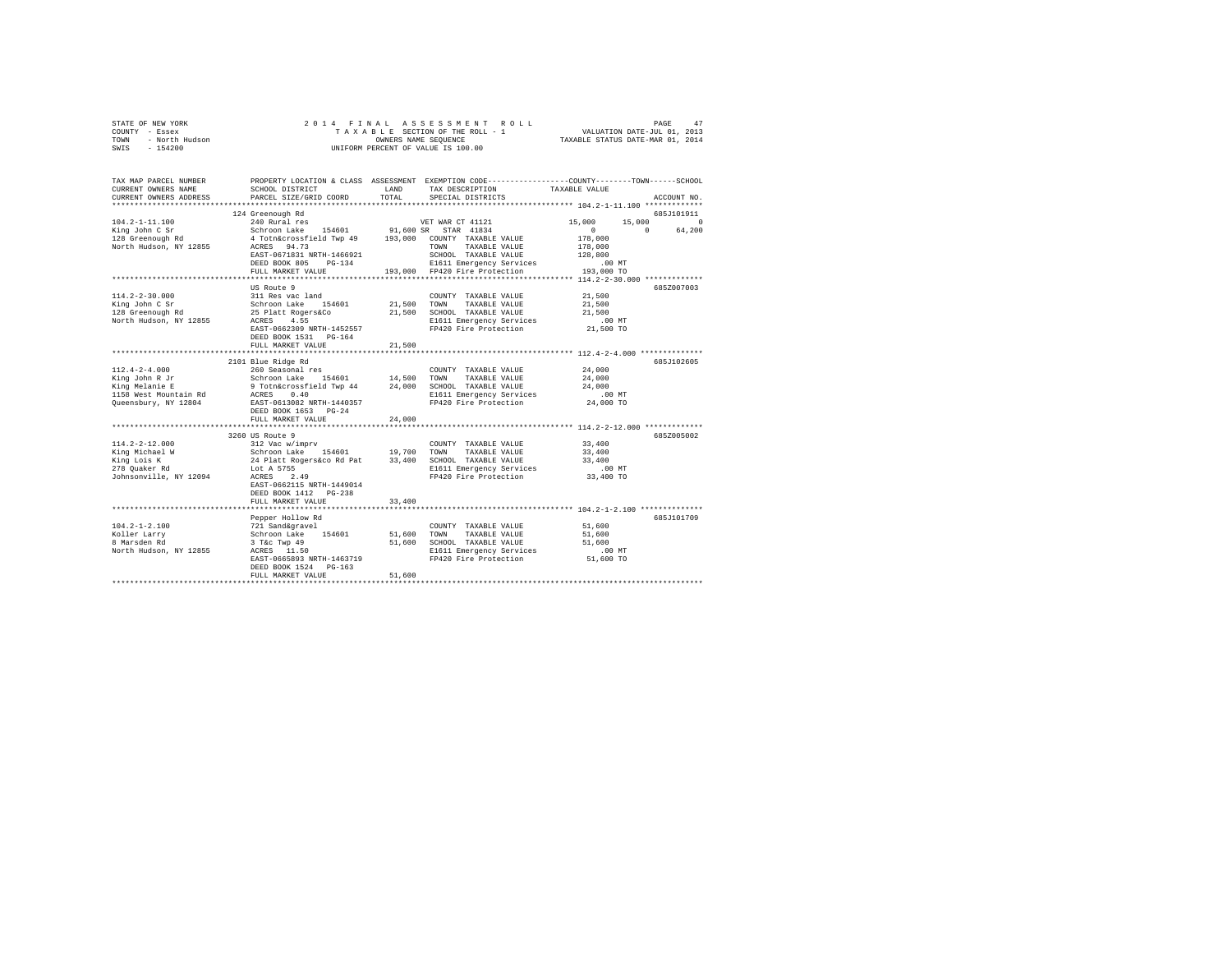| OF NEW YORK<br>? - Essex<br>- North Hudson<br>- 154200<br>STATE OF NEW YORK<br>COUNTY - Essex<br>TOWN<br>SWIS | 2014 FINAL                                             |               | ASSESSMENT ROLL<br>TAXABLE SECTION OF THE ROLL - 1<br>OWNERS NAME SEQUENCE<br>UNIFORM PERCENT OF VALUE IS 100.00                       | VALUATION DATE-JUL 01, 2013<br>TAXABLE STATUS DATE-MAR 01, 2014 | PAGE<br>47         |
|---------------------------------------------------------------------------------------------------------------|--------------------------------------------------------|---------------|----------------------------------------------------------------------------------------------------------------------------------------|-----------------------------------------------------------------|--------------------|
| TAX MAP PARCEL NUMBER<br>CURRENT OWNERS NAME<br>CURRENT OWNERS ADDRESS                                        | SCHOOL DISTRICT<br>PARCEL SIZE/GRID COORD              | LAND<br>TOTAL | PROPERTY LOCATION & CLASS ASSESSMENT EXEMPTION CODE---------------COUNTY-------TOWN-----SCHOOL<br>TAX DESCRIPTION<br>SPECIAL DISTRICTS | TAXABLE VALUE                                                   | ACCOUNT NO.        |
|                                                                                                               | 124 Greenough Rd                                       |               |                                                                                                                                        |                                                                 | 685J101911         |
| $104.2 - 1 - 11.100$                                                                                          | 240 Rural res                                          |               | VET WAR CT 41121                                                                                                                       | 15,000                                                          | 15,000<br>$\sim$ 0 |
| King John C Sr                                                                                                | Schroon Lake 154601                                    |               | 91,600 SR STAR 41834                                                                                                                   | $\sim$ 0                                                        | $\Omega$<br>64,200 |
| 128 Greenough Rd                                                                                              | 4 Totn&crossfield Twp 49 193,000 COUNTY TAXABLE VALUE  |               |                                                                                                                                        | 178,000                                                         |                    |
| North Hudson, NY 12855                                                                                        | ACRES 94.73                                            |               | TOWN TAXABLE VALUE                                                                                                                     | 178,000                                                         |                    |
|                                                                                                               | EAST-0671831 NRTH-1466921<br>DEED BOOK 805 PG-134      |               | SCHOOL TAXABLE VALUE<br>E1611 Emergency Services                                                                                       | 128,800<br>$.00$ MT                                             |                    |
|                                                                                                               | FULL MARKET VALUE                                      |               | 193,000 FP420 Fire Protection                                                                                                          | 193,000 TO                                                      |                    |
|                                                                                                               | ************************                               |               |                                                                                                                                        |                                                                 |                    |
|                                                                                                               | US Route 9                                             |               |                                                                                                                                        |                                                                 | 685Z007003         |
| $114.2 - 2 - 30.000$                                                                                          | 311 Res vac land                                       |               | COUNTY TAXABLE VALUE                                                                                                                   | 21,500                                                          |                    |
| King John C Sr                                                                                                | Schroon Lake 154601                                    | 21,500        | TOWN<br>TAXABLE VALUE                                                                                                                  | 21,500                                                          |                    |
| 128 Greenough Rd                                                                                              | 25 Platt Rogers&Co                                     |               | 21,500 SCHOOL TAXABLE VALUE                                                                                                            | 21,500                                                          |                    |
| North Hudson, NY 12855                                                                                        | ACRES 4.55                                             |               | E1611 Emergency Services                                                                                                               | $.00$ MT                                                        |                    |
|                                                                                                               | EAST-0662309 NRTH-1452557                              |               | FP420 Fire Protection                                                                                                                  | 21,500 TO                                                       |                    |
|                                                                                                               | DEED BOOK 1531 PG-164                                  |               |                                                                                                                                        |                                                                 |                    |
|                                                                                                               | FULL MARKET VALUE<br>********************************* | 21,500        |                                                                                                                                        |                                                                 |                    |
|                                                                                                               | 2101 Blue Ridge Rd                                     |               |                                                                                                                                        |                                                                 | 685J102605         |
| $112.4 - 2 - 4.000$                                                                                           | 260 Seasonal res                                       |               | COUNTY TAXABLE VALUE                                                                                                                   | 24,000                                                          |                    |
| King John R Jr                                                                                                | Schroon Lake 154601                                    | 14,500        | TOWN<br>TAXABLE VALUE                                                                                                                  | 24,000                                                          |                    |
| King Melanie E                                                                                                | 9 Totn&crossfield Twp 44                               | 24,000        | SCHOOL TAXABLE VALUE                                                                                                                   | 24,000                                                          |                    |
| 1158 West Mountain Rd                                                                                         | ACRES 0.40                                             |               | E1611 Emergency Services                                                                                                               | $.00$ MT                                                        |                    |
| Queensbury, NY 12804                                                                                          | EAST-0613082 NRTH-1440357                              |               | FP420 Fire Protection                                                                                                                  | 24,000 TO                                                       |                    |
|                                                                                                               | DEED BOOK 1653 PG-24                                   |               |                                                                                                                                        |                                                                 |                    |
|                                                                                                               | FULL MARKET VALUE                                      | 24,000        |                                                                                                                                        | ************ 114.2-2-12.000 *************                       |                    |
|                                                                                                               | 3260 US Route 9                                        |               |                                                                                                                                        |                                                                 | 685Z005002         |
| $114.2 - 2 - 12.000$                                                                                          | 312 Vac w/imprv                                        |               | COUNTY TAXABLE VALUE                                                                                                                   | 33,400                                                          |                    |
| King Michael W                                                                                                |                                                        | 19,700        | TOWN<br>TAXABLE VALUE                                                                                                                  | 33,400                                                          |                    |
| King Lois K                                                                                                   | Schroon Lake<br>24 Platt Rogers&co Rd Pat              | 33,400        | SCHOOL TAXABLE VALUE                                                                                                                   | 33,400                                                          |                    |
| 278 Quaker Rd                                                                                                 | Lot A 5755                                             |               | E1611 Emergency Services                                                                                                               | $.00$ MT                                                        |                    |
| Johnsonville, NY 12094                                                                                        | ACRES 2.49                                             |               | FP420 Fire Protection                                                                                                                  | 33,400 TO                                                       |                    |
|                                                                                                               | EAST-0662115 NRTH-1449014                              |               |                                                                                                                                        |                                                                 |                    |
|                                                                                                               | DEED BOOK 1412 PG-238                                  |               |                                                                                                                                        |                                                                 |                    |
|                                                                                                               | FULL MARKET VALUE                                      | 33,400        | ****************************** 104.2-1-2.100 **************                                                                            |                                                                 |                    |
|                                                                                                               | Pepper Hollow Rd                                       |               |                                                                                                                                        |                                                                 | 685J101709         |
| $104.2 - 1 - 2.100$                                                                                           | 721 Sand&gravel                                        |               | COUNTY TAXABLE VALUE                                                                                                                   | 51,600                                                          |                    |
|                                                                                                               | Schroon Lake 154601                                    | 51,600        | TOWN<br>TAXABLE VALUE                                                                                                                  | 51,600                                                          |                    |
| Koller Larry<br>8 Marsden Rd                                                                                  | $3$ T&c Twp $49$                                       | 51,600        | SCHOOL TAXABLE VALUE                                                                                                                   | 51,600                                                          |                    |
| North Hudson, NY 12855                                                                                        | ACRES 11.50                                            |               | E1611 Emergency Services                                                                                                               | $.00$ MT                                                        |                    |
|                                                                                                               | EAST-0665893 NRTH-1463719                              |               | FP420 Fire Protection                                                                                                                  | 51,600 TO                                                       |                    |
|                                                                                                               | DEED BOOK 1524 PG-163                                  |               |                                                                                                                                        |                                                                 |                    |
|                                                                                                               | FULL MARKET VALUE                                      | 51,600        |                                                                                                                                        |                                                                 |                    |
|                                                                                                               |                                                        |               |                                                                                                                                        |                                                                 |                    |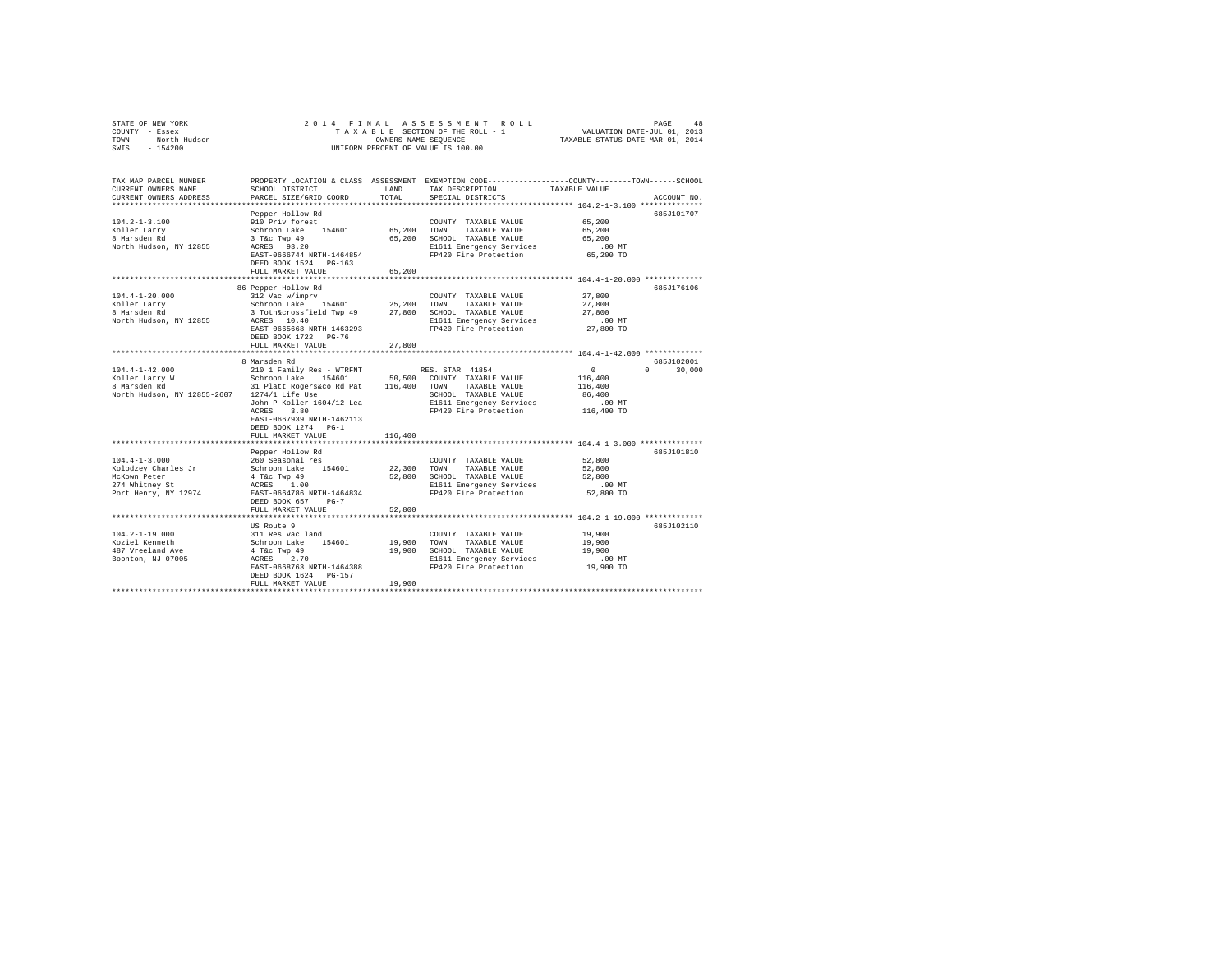| COUNTY - Essex<br>TOWN<br>- North Hudson<br>SWIS<br>$-154200$                                        |                                                                                                                                                                                                  | OWNERS NAME SEQUENCE | TAXABLE SECTION OF THE ROLL - 1<br>UNIFORM PERCENT OF VALUE IS 100.00                                                             | VALUATION DATE-JUL 01, 2013<br>TAXABLE STATUS DATE-MAR 01, 2014                                                                                                      |             |
|------------------------------------------------------------------------------------------------------|--------------------------------------------------------------------------------------------------------------------------------------------------------------------------------------------------|----------------------|-----------------------------------------------------------------------------------------------------------------------------------|----------------------------------------------------------------------------------------------------------------------------------------------------------------------|-------------|
| TAX MAP PARCEL NUMBER<br>CURRENT OWNERS NAME<br>CURRENT OWNERS ADDRESS                               | SCHOOL DISTRICT<br>PARCEL SIZE/GRID COORD                                                                                                                                                        | LAND<br>TOTAL        | TAX DESCRIPTION<br>SPECIAL DISTRICTS                                                                                              | PROPERTY LOCATION & CLASS ASSESSMENT EXEMPTION CODE---------------COUNTY-------TOWN------SCHOOL<br>TAXABLE VALUE<br>******************* 104.2-1-3.100 ************** | ACCOUNT NO. |
| $104.2 - 1 - 3.100$<br>Koller Larry<br>8 Marsden Rd<br>North Hudson, NY 12855                        | Pepper Hollow Rd<br>910 Priv forest<br>Schroon Lake 154601<br>3 T&C Twp 49<br>ACRES 93.20<br>EAST-0666744 NRTH-1464854<br>DEED BOOK 1524 PG-163<br>FULL MARKET VALUE                             | 65,200<br>65,200     | COUNTY TAXABLE VALUE<br>TOWN<br>TAXABLE VALUE<br>65,200 SCHOOL TAXABLE VALUE<br>E1611 Emergency Services<br>FP420 Fire Protection | 65,200<br>65,200<br>65,200<br>$.00$ MT<br>65,200 TO                                                                                                                  | 685J101707  |
|                                                                                                      |                                                                                                                                                                                                  |                      |                                                                                                                                   |                                                                                                                                                                      |             |
| $104.4 - 1 - 20.000$<br>Koller Larry<br>8 Marsden Rd<br>North Hudson, NY 12855                       | 86 Pepper Hollow Rd<br>312 Vac w/imprv<br>Schroon Lake 154601 25,200<br>3 Totn&crossfield Twp 49 27,800<br>ACRES 10.40<br>EAST-0665668 NRTH-1463293<br>DEED BOOK 1722 PG-76<br>FULL MARKET VALUE | 27,800               | COUNTY TAXABLE VALUE<br>TAXABLE VALUE<br>TOWN<br>SCHOOL TAXABLE VALUE<br>E1611 Emergency Services<br>FP420 Fire Protection        | 27,800<br>27,800<br>27,800<br>$.00$ MT<br>27,800 TO                                                                                                                  | 685J176106  |
|                                                                                                      |                                                                                                                                                                                                  |                      |                                                                                                                                   |                                                                                                                                                                      |             |
| $104.4 - 1 - 42.000$<br>North Hudson, NY 12855-2607 1274/1 Life Use                                  | 8 Marsden Rd<br>210 1 Family Res - WTRFNT<br>John P Koller 1604/12-Lea<br>ACRES 3.80<br>EAST-0667939 NRTH-1462113<br>DEED BOOK 1274 PG-1                                                         |                      | RES. STAR 41854<br>TAXABLE VALUE<br>SCHOOL TAXABLE VALUE<br>E1611 Emergency Services<br>FP420 Fire Protection                     | $\sim$ 0<br>$0 \t 30,000$<br>116,400<br>116,400<br>86,400<br>$.00$ MT<br>116,400 TO                                                                                  | 685J102001  |
|                                                                                                      | FULL MARKET VALUE                                                                                                                                                                                | 116,400              |                                                                                                                                   |                                                                                                                                                                      |             |
| $104.4 - 1 - 3.000$<br>Kolodzey Charles Jr<br>McKown Peter<br>274 Whitney St<br>Port Henry, NY 12974 | Pepper Hollow Rd<br>260 Seasonal res<br>Schroon Lake 154601<br>4 T&c Twp 49<br>ACRES 1.00<br>EAST-0664786 NRTH-1464834<br>DEED BOOK 657 PG-7                                                     | 22,300               | COUNTY TAXABLE VALUE<br>TOWN TAXABLE VALUE<br>52,800 SCHOOL TAXABLE VALUE<br>E1611 Emergency Services<br>FP420 Fire Protection    | 52,800<br>52,800<br>52,800<br>$.00$ MT<br>52,800 TO                                                                                                                  | 685J101810  |
|                                                                                                      | FULL MARKET VALUE                                                                                                                                                                                | 52,800               |                                                                                                                                   |                                                                                                                                                                      |             |
|                                                                                                      | ************************                                                                                                                                                                         |                      |                                                                                                                                   |                                                                                                                                                                      |             |
| $104.2 - 1 - 19.000$<br>Koziel Kenneth<br>487 Vreeland Ave<br>Boonton, NJ 07005                      | US Route 9<br>311 Res vac land<br>Schroon Lake 154601<br>4 T&C Twp 49<br>ACRES 2.70<br>EAST-0668763 NRTH-1464388<br>DEED BOOK 1624 PG-157<br>FULL MARKET VALUE                                   | 19,900<br>19,900     | COUNTY TAXABLE VALUE<br>TOWN<br>TAXABLE VALUE<br>19,900 SCHOOL TAXABLE VALUE<br>E1611 Emergency Services<br>FP420 Fire Protection | 19,900<br>19,900<br>19,900<br>$.00$ MT<br>19,900 TO                                                                                                                  | 685J102110  |

STATE OF NEW YORK 2 0 1 4 F I N A L A S S E S S M E N T R O L L PAGE 48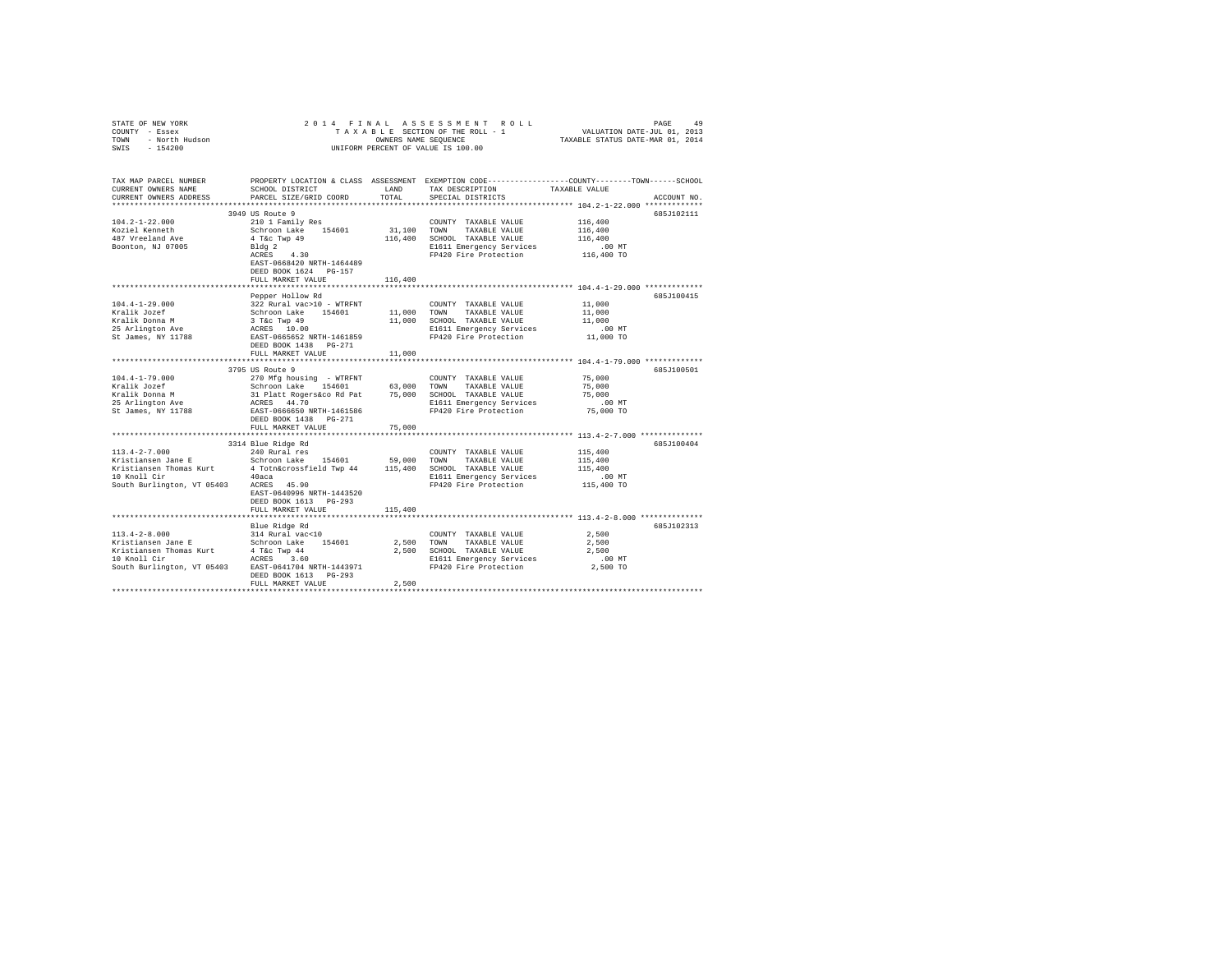| STATE OF NEW YORK<br>COUNTY - Essex<br>TOWN - North Hudson<br>SWIS - 154200 |                                                       |               | 2014 FINAL ASSESSMENT ROLL<br>TAXABLE SECTION OF THE ROLL - 1<br>OWNERS NAME SEQUENCE<br>UNIFORM PERCENT OF VALUE IS 100.00 | PAGE<br>4 <sup>c</sup><br>VALUATION DATE-JUL 01, 2013<br>TAXABLE STATUS DATE-MAR 01, 2014                                       |
|-----------------------------------------------------------------------------|-------------------------------------------------------|---------------|-----------------------------------------------------------------------------------------------------------------------------|---------------------------------------------------------------------------------------------------------------------------------|
| TAX MAP PARCEL NUMBER<br>CURRENT OWNERS NAME<br>CURRENT OWNERS ADDRESS      | SCHOOL DISTRICT<br>PARCEL SIZE/GRID COORD             | LAND<br>TOTAL | TAX DESCRIPTION<br>SPECIAL DISTRICTS                                                                                        | PROPERTY LOCATION & CLASS ASSESSMENT EXEMPTION CODE---------------COUNTY-------TOWN------SCHOOL<br>TAXABLE VALUE<br>ACCOUNT NO. |
| ***********************                                                     |                                                       |               |                                                                                                                             |                                                                                                                                 |
|                                                                             | 3949 US Route 9                                       |               |                                                                                                                             | 685J102111                                                                                                                      |
| $104.2 - 1 - 22.000$                                                        | 210 1 Family Res                                      |               | COUNTY TAXABLE VALUE                                                                                                        | 116,400                                                                                                                         |
| Koziel Kenneth                                                              | Schroon Lake 154601                                   | 31,100 TOWN   | TAXABLE VALUE                                                                                                               | 116,400                                                                                                                         |
| 487 Vreeland Ave                                                            | 4 T&c Twp 49                                          |               | 116,400 SCHOOL TAXABLE VALUE                                                                                                | 116,400                                                                                                                         |
| Boonton, NJ 07005                                                           | Bldg <sub>2</sub><br>ACRES 4.30                       |               | E1611 Emergency Services                                                                                                    | .00 MT                                                                                                                          |
|                                                                             | EAST-0668420 NRTH-1464489                             |               | FP420 Fire Protection                                                                                                       | 116,400 TO                                                                                                                      |
|                                                                             | DEED BOOK 1624 PG-157                                 |               |                                                                                                                             |                                                                                                                                 |
|                                                                             | FULL MARKET VALUE                                     | 116,400       |                                                                                                                             |                                                                                                                                 |
|                                                                             |                                                       |               |                                                                                                                             |                                                                                                                                 |
|                                                                             | Pepper Hollow Rd                                      |               |                                                                                                                             | 685J100415                                                                                                                      |
| $104.4 - 1 - 29.000$                                                        | 322 Rural vac>10 - WTRFNT                             |               | COUNTY TAXABLE VALUE                                                                                                        | 11,000                                                                                                                          |
| Kralik Jozef                                                                | Schroon Lake 154601                                   |               | 11,000 TOWN TAXABLE VALUE                                                                                                   | 11,000                                                                                                                          |
| Kralik Donna M                                                              | 3 T&c Twp 49                                          |               | 11,000 SCHOOL TAXABLE VALUE                                                                                                 | 11,000                                                                                                                          |
| 25 Arlington Ave                                                            | ACRES 10.00                                           |               | E1611 Emergency Services                                                                                                    | $.00$ MT                                                                                                                        |
| St James, NY 11788                                                          | EAST-0665652 NRTH-1461859                             |               | FP420 Fire Protection                                                                                                       | 11,000 TO                                                                                                                       |
|                                                                             | DEED BOOK 1438 PG-271<br>FULL MARKET VALUE            | 11,000        |                                                                                                                             |                                                                                                                                 |
|                                                                             |                                                       |               |                                                                                                                             |                                                                                                                                 |
|                                                                             | 3795 US Route 9                                       |               |                                                                                                                             | 685J100501                                                                                                                      |
| $104.4 - 1 - 79.000$                                                        | 270 Mfg housing - WTRFNT                              |               | COUNTY TAXABLE VALUE                                                                                                        | 75,000                                                                                                                          |
| Kralik Jozef                                                                | Schroon Lake 154601                                   |               | 63,000 TOWN TAXABLE VALUE                                                                                                   | 75,000                                                                                                                          |
| Kralik Donna M                                                              | 31 Platt Rogers&co Rd Pat                             |               | 75,000 SCHOOL TAXABLE VALUE                                                                                                 | 75,000                                                                                                                          |
| 25 Arlington Ave                                                            | ACRES 44.70                                           |               | E1611 Emergency Services                                                                                                    | $.00$ MT                                                                                                                        |
| St James, NY 11788                                                          | EAST-0666650 NRTH-1461586                             |               | FP420 Fire Protection                                                                                                       | 75,000 TO                                                                                                                       |
|                                                                             | DEED BOOK 1438   PG-271                               |               |                                                                                                                             |                                                                                                                                 |
|                                                                             | FULL MARKET VALUE                                     | 75,000        |                                                                                                                             |                                                                                                                                 |
|                                                                             | 3314 Blue Ridge Rd                                    |               |                                                                                                                             | 685J100404                                                                                                                      |
| $113.4 - 2 - 7.000$                                                         | 240 Rural res                                         |               | COUNTY TAXABLE VALUE                                                                                                        | 115,400                                                                                                                         |
| Kristiansen Jane E                                                          | Schroon Lake 154601                                   | 59,000 TOWN   | TAXABLE VALUE                                                                                                               | 115,400                                                                                                                         |
| Kristiansen Thomas Kurt                                                     | 4 Totn&crossfield Twp 44 115,400 SCHOOL TAXABLE VALUE |               |                                                                                                                             | 115,400                                                                                                                         |
|                                                                             |                                                       |               | E1611 Emergency Services                                                                                                    | $.00$ MT                                                                                                                        |
| 40aca<br>South Burlington, VT 05403 ACRES 45.90                             |                                                       |               | FP420 Fire Protection                                                                                                       | 115,400 TO                                                                                                                      |
|                                                                             | EAST-0640996 NRTH-1443520                             |               |                                                                                                                             |                                                                                                                                 |
|                                                                             | DEED BOOK 1613 PG-293                                 |               |                                                                                                                             |                                                                                                                                 |
|                                                                             | FULL MARKET VALUE                                     | 115,400       |                                                                                                                             |                                                                                                                                 |
|                                                                             |                                                       |               |                                                                                                                             |                                                                                                                                 |
| $113.4 - 2 - 8.000$                                                         | Blue Ridge Rd<br>314 Rural vac<10                     |               | COUNTY TAXABLE VALUE                                                                                                        | 685J102313<br>2,500                                                                                                             |
| Kristiansen Jane E                                                          | Schroon Lake 154601                                   |               | 2.500 TOWN<br>TAXABLE VALUE                                                                                                 | 2,500                                                                                                                           |
| Kristiansen Thomas Kurt                                                     | 4 T&c Twp 44                                          |               | 2,500 SCHOOL TAXABLE VALUE                                                                                                  | 2.500                                                                                                                           |
| 10 Knoll Cir                                                                | ACRES 3.60                                            |               | E1611 Emergency Services                                                                                                    | $.00$ MT                                                                                                                        |
| South Burlington, VT 05403 EAST-0641704 NRTH-1443971                        |                                                       |               | FP420 Fire Protection                                                                                                       | 2,500 TO                                                                                                                        |
|                                                                             | DEED BOOK 1613 PG-293                                 |               |                                                                                                                             |                                                                                                                                 |
|                                                                             | FULL MARKET VALUE                                     | 2,500         |                                                                                                                             |                                                                                                                                 |
|                                                                             |                                                       |               |                                                                                                                             |                                                                                                                                 |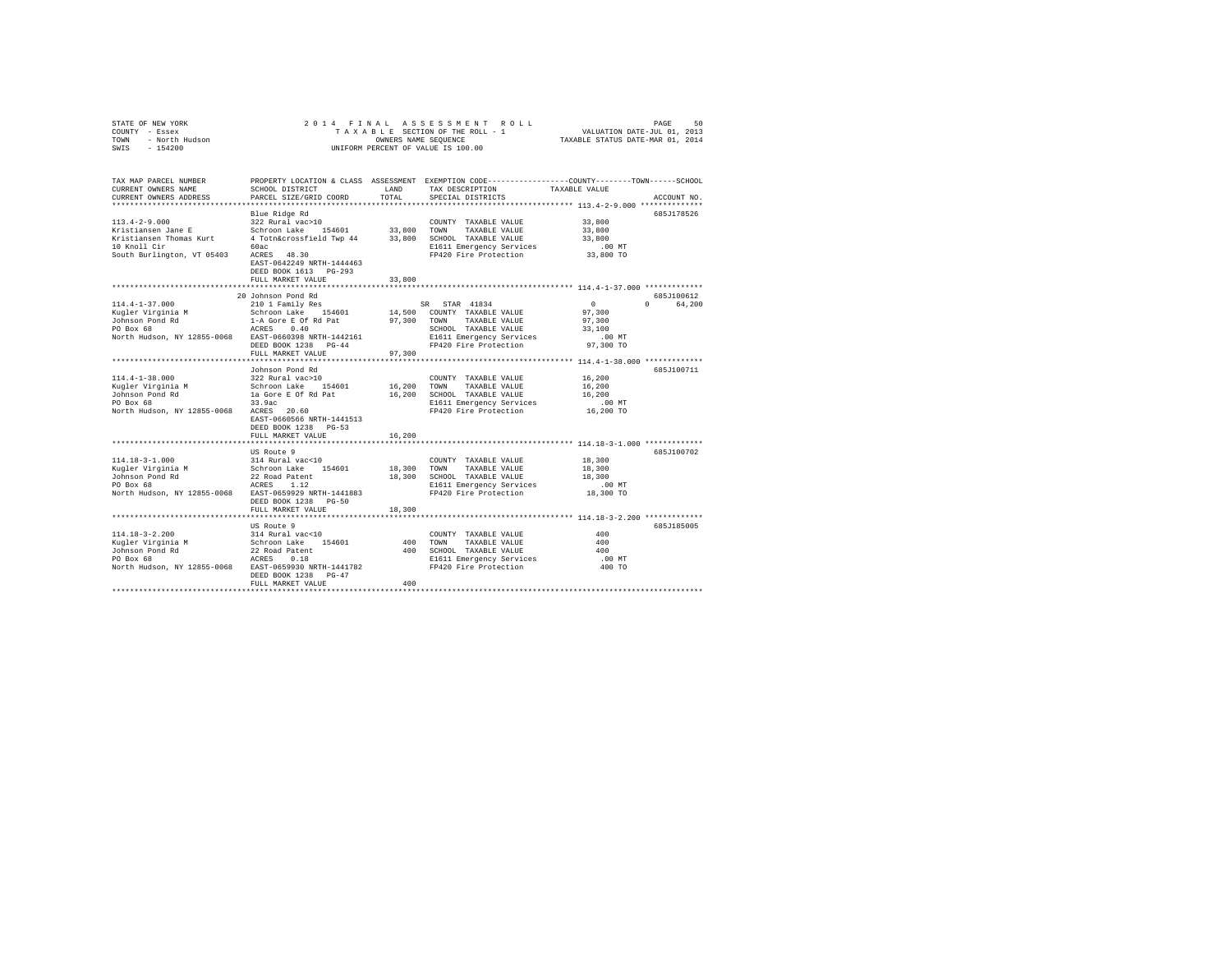|      | STATE OF NEW YORK | 2014 FINAL ASSESSMENT ROLL         | 50<br>PAGE                       |
|------|-------------------|------------------------------------|----------------------------------|
|      | COUNTY - Essex    | TAXABLE SECTION OF THE ROLL - 1    | VALUATION DATE-JUL 01, 2013      |
| TOWN | - North Hudson    | OWNERS NAME SEOUENCE               | TAXABLE STATUS DATE-MAR 01, 2014 |
| SWIS | $-154200$         | UNIFORM PERCENT OF VALUE IS 100.00 |                                  |

| TAX MAP PARCEL NUMBER<br>CURRENT OWNERS NAME                                                                                                | SCHOOL DISTRICT                                                                  | LAND   | PROPERTY LOCATION & CLASS ASSESSMENT EXEMPTION CODE---------------COUNTY-------TOWN------SCHOOL<br>TAX DESCRIPTION | TAXABLE VALUE |                                 |
|---------------------------------------------------------------------------------------------------------------------------------------------|----------------------------------------------------------------------------------|--------|--------------------------------------------------------------------------------------------------------------------|---------------|---------------------------------|
| CURRENT OWNERS ADDRESS                                                                                                                      | PARCEL SIZE/GRID COORD                                                           | TOTAL  | SPECIAL DISTRICTS                                                                                                  |               | ACCOUNT NO.                     |
|                                                                                                                                             |                                                                                  |        |                                                                                                                    |               |                                 |
|                                                                                                                                             | Blue Ridge Rd                                                                    |        |                                                                                                                    |               | 685J178526                      |
| $113.4 - 2 - 9.000$                                                                                                                         | $322$ Rural vac > 10                                                             |        | COUNTY TAXABLE VALUE 33,800                                                                                        |               |                                 |
|                                                                                                                                             |                                                                                  |        |                                                                                                                    | 33,800        |                                 |
|                                                                                                                                             |                                                                                  |        |                                                                                                                    | 33,800        |                                 |
|                                                                                                                                             |                                                                                  |        | E1611 Emergency Services                                                                                           | $.00$ MT      |                                 |
| South Burlington, VT 05403 ACRES 48.30                                                                                                      |                                                                                  |        | FP420 Fire Protection 33,800 TO                                                                                    |               |                                 |
|                                                                                                                                             | EAST-0642249 NRTH-1444463                                                        |        |                                                                                                                    |               |                                 |
|                                                                                                                                             | DEED BOOK 1613 PG-293                                                            |        |                                                                                                                    |               |                                 |
|                                                                                                                                             | FULL MARKET VALUE                                                                | 33,800 |                                                                                                                    |               |                                 |
|                                                                                                                                             |                                                                                  |        |                                                                                                                    |               |                                 |
|                                                                                                                                             | 20 Johnson Pond Rd                                                               |        |                                                                                                                    |               | 685J100612                      |
| 114.4-1-37.000                                                                                                                              | 210 1 Family Res                                                                 |        | SR STAR 41834                                                                                                      | $\sim$ 0      | 64,200<br>$\Omega$ and $\Omega$ |
| Kuqler Virqinia M                                                                                                                           | Schroon Lake 154601                                                              |        | 14.500 COUNTY TAXABLE VALUE                                                                                        | 97,300        |                                 |
| Johnson Pond Rd                                                                                                                             | 1-A Gore E Of Rd Pat $97,300$ TOWN TAXABLE VALUE ACRES 0.40 SCHOOL TAXABLE VALUE |        |                                                                                                                    | 97.300        |                                 |
| PO Box 68                                                                                                                                   |                                                                                  |        |                                                                                                                    | 33,100        |                                 |
| North Hudson, NY 12855-0068 EAST-0660398 NRTH-1442161                                                                                       | DEED BOOK 1238 PG-44                                                             |        | E1611 Emergency Services<br>FP420 Fire Protection                                                                  | $97,300$ TO   |                                 |
|                                                                                                                                             | FULL MARKET VALUE                                                                | 97,300 |                                                                                                                    |               |                                 |
|                                                                                                                                             |                                                                                  |        |                                                                                                                    |               |                                 |
|                                                                                                                                             | Johnson Pond Rd                                                                  |        |                                                                                                                    |               | 685J100711                      |
| 114.4-1-38.000                                                                                                                              | 322 Rural vac>10                                                                 |        | COUNTY TAXABLE VALUE 16,200                                                                                        |               |                                 |
|                                                                                                                                             |                                                                                  |        |                                                                                                                    | 16,200        |                                 |
|                                                                                                                                             |                                                                                  |        |                                                                                                                    | 16,200        |                                 |
|                                                                                                                                             |                                                                                  |        |                                                                                                                    | $.00$ MT      |                                 |
| North Hudson, NY 12855-0068 ACRES 20.60                                                                                                     |                                                                                  |        | FP420 Fire Protection 16,200 TO                                                                                    |               |                                 |
|                                                                                                                                             | EAST-0660566 NRTH-1441513                                                        |        |                                                                                                                    |               |                                 |
|                                                                                                                                             | DEED BOOK 1238 PG-53                                                             |        |                                                                                                                    |               |                                 |
|                                                                                                                                             | FULL MARKET VALUE                                                                | 16,200 |                                                                                                                    |               |                                 |
|                                                                                                                                             |                                                                                  |        |                                                                                                                    |               |                                 |
|                                                                                                                                             | US Route 9                                                                       |        |                                                                                                                    |               | 685J100702                      |
| 114.18-3-1.000                                                                                                                              | 314 Rural vac<10                                                                 |        | COUNTY TAXABLE VALUE                                                                                               | 18,300        |                                 |
| Kugler Virginia M                                                                                                                           | Schroon Lake 154601 18,300 TOWN TAXABLE VALUE                                    |        |                                                                                                                    | 18,300        |                                 |
| Johnson Pond Rd                                                                                                                             | 22 Road Patent<br>ACRES 1.12                                                     |        | 18,300 SCHOOL TAXABLE VALUE                                                                                        | 18,300        |                                 |
| PO Box 68                                                                                                                                   |                                                                                  |        | E1611 Emergency Services                                                                                           | $.00$ MT      |                                 |
| North Hudson, NY 12855-0068 EAST-0659929 NRTH-1441883                                                                                       |                                                                                  |        | FP420 Fire Protection                                                                                              | 18,300 TO     |                                 |
|                                                                                                                                             | DEED BOOK 1238 PG-50                                                             |        |                                                                                                                    |               |                                 |
|                                                                                                                                             | FULL MARKET VALUE                                                                | 18,300 |                                                                                                                    |               |                                 |
|                                                                                                                                             |                                                                                  |        |                                                                                                                    |               |                                 |
|                                                                                                                                             | US Route 9                                                                       |        |                                                                                                                    |               | 685J185005                      |
| 114.18-3-2.200                                                                                                                              | 314 Rural vac<10<br>Schroon Lake 154601                                          |        | COUNTY TAXABLE VALUE                                                                                               | 400           |                                 |
|                                                                                                                                             |                                                                                  |        | 400 TOWN TAXABLE VALUE                                                                                             | 400           |                                 |
| 111.1.0.0 clear of Marian Schroon Lake<br>Eugler Virginia Maria 22 Road Patent<br>- Acker ACRES 1.18<br>- Acker ACRES 11.0.0.0 cm = 1441782 |                                                                                  |        | 400 SCHOOL TAXABLE VALUE                                                                                           | 400           |                                 |
|                                                                                                                                             |                                                                                  |        | E1611 Emergency Services                                                                                           | $.00$ MT      |                                 |
| North Hudson, NY 12855-0068 EAST-0659930 NRTH-1441782                                                                                       | DEED BOOK 1238 PG-47                                                             |        | FP420 Fire Protection                                                                                              | 400 TO        |                                 |
|                                                                                                                                             | FULL MARKET VALUE                                                                | 400    |                                                                                                                    |               |                                 |
|                                                                                                                                             |                                                                                  |        |                                                                                                                    |               |                                 |
|                                                                                                                                             |                                                                                  |        |                                                                                                                    |               |                                 |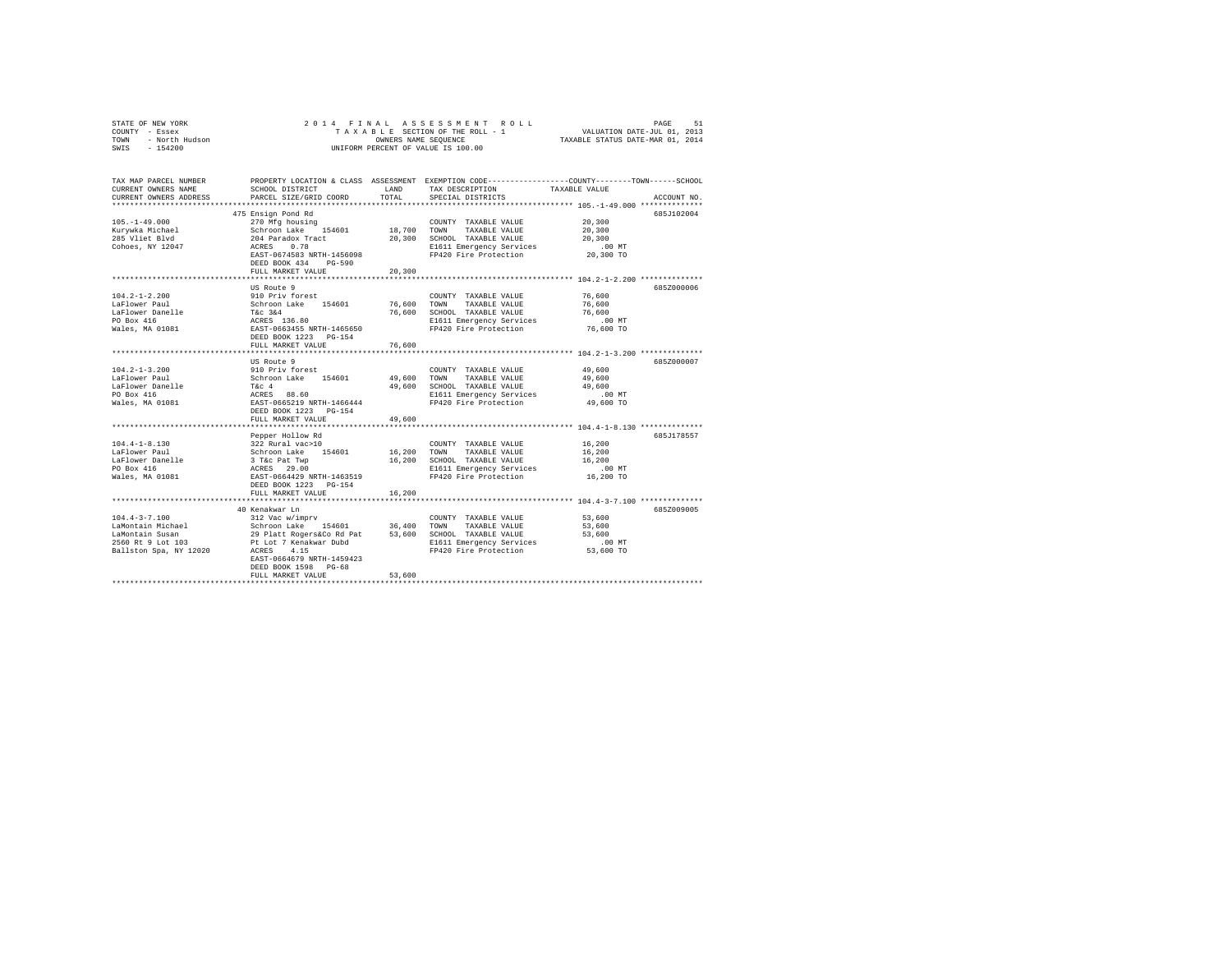| COUNTY - Essex<br>TOWN<br>- North Hudson<br>SWIS - 154200                                                                                                                                                                                                                                                                                                                                                                                                                   |                                                                                                                                                                           | OWNERS NAME SEOUENCE | TAXABLE SECTION OF THE ROLL - 1<br>UNIFORM PERCENT OF VALUE IS 100.00                                                                 | VALUATION DATE-JUL 01, 2013<br>TAXABLE STATUS DATE-MAR 01, 2014                                                                                                                                                 |
|-----------------------------------------------------------------------------------------------------------------------------------------------------------------------------------------------------------------------------------------------------------------------------------------------------------------------------------------------------------------------------------------------------------------------------------------------------------------------------|---------------------------------------------------------------------------------------------------------------------------------------------------------------------------|----------------------|---------------------------------------------------------------------------------------------------------------------------------------|-----------------------------------------------------------------------------------------------------------------------------------------------------------------------------------------------------------------|
| CURRENT OWNERS NAME<br>CURRENT OWNERS ADDRESS                                                                                                                                                                                                                                                                                                                                                                                                                               | SCHOOL DISTRICT<br>PARCEL SIZE/GRID COORD                                                                                                                                 | LAND<br>TOTAL.       | TAX DESCRIPTION<br>SPECIAL DISTRICTS                                                                                                  | TAX MAP PARCEL NUMBER PROPERTY LOCATION & CLASS ASSESSMENT EXEMPTION CODE---------------COUNTY-------TOWN------SCHOOL<br>TAXABLE VALUE<br>ACCOUNT NO.<br>************************* 105.-1-49.000 ************** |
| $105. - 1 - 49.000$<br>Kurywka Michael<br>285 Vliet Blvd<br>Cohoes, NY 12047                                                                                                                                                                                                                                                                                                                                                                                                | 475 Ensign Pond Rd<br>270 Mfg housing<br>Schroon Lake 154601<br>204 Paradox Tract<br>ACRES 0.78<br>EAST-0674583 NRTH-1456098<br>DEED BOOK 434 PG-590<br>FULL MARKET VALUE | 20,300               | COUNTY TAXABLE VALUE<br>18,700 TOWN TAXABLE VALUE<br>20,300 SCHOOL TAXABLE VALUE<br>E1611 Emergency Services<br>FP420 Fire Protection | 685J102004<br>20,300<br>20,300<br>20,300<br>$.00$ MT<br>20,300 TO                                                                                                                                               |
| $104.2 - 1 - 2.200$<br>LaFlower Paul<br>LaFlower Danelle<br>PO Box 416<br>Wales, MA 01081                                                                                                                                                                                                                                                                                                                                                                                   | US Route 9<br>910 Priv forest<br>Schroon Lake 154601<br>T&c 3&4<br>ACRES 136.80<br>EAST-0663455 NRTH-1465650<br>DEED BOOK 1223 PG-154<br>FULL MARKET VALUE                | 76,600               | COUNTY TAXABLE VALUE<br>76,600 TOWN TAXABLE VALUE<br>76,600 SCHOOL TAXABLE VALUE<br>E1611 Emergency Services<br>FP420 Fire Protection | 685Z000006<br>76,600<br>76,600<br>76,600<br>$.00$ MT<br>76,600 TO                                                                                                                                               |
| $104.2 - 1 - 3.200$<br>LaFlower Paul<br>LaFlower Danelle<br>PO Box 416<br>Wales, MA 01081                                                                                                                                                                                                                                                                                                                                                                                   | US Route 9<br>910 Priv forest<br>Schroon Lake 154601<br>T&c 4<br>ACRES 88.60<br>EAST-0665219 NRTH-1466444<br>DEED BOOK 1223 PG-154<br>FULL MARKET VALUE                   | 49,600               | COUNTY TAXABLE VALUE<br>49,600 TOWN TAXABLE VALUE<br>49,600 SCHOOL TAXABLE VALUE<br>E1611 Emergency Services<br>FP420 Fire Protection | 685Z000007<br>49,600<br>49,600<br>49,600<br>$.00$ MT<br>49,600 TO                                                                                                                                               |
| $104.4 - 1 - 8.130$<br>LaFlower Paul<br>LaFlower Danelle<br>PO Box 416<br>Wales, MA 01081                                                                                                                                                                                                                                                                                                                                                                                   | Pepper Hollow Rd<br>322 Rural vac>10<br>Schroon Lake 154601<br>3 T&C Pat Twp<br>ACRES 29.00<br>EAST-0664429 NRTH-1463519<br>DEED BOOK 1223 PG-154<br>FULL MARKET VALUE    | 16,200               | COUNTY TAXABLE VALUE<br>16,200 TOWN TAXABLE VALUE<br>16,200 SCHOOL TAXABLE VALUE<br>E1611 Emergency Services<br>FP420 Fire Protection | 685J178557<br>16,200<br>16,200<br>16,200<br>$.00$ MT<br>16,200 TO                                                                                                                                               |
| $\begin{tabular}{lllllllll} 104.4-3-7.100 & 312 \text{ Vac} & \text{w} & \text{COWITY} & \text{COWITY} & \text{TAXABLE VALUE} \\ \text{LAMontain Susan} & \text{Schron} & \text{Lebforon} & \text{154601} & 36,400 & \text{TAXABLE VALUE} \\ \text{LAMontain Susan} & 29 \text{ Platt RogersC0 Rd Pat} & 53,600 & \text{SCHODL} & \text{TAXABLE VALUE} \\ \text{2560 RL 9 Lot 103} & \text{Pt Lot 7 Kenakwar Dubd} & \text{E1611 Energy} & \text$<br>Ballston Spa, NY 12020 | 40 Kenakwar Ln<br>ACRES 4.15<br>EAST-0664679 NRTH-1459423<br>DEED BOOK 1598 PG-68<br>FULL MARKET VALUE                                                                    | 53,600               | E1611 Emergency Services<br>FP420 Fire Protection                                                                                     | 685Z009005<br>53,600<br>53,600<br>53,600<br>.00 MT<br>53,600 TO                                                                                                                                                 |

STATE OF NEW YORK 2 0 1 4 F I N A L A S S E S S M E N T R O L L PAGE 51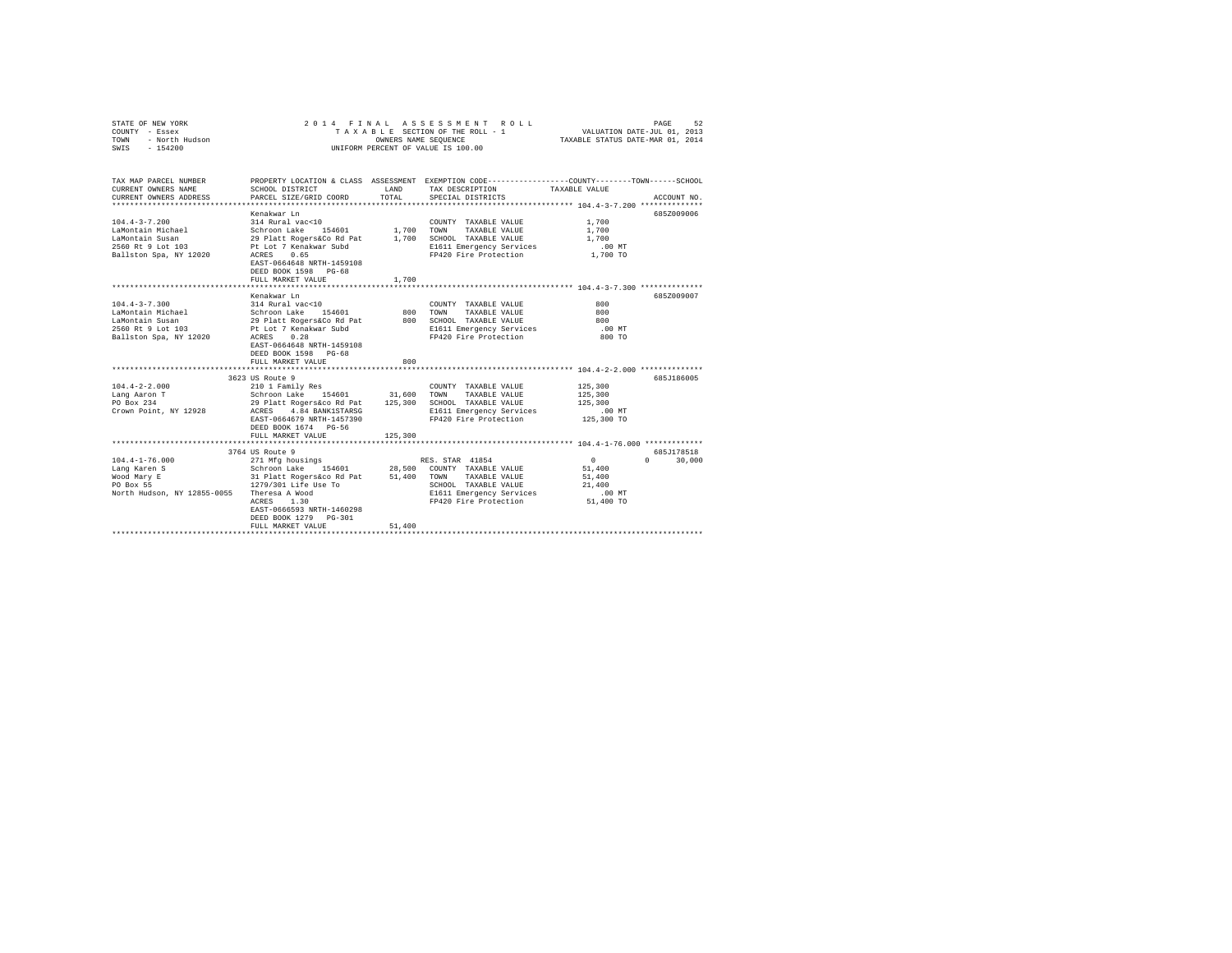| STATE OF NEW YORK<br>COUNTY - Essex<br>TOWN<br>- North Hudson<br>$-154200$<br>SWIS                             |                                                                                                                                                                                                                                                                | OWNERS NAME SEQUENCE | 2014 FINAL ASSESSMENT ROLL<br>TAXABLE SECTION OF THE ROLL - 1<br>UNIFORM PERCENT OF VALUE IS 100.00                            | VALUATION DATE-JUL 01, 2013<br>TAXABLE STATUS DATE-MAR 01, 2014 | PAGE<br>52                  |
|----------------------------------------------------------------------------------------------------------------|----------------------------------------------------------------------------------------------------------------------------------------------------------------------------------------------------------------------------------------------------------------|----------------------|--------------------------------------------------------------------------------------------------------------------------------|-----------------------------------------------------------------|-----------------------------|
| TAX MAP PARCEL NUMBER<br>CURRENT OWNERS NAME<br>CURRENT OWNERS ADDRESS                                         | PROPERTY LOCATION & CLASS ASSESSMENT EXEMPTION CODE---------------COUNTY-------TOWN-----SCHOOL<br>SCHOOL DISTRICT<br>PARCEL SIZE/GRID COORD                                                                                                                    | LAND<br>TOTAL        | TAX DESCRIPTION TAXABLE VALUE<br>SPECIAL DISTRICTS                                                                             |                                                                 | ACCOUNT NO.                 |
|                                                                                                                |                                                                                                                                                                                                                                                                |                      |                                                                                                                                |                                                                 |                             |
| $104.4 - 3 - 7.200$<br>LaMontain Michael<br>LaMontain Susan<br>2560 Rt 9 Lot 103<br>Ballston Spa, NY 12020     | Kenakwar Ln<br>314 Rural vac<10<br>Schroon Lake 154601 1,700 TOWN TAXABLE VALUE<br>29 Platt Rogers&Co Rd Pat 1,700 SCHOOL TAXABLE VALUE<br>Pt Lot 7 Kenakwar Subd<br>ACRES 0.65<br>EAST-0664648 NRTH-1459108<br>DEED BOOK 1598 PG-68<br>FULL MARKET VALUE      | 1,700                | COUNTY TAXABLE VALUE<br>E1611 Emergency Services<br>FP420 Fire Protection                                                      | 1,700<br>1,700<br>1,700<br>$.00$ MT<br>1,700 TO                 | 685Z009006                  |
|                                                                                                                |                                                                                                                                                                                                                                                                |                      |                                                                                                                                |                                                                 |                             |
| $104.4 - 3 - 7.300$<br>LaMontain Michael<br>LaMontain Susan<br>2560 Rt 9 Lot 103<br>Ballston Spa, NY 12020     | Kenakwar Ln<br>314 Rural vac<10<br>Schroon Lake 154601<br>29 Platt Rogers&Co Rd Pat<br>Pt Lot 7 Kenakwar Subd<br>ACRES 0.28<br>EAST-0664648 NRTH-1459108<br>DEED BOOK 1598 PG-68<br>FULL MARKET VALUE                                                          | 800<br>800           | COUNTY TAXABLE VALUE<br>TOWN<br>TAXABLE VALUE<br>800 SCHOOL TAXABLE VALUE<br>E1611 Emergency Services<br>FP420 Fire Protection | 800<br>800<br>800<br>.00 MT<br>800 TO                           | 685Z009007                  |
|                                                                                                                | 3623 US Route 9                                                                                                                                                                                                                                                |                      |                                                                                                                                |                                                                 | 685J186005                  |
| $104.4 - 2 - 2.000$<br>Lang Aaron T<br>PO Box 234<br>Crown Point, NY 12928                                     | 210 1 Family Res<br>Schroon Lake 154601 31,600 TOWN TAXABLE VALUE<br>29 Platt Rogers&co Rd Pat 125,300 SCHOOL TAXABLE VALUE<br>ACRES 4.84 BANK1STARSG<br>EAST-0664679 NRTH-1457390<br>DEED BOOK 1674 PG-56<br>FULL MARKET VALUE                                | 125,300              | COUNTY TAXABLE VALUE<br>E1611 Emergency Services<br>FP420 Fire Protection                                                      | 125,300<br>125,300<br>125,300<br>$.00$ MT<br>125,300 TO         |                             |
|                                                                                                                | ***********************                                                                                                                                                                                                                                        |                      | **************************** 104.4-1-76.000 *************                                                                      |                                                                 |                             |
| $104.4 - 1 - 76.000$<br>Lang Karen S<br>Wood Mary E<br>PO Box 55<br>North Hudson, NY 12855-0055 Theresa A Wood | 3764 US Route 9<br>271 Mfg housings<br>Schroon Lake 154601 28.500 COUNTY TAXABLE VALUE<br>31 Platt Rogers&co Rd Pat 51,400 TOWN TAXABLE VALUE<br>1279/301 Life Use To<br>ACRES 1.30<br>EAST-0666593 NRTH-1460298<br>DEED BOOK 1279 PG-301<br>FULL MARKET VALUE | 51,400               | RES. STAR 41854<br>SCHOOL TAXABLE VALUE<br>E1611 Emergency Services<br>FP420 Fire Protection 51,400 TO                         | $\sim$ 0<br>51,400<br>51,400<br>21,400<br>$.00$ MT              | 685J178518<br>$0 \t 30.000$ |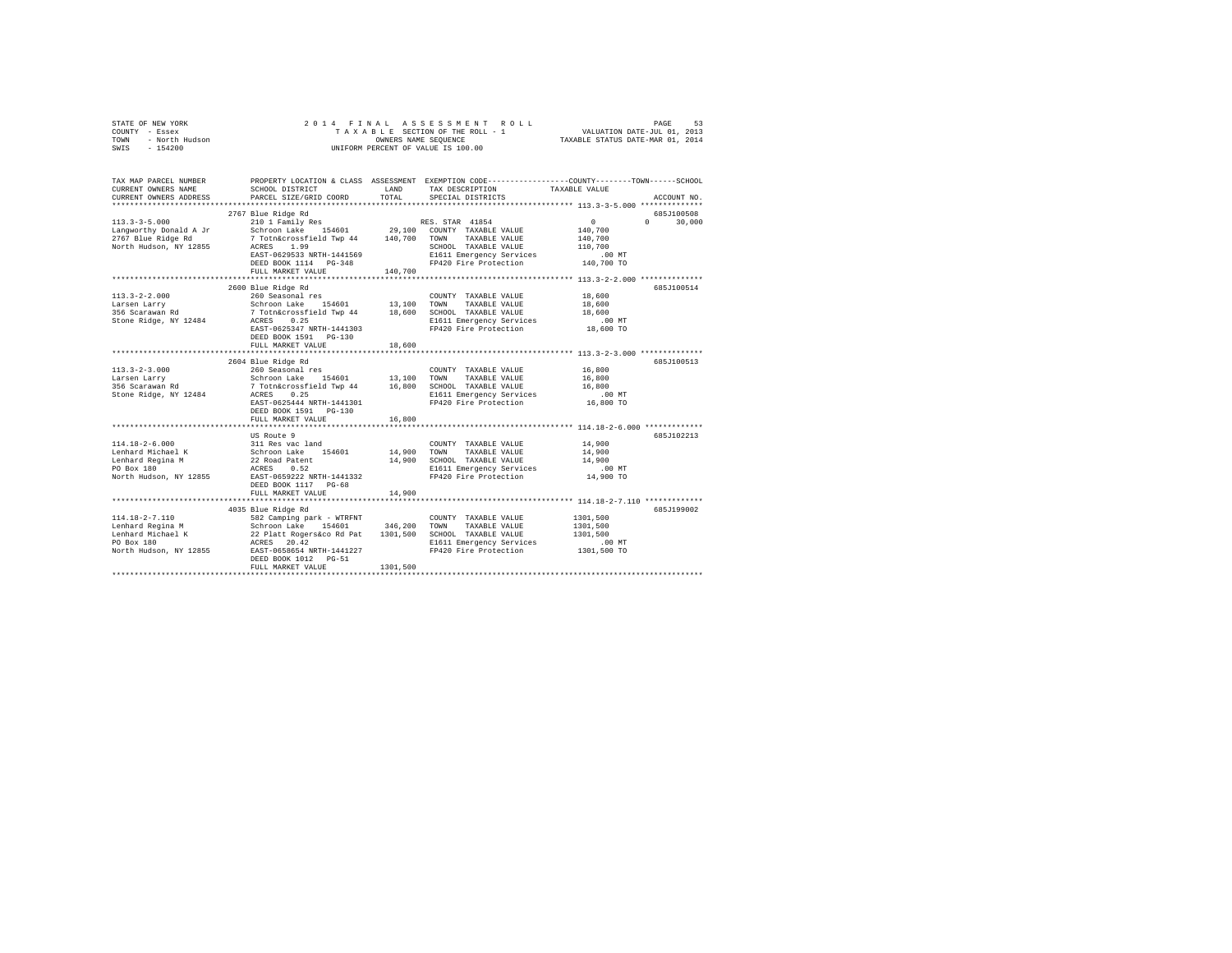| STATE OF NEW YORK<br>COUNTY - Essex<br>- North Hudson<br>TOWN<br>$-154200$<br>SWIS | 2014 FINAL                                                                                            |               | UNIFORM PERCENT OF VALUE IS 100.00                                                                                                     |                      |                             |
|------------------------------------------------------------------------------------|-------------------------------------------------------------------------------------------------------|---------------|----------------------------------------------------------------------------------------------------------------------------------------|----------------------|-----------------------------|
| TAX MAP PARCEL NUMBER<br>CURRENT OWNERS NAME<br>CURRENT OWNERS ADDRESS             | SCHOOL DISTRICT<br>PARCEL SIZE/GRID COORD                                                             | LAND<br>TOTAL | PROPERTY LOCATION & CLASS ASSESSMENT EXEMPTION CODE---------------COUNTY-------TOWN-----SCHOOL<br>TAX DESCRIPTION<br>SPECIAL DISTRICTS | TAXABLE VALUE        | ACCOUNT NO.                 |
|                                                                                    |                                                                                                       |               |                                                                                                                                        |                      |                             |
| $113.3 - 3 - 5.000$                                                                | 2767 Blue Ridge Rd<br>210 1 Family Res                                                                |               | RES. STAR 41854                                                                                                                        | $\sim$ 0             | 685J100508<br>$0 \t 30.000$ |
| Langworthy Donald A Jr                                                             |                                                                                                       |               |                                                                                                                                        | 140,700              |                             |
| 2767 Blue Ridge Rd                                                                 | Schroon Lake 154601 29,100 COUNTY TAXABLE VALUE 7 Totn&crossfield Twp 44 140,700 TOWN TAXABLE VALUE   |               |                                                                                                                                        | 140,700              |                             |
| North Hudson, NY 12855                                                             | ACRES 1.99                                                                                            |               | SCHOOL TAXABLE VALUE                                                                                                                   | 110,700              |                             |
|                                                                                    | EAST-0629533 NRTH-1441569                                                                             |               |                                                                                                                                        |                      |                             |
|                                                                                    | DEED BOOK 1114 PG-348                                                                                 |               | E1611 Emergency Services .00 MT<br>FP420 Fire Protection .00 MT                                                                        |                      |                             |
|                                                                                    | FULL MARKET VALUE                                                                                     | 140,700       |                                                                                                                                        |                      |                             |
|                                                                                    |                                                                                                       |               |                                                                                                                                        |                      |                             |
| $113.3 - 2 - 2.000$                                                                | 2600 Blue Ridge Rd<br>260 Seasonal res                                                                |               | COUNTY TAXABLE VALUE                                                                                                                   | 18,600               | 685J100514                  |
| Larsen Larry                                                                       | Schroon Lake 154601                                                                                   |               | 13,100 TOWN TAXABLE VALUE                                                                                                              | 18,600               |                             |
| 356 Scarawan Rd                                                                    | 7 Totn&crossfield Twp 44 18,600 SCHOOL TAXABLE VALUE                                                  |               |                                                                                                                                        | 18,600               |                             |
| Stone Ridge, NY 12484                                                              | ACRES 0.25                                                                                            |               | E1611 Emergency Services                                                                                                               | $.00$ MT             |                             |
|                                                                                    | EAST-0625347 NRTH-1441303                                                                             |               | FP420 Fire Protection                                                                                                                  | 18,600 TO            |                             |
|                                                                                    | DEED BOOK 1591 PG-130                                                                                 |               |                                                                                                                                        |                      |                             |
|                                                                                    | FULL MARKET VALUE                                                                                     | 18,600        |                                                                                                                                        |                      |                             |
|                                                                                    |                                                                                                       |               |                                                                                                                                        |                      | 685J100513                  |
| $113.3 - 2 - 3.000$                                                                | 2604 Blue Ridge Rd<br>260 Seasonal res                                                                |               | COUNTY TAXABLE VALUE                                                                                                                   | 16,800               |                             |
| Larsen Larry                                                                       |                                                                                                       |               |                                                                                                                                        | 16,800               |                             |
| 356 Scarawan Rd                                                                    | Schroon Lake 154601 13,100 TOWN TAXABLE VALUE<br>7 Totn&crossfield Twp 44 16,800 SCHOOL TAXABLE VALUE |               |                                                                                                                                        | 16,800               |                             |
| Stone Ridge, NY 12484                                                              | ACRES 0.25                                                                                            |               | E1611 Emergency Services                                                                                                               | $.00$ MT             |                             |
|                                                                                    | EAST-0625444 NRTH-1441301<br>DEED BOOK 1591    PG-130                                                 |               | FP420 Fire Protection                                                                                                                  | 16,800 TO            |                             |
|                                                                                    | FULL MARKET VALUE                                                                                     | 16,800        |                                                                                                                                        |                      |                             |
|                                                                                    |                                                                                                       |               |                                                                                                                                        |                      |                             |
|                                                                                    | US Route 9                                                                                            |               |                                                                                                                                        |                      | 685J102213                  |
| 114.18-2-6.000<br>Lenhard Michael K                                                |                                                                                                       | 14,900        | COUNTY TAXABLE VALUE<br>TOWN<br>TAXABLE VALUE                                                                                          | 14,900<br>14,900     |                             |
| Lenhard Regina M                                                                   | 311 Res vac land<br>Schroon Lake 154601<br>22 Road Patent                                             |               | 14,900 SCHOOL TAXABLE VALUE                                                                                                            | 14,900               |                             |
| PO Box 180                                                                         | ACRES 0.52                                                                                            |               | E1611 Emergency Services                                                                                                               | $.00$ MT             |                             |
| North Hudson, NY 12855                                                             | EAST-0659222 NRTH-1441332                                                                             |               | FP420 Fire Protection                                                                                                                  | 14,900 TO            |                             |
|                                                                                    | DEED BOOK 1117 PG-68                                                                                  |               |                                                                                                                                        |                      |                             |
|                                                                                    | FULL MARKET VALUE                                                                                     | 14,900        |                                                                                                                                        |                      |                             |
|                                                                                    |                                                                                                       |               |                                                                                                                                        |                      |                             |
|                                                                                    | 4035 Blue Ridge Rd                                                                                    |               |                                                                                                                                        |                      | 685J199002                  |
| $114.18 - 2 - 7.110$                                                               | 582 Camping park - WTRFNT                                                                             |               | COUNTY TAXABLE VALUE                                                                                                                   | 1301,500<br>1301,500 |                             |
|                                                                                    |                                                                                                       |               |                                                                                                                                        | 1301,500             |                             |
| PO Box 180                                                                         | ACRES 20.42                                                                                           |               | E1611 Emergency Services                                                                                                               | .00 MT               |                             |
| North Hudson, NY 12855 EAST-0658654 NRTH-1441227                                   |                                                                                                       |               | FP420 Fire Protection                                                                                                                  | 1301,500 TO          |                             |
|                                                                                    | DEED BOOK 1012 PG-51                                                                                  |               |                                                                                                                                        |                      |                             |
|                                                                                    | FULL MARKET VALUE                                                                                     | 1301,500      |                                                                                                                                        |                      |                             |
|                                                                                    |                                                                                                       |               |                                                                                                                                        |                      |                             |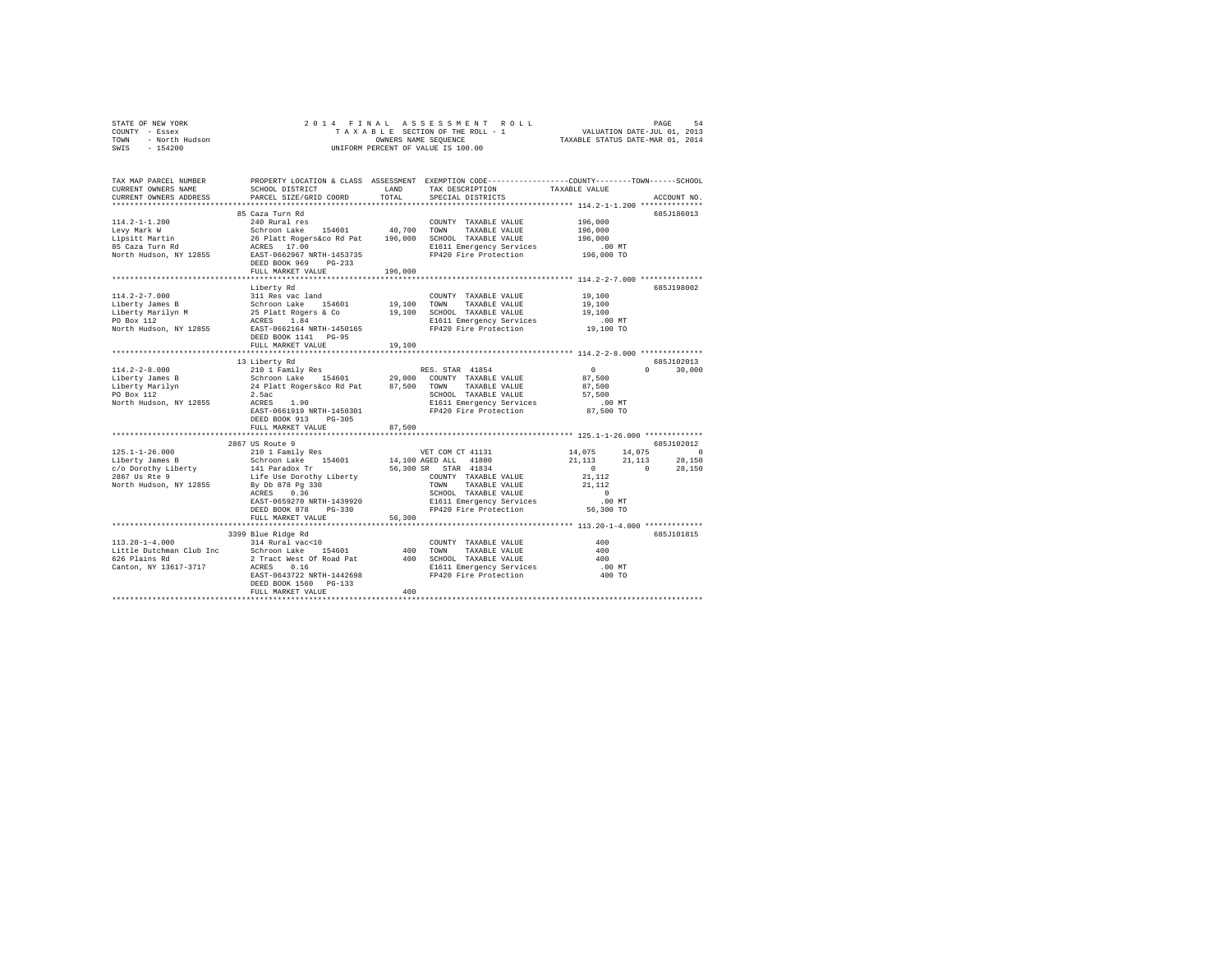|                        | $\begin{array}{cccccccccccccccccc} \texttt{STARTE OF NEW VORE} & \texttt{DRSE} & \texttt{ORNE} & \texttt{PAGE} & \texttt{S4} & \texttt{S4} & \texttt{S5} & \texttt{S6} & \texttt{S7} & \texttt{S8} & \texttt{S8} & \texttt{S9} & \texttt{S0} & \texttt{S1} & \texttt{S1} & \texttt{S2} & \texttt{S3} & \texttt{S4} & \texttt{S4} & \texttt{S5} & \texttt{S6} & \texttt{S7} & \texttt{S8} & \texttt{S8} & \texttt{S9} & \texttt{$ |         |                                                                    |                                                                                                                                                                       |               |
|------------------------|----------------------------------------------------------------------------------------------------------------------------------------------------------------------------------------------------------------------------------------------------------------------------------------------------------------------------------------------------------------------------------------------------------------------------------|---------|--------------------------------------------------------------------|-----------------------------------------------------------------------------------------------------------------------------------------------------------------------|---------------|
|                        |                                                                                                                                                                                                                                                                                                                                                                                                                                  |         |                                                                    |                                                                                                                                                                       |               |
|                        |                                                                                                                                                                                                                                                                                                                                                                                                                                  |         |                                                                    |                                                                                                                                                                       |               |
| CURRENT OWNERS NAME    | TAX MAP PARCEL NUMBER PROPERTY LOCATION & CLASS ASSESSMENT EXEMPTION CODE----------------COUNTY-------TOWN------SCHOOL<br>SCHOOL DISTRICT LAND                                                                                                                                                                                                                                                                                   |         | TAX DESCRIPTION                                                    | TAXABLE VALUE                                                                                                                                                         |               |
| CURRENT OWNERS ADDRESS | PARCEL SIZE/GRID COORD                                                                                                                                                                                                                                                                                                                                                                                                           | TOTAL   | SPECIAL DISTRICTS                                                  |                                                                                                                                                                       | ACCOUNT NO.   |
|                        |                                                                                                                                                                                                                                                                                                                                                                                                                                  |         |                                                                    |                                                                                                                                                                       |               |
|                        | 85 Caza Turn Rd                                                                                                                                                                                                                                                                                                                                                                                                                  |         |                                                                    |                                                                                                                                                                       | 685J186013    |
|                        |                                                                                                                                                                                                                                                                                                                                                                                                                                  |         |                                                                    | 196,000                                                                                                                                                               |               |
|                        |                                                                                                                                                                                                                                                                                                                                                                                                                                  |         |                                                                    | 196,000                                                                                                                                                               |               |
|                        |                                                                                                                                                                                                                                                                                                                                                                                                                                  |         |                                                                    | 196,000                                                                                                                                                               |               |
|                        |                                                                                                                                                                                                                                                                                                                                                                                                                                  |         |                                                                    |                                                                                                                                                                       |               |
| North Hudson, NY 12855 | ACRES 17.00 MT E1611 Emergency Services .00 MT<br>EAST-0662967 NRTH-1453735 FP420 Fire Protection 196,000 TO                                                                                                                                                                                                                                                                                                                     |         |                                                                    |                                                                                                                                                                       |               |
|                        | DEED BOOK 969 PG-233                                                                                                                                                                                                                                                                                                                                                                                                             |         |                                                                    |                                                                                                                                                                       |               |
|                        | FULL MARKET VALUE                                                                                                                                                                                                                                                                                                                                                                                                                | 196,000 |                                                                    |                                                                                                                                                                       |               |
|                        |                                                                                                                                                                                                                                                                                                                                                                                                                                  |         |                                                                    |                                                                                                                                                                       |               |
|                        | Liberty Rd                                                                                                                                                                                                                                                                                                                                                                                                                       |         |                                                                    |                                                                                                                                                                       | 685J198002    |
|                        |                                                                                                                                                                                                                                                                                                                                                                                                                                  |         |                                                                    |                                                                                                                                                                       |               |
|                        |                                                                                                                                                                                                                                                                                                                                                                                                                                  |         |                                                                    |                                                                                                                                                                       |               |
|                        |                                                                                                                                                                                                                                                                                                                                                                                                                                  |         |                                                                    |                                                                                                                                                                       |               |
|                        |                                                                                                                                                                                                                                                                                                                                                                                                                                  |         |                                                                    |                                                                                                                                                                       |               |
|                        | DEED BOOK 1141 PG-95                                                                                                                                                                                                                                                                                                                                                                                                             |         |                                                                    |                                                                                                                                                                       |               |
|                        | FULL MARKET VALUE                                                                                                                                                                                                                                                                                                                                                                                                                | 19,100  |                                                                    |                                                                                                                                                                       |               |
|                        | 13 Liberty Rd                                                                                                                                                                                                                                                                                                                                                                                                                    |         |                                                                    |                                                                                                                                                                       | 685J102013    |
|                        |                                                                                                                                                                                                                                                                                                                                                                                                                                  |         | RES. STAR 41854                                                    | $\sim$ 0                                                                                                                                                              | $0 \t 30,000$ |
|                        |                                                                                                                                                                                                                                                                                                                                                                                                                                  |         |                                                                    | 87,500                                                                                                                                                                |               |
|                        |                                                                                                                                                                                                                                                                                                                                                                                                                                  |         |                                                                    | 87,500                                                                                                                                                                |               |
|                        |                                                                                                                                                                                                                                                                                                                                                                                                                                  |         | SCHOOL TAXABLE VALUE                                               | 57,500                                                                                                                                                                |               |
|                        |                                                                                                                                                                                                                                                                                                                                                                                                                                  |         |                                                                    |                                                                                                                                                                       |               |
|                        |                                                                                                                                                                                                                                                                                                                                                                                                                                  |         | E1611 Emergency Services .00 MT<br>FP420 Fire Protection 87,500 TO |                                                                                                                                                                       |               |
|                        | DEED BOOK 913 PG-305                                                                                                                                                                                                                                                                                                                                                                                                             |         |                                                                    |                                                                                                                                                                       |               |
|                        | FULL MARKET VALUE                                                                                                                                                                                                                                                                                                                                                                                                                | 87,500  |                                                                    |                                                                                                                                                                       |               |
|                        |                                                                                                                                                                                                                                                                                                                                                                                                                                  |         |                                                                    |                                                                                                                                                                       |               |
|                        | 2867 US Route 9                                                                                                                                                                                                                                                                                                                                                                                                                  |         |                                                                    |                                                                                                                                                                       | 685J102012    |
|                        |                                                                                                                                                                                                                                                                                                                                                                                                                                  |         | VET COM CT 41131                                                   |                                                                                                                                                                       |               |
|                        |                                                                                                                                                                                                                                                                                                                                                                                                                                  |         |                                                                    | $\begin{array}{cccc} 14\,, 075 & \quad & 14\,, 075 & \quad & 0 \\ 21\,, 113 & \quad & 21\,, 113 & \quad & 28\,, 150 \\ 0 & \quad & 0 & \quad & 28\,, 150 \end{array}$ |               |
|                        |                                                                                                                                                                                                                                                                                                                                                                                                                                  |         |                                                                    |                                                                                                                                                                       |               |
|                        |                                                                                                                                                                                                                                                                                                                                                                                                                                  |         |                                                                    | 21,112                                                                                                                                                                |               |
|                        |                                                                                                                                                                                                                                                                                                                                                                                                                                  |         |                                                                    | 21,112                                                                                                                                                                |               |
|                        | EAST-0659270 NRTH-1439920                                                                                                                                                                                                                                                                                                                                                                                                        |         |                                                                    |                                                                                                                                                                       |               |
|                        | DEED BOOK 878 PG-330                                                                                                                                                                                                                                                                                                                                                                                                             |         |                                                                    |                                                                                                                                                                       |               |
|                        | FULL MARKET VALUE                                                                                                                                                                                                                                                                                                                                                                                                                | 56,300  |                                                                    |                                                                                                                                                                       |               |
|                        |                                                                                                                                                                                                                                                                                                                                                                                                                                  |         |                                                                    |                                                                                                                                                                       |               |
|                        | 3399 Blue Ridge Rd                                                                                                                                                                                                                                                                                                                                                                                                               |         |                                                                    |                                                                                                                                                                       | 685J101815    |
|                        | $113.20 - 1 - 4.000$ 314 Rural vac<10                                                                                                                                                                                                                                                                                                                                                                                            |         | COUNTY TAXABLE VALUE 400                                           |                                                                                                                                                                       |               |
|                        |                                                                                                                                                                                                                                                                                                                                                                                                                                  |         |                                                                    | 400                                                                                                                                                                   |               |
|                        |                                                                                                                                                                                                                                                                                                                                                                                                                                  |         |                                                                    | 400                                                                                                                                                                   |               |
|                        |                                                                                                                                                                                                                                                                                                                                                                                                                                  |         |                                                                    |                                                                                                                                                                       |               |
|                        |                                                                                                                                                                                                                                                                                                                                                                                                                                  |         |                                                                    | .00 MT<br>400 TO                                                                                                                                                      |               |
|                        | DEED BOOK 1560 PG-133                                                                                                                                                                                                                                                                                                                                                                                                            |         |                                                                    |                                                                                                                                                                       |               |
|                        | FULL MARKET VALUE                                                                                                                                                                                                                                                                                                                                                                                                                | 400     |                                                                    |                                                                                                                                                                       |               |
|                        |                                                                                                                                                                                                                                                                                                                                                                                                                                  |         |                                                                    |                                                                                                                                                                       |               |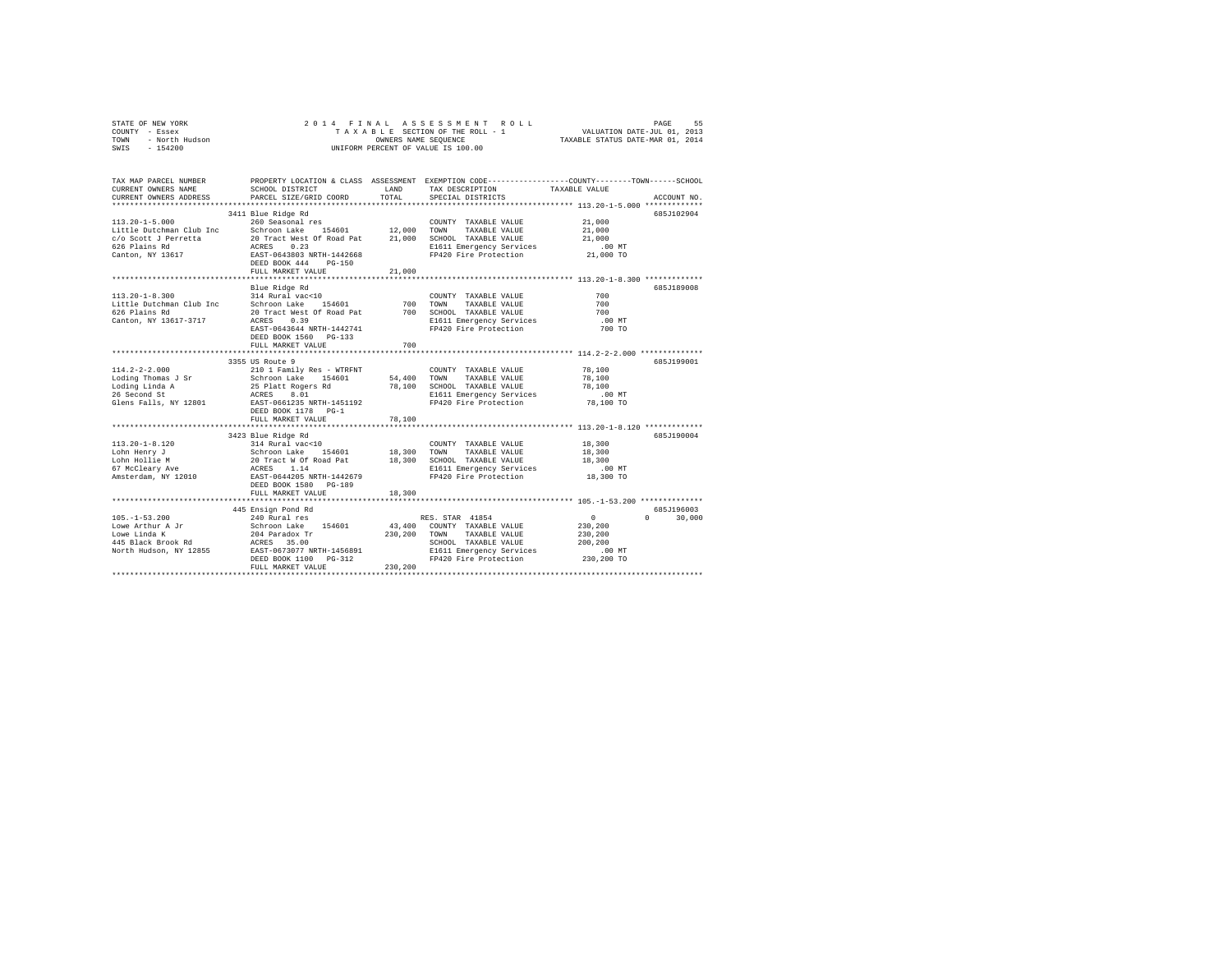|      | STATE OF NEW YORK |  |  | 2014 FINAL ASSESSMENT ROLL         | PAGE                             | 55 |
|------|-------------------|--|--|------------------------------------|----------------------------------|----|
|      | COUNTY - Essex    |  |  | TAXABLE SECTION OF THE ROLL - 1    | VALUATION DATE-JUL 01, 2013      |    |
| TOWN | - North Hudson    |  |  | OWNERS NAME SEOUENCE               | TAXABLE STATUS DATE-MAR 01, 2014 |    |
| SWIS | - 154200          |  |  | UNIFORM PERCENT OF VALUE IS 100.00 |                                  |    |

| TAX MAP PARCEL NUMBER<br>CURRENT OWNERS NAME<br>CURRENT OWNERS ADDRESS | SCHOOL DISTRICT<br>PARCEL SIZE/GRID COORD                                                                                                                                                                                                        | LAND<br>TOTAL | TAX DESCRIPTION<br>SPECIAL DISTRICTS               | PROPERTY LOCATION & CLASS ASSESSMENT EXEMPTION CODE----------------COUNTY-------TOWN------SCHOOL<br>TAXABLE VALUE<br>ACCOUNT NO. |
|------------------------------------------------------------------------|--------------------------------------------------------------------------------------------------------------------------------------------------------------------------------------------------------------------------------------------------|---------------|----------------------------------------------------|----------------------------------------------------------------------------------------------------------------------------------|
|                                                                        |                                                                                                                                                                                                                                                  |               |                                                    |                                                                                                                                  |
|                                                                        | 3411 Blue Ridge Rd                                                                                                                                                                                                                               |               |                                                    | 685J102904                                                                                                                       |
| $113.20 - 1 - 5.000$                                                   | 260 Seasonal res                                                                                                                                                                                                                                 |               | COUNTY TAXABLE VALUE                               | 21,000                                                                                                                           |
|                                                                        | Little Dutchman Club Inc Schroon Lake 154601 12,000 TOWN                                                                                                                                                                                         |               | TAXABLE VALUE                                      | 21,000                                                                                                                           |
| c/o Scott J Perretta                                                   |                                                                                                                                                                                                                                                  |               |                                                    | 21,000                                                                                                                           |
| 626 Plains Rd                                                          |                                                                                                                                                                                                                                                  |               | E1611 Emergency Services                           | $.00$ MT                                                                                                                         |
| Canton, NY 13617                                                       | 20 Tract West Of Road Pat 21,000 SCHOOL TAXABLE VALUE<br>ACRES 0.23<br>EAST-0643803 NRTH-1442668 F1420 Fire Protection                                                                                                                           |               | FP420 Fire Protection                              | 21,000 TO                                                                                                                        |
|                                                                        | DEED BOOK 444<br>$PG-150$                                                                                                                                                                                                                        |               |                                                    |                                                                                                                                  |
|                                                                        | FULL MARKET VALUE                                                                                                                                                                                                                                | 21,000        |                                                    |                                                                                                                                  |
|                                                                        |                                                                                                                                                                                                                                                  |               |                                                    |                                                                                                                                  |
|                                                                        | Blue Ridge Rd                                                                                                                                                                                                                                    |               |                                                    | 685J189008                                                                                                                       |
| $113.20 - 1 - 8.300$                                                   | $314$ Rural vac<10                                                                                                                                                                                                                               |               | COUNTY TAXABLE VALUE                               | 700                                                                                                                              |
| Little Dutchman Club Inc                                               | Schroon Lake 154601                                                                                                                                                                                                                              |               | 700 TOWN TAXABLE VALUE<br>700 SCHOOL TAXABLE VALUE | 700                                                                                                                              |
| 626 Plains Rd                                                          | 20 Tract West Of Road Pat                                                                                                                                                                                                                        |               |                                                    | 700                                                                                                                              |
| Canton, NY 13617-3717                                                  | ACRES<br>0.39                                                                                                                                                                                                                                    |               | E1611 Emergency Services                           | .00 MT                                                                                                                           |
|                                                                        | EAST-0643644 NRTH-1442741                                                                                                                                                                                                                        |               | FP420 Fire Protection                              | 700 TO                                                                                                                           |
|                                                                        | DEED BOOK 1560 PG-133                                                                                                                                                                                                                            |               |                                                    |                                                                                                                                  |
|                                                                        | FULL MARKET VALUE                                                                                                                                                                                                                                | 700           |                                                    |                                                                                                                                  |
|                                                                        | *************************                                                                                                                                                                                                                        |               |                                                    | ************* 114.2-2-2.000 *************                                                                                        |
|                                                                        | 3355 US Route 9                                                                                                                                                                                                                                  |               |                                                    | 685J199001                                                                                                                       |
|                                                                        |                                                                                                                                                                                                                                                  |               | COUNTY TAXABLE VALUE                               | 78,100                                                                                                                           |
|                                                                        |                                                                                                                                                                                                                                                  |               | 54,400 TOWN TAXABLE VALUE                          | 78,100                                                                                                                           |
|                                                                        |                                                                                                                                                                                                                                                  |               | 78.100 SCHOOL TAXABLE VALUE                        | 78,100                                                                                                                           |
|                                                                        |                                                                                                                                                                                                                                                  |               | E1611 Emergency Services                           | $.00$ MT                                                                                                                         |
|                                                                        | Glens Falls, NY 12801 EAST-0661235 NRTH-1451192                                                                                                                                                                                                  |               | FP420 Fire Protection                              | 78,100 TO                                                                                                                        |
|                                                                        | DEED BOOK 1178 PG-1                                                                                                                                                                                                                              |               |                                                    |                                                                                                                                  |
|                                                                        | FULL MARKET VALUE                                                                                                                                                                                                                                | 78,100        |                                                    |                                                                                                                                  |
|                                                                        | 3423 Blue Ridge Rd                                                                                                                                                                                                                               |               |                                                    | 685J190004                                                                                                                       |
| $113.20 - 1 - 8.120$                                                   |                                                                                                                                                                                                                                                  |               |                                                    | 18,300                                                                                                                           |
| Lohn Henry J                                                           |                                                                                                                                                                                                                                                  |               |                                                    | 18,300                                                                                                                           |
| Lohn Hollie M                                                          |                                                                                                                                                                                                                                                  |               |                                                    |                                                                                                                                  |
| 67 McCleary Ave                                                        |                                                                                                                                                                                                                                                  |               |                                                    | 18,300<br>.00 MT                                                                                                                 |
| Amsterdam, NY 12010                                                    |                                                                                                                                                                                                                                                  |               |                                                    | 18,300 TO                                                                                                                        |
|                                                                        | DEED BOOK 1580 PG-189                                                                                                                                                                                                                            |               |                                                    |                                                                                                                                  |
|                                                                        | FULL MARKET VALUE                                                                                                                                                                                                                                | 18,300        |                                                    |                                                                                                                                  |
|                                                                        |                                                                                                                                                                                                                                                  |               |                                                    |                                                                                                                                  |
|                                                                        | 445 Ensign Pond Rd                                                                                                                                                                                                                               |               |                                                    | 685J196003                                                                                                                       |
| $105. - 1 - 53.200$                                                    | 240 Rural res                                                                                                                                                                                                                                    |               | RES. STAR 41854                                    | $\sim$ 0<br>$\cap$<br>30,000                                                                                                     |
|                                                                        |                                                                                                                                                                                                                                                  |               | 43,400 COUNTY TAXABLE VALUE                        | 230,200                                                                                                                          |
|                                                                        |                                                                                                                                                                                                                                                  | 230,200 TOWN  | TAXABLE VALUE                                      | 230,200                                                                                                                          |
|                                                                        |                                                                                                                                                                                                                                                  |               | SCHOOL TAXABLE VALUE                               | 200,200                                                                                                                          |
|                                                                        |                                                                                                                                                                                                                                                  |               | E1611 Emergency Services                           | $.00$ MT                                                                                                                         |
|                                                                        | Nove Arthur A Jr (1997)<br>Towe Arthur A Jr (1997)<br>1998 - The Marchen Marchen (1998)<br>1998 - ACRES 35.00<br>1998 - ACRES 35.00<br>1998 - ACRES 35.00<br>1998 - ACRES 35.00<br>1999 - ACRES 35.00<br>1999 - ACRES 35.00<br>1999 - ACRES 35.0 |               | FP420 Fire Protection                              | 230,200 TO                                                                                                                       |
|                                                                        | FULL MARKET VALUE                                                                                                                                                                                                                                | 230,200       |                                                    |                                                                                                                                  |
|                                                                        |                                                                                                                                                                                                                                                  |               |                                                    |                                                                                                                                  |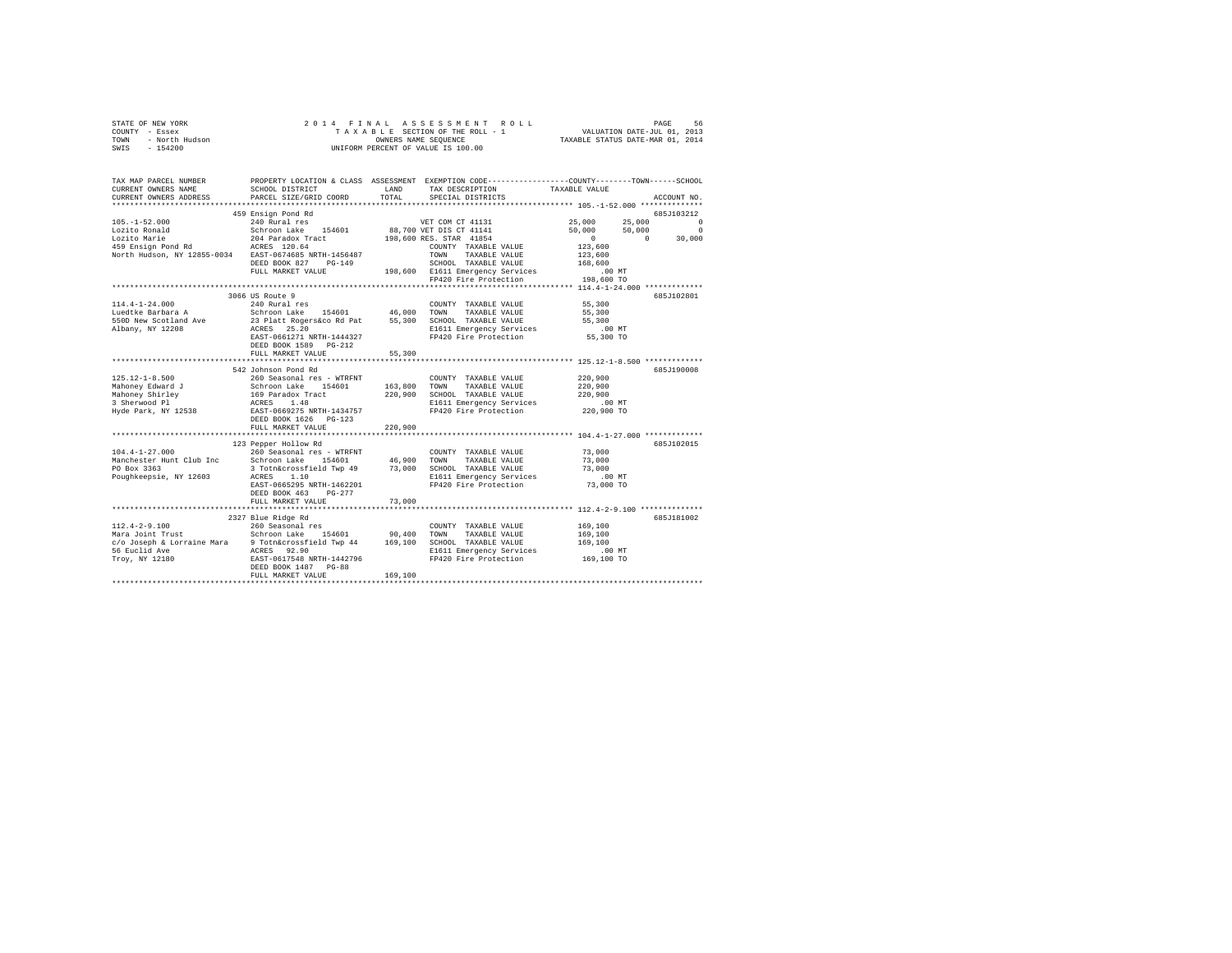|      | STATE OF NEW YORK | 2014 FINAL ASSESSMENT ROLL         | 56<br>PAGE                       |
|------|-------------------|------------------------------------|----------------------------------|
|      | COUNTY - Essex    | TAXABLE SECTION OF THE ROLL - 1    | VALUATION DATE-JUL 01, 2013      |
| TOWN | - North Hudson    | OWNERS NAME SEOUENCE               | TAXABLE STATUS DATE-MAR 01, 2014 |
| SWIS | $-154200$         | UNIFORM PERCENT OF VALUE IS 100.00 |                                  |

| TAX MAP PARCEL NUMBER<br>CURRENT OWNERS NAME | PROPERTY LOCATION & CLASS ASSESSMENT EXEMPTION CODE----------------COUNTY-------TOWN------SCHOOL<br>SCHOOL DISTRICT                                                                                                                        | LAND    | TAX DESCRIPTION                                                                  | TAXABLE VALUE        |                        |
|----------------------------------------------|--------------------------------------------------------------------------------------------------------------------------------------------------------------------------------------------------------------------------------------------|---------|----------------------------------------------------------------------------------|----------------------|------------------------|
| CURRENT OWNERS ADDRESS                       | PARCEL SIZE/GRID COORD                                                                                                                                                                                                                     | TOTAL   | SPECIAL DISTRICTS                                                                |                      | ACCOUNT NO.            |
|                                              | 459 Ensign Pond Rd                                                                                                                                                                                                                         |         |                                                                                  |                      | 685J103212             |
|                                              |                                                                                                                                                                                                                                            |         | VET COM CT 41131 25,000 25,000 0                                                 |                      |                        |
|                                              |                                                                                                                                                                                                                                            |         |                                                                                  | 50,000 50,000        |                        |
|                                              |                                                                                                                                                                                                                                            |         |                                                                                  | $\sim$ 0             | $50,000$ 0<br>0 30,000 |
|                                              |                                                                                                                                                                                                                                            |         |                                                                                  |                      |                        |
|                                              |                                                                                                                                                                                                                                            |         |                                                                                  | 123,600<br>123,600   |                        |
|                                              | DEED BOOK 827 PG-149                                                                                                                                                                                                                       |         | SCHOOL TAXABLE VALUE<br>198,600 E1611 Emergency Services<br>SCHOOL TAXABLE VALUE | 168,600              |                        |
|                                              | FULL MARKET VALUE                                                                                                                                                                                                                          |         |                                                                                  | $.00$ MT             |                        |
|                                              |                                                                                                                                                                                                                                            |         | FP420 Fire Protection                                                            | 198,600 TO           |                        |
|                                              |                                                                                                                                                                                                                                            |         |                                                                                  |                      |                        |
|                                              | 3066 US Route 9                                                                                                                                                                                                                            |         |                                                                                  |                      | 685J102801             |
| 114.4-1-24.000                               | 240 Rural res                                                                                                                                                                                                                              |         | COUNTY TAXABLE VALUE 55,300                                                      |                      |                        |
| Luedtke Barbara A                            |                                                                                                                                                                                                                                            |         | TAXABLE VALUE                                                                    | 55,300<br>55,300     |                        |
| 550D New Scotland Ave                        | Schroon Lake 154601 46,000 TOWN<br>23 Platt Rogers&co Rd Pat 55,300 SCHOC<br>ACRES 25.20 E1611                                                                                                                                             |         | SCHOOL TAXABLE VALUE                                                             |                      |                        |
| Albany, NY 12208                             |                                                                                                                                                                                                                                            |         | E1611 Emergency Services .00 MT<br>FP420 Fire Protection  55,300 TO              |                      |                        |
|                                              | EAST-0661271 NRTH-1444327                                                                                                                                                                                                                  |         |                                                                                  |                      |                        |
|                                              | DEED BOOK 1589 PG-212                                                                                                                                                                                                                      | 55,300  |                                                                                  |                      |                        |
|                                              | FULL MARKET VALUE                                                                                                                                                                                                                          |         |                                                                                  |                      |                        |
|                                              | 542 Johnson Pond Rd                                                                                                                                                                                                                        |         |                                                                                  |                      | 685J190008             |
| 125.12-1-8.500                               | 260 Seasonal res - WTRFNT                                                                                                                                                                                                                  |         | COUNTY TAXABLE VALUE                                                             | 220,900              |                        |
| Mahoney Edward J                             |                                                                                                                                                                                                                                            |         |                                                                                  | 220,900              |                        |
|                                              |                                                                                                                                                                                                                                            |         |                                                                                  | 220,900              |                        |
| <br>Mahoney Shirley<br>3 Sherwood Pl         |                                                                                                                                                                                                                                            |         | E1611 Emergency Services                                                         |                      |                        |
| Hyde Park, NY 12538                          |                                                                                                                                                                                                                                            |         | FP420 Fire Protection                                                            | 00 MT.<br>220,900 TO |                        |
|                                              | 200 Seasonal res = Wikiwi<br>Schroon Lake 154601 163,800 TOWN TAXABLE VALUE<br>169 Paradox Tract 220,900 SCHOOL TAXABLE VALUE<br>ACRES 1.48 220,900 SCHOOL TAXABLE VALUE<br>RATP-0669275 NRTH-1434757<br>PP420 Fire Protection<br>DEST DOO |         |                                                                                  |                      |                        |
|                                              | FULL MARKET VALUE                                                                                                                                                                                                                          | 220,900 |                                                                                  |                      |                        |
|                                              |                                                                                                                                                                                                                                            |         |                                                                                  |                      |                        |
|                                              | 123 Pepper Hollow Rd                                                                                                                                                                                                                       |         |                                                                                  |                      | 685J102015             |
|                                              |                                                                                                                                                                                                                                            |         |                                                                                  |                      |                        |
|                                              |                                                                                                                                                                                                                                            |         |                                                                                  |                      |                        |
|                                              |                                                                                                                                                                                                                                            |         |                                                                                  |                      |                        |
|                                              |                                                                                                                                                                                                                                            |         |                                                                                  | $.00$ MT             |                        |
|                                              | EAST-0665295 NRTH-1462201                                                                                                                                                                                                                  |         | FP420 Fire Protection 73,000 TO                                                  |                      |                        |
|                                              | DEED BOOK 463 PG-277                                                                                                                                                                                                                       |         |                                                                                  |                      |                        |
|                                              | FULL MARKET VALUE                                                                                                                                                                                                                          | 73,000  |                                                                                  |                      |                        |
|                                              |                                                                                                                                                                                                                                            |         |                                                                                  |                      |                        |
|                                              | 2327 Blue Ridge Rd                                                                                                                                                                                                                         |         |                                                                                  |                      | 685J181002             |
| $112.4 - 2 - 9.100$                          | 260 Seasonal res                                                                                                                                                                                                                           |         | COUNTY TAXABLE VALUE                                                             | 169,100              |                        |
|                                              |                                                                                                                                                                                                                                            |         | TAXABLE VALUE                                                                    | 169,100              |                        |
|                                              |                                                                                                                                                                                                                                            |         | E1611 Emergency Services                                                         | 169,100              |                        |
|                                              |                                                                                                                                                                                                                                            |         | FP420 Fire Protection                                                            | 00 MT.<br>169,100 TO |                        |
|                                              | DEED BOOK 1487 PG-88                                                                                                                                                                                                                       |         |                                                                                  |                      |                        |
|                                              | FULL MARKET VALUE                                                                                                                                                                                                                          | 169,100 |                                                                                  |                      |                        |
|                                              |                                                                                                                                                                                                                                            |         |                                                                                  |                      |                        |
|                                              |                                                                                                                                                                                                                                            |         |                                                                                  |                      |                        |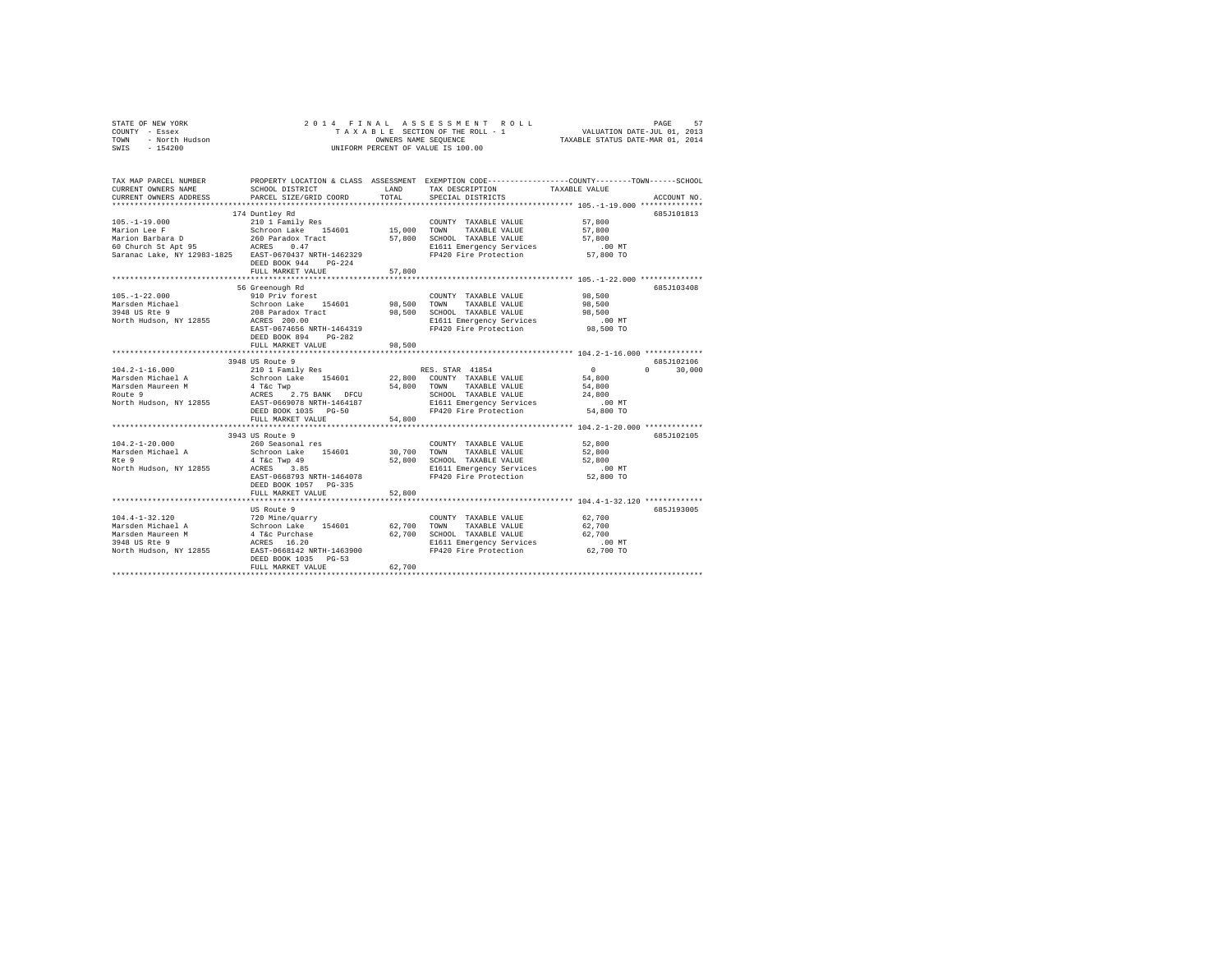|                | STATE OF NEW YORK |  |  |  |  |                                    |  |  | 2014 FINAL ASSESSMENT ROLL |                                  |                             | PAGE | 57 |
|----------------|-------------------|--|--|--|--|------------------------------------|--|--|----------------------------|----------------------------------|-----------------------------|------|----|
| COUNTY - Essex |                   |  |  |  |  | TAXABLE SECTION OF THE ROLL - 1    |  |  |                            |                                  | VALUATION DATE-JUL 01, 2013 |      |    |
| TOWN           | - North Hudson    |  |  |  |  | OWNERS NAME SEOUENCE               |  |  |                            | TAXABLE STATUS DATE-MAR 01, 2014 |                             |      |    |
| SWIS           | - 154200          |  |  |  |  | UNIFORM PERCENT OF VALUE IS 100.00 |  |  |                            |                                  |                             |      |    |

| TAX MAP PARCEL NUMBER<br>CURRENT OWNERS NAME<br>CURRENT OWNERS ADDRESS                                      | SCHOOL DISTRICT<br>PARCEL SIZE/GRID COORD                                                                                                                           | LAND<br>TOTAL                           | PROPERTY LOCATION & CLASS ASSESSMENT EXEMPTION CODE---------------COUNTY-------TOWN-----SCHOOL<br>TAX DESCRIPTION TAXABLE VALUE<br>SPECIAL DISTRICTS                                                                                                               |                                                  | ACCOUNT NO.                      |
|-------------------------------------------------------------------------------------------------------------|---------------------------------------------------------------------------------------------------------------------------------------------------------------------|-----------------------------------------|--------------------------------------------------------------------------------------------------------------------------------------------------------------------------------------------------------------------------------------------------------------------|--------------------------------------------------|----------------------------------|
| Saranac Lake, NY 12983-1825 EAST-0670437 NRTH-1462329                                                       | DEED BOOK 944<br>$PG-224$<br>FULL MARKET VALUE<br>***************************                                                                                       | 57,800                                  | E1611 Emergency Services .00 MT<br>FP420 Fire Protection 57,800 TO                                                                                                                                                                                                 | 57,800<br>57,800<br>57,800                       | 685J101813                       |
| $105. - 1 - 22.000$<br>3948 US Rte 9<br>North Hudson, NY 12855 ACRES 200.00                                 | 56 Greenough Rd<br>910 Priv forest<br>208 Paradox Tract<br>EAST-0674656 NRTH-1464319<br>DEED BOOK 894<br>$PG-282$<br>FULL MARKET VALUE                              | 98,500                                  | COUNTY TAXABLE VALUE<br>TAXABLE VALUE<br>98,500 SCHOOL TAXABLE VALUE<br>E1611 Emergency Services<br>FP420 Fire Protection                                                                                                                                          | 98,500<br>98,500<br>98,500<br>.00MT<br>98,500 TO | 685J103408                       |
| $104.2 - 1 - 16.000$<br>North Hudson, NY 12855 EAST-0669078 NRTH-1464187                                    | 3948 US Route 9<br>210 1 Family Res<br>DEED BOOK 1035 PG-50<br>FULL MARKET VALUE                                                                                    | 54,800 TOWN<br>SCHOO<br>E1611<br>54,800 | RES. STAR 41854<br>22,800 COUNTY TAXABLE VALUE<br>TAXABLE VALUE<br>SCHOOL TAXABLE VALUE $24,800$<br>E1611 Emergency Services .00 MT<br>FP420 Fire Protection                                                                                                       | $\sim$ 0<br>54,800<br>54,800<br>54,800 TO        | 685J102106<br>$\Omega$<br>30,000 |
| $104.2 - 1 - 20.000$<br>Marsden Michael A<br>Rte 9<br>North Hudson, NY 12855                                | 3943 US Route 9<br>260 Seasonal res<br>Schroon Lake 154601<br>4 T&C Twp 49<br>ACRES 3.85<br>EAST-0668793 NRTH-1464078<br>DEED BOOK 1057 PG-335<br>FULL MARKET VALUE | 52,800                                  | COUNTY TAXABLE VALUE<br>30,700 TOWN TAXABLE VALUE<br>COUNTY TAXABLE VALUE<br>52,800 SCHOOL TAXABLE VALUE 52,800<br>F1611 Emergency Services 00<br>E1611 Emergency Services<br>FP420 Fire Protection<br>********************************* 104.4-1-32.120 ********** | 52,800<br>52,800<br>$.00$ MT<br>52,800 TO        | 685J102105                       |
| $104.4-1-32.120$<br>$Maxsden Michael A$<br>Menoden Michael A<br>Menoden Michael D<br>North Hudson, NY 12855 | US Route 9<br>EAST-0668142 NRTH-1463900<br>DEED BOOK 1035 PG-53<br>FULL MARKET VALUE                                                                                | 62,700 TOWN<br>62,700                   | COUNTY TAXABLE VALUE<br>TAXABLE VALUE<br>62,700 SCHOOL TAXABLE VALUE 62,700 E1611 Emergency Services .00 MT<br>FP420 Fire Protection                                                                                                                               | 62,700<br>62,700<br>62,700 TO                    | 685J193005                       |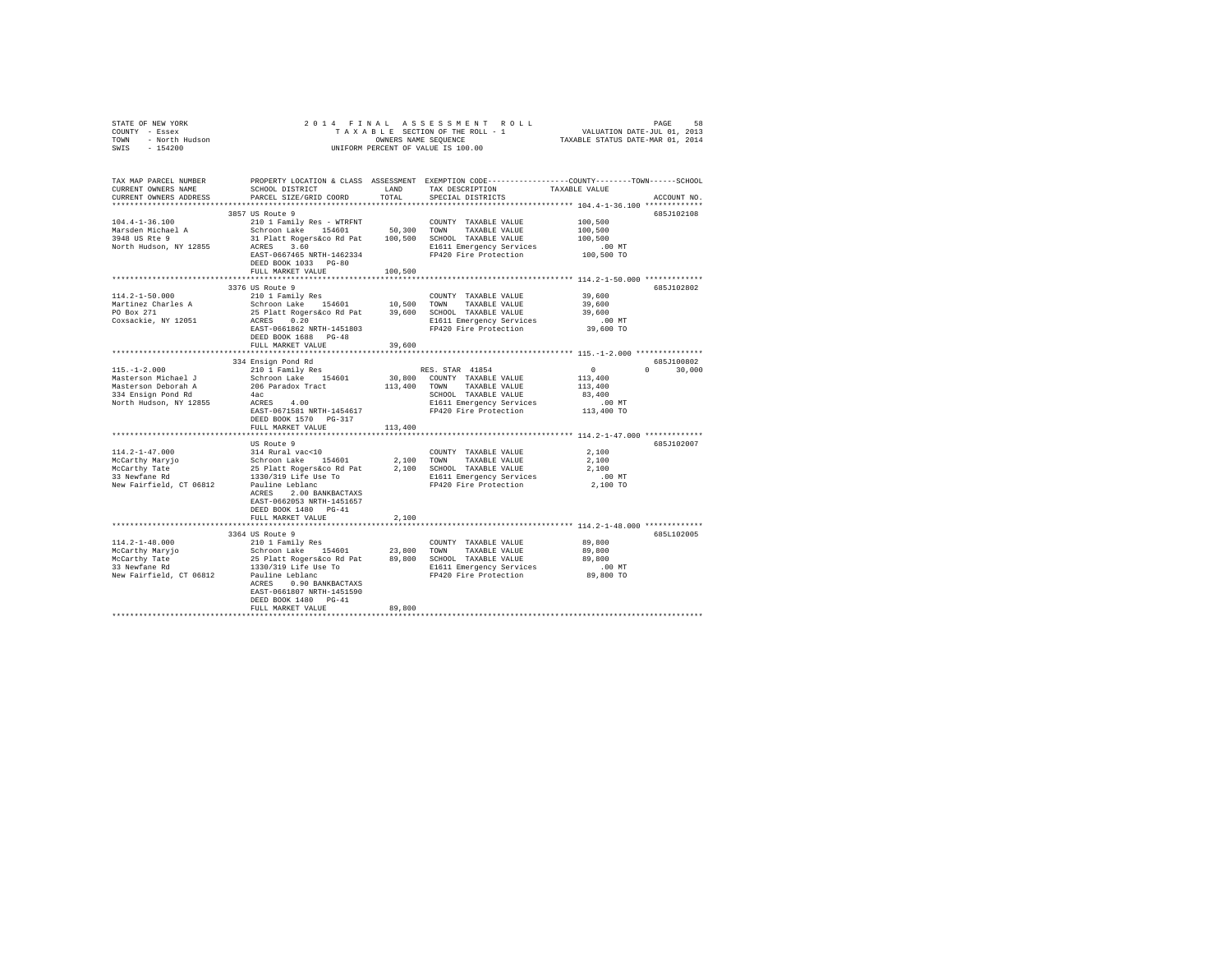| STATE OF NEW YORK<br>COUNTY - Essex<br>TOWN - North Hudson<br>SWIS - 154200                                           |                                                                                                                                                                      |         | 2014 FINAL ASSESSMENT ROLL<br>UNIFORM PERCENT OF VALUE IS 100.00                                                                                                                                                                                               |                                                                                                                 |
|-----------------------------------------------------------------------------------------------------------------------|----------------------------------------------------------------------------------------------------------------------------------------------------------------------|---------|----------------------------------------------------------------------------------------------------------------------------------------------------------------------------------------------------------------------------------------------------------------|-----------------------------------------------------------------------------------------------------------------|
| TAX MAP PARCEL NUMBER<br>CURRENT OWNERS NAME<br>CURRENT OWNERS ADDRESS PARCEL SIZE/GRID COORD TOTAL SPECIAL DISTRICTS |                                                                                                                                                                      |         | SCHOOL DISTRICT TAND TAX DESCRIPTION TAXABLE VALUE                                                                                                                                                                                                             | PROPERTY LOCATION & CLASS ASSESSMENT EXEMPTION CODE----------------COUNTY-------TOWN------SCHOOL<br>ACCOUNT NO. |
| $104.4 - 1 - 36.100$<br>Marsden Michael A<br>3948 US Rte 9<br>North Hudson, NY 12855                                  | 3857 US Route 9<br>210 1 Family Res - WTRFNT<br>ACRES 3.60<br>EAST-0667465 NRTH-1462334<br>DEED BOOK 1033 PG-80<br>FULL MARKET VALUE                                 | 100,500 | COUNTY TAXABLE VALUE<br>210 Teaming Res - with the School TOWN TAXABLE VALUE<br>Schroon Lake 154601 50,300 TOWN TAXABLE VALUE<br>31 Platt Rogers&co Rd Pat 100,500 SCHOOL TAXABLE VALUE<br>E1611 Emergency Services .00 MT<br>FP420 Fire Protection 100,500 TO | 685J102108<br>100,500<br>100,500<br>100,500                                                                     |
|                                                                                                                       |                                                                                                                                                                      |         |                                                                                                                                                                                                                                                                |                                                                                                                 |
| 114.2-1-50.000<br>Martinez Charles A<br>PO Box 271<br>Coxsackie, NY 12051                                             | 3376 US Route 9<br>ACRES 0.20<br>EAST-0661862 NRTH-1451803<br>DEED BOOK 1688 PG-48                                                                                   |         | 210 U Ramily Res<br>Schroon Lake 154601 10,500 TOWN TAXABLE VALUE<br>25 Platt Rogers&co Rd Pat 39,600 SCHOOL TAXABLE VALUE<br>25 Platt Rogers&co Rd Pat 39,600 SCHOOL TAXABLE VALUE<br>E1611 Emergency www.com                                                 | 685J102802<br>39,600<br>39,600<br>39,600<br>.00 MT<br>39,600 TO                                                 |
|                                                                                                                       | FULL MARKET VALUE                                                                                                                                                    | 39,600  |                                                                                                                                                                                                                                                                |                                                                                                                 |
|                                                                                                                       |                                                                                                                                                                      |         |                                                                                                                                                                                                                                                                |                                                                                                                 |
| $115. - 1 - 2.000$<br>Masterson Michael J<br>Masterson Deborah A<br>334 Ensign Pond Rd<br>North Hudson, NY 12855      | 334 Ensign Pond Rd<br>210 1 Family Res<br>Schroon Lake 154601<br>206 Paradox Tract<br>4ac<br>4ac<br>ACRES 4.00<br>EAST-0671581 NRTH-1454617<br>DEED BOOK 1570 PG-317 |         | RES. STAR 41854<br>30,800 COUNTY TAXABLE VALUE<br>113,400 TOWN TAXABLE VALUE<br>SCHOOL TAXABLE VALUE<br>E1611 Emergency Services<br>FP420 Fire Protection                                                                                                      | 685J100802<br>$\overline{0}$<br>$0 \t 30.000$<br>113,400<br>113,400<br>83,400<br>.00 MT<br>113,400 TO           |
|                                                                                                                       | FULL MARKET VALUE                                                                                                                                                    | 113,400 |                                                                                                                                                                                                                                                                |                                                                                                                 |
| New Fairfield, CT 06812                                                                                               | US Route 9<br>Pauline Leblanc<br>ACRES 2.00 BANKBACTAXS<br>EAST-0662053 NRTH-1451657<br>DEED BOOK 1480 PG-41                                                         |         | FP420 Fire Protection                                                                                                                                                                                                                                          | 685J102007<br>2,100<br>2,100<br>2,100<br>$.00$ MT<br>2,100 TO                                                   |
|                                                                                                                       | FULL MARKET VALUE                                                                                                                                                    | 2,100   |                                                                                                                                                                                                                                                                |                                                                                                                 |
|                                                                                                                       | 3364 US Route 9                                                                                                                                                      |         |                                                                                                                                                                                                                                                                | 685L102005                                                                                                      |
| $114.2 - 1 - 48.000$                                                                                                  | 210 1 Family Res<br>ACRES 0.90 BANKBACTAXS<br>EAST-0661807 NRTH-1451590<br>DEED BOOK 1480 PG-41                                                                      |         | COUNTY TAXABLE VALUE                                                                                                                                                                                                                                           | 89,800                                                                                                          |
|                                                                                                                       | FULL MARKET VALUE                                                                                                                                                    | 89,800  |                                                                                                                                                                                                                                                                |                                                                                                                 |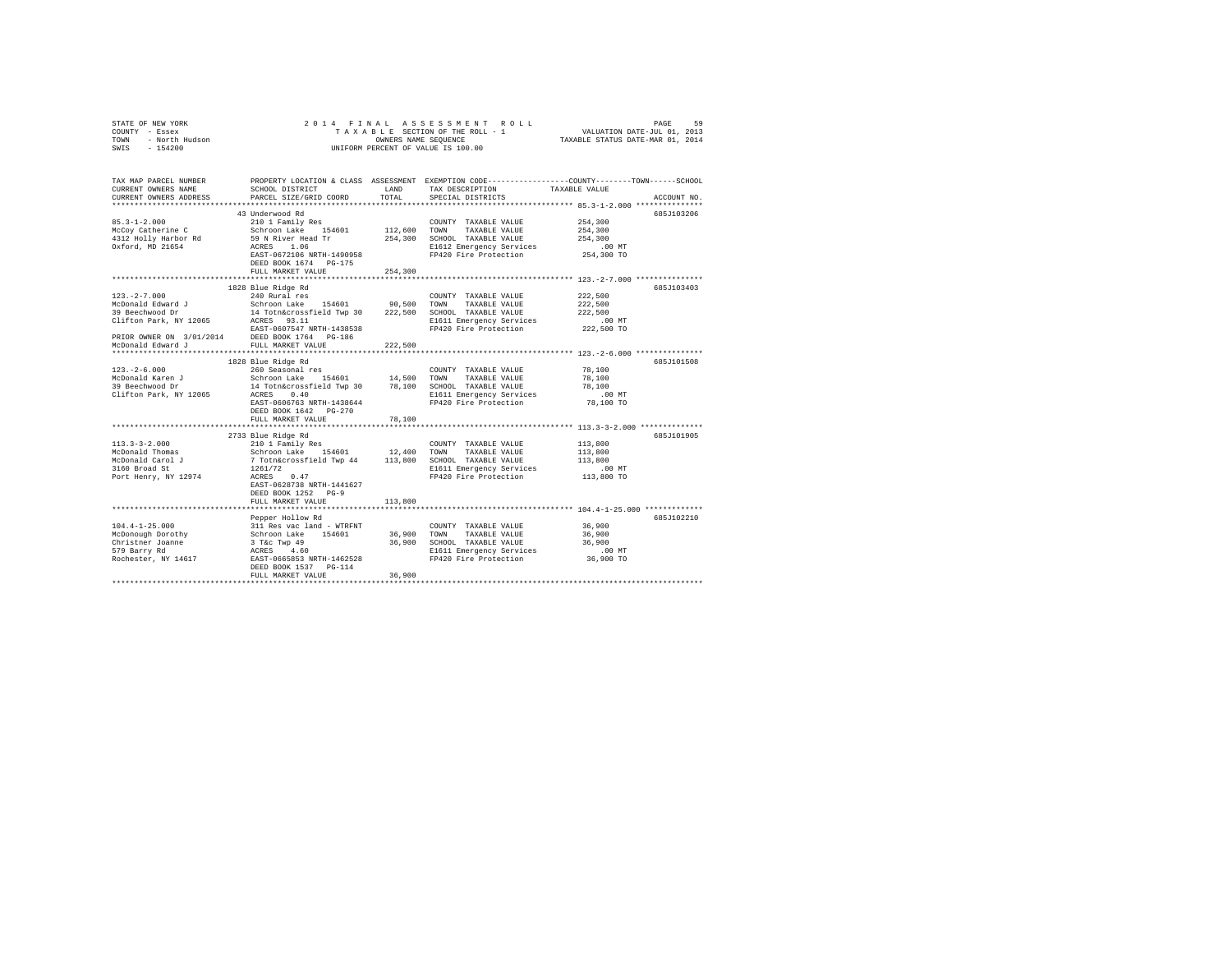| STATE OF NEW YORK<br>COUNTY - Essex<br>TOWN - North Hudson<br>SWIS - 154200 |                                                                                                                                               |               | 2014 FINAL ASSESSMENT ROLL<br>TAXABLE SECTION OF THE ROLL - 1<br>OWNERS NAME SEQUENCE<br>UNIFORM PERCENT OF VALUE IS 100.00 | VALUATION DATE-JUL 01, 2013<br>TAXABLE STATUS DATE-MAR 01, 2014 | PAGE<br>59  |
|-----------------------------------------------------------------------------|-----------------------------------------------------------------------------------------------------------------------------------------------|---------------|-----------------------------------------------------------------------------------------------------------------------------|-----------------------------------------------------------------|-------------|
| TAX MAP PARCEL NUMBER<br>CURRENT OWNERS NAME<br>CURRENT OWNERS ADDRESS      | PROPERTY LOCATION & CLASS ASSESSMENT EXEMPTION CODE----------------COUNTY-------TOWN------SCHOOL<br>SCHOOL DISTRICT<br>PARCEL SIZE/GRID COORD | LAND<br>TOTAL | TAX DESCRIPTION<br>SPECIAL DISTRICTS                                                                                        | TAXABLE VALUE                                                   | ACCOUNT NO. |
|                                                                             |                                                                                                                                               |               |                                                                                                                             |                                                                 |             |
|                                                                             | 43 Underwood Rd                                                                                                                               |               |                                                                                                                             |                                                                 | 685J103206  |
| $85.3 - 1 - 2.000$                                                          | 210 1 Family Res                                                                                                                              |               | COUNTY TAXABLE VALUE                                                                                                        | 254,300                                                         |             |
| McCoy Catherine C                                                           | Schroon Lake 154601                                                                                                                           |               | 112,600 TOWN TAXABLE VALUE                                                                                                  | 254,300                                                         |             |
| 4312 Holly Harbor Rd                                                        | 59 N River Head Tr                                                                                                                            |               | 254.300 SCHOOL TAXABLE VALUE                                                                                                | 254,300                                                         |             |
| Oxford, MD 21654                                                            | ACRES 1.06                                                                                                                                    |               | E1612 Emergency Services                                                                                                    | $.00$ MT                                                        |             |
|                                                                             | EAST-0672106 NRTH-1490958                                                                                                                     |               | FP420 Fire Protection                                                                                                       | 254,300 TO                                                      |             |
|                                                                             | DEED BOOK 1674 PG-175                                                                                                                         |               |                                                                                                                             |                                                                 |             |
|                                                                             | FULL MARKET VALUE                                                                                                                             | 254,300       |                                                                                                                             |                                                                 |             |
|                                                                             |                                                                                                                                               |               |                                                                                                                             |                                                                 |             |
|                                                                             | 1828 Blue Ridge Rd                                                                                                                            |               |                                                                                                                             |                                                                 | 685J103403  |
| $123. -2 - 7.000$<br>McDonald Edward J                                      | 240 Rural res<br>Schroon Lake 154601 90,500                                                                                                   |               | COUNTY TAXABLE VALUE<br>TOWN TAXABLE VALUE                                                                                  | 222,500<br>222,500                                              |             |
| 39 Beechwood Dr                                                             |                                                                                                                                               |               |                                                                                                                             | 222,500                                                         |             |
| Clifton Park, NY 12065                                                      | 14 Totn&crossfield Twp 30 222,500 SCHOOL TAXABLE VALUE<br>ACRES 93.11                                                                         |               | E1611 Emergency Services                                                                                                    | $.00$ MT                                                        |             |
|                                                                             | EAST-0607547 NRTH-1438538                                                                                                                     |               | FP420 Fire Protection                                                                                                       | 222,500 TO                                                      |             |
| PRIOR OWNER ON 3/01/2014 DEED BOOK 1764 PG-186                              |                                                                                                                                               |               |                                                                                                                             |                                                                 |             |
| McDonald Edward J                                                           | FULL MARKET VALUE                                                                                                                             | 222,500       |                                                                                                                             |                                                                 |             |
|                                                                             |                                                                                                                                               |               |                                                                                                                             |                                                                 |             |
|                                                                             | 1828 Blue Ridge Rd                                                                                                                            |               |                                                                                                                             |                                                                 | 685J101508  |
| $123. - 2 - 6.000$                                                          | 260 Seasonal res                                                                                                                              |               | COUNTY TAXABLE VALUE                                                                                                        | 78,100                                                          |             |
| McDonald Karen J                                                            | Schroon Lake 154601 14,500 TOWN TAXABLE VALUE                                                                                                 |               |                                                                                                                             | 78,100                                                          |             |
| 39 Beechwood Dr                                                             | 14 Totn&crossfield Twp 30 78,100 SCHOOL TAXABLE VALUE                                                                                         |               |                                                                                                                             | 78,100                                                          |             |
| Clifton Park, NY 12065                                                      | ACRES 0.40                                                                                                                                    |               | E1611 Emergency Services                                                                                                    | $.00$ MT                                                        |             |
|                                                                             | EAST-0606763 NRTH-1438644                                                                                                                     |               | FP420 Fire Protection                                                                                                       | 78,100 TO                                                       |             |
|                                                                             | DEED BOOK 1642 PG-270                                                                                                                         |               |                                                                                                                             |                                                                 |             |
|                                                                             | FULL MARKET VALUE                                                                                                                             | 78,100        |                                                                                                                             |                                                                 |             |
|                                                                             |                                                                                                                                               |               |                                                                                                                             |                                                                 |             |
|                                                                             | 2733 Blue Ridge Rd                                                                                                                            |               |                                                                                                                             |                                                                 | 685J101905  |
| $113.3 - 3 - 2.000$                                                         | 210 1 Family Res<br>Schroon Lake 154601 12,400 TOWN TAXABLE VALUE                                                                             |               | COUNTY TAXABLE VALUE                                                                                                        | 113,800<br>113,800                                              |             |
| McDonald Thomas<br>McDonald Carol J                                         |                                                                                                                                               |               |                                                                                                                             | 113,800                                                         |             |
| 3160 Broad St                                                               | 7 Totn&crossfield Twp 44 113,800 SCHOOL TAXABLE VALUE<br>1261/72                                                                              |               | E1611 Emergency Services                                                                                                    | $.00$ MT                                                        |             |
| Port Henry, NY 12974                                                        | ACRES 0.47                                                                                                                                    |               | FP420 Fire Protection                                                                                                       | 113,800 TO                                                      |             |
|                                                                             | EAST-0628738 NRTH-1441627                                                                                                                     |               |                                                                                                                             |                                                                 |             |
|                                                                             | DEED BOOK 1252 PG-9                                                                                                                           |               |                                                                                                                             |                                                                 |             |
|                                                                             | FULL MARKET VALUE                                                                                                                             | 113,800       |                                                                                                                             |                                                                 |             |
|                                                                             |                                                                                                                                               |               |                                                                                                                             |                                                                 |             |
|                                                                             | Pepper Hollow Rd                                                                                                                              |               |                                                                                                                             |                                                                 | 6857102210  |
| $104.4 - 1 - 25.000$                                                        | 311 Res vac land - WTRFNT                                                                                                                     |               | COUNTY TAXABLE VALUE                                                                                                        | 36,900                                                          |             |
| McDonough Dorothy                                                           | Schroon Lake 154601                                                                                                                           | 36,900 TOWN   | TAXABLE VALUE                                                                                                               | 36,900                                                          |             |
| Christner Joanne                                                            | 3 T&c Twp 49                                                                                                                                  |               | 36,900 SCHOOL TAXABLE VALUE                                                                                                 | 36,900                                                          |             |
| 579 Barry Rd                                                                | ACRES 4.60                                                                                                                                    |               | E1611 Emergency Services                                                                                                    | .00MT                                                           |             |
| Rochester, NY 14617                                                         | EAST-0665853 NRTH-1462528                                                                                                                     |               | FP420 Fire Protection                                                                                                       | 36,900 TO                                                       |             |
|                                                                             | DEED BOOK 1537 PG-114                                                                                                                         |               |                                                                                                                             |                                                                 |             |
|                                                                             | FULL MARKET VALUE                                                                                                                             | 36,900        |                                                                                                                             |                                                                 |             |
|                                                                             |                                                                                                                                               |               |                                                                                                                             |                                                                 |             |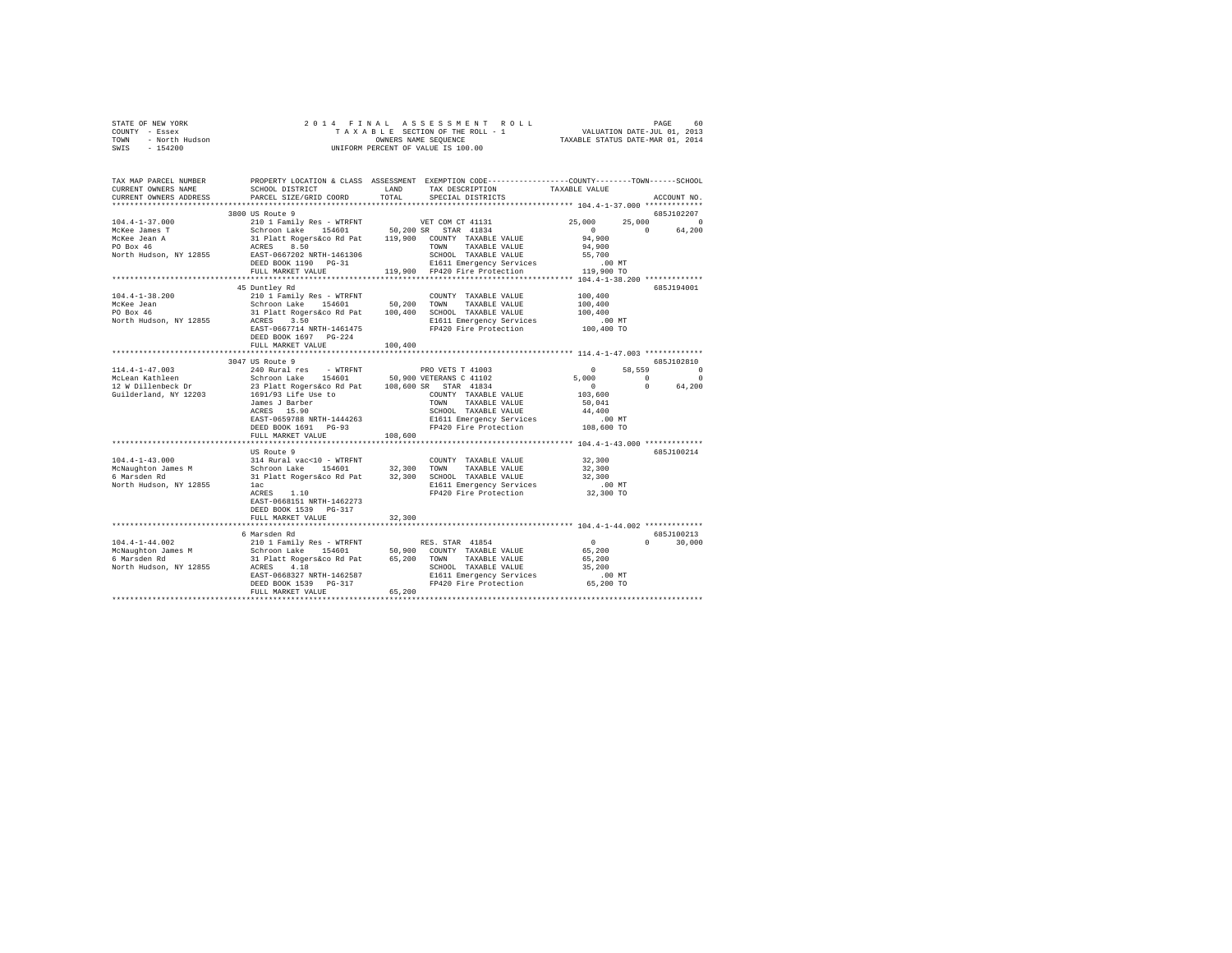|                | STATE OF NEW YORK |  |  |  |  |                                    |  |  | 2014 FINAL ASSESSMENT ROLL      |  | 60.<br>PAGE                      |
|----------------|-------------------|--|--|--|--|------------------------------------|--|--|---------------------------------|--|----------------------------------|
| COUNTY - Essex |                   |  |  |  |  |                                    |  |  | TAXABLE SECTION OF THE ROLL - 1 |  | VALUATION DATE-JUL 01, 2013      |
| TOWN           | - North Hudson    |  |  |  |  | OWNERS NAME SEOUENCE               |  |  |                                 |  | TAXABLE STATUS DATE-MAR 01, 2014 |
| SWIS           | $-154200$         |  |  |  |  | UNIFORM PERCENT OF VALUE IS 100.00 |  |  |                                 |  |                                  |

| TAX MAP PARCEL NUMBER<br>CURRENT OWNERS NAME<br>CURRENT OWNERS ADDRESS | PROPERTY LOCATION & CLASS ASSESSMENT EXEMPTION CODE----------------COUNTY-------TOWN------SCHOOL<br>SCHOOL DISTRICT<br>PARCEL SIZE/GRID COORD | LAND<br>TOTAL.          | TAX DESCRIPTION<br>SPECIAL DISTRICTS                                    | TAXABLE VALUE                                     | ACCOUNT NO.           |
|------------------------------------------------------------------------|-----------------------------------------------------------------------------------------------------------------------------------------------|-------------------------|-------------------------------------------------------------------------|---------------------------------------------------|-----------------------|
|                                                                        |                                                                                                                                               |                         |                                                                         |                                                   |                       |
|                                                                        | 3800 US Route 9                                                                                                                               |                         |                                                                         |                                                   | 685J102207            |
| $104.4 - 1 - 37.000$                                                   |                                                                                                                                               |                         |                                                                         | 25,000                                            | 25,000<br>$\Omega$    |
| McKee James T                                                          |                                                                                                                                               |                         |                                                                         | $\sim$ 0                                          | $\Omega$<br>64,200    |
| McKee Jean A                                                           |                                                                                                                                               |                         |                                                                         | 94,900                                            |                       |
| PO Box 46                                                              |                                                                                                                                               |                         |                                                                         | 94,900                                            |                       |
| North Hudson, NY 12855                                                 | EAST-0667202 NRTH-1461306                                                                                                                     |                         | SCHOOL TAXABLE VALUE                                                    | 55,700                                            |                       |
|                                                                        | DEED BOOK 1190 PG-31                                                                                                                          |                         | E1611 Emergency Services                                                | 119,900,70                                        |                       |
|                                                                        | FULL MARKET VALUE<br>***********************                                                                                                  |                         | 119,900 FP420 Fire Protection                                           | ****** 104.4-1-38.200 **********                  |                       |
|                                                                        | 45 Duntley Rd                                                                                                                                 |                         |                                                                         |                                                   | 685J194001            |
| $104.4 - 1 - 38.200$                                                   | 210 1 Family Res - WTRFNT                                                                                                                     |                         | COUNTY TAXABLE VALUE                                                    | 100,400                                           |                       |
| McKee Jean                                                             | Schroon Lake 154601                                                                                                                           | 50,200 TOWN             | TAXABLE VALUE                                                           | 100,400                                           |                       |
| PO Box 46                                                              |                                                                                                                                               |                         |                                                                         | 100,400                                           |                       |
| North Hudson, NY 12855                                                 | 31 Platt Rogers&co Rd Pat 100,400 SCHOOL TAXABLE VALUE<br>ACRES 3.50 R1611 Emergency Services                                                 |                         | E1611 Emergency Services                                                | $.00$ MT                                          |                       |
|                                                                        | EAST-0667714 NRTH-1461475                                                                                                                     |                         | FP420 Fire Protection                                                   | 100,400 TO                                        |                       |
|                                                                        | DEED BOOK 1697 PG-224                                                                                                                         |                         |                                                                         |                                                   |                       |
|                                                                        | FULL MARKET VALUE                                                                                                                             | 100,400                 |                                                                         |                                                   |                       |
|                                                                        |                                                                                                                                               | .                       |                                                                         | ******************** 114.4-1-47.003 ************* |                       |
|                                                                        | 3047 US Route 9                                                                                                                               |                         |                                                                         |                                                   | 685J102810            |
| $114.4 - 1 - 47.003$                                                   | 240 Rural res - WTRFNT                                                                                                                        |                         | PRO VETS T 41003                                                        | $\sim$ 0                                          | 58,559<br>$\mathbf 0$ |
| McLean Kathleen                                                        |                                                                                                                                               |                         |                                                                         | 5,000                                             | $\sim$ 0<br>$\Omega$  |
| 12 W Dillenbeck Dr                                                     | Schroon Lake 154601 50,900 VETERANS C 41102<br>23 Platt Rogers&co Rd Pat 108,600 SR STAR 41834                                                |                         |                                                                         | $\sim$ 0                                          | $\Omega$<br>64,200    |
|                                                                        | Guilderland, NY 12203 1691/93 Life Use to                                                                                                     |                         | COUNTY TAXABLE VALUE                                                    | 103,600                                           |                       |
|                                                                        | James J Barber                                                                                                                                | TOWN                    | TAXABLE VALUE                                                           | 50,041                                            |                       |
|                                                                        | ACRES 15.90                                                                                                                                   |                         | SCHOOL TAXABLE VALUE                                                    | 44,400                                            |                       |
|                                                                        | EAST-0659788 NRTH-1444263                                                                                                                     |                         | E1611 Emergency Services                                                |                                                   |                       |
|                                                                        | DEED BOOK 1691 PG-93                                                                                                                          |                         | E1611 Emergency Services .00 MT<br>FP420 Fire Protection .00 108,600 TO |                                                   |                       |
|                                                                        | FULL MARKET VALUE                                                                                                                             | 108,600                 |                                                                         |                                                   |                       |
|                                                                        |                                                                                                                                               | *********************** |                                                                         | **************** 104.4-1-43.000 **************    |                       |
|                                                                        | US Route 9                                                                                                                                    |                         |                                                                         |                                                   | 685J100214            |
| $104.4 - 1 - 43.000$                                                   | 314 Rural vac<10 - WTRFNT                                                                                                                     |                         | COUNTY TAXABLE VALUE                                                    | 32,300                                            |                       |
| McNaughton James M                                                     | Schroon Lake                                                                                                                                  | 154601 32,300 TOWN      | TAXABLE VALUE                                                           | 32,300                                            |                       |
| 6 Marsden Rd                                                           | 31 Platt Rogers&co Rd Pat 32,300 SCHOOL TAXABLE VALUE                                                                                         |                         |                                                                         | 32,300                                            |                       |
| North Hudson, NY 12855                                                 | lac                                                                                                                                           |                         | E1611 Emergency Services<br>FP420 Fire Protection                       | $.00$ MT                                          |                       |
|                                                                        | ACRES 1.10                                                                                                                                    |                         |                                                                         | 32,300 TO                                         |                       |
|                                                                        | EAST-0668151 NRTH-1462273                                                                                                                     |                         |                                                                         |                                                   |                       |
|                                                                        | DEED BOOK 1539 PG-317                                                                                                                         |                         |                                                                         |                                                   |                       |
|                                                                        | FULL MARKET VALUE<br>******************************                                                                                           | 32,300                  |                                                                         |                                                   |                       |
|                                                                        | 6 Marsden Rd                                                                                                                                  |                         |                                                                         |                                                   | 685J100213            |
| $104.4 - 1 - 44.002$                                                   |                                                                                                                                               |                         |                                                                         | $\sim$ 0                                          | $\Omega$<br>30,000    |
| McNaughton James M                                                     | 210 1 Family Res - WTRFNT RES. STAR 41854<br>Schroon Lake 154601 50,900 COUNTY TAXABLE VALUE                                                  |                         |                                                                         | 65,200                                            |                       |
| 6 Marsden Rd                                                           | 31 Platt Rogers&co Rd Pat 65,200 TOWN                                                                                                         |                         | TAXABLE VALUE                                                           | 65,200                                            |                       |
| North Hudson, NY 12855                                                 | ACRES 4.18                                                                                                                                    |                         | SCHOOL TAXABLE VALUE                                                    | 35,200                                            |                       |
|                                                                        | EAST-0668327 NRTH-1462587                                                                                                                     |                         |                                                                         |                                                   |                       |
|                                                                        | DEED BOOK 1539 PG-317                                                                                                                         |                         | E1611 Emergency Services 65,200 MT<br>FP420 Fire Protection 65,200 TO   |                                                   |                       |
|                                                                        | FULL MARKET VALUE                                                                                                                             | 65,200                  |                                                                         |                                                   |                       |
|                                                                        |                                                                                                                                               |                         |                                                                         |                                                   |                       |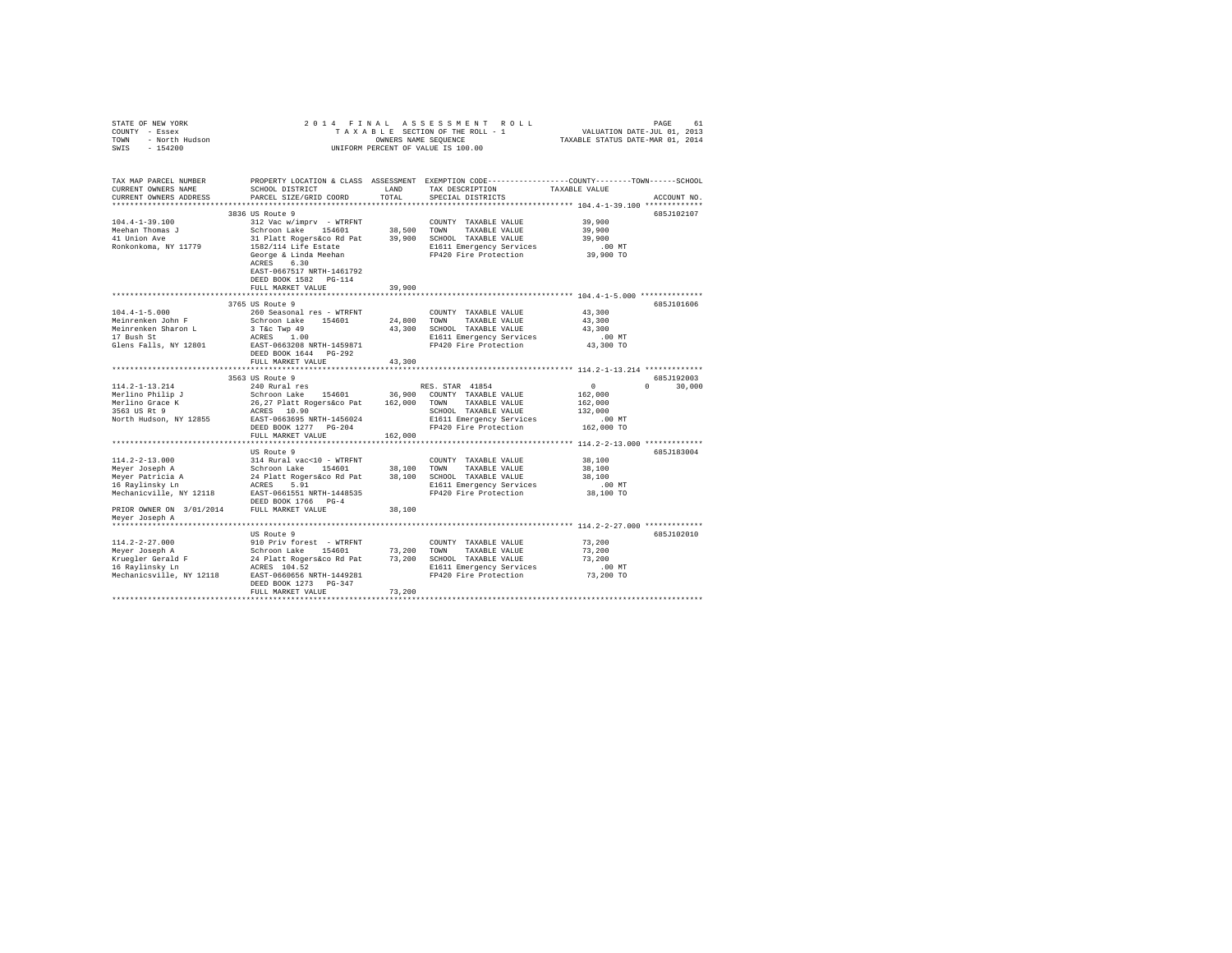| STATE OF NEW YORK<br>COUNTY - Essex<br>- North Hudson<br>TOWN<br>SWIS<br>$-154200$ |                                                                                                                                              | OWNERS NAME SEOUENCE | 2014 FINAL ASSESSMENT ROLL<br>TAXABLE SECTION OF THE ROLL - 1<br>UNIFORM PERCENT OF VALUE IS 100.00 | VALUATION DATE-JUL 01, 2013<br>TAXABLE STATUS DATE-MAR 01, 2014 | PAGE<br>61    |
|------------------------------------------------------------------------------------|----------------------------------------------------------------------------------------------------------------------------------------------|----------------------|-----------------------------------------------------------------------------------------------------|-----------------------------------------------------------------|---------------|
| TAX MAP PARCEL NUMBER<br>CURRENT OWNERS NAME<br>CURRENT OWNERS ADDRESS             | PROPERTY LOCATION & CLASS ASSESSMENT EXEMPTION CODE---------------COUNTY-------TOWN------SCHOOL<br>SCHOOL DISTRICT<br>PARCEL SIZE/GRID COORD | LAND<br>TOTAL        | TAX DESCRIPTION<br>SPECIAL DISTRICTS                                                                | TAXABLE VALUE                                                   | ACCOUNT NO.   |
|                                                                                    |                                                                                                                                              |                      |                                                                                                     |                                                                 |               |
|                                                                                    | 3836 US Route 9                                                                                                                              |                      |                                                                                                     |                                                                 | 685J102107    |
| $104.4 - 1 - 39.100$                                                               | 312 Vac w/imprv - WTRFNT                                                                                                                     |                      | COUNTY TAXABLE VALUE                                                                                | 39,900                                                          |               |
| Meehan Thomas J                                                                    | Schroon Lake 154601                                                                                                                          |                      | 38,500 TOWN<br>TAXABLE VALUE                                                                        | 39,900                                                          |               |
| 41 Union Ave                                                                       | 31 Platt Rogers&co Rd Pat                                                                                                                    |                      | 39,900 SCHOOL TAXABLE VALUE                                                                         | 39,900                                                          |               |
| Ronkonkoma, NY 11779                                                               | 1582/114 Life Estate                                                                                                                         |                      | E1611 Emergency Services<br>FP420 Fire Protection                                                   | $.00$ MT                                                        |               |
|                                                                                    | George & Linda Meehan<br>ACRES 6.30                                                                                                          |                      |                                                                                                     | 39,900 TO                                                       |               |
|                                                                                    | EAST-0667517 NRTH-1461792                                                                                                                    |                      |                                                                                                     |                                                                 |               |
|                                                                                    | DEED BOOK 1582 PG-114                                                                                                                        |                      |                                                                                                     |                                                                 |               |
|                                                                                    | FULL MARKET VALUE                                                                                                                            | 39,900               |                                                                                                     |                                                                 |               |
|                                                                                    | ************************                                                                                                                     |                      | **************************** 104.4-1-5.000 **************                                           |                                                                 |               |
|                                                                                    | 3765 US Route 9                                                                                                                              |                      |                                                                                                     |                                                                 | 685J101606    |
| $104.4 - 1 - 5.000$                                                                | 260 Seasonal res - WTRFNT                                                                                                                    |                      | COUNTY TAXABLE VALUE                                                                                | 43,300                                                          |               |
| Meinrenken John F                                                                  | Schroon Lake 154601                                                                                                                          |                      | 24,800 TOWN<br>TAXABLE VALUE                                                                        | 43,300                                                          |               |
| Meinrenken Sharon L                                                                | 3 T&c Twp 49                                                                                                                                 |                      | 43,300 SCHOOL TAXABLE VALUE                                                                         | 43,300                                                          |               |
| 17 Bush St                                                                         | ACRES 1.00                                                                                                                                   |                      | E1611 Emergency Services                                                                            | $.00$ MT                                                        |               |
| Glens Falls, NY 12801                                                              | EAST-0663208 NRTH-1459871                                                                                                                    |                      | FP420 Fire Protection                                                                               | 43,300 TO                                                       |               |
|                                                                                    | DEED BOOK 1644 PG-292                                                                                                                        |                      |                                                                                                     |                                                                 |               |
|                                                                                    | FULL MARKET VALUE                                                                                                                            | 43,300               |                                                                                                     |                                                                 |               |
|                                                                                    |                                                                                                                                              |                      |                                                                                                     |                                                                 |               |
|                                                                                    | 3563 US Route 9                                                                                                                              |                      |                                                                                                     |                                                                 | 685J192003    |
| $114.2 - 1 - 13.214$                                                               | 240 Rural res                                                                                                                                |                      | RES. STAR 41854                                                                                     | $\mathbf{0}$                                                    | $0 \t 30,000$ |
| Merlino Philip J                                                                   | Schroon Lake 154601                                                                                                                          |                      | 36,900 COUNTY TAXABLE VALUE                                                                         | 162,000                                                         |               |
| Merlino Grace K                                                                    | 26,27 Platt Rogers&co Pat 162,000 TOWN                                                                                                       |                      | TAXABLE VALUE                                                                                       | 162,000                                                         |               |
| 3563 US Rt 9                                                                       | ACRES 10.90                                                                                                                                  |                      | SCHOOL TAXABLE VALUE                                                                                | 132,000                                                         |               |
| North Hudson, NY 12855                                                             | EAST-0663695 NRTH-1456024                                                                                                                    |                      | E1611 Emergency Services                                                                            | $.00$ MT                                                        |               |
|                                                                                    | DEED BOOK 1277 PG-204                                                                                                                        |                      | FP420 Fire Protection                                                                               | 162,000 TO                                                      |               |
|                                                                                    | FULL MARKET VALUE<br>***************************                                                                                             | 162,000              |                                                                                                     |                                                                 |               |
|                                                                                    |                                                                                                                                              |                      |                                                                                                     |                                                                 |               |
| $114.2 - 2 - 13.000$                                                               | US Route 9<br>314 Rural vac<10 - WTRFNT                                                                                                      |                      | COUNTY TAXABLE VALUE                                                                                | 38,100                                                          | 685J183004    |
| Meyer Joseph A                                                                     |                                                                                                                                              | 38,100 TOWN          | TAXABLE VALUE                                                                                       | 38,100                                                          |               |
| Meyer Patricia A                                                                   | Schroon Lake 154601<br>24 Platt Rogers&co Rd Pat                                                                                             |                      | 38,100 SCHOOL TAXABLE VALUE                                                                         | 38,100                                                          |               |
| 16 Raylinsky Ln                                                                    | ACRES 5.91                                                                                                                                   |                      | E1611 Emergency Services                                                                            | $.00$ MT                                                        |               |
| Mechanicville, NY 12118                                                            | EAST-0661551 NRTH-1448535                                                                                                                    |                      | FP420 Fire Protection                                                                               | 38,100 TO                                                       |               |
|                                                                                    | DEED BOOK 1766 PG-4                                                                                                                          |                      |                                                                                                     |                                                                 |               |
| PRIOR OWNER ON 3/01/2014 FULL MARKET VALUE                                         |                                                                                                                                              | 38,100               |                                                                                                     |                                                                 |               |
| Meyer Joseph A                                                                     |                                                                                                                                              |                      |                                                                                                     |                                                                 |               |
|                                                                                    |                                                                                                                                              |                      |                                                                                                     |                                                                 |               |
|                                                                                    | US Route 9                                                                                                                                   |                      |                                                                                                     |                                                                 | 685J102010    |
| 114.2-2-27.000                                                                     | 910 Priv forest - WTRFNT                                                                                                                     |                      | COUNTY TAXABLE VALUE                                                                                | 73,200                                                          |               |
| Meyer Joseph A                                                                     | Schroon Lake 154601                                                                                                                          |                      | 73,200 TOWN<br>TAXABLE VALUE                                                                        | 73,200                                                          |               |
|                                                                                    | 24 Platt Rogers&co Rd Pat                                                                                                                    |                      | 73,200 SCHOOL TAXABLE VALUE                                                                         | 73,200                                                          |               |
| Kruegler Gerald F<br>16 Raylinsky Ln                                               | ACRES 104.52                                                                                                                                 |                      | E1611 Emergency Services                                                                            | $.00$ MT                                                        |               |
| Mechanicsville, NY 12118                                                           | EAST-0660656 NRTH-1449281                                                                                                                    |                      | FP420 Fire Protection                                                                               | 73,200 TO                                                       |               |
|                                                                                    | DEED BOOK 1273 PG-347                                                                                                                        |                      |                                                                                                     |                                                                 |               |
|                                                                                    | FULL MARKET VALUE                                                                                                                            | 73,200               |                                                                                                     |                                                                 |               |
|                                                                                    |                                                                                                                                              |                      |                                                                                                     |                                                                 |               |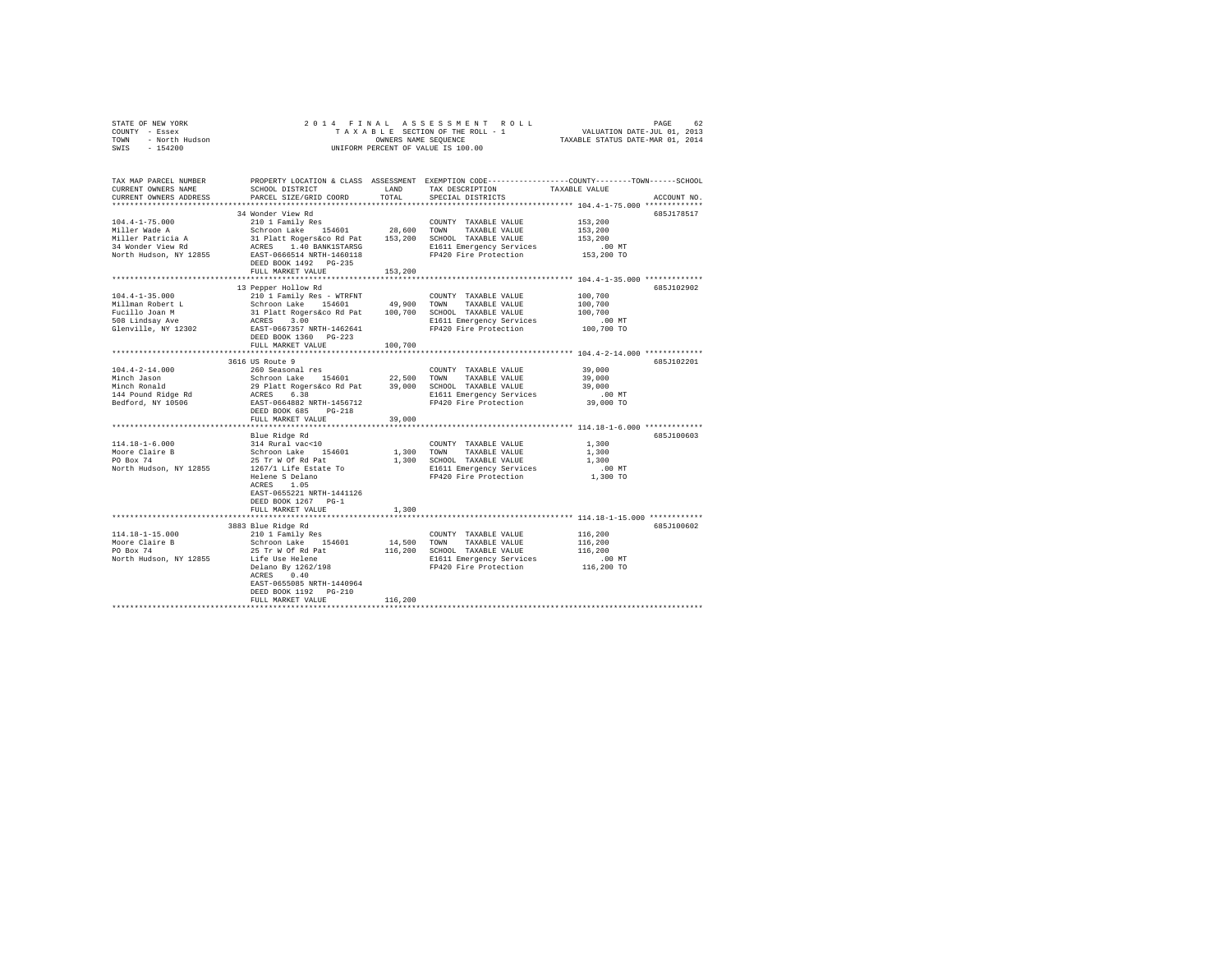| $\begin{array}{cccccccccccccccc} \texttt{STNR} & \texttt{OREN} & \texttt{NOR} & \texttt{PAGE} & \texttt{SUS} & \texttt{SUS} & \texttt{SUS} & \texttt{SUS} & \texttt{SUS} & \texttt{SUS} & \texttt{SUS} & \texttt{SUS} & \texttt{SUS} & \texttt{SUS} & \texttt{SUS} & \texttt{SUS} & \texttt{SUS} & \texttt{SUS} & \texttt{SUS} & \texttt{SUS} & \texttt{SUS} & \texttt{SUS} & \texttt{SUS} & \texttt{SUS} & \texttt{SUS} & \texttt{SUS} & \text$ |                                                                                                                                                                                                                                            |         |                                                                 |                  |             |
|--------------------------------------------------------------------------------------------------------------------------------------------------------------------------------------------------------------------------------------------------------------------------------------------------------------------------------------------------------------------------------------------------------------------------------------------------|--------------------------------------------------------------------------------------------------------------------------------------------------------------------------------------------------------------------------------------------|---------|-----------------------------------------------------------------|------------------|-------------|
|                                                                                                                                                                                                                                                                                                                                                                                                                                                  |                                                                                                                                                                                                                                            |         |                                                                 |                  |             |
|                                                                                                                                                                                                                                                                                                                                                                                                                                                  |                                                                                                                                                                                                                                            |         |                                                                 |                  |             |
|                                                                                                                                                                                                                                                                                                                                                                                                                                                  |                                                                                                                                                                                                                                            |         |                                                                 |                  |             |
| TAX MAP PARCEL NUMBER THE PROPERTY LOCATION & CLASS ASSESSMENT EXEMPTION CODE--------------COUNTY-------TOWN-----SCHOOL                                                                                                                                                                                                                                                                                                                          |                                                                                                                                                                                                                                            |         |                                                                 |                  |             |
| CURRENT OWNERS NAME                                                                                                                                                                                                                                                                                                                                                                                                                              | SCHOOL DISTRICT                                                                                                                                                                                                                            | LAND    | TAX DESCRIPTION                                                 | TAXABLE VALUE    |             |
| CURRENT OWNERS ADDRESS                                                                                                                                                                                                                                                                                                                                                                                                                           | PARCEL SIZE/GRID COORD                                                                                                                                                                                                                     | TOTAL   | SPECIAL DISTRICTS                                               |                  | ACCOUNT NO. |
|                                                                                                                                                                                                                                                                                                                                                                                                                                                  | 34 Wonder View Rd                                                                                                                                                                                                                          |         |                                                                 |                  | 685J178517  |
| $104.4 - 1 - 75.000$                                                                                                                                                                                                                                                                                                                                                                                                                             | 210 1 Family Res                                                                                                                                                                                                                           |         | COUNTY TAXABLE VALUE                                            | 153,200          |             |
| Miller Wade A                                                                                                                                                                                                                                                                                                                                                                                                                                    |                                                                                                                                                                                                                                            |         |                                                                 | 153,200          |             |
|                                                                                                                                                                                                                                                                                                                                                                                                                                                  | 210 1 Family Res 154601 28,600 TOWN TAXABLE VALUE<br>31 Platt Rogers Co Rd Pat 153,200 SCHOOL TAXABLE VALUE<br>31 Platt Rogers Company 153,200 SCHOOL TAXABLE VALUE<br>REES 1.40 BANK1STARSG E1611 Emergency Services<br>EAST-0666514 NRTH |         |                                                                 | 153,200          |             |
| Miller Patricia A<br>34 Wonder View Rd                                                                                                                                                                                                                                                                                                                                                                                                           |                                                                                                                                                                                                                                            |         |                                                                 | $.00$ MT         |             |
| North Hudson, NY 12855                                                                                                                                                                                                                                                                                                                                                                                                                           |                                                                                                                                                                                                                                            |         |                                                                 | 153,200 TO       |             |
|                                                                                                                                                                                                                                                                                                                                                                                                                                                  | DEED BOOK 1492 PG-235                                                                                                                                                                                                                      |         |                                                                 |                  |             |
|                                                                                                                                                                                                                                                                                                                                                                                                                                                  | FULL MARKET VALUE                                                                                                                                                                                                                          | 153,200 |                                                                 |                  |             |
|                                                                                                                                                                                                                                                                                                                                                                                                                                                  |                                                                                                                                                                                                                                            |         | ********************************* 104.4-1-35.000 ************** |                  |             |
| $104.4 - 1 - 35.000$                                                                                                                                                                                                                                                                                                                                                                                                                             | 13 Pepper Hollow Rd<br>210 1 Family Res - WTRFNT                                                                                                                                                                                           |         |                                                                 | 100,700          | 685J102902  |
|                                                                                                                                                                                                                                                                                                                                                                                                                                                  |                                                                                                                                                                                                                                            |         |                                                                 | 100,700          |             |
| Millman Robert L<br>Fucillo Joan M<br>508 Lindsay Ave                                                                                                                                                                                                                                                                                                                                                                                            |                                                                                                                                                                                                                                            |         |                                                                 | 100,700          |             |
|                                                                                                                                                                                                                                                                                                                                                                                                                                                  |                                                                                                                                                                                                                                            |         |                                                                 | .00 MT           |             |
| Substitution of $\frac{1}{2}$ and $\frac{1}{2}$ and $\frac{1}{2}$ and $\frac{1}{2}$ and $\frac{1}{2}$ and $\frac{1}{2}$ and $\frac{1}{2}$ and $\frac{1}{2}$ and $\frac{1}{2}$ and $\frac{1}{2}$ and $\frac{1}{2}$ and $\frac{1}{2}$ and $\frac{1}{2}$ and $\frac{1}{2}$ and $\frac{1}{2}$                                                                                                                                                        |                                                                                                                                                                                                                                            |         |                                                                 | 100,700 TO       |             |
|                                                                                                                                                                                                                                                                                                                                                                                                                                                  | DEED BOOK 1360 PG-223                                                                                                                                                                                                                      |         |                                                                 |                  |             |
|                                                                                                                                                                                                                                                                                                                                                                                                                                                  | FULL MARKET VALUE                                                                                                                                                                                                                          | 100,700 |                                                                 |                  |             |
|                                                                                                                                                                                                                                                                                                                                                                                                                                                  |                                                                                                                                                                                                                                            |         |                                                                 |                  |             |
|                                                                                                                                                                                                                                                                                                                                                                                                                                                  | 3616 US Route 9                                                                                                                                                                                                                            |         |                                                                 |                  | 685J102201  |
| $104.4 - 2 - 14.000$                                                                                                                                                                                                                                                                                                                                                                                                                             | 260 Seasonal res                                                                                                                                                                                                                           |         | COUNTY TAXABLE VALUE                                            | 39,000           |             |
| Minch Jason<br>Minch Ronald                                                                                                                                                                                                                                                                                                                                                                                                                      |                                                                                                                                                                                                                                            |         |                                                                 | 39,000<br>39,000 |             |
|                                                                                                                                                                                                                                                                                                                                                                                                                                                  | Notion Lake 154601 22,500 COMMI TAXABLE VALUE<br>29 Platt Rogerskoo Rd Pat 39,000 SCHOOL TAXABLE VALUE<br>29 Platt Rogerskoo Rd Pat 39,000 SCHOOL TAXABLE VALUE<br>20 Pier Protection<br>282T-0664882 NRTH-1456712 PP420 Fire Protection   |         |                                                                 | $.00$ MT         |             |
| 144 Pound Ridge Rd<br>Bedford, NY 10506                                                                                                                                                                                                                                                                                                                                                                                                          |                                                                                                                                                                                                                                            |         | E1611 Emergency Services<br>FP420 Fire Protection               | 39,000 TO        |             |
|                                                                                                                                                                                                                                                                                                                                                                                                                                                  | DEED BOOK 685 PG-218                                                                                                                                                                                                                       |         |                                                                 |                  |             |
|                                                                                                                                                                                                                                                                                                                                                                                                                                                  | FULL MARKET VALUE                                                                                                                                                                                                                          | 39,000  |                                                                 |                  |             |
|                                                                                                                                                                                                                                                                                                                                                                                                                                                  |                                                                                                                                                                                                                                            |         |                                                                 |                  |             |
|                                                                                                                                                                                                                                                                                                                                                                                                                                                  | Blue Ridge Rd                                                                                                                                                                                                                              |         |                                                                 |                  | 685J100603  |
| 114.18-1-6.000<br>Moore Claire B<br>PO Box 74                                                                                                                                                                                                                                                                                                                                                                                                    | 314 Rural vac<10                                                                                                                                                                                                                           |         | COUNTY TAXABLE VALUE                                            | 1,300            |             |
|                                                                                                                                                                                                                                                                                                                                                                                                                                                  | Schroon Lake 154601                                                                                                                                                                                                                        |         | 1,300 TOWN TAXABLE VALUE                                        | 1,300            |             |
|                                                                                                                                                                                                                                                                                                                                                                                                                                                  | 25 Tr W Of Rd Pat                                                                                                                                                                                                                          |         | 1,300 SCHOOL TAXABLE VALUE                                      | 1,300            |             |
| North Hudson, NY 12855                                                                                                                                                                                                                                                                                                                                                                                                                           | 1267/1 Life Estate To<br>Helene S Delano                                                                                                                                                                                                   |         | E1611 Emergency Services .00 MT<br>FP420 Fire Protection .00 TO |                  |             |
|                                                                                                                                                                                                                                                                                                                                                                                                                                                  | ACRES 1.05                                                                                                                                                                                                                                 |         |                                                                 |                  |             |
|                                                                                                                                                                                                                                                                                                                                                                                                                                                  | EAST-0655221 NRTH-1441126                                                                                                                                                                                                                  |         |                                                                 |                  |             |
|                                                                                                                                                                                                                                                                                                                                                                                                                                                  | DEED BOOK 1267 PG-1                                                                                                                                                                                                                        |         |                                                                 |                  |             |
|                                                                                                                                                                                                                                                                                                                                                                                                                                                  | FULL MARKET VALUE                                                                                                                                                                                                                          | 1,300   |                                                                 |                  |             |
|                                                                                                                                                                                                                                                                                                                                                                                                                                                  |                                                                                                                                                                                                                                            |         |                                                                 |                  |             |
|                                                                                                                                                                                                                                                                                                                                                                                                                                                  | 3883 Blue Ridge Rd                                                                                                                                                                                                                         |         |                                                                 |                  | 685J100602  |
| 114.18-1-15.000                                                                                                                                                                                                                                                                                                                                                                                                                                  | 210 1 Family Res                                                                                                                                                                                                                           |         | COUNTY TAXABLE VALUE                                            | 116,200          |             |
| Moore Claire B<br>PO Box 74                                                                                                                                                                                                                                                                                                                                                                                                                      | Schroon Lake 154601                                                                                                                                                                                                                        |         | 14,500 TOWN TAXABLE VALUE                                       | 116,200          |             |
|                                                                                                                                                                                                                                                                                                                                                                                                                                                  | 25 Tr W Of Rd Pat                                                                                                                                                                                                                          |         | 116,200 SCHOOL TAXABLE VALUE                                    | 116,200          |             |
| North Hudson, NY 12855                                                                                                                                                                                                                                                                                                                                                                                                                           | Life Use Helene                                                                                                                                                                                                                            |         | E1611 Emergency Services                                        | $.00$ MT         |             |
|                                                                                                                                                                                                                                                                                                                                                                                                                                                  | Delano By 1262/198<br>ACRES 0.40                                                                                                                                                                                                           |         | FP420 Fire Protection 116,200 TO                                |                  |             |
|                                                                                                                                                                                                                                                                                                                                                                                                                                                  | EAST-0655085 NRTH-1440964                                                                                                                                                                                                                  |         |                                                                 |                  |             |
|                                                                                                                                                                                                                                                                                                                                                                                                                                                  | DEED BOOK 1192   PG-210                                                                                                                                                                                                                    |         |                                                                 |                  |             |
|                                                                                                                                                                                                                                                                                                                                                                                                                                                  | FULL MARKET VALUE                                                                                                                                                                                                                          | 116,200 |                                                                 |                  |             |
|                                                                                                                                                                                                                                                                                                                                                                                                                                                  |                                                                                                                                                                                                                                            |         |                                                                 |                  |             |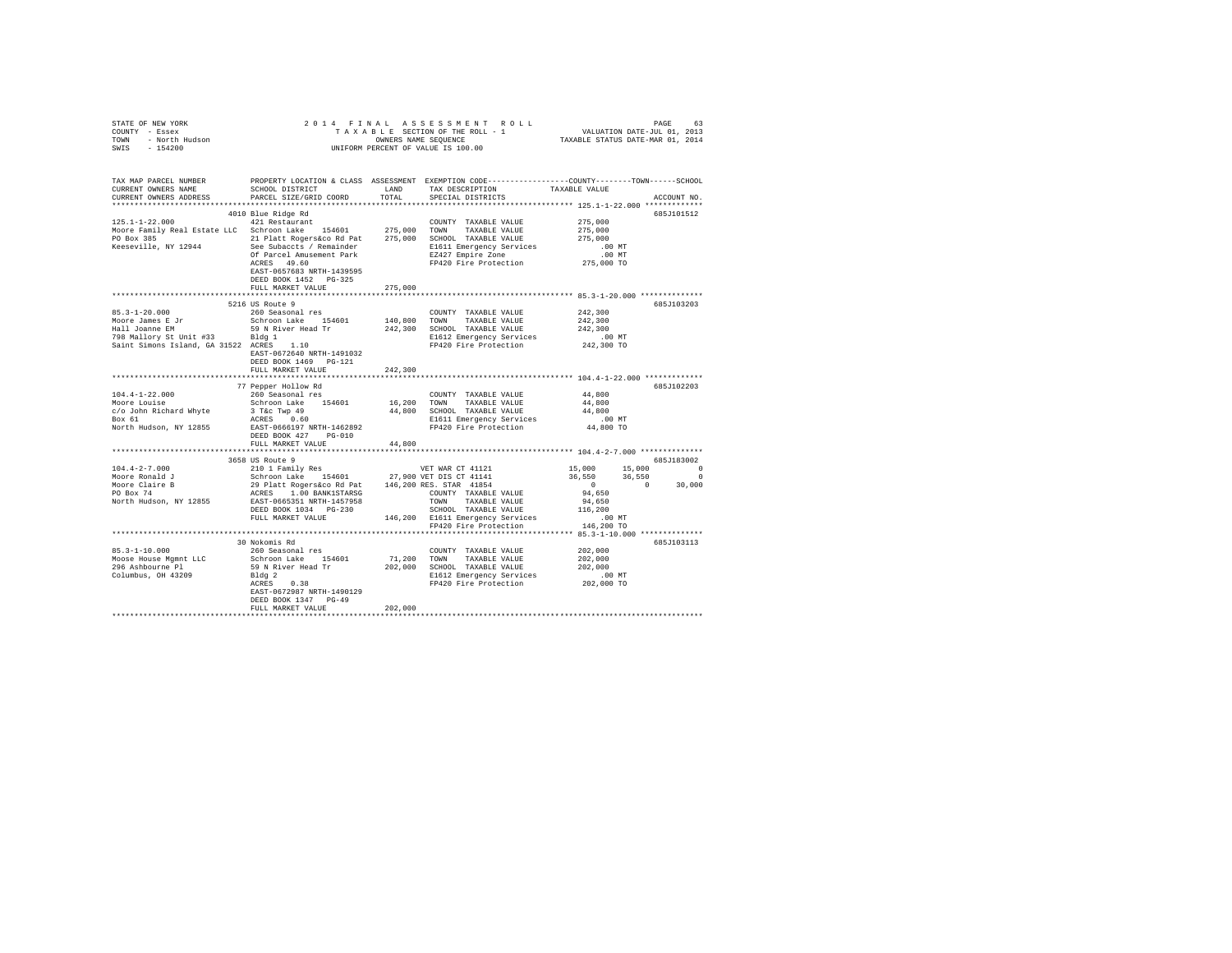| $\begin{array}{cccccccccccccccc} \texttt{STNR} & \texttt{OREN} & \texttt{NOR} & \texttt{R.5} & \texttt{S.5} & \texttt{S.5} & \texttt{S.5} & \texttt{S.6} & \texttt{S.6} & \texttt{S.6} & \texttt{S.6} \\ \texttt{COUTY} & - & \texttt{Eosex} & \texttt{G.6} & \texttt{G.6} & \texttt{G.6} & \texttt{G.6} & \texttt{G.6} & \texttt{G.6} & \texttt{G.6} \\ \texttt{T.6} & - & \texttt{R.6} & \texttt{R.6} & \text$ |                                                                                                                      |               |                              |                                                     |                                                                                                                                                          |
|------------------------------------------------------------------------------------------------------------------------------------------------------------------------------------------------------------------------------------------------------------------------------------------------------------------------------------------------------------------------------------------------------------------|----------------------------------------------------------------------------------------------------------------------|---------------|------------------------------|-----------------------------------------------------|----------------------------------------------------------------------------------------------------------------------------------------------------------|
|                                                                                                                                                                                                                                                                                                                                                                                                                  |                                                                                                                      |               |                              |                                                     |                                                                                                                                                          |
|                                                                                                                                                                                                                                                                                                                                                                                                                  |                                                                                                                      |               |                              |                                                     |                                                                                                                                                          |
|                                                                                                                                                                                                                                                                                                                                                                                                                  |                                                                                                                      |               |                              |                                                     |                                                                                                                                                          |
| TAX MAP PARCEL NUMBER PROPERTY LOCATION & CLASS ASSESSMENT EXEMPTION CODE--------------COUNTY-------TOWN------SCHOOL                                                                                                                                                                                                                                                                                             |                                                                                                                      |               |                              |                                                     |                                                                                                                                                          |
| CURRENT OWNERS NAME                                                                                                                                                                                                                                                                                                                                                                                              | SCHOOL DISTRICT LAND                                                                                                 |               | TAX DESCRIPTION              | TAXABLE VALUE                                       |                                                                                                                                                          |
| CURRENT OWNERS ADDRESS                                                                                                                                                                                                                                                                                                                                                                                           | PARCEL SIZE/GRID COORD                                                                                               | TOTAL         | SPECIAL DISTRICTS            |                                                     | ACCOUNT NO.                                                                                                                                              |
|                                                                                                                                                                                                                                                                                                                                                                                                                  |                                                                                                                      |               |                              |                                                     |                                                                                                                                                          |
|                                                                                                                                                                                                                                                                                                                                                                                                                  | 4010 Blue Ridge Rd                                                                                                   |               |                              |                                                     | 685J101512                                                                                                                                               |
| 125.1-1-22.000<br>Moore Family Real Estate LLC Schroon Lake 154601 275,000 TOWN TAXABLE VALUE                                                                                                                                                                                                                                                                                                                    | 421 Restaurant                                                                                                       |               | COUNTY TAXABLE VALUE         | 275,000                                             |                                                                                                                                                          |
|                                                                                                                                                                                                                                                                                                                                                                                                                  |                                                                                                                      |               |                              | 275,000                                             |                                                                                                                                                          |
|                                                                                                                                                                                                                                                                                                                                                                                                                  |                                                                                                                      |               |                              |                                                     |                                                                                                                                                          |
|                                                                                                                                                                                                                                                                                                                                                                                                                  |                                                                                                                      |               |                              |                                                     |                                                                                                                                                          |
| PO Box 385<br>PO Box 385<br>PO Box 385<br>PO Box 385<br>21 Platt Rogers access to Reat and 275,000<br>21 Platt Rogers and Park 275,000<br>21 Platt Reserville, NY 12944<br>22 Platt Reserville, NY 12944<br>22 Parcel Amusement Park B1611 Bme                                                                                                                                                                   |                                                                                                                      |               |                              |                                                     |                                                                                                                                                          |
|                                                                                                                                                                                                                                                                                                                                                                                                                  | EAST-0657683 NRTH-1439595                                                                                            |               |                              |                                                     |                                                                                                                                                          |
|                                                                                                                                                                                                                                                                                                                                                                                                                  | DEED BOOK 1452   PG-325                                                                                              |               |                              |                                                     |                                                                                                                                                          |
|                                                                                                                                                                                                                                                                                                                                                                                                                  | FULL MARKET VALUE                                                                                                    | 275,000       |                              |                                                     |                                                                                                                                                          |
|                                                                                                                                                                                                                                                                                                                                                                                                                  | 5216 US Route 9                                                                                                      | ************* |                              | ********************** 85.3-1-20.000 ************** |                                                                                                                                                          |
| $85.3 - 1 - 20.000$                                                                                                                                                                                                                                                                                                                                                                                              | 260 Seasonal res                                                                                                     |               | COUNTY TAXABLE VALUE         | 242,300                                             | 685J103203                                                                                                                                               |
|                                                                                                                                                                                                                                                                                                                                                                                                                  | Schroon Lake 154601 140,800 TOWN                                                                                     |               | TAXABLE VALUE                | 242,300                                             |                                                                                                                                                          |
| Moore James E Jr<br>Hall Joanne EM                                                                                                                                                                                                                                                                                                                                                                               |                                                                                                                      |               |                              | 242,300                                             |                                                                                                                                                          |
|                                                                                                                                                                                                                                                                                                                                                                                                                  |                                                                                                                      |               |                              | .00 MT                                              |                                                                                                                                                          |
|                                                                                                                                                                                                                                                                                                                                                                                                                  |                                                                                                                      |               |                              | 242,300 TO                                          |                                                                                                                                                          |
|                                                                                                                                                                                                                                                                                                                                                                                                                  | EAST-0672640 NRTH-1491032                                                                                            |               |                              |                                                     |                                                                                                                                                          |
|                                                                                                                                                                                                                                                                                                                                                                                                                  | DEED BOOK 1469    PG-121                                                                                             |               |                              |                                                     |                                                                                                                                                          |
|                                                                                                                                                                                                                                                                                                                                                                                                                  | FULL MARKET VALUE                                                                                                    | 242,300       |                              |                                                     |                                                                                                                                                          |
|                                                                                                                                                                                                                                                                                                                                                                                                                  | 77 Pepper Hollow Rd                                                                                                  |               |                              |                                                     | 685J102203                                                                                                                                               |
| $104.4 - 1 - 22.000$                                                                                                                                                                                                                                                                                                                                                                                             | 260 Seasonal res                                                                                                     |               | COUNTY TAXABLE VALUE         | 44,800                                              |                                                                                                                                                          |
|                                                                                                                                                                                                                                                                                                                                                                                                                  |                                                                                                                      |               |                              | 44,800                                              |                                                                                                                                                          |
|                                                                                                                                                                                                                                                                                                                                                                                                                  |                                                                                                                      |               |                              | 44,800                                              |                                                                                                                                                          |
|                                                                                                                                                                                                                                                                                                                                                                                                                  |                                                                                                                      |               |                              | $.00$ MT                                            |                                                                                                                                                          |
| $\frac{\text{Box 61}}{\text{North Hudson, NY } 12855}$ $\frac{\text{ACRES}}{\text{EST} - 0666197 \cdot \text{NRTH} - 1462892}$ $\frac{\text{E1611 Emergency Services}}{\text{FP420 Fire Protection}}$ $\frac{\text{F161}}{\text{F2420 Fire Protection}}$                                                                                                                                                         |                                                                                                                      |               |                              | 44,800 TO                                           |                                                                                                                                                          |
|                                                                                                                                                                                                                                                                                                                                                                                                                  | DEED BOOK 427 PG-010                                                                                                 |               |                              |                                                     |                                                                                                                                                          |
|                                                                                                                                                                                                                                                                                                                                                                                                                  | FULL MARKET VALUE                                                                                                    | 44,800        |                              |                                                     |                                                                                                                                                          |
|                                                                                                                                                                                                                                                                                                                                                                                                                  | 3658 US Route 9                                                                                                      |               |                              |                                                     | 685J183002                                                                                                                                               |
| $104.4 - 2 - 7.000$                                                                                                                                                                                                                                                                                                                                                                                              | 210 1 Family Res                                                                                                     |               |                              |                                                     |                                                                                                                                                          |
| Moore Ronald J                                                                                                                                                                                                                                                                                                                                                                                                   |                                                                                                                      |               |                              |                                                     |                                                                                                                                                          |
|                                                                                                                                                                                                                                                                                                                                                                                                                  | VET WAR CT 41121<br>Schroon Lake 154601 27,900 VET DIS CT 41141<br>29 Platt Rogersaco Rd Pat 146,200 RES. STAR 41854 |               |                              |                                                     | $\begin{array}{cccc} 15\,,000 & \quad & 15\,,000 & \quad & 0 \\ 36\,,550 & \quad & 36\,,550 & \quad & 0 \\ 0 & \quad & 0 & \quad & 30\,,000 \end{array}$ |
| Moore Claire B<br>PO Box 74                                                                                                                                                                                                                                                                                                                                                                                      |                                                                                                                      |               |                              |                                                     |                                                                                                                                                          |
|                                                                                                                                                                                                                                                                                                                                                                                                                  |                                                                                                                      |               |                              |                                                     |                                                                                                                                                          |
|                                                                                                                                                                                                                                                                                                                                                                                                                  |                                                                                                                      |               |                              |                                                     |                                                                                                                                                          |
|                                                                                                                                                                                                                                                                                                                                                                                                                  |                                                                                                                      |               |                              |                                                     |                                                                                                                                                          |
|                                                                                                                                                                                                                                                                                                                                                                                                                  |                                                                                                                      |               |                              |                                                     |                                                                                                                                                          |
|                                                                                                                                                                                                                                                                                                                                                                                                                  | 30 Nokomis Rd                                                                                                        |               |                              |                                                     | 685J103113                                                                                                                                               |
| $85.3 - 1 - 10.000$                                                                                                                                                                                                                                                                                                                                                                                              | 260 Seasonal res                                                                                                     |               | COUNTY TAXABLE VALUE 202,000 |                                                     |                                                                                                                                                          |
|                                                                                                                                                                                                                                                                                                                                                                                                                  |                                                                                                                      |               |                              |                                                     |                                                                                                                                                          |
|                                                                                                                                                                                                                                                                                                                                                                                                                  |                                                                                                                      |               |                              |                                                     |                                                                                                                                                          |
|                                                                                                                                                                                                                                                                                                                                                                                                                  |                                                                                                                      |               |                              |                                                     |                                                                                                                                                          |
|                                                                                                                                                                                                                                                                                                                                                                                                                  |                                                                                                                      |               |                              |                                                     |                                                                                                                                                          |
|                                                                                                                                                                                                                                                                                                                                                                                                                  | EAST-0672987 NRTH-1490129                                                                                            |               |                              |                                                     |                                                                                                                                                          |
|                                                                                                                                                                                                                                                                                                                                                                                                                  | DEED BOOK 1347 PG-49                                                                                                 |               |                              |                                                     |                                                                                                                                                          |
|                                                                                                                                                                                                                                                                                                                                                                                                                  | FULL MARKET VALUE                                                                                                    | 202,000       |                              |                                                     |                                                                                                                                                          |
|                                                                                                                                                                                                                                                                                                                                                                                                                  |                                                                                                                      |               |                              |                                                     |                                                                                                                                                          |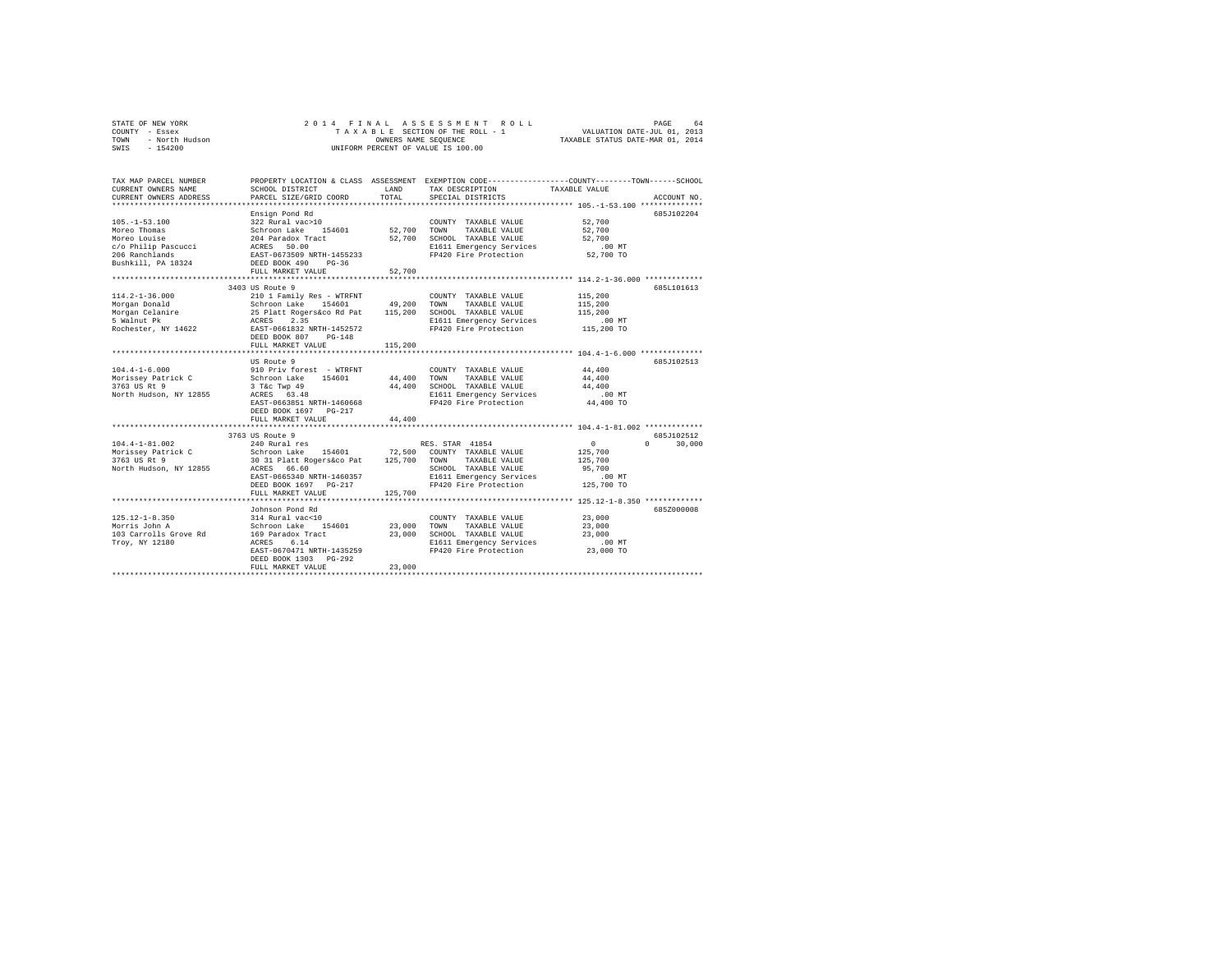|      | STATE OF NEW YORK | 2014 FINAL ASSESSMENT ROLL         | 64<br>PAGE                       |
|------|-------------------|------------------------------------|----------------------------------|
|      | COUNTY - Essex    | TAXABLE SECTION OF THE ROLL - 1    | VALUATION DATE-JUL 01, 2013      |
| TOWN | - North Hudson    | OWNERS NAME SEOUENCE               | TAXABLE STATUS DATE-MAR 01, 2014 |
| SWIS | $-154200$         | UNIFORM PERCENT OF VALUE IS 100.00 |                                  |

| TAX MAP PARCEL NUMBER<br>CURRENT OWNERS NAME<br>CURRENT OWNERS ADDRESS                                             | SCHOOL DISTRICT<br>PARCEL SIZE/GRID COORD                                                                                                                                                     | LAND<br>TOTAL              | PROPERTY LOCATION & CLASS ASSESSMENT EXEMPTION CODE---------------COUNTY-------TOWN-----SCHOOL<br>TAX DESCRIPTION<br>SPECIAL DISTRICTS | TAXABLE VALUE                                                  | ACCOUNT NO.                      |
|--------------------------------------------------------------------------------------------------------------------|-----------------------------------------------------------------------------------------------------------------------------------------------------------------------------------------------|----------------------------|----------------------------------------------------------------------------------------------------------------------------------------|----------------------------------------------------------------|----------------------------------|
| $105. - 1 - 53.100$<br>Moreo Thomas<br>Moreo Louise<br>c/o Philip Pascucci<br>206 Ranchlands<br>Bushkill, PA 18324 | Ensign Pond Rd<br>322 Rural vac>10<br>154601 52,700 TOWN<br>Schroon Lake<br>204 Paradox Tract<br>ACRES 50.00<br>EAST-0673509 NRTH-1455233<br>DEED BOOK 490 PG-36<br>FULL MARKET VALUE         | 52,700                     | COUNTY TAXABLE VALUE<br>TAXABLE VALUE<br>52,700 SCHOOL TAXABLE VALUE<br>E1611 Emergency Services<br>FP420 Fire Protection              | 52,700<br>52,700<br>52,700<br>$.00$ MT<br>52,700 TO            | 685J102204                       |
|                                                                                                                    | 3403 US Route 9                                                                                                                                                                               |                            |                                                                                                                                        |                                                                | 685L101613                       |
| $114.2 - 1 - 36.000$<br>Morgan Donald<br>Morgan Celanire<br>5 Walnut Pk<br>Rochester, NY 14622                     | 210 1 Family Res - WTRFNT<br>Schroon Lake 154601<br>25 Platt Rogers&co Rd Pat<br>ACRES 2.35<br>EAST-0661832 NRTH-1452572<br>DEED BOOK 807<br>$PG-148$<br>FULL MARKET VALUE                    | 49,200 TOWN<br>115,200     | COUNTY TAXABLE VALUE<br>TAXABLE VALUE<br>115,200 SCHOOL TAXABLE VALUE<br>E1611 Emergency Services<br>FP420 Fire Protection             | 115,200<br>115,200<br>115,200<br>$.00$ MT<br>$115,200$ TO      |                                  |
|                                                                                                                    | US Route 9                                                                                                                                                                                    |                            |                                                                                                                                        |                                                                | 685.T102513                      |
| $104.4 - 1 - 6.000$<br>Morissey Patrick C<br>3763 US Rt 9<br>North Hudson, NY 12855                                | 910 Priv forest - WTRFNT<br>Schroon Lake 154601<br>3 T&c Twp 49<br>ACRES 63.48<br>EAST-0663851 NRTH-1460668<br>DEED BOOK 1697 PG-217                                                          |                            | COUNTY TAXABLE VALUE<br>44,400 TOWN TAXABLE VALUE<br>44,400 SCHOOL TAXABLE VALUE<br>E1611 Emergency Services<br>FP420 Fire Protection  | 44,400<br>44,400<br>44,400<br>.00 MT<br>44,400 TO              |                                  |
|                                                                                                                    | FULL MARKET VALUE                                                                                                                                                                             | 44,400                     |                                                                                                                                        |                                                                |                                  |
| $104.4 - 1 - 81.002$<br>Morissey Patrick C<br>3763 US Rt 9<br>North Hudson, NY 12855                               | 3763 US Route 9<br>240 Rural res<br>Schroon Lake 154601 72,500 COUNTY TAXABLE VALUE<br>30 31 Platt Rogers&co Pat 125,700<br>ACRES 66.60<br>EAST-0665340 NRTH-1460357<br>DEED BOOK 1697 PG-217 |                            | RES. STAR 41854<br>TOWN<br>TAXABLE VALUE<br>SCHOOL TAXABLE VALUE<br>E1611 Emergency Services<br>FP420 Fire Protection                  | $\sim$<br>125,700<br>125,700<br>95,700<br>.00 MT<br>125,700 TO | 6857102512<br>$\Omega$<br>30,000 |
|                                                                                                                    | FULL MARKET VALUE                                                                                                                                                                             | 125,700                    |                                                                                                                                        | **************** 125.12-1-8.350 *************                  |                                  |
| $125.12 - 1 - 8.350$<br>Morris John A<br>103 Carrolls Grove Rd<br>Troy, NY 12180                                   | Johnson Pond Rd<br>314 Rural vac<10<br>Schroon Lake 154601<br>169 Paradox Tract<br>6.14<br>ACRES<br>EAST-0670471 NRTH-1435259<br>$PG-292$<br>DEED BOOK 1303<br>FULL MARKET VALUE              | 23,000<br>23,000<br>23,000 | COUNTY TAXABLE VALUE<br>TOWN<br>TAXABLE VALUE<br>SCHOOL TAXABLE VALUE<br>E1611 Emergency Services<br>FP420 Fire Protection             | 23,000<br>23,000<br>23,000<br>.00MT<br>23,000 TO               | 685Z000008                       |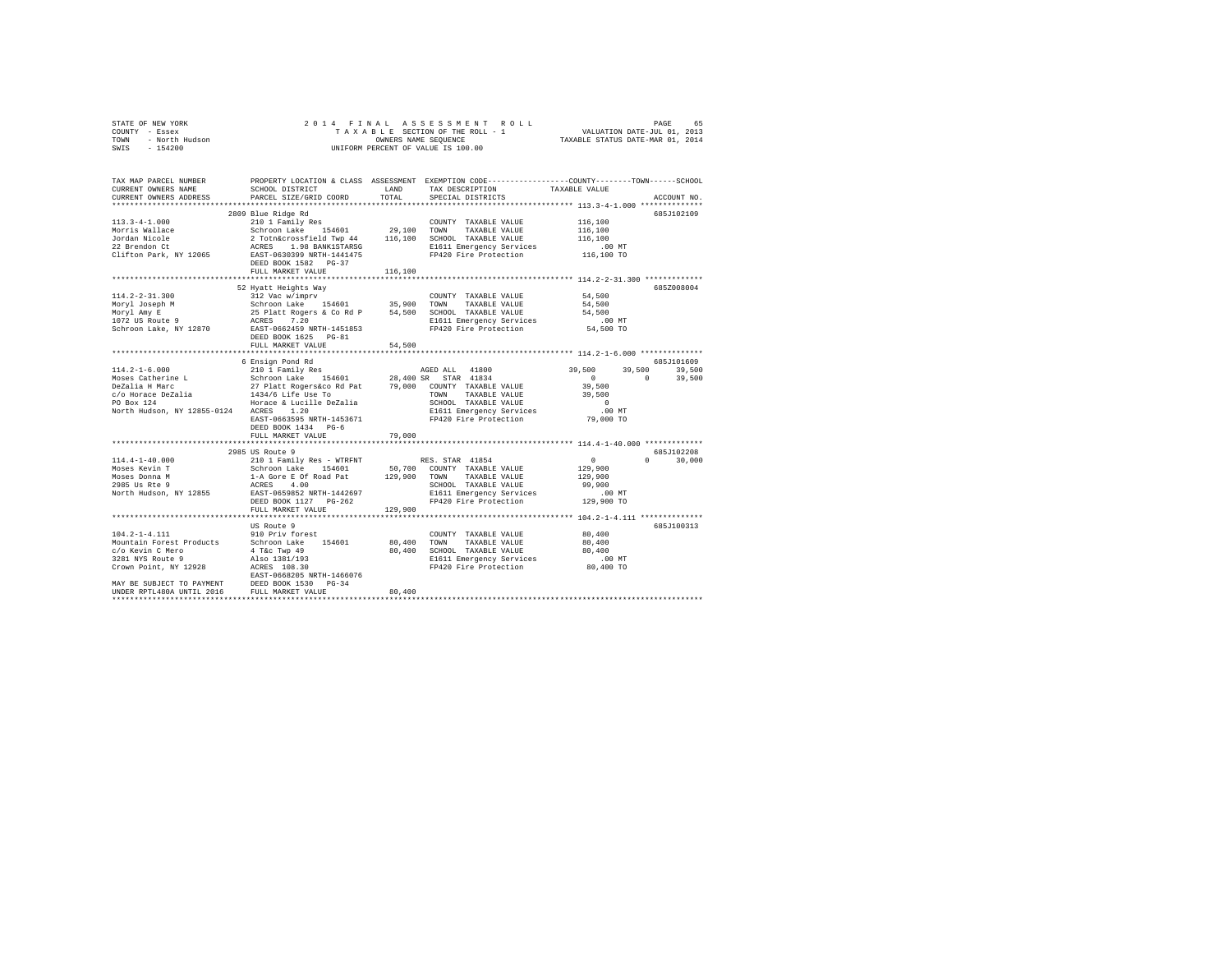| STATE OF NEW YORK      | 2014 FINAL ASSESSMENT ROLL         | 65<br>PAGE                       |
|------------------------|------------------------------------|----------------------------------|
| COUNTY - Essex         | TAXABLE SECTION OF THE ROLL - 1    | VALUATION DATE-JUL 01, 2013      |
| - North Hudson<br>TOWN | OWNERS NAME SEOUENCE               | TAXABLE STATUS DATE-MAR 01, 2014 |
| $-154200$<br>SWIS      | UNIFORM PERCENT OF VALUE IS 100.00 |                                  |
|                        |                                    |                                  |

| TAX MAP PARCEL NUMBER<br>CURRENT OWNERS NAME                                                                                                                                                        | SCHOOL DISTRICT                                                                                                                                                                                                                                          | LAND         | TAX DESCRIPTION             | PROPERTY LOCATION & CLASS ASSESSMENT EXEMPTION CODE---------------COUNTY-------TOWN-----SCHOOL<br>TAXABLE VALUE |
|-----------------------------------------------------------------------------------------------------------------------------------------------------------------------------------------------------|----------------------------------------------------------------------------------------------------------------------------------------------------------------------------------------------------------------------------------------------------------|--------------|-----------------------------|-----------------------------------------------------------------------------------------------------------------|
| CURRENT OWNERS ADDRESS                                                                                                                                                                              | PARCEL SIZE/GRID COORD                                                                                                                                                                                                                                   | TOTAL        | SPECIAL DISTRICTS           | ACCOUNT NO.                                                                                                     |
|                                                                                                                                                                                                     |                                                                                                                                                                                                                                                          |              |                             |                                                                                                                 |
|                                                                                                                                                                                                     | 2809 Blue Ridge Rd                                                                                                                                                                                                                                       |              |                             | 685J102109                                                                                                      |
| $113.3 - 4 - 1.000$                                                                                                                                                                                 | 210 1 Family Res<br>210 1 Family Res 210 1000 1000 1000 2000 2000 2000 2100 2100 2100 2100 2100 2100 2100 2100 2100 2100 2100 2100<br>2 Toth&crossfield Twp 44 29,100 5CHOOL TAXABLE VALUE<br>2 ACRES 1.98 BANKISTARSG 2100 21611 Emergency Service 2100 |              | COUNTY TAXABLE VALUE        | 116,100                                                                                                         |
| Morris Wallace                                                                                                                                                                                      |                                                                                                                                                                                                                                                          |              |                             | 116,100                                                                                                         |
| Jordan Nicole                                                                                                                                                                                       |                                                                                                                                                                                                                                                          |              |                             | 116,100                                                                                                         |
| 22 Brendon Ct                                                                                                                                                                                       |                                                                                                                                                                                                                                                          |              | E1611 Emergency Services    | .00MT                                                                                                           |
| Clifton Park, NY 12065                                                                                                                                                                              |                                                                                                                                                                                                                                                          |              | FP420 Fire Protection       | 116,100 TO                                                                                                      |
|                                                                                                                                                                                                     | DEED BOOK 1582 PG-37                                                                                                                                                                                                                                     | 116,100      |                             |                                                                                                                 |
|                                                                                                                                                                                                     | FULL MARKET VALUE                                                                                                                                                                                                                                        |              |                             |                                                                                                                 |
|                                                                                                                                                                                                     | 52 Hyatt Heights Way                                                                                                                                                                                                                                     |              |                             | 685Z008004                                                                                                      |
| $114.2 - 2 - 31.300$                                                                                                                                                                                | 312 Vac w/imprv                                                                                                                                                                                                                                          |              | COUNTY TAXABLE VALUE        | 54,500                                                                                                          |
| Moryl Joseph M                                                                                                                                                                                      | Schroon Lake 154601 35,900 TOWN                                                                                                                                                                                                                          |              | TAXABLE VALUE               | 54,500                                                                                                          |
| Moryl Amy E                                                                                                                                                                                         |                                                                                                                                                                                                                                                          |              |                             | 54,500                                                                                                          |
| noryi Amy E<br>1072 US Route 9                                                                                                                                                                      |                                                                                                                                                                                                                                                          |              | E1611 Emergency Services    | $.00$ MT                                                                                                        |
| Schroon Lake, NY 12870                                                                                                                                                                              | EAST-0662459 NRTH-1451853                                                                                                                                                                                                                                |              | FP420 Fire Protection       | 54,500 TO                                                                                                       |
|                                                                                                                                                                                                     | DEED BOOK 1625 PG-81                                                                                                                                                                                                                                     |              |                             |                                                                                                                 |
|                                                                                                                                                                                                     | FULL MARKET VALUE                                                                                                                                                                                                                                        | 54,500       |                             |                                                                                                                 |
|                                                                                                                                                                                                     |                                                                                                                                                                                                                                                          |              |                             |                                                                                                                 |
|                                                                                                                                                                                                     | 6 Ensign Pond Rd                                                                                                                                                                                                                                         |              |                             | 685J101609                                                                                                      |
| $114.2 - 1 - 6.000$                                                                                                                                                                                 | 210 1 Family Res                                                                                                                                                                                                                                         |              | AGED ALL 41800              | 39,500<br>39,500<br>39,500                                                                                      |
|                                                                                                                                                                                                     |                                                                                                                                                                                                                                                          |              | STAR 41834                  | $\sim$ 0<br>$\Omega$<br>39,500                                                                                  |
| Moses Catherine Land Control and the 154601 28,400 SR<br>DeZalia H Marc 27 Platt Rogers&co Rd Pat 79,000 COU<br>C/o Horace DeZalia 1434/6 Life Use To Horace Co Horace A 1434/6 Life Use TO Box 124 |                                                                                                                                                                                                                                                          |              | 79,000 COUNTY TAXABLE VALUE | 39,500                                                                                                          |
|                                                                                                                                                                                                     |                                                                                                                                                                                                                                                          |              | TOWN TAXABLE VALUE          | 39,500                                                                                                          |
|                                                                                                                                                                                                     |                                                                                                                                                                                                                                                          |              | SCHOOL TAXABLE VALUE        | $\sim$ 0                                                                                                        |
| North Hudson, NY 12855-0124 ACRES 1.20                                                                                                                                                              |                                                                                                                                                                                                                                                          |              | E1611 Emergency Services    | $.00$ MT                                                                                                        |
|                                                                                                                                                                                                     | EAST-0663595 NRTH-1453671                                                                                                                                                                                                                                |              | FP420 Fire Protection       | 79,000 TO                                                                                                       |
|                                                                                                                                                                                                     | DEED BOOK 1434 PG-6                                                                                                                                                                                                                                      |              |                             |                                                                                                                 |
|                                                                                                                                                                                                     | FULL MARKET VALUE                                                                                                                                                                                                                                        | 79,000       |                             |                                                                                                                 |
|                                                                                                                                                                                                     | 2985 US Route 9                                                                                                                                                                                                                                          |              |                             | 685J102208                                                                                                      |
| $114.4 - 1 - 40.000$                                                                                                                                                                                |                                                                                                                                                                                                                                                          |              | RES. STAR 41854             | $\sim$ 0<br>$\Omega$ and $\Omega$<br>30,000                                                                     |
| Moses Kevin T                                                                                                                                                                                       |                                                                                                                                                                                                                                                          |              | 50,700 COUNTY TAXABLE VALUE | 129,900                                                                                                         |
| Moses Donna M                                                                                                                                                                                       |                                                                                                                                                                                                                                                          | 129,900 TOWN | TAXABLE VALUE               | 129,900                                                                                                         |
| 2985 Us Rte 9                                                                                                                                                                                       |                                                                                                                                                                                                                                                          |              | SCHOOL TAXABLE VALUE        | 99,900                                                                                                          |
| North Hudson, NY 12855                                                                                                                                                                              | 210 1 Family Res - WTRFNT<br>Schroon Lake 154601<br>1-A Gore E of Road Pat<br>ACRES 4.00<br>EAST-0659852 NRTH-1442697                                                                                                                                    |              | E1611 Emergency Services    | $.00$ MT                                                                                                        |
|                                                                                                                                                                                                     | DEED BOOK 1127 PG-262                                                                                                                                                                                                                                    |              | FP420 Fire Protection       | 129,900 TO                                                                                                      |
|                                                                                                                                                                                                     | FULL MARKET VALUE                                                                                                                                                                                                                                        | 129,900      |                             |                                                                                                                 |
|                                                                                                                                                                                                     |                                                                                                                                                                                                                                                          |              |                             |                                                                                                                 |
|                                                                                                                                                                                                     | US Route 9                                                                                                                                                                                                                                               |              |                             | 685J100313                                                                                                      |
| $104.2 - 1 - 4.111$                                                                                                                                                                                 | 910 Priv forest                                                                                                                                                                                                                                          |              | COUNTY TAXABLE VALUE        | 80,400                                                                                                          |
| Mountain Forest Products                                                                                                                                                                            | Schroon Lake 154601                                                                                                                                                                                                                                      | 80,400       | TOWN<br>TAXABLE VALUE       | 80,400                                                                                                          |
| c/o Kevin C Mero                                                                                                                                                                                    |                                                                                                                                                                                                                                                          |              | 80,400 SCHOOL TAXABLE VALUE | 80,400                                                                                                          |
| 3281 NYS Route 9                                                                                                                                                                                    | 4 T&C Twp 49<br>Also 1381/193<br>ACRES 108.30                                                                                                                                                                                                            |              | E1611 Emergency Services    | $.00$ MT                                                                                                        |
| Crown Point, NY 12928                                                                                                                                                                               | ----- ---- ----<br>ACRES 108.30<br>EAST-0668205 NRTH-1466076                                                                                                                                                                                             |              | FP420 Fire Protection       | 80,400 TO                                                                                                       |
|                                                                                                                                                                                                     |                                                                                                                                                                                                                                                          |              |                             |                                                                                                                 |
| MAY BE SUBJECT TO PAYMENT                                                                                                                                                                           | DEED BOOK 1530<br>$PG-34$                                                                                                                                                                                                                                |              |                             |                                                                                                                 |
| UNDER RPTL480A UNTIL 2016<br>                                                                                                                                                                       | FULL MARKET VALUE                                                                                                                                                                                                                                        | 80,400       |                             |                                                                                                                 |
|                                                                                                                                                                                                     |                                                                                                                                                                                                                                                          |              |                             |                                                                                                                 |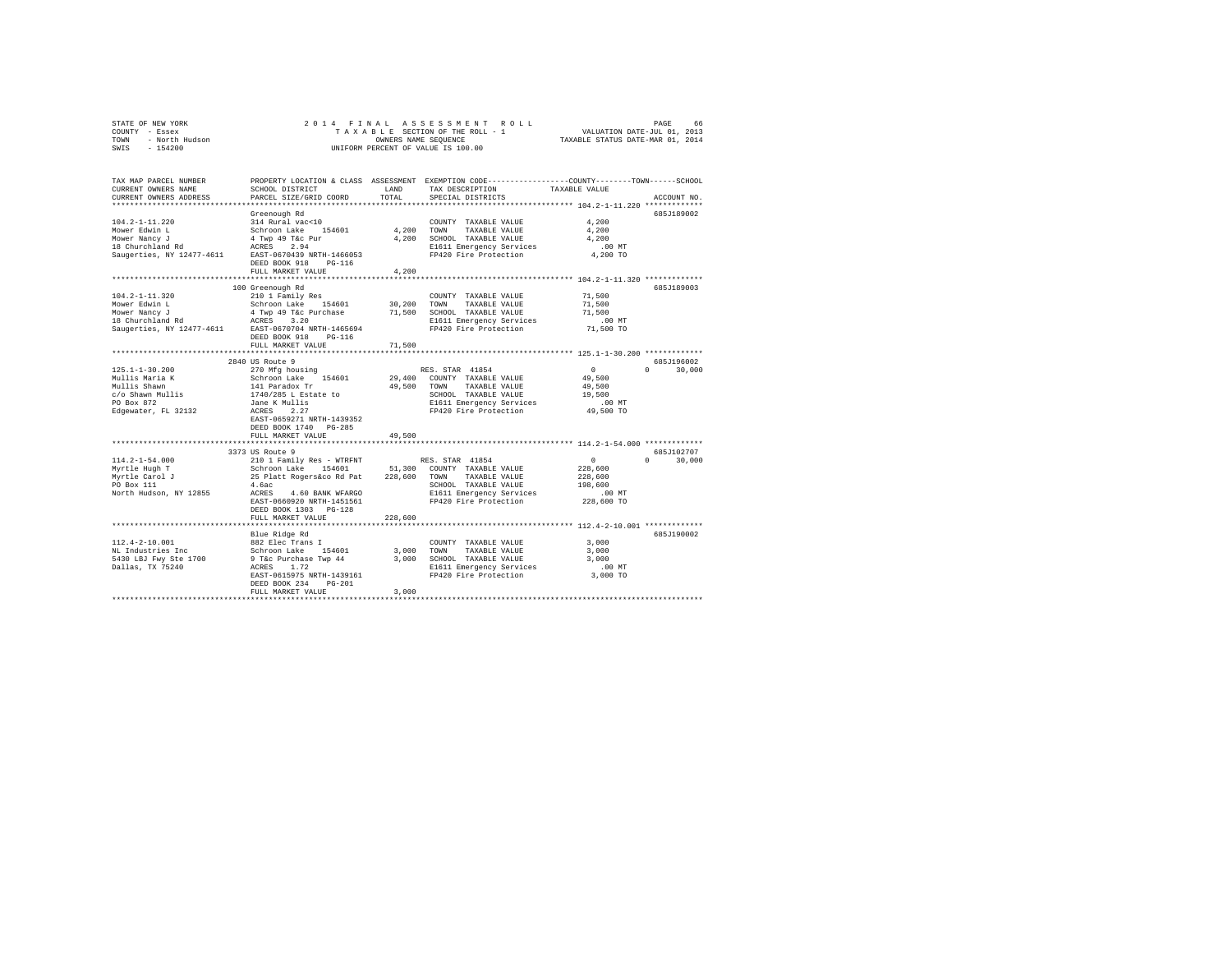| STATE OF NEW YORK      | 2014 FINAL ASSESSMENT ROLL         | 66<br>PAGE                       |
|------------------------|------------------------------------|----------------------------------|
| - Essex<br>COUNTY      | TAXABLE SECTION OF THE ROLL - 1    | VALUATION DATE-JUL 01, 2013      |
| - North Hudson<br>TOWN | OWNERS NAME SEOUENCE               | TAXABLE STATUS DATE-MAR 01, 2014 |
| $-154200$<br>SWIS      | UNIFORM PERCENT OF VALUE IS 100.00 |                                  |

| Greenough Rd<br>685J189002<br>314 Rural vac<10<br>4,200<br>$104.2 - 1 - 11.220$<br>COUNTY TAXABLE VALUE<br>4.200 TOWN<br>Mower Edwin L<br>Schroon Lake 154601<br>TAXABLE VALUE<br>4,200<br>Mower Nancy J<br>4 Twp 49 T&c Pur<br>4,200<br>SCHOOL TAXABLE VALUE<br>4,200<br>$18$ Churchland Rd<br>ACRES 2.94<br>E1611 Emergency Services<br>$.00$ MT<br>Saugerties, NY 12477-4611<br>EAST-0670439 NRTH-1466053<br>FP420 Fire Protection<br>4,200 TO<br>DEED BOOK 918<br>$PG-116$<br>4,200<br>FULL MARKET VALUE<br>********************************** 104.2-1-11.320 **************<br>100 Greenough Rd<br>685J189003<br>210 1 Family Res<br>COUNTY TAXABLE VALUE<br>71,500<br>154601<br>30,200<br>Schroon Lake<br>TOWN<br>TAXABLE VALUE<br>71,500<br>4 Twp 49 T&c Purchase<br>ACRES 3.20<br>Mower Nancy J<br>71,500<br>SCHOOL TAXABLE VALUE<br>71,500<br>E1611 Emergency Services<br>$.00$ MT<br>FP420 Fire Protection<br>Saugerties, NY 12477-4611<br>EAST-0670704 NRTH-1465694<br>71,500 TO<br>DEED BOOK 918<br>$PG-116$<br>FULL MARKET VALUE<br>71,500<br>********<br>********* 125.1-1-30.200 *************<br>********************<br>685J196002<br>2840 US Route 9<br>$\sim$ 0<br>$\Omega$<br>30,000<br>270 Mfg housing<br>RES. STAR 41854<br>Schroon Lake 154601<br>29,400<br>COUNTY TAXABLE VALUE<br>49,500<br>141 Paradox Tr<br>49.500 TOWN<br>TAXABLE VALUE<br>49,500<br>1740/285 L Estate to<br>SCHOOL TAXABLE VALUE<br>19,500<br>Jane K Mullis<br>E1611 Emergency Services<br>.00 MT<br>FP420 Fire Protection<br>Edgewater, FL 32132<br>ACRES<br>2.27<br>49,500 TO<br>EAST-0659271 NRTH-1439352<br>DEED BOOK 1740 PG-285<br>49,500<br>FULL MARKET VALUE<br>******************************<br>685J102707<br>3373 US Route 9<br>$114.2 - 1 - 54.000$<br>210 1 Family Res - WTRFNT<br>$\overline{0}$<br>$\cap$<br>30,000<br>RES. STAR 41854<br>51,300<br>Schroon Lake 154601<br>COUNTY TAXABLE VALUE<br>228,600<br>Myrtle Hugh T<br>25 Platt Rogers&co Rd Pat<br>Myrtle Carol J<br>228,600<br>TOWN TAXABLE VALUE<br>228,600<br>PO Box 111<br>4.6ac<br>SCHOOL TAXABLE VALUE<br>198,600<br>North Hudson, NY 12855<br>ACRES<br>4.60 BANK WFARGO<br>E1611 Emergency Services<br>$.00$ MT<br>FP420 Fire Protection<br>228,600 TO<br>EAST-0660920 NRTH-1451561<br>DEED BOOK 1303 PG-128<br>FULL MARKET VALUE<br>228,600<br>***************************** 112.4-2-10.001 *************<br>******************************<br>685J190002<br>Blue Ridge Rd<br>882 Elec Trans I<br>$112.4 - 2 - 10.001$<br>3,000<br>COUNTY TAXABLE VALUE<br>NL Industries Inc<br>Schroon Lake 154601<br>3,000<br>3,000<br>TOWN<br>TAXABLE VALUE<br>5430 LBJ Fwy Ste 1700<br>9 T&c Purchase Twp 44<br>3,000<br>SCHOOL TAXABLE VALUE<br>3,000<br>Dallas, TX 75240<br>E1611 Emergency Services<br>ACRES<br>1.72<br>.00 MT<br>FP420 Fire Protection<br>EAST-0615975 NRTH-1439161<br>3,000 TO<br>$PG-201$<br>DEED BOOK 234<br>3,000<br>FULL MARKET VALUE | TAX MAP PARCEL NUMBER<br>CURRENT OWNERS NAME<br>CURRENT OWNERS ADDRESS | SCHOOL DISTRICT<br>PARCEL SIZE/GRID COORD | LAND<br>TOTAL | PROPERTY LOCATION & CLASS ASSESSMENT EXEMPTION CODE----------------COUNTY-------TOWN------SCHOOL<br>TAX DESCRIPTION<br>SPECIAL DISTRICTS | TAXABLE VALUE | ACCOUNT NO. |
|---------------------------------------------------------------------------------------------------------------------------------------------------------------------------------------------------------------------------------------------------------------------------------------------------------------------------------------------------------------------------------------------------------------------------------------------------------------------------------------------------------------------------------------------------------------------------------------------------------------------------------------------------------------------------------------------------------------------------------------------------------------------------------------------------------------------------------------------------------------------------------------------------------------------------------------------------------------------------------------------------------------------------------------------------------------------------------------------------------------------------------------------------------------------------------------------------------------------------------------------------------------------------------------------------------------------------------------------------------------------------------------------------------------------------------------------------------------------------------------------------------------------------------------------------------------------------------------------------------------------------------------------------------------------------------------------------------------------------------------------------------------------------------------------------------------------------------------------------------------------------------------------------------------------------------------------------------------------------------------------------------------------------------------------------------------------------------------------------------------------------------------------------------------------------------------------------------------------------------------------------------------------------------------------------------------------------------------------------------------------------------------------------------------------------------------------------------------------------------------------------------------------------------------------------------------------------------------------------------------------------------------------------------------------------------------------------------------------------------------------------------------------------------------------------------------------------------------------------------------------------------------------------------------------------------|------------------------------------------------------------------------|-------------------------------------------|---------------|------------------------------------------------------------------------------------------------------------------------------------------|---------------|-------------|
|                                                                                                                                                                                                                                                                                                                                                                                                                                                                                                                                                                                                                                                                                                                                                                                                                                                                                                                                                                                                                                                                                                                                                                                                                                                                                                                                                                                                                                                                                                                                                                                                                                                                                                                                                                                                                                                                                                                                                                                                                                                                                                                                                                                                                                                                                                                                                                                                                                                                                                                                                                                                                                                                                                                                                                                                                                                                                                                                 |                                                                        |                                           |               |                                                                                                                                          |               |             |
|                                                                                                                                                                                                                                                                                                                                                                                                                                                                                                                                                                                                                                                                                                                                                                                                                                                                                                                                                                                                                                                                                                                                                                                                                                                                                                                                                                                                                                                                                                                                                                                                                                                                                                                                                                                                                                                                                                                                                                                                                                                                                                                                                                                                                                                                                                                                                                                                                                                                                                                                                                                                                                                                                                                                                                                                                                                                                                                                 |                                                                        |                                           |               |                                                                                                                                          |               |             |
|                                                                                                                                                                                                                                                                                                                                                                                                                                                                                                                                                                                                                                                                                                                                                                                                                                                                                                                                                                                                                                                                                                                                                                                                                                                                                                                                                                                                                                                                                                                                                                                                                                                                                                                                                                                                                                                                                                                                                                                                                                                                                                                                                                                                                                                                                                                                                                                                                                                                                                                                                                                                                                                                                                                                                                                                                                                                                                                                 |                                                                        |                                           |               |                                                                                                                                          |               |             |
|                                                                                                                                                                                                                                                                                                                                                                                                                                                                                                                                                                                                                                                                                                                                                                                                                                                                                                                                                                                                                                                                                                                                                                                                                                                                                                                                                                                                                                                                                                                                                                                                                                                                                                                                                                                                                                                                                                                                                                                                                                                                                                                                                                                                                                                                                                                                                                                                                                                                                                                                                                                                                                                                                                                                                                                                                                                                                                                                 |                                                                        |                                           |               |                                                                                                                                          |               |             |
|                                                                                                                                                                                                                                                                                                                                                                                                                                                                                                                                                                                                                                                                                                                                                                                                                                                                                                                                                                                                                                                                                                                                                                                                                                                                                                                                                                                                                                                                                                                                                                                                                                                                                                                                                                                                                                                                                                                                                                                                                                                                                                                                                                                                                                                                                                                                                                                                                                                                                                                                                                                                                                                                                                                                                                                                                                                                                                                                 |                                                                        |                                           |               |                                                                                                                                          |               |             |
|                                                                                                                                                                                                                                                                                                                                                                                                                                                                                                                                                                                                                                                                                                                                                                                                                                                                                                                                                                                                                                                                                                                                                                                                                                                                                                                                                                                                                                                                                                                                                                                                                                                                                                                                                                                                                                                                                                                                                                                                                                                                                                                                                                                                                                                                                                                                                                                                                                                                                                                                                                                                                                                                                                                                                                                                                                                                                                                                 |                                                                        |                                           |               |                                                                                                                                          |               |             |
|                                                                                                                                                                                                                                                                                                                                                                                                                                                                                                                                                                                                                                                                                                                                                                                                                                                                                                                                                                                                                                                                                                                                                                                                                                                                                                                                                                                                                                                                                                                                                                                                                                                                                                                                                                                                                                                                                                                                                                                                                                                                                                                                                                                                                                                                                                                                                                                                                                                                                                                                                                                                                                                                                                                                                                                                                                                                                                                                 |                                                                        |                                           |               |                                                                                                                                          |               |             |
|                                                                                                                                                                                                                                                                                                                                                                                                                                                                                                                                                                                                                                                                                                                                                                                                                                                                                                                                                                                                                                                                                                                                                                                                                                                                                                                                                                                                                                                                                                                                                                                                                                                                                                                                                                                                                                                                                                                                                                                                                                                                                                                                                                                                                                                                                                                                                                                                                                                                                                                                                                                                                                                                                                                                                                                                                                                                                                                                 |                                                                        |                                           |               |                                                                                                                                          |               |             |
|                                                                                                                                                                                                                                                                                                                                                                                                                                                                                                                                                                                                                                                                                                                                                                                                                                                                                                                                                                                                                                                                                                                                                                                                                                                                                                                                                                                                                                                                                                                                                                                                                                                                                                                                                                                                                                                                                                                                                                                                                                                                                                                                                                                                                                                                                                                                                                                                                                                                                                                                                                                                                                                                                                                                                                                                                                                                                                                                 |                                                                        |                                           |               |                                                                                                                                          |               |             |
|                                                                                                                                                                                                                                                                                                                                                                                                                                                                                                                                                                                                                                                                                                                                                                                                                                                                                                                                                                                                                                                                                                                                                                                                                                                                                                                                                                                                                                                                                                                                                                                                                                                                                                                                                                                                                                                                                                                                                                                                                                                                                                                                                                                                                                                                                                                                                                                                                                                                                                                                                                                                                                                                                                                                                                                                                                                                                                                                 |                                                                        |                                           |               |                                                                                                                                          |               |             |
|                                                                                                                                                                                                                                                                                                                                                                                                                                                                                                                                                                                                                                                                                                                                                                                                                                                                                                                                                                                                                                                                                                                                                                                                                                                                                                                                                                                                                                                                                                                                                                                                                                                                                                                                                                                                                                                                                                                                                                                                                                                                                                                                                                                                                                                                                                                                                                                                                                                                                                                                                                                                                                                                                                                                                                                                                                                                                                                                 |                                                                        |                                           |               |                                                                                                                                          |               |             |
|                                                                                                                                                                                                                                                                                                                                                                                                                                                                                                                                                                                                                                                                                                                                                                                                                                                                                                                                                                                                                                                                                                                                                                                                                                                                                                                                                                                                                                                                                                                                                                                                                                                                                                                                                                                                                                                                                                                                                                                                                                                                                                                                                                                                                                                                                                                                                                                                                                                                                                                                                                                                                                                                                                                                                                                                                                                                                                                                 | $104.2 - 1 - 11.320$                                                   |                                           |               |                                                                                                                                          |               |             |
|                                                                                                                                                                                                                                                                                                                                                                                                                                                                                                                                                                                                                                                                                                                                                                                                                                                                                                                                                                                                                                                                                                                                                                                                                                                                                                                                                                                                                                                                                                                                                                                                                                                                                                                                                                                                                                                                                                                                                                                                                                                                                                                                                                                                                                                                                                                                                                                                                                                                                                                                                                                                                                                                                                                                                                                                                                                                                                                                 | Mower Edwin L                                                          |                                           |               |                                                                                                                                          |               |             |
|                                                                                                                                                                                                                                                                                                                                                                                                                                                                                                                                                                                                                                                                                                                                                                                                                                                                                                                                                                                                                                                                                                                                                                                                                                                                                                                                                                                                                                                                                                                                                                                                                                                                                                                                                                                                                                                                                                                                                                                                                                                                                                                                                                                                                                                                                                                                                                                                                                                                                                                                                                                                                                                                                                                                                                                                                                                                                                                                 |                                                                        |                                           |               |                                                                                                                                          |               |             |
|                                                                                                                                                                                                                                                                                                                                                                                                                                                                                                                                                                                                                                                                                                                                                                                                                                                                                                                                                                                                                                                                                                                                                                                                                                                                                                                                                                                                                                                                                                                                                                                                                                                                                                                                                                                                                                                                                                                                                                                                                                                                                                                                                                                                                                                                                                                                                                                                                                                                                                                                                                                                                                                                                                                                                                                                                                                                                                                                 | 18 Churchland Rd                                                       |                                           |               |                                                                                                                                          |               |             |
|                                                                                                                                                                                                                                                                                                                                                                                                                                                                                                                                                                                                                                                                                                                                                                                                                                                                                                                                                                                                                                                                                                                                                                                                                                                                                                                                                                                                                                                                                                                                                                                                                                                                                                                                                                                                                                                                                                                                                                                                                                                                                                                                                                                                                                                                                                                                                                                                                                                                                                                                                                                                                                                                                                                                                                                                                                                                                                                                 |                                                                        |                                           |               |                                                                                                                                          |               |             |
|                                                                                                                                                                                                                                                                                                                                                                                                                                                                                                                                                                                                                                                                                                                                                                                                                                                                                                                                                                                                                                                                                                                                                                                                                                                                                                                                                                                                                                                                                                                                                                                                                                                                                                                                                                                                                                                                                                                                                                                                                                                                                                                                                                                                                                                                                                                                                                                                                                                                                                                                                                                                                                                                                                                                                                                                                                                                                                                                 |                                                                        |                                           |               |                                                                                                                                          |               |             |
|                                                                                                                                                                                                                                                                                                                                                                                                                                                                                                                                                                                                                                                                                                                                                                                                                                                                                                                                                                                                                                                                                                                                                                                                                                                                                                                                                                                                                                                                                                                                                                                                                                                                                                                                                                                                                                                                                                                                                                                                                                                                                                                                                                                                                                                                                                                                                                                                                                                                                                                                                                                                                                                                                                                                                                                                                                                                                                                                 |                                                                        |                                           |               |                                                                                                                                          |               |             |
|                                                                                                                                                                                                                                                                                                                                                                                                                                                                                                                                                                                                                                                                                                                                                                                                                                                                                                                                                                                                                                                                                                                                                                                                                                                                                                                                                                                                                                                                                                                                                                                                                                                                                                                                                                                                                                                                                                                                                                                                                                                                                                                                                                                                                                                                                                                                                                                                                                                                                                                                                                                                                                                                                                                                                                                                                                                                                                                                 |                                                                        |                                           |               |                                                                                                                                          |               |             |
|                                                                                                                                                                                                                                                                                                                                                                                                                                                                                                                                                                                                                                                                                                                                                                                                                                                                                                                                                                                                                                                                                                                                                                                                                                                                                                                                                                                                                                                                                                                                                                                                                                                                                                                                                                                                                                                                                                                                                                                                                                                                                                                                                                                                                                                                                                                                                                                                                                                                                                                                                                                                                                                                                                                                                                                                                                                                                                                                 |                                                                        |                                           |               |                                                                                                                                          |               |             |
|                                                                                                                                                                                                                                                                                                                                                                                                                                                                                                                                                                                                                                                                                                                                                                                                                                                                                                                                                                                                                                                                                                                                                                                                                                                                                                                                                                                                                                                                                                                                                                                                                                                                                                                                                                                                                                                                                                                                                                                                                                                                                                                                                                                                                                                                                                                                                                                                                                                                                                                                                                                                                                                                                                                                                                                                                                                                                                                                 | $125.1 - 1 - 30.200$                                                   |                                           |               |                                                                                                                                          |               |             |
|                                                                                                                                                                                                                                                                                                                                                                                                                                                                                                                                                                                                                                                                                                                                                                                                                                                                                                                                                                                                                                                                                                                                                                                                                                                                                                                                                                                                                                                                                                                                                                                                                                                                                                                                                                                                                                                                                                                                                                                                                                                                                                                                                                                                                                                                                                                                                                                                                                                                                                                                                                                                                                                                                                                                                                                                                                                                                                                                 | Mullis Maria K                                                         |                                           |               |                                                                                                                                          |               |             |
|                                                                                                                                                                                                                                                                                                                                                                                                                                                                                                                                                                                                                                                                                                                                                                                                                                                                                                                                                                                                                                                                                                                                                                                                                                                                                                                                                                                                                                                                                                                                                                                                                                                                                                                                                                                                                                                                                                                                                                                                                                                                                                                                                                                                                                                                                                                                                                                                                                                                                                                                                                                                                                                                                                                                                                                                                                                                                                                                 | Mullis Shawn                                                           |                                           |               |                                                                                                                                          |               |             |
|                                                                                                                                                                                                                                                                                                                                                                                                                                                                                                                                                                                                                                                                                                                                                                                                                                                                                                                                                                                                                                                                                                                                                                                                                                                                                                                                                                                                                                                                                                                                                                                                                                                                                                                                                                                                                                                                                                                                                                                                                                                                                                                                                                                                                                                                                                                                                                                                                                                                                                                                                                                                                                                                                                                                                                                                                                                                                                                                 | c/o Shawn Mullis                                                       |                                           |               |                                                                                                                                          |               |             |
|                                                                                                                                                                                                                                                                                                                                                                                                                                                                                                                                                                                                                                                                                                                                                                                                                                                                                                                                                                                                                                                                                                                                                                                                                                                                                                                                                                                                                                                                                                                                                                                                                                                                                                                                                                                                                                                                                                                                                                                                                                                                                                                                                                                                                                                                                                                                                                                                                                                                                                                                                                                                                                                                                                                                                                                                                                                                                                                                 | PO Box 872                                                             |                                           |               |                                                                                                                                          |               |             |
|                                                                                                                                                                                                                                                                                                                                                                                                                                                                                                                                                                                                                                                                                                                                                                                                                                                                                                                                                                                                                                                                                                                                                                                                                                                                                                                                                                                                                                                                                                                                                                                                                                                                                                                                                                                                                                                                                                                                                                                                                                                                                                                                                                                                                                                                                                                                                                                                                                                                                                                                                                                                                                                                                                                                                                                                                                                                                                                                 |                                                                        |                                           |               |                                                                                                                                          |               |             |
|                                                                                                                                                                                                                                                                                                                                                                                                                                                                                                                                                                                                                                                                                                                                                                                                                                                                                                                                                                                                                                                                                                                                                                                                                                                                                                                                                                                                                                                                                                                                                                                                                                                                                                                                                                                                                                                                                                                                                                                                                                                                                                                                                                                                                                                                                                                                                                                                                                                                                                                                                                                                                                                                                                                                                                                                                                                                                                                                 |                                                                        |                                           |               |                                                                                                                                          |               |             |
|                                                                                                                                                                                                                                                                                                                                                                                                                                                                                                                                                                                                                                                                                                                                                                                                                                                                                                                                                                                                                                                                                                                                                                                                                                                                                                                                                                                                                                                                                                                                                                                                                                                                                                                                                                                                                                                                                                                                                                                                                                                                                                                                                                                                                                                                                                                                                                                                                                                                                                                                                                                                                                                                                                                                                                                                                                                                                                                                 |                                                                        |                                           |               |                                                                                                                                          |               |             |
|                                                                                                                                                                                                                                                                                                                                                                                                                                                                                                                                                                                                                                                                                                                                                                                                                                                                                                                                                                                                                                                                                                                                                                                                                                                                                                                                                                                                                                                                                                                                                                                                                                                                                                                                                                                                                                                                                                                                                                                                                                                                                                                                                                                                                                                                                                                                                                                                                                                                                                                                                                                                                                                                                                                                                                                                                                                                                                                                 |                                                                        |                                           |               |                                                                                                                                          |               |             |
|                                                                                                                                                                                                                                                                                                                                                                                                                                                                                                                                                                                                                                                                                                                                                                                                                                                                                                                                                                                                                                                                                                                                                                                                                                                                                                                                                                                                                                                                                                                                                                                                                                                                                                                                                                                                                                                                                                                                                                                                                                                                                                                                                                                                                                                                                                                                                                                                                                                                                                                                                                                                                                                                                                                                                                                                                                                                                                                                 |                                                                        |                                           |               |                                                                                                                                          |               |             |
|                                                                                                                                                                                                                                                                                                                                                                                                                                                                                                                                                                                                                                                                                                                                                                                                                                                                                                                                                                                                                                                                                                                                                                                                                                                                                                                                                                                                                                                                                                                                                                                                                                                                                                                                                                                                                                                                                                                                                                                                                                                                                                                                                                                                                                                                                                                                                                                                                                                                                                                                                                                                                                                                                                                                                                                                                                                                                                                                 |                                                                        |                                           |               |                                                                                                                                          |               |             |
|                                                                                                                                                                                                                                                                                                                                                                                                                                                                                                                                                                                                                                                                                                                                                                                                                                                                                                                                                                                                                                                                                                                                                                                                                                                                                                                                                                                                                                                                                                                                                                                                                                                                                                                                                                                                                                                                                                                                                                                                                                                                                                                                                                                                                                                                                                                                                                                                                                                                                                                                                                                                                                                                                                                                                                                                                                                                                                                                 |                                                                        |                                           |               |                                                                                                                                          |               |             |
|                                                                                                                                                                                                                                                                                                                                                                                                                                                                                                                                                                                                                                                                                                                                                                                                                                                                                                                                                                                                                                                                                                                                                                                                                                                                                                                                                                                                                                                                                                                                                                                                                                                                                                                                                                                                                                                                                                                                                                                                                                                                                                                                                                                                                                                                                                                                                                                                                                                                                                                                                                                                                                                                                                                                                                                                                                                                                                                                 |                                                                        |                                           |               |                                                                                                                                          |               |             |
|                                                                                                                                                                                                                                                                                                                                                                                                                                                                                                                                                                                                                                                                                                                                                                                                                                                                                                                                                                                                                                                                                                                                                                                                                                                                                                                                                                                                                                                                                                                                                                                                                                                                                                                                                                                                                                                                                                                                                                                                                                                                                                                                                                                                                                                                                                                                                                                                                                                                                                                                                                                                                                                                                                                                                                                                                                                                                                                                 |                                                                        |                                           |               |                                                                                                                                          |               |             |
|                                                                                                                                                                                                                                                                                                                                                                                                                                                                                                                                                                                                                                                                                                                                                                                                                                                                                                                                                                                                                                                                                                                                                                                                                                                                                                                                                                                                                                                                                                                                                                                                                                                                                                                                                                                                                                                                                                                                                                                                                                                                                                                                                                                                                                                                                                                                                                                                                                                                                                                                                                                                                                                                                                                                                                                                                                                                                                                                 |                                                                        |                                           |               |                                                                                                                                          |               |             |
|                                                                                                                                                                                                                                                                                                                                                                                                                                                                                                                                                                                                                                                                                                                                                                                                                                                                                                                                                                                                                                                                                                                                                                                                                                                                                                                                                                                                                                                                                                                                                                                                                                                                                                                                                                                                                                                                                                                                                                                                                                                                                                                                                                                                                                                                                                                                                                                                                                                                                                                                                                                                                                                                                                                                                                                                                                                                                                                                 |                                                                        |                                           |               |                                                                                                                                          |               |             |
|                                                                                                                                                                                                                                                                                                                                                                                                                                                                                                                                                                                                                                                                                                                                                                                                                                                                                                                                                                                                                                                                                                                                                                                                                                                                                                                                                                                                                                                                                                                                                                                                                                                                                                                                                                                                                                                                                                                                                                                                                                                                                                                                                                                                                                                                                                                                                                                                                                                                                                                                                                                                                                                                                                                                                                                                                                                                                                                                 |                                                                        |                                           |               |                                                                                                                                          |               |             |
|                                                                                                                                                                                                                                                                                                                                                                                                                                                                                                                                                                                                                                                                                                                                                                                                                                                                                                                                                                                                                                                                                                                                                                                                                                                                                                                                                                                                                                                                                                                                                                                                                                                                                                                                                                                                                                                                                                                                                                                                                                                                                                                                                                                                                                                                                                                                                                                                                                                                                                                                                                                                                                                                                                                                                                                                                                                                                                                                 |                                                                        |                                           |               |                                                                                                                                          |               |             |
|                                                                                                                                                                                                                                                                                                                                                                                                                                                                                                                                                                                                                                                                                                                                                                                                                                                                                                                                                                                                                                                                                                                                                                                                                                                                                                                                                                                                                                                                                                                                                                                                                                                                                                                                                                                                                                                                                                                                                                                                                                                                                                                                                                                                                                                                                                                                                                                                                                                                                                                                                                                                                                                                                                                                                                                                                                                                                                                                 |                                                                        |                                           |               |                                                                                                                                          |               |             |
|                                                                                                                                                                                                                                                                                                                                                                                                                                                                                                                                                                                                                                                                                                                                                                                                                                                                                                                                                                                                                                                                                                                                                                                                                                                                                                                                                                                                                                                                                                                                                                                                                                                                                                                                                                                                                                                                                                                                                                                                                                                                                                                                                                                                                                                                                                                                                                                                                                                                                                                                                                                                                                                                                                                                                                                                                                                                                                                                 |                                                                        |                                           |               |                                                                                                                                          |               |             |
|                                                                                                                                                                                                                                                                                                                                                                                                                                                                                                                                                                                                                                                                                                                                                                                                                                                                                                                                                                                                                                                                                                                                                                                                                                                                                                                                                                                                                                                                                                                                                                                                                                                                                                                                                                                                                                                                                                                                                                                                                                                                                                                                                                                                                                                                                                                                                                                                                                                                                                                                                                                                                                                                                                                                                                                                                                                                                                                                 |                                                                        |                                           |               |                                                                                                                                          |               |             |
|                                                                                                                                                                                                                                                                                                                                                                                                                                                                                                                                                                                                                                                                                                                                                                                                                                                                                                                                                                                                                                                                                                                                                                                                                                                                                                                                                                                                                                                                                                                                                                                                                                                                                                                                                                                                                                                                                                                                                                                                                                                                                                                                                                                                                                                                                                                                                                                                                                                                                                                                                                                                                                                                                                                                                                                                                                                                                                                                 |                                                                        |                                           |               |                                                                                                                                          |               |             |
|                                                                                                                                                                                                                                                                                                                                                                                                                                                                                                                                                                                                                                                                                                                                                                                                                                                                                                                                                                                                                                                                                                                                                                                                                                                                                                                                                                                                                                                                                                                                                                                                                                                                                                                                                                                                                                                                                                                                                                                                                                                                                                                                                                                                                                                                                                                                                                                                                                                                                                                                                                                                                                                                                                                                                                                                                                                                                                                                 |                                                                        |                                           |               |                                                                                                                                          |               |             |
|                                                                                                                                                                                                                                                                                                                                                                                                                                                                                                                                                                                                                                                                                                                                                                                                                                                                                                                                                                                                                                                                                                                                                                                                                                                                                                                                                                                                                                                                                                                                                                                                                                                                                                                                                                                                                                                                                                                                                                                                                                                                                                                                                                                                                                                                                                                                                                                                                                                                                                                                                                                                                                                                                                                                                                                                                                                                                                                                 |                                                                        |                                           |               |                                                                                                                                          |               |             |
|                                                                                                                                                                                                                                                                                                                                                                                                                                                                                                                                                                                                                                                                                                                                                                                                                                                                                                                                                                                                                                                                                                                                                                                                                                                                                                                                                                                                                                                                                                                                                                                                                                                                                                                                                                                                                                                                                                                                                                                                                                                                                                                                                                                                                                                                                                                                                                                                                                                                                                                                                                                                                                                                                                                                                                                                                                                                                                                                 |                                                                        |                                           |               |                                                                                                                                          |               |             |
|                                                                                                                                                                                                                                                                                                                                                                                                                                                                                                                                                                                                                                                                                                                                                                                                                                                                                                                                                                                                                                                                                                                                                                                                                                                                                                                                                                                                                                                                                                                                                                                                                                                                                                                                                                                                                                                                                                                                                                                                                                                                                                                                                                                                                                                                                                                                                                                                                                                                                                                                                                                                                                                                                                                                                                                                                                                                                                                                 |                                                                        |                                           |               |                                                                                                                                          |               |             |
|                                                                                                                                                                                                                                                                                                                                                                                                                                                                                                                                                                                                                                                                                                                                                                                                                                                                                                                                                                                                                                                                                                                                                                                                                                                                                                                                                                                                                                                                                                                                                                                                                                                                                                                                                                                                                                                                                                                                                                                                                                                                                                                                                                                                                                                                                                                                                                                                                                                                                                                                                                                                                                                                                                                                                                                                                                                                                                                                 |                                                                        |                                           |               |                                                                                                                                          |               |             |
|                                                                                                                                                                                                                                                                                                                                                                                                                                                                                                                                                                                                                                                                                                                                                                                                                                                                                                                                                                                                                                                                                                                                                                                                                                                                                                                                                                                                                                                                                                                                                                                                                                                                                                                                                                                                                                                                                                                                                                                                                                                                                                                                                                                                                                                                                                                                                                                                                                                                                                                                                                                                                                                                                                                                                                                                                                                                                                                                 |                                                                        |                                           |               |                                                                                                                                          |               |             |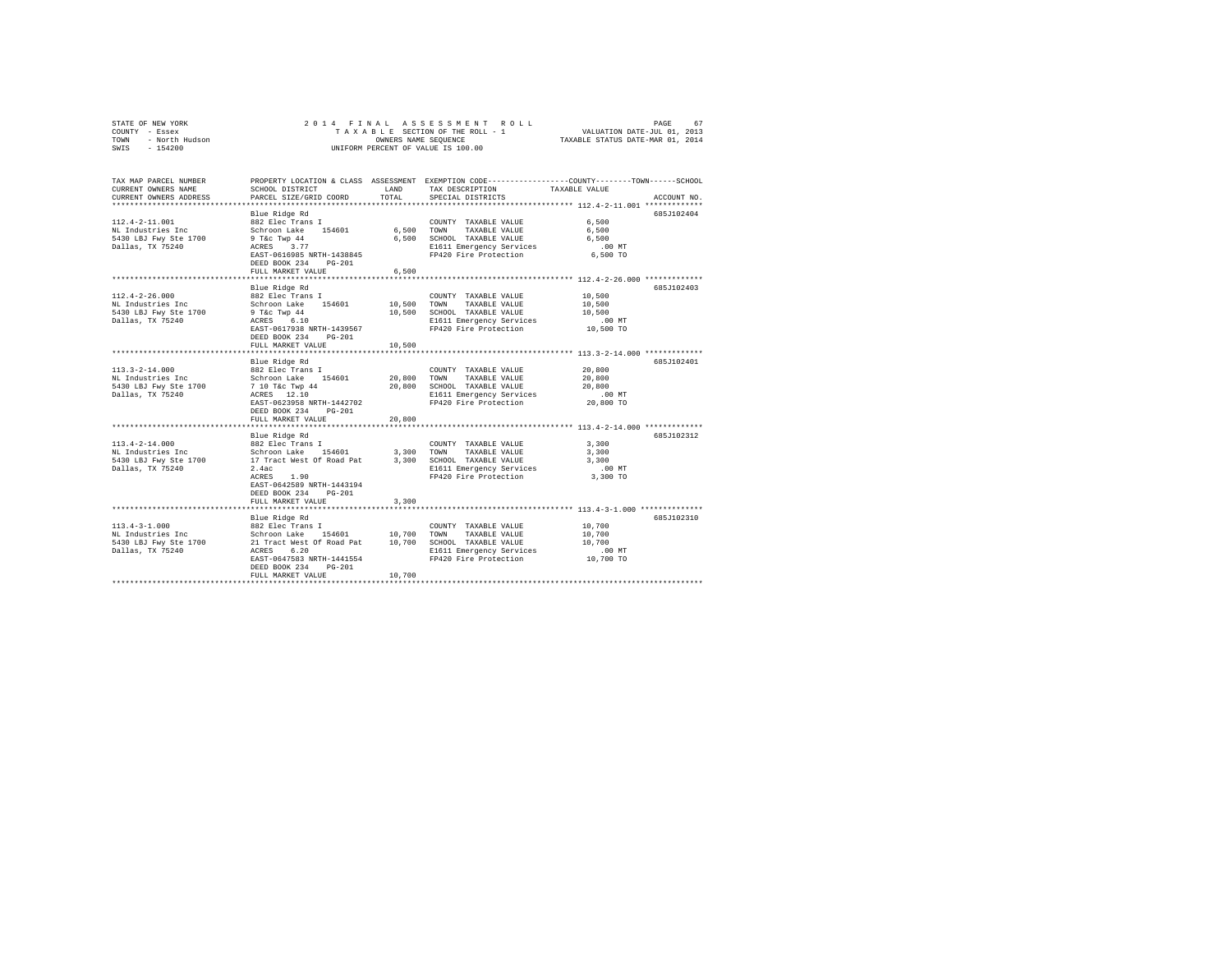| STATE OF NEW YORK<br>COUNTY - Essex<br>- North Hudson<br>- 154200<br>TOWN<br>SWIS      | 2014 FINAL                                                                                                                                                                                                                             | OWNERS NAME SEQUENCE            | ASSESSMENT<br>ROLL.<br>TAXABLE SECTION OF THE ROLL - 1<br>UNIFORM PERCENT OF VALUE IS 100.00                                      | PAGE<br>67<br>VALUATION DATE-JUL 01, 2013<br>TAXABLE STATUS DATE-MAR 01, 2014                                                       |  |
|----------------------------------------------------------------------------------------|----------------------------------------------------------------------------------------------------------------------------------------------------------------------------------------------------------------------------------------|---------------------------------|-----------------------------------------------------------------------------------------------------------------------------------|-------------------------------------------------------------------------------------------------------------------------------------|--|
| TAX MAP PARCEL NUMBER<br>CURRENT OWNERS NAME<br>CURRENT OWNERS ADDRESS                 | SCHOOL DISTRICT<br>PARCEL SIZE/GRID COORD                                                                                                                                                                                              | LAND<br>TOTAL                   | TAX DESCRIPTION<br>SPECIAL DISTRICTS                                                                                              | PROPERTY LOCATION & CLASS ASSESSMENT EXEMPTION CODE----------------COUNTY-------TOWN-----SCHOOL<br>TAXABLE VALUE<br>ACCOUNT NO.     |  |
| $112.4 - 2 - 11.001$<br>NL Industries Inc<br>5430 LBJ Fwy Ste 1700<br>Dallas, TX 75240 | Blue Ridge Rd<br>882 Elec Trans I<br>Schroon Lake 154601<br>9 T&C Twp 44<br>ACRES 3.77<br>EAST-0616985 NRTH-1438845<br>DEED BOOK 234 PG-201<br>FULL MARKET VALUE                                                                       | 6.500 TOWN<br>6.500             | COUNTY TAXABLE VALUE<br>TAXABLE VALUE<br>6,500 SCHOOL TAXABLE VALUE<br>E1611 Emergency Services<br>FP420 Fire Protection          | 685J102404<br>6,500<br>6,500<br>6,500<br>$.00$ MT<br>6,500 TO                                                                       |  |
| $112.4 - 2 - 26.000$<br>NL Industries Inc<br>5430 LBJ Fwy Ste 1700<br>Dallas, TX 75240 | **********************<br>Blue Ridge Rd<br>882 Elec Trans I<br>Schroon Lake 154601<br>$9$ T&c Twp $44$<br>$ACRES$ 6.10<br>EAST-0617938 NRTH-1439567<br>DEED BOOK 234<br>$PG-201$<br>FULL MARKET VALUE<br>***************************** | ***********<br>10,500<br>10,500 | COUNTY TAXABLE VALUE<br>TOWN<br>TAXABLE VALUE<br>10,500 SCHOOL TAXABLE VALUE<br>E1611 Emergency Services<br>FP420 Fire Protection | *********************** 112.4-2-26.000 *************<br>685J102403<br>10,500<br>10,500<br>10,500<br>.00 MT<br>10,500 TO             |  |
| $113.3 - 2 - 14.000$<br>NL Industries Inc<br>5430 LBJ Fwy Ste 1700<br>Dallas, TX 75240 | Blue Ridge Rd<br>882 Elec Trans I<br>Schroon Lake 154601<br>7 10 T&C Twp 44<br>ACRES 12.10<br>EAST-0623958 NRTH-1442702<br>DEED BOOK 234<br>$PG-201$<br>FULL MARKET VALUE                                                              | 20,800<br>20,800<br>20,800      | COUNTY TAXABLE VALUE<br>TOWN<br>TAXABLE VALUE<br>SCHOOL TAXABLE VALUE<br>E1611 Emergency Services<br>FP420 Fire Protection        | 685J102401<br>20,800<br>20,800<br>20,800<br>.00MT<br>20,800 TO                                                                      |  |
| $113.4 - 2 - 14.000$<br>NL Industries Inc<br>5430 LBJ Fwy Ste 1700<br>Dallas, TX 75240 | Blue Ridge Rd<br>882 Elec Trans I<br>Schroon Lake 154601<br>17 Tract West Of Road Pat<br>2.4ac<br>ACRES<br>1.90<br>EAST-0642589 NRTH-1443194<br>DEED BOOK 234<br>$PG-201$<br>FULL MARKET VALUE                                         | 3,300<br>3,300<br>3,300         | COUNTY TAXABLE VALUE<br>TAXABLE VALUE<br>TOWN<br>SCHOOL TAXABLE VALUE<br>E1611 Emergency Services<br>FP420 Fire Protection        | ************ 113.4-2-14.000 **************<br>685J102312<br>3,300<br>3,300<br>3,300<br>$.00$ MT<br>3,300 TO                         |  |
| $113.4 - 3 - 1.000$<br>NL Industries Inc<br>5430 LBJ Fwy Ste 1700<br>Dallas, TX 75240  | Blue Ridge Rd<br>882 Elec Trans I<br>Schroon Lake 154601 10,700 TOWN TAXABLE VALUE<br>21 Tract West Of Road Pat 10,700 TOWN TAXABLE VALUE<br>ACRES 6.20<br>EAST-0647583 NRTH-1441554<br>$PG-201$<br>DEED BOOK 234<br>FULL MARKET VALUE | 10,700                          | COUNTY TAXABLE VALUE<br>E1611 Emergency Services<br>FP420 Fire Protection                                                         | ********************************** 113.4-3-1.000 ***************<br>685J102310<br>10,700<br>10,700<br>10,700<br>.00 MT<br>10,700 TO |  |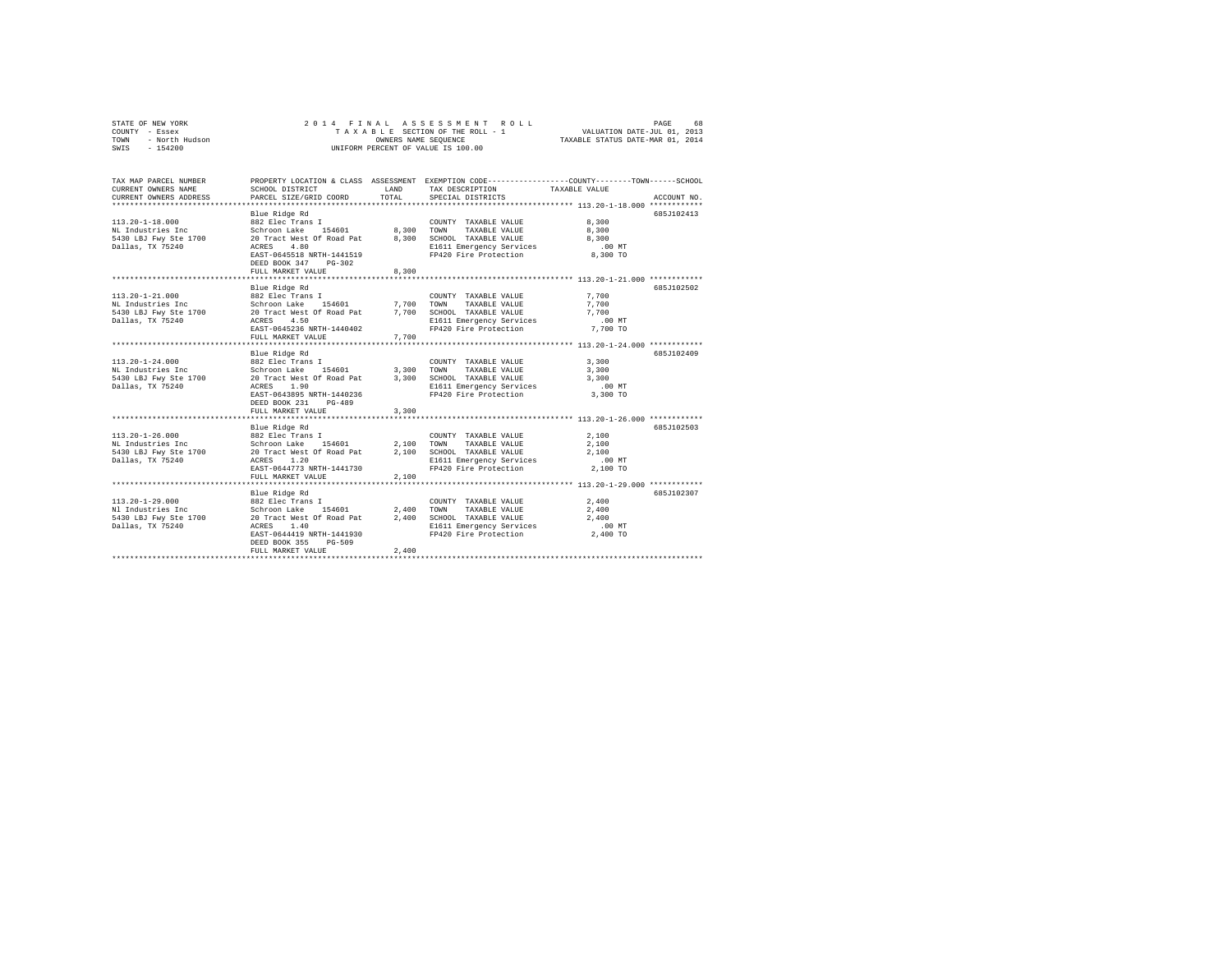| COUNTY - Essex<br>TOWN<br>- North Hudson<br>SWIS - 154200                                                                                          |                                                                                                                                                                                                                                                                                                                                     |       | TAXABLE SECTION OF THE ROLL - 1<br>OWNERS NAME SEQUENCE<br>UNIFORM PERCENT OF VALUE IS 100.00                                                              | VALUATION DATE-JUL 01, 2013<br>TAXABLE STATUS DATE-MAR 01, 2014 |             |
|----------------------------------------------------------------------------------------------------------------------------------------------------|-------------------------------------------------------------------------------------------------------------------------------------------------------------------------------------------------------------------------------------------------------------------------------------------------------------------------------------|-------|------------------------------------------------------------------------------------------------------------------------------------------------------------|-----------------------------------------------------------------|-------------|
| TAX MAP PARCEL NUMBER<br>CURRENT OWNERS NAME<br>CURRENT OWNERS ADDRESS                                                                             | SCHOOL DISTRICT<br>PARCEL SIZE/GRID COORD                                                                                                                                                                                                                                                                                           | TOTAL | PROPERTY LOCATION & CLASS ASSESSMENT EXEMPTION CODE---------------COUNTY-------TOWN------SCHOOL<br>LAND TAX DESCRIPTION TAXABLE VALUE<br>SPECIAL DISTRICTS |                                                                 | ACCOUNT NO. |
| $113.20 - 1 - 18.000$<br>NL Industries Inc<br>5430 LBJ Fwy Ste 1700<br>Dallas, TX 75240                                                            | Blue Ridge Rd<br>882 Elec Trans I<br>${\tt Schroon\,\, Lake\,\,}\qquad 154601 \qquad \qquad 8\,, 300 \qquad {\tt TOWN}$<br>20 Tract West Of Road Pat 8,300<br>4.80<br>ACRES<br>EAST-0645518 NRTH-1441519<br>DEED BOOK 347 PG-302<br>FULL MARKET VALUE                                                                               | 8,300 | COUNTY TAXABLE VALUE 8,300<br>TAXABLE VALUE 8,300<br>SCHOOL TAXABLE VALUE<br>E1611 Emergency Services .00 MT<br>FP420 Fire Protection 8.300 TO             | 8,300                                                           | 685J102413  |
| $113.20 - 1 - 21.000$<br>NL Industries Inc<br>5430 LBJ Fwy Ste 1700 20 Tract West Of Road Pat 7,700 SCHOOL TAXABLE VALUE 7,700<br>Dallas, TX 75240 | Blue Ridge Rd<br>882 Elec Trans I<br>ACRES 4.50<br>EAST-0645236 NRTH-1440402<br>FULL MARKET VALUE                                                                                                                                                                                                                                   | 7.700 | COUNTY TAXABLE VALUE 7,700<br>Schroon Lake 154601 7,700 TOWN TAXABLE VALUE 7,700<br>E1611 Emergency Services .00 MT<br>FP420 Fire Protection  7,700 TO     |                                                                 | 685J102502  |
| 113.20-1-24.000 882 Elec Trans I<br>NL Industries Inc<br>5430 LBJ Fwy Ste 1700<br>Dallas TX 75240<br>Dallas, TX 75240                              | Blue Ridge Rd<br>Schroon Lake 154601 3,300 TOWN TAXABLE VALUE 3,300<br>20 TRACHE 19 19 19 2010 TAXABLE VALUE 3,300<br>20 ACRES 1.90 19 11411 TRACHER VALUE 2010 19 19 19<br>1.90<br><b>ACRES</b><br>EAST-0643895 NRTH-1440236<br>DEED BOOK 231 PG-489<br>FULL MARKET VALUE                                                          | 3,300 | COUNTY TAXABLE VALUE 3.300<br>E1611 Emergency Services<br>FP420 Fire Protection 3.300 TO                                                                   | $.00 \text{ MT}$                                                | 685.T102409 |
| $113.20 - 1 - 26.000$<br>NL Industries Inc<br>5430 LBJ Fwy Ste 1700<br>Dallas, TX 75240                                                            | Blue Ridge Rd<br>$\begin{array}{lllllllllllll} 882 \text{ Elec Trans I} & \text{COUNTY TAXABLE VALUE} & \text{2,100} \\ \text{Schroon Lake} & 154601 & 2,100 & \text{TOWN} & \text{TAXABLE VALUE} & \text{2,100} \\ \end{array}$<br>20 Tract West Of Road Pat 2,100<br>ACRES 1.20<br>EAST-0644773 NRTH-1441730<br>FULL MARKET VALUE | 2,100 | SCHOOL TAXABLE VALUE 2,100<br>E1611 Emergency Services<br>FP420 Fire Protection                                                                            | 2,100<br>.00MT<br>2,100 TO                                      | 685J102503  |

Blue Ridge Rd 685J102307 113.20-1-29.000 882 Elec Trans I COUNTY TAXABLE VALUE 2,400 Nl Industries Inc Schroon Lake 154601 2,400 TOWN TAXABLE VALUE 2,400 5430 LBJ Fwy Ste 1700 20 Tract West Of Road Pat 2,400 SCHOOL TAXABLE VALUE 2,400 Dallas, TX 75240 ACRES 1.40 E1611 Emergency Services .00 MT EAST-0644419 NRTH-1441930 FP420 Fire Protection 2,400 TO DEED BOOK 355 PG-509 FULL MARKET VALUE 2,400 \*\*\*\*\*\*\*\*\*\*\*\*\*\*\*\*\*\*\*\*\*\*\*\*\*\*\*\*\*\*\*\*\*\*\*\*\*\*\*\*\*\*\*\*\*\*\*\*\*\*\*\*\*\*\*\*\*\*\*\*\*\*\*\*\*\*\*\*\*\*\*\*\*\*\*\*\*\*\*\*\*\*\*\*\*\*\*\*\*\*\*\*\*\*\*\*\*\*\*\*\*\*\*\*\*\*\*\*\*\*\*\*\*\*\*\*\*\*\*\*\*\*\*\*\*\*\*\*\*\*\*\*

STATE OF NEW YORK 2 0 1 4 F I N A L A S S E S S M E N T R O L L PAGE 68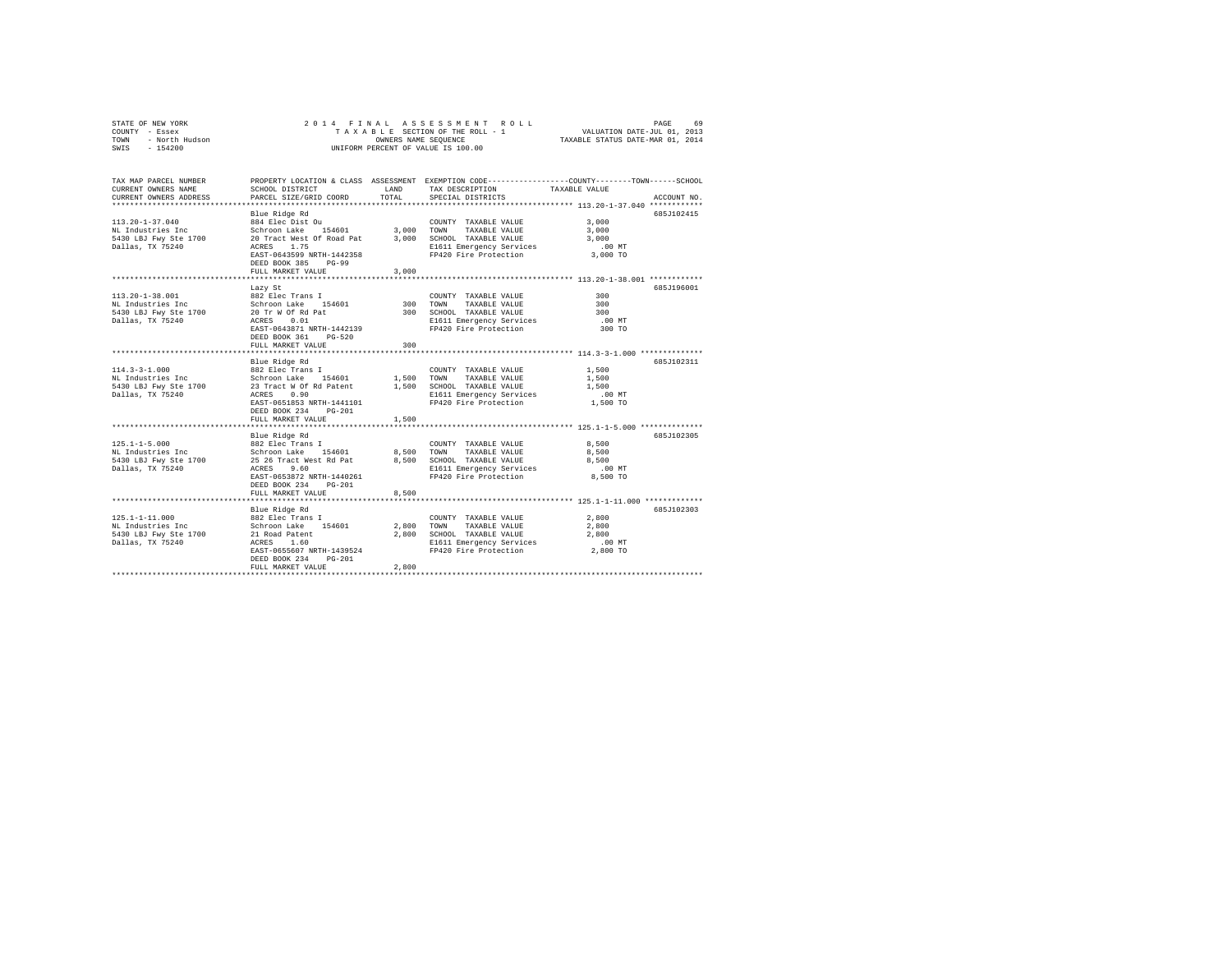| OF NEW YORK<br>Y - Essex<br>- North Hudson<br>- 154200<br>STATE OF NEW YORK<br>COUNTY - Essex<br>TOWN<br>SWIS |                                           |               | OWNERS NAME SEQUENCE<br>UNIFORM PERCENT OF VALUE IS 100.00 | PAGE 69 PAGE 3 A S S E S S M E N T R O L L PAGE 69 PAGE 4 P I N A L A S LE SECTION OF THE ROLL 4 P I N A LUATION DATE-JUL 01, 2014<br>T A X A B L E SECTION OF THE ROLL - 1 CHARABLE STATUS DATE-JUL 01, 2014 |
|---------------------------------------------------------------------------------------------------------------|-------------------------------------------|---------------|------------------------------------------------------------|---------------------------------------------------------------------------------------------------------------------------------------------------------------------------------------------------------------|
| TAX MAP PARCEL NUMBER<br>CURRENT OWNERS NAME<br>CURRENT OWNERS ADDRESS                                        | SCHOOL DISTRICT<br>PARCEL SIZE/GRID COORD | LAND<br>TOTAL | TAX DESCRIPTION<br>SPECIAL DISTRICTS                       | PROPERTY LOCATION & CLASS ASSESSMENT EXEMPTION CODE----------------COUNTY-------TOWN-----SCHOOL<br>TAXABLE VALUE<br>ACCOUNT NO.                                                                               |
|                                                                                                               | Blue Ridge Rd                             |               |                                                            | 685J102415                                                                                                                                                                                                    |
| $113.20 - 1 - 37.040$                                                                                         | 884 Elec Dist Ou                          |               | COUNTY TAXABLE VALUE                                       | 3,000                                                                                                                                                                                                         |
| NL Industries Inc                                                                                             | Schroon Lake 154601 3,000 TOWN            |               | TAXABLE VALUE                                              | 3,000                                                                                                                                                                                                         |
| 5430 LBJ Fwy Ste 1700 20 Tract West Of Road Pat 3,000 SCHOOL TAXABLE VALUE                                    |                                           |               |                                                            | 3,000                                                                                                                                                                                                         |
| Dallas, TX 75240                                                                                              | ACRES 1.75                                |               | E1611 Emergency Services                                   | $.00$ MT                                                                                                                                                                                                      |
|                                                                                                               | EAST-0643599 NRTH-1442358                 |               | FP420 Fire Protection                                      | 3,000 TO                                                                                                                                                                                                      |
|                                                                                                               | DEED BOOK 385 PG-99                       |               |                                                            |                                                                                                                                                                                                               |
|                                                                                                               | FULL MARKET VALUE                         | 3,000         |                                                            |                                                                                                                                                                                                               |
|                                                                                                               | Lazy St                                   |               |                                                            | 685J196001                                                                                                                                                                                                    |
| 113.20-1-38.001                                                                                               | 882 Elec Trans I                          |               | COUNTY TAXABLE VALUE                                       | 300                                                                                                                                                                                                           |
| NL Industries Inc                                                                                             | Schroon Lake 154601                       |               | 300 TOWN<br>TAXABLE VALUE                                  | 300                                                                                                                                                                                                           |
| 5430 LBJ Fwy Ste 1700 20 Tr W Of Rd Pat                                                                       |                                           |               | 300 SCHOOL TAXABLE VALUE                                   | 300                                                                                                                                                                                                           |
| Dallas, TX 75240                                                                                              | ACRES 0.01                                |               | E1611 Emergency Services                                   | $.00$ MT                                                                                                                                                                                                      |
|                                                                                                               | EAST-0643871 NRTH-1442139                 |               | FP420 Fire Protection                                      | 300 TO                                                                                                                                                                                                        |
|                                                                                                               | DEED BOOK 361 PG-520                      |               |                                                            |                                                                                                                                                                                                               |
|                                                                                                               | FULL MARKET VALUE                         | 300           |                                                            |                                                                                                                                                                                                               |
|                                                                                                               | Blue Ridge Rd                             |               |                                                            | 685J102311                                                                                                                                                                                                    |
| $114.3 - 3 - 1.000$                                                                                           | 882 Elec Trans I                          |               | COUNTY TAXABLE VALUE                                       | 1,500                                                                                                                                                                                                         |
|                                                                                                               |                                           |               |                                                            | 1,500                                                                                                                                                                                                         |
|                                                                                                               |                                           |               |                                                            | 1,500                                                                                                                                                                                                         |
| Dallas, TX 75240                                                                                              | ACRES 0.90                                |               | E1611 Emergency Services                                   | $.00$ MT                                                                                                                                                                                                      |
|                                                                                                               | EAST-0651853 NRTH-1441101                 |               | FP420 Fire Protection                                      | 1,500 TO                                                                                                                                                                                                      |
|                                                                                                               | DEED BOOK 234 PG-201                      |               |                                                            |                                                                                                                                                                                                               |
|                                                                                                               | FULL MARKET VALUE                         | 1,500         |                                                            |                                                                                                                                                                                                               |
|                                                                                                               |                                           |               |                                                            |                                                                                                                                                                                                               |
| $125.1 - 1 - 5.000$                                                                                           | Blue Ridge Rd<br>882 Elec Trans I         |               | COUNTY TAXABLE VALUE                                       | 685J102305<br>8,500                                                                                                                                                                                           |
| NL Industries Inc                                                                                             |                                           |               | 8,500 TOWN TAXABLE VALUE                                   | 8,500                                                                                                                                                                                                         |
| 5430 LBJ Fwy Ste 1700                                                                                         |                                           |               | 8,500 SCHOOL TAXABLE VALUE                                 | 8,500                                                                                                                                                                                                         |
| Dallas, TX 75240                                                                                              | ACRES 9.60                                |               | E1611 Emergency Services                                   | $.00$ MT                                                                                                                                                                                                      |
|                                                                                                               | EAST-0653872 NRTH-1440261                 |               | FP420 Fire Protection                                      | 8,500 TO                                                                                                                                                                                                      |
|                                                                                                               | DEED BOOK 234 PG-201                      |               |                                                            |                                                                                                                                                                                                               |
|                                                                                                               | FULL MARKET VALUE                         | 8,500         |                                                            |                                                                                                                                                                                                               |
|                                                                                                               |                                           |               |                                                            |                                                                                                                                                                                                               |
|                                                                                                               | Blue Ridge Rd                             |               |                                                            | 685J102303                                                                                                                                                                                                    |
| $125.1 - 1 - 11.000$                                                                                          | 882 Elec Trans I                          |               | COUNTY TAXABLE VALUE                                       | 2,800                                                                                                                                                                                                         |
| NL Industries Inc<br>5430 LBJ Fwy Ste 1700                                                                    | Schroon Lake 154601<br>21 Road Patent     |               | 2,800 TOWN TAXABLE VALUE<br>2,800 SCHOOL TAXABLE VALUE     | 2,800<br>2,800                                                                                                                                                                                                |
| Dallas, TX 75240                                                                                              | ACRES 1.60                                |               | E1611 Emergency Services                                   | $.00$ MT                                                                                                                                                                                                      |
|                                                                                                               | EAST-0655607 NRTH-1439524                 |               | FP420 Fire Protection                                      | 2,800 TO                                                                                                                                                                                                      |
|                                                                                                               | DEED BOOK 234<br>$PG-201$                 |               |                                                            |                                                                                                                                                                                                               |
|                                                                                                               | FULL MARKET VALUE                         | 2,800         |                                                            |                                                                                                                                                                                                               |
|                                                                                                               |                                           |               |                                                            |                                                                                                                                                                                                               |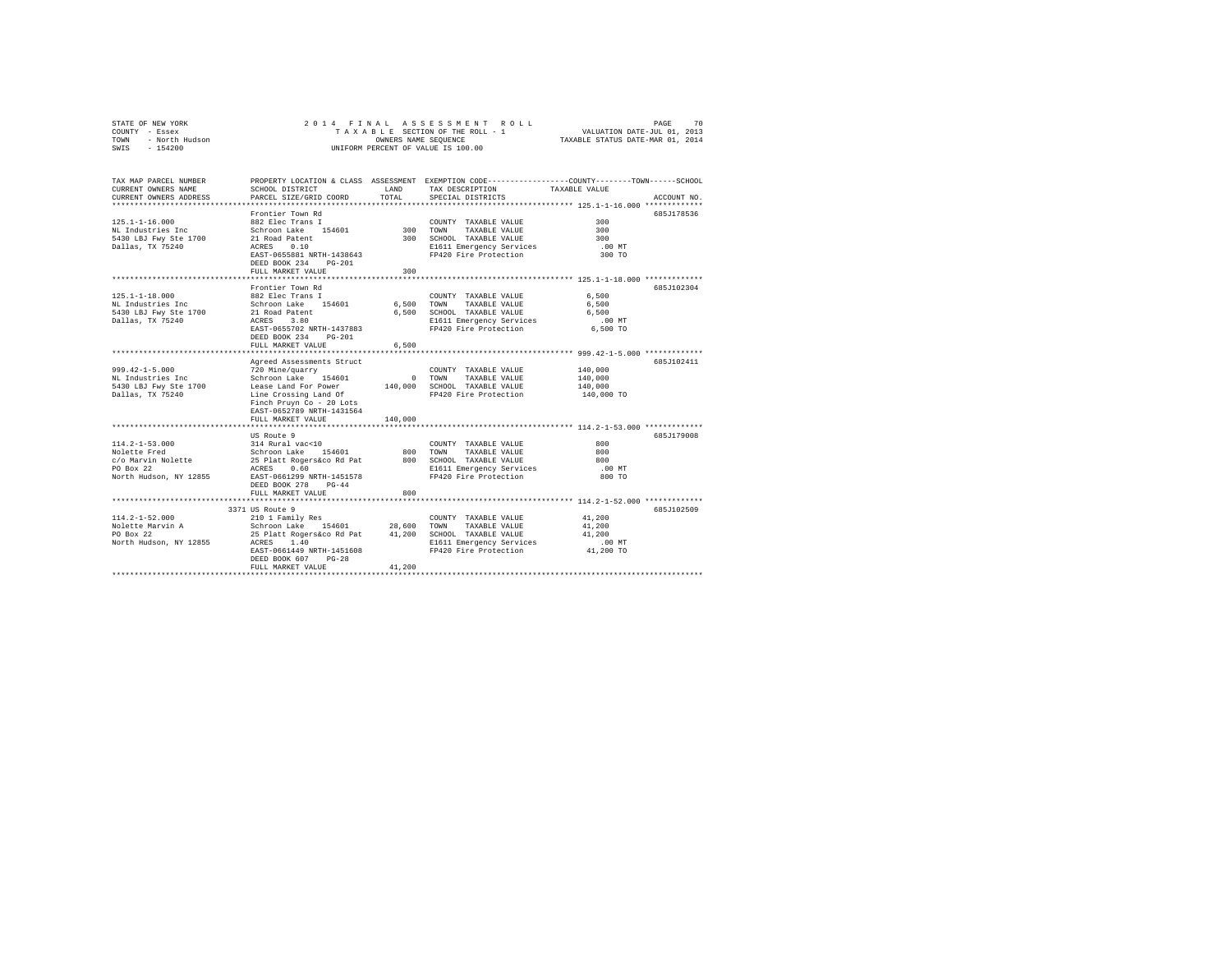| STATE OF NEW YORK                          |                                                       |          |                                                   |                                                                                                  |
|--------------------------------------------|-------------------------------------------------------|----------|---------------------------------------------------|--------------------------------------------------------------------------------------------------|
| COUNTY - Essex                             |                                                       |          |                                                   |                                                                                                  |
| TOWN<br>- North Hudson                     |                                                       |          |                                                   |                                                                                                  |
| SWIS<br>$-154200$                          |                                                       |          | UNIFORM PERCENT OF VALUE IS 100.00                |                                                                                                  |
|                                            |                                                       |          |                                                   |                                                                                                  |
| TAX MAP PARCEL NUMBER                      |                                                       |          |                                                   | PROPERTY LOCATION & CLASS ASSESSMENT EXEMPTION CODE----------------COUNTY-------TOWN------SCHOOL |
| CURRENT OWNERS NAME                        | SCHOOL DISTRICT                                       | LAND     | TAX DESCRIPTION                                   | TAXABLE VALUE                                                                                    |
| CURRENT OWNERS ADDRESS                     | PARCEL SIZE/GRID COORD                                | TOTAL    | SPECIAL DISTRICTS                                 | ACCOUNT NO.                                                                                      |
|                                            |                                                       |          |                                                   |                                                                                                  |
|                                            | Frontier Town Rd                                      |          |                                                   | 685J178536                                                                                       |
| $125.1 - 1 - 16.000$                       | 882 Elec Trans I                                      |          | COUNTY TAXABLE VALUE                              | 300                                                                                              |
| NL Industries Inc                          | Schroon Lake 154601                                   | 300 TOWN | TAXABLE VALUE                                     | 300                                                                                              |
| 5430 LBJ Fwy Ste 1700                      | 21 Road Patent                                        |          | 300 SCHOOL TAXABLE VALUE                          | 300                                                                                              |
| Dallas, TX 75240                           | ACRES 0.10                                            |          | E1611 Emergency Services                          | .00 MT                                                                                           |
|                                            | EAST-0655881 NRTH-1438643                             |          | FP420 Fire Protection                             | 300 TO                                                                                           |
|                                            | DEED BOOK 234 PG-201                                  | 300      |                                                   |                                                                                                  |
|                                            | FULL MARKET VALUE                                     |          |                                                   |                                                                                                  |
|                                            | Frontier Town Rd                                      |          |                                                   | 685J102304                                                                                       |
| $125.1 - 1 - 18.000$                       | 882 Elec Trans I                                      |          | COUNTY TAXABLE VALUE                              | 6,500                                                                                            |
| NL Industries Inc                          | Schroon Lake 154601                                   |          | 6,500 TOWN<br>TAXABLE VALUE                       | 6,500                                                                                            |
| 5430 LBJ Fwy Ste 1700                      | 21 Road Patent                                        |          | 6,500 SCHOOL TAXABLE VALUE                        | 6.500                                                                                            |
| Dallas, TX 75240                           | ACRES 3.80                                            |          | E1611 Emergency Services                          | $.00$ MT                                                                                         |
|                                            | EAST-0655702 NRTH-1437883                             |          | FP420 Fire Protection                             | 6,500 TO                                                                                         |
|                                            | DEED BOOK 234 PG-201                                  |          |                                                   |                                                                                                  |
|                                            | FULL MARKET VALUE                                     | 6.500    |                                                   |                                                                                                  |
|                                            |                                                       |          |                                                   |                                                                                                  |
|                                            | Agreed Assessments Struct                             |          |                                                   | 685J102411                                                                                       |
| $999.42 - 1 - 5.000$                       | 720 Mine/quarry                                       |          | COUNTY TAXABLE VALUE                              | 140,000                                                                                          |
| NL Industries Inc                          | Schroon Lake 154601                                   |          | 0 TOWN TAXABLE VALUE                              | 140,000                                                                                          |
| 5430 LBJ Fwy Ste 1700 Lease Land For Power |                                                       |          | 140,000 SCHOOL TAXABLE VALUE                      | 140,000                                                                                          |
| Dallas, TX 75240                           | Line Crossing Land Of                                 |          | FP420 Fire Protection                             | 140,000 TO                                                                                       |
|                                            | Finch Pruyn Co - 20 Lots<br>EAST-0652789 NRTH-1431564 |          |                                                   |                                                                                                  |
|                                            | FULL MARKET VALUE                                     | 140,000  |                                                   |                                                                                                  |
|                                            |                                                       |          |                                                   |                                                                                                  |
|                                            | US Route 9                                            |          |                                                   | 685J179008                                                                                       |
| 114.2-1-53.000                             | 314 Rural vac<10                                      |          | COUNTY TAXABLE VALUE                              | 800                                                                                              |
| Nolette Fred                               |                                                       | 800      | TOWN<br>TAXABLE VALUE                             | 800                                                                                              |
| c/o Marvin Nolette                         | Schroon Lake 154601<br>25 Platt Rogers&co Rd Pat      |          | 800 SCHOOL TAXABLE VALUE                          | 800                                                                                              |
| PO Box 22                                  | ACRES 0.60                                            |          | E1611 Emergency Services                          | $.00$ MT                                                                                         |
| North Hudson, NY 12855                     | EAST-0661299 NRTH-1451578                             |          | FP420 Fire Protection                             | 800 TO                                                                                           |
|                                            | DEED BOOK 278 PG-44                                   |          |                                                   |                                                                                                  |
|                                            | FULL MARKET VALUE                                     | 800      |                                                   |                                                                                                  |
|                                            |                                                       |          |                                                   |                                                                                                  |
|                                            | 3371 US Route 9                                       |          |                                                   | 685J102509                                                                                       |
| $114.2 - 1 - 52.000$                       | 210 1 Family Res                                      |          | COUNTY TAXABLE VALUE                              | 41,200                                                                                           |
| Nolette Marvin A<br>PO Box 22              | Schroon Lake 154601 28,600                            |          | TOWN TAXABLE VALUE<br>41,200 SCHOOL TAXABLE VALUE | 41,200<br>41,200                                                                                 |
| North Hudson, NY 12855                     | 25 Platt Rogers&co Rd Pat<br>ACRES 1.40               |          | E1611 Emergency Services                          | .00 MT                                                                                           |
|                                            | EAST-0661449 NRTH-1451608                             |          | FP420 Fire Protection                             | 41,200 TO                                                                                        |
|                                            | DEED BOOK 607 PG-28                                   |          |                                                   |                                                                                                  |
|                                            | FULL MARKET VALUE                                     | 41,200   |                                                   |                                                                                                  |
|                                            |                                                       |          |                                                   |                                                                                                  |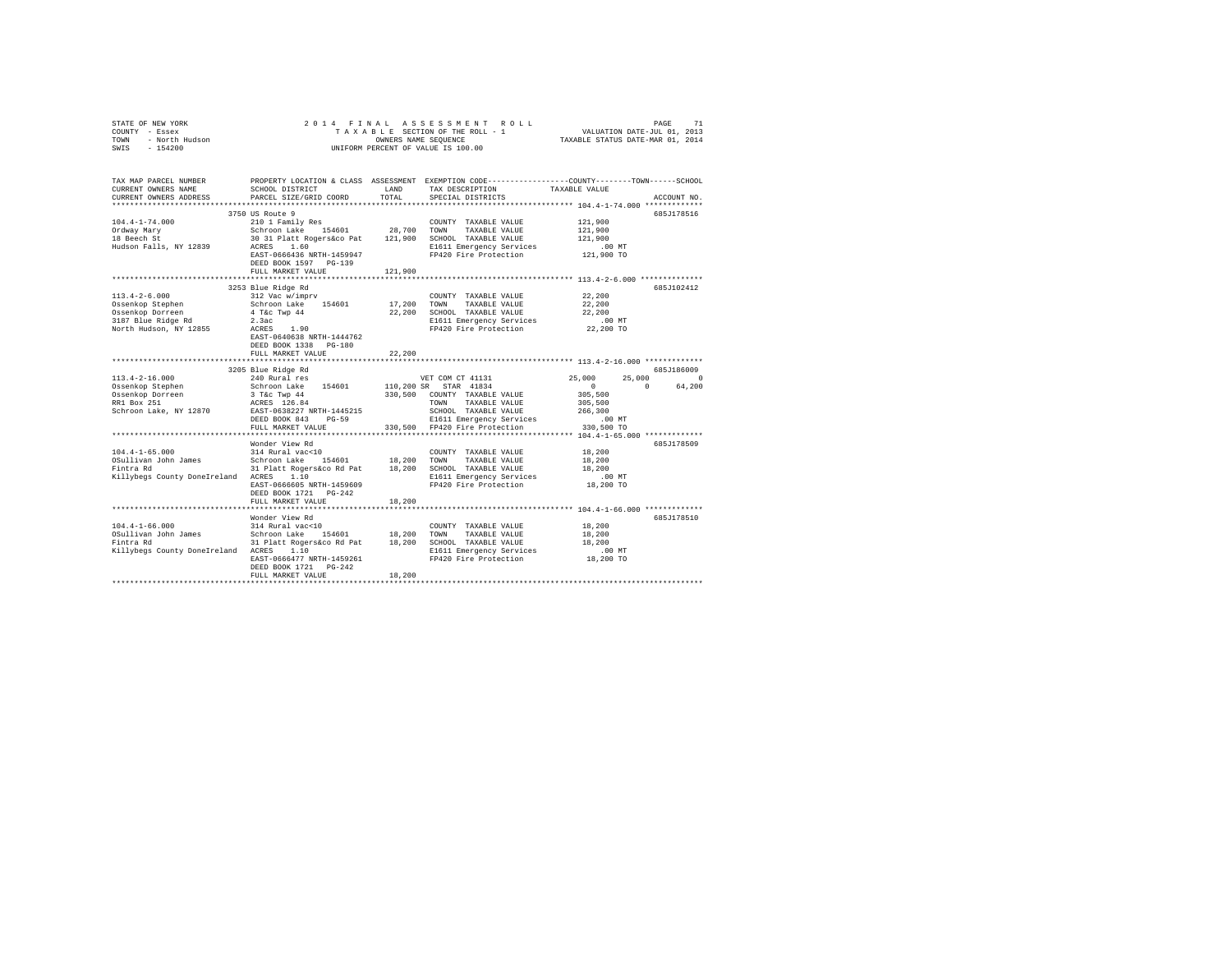| STATE OF NEW YORK<br>COUNTY - Essex<br>COUNTY - Essex<br>TOWN - North Hudson<br>SWIS - 154200                                                                                                                                                                                                                                                                                                                                                 |                                                                                                                                                                                                                           |               | 2014 FINAL ASSESSMENT ROLL<br>UNIFORM PERCENT OF VALUE IS 100.00                                                                        |                                                         | PAGE<br>71                |
|-----------------------------------------------------------------------------------------------------------------------------------------------------------------------------------------------------------------------------------------------------------------------------------------------------------------------------------------------------------------------------------------------------------------------------------------------|---------------------------------------------------------------------------------------------------------------------------------------------------------------------------------------------------------------------------|---------------|-----------------------------------------------------------------------------------------------------------------------------------------|---------------------------------------------------------|---------------------------|
| TAX MAP PARCEL NUMBER<br>CURRENT OWNERS NAME<br>CURRENT OWNERS ADDRESS                                                                                                                                                                                                                                                                                                                                                                        | SCHOOL DISTRICT<br>PARCEL SIZE/GRID COORD<br>3750 US Route 9                                                                                                                                                              | LAND<br>TOTAL | PROPERTY LOCATION & CLASS ASSESSMENT EXEMPTION CODE---------------COUNTY-------TOWN------SCHOOL<br>TAX DESCRIPTION<br>SPECIAL DISTRICTS | TAXABLE VALUE                                           | ACCOUNT NO.<br>685J178516 |
| $104.4 - 1 - 74.000$<br>Ordway Mary<br>18 Beech St<br>Hudson Falls, NY 12839                                                                                                                                                                                                                                                                                                                                                                  | 210 1 Family Res<br>210 1 ramiry ACC 154601 128,700 TOWN TAXABLE VALUE<br>30 31 Platt Rogers&co Pat 121,900 SCHOOL TAXABLE VALUE<br>ACRES 1.60<br>EAST-0666436 NRTH-1459947<br>DEED BOOK 1597 PG-139<br>FULL MARKET VALUE |               | COUNTY TAXABLE VALUE<br>E1611 Emergency Services<br>FP420 Fire Protection                                                               | 121,900<br>121,900<br>121,900<br>$.00$ MT<br>121,900 TO |                           |
|                                                                                                                                                                                                                                                                                                                                                                                                                                               |                                                                                                                                                                                                                           | 121,900       |                                                                                                                                         |                                                         |                           |
| $113.4 - 2 - 6.000$<br>Ossenkop Stephen<br>Ossenkop Dorreen<br>3187 Blue Ridge Rd<br>North Hudson, NY 12855                                                                                                                                                                                                                                                                                                                                   | 3253 Blue Ridge Rd<br>312 Vac w/imprv<br>Schroon Lake 154601<br>an an Aonaichte<br>4 T&c Twp 44<br>2.3ac<br>z.sac<br>ACRES 1.90<br>EAST-0640638 NRTH-1444762<br>DEED BOOK 1338 PG-180                                     | 22,200        | COUNTY TAXABLE VALUE<br>17,200 TOWN TAXABLE VALUE<br>22,200 SCHOOL TAXABLE VALUE<br>E1611 Emergency Services<br>FP420 Fire Protection   | 22,200<br>22,200<br>22,200<br>$.00$ MT<br>22,200 TO     | 685J102412                |
|                                                                                                                                                                                                                                                                                                                                                                                                                                               | FULL MARKET VALUE                                                                                                                                                                                                         |               |                                                                                                                                         |                                                         |                           |
|                                                                                                                                                                                                                                                                                                                                                                                                                                               | 3205 Blue Ridge Rd                                                                                                                                                                                                        |               |                                                                                                                                         |                                                         | 685-186009                |
| $113.4 - 2 - 16.000$                                                                                                                                                                                                                                                                                                                                                                                                                          | 240 Rural res                                                                                                                                                                                                             |               | VET COM CT 41131                                                                                                                        | 25,000                                                  | 25,000 0                  |
|                                                                                                                                                                                                                                                                                                                                                                                                                                               | Schroon Lake 154601                                                                                                                                                                                                       |               |                                                                                                                                         | $\sim$ 0<br>$\sim$ 0                                    | 64,200                    |
| Ossenkop Stephen<br>Ossenkop Dorreen<br>RR1 Box 251<br>Schroon Lake, NY 12870                                                                                                                                                                                                                                                                                                                                                                 | 3 T&C Twp 44<br>ACRES 126.84<br>EAST-0638227 NRTH-1445215<br>DEED BOOK 843 PG-59                                                                                                                                          |               | 110,200 SR STAR 41834<br>330,500 COUNTY TAXABLE VALUE<br>TOWN TAXABLE VALUE<br>SCHOOL TAXABLE VALUE<br>E1611 Emergency Services         | 305,500<br>305,500<br>266,300<br>.00 MT                 |                           |
|                                                                                                                                                                                                                                                                                                                                                                                                                                               | FULL MARKET VALUE                                                                                                                                                                                                         |               | 330,500 FP420 Fire Protection                                                                                                           | 330,500 TO                                              |                           |
| $104.4 - 1 - 65.000$                                                                                                                                                                                                                                                                                                                                                                                                                          | Wonder View Rd<br>314 Rural vac<10                                                                                                                                                                                        |               | COUNTY TAXABLE VALUE                                                                                                                    | 18,200                                                  | 685J178509                |
| OSullivan John James<br>Fintra Rd<br>Killybegs County DoneIreland ACRES 1.10                                                                                                                                                                                                                                                                                                                                                                  | Schroon Lake 154601<br>31 Platt Rogers&co Rd Pat 18,200 SCHOOL TAXABLE VALUE<br>EAST-0666605 NRTH-1459609<br>DEED BOOK 1721 PG-242                                                                                        | 18,200 TOWN   | TAXABLE VALUE<br>E1611 Emergency Services<br>FP420 Fire Protection                                                                      | 18,200<br>18,200<br>$.00$ MT<br>$18,200$ TO             |                           |
|                                                                                                                                                                                                                                                                                                                                                                                                                                               | FULL MARKET VALUE                                                                                                                                                                                                         | 18,200        |                                                                                                                                         |                                                         |                           |
|                                                                                                                                                                                                                                                                                                                                                                                                                                               |                                                                                                                                                                                                                           |               |                                                                                                                                         |                                                         |                           |
| $104.4-1-66.000 \qquad \qquad 314 \text{ Rural vac} OSultivan John James \qquad \qquad 56thron Lake \qquad \qquad 154601 \qquad \qquad 18,200 \qquad \qquad 11,200 \qquad \qquad 31 \text{ Plate Rog} \qquad \qquad 16,200 \qquad \qquad 11,200 \qquad \qquad 11,200 \qquad \qquad 12,200 \qquad \qquad 24,200 \qquad \qquad 25,200 \qquad \qquad 26,200 \qquad \qquad 27,200 \qquad \qquad 28,20$<br>Killybegs County DoneIreland ACRES 1.10 | Wonder View Rd<br>31 Platt Rogers&co Rd Pat 18,200 SCHOOL TAXABLE VALUE<br>EAST-0666477 NRTH-1459261                                                                                                                      |               | COUNTY TAXABLE VALUE<br>TOWN TAXABLE VALUE<br>E1611 Emergency Services<br>FP420 Fire Protection                                         | 18,200<br>18,200<br>18,200<br>$.00$ MT<br>18,200 TO     | 685J178510                |
|                                                                                                                                                                                                                                                                                                                                                                                                                                               | DEED BOOK 1721 PG-242<br>FULL MARKET VALUE                                                                                                                                                                                | 18,200        |                                                                                                                                         |                                                         |                           |
|                                                                                                                                                                                                                                                                                                                                                                                                                                               |                                                                                                                                                                                                                           |               |                                                                                                                                         |                                                         |                           |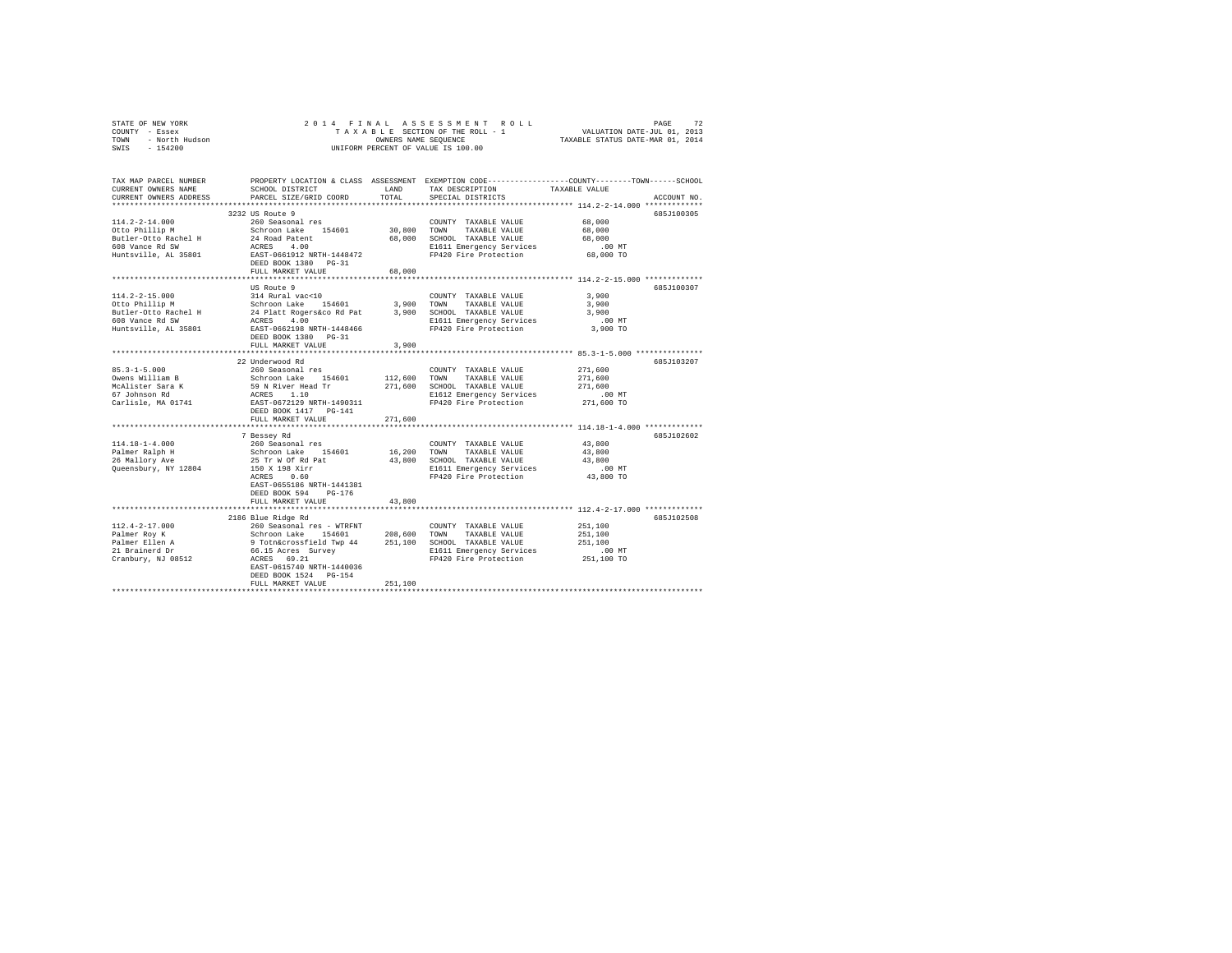| STATE OF NEW YORK<br>COUNTY - Essex<br>TOWN - North Hudson<br>SWIS - 154200                                                                                                                                                            | 2014 FINAL                                                            |         |                                                                     | PAGE 72 PAGE 8 S N E N TROLL PAGE 72<br>TA XA BLE SECTION OF THE ROLL - 1 VALUATION DATE-JUL 01, 2013<br>OWNERS NAME SEQUENCE 7 TAXABLE STATUS DATE-MAR 01, 2014 |             |
|----------------------------------------------------------------------------------------------------------------------------------------------------------------------------------------------------------------------------------------|-----------------------------------------------------------------------|---------|---------------------------------------------------------------------|------------------------------------------------------------------------------------------------------------------------------------------------------------------|-------------|
|                                                                                                                                                                                                                                        |                                                                       |         |                                                                     |                                                                                                                                                                  |             |
|                                                                                                                                                                                                                                        |                                                                       |         | UNIFORM PERCENT OF VALUE IS 100.00                                  |                                                                                                                                                                  |             |
|                                                                                                                                                                                                                                        |                                                                       |         |                                                                     |                                                                                                                                                                  |             |
| TAX MAP PARCEL NUMBER PROPERTY LOCATION & CLASS ASSESSMENT EXEMPTION CODE---------------COUNTY-------TOWN------SCHOOL                                                                                                                  | SCHOOL DISTRICT LAND                                                  |         |                                                                     |                                                                                                                                                                  |             |
| CURRENT OWNERS NAME<br>CURRENT OWNERS ADDRESS                                                                                                                                                                                          | PARCEL SIZE/GRID COORD                                                | TOTAL   | TAX DESCRIPTION<br>SPECIAL DISTRICTS                                | TAXABLE VALUE                                                                                                                                                    | ACCOUNT NO. |
| *************************                                                                                                                                                                                                              |                                                                       |         |                                                                     |                                                                                                                                                                  |             |
|                                                                                                                                                                                                                                        | 3232 US Route 9                                                       |         |                                                                     |                                                                                                                                                                  | 685J100305  |
| $114.2 - 2 - 14.000$                                                                                                                                                                                                                   | 260 Seasonal res                                                      |         | COUNTY TAXABLE VALUE                                                | 68,000                                                                                                                                                           |             |
| Otto Phillip M                                                                                                                                                                                                                         | Schroon Lake 154601<br>24 Road Patent<br>ACRES 4.00                   | 30,800  | TOWN<br>TAXABLE VALUE                                               | 68,000                                                                                                                                                           |             |
| Butler-Otto Rachel H                                                                                                                                                                                                                   |                                                                       |         | 68,000 SCHOOL TAXABLE VALUE                                         | 68,000                                                                                                                                                           |             |
| 608 Vance Rd SW                                                                                                                                                                                                                        |                                                                       |         | E1611 Emergency Services .00 MT<br>FP420 Fire Protection 68,000 TO  |                                                                                                                                                                  |             |
| Huntsville, AL 35801                                                                                                                                                                                                                   | EAST-0661912 NRTH-1448472                                             |         |                                                                     |                                                                                                                                                                  |             |
|                                                                                                                                                                                                                                        | DEED BOOK 1380 PG-31<br>FULL MARKET VALUE                             | 68,000  |                                                                     |                                                                                                                                                                  |             |
|                                                                                                                                                                                                                                        |                                                                       |         |                                                                     |                                                                                                                                                                  |             |
|                                                                                                                                                                                                                                        | US Route 9                                                            |         |                                                                     |                                                                                                                                                                  | 685J100307  |
| $114.2 - 2 - 15.000$                                                                                                                                                                                                                   | 314 Rural vac<10                                                      |         | COUNTY TAXABLE VALUE                                                | 3,900                                                                                                                                                            |             |
|                                                                                                                                                                                                                                        |                                                                       |         |                                                                     | 3,900                                                                                                                                                            |             |
|                                                                                                                                                                                                                                        |                                                                       |         |                                                                     | 3,900                                                                                                                                                            |             |
|                                                                                                                                                                                                                                        |                                                                       |         |                                                                     | $.00$ MT                                                                                                                                                         |             |
| 11-12-2000<br>2010 Divide Butler (1991) Schroon Lake 154601 3,900 TOWN TAXABLE VALUE<br>Butler-Otto Rachel H 24 Platt Rogers Co RD 3,900 STOWN TAXABLE VALUE<br>FOR Vance Rd SW ACRES 4.00<br>2016 Distribution E1611 Emergency Servic |                                                                       |         | FP420 Fire Protection                                               | 3,900 TO                                                                                                                                                         |             |
|                                                                                                                                                                                                                                        | DEED BOOK 1380 PG-31                                                  |         |                                                                     |                                                                                                                                                                  |             |
|                                                                                                                                                                                                                                        | FULL MARKET VALUE<br>***********************                          | 3,900   |                                                                     | ***************************** 85.3-1-5.000 ****************                                                                                                      |             |
|                                                                                                                                                                                                                                        | 22 Underwood Rd                                                       |         |                                                                     |                                                                                                                                                                  | 685J103207  |
| $85.3 - 1 - 5.000$                                                                                                                                                                                                                     | 260 Seasonal res                                                      |         | COUNTY TAXABLE VALUE                                                | 271,600                                                                                                                                                          |             |
|                                                                                                                                                                                                                                        |                                                                       | 112,600 | TAXABLE VALUE<br>TOWN                                               | 271,600                                                                                                                                                          |             |
|                                                                                                                                                                                                                                        |                                                                       |         | 271,600 SCHOOL TAXABLE VALUE                                        | 271,600                                                                                                                                                          |             |
|                                                                                                                                                                                                                                        |                                                                       |         | E1612 Emergency Services                                            | $.00$ MT                                                                                                                                                         |             |
| Ovens William B<br>Schroon Lake 154601<br>McAlister Sara K<br>67 Johnson Rd<br>Carlisle, MA 01741<br>Carlisle, MA 01741<br>CARES 1.10<br>CARES 1.10<br>CARES 1.10<br>CARES 1.10<br>CARES 1.10<br>CARES 1.10<br>CARES 1.10              |                                                                       |         | FP420 Fire Protection                                               | 271,600 TO                                                                                                                                                       |             |
|                                                                                                                                                                                                                                        | DEED BOOK 1417 PG-141                                                 |         |                                                                     |                                                                                                                                                                  |             |
|                                                                                                                                                                                                                                        | FULL MARKET VALUE                                                     | 271,600 |                                                                     |                                                                                                                                                                  |             |
|                                                                                                                                                                                                                                        |                                                                       |         |                                                                     |                                                                                                                                                                  |             |
|                                                                                                                                                                                                                                        | 7 Bessey Rd                                                           |         |                                                                     |                                                                                                                                                                  | 685J102602  |
| $114.18 - 1 - 4.000$                                                                                                                                                                                                                   | 260 Seasonal res                                                      |         | COUNTY TAXABLE VALUE                                                | 43,800<br>43,800                                                                                                                                                 |             |
| Palmer Ralph H<br>26 Mallory Ave                                                                                                                                                                                                       | Schroon Lake 154601<br>25 Tr W Of Rd Pat                              |         | 16,200 TOWN TAXABLE VALUE<br>43,800 SCHOOL TAXABLE VALUE            | 43,800                                                                                                                                                           |             |
| Queensbury, NY 12804                                                                                                                                                                                                                   |                                                                       |         |                                                                     |                                                                                                                                                                  |             |
|                                                                                                                                                                                                                                        | 150 X 198 Xirr<br>ACRES 0.60                                          |         | E1611 Emergency Services 6.00 MT<br>FP420 Fire Protection 43,800 TO |                                                                                                                                                                  |             |
|                                                                                                                                                                                                                                        | EAST-0655186 NRTH-1441381                                             |         |                                                                     |                                                                                                                                                                  |             |
|                                                                                                                                                                                                                                        | DEED BOOK 594 PG-176                                                  |         |                                                                     |                                                                                                                                                                  |             |
|                                                                                                                                                                                                                                        | FULL MARKET VALUE                                                     | 43,800  |                                                                     |                                                                                                                                                                  |             |
|                                                                                                                                                                                                                                        | *****************************                                         |         |                                                                     | ******************************** 112.4-2-17.000 **************                                                                                                   |             |
|                                                                                                                                                                                                                                        | 2186 Blue Ridge Rd                                                    |         |                                                                     |                                                                                                                                                                  | 6857102508  |
| $112.4 - 2 - 17.000$                                                                                                                                                                                                                   | 260 Seasonal res - WTRFNT                                             |         | COUNTY TAXABLE VALUE                                                | 251,100                                                                                                                                                          |             |
|                                                                                                                                                                                                                                        | Schroon Lake 154601<br>9 Totn&crossfield Twp 44<br>66.15 Acres Survey | 208,600 | TOWN<br>TAXABLE VALUE<br>251,100 SCHOOL TAXABLE VALUE               | 251,100<br>251,100                                                                                                                                               |             |
|                                                                                                                                                                                                                                        |                                                                       |         |                                                                     |                                                                                                                                                                  |             |
| Palmer Roy K<br>Palmer Ellen A<br>21 Brainerd Dr<br>Cranbury, NJ 08512                                                                                                                                                                 | $ACRES$ 69.21                                                         |         | E1611 Emergency Services .00 MT<br>FP420 Fire Protection 251,100 TO |                                                                                                                                                                  |             |
|                                                                                                                                                                                                                                        | EAST-0615740 NRTH-1440036                                             |         |                                                                     |                                                                                                                                                                  |             |
|                                                                                                                                                                                                                                        | DEED BOOK 1524 PG-154                                                 |         |                                                                     |                                                                                                                                                                  |             |
|                                                                                                                                                                                                                                        | FULL MARKET VALUE                                                     | 251,100 |                                                                     |                                                                                                                                                                  |             |
|                                                                                                                                                                                                                                        |                                                                       |         |                                                                     |                                                                                                                                                                  |             |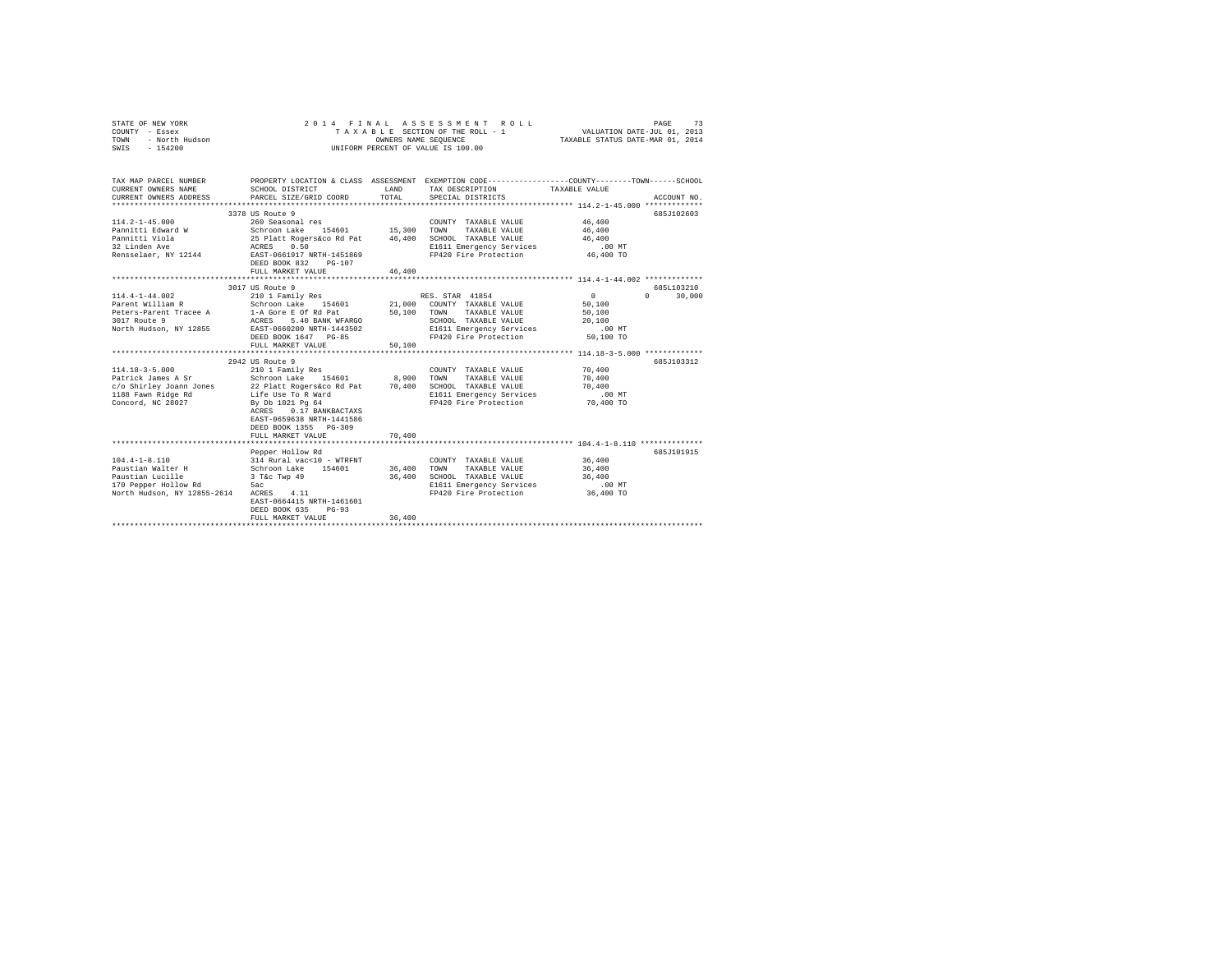| STATE OF NEW YORK<br>COUNTY - Essex<br>- North Hudson<br>TOWN<br>$-154200$<br>SWIS                                                                         | 2014 FINAL ASSESSMENT ROLL<br>73<br>PAGE<br>T A X A B L E SECTION OF THE ROLL - 1<br>OWNERS NAME SEQUENCE<br>VALUATION DATE-JUL 01, 2013<br>TAXABLE STATUS DATE-MAR 01, 2014<br>UNIFORM PERCENT OF VALUE IS 100.00                                         |                            |                                                                                                                                                                                                              |                                                                        |                                                 |  |  |
|------------------------------------------------------------------------------------------------------------------------------------------------------------|------------------------------------------------------------------------------------------------------------------------------------------------------------------------------------------------------------------------------------------------------------|----------------------------|--------------------------------------------------------------------------------------------------------------------------------------------------------------------------------------------------------------|------------------------------------------------------------------------|-------------------------------------------------|--|--|
| TAX MAP PARCEL NUMBER<br>CURRENT OWNERS NAME<br>CURRENT OWNERS ADDRESS<br>***********************                                                          | SCHOOL DISTRICT<br>PARCEL SIZE/GRID COORD                                                                                                                                                                                                                  | LAND<br>TOTAL              | PROPERTY LOCATION & CLASS ASSESSMENT EXEMPTION CODE----------------COUNTY-------TOWN------SCHOOL<br>TAX DESCRIPTION TAXABLE VALUE<br>SPECIAL DISTRICTS                                                       |                                                                        | ACCOUNT NO.                                     |  |  |
| $114.2 - 1 - 45.000$<br>Pannitti Edward W<br>Pannitti Viola<br>32 Linden Ave<br>Rensselaer, NY 12144 EAST-0661917 NRTH-1451869                             | 3378 US Route 9<br>260 Seasonal res<br>Schroon Lake 154601 15,300<br>25 Platt Rogers&co Rd Pat 46,400<br>ACRES 0.50<br>DEED BOOK 832 PG-107<br>FULL MARKET VALUE                                                                                           | 46,400                     | COUNTY TAXABLE VALUE<br>TOWN<br>TAXABLE VALUE<br>SCHOOL TAXABLE VALUE<br>E1611 Emergency Services<br>FP420 Fire Protection 46,400 TO                                                                         | 46,400<br>46,400<br>46,400<br>$.00$ MT                                 | 685J102603                                      |  |  |
|                                                                                                                                                            |                                                                                                                                                                                                                                                            |                            |                                                                                                                                                                                                              |                                                                        |                                                 |  |  |
| $114.4 - 1 - 44.002$<br>Parent William R<br>Peters-Parent Tracee A<br>3017 Route 9<br>North Hudson, NY 12855<br>$114.18 - 3 - 5.000$<br>Patrick James A Sr | 3017 US Route 9<br>210 1 Family Res<br>Schroon Lake 154601<br>1-A Gore E Of Rd Pat<br>ACRES 5.40 BANK WFARGO<br>EAST-0660200 NRTH-1443502<br>DEED BOOK 1647 PG-85<br>FULL MARKET VALUE<br>2942 US Route 9<br>210 1 Family Res<br>Schroon Lake 154601 8,900 | 50,100<br>50,100           | RES. STAR 41854<br>21,000 COUNTY TAXABLE VALUE<br>TOWN TAXABLE VALUE<br>SCHOOL TAXABLE VALUE<br>E1611 Emergency Services<br>FP420 Fire Protection 50,100 TO<br>COUNTY TAXABLE VALUE<br>TOWN<br>TAXABLE VALUE | $\sim$ 0<br>50,100<br>50,100<br>20,100<br>$.00$ MT<br>70,400<br>70,400 | 685L103210<br>30,000<br>$\Omega$<br>685.T103312 |  |  |
| c/o Shirley Joann Jones<br>1188 Fawn Ridge Rd<br>Concord, NC 28027                                                                                         | 22 Platt Rogers&co Rd Pat 70,400<br>Life Use To R Ward<br>By Db 1021 Pg 64<br>ACRES 0.17 BANKBACTAXS<br>EAST-0659638 NRTH-1441586<br>DEED BOOK 1355 PG-309<br>FULL MARKET VALUE                                                                            | 70,400                     | SCHOOL TAXABLE VALUE<br>E1611 Emergency Services<br>FP420 Fire Protection                                                                                                                                    | 70,400<br>$.00$ MT<br>70,400 TO                                        |                                                 |  |  |
|                                                                                                                                                            |                                                                                                                                                                                                                                                            |                            |                                                                                                                                                                                                              |                                                                        |                                                 |  |  |
| $104.4 - 1 - 8.110$<br>Paustian Walter H<br>Paustian Lucille<br>170 Pepper Hollow Rd<br>North Hudson, NY 12855-2614                                        | Pepper Hollow Rd<br>314 Rural vac<10 - WTRFNT<br>Schroon Lake 154601<br>3 T&c Twp 49<br>5ac<br>ACRES 4.11<br>EAST-0664415 NRTH-1461601<br>DEED BOOK 635<br>$PG-93$<br>FULL MARKET VALUE                                                                    | 36,400<br>36,400<br>36,400 | COUNTY TAXABLE VALUE<br>TOWN<br>TAXABLE VALUE<br>SCHOOL TAXABLE VALUE<br>E1611 Emergency Services<br>FP420 Fire Protection 36,400 TO                                                                         | 36,400<br>36,400<br>36,400<br>$.00$ MT                                 | 685.T101915                                     |  |  |
|                                                                                                                                                            |                                                                                                                                                                                                                                                            |                            |                                                                                                                                                                                                              |                                                                        |                                                 |  |  |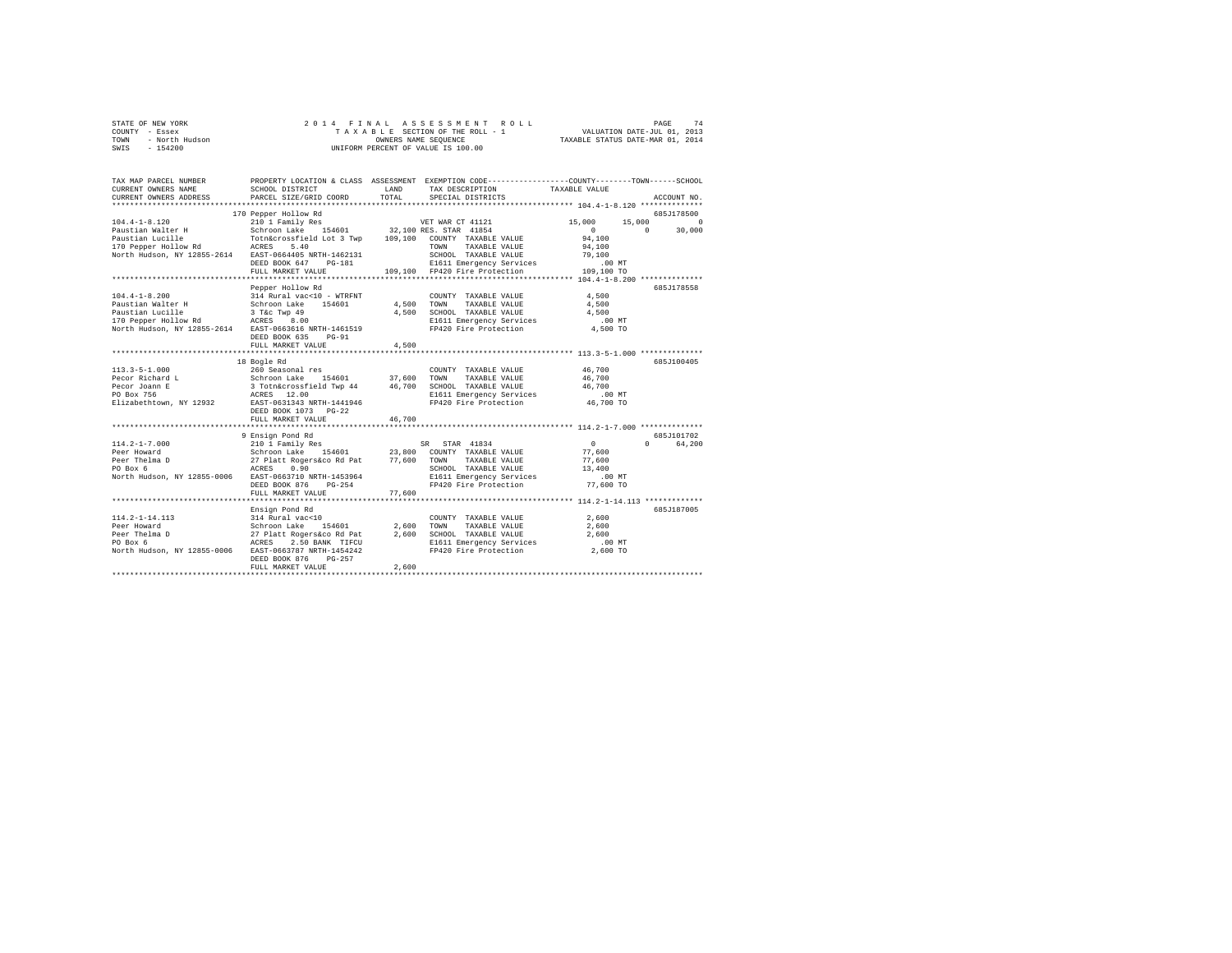| STATE OF NEW YORK      | 2014 FINAL ASSESSMENT ROLL         | 74<br>PAGE                       |
|------------------------|------------------------------------|----------------------------------|
| COUNTY - Essex         | TAXABLE SECTION OF THE ROLL - 1    | VALUATION DATE-JUL 01, 2013      |
| TOWN<br>- North Hudson | OWNERS NAME SEOUENCE               | TAXABLE STATUS DATE-MAR 01, 2014 |
| $-154200$<br>SWIS      | UNIFORM PERCENT OF VALUE IS 100.00 |                                  |

| TAX MAP PARCEL NUMBER                                             |                                                               |                    | PROPERTY LOCATION & CLASS ASSESSMENT EXEMPTION CODE---------------COUNTY-------TOWN------SCHOOL |                                     |                    |
|-------------------------------------------------------------------|---------------------------------------------------------------|--------------------|-------------------------------------------------------------------------------------------------|-------------------------------------|--------------------|
| CURRENT OWNERS NAME                                               | SCHOOL DISTRICT                                               | LAND               | TAX DESCRIPTION TAXABLE VALUE                                                                   |                                     |                    |
| CURRENT OWNERS ADDRESS                                            | PARCEL SIZE/GRID COORD                                        | TOTAL              | SPECIAL DISTRICTS                                                                               |                                     | ACCOUNT NO.        |
|                                                                   |                                                               |                    |                                                                                                 |                                     |                    |
|                                                                   | 170 Pepper Hollow Rd                                          |                    |                                                                                                 |                                     | 685J178500         |
| $104.4 - 1 - 8.120$                                               | 210 1 Family Res                                              |                    | VET WAR CT 41121                                                                                | 15,000                              | 15,000<br>$\Omega$ |
| Paustian Walter H                                                 | Schroon Lake 154601 32,100 RES. STAR 41854                    |                    |                                                                                                 | $\Omega$                            | $\Omega$<br>30,000 |
|                                                                   |                                                               |                    |                                                                                                 | 94,100                              |                    |
|                                                                   |                                                               |                    |                                                                                                 | 94,100                              |                    |
| North Hudson, NY 12855-2614 EAST-0664405 NRTH-1462131             |                                                               |                    | SCHOOL TAXABLE VALUE                                                                            | 79,100                              |                    |
|                                                                   | DEED BOOK 647<br>PG-181                                       |                    | E1611 Emergency Services                                                                        | $.00$ MT                            |                    |
|                                                                   | FULL MARKET VALUE                                             |                    | 109.100 FP420 Fire Protection                                                                   | 109,100 TO                          |                    |
|                                                                   |                                                               |                    |                                                                                                 |                                     |                    |
|                                                                   | Pepper Hollow Rd                                              |                    |                                                                                                 |                                     | 685.7178558        |
| $104.4 - 1 - 8.200$                                               | 314 Rural vac<10 - WTRFNT                                     |                    | COUNTY TAXABLE VALUE                                                                            | 4,500                               |                    |
| Paustian Walter H                                                 | Schroon Lake 154601                                           | 4,500 TOWN         | TAXABLE VALUE                                                                                   | 4,500                               |                    |
| Paustian Lucille                                                  | 3 T&c Twp 49                                                  |                    | 4,500 SCHOOL TAXABLE VALUE                                                                      | 4,500                               |                    |
| 170 Pepper Hollow Rd ACRES 8.00                                   |                                                               |                    | E1611 Emergency Services                                                                        | $.00$ MT                            |                    |
| North Hudson, NY 12855-2614 EAST-0663616 NRTH-1461519             |                                                               |                    | FP420 Fire Protection                                                                           | 4,500 TO                            |                    |
|                                                                   | DEED BOOK 635<br>$PG-91$                                      |                    |                                                                                                 |                                     |                    |
|                                                                   | FULL MARKET VALUE                                             | 4.500              |                                                                                                 |                                     |                    |
|                                                                   | ********************                                          |                    |                                                                                                 | ********* 113.3-5-1.000 *********** |                    |
|                                                                   | 18 Bogle Rd                                                   |                    |                                                                                                 |                                     | 685J100405         |
|                                                                   |                                                               |                    |                                                                                                 | 46,700                              |                    |
|                                                                   |                                                               |                    |                                                                                                 |                                     |                    |
|                                                                   |                                                               |                    |                                                                                                 |                                     |                    |
|                                                                   |                                                               |                    |                                                                                                 | $.00$ MT                            |                    |
| Elizabethtown, NY 12932 EAST-0631343 NRTH-1441946                 |                                                               |                    | FP420 Fire Protection 46,700 TO                                                                 |                                     |                    |
|                                                                   | DEED BOOK 1073 PG-22                                          |                    |                                                                                                 |                                     |                    |
|                                                                   | FULL MARKET VALUE                                             | 46,700             |                                                                                                 |                                     |                    |
|                                                                   |                                                               |                    |                                                                                                 |                                     |                    |
|                                                                   | 9 Ensign Pond Rd                                              |                    |                                                                                                 |                                     | 685J101702         |
| $114.2 - 1 - 7.000$                                               | 210 1 Family Res                                              |                    | SR STAR 41834                                                                                   | $\circ$                             | $\Omega$<br>64.200 |
| Peer Howard                                                       | Schroon Lake 154601 23,800 COUNTY TAXABLE VALUE               |                    |                                                                                                 | 77.600                              |                    |
| Peer Thelma D                                                     | 27 Platt Rogers&co Rd Pat $77,600$ TOWN<br>ACRES $0.90$ SCHOO |                    | TAXABLE VALUE<br>SCHOOL TAXABLE VALUE                                                           | 77.600                              |                    |
| PO Box 6<br>North Hudson, NY 12855-0006 EAST-0663710 NRTH-1453964 |                                                               |                    |                                                                                                 | 13,400<br>$.00$ MT                  |                    |
|                                                                   | DEED BOOK 876<br>$PG-254$                                     |                    | E1611 Emergency Services<br>FP420 Fire Protection                                               | 77,600 TO                           |                    |
|                                                                   | FULL MARKET VALUE                                             | 77,600             |                                                                                                 |                                     |                    |
|                                                                   |                                                               |                    |                                                                                                 |                                     |                    |
|                                                                   | Ensign Pond Rd                                                |                    |                                                                                                 |                                     | 685J187005         |
| 114.2-1-14.113                                                    | 314 Rural vac<10                                              |                    | COUNTY TAXABLE VALUE                                                                            | 2,600                               |                    |
| Peer Howard                                                       | Schroon Lake 154601                                           |                    | TAXABLE VALUE<br>TOWN                                                                           | 2,600                               |                    |
| Peer Thelma D                                                     |                                                               | $2,600$<br>$2,600$ | SCHOOL TAXABLE VALUE                                                                            | 2,600                               |                    |
| PO Box 6                                                          | 27 Platt Rogers&co Rd Pat<br>ACRES 2.50 BANK TIFCU            |                    | E1611 Emergency Services                                                                        | .00MT                               |                    |
| North Hudson, NY 12855-0006                                       | EAST-0663787 NRTH-1454242                                     |                    | FP420 Fire Protection                                                                           | 2,600 TO                            |                    |
|                                                                   | DEED BOOK 876<br>PG-257                                       |                    |                                                                                                 |                                     |                    |
|                                                                   | FULL MARKET VALUE                                             | 2,600              |                                                                                                 |                                     |                    |
|                                                                   |                                                               |                    |                                                                                                 |                                     |                    |
|                                                                   |                                                               |                    |                                                                                                 |                                     |                    |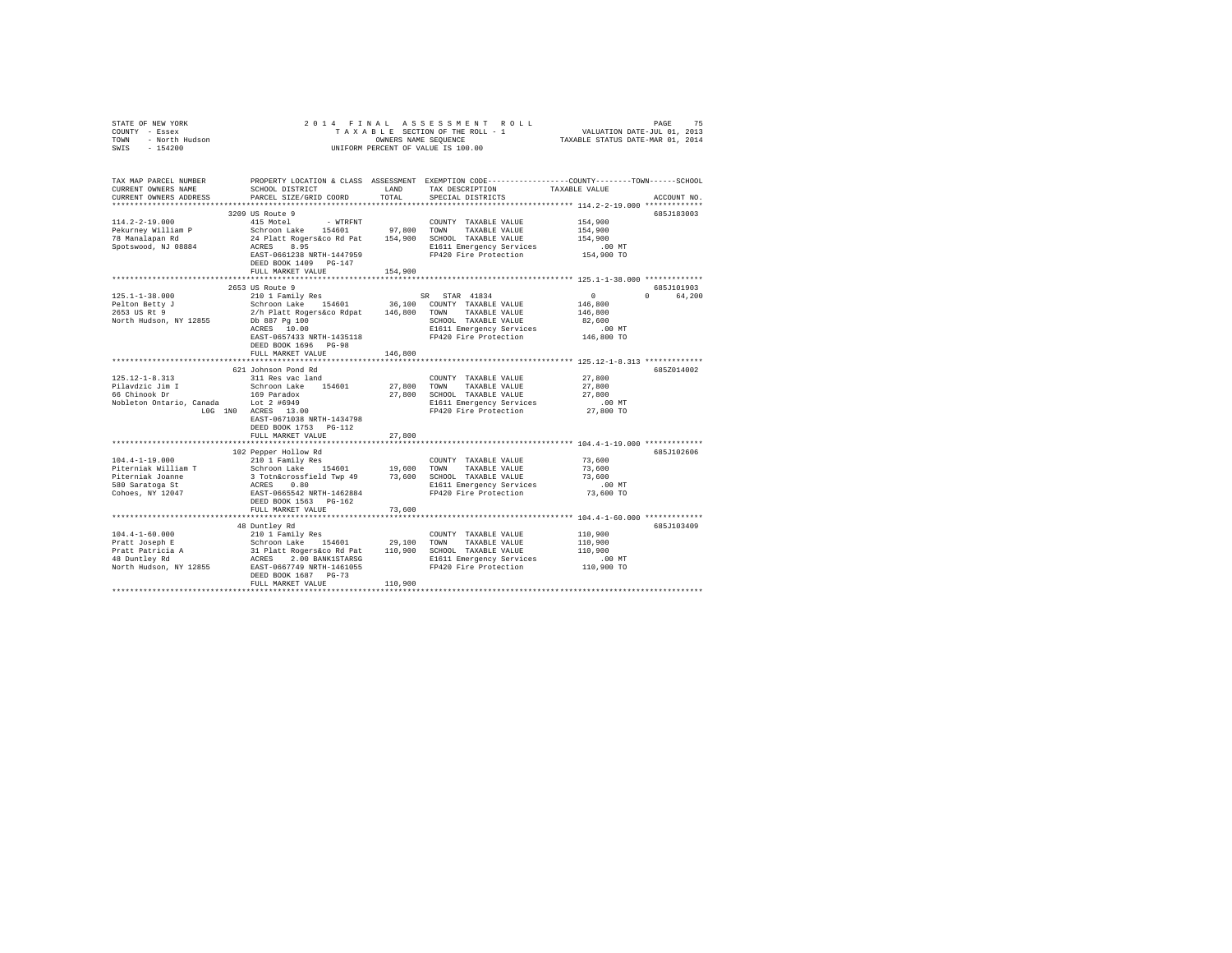| COUNTY - Essex<br>TOWN<br>- North Hudson<br>SWIS<br>$-154200$                                                                   | UNIFORM PERCENT OF VALUE IS 100.00                                                                                                                                                                                                                                                                           |               |                                                                                                                                        |                                                                          |                        |  |
|---------------------------------------------------------------------------------------------------------------------------------|--------------------------------------------------------------------------------------------------------------------------------------------------------------------------------------------------------------------------------------------------------------------------------------------------------------|---------------|----------------------------------------------------------------------------------------------------------------------------------------|--------------------------------------------------------------------------|------------------------|--|
| TAX MAP PARCEL NUMBER<br>CURRENT OWNERS NAME<br>CURRENT OWNERS ADDRESS                                                          | SCHOOL DISTRICT<br>PARCEL SIZE/GRID COORD                                                                                                                                                                                                                                                                    | LAND<br>TOTAL | PROPERTY LOCATION & CLASS ASSESSMENT EXEMPTION CODE---------------COUNTY-------TOWN-----SCHOOL<br>TAX DESCRIPTION<br>SPECIAL DISTRICTS | TAXABLE VALUE<br>************************** 114.2-2-19.000 ************* | ACCOUNT NO.            |  |
| $114.2 - 2 - 19.000$<br>Pekurney William P<br>78 Manalapan Rd<br>Spotswood, NJ 08884                                            | 3209 US Route 9<br>415 Motel<br>- WTRFNT<br>Schroon Lake 154601 97,800 TOWN TAXABLE VALUE<br>24 Platt Rogers&co Rd Pat 154,900 SCHOOL TAXABLE VALUE<br>ACRES 8.95<br>EAST-0661238 NRTH-1447959<br>DEED BOOK 1409 PG-147<br>FULL MARKET VALUE                                                                 | 154,900       | COUNTY TAXABLE VALUE<br>E1611 Emergency Services<br>FP420 Fire Protection                                                              | 154,900<br>154,900<br>154,900<br>$.00$ MT<br>154,900 TO                  | 685J183003             |  |
|                                                                                                                                 |                                                                                                                                                                                                                                                                                                              |               |                                                                                                                                        |                                                                          |                        |  |
| $125.1 - 1 - 38.000$<br>Pelton Betty J<br>2653 US Rt 9<br>North Hudson, NY 12855                                                | 2653 US Route 9<br>210 1 Family Res<br>Schroon Lake 154601 36,100 COUNTY TAXABLE VALUE 2/h Platt Rogers&co Rdpat 146,800 TOWN TAXABLE VALUE<br>Db 887 Pg 100<br>ACRES 10.00<br>EAST-0657433 NRTH-1435118<br>DEED BOOK 1696 PG-98                                                                             |               | SR STAR 41834<br>SCHOOL TAXABLE VALUE<br>E1611 Emergency Services<br>FP420 Fire Protection                                             | $\sim$ 0<br>146,800<br>146,800<br>82,600<br>$.00$ MT<br>146,800 TO       | 685J101903<br>0 64,200 |  |
|                                                                                                                                 | FULL MARKET VALUE                                                                                                                                                                                                                                                                                            | 146,800       |                                                                                                                                        |                                                                          |                        |  |
|                                                                                                                                 |                                                                                                                                                                                                                                                                                                              |               |                                                                                                                                        |                                                                          |                        |  |
| 125.12-1-8.313<br>Pilavdzic Jim I<br>66 Chinook Dr<br>Nobleton Ontario, Canada Lot 2 #6949                                      | 621 Johnson Pond Rd<br>311 Res vac land<br>Schroon Lake 154601<br>169 Paradox<br>$1.0G$ 1N0 $4.2 \text{ #}6949$<br>$1.0G$ 1N0 $4.07 \text{ K}$ 13.00<br>EAST-0671038 NRTH-1434798<br>DEED BOOK 1753 PG-112                                                                                                   | 27,800        | COUNTY TAXABLE VALUE<br>TOWN<br>TAXABLE VALUE<br>27,800 SCHOOL TAXABLE VALUE<br>E1611 Emergency Services<br>FP420 Fire Protection      | 27,800<br>27,800<br>27,800<br>$.00$ MT<br>27,800 TO                      | 685Z014002             |  |
|                                                                                                                                 | FULL MARKET VALUE                                                                                                                                                                                                                                                                                            | 27,800        |                                                                                                                                        |                                                                          |                        |  |
| $104.4 - 1 - 19.000$                                                                                                            | 102 Pepper Hollow Rd<br>210 1 Family Res                                                                                                                                                                                                                                                                     |               | COUNTY TAXABLE VALUE                                                                                                                   | 73,600                                                                   | 685J102606             |  |
| Piterniak William T<br>Piterniak Joanne<br>580 Saratoga St<br>Cohoes, NY 12047                                                  | DEED BOOK 1563 PG-162<br>FULL MARKET VALUE                                                                                                                                                                                                                                                                   | 73,600        | E1611 Emergency Services<br>FP420 Fire Protection                                                                                      | 73,600<br>73,600<br>$.00$ MT<br>73,600 TO                                |                        |  |
|                                                                                                                                 |                                                                                                                                                                                                                                                                                                              |               |                                                                                                                                        |                                                                          |                        |  |
| $104.4 - 1 - 60.000$<br>Pratt Joseph E<br>Pratt Patricia A<br>48 Duntley Rd<br>North Hudson, NY 12855 EAST-0667749 NRTH-1461055 | 48 Duntley Rd<br>210 1 Family Res<br>2012 1021 112 154601 29,100 100001 1200011 201012<br>30 12 12 12 13 13 14 15460 110,900 10000 12000 12000<br>2012 12 13 13000 12000 12000 12000 12000 12000 12000 12000 12000 12000 12000 12000 12000 12000 12000 12000 12<br>DEED BOOK 1687 PG-73<br>FULL MARKET VALUE | 110,900       | COUNTY TAXABLE VALUE<br>E1611 Emergency Services<br>FP420 Fire Protection                                                              | 110,900<br>110,900<br>110,900<br>$.00$ MT<br>110,900 TO                  | 685J103409             |  |
|                                                                                                                                 |                                                                                                                                                                                                                                                                                                              |               |                                                                                                                                        |                                                                          |                        |  |

STATE OF NEW YORK 2014 FINAL ASSESSMENT ROLL PAGE 75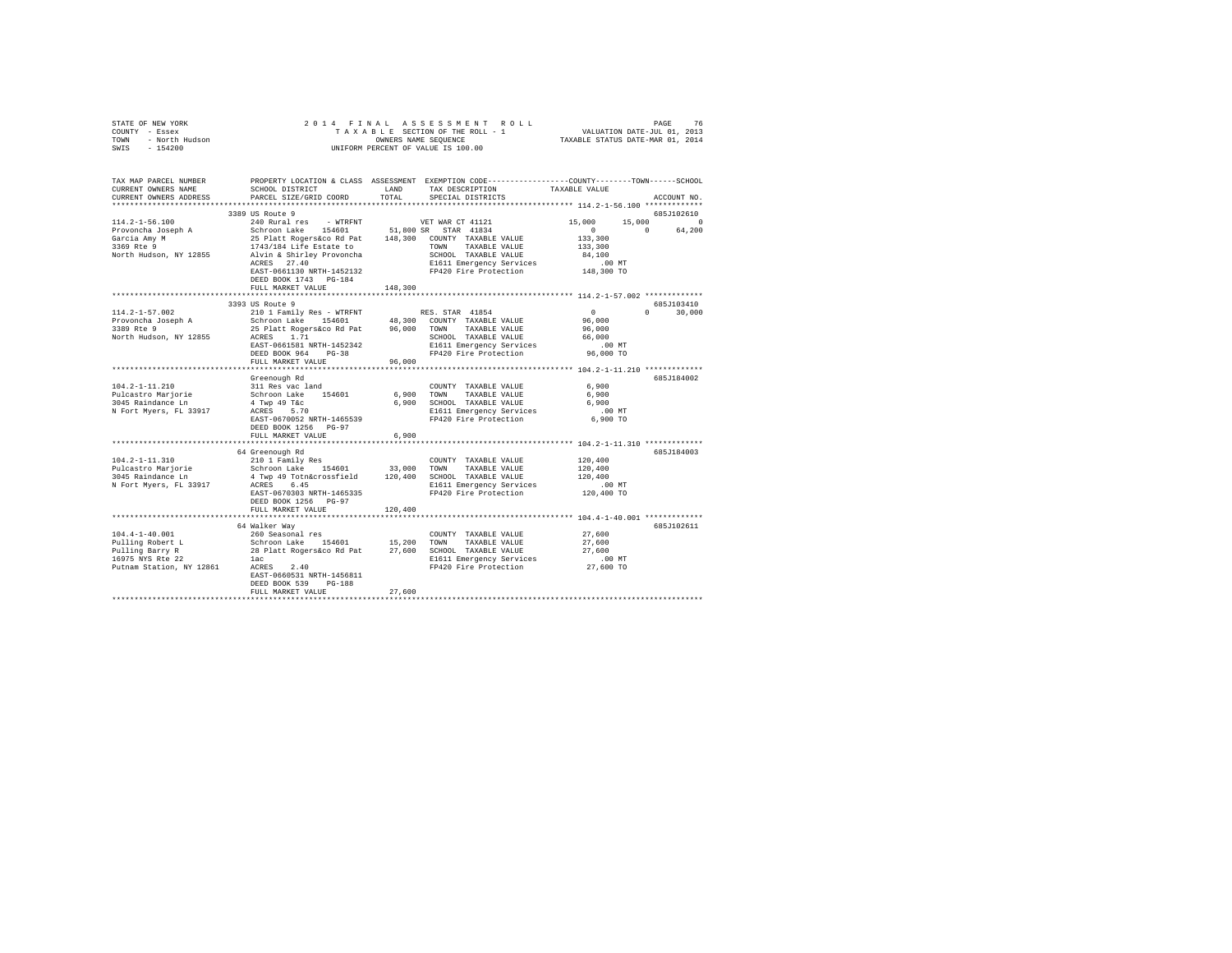|      | STATE OF NEW YORK | 2014 FINAL ASSESSMENT ROLL         | 76<br>PAGE                       |
|------|-------------------|------------------------------------|----------------------------------|
|      | COUNTY - Essex    | TAXABLE SECTION OF THE ROLL - 1    | VALUATION DATE-JUL 01, 2013      |
| TOWN | - North Hudson    | OWNERS NAME SEOUENCE               | TAXABLE STATUS DATE-MAR 01, 2014 |
| SWIS | $-154200$         | UNIFORM PERCENT OF VALUE IS 100.00 |                                  |

| TAX MAP PARCEL NUMBER<br>CURRENT OWNERS NAME            | SCHOOL DISTRICT                                                                                        | LAND    | PROPERTY LOCATION & CLASS ASSESSMENT EXEMPTION CODE---------------COUNTY-------TOWN------SCHOOL<br>TAX DESCRIPTION | TAXABLE VALUE        |                             |
|---------------------------------------------------------|--------------------------------------------------------------------------------------------------------|---------|--------------------------------------------------------------------------------------------------------------------|----------------------|-----------------------------|
| CURRENT OWNERS ADDRESS                                  | PARCEL SIZE/GRID COORD                                                                                 | TOTAL   | SPECIAL DISTRICTS                                                                                                  |                      | ACCOUNT NO.                 |
|                                                         |                                                                                                        |         |                                                                                                                    |                      |                             |
|                                                         | 3389 US Route 9                                                                                        |         |                                                                                                                    |                      | 685J102610                  |
| $114.2 - 1 - 56.100$                                    | 240 Rural res - WTRFNT                                                                                 |         | VET WAR CT 41121                                                                                                   | 15,000<br>15,000     | $\Omega$                    |
| Provoncha Joseph A                                      | Schroon Lake 154601 51,800 SR STAR 41834                                                               |         |                                                                                                                    | $\sim$ 0             | $\Omega$<br>64,200          |
|                                                         |                                                                                                        |         |                                                                                                                    | 133,300              |                             |
| ⊌arcia Amy M<br>3369 Rte 9<br>Morth III                 |                                                                                                        |         |                                                                                                                    | 133,300              |                             |
| North Hudson, NY 12855                                  |                                                                                                        |         |                                                                                                                    | 84,100               |                             |
|                                                         | ACRES 27.40                                                                                            |         | E1611 Emergency Services                                                                                           |                      |                             |
|                                                         | EAST-0661130 NRTH-1452132                                                                              |         | FP420 Fire Protection                                                                                              | 00 MT.<br>148,300 TO |                             |
|                                                         | DEED BOOK 1743 PG-184                                                                                  |         |                                                                                                                    |                      |                             |
|                                                         | FULL MARKET VALUE                                                                                      | 148,300 |                                                                                                                    |                      |                             |
|                                                         |                                                                                                        |         |                                                                                                                    |                      |                             |
|                                                         | 3393 US Route 9                                                                                        |         |                                                                                                                    |                      | 685J103410                  |
| $114.2 - 1 - 57.002$                                    | 210 1 Family Res - WTRFNT                                                                              |         | RES. STAR 41854                                                                                                    | $\sim$ 0             | $0 \qquad \qquad$<br>30,000 |
| Provoncha Joseph A                                      | Schroon Lake 154601 48,300 COUNTY TAXABLE VALUE<br>25 Platt Rogers&co Rd Pat 96,000 TOWN TAXABLE VALUE |         |                                                                                                                    | 96,000               |                             |
| 3389 Rte 9                                              |                                                                                                        |         |                                                                                                                    | 96,000               |                             |
| North Hudson, NY 12855                                  | ACRES 1.71                                                                                             |         | SCHOOL TAXABLE VALUE                                                                                               | 66,000               |                             |
|                                                         | EAST-0661581 NRTH-1452342                                                                              |         | E1611 Emergency Services<br>FP420 Fire Protection                                                                  | $.00$ MT             |                             |
|                                                         | DEED BOOK 964<br>$PG-38$                                                                               |         |                                                                                                                    | 96,000 TO            |                             |
|                                                         | FULL MARKET VALUE                                                                                      | 96,000  |                                                                                                                    |                      |                             |
|                                                         |                                                                                                        |         |                                                                                                                    |                      |                             |
|                                                         | Greenough Rd                                                                                           |         |                                                                                                                    |                      | 685J184002                  |
| $104.2 - 1 - 11.210$                                    | 311 Res vac land                                                                                       |         | COUNTY TAXABLE VALUE                                                                                               | 6,900                |                             |
| Pulcastro Marjorie                                      |                                                                                                        |         | 6,900 TOWN TAXABLE VALUE                                                                                           | 6,900                |                             |
| 3045 Raindance Ln                                       |                                                                                                        |         | 6,900 SCHOOL TAXABLE VALUE                                                                                         | 6,900                |                             |
| N Fort Myers, FL 33917 ACRES 5.70                       | Schroon Lake 154601<br>4 Twp 49 T&c<br>ACRES 5.70                                                      |         | E1611 Emergency Services                                                                                           | .00 MT               |                             |
|                                                         | EAST-0670052 NRTH-1465539                                                                              |         | FP420 Fire Protection                                                                                              | 6,900 TO             |                             |
|                                                         | DEED BOOK 1256 PG-97                                                                                   |         |                                                                                                                    |                      |                             |
|                                                         | FULL MARKET VALUE                                                                                      | 6,900   |                                                                                                                    |                      |                             |
|                                                         |                                                                                                        |         |                                                                                                                    |                      |                             |
|                                                         | 64 Greenough Rd                                                                                        |         |                                                                                                                    |                      | 685J184003                  |
| 104.2-1-11.310                                          | 210 1 Family Res                                                                                       |         | COUNTY TAXABLE VALUE                                                                                               | 120,400              |                             |
| Pulcastro Marjorie                                      | Schroon Lake 154601 33,000 TOWN TAXABLE VALUE<br>4 Twp 49 Totn&crossfield 120,400 SCHOOL TAXABLE VALUE |         |                                                                                                                    | 120,400              |                             |
| 3045 Raindance Ln                                       |                                                                                                        |         |                                                                                                                    | 120,400              |                             |
| N Fort Myers, FL 33917                                  | ACRES 6.45                                                                                             |         | E1611 Emergency Services                                                                                           | $.00$ MT             |                             |
|                                                         | EAST-0670303 NRTH-1465335                                                                              |         | FP420 Fire Protection                                                                                              | 120,400 TO           |                             |
|                                                         | DEED BOOK 1256 PG-97                                                                                   |         |                                                                                                                    |                      |                             |
|                                                         | FULL MARKET VALUE                                                                                      | 120,400 |                                                                                                                    |                      |                             |
|                                                         |                                                                                                        |         |                                                                                                                    |                      |                             |
|                                                         | 64 Walker Way                                                                                          |         |                                                                                                                    |                      | 685J102611                  |
| $104.4 - 1 - 40.001$                                    | 260 Seasonal res                                                                                       |         | COUNTY TAXABLE VALUE                                                                                               | 27,600               |                             |
| Pulling Robert L<br>Pulling Barry R<br>16975 NYS Rte 22 | Schroon Lake 154601 15,200 TOWN TAXABLE VALUE<br>28 Platt Rogers&co Rd Pat 27,600 SCHOOL TAXABLE VALUE |         |                                                                                                                    | 27,600               |                             |
|                                                         |                                                                                                        |         |                                                                                                                    | 27.600               |                             |
| 16975 NYS Rte 22                                        | lac                                                                                                    |         | E1611 Emergency Services .00 MT<br>FP420 Fire Protection 27,600 TO                                                 | .00 MT               |                             |
| Putnam Station, NY 12861                                | ACRES 2.40                                                                                             |         |                                                                                                                    |                      |                             |
|                                                         | EAST-0660531 NRTH-1456811                                                                              |         |                                                                                                                    |                      |                             |
|                                                         | DEED BOOK 539<br>$PG-188$                                                                              |         |                                                                                                                    |                      |                             |
|                                                         | FULL MARKET VALUE                                                                                      | 27,600  |                                                                                                                    |                      |                             |
|                                                         |                                                                                                        |         |                                                                                                                    |                      |                             |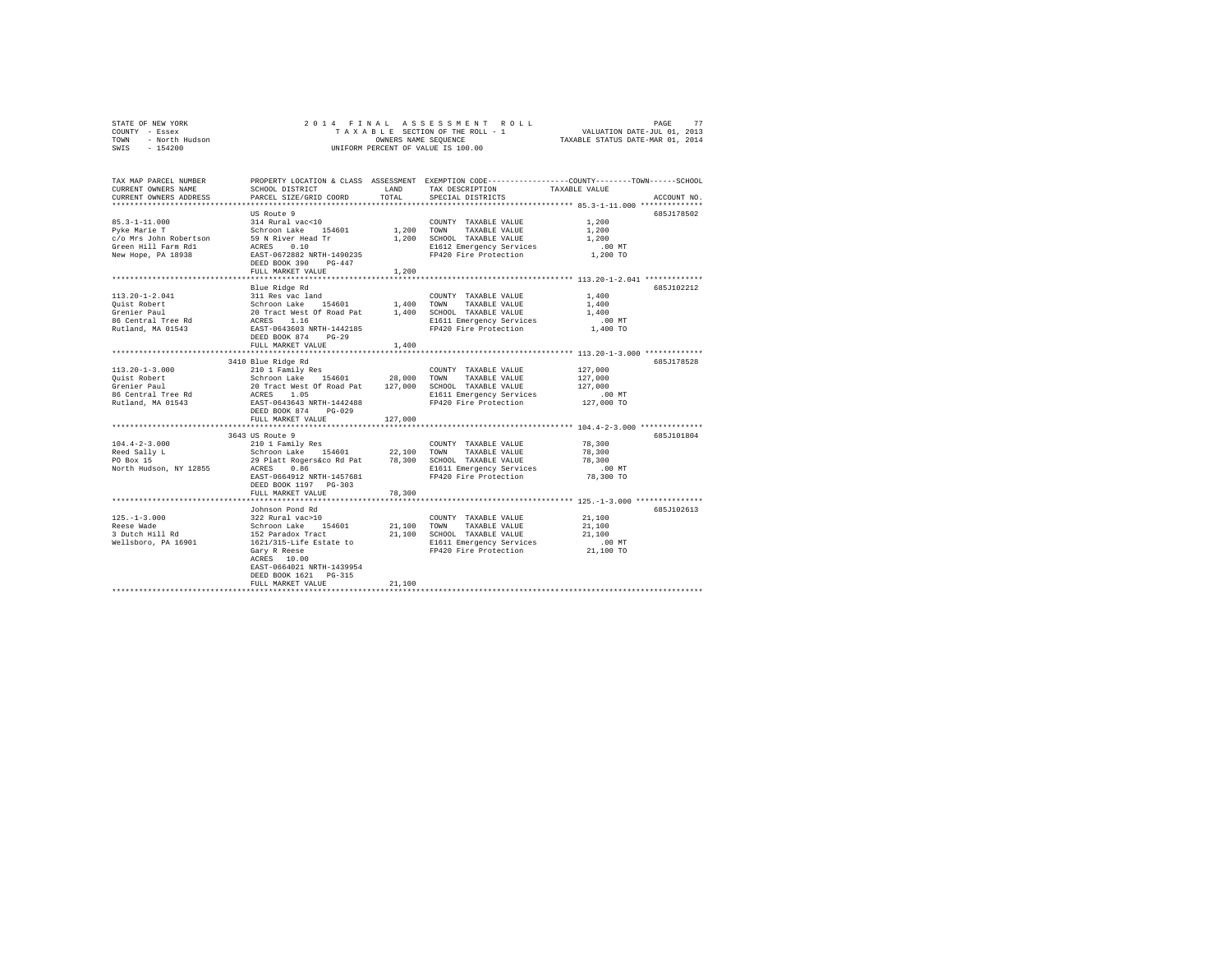|      | STATE OF NEW YORK |  |  | 2014 FINAL ASSESSMENT ROLL         | PAGE                             | 77 |
|------|-------------------|--|--|------------------------------------|----------------------------------|----|
|      | COUNTY - Essex    |  |  | TAXABLE SECTION OF THE ROLL - 1    | VALUATION DATE-JUL 01, 2013      |    |
| TOWN | - North Hudson    |  |  | OWNERS NAME SEOUENCE               | TAXABLE STATUS DATE-MAR 01, 2014 |    |
| SWIS | $-154200$         |  |  | UNIFORM PERCENT OF VALUE IS 100.00 |                                  |    |

| TAX MAP PARCEL NUMBER<br>CURRENT OWNERS NAME<br>CURRENT OWNERS ADDRESS | SCHOOL DISTRICT<br>PARCEL SIZE/GRID COORD                                                                                                                                                                             | LAND<br>TOTAL | PROPERTY LOCATION & CLASS ASSESSMENT EXEMPTION CODE-----------------COUNTY-------TOWN------SCHOOL<br>TAX DESCRIPTION<br>SPECIAL DISTRICTS | TAXABLE VALUE        | ACCOUNT NO. |
|------------------------------------------------------------------------|-----------------------------------------------------------------------------------------------------------------------------------------------------------------------------------------------------------------------|---------------|-------------------------------------------------------------------------------------------------------------------------------------------|----------------------|-------------|
|                                                                        |                                                                                                                                                                                                                       |               |                                                                                                                                           |                      |             |
|                                                                        | US Route 9                                                                                                                                                                                                            |               |                                                                                                                                           |                      | 685J178502  |
| $85.3 - 1 - 11.000$                                                    | 314 Rural vac<10                                                                                                                                                                                                      |               | COUNTY TAXABLE VALUE                                                                                                                      | 1,200                |             |
| Pyke Marie T                                                           |                                                                                                                                                                                                                       |               | 1,200 TOWN TAXABLE VALUE                                                                                                                  | 1,200                |             |
| c/o Mrs John Robertson                                                 | Schroon Lake 154601<br>59 N River Head Tr                                                                                                                                                                             |               | 1,200 SCHOOL TAXABLE VALUE                                                                                                                | 1,200                |             |
| Green Hill Farm Rd1                                                    | ACRES 0.10                                                                                                                                                                                                            |               | E1612 Emergency Services<br>FP420 Fire Protection                                                                                         | $.00$ MT             |             |
| New Hope, PA 18938                                                     | EAST-0672882 NRTH-1490235                                                                                                                                                                                             |               |                                                                                                                                           | 1,200 TO             |             |
|                                                                        | DEED BOOK 390 PG-447                                                                                                                                                                                                  |               |                                                                                                                                           |                      |             |
|                                                                        | FULL MARKET VALUE                                                                                                                                                                                                     | 1,200         |                                                                                                                                           |                      |             |
|                                                                        |                                                                                                                                                                                                                       |               |                                                                                                                                           |                      |             |
|                                                                        | Blue Ridge Rd                                                                                                                                                                                                         |               |                                                                                                                                           |                      | 685J102212  |
| $113.20 - 1 - 2.041$                                                   | 311 Res vac land                                                                                                                                                                                                      |               | COUNTY TAXABLE VALUE                                                                                                                      | 1,400                |             |
| Quist Robert                                                           |                                                                                                                                                                                                                       |               |                                                                                                                                           | 1,400                |             |
| Grenier Paul                                                           | Schroon Lake using the 1400 TOWN TAXABLE VALUE<br>20 Tract West Of Road Pat 1,400 SCHOOL TAXABLE VALUE<br>20 Tract West Of Road Pat 1,400 SCHOOL TAXABLE VALUE<br>20 EARST-0643603 NRTH-1442185 FP420 Pire Protection |               |                                                                                                                                           | 1,400                |             |
| 86 Central Tree Rd                                                     |                                                                                                                                                                                                                       |               | E1611 Emergency Services                                                                                                                  | .00 MT               |             |
| Rutland, MA 01543                                                      |                                                                                                                                                                                                                       |               | FP420 Fire Protection                                                                                                                     | 1,400 TO             |             |
|                                                                        | DEED BOOK 874 PG-29                                                                                                                                                                                                   |               |                                                                                                                                           |                      |             |
|                                                                        | FULL MARKET VALUE                                                                                                                                                                                                     | 1,400         |                                                                                                                                           |                      |             |
|                                                                        |                                                                                                                                                                                                                       |               |                                                                                                                                           |                      |             |
|                                                                        | 3410 Blue Ridge Rd                                                                                                                                                                                                    |               |                                                                                                                                           |                      | 685J178528  |
| $113.20 - 1 - 3.000$                                                   | 210 1 Family Res                                                                                                                                                                                                      |               | COUNTY TAXABLE VALUE                                                                                                                      | 127,000              |             |
|                                                                        |                                                                                                                                                                                                                       |               |                                                                                                                                           | 127,000              |             |
|                                                                        |                                                                                                                                                                                                                       |               |                                                                                                                                           | 127,000              |             |
|                                                                        |                                                                                                                                                                                                                       |               | E1611 Emergency Services<br>FP420 Fire Protection                                                                                         | .00 MT<br>127,000 TO |             |
|                                                                        |                                                                                                                                                                                                                       |               |                                                                                                                                           |                      |             |
|                                                                        | DEED BOOK 874 PG-029                                                                                                                                                                                                  |               |                                                                                                                                           |                      |             |
|                                                                        | FULL MARKET VALUE                                                                                                                                                                                                     | 127,000       |                                                                                                                                           |                      |             |
|                                                                        |                                                                                                                                                                                                                       |               |                                                                                                                                           |                      | 6857101804  |
| $104.4 - 2 - 3.000$                                                    |                                                                                                                                                                                                                       |               |                                                                                                                                           |                      |             |
| Reed Sally L                                                           |                                                                                                                                                                                                                       |               |                                                                                                                                           |                      |             |
| PO Box 15                                                              |                                                                                                                                                                                                                       |               |                                                                                                                                           |                      |             |
| North Hudson, NY 12855                                                 |                                                                                                                                                                                                                       |               |                                                                                                                                           |                      |             |
|                                                                        |                                                                                                                                                                                                                       |               |                                                                                                                                           |                      |             |
|                                                                        | DEED BOOK 1197 PG-303                                                                                                                                                                                                 |               |                                                                                                                                           |                      |             |
|                                                                        | FULL MARKET VALUE                                                                                                                                                                                                     | 78,300        |                                                                                                                                           |                      |             |
|                                                                        |                                                                                                                                                                                                                       |               |                                                                                                                                           |                      |             |
|                                                                        | Johnson Pond Rd                                                                                                                                                                                                       |               |                                                                                                                                           |                      | 685J102613  |
| $125. - 1 - 3.000$                                                     |                                                                                                                                                                                                                       |               | COUNTY TAXABLE VALUE                                                                                                                      | 21,100               |             |
| Reese Wade                                                             |                                                                                                                                                                                                                       |               | 21,100 TOWN TAXABLE VALUE                                                                                                                 | 21,100               |             |
| 3 Dutch Hill Rd                                                        | 322 Rural vac>10<br>Schroon Lake 154601<br>152 Paradox Tract<br>1621/315-Life Estate to                                                                                                                               |               | 21,100 SCHOOL TAXABLE VALUE                                                                                                               | 21,100               |             |
| Wellsboro, PA 16901                                                    |                                                                                                                                                                                                                       |               | E1611 Emergency Services                                                                                                                  | $.00$ MT             |             |
|                                                                        | Gary R Reese                                                                                                                                                                                                          |               | FP420 Fire Protection                                                                                                                     | 21,100 TO            |             |
|                                                                        | ACRES 10.00                                                                                                                                                                                                           |               |                                                                                                                                           |                      |             |
|                                                                        | EAST-0664021 NRTH-1439954                                                                                                                                                                                             |               |                                                                                                                                           |                      |             |
|                                                                        | DEED BOOK 1621   PG-315                                                                                                                                                                                               |               |                                                                                                                                           |                      |             |
|                                                                        | FULL MARKET VALUE                                                                                                                                                                                                     | 21,100        |                                                                                                                                           |                      |             |
|                                                                        |                                                                                                                                                                                                                       |               |                                                                                                                                           |                      |             |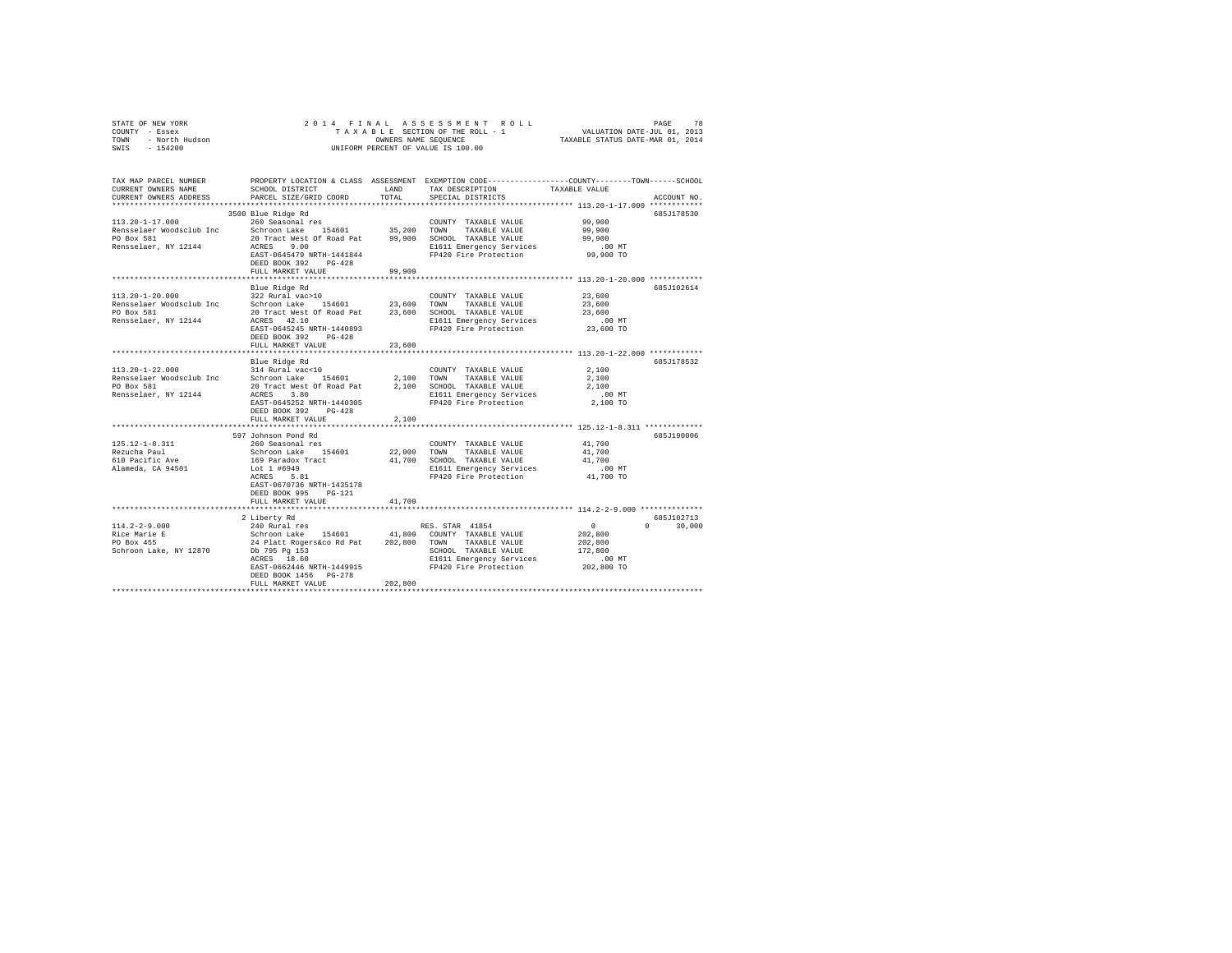| STATE OF NEW YORK<br>COUNTY - Essex<br>TOWN - North Hudson<br>SWIS - 154200                                                                                                                                                                                    | OWNERS NAME SEQUENCE<br>UNIFORM PERCENT OF VALUE IS 100.00                                                                                                                                                          |               |                                                                                                                                                        |                                                                   |                              |
|----------------------------------------------------------------------------------------------------------------------------------------------------------------------------------------------------------------------------------------------------------------|---------------------------------------------------------------------------------------------------------------------------------------------------------------------------------------------------------------------|---------------|--------------------------------------------------------------------------------------------------------------------------------------------------------|-------------------------------------------------------------------|------------------------------|
| TAX MAP PARCEL NUMBER PROPERTY LOCATION & CLASS ASSESSMENT EXEMPTION CODE---------------COUNTY-------TOWN------SCHOOL<br>CURRENT OWNERS NAME<br>CURRENT OWNERS ADDRESS                                                                                         | SCHOOL DISTRICT<br>PARCEL SIZE/GRID COORD                                                                                                                                                                           | LAND<br>TOTAL | TAX DESCRIPTION<br>SPECIAL DISTRICTS                                                                                                                   | TAXABLE VALUE                                                     | ACCOUNT NO.                  |
| $113.20 - 1 - 17.000$<br>Extended a schedule of the schedule of the Schedule of the Schedule Renselaer Woodsclub Inc Schroon Lake 154601 35,200 TOWN TAXABLE VALUE<br>PO Box 581 20 Tract West Of Road Pat 99,900 SCHOOL TAXABLE VALUE<br>Rensselaer, NY 12144 | 3500 Blue Ridge Rd<br>260 Seasonal res<br>ACRES 9.00<br>EAST-0645479 NRTH-1441844<br>DEED BOOK 392 PG-428<br>FULL MARKET VALUE                                                                                      | 99,900        | COUNTY TAXABLE VALUE<br>TAXABLE VALUE<br>E1611 Emergency Services 6.00 MT<br>FP420 Fire Protection 99,900 TO                                           | 99,900<br>99,900<br>99,900                                        | 685J178530                   |
|                                                                                                                                                                                                                                                                |                                                                                                                                                                                                                     |               |                                                                                                                                                        |                                                                   |                              |
| $113.20 - 1 - 20.000$                                                                                                                                                                                                                                          | Blue Ridge Rd<br>322 Rural vac>10<br>EAST-0645245 NRTH-1440893<br>DEED BOOK 392 PG-428                                                                                                                              |               | COUNTY TAXABLE VALUE<br>FP420 Fire Protection                                                                                                          | 23,600<br>23,600<br>23,600<br>.00 MT<br>23,600 TO                 | 685J102614                   |
|                                                                                                                                                                                                                                                                | FULL MARKET VALUE                                                                                                                                                                                                   | 23,600        |                                                                                                                                                        |                                                                   |                              |
| 113.20-1-22.000<br>Rensselaer, NY 12144                                                                                                                                                                                                                        | Blue Ridge Rd<br>314 Rural vac<10<br>ACRES 3.80<br>EAST-0645252 NRTH-1440305<br>DEED BOOK 392 PG-428                                                                                                                |               | COUNTY TAXABLE VALUE<br>E1611 Emergency Services<br>FP420 Fire Protection                                                                              | 2,100<br>2,100<br>2,100<br>$.00$ MT<br>2,100 TO                   | 685J178532                   |
|                                                                                                                                                                                                                                                                | FULL MARKET VALUE                                                                                                                                                                                                   | 2,100         |                                                                                                                                                        |                                                                   |                              |
| $125.12 - 1 - 8.311$<br>Rezucha Paul<br>610 Pacific Ave<br>Alameda, CA 94501                                                                                                                                                                                   | 597 Johnson Pond Rd<br>260 Seasonal res<br>Schroon Lake 154601<br>169 Paradox Tract<br>Lot 1 #6949<br>ACRES 5.81<br>EAST-0670736 NRTH-1435178<br>DEED BOOK 995 PG-121<br>FULL MARKET VALUE                          | 41,700        | COUNTY TAXABLE VALUE<br>22,000 TOWN TAXABLE VALUE<br>41,700 SCHOOL TAXABLE VALUE<br>E1611 Emergency Services .00 MT<br>FP420 Fire Protection 41,700 TO | 41,700<br>41,700<br>41,700                                        | 685J190006                   |
|                                                                                                                                                                                                                                                                | ***********************                                                                                                                                                                                             |               |                                                                                                                                                        |                                                                   |                              |
| $114.2 - 2 - 9.000$<br>Rice Marie E<br>PO Box 455<br>Schroon Lake, NY 12870                                                                                                                                                                                    | 2 Liberty Rd<br>240 Rural res<br>Schroon Lake 154601 41,800 COUNTY TAXABLE VALUE<br>24 Platt Rogers&co Rd Pat 202,800 TOWN TAXABLE VALUE<br>EAST-0662446 NRTH-1449915<br>DEED BOOK 1456 PG-278<br>FULL MARKET VALUE | 202,800       | RES. STAR 41854<br>E1611 Emergency Services<br>=1011 =mergency services<br>FP420 Fire Protection                                                       | $\sim$ 0<br>202,800<br>202.800<br>172,800<br>.00 MT<br>202,800 TO | 685.T102713<br>$0 \t 30,000$ |
|                                                                                                                                                                                                                                                                |                                                                                                                                                                                                                     |               |                                                                                                                                                        |                                                                   |                              |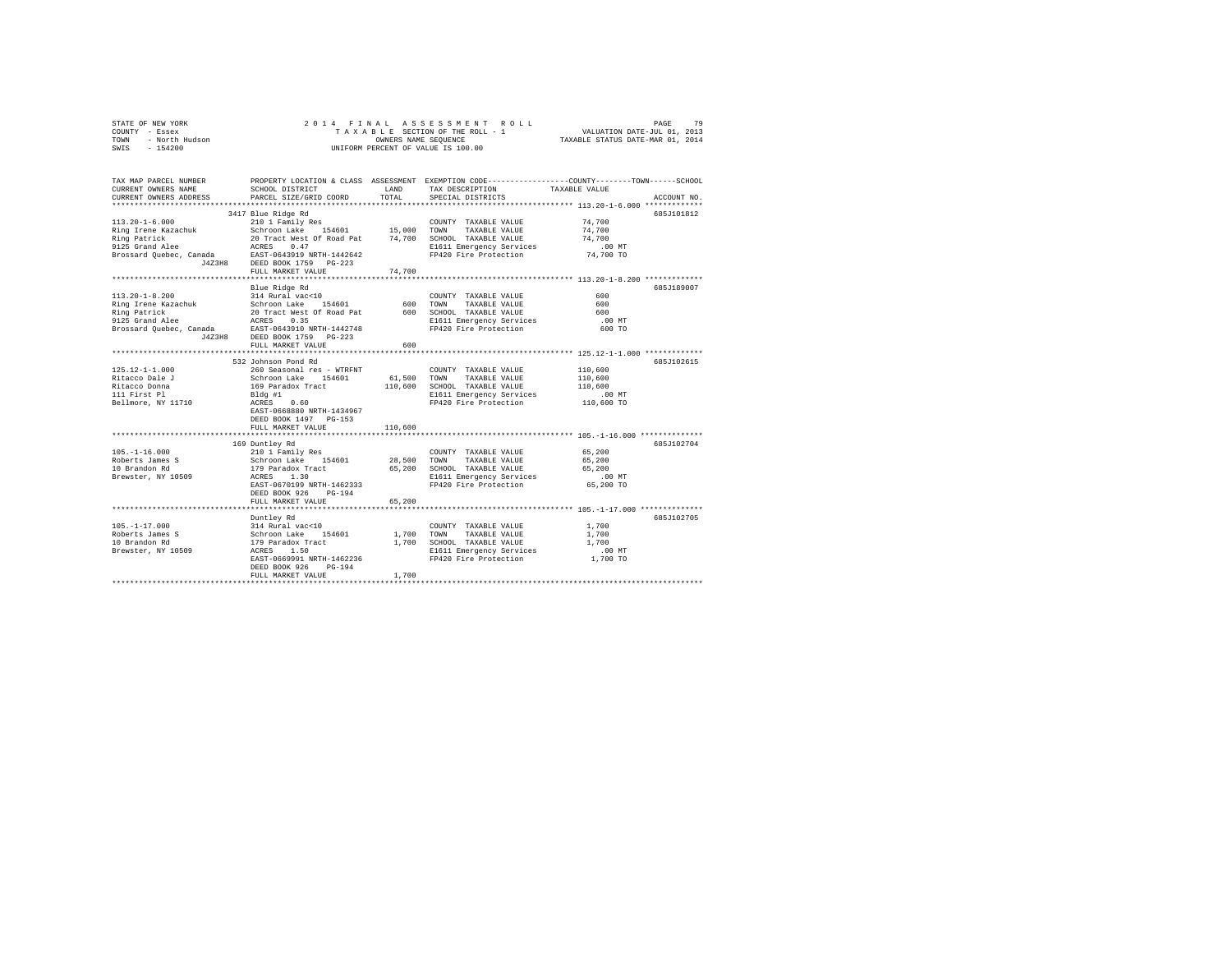| STATE OF NEW YORK      | 2014 FINAL ASSESSMENT ROLL         | 79<br>PAGE                       |
|------------------------|------------------------------------|----------------------------------|
| - Essex<br>COUNTY      | TAXABLE SECTION OF THE ROLL - 1    | VALUATION DATE-JUL 01, 2013      |
| - North Hudson<br>TOWN | OWNERS NAME SEOUENCE               | TAXABLE STATUS DATE-MAR 01, 2014 |
| $-154200$<br>SWIS      | UNIFORM PERCENT OF VALUE IS 100.00 |                                  |

| TAX MAP PARCEL NUMBER<br>CURRENT OWNERS NAME<br>CURRENT OWNERS ADDRESS                                                                                                                                                                   | SCHOOL DISTRICT<br>PARCEL SIZE/GRID COORD                        | LAND<br>TOTAL | TAX DESCRIPTION<br>SPECIAL DISTRICTS              | PROPERTY LOCATION & CLASS ASSESSMENT EXEMPTION CODE----------------COUNTY-------TOWN-----SCHOOL<br>TAXABLE VALUE<br>ACCOUNT NO. |
|------------------------------------------------------------------------------------------------------------------------------------------------------------------------------------------------------------------------------------------|------------------------------------------------------------------|---------------|---------------------------------------------------|---------------------------------------------------------------------------------------------------------------------------------|
|                                                                                                                                                                                                                                          |                                                                  |               |                                                   |                                                                                                                                 |
|                                                                                                                                                                                                                                          | 3417 Blue Ridge Rd                                               |               |                                                   | 685J101812                                                                                                                      |
| $113.20 - 1 - 6.000$                                                                                                                                                                                                                     | 210 1 Family Res                                                 |               | COUNTY TAXABLE VALUE                              | 74,700                                                                                                                          |
|                                                                                                                                                                                                                                          |                                                                  |               |                                                   | 74,700                                                                                                                          |
|                                                                                                                                                                                                                                          |                                                                  |               |                                                   | 74,700                                                                                                                          |
|                                                                                                                                                                                                                                          |                                                                  |               | E1611 Emergency Services                          | 00 MT.<br>74,700 TO                                                                                                             |
| Alley The Kazachuk and Schroon Lake 154601 15,000 COWN TAXABLE VALUE<br>Ring Irene Kazachuk 20 Tract West of Road Pat<br>20 Travis (1972)<br>20 Schroon Lake 20 Tract West 14,700 SCMN TAXABLE VALUE<br>2125 Grand Alee RASES 0.47<br>Br |                                                                  |               | FP420 Fire Protection                             |                                                                                                                                 |
|                                                                                                                                                                                                                                          |                                                                  |               |                                                   |                                                                                                                                 |
|                                                                                                                                                                                                                                          | FULL MARKET VALUE                                                | 74,700        |                                                   |                                                                                                                                 |
|                                                                                                                                                                                                                                          | Blue Ridge Rd                                                    |               |                                                   | 685J189007                                                                                                                      |
|                                                                                                                                                                                                                                          |                                                                  |               |                                                   | 600                                                                                                                             |
|                                                                                                                                                                                                                                          |                                                                  |               |                                                   | 600                                                                                                                             |
|                                                                                                                                                                                                                                          |                                                                  |               |                                                   | 600                                                                                                                             |
|                                                                                                                                                                                                                                          |                                                                  |               | E1611 Emergency Services                          | $.00$ MT                                                                                                                        |
|                                                                                                                                                                                                                                          |                                                                  |               | FP420 Fire Protection                             | 600 TO                                                                                                                          |
| 113.20-1-8.200<br>Nama 1921 and 2010 and 2010 and 2010 and 2010 and 2010 and 2010 and 2010 and 2010 and 2010 and 2010 and 2010<br>Ring Patrick and 20 Tract West of Road Pat 2010 and 2012 and 2012 and 2012<br>Prossard Quebec, Can     |                                                                  |               |                                                   |                                                                                                                                 |
|                                                                                                                                                                                                                                          | FULL MARKET VALUE                                                | 600           |                                                   |                                                                                                                                 |
|                                                                                                                                                                                                                                          |                                                                  |               |                                                   |                                                                                                                                 |
|                                                                                                                                                                                                                                          | 532 Johnson Pond Rd                                              |               |                                                   | 685J102615                                                                                                                      |
| 125.12-1-1.000                                                                                                                                                                                                                           | 260 Seasonal res - WTRFNT                                        |               | COUNTY TAXABLE VALUE                              | 110,600                                                                                                                         |
| Ritacco Dale J                                                                                                                                                                                                                           | Schroon Lake 154601<br>169 Paradox Tract                         | 61,500 TOWN   | TAXABLE VALUE                                     | 110,600                                                                                                                         |
| Ritacco Donna                                                                                                                                                                                                                            |                                                                  | 110,600       | SCHOOL TAXABLE VALUE                              | 110,600                                                                                                                         |
| 111 First Pl                                                                                                                                                                                                                             |                                                                  |               | E1611 Emergency Services<br>FP420 Fire Protection | $.00$ MT                                                                                                                        |
| Bellmore, NY 11710                                                                                                                                                                                                                       | 25 - 12122<br>Bldg #1<br>ACRES 0.60<br>EAST-0668880 NRTH-1434967 |               |                                                   | 110,600 TO                                                                                                                      |
|                                                                                                                                                                                                                                          |                                                                  |               |                                                   |                                                                                                                                 |
|                                                                                                                                                                                                                                          | DEED BOOK 1497 PG-153                                            |               |                                                   |                                                                                                                                 |
|                                                                                                                                                                                                                                          | FULL MARKET VALUE                                                | 110,600       |                                                   |                                                                                                                                 |
|                                                                                                                                                                                                                                          | 169 Duntley Rd                                                   |               |                                                   | 6857102704                                                                                                                      |
| $105. - 1 - 16.000$                                                                                                                                                                                                                      |                                                                  |               |                                                   | 65,200                                                                                                                          |
| Roberts James S                                                                                                                                                                                                                          |                                                                  |               |                                                   | 65,200                                                                                                                          |
| 10 Brandon Rd                                                                                                                                                                                                                            |                                                                  |               |                                                   | 65,200                                                                                                                          |
| Brewster, NY 10509                                                                                                                                                                                                                       |                                                                  |               |                                                   | $.00$ MT                                                                                                                        |
|                                                                                                                                                                                                                                          | EAST-0670199 NRTH-1462333                                        |               | FP420 Fire Protection 65,200 TO                   |                                                                                                                                 |
|                                                                                                                                                                                                                                          | DEED BOOK 926 PG-194                                             |               |                                                   |                                                                                                                                 |
|                                                                                                                                                                                                                                          | FULL MARKET VALUE                                                | 65,200        |                                                   |                                                                                                                                 |
|                                                                                                                                                                                                                                          | ************************                                         |               |                                                   |                                                                                                                                 |
|                                                                                                                                                                                                                                          | Duntlev Rd                                                       |               |                                                   | 685J102705                                                                                                                      |
|                                                                                                                                                                                                                                          |                                                                  |               | COUNTY TAXABLE VALUE                              | 1,700                                                                                                                           |
|                                                                                                                                                                                                                                          |                                                                  | 1,700 TOWN    | TAXABLE VALUE                                     | 1,700                                                                                                                           |
|                                                                                                                                                                                                                                          |                                                                  |               | 1,700 SCHOOL TAXABLE VALUE                        | 1,700                                                                                                                           |
|                                                                                                                                                                                                                                          |                                                                  |               | E1611 Emergency Services                          | $.00$ MT                                                                                                                        |
|                                                                                                                                                                                                                                          | EAST-0669991 NRTH-1462236<br>DEED BOOK 926<br>PG-194             |               | FP420 Fire Protection                             | 1,700 TO                                                                                                                        |
|                                                                                                                                                                                                                                          | FULL MARKET VALUE                                                | 1,700         |                                                   |                                                                                                                                 |
|                                                                                                                                                                                                                                          |                                                                  |               |                                                   |                                                                                                                                 |
|                                                                                                                                                                                                                                          |                                                                  |               |                                                   |                                                                                                                                 |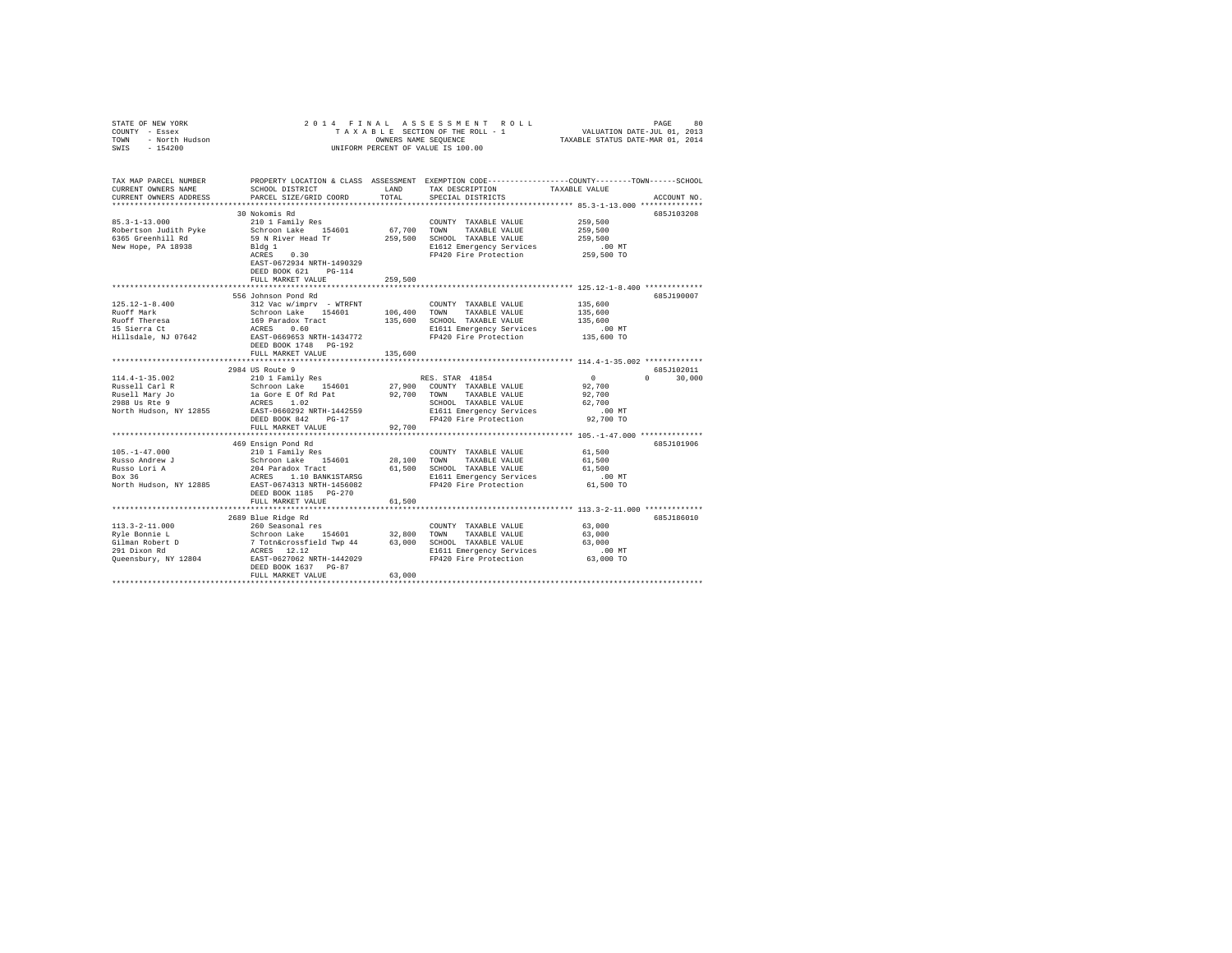| STATE OF NEW YORK $\begin{array}{rcl} \mathbb{C}\textsc{O}\textsc{im} \mathbb{C} \mathbb{C} \mathbb{C} \mathbb{C} \mathbb{C} \mathbb{C} \mathbb{C} \mathbb{C} \mathbb{C} \mathbb{C} \mathbb{C} \mathbb{C} \mathbb{C} \mathbb{C} \mathbb{C} \mathbb{C} \mathbb{C} \mathbb{C} \mathbb{C} \mathbb{C} \mathbb{C} \mathbb{C} \mathbb{C} \mathbb{C} \mathbb{C} \mathbb{C} \mathbb{C} \mathbb{C} \mathbb{C} \mathbb{$ |                                                                                                                                                                 |         | 2014 FINAL ASSESSMENT ROLL<br>UNIFORM PERCENT OF VALUE IS 100.00                                                                                  | PAGE<br>80<br>TAXABLE SECTION OF THE ROLL - 1<br>TAXABLE SECTION OF THE ROLL - 1<br>OWNERS NAME SEQUENCE THE ROLL - 1<br>TAXABLE STATUS DATE-MAR 01, 2014 |
|----------------------------------------------------------------------------------------------------------------------------------------------------------------------------------------------------------------------------------------------------------------------------------------------------------------------------------------------------------------------------------------------------------------|-----------------------------------------------------------------------------------------------------------------------------------------------------------------|---------|---------------------------------------------------------------------------------------------------------------------------------------------------|-----------------------------------------------------------------------------------------------------------------------------------------------------------|
| CURRENT OWNERS NAME<br>CURRENT OWNERS ADDRESS                                                                                                                                                                                                                                                                                                                                                                  | SCHOOL DISTRICT<br>PARCEL SIZE/GRID COORD                                                                                                                       | TOTAL   | LAND TAX DESCRIPTION<br>SPECIAL DISTRICTS                                                                                                         | TAX MAP PARCEL NUMBER PROPERTY LOCATION & CLASS ASSESSMENT EXEMPTION CODE---------------COUNTY-------TOWN-----SCHOOL<br>TAXABLE VALUE<br>ACCOUNT NO.      |
| $85.3 - 1 - 13.000$<br>Robertson Judith Pyke<br>6365 Greenhill Rd<br>New Hope, PA 18938                                                                                                                                                                                                                                                                                                                        | 30 Nokomis Rd<br>210 1 Family Res<br>Schroon Lake 154601<br>59 N River Head Tr<br>Bldg 1<br>ACRES 0.30<br>EAST-0672934 NRTH-1490329<br>DEED BOOK 621 PG-114     |         | COUNTY TAXABLE VALUE<br>67,700 TOWN TAXABLE VALUE<br>259,500 SCHOOL TAXABLE VALUE<br>E1612 Emergency Services<br>FP420 Fire Protection 259,500 TO | 685J103208<br>259,500<br>259,500<br>259,500<br>$.00 \text{ MT}$                                                                                           |
|                                                                                                                                                                                                                                                                                                                                                                                                                | FULL MARKET VALUE                                                                                                                                               | 259,500 |                                                                                                                                                   |                                                                                                                                                           |
| $125.12 - 1 - 8.400$<br>Ruoff Mark                                                                                                                                                                                                                                                                                                                                                                             | 556 Johnson Pond Rd<br>312 Vac w/imprv - WTRFNT<br>Schroon Lake 154601 106,400 TOWN TAXABLE VALUE                                                               |         | COUNTY TAXABLE VALUE                                                                                                                              | 685.T190007<br>135,600<br>135,600                                                                                                                         |
| Ruoff Theresa<br>Adolf Theresa<br>15 Sierra Ct<br>Hillsdale, NJ 07642                                                                                                                                                                                                                                                                                                                                          | 169 Paradox Tract<br>ACRES 0.60<br>EAST-0669653 NRTH-1434772                                                                                                    |         | 135,600 SCHOOL TAXABLE VALUE<br>E1611 Emergency Services .00 MT<br>FP420 Fire Protection .00 MT                                                   | 135,600                                                                                                                                                   |
|                                                                                                                                                                                                                                                                                                                                                                                                                | DEED BOOK 1748 PG-192<br>FULL MARKET VALUE                                                                                                                      | 135,600 |                                                                                                                                                   |                                                                                                                                                           |
| $114.4 - 1 - 35.002$                                                                                                                                                                                                                                                                                                                                                                                           | 2984 US Route 9                                                                                                                                                 |         | RES. STAR 41854                                                                                                                                   | 685.T102011<br>$\sim$ 0<br>$0 \t 30.000$                                                                                                                  |
| Russell Carl R<br>Rusell Mary Jo<br>2988 Us Rte 9<br>North Hudson, NY 12855                                                                                                                                                                                                                                                                                                                                    | 210 1 Family Res<br>Schroon Lake 154601 27,900 COUNTY TAXABLE VALUE<br>1a Gore E Of Rd Pat 92,700 TOWN TAXABLE VALUE<br>ACRES 1.02<br>EAST-0660292 NRTH-1442559 |         | SCHOOL TAXABLE VALUE<br>E1611 Emergency Services                                                                                                  | 92,700<br>92,700<br>62,700<br>$.00$ MT                                                                                                                    |
|                                                                                                                                                                                                                                                                                                                                                                                                                | DEED BOOK 842 PG-17                                                                                                                                             |         | FP420 Fire Protection 92,700 TO                                                                                                                   |                                                                                                                                                           |
|                                                                                                                                                                                                                                                                                                                                                                                                                | FULL MARKET VALUE                                                                                                                                               | 92,700  |                                                                                                                                                   |                                                                                                                                                           |
| $105. - 1 - 47.000$                                                                                                                                                                                                                                                                                                                                                                                            | 469 Ensign Pond Rd<br>210 1 Family Res                                                                                                                          |         | COUNTY TAXABLE VALUE<br>28,100 TOWN TAXABLE VALUE                                                                                                 | 685J101906<br>61,500<br>61,500                                                                                                                            |
| Russo Andrew J<br>Russo Lori A<br>Box 36<br>North Hudson, NY 12885                                                                                                                                                                                                                                                                                                                                             | Schroon Lake 154601<br>204 Paradox Tract<br>ACRES 1.10 BANK1STARSG<br>EAST-0674313 NRTH-1456082                                                                 |         | 61,500 SCHOOL TAXABLE VALUE<br>E1611 Emergency Services<br>FP420 Fire Protection                                                                  | 61,500<br>00 MT.<br>61,500 TO                                                                                                                             |
|                                                                                                                                                                                                                                                                                                                                                                                                                | DEED BOOK 1185 PG-270<br>FULL MARKET VALUE                                                                                                                      | 61,500  |                                                                                                                                                   |                                                                                                                                                           |
|                                                                                                                                                                                                                                                                                                                                                                                                                | 2689 Blue Ridge Rd                                                                                                                                              |         |                                                                                                                                                   | 685J186010                                                                                                                                                |
| $113.3 - 2 - 11.000$                                                                                                                                                                                                                                                                                                                                                                                           | 260 Seasonal res                                                                                                                                                |         | COUNTY TAXABLE VALUE                                                                                                                              | 63,000                                                                                                                                                    |
| Ryle Bonnie L                                                                                                                                                                                                                                                                                                                                                                                                  | Schroon Lake 154601 32,800 TOWN TAXABLE VALUE                                                                                                                   |         |                                                                                                                                                   | 63,000                                                                                                                                                    |
|                                                                                                                                                                                                                                                                                                                                                                                                                | 7 Totn&crossfield Twp 44 63,000 SCHOOL TAXABLE VALUE                                                                                                            |         |                                                                                                                                                   | 63,000                                                                                                                                                    |
| Gilman Robert D<br>291 Dixon Rd                                                                                                                                                                                                                                                                                                                                                                                | ACRES 12.12                                                                                                                                                     |         |                                                                                                                                                   |                                                                                                                                                           |
| Oueensbury, NY 12804 EAST-0627062 NRTH-1442029                                                                                                                                                                                                                                                                                                                                                                 | DEED BOOK 1637 PG-87<br>FULL MARKET VALUE                                                                                                                       | 63,000  | E1611 Emergency Services .00 MT<br>FP420 Fire Protection 63,000 TO                                                                                |                                                                                                                                                           |
|                                                                                                                                                                                                                                                                                                                                                                                                                |                                                                                                                                                                 |         |                                                                                                                                                   |                                                                                                                                                           |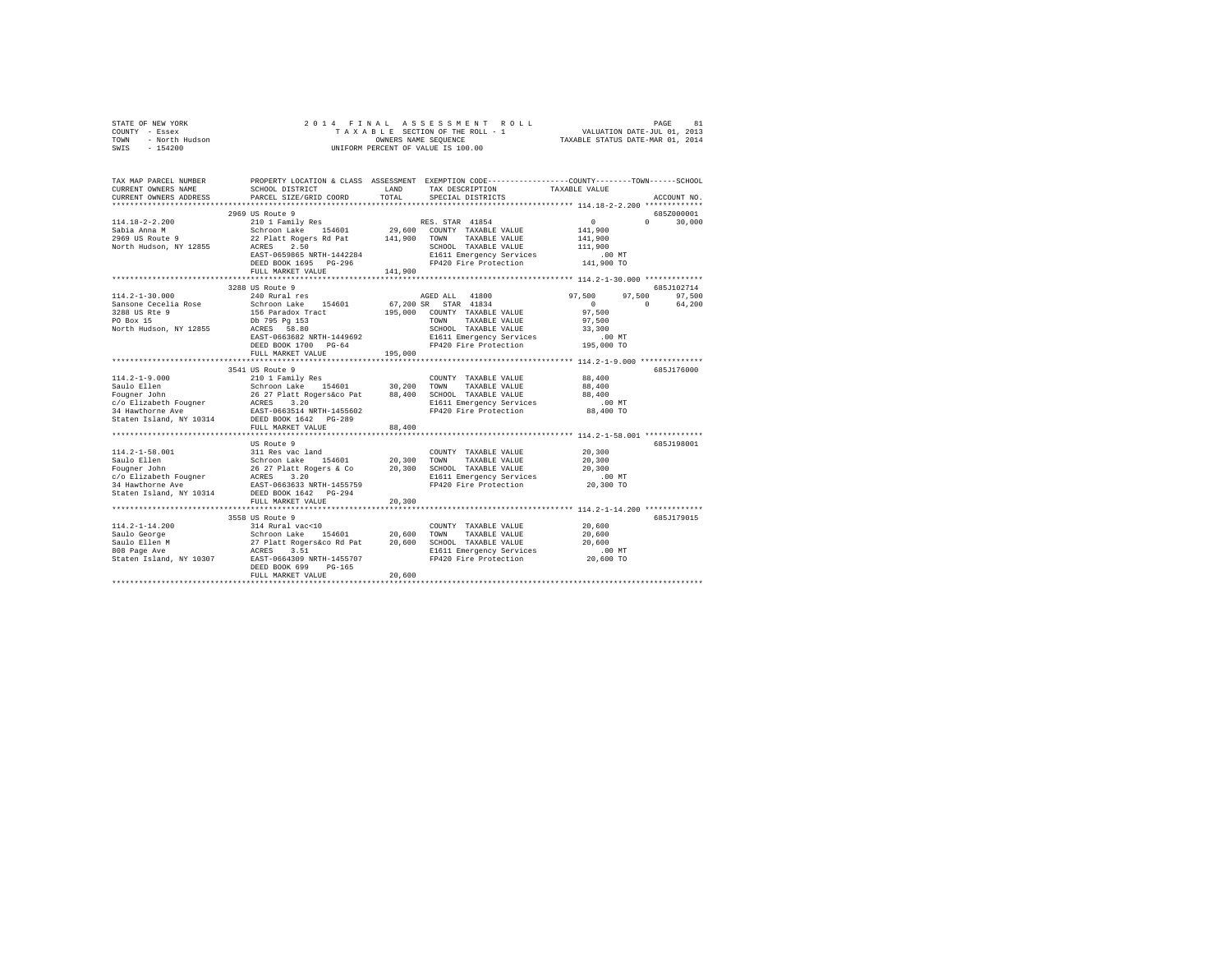|                                                                                                                                                                                                    |                                                                                                                                                                                                                   |               |                | 2014 FINAL ASSESSMENT ROLL                                                                                              |                                                                                 | PAGE                      | 81                          |
|----------------------------------------------------------------------------------------------------------------------------------------------------------------------------------------------------|-------------------------------------------------------------------------------------------------------------------------------------------------------------------------------------------------------------------|---------------|----------------|-------------------------------------------------------------------------------------------------------------------------|---------------------------------------------------------------------------------|---------------------------|-----------------------------|
| TAX MAP PARCEL NUMBER PROPERTY LOCATION & CLASS ASSESSMENT EXEMPTION CODE--------------COUNTY-------TOWN-----SCHOOL<br>CURRENT OWNERS NAME<br>CURRENT OWNERS ADDRESS<br>************************** | SCHOOL DISTRICT<br>PARCEL SIZE/GRID COORD                                                                                                                                                                         | LAND<br>TOTAL |                | TAX DESCRIPTION<br>SPECIAL DISTRICTS                                                                                    | TAXABLE VALUE                                                                   |                           | ACCOUNT NO.                 |
| $114.18 - 2 - 2.200$<br>Sabia Anna M<br>2969 US Route 9<br>North Hudson, NY 12855                                                                                                                  | 2969 US Route 9<br>210 1 Family Res<br>Schroon Lake 154601 29,600 COUNTY TAXABLE VALUE<br>22 Platt Rogers Rd Pat 141,900 TOWN TAXABLE VALUE<br>ACRES 2.50<br>FULL MARKET VALUE 141,900                            |               |                | RES. STAR 41854<br>SCHOOL TAXABLE VALUE                                                                                 | $0 \qquad \qquad$<br>141,900<br>141,900<br>111,900<br>.00 MT<br>141,900 TO      |                           | 685Z000001<br>$0 \t 30.000$ |
|                                                                                                                                                                                                    |                                                                                                                                                                                                                   |               |                |                                                                                                                         |                                                                                 |                           |                             |
| $114.2 - 1 - 30.000$<br>Sansone Cecelia Rose<br>3288 US Rte 9<br>PO Box 15<br>North Hudson, NY 12855                                                                                               | 3288 US Route 9<br>3288 US ROULE 9<br>240 Rural res<br>Schroon Lake 154601<br>156 Paradox Tract 195,000 COUNTY TAXABLE VALUE<br>Db 795 Pg 153<br>ACRES 58.80<br>EAST-0663682 NRTH-1449692<br>DEED BOOK 1700 PG-64 |               | AGED ALL 41800 | 67,200 SR STAR 41834<br>TOWN TAXABLE VALUE<br>SCHOOL TAXABLE VALUE<br>E1611 Emergency Services<br>FP420 Fire Protection | 97,500<br>$\sim$ 0 $\sim$<br>97,500<br>97,500<br>33,300<br>MT. 00<br>195,000 TO | 97.500 97.500<br>$\sim$ 0 | 685J102714<br>64,200        |
|                                                                                                                                                                                                    | FULL MARKET VALUE                                                                                                                                                                                                 | 195,000       |                |                                                                                                                         |                                                                                 |                           |                             |
|                                                                                                                                                                                                    |                                                                                                                                                                                                                   |               |                |                                                                                                                         |                                                                                 |                           |                             |
| $114.2 - 1 - 9.000$<br>Saulo Ellen<br>Fougner John<br>c/o Elizabeth Fougner<br>34 Hawthorne Ave<br>Staten Island, NY 10314 DEED BOOK 1642 PG-289                                                   | 3541 US Route 9<br>210 1 Family Res                                                                                                                                                                               |               |                | COUNTY TAXABLE VALUE<br>FP420 Fire Protection                                                                           | 88,400<br>88,400<br>88,400<br>.00 MT<br>88,400 TO                               |                           | 685-1176000                 |
|                                                                                                                                                                                                    | FULL MARKET VALUE                                                                                                                                                                                                 | 88,400        |                |                                                                                                                         |                                                                                 |                           |                             |
| Staten Island, NY 10314 DEED BOOK 1642 PG-294                                                                                                                                                      |                                                                                                                                                                                                                   |               |                | E1611 Emergency Services<br>FP420 Fire Protection                                                                       | 20,300<br>20,300<br>20,300<br>00 MT.<br>20,300 TO                               |                           | 685J198001                  |
|                                                                                                                                                                                                    | FULL MARKET VALUE                                                                                                                                                                                                 | 20,300        |                |                                                                                                                         |                                                                                 |                           |                             |
|                                                                                                                                                                                                    |                                                                                                                                                                                                                   |               |                |                                                                                                                         |                                                                                 |                           |                             |
| 114.2-1-14.200<br>Saulo George<br>Saulo Ellen M<br>808 Page Ave<br>Staten Island, NY 10307 EAST-0664309 NRTH-1455707                                                                               | 3558 US Route 9<br>314 Rural vac<10<br>Schroon Lake 154601 20,600 COWNI TAARBLE VALUE<br>27 Platt Rogerskco Rd Pat 20,600 SCHOOL TAXABLE VALUE<br>20 ACRES 3.51<br>DEED BOOK 699 PG-165<br>FULL MARKET VALUE      | 20,600        |                | COUNTY TAXABLE VALUE<br>E1611 Emergency Services                                                                        | 20,600<br>20,600<br>20,600<br>$.00$ MT<br>FP420 Fire Protection 20,600 TO       |                           | 685J179015                  |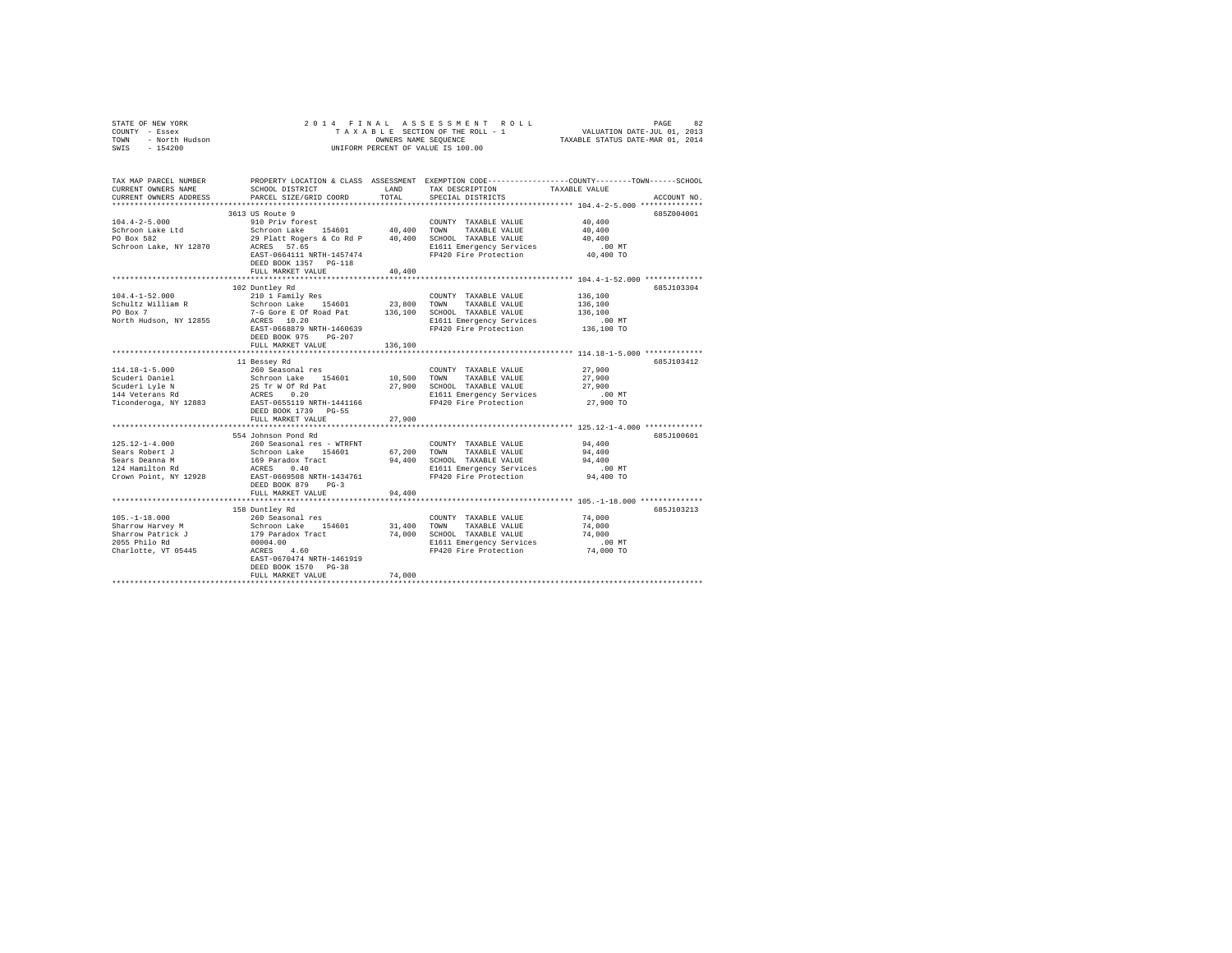| STATE OF NEW YORK<br>COUNTY - Essex<br>TOWN - North Hudson<br>SWIS - 154200                          |                                                                                                                                                                                                                                             |                  | 2014 FINAL ASSESSMENT ROLL<br>UNIFORM PERCENT OF VALUE IS 100.00                                                                                       | PAGE<br>82<br>TAXABLE SECTION OF THE ROLL - 1<br>OWNERS NAME SEQUENCE COLL - 1 THE TRANSPORTED ON THE ROLL OF THE ROLL OF THE RESOLUTION OF THE COLL OF THE COLL                                                   |  |
|------------------------------------------------------------------------------------------------------|---------------------------------------------------------------------------------------------------------------------------------------------------------------------------------------------------------------------------------------------|------------------|--------------------------------------------------------------------------------------------------------------------------------------------------------|--------------------------------------------------------------------------------------------------------------------------------------------------------------------------------------------------------------------|--|
| CURRENT OWNERS NAME<br>CURRENT OWNERS ADDRESS                                                        | SCHOOL DISTRICT<br>PARCEL SIZE/GRID COORD                                                                                                                                                                                                   | LAND<br>TOTAL    | TAX DESCRIPTION<br>SPECIAL DISTRICTS                                                                                                                   | TAX MAP PARCEL NUMBER PROPERTY LOCATION & CLASS ASSESSMENT EXEMPTION CODE---------------COUNTY-------TOWN------SCHOOL<br>TAXABLE VALUE<br>ACCOUNT NO.<br>**************************** 104.4-2-5.000 ************** |  |
| $104.4 - 2 - 5.000$<br>Schroon Lake Ltd<br>PO Box 582<br>Schroon Lake, NY 12870                      | 3613 US Route 9<br>910 Priv forest<br>Schroon Lake 154601 40,400 TOWN TAXABLE VALUE<br>29 Platt Rogers & Co Rd P 40,400 SCHOOL TAXABLE VALUE<br>20 RCRES 57.65 RCRES BL611 Emergency Services<br>DEED BOOK 1357 PG-118<br>FULL MARKET VALUE | 40,400           | COUNTY TAXABLE VALUE<br>E1611 Emergency Services<br>EAST-0664111 NRTH-1457474 FP420 Fire Protection                                                    | 685Z004001<br>40,400<br>40,400<br>40,400<br>$.00$ MT<br>40,400 TO                                                                                                                                                  |  |
|                                                                                                      |                                                                                                                                                                                                                                             |                  |                                                                                                                                                        |                                                                                                                                                                                                                    |  |
| $104.4 - 1 - 52.000$<br>Schultz William R<br>PO Box 7<br>North Hudson, NY 12855                      | 102 Duntley Rd<br>210 1 Family Res<br>Schroon Lake 154601<br>ACRES 10.20<br>EAST-0668879 NRTH-1460639<br>DEED BOOK 975 PG-207                                                                                                               | 23,800           | COUNTY TAXABLE VALUE<br>TOWN TAXABLE VALUE<br>7-G Gore E Of Road Pat 136,100 SCHOOL TAXABLE VALUE<br>E1611 Emergency Services<br>FP420 Fire Protection | 685J103304<br>136,100<br>136,100<br>136,100<br>$.00 \text{ MT}$<br>136,100 TO                                                                                                                                      |  |
|                                                                                                      | FULL MARKET VALUE                                                                                                                                                                                                                           | 136,100          |                                                                                                                                                        |                                                                                                                                                                                                                    |  |
| 114.18-1-5.000<br>Scuderi Daniel<br>Scuderi Lyle N<br>144 Veterans Rd<br>Ticonderoga, NY 12883       | 11 Bessey Rd<br>260 Seasonal res<br>Schroon Lake 154601<br>25 Tr W Of Rd Pat<br>ACRES 0.20<br>EAST-0655119 NRTH-1441166<br>DEED BOOK 1739 PG-55                                                                                             |                  | COUNTY TAXABLE VALUE<br>10,500 TOWN TAXABLE VALUE<br>27,900 SCHOOL TAXABLE VALUE<br>E1611 Emergency Services<br>FP420 Fire Protection                  | 685J103412<br>27,900<br>27,900<br>27,900<br>$.00$ MT<br>27,900 TO                                                                                                                                                  |  |
|                                                                                                      | FULL MARKET VALUE                                                                                                                                                                                                                           | 27,900           |                                                                                                                                                        |                                                                                                                                                                                                                    |  |
|                                                                                                      | 554 Johnson Pond Rd                                                                                                                                                                                                                         |                  |                                                                                                                                                        | 685J100601                                                                                                                                                                                                         |  |
| $125.12 - 1 - 4.000$<br>Sears Robert J<br>Sears Deanna M<br>Sears Deanna M<br>124 Hamilton Rd        | 260 Seasonal res - WTRFNT<br>Schroon Lake 154601<br>169 Paradox Tract<br>ACRES 0.40<br>Crown Point, NY 12928 EAST-0669508 NRTH-1434761<br>DEED BOOK 879 PG-3<br>FULL MARKET VALUE                                                           | 94,400           | COUNTY TAXABLE VALUE<br>67.200 TOWN TAXABLE VALUE<br>94,400 SCHOOL TAXABLE VALUE<br>E1611 Emergency Services<br>FP420 Fire Protection                  | 94,400<br>94,400<br>94,400<br>$.00$ MT<br>94,400 TO                                                                                                                                                                |  |
|                                                                                                      |                                                                                                                                                                                                                                             |                  |                                                                                                                                                        | ***************** 105.-1-18.000 **************                                                                                                                                                                     |  |
| $105. - 1 - 18.000$<br>Sharrow Harvey M<br>Sharrow Patrick J<br>2055 Philo Rd<br>Charlotte, VT 05445 | 158 Duntley Rd<br>260 Seasonal res<br>Schroon Lake 154601<br>179 Paradox Tract<br>00004.00<br>ACRES 4.60<br>EAST-0670474 NRTH-1461919                                                                                                       | 31,400<br>74,000 | COUNTY TAXABLE VALUE<br>TOWN<br>TAXABLE VALUE<br>SCHOOL TAXABLE VALUE<br>E1611 Emergency Services<br>FP420 Fire Protection                             | 685J103213<br>74,000<br>74,000<br>74,000<br>$.00$ MT<br>74,000 TO                                                                                                                                                  |  |
|                                                                                                      | DEED BOOK 1570 PG-38<br>FULL MARKET VALUE                                                                                                                                                                                                   | 74,000           |                                                                                                                                                        |                                                                                                                                                                                                                    |  |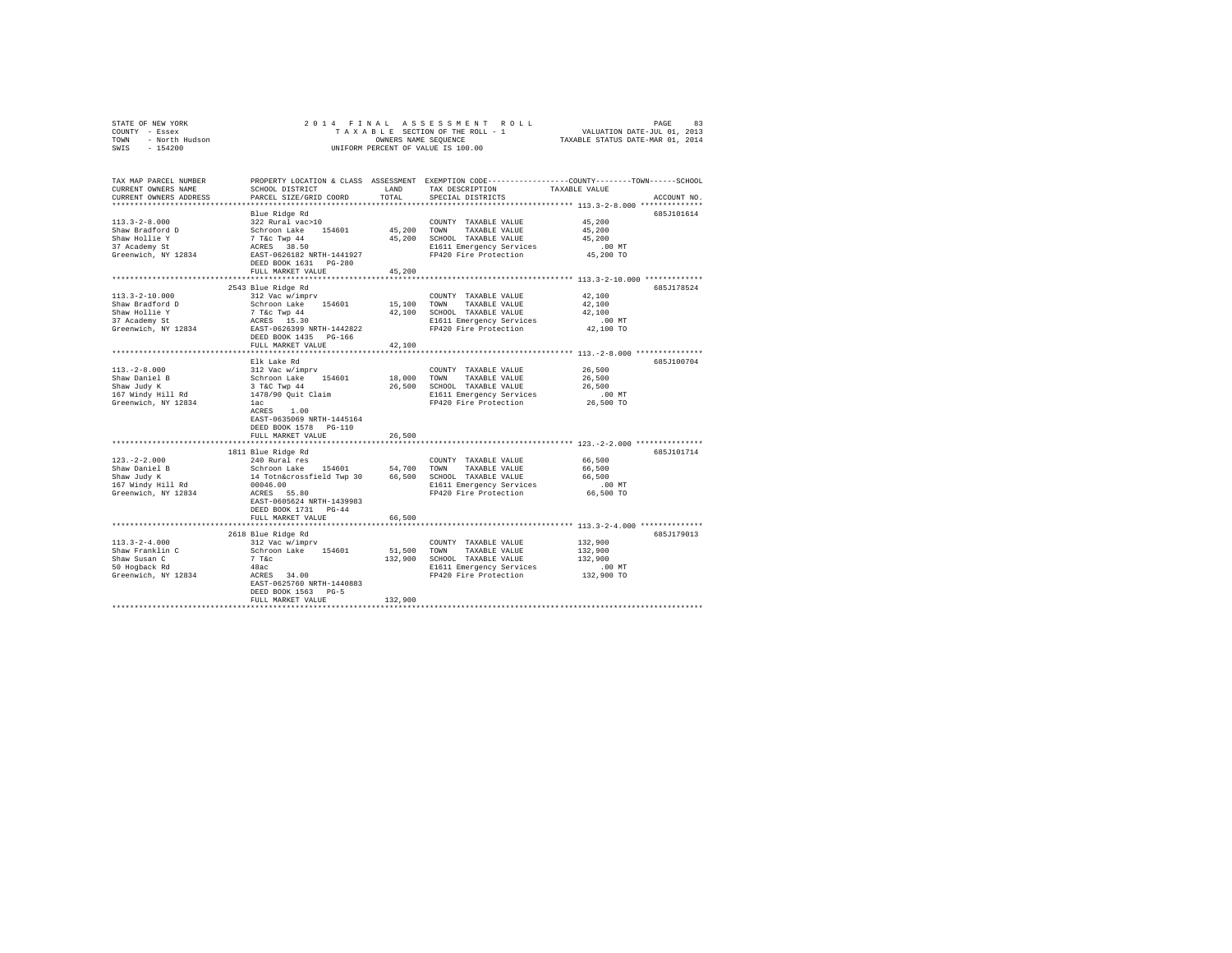| STATE OF NEW YORK 2017<br>COUNTY - Essex<br>TOWN - North Hudson<br>SWIS - 154200 | 2014 FINAL                                                                                                                                         |               | DAGE ALBAIRT ROLL PAGE 81 ENTRE ROLL TAXA BESCTION OF THE ROLL TAXA BESCTION OF THE ROLL TAXA BESCTION OF THE ROLL TAXABLE STATIS DATE–NAR 01, 2013 |                                                        |             |
|----------------------------------------------------------------------------------|----------------------------------------------------------------------------------------------------------------------------------------------------|---------------|-----------------------------------------------------------------------------------------------------------------------------------------------------|--------------------------------------------------------|-------------|
|                                                                                  |                                                                                                                                                    |               |                                                                                                                                                     |                                                        |             |
|                                                                                  |                                                                                                                                                    |               | UNIFORM PERCENT OF VALUE IS 100.00                                                                                                                  |                                                        |             |
|                                                                                  |                                                                                                                                                    |               |                                                                                                                                                     |                                                        |             |
| TAX MAP PARCEL NUMBER                                                            |                                                                                                                                                    |               | PROPERTY LOCATION & CLASS ASSESSMENT EXEMPTION CODE---------------COUNTY-------TOWN------SCHOOL                                                     |                                                        |             |
| CURRENT OWNERS NAME                                                              | SCHOOL DISTRICT                                                                                                                                    | LAND          | TAX DESCRIPTION                                                                                                                                     | TAXABLE VALUE                                          |             |
| CURRENT OWNERS ADDRESS                                                           | PARCEL SIZE/GRID COORD                                                                                                                             | TOTAL         | SPECIAL DISTRICTS                                                                                                                                   |                                                        | ACCOUNT NO. |
|                                                                                  | Blue Ridge Rd                                                                                                                                      |               |                                                                                                                                                     |                                                        | 685J101614  |
| $113.3 - 2 - 8.000$                                                              | 322 Rural vac>10                                                                                                                                   |               | COUNTY TAXABLE VALUE                                                                                                                                | 45,200                                                 |             |
| Shaw Bradford D                                                                  |                                                                                                                                                    |               | 45,200 TOWN TAXABLE VALUE                                                                                                                           | 45,200                                                 |             |
| Shaw Hollie Y                                                                    |                                                                                                                                                    |               | 45,200 SCHOOL TAXABLE VALUE                                                                                                                         | 45,200                                                 |             |
| 37 Academy St                                                                    | Schroon Lake 154601<br>7 T&c Twp 44<br>ACRES 38.50<br>EAST-0626182 NRTH-1441927                                                                    |               | E1611 Emergency Services                                                                                                                            | .00MT                                                  |             |
| Greenwich, NY 12834                                                              |                                                                                                                                                    |               | FP420 Fire Protection                                                                                                                               | 45,200 TO                                              |             |
|                                                                                  | DEED BOOK 1631 PG-280                                                                                                                              |               |                                                                                                                                                     |                                                        |             |
|                                                                                  | FULL MARKET VALUE                                                                                                                                  | 45,200        | ************************************ 113.3-2-10.000 *************                                                                                   |                                                        |             |
|                                                                                  | 2543 Blue Ridge Rd                                                                                                                                 |               |                                                                                                                                                     |                                                        | 685J178524  |
| $113.3 - 2 - 10.000$                                                             | 312 Vac w/imprv                                                                                                                                    |               | COUNTY TAXABLE VALUE                                                                                                                                | 42,100                                                 |             |
| Shaw Bradford D                                                                  | Schroon Lake 154601                                                                                                                                |               | 15,100 TOWN TAXABLE VALUE                                                                                                                           | 42,100                                                 |             |
|                                                                                  |                                                                                                                                                    |               | 42,100 SCHOOL TAXABLE VALUE                                                                                                                         | 42,100                                                 |             |
| Shaw Hollie Y<br>37 Academy St                                                   |                                                                                                                                                    |               | E1611 Emergency Services                                                                                                                            | $.00$ MT                                               |             |
| Greenwich, NY 12834                                                              | 7 T&C TWP 44<br>ACRES 15.30<br>EAST-0626399 NRTH-1442822                                                                                           |               | FP420 Fire Protection                                                                                                                               | 42,100 TO                                              |             |
|                                                                                  | DEED BOOK 1435 PG-166                                                                                                                              |               |                                                                                                                                                     |                                                        |             |
|                                                                                  | FULL MARKET VALUE                                                                                                                                  | 42,100        |                                                                                                                                                     | ************************* 113.-2-8.000 *************** |             |
|                                                                                  | Elk Lake Rd                                                                                                                                        |               |                                                                                                                                                     |                                                        | 685J100704  |
| $113. -2 - 8.000$                                                                | 312 Vac w/imprv                                                                                                                                    |               | COUNTY TAXABLE VALUE                                                                                                                                | 26,500                                                 |             |
| Shaw Daniel B                                                                    | Schroon Lake 154601                                                                                                                                |               | 18,000 TOWN TAXABLE VALUE                                                                                                                           | 26,500                                                 |             |
| Shaw Judy K                                                                      |                                                                                                                                                    |               | 26,500 SCHOOL TAXABLE VALUE                                                                                                                         | 26,500                                                 |             |
| 167 Windy Hill Rd                                                                | 3 T&C Twp 44<br>1478/90 Quit Claim                                                                                                                 |               | E1611 Emergency Services<br>FP420 Fire Protection                                                                                                   | $.00$ MT                                               |             |
| Greenwich, NY 12834                                                              | lac                                                                                                                                                |               |                                                                                                                                                     | 26,500 TO                                              |             |
|                                                                                  | ACRES 1.00                                                                                                                                         |               |                                                                                                                                                     |                                                        |             |
|                                                                                  | EAST-0635069 NRTH-1445164                                                                                                                          |               |                                                                                                                                                     |                                                        |             |
|                                                                                  | DEED BOOK 1578 PG-110                                                                                                                              |               |                                                                                                                                                     |                                                        |             |
|                                                                                  | FULL MARKET VALUE                                                                                                                                  | 26,500        |                                                                                                                                                     |                                                        |             |
|                                                                                  | 1811 Blue Ridge Rd                                                                                                                                 |               |                                                                                                                                                     |                                                        | 685J101714  |
| $123. - 2 - 2.000$                                                               | 240 Rural res                                                                                                                                      |               | COUNTY TAXABLE VALUE                                                                                                                                | 66,500                                                 |             |
|                                                                                  |                                                                                                                                                    |               |                                                                                                                                                     | 66,500                                                 |             |
| Shaw Daniel B<br>Shaw Judy K                                                     | Schroon Lake 154601 54,700 COMM TAXABLE VALUE<br>14 TOtnacrossfield Twp 30 66,500 SCHOOL TAXABLE VALUE<br>00046.00 SCHOOL BI611 Emergency Services |               |                                                                                                                                                     | 66,500                                                 |             |
| 167 Windy Hill Rd                                                                |                                                                                                                                                    |               | E1611 Emergency Services                                                                                                                            | $.00$ MT                                               |             |
| Greenwich, NY 12834                                                              | ACRES 55.80                                                                                                                                        |               | FP420 Fire Protection                                                                                                                               | 66,500 TO                                              |             |
|                                                                                  | EAST-0605624 NRTH-1439983                                                                                                                          |               |                                                                                                                                                     |                                                        |             |
|                                                                                  | DEED BOOK 1731 PG-44<br>FULL MARKET VALUE                                                                                                          |               |                                                                                                                                                     |                                                        |             |
|                                                                                  | ***************************                                                                                                                        | 66,500        |                                                                                                                                                     | *************** 113.3-2-4.000 **************           |             |
|                                                                                  | 2618 Blue Ridge Rd                                                                                                                                 |               |                                                                                                                                                     |                                                        | 685J179013  |
| $113.3 - 2 - 4.000$                                                              | 312 Vac w/imprv                                                                                                                                    |               | COUNTY TAXABLE VALUE                                                                                                                                | 132,900                                                |             |
| $\frac{113.576 - 113.56}{9}$                                                     | Schroon Lake 154601                                                                                                                                | 51,500 TOWN   | TAXABLE VALUE                                                                                                                                       | 132,900                                                |             |
| Shaw Susan C<br>50 Hogback Rd                                                    |                                                                                                                                                    |               |                                                                                                                                                     | 132,900                                                |             |
|                                                                                  | $48ac$<br>ACRES $34.00$                                                                                                                            |               | E1611 Emergency Services                                                                                                                            | .00 MT                                                 |             |
| Greenwich, NY 12834                                                              |                                                                                                                                                    |               | FP420 Fire Protection                                                                                                                               | 132,900 TO                                             |             |
|                                                                                  | EAST-0625760 NRTH-1440883<br>DEED BOOK 1563 PG-5                                                                                                   |               |                                                                                                                                                     |                                                        |             |
|                                                                                  | FULL MARKET VALUE                                                                                                                                  | 132,900       |                                                                                                                                                     |                                                        |             |
|                                                                                  |                                                                                                                                                    | ************* |                                                                                                                                                     |                                                        |             |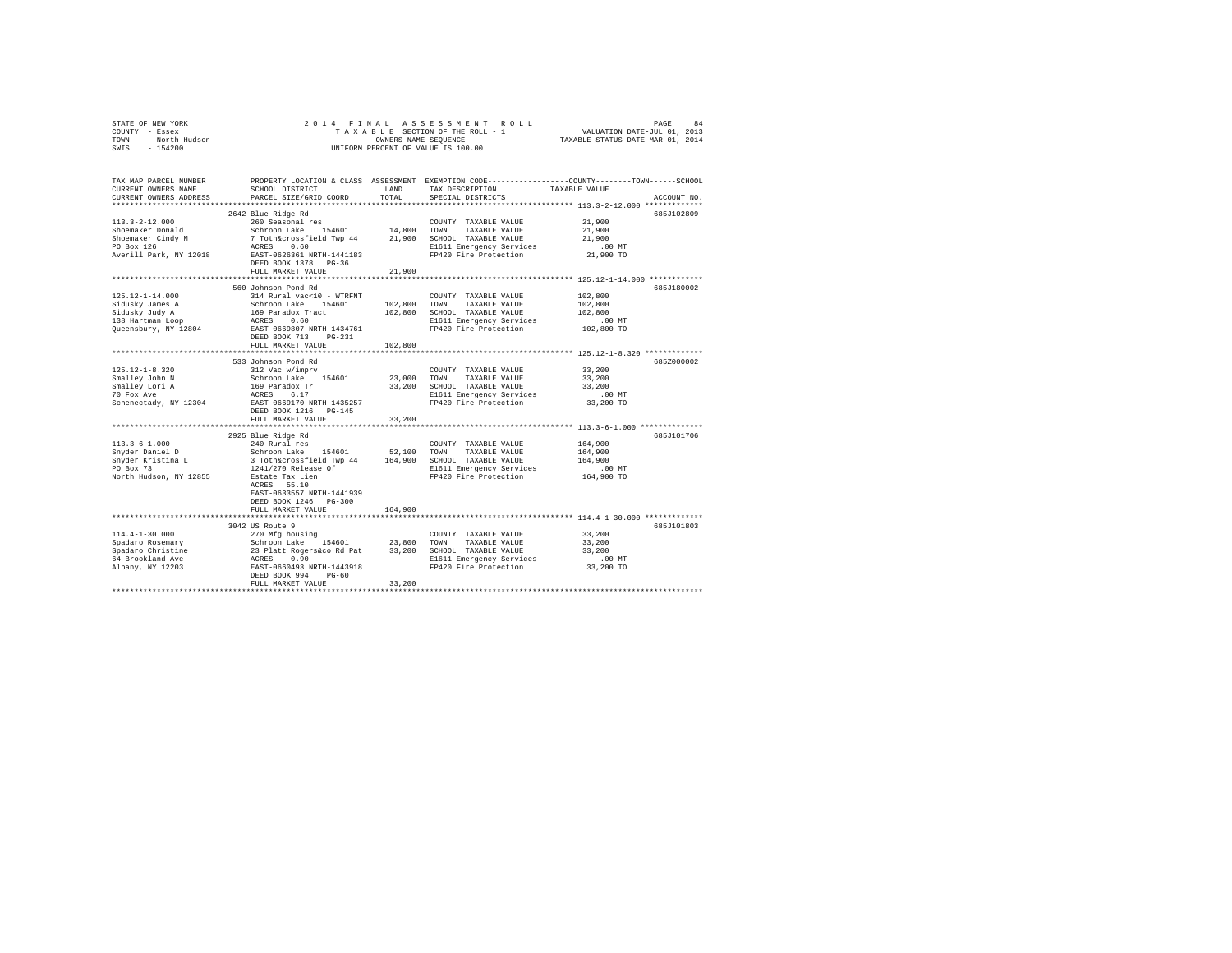|                | STATE OF NEW YORK |  |  |  |  | 2014 FINAL ASSESSMENT ROLL         |                                  | PAGE                        | 84 |
|----------------|-------------------|--|--|--|--|------------------------------------|----------------------------------|-----------------------------|----|
| COUNTY - Essex |                   |  |  |  |  | TAXABLE SECTION OF THE ROLL - 1    |                                  | VALUATION DATE-JUL 01, 2013 |    |
| TOWN           | - North Hudson    |  |  |  |  | OWNERS NAME SEOUENCE               | TAXABLE STATUS DATE-MAR 01, 2014 |                             |    |
| SWIS           | - 154200          |  |  |  |  | UNIFORM PERCENT OF VALUE IS 100.00 |                                  |                             |    |

| TAX MAP PARCEL NUMBER<br>CURRENT OWNERS NAME<br>CURRENT OWNERS ADDRESS | SCHOOL DISTRICT<br>PARCEL SIZE/GRID COORD                                                                                                                                                   | LAND<br>TOTAL | TAX DESCRIPTION<br>SPECIAL DISTRICTS | PROPERTY LOCATION & CLASS ASSESSMENT EXEMPTION CODE----------------COUNTY-------TOWN------SCHOOL<br>TAXABLE VALUE<br>ACCOUNT NO. |
|------------------------------------------------------------------------|---------------------------------------------------------------------------------------------------------------------------------------------------------------------------------------------|---------------|--------------------------------------|----------------------------------------------------------------------------------------------------------------------------------|
|                                                                        |                                                                                                                                                                                             |               |                                      |                                                                                                                                  |
| $113.3 - 2 - 12.000$<br>Shoemaker Donald                               | 2642 Blue Ridge Rd                                                                                                                                                                          |               |                                      | 685J102809<br>21,900<br>21,900                                                                                                   |
| Shoemaker Cindy M<br>PO Box 126                                        |                                                                                                                                                                                             |               | E1611 Emergency Services             | 21,900<br>$.00$ MT                                                                                                               |
| Averill Park, NY 12018                                                 | EAST-0626361 NRTH-1441183<br>DEED BOOK 1378 PG-36<br>FULL MARKET VALUE                                                                                                                      | 21,900        | FP420 Fire Protection                | 21,900 TO                                                                                                                        |
|                                                                        |                                                                                                                                                                                             |               |                                      |                                                                                                                                  |
|                                                                        | 560 Johnson Pond Rd                                                                                                                                                                         |               |                                      | 685J180002                                                                                                                       |
| 125.12-1-14.000                                                        | 314 Rural vac<10 - WTRFNT                                                                                                                                                                   |               | COUNTY TAXABLE VALUE                 | 102,800                                                                                                                          |
| Sidusky James A                                                        | Schroon Lake 154601<br>169 Paradox Tract<br>ACRES 0.60<br>EAST-0669807 NRTH-1434761                                                                                                         | 102,800 TOWN  | TAXABLE VALUE                        | 102,800                                                                                                                          |
| Sidusky Judy A                                                         |                                                                                                                                                                                             | 102,800       | SCHOOL TAXABLE VALUE                 | 102,800                                                                                                                          |
| 138 Hartman Loop                                                       |                                                                                                                                                                                             |               | E1611 Emergency Services             | .00 MT                                                                                                                           |
| Queensbury, NY 12804                                                   | DEED BOOK 713<br>$PG-231$<br>FULL MARKET VALUE                                                                                                                                              | 102,800       | FP420 Fire Protection                | 102,800 TO                                                                                                                       |
|                                                                        | ****************************                                                                                                                                                                |               |                                      | ******************** 125.12-1-8.320 *************                                                                                |
|                                                                        | 533 Johnson Pond Rd                                                                                                                                                                         |               |                                      | 685Z000002                                                                                                                       |
| $125.12 - 1 - 8.320$                                                   | 312 Vac w/imprv                                                                                                                                                                             |               | COUNTY TAXABLE VALUE                 | 33,200                                                                                                                           |
| Smalley John N                                                         |                                                                                                                                                                                             | 23,000 TOWN   | TAXABLE VALUE                        | 33,200                                                                                                                           |
| Smalley Lori A                                                         | Schroon Lake 154601<br>169 Paradox Tr<br>ACRES 6.17<br>EAST-0669170 NRTH-1435257                                                                                                            |               | 33,200 SCHOOL TAXABLE VALUE          | 33,200                                                                                                                           |
| 70 Fox Ave                                                             |                                                                                                                                                                                             |               | E1611 Emergency Services             | .00 MT                                                                                                                           |
| Schenectady, NY 12304                                                  | DEED BOOK 1216 PG-145<br>FULL MARKET VALUE                                                                                                                                                  | 33,200        | FP420 Fire Protection                | 33,200 TO                                                                                                                        |
|                                                                        |                                                                                                                                                                                             |               |                                      |                                                                                                                                  |
| $113.3 - 6 - 1.000$                                                    | 2925 Blue Ridge Rd                                                                                                                                                                          |               | COUNTY TAXABLE VALUE                 | 685J101706<br>164,900                                                                                                            |
| Snyder Daniel D                                                        |                                                                                                                                                                                             | 52,100        | TOWN<br>TAXABLE VALUE                | 164,900                                                                                                                          |
| Snyder Kristina L                                                      |                                                                                                                                                                                             |               | 164,900 SCHOOL TAXABLE VALUE         | 164,900                                                                                                                          |
| PO Box 73                                                              |                                                                                                                                                                                             |               | E1611 Emergency Services             | $.00$ MT                                                                                                                         |
| North Hudson, NY 12855                                                 | 240 Rural res<br>Schroom Lake<br>3 Toth&crossfield Twp 44<br>1241/270 Release Of<br>Estate Tax Lien<br>2021 Release Of<br>2021<br>2021 Caster Tax Lien<br>2021<br>EAST-0633557 NRTH-1441939 |               | FP420 Fire Protection                | 164,900 TO                                                                                                                       |
|                                                                        | DEED BOOK 1246 PG-300<br>FULL MARKET VALUE                                                                                                                                                  | 164,900       |                                      |                                                                                                                                  |
|                                                                        |                                                                                                                                                                                             |               |                                      |                                                                                                                                  |
|                                                                        | 3042 US Route 9                                                                                                                                                                             |               |                                      | 685J101803                                                                                                                       |
| 114.4-1-30.000                                                         | 270 Mfg housing                                                                                                                                                                             |               | COUNTY TAXABLE VALUE                 | 33,200                                                                                                                           |
| Spadaro Rosemary                                                       |                                                                                                                                                                                             |               | TAXABLE VALUE                        | 33,200                                                                                                                           |
| Spadaro Christine                                                      | 2.10 N-19 NOMEN<br>23 Platt Rogerskoo Rd Pat<br>23 Platt Rogerskoo Rd Pat<br>23 200 1000 RCRES<br>23 200 21611<br>21611 EAST-0660493 NRTH-1443918 PP420                                     |               | 33,200 SCHOOL TAXABLE VALUE          | 33,200                                                                                                                           |
| 64 Brookland Ave                                                       |                                                                                                                                                                                             |               | E1611 Emergency Services             | .00MT                                                                                                                            |
| Albany, NY 12203                                                       | DEED BOOK 994<br>$PG-60$<br>FULL MARKET VALUE                                                                                                                                               | 33,200        | FP420 Fire Protection                | 33,200 TO                                                                                                                        |
|                                                                        |                                                                                                                                                                                             |               |                                      |                                                                                                                                  |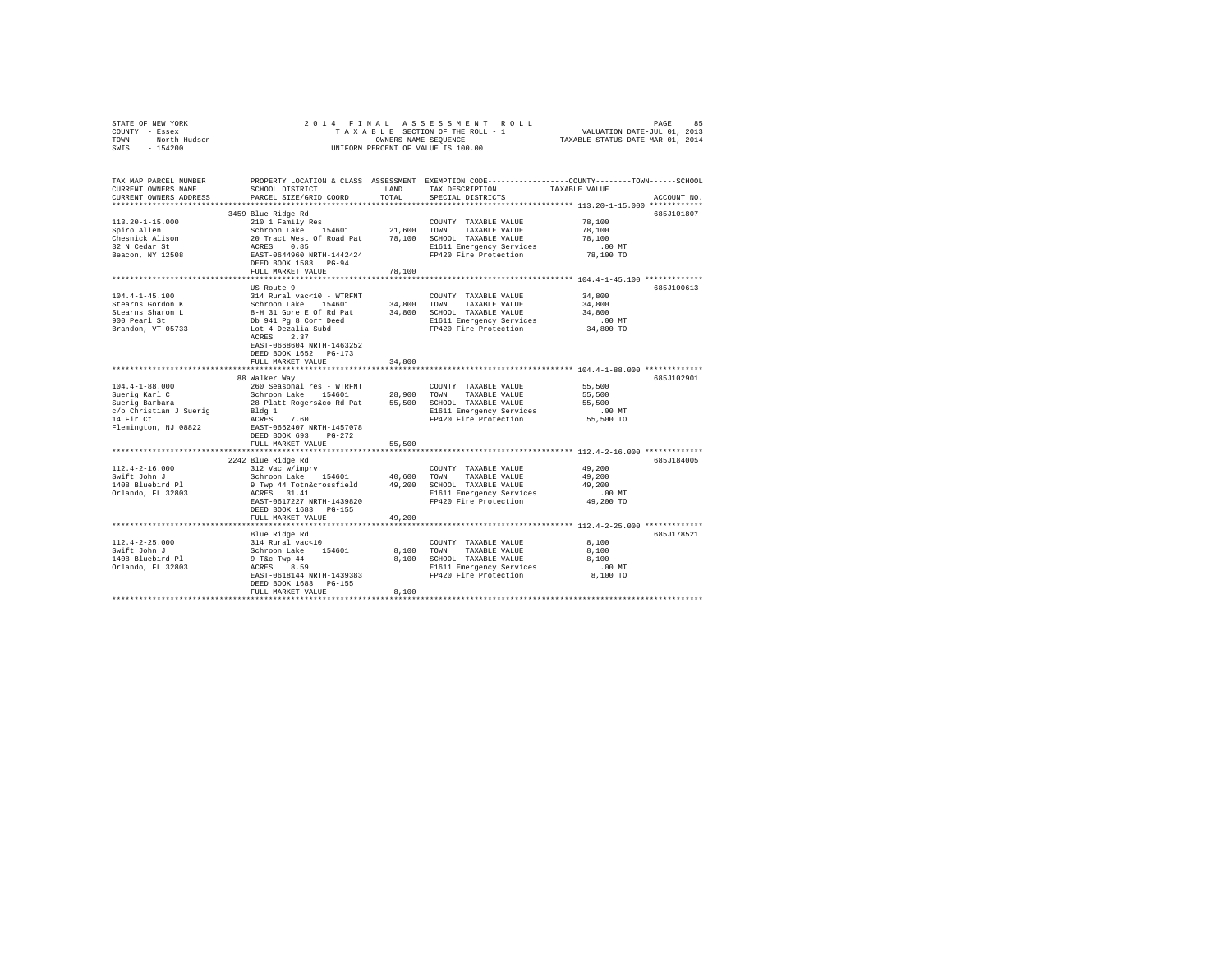| STATE OF NEW YORK<br>COUNTY - Essex<br>TOWN - North Hudson<br>SWIS - 154200                                              |                                                                                                                                                                                                                                                                        |               | UNIFORM PERCENT OF VALUE IS 100.00                                                                                                  | 2014 FINAL ASSESSMENT ROLL PAGE 85<br>TAXABLE SECTION OF THE ROLL - 1 VALUATION DATE-JUL 01, 2013<br>OWNERS NAME SEQUENCE TAXABLE STATUS DATE-MAR 01, 2014 |
|--------------------------------------------------------------------------------------------------------------------------|------------------------------------------------------------------------------------------------------------------------------------------------------------------------------------------------------------------------------------------------------------------------|---------------|-------------------------------------------------------------------------------------------------------------------------------------|------------------------------------------------------------------------------------------------------------------------------------------------------------|
| CURRENT OWNERS NAME<br>CURRENT OWNERS ADDRESS                                                                            | SCHOOL DISTRICT<br>PARCEL SIZE/GRID COORD                                                                                                                                                                                                                              | LAND<br>TOTAL | TAX DESCRIPTION<br>SPECIAL DISTRICTS                                                                                                | TAX MAP PARCEL NUMBER PROPERTY LOCATION & CLASS ASSESSMENT EXEMPTION CODE--------------COUNTY-------TOWN------SCHOOL<br>TAXABLE VALUE<br>ACCOUNT NO.       |
| $113.20 - 1 - 15.000$<br>Spiro Allen<br>Chesnick Alison<br>32 N Cedar St<br>Beacon, NY 12508                             | 3459 Blue Ridge Rd<br>210 1 Family Res<br>Schroon Lake 154601 21,600 TOWN TAXABLE VALUE<br>20 Track West Of Road Pat 78,100 SCHOOL TAXABLE VALUE<br>20 ACRES 0.85<br>REES RAST-0644960 NRTH-1442424 PP420 Fire Protection<br>DEED BOOK 1583 PG-94<br>FULL MARKET VALUE | 78,100        | COUNTY TAXABLE VALUE<br>E1611 Emergency Services<br>FP420 Fire Protection                                                           | 685J101807<br>78,100<br>78,100<br>78,100<br>$.00$ MT<br>78,100 TO                                                                                          |
| $104.4 - 1 - 45.100$<br>Stearns Gordon K<br>Stearns Sharon L<br>900 Pearl St<br>Brandon, VT 05733                        | US Route 9<br>314 Rural vac<10 - WTRFNT<br>Schroon Lake 154601 34,800 TOWN TAXABLE VALUE<br>8-H 31 Gore E Of Rd Pat<br>Db 941 Pg 8 Corr Deed<br>Lot 4 Dezalia Subd<br>ACRES 2.37<br>EAST-0668604 NRTH-1463252<br>DEED BOOK 1652 PG-173<br>FULL MARKET VALUE            | 34,800        | COUNTY TAXABLE VALUE<br>34,800 SCHOOL TAXABLE VALUE<br>E1611 Emergency Services<br>FP420 Fire Protection 34,800 TO                  | 685J100613<br>34,800<br>34,800<br>34,800<br>$.00$ MT                                                                                                       |
| $104.4 - 1 - 88.000$<br>Suerig Karl C<br>Suerig Barbara<br>$c/o$ Christian J Suerig<br>14 Fir Ct<br>Flemington, NJ 08822 | 88 Walker Way<br>260 Seasonal res - WTRFNT<br>Schroon Lake 154601 28,900 TOWN TAXABLE VALUE<br>28 Platt Rogers&co Rd Pat 55,500 SCHOOL TAXABLE VALUE<br>Bldg 1<br>ACRES 7.60<br>EAST-0662407 NRTH-1457078<br>DEED BOOK 693 PG-272<br>FULL MARKET VALUE                 | 55,500        | COUNTY TAXABLE VALUE<br>E1611 Emergency Services<br>FP420 Fire Protection 55,500 TO                                                 | 685J102901<br>55,500<br>55,500<br>55,500<br>.00MT                                                                                                          |
| $112.4 - 2 - 16.000$<br>Swift John J<br>1408 Bluebird Pl<br>Orlando, FL 32803                                            | 2242 Blue Ridge Rd<br>312 Vac w/imprv<br>Schroon Lake 154601 40,600 TOWN TAXABLE VALUE<br>9 Twp 44 Totn&crossfield 49,200 SCHOOL TAXABLE VALUE<br>ACRES 31.41<br>EAST-0617227 NRTH-1439820<br>DEED BOOK 1683 PG-155<br>FULL MARKET VALUE                               | 49,200        | COUNTY TAXABLE VALUE<br>E1611 Emergency Services<br>FP420 Fire Protection                                                           | 685J184005<br>49,200<br>49,200<br>49,200<br>$.00$ MT<br>49,200 TO                                                                                          |
| $112.4 - 2 - 25.000$<br>Swift John J<br>1408 Bluebird Pl<br>Orlando, FL 32803                                            | Blue Ridge Rd<br>314 Rural vac<10<br>Schroon Lake 154601<br>9 T&c Twp 44<br>ACRES 8.59<br>EAST-0618144 NRTH-1439383<br>DEED BOOK 1683 PG-155<br>FULL MARKET VALUE                                                                                                      | 8,100         | COUNTY TAXABLE VALUE<br>8.100 TOWN TAXABLE VALUE<br>8,100 SCHOOL TAXABLE VALUE<br>E1611 Emergency Services<br>FP420 Fire Protection | 685J178521<br>8,100<br>8,100<br>8,100<br>$.00$ MT<br>8,100 TO                                                                                              |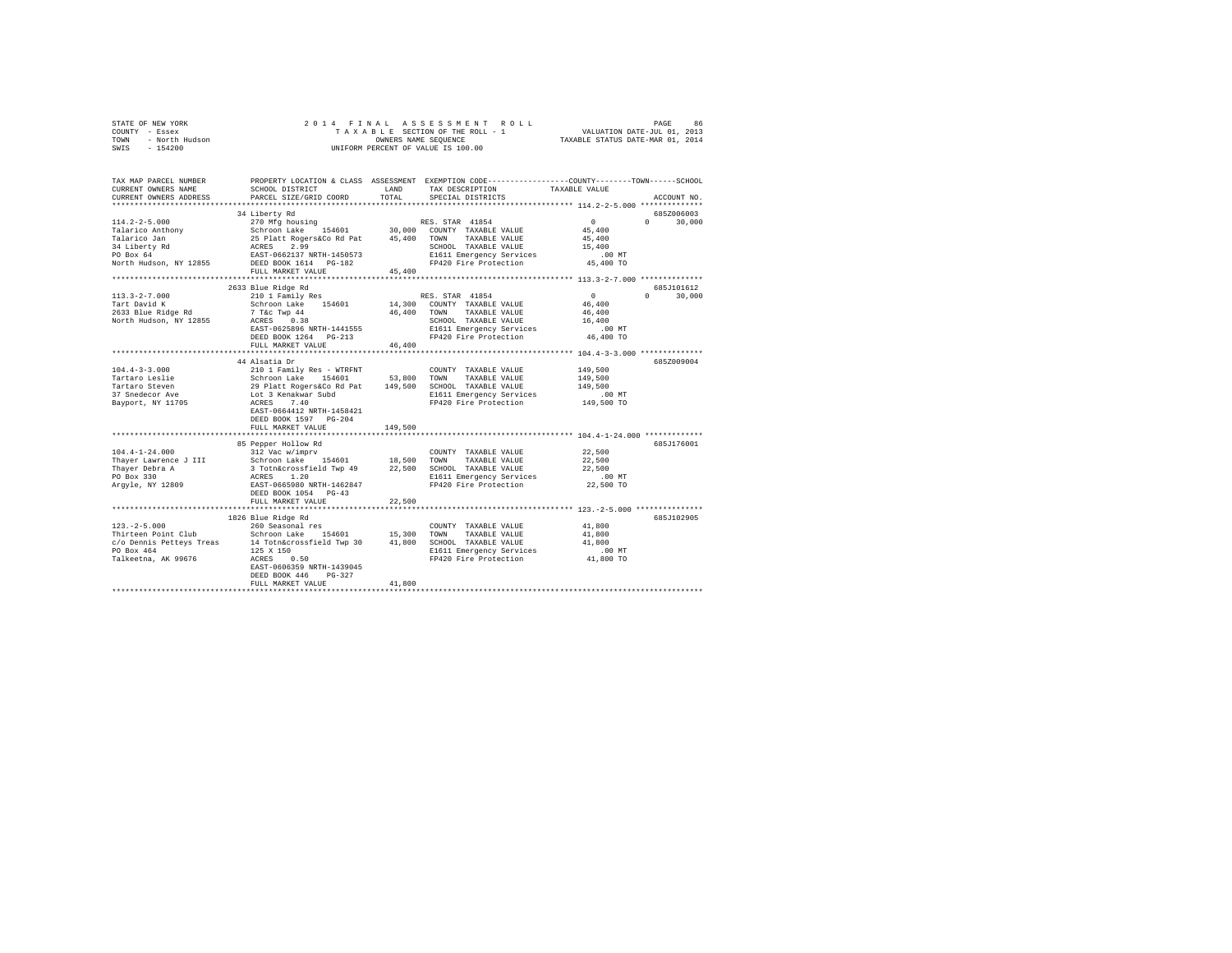|                | STATE OF NEW YORK |  |  |  |  | 2014 FINAL ASSESSMENT ROLL         |  |                                  | PAGE | 86. |
|----------------|-------------------|--|--|--|--|------------------------------------|--|----------------------------------|------|-----|
| COUNTY - Essex |                   |  |  |  |  | TAXABLE SECTION OF THE ROLL - 1    |  | VALUATION DATE-JUL 01, 2013      |      |     |
| TOWN           | - North Hudson    |  |  |  |  | OWNERS NAME SEOUENCE               |  | TAXABLE STATUS DATE-MAR 01, 2014 |      |     |
| SWIS           | - 154200          |  |  |  |  | UNIFORM PERCENT OF VALUE IS 100.00 |  |                                  |      |     |

| TAX MAP PARCEL NUMBER  |                                                                                                                                                                                                                                            |         | PROPERTY LOCATION & CLASS ASSESSMENT EXEMPTION CODE---------------COUNTY-------TOWN-----SCHOOL |                                   |               |
|------------------------|--------------------------------------------------------------------------------------------------------------------------------------------------------------------------------------------------------------------------------------------|---------|------------------------------------------------------------------------------------------------|-----------------------------------|---------------|
| CURRENT OWNERS NAME    | SCHOOL DISTRICT                                                                                                                                                                                                                            | LAND    | TAX DESCRIPTION                                                                                | TAXABLE VALUE                     |               |
| CURRENT OWNERS ADDRESS | PARCEL SIZE/GRID COORD                                                                                                                                                                                                                     | TOTAL   | SPECIAL DISTRICTS                                                                              |                                   | ACCOUNT NO.   |
|                        |                                                                                                                                                                                                                                            |         |                                                                                                |                                   |               |
|                        | 34 Liberty Rd                                                                                                                                                                                                                              |         |                                                                                                |                                   | 685Z006003    |
|                        | $[14.2-2-5.000$ $[20.000]$ Talarico Anthony<br>Talarico Anthony<br>Schroon Lake 154601<br>23 Dietar Rogers (2.99 1984)<br>24 Liberty Rd<br>24 Liberty Rd<br>25 Plant Rogers (2.99 2000)<br>25 Day 64 22 2.99 2020 2020 2020 2020 2020 2020 |         |                                                                                                | $\sim$ 0                          | $0 \t 30,000$ |
|                        |                                                                                                                                                                                                                                            |         |                                                                                                | 45,400                            |               |
|                        |                                                                                                                                                                                                                                            |         |                                                                                                | 45,400                            |               |
|                        |                                                                                                                                                                                                                                            |         |                                                                                                | 15,400                            |               |
|                        |                                                                                                                                                                                                                                            |         | SCHOOL TAXABLE VALUE<br>E1611 Emergency Services                                               | .00 MT                            |               |
|                        | North Hudson, NY 12855 DEED BOOK 1614 PG-182                                                                                                                                                                                               |         | FP420 Fire Protection                                                                          | 45,400 TO                         |               |
|                        | FULL MARKET VALUE                                                                                                                                                                                                                          | 45,400  |                                                                                                |                                   |               |
|                        |                                                                                                                                                                                                                                            |         |                                                                                                |                                   |               |
|                        | 2633 Blue Ridge Rd                                                                                                                                                                                                                         |         |                                                                                                |                                   | 685.T101612   |
| $113.3 - 2 - 7.000$    | 210 1 Family Res                                                                                                                                                                                                                           |         | RES. STAR 41854                                                                                | $\sim$ 0<br>$\Omega$ and $\Omega$ | 30,000        |
|                        |                                                                                                                                                                                                                                            |         |                                                                                                | 46,400                            |               |
|                        |                                                                                                                                                                                                                                            |         |                                                                                                | 46,400                            |               |
|                        |                                                                                                                                                                                                                                            |         | SCHOOL TAXABLE VALUE                                                                           | 16,400                            |               |
|                        | EAST-0625896 NRTH-1441555<br>DEED BOOK 1964                                                                                                                                                                                                |         | E1611 Emergency Services .00 MT<br>FP420 Fire Protection .06,400 TO                            |                                   |               |
|                        | DEED BOOK 1264 PG-213                                                                                                                                                                                                                      |         |                                                                                                |                                   |               |
|                        | FULL MARKET VALUE                                                                                                                                                                                                                          | 46,400  |                                                                                                |                                   |               |
|                        |                                                                                                                                                                                                                                            |         |                                                                                                |                                   |               |
|                        | 44 Alsatia Dr                                                                                                                                                                                                                              |         |                                                                                                |                                   | 685Z009004    |
| $104.4 - 3 - 3.000$    | 210 1 Family Res - WTRFNT                                                                                                                                                                                                                  |         | COUNTY TAXABLE VALUE                                                                           | 149,500                           |               |
|                        |                                                                                                                                                                                                                                            |         |                                                                                                | 149,500                           |               |
|                        | 1911, 1912, 1912, 1912, 1912, 1912, 1912, 1912, 1912, 1912, 1912, 1912, 1912, 1912, 1912, 1912, 1912, 1912, 19<br>1911, 1912, 1912, 1912, 1912, 1912, 1912, 1913, 1913, 1913, 1912, 1912, 1912, 1912, 1912, 1912, 1912, 1912, 19<br>       |         |                                                                                                | 149,500                           |               |
|                        |                                                                                                                                                                                                                                            |         | E1611 Emergency Services                                                                       |                                   |               |
|                        |                                                                                                                                                                                                                                            |         | FP420 Fire Protection                                                                          | 00 MT.<br>149,500 TO              |               |
|                        | EAST-0664412 NRTH-1458421                                                                                                                                                                                                                  |         |                                                                                                |                                   |               |
|                        | DEED BOOK 1597 PG-204                                                                                                                                                                                                                      |         |                                                                                                |                                   |               |
|                        | FULL MARKET VALUE                                                                                                                                                                                                                          | 149,500 |                                                                                                |                                   |               |
|                        |                                                                                                                                                                                                                                            |         |                                                                                                |                                   |               |
|                        | 85 Pepper Hollow Rd                                                                                                                                                                                                                        |         |                                                                                                |                                   | 685J176001    |
| $104.4 - 1 - 24.000$   | 312 Vac w/imprv                                                                                                                                                                                                                            |         | COUNTY TAXABLE VALUE                                                                           | 22,500                            |               |
|                        |                                                                                                                                                                                                                                            |         |                                                                                                | 22,500                            |               |
|                        |                                                                                                                                                                                                                                            |         |                                                                                                | 22,500                            |               |
|                        |                                                                                                                                                                                                                                            |         |                                                                                                | $.00$ MT                          |               |
|                        |                                                                                                                                                                                                                                            |         | E1611 Emergency Services<br>FP420 Fire Protection                                              | 22,500 TO                         |               |
|                        |                                                                                                                                                                                                                                            |         |                                                                                                |                                   |               |
|                        | DEED BOOK 1054 PG-43<br>FULL MARKET VALUE                                                                                                                                                                                                  | 22,500  |                                                                                                |                                   |               |
|                        |                                                                                                                                                                                                                                            |         |                                                                                                |                                   |               |
|                        |                                                                                                                                                                                                                                            |         |                                                                                                |                                   |               |
|                        | 1826 Blue Ridge Rd                                                                                                                                                                                                                         |         |                                                                                                |                                   | 685J102905    |
| $123. - 2 - 5.000$     | 260 Seasonal res                                                                                                                                                                                                                           |         | COUNTY TAXABLE VALUE                                                                           | 41,800                            |               |
|                        |                                                                                                                                                                                                                                            |         | TAXABLE VALUE                                                                                  | 41,800                            |               |
|                        |                                                                                                                                                                                                                                            |         |                                                                                                | 41,800                            |               |
|                        |                                                                                                                                                                                                                                            |         | E1611 Emergency Services .00 MT<br>FP420 Fire Protection .00 TO                                |                                   |               |
|                        |                                                                                                                                                                                                                                            |         |                                                                                                |                                   |               |
|                        |                                                                                                                                                                                                                                            |         |                                                                                                |                                   |               |
|                        | DEED BOOK 446<br>$PG-327$                                                                                                                                                                                                                  |         |                                                                                                |                                   |               |
|                        | FULL MARKET VALUE                                                                                                                                                                                                                          | 41,800  |                                                                                                |                                   |               |
|                        |                                                                                                                                                                                                                                            |         |                                                                                                |                                   |               |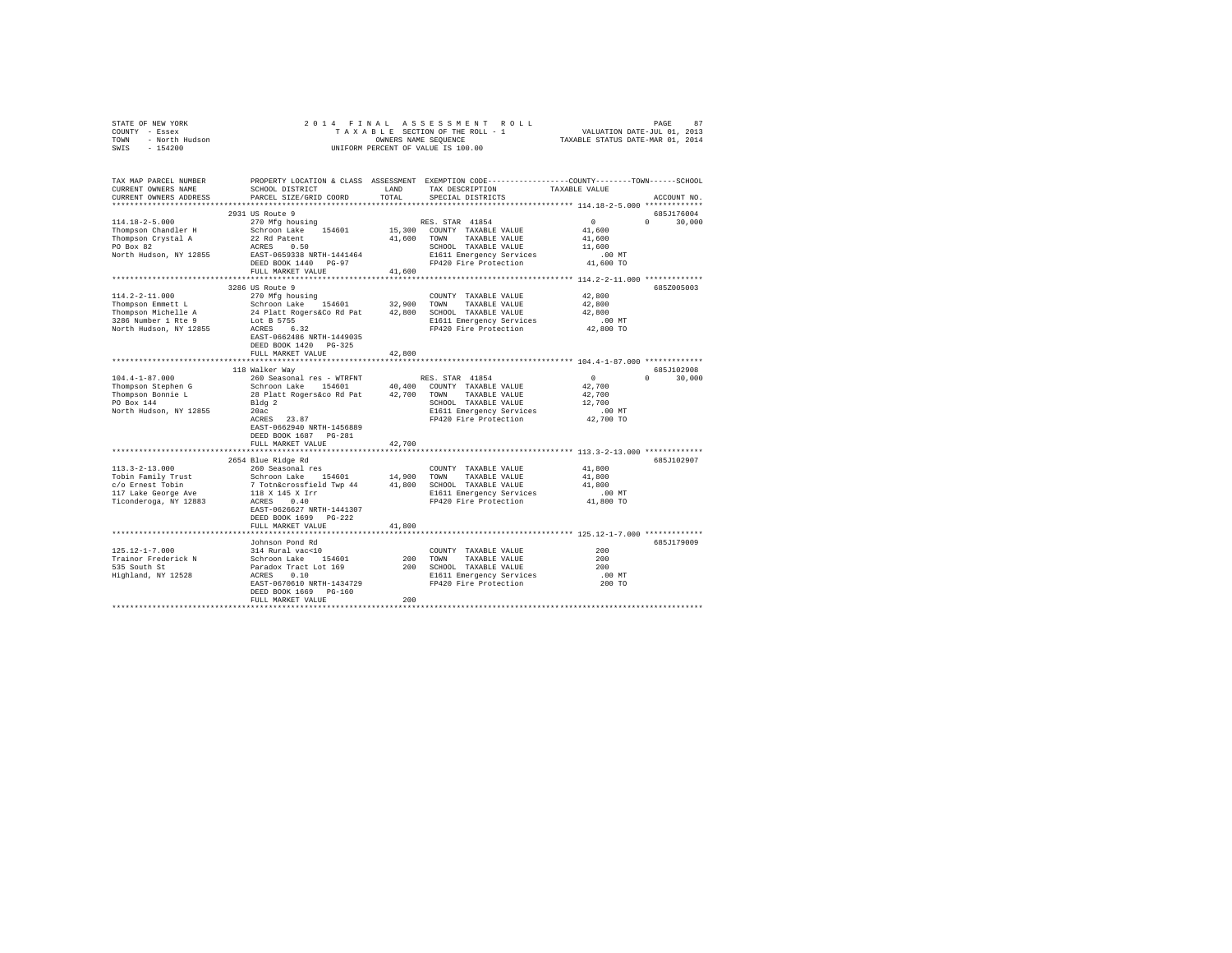|                                                        | $\begin{array}{cccccccccccccccc} \texttt{STNR} & \texttt{OREN} & \texttt{NOR} & \texttt{R.5} & \texttt{S.5} & \texttt{S.5} & \texttt{S.5} & \texttt{S.5} & \texttt{S.5} & \texttt{S.5} & \texttt{S.5} & \texttt{S.5} & \texttt{S.5} & \texttt{S.5} & \texttt{S.5} & \texttt{S.5} & \texttt{S.5} & \texttt{S.5} & \texttt{S.5} & \texttt{S.5} & \texttt{S.5} & \texttt{S.5} & \texttt{S.5} & \texttt{S.$ |        |                                                                                         |               |               |
|--------------------------------------------------------|---------------------------------------------------------------------------------------------------------------------------------------------------------------------------------------------------------------------------------------------------------------------------------------------------------------------------------------------------------------------------------------------------------|--------|-----------------------------------------------------------------------------------------|---------------|---------------|
|                                                        |                                                                                                                                                                                                                                                                                                                                                                                                         |        |                                                                                         |               |               |
|                                                        |                                                                                                                                                                                                                                                                                                                                                                                                         |        |                                                                                         |               |               |
|                                                        |                                                                                                                                                                                                                                                                                                                                                                                                         |        |                                                                                         |               |               |
|                                                        |                                                                                                                                                                                                                                                                                                                                                                                                         |        |                                                                                         |               |               |
|                                                        |                                                                                                                                                                                                                                                                                                                                                                                                         |        |                                                                                         |               |               |
| CURRENT OWNERS NAME                                    | SCHOOL DISTRICT                                                                                                                                                                                                                                                                                                                                                                                         |        | LAND TAX DESCRIPTION                                                                    | TAXABLE VALUE |               |
| CURRENT OWNERS ADDRESS                                 | PARCEL SIZE/GRID COORD                                                                                                                                                                                                                                                                                                                                                                                  | TOTAL  | SPECIAL DISTRICTS                                                                       |               | ACCOUNT NO.   |
|                                                        |                                                                                                                                                                                                                                                                                                                                                                                                         |        |                                                                                         |               |               |
|                                                        | 2931 US Route 9                                                                                                                                                                                                                                                                                                                                                                                         |        |                                                                                         |               | 685J176004    |
| $114.18 - 2 - 5.000$                                   | 270 Mfg housing                                                                                                                                                                                                                                                                                                                                                                                         |        | RES. STAR 41854                                                                         | $\sim$ 0      | $0 \t 30.000$ |
| Thompson Chandler H<br>Thompson Crystal A<br>PO Box 82 | Schroon Lake 154601 15,300 COUNTY TAXABLE VALUE<br>22 Rd Patent 16,600 TOWN TAXABLE VALUE                                                                                                                                                                                                                                                                                                               |        |                                                                                         | 41,600        |               |
|                                                        |                                                                                                                                                                                                                                                                                                                                                                                                         |        |                                                                                         | 41,600        |               |
|                                                        | Thompson crysted A are the control of SCHOOL TAXABLE VALUE<br>PO Box 82<br>North Hudson, NY 12855 EAST-0659338 NRTH-1441464 SIGN PO BOX 12811 Emergency Services<br>DEED BOX 1440 PG-97 PP420 Fire Protection                                                                                                                                                                                           |        |                                                                                         | 11,600        |               |
|                                                        |                                                                                                                                                                                                                                                                                                                                                                                                         |        |                                                                                         | .00 MT        |               |
|                                                        |                                                                                                                                                                                                                                                                                                                                                                                                         |        |                                                                                         | 41,600 TO     |               |
|                                                        | FULL MARKET VALUE                                                                                                                                                                                                                                                                                                                                                                                       | 41,600 |                                                                                         |               |               |
|                                                        |                                                                                                                                                                                                                                                                                                                                                                                                         |        |                                                                                         |               |               |
|                                                        | 3286 US Route 9                                                                                                                                                                                                                                                                                                                                                                                         |        |                                                                                         |               | 685Z005003    |
| 114.2-2-11.000                                         | 270 Mfg housing                                                                                                                                                                                                                                                                                                                                                                                         |        | COUNTY TAXABLE VALUE                                                                    | 42,800        |               |
|                                                        |                                                                                                                                                                                                                                                                                                                                                                                                         |        |                                                                                         | 42,800        |               |
|                                                        |                                                                                                                                                                                                                                                                                                                                                                                                         |        |                                                                                         | 42,800        |               |
|                                                        |                                                                                                                                                                                                                                                                                                                                                                                                         |        |                                                                                         | $.00$ MT      |               |
|                                                        |                                                                                                                                                                                                                                                                                                                                                                                                         |        |                                                                                         | 42,800 TO     |               |
|                                                        |                                                                                                                                                                                                                                                                                                                                                                                                         |        |                                                                                         |               |               |
|                                                        | DEED BOOK 1420 PG-325                                                                                                                                                                                                                                                                                                                                                                                   |        |                                                                                         |               |               |
|                                                        | FULL MARKET VALUE                                                                                                                                                                                                                                                                                                                                                                                       |        |                                                                                         |               |               |
|                                                        | **************************                                                                                                                                                                                                                                                                                                                                                                              | 42,800 |                                                                                         |               |               |
|                                                        |                                                                                                                                                                                                                                                                                                                                                                                                         |        |                                                                                         |               |               |
|                                                        | 118 Walker Way                                                                                                                                                                                                                                                                                                                                                                                          |        |                                                                                         |               | 685J102908    |
| $104.4 - 1 - 87.000$                                   | 260 Seasonal res - WTRFNT                                                                                                                                                                                                                                                                                                                                                                               |        | RES. STAR 41854                                                                         | $\sim$ 0      | $0 \t 30,000$ |
|                                                        |                                                                                                                                                                                                                                                                                                                                                                                                         |        |                                                                                         | 42,700        |               |
|                                                        |                                                                                                                                                                                                                                                                                                                                                                                                         |        |                                                                                         | 42,700        |               |
|                                                        |                                                                                                                                                                                                                                                                                                                                                                                                         |        | SCHOOL TAXABLE VALUE                                                                    | 12,700        |               |
|                                                        |                                                                                                                                                                                                                                                                                                                                                                                                         |        | E1611 Emergency Services<br>F1611 Emergency Services<br>FP420 Fire Protection 42,700 TO |               |               |
|                                                        |                                                                                                                                                                                                                                                                                                                                                                                                         |        |                                                                                         |               |               |
|                                                        | EAST-0662940 NRTH-1456889                                                                                                                                                                                                                                                                                                                                                                               |        |                                                                                         |               |               |
|                                                        | DEED BOOK 1687 PG-281                                                                                                                                                                                                                                                                                                                                                                                   |        |                                                                                         |               |               |
|                                                        | FULL MARKET VALUE                                                                                                                                                                                                                                                                                                                                                                                       | 42,700 |                                                                                         |               |               |
|                                                        |                                                                                                                                                                                                                                                                                                                                                                                                         |        |                                                                                         |               |               |
|                                                        | 2654 Blue Ridge Rd                                                                                                                                                                                                                                                                                                                                                                                      |        |                                                                                         |               | 685J102907    |
|                                                        |                                                                                                                                                                                                                                                                                                                                                                                                         |        |                                                                                         | 41,800        |               |
|                                                        |                                                                                                                                                                                                                                                                                                                                                                                                         |        |                                                                                         | 41,800        |               |
|                                                        |                                                                                                                                                                                                                                                                                                                                                                                                         |        |                                                                                         | 41,800        |               |
|                                                        |                                                                                                                                                                                                                                                                                                                                                                                                         |        | E1611 Emergency Services<br>FP420 Fire Protection                                       | $.00$ MT      |               |
|                                                        |                                                                                                                                                                                                                                                                                                                                                                                                         |        |                                                                                         | 41,800 TO     |               |
|                                                        | EAST-0626627 NRTH-1441307                                                                                                                                                                                                                                                                                                                                                                               |        |                                                                                         |               |               |
|                                                        | DEED BOOK 1699 PG-222                                                                                                                                                                                                                                                                                                                                                                                   |        |                                                                                         |               |               |
|                                                        | FULL MARKET VALUE                                                                                                                                                                                                                                                                                                                                                                                       | 41,800 |                                                                                         |               |               |
|                                                        |                                                                                                                                                                                                                                                                                                                                                                                                         |        |                                                                                         |               |               |
|                                                        | Johnson Pond Rd                                                                                                                                                                                                                                                                                                                                                                                         |        |                                                                                         |               | 685J179009    |
| $125.12 - 1 - 7.000$                                   | 314 Rural vac<10                                                                                                                                                                                                                                                                                                                                                                                        |        | COUNTY TAXABLE VALUE                                                                    | 200           |               |
|                                                        |                                                                                                                                                                                                                                                                                                                                                                                                         |        |                                                                                         | 200           |               |
|                                                        |                                                                                                                                                                                                                                                                                                                                                                                                         |        |                                                                                         | 200           |               |
|                                                        |                                                                                                                                                                                                                                                                                                                                                                                                         |        |                                                                                         | $.00$ MT      |               |
|                                                        |                                                                                                                                                                                                                                                                                                                                                                                                         |        |                                                                                         | 200 TO        |               |
|                                                        | DEED BOOK 1669 PG-160                                                                                                                                                                                                                                                                                                                                                                                   |        |                                                                                         |               |               |
|                                                        | FULL MARKET VALUE                                                                                                                                                                                                                                                                                                                                                                                       | 200    |                                                                                         |               |               |
|                                                        |                                                                                                                                                                                                                                                                                                                                                                                                         |        |                                                                                         |               |               |
|                                                        |                                                                                                                                                                                                                                                                                                                                                                                                         |        |                                                                                         |               |               |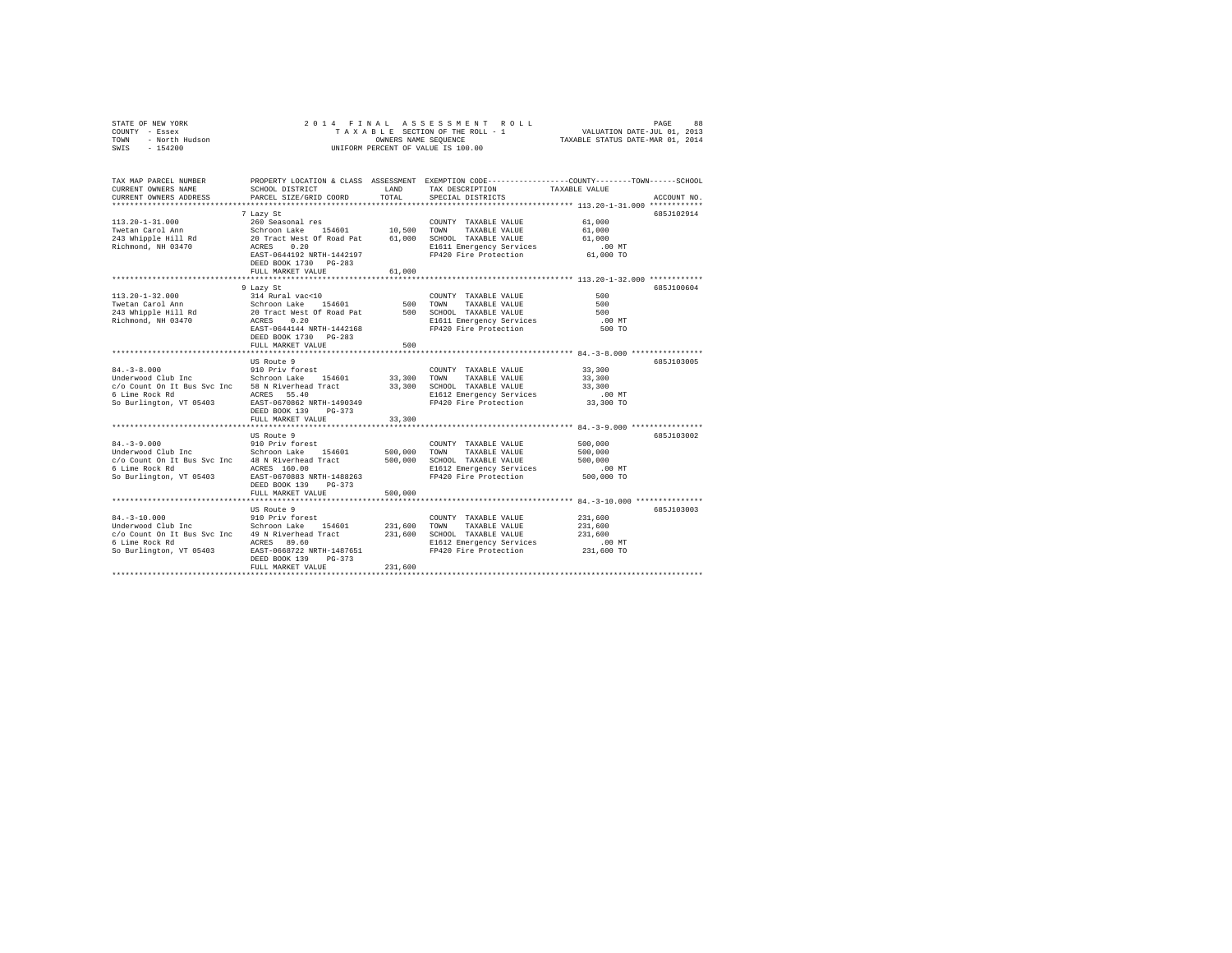| TOWN<br>- North Hudson<br>$-154200$<br>SWIS                                                                          | TAXABLE STATUS DATE-MAR 01, 2014<br>OWNERS NAME SEQUENCE<br>UNIFORM PERCENT OF VALUE IS 100.00                                                                                   |                               |                                                                                                                                |                                                                                                                                |  |  |  |  |
|----------------------------------------------------------------------------------------------------------------------|----------------------------------------------------------------------------------------------------------------------------------------------------------------------------------|-------------------------------|--------------------------------------------------------------------------------------------------------------------------------|--------------------------------------------------------------------------------------------------------------------------------|--|--|--|--|
| TAX MAP PARCEL NUMBER<br>CURRENT OWNERS NAME<br>CURRENT OWNERS ADDRESS                                               | SCHOOL DISTRICT<br>PARCEL SIZE/GRID COORD                                                                                                                                        | LAND<br>TOTAL                 | TAX DESCRIPTION<br>SPECIAL DISTRICTS                                                                                           | PROPERTY LOCATION & CLASS ASSESSMENT EXEMPTION CODE---------------COUNTY-------TOWN-----SCHOOL<br>TAXABLE VALUE<br>ACCOUNT NO. |  |  |  |  |
| $113.20 - 1 - 31.000$<br>Twetan Carol Ann<br>243 Whipple Hill Rd<br>Richmond, NH 03470                               | 7 Lazy St<br>260 Seasonal res<br>Schroon Lake 154601<br>20 Tract West Of Road Pat<br>ACRES<br>0.20<br>EAST-0644192 NRTH-1442197<br>DEED BOOK 1730 PG-283<br>FULL MARKET VALUE    | 10,500<br>61,000<br>61,000    | COUNTY TAXABLE VALUE<br>TOWN<br>TAXABLE VALUE<br>SCHOOL TAXABLE VALUE<br>E1611 Emergency Services<br>FP420 Fire Protection     | 685J102914<br>61,000<br>61,000<br>61,000<br>$.00$ MT<br>61,000 TO                                                              |  |  |  |  |
|                                                                                                                      |                                                                                                                                                                                  |                               |                                                                                                                                |                                                                                                                                |  |  |  |  |
| $113.20 - 1 - 32.000$<br>Twetan Carol Ann<br>243 Whipple Hill Rd<br>Richmond, NH 03470                               | 9 Lazy St<br>314 Rural vac<10<br>Schroon Lake<br>154601<br>20 Tract West Of Road Pat<br>ACRES<br>0.20<br>EAST-0644144 NRTH-1442168<br>DEED BOOK 1730 PG-283<br>FULL MARKET VALUE | 500<br>500                    | COUNTY TAXABLE VALUE<br>TOWN<br>TAXABLE VALUE<br>500 SCHOOL TAXABLE VALUE<br>E1611 Emergency Services<br>FP420 Fire Protection | 685J100604<br>500<br>500<br>500<br>.00 MT<br>500 TO                                                                            |  |  |  |  |
|                                                                                                                      |                                                                                                                                                                                  |                               |                                                                                                                                |                                                                                                                                |  |  |  |  |
| $84. - 3 - 8.000$<br>Underwood Club Inc<br>c/o Count On It Bus Svc Inc<br>6 Lime Rock Rd<br>So Burlington, VT 05403  | US Route 9<br>910 Priv forest<br>Schroon Lake 154601<br>58 N Riverhead Tract<br>ACRES 55.40<br>EAST-0670862 NRTH-1490349<br>DEED BOOK 139<br>$PG-373$<br>FULL MARKET VALUE       | 33,300<br>33,300<br>33,300    | COUNTY TAXABLE VALUE<br>TOWN<br>TAXABLE VALUE<br>SCHOOL TAXABLE VALUE<br>E1612 Emergency Services<br>FP420 Fire Protection     | 685J103005<br>33,300<br>33,300<br>33,300<br>$.00$ MT<br>33,300 TO                                                              |  |  |  |  |
|                                                                                                                      |                                                                                                                                                                                  |                               |                                                                                                                                | ********** 84. - 3-9.000 ****************                                                                                      |  |  |  |  |
| $84. - 3 - 9.000$<br>Underwood Club Inc<br>c/o Count On It Bus Svc Inc<br>6 Lime Rock Rd<br>So Burlington, VT 05403  | US Route 9<br>910 Priv forest<br>Schroon Lake<br>154601<br>48 N Riverhead Tract<br>ACRES 160.00<br>EAST-0670883 NRTH-1488263<br>DEED BOOK 139<br>$PG-373$<br>FULL MARKET VALUE   | 500,000<br>500,000<br>500,000 | COUNTY TAXABLE VALUE<br>TOWN<br>TAXABLE VALUE<br>SCHOOL TAXABLE VALUE<br>E1612 Emergency Services<br>FP420 Fire Protection     | 685J103002<br>500,000<br>500,000<br>500,000<br>$.00$ MT<br>500,000 TO                                                          |  |  |  |  |
|                                                                                                                      |                                                                                                                                                                                  |                               |                                                                                                                                | ***************************** 84.-3-10.000 **************                                                                      |  |  |  |  |
| $84. - 3 - 10.000$<br>Underwood Club Inc<br>c/o Count On It Bus Svc Inc<br>6 Lime Rock Rd<br>So Burlington, VT 05403 | US Route 9<br>910 Priv forest<br>Schroon Lake 154601<br>49 N Riverhead Tract<br>ACRES 89.60<br>EAST-0668722 NRTH-1487651<br>DEED BOOK 139<br>$PG-373$<br>FULL MARKET VALUE       | 231,600<br>231,600<br>231,600 | COUNTY TAXABLE VALUE<br>TOWN<br>TAXABLE VALUE<br>SCHOOL TAXABLE VALUE<br>E1612 Emergency Services<br>FP420 Fire Protection     | 685J103003<br>231,600<br>231,600<br>231,600<br>$.00$ MT<br>231,600 TO                                                          |  |  |  |  |
|                                                                                                                      |                                                                                                                                                                                  |                               |                                                                                                                                |                                                                                                                                |  |  |  |  |

STATE OF NEW YORK 2 0 1 4 F I N A L A S S E S S M E N T R O L L PAGE 88 COUNTY - Essex T A X A B L E SECTION OF THE ROLL - 1 VALUATION DATE-JUL 01, 2013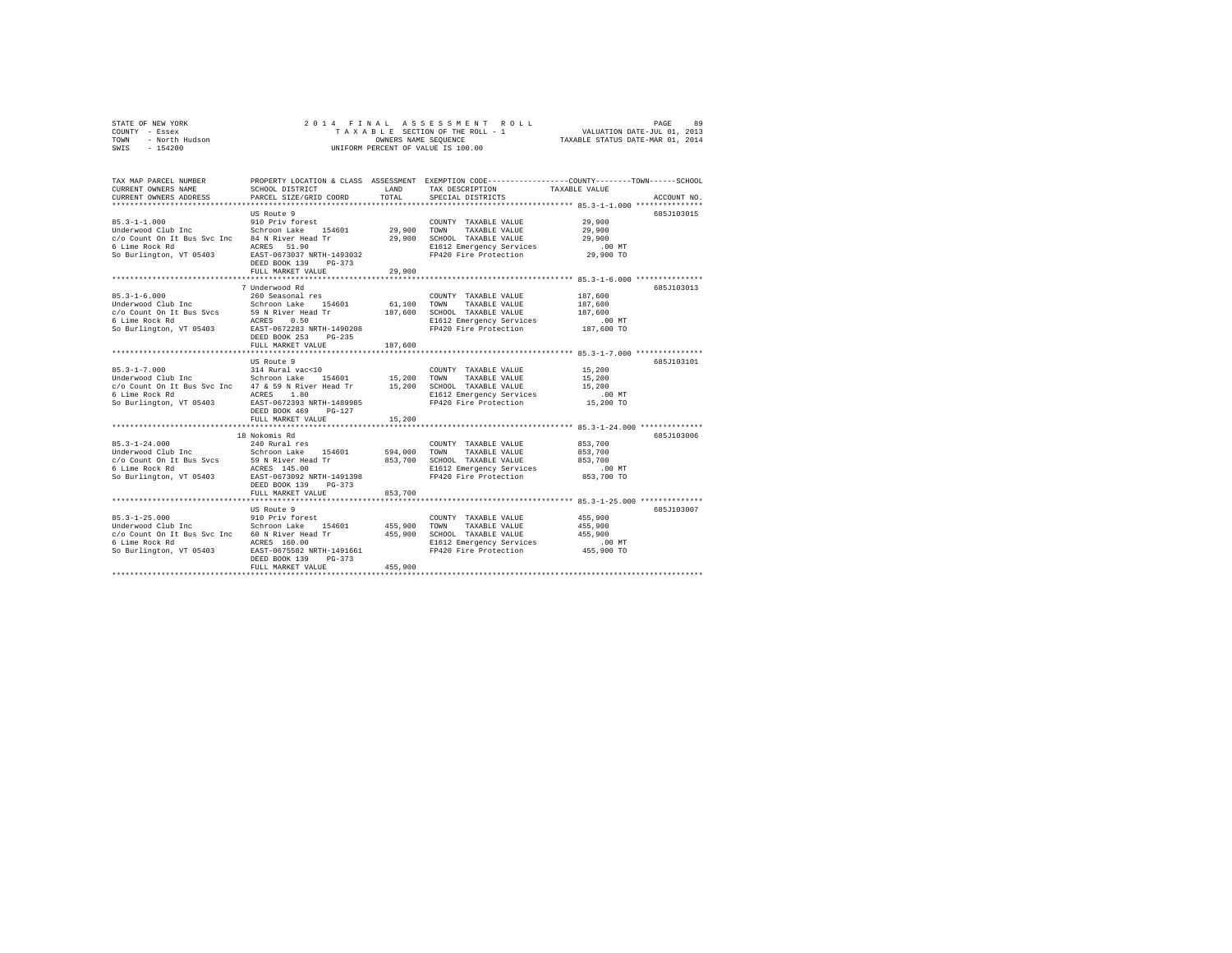|                | STATE OF NEW YORK |  |  |  |  | 2014 FINAL ASSESSMENT ROLL         | PAGE                             | 89 |
|----------------|-------------------|--|--|--|--|------------------------------------|----------------------------------|----|
| COUNTY - Essex |                   |  |  |  |  | TAXABLE SECTION OF THE ROLL - 1    | VALUATION DATE-JUL 01, 2013      |    |
| TOWN           | - North Hudson    |  |  |  |  | OWNERS NAME SEOUENCE               | TAXABLE STATUS DATE-MAR 01, 2014 |    |
| SWIS           | $-154200$         |  |  |  |  | UNIFORM PERCENT OF VALUE IS 100.00 |                                  |    |

| TAX MAP PARCEL NUMBER                                                                 |                                         |             | PROPERTY LOCATION & CLASS ASSESSMENT EXEMPTION CODE---------------COUNTY-------TOWN------SCHOOL |                                       |             |
|---------------------------------------------------------------------------------------|-----------------------------------------|-------------|-------------------------------------------------------------------------------------------------|---------------------------------------|-------------|
| CURRENT OWNERS NAME                                                                   | SCHOOL DISTRICT                         | LAND        | TAX DESCRIPTION TAXABLE VALUE                                                                   |                                       |             |
| CURRENT OWNERS ADDRESS                                                                | PARCEL SIZE/GRID COORD                  | TOTAL       | SPECIAL DISTRICTS                                                                               |                                       | ACCOUNT NO. |
|                                                                                       |                                         |             |                                                                                                 |                                       |             |
|                                                                                       | US Route 9                              |             |                                                                                                 |                                       | 685J103015  |
| $85.3 - 1 - 1.000$                                                                    | 910 Priv forest                         |             | COUNTY TAXABLE VALUE                                                                            | 29,900                                |             |
| Underwood Club Inc 5chroon Lake 154601 29,900 TOWN                                    |                                         |             | TAXABLE VALUE                                                                                   | 29,900                                |             |
| c/o Count On It Bus Svc Inc 84 N River Head Tr                                        |                                         | 29,900      | SCHOOL TAXABLE VALUE                                                                            | 29,900                                |             |
| 6 Lime Rock Rd                                                                        | ACRES 51.90                             |             |                                                                                                 | $.00$ MT                              |             |
| So Burlington, VT 05403                                                               | EAST-0673037 NRTH-1493032               |             | E1612 Emergency Services<br>FP420 Fire Protection                                               | 29,900 TO                             |             |
|                                                                                       | DEED BOOK 139<br>$PG-373$               |             |                                                                                                 |                                       |             |
|                                                                                       | FULL MARKET VALUE                       | 29,900      |                                                                                                 |                                       |             |
|                                                                                       |                                         |             |                                                                                                 |                                       |             |
|                                                                                       | 7 Underwood Rd                          |             |                                                                                                 |                                       | 685J103013  |
| $85.3 - 1 - 6.000$                                                                    | 260 Seasonal res                        |             | COUNTY TAXABLE VALUE                                                                            | 187,600                               |             |
| Underwood Club Inc Schroon Lake 154601<br>c/o Count On It Bus Svcs 59 N River Head Tr |                                         | 61,100 TOWN | TAXABLE VALUE                                                                                   | 187,600                               |             |
|                                                                                       |                                         | 187,600     | SCHOOL TAXABLE VALUE                                                                            | 187,600                               |             |
| 6 Lime Rock Rd                                                                        | ACRES<br>0.50                           |             | E1612 Emergency Services                                                                        | $.00$ MT                              |             |
| So Burlington, VT 05403                                                               | EAST-0672283 NRTH-1490208               |             | FP420 Fire Protection                                                                           | $187,600$ TO                          |             |
|                                                                                       | DEED BOOK 253<br>$PG-235$               |             |                                                                                                 |                                       |             |
|                                                                                       | FULL MARKET VALUE                       | 187,600     |                                                                                                 |                                       |             |
|                                                                                       | .                                       |             |                                                                                                 | *********** 85.3-1-7.000 ************ |             |
|                                                                                       | US Route 9                              |             |                                                                                                 |                                       | 685J103101  |
| $85.3 - 1 - 7.000$                                                                    | 314 Rural vac<10<br>Schroon Lake 154601 |             | COUNTY TAXABLE VALUE                                                                            | 15,200                                |             |
| Underwood Club Inc                                                                    |                                         | 15,200 TOWN | TAXABLE VALUE                                                                                   | 15,200                                |             |
| c/o Count On It Bus Svc Inc 47 & 59 N River Head Tr 15,200 SCHOOL TAXABLE VALUE       |                                         |             |                                                                                                 | 15,200                                |             |
| 6 Lime Rock Rd                                                                        | ACRES<br>1.80                           |             | E1612 Emergency Services                                                                        | $.00$ MT                              |             |
| So Burlington, VT 05403 EAST-0672393 NRTH-1489985                                     |                                         |             | FP420 Fire Protection                                                                           | 15,200 TO                             |             |
|                                                                                       | DEED BOOK 469<br>PG-127                 |             |                                                                                                 |                                       |             |
|                                                                                       | FULL MARKET VALUE                       | 15,200      |                                                                                                 |                                       |             |
|                                                                                       |                                         |             |                                                                                                 |                                       |             |
|                                                                                       | 18 Nokomis Rd                           |             |                                                                                                 |                                       | 685J103006  |
| $85.3 - 1 - 24.000$                                                                   | 240 Rural res                           |             | COUNTY TAXABLE VALUE                                                                            | 853,700                               |             |
| Underwood Club Inc                                                                    | Schroon Lake 154601                     | 594,000     | TOWN<br>TAXABLE VALUE                                                                           | 853,700                               |             |
|                                                                                       |                                         | 853,700     | SCHOOL TAXABLE VALUE                                                                            | 853,700                               |             |
|                                                                                       |                                         |             | E1612 Emergency Services                                                                        | $.00$ MT                              |             |
| So Burlington, VT 05403                                                               | EAST-0673092 NRTH-1491398               |             | FP420 Fire Protection                                                                           | 853,700 TO                            |             |
|                                                                                       | DEED BOOK 139<br>$PG-373$               |             |                                                                                                 |                                       |             |
|                                                                                       | FULL MARKET VALUE                       | 853,700     |                                                                                                 |                                       |             |
|                                                                                       |                                         |             |                                                                                                 |                                       |             |
|                                                                                       | US Route 9                              |             |                                                                                                 |                                       | 685J103007  |
| $85.3 - 1 - 25.000$                                                                   | 910 Priv forest                         |             | COUNTY TAXABLE VALUE                                                                            | 455,900                               |             |
| Underwood Club Inc                                                                    | Schroon Lake<br>154601                  | 455,900     | TAXABLE VALUE<br>TOWN                                                                           | 455,900                               |             |
| c/o Count On It Bus Svc Inc 60 N River Head Tr                                        |                                         | 455,900     | SCHOOL TAXABLE VALUE                                                                            | 455,900                               |             |
| 6 Lime Rock Rd                                                                        | ACRES 160.00                            |             | E1612 Emergency Services                                                                        | $.00$ MT                              |             |
| So Burlington, VT 05403                                                               | EAST-0675582 NRTH-1491661               |             | FP420 Fire Protection                                                                           | 455,900 TO                            |             |
|                                                                                       | DEED BOOK 139<br>$PG-373$               |             |                                                                                                 |                                       |             |
|                                                                                       | FULL MARKET VALUE                       | 455,900     |                                                                                                 |                                       |             |
|                                                                                       |                                         |             |                                                                                                 |                                       |             |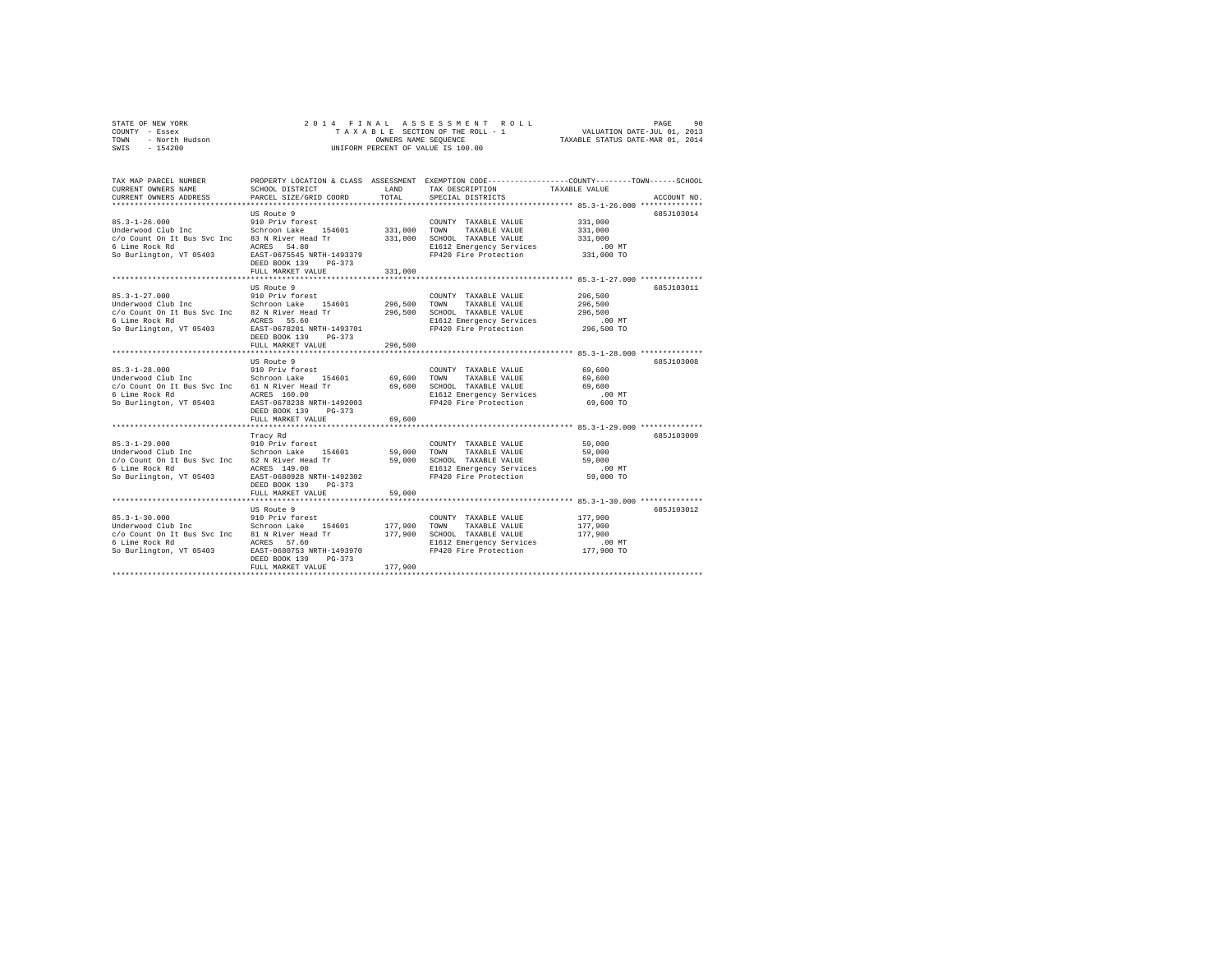|                | STATE OF NEW YORK |  |  |  |  | 2014 FINAL ASSESSMENT ROLL         | PAGE                             | 90 |
|----------------|-------------------|--|--|--|--|------------------------------------|----------------------------------|----|
| COUNTY - Essex |                   |  |  |  |  | TAXABLE SECTION OF THE ROLL - 1    | VALUATION DATE-JUL 01, 2013      |    |
| TOWN           | - North Hudson    |  |  |  |  | OWNERS NAME SEOUENCE               | TAXABLE STATUS DATE-MAR 01, 2014 |    |
| SWIS           | $-154200$         |  |  |  |  | UNIFORM PERCENT OF VALUE IS 100.00 |                                  |    |

| TAX MAP PARCEL NUMBER                          |                           |         | PROPERTY LOCATION & CLASS ASSESSMENT EXEMPTION CODE---------------COUNTY-------TOWN------SCHOOL |                                                            |             |
|------------------------------------------------|---------------------------|---------|-------------------------------------------------------------------------------------------------|------------------------------------------------------------|-------------|
| CURRENT OWNERS NAME                            | SCHOOL DISTRICT           | LAND    | TAX DESCRIPTION                                                                                 | TAXABLE VALUE                                              |             |
| CURRENT OWNERS ADDRESS                         | PARCEL SIZE/GRID COORD    | TOTAL   | SPECIAL DISTRICTS                                                                               |                                                            | ACCOUNT NO. |
|                                                |                           |         |                                                                                                 |                                                            |             |
|                                                | US Route 9                |         |                                                                                                 |                                                            | 685J103014  |
| $85.3 - 1 - 26.000$                            | 910 Priv forest           |         | COUNTY TAXABLE VALUE                                                                            | 331,000                                                    |             |
| Underwood Club Inc                             | Schroon Lake<br>154601    | 331,000 | TOWN<br>TAXABLE VALUE                                                                           | 331,000                                                    |             |
| c/o Count On It Bus Svc Inc                    | 83 N River Head Tr        | 331,000 | SCHOOL TAXABLE VALUE                                                                            | 331,000                                                    |             |
| 6 Lime Rock Rd                                 | ACRES 54.80               |         | E1612 Emergency Services                                                                        | $.00$ MT                                                   |             |
| So Burlington, VT 05403                        | EAST-0675545 NRTH-1493379 |         | FP420 Fire Protection                                                                           | 331,000 TO                                                 |             |
|                                                | DEED BOOK 139<br>$PG-373$ |         |                                                                                                 |                                                            |             |
|                                                | FULL MARKET VALUE         | 331,000 |                                                                                                 |                                                            |             |
|                                                | ***********************   |         |                                                                                                 | ************************* 85.3-1-27.000 **************     |             |
|                                                | US Route 9                |         |                                                                                                 |                                                            | 685J103011  |
| $85.3 - 1 - 27.000$                            | 910 Priv forest           |         | COUNTY TAXABLE VALUE                                                                            | 296,500                                                    |             |
| Underwood Club Inc                             | Schroon Lake 154601       | 296,500 | TOWN<br>TAXABLE VALUE                                                                           | 296,500                                                    |             |
| c/o Count On It Bus Svc Inc 82 N River Head Tr |                           | 296,500 | SCHOOL TAXABLE VALUE                                                                            | 296,500                                                    |             |
| 6 Lime Rock Rd                                 | ACRES 55.60               |         | E1612 Emergency Services                                                                        | .00 MT                                                     |             |
| So Burlington, VT 05403                        | EAST-0678201 NRTH-1493701 |         | FP420 Fire Protection                                                                           | 296,500 TO                                                 |             |
|                                                | DEED BOOK 139<br>$PG-373$ |         |                                                                                                 |                                                            |             |
|                                                | FULL MARKET VALUE         | 296,500 |                                                                                                 |                                                            |             |
|                                                | .                         |         |                                                                                                 | **************************** 85.3-1-28.000 *************** |             |
|                                                | US Route 9                |         |                                                                                                 |                                                            | 685J103008  |
| $85.3 - 1 - 28.000$                            | 910 Priv forest           |         | COUNTY TAXABLE VALUE                                                                            | 69,600                                                     |             |
| Underwood Club Inc                             | Schroon Lake 154601       | 69,600  | TOWN<br>TAXABLE VALUE                                                                           | 69,600                                                     |             |
| c/o Count On It Bus Svc Inc 61 N River Head Tr |                           | 69,600  | SCHOOL TAXABLE VALUE                                                                            | 69,600                                                     |             |
| 6 Lime Rock Rd                                 | ACRES 160.00              |         | E1612 Emergency Services                                                                        | $.00$ MT                                                   |             |
| So Burlington, VT 05403                        | EAST-0678238 NRTH-1492003 |         | FP420 Fire Protection                                                                           | 69,600 TO                                                  |             |
|                                                | DEED BOOK 139<br>$PG-373$ |         |                                                                                                 |                                                            |             |
|                                                |                           |         |                                                                                                 |                                                            |             |
|                                                | FULL MARKET VALUE         | 69,600  |                                                                                                 |                                                            |             |
|                                                |                           |         |                                                                                                 |                                                            |             |
|                                                | Tracy Rd                  |         |                                                                                                 |                                                            | 685J103009  |
| $85.3 - 1 - 29.000$                            | 910 Priv forest           |         | COUNTY TAXABLE VALUE                                                                            | 59,000                                                     |             |
| Underwood Club Inc                             | Schroon Lake<br>154601    | 59,000  | TOWN<br>TAXABLE VALUE                                                                           | 59,000                                                     |             |
| c/o Count On It Bus Svc Inc 62 N River Head Tr |                           | 59,000  | SCHOOL TAXABLE VALUE                                                                            | 59,000                                                     |             |
| 6 Lime Rock Rd                                 | ACRES 149.00              |         | E1612 Emergency Services                                                                        | $.00$ MT                                                   |             |
| So Burlington, VT 05403                        | EAST-0680928 NRTH-1492302 |         | FP420 Fire Protection                                                                           | 59,000 TO                                                  |             |
|                                                | DEED BOOK 139<br>$PG-373$ |         |                                                                                                 |                                                            |             |
|                                                | FULL MARKET VALUE         | 59,000  |                                                                                                 |                                                            |             |
|                                                |                           |         | ************************************** 85.3-1-30.000 ***************                            |                                                            |             |
|                                                | US Route 9                |         |                                                                                                 |                                                            | 685J103012  |
| $85.3 - 1 - 30.000$                            | 910 Priv forest           |         | COUNTY TAXABLE VALUE                                                                            | 177,900                                                    |             |
| Underwood Club Inc                             | Schroon Lake<br>154601    | 177,900 | TOWN<br>TAXABLE VALUE                                                                           | 177,900                                                    |             |
| c/o Count On It Bus Svc Inc                    | 81 N River Head Tr        | 177,900 | SCHOOL TAXABLE VALUE                                                                            | 177,900                                                    |             |
| 6 Lime Rock Rd                                 | ACRES 57.60               |         | E1612 Emergency Services                                                                        | .00MT                                                      |             |
| So Burlington, VT 05403                        | EAST-0680753 NRTH-1493970 |         | FP420 Fire Protection                                                                           | 177,900 TO                                                 |             |
|                                                | DEED BOOK 139<br>$PG-373$ |         |                                                                                                 |                                                            |             |
|                                                | FULL MARKET VALUE         | 177,900 |                                                                                                 |                                                            |             |
|                                                |                           |         |                                                                                                 |                                                            |             |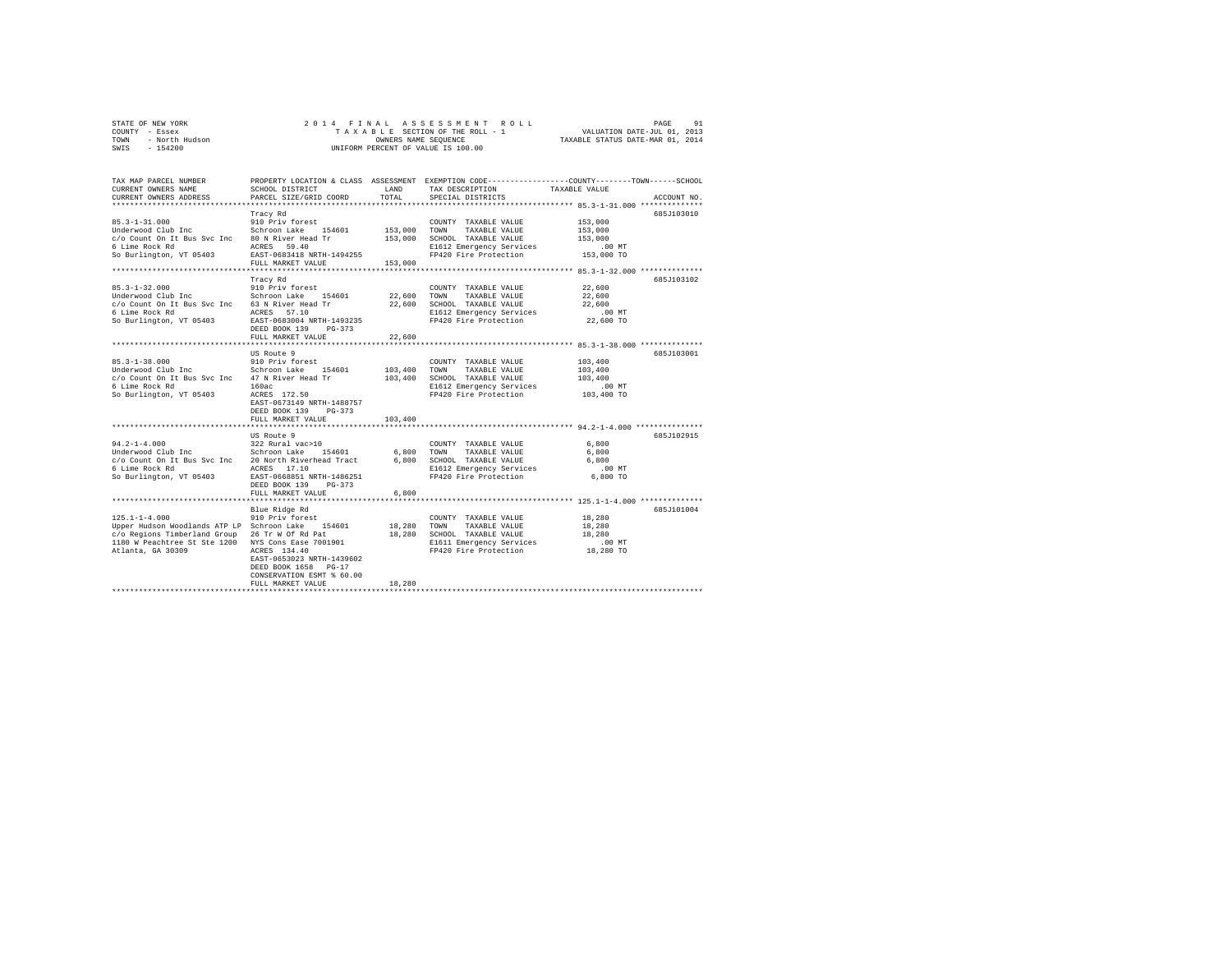|                | STATE OF NEW YORK |  |  |  |  | 2014 FINAL ASSESSMENT ROLL         | PAGE                             | 91 |
|----------------|-------------------|--|--|--|--|------------------------------------|----------------------------------|----|
| COUNTY - Essex |                   |  |  |  |  | TAXABLE SECTION OF THE ROLL - 1    | VALUATION DATE-JUL 01, 2013      |    |
| TOWN           | - North Hudson    |  |  |  |  | OWNERS NAME SEOUENCE               | TAXABLE STATUS DATE-MAR 01, 2014 |    |
| SWIS           | $-154200$         |  |  |  |  | UNIFORM PERCENT OF VALUE IS 100.00 |                                  |    |

| TAX MAP PARCEL NUMBER<br>CURRENT OWNERS NAME         | SCHOOL DISTRICT                            | LAND        | PROPERTY LOCATION & CLASS ASSESSMENT EXEMPTION CODE---------------COUNTY-------TOWN------SCHOOL<br>TAX DESCRIPTION | TAXABLE VALUE                           |             |
|------------------------------------------------------|--------------------------------------------|-------------|--------------------------------------------------------------------------------------------------------------------|-----------------------------------------|-------------|
| CURRENT OWNERS ADDRESS                               | PARCEL SIZE/GRID COORD                     | TOTAL       | SPECIAL DISTRICTS                                                                                                  |                                         | ACCOUNT NO. |
| *************************                            |                                            |             |                                                                                                                    |                                         |             |
|                                                      | Tracy Rd                                   |             |                                                                                                                    |                                         | 685J103010  |
| $85.3 - 1 - 31.000$                                  | 910 Priv forest                            |             | COUNTY TAXABLE VALUE                                                                                               | 153,000                                 |             |
| Underwood Club Inc                                   | Schroon Lake 154601                        | 153,000     | TOWN<br>TAXABLE VALUE                                                                                              | 153,000                                 |             |
| c/o Count On It Bus Svc Inc 80 N River Head Tr       |                                            | 153,000     | SCHOOL TAXABLE VALUE                                                                                               | 153,000                                 |             |
| 6 Lime Rock Rd                                       | ACRES 59.40                                |             | E1612 Emergency Services                                                                                           | $.00$ MT                                |             |
| So Burlington, VT 05403                              | EAST-0683418 NRTH-1494255                  |             | FP420 Fire Protection                                                                                              | 153,000 TO                              |             |
|                                                      | FULL MARKET VALUE<br>******************    | 153,000     |                                                                                                                    | ************* 85.3-1-32.000 *********** |             |
|                                                      | Tracy Rd                                   |             |                                                                                                                    |                                         | 685J103102  |
| $85.3 - 1 - 32.000$                                  | 910 Priv forest                            |             | COUNTY TAXABLE VALUE                                                                                               | 22,600                                  |             |
| Underwood Club Inc                                   | Schroon Lake 154601                        | 22,600 TOWN | TAXABLE VALUE                                                                                                      | 22,600                                  |             |
| c/o Count On It Bus Svc Inc 63 N River Head Tr       |                                            | 22,600      | SCHOOL TAXABLE VALUE                                                                                               | 22,600                                  |             |
| 6 Lime Rock Rd                                       | ACRES 57.10                                |             | E1612 Emergency Services                                                                                           | $.00$ MT                                |             |
| So Burlington, VT 05403                              | EAST-0683004 NRTH-1493235                  |             | FP420 Fire Protection                                                                                              | 22,600 TO                               |             |
|                                                      | DEED BOOK 139<br>$PG-373$                  |             |                                                                                                                    |                                         |             |
|                                                      | FULL MARKET VALUE                          | 22,600      |                                                                                                                    |                                         |             |
|                                                      |                                            |             |                                                                                                                    |                                         |             |
|                                                      | US Route 9                                 |             |                                                                                                                    |                                         | 685J103001  |
| $85.3 - 1 - 38.000$                                  | 910 Priv forest                            |             | COUNTY TAXABLE VALUE                                                                                               | 103,400                                 |             |
| Underwood Club Inc                                   | Schroon Lake 154601                        | 103,400     | TOWN<br>TAXABLE VALUE                                                                                              | 103,400                                 |             |
| c/o Count On It Bus Svc Inc 47 N River Head Tr       |                                            | 103,400     | SCHOOL TAXABLE VALUE                                                                                               | 103,400                                 |             |
| 6 Lime Rock Rd                                       | 160ac                                      |             | E1612 Emergency Services                                                                                           | .00 MT                                  |             |
| So Burlington, VT 05403                              | ACRES 172.50                               |             | FP420 Fire Protection                                                                                              | 103,400 TO                              |             |
|                                                      | EAST-0673149 NRTH-1488757                  |             |                                                                                                                    |                                         |             |
|                                                      | DEED BOOK 139<br>$PG-373$                  |             |                                                                                                                    |                                         |             |
|                                                      | FULL MARKET VALUE                          | 103,400     |                                                                                                                    |                                         |             |
|                                                      |                                            |             |                                                                                                                    |                                         |             |
|                                                      | US Route 9                                 |             |                                                                                                                    |                                         | 685J102915  |
| $94.2 - 1 - 4.000$<br>Underwood Club Inc             | 322 Rural vac>10<br>Schroon Lake<br>154601 | 6,800       | COUNTY TAXABLE VALUE<br>TOWN<br>TAXABLE VALUE                                                                      | 6,800<br>6,800                          |             |
| c/o Count On It Bus Svc Inc 20 North Riverhead Tract |                                            | 6.800       | SCHOOL TAXABLE VALUE                                                                                               | 6,800                                   |             |
| 6 Lime Rock Rd                                       | ACRES 17.10                                |             | E1612 Emergency Services                                                                                           | $.00$ MT                                |             |
| So Burlington, VT 05403                              | EAST-0668851 NRTH-1486251                  |             | FP420 Fire Protection                                                                                              | 6,800 TO                                |             |
|                                                      | DEED BOOK 139<br>$PG-373$                  |             |                                                                                                                    |                                         |             |
|                                                      | FULL MARKET VALUE                          | 6,800       |                                                                                                                    |                                         |             |
|                                                      |                                            |             |                                                                                                                    |                                         |             |
|                                                      | Blue Ridge Rd                              |             |                                                                                                                    |                                         | 685J101004  |
| $125.1 - 1 - 4.000$                                  | 910 Priv forest                            |             | COUNTY TAXABLE VALUE                                                                                               | 18,280                                  |             |
| Upper Hudson Woodlands ATP LP Schroon Lake           | 154601                                     | 18,280      | TAXABLE VALUE<br>TOWN                                                                                              | 18,280                                  |             |
| c/o Regions Timberland Group 26 Tr W Of Rd Pat       |                                            | 18,280      | SCHOOL TAXABLE VALUE                                                                                               | 18,280                                  |             |
| 1180 W Peachtree St Ste 1200 NYS Cons Ease 7001901   |                                            |             | E1611 Emergency Services                                                                                           | .00 MT                                  |             |
| Atlanta, GA 30309                                    | ACRES 134.40                               |             | FP420 Fire Protection                                                                                              | 18,280 TO                               |             |
|                                                      | EAST-0653023 NRTH-1439602                  |             |                                                                                                                    |                                         |             |
|                                                      | DEED BOOK 1658 PG-17                       |             |                                                                                                                    |                                         |             |
|                                                      | CONSERVATION ESMT % 60.00                  |             |                                                                                                                    |                                         |             |
|                                                      | FULL MARKET VALUE                          | 18,280      |                                                                                                                    |                                         |             |
|                                                      |                                            |             |                                                                                                                    |                                         |             |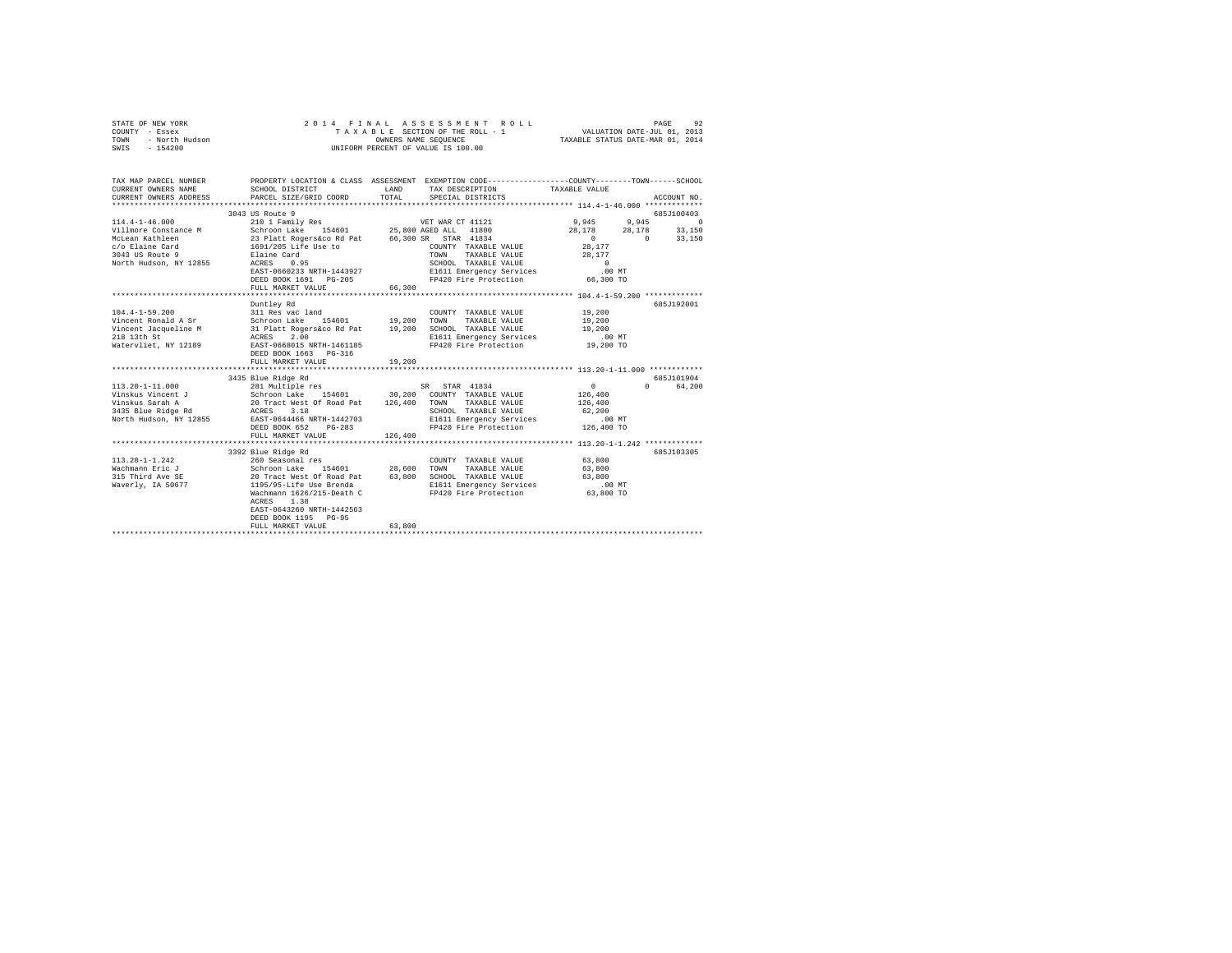|        | STATE OF NEW YORK     |                           |                       | 2014 FINAL ASSESSMENT ROLL         |                                                             | PAGE         | 92 |
|--------|-----------------------|---------------------------|-----------------------|------------------------------------|-------------------------------------------------------------|--------------|----|
| COUNTY | - Essex               |                           |                       | TAXABLE SECTION OF THE ROLL - 1    | VALUATION DATE-JUL 01, 2013                                 |              |    |
| TOWN   | - North Hudson        |                           |                       | OWNERS NAME SEOUENCE               | TAXABLE STATUS DATE-MAR 01, 2014                            |              |    |
| SWIS   | $-154200$             |                           |                       | UNIFORM PERCENT OF VALUE IS 100.00 |                                                             |              |    |
|        |                       |                           |                       |                                    |                                                             |              |    |
|        |                       |                           |                       |                                    |                                                             |              |    |
|        |                       |                           |                       |                                    |                                                             |              |    |
|        | TAX MAP PARCEL NUMBER | PROPERTY LOCATION & CLASS | ASSESSMENT            |                                    | EXEMPTION CODE-----------------COUNTY-------TOWN-----SCHOOL |              |    |
|        | CURRENT OWNERS NAME   | SCHOOL DISTRICT           | LAND                  | TAX DESCRIPTION                    | TAXABLE VALUE                                               |              |    |
|        | duppens curps inposed | pipont otoplanth doopp    | $m \wedge m \wedge r$ |                                    |                                                             | SCHOTTEN STO |    |

| CURRENT OWNERS ADDRESS | PARCEL SIZE/GRID COORD                             | TOTAL   | SPECIAL DISTRICTS                                                 |                    | ACCOUNT NO.                  |
|------------------------|----------------------------------------------------|---------|-------------------------------------------------------------------|--------------------|------------------------------|
|                        |                                                    |         | ************************************ 114.4-1-46.000 ************* |                    |                              |
| $114.4 - 1 - 46.000$   | 3043 US Route 9<br>210 1 Family Res                |         | VET WAR CT 41121                                                  | 9,945<br>9,945     | 685J100403<br>$\overline{0}$ |
| Villmore Constance M   | Schroon Lake 154601 25,800 AGED ALL 41800          |         |                                                                   | 28.178             | 33,150<br>28,178             |
| McLean Kathleen        | 23 Platt Rogers&co Rd Pat 66,300 SR STAR 41834     |         |                                                                   | $\Omega$           | $\Omega$<br>33,150           |
| c/o Elaine Card        | 1691/205 Life Use to                               |         | COUNTY TAXABLE VALUE                                              | 28,177             |                              |
| 3043 US Route 9        | Elaine Card                                        |         | TOWN<br>TAXABLE VALUE                                             | 28,177             |                              |
| North Hudson, NY 12855 | ACRES 0.95                                         |         | SCHOOL TAXABLE VALUE                                              | $\sim$ 0           |                              |
|                        | EAST-0660233 NRTH-1443927                          |         | E1611 Emergency Services                                          | .00MT              |                              |
|                        | DEED BOOK 1691 PG-205                              |         | FP420 Fire Protection                                             | 66,300 TO          |                              |
|                        | FULL MARKET VALUE                                  | 66,300  |                                                                   |                    |                              |
|                        |                                                    |         |                                                                   |                    |                              |
|                        | Duntley Rd                                         |         |                                                                   |                    | 685J192001                   |
| $104.4 - 1 - 59.200$   | 311 Res vac land                                   |         | COUNTY TAXABLE VALUE                                              | 19,200             |                              |
| Vincent Ronald A Sr    | Schroon Lake 154601 19,200                         |         | TOWN<br>TAXABLE VALUE                                             | 19,200             |                              |
| Vincent Jacqueline M   | 31 Platt Rogers&co Rd Pat 19,200                   |         | SCHOOL TAXABLE VALUE                                              | 19,200             |                              |
| 218 13th St            | 2.00<br>ACRES                                      |         | E1611 Emergency Services<br>FP420 Fire Protection                 | .00MT<br>19,200 TO |                              |
| Watervliet, NY 12189   | EAST-0668015 NRTH-1461185<br>DEED BOOK 1663 PG-316 |         |                                                                   |                    |                              |
|                        | FULL MARKET VALUE                                  |         |                                                                   |                    |                              |
|                        |                                                    | 19,200  |                                                                   |                    |                              |
|                        | 3435 Blue Ridge Rd                                 |         |                                                                   |                    | 685J101904                   |
| $113.20 - 1 - 11.000$  | 281 Multiple res                                   |         | SR STAR 41834                                                     | $\circ$            | $\Omega$<br>64,200           |
| Vinskus Vincent J      | Schroon Lake 154601 30,200                         |         | COUNTY TAXABLE VALUE                                              | 126,400            |                              |
| Vinskus Sarah A        | 20 Tract West Of Road Pat 126,400                  |         | TAXABLE VALUE<br>TOWN                                             | 126,400            |                              |
| 3435 Blue Ridge Rd     | ACRES<br>3.18                                      |         | SCHOOL TAXABLE VALUE                                              | 62,200             |                              |
| North Hudson, NY 12855 | EAST-0644466 NRTH-1442703                          |         | E1611 Emergency Services                                          | $.00$ MT           |                              |
|                        | DEED BOOK 652<br>$PG-283$                          |         | FP420 Fire Protection                                             | 126,400 TO         |                              |
|                        | FULL MARKET VALUE                                  | 126,400 |                                                                   |                    |                              |
|                        |                                                    |         |                                                                   |                    |                              |
|                        | 3392 Blue Ridge Rd                                 |         |                                                                   |                    | 685.7103305                  |
| $113.20 - 1 - 1.242$   | 260 Seasonal res                                   |         | COUNTY TAXABLE VALUE                                              | 63,800             |                              |
| Wachmann Eric J        | Schroon Lake 154601                                | 28,600  | TOWN<br>TAXABLE VALUE                                             | 63,800             |                              |
| 315 Third Ave SE       | 20 Tract West Of Road Pat                          | 63,800  | SCHOOL TAXABLE VALUE                                              | 63,800             |                              |
| Waverly, IA 50677      | 1195/95-Life Use Brenda                            |         | E1611 Emergency Services                                          | .00 MT             |                              |
|                        | Wachmann 1626/215-Death C                          |         | FP420 Fire Protection                                             | 63,800 TO          |                              |
|                        | 1.38<br>ACRES                                      |         |                                                                   |                    |                              |
|                        | EAST-0643260 NRTH-1442563                          |         |                                                                   |                    |                              |
|                        | DEED BOOK 1195 PG-95                               |         |                                                                   |                    |                              |
|                        | FULL MARKET VALUE                                  | 63,800  |                                                                   |                    |                              |
|                        | ***********************                            |         |                                                                   |                    |                              |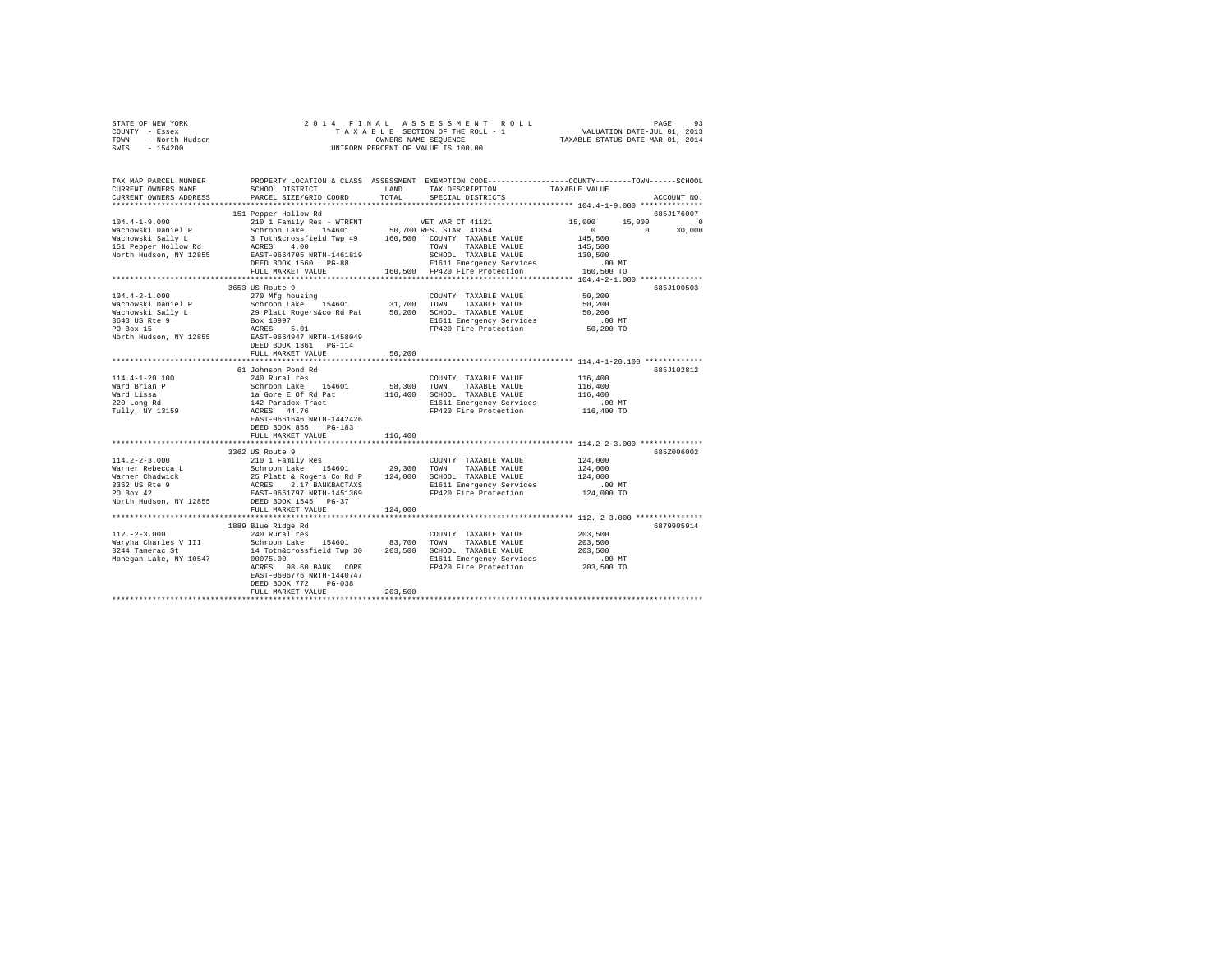| TAX MAP PARCEL NUMBER PROPERTY LOCATION & CLASS ASSESSMENT EXEMPTION CODE--------------COUNTY-------TOWN------SCHOOL<br>TAX DESCRIPTION<br>SCHOOL DISTRICT<br>CURRENT OWNERS NAME<br>LAND<br>TAXABLE VALUE<br>TOTAL<br>CURRENT OWNERS ADDRESS<br>PARCEL SIZE/GRID COORD<br>SPECIAL DISTRICTS<br>ACCOUNT NO.<br>151 Pepper Hollow Rd<br>685J176007<br>VET WAR CT 41121<br>$104.4 - 1 - 9.000$<br>210 1 Family Res - WTRFNT<br>15,000<br>15,000<br>$\sim$ 0<br>Schroon Lake 154601 50,700 RES. STAR 41854<br>3 Totn&crossfield Twp 49 160,500 COUNTY TAXABLE VALUE<br>Wachowski Daniel P<br>$\sim$ 0<br>$\sim$ 0<br>30,000<br>Wachowski Sally L<br>145,500<br>151 Pepper Hollow Rd<br>ACRES 4.00<br>TAXABLE VALUE<br>145,500<br>TOWN<br>North Hudson, NY 12855<br>EAST-0664705 NRTH-1461819<br>SCHOOL TAXABLE VALUE<br>130,500<br>DEED BOOK 1560 PG-88<br>E1611 Emergency Services<br>.00 MT<br>160,500 FP420 Fire Protection<br>FULL MARKET VALUE<br>160,500 TO<br>3653 US Route 9<br>685J100503<br>$104.4 - 2 - 1.000$<br>270 Mfg housing<br>COUNTY TAXABLE VALUE<br>50,200<br>Schroon Lake 154601<br>Wachowski Daniel P<br>31,700 TOWN<br>TAXABLE VALUE<br>50,200<br>Wachowski Sally L<br>3643 US Rte 9<br>PO Box 15<br>29 Platt Rogers&co Rd Pat 50,200 SCHOOL TAXABLE VALUE<br>50,200<br>Box 10997<br>E1611 Emergency Services<br>$.00$ MT<br>ACRES 5.01<br>EAST-0664947 NRTH-1458049<br>FP420 Fire Protection<br>50,200 TO<br>North Hudson, NY 12855<br>DEED BOOK 1361 PG-114<br>FULL MARKET VALUE<br>50,200<br>*********************************** 114.4-1-20.100 **************<br>************<br>61 Johnson Pond Rd<br>685J102812<br>$114.4 - 1 - 20.100$<br>240 Rural res<br>COUNTY TAXABLE VALUE<br>116,400<br>Ward Brian P<br>Schroon Lake 154601<br>58,300<br>TOWN<br>TAXABLE VALUE<br>116,400<br>Ward Lissa<br>220 Long Rd<br>la Gore E Of Rd Pat<br>116,400<br>116,400<br>SCHOOL TAXABLE VALUE<br>142 Paradox Tract<br>ACRES 44.76<br>E1611 Emergency Services<br>$.00$ MT<br>Tully, NY 13159<br>FP420 Fire Protection<br>116,400 TO<br>EAST-0661646 NRTH-1442426<br>DEED BOOK 855 PG-183<br>FULL MARKET VALUE<br>116,400<br>3362 US Route 9<br>685Z006002<br>210 1 Family Res<br>$114.2 - 2 - 3.000$<br>COUNTY TAXABLE VALUE<br>124,000<br>Schroon Lake 154601<br>Warner Rebecca L<br>29,300<br>TOWN<br>TAXABLE VALUE<br>124,000<br>Warner Chadwick<br>3362 US Rte 9<br>PO Box 42<br>25 Platt & Rogers Co Rd P 124,000 SCHOOL TAXABLE VALUE<br>ACRES 2.17 BANKBACTAXS E1611 Emergency Services<br>124,000<br>$.00$ MT<br>EAST-0661797 NRTH-1451369<br>FP420 Fire Protection<br>124,000 TO<br>DEED BOOK 1545 PG-37<br>FULL MARKET VALUE<br>124,000<br>1889 Blue Ridge Rd<br>6879905914<br>$112. -2 - 3.000$<br>240 Rural res<br>COUNTY TAXABLE VALUE<br>203,500<br>Schroon Lake 154601 83,700<br>203,500<br>Waryha Charles V III<br>TOWN<br>TAXABLE VALUE<br>3244 Tamerac St<br>14 Totn&crossfield Twp 30 203,500 SCHOOL TAXABLE VALUE<br>203,500<br>Mohegan Lake, NY 10547<br>00075.00<br>E1611 Emergency Services<br>$.00$ MT<br>FP420 Fire Protection<br>203,500 TO<br>ACRES 98.60 BANK CORE<br>EAST-0606776 NRTH-1440747<br>DEED BOOK 772<br>$PG-0.38$<br>203,500<br>FULL MARKET VALUE | OF NEW YORK 2<br>Y - Essex<br>- North Hudson<br>- 154200<br>STATE OF NEW YORK<br>COUNTY - Essex<br>TOWN<br>SWIS | 2014 FINAL | UNIFORM PERCENT OF VALUE IS 100.00 |  |
|----------------------------------------------------------------------------------------------------------------------------------------------------------------------------------------------------------------------------------------------------------------------------------------------------------------------------------------------------------------------------------------------------------------------------------------------------------------------------------------------------------------------------------------------------------------------------------------------------------------------------------------------------------------------------------------------------------------------------------------------------------------------------------------------------------------------------------------------------------------------------------------------------------------------------------------------------------------------------------------------------------------------------------------------------------------------------------------------------------------------------------------------------------------------------------------------------------------------------------------------------------------------------------------------------------------------------------------------------------------------------------------------------------------------------------------------------------------------------------------------------------------------------------------------------------------------------------------------------------------------------------------------------------------------------------------------------------------------------------------------------------------------------------------------------------------------------------------------------------------------------------------------------------------------------------------------------------------------------------------------------------------------------------------------------------------------------------------------------------------------------------------------------------------------------------------------------------------------------------------------------------------------------------------------------------------------------------------------------------------------------------------------------------------------------------------------------------------------------------------------------------------------------------------------------------------------------------------------------------------------------------------------------------------------------------------------------------------------------------------------------------------------------------------------------------------------------------------------------------------------------------------------------------------------------------------------------------------------------------------------------------------------------------------------------------------------------------------------------------------------------------------------------------------------------------------------------------|-----------------------------------------------------------------------------------------------------------------|------------|------------------------------------|--|
|                                                                                                                                                                                                                                                                                                                                                                                                                                                                                                                                                                                                                                                                                                                                                                                                                                                                                                                                                                                                                                                                                                                                                                                                                                                                                                                                                                                                                                                                                                                                                                                                                                                                                                                                                                                                                                                                                                                                                                                                                                                                                                                                                                                                                                                                                                                                                                                                                                                                                                                                                                                                                                                                                                                                                                                                                                                                                                                                                                                                                                                                                                                                                                                                          |                                                                                                                 |            |                                    |  |
|                                                                                                                                                                                                                                                                                                                                                                                                                                                                                                                                                                                                                                                                                                                                                                                                                                                                                                                                                                                                                                                                                                                                                                                                                                                                                                                                                                                                                                                                                                                                                                                                                                                                                                                                                                                                                                                                                                                                                                                                                                                                                                                                                                                                                                                                                                                                                                                                                                                                                                                                                                                                                                                                                                                                                                                                                                                                                                                                                                                                                                                                                                                                                                                                          |                                                                                                                 |            |                                    |  |
|                                                                                                                                                                                                                                                                                                                                                                                                                                                                                                                                                                                                                                                                                                                                                                                                                                                                                                                                                                                                                                                                                                                                                                                                                                                                                                                                                                                                                                                                                                                                                                                                                                                                                                                                                                                                                                                                                                                                                                                                                                                                                                                                                                                                                                                                                                                                                                                                                                                                                                                                                                                                                                                                                                                                                                                                                                                                                                                                                                                                                                                                                                                                                                                                          |                                                                                                                 |            |                                    |  |
|                                                                                                                                                                                                                                                                                                                                                                                                                                                                                                                                                                                                                                                                                                                                                                                                                                                                                                                                                                                                                                                                                                                                                                                                                                                                                                                                                                                                                                                                                                                                                                                                                                                                                                                                                                                                                                                                                                                                                                                                                                                                                                                                                                                                                                                                                                                                                                                                                                                                                                                                                                                                                                                                                                                                                                                                                                                                                                                                                                                                                                                                                                                                                                                                          |                                                                                                                 |            |                                    |  |
|                                                                                                                                                                                                                                                                                                                                                                                                                                                                                                                                                                                                                                                                                                                                                                                                                                                                                                                                                                                                                                                                                                                                                                                                                                                                                                                                                                                                                                                                                                                                                                                                                                                                                                                                                                                                                                                                                                                                                                                                                                                                                                                                                                                                                                                                                                                                                                                                                                                                                                                                                                                                                                                                                                                                                                                                                                                                                                                                                                                                                                                                                                                                                                                                          |                                                                                                                 |            |                                    |  |
|                                                                                                                                                                                                                                                                                                                                                                                                                                                                                                                                                                                                                                                                                                                                                                                                                                                                                                                                                                                                                                                                                                                                                                                                                                                                                                                                                                                                                                                                                                                                                                                                                                                                                                                                                                                                                                                                                                                                                                                                                                                                                                                                                                                                                                                                                                                                                                                                                                                                                                                                                                                                                                                                                                                                                                                                                                                                                                                                                                                                                                                                                                                                                                                                          |                                                                                                                 |            |                                    |  |
|                                                                                                                                                                                                                                                                                                                                                                                                                                                                                                                                                                                                                                                                                                                                                                                                                                                                                                                                                                                                                                                                                                                                                                                                                                                                                                                                                                                                                                                                                                                                                                                                                                                                                                                                                                                                                                                                                                                                                                                                                                                                                                                                                                                                                                                                                                                                                                                                                                                                                                                                                                                                                                                                                                                                                                                                                                                                                                                                                                                                                                                                                                                                                                                                          |                                                                                                                 |            |                                    |  |
|                                                                                                                                                                                                                                                                                                                                                                                                                                                                                                                                                                                                                                                                                                                                                                                                                                                                                                                                                                                                                                                                                                                                                                                                                                                                                                                                                                                                                                                                                                                                                                                                                                                                                                                                                                                                                                                                                                                                                                                                                                                                                                                                                                                                                                                                                                                                                                                                                                                                                                                                                                                                                                                                                                                                                                                                                                                                                                                                                                                                                                                                                                                                                                                                          |                                                                                                                 |            |                                    |  |
|                                                                                                                                                                                                                                                                                                                                                                                                                                                                                                                                                                                                                                                                                                                                                                                                                                                                                                                                                                                                                                                                                                                                                                                                                                                                                                                                                                                                                                                                                                                                                                                                                                                                                                                                                                                                                                                                                                                                                                                                                                                                                                                                                                                                                                                                                                                                                                                                                                                                                                                                                                                                                                                                                                                                                                                                                                                                                                                                                                                                                                                                                                                                                                                                          |                                                                                                                 |            |                                    |  |
|                                                                                                                                                                                                                                                                                                                                                                                                                                                                                                                                                                                                                                                                                                                                                                                                                                                                                                                                                                                                                                                                                                                                                                                                                                                                                                                                                                                                                                                                                                                                                                                                                                                                                                                                                                                                                                                                                                                                                                                                                                                                                                                                                                                                                                                                                                                                                                                                                                                                                                                                                                                                                                                                                                                                                                                                                                                                                                                                                                                                                                                                                                                                                                                                          |                                                                                                                 |            |                                    |  |
|                                                                                                                                                                                                                                                                                                                                                                                                                                                                                                                                                                                                                                                                                                                                                                                                                                                                                                                                                                                                                                                                                                                                                                                                                                                                                                                                                                                                                                                                                                                                                                                                                                                                                                                                                                                                                                                                                                                                                                                                                                                                                                                                                                                                                                                                                                                                                                                                                                                                                                                                                                                                                                                                                                                                                                                                                                                                                                                                                                                                                                                                                                                                                                                                          |                                                                                                                 |            |                                    |  |
|                                                                                                                                                                                                                                                                                                                                                                                                                                                                                                                                                                                                                                                                                                                                                                                                                                                                                                                                                                                                                                                                                                                                                                                                                                                                                                                                                                                                                                                                                                                                                                                                                                                                                                                                                                                                                                                                                                                                                                                                                                                                                                                                                                                                                                                                                                                                                                                                                                                                                                                                                                                                                                                                                                                                                                                                                                                                                                                                                                                                                                                                                                                                                                                                          |                                                                                                                 |            |                                    |  |
|                                                                                                                                                                                                                                                                                                                                                                                                                                                                                                                                                                                                                                                                                                                                                                                                                                                                                                                                                                                                                                                                                                                                                                                                                                                                                                                                                                                                                                                                                                                                                                                                                                                                                                                                                                                                                                                                                                                                                                                                                                                                                                                                                                                                                                                                                                                                                                                                                                                                                                                                                                                                                                                                                                                                                                                                                                                                                                                                                                                                                                                                                                                                                                                                          |                                                                                                                 |            |                                    |  |
|                                                                                                                                                                                                                                                                                                                                                                                                                                                                                                                                                                                                                                                                                                                                                                                                                                                                                                                                                                                                                                                                                                                                                                                                                                                                                                                                                                                                                                                                                                                                                                                                                                                                                                                                                                                                                                                                                                                                                                                                                                                                                                                                                                                                                                                                                                                                                                                                                                                                                                                                                                                                                                                                                                                                                                                                                                                                                                                                                                                                                                                                                                                                                                                                          |                                                                                                                 |            |                                    |  |
|                                                                                                                                                                                                                                                                                                                                                                                                                                                                                                                                                                                                                                                                                                                                                                                                                                                                                                                                                                                                                                                                                                                                                                                                                                                                                                                                                                                                                                                                                                                                                                                                                                                                                                                                                                                                                                                                                                                                                                                                                                                                                                                                                                                                                                                                                                                                                                                                                                                                                                                                                                                                                                                                                                                                                                                                                                                                                                                                                                                                                                                                                                                                                                                                          |                                                                                                                 |            |                                    |  |
|                                                                                                                                                                                                                                                                                                                                                                                                                                                                                                                                                                                                                                                                                                                                                                                                                                                                                                                                                                                                                                                                                                                                                                                                                                                                                                                                                                                                                                                                                                                                                                                                                                                                                                                                                                                                                                                                                                                                                                                                                                                                                                                                                                                                                                                                                                                                                                                                                                                                                                                                                                                                                                                                                                                                                                                                                                                                                                                                                                                                                                                                                                                                                                                                          |                                                                                                                 |            |                                    |  |
|                                                                                                                                                                                                                                                                                                                                                                                                                                                                                                                                                                                                                                                                                                                                                                                                                                                                                                                                                                                                                                                                                                                                                                                                                                                                                                                                                                                                                                                                                                                                                                                                                                                                                                                                                                                                                                                                                                                                                                                                                                                                                                                                                                                                                                                                                                                                                                                                                                                                                                                                                                                                                                                                                                                                                                                                                                                                                                                                                                                                                                                                                                                                                                                                          |                                                                                                                 |            |                                    |  |
|                                                                                                                                                                                                                                                                                                                                                                                                                                                                                                                                                                                                                                                                                                                                                                                                                                                                                                                                                                                                                                                                                                                                                                                                                                                                                                                                                                                                                                                                                                                                                                                                                                                                                                                                                                                                                                                                                                                                                                                                                                                                                                                                                                                                                                                                                                                                                                                                                                                                                                                                                                                                                                                                                                                                                                                                                                                                                                                                                                                                                                                                                                                                                                                                          |                                                                                                                 |            |                                    |  |
|                                                                                                                                                                                                                                                                                                                                                                                                                                                                                                                                                                                                                                                                                                                                                                                                                                                                                                                                                                                                                                                                                                                                                                                                                                                                                                                                                                                                                                                                                                                                                                                                                                                                                                                                                                                                                                                                                                                                                                                                                                                                                                                                                                                                                                                                                                                                                                                                                                                                                                                                                                                                                                                                                                                                                                                                                                                                                                                                                                                                                                                                                                                                                                                                          |                                                                                                                 |            |                                    |  |
|                                                                                                                                                                                                                                                                                                                                                                                                                                                                                                                                                                                                                                                                                                                                                                                                                                                                                                                                                                                                                                                                                                                                                                                                                                                                                                                                                                                                                                                                                                                                                                                                                                                                                                                                                                                                                                                                                                                                                                                                                                                                                                                                                                                                                                                                                                                                                                                                                                                                                                                                                                                                                                                                                                                                                                                                                                                                                                                                                                                                                                                                                                                                                                                                          |                                                                                                                 |            |                                    |  |
|                                                                                                                                                                                                                                                                                                                                                                                                                                                                                                                                                                                                                                                                                                                                                                                                                                                                                                                                                                                                                                                                                                                                                                                                                                                                                                                                                                                                                                                                                                                                                                                                                                                                                                                                                                                                                                                                                                                                                                                                                                                                                                                                                                                                                                                                                                                                                                                                                                                                                                                                                                                                                                                                                                                                                                                                                                                                                                                                                                                                                                                                                                                                                                                                          |                                                                                                                 |            |                                    |  |
|                                                                                                                                                                                                                                                                                                                                                                                                                                                                                                                                                                                                                                                                                                                                                                                                                                                                                                                                                                                                                                                                                                                                                                                                                                                                                                                                                                                                                                                                                                                                                                                                                                                                                                                                                                                                                                                                                                                                                                                                                                                                                                                                                                                                                                                                                                                                                                                                                                                                                                                                                                                                                                                                                                                                                                                                                                                                                                                                                                                                                                                                                                                                                                                                          |                                                                                                                 |            |                                    |  |
|                                                                                                                                                                                                                                                                                                                                                                                                                                                                                                                                                                                                                                                                                                                                                                                                                                                                                                                                                                                                                                                                                                                                                                                                                                                                                                                                                                                                                                                                                                                                                                                                                                                                                                                                                                                                                                                                                                                                                                                                                                                                                                                                                                                                                                                                                                                                                                                                                                                                                                                                                                                                                                                                                                                                                                                                                                                                                                                                                                                                                                                                                                                                                                                                          |                                                                                                                 |            |                                    |  |
|                                                                                                                                                                                                                                                                                                                                                                                                                                                                                                                                                                                                                                                                                                                                                                                                                                                                                                                                                                                                                                                                                                                                                                                                                                                                                                                                                                                                                                                                                                                                                                                                                                                                                                                                                                                                                                                                                                                                                                                                                                                                                                                                                                                                                                                                                                                                                                                                                                                                                                                                                                                                                                                                                                                                                                                                                                                                                                                                                                                                                                                                                                                                                                                                          |                                                                                                                 |            |                                    |  |
|                                                                                                                                                                                                                                                                                                                                                                                                                                                                                                                                                                                                                                                                                                                                                                                                                                                                                                                                                                                                                                                                                                                                                                                                                                                                                                                                                                                                                                                                                                                                                                                                                                                                                                                                                                                                                                                                                                                                                                                                                                                                                                                                                                                                                                                                                                                                                                                                                                                                                                                                                                                                                                                                                                                                                                                                                                                                                                                                                                                                                                                                                                                                                                                                          |                                                                                                                 |            |                                    |  |
|                                                                                                                                                                                                                                                                                                                                                                                                                                                                                                                                                                                                                                                                                                                                                                                                                                                                                                                                                                                                                                                                                                                                                                                                                                                                                                                                                                                                                                                                                                                                                                                                                                                                                                                                                                                                                                                                                                                                                                                                                                                                                                                                                                                                                                                                                                                                                                                                                                                                                                                                                                                                                                                                                                                                                                                                                                                                                                                                                                                                                                                                                                                                                                                                          |                                                                                                                 |            |                                    |  |
|                                                                                                                                                                                                                                                                                                                                                                                                                                                                                                                                                                                                                                                                                                                                                                                                                                                                                                                                                                                                                                                                                                                                                                                                                                                                                                                                                                                                                                                                                                                                                                                                                                                                                                                                                                                                                                                                                                                                                                                                                                                                                                                                                                                                                                                                                                                                                                                                                                                                                                                                                                                                                                                                                                                                                                                                                                                                                                                                                                                                                                                                                                                                                                                                          |                                                                                                                 |            |                                    |  |
|                                                                                                                                                                                                                                                                                                                                                                                                                                                                                                                                                                                                                                                                                                                                                                                                                                                                                                                                                                                                                                                                                                                                                                                                                                                                                                                                                                                                                                                                                                                                                                                                                                                                                                                                                                                                                                                                                                                                                                                                                                                                                                                                                                                                                                                                                                                                                                                                                                                                                                                                                                                                                                                                                                                                                                                                                                                                                                                                                                                                                                                                                                                                                                                                          |                                                                                                                 |            |                                    |  |
|                                                                                                                                                                                                                                                                                                                                                                                                                                                                                                                                                                                                                                                                                                                                                                                                                                                                                                                                                                                                                                                                                                                                                                                                                                                                                                                                                                                                                                                                                                                                                                                                                                                                                                                                                                                                                                                                                                                                                                                                                                                                                                                                                                                                                                                                                                                                                                                                                                                                                                                                                                                                                                                                                                                                                                                                                                                                                                                                                                                                                                                                                                                                                                                                          |                                                                                                                 |            |                                    |  |
|                                                                                                                                                                                                                                                                                                                                                                                                                                                                                                                                                                                                                                                                                                                                                                                                                                                                                                                                                                                                                                                                                                                                                                                                                                                                                                                                                                                                                                                                                                                                                                                                                                                                                                                                                                                                                                                                                                                                                                                                                                                                                                                                                                                                                                                                                                                                                                                                                                                                                                                                                                                                                                                                                                                                                                                                                                                                                                                                                                                                                                                                                                                                                                                                          |                                                                                                                 |            |                                    |  |
|                                                                                                                                                                                                                                                                                                                                                                                                                                                                                                                                                                                                                                                                                                                                                                                                                                                                                                                                                                                                                                                                                                                                                                                                                                                                                                                                                                                                                                                                                                                                                                                                                                                                                                                                                                                                                                                                                                                                                                                                                                                                                                                                                                                                                                                                                                                                                                                                                                                                                                                                                                                                                                                                                                                                                                                                                                                                                                                                                                                                                                                                                                                                                                                                          |                                                                                                                 |            |                                    |  |
|                                                                                                                                                                                                                                                                                                                                                                                                                                                                                                                                                                                                                                                                                                                                                                                                                                                                                                                                                                                                                                                                                                                                                                                                                                                                                                                                                                                                                                                                                                                                                                                                                                                                                                                                                                                                                                                                                                                                                                                                                                                                                                                                                                                                                                                                                                                                                                                                                                                                                                                                                                                                                                                                                                                                                                                                                                                                                                                                                                                                                                                                                                                                                                                                          |                                                                                                                 |            |                                    |  |
|                                                                                                                                                                                                                                                                                                                                                                                                                                                                                                                                                                                                                                                                                                                                                                                                                                                                                                                                                                                                                                                                                                                                                                                                                                                                                                                                                                                                                                                                                                                                                                                                                                                                                                                                                                                                                                                                                                                                                                                                                                                                                                                                                                                                                                                                                                                                                                                                                                                                                                                                                                                                                                                                                                                                                                                                                                                                                                                                                                                                                                                                                                                                                                                                          |                                                                                                                 |            |                                    |  |
|                                                                                                                                                                                                                                                                                                                                                                                                                                                                                                                                                                                                                                                                                                                                                                                                                                                                                                                                                                                                                                                                                                                                                                                                                                                                                                                                                                                                                                                                                                                                                                                                                                                                                                                                                                                                                                                                                                                                                                                                                                                                                                                                                                                                                                                                                                                                                                                                                                                                                                                                                                                                                                                                                                                                                                                                                                                                                                                                                                                                                                                                                                                                                                                                          |                                                                                                                 |            |                                    |  |
|                                                                                                                                                                                                                                                                                                                                                                                                                                                                                                                                                                                                                                                                                                                                                                                                                                                                                                                                                                                                                                                                                                                                                                                                                                                                                                                                                                                                                                                                                                                                                                                                                                                                                                                                                                                                                                                                                                                                                                                                                                                                                                                                                                                                                                                                                                                                                                                                                                                                                                                                                                                                                                                                                                                                                                                                                                                                                                                                                                                                                                                                                                                                                                                                          | North Hudson, NY 12855                                                                                          |            |                                    |  |
|                                                                                                                                                                                                                                                                                                                                                                                                                                                                                                                                                                                                                                                                                                                                                                                                                                                                                                                                                                                                                                                                                                                                                                                                                                                                                                                                                                                                                                                                                                                                                                                                                                                                                                                                                                                                                                                                                                                                                                                                                                                                                                                                                                                                                                                                                                                                                                                                                                                                                                                                                                                                                                                                                                                                                                                                                                                                                                                                                                                                                                                                                                                                                                                                          |                                                                                                                 |            |                                    |  |
|                                                                                                                                                                                                                                                                                                                                                                                                                                                                                                                                                                                                                                                                                                                                                                                                                                                                                                                                                                                                                                                                                                                                                                                                                                                                                                                                                                                                                                                                                                                                                                                                                                                                                                                                                                                                                                                                                                                                                                                                                                                                                                                                                                                                                                                                                                                                                                                                                                                                                                                                                                                                                                                                                                                                                                                                                                                                                                                                                                                                                                                                                                                                                                                                          |                                                                                                                 |            |                                    |  |
|                                                                                                                                                                                                                                                                                                                                                                                                                                                                                                                                                                                                                                                                                                                                                                                                                                                                                                                                                                                                                                                                                                                                                                                                                                                                                                                                                                                                                                                                                                                                                                                                                                                                                                                                                                                                                                                                                                                                                                                                                                                                                                                                                                                                                                                                                                                                                                                                                                                                                                                                                                                                                                                                                                                                                                                                                                                                                                                                                                                                                                                                                                                                                                                                          |                                                                                                                 |            |                                    |  |
|                                                                                                                                                                                                                                                                                                                                                                                                                                                                                                                                                                                                                                                                                                                                                                                                                                                                                                                                                                                                                                                                                                                                                                                                                                                                                                                                                                                                                                                                                                                                                                                                                                                                                                                                                                                                                                                                                                                                                                                                                                                                                                                                                                                                                                                                                                                                                                                                                                                                                                                                                                                                                                                                                                                                                                                                                                                                                                                                                                                                                                                                                                                                                                                                          |                                                                                                                 |            |                                    |  |
|                                                                                                                                                                                                                                                                                                                                                                                                                                                                                                                                                                                                                                                                                                                                                                                                                                                                                                                                                                                                                                                                                                                                                                                                                                                                                                                                                                                                                                                                                                                                                                                                                                                                                                                                                                                                                                                                                                                                                                                                                                                                                                                                                                                                                                                                                                                                                                                                                                                                                                                                                                                                                                                                                                                                                                                                                                                                                                                                                                                                                                                                                                                                                                                                          |                                                                                                                 |            |                                    |  |
|                                                                                                                                                                                                                                                                                                                                                                                                                                                                                                                                                                                                                                                                                                                                                                                                                                                                                                                                                                                                                                                                                                                                                                                                                                                                                                                                                                                                                                                                                                                                                                                                                                                                                                                                                                                                                                                                                                                                                                                                                                                                                                                                                                                                                                                                                                                                                                                                                                                                                                                                                                                                                                                                                                                                                                                                                                                                                                                                                                                                                                                                                                                                                                                                          |                                                                                                                 |            |                                    |  |
|                                                                                                                                                                                                                                                                                                                                                                                                                                                                                                                                                                                                                                                                                                                                                                                                                                                                                                                                                                                                                                                                                                                                                                                                                                                                                                                                                                                                                                                                                                                                                                                                                                                                                                                                                                                                                                                                                                                                                                                                                                                                                                                                                                                                                                                                                                                                                                                                                                                                                                                                                                                                                                                                                                                                                                                                                                                                                                                                                                                                                                                                                                                                                                                                          |                                                                                                                 |            |                                    |  |
|                                                                                                                                                                                                                                                                                                                                                                                                                                                                                                                                                                                                                                                                                                                                                                                                                                                                                                                                                                                                                                                                                                                                                                                                                                                                                                                                                                                                                                                                                                                                                                                                                                                                                                                                                                                                                                                                                                                                                                                                                                                                                                                                                                                                                                                                                                                                                                                                                                                                                                                                                                                                                                                                                                                                                                                                                                                                                                                                                                                                                                                                                                                                                                                                          |                                                                                                                 |            |                                    |  |
|                                                                                                                                                                                                                                                                                                                                                                                                                                                                                                                                                                                                                                                                                                                                                                                                                                                                                                                                                                                                                                                                                                                                                                                                                                                                                                                                                                                                                                                                                                                                                                                                                                                                                                                                                                                                                                                                                                                                                                                                                                                                                                                                                                                                                                                                                                                                                                                                                                                                                                                                                                                                                                                                                                                                                                                                                                                                                                                                                                                                                                                                                                                                                                                                          |                                                                                                                 |            |                                    |  |
|                                                                                                                                                                                                                                                                                                                                                                                                                                                                                                                                                                                                                                                                                                                                                                                                                                                                                                                                                                                                                                                                                                                                                                                                                                                                                                                                                                                                                                                                                                                                                                                                                                                                                                                                                                                                                                                                                                                                                                                                                                                                                                                                                                                                                                                                                                                                                                                                                                                                                                                                                                                                                                                                                                                                                                                                                                                                                                                                                                                                                                                                                                                                                                                                          |                                                                                                                 |            |                                    |  |
|                                                                                                                                                                                                                                                                                                                                                                                                                                                                                                                                                                                                                                                                                                                                                                                                                                                                                                                                                                                                                                                                                                                                                                                                                                                                                                                                                                                                                                                                                                                                                                                                                                                                                                                                                                                                                                                                                                                                                                                                                                                                                                                                                                                                                                                                                                                                                                                                                                                                                                                                                                                                                                                                                                                                                                                                                                                                                                                                                                                                                                                                                                                                                                                                          |                                                                                                                 |            |                                    |  |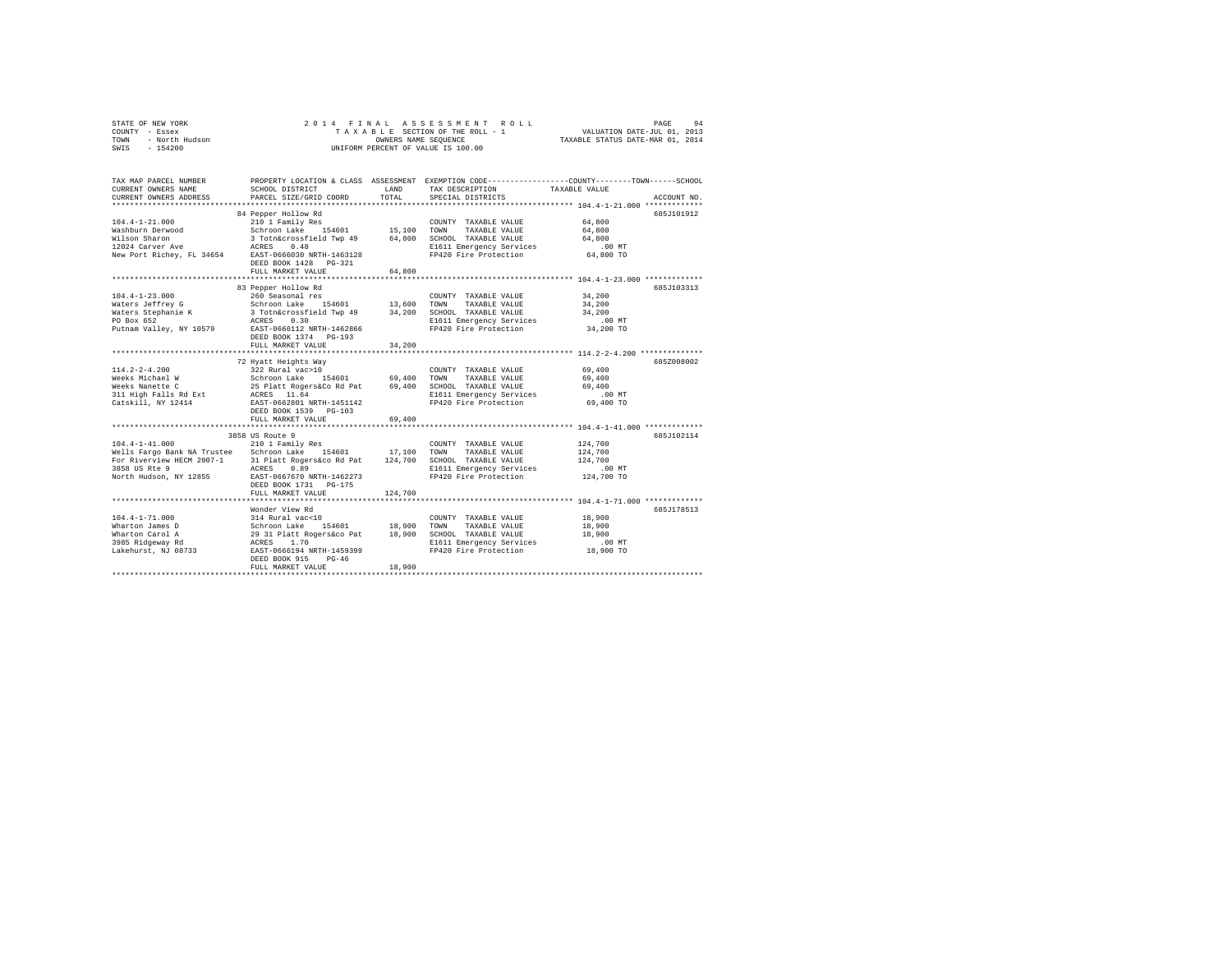|                | STATE OF NEW YORK |  |  |  |  | 2014 FINAL ASSESSMENT ROLL         | PAGE                             | 94 |
|----------------|-------------------|--|--|--|--|------------------------------------|----------------------------------|----|
| COUNTY - Essex |                   |  |  |  |  | TAXABLE SECTION OF THE ROLL - 1    | VALUATION DATE-JUL 01, 2013      |    |
| TOWN           | - North Hudson    |  |  |  |  | OWNERS NAME SEOUENCE               | TAXABLE STATUS DATE-MAR 01, 2014 |    |
| SWIS           | $-154200$         |  |  |  |  | UNIFORM PERCENT OF VALUE IS 100.00 |                                  |    |

| TAX MAP PARCEL NUMBER<br>CURRENT OWNERS NAME<br>CURRENT OWNERS ADDRESS                                                                          | SCHOOL DISTRICT<br>PARCEL SIZE/GRID COORD                                                                                                                                                                                             | LAND<br>TOTAL              | TAX DESCRIPTION<br>SPECIAL DISTRICTS                                                                                       | PROPERTY LOCATION & CLASS ASSESSMENT EXEMPTION CODE----------------COUNTY-------TOWN------SCHOOL<br>TAXABLE VALUE<br>ACCOUNT NO.    |
|-------------------------------------------------------------------------------------------------------------------------------------------------|---------------------------------------------------------------------------------------------------------------------------------------------------------------------------------------------------------------------------------------|----------------------------|----------------------------------------------------------------------------------------------------------------------------|-------------------------------------------------------------------------------------------------------------------------------------|
| $104.4 - 1 - 21.000$<br>Washburn Derwood<br>Wilson Sharon<br>12024 Carver Ave<br>New Port Richey, FL 34654                                      | 84 Pepper Hollow Rd<br>210 1 Family Res<br>Schroon Lake<br>154601<br>3 Totn&crossfield Twp 49 64,800<br>0.48<br>ACRES<br>EAST-0666030 NRTH-1463128<br>DEED BOOK 1428 PG-321<br>FULL MARKET VALUE                                      | 15,100 TOWN<br>64,800      | COUNTY TAXABLE VALUE<br>TAXABLE VALUE<br>SCHOOL TAXABLE VALUE<br>E1611 Emergency Services<br>FP420 Fire Protection         | 685J101912<br>64,800<br>64,800<br>64,800<br>.00 MT<br>64,800 TO                                                                     |
| $104.4 - 1 - 23.000$<br>Waters Jeffrey G<br>Waters Stephanie K<br>PO Box 652<br>Putnam Valley, NY 10579                                         | 83 Pepper Hollow Rd<br>260 Seasonal res<br>Schroon Lake 154601<br>3 Totn&crossfield Twp 49<br>ACRES<br>0.30<br>EAST-0666112 NRTH-1462866<br>DEED BOOK 1374 PG-193<br>FULL MARKET VALUE<br>*********************                       | 13,600<br>34,200<br>34,200 | COUNTY TAXABLE VALUE<br>TOWN<br>TAXABLE VALUE<br>SCHOOL TAXABLE VALUE<br>E1611 Emergency Services<br>FP420 Fire Protection | 685J103313<br>34,200<br>34,200<br>34,200<br>$.00$ MT<br>34,200 TO<br>********** 114.2-2-4.200 ***********                           |
| $114.2 - 2 - 4.200$<br>Weeks Michael W<br>Weeks Nanette C<br>311 High Falls Rd Ext<br>Catskill, NY 12414                                        | 72 Hyatt Heights Way<br>322 Rural vac>10<br>Schroon Lake 154601<br>25 Platt Rogers&Co Rd Pat 69,400<br>ACRES 11.64<br>EAST-0662801 NRTH-1451142<br>DEED BOOK 1539 PG-103                                                              | 69,400                     | COUNTY TAXABLE VALUE<br>TOWN<br>TAXABLE VALUE<br>SCHOOL TAXABLE VALUE<br>E1611 Emergency Services<br>FP420 Fire Protection | 685Z008002<br>69,400<br>69,400<br>69,400<br>$.00$ MT<br>69,400 TO                                                                   |
|                                                                                                                                                 | FULL MARKET VALUE                                                                                                                                                                                                                     | 69,400                     |                                                                                                                            |                                                                                                                                     |
| $104.4 - 1 - 41.000$<br>Wells Fargo Bank NA Trustee Schroon Lake 154601<br>For Riverview HECM 2007-1<br>3858 US Rte 9<br>North Hudson, NY 12855 | 3858 US Route 9<br>210 1 Family Res<br>31 Platt Rogers&co Rd Pat<br>ACRES<br>0.89<br>EAST-0667670 NRTH-1462273<br>DEED BOOK 1731 PG-175<br>FULL MARKET VALUE                                                                          | 17,100 TOWN<br>124,700     | COUNTY TAXABLE VALUE<br>TAXABLE VALUE<br>124,700 SCHOOL TAXABLE VALUE<br>E1611 Emergency Services<br>FP420 Fire Protection | 685J102114<br>124,700<br>124,700<br>124,700<br>$.00$ MT<br>124,700 TO                                                               |
| $104.4 - 1 - 71.000$<br>Wharton James D<br>Wharton Carol A<br>3985 Ridgeway Rd<br>Lakehurst, NJ 08733                                           | *************************************<br>Wonder View Rd<br>314 Rural vac<10<br>154601<br>Schroon Lake 154601<br>29 31 Platt Rogers&co Pat<br>ACRES 1.70<br>EAST-0666194 NRTH-1459399<br>DEED BOOK 915<br>$PG-46$<br>FULL MARKET VALUE | 18,900<br>18,900<br>18,900 | COUNTY TAXABLE VALUE<br>TOWN<br>TAXABLE VALUE<br>SCHOOL TAXABLE VALUE<br>E1611 Emergency Services<br>FP420 Fire Protection | ************************************ 104.4-1-71.000 ************<br>685J178513<br>18,900<br>18,900<br>18,900<br>.00 MT<br>18,900 TO |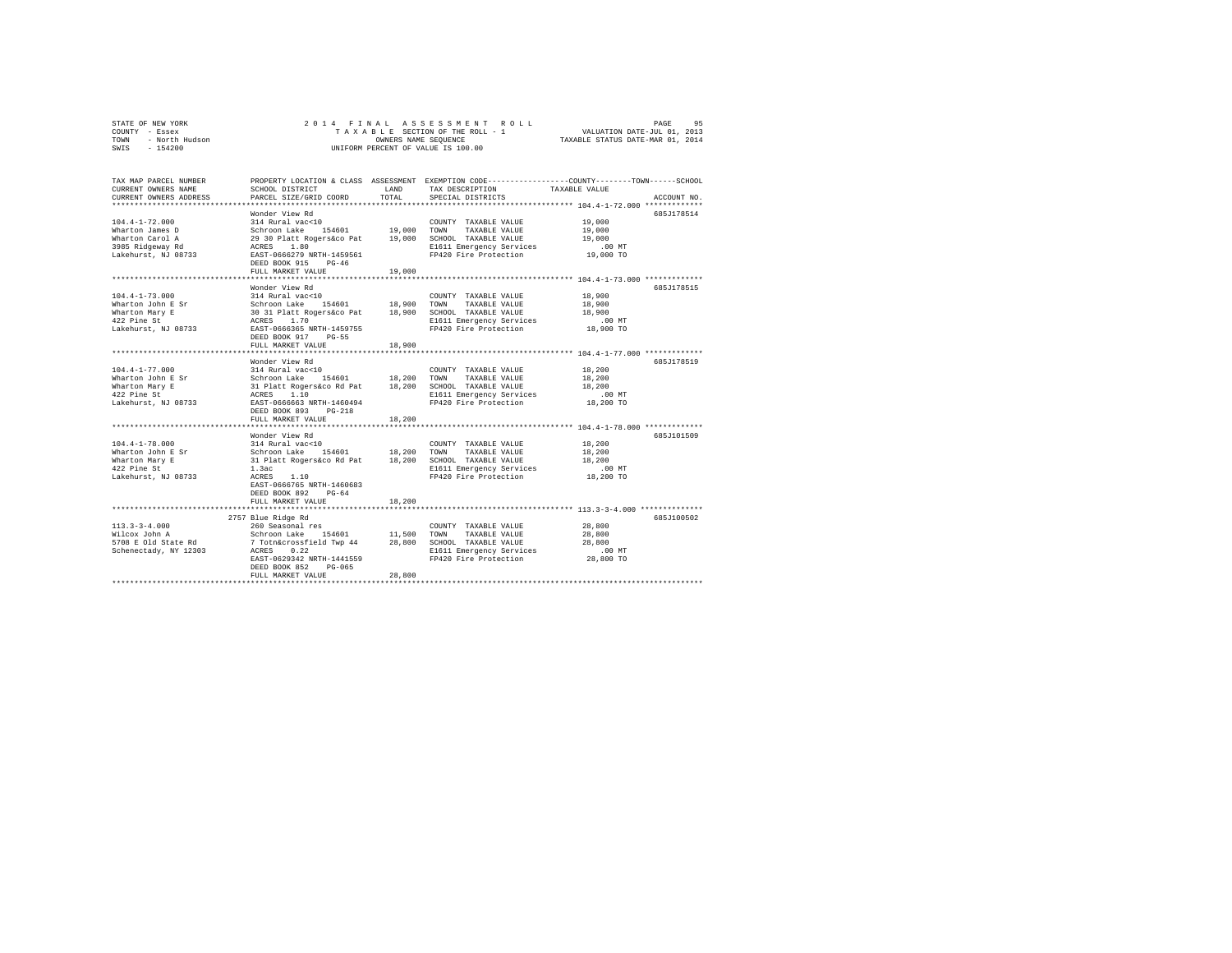|                | STATE OF NEW YORK |  |  |  |  | 2014 FINAL ASSESSMENT ROLL         | PAGE                             | 95 |
|----------------|-------------------|--|--|--|--|------------------------------------|----------------------------------|----|
| COUNTY - Essex |                   |  |  |  |  | TAXABLE SECTION OF THE ROLL - 1    | VALUATION DATE-JUL 01, 2013      |    |
| TOWN           | - North Hudson    |  |  |  |  | OWNERS NAME SEOUENCE               | TAXABLE STATUS DATE-MAR 01, 2014 |    |
| SWIS           | $-154200$         |  |  |  |  | UNIFORM PERCENT OF VALUE IS 100.00 |                                  |    |

| TAX MAP PARCEL NUMBER<br>CURRENT OWNERS NAME<br>CURRENT OWNERS ADDRESS                                | SCHOOL DISTRICT<br>PARCEL SIZE/GRID COORD                                                                                                                                                                                                                                                                                                | <b>T.AND</b><br>TOTAL | TAX DESCRIPTION<br>SPECIAL DISTRICTS                                                                                              | PROPERTY LOCATION & CLASS ASSESSMENT EXEMPTION CODE---------------COUNTY-------TOWN-----SCHOOL<br>TAXABLE VALUE<br>ACCOUNT NO.      |
|-------------------------------------------------------------------------------------------------------|------------------------------------------------------------------------------------------------------------------------------------------------------------------------------------------------------------------------------------------------------------------------------------------------------------------------------------------|-----------------------|-----------------------------------------------------------------------------------------------------------------------------------|-------------------------------------------------------------------------------------------------------------------------------------|
| $104.4 - 1 - 72.000$<br>Wharton James D<br>Wharton Carol A<br>3985 Ridgeway Rd<br>Lakehurst, NJ 08733 | Wonder View Rd<br>314 Rural vac<10<br>154601 19,000<br>Schroon Lake 154601 19,000 TOWN TAXABLE VALUE<br>29 30 Platt Rogersáco Pat 19,000 SCHOOL TAXABLE VALUE<br>ACRES 1.80 LOREN BI611 Emergency Services<br>EAST-0666279 NRTH-1459561 FP420 Fire Protection<br>DEED BOOK 915<br>$PG-46$<br>FULL MARKET VALUE<br>********************** | 19,000<br>            | COUNTY TAXABLE VALUE<br>E1611 Emergency Services<br>FP420 Fire Protection                                                         | 685J178514<br>19,000<br>19,000<br>19,000<br>$.00$ MT<br>19,000 TO<br>************************ 104.4-1-73.000 ************           |
| $104.4 - 1 - 73.000$<br>Wharton John E Sr<br>Wharton Mary E<br>422 Pine St<br>Lakehurst, NJ 08733     | Wonder View Rd<br>314 Rural vac<10<br>Schroon Lake 154601 18,900 TOWN<br>30 31 Platt Rogers&co Pat 18,900 SCHOOL TAXABLE VALUE<br>ACRES 1.70 21611 Emergency Services<br>EAST-0666365 NRTH-1459755<br>DEED BOOK 917 PG-55<br>FULL MARKET VALUE                                                                                           | 18,900                | COUNTY TAXABLE VALUE<br>TAXABLE VALUE<br>FP420 Fire Protection 18,900 TO                                                          | 685J178515<br>18,900<br>18,900<br>18,900<br>.00 MT                                                                                  |
| $104.4 - 1 - 77.000$<br>Wharton John E Sr<br>Wharton Mary E<br>422 Pine St<br>Lakehurst, NJ 08733     | Wonder View Rd<br>314 Rural vac<10<br>Schroon Lake 154601 18,200<br>31 Platt Rogers&co Rd Pat 18,200<br>ACRES 1.10<br>EAST-0666663 NRTH-1460494<br>DEED BOOK 893<br>$PG-218$<br>FULL MARKET VALUE                                                                                                                                        | 18,200                | COUNTY TAXABLE VALUE<br>TOWN<br>TAXABLE VALUE<br>SCHOOL TAXABLE VALUE<br>E1611 Emergency Services<br>FP420 Fire Protection        | 685J178519<br>18,200<br>18,200<br>18,200<br>.00 MT<br>18,200 TO                                                                     |
| $104.4 - 1 - 78.000$<br>Wharton John E Sr<br>Wharton Mary E<br>422 Pine St<br>Lakehurst, NJ 08733     | Wonder View Rd<br>314 Rural vac<10<br>Schroon Lake<br>154601 18,200<br>31 Platt Rogers&co Rd Pat 18,200 SCHOOL TAXABLE VALUE<br>1.3ac<br>1.10<br>ACRES<br>EAST-0666765 NRTH-1460683<br>DEED BOOK 892<br>$PG-64$<br>FULL MARKET VALUE                                                                                                     | 18,200                | COUNTY TAXABLE VALUE<br>TOWN<br>TAXABLE VALUE<br>E1611 Emergency Services<br>FP420 Fire Protection                                | 685J101509<br>18,200<br>18,200<br>18,200<br>.00 MT<br>18,200 TO                                                                     |
| $113.3 - 3 - 4.000$<br>Wilcox John A<br>5708 E Old State Rd<br>Schenectady, NY 12303                  | 2757 Blue Ridge Rd<br>260 Seasonal res<br>Schroon Lake 154601 11,500<br>7 Totn&crossfield Twp 44 28,800<br>ACRES 0.22<br>EAST-0629342 NRTH-1441559<br>DEED BOOK 852<br>$PG-065$<br>FULL MARKET VALUE                                                                                                                                     | 28,800                | COUNTY TAXABLE VALUE<br>TOWN<br>TAXABLE VALUE<br>28,800 SCHOOL TAXABLE VALUE<br>E1611 Emergency Services<br>FP420 Fire Protection | ********************************** 113.3-3-4.000 *************<br>685J100502<br>28,800<br>28,800<br>28,800<br>$.00$ MT<br>28,800 TO |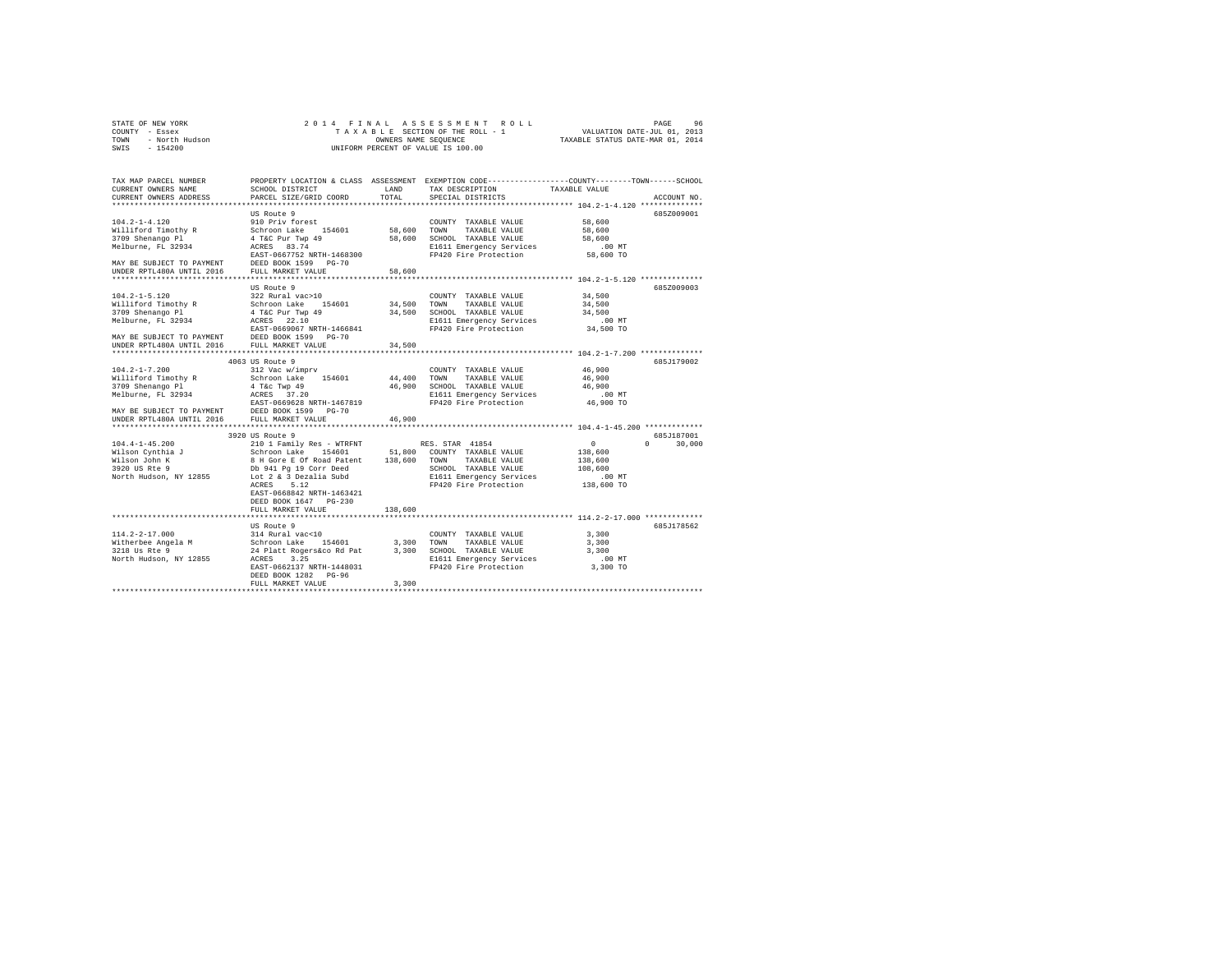|      | STATE OF NEW YORK |  |  |  | 2014 FINAL ASSESSMENT ROLL         |  |  |  |  |  |  |                                  |  | PAGE | 96 |
|------|-------------------|--|--|--|------------------------------------|--|--|--|--|--|--|----------------------------------|--|------|----|
|      | COUNTY - Essex    |  |  |  | TAXABLE SECTION OF THE ROLL - 1    |  |  |  |  |  |  | VALUATION DATE-JUL 01, 2013      |  |      |    |
| TOWN | - North Hudson    |  |  |  | OWNERS NAME SEOUENCE               |  |  |  |  |  |  | TAXABLE STATUS DATE-MAR 01, 2014 |  |      |    |
| SWIS | - 154200          |  |  |  | UNIFORM PERCENT OF VALUE IS 100.00 |  |  |  |  |  |  |                                  |  |      |    |
|      |                   |  |  |  |                                    |  |  |  |  |  |  |                                  |  |      |    |

| TAX MAP PARCEL NUMBER<br>CURRENT OWNERS NAME                                                                                               | SCHOOL DISTRICT                                                                                                                                                                                                                       | LAND        | PROPERTY LOCATION & CLASS ASSESSMENT EXEMPTION CODE-----------------COUNTY-------TOWN------SCHOOL<br>TAX DESCRIPTION | TAXABLE VALUE                               |               |
|--------------------------------------------------------------------------------------------------------------------------------------------|---------------------------------------------------------------------------------------------------------------------------------------------------------------------------------------------------------------------------------------|-------------|----------------------------------------------------------------------------------------------------------------------|---------------------------------------------|---------------|
| CURRENT OWNERS ADDRESS                                                                                                                     | PARCEL SIZE/GRID COORD                                                                                                                                                                                                                | TOTAL       | SPECIAL DISTRICTS                                                                                                    |                                             | ACCOUNT NO.   |
|                                                                                                                                            | US Route 9                                                                                                                                                                                                                            |             |                                                                                                                      |                                             | 6852009001    |
| $104.2 - 1 - 4.120$                                                                                                                        | 910 Priv forest                                                                                                                                                                                                                       |             | COUNTY TAXABLE VALUE                                                                                                 | 58,600                                      |               |
| Williford Timothy R                                                                                                                        | Schroon Lake 154601                                                                                                                                                                                                                   |             | 58,600 TOWN TAXABLE VALUE                                                                                            | 58,600                                      |               |
| 3709 Shenango Pl                                                                                                                           |                                                                                                                                                                                                                                       |             | 58,600 SCHOOL TAXABLE VALUE                                                                                          | 58,600                                      |               |
| Melburne, FL 32934                                                                                                                         | 4 T&C Pur Twp 49<br>ACRES 83.74                                                                                                                                                                                                       |             | E1611 Emergency Services                                                                                             | .00 MT                                      |               |
|                                                                                                                                            | EAST-0667752 NRTH-1468300                                                                                                                                                                                                             |             | FP420 Fire Protection                                                                                                | 58,600 TO                                   |               |
|                                                                                                                                            |                                                                                                                                                                                                                                       |             |                                                                                                                      |                                             |               |
|                                                                                                                                            |                                                                                                                                                                                                                                       | 58,600      |                                                                                                                      |                                             |               |
|                                                                                                                                            |                                                                                                                                                                                                                                       |             |                                                                                                                      |                                             |               |
|                                                                                                                                            | US Route 9                                                                                                                                                                                                                            |             |                                                                                                                      |                                             | 685Z009003    |
| $104.2 - 1 - 5.120$                                                                                                                        | 322 Rural vac>10                                                                                                                                                                                                                      |             | COUNTY TAXABLE VALUE                                                                                                 | 34,500                                      |               |
| Williford Timothy R                                                                                                                        |                                                                                                                                                                                                                                       | 34,500 TOWN | TAXABLE VALUE                                                                                                        | 34,500                                      |               |
| 3709 Shenango Pl                                                                                                                           | Schroon Lake 154601<br>4 T&C Pur Twp 49                                                                                                                                                                                               |             | 34,500 SCHOOL TAXABLE VALUE                                                                                          | 34,500                                      |               |
| Melburne, FL 32934                                                                                                                         | ACRES 22.10                                                                                                                                                                                                                           |             | E1611 Emergency Services<br>FP420 Fire Protection                                                                    | $.00$ MT                                    |               |
|                                                                                                                                            | EAST-0669067 NRTH-1466841                                                                                                                                                                                                             |             |                                                                                                                      | 34,500 TO                                   |               |
| MAY BE SUBJECT TO PAYMENT                                                                                                                  | DEED BOOK 1599 PG-70                                                                                                                                                                                                                  |             |                                                                                                                      |                                             |               |
| UNDER RPTL480A UNTIL 2016                                                                                                                  | FULL MARKET VALUE                                                                                                                                                                                                                     | 34,500      |                                                                                                                      |                                             |               |
|                                                                                                                                            | ***************************                                                                                                                                                                                                           |             |                                                                                                                      | *************** 104.2-1-7.200 ************* |               |
|                                                                                                                                            | 4063 US Route 9                                                                                                                                                                                                                       |             |                                                                                                                      |                                             | 685J179002    |
| $104.2 - 1 - 7.200$                                                                                                                        | 312 Vac w/imprv                                                                                                                                                                                                                       |             | COUNTY TAXABLE VALUE                                                                                                 | 46,900                                      |               |
|                                                                                                                                            |                                                                                                                                                                                                                                       |             | 44,400 TOWN TAXABLE VALUE                                                                                            | 46,900                                      |               |
| Williford Timothy R Schroon Lake 154601<br>3709 Shenango P1 4 4 T&c Twp 49<br>Melburne, FL 32934 ACRES 37.20                               |                                                                                                                                                                                                                                       |             | 46,900 SCHOOL TAXABLE VALUE                                                                                          | 46,900                                      |               |
| Melburne, FL 32934                                                                                                                         |                                                                                                                                                                                                                                       |             | E1611 Emergency Services                                                                                             | $.00$ MT<br>46,900 TO                       |               |
|                                                                                                                                            |                                                                                                                                                                                                                                       |             | FP420 Fire Protection                                                                                                |                                             |               |
| Melburne, FL 32934<br>Melburne, FL 32934<br>MAY BE SUBJECT TO PAYMENT DESED BOOK 1599 PG-70<br>TWDER RPTL480A UNTIL 2016 FULL MARKET VALUE |                                                                                                                                                                                                                                       |             |                                                                                                                      |                                             |               |
|                                                                                                                                            |                                                                                                                                                                                                                                       | 46,900      |                                                                                                                      |                                             |               |
|                                                                                                                                            | 3920 US Route 9                                                                                                                                                                                                                       |             |                                                                                                                      |                                             | 685J187001    |
| $104.4 - 1 - 45.200$                                                                                                                       | 210 1 Family Res - WTRFNT                                                                                                                                                                                                             |             | RES. STAR 41854                                                                                                      | $\sim$ 0                                    | $0 \t 30.000$ |
| Wilson Cynthia J                                                                                                                           |                                                                                                                                                                                                                                       |             |                                                                                                                      | 138,600                                     |               |
| Wilson John K                                                                                                                              |                                                                                                                                                                                                                                       |             |                                                                                                                      | 138,600                                     |               |
| 3920 US Rte 9                                                                                                                              |                                                                                                                                                                                                                                       |             | SCHOOL TAXABLE VALUE                                                                                                 | 108,600                                     |               |
| North Hudson, NY 12855                                                                                                                     | Control Diane - Diane - School COUNTY TAXABLE VALUE<br>8 H Gore E of Road Patent 138,600 TOWN TAXABLE VALUE<br>2 Db 941 Pg 19 Corr Deed SCHOOL TAXABLE VALUE<br>Db 941 Pg 19 Corr Deed SCHOOL TAXABLE VALUE<br>Lot 2 & 3 Dezalia Subd |             | E1611 Emergency Services                                                                                             | $.00$ MT                                    |               |
|                                                                                                                                            | ACRES 5.12                                                                                                                                                                                                                            |             | FP420 Fire Protection                                                                                                | 138,600 TO                                  |               |
|                                                                                                                                            | EAST-0668842 NRTH-1463421                                                                                                                                                                                                             |             |                                                                                                                      |                                             |               |
|                                                                                                                                            | DEED BOOK 1647 PG-230                                                                                                                                                                                                                 |             |                                                                                                                      |                                             |               |
|                                                                                                                                            | FULL MARKET VALUE                                                                                                                                                                                                                     | 138,600     |                                                                                                                      |                                             |               |
|                                                                                                                                            |                                                                                                                                                                                                                                       |             |                                                                                                                      |                                             |               |
|                                                                                                                                            | US Route 9                                                                                                                                                                                                                            |             |                                                                                                                      |                                             | 685J178562    |
| $114.2 - 2 - 17.000$                                                                                                                       | 314 Rural vac<10                                                                                                                                                                                                                      |             | COUNTY TAXABLE VALUE                                                                                                 | 3,300                                       |               |
| extra 2008 and the Schroon Lake 154601 3,300 TOWN<br>Mitherbee Angela M Schroon Lake 154601 3,300 TOWN                                     |                                                                                                                                                                                                                                       |             | TAXABLE VALUE                                                                                                        | 3,300                                       |               |
|                                                                                                                                            | 24 Platt Rogers&co Rd Pat                                                                                                                                                                                                             |             | 3,300 SCHOOL TAXABLE VALUE                                                                                           | 3,300                                       |               |
| North Hudson, NY 12855 ACRES 3.25                                                                                                          |                                                                                                                                                                                                                                       |             | E1611 Emergency Services                                                                                             | $.00$ MT                                    |               |
|                                                                                                                                            | EAST-0662137 NRTH-1448031                                                                                                                                                                                                             |             | FP420 Fire Protection                                                                                                | 3,300 TO                                    |               |
|                                                                                                                                            | DEED BOOK 1282 PG-96                                                                                                                                                                                                                  | 3,300       |                                                                                                                      |                                             |               |
|                                                                                                                                            | FULL MARKET VALUE                                                                                                                                                                                                                     |             |                                                                                                                      |                                             |               |
|                                                                                                                                            |                                                                                                                                                                                                                                       |             |                                                                                                                      |                                             |               |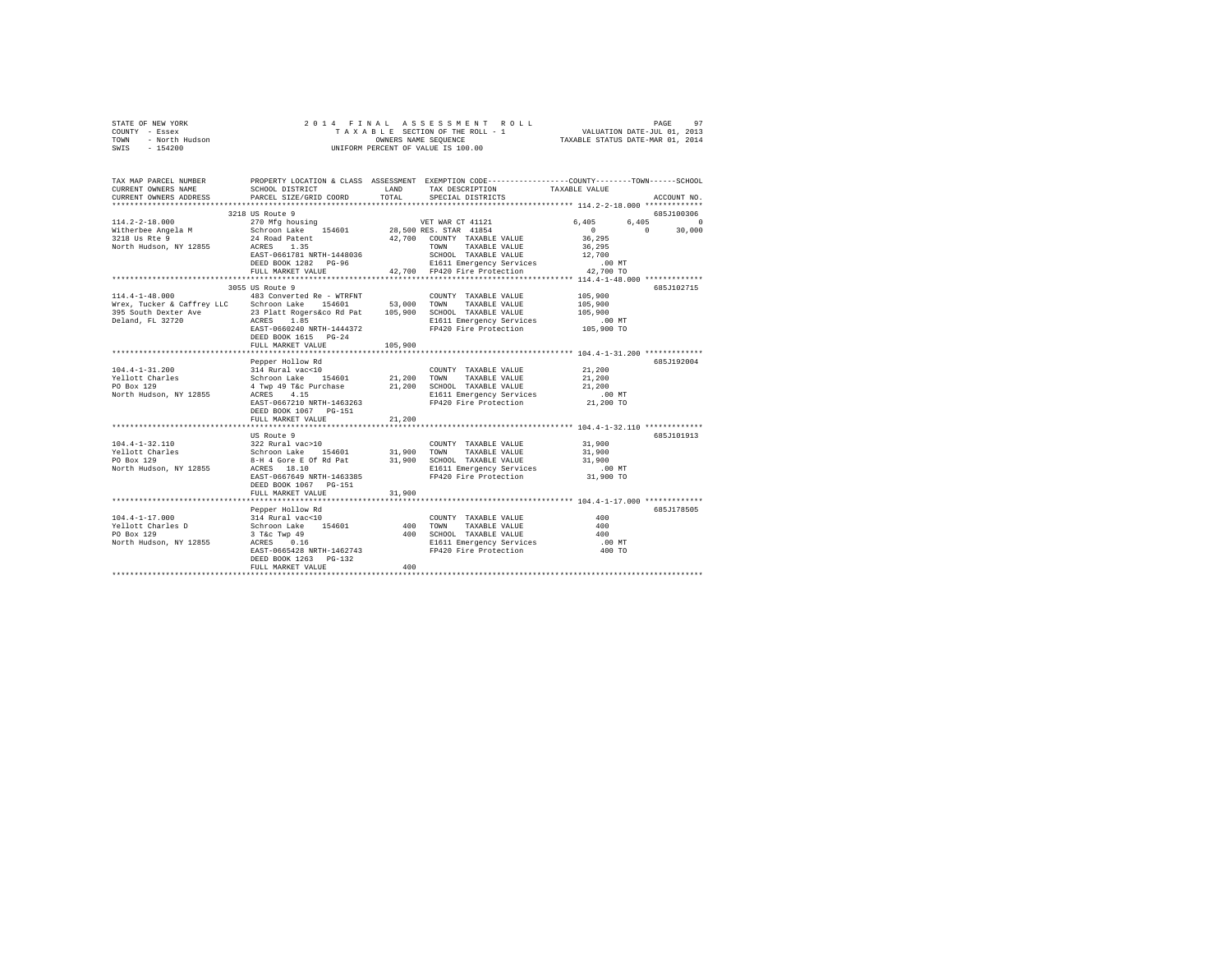|                | STATE OF NEW YORK |  |  |  |  |                                    |  |  |  | 2014 FINAL ASSESSMENT ROLL |                                  |                             |  | PAGE | 97 |
|----------------|-------------------|--|--|--|--|------------------------------------|--|--|--|----------------------------|----------------------------------|-----------------------------|--|------|----|
| COUNTY - Essex |                   |  |  |  |  | TAXABLE SECTION OF THE ROLL - 1    |  |  |  |                            |                                  | VALUATION DATE-JUL 01, 2013 |  |      |    |
| TOWN           | - North Hudson    |  |  |  |  | OWNERS NAME SEOUENCE               |  |  |  |                            | TAXABLE STATUS DATE-MAR 01, 2014 |                             |  |      |    |
| SWIS           | - 154200          |  |  |  |  | UNIFORM PERCENT OF VALUE IS 100.00 |  |  |  |                            |                                  |                             |  |      |    |

| TAX MAP PARCEL NUMBER                                                                                                                                                                                                          |                                                                                                                                                                                                                                                                                                                                                                                                                |              | PROPERTY LOCATION & CLASS ASSESSMENT EXEMPTION CODE----------------COUNTY-------TOWN-----SCHOOL |                                        |                                     |
|--------------------------------------------------------------------------------------------------------------------------------------------------------------------------------------------------------------------------------|----------------------------------------------------------------------------------------------------------------------------------------------------------------------------------------------------------------------------------------------------------------------------------------------------------------------------------------------------------------------------------------------------------------|--------------|-------------------------------------------------------------------------------------------------|----------------------------------------|-------------------------------------|
| CURRENT OWNERS NAME                                                                                                                                                                                                            | SCHOOL DISTRICT                                                                                                                                                                                                                                                                                                                                                                                                | LAND         | TAX DESCRIPTION TAXABLE VALUE                                                                   |                                        |                                     |
| CURRENT OWNERS ADDRESS                                                                                                                                                                                                         | PARCEL SIZE/GRID COORD                                                                                                                                                                                                                                                                                                                                                                                         | TOTAL        | SPECIAL DISTRICTS                                                                               |                                        | ACCOUNT NO.                         |
|                                                                                                                                                                                                                                |                                                                                                                                                                                                                                                                                                                                                                                                                |              |                                                                                                 |                                        |                                     |
|                                                                                                                                                                                                                                | 3218 US Route 9                                                                                                                                                                                                                                                                                                                                                                                                |              |                                                                                                 |                                        | 685J100306                          |
| 114.2-2-18.000 270 Mfg housing VET WAR CT 41121<br>Witherbee Angela M Schroon Lake 154601 28,500 RES. STAR 41854                                                                                                               |                                                                                                                                                                                                                                                                                                                                                                                                                |              |                                                                                                 | 6.405                                  | 6,405<br>$\Omega$<br>$\overline{0}$ |
|                                                                                                                                                                                                                                |                                                                                                                                                                                                                                                                                                                                                                                                                |              |                                                                                                 | $\begin{array}{c}0\\36,295\end{array}$ | 30,000                              |
| 3218 Us Rte 9<br>3218 Us Rte 9<br>North Hudson, NY 12855 ACRES 1.35                                                                                                                                                            |                                                                                                                                                                                                                                                                                                                                                                                                                |              | 42,700 COUNTY TAXABLE VALUE                                                                     |                                        |                                     |
|                                                                                                                                                                                                                                |                                                                                                                                                                                                                                                                                                                                                                                                                |              | TAXABLE VALUE<br>TOWN                                                                           | 36,295                                 |                                     |
|                                                                                                                                                                                                                                | EAST-0661781 NRTH-1448036                                                                                                                                                                                                                                                                                                                                                                                      |              |                                                                                                 |                                        |                                     |
|                                                                                                                                                                                                                                | DEED BOOK 1282 PG-96                                                                                                                                                                                                                                                                                                                                                                                           |              |                                                                                                 |                                        |                                     |
|                                                                                                                                                                                                                                | FULL MARKET VALUE                                                                                                                                                                                                                                                                                                                                                                                              |              |                                                                                                 |                                        |                                     |
|                                                                                                                                                                                                                                | 3055 US Route 9                                                                                                                                                                                                                                                                                                                                                                                                |              |                                                                                                 |                                        | 685J102715                          |
|                                                                                                                                                                                                                                |                                                                                                                                                                                                                                                                                                                                                                                                                |              |                                                                                                 |                                        |                                     |
| 114.4-1-48.000 483 Converted Re - WTRFNT                                                                                                                                                                                       |                                                                                                                                                                                                                                                                                                                                                                                                                |              | COUNTY TAXABLE VALUE 105,900                                                                    |                                        |                                     |
|                                                                                                                                                                                                                                |                                                                                                                                                                                                                                                                                                                                                                                                                |              |                                                                                                 | 105,900<br>105,900                     |                                     |
|                                                                                                                                                                                                                                |                                                                                                                                                                                                                                                                                                                                                                                                                |              |                                                                                                 |                                        |                                     |
| WERE THE SCRIPT OF THE MANUSCRIPT OF THE SALE OF THE SCRIPT OF THE SCRIPT OF THE SCRIPT OF THE SCRIPT OF THE SCRIPT OF THE SCRIPT OF THE SCRIPT OF THE SCRIPT OF THE SCRIPT OF THE SCRIPT OF THE SCRIPT OF THE SCRIPT OF THE S |                                                                                                                                                                                                                                                                                                                                                                                                                |              | E1611 Emergency Services .00 MT<br>FP420 Fire Protection .05,900 TO                             |                                        |                                     |
|                                                                                                                                                                                                                                |                                                                                                                                                                                                                                                                                                                                                                                                                |              |                                                                                                 |                                        |                                     |
|                                                                                                                                                                                                                                | DEED BOOK 1615 PG-24                                                                                                                                                                                                                                                                                                                                                                                           |              |                                                                                                 |                                        |                                     |
|                                                                                                                                                                                                                                | FULL MARKET VALUE                                                                                                                                                                                                                                                                                                                                                                                              | 105,900<br>. | ************************************ 104.4-1-31.200 **************                              |                                        |                                     |
|                                                                                                                                                                                                                                |                                                                                                                                                                                                                                                                                                                                                                                                                |              |                                                                                                 |                                        |                                     |
|                                                                                                                                                                                                                                | Pepper Hollow Rd                                                                                                                                                                                                                                                                                                                                                                                               |              |                                                                                                 |                                        | 685J192004                          |
| $104.4 - 1 - 31.200$                                                                                                                                                                                                           |                                                                                                                                                                                                                                                                                                                                                                                                                |              |                                                                                                 |                                        |                                     |
| Yellott Charles                                                                                                                                                                                                                | $\begin{tabular}{lcccc} 314 \texttt{Rural vac10} & & \texttt{COUNT TAXABLE VALUE} & 21,200 \\ \texttt{Schron Lake} & 154601 & 21,200 & \texttt{TONNT XAABLE VALUE} & 21,200 \\ \texttt{4 Type 4 Pice Purchase} & 21,200 & \texttt{SCHODL TAXABLE VALUE} & 21,200 \\ \texttt{ACRES} & 4.15 & 200 & \texttt{SCHODL TAXABLE VALUE} & 200 \\ \texttt{ACRES} & 4.15 & 0.0 & \texttt{MT BME} & 200 \\ \end{tabular}$ |              |                                                                                                 |                                        |                                     |
| PO Box 129                                                                                                                                                                                                                     |                                                                                                                                                                                                                                                                                                                                                                                                                |              |                                                                                                 |                                        |                                     |
| North Hudson, NY 12855                                                                                                                                                                                                         |                                                                                                                                                                                                                                                                                                                                                                                                                |              |                                                                                                 |                                        |                                     |
|                                                                                                                                                                                                                                | EAST-0667210 NRTH-1463263                                                                                                                                                                                                                                                                                                                                                                                      |              | FP420 Fire Protection 21,200 TO                                                                 |                                        |                                     |
|                                                                                                                                                                                                                                | DEED BOOK 1067 PG-151                                                                                                                                                                                                                                                                                                                                                                                          |              |                                                                                                 |                                        |                                     |
|                                                                                                                                                                                                                                | FULL MARKET VALUE                                                                                                                                                                                                                                                                                                                                                                                              | 21,200       |                                                                                                 |                                        |                                     |
|                                                                                                                                                                                                                                |                                                                                                                                                                                                                                                                                                                                                                                                                |              |                                                                                                 |                                        |                                     |
|                                                                                                                                                                                                                                | US Route 9                                                                                                                                                                                                                                                                                                                                                                                                     |              |                                                                                                 |                                        | 685J101913                          |
|                                                                                                                                                                                                                                |                                                                                                                                                                                                                                                                                                                                                                                                                |              | COUNTY TAXABLE VALUE                                                                            | 31,900                                 |                                     |
|                                                                                                                                                                                                                                |                                                                                                                                                                                                                                                                                                                                                                                                                |              | TAXABLE VALUE                                                                                   | 31,900                                 |                                     |
| PO Box 129                                                                                                                                                                                                                     |                                                                                                                                                                                                                                                                                                                                                                                                                |              |                                                                                                 |                                        |                                     |
| North Hudson, NY 12855 ACRES 18.10                                                                                                                                                                                             |                                                                                                                                                                                                                                                                                                                                                                                                                |              |                                                                                                 |                                        |                                     |
|                                                                                                                                                                                                                                | EAST-0667649 NRTH-1463385                                                                                                                                                                                                                                                                                                                                                                                      |              | FP420 Fire Protection                                                                           | 31,900 TO                              |                                     |
|                                                                                                                                                                                                                                | DEED BOOK 1067 PG-151                                                                                                                                                                                                                                                                                                                                                                                          |              |                                                                                                 |                                        |                                     |
|                                                                                                                                                                                                                                | FULL MARKET VALUE                                                                                                                                                                                                                                                                                                                                                                                              | 31,900       |                                                                                                 |                                        |                                     |
|                                                                                                                                                                                                                                |                                                                                                                                                                                                                                                                                                                                                                                                                |              |                                                                                                 |                                        |                                     |
|                                                                                                                                                                                                                                | Pepper Hollow Rd                                                                                                                                                                                                                                                                                                                                                                                               |              |                                                                                                 |                                        | 685J178505                          |
|                                                                                                                                                                                                                                |                                                                                                                                                                                                                                                                                                                                                                                                                |              | COUNTY TAXABLE VALUE                                                                            | 400                                    |                                     |
|                                                                                                                                                                                                                                |                                                                                                                                                                                                                                                                                                                                                                                                                |              | 400 TOWN TAXABLE VALUE<br>400 SCHOOL TAXABLE VALUE                                              | 400                                    |                                     |
|                                                                                                                                                                                                                                |                                                                                                                                                                                                                                                                                                                                                                                                                |              |                                                                                                 | 400                                    |                                     |
| North Hudson, NY 12855 ACRES 0.16                                                                                                                                                                                              |                                                                                                                                                                                                                                                                                                                                                                                                                |              | E1611 Emergency Services                                                                        | .00 MT                                 |                                     |
|                                                                                                                                                                                                                                | EAST-0665428 NRTH-1462743                                                                                                                                                                                                                                                                                                                                                                                      |              | FP420 Fire Protection                                                                           | 400 TO                                 |                                     |
|                                                                                                                                                                                                                                | DEED BOOK 1263 PG-132                                                                                                                                                                                                                                                                                                                                                                                          |              |                                                                                                 |                                        |                                     |
|                                                                                                                                                                                                                                | FULL MARKET VALUE                                                                                                                                                                                                                                                                                                                                                                                              | 400          |                                                                                                 |                                        |                                     |
|                                                                                                                                                                                                                                |                                                                                                                                                                                                                                                                                                                                                                                                                |              |                                                                                                 |                                        |                                     |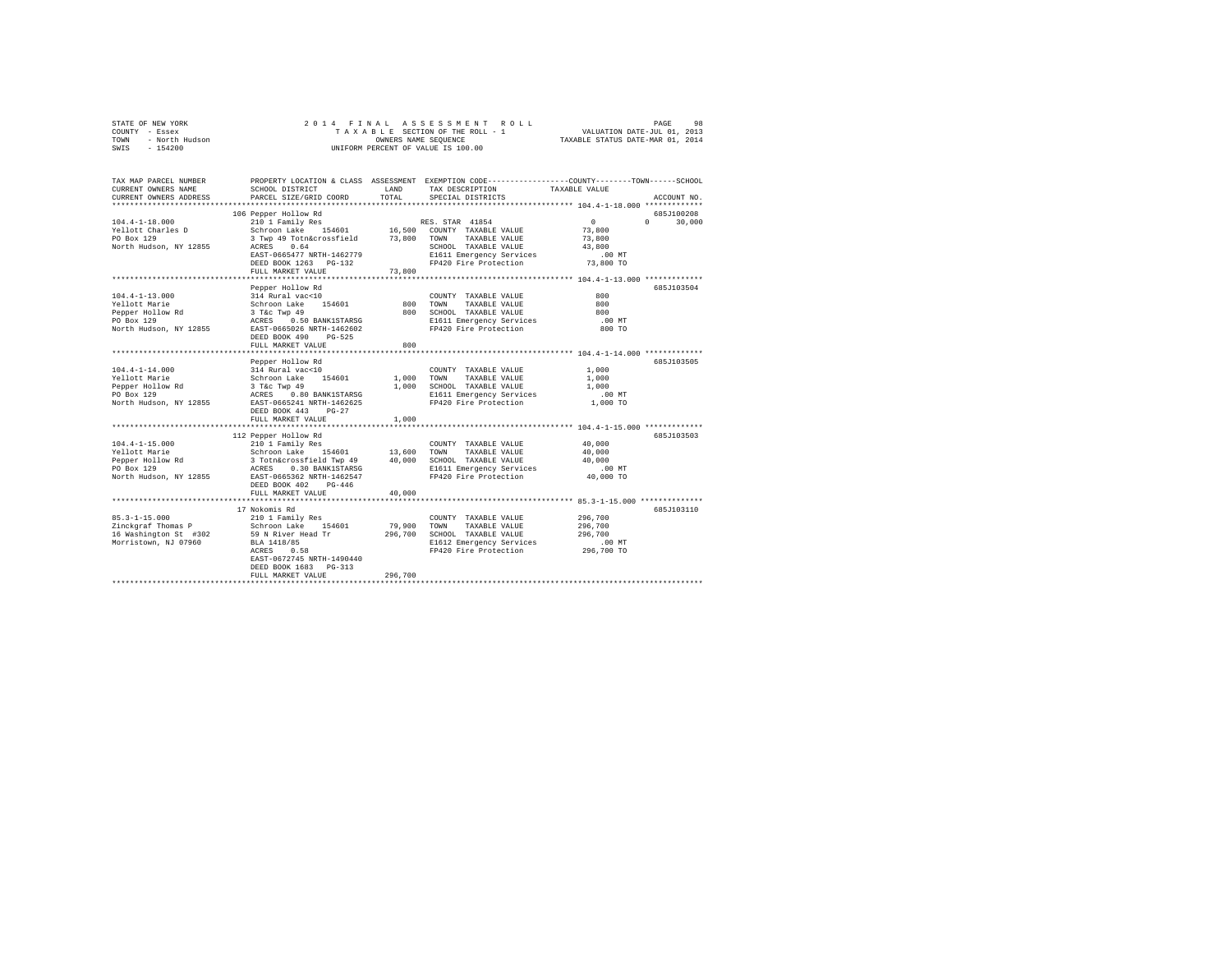| STATE OF NEW YORK<br>COUNTY<br>$-$ Essex<br>- North Hudson<br>TOWN<br>$-154200$<br>SWIS                 |                                                                                   |               | 2014 FINAL ASSESSMENT ROLL<br>OWNERS NAME SEQUENCE<br>UNIFORM PERCENT OF VALUE IS 100.00 | 98<br>PAGE<br>TAXABLE SECTION OF THE ROLL - 1 WALUATION DATE-JUL 01, 2013<br>TAXABLE STATUS DATE-MAR 01, 2014 |
|---------------------------------------------------------------------------------------------------------|-----------------------------------------------------------------------------------|---------------|------------------------------------------------------------------------------------------|---------------------------------------------------------------------------------------------------------------|
| TAX MAP PARCEL NUMBER<br>CURRENT OWNERS NAME<br>CURRENT OWNERS ADDRESS<br>***************************** | PROPERTY LOCATION & CLASS ASSESSMENT<br>SCHOOL DISTRICT<br>PARCEL SIZE/GRID COORD | LAND<br>TOTAL | TAX DESCRIPTION<br>SPECIAL DISTRICTS                                                     | EXEMPTION CODE-----------------COUNTY-------TOWN------SCHOOL<br>TAXABLE VALUE<br>ACCOUNT NO.                  |
|                                                                                                         | 106 Pepper Hollow Rd                                                              |               |                                                                                          | 685J100208                                                                                                    |
| $104.4 - 1 - 18.000$                                                                                    | 210 1 Family Res                                                                  |               | RES. STAR 41854                                                                          | $^{\circ}$<br>30,000<br>$\mathbf{r}$                                                                          |
| Yellott Charles D                                                                                       | Schroon Lake 154601 16,500                                                        |               | COUNTY TAXABLE VALUE                                                                     | 73,800                                                                                                        |
| PO Box 129                                                                                              | 3 Twp 49 Totn&crossfield                                                          | 73,800        | TAXABLE VALUE<br>TOWN                                                                    | 73,800                                                                                                        |
| North Hudson, NY 12855                                                                                  | ACRES 0.64                                                                        |               | SCHOOL<br>TAXABLE VALUE                                                                  | 43,800                                                                                                        |
|                                                                                                         | EAST-0665477 NRTH-1462779                                                         |               | E1611 Emergency Services                                                                 | .00MT                                                                                                         |
|                                                                                                         | DEED BOOK 1263 PG-132                                                             |               | FP420 Fire Protection                                                                    | 73,800 TO                                                                                                     |
|                                                                                                         | FULL MARKET VALUE                                                                 | 73,800        |                                                                                          |                                                                                                               |
|                                                                                                         |                                                                                   |               |                                                                                          | 685J103504                                                                                                    |
| $104.4 - 1 - 13.000$                                                                                    | Pepper Hollow Rd<br>314 Rural vac<10                                              |               | COUNTY<br>TAXABLE VALUE                                                                  | 800                                                                                                           |

| Yellott Marie              | Schroon Lake<br>154601                                          | 800     | TAXABLE VALUE<br>TOWN                                           | 800       |            |
|----------------------------|-----------------------------------------------------------------|---------|-----------------------------------------------------------------|-----------|------------|
| Pepper Hollow Rd           | 3 T&C Twp 49                                                    | 800     | SCHOOL TAXABLE VALUE                                            | 800       |            |
| PO Box 129<br><b>ACRES</b> | 0.50 BANK1STARSG                                                |         | E1611 Emergency Services .00 MT<br>FP420 Fire Protection 800 TO |           |            |
| North Hudson, NY 12855     | EAST-0665026 NRTH-1462602                                       |         |                                                                 |           |            |
|                            | DEED BOOK 490<br>$PG-525$<br>FULL MARKET VALUE                  | 800     |                                                                 |           |            |
|                            |                                                                 |         |                                                                 |           |            |
|                            | Pepper Hollow Rd                                                |         |                                                                 |           | 685J103505 |
| 104.4-1-14.000             | 314 Rural vac<10                                                |         | COUNTY TAXABLE VALUE                                            | 1,000     |            |
| Yellott Marie              | Schroon Lake 154601 1,000 TOWN                                  |         | TAXABLE VALUE                                                   | 1,000     |            |
|                            | Pepper Hollow Rd 3 T&c Twp 49                                   | 1,000   | SCHOOL TAXABLE VALUE                                            | 1,000     |            |
| PO Box 129                 | ACRES 0.80 BANK1STARSG                                          |         | E1611 Emergency Services                                        | .00 MT    |            |
|                            | North Hudson, NY 12855 EAST-0665241 NRTH-1462625                |         | FP420 Fire Protection                                           | 1,000 TO  |            |
|                            | DEED BOOK 443 PG-27                                             |         |                                                                 |           |            |
|                            | FULL MARKET VALUE                                               | 1,000   |                                                                 |           |            |
|                            |                                                                 |         |                                                                 |           |            |
|                            | 112 Pepper Hollow Rd                                            |         |                                                                 |           | 685J103503 |
| $104.4 - 1 - 15.000$       | 210 1 Family Res                                                |         | COUNTY TAXABLE VALUE                                            | 40,000    |            |
|                            | Yellott Marie 60 6 Schroon Lake 154601 13,600                   |         | TOWN<br>TAXABLE VALUE                                           | 40,000    |            |
| Pepper Hollow Rd           |                                                                 |         | SCHOOL TAXABLE VALUE                                            | 40,000    |            |
| PO Box 129                 | Rd<br>3 Toth&crossfield Twp 49 40,000<br>ACRES 0.30 BANK1STARSG |         | E1611 Emergency Services                                        | $.00$ MT  |            |
|                            | North Hudson, NY 12855 EAST-0665362 NRTH-1462547                |         | FP420 Fire Protection                                           | 40,000 TO |            |
|                            | DEED BOOK 402<br>$PG-446$                                       |         |                                                                 |           |            |
|                            | FULL MARKET VALUE                                               | 40,000  |                                                                 |           |            |
|                            |                                                                 |         |                                                                 |           |            |
|                            | 17 Nokomis Rd                                                   |         |                                                                 |           | 685J103110 |
| $85.3 - 1 - 15.000$        | 210 1 Family Res                                                |         | COUNTY TAXABLE VALUE                                            | 296,700   |            |
|                            | Zinckgraf Thomas P Schroon Lake 154601                          | 79,900  | TOWN<br>TAXABLE VALUE                                           | 296,700   |            |
|                            | 16 Washington St #302 59 N River Head Tr                        | 296,700 | SCHOOL TAXABLE VALUE                                            | 296,700   |            |
| Morristown, NJ 07960       | BLA 1418/85                                                     |         | E1612 Emergency Services .00 MT                                 |           |            |
|                            | 0.58<br>ACRES                                                   |         | FP420 Fire Protection 296,700 TO                                |           |            |
|                            | EAST-0672745 NRTH-1490440                                       |         |                                                                 |           |            |
|                            | DEED BOOK 1683 PG-313                                           |         |                                                                 |           |            |
|                            | FULL MARKET VALUE                                               | 296,700 |                                                                 |           |            |
|                            |                                                                 |         |                                                                 |           |            |
|                            |                                                                 |         |                                                                 |           |            |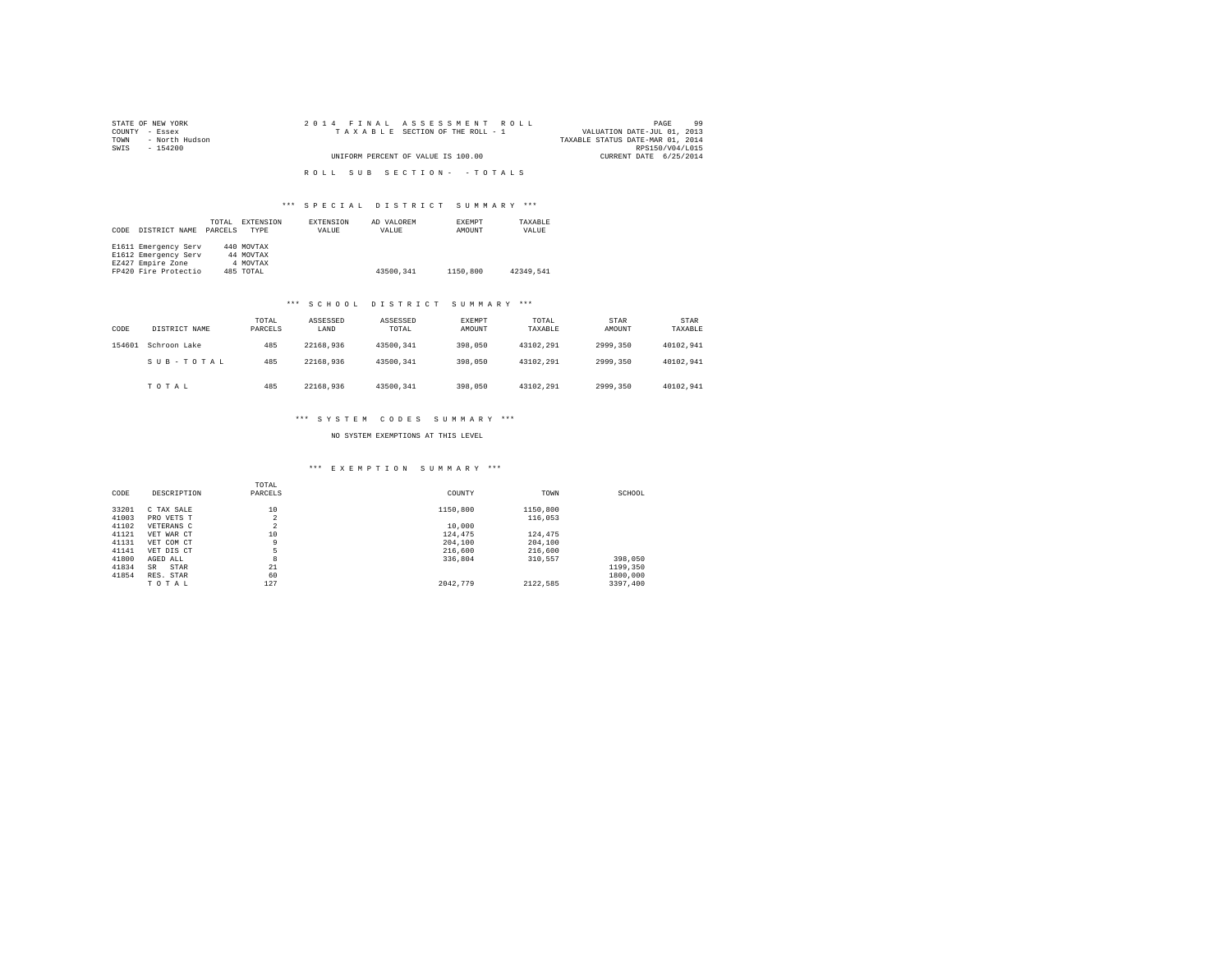| STATE OF NEW YORK   | 2014 FINAL ASSESSMENT ROLL         | 99<br>PAGE                       |
|---------------------|------------------------------------|----------------------------------|
| COUNTY - Essex      | TAXABLE SECTION OF THE ROLL - 1    | VALUATION DATE-JUL 01, 2013      |
| TOWN - North Hudson |                                    | TAXABLE STATUS DATE-MAR 01, 2014 |
| SWIS<br>- 154200    |                                    | RPS150/V04/L015                  |
|                     | UNIFORM PERCENT OF VALUE IS 100.00 | CURRENT DATE 6/25/2014           |
|                     |                                    |                                  |
|                     | ROLL SUB SECTION- - TOTALS         |                                  |

## \*\*\* S P E C I A L D I S T R I C T S U M M A R Y \*\*\*

| CODE | DISTRICT NAME        | TOTAL<br>PARCELS | EXTENSION<br>TYPE | EXTENSION<br>VALUE | AD VALOREM<br>VALUE | EXEMPT<br>AMOUNT | TAXABLE<br>VALUE |
|------|----------------------|------------------|-------------------|--------------------|---------------------|------------------|------------------|
|      | E1611 Emergency Serv |                  | 440 MOVTAX        |                    |                     |                  |                  |
|      | E1612 Emergency Serv |                  | 44 MOVTAX         |                    |                     |                  |                  |
|      | EZ427 Empire Zone    |                  | 4 MOVTAX          |                    |                     |                  |                  |
|      | FP420 Fire Protectio |                  | 485 TOTAL         |                    | 43500.341           | 1150,800         | 42349.541        |

# \*\*\* S C H O O L D I S T R I C T S U M M A R Y \*\*\*

| CODE   | DISTRICT NAME | TOTAL<br>PARCELS | ASSESSED<br>LAND | ASSESSED<br>TOTAL | EXEMPT<br>AMOUNT | TOTAL<br>TAXABLE | STAR<br>AMOUNT | <b>STAR</b><br>TAXABLE |
|--------|---------------|------------------|------------------|-------------------|------------------|------------------|----------------|------------------------|
| 154601 | Schroon Lake  | 485              | 22168.936        | 43500.341         | 398,050          | 43102.291        | 2999.350       | 40102.941              |
|        | SUB-TOTAL     | 485              | 22168.936        | 43500.341         | 398,050          | 43102.291        | 2999.350       | 40102.941              |
|        | TOTAL         | 485              | 22168.936        | 43500.341         | 398,050          | 43102.291        | 2999.350       | 40102.941              |

## \*\*\* S Y S T E M C O D E S S U M M A R Y \*\*\*

### NO SYSTEM EXEMPTIONS AT THIS LEVEL

# \*\*\* E X E M P T I O N S U M M A R Y \*\*\*

| CODE  | DESCRIPTION | TOTAL<br>PARCELS | COUNTY   | TOWN     | SCHOOL   |
|-------|-------------|------------------|----------|----------|----------|
| 33201 | C TAX SALE  | 10               | 1150,800 | 1150,800 |          |
| 41003 | PRO VETS T  | $\overline{a}$   |          | 116,053  |          |
| 41102 | VETERANS C  | $\sim$<br>∠      | 10,000   |          |          |
| 41121 | VET WAR CT  | 10               | 124,475  | 124.475  |          |
| 41131 | VET COM CT  | 9                | 204,100  | 204,100  |          |
| 41141 | VET DIS CT  | 5                | 216,600  | 216,600  |          |
| 41800 | AGED ALL    | 8                | 336.804  | 310,557  | 398,050  |
| 41834 | STAR<br>SR  | 21               |          |          | 1199.350 |
| 41854 | RES. STAR   | 60               |          |          | 1800,000 |
|       | TOTAL       | 127              | 2042.779 | 2122.585 | 3397.400 |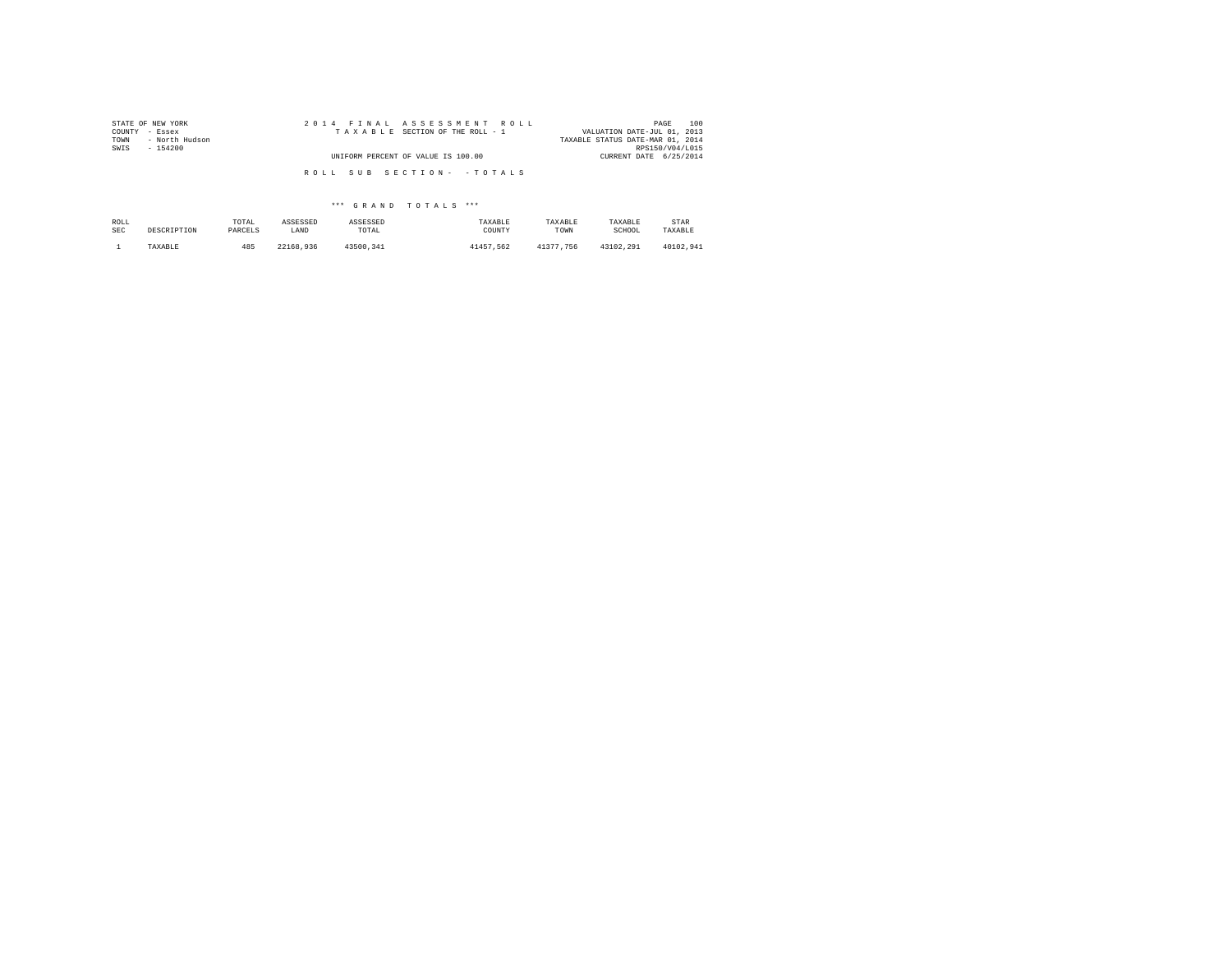| STATE OF NEW YORK<br>COUNTY - Essex | 2014 FINAL ASSESSMENT ROLL<br>TAXABLE SECTION OF THE ROLL - 1 | 100<br>PAGE<br>VALUATION DATE-JUL 01, 2013 |
|-------------------------------------|---------------------------------------------------------------|--------------------------------------------|
| - North Hudson<br>TOWN              |                                                               | TAXABLE STATUS DATE-MAR 01, 2014           |
| SWIS<br>$-154200$                   |                                                               | RPS150/V04/L015                            |
|                                     | UNIFORM PERCENT OF VALUE IS 100.00                            | CURRENT DATE 6/25/2014                     |
|                                     |                                                               |                                            |
|                                     | ROLL SUB SECTION- - TOTALS                                    |                                            |
|                                     |                                                               |                                            |

## \*\*\* G R A N D T O T A L S \*\*\*

| ROLL       | DESCRIPTION | TOTAL   | ASSESSED  | ASSESSED  | TAXABLE   | TAXABLE   | TAXABLE   | STAR      |
|------------|-------------|---------|-----------|-----------|-----------|-----------|-----------|-----------|
| <b>SEC</b> |             | PARCELS | LAND      | TOTAL     | COUNTY    | TOWN      | SCHOOL    | TAXABLE   |
|            | TAXABLE     | 485     | 22168.936 | 43500.341 | 41457.562 | 41377.756 | 43102.291 | 40102.941 |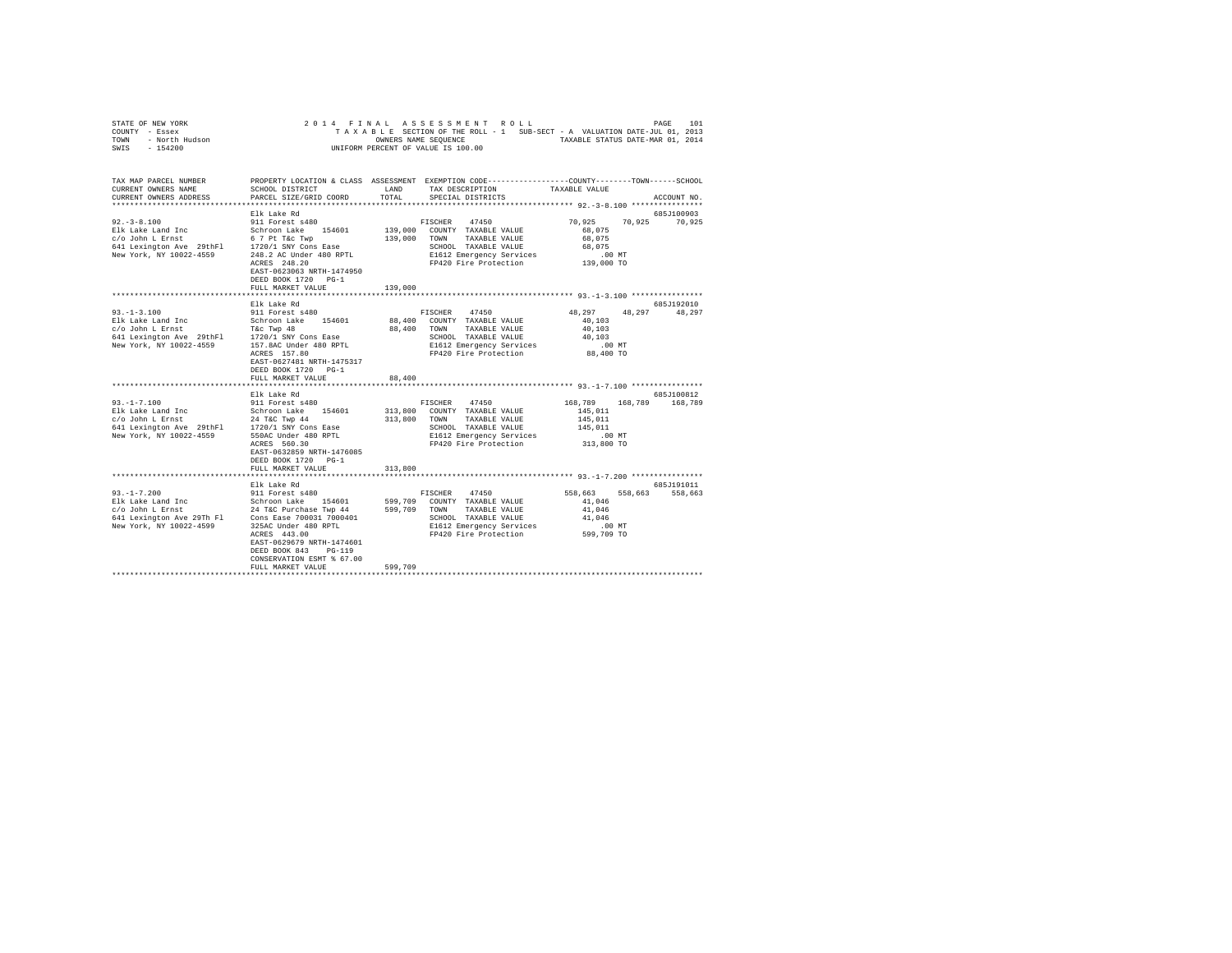|      | STATE OF NEW YORK |  |  |  | 2014 FINAL ASSESSMENT ROLL         |  |  |  |  |                                                                          | PAGE | 101 |
|------|-------------------|--|--|--|------------------------------------|--|--|--|--|--------------------------------------------------------------------------|------|-----|
|      | COUNTY - Essex    |  |  |  |                                    |  |  |  |  | TAXABLE SECTION OF THE ROLL - 1 SUB-SECT - A VALUATION DATE-JUL 01, 2013 |      |     |
| TOWN | - North Hudson    |  |  |  | OWNERS NAME SEOUENCE               |  |  |  |  | TAXABLE STATUS DATE-MAR 01, 2014                                         |      |     |
| SWIS | - 154200          |  |  |  | UNIFORM PERCENT OF VALUE IS 100.00 |  |  |  |  |                                                                          |      |     |

| TAX MAP PARCEL NUMBER                                                                                                                                                                                                                                |                                |              | PROPERTY LOCATION & CLASS ASSESSMENT EXEMPTION CODE----------------COUNTY-------TOWN-----SCHOOL |                           |             |
|------------------------------------------------------------------------------------------------------------------------------------------------------------------------------------------------------------------------------------------------------|--------------------------------|--------------|-------------------------------------------------------------------------------------------------|---------------------------|-------------|
| CURRENT OWNERS NAME                                                                                                                                                                                                                                  | SCHOOL DISTRICT                | LAND         | TAX DESCRIPTION                                                                                 | TAXABLE VALUE             |             |
| CURRENT OWNERS ADDRESS                                                                                                                                                                                                                               | PARCEL SIZE/GRID COORD         | TOTAL        | SPECIAL DISTRICTS                                                                               |                           | ACCOUNT NO. |
|                                                                                                                                                                                                                                                      |                                |              |                                                                                                 |                           |             |
|                                                                                                                                                                                                                                                      | Elk Lake Rd                    |              | FISCHER 47450                                                                                   | 70,925<br>70,925 70,925   | 685J100903  |
| 92.-3-8.100<br>EX Lake Land Inc Scheme Schroon Lake 154601<br>C/O John L Ernst Scheme 157 Pt T&C Twp<br>641 Lexington Ave 29thFl 1720/1 SWY Cons Ease<br>New York, NY 10022-4559 248.2 AC Under 480 RPTL                                             |                                |              | 139,000 COUNTY TAXABLE VALUE                                                                    | 68,075                    |             |
|                                                                                                                                                                                                                                                      |                                |              | 139,000 TOWN TAXABLE VALUE                                                                      | 68,075                    |             |
|                                                                                                                                                                                                                                                      |                                |              | SCHOOL TAXABLE VALUE                                                                            | 68,075                    |             |
|                                                                                                                                                                                                                                                      |                                |              | E1612 Emergency Services                                                                        |                           |             |
|                                                                                                                                                                                                                                                      | ACRES 248.20                   |              | E1612 Emergency Services .00 MT<br>FP420 Fire Protection .00 TO                                 |                           |             |
|                                                                                                                                                                                                                                                      | EAST-0623063 NRTH-1474950      |              |                                                                                                 |                           |             |
|                                                                                                                                                                                                                                                      | DEED BOOK 1720 PG-1            |              |                                                                                                 |                           |             |
|                                                                                                                                                                                                                                                      | FULL MARKET VALUE              | 139,000      |                                                                                                 |                           |             |
|                                                                                                                                                                                                                                                      |                                |              |                                                                                                 |                           |             |
|                                                                                                                                                                                                                                                      | Elk Lake Rd                    |              |                                                                                                 |                           | 685J192010  |
|                                                                                                                                                                                                                                                      |                                |              | FISCHER 47450                                                                                   | 48, 297 48, 297<br>48,297 |             |
|                                                                                                                                                                                                                                                      |                                |              | 88,400 COUNTY TAXABLE VALUE                                                                     | 40.103                    |             |
|                                                                                                                                                                                                                                                      |                                |              | 88,400 TOWN TAXABLE VALUE                                                                       | 40,103                    |             |
|                                                                                                                                                                                                                                                      |                                |              | SCHOOL TAXABLE VALUE                                                                            | 40,103                    |             |
|                                                                                                                                                                                                                                                      |                                |              | E1612 Emergency Services                                                                        | .00 MT                    |             |
|                                                                                                                                                                                                                                                      | ACRES 157.80                   |              | FP420 Fire Protection                                                                           | 88,400 TO                 |             |
|                                                                                                                                                                                                                                                      | EAST-0627481 NRTH-1475317      |              |                                                                                                 |                           |             |
|                                                                                                                                                                                                                                                      | DEED BOOK 1720 PG-1            |              |                                                                                                 |                           |             |
|                                                                                                                                                                                                                                                      | FULL MARKET VALUE              | 88,400       |                                                                                                 |                           |             |
|                                                                                                                                                                                                                                                      |                                |              |                                                                                                 |                           | 685J100812  |
|                                                                                                                                                                                                                                                      | Elk Lake Rd                    |              | FISCHER 47450                                                                                   | 168,789 168,789 168,789   |             |
|                                                                                                                                                                                                                                                      |                                |              | 313,800 COUNTY TAXABLE VALUE                                                                    | 145,011                   |             |
|                                                                                                                                                                                                                                                      |                                | 313,800 TOWN | TAXABLE VALUE                                                                                   | 145,011                   |             |
| 93.-1-7.100<br>Plk Lake Land Inc<br>Elk Lake Land Inc<br>C/O John L Ernst<br>24 Text Twp 44<br>24 Text Twp 44<br>24 Text Twp 44<br>New York, NY 10022-4559<br>2550ac Under 480 RPIL<br>New York, NY 10022-4559<br>20020 Mers 560 20<br>20020 Mers 66 |                                |              | SCHOOL TAXABLE VALUE                                                                            | 145,011                   |             |
|                                                                                                                                                                                                                                                      |                                |              | E1612 Emergency Services                                                                        |                           |             |
|                                                                                                                                                                                                                                                      | ACRES 560.30                   |              | FP420 Fire Protection                                                                           | .00 MT<br>313,800 TO      |             |
|                                                                                                                                                                                                                                                      | EAST-0632859 NRTH-1476085      |              |                                                                                                 |                           |             |
|                                                                                                                                                                                                                                                      | DEED BOOK 1720 PG-1            |              |                                                                                                 |                           |             |
|                                                                                                                                                                                                                                                      | FULL MARKET VALUE              | 313,800      |                                                                                                 |                           |             |
|                                                                                                                                                                                                                                                      |                                |              |                                                                                                 |                           |             |
|                                                                                                                                                                                                                                                      | Elk Lake Rd<br>911 Forest s480 |              |                                                                                                 |                           | 685J191011  |
| $93. - 1 - 7.200$                                                                                                                                                                                                                                    |                                |              | FISCHER 47450                                                                                   | 558,663 558,663 558,663   |             |
|                                                                                                                                                                                                                                                      |                                |              | 154601 599,709 COUNTY TAXABLE VALUE<br>ase Twp 44 599,709 TOWN TAXABLE VALUE                    | 41,046                    |             |
| Particular Schroon Lake 154601<br>Elk Lake Land Inc 3chroon Lake 154601<br>641 Lexington Ave 29Th Fl Cons Ease 700031 7000401                                                                                                                        |                                |              |                                                                                                 | 41,046                    |             |
|                                                                                                                                                                                                                                                      |                                |              | SCHOOL TAXABLE VALUE                                                                            | 41,046                    |             |
| New York, NY 10022-4599 325AC Under 480 RPTL                                                                                                                                                                                                         |                                |              | E1612 Emergency Services                                                                        | $.00$ MT                  |             |
|                                                                                                                                                                                                                                                      | ACRES 443.00                   |              | FP420 Fire Protection                                                                           | 599,709 TO                |             |
|                                                                                                                                                                                                                                                      | EAST-0629679 NRTH-1474601      |              |                                                                                                 |                           |             |
|                                                                                                                                                                                                                                                      | DEED BOOK 843 PG-119           |              |                                                                                                 |                           |             |
|                                                                                                                                                                                                                                                      | CONSERVATION ESMT % 67.00      |              |                                                                                                 |                           |             |
|                                                                                                                                                                                                                                                      |                                |              |                                                                                                 |                           |             |
|                                                                                                                                                                                                                                                      |                                |              |                                                                                                 |                           |             |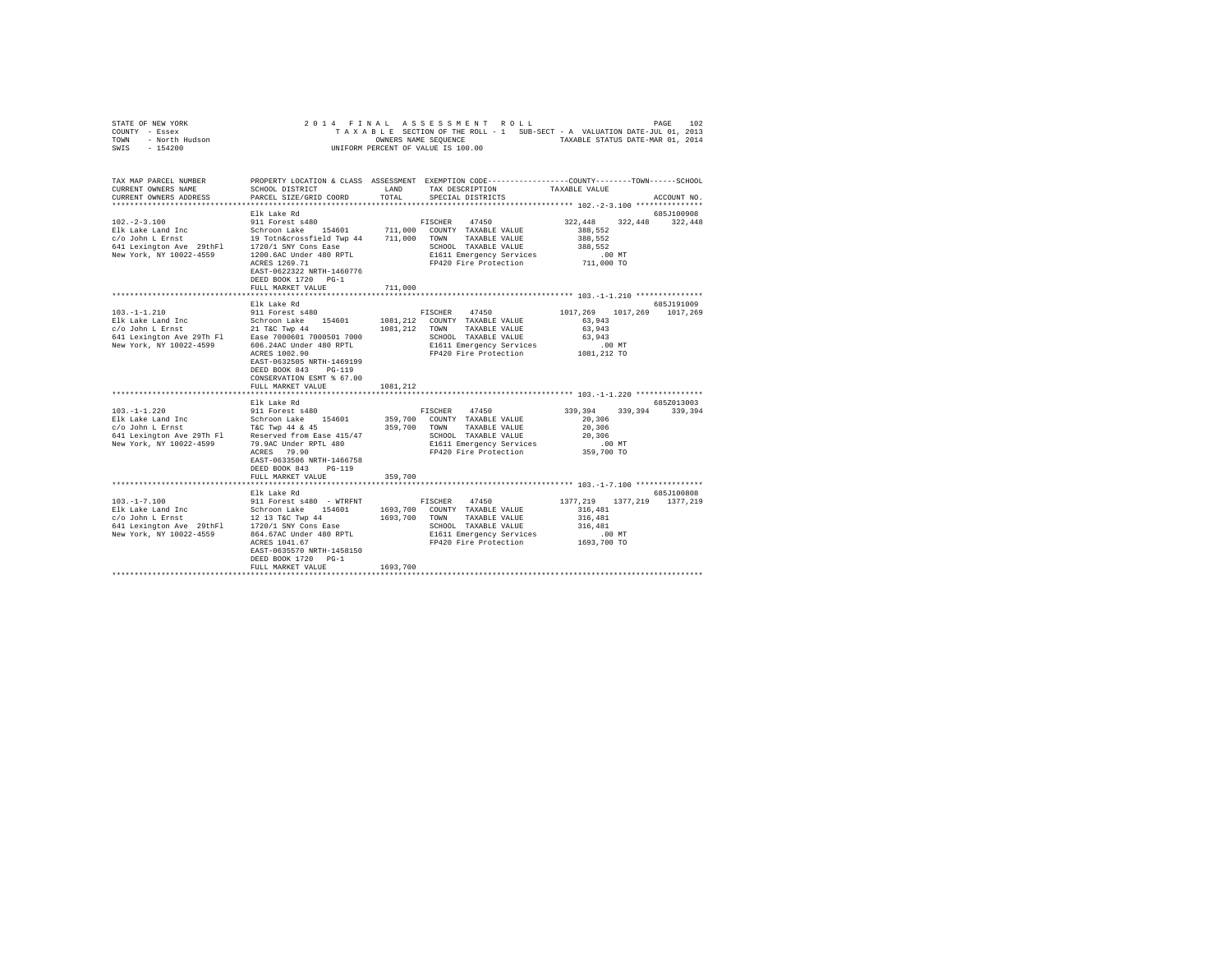|                | STATE OF NEW YORK |  | 2014 FINAL ASSESSMENT ROLL         |  |  |  |                                                                          | PAGE | 102 |
|----------------|-------------------|--|------------------------------------|--|--|--|--------------------------------------------------------------------------|------|-----|
| COUNTY - Essex |                   |  |                                    |  |  |  | TAXABLE SECTION OF THE ROLL - 1 SUB-SECT - A VALUATION DATE-JUL 01, 2013 |      |     |
| TOWN           | - North Hudson    |  | OWNERS NAME SEOUENCE               |  |  |  | TAXABLE STATUS DATE-MAR 01, 2014                                         |      |     |
| SWIS           | $-154200$         |  | UNIFORM PERCENT OF VALUE IS 100.00 |  |  |  |                                                                          |      |     |
|                |                   |  |                                    |  |  |  |                                                                          |      |     |
|                |                   |  |                                    |  |  |  |                                                                          |      |     |

| TAX MAP PARCEL NUMBER                                                                                                                                                                                                                                                                                                                                                                                                                                         |                                                     |          | PROPERTY LOCATION & CLASS ASSESSMENT EXEMPTION CODE----------------COUNTY-------TOWN-----SCHOOL |                            |             |
|---------------------------------------------------------------------------------------------------------------------------------------------------------------------------------------------------------------------------------------------------------------------------------------------------------------------------------------------------------------------------------------------------------------------------------------------------------------|-----------------------------------------------------|----------|-------------------------------------------------------------------------------------------------|----------------------------|-------------|
| CURRENT OWNERS NAME                                                                                                                                                                                                                                                                                                                                                                                                                                           | SCHOOL DISTRICT                                     |          | LAND TAX DESCRIPTION TAXABLE VALUE                                                              |                            |             |
| CURRENT OWNERS ADDRESS                                                                                                                                                                                                                                                                                                                                                                                                                                        | PARCEL SIZE/GRID COORD                              |          | TOTAL SPECIAL DISTRICTS                                                                         |                            | ACCOUNT NO. |
|                                                                                                                                                                                                                                                                                                                                                                                                                                                               |                                                     |          |                                                                                                 |                            |             |
|                                                                                                                                                                                                                                                                                                                                                                                                                                                               | Elk Lake Rd                                         |          |                                                                                                 |                            | 685J100908  |
| $102. -2 - 3.100$                                                                                                                                                                                                                                                                                                                                                                                                                                             | 911 Forest s480                                     |          | FISCHER 47450                                                                                   | 322,448<br>322,448         | 322,448     |
|                                                                                                                                                                                                                                                                                                                                                                                                                                                               |                                                     |          |                                                                                                 | 388.552                    |             |
|                                                                                                                                                                                                                                                                                                                                                                                                                                                               |                                                     |          |                                                                                                 | 388,552                    |             |
|                                                                                                                                                                                                                                                                                                                                                                                                                                                               |                                                     |          |                                                                                                 | 388,552                    |             |
| $\begin{tabular}{lcccc} E1k\ take\ Land\ Inc\ (1546) & 154601 & 154601 & 711,000 & \noindent \noalign{\vskip 1pt} \noalign{\vskip 1pt} \noalign{\vskip 1pt} \noalign{\vskip 1pt} \noalign{\vskip 1pt} \noalign{\vskip 1pt} \noalign{\vskip 1pt} \noalign{\vskip 1pt} \noalign{\vskip 1pt} \noalign{\vskip 1pt} \noalign{\vskip 1pt} \noalign{\vskip 1pt} \noalign{\vskip 1pt} \noalign{\vskip 1pt} \noalign{\vskip 1pt} \noalign{\vskip 1pt} \noalign{\vskip$ |                                                     |          | SCHOOL TAXABLE VALUE<br>E1611 Emergency Services                                                | .00 MT                     |             |
|                                                                                                                                                                                                                                                                                                                                                                                                                                                               | ACRES 1269.71                                       |          | FP420 Fire Protection                                                                           | 711,000 TO                 |             |
|                                                                                                                                                                                                                                                                                                                                                                                                                                                               | EAST-0622322 NRTH-1460776                           |          |                                                                                                 |                            |             |
|                                                                                                                                                                                                                                                                                                                                                                                                                                                               | DEED BOOK 1720 PG-1                                 |          |                                                                                                 |                            |             |
|                                                                                                                                                                                                                                                                                                                                                                                                                                                               | FULL MARKET VALUE                                   | 711,000  |                                                                                                 |                            |             |
|                                                                                                                                                                                                                                                                                                                                                                                                                                                               |                                                     |          |                                                                                                 |                            |             |
|                                                                                                                                                                                                                                                                                                                                                                                                                                                               | Elk Lake Rd                                         |          |                                                                                                 |                            | 685J191009  |
| $103. -1 - 1.210$                                                                                                                                                                                                                                                                                                                                                                                                                                             | 911 Forest s480                                     |          | FISCHER 47450                                                                                   | 1017.269 1017.269 1017.269 |             |
|                                                                                                                                                                                                                                                                                                                                                                                                                                                               |                                                     |          | 1081.212 COUNTY TAXABLE VALUE                                                                   | 63,943                     |             |
|                                                                                                                                                                                                                                                                                                                                                                                                                                                               |                                                     |          | 1081.212 TOWN TAXABLE VALUE                                                                     | 63,943                     |             |
|                                                                                                                                                                                                                                                                                                                                                                                                                                                               |                                                     |          | SCHOOL TAXABLE VALUE                                                                            | 63,943                     |             |
| New York, NY 10022-4599                                                                                                                                                                                                                                                                                                                                                                                                                                       | 606.24AC Under 480 RPTL                             |          | E1611 Emergency Services .00 MT<br>FP420 Fire Protection .001,212 TO                            |                            |             |
|                                                                                                                                                                                                                                                                                                                                                                                                                                                               | ACRES 1002.90                                       |          |                                                                                                 |                            |             |
|                                                                                                                                                                                                                                                                                                                                                                                                                                                               | EAST-0632505 NRTH-1469199                           |          |                                                                                                 |                            |             |
|                                                                                                                                                                                                                                                                                                                                                                                                                                                               | DEED BOOK 843 PG-119                                |          |                                                                                                 |                            |             |
|                                                                                                                                                                                                                                                                                                                                                                                                                                                               | CONSERVATION ESMT % 67.00                           |          |                                                                                                 |                            |             |
|                                                                                                                                                                                                                                                                                                                                                                                                                                                               | FULL MARKET VALUE                                   | 1081,212 |                                                                                                 |                            |             |
|                                                                                                                                                                                                                                                                                                                                                                                                                                                               |                                                     |          |                                                                                                 |                            |             |
|                                                                                                                                                                                                                                                                                                                                                                                                                                                               | Elk Lake Rd                                         |          |                                                                                                 |                            | 685Z013003  |
| $103. -1 - 1.220$                                                                                                                                                                                                                                                                                                                                                                                                                                             | 911 Forest s480<br>Schroon Lake 154601              |          | FISCHER 47450                                                                                   | 339,394 339,394 339,394    |             |
| Elk Lake Land Inc                                                                                                                                                                                                                                                                                                                                                                                                                                             |                                                     |          | 359,700 COUNTY TAXABLE VALUE                                                                    | 20,306                     |             |
| $c$ /o John L Ernst $T\&C$ Twp 44 & 45<br>641 Lexington Ave 29Th Fl Reserved from Ease 415/47                                                                                                                                                                                                                                                                                                                                                                 |                                                     |          | 359,700 TOWN TAXABLE VALUE                                                                      | 20,306                     |             |
| New York, NY 10022-4599                                                                                                                                                                                                                                                                                                                                                                                                                                       |                                                     |          | SCHOOL TAXABLE VALUE                                                                            | 20,306                     |             |
|                                                                                                                                                                                                                                                                                                                                                                                                                                                               | 79.9AC Under RPTL 480<br>ACRES 79.90<br>ACRES 79.90 |          | E1611 Emergency Services .00 MT<br>FP420 Fire Protection .0359,700 TO                           |                            |             |
|                                                                                                                                                                                                                                                                                                                                                                                                                                                               | EAST-0633506 NRTH-1466758                           |          |                                                                                                 |                            |             |
|                                                                                                                                                                                                                                                                                                                                                                                                                                                               | DEED BOOK 843 PG-119                                |          |                                                                                                 |                            |             |
|                                                                                                                                                                                                                                                                                                                                                                                                                                                               | FULL MARKET VALUE                                   | 359,700  |                                                                                                 |                            |             |
|                                                                                                                                                                                                                                                                                                                                                                                                                                                               |                                                     |          |                                                                                                 |                            |             |
|                                                                                                                                                                                                                                                                                                                                                                                                                                                               | Elk Lake Rd                                         |          |                                                                                                 |                            | 685J100808  |
| $103. - 1 - 7.100$                                                                                                                                                                                                                                                                                                                                                                                                                                            |                                                     |          | 911 Forest s480 - WTRFNT FISCHER 47450 1377.219 1377.219 1377.219                               |                            |             |
|                                                                                                                                                                                                                                                                                                                                                                                                                                                               | Schroon Lake 154601                                 |          | 1693,700 COUNTY TAXABLE VALUE                                                                   | 316,481                    |             |
| Elk Lake Land Inc<br>c/o John L Ernst                                                                                                                                                                                                                                                                                                                                                                                                                         | 12 13 T&C Twp 44                                    |          | 1693,700 TOWN TAXABLE VALUE                                                                     | 316,481                    |             |
| 641 Lexington Ave 29thFl 1720/1 SNY Cons Ease                                                                                                                                                                                                                                                                                                                                                                                                                 |                                                     |          |                                                                                                 |                            |             |
| New York, NY 10022-4559                                                                                                                                                                                                                                                                                                                                                                                                                                       | 864.67AC Under 480 RPTL                             |          | SCHOOL TAXABLE VALUE 316,481<br>E1611 Emergency Services .00                                    | $.00$ MT                   |             |
|                                                                                                                                                                                                                                                                                                                                                                                                                                                               | ACRES 1041.67                                       |          | FP420 Fire Protection 1693,700 TO                                                               |                            |             |
|                                                                                                                                                                                                                                                                                                                                                                                                                                                               | EAST-0635570 NRTH-1458150                           |          |                                                                                                 |                            |             |
|                                                                                                                                                                                                                                                                                                                                                                                                                                                               | DEED BOOK 1720 PG-1                                 |          |                                                                                                 |                            |             |
|                                                                                                                                                                                                                                                                                                                                                                                                                                                               | FULL MARKET VALUE                                   | 1693,700 |                                                                                                 |                            |             |
|                                                                                                                                                                                                                                                                                                                                                                                                                                                               |                                                     |          |                                                                                                 |                            |             |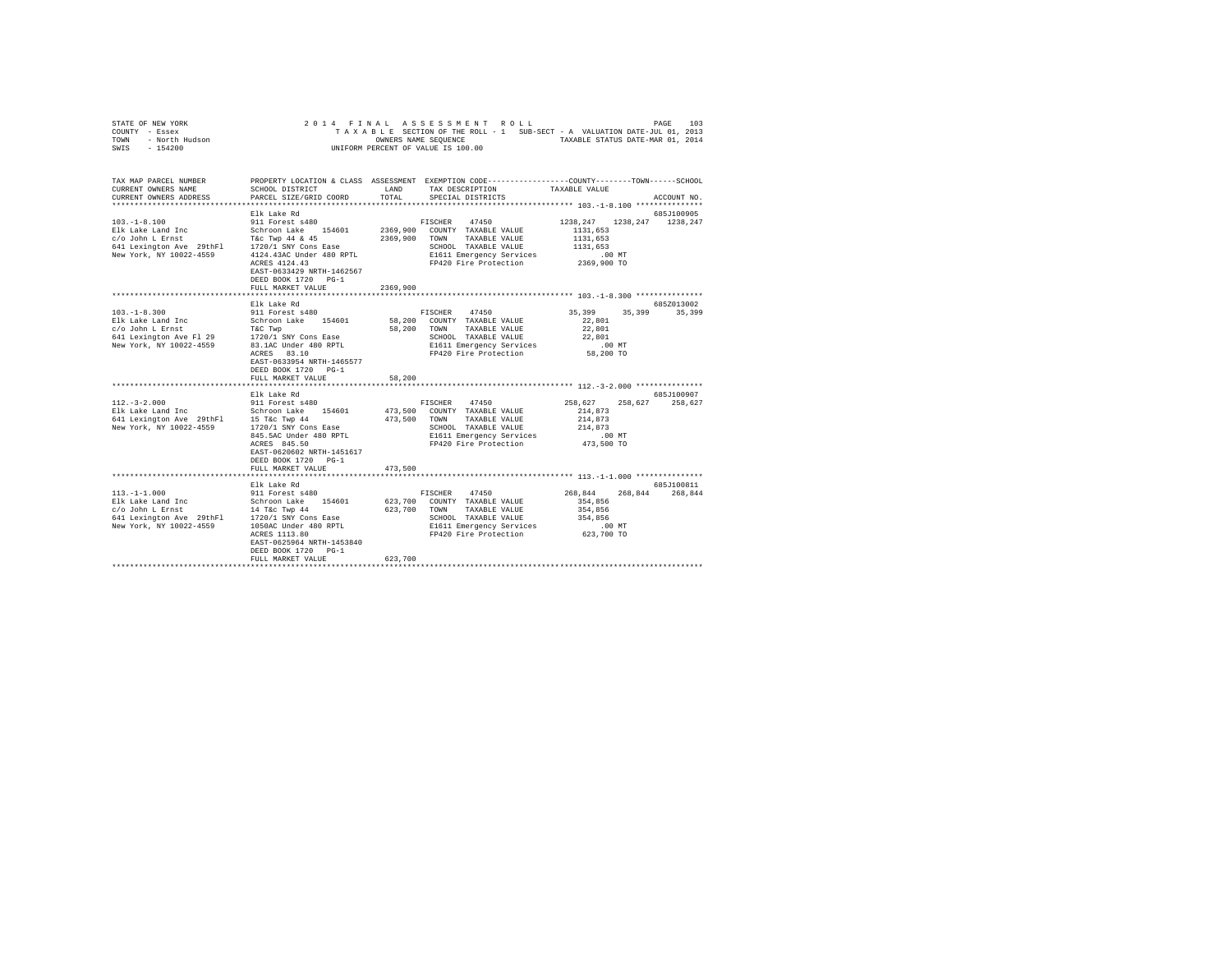| COUNTY<br>- Essex<br>- North Hudson<br>TOWN<br>$-154200$<br>SWIS                                                                                                                                                                                                                       |                                                                                                                |               | TAXABLE SECTION OF THE ROLL - 1 SUB-SECT - A VALUATION DATE-JUL 01, 2013<br>OWNERS NAME SEQUENCE TAXABLE STATUS DATE-MAR 01, 2014<br>UNIFORM PERCENT OF VALUE IS 100.00 |               |                      |
|----------------------------------------------------------------------------------------------------------------------------------------------------------------------------------------------------------------------------------------------------------------------------------------|----------------------------------------------------------------------------------------------------------------|---------------|-------------------------------------------------------------------------------------------------------------------------------------------------------------------------|---------------|----------------------|
| TAX MAP PARCEL NUMBER PROPERTY LOCATION & CLASS ASSESSMENT EXEMPTION CODE---------------COUNTY-------TOWN------SCHOOL<br>CURRENT OWNERS NAME SCHOOL DISTRICT TAX DESCRIPTION TAXABLE VALUE<br>CURRENT OWNERS ADDRESS PARCEL SIZE/GRID COORD TOTAL SPECIAL DISTRICTS TO THE RECOUNT NO. |                                                                                                                |               |                                                                                                                                                                         |               |                      |
| 103.-1-8.100 911 Forest s480<br>Elk Lake Land Inc 653 Schroon Lake 154601 2369,900 COUNTY TAXABLE VALUE 1131,653<br>c/o John L Ernst T&c Twp 44 & 45                                                                                                                                   | Elk Lake Rd<br>ACRES 4124.43<br>EAST-0633429 NRTH-1462567<br>DEED BOOK 1720 PG-1<br>FULL MARKET VALUE 2369,900 | 2369,900 TOWN | FISCHER 47450 1238, 247 1238, 247 1238, 247<br>TAXABLE VALUE<br>FP420 Fire Protection 2369,900 TO                                                                       | 1131,653      | 685J100905           |
| $103. -1 - 8.300$<br>641 Lexington Ave Fl 29 1720/1 SNY Cons Ease<br>New York, NY 10022-4559 83.1AC Under 480 RPTL                                                                                                                                                                     | Elk Lake Rd<br>911 Forest s480<br>ACRES 83.10                                                                  |               | 47450 9<br>FISCHER<br>TAXABLE VALUE 22,801<br>SCHOOL TAXABLE VALUE 22,801<br>E1611 Emergency Services .00 MT<br>FP420 Fire Protection 58,200 TO                         | 35,399 35,399 | 685Z013002<br>35,399 |

STATE OF NEW YORK 2014 FINAL ASSESSMENT ROLL PAGE 103

|                                        | 20.000 0.000<br>EAST-0633954 NRTH-1465577<br>DEED BOOK 1720 PG-1            |         | PREZU PILE PLOLECLION            | 30.ZUU 1U       |             |
|----------------------------------------|-----------------------------------------------------------------------------|---------|----------------------------------|-----------------|-------------|
|                                        | FULL MARKET VALUE                                                           | 58,200  |                                  |                 |             |
|                                        |                                                                             |         |                                  |                 |             |
|                                        | Elk Lake Rd                                                                 |         |                                  |                 | 685.7100907 |
|                                        | 112.-3-2.000 911 Forest s480                                                |         | 47450<br>FISCHER                 | 258,627 258,627 | 258.627     |
|                                        | Elk Lake Land Inc               Schroon Lake     154601             473,500 |         | COUNTY TAXABLE VALUE             | 214,873         |             |
| 641 Lexington Ave 29thFl 15 T&c Twp 44 | 473.500                                                                     |         | TAXABLE VALUE 214,873<br>TOWN    |                 |             |
| New York, NY 10022-4559                | 1720/1 SNY Cons Ease                                                        |         | SCHOOL TAXABLE VALUE 214,873     |                 |             |
|                                        | 845.5AC Under 480 RPTL                                                      |         | E1611 Emergency Services         | $.00$ MT        |             |
|                                        | ACRES 845.50                                                                |         | FP420 Fire Protection 473,500 TO |                 |             |
|                                        | EAST-0620602 NRTH-1451617                                                   |         |                                  |                 |             |
|                                        | DEED BOOK 1720 PG-1                                                         |         |                                  |                 |             |
|                                        | FULL MARKET VALUE                                                           | 473,500 |                                  |                 |             |
|                                        |                                                                             |         |                                  |                 |             |
|                                        | Elk Lake Rd                                                                 |         |                                  |                 | 685J100811  |
| $113. -1 - 1.000$                      | 911 Forest s480                                                             |         | 47450<br>FISCHER                 | 268,844 268,844 | 268,844     |
|                                        |                                                                             |         |                                  | 354,856         |             |
| c/o John L Ernst 14 T&c Twp 44         |                                                                             | 623,700 | TOWN<br>TAXABLE VALUE            | 354,856         |             |
|                                        | 641 Lexington Ave 29thFl 1720/1 SNY Cons Ease                               |         | SCHOOL<br>TAXABLE VALUE 354,856  |                 |             |
| New York, NY 10022-4559                | 1050AC Under 480 RPTL                                                       |         | E1611 Emergency Services .00 MT  |                 |             |
|                                        | ACRES 1113.80                                                               |         | FP420 Fire Protection            | 623,700 TO      |             |
|                                        | EAST-0625964 NRTH-1453840                                                   |         |                                  |                 |             |
|                                        | DEED BOOK 1720 PG-1                                                         |         |                                  |                 |             |
|                                        | FULL MARKET VALUE                                                           | 623,700 |                                  |                 |             |
|                                        |                                                                             |         |                                  |                 |             |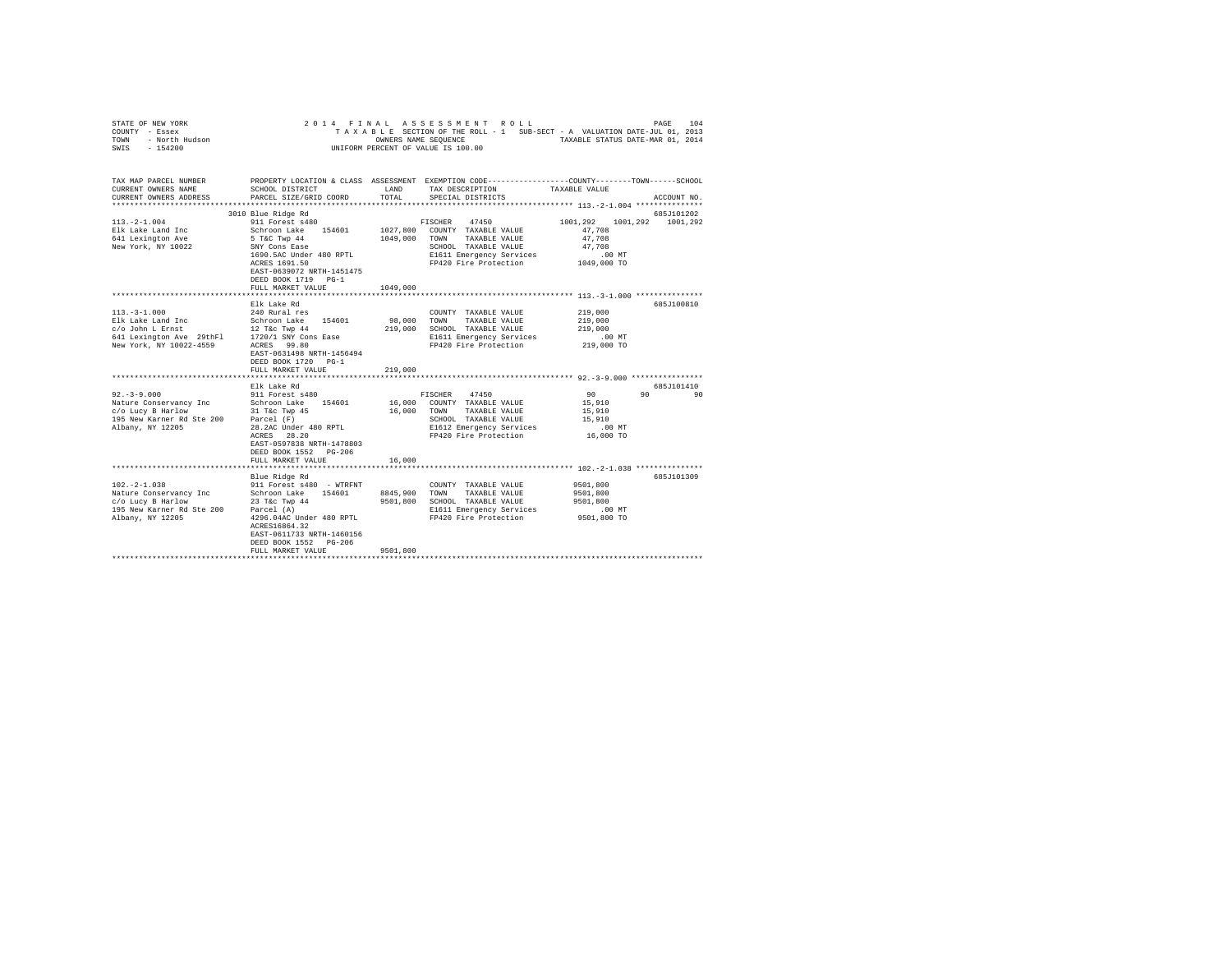| STATE OF NEW YORK<br>COUNTY - Essex<br>TOWN - North Hudson<br>SWIS - 154200                                                                                         |                                                                                                                              |               | 2014 FINAL ASSESSMENT ROLL<br>TAXABLE SECTION OF THE ROLL - 1 SUB-SECT - A VALUATION DATE-JUL 01, 2013<br>OWNERS NAME SEQUENCE TAXABLE STATUS DATE-MAR 01, 2014<br>UNIFORM PERCENT OF VALUE IS 100.00 |                                            | PAGE<br>104 |
|---------------------------------------------------------------------------------------------------------------------------------------------------------------------|------------------------------------------------------------------------------------------------------------------------------|---------------|-------------------------------------------------------------------------------------------------------------------------------------------------------------------------------------------------------|--------------------------------------------|-------------|
| TAX MAP PARCEL NUMBER<br>CURRENT OWNERS NAME<br>CURRENT OWNERS ADDRESS                                                                                              | SCHOOL DISTRICT<br>PARCEL SIZE/GRID COORD                                                                                    | LAND<br>TOTAL | PROPERTY LOCATION & CLASS ASSESSMENT EXEMPTION CODE---------------COUNTY-------TOWN-----SCHOOL<br>TAX DESCRIPTION<br>SPECIAL DISTRICTS                                                                | TAXABLE VALUE                              | ACCOUNT NO. |
|                                                                                                                                                                     | 3010 Blue Ridge Rd                                                                                                           |               |                                                                                                                                                                                                       |                                            | 685J101202  |
| $113. -2 - 1.004$                                                                                                                                                   | 911 Forest s480                                                                                                              |               | 47450<br>FISCHER                                                                                                                                                                                      | 1001,292 1001,292 1001,292                 |             |
| Elk Lake Land Inc<br>641 Lexington Ave<br>New York, NY 10022                                                                                                        | Schroon Lake 154601 1027,800 COUNTY TAXABLE VALUE<br>5 T&C Twp 44<br>SNY Cons Ease<br>1690.5AC Under 480 RPTL                |               | 1049,000 TOWN TAXABLE VALUE<br>SCHOOL TAXABLE VALUE<br>E1611 Emergency Services<br>E1611 Emergency Services<br>FP420 Fire Protection 1049,000 TO                                                      | 47.708<br>47,708<br>47,708<br>.00 MT       |             |
|                                                                                                                                                                     | ACRES 1691.50<br>EAST-0639072 NRTH-1451475<br>DEED BOOK 1719 PG-1<br>FULL MARKET VALUE                                       | 1049,000      |                                                                                                                                                                                                       |                                            |             |
|                                                                                                                                                                     |                                                                                                                              |               |                                                                                                                                                                                                       |                                            |             |
|                                                                                                                                                                     | Elk Lake Rd                                                                                                                  |               |                                                                                                                                                                                                       |                                            | 685J100810  |
| $113. -3 - 1.000$                                                                                                                                                   | 240 Rural res                                                                                                                |               | COUNTY TAXABLE VALUE                                                                                                                                                                                  | 219,000                                    |             |
|                                                                                                                                                                     |                                                                                                                              | 98,000        | TOWN TAXABLE VALUE                                                                                                                                                                                    | 219,000                                    |             |
|                                                                                                                                                                     |                                                                                                                              |               | 219,000 SCHOOL TAXABLE VALUE                                                                                                                                                                          | 219,000                                    |             |
| EDR Lake Land Inc and Schroon Lake 154601<br>c/o John L Ernst 12 T&c Twp 44<br>641 Lexington Ave 29thF1 1720/1 SAY Cons Ease<br>New York, NY 10022-4559 ACRES 99.80 |                                                                                                                              |               | E1611 Emergency Services                                                                                                                                                                              | $.00$ MT                                   |             |
|                                                                                                                                                                     | EAST-0631498 NRTH-1456494<br>DEED BOOK 1720 PG-1                                                                             |               | FP420 Fire Protection                                                                                                                                                                                 | 219,000 TO                                 |             |
|                                                                                                                                                                     | FULL MARKET VALUE                                                                                                            | 219,000       |                                                                                                                                                                                                       |                                            |             |
|                                                                                                                                                                     |                                                                                                                              |               |                                                                                                                                                                                                       |                                            |             |
|                                                                                                                                                                     | Elk Lake Rd                                                                                                                  |               |                                                                                                                                                                                                       |                                            | 685J101410  |
| $92 - 3 - 9.000$                                                                                                                                                    | 911 Forest s480                                                                                                              |               | FISCHER 47450<br>16,000 COUNTY TAXABLE VALUE                                                                                                                                                          | 90                                         | 90<br>90    |
|                                                                                                                                                                     |                                                                                                                              |               | 16,000 TOWN TAXABLE VALUE                                                                                                                                                                             | 15,910<br>15,910                           |             |
|                                                                                                                                                                     |                                                                                                                              |               | SCHOOL TAXABLE VALUE                                                                                                                                                                                  | 15,910                                     |             |
| Albany, NY 12205                                                                                                                                                    |                                                                                                                              |               | E1612 Emergency Services                                                                                                                                                                              | $.00$ MT                                   |             |
|                                                                                                                                                                     | 28.2AC Under 480 RPTL<br>ACRES 28.20<br>ACRES 28.20<br>EAST-0597838 NRTH-1478803<br>DEED BOOK 1552 PG-206                    |               | FP420 Fire Protection                                                                                                                                                                                 | 16,000 TO                                  |             |
|                                                                                                                                                                     | FULL MARKET VALUE                                                                                                            | 16,000        |                                                                                                                                                                                                       |                                            |             |
|                                                                                                                                                                     | Blue Ridge Rd                                                                                                                |               |                                                                                                                                                                                                       |                                            | 685J101309  |
| $102. -2 - 1.038$<br>Nature Conservancy Inc<br>c/o Lucy B Harlow<br>195 New Karner Rd Ste 200<br>Albany, NY 12205                                                   | 911 Forest s480 - WTRFNT<br>Schroon Lake 154601<br>23 T&C Twp 44<br>Parcel (A)<br>ACRES16864.32<br>EAST-0611733 NRTH-1460156 | 8845,900      | COUNTY TAXABLE VALUE<br>TOWN<br>TAXABLE VALUE<br>9501,800 SCHOOL TAXABLE VALUE<br>E1611 Emergency Services<br>4296.04AC Under 480 RPTL FP420 Fire Protection 9501,800 TO                              | 9501,800<br>9501,800<br>9501,800<br>.00 MT |             |
|                                                                                                                                                                     | DEED BOOK 1552 PG-206<br>FULL MARKET VALUE                                                                                   | 9501,800      |                                                                                                                                                                                                       |                                            |             |
|                                                                                                                                                                     |                                                                                                                              |               |                                                                                                                                                                                                       |                                            |             |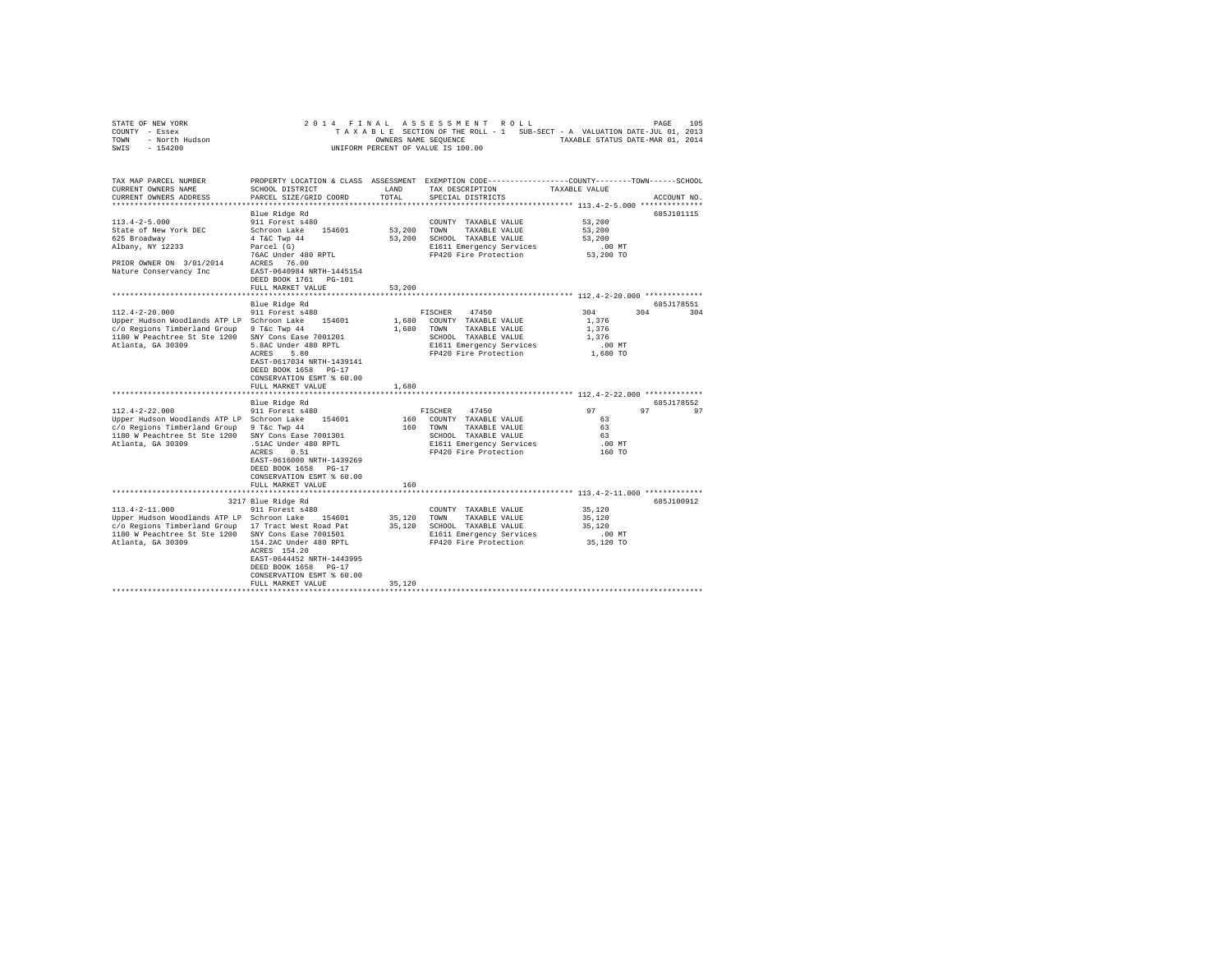|                | STATE OF NEW YORK |  |  |  |  | 2014 FINAL ASSESSMENT ROLL         |  |  |  |                                                                          |                                  | PAGE | 105 |
|----------------|-------------------|--|--|--|--|------------------------------------|--|--|--|--------------------------------------------------------------------------|----------------------------------|------|-----|
| COUNTY - Essex |                   |  |  |  |  |                                    |  |  |  | TAXABLE SECTION OF THE ROLL - 1 SUB-SECT - A VALUATION DATE-JUL 01, 2013 |                                  |      |     |
| TOWN           | - North Hudson    |  |  |  |  | OWNERS NAME SEOUENCE               |  |  |  |                                                                          | TAXABLE STATUS DATE-MAR 01, 2014 |      |     |
| SWIS           | - 154200          |  |  |  |  | UNIFORM PERCENT OF VALUE IS 100.00 |  |  |  |                                                                          |                                  |      |     |

| TAX MAP PARCEL NUMBER<br>CURRENT OWNERS NAME<br>CURRENT OWNERS ADDRESS           | SCHOOL DISTRICT<br>PARCEL SIZE/GRID COORD                                                                                 | LAND<br>TOTAL           | PROPERTY LOCATION & CLASS ASSESSMENT EXEMPTION CODE---------------COUNTY-------TOWN------SCHOOL<br>TAX DESCRIPTION<br>SPECIAL DISTRICTS | TAXABLE VALUE                                              | ACCOUNT NO. |
|----------------------------------------------------------------------------------|---------------------------------------------------------------------------------------------------------------------------|-------------------------|-----------------------------------------------------------------------------------------------------------------------------------------|------------------------------------------------------------|-------------|
|                                                                                  |                                                                                                                           |                         |                                                                                                                                         |                                                            |             |
|                                                                                  | Blue Ridge Rd                                                                                                             |                         |                                                                                                                                         |                                                            | 685J101115  |
| $113.4 - 2 - 5.000$<br>State of New York DEC<br>625 Broadway<br>Albany, NY 12233 | 911 Forest s480<br>Schroon Lake<br>154601<br>4 T&C Twp 44<br>Parcel (G)                                                   | 53,200<br>53,200        | COUNTY TAXABLE VALUE<br>TOWN<br>TAXABLE VALUE<br>SCHOOL TAXABLE VALUE<br>E1611 Emergency Services                                       | 53,200<br>53,200<br>53,200<br>$.00$ $MT$                   |             |
| PRIOR OWNER ON 3/01/2014<br>Nature Conservancy Inc                               | 76AC Under 480 RPTL<br>76.00<br>ACRES<br>EAST-0640984 NRTH-1445154<br>DEED BOOK 1761 PG-101<br>FULL MARKET VALUE          | 53,200                  | FP420 Fire Protection                                                                                                                   | 53,200 TO                                                  |             |
|                                                                                  | ************************                                                                                                  |                         |                                                                                                                                         |                                                            |             |
|                                                                                  | Blue Ridge Rd                                                                                                             |                         |                                                                                                                                         |                                                            | 685J178551  |
| $112.4 - 2 - 20.000$<br>Upper Hudson Woodlands ATP LP Schroon Lake               | 911 Forest s480<br>154601                                                                                                 | 1,680                   | 47450<br>FISCHER<br>COUNTY TAXABLE VALUE                                                                                                | 304<br>304<br>1.376                                        | 304         |
| c/o Regions Timberland Group                                                     | 9 T&c Twp 44                                                                                                              | 1,680                   | TOWN<br>TAXABLE VALUE                                                                                                                   | 1,376                                                      |             |
| 1180 W Peachtree St Ste 1200                                                     | SNY Cons Ease 7001201                                                                                                     |                         | SCHOOL TAXABLE VALUE                                                                                                                    | 1,376                                                      |             |
| Atlanta, GA 30309                                                                | 5.8AC Under 480 RPTL                                                                                                      |                         | E1611 Emergency Services                                                                                                                | $.00$ $MT$                                                 |             |
|                                                                                  | ACRES<br>5.80<br>EAST-0617034 NRTH-1439141<br>DEED BOOK 1658<br>$PG-17$<br>CONSERVATION ESMT % 60.00<br>FULL MARKET VALUE | 1,680                   | FP420 Fire Protection                                                                                                                   | 1,680 TO                                                   |             |
|                                                                                  | *****************                                                                                                         | ************            |                                                                                                                                         | ***************************** 112.4-2-22.000 ************* |             |
|                                                                                  | Blue Ridge Rd                                                                                                             |                         |                                                                                                                                         |                                                            | 685.7178552 |
| $112.4 - 2 - 22.000$                                                             | 911 Forest s480                                                                                                           |                         | 47450<br>FISCHER                                                                                                                        | 97<br>97                                                   | 97          |
| Upper Hudson Woodlands ATP LP Schroon Lake                                       | 154601                                                                                                                    | 160                     | COUNTY TAXABLE VALUE                                                                                                                    | 63                                                         |             |
| c/o Regions Timberland Group                                                     | 9 T&c Twp 44                                                                                                              | 160                     | TAXABLE VALUE<br>TOWN                                                                                                                   | 63                                                         |             |
| 1180 W Peachtree St Ste 1200                                                     | SNY Cons Ease 7001301                                                                                                     |                         | SCHOOL TAXABLE VALUE                                                                                                                    | 63                                                         |             |
| Atlanta, GA 30309                                                                | .51AC Under 480 RPTL<br>0.51                                                                                              |                         | E1611 Emergency Services<br>FP420 Fire Protection                                                                                       | $.00$ MT                                                   |             |
|                                                                                  | ACRES<br>EAST-0616000 NRTH-1439269<br>DEED BOOK 1658<br>$PG-17$<br>CONSERVATION ESMT % 60.00                              |                         |                                                                                                                                         | 160 TO                                                     |             |
|                                                                                  | FULL MARKET VALUE<br>****************************                                                                         | 160<br>**************** |                                                                                                                                         |                                                            |             |
|                                                                                  | 3217 Blue Ridge Rd                                                                                                        |                         |                                                                                                                                         | ***************************** 113.4-2-11.000 ************* | 685J100912  |
| $113.4 - 2 - 11.000$                                                             | 911 Forest s480                                                                                                           |                         | COUNTY TAXABLE VALUE                                                                                                                    | 35,120                                                     |             |
| Upper Hudson Woodlands ATP LP Schroon Lake                                       | 154601                                                                                                                    | 35,120                  | TAXABLE VALUE<br><b>TOWN</b>                                                                                                            | 35,120                                                     |             |
| c/o Regions Timberland Group 17 Tract West Road Pat                              |                                                                                                                           | 35,120                  | SCHOOL TAXABLE VALUE                                                                                                                    | 35,120                                                     |             |
| 1180 W Peachtree St Ste 1200                                                     | SNY Cons Ease 7001501                                                                                                     |                         | E1611 Emergency Services                                                                                                                | $.00$ $MT$                                                 |             |
| Atlanta, GA 30309                                                                | 154.2AC Under 480 RPTL<br>ACRES 154.20<br>EAST-0644452 NRTH-1443995<br>DEED BOOK 1658 PG-17                               |                         | FP420 Fire Protection                                                                                                                   | 35,120 TO                                                  |             |
|                                                                                  | CONSERVATION ESMT % 60.00<br>FULL MARKET VALUE                                                                            | 35,120                  |                                                                                                                                         |                                                            |             |
|                                                                                  | *******************                                                                                                       |                         |                                                                                                                                         |                                                            |             |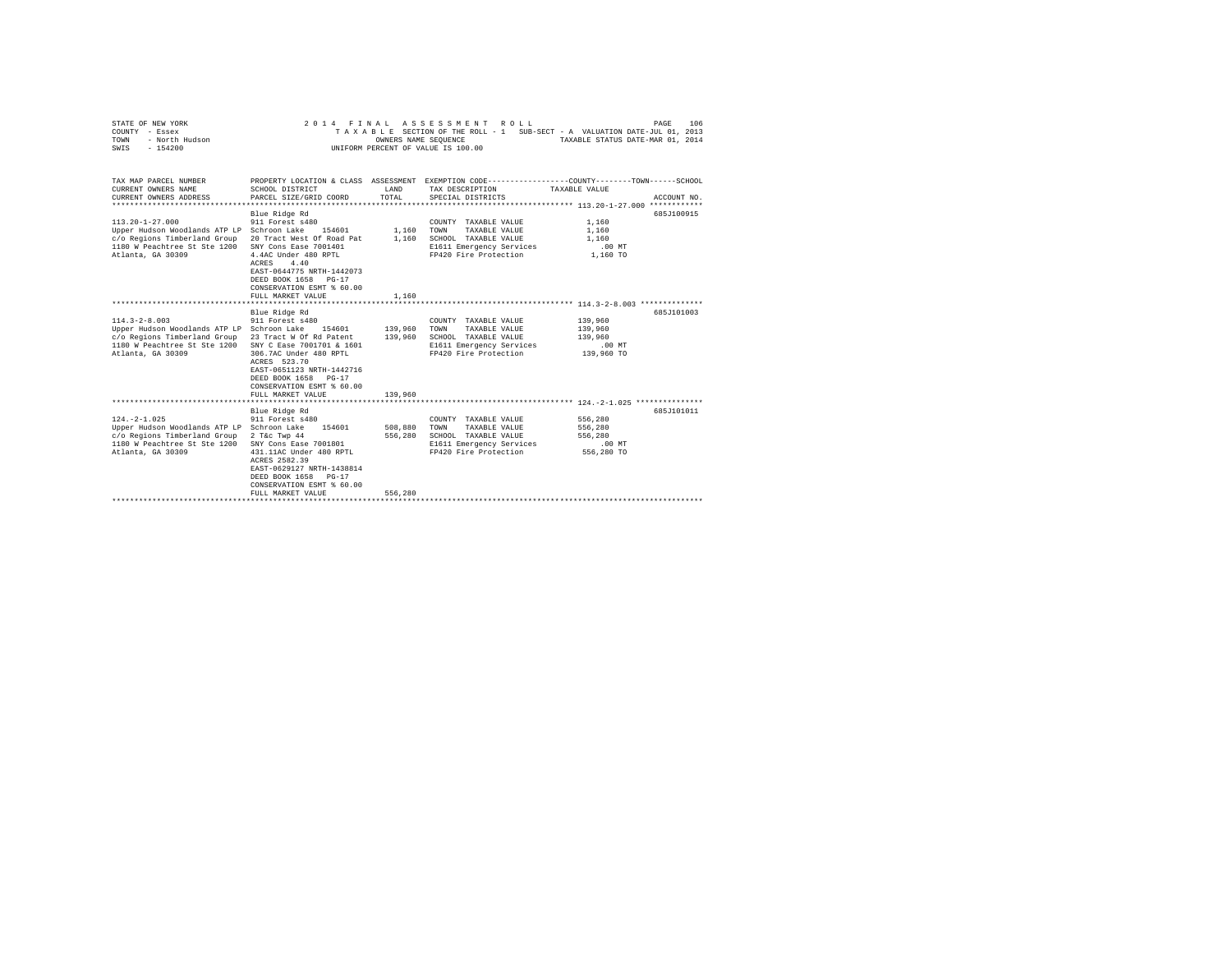| COUNTY - Essex<br>TOWN<br>- North Hudson<br>SWIS<br>$-154200$                                                                                                                      |                                                                                                                                                                                                                                             | OWNERS NAME SEOUENCE          | TAXABLE SECTION OF THE ROLL - 1 SUB-SECT - A VALUATION DATE-JUL 01, 2013<br>UNIFORM PERCENT OF VALUE IS 100.00                         | TAXABLE STATUS DATE-MAR 01, 2014                      |             |
|------------------------------------------------------------------------------------------------------------------------------------------------------------------------------------|---------------------------------------------------------------------------------------------------------------------------------------------------------------------------------------------------------------------------------------------|-------------------------------|----------------------------------------------------------------------------------------------------------------------------------------|-------------------------------------------------------|-------------|
| TAX MAP PARCEL NUMBER<br>CURRENT OWNERS NAME<br>CURRENT OWNERS ADDRESS                                                                                                             | SCHOOL DISTRICT<br>PARCEL SIZE/GRID COORD                                                                                                                                                                                                   | LAND<br>TOTAL                 | PROPERTY LOCATION & CLASS ASSESSMENT EXEMPTION CODE---------------COUNTY-------TOWN-----SCHOOL<br>TAX DESCRIPTION<br>SPECIAL DISTRICTS | TAXABLE VALUE                                         | ACCOUNT NO. |
| $113.20 - 1 - 27.000$<br>Upper Hudson Woodlands ATP LP Schroon Lake<br>c/o Regions Timberland Group 20 Tract West Of Road Pat<br>1180 W Peachtree St Ste 1200<br>Atlanta, GA 30309 | Blue Ridge Rd<br>911 Forest s480<br>154601<br>SNY Cons Ease 7001401<br>4.4AC Under 480 RPTL<br>4.40<br>ACRES<br>EAST-0644775 NRTH-1442073<br>DEED BOOK 1658<br>$PG-17$<br>CONSERVATION ESMT % 60.00<br>FULL MARKET VALUE                    | 1,160<br>1,160<br>1,160       | COUNTY TAXABLE VALUE<br>TOWN<br>TAXABLE VALUE<br>SCHOOL TAXABLE VALUE<br>E1611 Emergency Services<br>FP420 Fire Protection             | 1,160<br>1,160<br>1,160<br>$.00$ MT<br>1,160 TO       | 685J100915  |
| $114.3 - 2 - 8.003$<br>Upper Hudson Woodlands ATP LP Schroon Lake<br>c/o Regions Timberland Group 23 Tract W Of Rd Patent<br>1180 W Peachtree St Ste 1200<br>Atlanta, GA 30309     | Blue Ridge Rd<br>911 Forest s480<br>154601<br>SNY C Ease 7001701 & 1601<br>306.7AC Under 480 RPTL<br>ACRES 523.70<br>EAST-0651123 NRTH-1442716<br>DEED BOOK 1658 PG-17<br>CONSERVATION ESMT % 60.00<br>FULL MARKET VALUE                    | 139,960<br>139,960<br>139,960 | COUNTY TAXABLE VALUE<br>TAXABLE VALUE<br>TOWN<br>SCHOOL TAXABLE VALUE<br>E1611 Emergency Services<br>FP420 Fire Protection             | 139,960<br>139,960<br>139,960<br>.00 MT<br>139,960 TO | 685J101003  |
| $124. -2 - 1.025$<br>Upper Hudson Woodlands ATP LP Schroon Lake<br>c/o Regions Timberland Group<br>1180 W Peachtree St Ste 1200<br>Atlanta, GA 30309                               | Blue Ridge Rd<br>911 Forest s480<br>154601<br>2 T&c Twp 44<br>SNY Cons Ease 7001801<br>431.11AC Under 480 RPTL<br>ACRES 2582.39<br>EAST-0629127 NRTH-1438814<br>DEED BOOK 1658<br>$PG-17$<br>CONSERVATION ESMT % 60.00<br>FULL MARKET VALUE | 508,880<br>556,280<br>556,280 | COUNTY TAXABLE VALUE<br>TOWN<br>TAXABLE VALUE<br>SCHOOL TAXABLE VALUE<br>E1611 Emergency Services<br>FP420 Fire Protection             | 556,280<br>556,280<br>556,280<br>.00MT<br>556,280 TO  | 685J101011  |
|                                                                                                                                                                                    |                                                                                                                                                                                                                                             |                               |                                                                                                                                        |                                                       |             |

STATE OF NEW YORK 2014 FINAL ASSESSMENT ROLL PAGE 106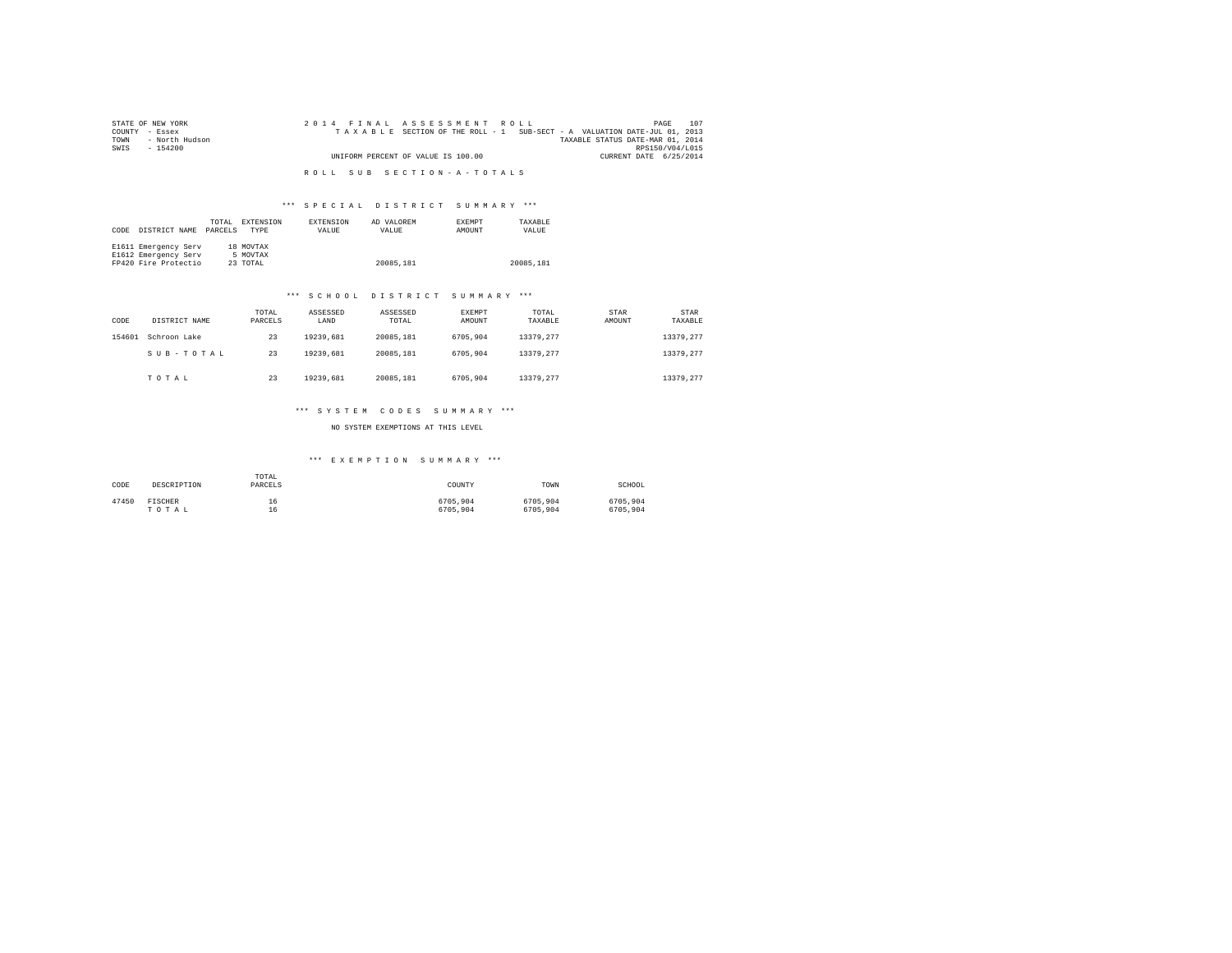| STATE OF NEW YORK   | 2014 FINAL ASSESSMENT ROLL                                               | 107<br>PAGE                      |
|---------------------|--------------------------------------------------------------------------|----------------------------------|
| COUNTY - Essex      | TAXABLE SECTION OF THE ROLL - 1 SUB-SECT - A VALUATION DATE-JUL 01, 2013 |                                  |
| TOWN - North Hudson |                                                                          | TAXABLE STATUS DATE-MAR 01, 2014 |
| SWIS<br>- 154200    |                                                                          | RPS150/V04/L015                  |
|                     | UNIFORM PERCENT OF VALUE IS 100.00                                       | CURRENT DATE 6/25/2014           |
|                     |                                                                          |                                  |
|                     | ROLL SUB SECTION-A-TOTALS                                                |                                  |

## \*\*\* S P E C I A L D I S T R I C T S U M M A R Y \*\*\*

| CODE | DISTRICT NAME        | TOTAL<br>PARCELS | EXTENSION<br><b>TYPE</b> | EXTENSION<br>VALUE | AD VALOREM<br>VALUE | <b>EXEMPT</b><br>AMOUNT | TAXARLE<br>VALUE |
|------|----------------------|------------------|--------------------------|--------------------|---------------------|-------------------------|------------------|
|      | E1611 Emergency Serv |                  | 18 MOVTAX                |                    |                     |                         |                  |
|      | E1612 Emergency Serv |                  | 5 MOVTAX                 |                    |                     |                         |                  |
|      | FP420 Fire Protectio |                  | 23 TOTAL                 |                    | 20085.181           |                         | 20085.181        |

#### \*\*\* S C H O O L D I S T R I C T S U M M A R Y \*\*\*

| CODE   | DISTRICT NAME | TOTAL<br>PARCELS | ASSESSED<br>LAND | ASSESSED<br>TOTAL | EXEMPT<br>AMOUNT | TOTAL<br>TAXABLE | STAR<br>AMOUNT | <b>STAR</b><br>TAXABLE |
|--------|---------------|------------------|------------------|-------------------|------------------|------------------|----------------|------------------------|
| 154601 | Schroon Lake  | 23               | 19239.681        | 20085.181         | 6705,904         | 13379.277        |                | 13379.277              |
|        | SUB-TOTAL     | 23               | 19239.681        | 20085.181         | 6705.904         | 13379.277        |                | 13379.277              |
|        | TOTAL         | 23               | 19239.681        | 20085.181         | 6705.904         | 13379.277        |                | 13379.277              |

#### \*\*\* S Y S T E M C O D E S S U M M A R Y \*\*\*

NO SYSTEM EXEMPTIONS AT THIS LEVEL

## \*\*\* E X E M P T I O N S U M M A R Y \*\*\*

| CODE  | DESCRIPTION    | TOTAL<br>PARCELS | COUNTY   | TOWN     | SCHOOL   |
|-------|----------------|------------------|----------|----------|----------|
| 47450 | <b>FISCHER</b> | 16               | 6705.904 | 6705.904 | 6705.904 |
|       | TOTAL          | 16               | 6705,904 | 6705,904 | 6705.904 |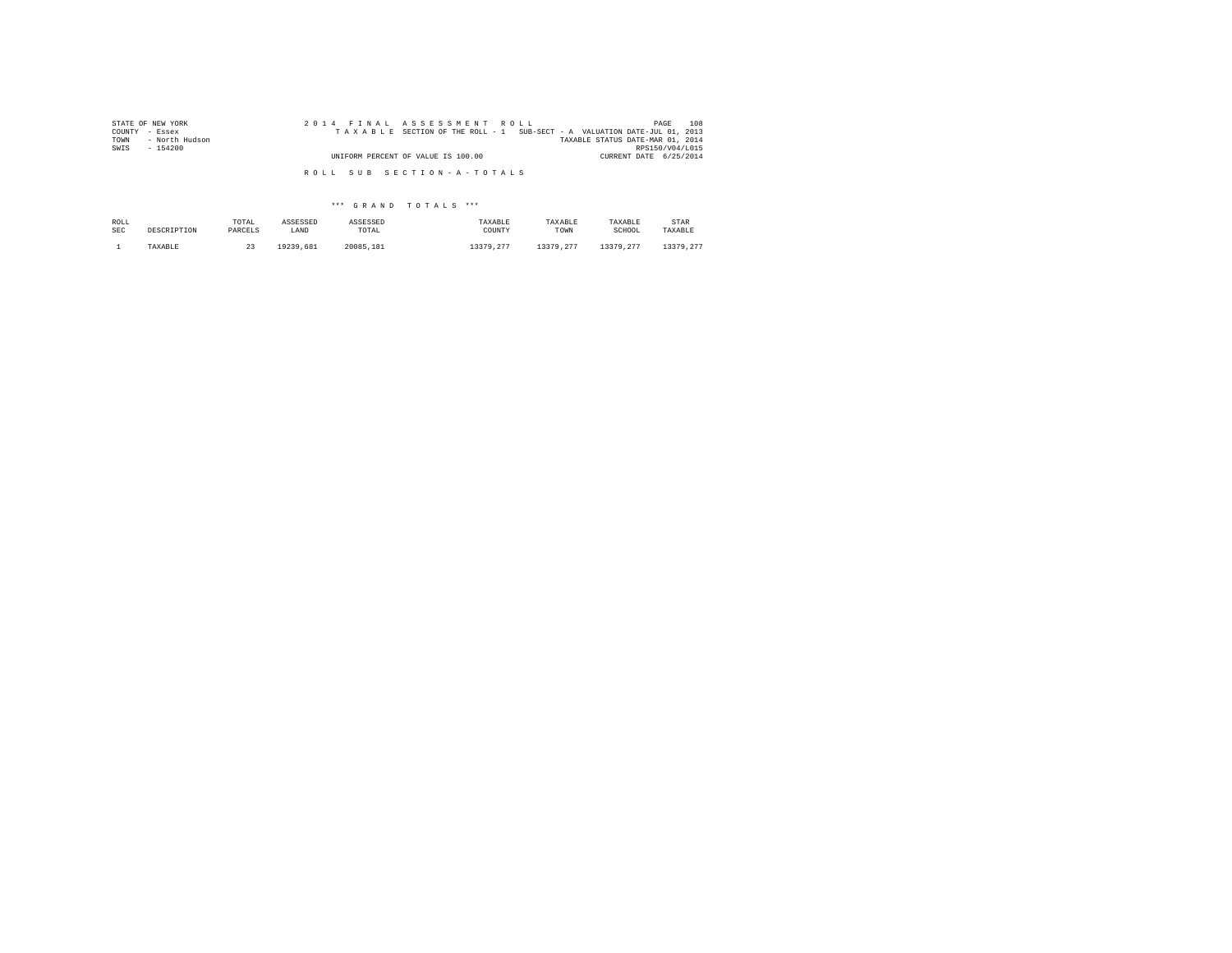| STATE OF NEW YORK      | 2014 FINAL ASSESSMENT ROLL                                               | 108<br>PAGE                      |
|------------------------|--------------------------------------------------------------------------|----------------------------------|
| COUNTY - Essex         | TAXABLE SECTION OF THE ROLL - 1 SUB-SECT - A VALUATION DATE-JUL 01, 2013 |                                  |
| - North Hudson<br>TOWN |                                                                          | TAXABLE STATUS DATE-MAR 01, 2014 |
| SWIS<br>- 154200       |                                                                          | RPS150/V04/L015                  |
|                        | UNIFORM PERCENT OF VALUE IS 100.00                                       | CURRENT DATE 6/25/2014           |
|                        |                                                                          |                                  |
|                        | ROLL SUB SECTION-A-TOTALS                                                |                                  |

# \*\*\* G R A N D T O T A L S \*\*\*

| ROLL | DESCRIPTION | TOTAL   | ASSESSED  | ASSESSED  | TAXABLE   | TAXABLE   | TAXABLE   | STAR      |
|------|-------------|---------|-----------|-----------|-----------|-----------|-----------|-----------|
| SEC  |             | PARCELS | LAND      | TOTAL     | COUNTY    | TOWN      | SCHOOL    | TAXABLE   |
|      | TAXABLE     | 44      | 19239.681 | 20085.181 | 13379.277 | 13379.277 | 13379.277 | 13379.277 |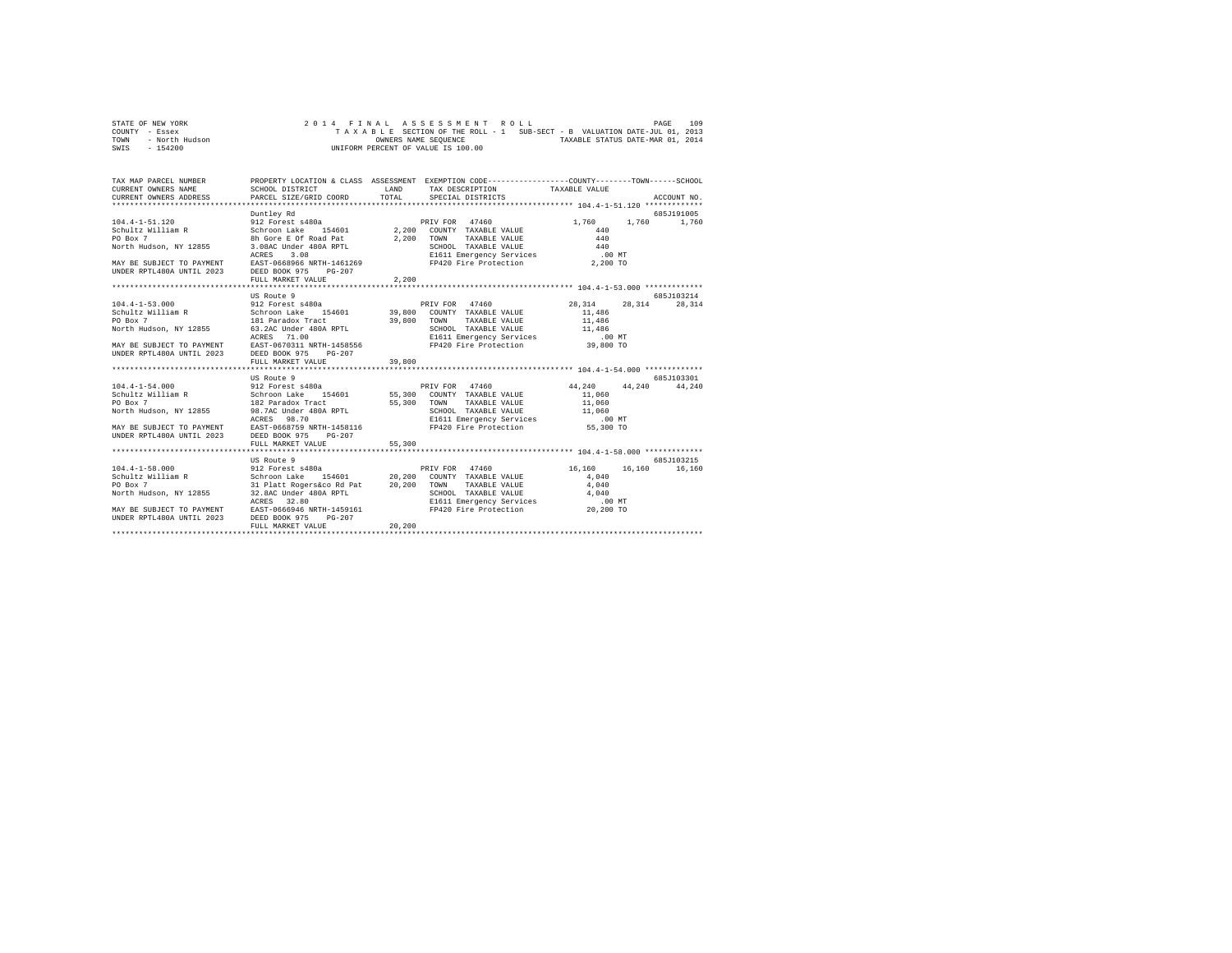|      | STATE OF NEW YORK |  |  |  |  | 2014 FINAL ASSESSMENT ROLL         |  |  |  |  |                                                                          | PAGE | 109 |
|------|-------------------|--|--|--|--|------------------------------------|--|--|--|--|--------------------------------------------------------------------------|------|-----|
|      | COUNTY - Essex    |  |  |  |  |                                    |  |  |  |  | TAXABLE SECTION OF THE ROLL - 1 SUB-SECT - B VALUATION DATE-JUL 01, 2013 |      |     |
| TOWN | - North Hudson    |  |  |  |  | OWNERS NAME SEOUENCE               |  |  |  |  | TAXABLE STATUS DATE-MAR 01, 2014                                         |      |     |
| SWIS | $-154200$         |  |  |  |  | UNIFORM PERCENT OF VALUE IS 100.00 |  |  |  |  |                                                                          |      |     |

| TAX MAP PARCEL NUMBER THE PROPERTY LOCATION & CLASS ASSESSMENT EXEMPTION CODE-------------COUNTY--------TOWN------SCHOOL                                                                                                                         |                   |        |                   |             |
|--------------------------------------------------------------------------------------------------------------------------------------------------------------------------------------------------------------------------------------------------|-------------------|--------|-------------------|-------------|
|                                                                                                                                                                                                                                                  | Duntley Rd        |        |                   | 685J191005  |
|                                                                                                                                                                                                                                                  |                   |        | 1,760 1,760 1,760 |             |
|                                                                                                                                                                                                                                                  |                   |        |                   |             |
|                                                                                                                                                                                                                                                  |                   |        |                   |             |
|                                                                                                                                                                                                                                                  |                   |        |                   |             |
|                                                                                                                                                                                                                                                  |                   |        |                   |             |
|                                                                                                                                                                                                                                                  |                   |        |                   |             |
| UNDER RPTL480A UNTIL 2023 DEED BOOK 975 PG-207                                                                                                                                                                                                   | FULL MARKET VALUE | 2,200  |                   |             |
|                                                                                                                                                                                                                                                  |                   |        |                   |             |
|                                                                                                                                                                                                                                                  | US Route 9        |        |                   | 685J103214  |
|                                                                                                                                                                                                                                                  |                   |        |                   |             |
|                                                                                                                                                                                                                                                  |                   |        |                   |             |
|                                                                                                                                                                                                                                                  |                   |        |                   |             |
|                                                                                                                                                                                                                                                  |                   |        |                   |             |
|                                                                                                                                                                                                                                                  |                   |        |                   |             |
|                                                                                                                                                                                                                                                  |                   |        |                   |             |
|                                                                                                                                                                                                                                                  |                   |        |                   |             |
| UNDER RPTL480A UNTIL 2023 DEED BOOK 975 PG-207                                                                                                                                                                                                   | FULL MARKET VALUE | 39,800 |                   |             |
|                                                                                                                                                                                                                                                  |                   |        |                   |             |
|                                                                                                                                                                                                                                                  | US Route 9        |        |                   | 685J103301  |
| 104.4-1-54.000<br>2011 - 104.4-1-54.000<br>2012 Forest 3480a<br>2021 - 2022 PORTER SCHED 11,060<br>2022 PORTER 11,060<br>2022 PORTER 11,060<br>2022 PORTER 11,060<br>2022 - 2022 PORTER 11,060<br>2022 - 2022 PORTER 11,060<br>2022 - 2022 PORTE |                   |        |                   |             |
|                                                                                                                                                                                                                                                  |                   |        |                   |             |
|                                                                                                                                                                                                                                                  |                   |        |                   |             |
|                                                                                                                                                                                                                                                  |                   |        |                   |             |
|                                                                                                                                                                                                                                                  |                   |        |                   |             |
|                                                                                                                                                                                                                                                  |                   |        |                   |             |
|                                                                                                                                                                                                                                                  |                   |        |                   |             |
|                                                                                                                                                                                                                                                  | FULL MARKET VALUE | 55,300 |                   |             |
|                                                                                                                                                                                                                                                  |                   |        |                   |             |
|                                                                                                                                                                                                                                                  | US Route 9        |        |                   | 685.7103215 |
|                                                                                                                                                                                                                                                  |                   |        |                   |             |
|                                                                                                                                                                                                                                                  |                   |        |                   |             |
|                                                                                                                                                                                                                                                  |                   |        |                   |             |
|                                                                                                                                                                                                                                                  |                   |        |                   |             |
|                                                                                                                                                                                                                                                  |                   |        |                   |             |
|                                                                                                                                                                                                                                                  |                   |        |                   |             |
|                                                                                                                                                                                                                                                  |                   |        |                   |             |
|                                                                                                                                                                                                                                                  | FULL MARKET VALUE | 20,200 |                   |             |
|                                                                                                                                                                                                                                                  |                   |        |                   |             |
|                                                                                                                                                                                                                                                  |                   |        |                   |             |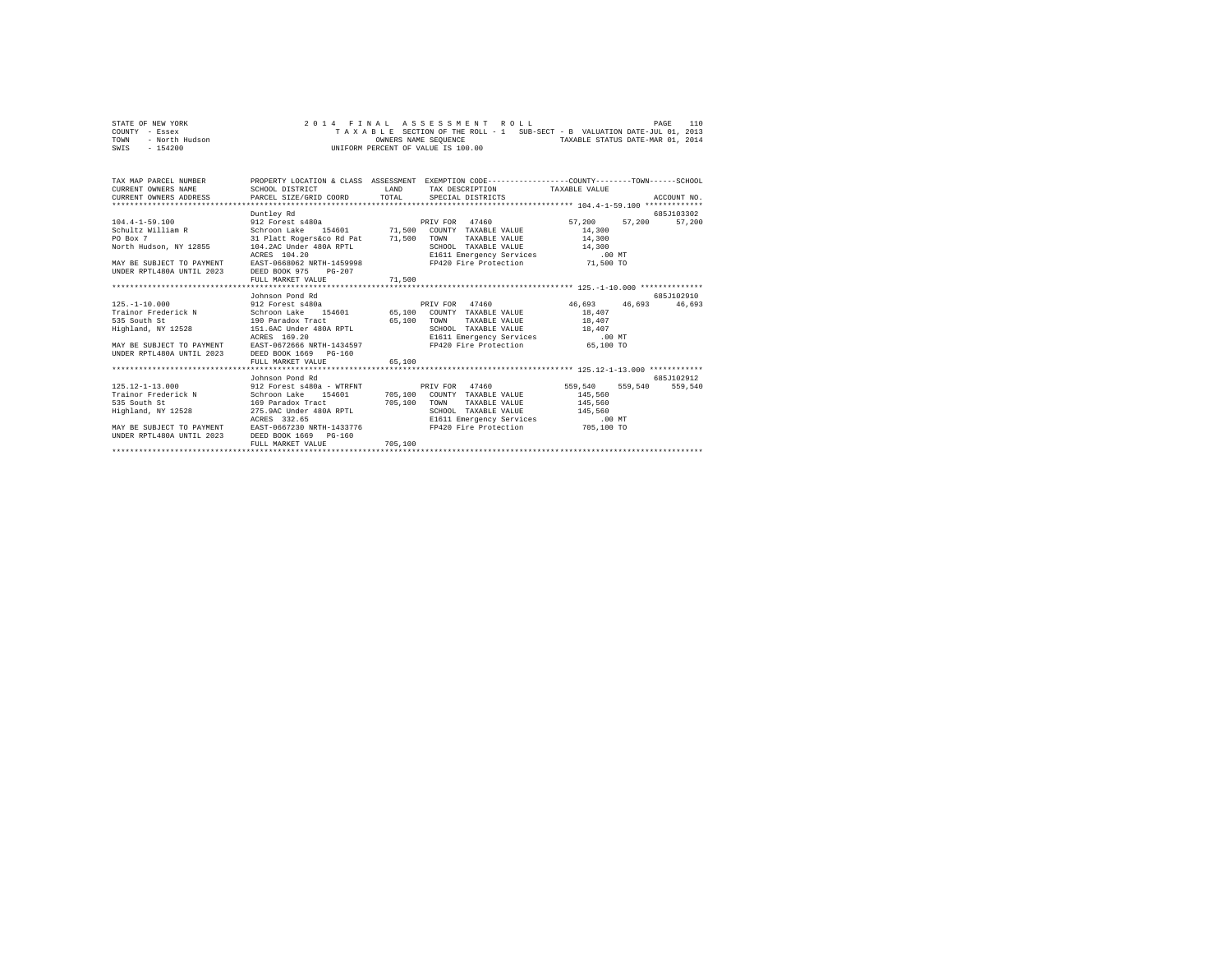|      | STATE OF NEW YORK |  |  |  |  | 2014 FINAL ASSESSMENT ROLL         |  |  |  |  |                                                                          | PAGE | 110 |
|------|-------------------|--|--|--|--|------------------------------------|--|--|--|--|--------------------------------------------------------------------------|------|-----|
|      | COUNTY - Essex    |  |  |  |  |                                    |  |  |  |  | TAXABLE SECTION OF THE ROLL - 1 SUB-SECT - B VALUATION DATE-JUL 01, 2013 |      |     |
| TOWN | - North Hudson    |  |  |  |  | OWNERS NAME SEOUENCE               |  |  |  |  | TAXABLE STATUS DATE-MAR 01, 2014                                         |      |     |
| SWIS | $-154200$         |  |  |  |  | UNIFORM PERCENT OF VALUE IS 100.00 |  |  |  |  |                                                                          |      |     |

| TAX MAP PARCEL NUMBER PROPERTY LOCATION & CLASS ASSESSMENT EXEMPTION CODE---------------COUNTY-------TOWN-----SCHOOL<br>CURRENT OWNERS NAME                                                                                                       | SCHOOL DISTRICT                                      |         | LAND TAX DESCRIPTION TAXABLE VALUE                                                                                         |        |                      |
|---------------------------------------------------------------------------------------------------------------------------------------------------------------------------------------------------------------------------------------------------|------------------------------------------------------|---------|----------------------------------------------------------------------------------------------------------------------------|--------|----------------------|
| PO Box 7<br>VOOL TAXABLE VALUE 1800 POLARABLE VALUE 14,300<br>NOTE RESUBSTIGE TO PAYMENT ACRES 104.20 UNDER RESULT DES DURING THE SUBSTIGE 104.22 UNDER RESULT TO PAYMENT RAST-0668062 NRTH-1459998<br>NAY BE SUBJECT TO PAYMENT EAST-0668062     | Duntley Rd<br>31 Platt Rogers&co Rd Pat 71,500       |         | TOWN<br>TAXABLE VALUE 14,300                                                                                               |        | 685J103302<br>57,200 |
| 125.-1-10.000 912 Forest s480a PRIV FOR 47460 46,693 46,693 46,693 46,693<br>Highland, NY 12528 151.6AC Under 480A RPTL<br>ACRES 169.20<br>MAY BE SUBJECT TO PAYMENT EAST-0672666 NRTH-1434597<br>UNDER RPTL480A UNTIL 2023 DEED BOOK 1669 PG-160 | Johnson Pond Rd<br>FULL MARKET VALUE                 | 65,100  | TAXABLE VALUE 18,407<br>SCHOOL TAXABLE VALUE 18,407<br>E1611 Emergency Services .00 MT<br>FP420 Fire Protection  65,100 TO | 18,407 | 685-102910           |
| 125.12-1-13.000 912 Forest s480a - WTRFNT PRIV FOR 47460 559,540 559,540 559,540<br>ACRES 332.65<br>MAY BE SUBJECT TO PAYMENT EAST-0667230 NRTH-1433776<br>UNDER RPTL480A UNTIL 2023 DEED BOOK 1669 PG-160                                        | Johnson Pond Rd<br>ACRES 332.65<br>FULL MARKET VALUE | 705,100 | SCHOOL TAXABLE VALUE 145,560<br>E1611 Emergency Services .00 MT<br>FP420 Fire Protection 705,100 TO                        |        | 685.7102912          |
|                                                                                                                                                                                                                                                   |                                                      |         |                                                                                                                            |        |                      |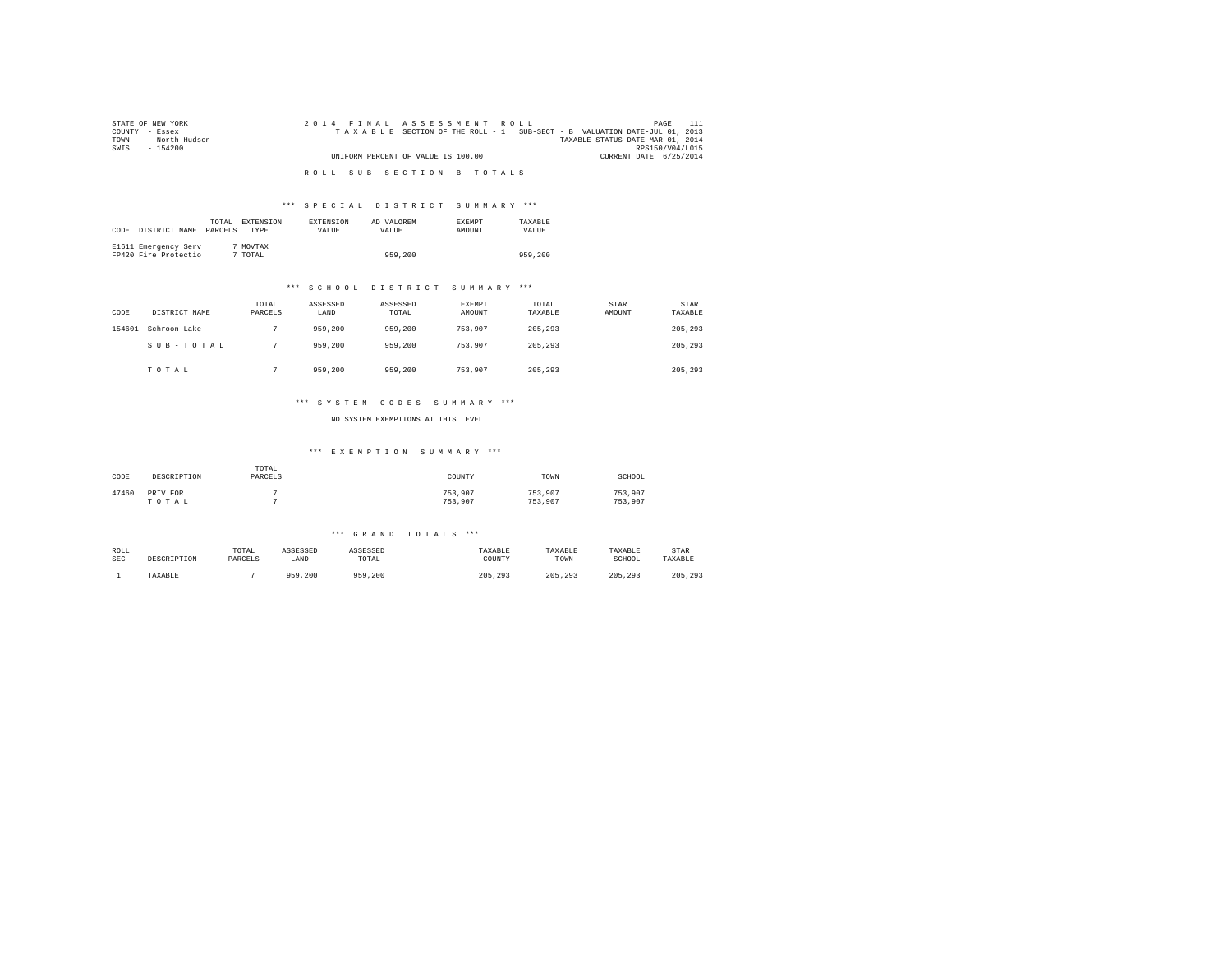| STATE OF NEW YORK   | 2014 FINAL ASSESSMENT ROLL                                               | PAGE                             |
|---------------------|--------------------------------------------------------------------------|----------------------------------|
| COUNTY - Essex      | TAXABLE SECTION OF THE ROLL - 1 SUB-SECT - B VALUATION DATE-JUL 01, 2013 |                                  |
| TOWN - North Hudson |                                                                          | TAXABLE STATUS DATE-MAR 01, 2014 |
| SWIS<br>- 154200    |                                                                          | RPS150/V04/L015                  |
|                     | UNIFORM PERCENT OF VALUE IS 100.00                                       | CURRENT DATE 6/25/2014           |
|                     |                                                                          |                                  |
|                     | ROLL SUB SECTION-B-TOTALS                                                |                                  |

## \*\*\* S P E C I A L D I S T R I C T S U M M A R Y \*\*\*

| CODE | DISTRICT NAME                                | TOTAL<br>PARCELS | EXTENSION<br><b>TYPE</b> | <b>EXTENSION</b><br>VALUE | AD VALOREM<br>VALUE | <b>EXEMPT</b><br><b>AMOUNT</b> | TAXARLE<br>VALUE. |
|------|----------------------------------------------|------------------|--------------------------|---------------------------|---------------------|--------------------------------|-------------------|
|      | E1611 Emergency Serv<br>FP420 Fire Protectio |                  | MOVTAX<br>TOTAL          |                           | 959,200             |                                | 959,200           |

## \*\*\* S C H O O L D I S T R I C T S U M M A R Y \*\*\*

| CODE   | DISTRICT NAME | TOTAL<br>PARCELS | ASSESSED<br>LAND | ASSESSED<br>TOTAL | EXEMPT<br>AMOUNT | TOTAL<br>TAXABLE | <b>STAR</b><br>AMOUNT | STAR<br>TAXABLE |
|--------|---------------|------------------|------------------|-------------------|------------------|------------------|-----------------------|-----------------|
| 154601 | Schroon Lake  |                  | 959,200          | 959,200           | 753.907          | 205,293          |                       | 205,293         |
|        | SUB-TOTAL     |                  | 959,200          | 959,200           | 753.907          | 205,293          |                       | 205,293         |
|        | TOTAL         |                  | 959,200          | 959,200           | 753,907          | 205,293          |                       | 205,293         |

## \*\*\* S Y S T E M C O D E S S U M M A R Y \*\*\*

NO SYSTEM EXEMPTIONS AT THIS LEVEL

### \*\*\* E X E M P T I O N S U M M A R Y \*\*\*

| CODE  | DESCRIPTION       | TOTAL<br>PARCELS | COUNTY             | TOWN               | SCHOOL             |
|-------|-------------------|------------------|--------------------|--------------------|--------------------|
| 47460 | PRIV FOR<br>TOTAL |                  | 753.907<br>753.907 | 753.907<br>753,907 | 753.907<br>753.907 |

### \*\*\* G R A N D T O T A L S \*\*\*

| ROLL       | DESCRIPTION | TOTAL   | ASSESSED | ASSESSED | TAXABLE | TAXABLE | TAXABLE | STAR    |
|------------|-------------|---------|----------|----------|---------|---------|---------|---------|
| <b>SEC</b> |             | PARCELS | LAND     | TOTAL    | COUNTY  | TOWN    | SCHOOL  | TAXABLE |
|            | TAXABLE     |         | 959,200  | 959,200  | 205,293 | 205.293 | 205.293 | 205,293 |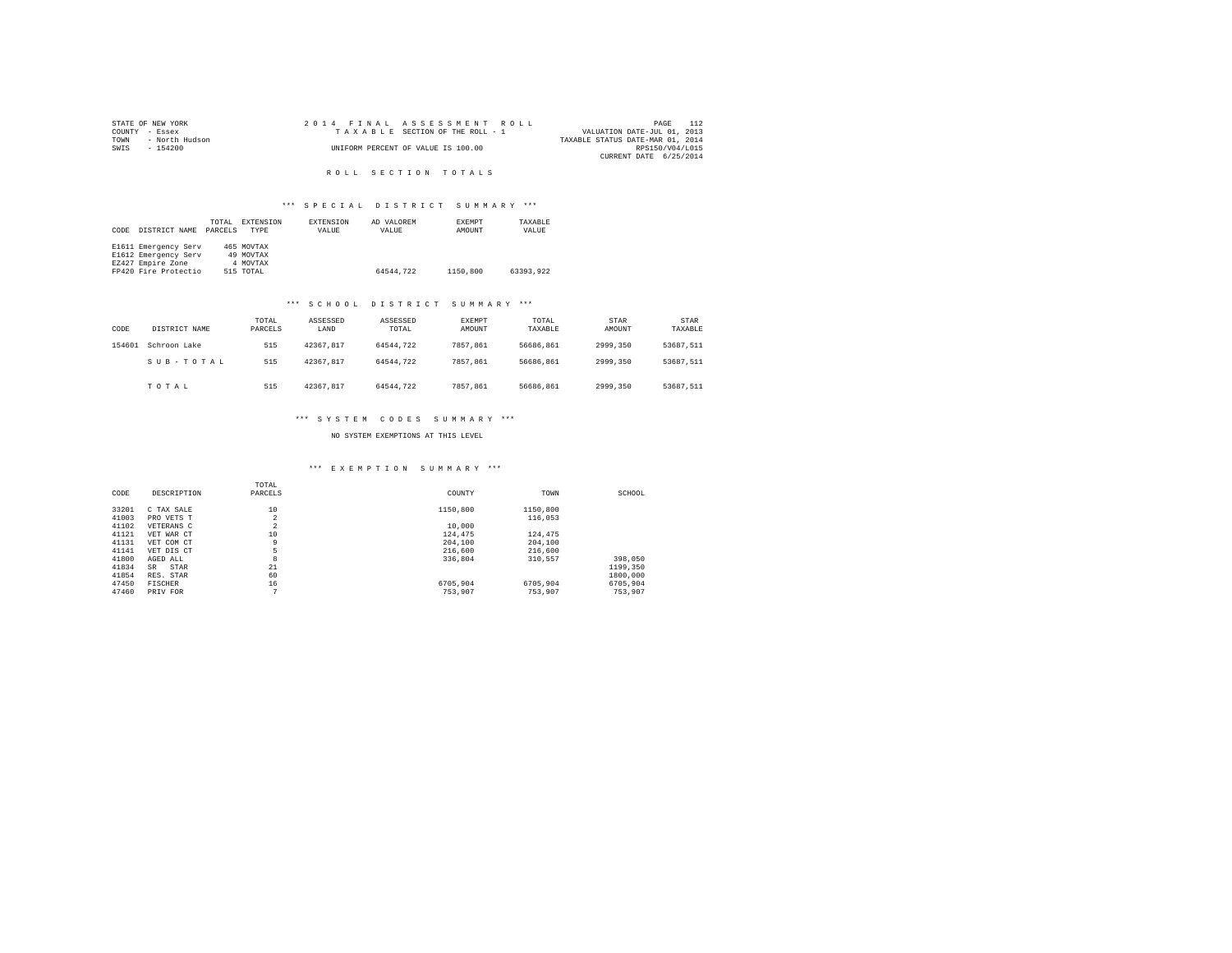|      | STATE OF NEW YORK |  | 2014 FINAL ASSESSMENT ROLL         | PAGE                             | 112 |
|------|-------------------|--|------------------------------------|----------------------------------|-----|
|      | COUNTY - Essex    |  | TAXABLE SECTION OF THE ROLL - 1    | VALUATION DATE-JUL 01, 2013      |     |
| TOWN | - North Hudson    |  |                                    | TAXABLE STATUS DATE-MAR 01, 2014 |     |
| SWIS | $-154200$         |  | UNIFORM PERCENT OF VALUE IS 100.00 | RPS150/V04/L015                  |     |
|      |                   |  |                                    | CURRENT DATE 6/25/2014           |     |

R O L L S E C T I O N T O T A L S

## \*\*\* S P E C I A L D I S T R I C T S U M M A R Y \*\*\*

|      |                      | TOTAL   | EXTENSION  | EXTENSION | AD VALOREM | EXEMPT   | TAXARLE   |
|------|----------------------|---------|------------|-----------|------------|----------|-----------|
| CODE | DISTRICT NAME        | PARCELS | TYPE       | VALUE     | VALUE      | AMOUNT   | VALUE     |
|      |                      |         |            |           |            |          |           |
|      | E1611 Emergency Serv |         | 465 MOVTAX |           |            |          |           |
|      | E1612 Emergency Serv |         | 49 MOVTAX  |           |            |          |           |
|      | EZ427 Empire Zone    |         | 4 MOVTAX   |           |            |          |           |
|      | FP420 Fire Protectio |         | 515 TOTAL  |           | 64544.722  | 1150,800 | 63393.922 |

## \*\*\* S C H O O L D I S T R I C T S U M M A R Y \*\*\*

| CODE   | DISTRICT NAME | TOTAL<br>PARCELS | ASSESSED<br>LAND | ASSESSED<br>TOTAL | <b>EXEMPT</b><br>AMOUNT | TOTAL<br>TAXABLE | STAR<br>AMOUNT | STAR<br>TAXABLE |
|--------|---------------|------------------|------------------|-------------------|-------------------------|------------------|----------------|-----------------|
| 154601 | Schroon Lake  | 515              | 42367.817        | 64544.722         | 7857.861                | 56686.861        | 2999.350       | 53687.511       |
|        | SUB-TOTAL     | 515              | 42367.817        | 64544.722         | 7857.861                | 56686.861        | 2999.350       | 53687.511       |
|        | TOTAL         | 515              | 42367.817        | 64544.722         | 7857.861                | 56686.861        | 2999.350       | 53687.511       |

# \*\*\* S Y S T E M C O D E S S U M M A R Y \*\*\*

## NO SYSTEM EXEMPTIONS AT THIS LEVEL

## \*\*\* E X E M P T I O N S U M M A R Y \*\*\*

| CODE  | DESCRIPTION | TOTAL<br>PARCELS | COUNTY   | TOWN     | SCHOOL   |
|-------|-------------|------------------|----------|----------|----------|
| 33201 | C TAX SALE  | 10               | 1150,800 | 1150,800 |          |
| 41003 | PRO VETS T  | $\overline{2}$   |          | 116,053  |          |
| 41102 | VETERANS C  | $\sim$<br>∠      | 10,000   |          |          |
| 41121 | VET WAR CT  | 10               | 124,475  | 124,475  |          |
| 41131 | VET COM CT  | 9                | 204,100  | 204,100  |          |
| 41141 | VET DIS CT  | 5                | 216,600  | 216,600  |          |
| 41800 | AGED ALL    | 8                | 336,804  | 310.557  | 398,050  |
| 41834 | STAR<br>SR  | 21               |          |          | 1199,350 |
| 41854 | RES. STAR   | 60               |          |          | 1800,000 |
| 47450 | FISCHER     | 16               | 6705.904 | 6705.904 | 6705.904 |
| 47460 | PRIV FOR    | ÷                | 753,907  | 753.907  | 753.907  |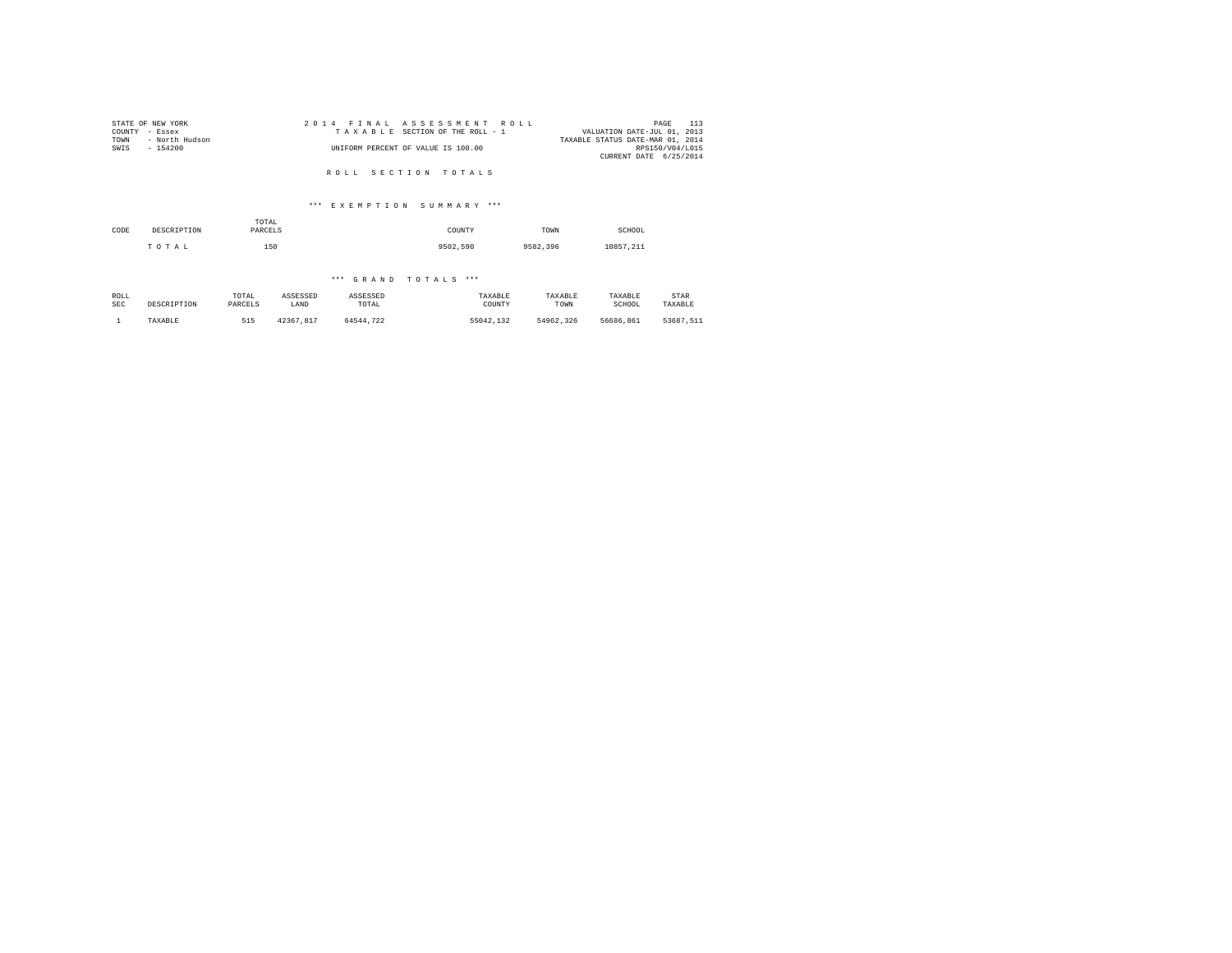| STATE OF NEW YORK      | 2014 FINAL ASSESSMENT ROLL         | 113<br>PAGE                      |
|------------------------|------------------------------------|----------------------------------|
| COUNTY - Essex         | TAXABLE SECTION OF THE ROLL - 1    | VALUATION DATE-JUL 01, 2013      |
| TOWN<br>- North Hudson |                                    | TAXABLE STATUS DATE-MAR 01, 2014 |
| SWIS<br>$-154200$      | UNIFORM PERCENT OF VALUE IS 100.00 | RPS150/V04/L015                  |
|                        |                                    | CURRENT DATE 6/25/2014           |
|                        | ROLL SECTION TOTALS                |                                  |

## \*\*\* E X E M P T I O N S U M M A R Y \*\*\*

| CODE | DESCRIPTION | TOTAL<br>PARCELS | COUNTY   | TOWN     | SCHOOL    |  |
|------|-------------|------------------|----------|----------|-----------|--|
|      | TOTAL       | 150              | 9502.590 | 9582.396 | 10857.211 |  |

## \*\*\* G R A N D T O T A L S \*\*\*

| ROLL       | DESCRIPTION | TOTAL   | ASSESSED  | ASSESSED  | TAXABLE   | TAXABLE   | TAXABLE   | STAR      |
|------------|-------------|---------|-----------|-----------|-----------|-----------|-----------|-----------|
| <b>SEC</b> |             | PARCELS | LAND      | TOTAL     | COUNTY    | TOWN      | SCHOOL    | TAXABLE   |
|            | TAXABLE     | 515     | 42367.817 | 64544.722 | 55042.132 | 54962.326 | 56686.861 | 53687.511 |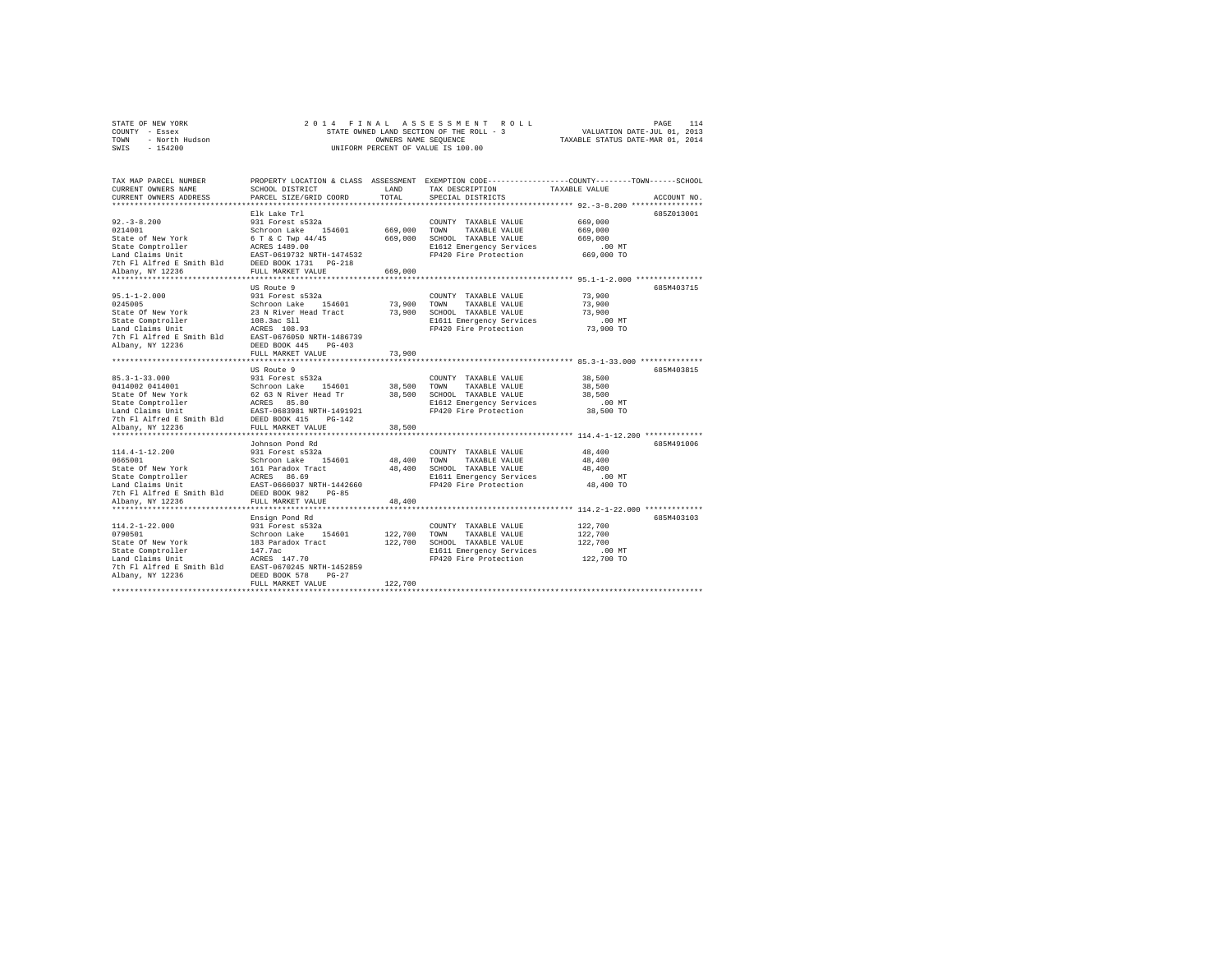|                | STATE OF NEW YORK |  |  |  |  | 2014 FINAL ASSESSMENT ROLL               |                                  | PAGE                        | 114 |
|----------------|-------------------|--|--|--|--|------------------------------------------|----------------------------------|-----------------------------|-----|
| COUNTY - Essex |                   |  |  |  |  | STATE OWNED LAND SECTION OF THE ROLL - 3 |                                  | VALUATION DATE-JUL 01, 2013 |     |
| TOWN           | - North Hudson    |  |  |  |  | OWNERS NAME SEOUENCE                     | TAXABLE STATUS DATE-MAR 01, 2014 |                             |     |
|                | SWIS - 154200     |  |  |  |  | UNIFORM PERCENT OF VALUE IS 100.00       |                                  |                             |     |

| TAX MAP PARCEL NUMBER                                                                                                                                                                                                                                  | PROPERTY LOCATION & CLASS ASSESSMENT EXEMPTION CODE----------------COUNTY-------TOWN------SCHOOL |         |                                                   |                      |             |
|--------------------------------------------------------------------------------------------------------------------------------------------------------------------------------------------------------------------------------------------------------|--------------------------------------------------------------------------------------------------|---------|---------------------------------------------------|----------------------|-------------|
| CURRENT OWNERS NAME                                                                                                                                                                                                                                    | SCHOOL DISTRICT                                                                                  | LAND    | TAX DESCRIPTION TAXABLE VALUE                     |                      |             |
| CURRENT OWNERS ADDRESS                                                                                                                                                                                                                                 | PARCEL SIZE/GRID COORD                                                                           | TOTAL   | SPECIAL DISTRICTS                                 |                      | ACCOUNT NO. |
|                                                                                                                                                                                                                                                        |                                                                                                  |         |                                                   |                      |             |
|                                                                                                                                                                                                                                                        |                                                                                                  |         |                                                   |                      | 685Z013001  |
|                                                                                                                                                                                                                                                        |                                                                                                  |         | COUNTY TAXABLE VALUE 669,000                      |                      |             |
|                                                                                                                                                                                                                                                        |                                                                                                  |         |                                                   | 669,000              |             |
|                                                                                                                                                                                                                                                        |                                                                                                  |         |                                                   | 669,000              |             |
|                                                                                                                                                                                                                                                        |                                                                                                  |         |                                                   | MT.<br>669,000 TO    |             |
|                                                                                                                                                                                                                                                        |                                                                                                  |         |                                                   |                      |             |
|                                                                                                                                                                                                                                                        |                                                                                                  |         |                                                   |                      |             |
|                                                                                                                                                                                                                                                        |                                                                                                  |         |                                                   |                      |             |
|                                                                                                                                                                                                                                                        |                                                                                                  |         |                                                   |                      | 685M403715  |
|                                                                                                                                                                                                                                                        | US Route 9                                                                                       |         |                                                   | 73,900               |             |
|                                                                                                                                                                                                                                                        |                                                                                                  |         |                                                   | 73,900               |             |
|                                                                                                                                                                                                                                                        |                                                                                                  |         |                                                   |                      |             |
|                                                                                                                                                                                                                                                        |                                                                                                  |         |                                                   | 73,900               |             |
|                                                                                                                                                                                                                                                        |                                                                                                  |         | E1611 Emergency Services .00 MT                   |                      |             |
|                                                                                                                                                                                                                                                        |                                                                                                  |         | FP420 Fire Protection                             | 73,900 TO            |             |
|                                                                                                                                                                                                                                                        |                                                                                                  |         |                                                   |                      |             |
|                                                                                                                                                                                                                                                        |                                                                                                  | 73,900  |                                                   |                      |             |
|                                                                                                                                                                                                                                                        | FULL MARKET VALUE                                                                                |         |                                                   |                      |             |
|                                                                                                                                                                                                                                                        | US Route 9                                                                                       |         |                                                   |                      | 685M403815  |
|                                                                                                                                                                                                                                                        |                                                                                                  |         | COUNTY TAXABLE VALUE 38,500                       |                      |             |
|                                                                                                                                                                                                                                                        |                                                                                                  |         |                                                   | 38,500               |             |
|                                                                                                                                                                                                                                                        |                                                                                                  |         |                                                   | 38,500               |             |
|                                                                                                                                                                                                                                                        |                                                                                                  |         |                                                   | $.00$ MT             |             |
|                                                                                                                                                                                                                                                        |                                                                                                  |         | FP420 Fire Protection 38,500 TO                   |                      |             |
|                                                                                                                                                                                                                                                        |                                                                                                  |         |                                                   |                      |             |
|                                                                                                                                                                                                                                                        |                                                                                                  |         |                                                   |                      |             |
|                                                                                                                                                                                                                                                        |                                                                                                  |         |                                                   |                      |             |
|                                                                                                                                                                                                                                                        | Johnson Pond Rd                                                                                  |         |                                                   |                      | 685M491006  |
|                                                                                                                                                                                                                                                        |                                                                                                  |         | COUNTY TAXABLE VALUE                              | 48,400               |             |
|                                                                                                                                                                                                                                                        |                                                                                                  |         | 48,400 TOWN TAXABLE VALUE                         | 48,400               |             |
|                                                                                                                                                                                                                                                        |                                                                                                  |         | 48,400 SCHOOL TAXABLE VALUE                       | 48,400               |             |
|                                                                                                                                                                                                                                                        |                                                                                                  |         |                                                   | $.00$ MT             |             |
| 114.4-1-12.200<br>931 Forest a532a<br>6665001 Pay York<br>State of New York<br>5461 Comptroller<br>114 RERS 86.9<br>116 RERS 86.9<br>123660<br>27th Fl Alfred E Smith Bld<br>7th Fl Alfred E Smith Bld<br>122360<br>27th Fl Alfred E Smith Bld<br>2022 |                                                                                                  |         | E1611 Emergency Services<br>FP420 Fire Protection | 48,400 TO            |             |
|                                                                                                                                                                                                                                                        |                                                                                                  |         |                                                   |                      |             |
|                                                                                                                                                                                                                                                        |                                                                                                  | 48,400  |                                                   |                      |             |
|                                                                                                                                                                                                                                                        |                                                                                                  |         |                                                   |                      |             |
|                                                                                                                                                                                                                                                        | Ensign Pond Rd                                                                                   |         |                                                   |                      | 685M403103  |
|                                                                                                                                                                                                                                                        |                                                                                                  |         |                                                   | 122,700              |             |
|                                                                                                                                                                                                                                                        |                                                                                                  |         |                                                   | 122,700<br>122,700   |             |
|                                                                                                                                                                                                                                                        |                                                                                                  |         |                                                   |                      |             |
|                                                                                                                                                                                                                                                        |                                                                                                  |         | E1611 Emergency Services<br>FP420 Fire Protection | 00 MT.<br>122,700 TO |             |
|                                                                                                                                                                                                                                                        |                                                                                                  |         |                                                   |                      |             |
|                                                                                                                                                                                                                                                        |                                                                                                  |         |                                                   |                      |             |
| 114.2-1-22.000<br>2919 1 POPER 1832<br>2007 122,700 COUNTY TAXABLE VALUE<br>2016 2017 122,700 122,700 122,700 123<br>2016 2017 122,700 123,700 123,700 123,700 123,700 123,700 123,700 123,700 123,700 123,700 123,700 123,700 123,700                 |                                                                                                  |         |                                                   |                      |             |
|                                                                                                                                                                                                                                                        | FULL MARKET VALUE                                                                                | 122,700 |                                                   |                      |             |
|                                                                                                                                                                                                                                                        |                                                                                                  |         |                                                   |                      |             |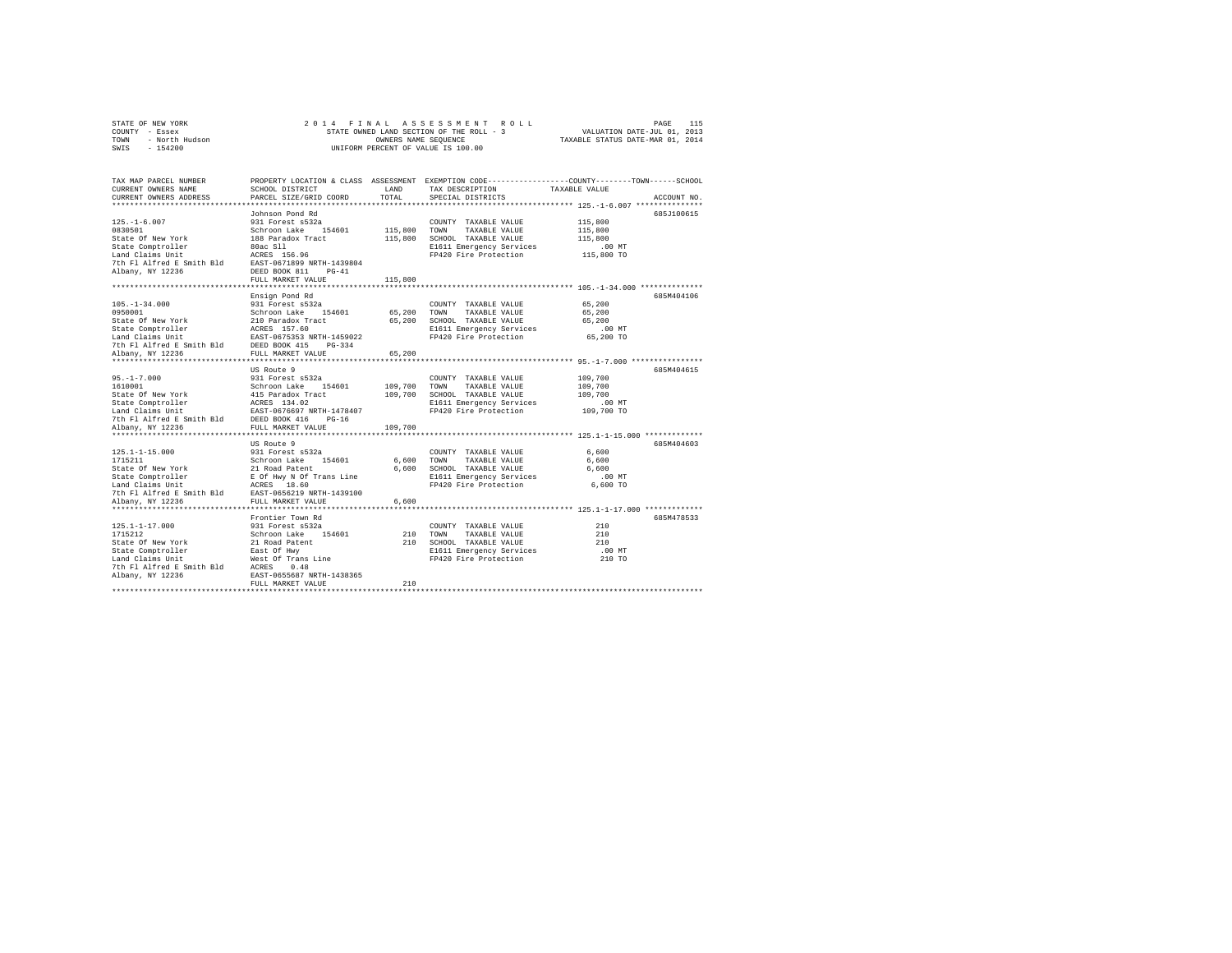| STATE OF NEW YORK      | 2014 FINAL ASSESSMENT ROLL               | 115<br>PAGE                      |
|------------------------|------------------------------------------|----------------------------------|
| COUNTY - Essex         | STATE OWNED LAND SECTION OF THE ROLL - 3 | VALUATION DATE-JUL 01, 2013      |
| - North Hudson<br>TOWN | OWNERS NAME SEOUENCE                     | TAXABLE STATUS DATE-MAR 01, 2014 |
| $-154200$<br>SWIS      | UNIFORM PERCENT OF VALUE IS 100.00       |                                  |
|                        |                                          |                                  |

| TAX MAP PARCEL NUMBER<br>CURRENT OWNERS NAME<br>CURRENT OWNERS ADDRESS | SCHOOL DISTRICT<br>PARCEL SIZE/GRID COORD  | LAND<br>TOTAL | TAX DESCRIPTION<br>SPECIAL DISTRICTS              | PROPERTY LOCATION & CLASS ASSESSMENT EXEMPTION CODE----------------COUNTY-------TOWN-----SCHOOL<br>TAXABLE VALUE<br>ACCOUNT NO. |
|------------------------------------------------------------------------|--------------------------------------------|---------------|---------------------------------------------------|---------------------------------------------------------------------------------------------------------------------------------|
| ************************                                               |                                            |               |                                                   |                                                                                                                                 |
|                                                                        | Johnson Pond Rd                            |               |                                                   | 685J100615                                                                                                                      |
| $125. - 1 - 6.007$                                                     | 931 Forest s532a                           |               | COUNTY TAXABLE VALUE                              | 115,800                                                                                                                         |
| 0830501                                                                | Schroon Lake<br>154601                     | 115,800       | TOWN<br>TAXABLE VALUE                             | 115,800                                                                                                                         |
| State Of New York                                                      | 188 Paradox Tract                          | 115,800       | SCHOOL TAXABLE VALUE                              | 115,800                                                                                                                         |
| State Comptroller                                                      | 80ac S11                                   |               | E1611 Emergency Services                          | $.00$ MT                                                                                                                        |
| Land Claims Unit                                                       | ACRES 156.96                               |               | FP420 Fire Protection                             | 115,800 TO                                                                                                                      |
| 7th Fl Alfred E Smith Bld                                              | EAST-0671899 NRTH-1439804                  |               |                                                   |                                                                                                                                 |
| Albany, NY 12236                                                       | DEED BOOK 811<br>$PG-41$                   |               |                                                   |                                                                                                                                 |
|                                                                        | FULL MARKET VALUE                          | 115,800       |                                                   |                                                                                                                                 |
|                                                                        | **************************                 |               |                                                   | ************************************ 105.-1-34.000 **************                                                               |
|                                                                        | Ensign Pond Rd                             |               |                                                   | 685M404106                                                                                                                      |
| $105. - 1 - 34.000$                                                    | 931 Forest s532a                           |               | COUNTY TAXABLE VALUE                              | 65,200                                                                                                                          |
| 0950001                                                                | Schroon Lake 154601                        | 65,200 TOWN   | TAXABLE VALUE                                     | 65,200                                                                                                                          |
| State Of New York                                                      | 210 Paradox Tract                          | 65,200        | SCHOOL TAXABLE VALUE                              | 65,200                                                                                                                          |
| State Comptroller                                                      | ACRES 157.60                               |               | E1611 Emergency Services                          | $.00$ MT                                                                                                                        |
| Land Claims Unit<br>7th Fl Alfred E Smith Bld                          | EAST-0675353 NRTH-1459022<br>DEED BOOK 415 |               | FP420 Fire Protection                             | 65,200 TO                                                                                                                       |
| Albany, NY 12236                                                       | $PG-334$<br>FULL MARKET VALUE              | 65,200        |                                                   |                                                                                                                                 |
| ***********************                                                | *************************                  |               |                                                   |                                                                                                                                 |
|                                                                        | US Route 9                                 |               |                                                   | 685M404615                                                                                                                      |
| $95. - 1 - 7.000$                                                      | 931 Forest s532a                           |               | COUNTY TAXABLE VALUE                              | 109,700                                                                                                                         |
| 1610001                                                                | Schroon Lake 154601                        | 109,700       | TOWN<br>TAXABLE VALUE                             | 109,700                                                                                                                         |
| State Of New York                                                      | 415 Paradox Tract                          | 109,700       | SCHOOL TAXABLE VALUE                              | 109,700                                                                                                                         |
| State Comptroller                                                      | ACRES 134.02                               |               | E1611 Emergency Services                          | $.00$ MT                                                                                                                        |
| Land Claims Unit                                                       | EAST-0676697 NRTH-1478407                  |               | FP420 Fire Protection                             | 109,700 TO                                                                                                                      |
| 7th Fl Alfred E Smith Bld DEED BOOK 416                                | $PG-16$                                    |               |                                                   |                                                                                                                                 |
| Albany, NY 12236                                                       | FULL MARKET VALUE                          | 109,700       |                                                   |                                                                                                                                 |
|                                                                        |                                            |               |                                                   |                                                                                                                                 |
|                                                                        | US Route 9                                 |               |                                                   | 685M404603                                                                                                                      |
| $125.1 - 1 - 15.000$                                                   | 931 Forest s532a                           |               | COUNTY TAXABLE VALUE                              | 6.600                                                                                                                           |
| 1715211                                                                | Schroon Lake 154601                        | 6.600 TOWN    | TAXABLE VALUE                                     | 6,600                                                                                                                           |
| State Of New York                                                      | 21 Road Patent                             | 6,600         | SCHOOL TAXABLE VALUE                              | 6,600                                                                                                                           |
| State Comptroller                                                      | E Of Hwy N Of Trans Line                   |               | E1611 Emergency Services                          | .00 MT                                                                                                                          |
| Land Claims Unit                                                       | ACRES 18.60                                |               | FP420 Fire Protection                             | 6,600 TO                                                                                                                        |
| 7th Fl Alfred E Smith Bld                                              | EAST-0656219 NRTH-1439100                  |               |                                                   |                                                                                                                                 |
| Albany, NY 12236                                                       | FULL MARKET VALUE                          | 6,600         |                                                   |                                                                                                                                 |
|                                                                        |                                            |               |                                                   |                                                                                                                                 |
|                                                                        | Frontier Town Rd                           |               |                                                   | 685M478533                                                                                                                      |
| $125.1 - 1 - 17.000$                                                   | 931 Forest s532a                           |               | COUNTY TAXABLE VALUE                              | 210                                                                                                                             |
| 1715212                                                                | Schroon Lake 154601                        | 210           | TOWN<br>TAXABLE VALUE                             | 210                                                                                                                             |
| State Of New York                                                      | 21 Road Patent                             |               | 210 SCHOOL TAXABLE VALUE                          | 210                                                                                                                             |
| State Comptroller<br>Land Claims Unit                                  | East Of Hwy                                |               | E1611 Emergency Services<br>FP420 Fire Protection | .00 MT<br>210 TO                                                                                                                |
| 7th Fl Alfred E Smith Bld                                              | West Of Trans Line<br>ACRES<br>0.48        |               |                                                   |                                                                                                                                 |
| Albany, NY 12236                                                       | EAST-0655687 NRTH-1438365                  |               |                                                   |                                                                                                                                 |
|                                                                        | FULL MARKET VALUE                          | 210           |                                                   |                                                                                                                                 |
|                                                                        |                                            |               |                                                   |                                                                                                                                 |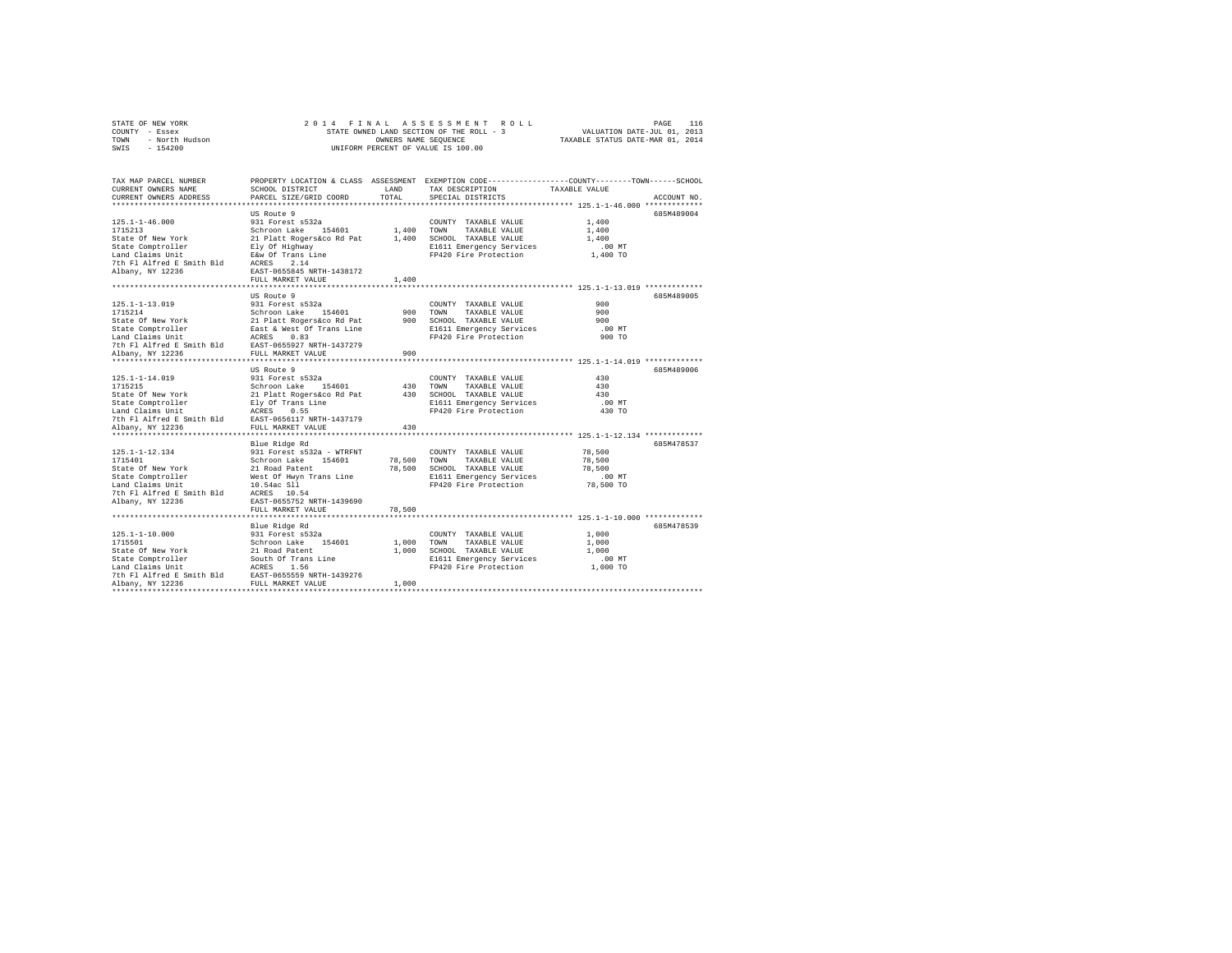|      | STATE OF NEW YORK |  |  |  | 2014 FINAL ASSESSMENT ROLL               |  |  |  |                                  | PAGE | 116 |
|------|-------------------|--|--|--|------------------------------------------|--|--|--|----------------------------------|------|-----|
|      | COUNTY - Essex    |  |  |  | STATE OWNED LAND SECTION OF THE ROLL - 3 |  |  |  | VALUATION DATE-JUL 01, 2013      |      |     |
| TOWN | - North Hudson    |  |  |  | OWNERS NAME SEOUENCE                     |  |  |  | TAXABLE STATUS DATE-MAR 01, 2014 |      |     |
| SWIS | $-154200$         |  |  |  | UNIFORM PERCENT OF VALUE IS 100.00       |  |  |  |                                  |      |     |

| TAX MAP PARCEL NUMBER<br>CURRENT OWNERS NAME<br>CURRENT OWNERS ADDRESS                                                                                                                                                                   | SCHOOL DISTRICT<br>PARCEL SIZE/GRID COORD | TOTAL  | LAND TAX DESCRIPTION<br>SPECIAL DISTRICTS                           | PROPERTY LOCATION & CLASS ASSESSMENT EXEMPTION CODE---------------COUNTY-------TOWN------SCHOOL<br>TAXABLE VALUE<br>ACCOUNT NO. |
|------------------------------------------------------------------------------------------------------------------------------------------------------------------------------------------------------------------------------------------|-------------------------------------------|--------|---------------------------------------------------------------------|---------------------------------------------------------------------------------------------------------------------------------|
|                                                                                                                                                                                                                                          |                                           |        |                                                                     |                                                                                                                                 |
|                                                                                                                                                                                                                                          | US Route 9                                |        |                                                                     | 685M489004                                                                                                                      |
|                                                                                                                                                                                                                                          |                                           |        | COUNTY TAXABLE VALUE                                                | 1,400                                                                                                                           |
|                                                                                                                                                                                                                                          |                                           |        |                                                                     | 1,400                                                                                                                           |
|                                                                                                                                                                                                                                          |                                           |        |                                                                     | 1,400                                                                                                                           |
|                                                                                                                                                                                                                                          |                                           |        | E1611 Emergency Services<br>FP420 Fire Protection                   | $.00$ MT                                                                                                                        |
|                                                                                                                                                                                                                                          |                                           |        |                                                                     | 1,400 TO                                                                                                                        |
|                                                                                                                                                                                                                                          |                                           |        |                                                                     |                                                                                                                                 |
|                                                                                                                                                                                                                                          |                                           |        |                                                                     |                                                                                                                                 |
|                                                                                                                                                                                                                                          | FULL MARKET VALUE                         | 1,400  |                                                                     |                                                                                                                                 |
|                                                                                                                                                                                                                                          | US Route 9                                |        |                                                                     | 685M489005                                                                                                                      |
|                                                                                                                                                                                                                                          |                                           |        |                                                                     | 900                                                                                                                             |
|                                                                                                                                                                                                                                          |                                           |        |                                                                     | 900                                                                                                                             |
|                                                                                                                                                                                                                                          |                                           |        |                                                                     | 900                                                                                                                             |
|                                                                                                                                                                                                                                          |                                           |        | E1611 Emergency Services                                            | $.00$ MT                                                                                                                        |
|                                                                                                                                                                                                                                          |                                           |        | FP420 Fire Protection                                               | 900 TO                                                                                                                          |
|                                                                                                                                                                                                                                          |                                           |        |                                                                     |                                                                                                                                 |
| 125.1-1-13.019<br>125.1-1-13.019<br>127.5214 128.1 129.1 129.1 129.1 129.1 129.1 129.1 129.1 129.1 129.1 129.1 129.1 129.1 129.1 129.1 129.1 129.1<br>128.1 129.1 129.1 129.1 129.1 129.1 129.1 129.1 129.1 129.1 129.1 129.1 129.1      |                                           |        |                                                                     |                                                                                                                                 |
|                                                                                                                                                                                                                                          |                                           |        |                                                                     |                                                                                                                                 |
|                                                                                                                                                                                                                                          | US Route 9                                |        |                                                                     | 685M489006                                                                                                                      |
|                                                                                                                                                                                                                                          |                                           |        | COUNTY TAXABLE VALUE                                                | 430                                                                                                                             |
|                                                                                                                                                                                                                                          |                                           |        |                                                                     | 430                                                                                                                             |
|                                                                                                                                                                                                                                          |                                           |        |                                                                     | 430<br>$.00$ MT                                                                                                                 |
|                                                                                                                                                                                                                                          |                                           |        |                                                                     | 430 TO                                                                                                                          |
|                                                                                                                                                                                                                                          |                                           |        |                                                                     |                                                                                                                                 |
| 125.1-1-14.019 931 Forest e532a COUNTY TAXABLE VALUE<br>1715215<br>Schroon Lake 154601 430 TOWN TAXABLE VALUE<br>State Of New York 21 Plat Rogers 4601 430 SCHOOL TAXABLE VALUE<br>State Comptroller Ely of Trans Line<br>The AGRES 0.55 |                                           |        |                                                                     |                                                                                                                                 |
|                                                                                                                                                                                                                                          |                                           |        |                                                                     |                                                                                                                                 |
|                                                                                                                                                                                                                                          | Blue Ridge Rd                             |        |                                                                     | 685M478537                                                                                                                      |
|                                                                                                                                                                                                                                          |                                           |        | COUNTY TAXABLE VALUE                                                | 78,500                                                                                                                          |
|                                                                                                                                                                                                                                          |                                           |        | 78,500 TOWN TAXABLE VALUE                                           | 78,500                                                                                                                          |
|                                                                                                                                                                                                                                          |                                           |        | 78.500 SCHOOL TAXABLE VALUE                                         | 78,500                                                                                                                          |
| 125.1-1-12.134 931 Forest as 122 and 125.1-1-12.134 931 Forest as 232 - WTRFNT<br>1715401 931 Forest as 232 - WTRFNT<br>5tate of New York 21 Road Patent<br>16.1 and Claims Unit 10.54 of Hayn Trans Line<br>7th F1 Alfred E Smith Bld   |                                           |        | E1611 Emergency Services 6.00 MT<br>FP420 Fire Protection 78,500 TO |                                                                                                                                 |
|                                                                                                                                                                                                                                          |                                           |        |                                                                     |                                                                                                                                 |
|                                                                                                                                                                                                                                          |                                           |        |                                                                     |                                                                                                                                 |
|                                                                                                                                                                                                                                          |                                           |        |                                                                     |                                                                                                                                 |
|                                                                                                                                                                                                                                          | FULL MARKET VALUE                         | 78,500 |                                                                     |                                                                                                                                 |
|                                                                                                                                                                                                                                          |                                           |        |                                                                     | 685M478539                                                                                                                      |
|                                                                                                                                                                                                                                          |                                           |        | COUNTY TAXABLE VALUE                                                | 1,000                                                                                                                           |
|                                                                                                                                                                                                                                          |                                           |        | COUNTY TAXABLE VALUE<br>1,000 TOWN TAXABLE VALUE                    | 1,000                                                                                                                           |
|                                                                                                                                                                                                                                          |                                           |        | 1,000 SCHOOL TAXABLE VALUE                                          | 1,000                                                                                                                           |
|                                                                                                                                                                                                                                          |                                           |        | E1611 Emergency Services                                            | $.00$ MT                                                                                                                        |
|                                                                                                                                                                                                                                          |                                           |        | FP420 Fire Protection                                               | 1,000 TO                                                                                                                        |
|                                                                                                                                                                                                                                          |                                           |        |                                                                     |                                                                                                                                 |
|                                                                                                                                                                                                                                          |                                           | 1,000  |                                                                     |                                                                                                                                 |
|                                                                                                                                                                                                                                          |                                           |        |                                                                     |                                                                                                                                 |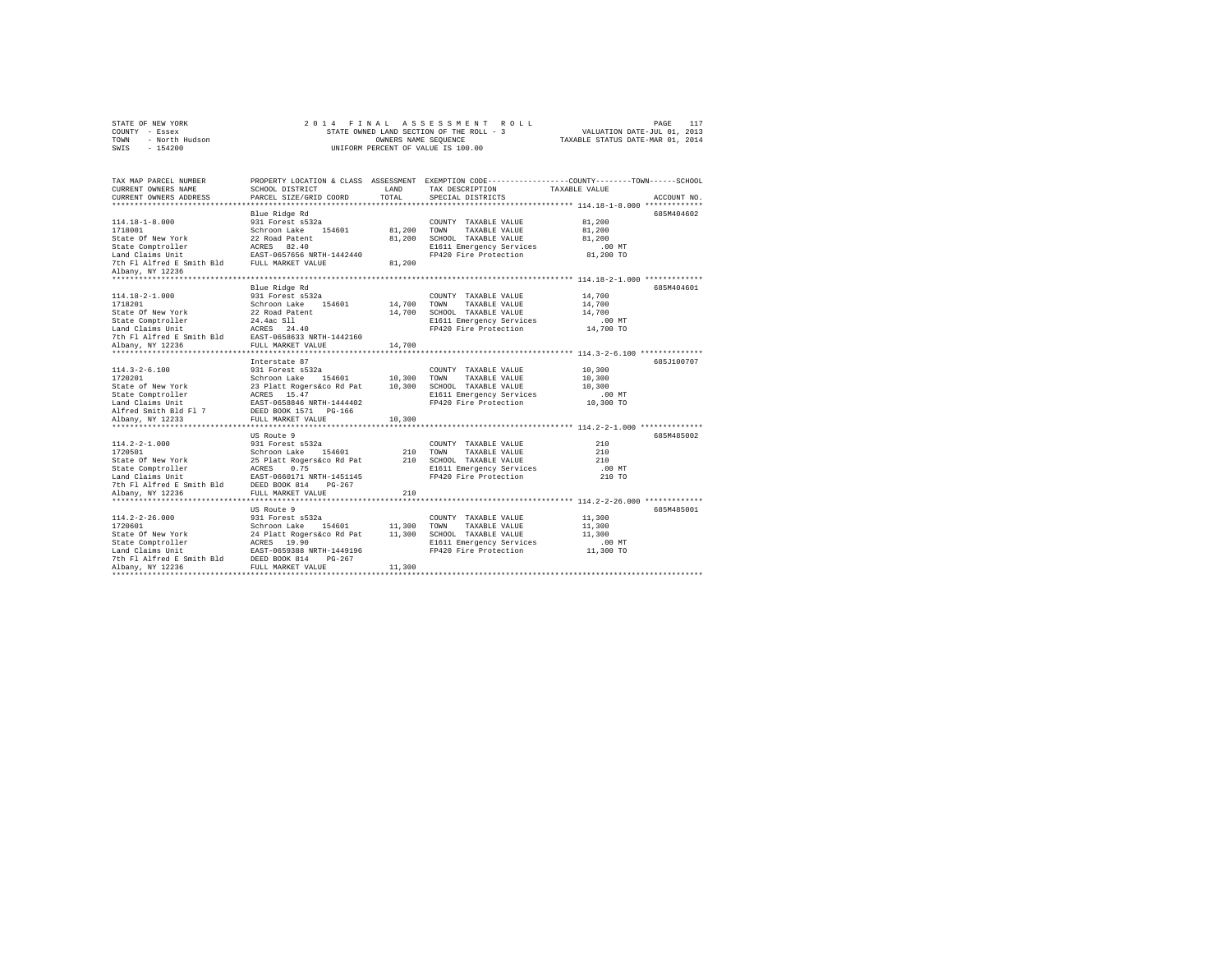| STATE OF NEW YORK      | 2014 FINAL ASSESSMENT ROLL               | 117<br>PAGE                      |
|------------------------|------------------------------------------|----------------------------------|
| COUNTY - Essex         | STATE OWNED LAND SECTION OF THE ROLL - 3 | VALUATION DATE-JUL 01, 2013      |
| - North Hudson<br>TOWN | OWNERS NAME SEOUENCE                     | TAXABLE STATUS DATE-MAR 01, 2014 |
| $-154200$<br>SWIS      | UNIFORM PERCENT OF VALUE IS 100.00       |                                  |

| TAX MAP PARCEL NUMBER                                                                                                                                                                                                                      |                   |        |                                 | PROPERTY LOCATION & CLASS ASSESSMENT EXEMPTION CODE----------------COUNTY-------TOWN-----SCHOOL |
|--------------------------------------------------------------------------------------------------------------------------------------------------------------------------------------------------------------------------------------------|-------------------|--------|---------------------------------|-------------------------------------------------------------------------------------------------|
| CURRENT OWNERS NAME                                                                                                                                                                                                                        | SCHOOL DISTRICT   | LAND   | TAX DESCRIPTION TAXABLE VALUE   |                                                                                                 |
| CURRENT OWNERS ADDRESS PARCEL SIZE/GRID COORD                                                                                                                                                                                              |                   | TOTAL  | SPECIAL DISTRICTS               | ACCOUNT NO.                                                                                     |
|                                                                                                                                                                                                                                            |                   |        |                                 |                                                                                                 |
|                                                                                                                                                                                                                                            | Blue Ridge Rd     |        |                                 | 685M404602                                                                                      |
|                                                                                                                                                                                                                                            |                   |        |                                 | 81,200                                                                                          |
|                                                                                                                                                                                                                                            |                   |        |                                 | 81,200                                                                                          |
|                                                                                                                                                                                                                                            |                   |        | 81,200 SCHOOL TAXABLE VALUE     | 81,200                                                                                          |
|                                                                                                                                                                                                                                            |                   |        | E1611 Emergency Services        | $.00$ MT                                                                                        |
|                                                                                                                                                                                                                                            |                   |        | FP420 Fire Protection 81,200 TO |                                                                                                 |
| 114.18-1-8.000<br>1718001 118001 1231 7000182 146601<br>1718001 1232 170001 1242 154601<br>1718001 1242 164601<br>1718001 1242 164601<br>1718001 1242 171801 1242 164601<br>184001 1242 17181 118001 1242 1442 1442 1442 17181 17181 17181 |                   |        |                                 |                                                                                                 |
| Albany, NY 12236                                                                                                                                                                                                                           |                   |        |                                 |                                                                                                 |
|                                                                                                                                                                                                                                            |                   |        |                                 |                                                                                                 |
|                                                                                                                                                                                                                                            | Blue Ridge Rd     |        |                                 | 685M404601                                                                                      |
| 114.18-2-1.000                                                                                                                                                                                                                             | 931 Forest s532a  |        | COUNTY TAXABLE VALUE            | 14,700                                                                                          |
|                                                                                                                                                                                                                                            |                   |        |                                 | 14,700                                                                                          |
|                                                                                                                                                                                                                                            |                   |        |                                 | 14,700                                                                                          |
|                                                                                                                                                                                                                                            |                   |        |                                 | $.00$ MT                                                                                        |
|                                                                                                                                                                                                                                            |                   |        |                                 | 14,700 TO                                                                                       |
|                                                                                                                                                                                                                                            |                   |        |                                 |                                                                                                 |
|                                                                                                                                                                                                                                            |                   |        |                                 |                                                                                                 |
|                                                                                                                                                                                                                                            |                   |        |                                 |                                                                                                 |
|                                                                                                                                                                                                                                            | Interstate 87     |        |                                 | 685.7100707                                                                                     |
| 114.3-2-6.100<br>1720201 - 114.5-2020 - 114601 - 114.70201 - 124.7020201<br>State of New York - 23 Platt Rogers&co Rd Pat 10,300 SCHOOL TAXABLE VALUE<br>State Comptroller - ACRES 15.47<br>EAST-0658846 NRTH-1444402 - 12420 Fire Protect |                   |        | COUNTY TAXABLE VALUE 10,300     |                                                                                                 |
|                                                                                                                                                                                                                                            |                   |        |                                 | 10,300                                                                                          |
|                                                                                                                                                                                                                                            |                   |        |                                 | 10,300                                                                                          |
|                                                                                                                                                                                                                                            |                   |        |                                 | .00 MT                                                                                          |
|                                                                                                                                                                                                                                            |                   |        | FP420 Fire Protection           | $10,300$ TO                                                                                     |
| Alfred Smith Bld Fl 7 DEED BOOK 1571 PG-166                                                                                                                                                                                                |                   |        |                                 |                                                                                                 |
| Albany, NY 12233                                                                                                                                                                                                                           | FULL MARKET VALUE | 10,300 |                                 |                                                                                                 |
|                                                                                                                                                                                                                                            |                   |        |                                 |                                                                                                 |
|                                                                                                                                                                                                                                            | US Route 9        |        |                                 | 685M485002                                                                                      |
|                                                                                                                                                                                                                                            |                   |        |                                 | 210                                                                                             |
|                                                                                                                                                                                                                                            |                   |        |                                 | 210                                                                                             |
|                                                                                                                                                                                                                                            |                   |        |                                 | 2.1.0                                                                                           |
|                                                                                                                                                                                                                                            |                   |        | E1611 Emergency Services        | $.00$ MT                                                                                        |
|                                                                                                                                                                                                                                            |                   |        | FP420 Fire Protection           | 210 TO                                                                                          |
|                                                                                                                                                                                                                                            |                   |        |                                 |                                                                                                 |
|                                                                                                                                                                                                                                            |                   |        |                                 |                                                                                                 |
|                                                                                                                                                                                                                                            |                   |        |                                 |                                                                                                 |
|                                                                                                                                                                                                                                            | US Route 9        |        |                                 | 685M485001                                                                                      |
|                                                                                                                                                                                                                                            |                   |        |                                 | 11,300                                                                                          |
|                                                                                                                                                                                                                                            |                   |        |                                 | 11,300                                                                                          |
|                                                                                                                                                                                                                                            |                   |        |                                 | 11,300                                                                                          |
|                                                                                                                                                                                                                                            |                   |        | E1611 Emergency Services .00 MT |                                                                                                 |
|                                                                                                                                                                                                                                            |                   |        | FP420 Fire Protection           | 11,300 TO                                                                                       |
|                                                                                                                                                                                                                                            |                   |        |                                 |                                                                                                 |
|                                                                                                                                                                                                                                            |                   |        |                                 |                                                                                                 |
|                                                                                                                                                                                                                                            |                   |        |                                 |                                                                                                 |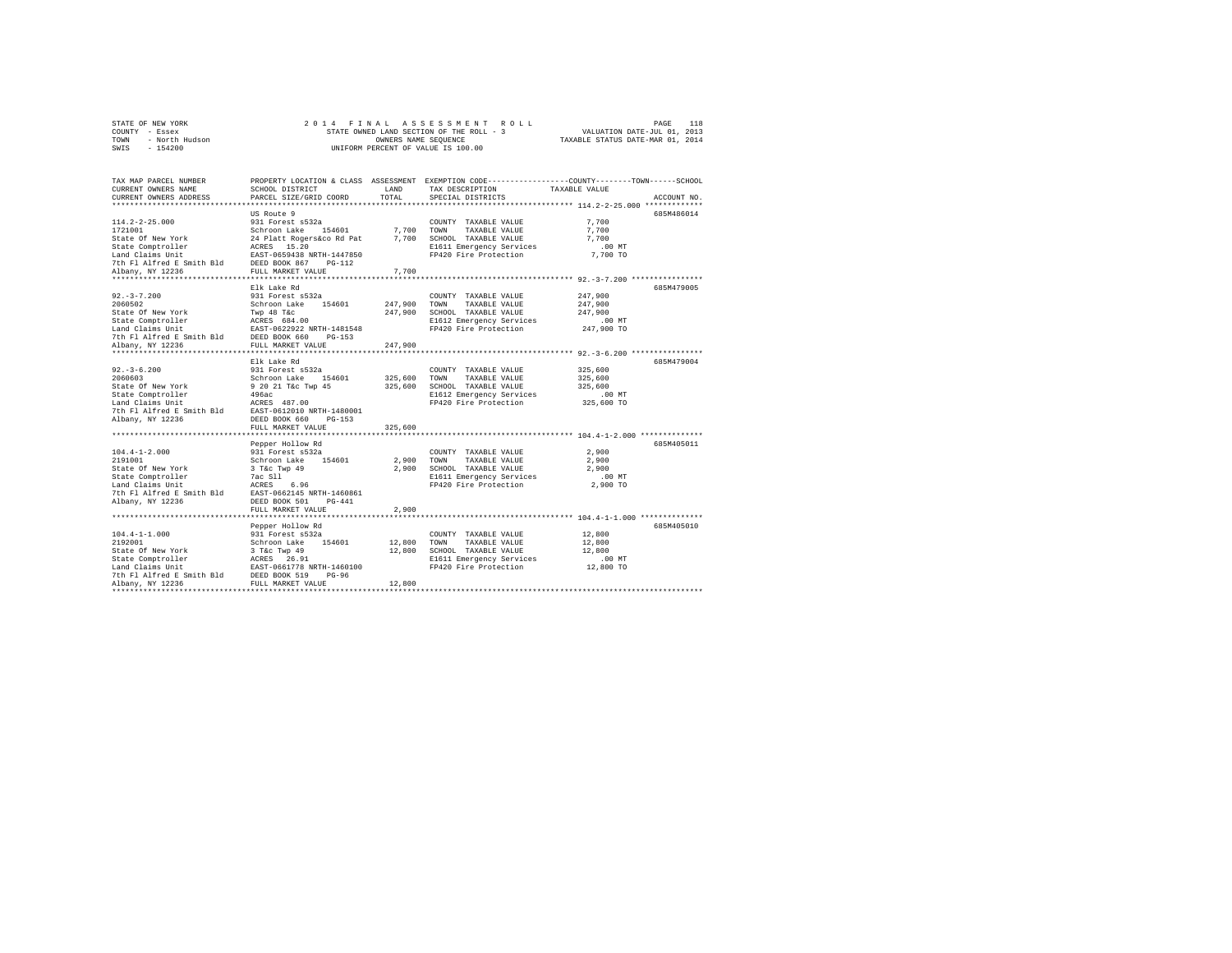|                | STATE OF NEW YORK |  | 2014 FINAL ASSESSMENT ROLL               |                                  | PAGE | 118 |
|----------------|-------------------|--|------------------------------------------|----------------------------------|------|-----|
| COUNTY - Essex |                   |  | STATE OWNED LAND SECTION OF THE ROLL - 3 | VALUATION DATE-JUL 01, 2013      |      |     |
| TOWN           | - North Hudson    |  | OWNERS NAME SEOUENCE                     | TAXABLE STATUS DATE-MAR 01, 2014 |      |     |
|                | SWIS - 154200     |  | UNIFORM PERCENT OF VALUE IS 100.00       |                                  |      |     |

| TAX MAP PARCEL NUMBER                                                                                                                                                                                                                        |                           |       |                                                                                             | PROPERTY LOCATION & CLASS ASSESSMENT EXEMPTION CODE---------------COUNTY-------TOWN------SCHOOL |
|----------------------------------------------------------------------------------------------------------------------------------------------------------------------------------------------------------------------------------------------|---------------------------|-------|---------------------------------------------------------------------------------------------|-------------------------------------------------------------------------------------------------|
| CURRENT OWNERS NAME                                                                                                                                                                                                                          | SCHOOL DISTRICT LAND      |       | TAX DESCRIPTION TAXABLE VALUE SPECIAL DISTRICTS                                             |                                                                                                 |
| CURRENT OWNERS ADDRESS PARCEL SIZE/GRID COORD TOTAL                                                                                                                                                                                          |                           |       |                                                                                             | ACCOUNT NO.                                                                                     |
|                                                                                                                                                                                                                                              |                           |       |                                                                                             | 685M486014                                                                                      |
|                                                                                                                                                                                                                                              |                           |       | COUNTY TAXABLE VALUE 7,700                                                                  |                                                                                                 |
|                                                                                                                                                                                                                                              |                           |       |                                                                                             | 7,700                                                                                           |
|                                                                                                                                                                                                                                              |                           |       |                                                                                             | 7,700                                                                                           |
|                                                                                                                                                                                                                                              |                           |       |                                                                                             | 00000                                                                                           |
|                                                                                                                                                                                                                                              |                           |       |                                                                                             |                                                                                                 |
|                                                                                                                                                                                                                                              |                           |       |                                                                                             |                                                                                                 |
|                                                                                                                                                                                                                                              |                           |       |                                                                                             |                                                                                                 |
|                                                                                                                                                                                                                                              |                           |       |                                                                                             |                                                                                                 |
|                                                                                                                                                                                                                                              | Elk Lake Rd               |       |                                                                                             | 685M479005                                                                                      |
| 92.-3-7.200<br>2006/92. 2007<br>2008/931 Forest s532a<br>247,900 TOWN TAXABLE VALUE<br>247,900 TOWN TAXABLE VALUE<br>247,900 TOWN TAXABLE VALUE<br>247,900 SCHOOL TAXABLE VALUE<br>247,900 EDICA ENSING ENTERTING ESSED ENTERTY SERVICES<br> |                           |       |                                                                                             | 247,900                                                                                         |
|                                                                                                                                                                                                                                              |                           |       |                                                                                             | 247,900                                                                                         |
|                                                                                                                                                                                                                                              |                           |       |                                                                                             | 247,900                                                                                         |
|                                                                                                                                                                                                                                              |                           |       | SCHOOL TAAAbin vanum<br>E1612 Emergency Services .00 MT<br>Phann Fire Protection 247,900 TO |                                                                                                 |
|                                                                                                                                                                                                                                              |                           |       |                                                                                             |                                                                                                 |
|                                                                                                                                                                                                                                              |                           |       |                                                                                             |                                                                                                 |
|                                                                                                                                                                                                                                              |                           |       |                                                                                             |                                                                                                 |
|                                                                                                                                                                                                                                              |                           |       |                                                                                             |                                                                                                 |
|                                                                                                                                                                                                                                              | Elk Lake Rd               |       |                                                                                             | 685M479004                                                                                      |
|                                                                                                                                                                                                                                              |                           |       |                                                                                             |                                                                                                 |
|                                                                                                                                                                                                                                              |                           |       |                                                                                             |                                                                                                 |
|                                                                                                                                                                                                                                              |                           |       |                                                                                             | 325,600<br>00 MT.<br>325,600 TO                                                                 |
|                                                                                                                                                                                                                                              |                           |       |                                                                                             |                                                                                                 |
|                                                                                                                                                                                                                                              |                           |       |                                                                                             |                                                                                                 |
|                                                                                                                                                                                                                                              |                           |       |                                                                                             |                                                                                                 |
| Albany, NY 12236                                                                                                                                                                                                                             | DEED BOOK 660 PG-153      |       |                                                                                             |                                                                                                 |
|                                                                                                                                                                                                                                              | FULL MARKET VALUE 325,600 |       |                                                                                             |                                                                                                 |
|                                                                                                                                                                                                                                              |                           |       |                                                                                             |                                                                                                 |
|                                                                                                                                                                                                                                              | Pepper Hollow Rd          |       |                                                                                             | 685M405011                                                                                      |
|                                                                                                                                                                                                                                              |                           |       |                                                                                             | 2,900                                                                                           |
|                                                                                                                                                                                                                                              |                           |       |                                                                                             | 2,900                                                                                           |
|                                                                                                                                                                                                                                              |                           |       |                                                                                             | 2,900                                                                                           |
|                                                                                                                                                                                                                                              |                           |       | E1611 Emergency Services .00 MT<br>FP420 Fire Protection 2,900 TO                           |                                                                                                 |
|                                                                                                                                                                                                                                              |                           |       |                                                                                             |                                                                                                 |
|                                                                                                                                                                                                                                              |                           |       |                                                                                             |                                                                                                 |
|                                                                                                                                                                                                                                              |                           |       |                                                                                             |                                                                                                 |
|                                                                                                                                                                                                                                              | FULL MARKET VALUE         | 2,900 |                                                                                             |                                                                                                 |
|                                                                                                                                                                                                                                              |                           |       |                                                                                             |                                                                                                 |
|                                                                                                                                                                                                                                              |                           |       |                                                                                             | 685M405010                                                                                      |
|                                                                                                                                                                                                                                              |                           |       |                                                                                             |                                                                                                 |
|                                                                                                                                                                                                                                              |                           |       |                                                                                             |                                                                                                 |
|                                                                                                                                                                                                                                              |                           |       |                                                                                             |                                                                                                 |
|                                                                                                                                                                                                                                              |                           |       |                                                                                             |                                                                                                 |
|                                                                                                                                                                                                                                              |                           |       |                                                                                             |                                                                                                 |
|                                                                                                                                                                                                                                              |                           |       |                                                                                             |                                                                                                 |
|                                                                                                                                                                                                                                              |                           |       |                                                                                             |                                                                                                 |
|                                                                                                                                                                                                                                              |                           |       |                                                                                             |                                                                                                 |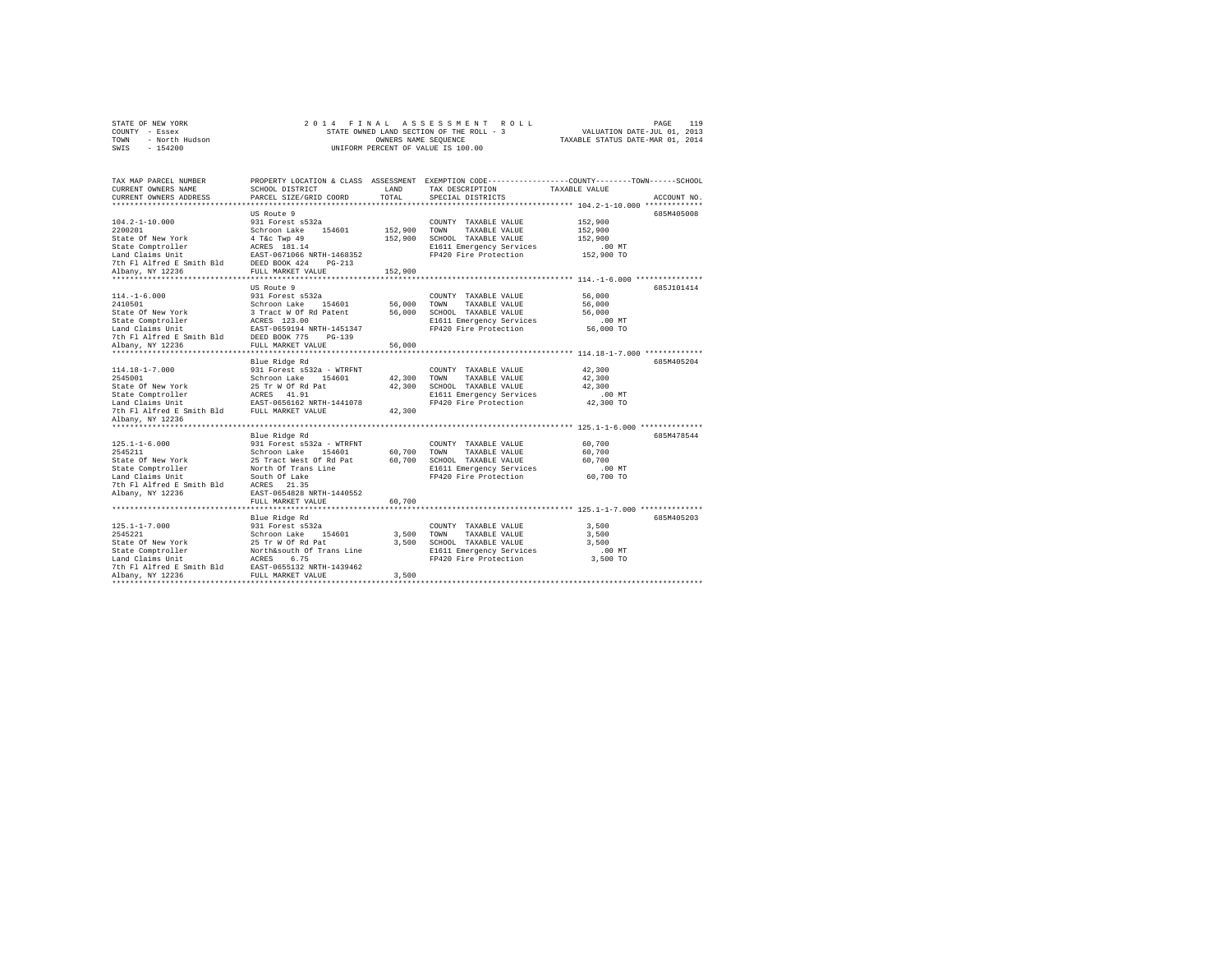|      | STATE OF NEW YORK |  | 2014 FINAL ASSESSMENT ROLL               |                                  | PAGE | 119 |
|------|-------------------|--|------------------------------------------|----------------------------------|------|-----|
|      | COUNTY - Essex    |  | STATE OWNED LAND SECTION OF THE ROLL - 3 | VALUATION DATE-JUL 01, 2013      |      |     |
| TOWN | - North Hudson    |  | OWNERS NAME SEOUENCE                     | TAXABLE STATUS DATE-MAR 01, 2014 |      |     |
| SWIS | $-154200$         |  | UNIFORM PERCENT OF VALUE IS 100.00       |                                  |      |     |

| TAX MAP PARCEL NUMBER<br>CURRENT OWNERS NAME<br>CURRENT OWNERS ADDRESS                                                                                                    | SCHOOL DISTRICT<br>PARCEL SIZE/GRID COORD                                                                                                                                                                   | LAND<br>TOTAL                                  | TAX DESCRIPTION<br>SPECIAL DISTRICTS                                                                                       | PROPERTY LOCATION & CLASS ASSESSMENT EXEMPTION CODE---------------COUNTY-------TOWN-----SCHOOL<br>TAXABLE VALUE<br>ACCOUNT NO. |
|---------------------------------------------------------------------------------------------------------------------------------------------------------------------------|-------------------------------------------------------------------------------------------------------------------------------------------------------------------------------------------------------------|------------------------------------------------|----------------------------------------------------------------------------------------------------------------------------|--------------------------------------------------------------------------------------------------------------------------------|
| $104.2 - 1 - 10.000$<br>2200201<br>State Of New York<br>State Comptroller<br>Land Claims Unit<br>7th Fl Alfred E Smith Bld<br>Albany, NY 12236<br>****************        | US Route 9<br>931 Forest s532a<br>Schroon Lake<br>154601<br>4 T&c Twp 49<br>ACRES 181.14<br>EAST-0671066 NRTH-1468352<br>DEED BOOK 424<br>$PG-213$<br>FULL MARKET VALUE<br>*******************              | 152,900 TOWN<br>152,900<br>152,900<br>******** | COUNTY TAXABLE VALUE<br>TAXABLE VALUE<br>SCHOOL TAXABLE VALUE<br>E1611 Emergency Services<br>FP420 Fire Protection         | 685M405008<br>152,900<br>152,900<br>152,900<br>$.00$ MT<br>152,900 TO<br>********** 114.-1-6.000 ****************              |
| $114. - 1 - 6.000$<br>2410501<br>State Of New York<br>State Comptroller<br>Land Claims Unit<br>7th Fl Alfred E Smith Bld<br>Albany, NY 12236                              | US Route 9<br>931 Forest s532a<br>Schroon Lake 154601<br>3 Tract W Of Rd Patent<br>ACRES 123.00<br>EAST-0659194 NRTH-1451347<br>DEED BOOK 775 PG-139<br>FULL MARKET VALUE                                   | 56,000 TOWN<br>56,000<br>56,000                | COUNTY TAXABLE VALUE<br>TAXABLE VALUE<br>SCHOOL TAXABLE VALUE<br>E1611 Emergency Services<br>FP420 Fire Protection         | 685J101414<br>56,000<br>56,000<br>56,000<br>$.00$ MT<br>56,000 TO                                                              |
| $114.18 - 1 - 7.000$<br>2545001<br>State Of New York<br>State Comptroller<br>Land Claims Unit<br>7th Fl Alfred E Smith Bld<br>Albany, NY 12236                            | Blue Ridge Rd<br>931 Forest s532a - WTRFNT<br>Schroon Lake<br>154601<br>25 Tr W Of Rd Pat<br>ACRES 41.91<br>EAST-0656162 NRTH-1441078<br>FULL MARKET VALUE                                                  | 42,300<br>42,300<br>42,300                     | COUNTY TAXABLE VALUE<br>TOWN<br>TAXABLE VALUE<br>SCHOOL TAXABLE VALUE<br>E1611 Emergency Services<br>FP420 Fire Protection | 685M405204<br>42,300<br>42,300<br>42,300<br>.00 MT<br>42,300 TO                                                                |
| $125.1 - 1 - 6.000$<br>2545211<br>State Of New York<br>State Comptroller<br>Land Claims Unit<br>7th Fl Alfred E Smith Bld<br>Albany, NY 12236                             | Blue Ridge Rd<br>931 Forest s532a - WTRFNT<br>Schroon Lake<br>154601<br>25 Tract West Of Rd Pat<br>North Of Trans Line<br>South Of Lake<br>ACRES<br>21.35<br>EAST-0654828 NRTH-1440552<br>FULL MARKET VALUE | 60,700 TOWN<br>60,700                          | COUNTY TAXABLE VALUE<br>TAXABLE VALUE<br>60.700 SCHOOL TAXABLE VALUE<br>E1611 Emergency Services<br>FP420 Fire Protection  | 685M478544<br>60,700<br>60,700<br>60,700<br>.00 MT<br>60,700 TO                                                                |
| $125.1 - 1 - 7.000$<br>2545221<br>State Of New York<br>State Comptroller<br>Land Claims Unit<br>7th Fl Alfred E Smith Bld<br>Albany, NY 12236<br>************************ | Blue Ridge Rd<br>931 Forest s532a<br>Schroon Lake 154601<br>25 Tr W Of Rd Pat<br>North&south Of Trans Line<br>ACRES<br>6.75<br>EAST-0655132 NRTH-1439462<br>FULL MARKET VALUE                               | 3,500<br>3,500<br>3,500                        | COUNTY TAXABLE VALUE<br>TOWN<br>TAXABLE VALUE<br>SCHOOL TAXABLE VALUE<br>E1611 Emergency Services<br>FP420 Fire Protection | 685M405203<br>3,500<br>3,500<br>3,500<br>$.00$ MT<br>3,500 TO                                                                  |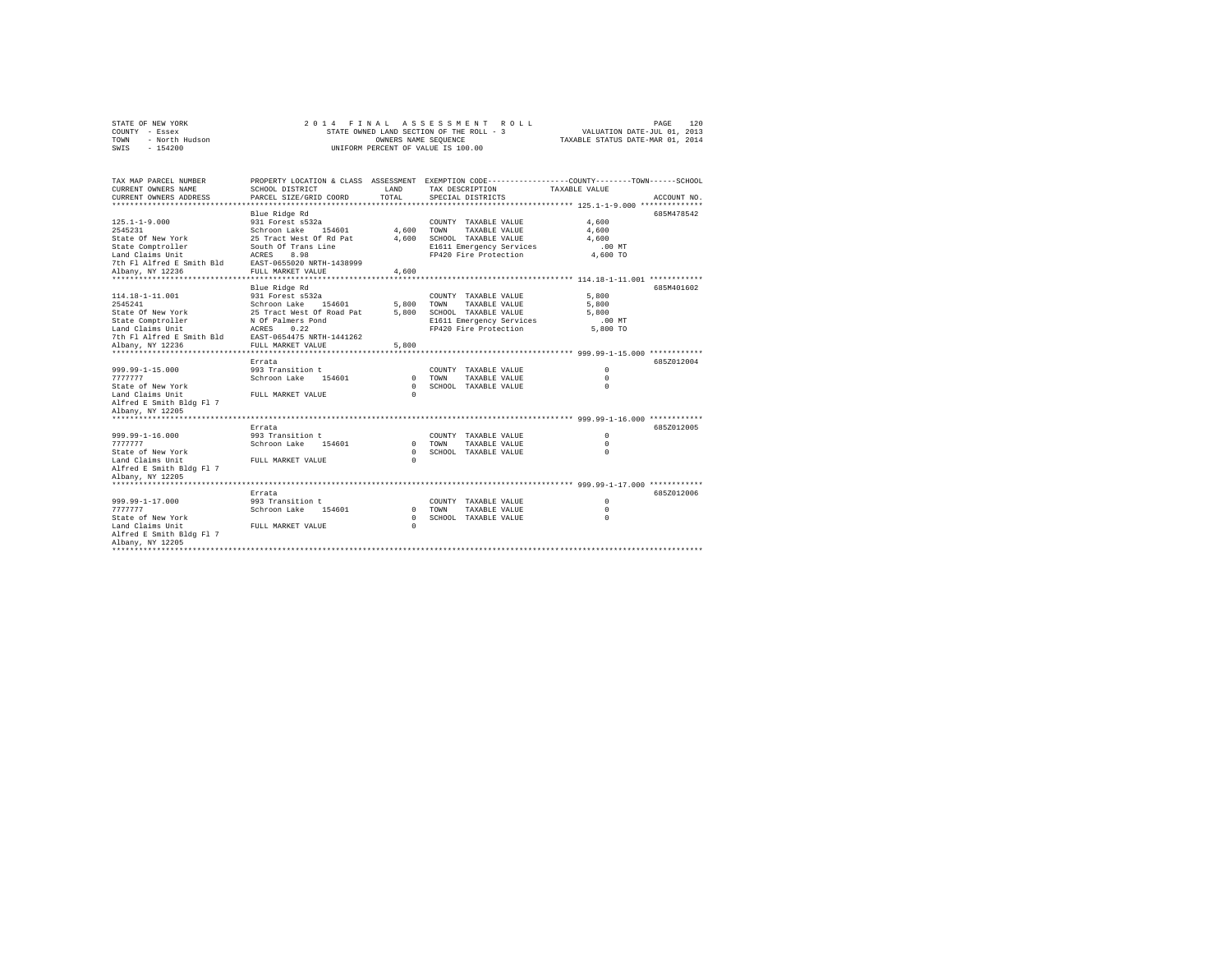|      | STATE OF NEW YORK |  |  |  |                                          |  | 2014 FINAL ASSESSMENT ROLL |                                  | PAGE | 120 |
|------|-------------------|--|--|--|------------------------------------------|--|----------------------------|----------------------------------|------|-----|
|      | COUNTY - Essex    |  |  |  | STATE OWNED LAND SECTION OF THE ROLL - 3 |  |                            | VALUATION DATE-JUL 01, 2013      |      |     |
| TOWN | - North Hudson    |  |  |  | OWNERS NAME SEOUENCE                     |  |                            | TAXABLE STATUS DATE-MAR 01, 2014 |      |     |
| SWIS | $-154200$         |  |  |  | UNIFORM PERCENT OF VALUE IS 100.00       |  |                            |                                  |      |     |

| TAX MAP PARCEL NUMBER<br>CURRENT OWNERS NAME<br>CURRENT OWNERS ADDRESS | PROPERTY LOCATION & CLASS ASSESSMENT<br>SCHOOL DISTRICT<br>PARCEL SIZE/GRID COORD | <b>T.AND</b><br>TOTAL |             | EXEMPTION CODE-----------------COUNTY-------TOWN------SCHOOL<br>TAX DESCRIPTION<br>SPECIAL DISTRICTS | TAXABLE VALUE |          | ACCOUNT NO. |
|------------------------------------------------------------------------|-----------------------------------------------------------------------------------|-----------------------|-------------|------------------------------------------------------------------------------------------------------|---------------|----------|-------------|
|                                                                        |                                                                                   |                       |             |                                                                                                      |               |          |             |
|                                                                        | Blue Ridge Rd                                                                     |                       |             |                                                                                                      |               |          | 685M478542  |
| $125.1 - 1 - 9.000$                                                    | 931 Forest s532a                                                                  |                       |             | COUNTY TAXABLE VALUE                                                                                 | 4,600         |          |             |
| 2545231                                                                | Schroon Lake<br>154601                                                            | 4,600                 | TOWN        | TAXABLE VALUE                                                                                        | 4,600         |          |             |
| State Of New York                                                      | 25 Tract West Of Rd Pat                                                           | 4,600                 |             | SCHOOL TAXABLE VALUE                                                                                 | 4,600         |          |             |
| State Comptroller                                                      | South Of Trans Line                                                               |                       |             | E1611 Emergency Services                                                                             | $.00$ MT      |          |             |
| Land Claims Unit                                                       | ACRES<br>8.98                                                                     |                       |             | FP420 Fire Protection                                                                                | 4,600 TO      |          |             |
| 7th Fl Alfred E Smith Bld                                              | EAST-0655020 NRTH-1438999                                                         |                       |             |                                                                                                      |               |          |             |
| Albany, NY 12236                                                       | FULL MARKET VALUE                                                                 | 4,600                 |             |                                                                                                      |               |          |             |
|                                                                        |                                                                                   |                       |             |                                                                                                      |               |          |             |
|                                                                        | Blue Ridge Rd                                                                     |                       |             |                                                                                                      |               |          | 685M401602  |
| 114.18-1-11.001                                                        | 931 Forest s532a                                                                  |                       |             | COUNTY TAXABLE VALUE                                                                                 | 5,800         |          |             |
| 2545241                                                                | 154601<br>Schroon Lake                                                            | 5,800 TOWN            |             | TAXABLE VALUE                                                                                        | 5,800         |          |             |
| State Of New York                                                      | 25 Tract West Of Road Pat                                                         | 5,800                 |             | SCHOOL TAXABLE VALUE                                                                                 | 5,800         |          |             |
| State Comptroller                                                      | N Of Palmers Pond                                                                 |                       |             | E1611 Emergency Services                                                                             |               | $.00$ MT |             |
| Land Claims Unit                                                       | 0.22<br>ACRES                                                                     |                       |             | FP420 Fire Protection                                                                                |               | 5,800 TO |             |
| 7th Fl Alfred E Smith Bld                                              | EAST-0654475 NRTH-1441262                                                         |                       |             |                                                                                                      |               |          |             |
| Albany, NY 12236<br>***********************                            | FULL MARKET VALUE<br>***************************                                  | 5,800                 |             | ******************************* 999.99-1-15.000 ************                                         |               |          |             |
|                                                                        | Errata                                                                            |                       |             |                                                                                                      |               |          | 685Z012004  |
| 999.99-1-15.000                                                        | 993 Transition t                                                                  |                       |             | COUNTY TAXABLE VALUE                                                                                 | $\Omega$      |          |             |
| 7777777                                                                | Schroon Lake<br>154601                                                            | $\Omega$              | TOWN        | TAXABLE VALUE                                                                                        | $\Omega$      |          |             |
| State of New York                                                      |                                                                                   | $\cap$                |             | SCHOOL TAXABLE VALUE                                                                                 | $\Omega$      |          |             |
| Land Claims Unit                                                       | FULL MARKET VALUE                                                                 | $\Omega$              |             |                                                                                                      |               |          |             |
| Alfred E Smith Bldg Fl 7                                               |                                                                                   |                       |             |                                                                                                      |               |          |             |
| Albany, NY 12205                                                       |                                                                                   |                       |             |                                                                                                      |               |          |             |
|                                                                        |                                                                                   |                       |             |                                                                                                      |               |          |             |
|                                                                        | Errata                                                                            |                       |             |                                                                                                      |               |          | 685Z012005  |
| 999.99-1-16.000                                                        | 993 Transition t                                                                  |                       |             | COUNTY TAXABLE VALUE                                                                                 | $\Omega$      |          |             |
| 7777777                                                                | Schroon Lake<br>154601                                                            | $\Omega$              | <b>TOWN</b> | TAXABLE VALUE                                                                                        | $\Omega$      |          |             |
| State of New York                                                      |                                                                                   | $\Omega$              |             | SCHOOL TAXABLE VALUE                                                                                 | $\Omega$      |          |             |
| Land Claims Unit                                                       | FULL MARKET VALUE                                                                 | $\Omega$              |             |                                                                                                      |               |          |             |
| Alfred E Smith Bldg Fl 7                                               |                                                                                   |                       |             |                                                                                                      |               |          |             |
| Albany, NY 12205                                                       |                                                                                   |                       |             |                                                                                                      |               |          |             |
| ******************                                                     |                                                                                   |                       |             |                                                                                                      |               |          |             |
|                                                                        | Errata                                                                            |                       |             |                                                                                                      |               |          | 685Z012006  |
| $999.99 - 1 - 17.000$                                                  | 993 Transition t                                                                  |                       |             | COUNTY TAXABLE VALUE                                                                                 | $\Omega$      |          |             |
| 7777777                                                                | Schroon Lake<br>154601                                                            | $\Omega$              | TOWN        | TAXABLE VALUE                                                                                        | $^{\circ}$    |          |             |
| State of New York                                                      |                                                                                   | $\Omega$              |             | SCHOOL TAXABLE VALUE                                                                                 | $\mathbf 0$   |          |             |
| Land Claims Unit                                                       | FULL MARKET VALUE                                                                 | $\Omega$              |             |                                                                                                      |               |          |             |
| Alfred E Smith Bldg Fl 7                                               |                                                                                   |                       |             |                                                                                                      |               |          |             |
| Albany, NY 12205                                                       |                                                                                   |                       |             |                                                                                                      |               |          |             |
|                                                                        |                                                                                   |                       |             |                                                                                                      |               |          |             |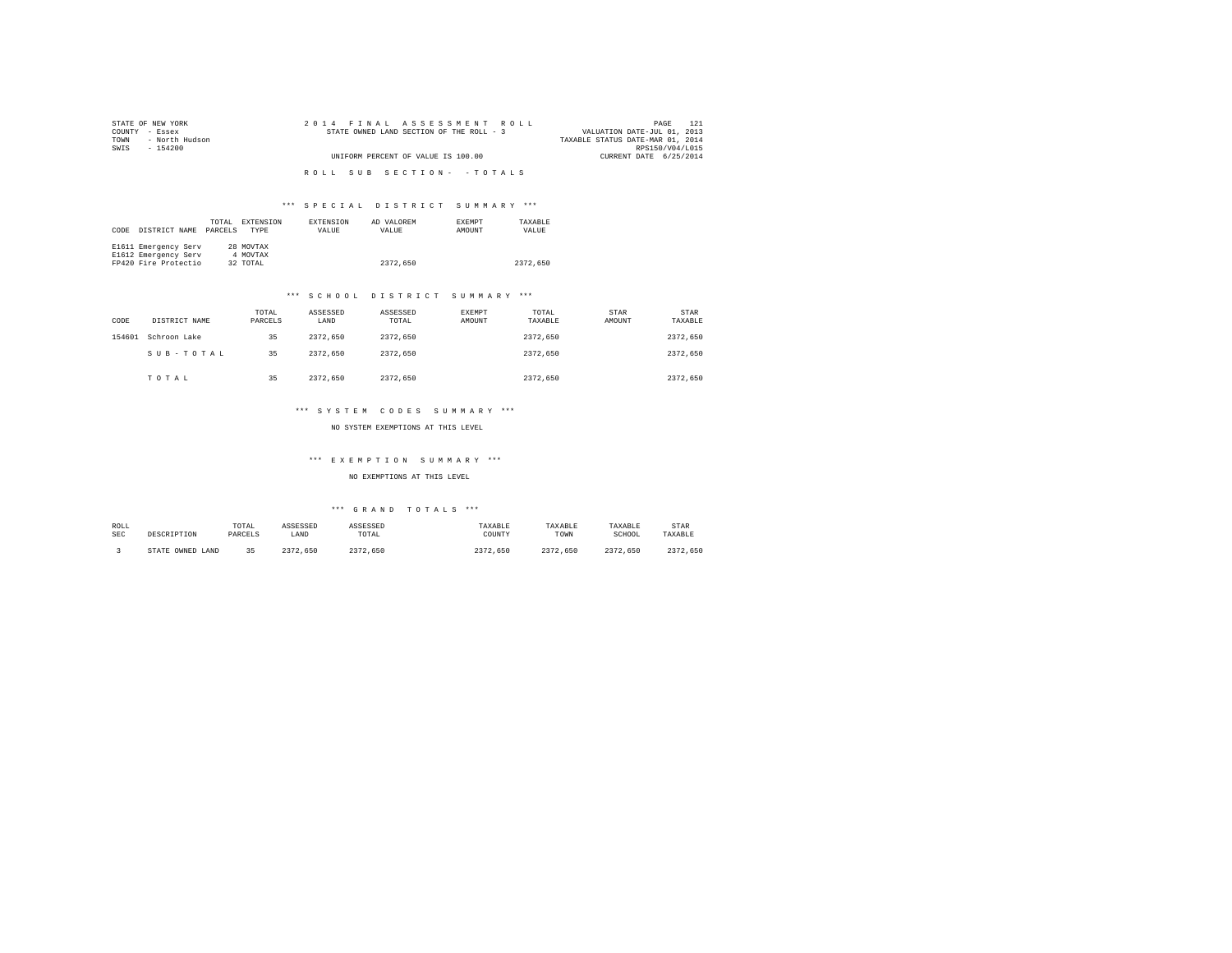| STATE OF NEW YORK      | 2014 FINAL ASSESSMENT ROLL               | 121<br>PAGE                      |
|------------------------|------------------------------------------|----------------------------------|
| COUNTY - Essex         | STATE OWNED LAND SECTION OF THE ROLL - 3 | VALUATION DATE-JUL 01, 2013      |
| - North Hudson<br>TOWN |                                          | TAXABLE STATUS DATE-MAR 01, 2014 |
| SWIS<br>- 154200       |                                          | RPS150/V04/L015                  |
|                        | UNIFORM PERCENT OF VALUE IS 100.00       | CURRENT DATE 6/25/2014           |
|                        |                                          |                                  |
|                        | ROLL SUB SECTION- - TOTALS               |                                  |
|                        |                                          |                                  |

## \*\*\* S P E C I A L D I S T R I C T S U M M A R Y \*\*\*

| CODE | DISTRICT NAME        | TOTAL<br>PARCELS | EXTENSION<br><b>TYPE</b> | <b>EXTENSION</b><br>VALUE | AD VALOREM<br>VALUE | <b>EXEMPT</b><br>AMOUNT | TAXARLE<br>VALUE |
|------|----------------------|------------------|--------------------------|---------------------------|---------------------|-------------------------|------------------|
|      | E1611 Emergency Serv |                  | 28 MOVTAX                |                           |                     |                         |                  |
|      | E1612 Emergency Serv |                  | 4 MOVTAX                 |                           |                     |                         |                  |
|      | FP420 Fire Protectio |                  | 32 TOTAL                 |                           | 2372,650            |                         | 2372.650         |

### \*\*\* S C H O O L D I S T R I C T S U M M A R Y \*\*\*

| CODE   | DISTRICT NAME | TOTAL<br>PARCELS | ASSESSED<br>LAND | ASSESSED<br>TOTAL | EXEMPT<br>AMOUNT | TOTAL<br>TAXABLE | STAR<br>AMOUNT | STAR<br>TAXABLE |
|--------|---------------|------------------|------------------|-------------------|------------------|------------------|----------------|-----------------|
| 154601 | Schroon Lake  | 35               | 2372.650         | 2372.650          |                  | 2372.650         |                | 2372.650        |
|        | SUB-TOTAL     | 35               | 2372.650         | 2372.650          |                  | 2372.650         |                | 2372,650        |
|        | TOTAL         | 35               | 2372.650         | 2372.650          |                  | 2372.650         |                | 2372.650        |

### \*\*\* S Y S T E M C O D E S S U M M A R Y \*\*\*

NO SYSTEM EXEMPTIONS AT THIS LEVEL

## \*\*\* E X E M P T I O N S U M M A R Y \*\*\*

### NO EXEMPTIONS AT THIS LEVEL

## \*\*\* G R A N D T O T A L S \*\*\*

| ROLL<br><b>SEC</b> | DESCRIPTION            | TOTAL<br>PARCELS | ASSESSED<br>LAND | ASSESSED<br>TOTAL | TAXABLE<br>COUNTY | TAXABLE<br>TOWN | TAXABLE<br>SCHOOL | STAR<br>TAXABLE |
|--------------------|------------------------|------------------|------------------|-------------------|-------------------|-----------------|-------------------|-----------------|
|                    | OWNED<br>LAND<br>STATE | 25               | 2372.650         | 2372.650          | つつつつ<br>.650      | 2372.650        | 2372.<br>.650     | つつつつ<br>.650    |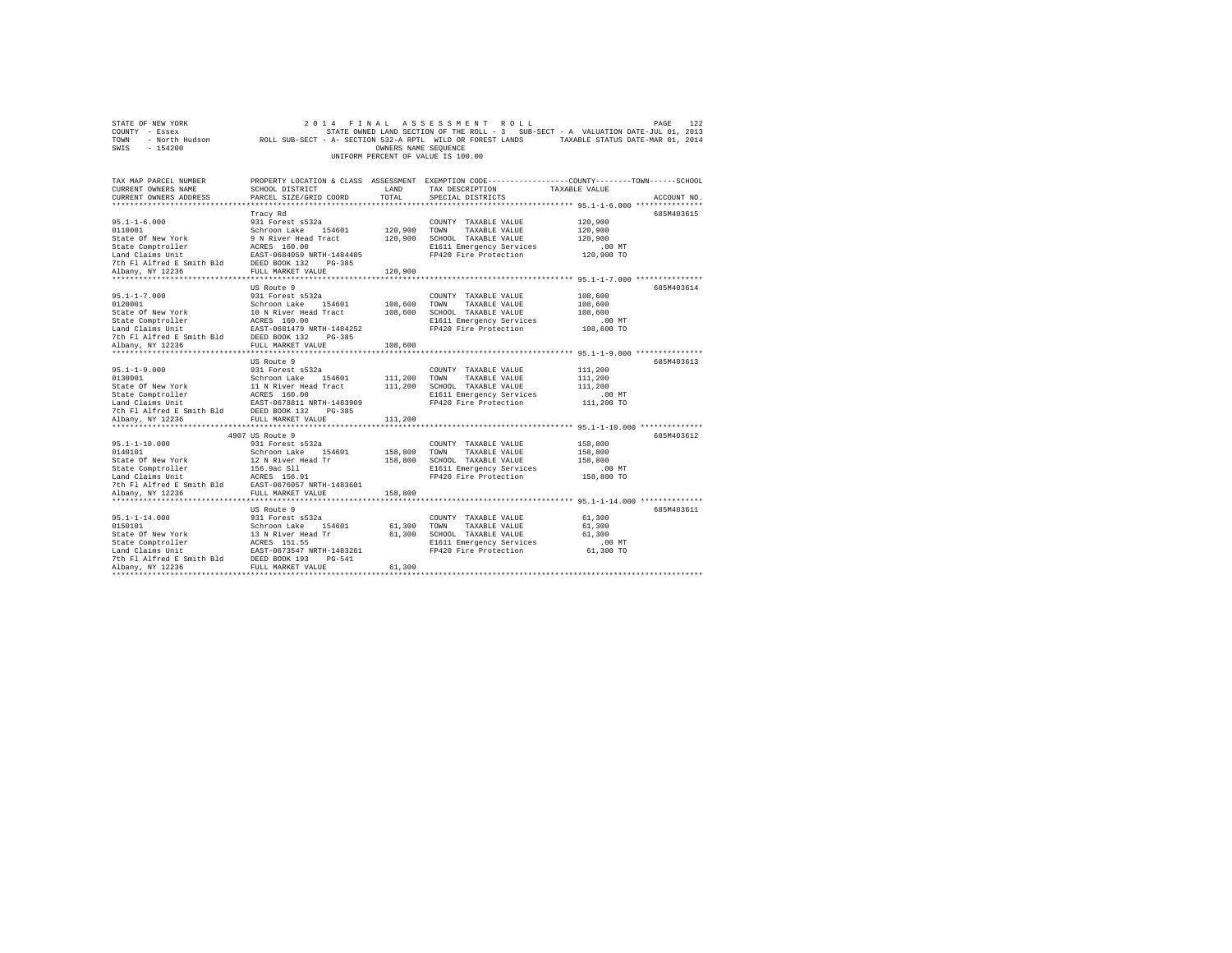| STATE OF NEW YORK<br>COUNTY - Essex<br>TOWN<br>SWIS<br>$-154200$                                                                                                                                                                                                   |                                                | OWNERS NAME SEQUENCE | 2014 FINAL ASSESSMENT ROLL<br>UNIFORM PERCENT OF VALUE IS 100.00 | PAGE<br>STATE OWNED LAND SECTION OF THE ROLL - 3 SUB-SECT - A VALUATION DATE-JUL 01, 2013<br>- North Hudson ROLL SUB-SECT - A- SECTION 532-A RPTL WILD OR FOREST LANDS TAXABLE STATUS DATE-MAR 01, 2014 | 122 |
|--------------------------------------------------------------------------------------------------------------------------------------------------------------------------------------------------------------------------------------------------------------------|------------------------------------------------|----------------------|------------------------------------------------------------------|---------------------------------------------------------------------------------------------------------------------------------------------------------------------------------------------------------|-----|
| TAX MAP PARCEL NUMBER<br>CURRENT OWNERS NAME<br>CURRENT OWNERS ADDRESS                                                                                                                                                                                             | SCHOOL DISTRICT LAND<br>PARCEL SIZE/GRID COORD | TOTAL                | TAX DESCRIPTION TAXABLE VALUE<br>SPECIAL DISTRICTS               | PROPERTY LOCATION & CLASS ASSESSMENT EXEMPTION CODE----------------COUNTY-------TOWN-----SCHOOL<br>ACCOUNT NO.                                                                                          |     |
|                                                                                                                                                                                                                                                                    |                                                |                      |                                                                  | 685M403615                                                                                                                                                                                              |     |
| $95.1 - 1 - 6.000$                                                                                                                                                                                                                                                 | Tracy Rd<br>931 Forest s532a                   |                      | COUNTY TAXABLE VALUE                                             | 120,900                                                                                                                                                                                                 |     |
| 0110001                                                                                                                                                                                                                                                            | Schroon Lake 154601                            | 120,900 TOWN         | TAXABLE VALUE                                                    | 120,900                                                                                                                                                                                                 |     |
|                                                                                                                                                                                                                                                                    |                                                |                      | 120,900 SCHOOL TAXABLE VALUE                                     | 120,900                                                                                                                                                                                                 |     |
|                                                                                                                                                                                                                                                                    |                                                |                      | E1611 Emergency Services                                         | .00 MT                                                                                                                                                                                                  |     |
|                                                                                                                                                                                                                                                                    |                                                |                      | FP420 Fire Protection                                            | 120,900 TO                                                                                                                                                                                              |     |
|                                                                                                                                                                                                                                                                    |                                                |                      |                                                                  |                                                                                                                                                                                                         |     |
|                                                                                                                                                                                                                                                                    |                                                | 120,900              |                                                                  |                                                                                                                                                                                                         |     |
|                                                                                                                                                                                                                                                                    |                                                |                      |                                                                  |                                                                                                                                                                                                         |     |
|                                                                                                                                                                                                                                                                    | US Route 9                                     |                      |                                                                  | 685M403614                                                                                                                                                                                              |     |
| $95.1 - 1 - 7.000$                                                                                                                                                                                                                                                 | 931 Forest s532a                               |                      | COUNTY TAXABLE VALUE                                             | 108,600                                                                                                                                                                                                 |     |
| 0120001                                                                                                                                                                                                                                                            | Schroon Lake 154601                            |                      | 108,600 TOWN TAXABLE VALUE                                       | 108,600                                                                                                                                                                                                 |     |
|                                                                                                                                                                                                                                                                    |                                                |                      | 108,600 SCHOOL TAXABLE VALUE<br>E1611 Emergency Services         | 108,600<br>$.00$ MT                                                                                                                                                                                     |     |
| State Of New York<br>10 N River Head Tract<br>10 N River Head Tract<br>12 ACRES 160.00<br>12 ARTH -1484252<br>7th F1 Alfred E Smith Bld<br>12 DEED BOOK 132<br>12 PC-385<br>2011 12 PC-385<br>2011 12025                                                           |                                                |                      | FP420 Fire Protection                                            | 108,600 TO                                                                                                                                                                                              |     |
|                                                                                                                                                                                                                                                                    |                                                |                      |                                                                  |                                                                                                                                                                                                         |     |
| Albany, NY 12236                                                                                                                                                                                                                                                   | FULL MARKET VALUE                              | 108,600              |                                                                  |                                                                                                                                                                                                         |     |
|                                                                                                                                                                                                                                                                    |                                                |                      |                                                                  |                                                                                                                                                                                                         |     |
|                                                                                                                                                                                                                                                                    | US Route 9                                     |                      |                                                                  | 685M403613                                                                                                                                                                                              |     |
| $95.1 - 1 - 9.000$                                                                                                                                                                                                                                                 | 931 Forest s532a                               |                      | COUNTY TAXABLE VALUE                                             | 111,200                                                                                                                                                                                                 |     |
| 0130001                                                                                                                                                                                                                                                            | Schroon Lake 154601                            | 111,200 TOWN         | TAXABLE VALUE                                                    | 111,200                                                                                                                                                                                                 |     |
|                                                                                                                                                                                                                                                                    |                                                |                      |                                                                  | 111,200                                                                                                                                                                                                 |     |
|                                                                                                                                                                                                                                                                    |                                                |                      | E1611 Emergency Services                                         | $.00$ MT                                                                                                                                                                                                |     |
|                                                                                                                                                                                                                                                                    |                                                |                      |                                                                  | 111,200 TO                                                                                                                                                                                              |     |
|                                                                                                                                                                                                                                                                    |                                                |                      |                                                                  |                                                                                                                                                                                                         |     |
| Albany, NY 12236                                                                                                                                                                                                                                                   | FULL MARKET VALUE                              | 111,200              |                                                                  |                                                                                                                                                                                                         |     |
|                                                                                                                                                                                                                                                                    | 4907 US Route 9                                |                      |                                                                  | 685M403612                                                                                                                                                                                              |     |
| $95.1 - 1 - 10.000$                                                                                                                                                                                                                                                | 931 Forest s532a                               |                      | COUNTY TAXABLE VALUE                                             | 158,800                                                                                                                                                                                                 |     |
| 0140101                                                                                                                                                                                                                                                            | Schroon Lake 154601                            |                      | 158,800 TOWN TAXABLE VALUE                                       | 158,800                                                                                                                                                                                                 |     |
| State Of New York                                                                                                                                                                                                                                                  | 12 N River Head Tr                             |                      | 158,800 SCHOOL TAXABLE VALUE                                     | 158,800                                                                                                                                                                                                 |     |
|                                                                                                                                                                                                                                                                    |                                                |                      | E1611 Emergency Services                                         | $.00$ MT                                                                                                                                                                                                |     |
| State Comptroller 156.9ac S11<br>Land Claims Unit 16.0005 156.91<br>Tth Fl Alfred E Smith Bld 16857-0676057 NRTH-1483601                                                                                                                                           |                                                |                      | FP420 Fire Protection                                            | 158,800 TO                                                                                                                                                                                              |     |
|                                                                                                                                                                                                                                                                    |                                                |                      |                                                                  |                                                                                                                                                                                                         |     |
| Albany, NY 12236                                                                                                                                                                                                                                                   | FULL MARKET VALUE                              | 158,800              |                                                                  |                                                                                                                                                                                                         |     |
|                                                                                                                                                                                                                                                                    |                                                |                      |                                                                  |                                                                                                                                                                                                         |     |
|                                                                                                                                                                                                                                                                    | US Route 9                                     |                      |                                                                  | 685M403611                                                                                                                                                                                              |     |
| $95.1 - 1 - 14.000$                                                                                                                                                                                                                                                | 931 Forest s532a                               |                      | COUNTY TAXABLE VALUE                                             | 61,300                                                                                                                                                                                                  |     |
|                                                                                                                                                                                                                                                                    |                                                |                      | 61,300 TOWN TAXABLE VALUE                                        | 61,300<br>61,300                                                                                                                                                                                        |     |
|                                                                                                                                                                                                                                                                    |                                                |                      | 61,300 SCHOOL TAXABLE VALUE<br>E1611 Emergency Services          | $.00$ MT                                                                                                                                                                                                |     |
|                                                                                                                                                                                                                                                                    |                                                |                      | FP420 Fire Protection                                            | 61,300 TO                                                                                                                                                                                               |     |
|                                                                                                                                                                                                                                                                    |                                                |                      |                                                                  |                                                                                                                                                                                                         |     |
| 9150101<br>19161011 Schroon Lake 154601<br>1918101 - Schroon Lake 154601<br>19181 - Schroon Lake 154601<br>1920 - Schroon Lake 154601<br>1920 - SCHR FI Alford 1921<br>1921 - SCHR PI Alford 1921<br>1921 - SCHR PI ALMARKET VALUE<br>1921 - S<br>Albany, NY 12236 |                                                | 61,300               |                                                                  |                                                                                                                                                                                                         |     |
|                                                                                                                                                                                                                                                                    |                                                |                      |                                                                  |                                                                                                                                                                                                         |     |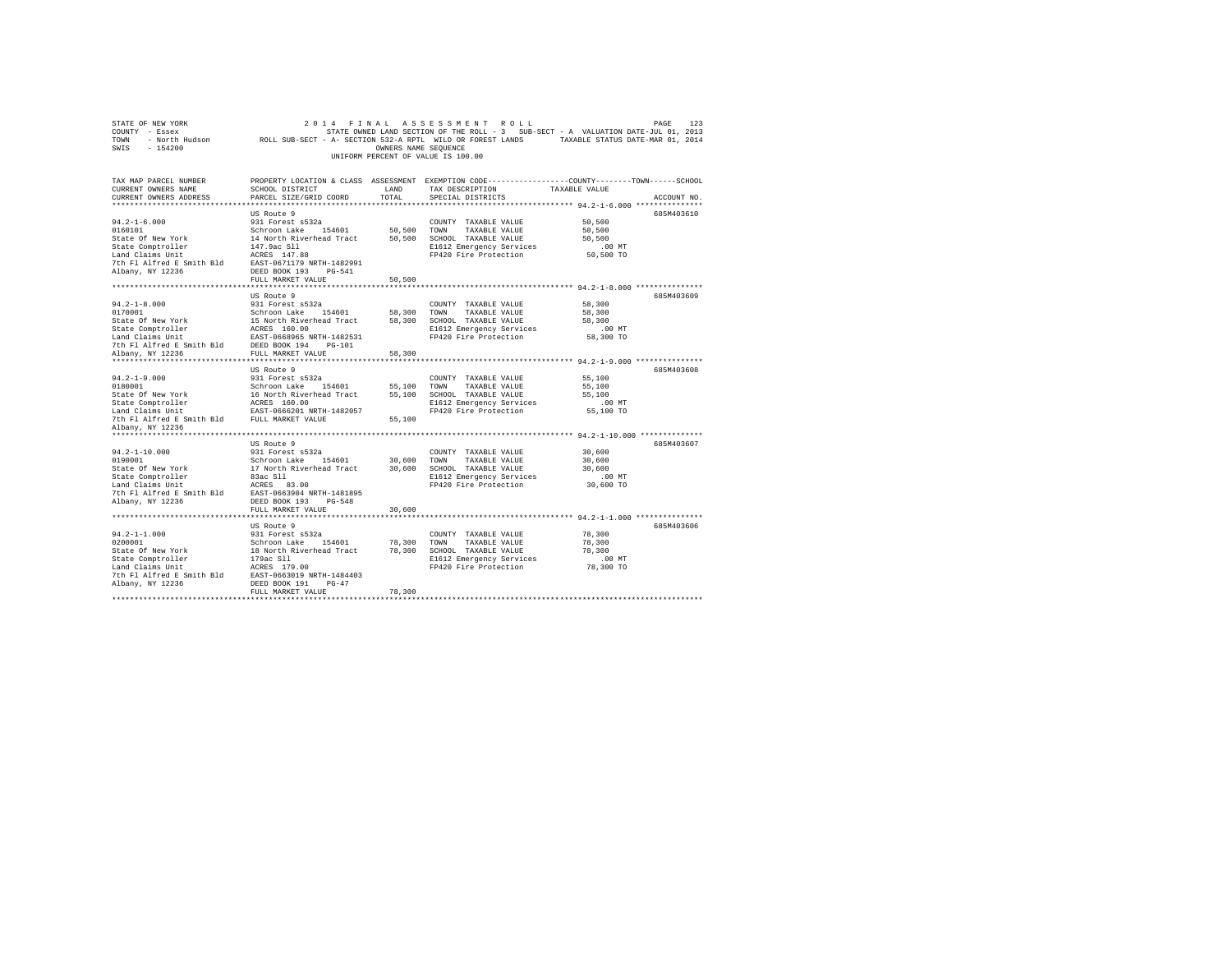| 2014 FINAL ASSESSMENT ROLL PAGE PAGE 123<br>COUNTY - Essex – SALUATION DATE-JULOI 2013<br>TOWN – North Hudson – ROLL SUB-SECT - A-SECTION 532-A RPTL WILD OR FOREST LANDS – TAXABLE STATUS DATE-JULOI, 2014<br>SWIS - 154200                                                                                                                                                                                        |                                                                                                                                               | OWNERS NAME SEOUENCE | UNIFORM PERCENT OF VALUE IS 100.00                 |                                 |             |
|---------------------------------------------------------------------------------------------------------------------------------------------------------------------------------------------------------------------------------------------------------------------------------------------------------------------------------------------------------------------------------------------------------------------|-----------------------------------------------------------------------------------------------------------------------------------------------|----------------------|----------------------------------------------------|---------------------------------|-------------|
| TAX MAP PARCEL NUMBER<br>CURRENT OWNERS NAME<br>CURRENT OWNERS ADDRESS                                                                                                                                                                                                                                                                                                                                              | PROPERTY LOCATION & CLASS ASSESSMENT EXEMPTION CODE----------------COUNTY-------TOWN------SCHOOL<br>SCHOOL DISTRICT<br>PARCEL SIZE/GRID COORD | LAND<br>TOTAL        | TAX DESCRIPTION TAXABLE VALUE<br>SPECIAL DISTRICTS |                                 | ACCOUNT NO. |
|                                                                                                                                                                                                                                                                                                                                                                                                                     | US Route 9                                                                                                                                    |                      | COUNTY TAXABLE VALUE                               | 50,500<br>50,500                | 685M403610  |
|                                                                                                                                                                                                                                                                                                                                                                                                                     |                                                                                                                                               |                      | E1612 Emergency Services<br>FP420 Fire Protection  | 50,500<br>$.00$ MT<br>50,500 TO |             |
|                                                                                                                                                                                                                                                                                                                                                                                                                     | FULL MARKET VALUE                                                                                                                             | 50,500               |                                                    |                                 |             |
|                                                                                                                                                                                                                                                                                                                                                                                                                     |                                                                                                                                               |                      |                                                    |                                 |             |
| $94.2 - 1 - 8.000$<br>0170001                                                                                                                                                                                                                                                                                                                                                                                       | US Route 9<br>931 Forest s532a                                                                                                                |                      | COUNTY TAXABLE VALUE                               | 58,300<br>58,300                | 685M403609  |
| $\begin{tabular}{c c c c} \multicolumn{1}{c}{\textbf{0170001}} & \multicolumn{1}{c}{\textbf{501000}} & \multicolumn{1}{c}{\textbf{501000}} & \multicolumn{1}{c}{\textbf{501000}} & \multicolumn{1}{c}{\textbf{50100}} & \multicolumn{1}{c}{\textbf{50100}} & \multicolumn{1}{c}{\textbf{50100}} & \multicolumn{1}{c}{\textbf{50100}} & \multicolumn{1}{c}{\textbf{70000}} & \multicolumn{1}{c}{\textbf{70000}} & \$ |                                                                                                                                               |                      | E1612 Emergency Services<br>FP420 Fire Protection  | 58,300<br>$.00$ MT<br>58,300 TO |             |
|                                                                                                                                                                                                                                                                                                                                                                                                                     |                                                                                                                                               |                      |                                                    |                                 |             |
|                                                                                                                                                                                                                                                                                                                                                                                                                     | US Route 9                                                                                                                                    |                      |                                                    |                                 | 685M403608  |
|                                                                                                                                                                                                                                                                                                                                                                                                                     |                                                                                                                                               |                      |                                                    | 55,100                          |             |
|                                                                                                                                                                                                                                                                                                                                                                                                                     |                                                                                                                                               |                      |                                                    | 55,100                          |             |
|                                                                                                                                                                                                                                                                                                                                                                                                                     |                                                                                                                                               |                      |                                                    | 55,100                          |             |
|                                                                                                                                                                                                                                                                                                                                                                                                                     |                                                                                                                                               |                      | E1612 Emergency Services<br>FP420 Fire Protection  | $.00$ MT                        |             |
|                                                                                                                                                                                                                                                                                                                                                                                                                     |                                                                                                                                               |                      |                                                    | 55,100 TO                       |             |
| 7th Fl Alfred E Smith Bld FULL MARKET VALUE                                                                                                                                                                                                                                                                                                                                                                         |                                                                                                                                               | 55,100               |                                                    |                                 |             |
| Albany, NY 12236                                                                                                                                                                                                                                                                                                                                                                                                    |                                                                                                                                               |                      |                                                    |                                 |             |
|                                                                                                                                                                                                                                                                                                                                                                                                                     | US Route 9                                                                                                                                    |                      |                                                    |                                 | 685M403607  |
| $94.2 - 1 - 10.000$                                                                                                                                                                                                                                                                                                                                                                                                 | 931 Forest s532a                                                                                                                              |                      | COUNTY TAXABLE VALUE                               | 30,600                          |             |
| 0190001                                                                                                                                                                                                                                                                                                                                                                                                             | Schroon Lake 154601 30,600 TOWN                                                                                                               |                      | TAXABLE VALUE                                      | 30,600                          |             |
|                                                                                                                                                                                                                                                                                                                                                                                                                     |                                                                                                                                               |                      |                                                    | 30,600                          |             |
| State Of New York 17 North Riverhead Tract 30,600 SCHOOL TAXABLE VALUE<br>State Comptroller 13 and Claims Unit 11 Morth Riverhead Tract 30,600 SCHOOL TAXABLE VALUE<br>17 And Claims Unit 14 ACRES 83.00<br>The Pier Protection 2.1                                                                                                                                                                                 |                                                                                                                                               |                      | E1612 Emergency Services                           | $.00$ MT<br>$30,600$ TO         |             |
|                                                                                                                                                                                                                                                                                                                                                                                                                     |                                                                                                                                               |                      |                                                    |                                 |             |
|                                                                                                                                                                                                                                                                                                                                                                                                                     |                                                                                                                                               |                      |                                                    |                                 |             |
|                                                                                                                                                                                                                                                                                                                                                                                                                     | FULL MARKET VALUE                                                                                                                             | 30,600               |                                                    |                                 |             |
|                                                                                                                                                                                                                                                                                                                                                                                                                     |                                                                                                                                               |                      |                                                    |                                 |             |
|                                                                                                                                                                                                                                                                                                                                                                                                                     | US Route 9                                                                                                                                    |                      |                                                    |                                 | 685M403606  |
|                                                                                                                                                                                                                                                                                                                                                                                                                     |                                                                                                                                               |                      |                                                    | 78,300                          |             |
|                                                                                                                                                                                                                                                                                                                                                                                                                     |                                                                                                                                               |                      |                                                    | 78,300                          |             |
|                                                                                                                                                                                                                                                                                                                                                                                                                     |                                                                                                                                               |                      |                                                    | 78,300<br>$.00$ MT              |             |
|                                                                                                                                                                                                                                                                                                                                                                                                                     |                                                                                                                                               |                      | E1612 Emergency Services<br>FP420 Fire Protection  | 78,300 TO                       |             |
|                                                                                                                                                                                                                                                                                                                                                                                                                     |                                                                                                                                               |                      |                                                    |                                 |             |
| Albany, NY 12236                                                                                                                                                                                                                                                                                                                                                                                                    | DEED BOOK 191 PG-47                                                                                                                           |                      |                                                    |                                 |             |
|                                                                                                                                                                                                                                                                                                                                                                                                                     | FULL MARKET VALUE                                                                                                                             | 78,300               |                                                    |                                 |             |
|                                                                                                                                                                                                                                                                                                                                                                                                                     |                                                                                                                                               |                      |                                                    |                                 |             |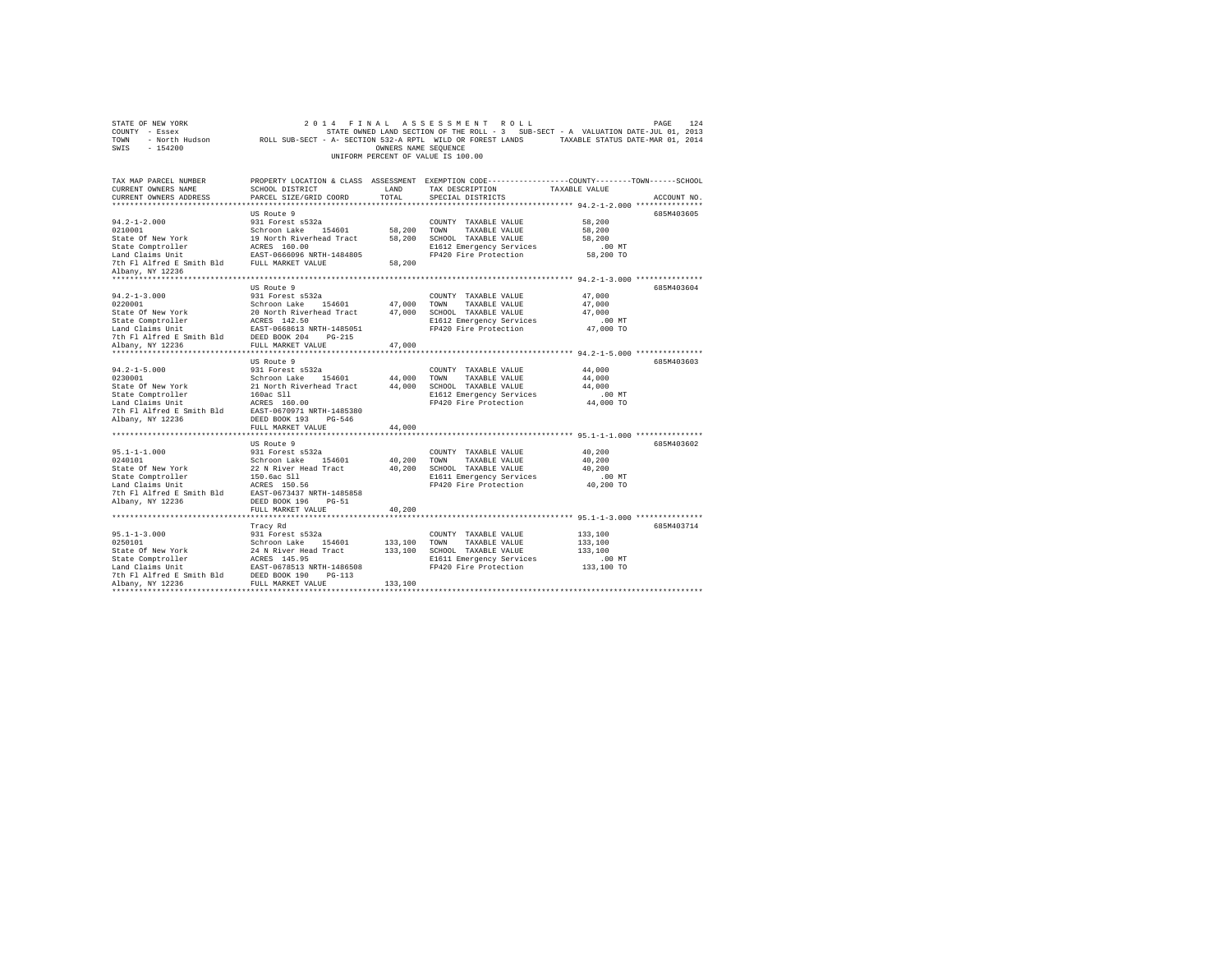| COUNTY - Essex<br>TOWN<br>SWIS - 154200                                                                                                                                                                                                                                                                                                                                                                                                                                                                     | - North Hudson ROLL SUB-SECT - A- SECTION 532-A RPTL WILD OR FOREST LANDS TAXABLE STATUS DATE-MAR 01, 2014 | OWNERS NAME SEOUENCE | STATE OWNED LAND SECTION OF THE ROLL - 3 SUB-SECT - A VALUATION DATE-JUL 01, 2013 |                       |             |
|-------------------------------------------------------------------------------------------------------------------------------------------------------------------------------------------------------------------------------------------------------------------------------------------------------------------------------------------------------------------------------------------------------------------------------------------------------------------------------------------------------------|------------------------------------------------------------------------------------------------------------|----------------------|-----------------------------------------------------------------------------------|-----------------------|-------------|
|                                                                                                                                                                                                                                                                                                                                                                                                                                                                                                             |                                                                                                            |                      | UNIFORM PERCENT OF VALUE IS 100.00                                                |                       |             |
| TAX MAP PARCEL NUMBER PROPERTY LOCATION & CLASS ASSESSMENT EXEMPTION CODE---------------COUNTY-------TOWN------SCHOOL<br>CURRENT OWNERS NAME<br>CURRENT OWNERS ADDRESS                                                                                                                                                                                                                                                                                                                                      | SCHOOL DISTRICT<br>PARCEL SIZE/GRID COORD                                                                  | LAND<br>TOTAL        | TAX DESCRIPTION<br>SPECIAL DISTRICTS                                              | TAXABLE VALUE         | ACCOUNT NO. |
|                                                                                                                                                                                                                                                                                                                                                                                                                                                                                                             |                                                                                                            |                      |                                                                                   |                       |             |
| $94.2 - 1 - 2.000$                                                                                                                                                                                                                                                                                                                                                                                                                                                                                          | US Route 9<br>931 Forest s532a                                                                             |                      | COUNTY TAXABLE VALUE                                                              | 58,200                | 685M403605  |
|                                                                                                                                                                                                                                                                                                                                                                                                                                                                                                             |                                                                                                            |                      | TOWN TAXABLE VALUE                                                                | 58,200                |             |
|                                                                                                                                                                                                                                                                                                                                                                                                                                                                                                             |                                                                                                            |                      | 58,200 SCHOOL TAXABLE VALUE                                                       | 58,200                |             |
| 921001<br>201001<br>201001 19901<br>201001 19901<br>201001 19901<br>201001 19901<br>20101 19901<br>20101 19901<br>20101 19901<br>2010 1021<br>2010 1021<br>2010 1021<br>2010 1021<br>2010 1021<br>2010 1021<br>2010 1021<br>2010 1021<br>2010 1021<br>2010 1021<br>2                                                                                                                                                                                                                                        |                                                                                                            |                      | E1612 Emergency Services<br>FP420 Fire Protection                                 | $.00$ MT<br>58,200 TO |             |
|                                                                                                                                                                                                                                                                                                                                                                                                                                                                                                             |                                                                                                            |                      |                                                                                   |                       |             |
| Albany, NY 12236                                                                                                                                                                                                                                                                                                                                                                                                                                                                                            |                                                                                                            |                      |                                                                                   |                       |             |
|                                                                                                                                                                                                                                                                                                                                                                                                                                                                                                             |                                                                                                            |                      |                                                                                   |                       |             |
|                                                                                                                                                                                                                                                                                                                                                                                                                                                                                                             | US Route 9                                                                                                 |                      |                                                                                   |                       | 685M403604  |
| $94.2 - 1 - 3.000$                                                                                                                                                                                                                                                                                                                                                                                                                                                                                          | 931 Forest s532a                                                                                           |                      | COUNTY TAXABLE VALUE                                                              | 47,000                |             |
|                                                                                                                                                                                                                                                                                                                                                                                                                                                                                                             |                                                                                                            |                      |                                                                                   | 47.000                |             |
|                                                                                                                                                                                                                                                                                                                                                                                                                                                                                                             |                                                                                                            |                      |                                                                                   | 47,000                |             |
|                                                                                                                                                                                                                                                                                                                                                                                                                                                                                                             |                                                                                                            |                      | E1612 Emergency Services                                                          | .00MT                 |             |
|                                                                                                                                                                                                                                                                                                                                                                                                                                                                                                             |                                                                                                            |                      | FP420 Fire Protection 47,000 TO                                                   |                       |             |
| $\begin{tabular}{l c c c c} \hline \texttt{0.200011} & \texttt{0.200011} & \texttt{0.200011} & \texttt{0.200011} & \texttt{0.200011} & \texttt{0.200011} & \texttt{0.200011} & \texttt{0.200011} & \texttt{0.200011} & \texttt{0.200011} & \texttt{0.200011} & \texttt{0.20001} & \texttt{0.200001} & \texttt{0.200001} & \texttt{0.$                                                                                                                                                                       |                                                                                                            |                      |                                                                                   |                       |             |
|                                                                                                                                                                                                                                                                                                                                                                                                                                                                                                             |                                                                                                            |                      |                                                                                   |                       |             |
|                                                                                                                                                                                                                                                                                                                                                                                                                                                                                                             |                                                                                                            |                      |                                                                                   |                       |             |
|                                                                                                                                                                                                                                                                                                                                                                                                                                                                                                             | US Route 9                                                                                                 |                      |                                                                                   |                       | 685M403603  |
| $94.2 - 1 - 5.000$<br>0230001                                                                                                                                                                                                                                                                                                                                                                                                                                                                               | 931 Forest s532a                                                                                           |                      | COUNTY TAXABLE VALUE                                                              | 44,000<br>44,000      |             |
|                                                                                                                                                                                                                                                                                                                                                                                                                                                                                                             |                                                                                                            |                      |                                                                                   | 44,000                |             |
|                                                                                                                                                                                                                                                                                                                                                                                                                                                                                                             |                                                                                                            |                      |                                                                                   | $.00$ MT              |             |
|                                                                                                                                                                                                                                                                                                                                                                                                                                                                                                             |                                                                                                            |                      | FP420 Fire Protection                                                             | 44,000 TO             |             |
|                                                                                                                                                                                                                                                                                                                                                                                                                                                                                                             |                                                                                                            |                      |                                                                                   |                       |             |
| 94.2-1-5.000<br>202001<br>202001<br>202001<br>21 North Riverhead Tract 44,000 TOWN TAXABLE VALUE State Of New York 21 North Riverhead Tract 44,000 SCWON TAXABLE VALUE LAGE STATE STATE STATE STATE STATE STATE STATE STATE STATE                                                                                                                                                                                                                                                                           |                                                                                                            |                      |                                                                                   |                       |             |
|                                                                                                                                                                                                                                                                                                                                                                                                                                                                                                             | FULL MARKET VALUE                                                                                          | 44,000               |                                                                                   |                       |             |
|                                                                                                                                                                                                                                                                                                                                                                                                                                                                                                             | ************************                                                                                   |                      | ***************************** 95.1-1-1.000 ***************                        |                       |             |
|                                                                                                                                                                                                                                                                                                                                                                                                                                                                                                             | US Route 9                                                                                                 |                      |                                                                                   |                       | 685M403602  |
| $95.1 - 1 - 1.000$                                                                                                                                                                                                                                                                                                                                                                                                                                                                                          | 931 Forest s532a                                                                                           |                      | COUNTY TAXABLE VALUE                                                              | 40,200                |             |
|                                                                                                                                                                                                                                                                                                                                                                                                                                                                                                             |                                                                                                            | $40\,, 200$          | TOWN<br>TAXABLE VALUE                                                             | 40,200                |             |
| $\begin{tabular}{ll} 0240101 & \multicolumn{2}{c}{\textbf{Schroon Lake}} \quad \textcolor{red}{\textbf{154601}} \\ \textbf{State C for New York} & \multicolumn{2}{c}{\textbf{22 N River Head Trace}} \\ \textbf{State Computer} \\ \textbf{Ian Calam sunt} & \multicolumn{2}{c}{\textbf{150.6}a}\text{c} \quad \textcolor{red}{\textbf{311}} \\ \textbf{Ian Calam unit} & \multicolumn{2}{c}{\textbf{AG.S.}} \\ \textbf{The P1 Alfred B Smith B1d} & \multicolumn{2}{c}{\textbf{ACS-S}5} \\ \end{tabular}$ |                                                                                                            | 40,200               | SCHOOL TAXABLE VALUE                                                              | 40,200                |             |
|                                                                                                                                                                                                                                                                                                                                                                                                                                                                                                             |                                                                                                            |                      | E1611 Emergency Services<br>FP420 Fire Protection                                 | $.00$ MT<br>40,200 TO |             |
|                                                                                                                                                                                                                                                                                                                                                                                                                                                                                                             |                                                                                                            |                      |                                                                                   |                       |             |
| Albany, NY 12236                                                                                                                                                                                                                                                                                                                                                                                                                                                                                            | DEED BOOK 196 PG-51                                                                                        |                      |                                                                                   |                       |             |
|                                                                                                                                                                                                                                                                                                                                                                                                                                                                                                             | FULL MARKET VALUE                                                                                          | 40,200               |                                                                                   |                       |             |
|                                                                                                                                                                                                                                                                                                                                                                                                                                                                                                             |                                                                                                            |                      |                                                                                   |                       |             |
|                                                                                                                                                                                                                                                                                                                                                                                                                                                                                                             |                                                                                                            |                      |                                                                                   |                       | 685M403714  |
|                                                                                                                                                                                                                                                                                                                                                                                                                                                                                                             |                                                                                                            |                      |                                                                                   | 133,100               |             |
|                                                                                                                                                                                                                                                                                                                                                                                                                                                                                                             |                                                                                                            |                      |                                                                                   | 133,100               |             |
|                                                                                                                                                                                                                                                                                                                                                                                                                                                                                                             |                                                                                                            |                      | 133,100 SCHOOL TAXABLE VALUE                                                      | 133,100               |             |
|                                                                                                                                                                                                                                                                                                                                                                                                                                                                                                             |                                                                                                            |                      | E1611 Emergency Services                                                          | $.00$ MT              |             |
|                                                                                                                                                                                                                                                                                                                                                                                                                                                                                                             |                                                                                                            |                      | FP420 Fire Protection                                                             | 133,100 TO            |             |
| $\begin{tabular}{c c c} $\texttt{1--1--3.000}$ & $\texttt{array\,R}\\ $\texttt{0250101}$ & $931$ Forest $532a$ & $\texttt{COUNTY}\texttt{ TAXABLE VALUE} $ \\ $931$ Forest $532a$ & $\texttt{COUNTY}\texttt{ TAXABLE VALUE} $ \\ $54e$ of the work & $24$ N River Head Tract & $133,100$ TOWN & $TAXABLE VALUE} $ \\ $54e$ Compute the ACRES & $145.95$ & $1510$ SCHOMD & $TXABLE VALUE & $ \\ $4e$ and {\it Calism\,Dint} & $RSE$ & $161.9$ & $161$                                                        |                                                                                                            |                      |                                                                                   |                       |             |
|                                                                                                                                                                                                                                                                                                                                                                                                                                                                                                             |                                                                                                            |                      |                                                                                   |                       |             |
|                                                                                                                                                                                                                                                                                                                                                                                                                                                                                                             |                                                                                                            |                      |                                                                                   |                       |             |

STATE OF NEW YORK 2 0 1 4 F I N A L A S S E S S M E N T R O L L PAGE 124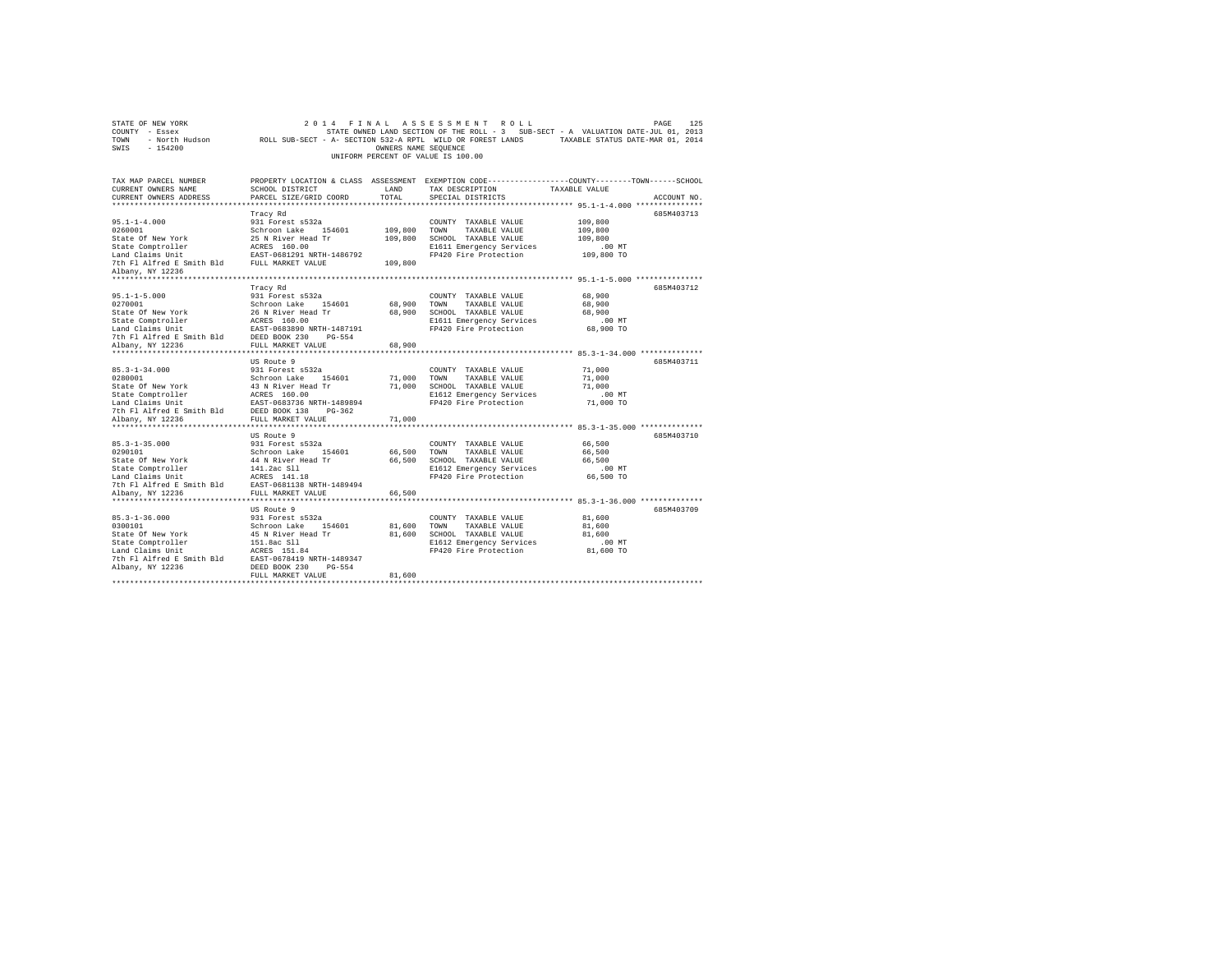| COUNTY - Essex<br>TOWN<br>SWIS<br>$-154200$                                                                                                                             |                                                                                                                                                      | OWNERS NAME SEOUENCE            | UNIFORM PERCENT OF VALUE IS 100.00                                                                                                    | STATE OWNED LAND SECTION OF THE ROLL - 3 SUB-SECT - A VALUATION DATE-JUL 01, 2013<br>- North Hudson ROLL SUB-SECT - A- SECTION 532-A RPTL WILD OR FOREST LANDS TAXABLE STATUS DATE-MAR 01, 2014 |  |
|-------------------------------------------------------------------------------------------------------------------------------------------------------------------------|------------------------------------------------------------------------------------------------------------------------------------------------------|---------------------------------|---------------------------------------------------------------------------------------------------------------------------------------|-------------------------------------------------------------------------------------------------------------------------------------------------------------------------------------------------|--|
| TAX MAP PARCEL NUMBER<br>CURRENT OWNERS NAME<br>CURRENT OWNERS ADDRESS                                                                                                  | SCHOOL DISTRICT<br>PARCEL SIZE/GRID COORD                                                                                                            | LAND<br>TOTAL.                  | TAX DESCRIPTION<br>SPECIAL DISTRICTS                                                                                                  | PROPERTY LOCATION & CLASS ASSESSMENT EXEMPTION CODE----------------COUNTY-------TOWN-----SCHOOL<br>TAXABLE VALUE<br>ACCOUNT NO.                                                                 |  |
| $95.1 - 1 - 4.000$<br>0260001<br>State Of New York                                                                                                                      | Tracy Rd<br>931 Forest s532a<br>Schroon Lake 154601<br>25 N River Head Tr                                                                            | 109,800 TOWN                    | COUNTY TAXABLE VALUE<br>TAXABLE VALUE<br>109,800 SCHOOL TAXABLE VALUE                                                                 | 685M403713<br>109,800<br>109,800<br>109,800                                                                                                                                                     |  |
| State Comptroller<br>Land Claims Unit<br>7th Fl Alfred E Smith Bld FULL MARKET VALUE<br>Albany, NY 12236                                                                | ACRES 160.00<br>EAST-0681291 NRTH-1486792                                                                                                            | 109,800                         | E1611 Emergency Services<br>FP420 Fire Protection                                                                                     | $.00$ MT<br>109,800 TO                                                                                                                                                                          |  |
|                                                                                                                                                                         |                                                                                                                                                      |                                 |                                                                                                                                       |                                                                                                                                                                                                 |  |
| $95.1 - 1 - 5.000$<br>0270001<br>Albany, NY 12236                                                                                                                       | Tracy Rd<br>931 Forest s532a<br>Schroon Lake 154601<br>FULL MARKET VALUE                                                                             | 68,900 TOWN<br>68,900<br>68,900 | COUNTY TAXABLE VALUE<br>TAXABLE VALUE<br>SCHOOL TAXABLE VALUE<br>E1611 Emergency Services<br>FP420 Fire Protection                    | 685M403712<br>68,900<br>68,900<br>68,900<br>$.00$ MT<br>68,900 TO                                                                                                                               |  |
| *******************                                                                                                                                                     |                                                                                                                                                      |                                 |                                                                                                                                       |                                                                                                                                                                                                 |  |
| $85.3 - 1 - 34.000$<br>0280001<br>Albany, NY 12236                                                                                                                      | US Route 9<br>931 Forest s532a<br>Schroon Lake 154601<br>FULL MARKET VALUE                                                                           | 71,000                          | COUNTY TAXABLE VALUE<br>71,000 TOWN TAXABLE VALUE<br>71,000 SCHOOL TAXABLE VALUE<br>E1612 Emergency Services<br>FP420 Fire Protection | 685M403711<br>71,000<br>71,000<br>71,000<br>.00 MT<br>71,000 TO                                                                                                                                 |  |
|                                                                                                                                                                         |                                                                                                                                                      |                                 |                                                                                                                                       |                                                                                                                                                                                                 |  |
| $85.3 - 1 - 35.000$<br>0290101<br>State Of New York<br>State Comptroller<br>Land Claims Unit<br>7th Fl Alfred E Smith Bld EAST-0681138 NRTH-1489494<br>Albany, NY 12236 | US Route 9<br>931 Forest s532a<br>Schroon Lake 154601<br>44 N River Head Tr<br>141.2ac S11<br>ACRES 141.18<br>FULL MARKET VALUE                      | 66,500<br>66,500                | COUNTY TAXABLE VALUE<br>66,500 TOWN TAXABLE VALUE<br>SCHOOL TAXABLE VALUE<br>E1612 Emergency Services<br>FP420 Fire Protection        | 685M403710<br>66,500<br>66,500<br>66,500<br>$.00$ MT<br>66,500 TO                                                                                                                               |  |
|                                                                                                                                                                         | US Route 9                                                                                                                                           |                                 |                                                                                                                                       | 685M403709                                                                                                                                                                                      |  |
| $85.3 - 1 - 36.000$<br>0300101<br>State Of New York<br>state Or New York<br>State Comptroller<br>Land Claims Unit<br>7th Fl Alfred E Smith Bld<br>Albany, NY 12236      | 931 Forest s532a<br>Schroon Lake 154601<br>45 N River Head Tr<br>151.8ac Sll<br>ACRES 151.84<br>EAST-0678419 NRTH-1489347<br>DEED BOOK 230<br>PG-554 | 81,600 TOWN                     | COUNTY TAXABLE VALUE<br>TAXABLE VALUE<br>81,600 SCHOOL TAXABLE VALUE<br>E1612 Emergency Services<br>FP420 Fire Protection             | 81,600<br>81,600<br>81,600<br>$.00$ MT<br>81,600 TO                                                                                                                                             |  |
|                                                                                                                                                                         | FULL MARKET VALUE                                                                                                                                    | 81,600                          |                                                                                                                                       |                                                                                                                                                                                                 |  |
|                                                                                                                                                                         |                                                                                                                                                      |                                 |                                                                                                                                       |                                                                                                                                                                                                 |  |

STATE OF NEW YORK 2014 FINAL ASSESSMENT ROLL PAGE 125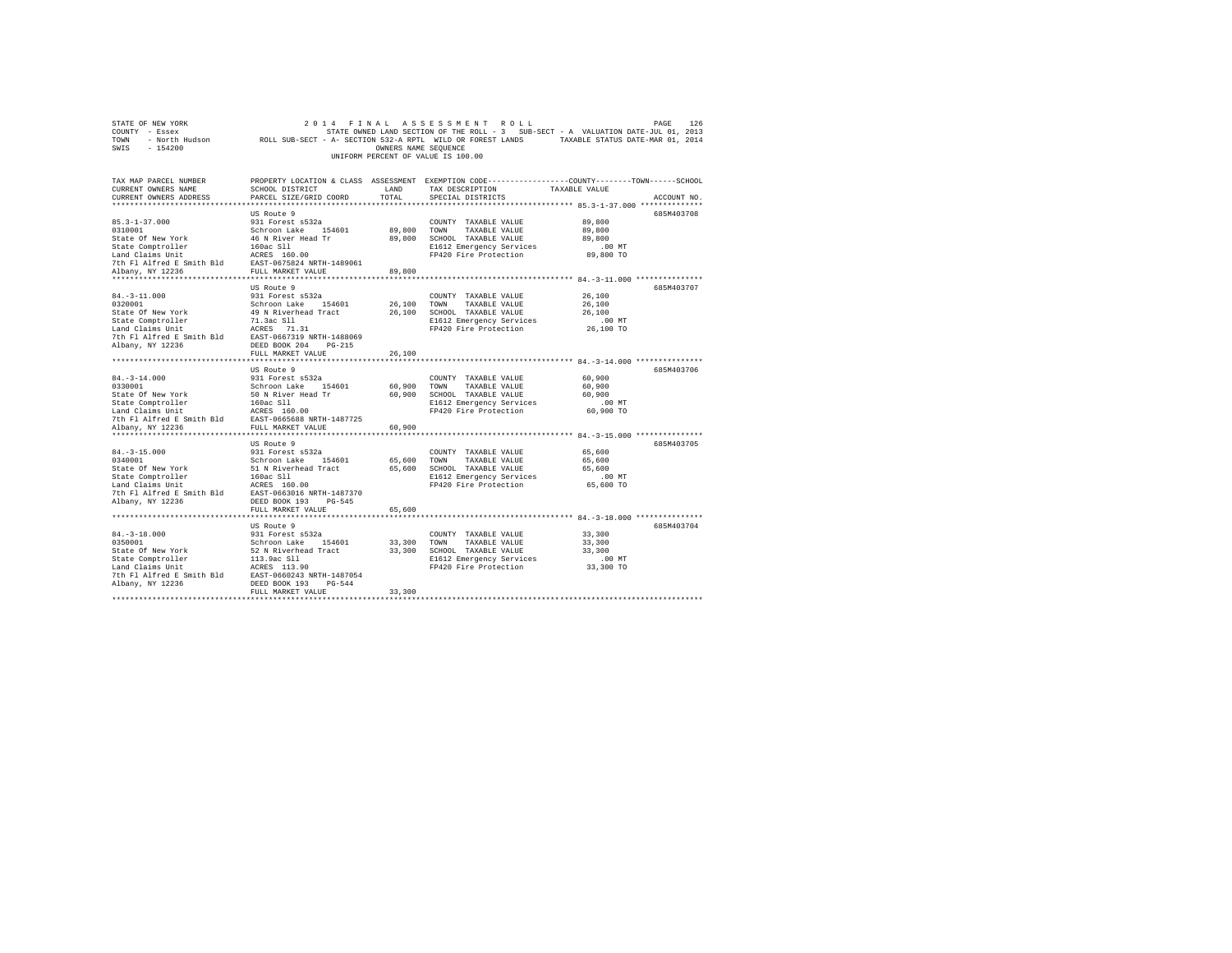| STATE OF NEW YORK                                                                        |                                                                                                            |                      | 2014 FINAL ASSESSMENT ROLL                                                                      |               | 126<br>PAGE |
|------------------------------------------------------------------------------------------|------------------------------------------------------------------------------------------------------------|----------------------|-------------------------------------------------------------------------------------------------|---------------|-------------|
| COUNTY - Essex                                                                           |                                                                                                            |                      | STATE OWNED LAND SECTION OF THE ROLL - 3 SUB-SECT - A VALUATION DATE-JUL 01, 2013               |               |             |
| <b>TOWN</b>                                                                              | - North Hudson MOLL SUB-SECT - A- SECTION 532-A RPTL WILD OR FOREST LANDS TAXABLE STATUS DATE-MAR 01, 2014 |                      |                                                                                                 |               |             |
| $-154200$<br>SWIS                                                                        |                                                                                                            | OWNERS NAME SEQUENCE |                                                                                                 |               |             |
|                                                                                          |                                                                                                            |                      | UNIFORM PERCENT OF VALUE IS 100.00                                                              |               |             |
|                                                                                          |                                                                                                            |                      |                                                                                                 |               |             |
|                                                                                          |                                                                                                            |                      |                                                                                                 |               |             |
| TAX MAP PARCEL NUMBER                                                                    |                                                                                                            |                      | PROPERTY LOCATION & CLASS ASSESSMENT EXEMPTION CODE---------------COUNTY-------TOWN------SCHOOL |               |             |
| CURRENT OWNERS NAME                                                                      | SCHOOL DISTRICT                                                                                            | LAND                 | TAX DESCRIPTION                                                                                 | TAXABLE VALUE |             |
| CURRENT OWNERS ADDRESS                                                                   | PARCEL SIZE/GRID COORD                                                                                     | TOTAL                | SPECIAL DISTRICTS                                                                               |               | ACCOUNT NO. |
|                                                                                          |                                                                                                            |                      |                                                                                                 |               |             |
|                                                                                          |                                                                                                            |                      |                                                                                                 |               |             |
|                                                                                          | US Route 9                                                                                                 |                      |                                                                                                 |               | 685M403708  |
| $85.3 - 1 - 37.000$                                                                      | 931 Forest s532a                                                                                           |                      | COUNTY TAXABLE VALUE                                                                            | 89,800        |             |
| 0310001                                                                                  | Schroon Lake 154601                                                                                        | 89,800 TOWN          | TAXABLE VALUE                                                                                   | 89,800        |             |
| State Of New York                                                                        | 46 N River Head Tr                                                                                         | 89,800               | SCHOOL TAXABLE VALUE                                                                            | 89,800        |             |
| State Comptroller                                                                        | 160ac Sll                                                                                                  |                      | E1612 Emergency Services                                                                        | $.00$ MT      |             |
| Land Claims Unit                                                                         | ACRES 160.00                                                                                               |                      | FP420 Fire Protection                                                                           | 89,800 TO     |             |
| 7th F1 Alfred E Smith Bld EAST-0675824 NRTH-1489061<br>albany NY 12236 FILL MARKET VALUE |                                                                                                            |                      |                                                                                                 |               |             |
| Albany, NY 12236                                                                         | FULL MARKET VALUE                                                                                          | 89,800               |                                                                                                 |               |             |
|                                                                                          |                                                                                                            |                      |                                                                                                 |               |             |
|                                                                                          | US Route 9                                                                                                 |                      |                                                                                                 |               | 685M403707  |
| $84. - 3 - 11.000$                                                                       | 931 Forest s532a                                                                                           |                      | COUNTY TAXABLE VALUE                                                                            | 26,100        |             |
|                                                                                          |                                                                                                            |                      |                                                                                                 |               |             |
| 0320001                                                                                  | Schroon Lake 154601                                                                                        | 26,100               | TOWN<br>TAXABLE VALUE                                                                           | 26,100        |             |
| State Of New York                                                                        | 49 N Riverhead Tract                                                                                       | 26,100               | SCHOOL TAXABLE VALUE                                                                            | 26,100        |             |
| State Comptroller                                                                        | 71.3ac Sll                                                                                                 |                      | E1612 Emergency Services                                                                        | $.00$ MT      |             |
| Land Claims Unit                                                                         | ACRES 71.31                                                                                                |                      | FP420 Fire Protection                                                                           | 26,100 TO     |             |
| 7th Fl Alfred E Smith Bld                                                                | EAST-0667319 NRTH-1488069                                                                                  |                      |                                                                                                 |               |             |
| Albany, NY 12236                                                                         | DEED BOOK 204 PG-215                                                                                       |                      |                                                                                                 |               |             |
|                                                                                          | FULL MARKET VALUE                                                                                          | 26,100               |                                                                                                 |               |             |
| **************************                                                               | ***************************                                                                                | *********            | ************************************* 84.-3-14.000 ***************                              |               |             |
|                                                                                          | US Route 9                                                                                                 |                      |                                                                                                 |               | 685M403706  |
| $84. - 3 - 14.000$                                                                       | 931 Forest s532a                                                                                           |                      | COUNTY TAXABLE VALUE                                                                            | 60,900        |             |
| 0330001                                                                                  | Schroon Lake 154601                                                                                        | 60,900               | TOWN<br>TAXABLE VALUE                                                                           | 60,900        |             |
| State Of New York                                                                        | 50 N River Head Tr                                                                                         | 60,900               | SCHOOL TAXABLE VALUE                                                                            | 60,900        |             |
| State Comptroller                                                                        |                                                                                                            |                      |                                                                                                 | $.00$ MT      |             |
|                                                                                          | 160ac Sll                                                                                                  |                      | E1612 Emergency Services                                                                        |               |             |
| Land Claims Unit                                                                         | ACRES 160.00                                                                                               |                      | FP420 Fire Protection                                                                           | 60,900 TO     |             |
| 7th Fl Alfred E Smith Bld                                                                | EAST-0665688 NRTH-1487725                                                                                  |                      |                                                                                                 |               |             |
| Albany, NY 12236                                                                         | FULL MARKET VALUE                                                                                          | 60,900               |                                                                                                 |               |             |
|                                                                                          |                                                                                                            |                      |                                                                                                 |               |             |
|                                                                                          | US Route 9                                                                                                 |                      |                                                                                                 |               | 685M403705  |
| $84. - 3 - 15.000$                                                                       | 931 Forest s532a                                                                                           |                      | COUNTY TAXABLE VALUE                                                                            | 65,600        |             |
| 0340001                                                                                  | Schroon Lake 154601                                                                                        | 65,600               | TOWN<br>TAXABLE VALUE                                                                           | 65,600        |             |
| State Of New York                                                                        | 51 N Riverhead Tract                                                                                       | 65,600               | SCHOOL TAXABLE VALUE                                                                            | 65,600        |             |
| State Comptroller                                                                        | 160ac S11                                                                                                  |                      | E1612 Emergency Services                                                                        | $.00$ MT      |             |
| Land Claims Unit                                                                         | ACRES 160.00                                                                                               |                      | FP420 Fire Protection                                                                           | 65,600 TO     |             |
| 7th Fl Alfred E Smith Bld EAST-0663016 NRTH-1487370                                      |                                                                                                            |                      |                                                                                                 |               |             |
| Albany, NY 12236                                                                         | DEED BOOK 193 PG-545                                                                                       |                      |                                                                                                 |               |             |
|                                                                                          |                                                                                                            |                      |                                                                                                 |               |             |
|                                                                                          | FULL MARKET VALUE                                                                                          | 65,600               |                                                                                                 |               |             |
|                                                                                          |                                                                                                            |                      |                                                                                                 |               |             |
|                                                                                          | US Route 9                                                                                                 |                      |                                                                                                 |               | 685M403704  |
| $84. - 3 - 18.000$                                                                       | 931 Forest s532a                                                                                           |                      | COUNTY TAXABLE VALUE                                                                            | 33,300        |             |
| 0350001                                                                                  | Schroon Lake 154601                                                                                        | 33,300               | TOWN<br>TAXABLE VALUE                                                                           | 33,300        |             |
| State Of New York                                                                        | 52 N Riverhead Tract                                                                                       |                      | 33,300 SCHOOL TAXABLE VALUE                                                                     | 33,300        |             |
| State Comptroller                                                                        | 113.9ac Sll                                                                                                |                      | E1612 Emergency Services                                                                        | $.00$ MT      |             |
| Land Claims Unit                                                                         | ACRES 113.90                                                                                               |                      | FP420 Fire Protection                                                                           | 33,300 TO     |             |
| 7th Fl Alfred E Smith Bld                                                                | EAST-0660243 NRTH-1487054                                                                                  |                      |                                                                                                 |               |             |
| Albany, NY 12236                                                                         | DEED BOOK 193 PG-544                                                                                       |                      |                                                                                                 |               |             |
|                                                                                          | FULL MARKET VALUE                                                                                          | 33,300               |                                                                                                 |               |             |
|                                                                                          |                                                                                                            |                      |                                                                                                 |               |             |
|                                                                                          |                                                                                                            |                      |                                                                                                 |               |             |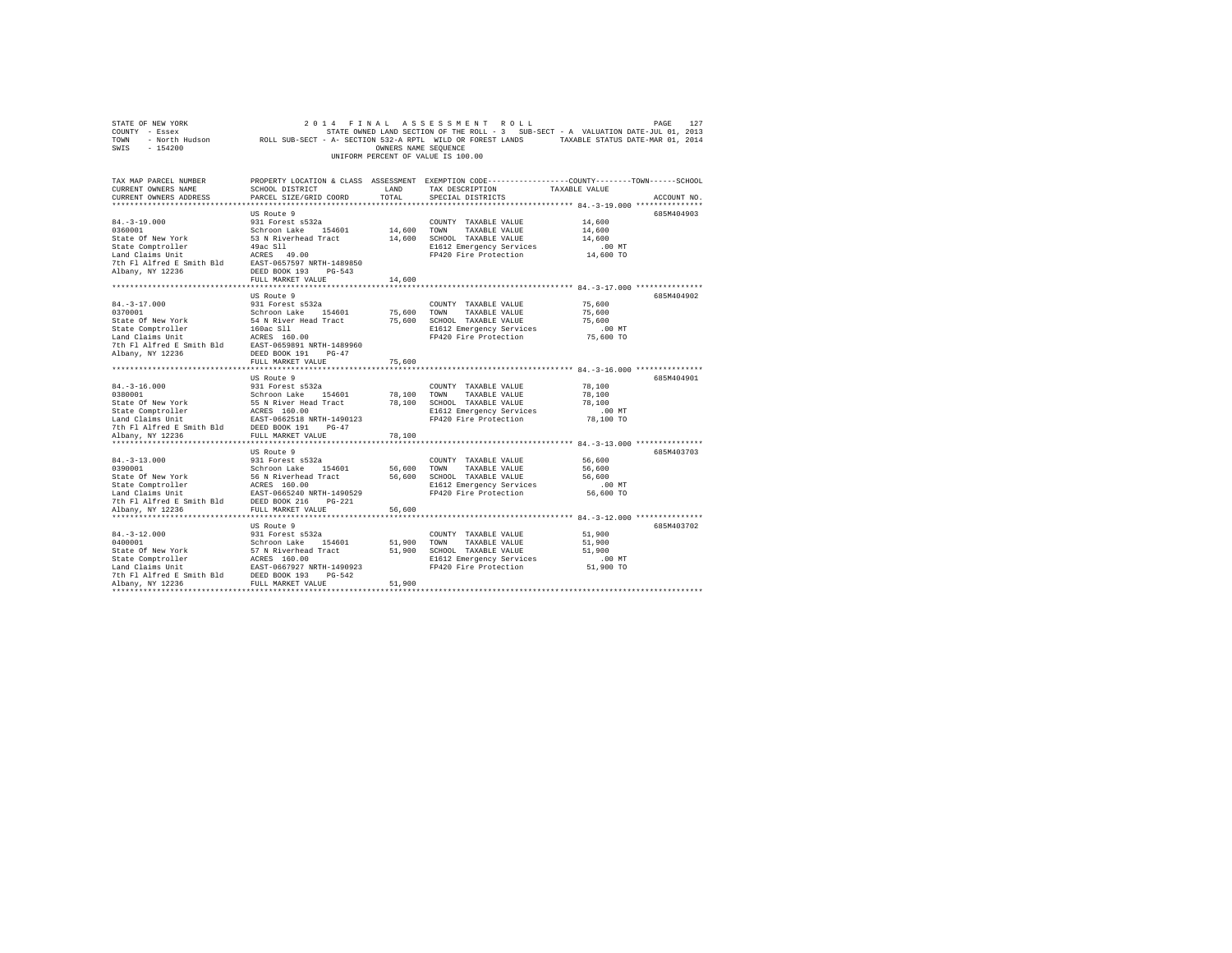| COUNTY - Essex<br>TOWN                                                                                                                                                                                                                                     | - North Hudson ROLL SUB-SECT - A- SECTION 532-A RPTL WILD OR FOREST LANDS TAXABLE STATUS DATE-MAR 01, 2014 |                      | STATE OWNED LAND SECTION OF THE ROLL - 3 SUB-SECT - A VALUATION DATE-JUL 01, 2013 |               |             |
|------------------------------------------------------------------------------------------------------------------------------------------------------------------------------------------------------------------------------------------------------------|------------------------------------------------------------------------------------------------------------|----------------------|-----------------------------------------------------------------------------------|---------------|-------------|
| SWIS<br>$-154200$                                                                                                                                                                                                                                          |                                                                                                            | OWNERS NAME SEOUENCE |                                                                                   |               |             |
|                                                                                                                                                                                                                                                            |                                                                                                            |                      | UNIFORM PERCENT OF VALUE IS 100.00                                                |               |             |
|                                                                                                                                                                                                                                                            |                                                                                                            |                      |                                                                                   |               |             |
| TAX MAP PARCEL NUMBER THE PROPERTY LOCATION & CLASS ASSESSMENT EXEMPTION CODE--------------COUNTY-------TOWN------SCHOOL                                                                                                                                   |                                                                                                            |                      |                                                                                   |               |             |
| CURRENT OWNERS NAME                                                                                                                                                                                                                                        | SCHOOL DISTRICT                                                                                            | LAND                 | TAX DESCRIPTION                                                                   | TAXABLE VALUE |             |
| CURRENT OWNERS ADDRESS                                                                                                                                                                                                                                     | PARCEL SIZE/GRID COORD                                                                                     | TOTAL                | SPECIAL DISTRICTS                                                                 |               | ACCOUNT NO. |
|                                                                                                                                                                                                                                                            |                                                                                                            |                      | ************************************* 84.-3-19.000 ***************                |               |             |
|                                                                                                                                                                                                                                                            | US Route 9                                                                                                 |                      |                                                                                   |               | 685M404903  |
| $84. -3 - 19.000$                                                                                                                                                                                                                                          | 931 Forest s532a                                                                                           |                      | COUNTY TAXABLE VALUE                                                              | 14,600        |             |
| 0360001                                                                                                                                                                                                                                                    | Schroon Lake 154601<br>53 N Riverhead Tract                                                                | 14,600               | TOWN TAXABLE VALUE                                                                | 14,600        |             |
| State Of New York                                                                                                                                                                                                                                          |                                                                                                            |                      | 14,600 SCHOOL TAXABLE VALUE                                                       | 14,600        |             |
| State Comptroller                                                                                                                                                                                                                                          | 49ac S11                                                                                                   |                      | E1612 Emergency Services                                                          | $.00$ MT      |             |
| Land Claims Unit<br>The PI alfred E Smith Bld<br>2007 The PI alfred E Smith Bld<br>2008 DEED BOOK 193 PG-543                                                                                                                                               |                                                                                                            |                      | FP420 Fire Protection 14,600 TO                                                   |               |             |
|                                                                                                                                                                                                                                                            |                                                                                                            |                      |                                                                                   |               |             |
|                                                                                                                                                                                                                                                            |                                                                                                            |                      |                                                                                   |               |             |
|                                                                                                                                                                                                                                                            | FULL MARKET VALUE                                                                                          | 14,600               |                                                                                   |               |             |
|                                                                                                                                                                                                                                                            |                                                                                                            |                      |                                                                                   |               |             |
| $84. - 3 - 17.000$                                                                                                                                                                                                                                         | US Route 9<br>931 Forest s532a                                                                             |                      | COUNTY TAXABLE VALUE                                                              | 75,600        | 685M404902  |
| 0370001                                                                                                                                                                                                                                                    | Schroon Lake 154601                                                                                        |                      | 75,600 TOWN TAXABLE VALUE                                                         | 75,600        |             |
| State Of New York                                                                                                                                                                                                                                          | 54 N River Head Tract                                                                                      |                      | 75,600 SCHOOL TAXABLE VALUE                                                       | 75,600        |             |
|                                                                                                                                                                                                                                                            |                                                                                                            |                      | E1612 Emergency Services                                                          | $.00$ MT      |             |
| State Comptroller 160ac S11<br>Land Claims Unit 160.00<br>Tth Fl Alfred E Smith Bld 16257-0659891 NRTH-1489960                                                                                                                                             |                                                                                                            |                      | FP420 Fire Protection                                                             | 75,600 TO     |             |
|                                                                                                                                                                                                                                                            |                                                                                                            |                      |                                                                                   |               |             |
| Albany, NY 12236                                                                                                                                                                                                                                           | DEED BOOK 191 PG-47                                                                                        |                      |                                                                                   |               |             |
|                                                                                                                                                                                                                                                            | FULL MARKET VALUE                                                                                          | 75,600               |                                                                                   |               |             |
|                                                                                                                                                                                                                                                            |                                                                                                            |                      |                                                                                   |               |             |
|                                                                                                                                                                                                                                                            | US Route 9                                                                                                 |                      |                                                                                   |               | 685M404901  |
| $84. - 3 - 16.000$                                                                                                                                                                                                                                         | 931 Forest s532a                                                                                           |                      | COUNTY TAXABLE VALUE                                                              | 78,100        |             |
|                                                                                                                                                                                                                                                            |                                                                                                            |                      | 78,100 TOWN TAXABLE VALUE                                                         | 78,100        |             |
| 94.-3-1.0.000<br>9380001<br>Schroon Lake 154601<br>State Of New York<br>Schroon Lake 154601<br>State Comptroller<br>Land Claims Unit<br>2025<br>2020 FOUL MARKET VALUE<br>20247<br>2024 FULL MARKET VALUE<br>20247<br>20247<br>2024 FULL MARKET VALUE      |                                                                                                            |                      | 78,100 SCHOOL TAXABLE VALUE                                                       | 78,100        |             |
|                                                                                                                                                                                                                                                            |                                                                                                            |                      | E1612 Emergency Services                                                          | .00 MT        |             |
|                                                                                                                                                                                                                                                            |                                                                                                            |                      | FP420 Fire Protection                                                             | 78,100 TO     |             |
|                                                                                                                                                                                                                                                            |                                                                                                            |                      |                                                                                   |               |             |
| Albany, NY 12236                                                                                                                                                                                                                                           | FULL MARKET VALUE                                                                                          | 78,100               |                                                                                   |               |             |
|                                                                                                                                                                                                                                                            |                                                                                                            |                      |                                                                                   |               |             |
| $84. - 3 - 13.000$                                                                                                                                                                                                                                         | US Route 9                                                                                                 |                      |                                                                                   | 56,600        | 685M403703  |
|                                                                                                                                                                                                                                                            | 931 Forest s532a                                                                                           |                      | COUNTY TAXABLE VALUE<br>56,600 TOWN TAXABLE VALUE                                 | 56,600        |             |
| 0390001<br>0390001<br>0390001<br>26 Gew York 56 N Riverhead Tract<br>State Comptroller<br>1490529<br>140 General Calmas Unit<br>26 GeN RIVER 1490529<br>27 The Flatfred is Smith Bld<br>26 DESD BOOK 216<br>27 Phenometra 29 Smith Bld<br>26 DESD BO       |                                                                                                            |                      | 56,600 SCHOOL TAXABLE VALUE                                                       | 56,600        |             |
|                                                                                                                                                                                                                                                            |                                                                                                            |                      | E1612 Emergency Services                                                          | $.00$ MT      |             |
|                                                                                                                                                                                                                                                            |                                                                                                            |                      | FP420 Fire Protection                                                             | 56,600 TO     |             |
|                                                                                                                                                                                                                                                            |                                                                                                            |                      |                                                                                   |               |             |
| Albany, NY 12236                                                                                                                                                                                                                                           | FULL MARKET VALUE                                                                                          | 56,600               |                                                                                   |               |             |
|                                                                                                                                                                                                                                                            |                                                                                                            |                      |                                                                                   |               |             |
|                                                                                                                                                                                                                                                            | US Route 9                                                                                                 |                      |                                                                                   |               | 685M403702  |
| $84. - 3 - 12.000$                                                                                                                                                                                                                                         | 931 Forest s532a                                                                                           |                      | COUNTY TAXABLE VALUE                                                              | 51,900        |             |
|                                                                                                                                                                                                                                                            |                                                                                                            |                      | 51,900 TOWN TAXABLE VALUE                                                         | 51,900        |             |
|                                                                                                                                                                                                                                                            |                                                                                                            |                      | 51,900 SCHOOL TAXABLE VALUE                                                       | 51,900        |             |
|                                                                                                                                                                                                                                                            |                                                                                                            |                      | E1612 Emergency Services                                                          | $.00$ MT      |             |
|                                                                                                                                                                                                                                                            |                                                                                                            |                      | FP420 Fire Protection                                                             | 51,900 TO     |             |
| 91-921-1000<br>1910001<br>1910001<br>Schroon Lake 154601<br>Schroon Lake 154601<br>Schroon Lake 154601<br>Schroon Lake 154601<br>Schroon Lake 17667927<br>17th Fl Alfred E Smith Bld<br>1925<br>1925<br>1925<br>1925<br>1928 POLL MARKET VALUE<br>2007 193 |                                                                                                            |                      |                                                                                   |               |             |
|                                                                                                                                                                                                                                                            |                                                                                                            | 51,900               |                                                                                   |               |             |
| ***********************                                                                                                                                                                                                                                    |                                                                                                            |                      |                                                                                   |               |             |

STATE OF NEW YORK 2 0 1 4 F I N A L A S S E S S M E N T R O L L PAGE 127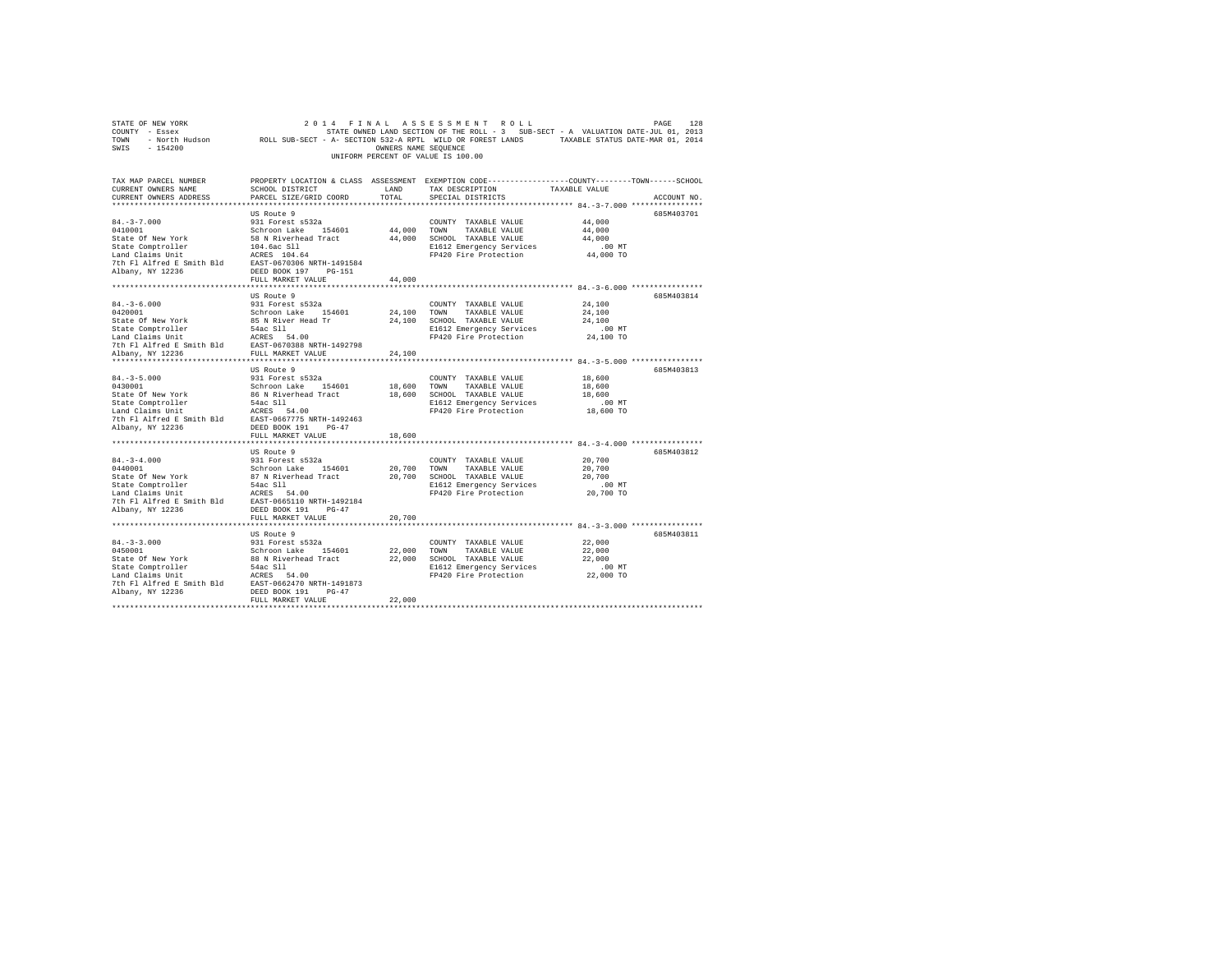| $\begin{tabular}{lllllllllll} \textbf{COUNT} & \textbf{E} & \textbf{128} & \textbf{128} \\ \textbf{CONT} & \textbf{S} & \textbf{128} & \textbf{128} \\ \textbf{TOWN} & \textbf{138} & \textbf{138} & \textbf{138} \\ \textbf{TOWN} & \textbf{138} & \textbf{138} & \textbf{138} \\ \textbf{TOWN} & \textbf{148} & \textbf{158} & \textbf{158} \\ \textbf{158} & \textbf{158} & \textbf{168} & \textbf{168} \\ \text$ |                                                                                                                            |                       | UNIFORM PERCENT OF VALUE IS 100.00                                                                                                                                                                                       |                                                     |             |
|----------------------------------------------------------------------------------------------------------------------------------------------------------------------------------------------------------------------------------------------------------------------------------------------------------------------------------------------------------------------------------------------------------------------|----------------------------------------------------------------------------------------------------------------------------|-----------------------|--------------------------------------------------------------------------------------------------------------------------------------------------------------------------------------------------------------------------|-----------------------------------------------------|-------------|
| TAX MAP PARCEL NUMBER<br>CURRENT OWNERS NAME<br>CURRENT OWNERS ADDRESS                                                                                                                                                                                                                                                                                                                                               | PARCEL SIZE/GRID COORD                                                                                                     | TOTAL                 | PROPERTY LOCATION & CLASS ASSESSMENT EXEMPTION CODE---------------COUNTY-------TOWN-----SCHOOL<br>SCHOOL DISTRICT                       LAND         TAX DESCRIPTION                  TAXABLE VALUE<br>SPECIAL DISTRICTS |                                                     | ACCOUNT NO. |
| $84. - 3 - 7.000$<br>0410001<br>State Of New York<br>State Comptroller 104.6ac Sll<br>Land Claims Unit 104.6ac Sll<br>7th Fl Alfred E Smith Bld EAST-0670306 NRTH-1491584<br>Albany, NY 12236                                                                                                                                                                                                                        | US Route 9<br>931 Forest s532a<br>Schroon Lake 154601<br>58 N Riverhead Tract<br>DEED BOOK 197 PG-151<br>FULL MARKET VALUE | 44,000 TOWN<br>44,000 | COUNTY TAXABLE VALUE<br>TAXABLE VALUE<br>44,000 SCHOOL TAXABLE VALUE<br>E1612 Emergency Services<br>FP420 Fire Protection                                                                                                | 44,000<br>44,000<br>44,000<br>$.00$ MT<br>44,000 TO | 685M403701  |
|                                                                                                                                                                                                                                                                                                                                                                                                                      |                                                                                                                            |                       |                                                                                                                                                                                                                          |                                                     |             |
| $84. - 3 - 6.000$<br>0420001<br>State Of New York 85 N River Head Tr<br>State Comptroller 54 ac 511<br>Land Claims Unit 54 ACRES 54.00<br>7th F1 Alfred E Smith Bld EAST-0670388 NRTH-1492798<br>Albany. NY 12236 FULL MARKET VALUE                                                                                                                                                                                  | US Route 9<br>931 Forest s532a<br>Schroon Lake 154601                                                                      | 24,100                | COUNTY TAXABLE VALUE<br>24.100 TOWN TAXABLE VALUE<br>24.100 SCHOOL TAXABLE VALUE<br>E1612 Emergency Services<br>FP420 Fire Protection                                                                                    | 24,100<br>24,100<br>24,100<br>$.00$ MT<br>24,100 TO | 685M403814  |
|                                                                                                                                                                                                                                                                                                                                                                                                                      | US Route 9                                                                                                                 |                       |                                                                                                                                                                                                                          |                                                     | 685M403813  |
| $84. - 3 - 5.000$<br>0430001<br>State Of New York                                                                                                                                                                                                                                                                                                                                                                    | 931 Forest s532a<br>Schroon Lake 154601<br>86 N Riverhead Tract 18,600 SCHOOL TAXABLE VALUE<br>FULL MARKET VALUE           | 18,600<br>18,600      | COUNTY TAXABLE VALUE<br>TOWN TAXABLE VALUE<br>E1612 Emergency Services<br>FP420 Fire Protection                                                                                                                          | 18,600<br>18,600<br>18,600<br>$.00$ MT<br>18,600 TO |             |
|                                                                                                                                                                                                                                                                                                                                                                                                                      |                                                                                                                            |                       |                                                                                                                                                                                                                          |                                                     |             |
| $84. -3-4.000$<br>0440001<br>State Of New York<br>State Comptroller 54ac S11<br>Land Claims Unit Refers 54.00<br>7th Fl Alfred E Smith Bld<br>2010 BAST-0665110 NRTH-1492184<br>Albany, NY 12236<br>20236 DEED BOOK 191 PG-47                                                                                                                                                                                        | US Route 9<br>931 Forest s532a<br>Schroon Lake 154601<br>87 N Riverhead Tract<br>FULL MARKET VALUE                         | 20,700                | COUNTY TAXABLE VALUE<br>20,700 TOWN TAXABLE VALUE<br>20,700 SCHOOL TAXABLE VALUE<br>E1612 Emergency Services<br>FP420 Fire Protection                                                                                    | 20,700<br>20,700<br>20,700<br>.00MT<br>20,700 TO    | 685M403812  |
|                                                                                                                                                                                                                                                                                                                                                                                                                      |                                                                                                                            |                       |                                                                                                                                                                                                                          |                                                     |             |
| $84. -3 - 3.000$<br>Albany, NY 12236                                                                                                                                                                                                                                                                                                                                                                                 | US Route 9<br>931 Forest s532a<br>DEED BOOK 191 PG-47                                                                      |                       | COUNTY TAXABLE VALUE<br>E1612 Emergency Services<br>FP420 Fire Protection                                                                                                                                                | 22,000<br>22,000<br>22,000<br>$.00$ MT<br>22,000 TO | 685M403811  |
|                                                                                                                                                                                                                                                                                                                                                                                                                      | FULL MARKET VALUE                                                                                                          | 22,000                |                                                                                                                                                                                                                          |                                                     |             |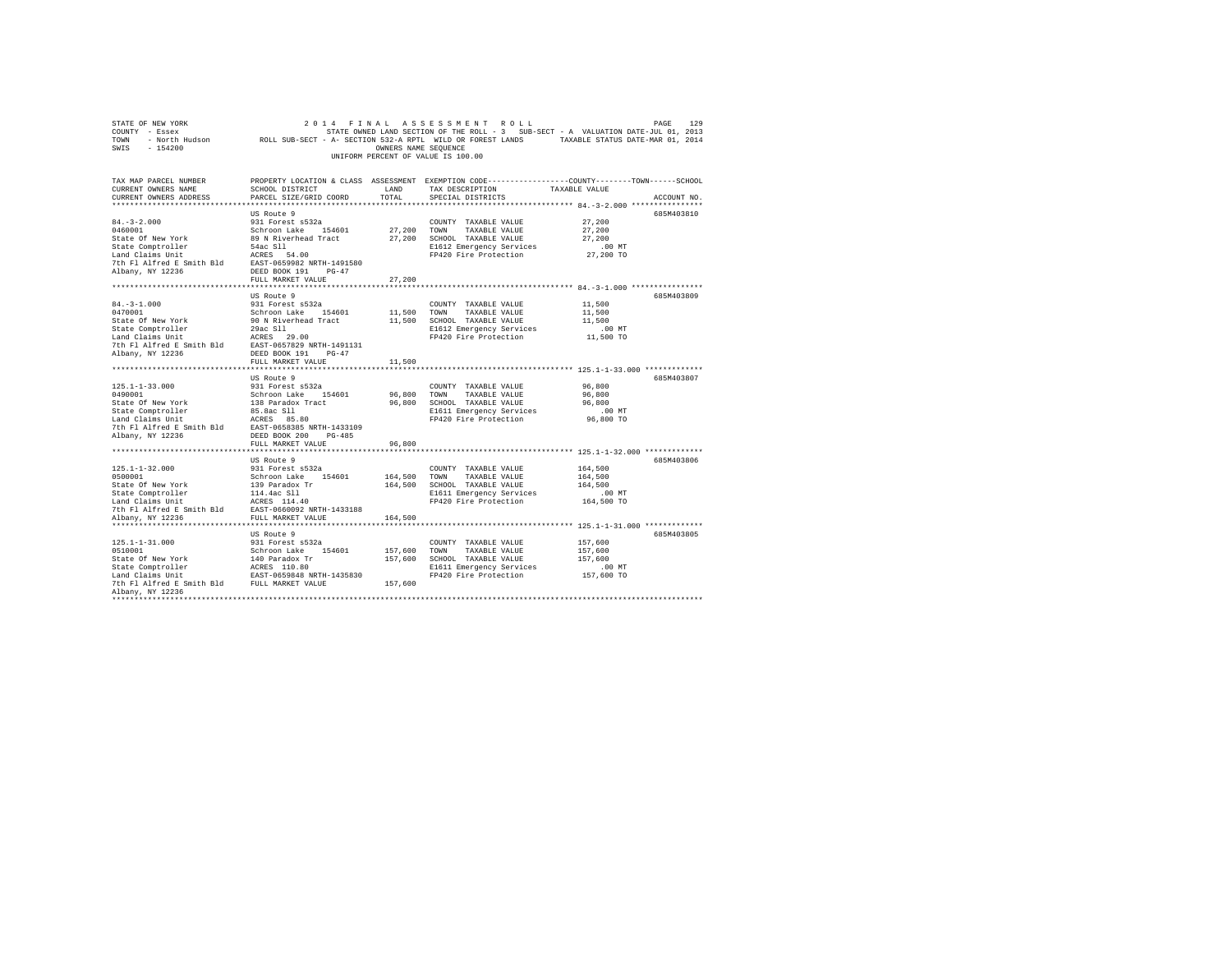| STATE OF NEW YORK                                                                                                                                                                                                                          |                                               |                      | 2014 FINAL ASSESSMENT ROLL         | PAGE                                                                                            | 129 |
|--------------------------------------------------------------------------------------------------------------------------------------------------------------------------------------------------------------------------------------------|-----------------------------------------------|----------------------|------------------------------------|-------------------------------------------------------------------------------------------------|-----|
| COUNTY - Essex                                                                                                                                                                                                                             |                                               |                      |                                    | STATE OWNED LAND SECTION OF THE ROLL - 3 SUB-SECT - A VALUATION DATE-JUL 01, 2013               |     |
| TOWN - North Hudson ROLL SUB-SECT - A- SECTION 532-A RPTL WILD OR FOREST LANDS TAXABLE STATUS DATE-MAR 01, 2014                                                                                                                            |                                               |                      |                                    |                                                                                                 |     |
| $-154200$<br>SWIS                                                                                                                                                                                                                          |                                               | OWNERS NAME SEQUENCE |                                    |                                                                                                 |     |
|                                                                                                                                                                                                                                            |                                               |                      | UNIFORM PERCENT OF VALUE IS 100.00 |                                                                                                 |     |
|                                                                                                                                                                                                                                            |                                               |                      |                                    |                                                                                                 |     |
|                                                                                                                                                                                                                                            |                                               |                      |                                    |                                                                                                 |     |
| TAX MAP PARCEL NUMBER                                                                                                                                                                                                                      |                                               |                      |                                    | PROPERTY LOCATION & CLASS ASSESSMENT EXEMPTION CODE---------------COUNTY-------TOWN------SCHOOL |     |
| CURRENT OWNERS NAME                                                                                                                                                                                                                        | SCHOOL DISTRICT                               | LAND                 | TAX DESCRIPTION                    | TAXABLE VALUE                                                                                   |     |
| CURRENT OWNERS ADDRESS                                                                                                                                                                                                                     | PARCEL SIZE/GRID COORD                        | TOTAL                | SPECIAL DISTRICTS                  | ACCOUNT NO.                                                                                     |     |
|                                                                                                                                                                                                                                            |                                               |                      |                                    |                                                                                                 |     |
|                                                                                                                                                                                                                                            |                                               |                      |                                    |                                                                                                 |     |
|                                                                                                                                                                                                                                            | US Route 9                                    |                      |                                    | 685M403810                                                                                      |     |
| $84. - 3 - 2.000$                                                                                                                                                                                                                          | 931 Forest s532a                              |                      | COUNTY TAXABLE VALUE               | 27,200                                                                                          |     |
| 0460001                                                                                                                                                                                                                                    | Schroon Lake 154601                           | 27,200 TOWN          | TAXABLE VALUE                      | 27,200                                                                                          |     |
| State Of New York                                                                                                                                                                                                                          | 89 N Riverhead Tract                          |                      | 27.200 SCHOOL TAXABLE VALUE        | 27,200                                                                                          |     |
| State Comptroller<br>1994 - State Sulland Claims Unit<br>1995 - State Smith Bld<br>1999 - State America E Smith Bld<br>1999 - State America Bandary, NY 12236<br>1997 - North Flate Bandary, NY 12236<br>1997 - DESED BOOK<br>1997 - PO-47 |                                               |                      | E1612 Emergency Services           | $.00$ MT                                                                                        |     |
|                                                                                                                                                                                                                                            |                                               |                      | FP420 Fire Protection              | 27,200 TO                                                                                       |     |
|                                                                                                                                                                                                                                            |                                               |                      |                                    |                                                                                                 |     |
| Albany, NY 12236                                                                                                                                                                                                                           | DEED BOOK 191 PG-47                           |                      |                                    |                                                                                                 |     |
|                                                                                                                                                                                                                                            | FULL MARKET VALUE                             | 27,200               |                                    |                                                                                                 |     |
|                                                                                                                                                                                                                                            |                                               |                      |                                    |                                                                                                 |     |
|                                                                                                                                                                                                                                            | US Route 9                                    |                      |                                    | 685M403809                                                                                      |     |
| $84. - 3 - 1.000$                                                                                                                                                                                                                          | 931 Forest s532a                              |                      | COUNTY TAXABLE VALUE               | 11,500                                                                                          |     |
|                                                                                                                                                                                                                                            |                                               |                      |                                    |                                                                                                 |     |
| 0470001                                                                                                                                                                                                                                    | Schroon Lake 154601                           |                      | 11,500 TOWN TAXABLE VALUE          | 11,500                                                                                          |     |
| State Of New York                                                                                                                                                                                                                          | 90 N Riverhead Tract                          |                      | 11,500 SCHOOL TAXABLE VALUE        | 11,500                                                                                          |     |
|                                                                                                                                                                                                                                            |                                               |                      | E1612 Emergency Services           | .00 MT                                                                                          |     |
|                                                                                                                                                                                                                                            |                                               |                      | FP420 Fire Protection              | 11,500 TO                                                                                       |     |
|                                                                                                                                                                                                                                            | EAST-0657829 NRTH-1491131                     |                      |                                    |                                                                                                 |     |
|                                                                                                                                                                                                                                            |                                               |                      |                                    |                                                                                                 |     |
|                                                                                                                                                                                                                                            | FULL MARKET VALUE                             | 11,500               |                                    |                                                                                                 |     |
|                                                                                                                                                                                                                                            |                                               |                      |                                    |                                                                                                 |     |
|                                                                                                                                                                                                                                            | US Route 9                                    |                      |                                    | 685M403807                                                                                      |     |
| $125.1 - 1 - 33.000$                                                                                                                                                                                                                       | 931 Forest s532a                              |                      | COUNTY TAXABLE VALUE               | 96,800                                                                                          |     |
| 0490001                                                                                                                                                                                                                                    | Schroon Lake 154601                           |                      | 96,800 TOWN TAXABLE VALUE          | 96,800                                                                                          |     |
|                                                                                                                                                                                                                                            | 138 Paradox Tract                             |                      |                                    | 96,800                                                                                          |     |
| State Of New York                                                                                                                                                                                                                          |                                               |                      | 96,800 SCHOOL TAXABLE VALUE        |                                                                                                 |     |
| State Comptroller                                                                                                                                                                                                                          | 85.8ac Sll                                    |                      | E1611 Emergency Services           | $.00$ MT                                                                                        |     |
| Example 2014 March 2014 March 2014 March 2014 March 2014 March 2014 March 2014 March 2016 March 2016 March 2016 March 2016 March 2016 March 2016 March 2016 March 2016 March 2016 March 2016 March 2016 March 2016 March 2016              |                                               |                      | FP420 Fire Protection              | 96,800 TO                                                                                       |     |
|                                                                                                                                                                                                                                            |                                               |                      |                                    |                                                                                                 |     |
| Albany, NY 12236                                                                                                                                                                                                                           | DEED BOOK 200 PG-485                          |                      |                                    |                                                                                                 |     |
|                                                                                                                                                                                                                                            | FULL MARKET VALUE                             | 96,800               |                                    |                                                                                                 |     |
|                                                                                                                                                                                                                                            |                                               | .                    |                                    |                                                                                                 |     |
|                                                                                                                                                                                                                                            | US Route 9                                    |                      |                                    | 685M403806                                                                                      |     |
| $125.1 - 1 - 32.000$                                                                                                                                                                                                                       | 931 Forest s532a                              |                      | COUNTY TAXABLE VALUE               | 164,500                                                                                         |     |
| 0500001                                                                                                                                                                                                                                    | Schroon Lake 154601                           | 164,500              | TOWN<br>TAXABLE VALUE              | 164,500                                                                                         |     |
| State Of New York                                                                                                                                                                                                                          |                                               | 164,500              | SCHOOL TAXABLE VALUE               | 164,500                                                                                         |     |
| State Comptroller                                                                                                                                                                                                                          |                                               |                      | E1611 Emergency Services           | $.00$ MT                                                                                        |     |
| Land Claims Unit                                                                                                                                                                                                                           | 139 Paradox Tr<br>114.4ac Sll<br>ACRES 114.40 |                      | FP420 Fire Protection              | 164,500 TO                                                                                      |     |
|                                                                                                                                                                                                                                            |                                               |                      |                                    |                                                                                                 |     |
| 7th Fl Alfred E Smith Bld EAST-0660092 NRTH-1433188                                                                                                                                                                                        |                                               |                      |                                    |                                                                                                 |     |
| Albany, NY 12236                                                                                                                                                                                                                           | FULL MARKET VALUE                             | 164,500              |                                    |                                                                                                 |     |
|                                                                                                                                                                                                                                            |                                               |                      |                                    |                                                                                                 |     |
|                                                                                                                                                                                                                                            | US Route 9                                    |                      |                                    | 685M403805                                                                                      |     |
| $125.1 - 1 - 31.000$                                                                                                                                                                                                                       | 931 Forest s532a                              |                      | COUNTY TAXABLE VALUE               | 157,600                                                                                         |     |
| 0510001                                                                                                                                                                                                                                    | Schroon Lake 154601                           |                      | 157,600 TOWN TAXABLE VALUE         | 157,600                                                                                         |     |
| State Of New York                                                                                                                                                                                                                          | 140 Paradox Tr                                |                      | 157,600 SCHOOL TAXABLE VALUE       | 157,600                                                                                         |     |
|                                                                                                                                                                                                                                            |                                               |                      | E1611 Emergency Services           | $.00$ MT                                                                                        |     |
|                                                                                                                                                                                                                                            |                                               |                      | FP420 Fire Protection              | 157,600 TO                                                                                      |     |
|                                                                                                                                                                                                                                            |                                               | 157,600              |                                    |                                                                                                 |     |
| Albany, NY 12236                                                                                                                                                                                                                           |                                               |                      |                                    |                                                                                                 |     |
|                                                                                                                                                                                                                                            |                                               |                      |                                    |                                                                                                 |     |
|                                                                                                                                                                                                                                            |                                               |                      |                                    |                                                                                                 |     |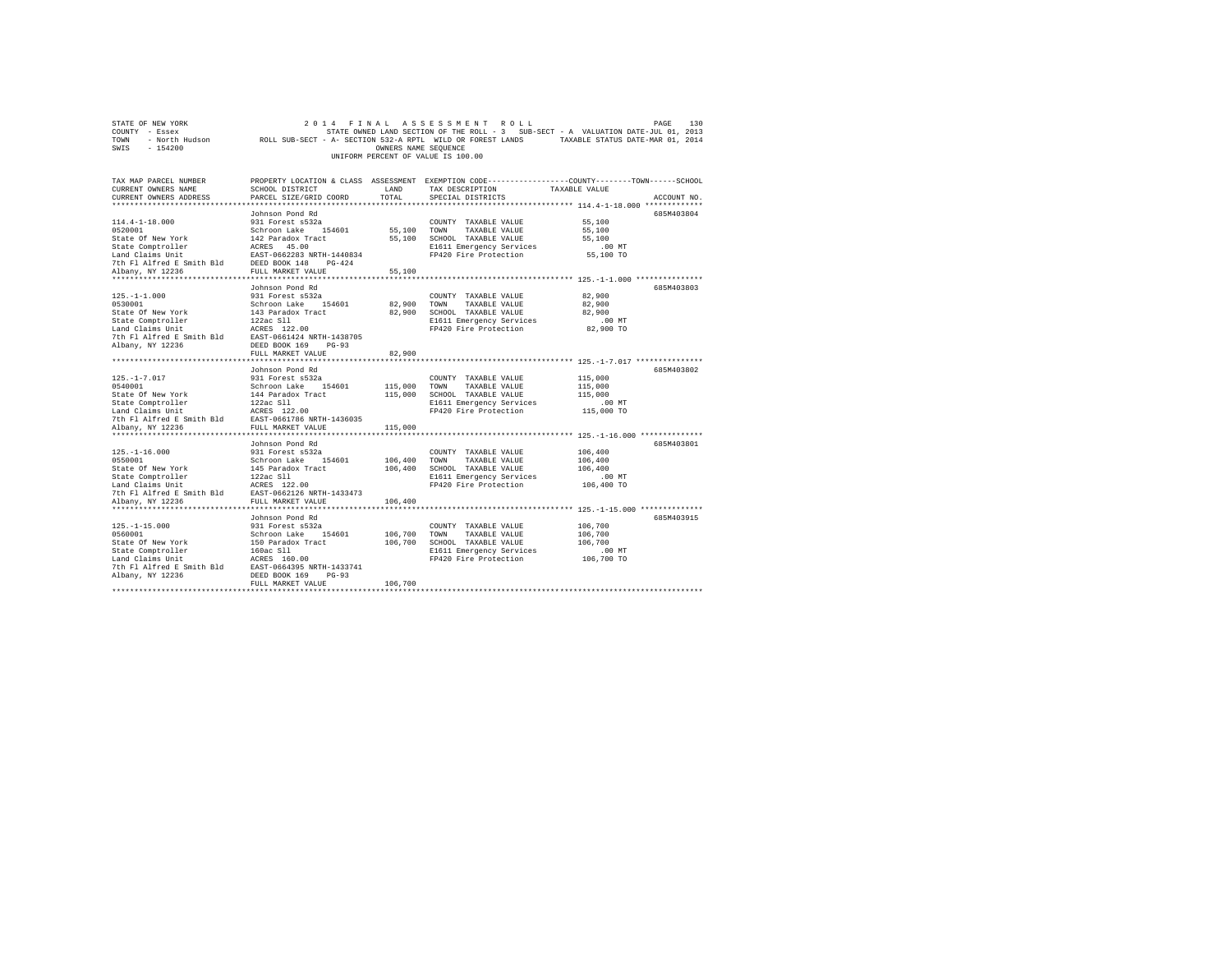| COUNTY - Essex                                      |                                                 |                      |                                                   | STATE OWNED LAND SECTION OF THE ROLL - 3 SUB-SECT - A VALUATION DATE-JUL 01, 2013                          |
|-----------------------------------------------------|-------------------------------------------------|----------------------|---------------------------------------------------|------------------------------------------------------------------------------------------------------------|
| <b>TOWN</b>                                         |                                                 |                      |                                                   | - North Hudson Coll SUB-SECT - A- SECTION 532-A RPTL WILD OR FOREST LANDS TAXABLE STATUS DATE-MAR 01, 2014 |
| SWIS - 154200                                       |                                                 | OWNERS NAME SEQUENCE |                                                   |                                                                                                            |
|                                                     |                                                 |                      | UNIFORM PERCENT OF VALUE IS 100.00                |                                                                                                            |
|                                                     |                                                 |                      |                                                   |                                                                                                            |
|                                                     |                                                 |                      |                                                   |                                                                                                            |
| TAX MAP PARCEL NUMBER                               |                                                 |                      |                                                   | PROPERTY LOCATION & CLASS ASSESSMENT EXEMPTION CODE----------------COUNTY-------TOWN-----SCHOOL            |
| CURRENT OWNERS NAME                                 | SCHOOL DISTRICT                                 | LAND                 | TAX DESCRIPTION TAXABLE VALUE                     |                                                                                                            |
| CURRENT OWNERS ADDRESS                              | PARCEL SIZE/GRID COORD                          | TOTAL                | SPECIAL DISTRICTS                                 | ACCOUNT NO.                                                                                                |
|                                                     |                                                 |                      |                                                   |                                                                                                            |
|                                                     | Johnson Pond Rd                                 |                      |                                                   | 685M403804                                                                                                 |
| $114.4 - 1 - 18.000$                                | 931 Forest s532a                                |                      | COUNTY TAXABLE VALUE 55,100                       |                                                                                                            |
| 0520001                                             | Schroon Lake 154601 55,100 TOWN                 |                      | TAXABLE VALUE                                     | 55,100                                                                                                     |
| State Of New York                                   |                                                 |                      | 55,100 SCHOOL TAXABLE VALUE                       | 55,100                                                                                                     |
| State Comptroller                                   | 142 Paradox Tract<br>ACRES 45.00<br>ACRES 45.00 |                      | E1611 Emergency Services .00 MT                   |                                                                                                            |
| Land Claims Unit                                    | EAST-0662283 NRTH-1440834                       |                      | FP420 Fire Protection 55,100 TO                   |                                                                                                            |
| 7th Fl Alfred E Smith Bld DEED BOOK 148 PG-424      |                                                 |                      |                                                   |                                                                                                            |
| Albany, NY 12236                                    | FULL MARKET VALUE                               | 55,100               |                                                   |                                                                                                            |
|                                                     |                                                 |                      |                                                   |                                                                                                            |
|                                                     | Johnson Pond Rd                                 |                      |                                                   | 685M403803                                                                                                 |
| $125. - 1 - 1.000$                                  | 931 Forest s532a                                |                      |                                                   | 82,900                                                                                                     |
| 0530001                                             | Schroon Lake 154601 82,900 TOWN                 |                      | COUNTY TAXABLE VALUE                              | 82,900                                                                                                     |
|                                                     |                                                 |                      | TAXABLE VALUE                                     |                                                                                                            |
| State Of New York                                   | 143 Paradox Tract                               |                      | 82,900 SCHOOL TAXABLE VALUE                       | 82,900                                                                                                     |
| State Comptroller                                   | 122ac S11                                       |                      | E1611 Emergency Services<br>FP420 Fire Protection | $.00$ MT                                                                                                   |
| Land Claims Unit                                    | ACRES 122.00                                    |                      |                                                   | 82,900 TO                                                                                                  |
| 7th Fl Alfred E Smith Bld EAST-0661424 NRTH-1438705 |                                                 |                      |                                                   |                                                                                                            |
| Albany, NY 12236                                    | DEED BOOK 169 PG-93                             |                      |                                                   |                                                                                                            |
|                                                     | FULL MARKET VALUE                               | 82,900               |                                                   |                                                                                                            |
|                                                     |                                                 |                      |                                                   |                                                                                                            |
|                                                     | Johnson Pond Rd                                 |                      |                                                   | 685M403802                                                                                                 |
| $125. - 1 - 7.017$                                  |                                                 |                      | COUNTY TAXABLE VALUE                              | 115,000                                                                                                    |
| 0540001                                             |                                                 |                      | TAXABLE VALUE                                     | 115,000                                                                                                    |
| State Of New York                                   | 144 Paradox Tract                               | 115,000              | SCHOOL TAXABLE VALUE                              | 115,000                                                                                                    |
| State Comptroller                                   | 122ac S11                                       |                      | E1611 Emergency Services                          | $.00$ MT                                                                                                   |
| Land Claims Unit                                    | ACRES 122.00                                    |                      | FP420 Fire Protection                             | 115,000 TO                                                                                                 |
| 7th Fl Alfred E Smith Bld EAST-0661786 NRTH-1436035 |                                                 |                      |                                                   |                                                                                                            |
| Albany, NY 12236                                    | FULL MARKET VALUE                               | 115,000              |                                                   |                                                                                                            |
|                                                     |                                                 |                      |                                                   |                                                                                                            |
|                                                     | Johnson Pond Rd                                 |                      |                                                   | 685M403801                                                                                                 |
| $125. - 1 - 16.000$                                 | 931 Forest s532a                                |                      | COUNTY TAXABLE VALUE                              | 106,400                                                                                                    |
| 0550001                                             | Schroon Lake 154601                             | 106,400              | TOWN<br>TAXABLE VALUE                             | 106,400                                                                                                    |
| State Of New York                                   | 145 Paradox Tract                               | 106,400              | SCHOOL TAXABLE VALUE                              | 106,400                                                                                                    |
| State Comptroller                                   | 122ac S11                                       |                      | E1611 Emergency Services                          | $.00$ MT                                                                                                   |
| Land Claims Unit                                    | ACRES 122.00                                    |                      | FP420 Fire Protection                             | 106,400 TO                                                                                                 |

7th Fl Alfred E Smith Bld EAST-0662126 NRTH-1433473 Albany, NY 12236 FULL MARKET VALUE 106,400 \*\*\*\*\*\*\*\*\*\*\*\*\*\*\*\*\*\*\*\*\*\*\*\*\*\*\*\*\*\*\*\*\*\*\*\*\*\*\*\*\*\*\*\*\*\*\*\*\*\*\*\*\*\*\*\*\*\*\*\*\*\*\*\*\*\*\*\*\*\*\*\*\*\*\*\*\*\*\*\*\*\*\*\*\*\*\*\*\*\*\*\*\*\*\*\*\*\*\*\*\*\*\* 125.-1-15.000 \*\*\*\*\*\*\*\*\*\*\*\*\*\* Johnson Pond Rd 685M403915 125.-1-15.000 931 Forest s532a COUNTY TAXABLE VALUE 106,700 0560001 Schroon Lake 154601 106,700 TOWN TAXABLE VALUE 106,700

31 at 00 F New York (1995)<br>
SERIOR (1998) ASSEMBLEM (1999) AND SERIOR TRANSLE VALUE 2010 FOR THE MANUSE VALUE<br>
160 SIGN FIRE 2000 FIGURE 2010 FIGURE 2010 FOR 111 Respectives<br>
2010 FPA20 Fire Protection 106,700 TO<br>
2010 FPA

STATE OF NEW YORK 2 0 1 4 F I N A L A S S E S S M E N T R O L L PAGE 130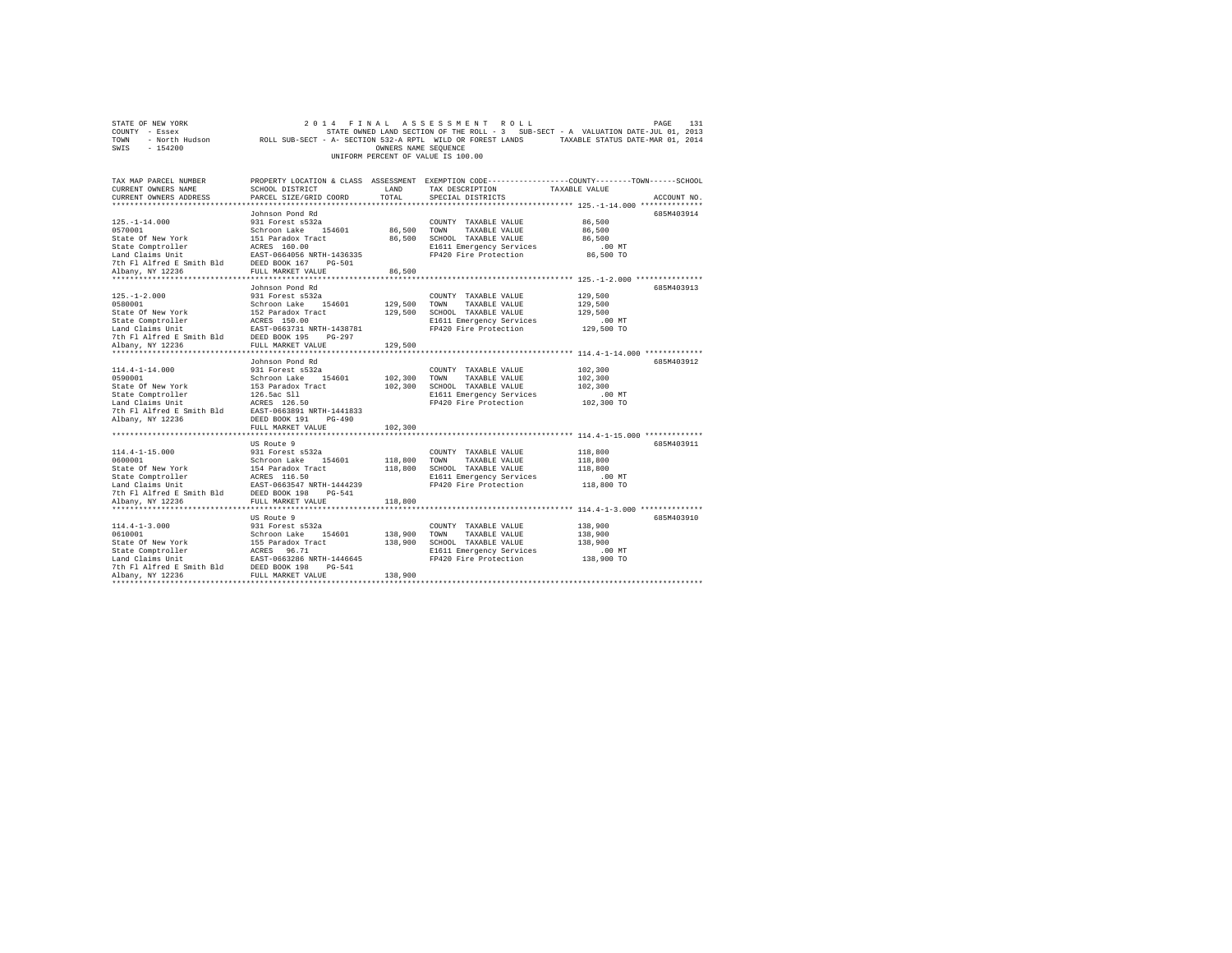|      | STATE OF NEW YORK |  |                                    | 2014 FINAL ASSESSMENT ROLL                                                        |                                  | PAGE | 131 |
|------|-------------------|--|------------------------------------|-----------------------------------------------------------------------------------|----------------------------------|------|-----|
|      | COUNTY - Essex    |  |                                    | STATE OWNED LAND SECTION OF THE ROLL - 3 SUB-SECT - A VALUATION DATE-JUL 01, 2013 |                                  |      |     |
| TOWN | - North Hudson    |  |                                    | ROLL SUB-SECT - A- SECTION 532-A RPTL WILD OR FOREST LANDS                        | TAXABLE STATUS DATE-MAR 01, 2014 |      |     |
| SWIS | $-154200$         |  | OWNERS NAME SEOUENCE               |                                                                                   |                                  |      |     |
|      |                   |  | UNIFORM PERCENT OF VALUE IS 100.00 |                                                                                   |                                  |      |     |
|      |                   |  |                                    |                                                                                   |                                  |      |     |

| TAX MAP PARCEL NUMBER                                                                                                                                                                                                                                                                                                                                                                                                 |                                                                                      |              |                                                   | PROPERTY LOCATION & CLASS ASSESSMENT EXEMPTION CODE---------------COUNTY-------TOWN-----SCHOOL |
|-----------------------------------------------------------------------------------------------------------------------------------------------------------------------------------------------------------------------------------------------------------------------------------------------------------------------------------------------------------------------------------------------------------------------|--------------------------------------------------------------------------------------|--------------|---------------------------------------------------|------------------------------------------------------------------------------------------------|
| CURRENT OWNERS NAME                                                                                                                                                                                                                                                                                                                                                                                                   | SCHOOL DISTRICT                                                                      | LAND         | TAX DESCRIPTION                                   | TAXABLE VALUE                                                                                  |
| CURRENT OWNERS ADDRESS                                                                                                                                                                                                                                                                                                                                                                                                | PARCEL SIZE/GRID COORD                                                               | TOTAL        | SPECIAL DISTRICTS                                 | ACCOUNT NO.                                                                                    |
|                                                                                                                                                                                                                                                                                                                                                                                                                       |                                                                                      |              |                                                   |                                                                                                |
|                                                                                                                                                                                                                                                                                                                                                                                                                       | Johnson Pond Rd                                                                      |              |                                                   | 685M403914                                                                                     |
|                                                                                                                                                                                                                                                                                                                                                                                                                       |                                                                                      |              | COUNTY TAXABLE VALUE                              | 86,500                                                                                         |
|                                                                                                                                                                                                                                                                                                                                                                                                                       |                                                                                      | 86,500 TOWN  | TAXABLE VALUE                                     | 86,500                                                                                         |
|                                                                                                                                                                                                                                                                                                                                                                                                                       |                                                                                      |              | 86.500 SCHOOL TAXABLE VALUE                       | 86,500                                                                                         |
|                                                                                                                                                                                                                                                                                                                                                                                                                       |                                                                                      |              | E1611 Emergency Services                          | $.00$ MT                                                                                       |
|                                                                                                                                                                                                                                                                                                                                                                                                                       |                                                                                      |              | FP420 Fire Protection                             | 86,500 TO                                                                                      |
|                                                                                                                                                                                                                                                                                                                                                                                                                       |                                                                                      |              |                                                   |                                                                                                |
|                                                                                                                                                                                                                                                                                                                                                                                                                       |                                                                                      | 86,500       |                                                   |                                                                                                |
|                                                                                                                                                                                                                                                                                                                                                                                                                       |                                                                                      |              |                                                   |                                                                                                |
| $\begin{tabular}{ll} $\textsc{184} & \textsc{184} & \textsc{184} & \textsc{184} \\ $\textsc{184}$ & $\textsc{184} \textsc{184}$ & $\textsc{184} \textsc{184}$ \\ $ \textsc{Land } \textsc{Claims} \textsc{164}$ & $\textsc{184} \textsc{184}$ & $\textsc{184} \textsc{184}$ \\ $ \textsc{Land } \textsc{Claims} \textsc{184}$ & $\textsc{184} \textsc{184}$ & $\textsc{184} \textsc{184}$ & $\textsc{184} \textsc{18$ |                                                                                      |              |                                                   | 685M403913                                                                                     |
| $125. - 1 - 2.000$                                                                                                                                                                                                                                                                                                                                                                                                    | 931 Forest s532a                                                                     |              | COUNTY TAXABLE VALUE                              | 129,500                                                                                        |
| 0580001                                                                                                                                                                                                                                                                                                                                                                                                               | Schroon Lake 154601                                                                  | 129,500 TOWN | TAXABLE VALUE                                     | 129,500                                                                                        |
| State Of New York                                                                                                                                                                                                                                                                                                                                                                                                     | 152 Paradox Tract                                                                    | 129,500      | SCHOOL TAXABLE VALUE                              | 129,500                                                                                        |
| State Comptroller                                                                                                                                                                                                                                                                                                                                                                                                     |                                                                                      |              | E1611 Emergency Services                          | .00MT                                                                                          |
| Land Claims Unit                                                                                                                                                                                                                                                                                                                                                                                                      | ACRES 150.00<br>EAST-0663731 NRTH-1438781                                            |              | FP420 Fire Protection                             | 129,500 TO                                                                                     |
|                                                                                                                                                                                                                                                                                                                                                                                                                       | $PG-297$                                                                             |              |                                                   |                                                                                                |
| 7th Fl Alfred E Smith Bld DEED BOOK 195<br>Albany, NY 12236 FULL MARKET VA<br>Albany, NY 12236                                                                                                                                                                                                                                                                                                                        | FULL MARKET VALUE                                                                    | 129,500      |                                                   |                                                                                                |
|                                                                                                                                                                                                                                                                                                                                                                                                                       |                                                                                      |              |                                                   |                                                                                                |
|                                                                                                                                                                                                                                                                                                                                                                                                                       | Johnson Pond Rd                                                                      |              |                                                   | 685M403912                                                                                     |
| $114.4 - 1 - 14.000$                                                                                                                                                                                                                                                                                                                                                                                                  | 931 Forest s532a                                                                     |              | COUNTY TAXABLE VALUE                              | 102,300                                                                                        |
| 0590001                                                                                                                                                                                                                                                                                                                                                                                                               | Schroon Lake<br>154601                                                               | 102,300 TOWN | TAXABLE VALUE                                     | 102,300                                                                                        |
| State Of New York                                                                                                                                                                                                                                                                                                                                                                                                     |                                                                                      | 102,300      | SCHOOL TAXABLE VALUE                              | 102,300                                                                                        |
| State Comptroller                                                                                                                                                                                                                                                                                                                                                                                                     | 153 Paradox Tract<br>126.5ac Sll                                                     |              | E1611 Emergency Services                          | $.00$ MT                                                                                       |
|                                                                                                                                                                                                                                                                                                                                                                                                                       |                                                                                      |              | FP420 Fire Protection                             | 102,300 TO                                                                                     |
| Land Claims Unit 10 MORES 126.50<br>7th Fl Alfred E Smith Bld 1285T-0663891 NRTH-1441833                                                                                                                                                                                                                                                                                                                              |                                                                                      |              |                                                   |                                                                                                |
| Albany, NY 12236                                                                                                                                                                                                                                                                                                                                                                                                      | DEED BOOK 191<br>PG-490                                                              |              |                                                   |                                                                                                |
|                                                                                                                                                                                                                                                                                                                                                                                                                       | FULL MARKET VALUE                                                                    | 102,300      |                                                   |                                                                                                |
|                                                                                                                                                                                                                                                                                                                                                                                                                       |                                                                                      |              |                                                   |                                                                                                |
|                                                                                                                                                                                                                                                                                                                                                                                                                       | US Route 9                                                                           |              |                                                   | 685M403911                                                                                     |
| $114.4 - 1 - 15.000$                                                                                                                                                                                                                                                                                                                                                                                                  |                                                                                      |              | COUNTY TAXABLE VALUE                              | 118,800                                                                                        |
| 0600001                                                                                                                                                                                                                                                                                                                                                                                                               | 931 Forest s532a<br>Schroon Lake 154601                                              | 118,800 TOWN | TAXABLE VALUE                                     | 118,800                                                                                        |
|                                                                                                                                                                                                                                                                                                                                                                                                                       |                                                                                      |              | 118,800 SCHOOL TAXABLE VALUE                      | 118,800                                                                                        |
|                                                                                                                                                                                                                                                                                                                                                                                                                       |                                                                                      |              | E1611 Emergency Services                          | $.00$ MT                                                                                       |
|                                                                                                                                                                                                                                                                                                                                                                                                                       |                                                                                      |              | FP420 Fire Protection                             | 118,800 TO                                                                                     |
|                                                                                                                                                                                                                                                                                                                                                                                                                       |                                                                                      |              |                                                   |                                                                                                |
| State Of New York<br>State Comptroller<br>State Comptroller<br>Land Claims Unit<br>Land Claims Unit<br>The Flance Smith Bld<br>The Palister Operator State PG-541<br>2000 PULL MARKET VALUE<br>2000 PULL MARKET VALUE<br>2000 PULL MARKET VALUE<br>Albany, NY 12236                                                                                                                                                   | FULL MARKET VALUE                                                                    | 118,800      |                                                   |                                                                                                |
|                                                                                                                                                                                                                                                                                                                                                                                                                       |                                                                                      |              |                                                   |                                                                                                |
|                                                                                                                                                                                                                                                                                                                                                                                                                       | US Route 9                                                                           |              |                                                   | 685M403910                                                                                     |
|                                                                                                                                                                                                                                                                                                                                                                                                                       |                                                                                      |              |                                                   |                                                                                                |
| $114.4 - 1 - 3.000$<br>0610001                                                                                                                                                                                                                                                                                                                                                                                        | 931 Forest s532a                                                                     | 138,900      | COUNTY TAXABLE VALUE<br>TOWN                      | 138,900                                                                                        |
| State Of New York                                                                                                                                                                                                                                                                                                                                                                                                     |                                                                                      |              | TAXABLE VALUE                                     | 138,900                                                                                        |
|                                                                                                                                                                                                                                                                                                                                                                                                                       | Schroon Lake 154601<br>155 Paradox Tract<br>ACRES 96.71<br>EAST-0663286 NRTH-1446645 |              | 138,900 SCHOOL TAXABLE VALUE                      | 138,900                                                                                        |
| State Comptroller<br>Land Claims Unit                                                                                                                                                                                                                                                                                                                                                                                 |                                                                                      |              | E1611 Emergency Services<br>FP420 Fire Protection | $.00$ MT<br>138,900 TO                                                                         |
|                                                                                                                                                                                                                                                                                                                                                                                                                       | $PG-541$                                                                             |              |                                                   |                                                                                                |
| 7th Fl Alfred E Smith Bld DEED BOOK 198<br>Albany, NY 12236 FULL MARKET V<br>Albany, NY 12236                                                                                                                                                                                                                                                                                                                         | FULL MARKET VALUE                                                                    | 138,900      |                                                   |                                                                                                |
|                                                                                                                                                                                                                                                                                                                                                                                                                       |                                                                                      |              |                                                   |                                                                                                |
|                                                                                                                                                                                                                                                                                                                                                                                                                       |                                                                                      |              |                                                   |                                                                                                |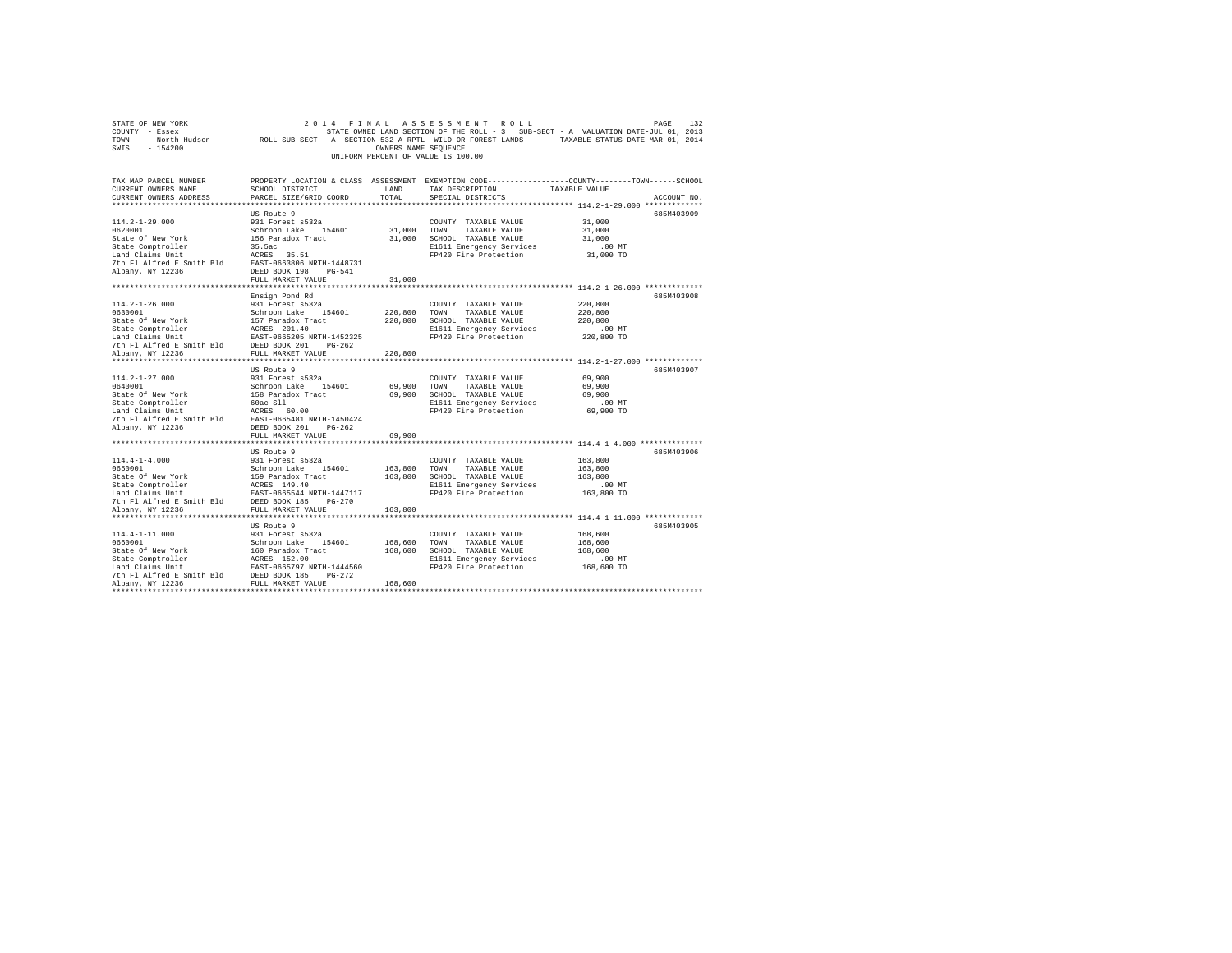| STATE OF NEW YORK<br>COUNTY - Essex<br>SWIS - 154200                                                                                                                     |                                                                                                                               | OWNERS NAME SEQUENCE | 2014 FINAL ASSESSMENT ROLL<br>UNIFORM PERCENT OF VALUE IS 100.00                                                                         | 132<br>PAGE<br>STATE OWNED LAND SECTION OF THE ROLL - 3 SUB-SECT - A VALUATION DATE-JUL 01, 2013<br>TOWN - North Hudson ROLL SUB-SECT - A- SECTION 532-A RPTL WILD OR FOREST LANDS TAXABLE STATUS DATE-MAR 01, 2014 |  |  |  |  |  |
|--------------------------------------------------------------------------------------------------------------------------------------------------------------------------|-------------------------------------------------------------------------------------------------------------------------------|----------------------|------------------------------------------------------------------------------------------------------------------------------------------|---------------------------------------------------------------------------------------------------------------------------------------------------------------------------------------------------------------------|--|--|--|--|--|
| TAX MAP PARCEL NUMBER<br>CURRENT OWNERS NAME<br>CURRENT OWNERS ADDRESS                                                                                                   | SCHOOL DISTRICT<br>PARCEL SIZE/GRID COORD                                                                                     | LAND<br>TOTAL        | TAX DESCRIPTION<br>SPECIAL DISTRICTS                                                                                                     | PROPERTY LOCATION & CLASS ASSESSMENT EXEMPTION CODE---------------COUNTY-------TOWN------SCHOOL<br>TAXABLE VALUE<br>ACCOUNT NO.                                                                                     |  |  |  |  |  |
|                                                                                                                                                                          |                                                                                                                               |                      |                                                                                                                                          |                                                                                                                                                                                                                     |  |  |  |  |  |
| $114.2 - 1 - 29.000$<br>0620001<br>State Of New York                                                                                                                     | US Route 9<br>931 Forest s532a<br>Schroon Lake 154601<br>156 Paradox Tract<br>35.5ac                                          | 31,000 TOWN          | COUNTY TAXABLE VALUE<br>TAXABLE VALUE<br>31,000 SCHOOL TAXABLE VALUE                                                                     | 685M403909<br>31,000<br>31,000<br>31,000                                                                                                                                                                            |  |  |  |  |  |
| State Comptroller<br>Land Claims Unit<br>7th Fl Alfred E Smith Bld<br>Albany, NY 12236                                                                                   | ACRES 35.51<br>EAST-0663806 NRTH-1448731<br>DEED BOOK 198 PG-541                                                              |                      | E1611 Emergency Services<br>FP420 Fire Protection                                                                                        | $.00$ MT<br>31,000 TO                                                                                                                                                                                               |  |  |  |  |  |
|                                                                                                                                                                          | FULL MARKET VALUE                                                                                                             | 31,000               |                                                                                                                                          |                                                                                                                                                                                                                     |  |  |  |  |  |
| $114.2 - 1 - 26.000$<br>0630001<br>State Of New York<br>State Comptroller<br>Land Claims Unit<br>7th Fl Alfred E Smith Bld DEED BOOK 201 PG-262                          | Ensign Pond Rd<br>931 Forest s532a<br>Schroon Lake 154601<br>157 Paradox Tract<br>ACRES 201.40<br>EAST-0665205 NRTH-1452325   | 220,800 TOWN         | COUNTY TAXABLE VALUE<br>TAXABLE VALUE<br>220,800 SCHOOL TAXABLE VALUE<br>E1611 Emergency Services<br>FP420 Fire Protection               | 685M403908<br>220,800<br>220,800<br>220,800<br>$.00$ MT<br>220,800 TO                                                                                                                                               |  |  |  |  |  |
| Albany, NY 12236                                                                                                                                                         | FULL MARKET VALUE                                                                                                             | 220,800              |                                                                                                                                          |                                                                                                                                                                                                                     |  |  |  |  |  |
| $114.2 - 1 - 27.000$<br>0640001<br>State Of New York<br>State Comptroller<br>Land Claims Unit<br>7th Fl Alfred E Smith Bld EAST-0665481 NRTH-1450424<br>Albany, NY 12236 | US Route 9<br>931 Forest s532a<br>Schroon Lake 154601<br>158 Paradox Tract<br>60ac Sll<br>ACRES 60.00<br>DEED BOOK 201 PG-262 |                      | COUNTY TAXABLE VALUE<br>69,900 TOWN<br>TAXABLE VALUE<br>69,900 SCHOOL TAXABLE VALUE<br>E1611 Emergency Services<br>FP420 Fire Protection | 685M403907<br>69,900<br>69,900<br>69,900<br>$.00$ MT<br>69,900 TO                                                                                                                                                   |  |  |  |  |  |
|                                                                                                                                                                          | FULL MARKET VALUE                                                                                                             | 69,900               |                                                                                                                                          |                                                                                                                                                                                                                     |  |  |  |  |  |
| $114.4 - 1 - 4.000$<br>0650001<br>State Of New York<br>State Comptroller<br>Land Claims Unit<br>7th Fl Alfred E Smith Bld DEED BOOK 185 PG-270                           | US Route 9<br>931 Forest s532a<br>Schroon Lake 154601<br>159 Paradox Tract<br>ACRES 149.40<br>EAST-0665544 NRTH-1447117       | 163,800 TOWN         | COUNTY TAXABLE VALUE<br>TAXABLE VALUE<br>163,800 SCHOOL TAXABLE VALUE<br>E1611 Emergency Services<br>FP420 Fire Protection               | 685M403906<br>163,800<br>163,800<br>163,800<br>$.00$ MT<br>163,800 TO                                                                                                                                               |  |  |  |  |  |
| Albany, NY 12236                                                                                                                                                         | FULL MARKET VALUE                                                                                                             | 163,800              |                                                                                                                                          |                                                                                                                                                                                                                     |  |  |  |  |  |
| $114.4 - 1 - 11.000$<br>0660001                                                                                                                                          | US Route 9<br>931 Forest s532a<br>Schroon Lake 154601                                                                         |                      | COUNTY TAXABLE VALUE<br>168,600 TOWN TAXABLE VALUE                                                                                       | 685M403905<br>168,600<br>168,600                                                                                                                                                                                    |  |  |  |  |  |
| State Of New York<br>7th Fl Alfred E Smith Bld DEED BOOK 185 PG-272<br>Albany, NY 12236                                                                                  | 160 Paradox Tract<br>FULL MARKET VALUE                                                                                        | 168,600              | 168,600 SCHOOL TAXABLE VALUE<br>E1611 Emergency Services<br>FP420 Fire Protection                                                        | 168,600<br>$.00$ MT<br>168,600 TO                                                                                                                                                                                   |  |  |  |  |  |
|                                                                                                                                                                          |                                                                                                                               |                      |                                                                                                                                          |                                                                                                                                                                                                                     |  |  |  |  |  |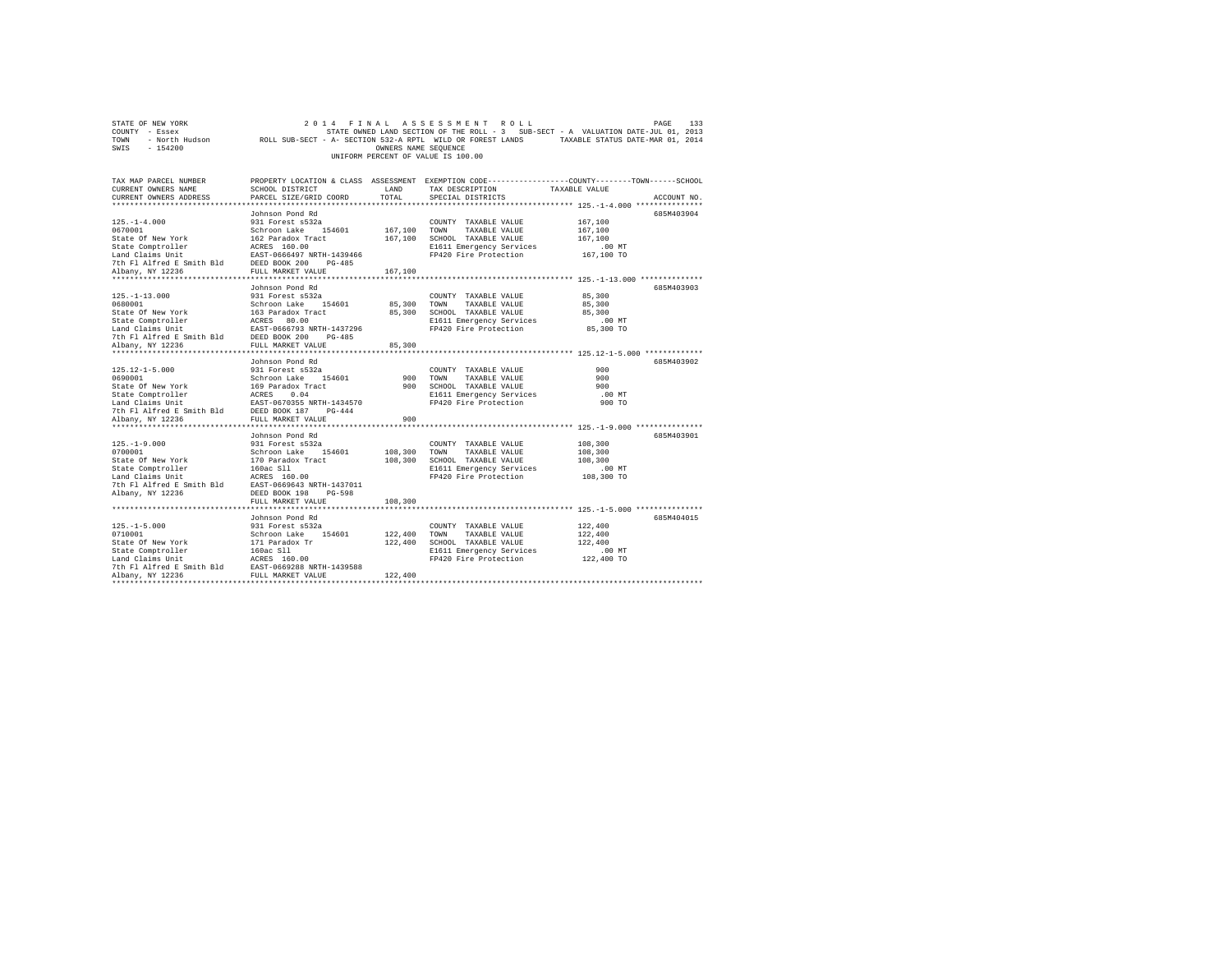|                | STATE OF NEW YORK |                                                            |  |  | 2014 FINAL ASSESSMENT ROLL         |  |  |  | PAGE                                                                              | - 133 |
|----------------|-------------------|------------------------------------------------------------|--|--|------------------------------------|--|--|--|-----------------------------------------------------------------------------------|-------|
| COUNTY - Essex |                   |                                                            |  |  |                                    |  |  |  | STATE OWNED LAND SECTION OF THE ROLL - 3 SUB-SECT - A VALUATION DATE-JUL 01, 2013 |       |
| TOWN           | - North Hudson    | ROLL SUB-SECT - A- SECTION 532-A RPTL WILD OR FOREST LANDS |  |  |                                    |  |  |  | TAXABLE STATUS DATE-MAR 01, 2014                                                  |       |
| SWIS           | - 154200          |                                                            |  |  | OWNERS NAME SEOUENCE               |  |  |  |                                                                                   |       |
|                |                   |                                                            |  |  | UNIFORM PERCENT OF VALUE IS 100.00 |  |  |  |                                                                                   |       |

| TAX MAP PARCEL NUMBER<br>CURRENT OWNERS NAME                                                                                                                                                                                           | SCHOOL DISTRICT | LAND | TAX DESCRIPTION TAXABLE VALUE                     | PROPERTY LOCATION & CLASS ASSESSMENT EXEMPTION CODE---------------COUNTY-------TOWN------SCHOOL                                                                                                                                        |
|----------------------------------------------------------------------------------------------------------------------------------------------------------------------------------------------------------------------------------------|-----------------|------|---------------------------------------------------|----------------------------------------------------------------------------------------------------------------------------------------------------------------------------------------------------------------------------------------|
| CURRENT OWNERS ADDRESS PARCEL SIZE/GRID COORD TOTAL                                                                                                                                                                                    |                 |      | SPECIAL DISTRICTS                                 | ACCOUNT NO.                                                                                                                                                                                                                            |
|                                                                                                                                                                                                                                        |                 |      |                                                   |                                                                                                                                                                                                                                        |
|                                                                                                                                                                                                                                        | Johnson Pond Rd |      |                                                   | 685M403904                                                                                                                                                                                                                             |
|                                                                                                                                                                                                                                        |                 |      |                                                   |                                                                                                                                                                                                                                        |
|                                                                                                                                                                                                                                        |                 |      |                                                   |                                                                                                                                                                                                                                        |
|                                                                                                                                                                                                                                        |                 |      |                                                   |                                                                                                                                                                                                                                        |
|                                                                                                                                                                                                                                        |                 |      |                                                   |                                                                                                                                                                                                                                        |
|                                                                                                                                                                                                                                        |                 |      |                                                   |                                                                                                                                                                                                                                        |
|                                                                                                                                                                                                                                        |                 |      |                                                   |                                                                                                                                                                                                                                        |
|                                                                                                                                                                                                                                        |                 |      |                                                   |                                                                                                                                                                                                                                        |
|                                                                                                                                                                                                                                        | Johnson Pond Rd |      |                                                   | 685M403903                                                                                                                                                                                                                             |
|                                                                                                                                                                                                                                        |                 |      |                                                   |                                                                                                                                                                                                                                        |
|                                                                                                                                                                                                                                        |                 |      |                                                   |                                                                                                                                                                                                                                        |
|                                                                                                                                                                                                                                        |                 |      |                                                   |                                                                                                                                                                                                                                        |
|                                                                                                                                                                                                                                        |                 |      |                                                   |                                                                                                                                                                                                                                        |
|                                                                                                                                                                                                                                        |                 |      |                                                   |                                                                                                                                                                                                                                        |
|                                                                                                                                                                                                                                        |                 |      |                                                   |                                                                                                                                                                                                                                        |
|                                                                                                                                                                                                                                        |                 |      |                                                   |                                                                                                                                                                                                                                        |
|                                                                                                                                                                                                                                        |                 |      |                                                   | 125.-1-13.000 931 Forest and 2018<br>0680001 129.1 Forest and 2018<br>06800001 129.1 COUNTY TAXABLE VALUE 85,300<br>25date Of New York 163 Paradox Tract 85,300 TON TAXABLE VALUE 85,300<br>25date Of New York 163 Paradox Tract 85,30 |
|                                                                                                                                                                                                                                        | Johnson Pond Rd |      |                                                   | 685M403902                                                                                                                                                                                                                             |
|                                                                                                                                                                                                                                        |                 |      | COUNTY TAXABLE VALUE                              | 900                                                                                                                                                                                                                                    |
|                                                                                                                                                                                                                                        |                 |      |                                                   | 900                                                                                                                                                                                                                                    |
|                                                                                                                                                                                                                                        |                 |      |                                                   | 900                                                                                                                                                                                                                                    |
|                                                                                                                                                                                                                                        |                 |      |                                                   | $.00$ MT                                                                                                                                                                                                                               |
|                                                                                                                                                                                                                                        |                 |      | E1611 Emergency Services<br>FP420 Fire Protection | 900 TO                                                                                                                                                                                                                                 |
|                                                                                                                                                                                                                                        |                 |      |                                                   |                                                                                                                                                                                                                                        |
| 125.12-1-5.000 931 Forest s532a COUNTY TAXABLE VALUE<br>6690001 931 Forest s532a 2000NTY TAXABLE VALUE<br>Schroon Lake 154601 900 TOWN TAXABLE VALUE<br>State Comptroller ECRES 0.04 900 SCHOOL TAXABLE VALUE<br>SLAG Claims Unit EXST |                 |      |                                                   |                                                                                                                                                                                                                                        |
|                                                                                                                                                                                                                                        |                 |      |                                                   |                                                                                                                                                                                                                                        |
|                                                                                                                                                                                                                                        |                 |      |                                                   | 685M403901                                                                                                                                                                                                                             |
|                                                                                                                                                                                                                                        |                 |      |                                                   |                                                                                                                                                                                                                                        |
|                                                                                                                                                                                                                                        |                 |      |                                                   |                                                                                                                                                                                                                                        |
|                                                                                                                                                                                                                                        |                 |      |                                                   |                                                                                                                                                                                                                                        |
|                                                                                                                                                                                                                                        |                 |      |                                                   | 00 MT.<br>108,300 TO                                                                                                                                                                                                                   |
|                                                                                                                                                                                                                                        |                 |      |                                                   |                                                                                                                                                                                                                                        |
|                                                                                                                                                                                                                                        |                 |      |                                                   |                                                                                                                                                                                                                                        |
|                                                                                                                                                                                                                                        |                 |      |                                                   |                                                                                                                                                                                                                                        |
|                                                                                                                                                                                                                                        |                 |      |                                                   |                                                                                                                                                                                                                                        |
|                                                                                                                                                                                                                                        | Johnson Pond Rd |      |                                                   | 685M404015                                                                                                                                                                                                                             |
|                                                                                                                                                                                                                                        |                 |      |                                                   |                                                                                                                                                                                                                                        |
|                                                                                                                                                                                                                                        |                 |      |                                                   |                                                                                                                                                                                                                                        |
|                                                                                                                                                                                                                                        |                 |      |                                                   |                                                                                                                                                                                                                                        |
|                                                                                                                                                                                                                                        |                 |      |                                                   |                                                                                                                                                                                                                                        |
|                                                                                                                                                                                                                                        |                 |      |                                                   |                                                                                                                                                                                                                                        |
|                                                                                                                                                                                                                                        |                 |      |                                                   |                                                                                                                                                                                                                                        |
|                                                                                                                                                                                                                                        |                 |      |                                                   |                                                                                                                                                                                                                                        |
|                                                                                                                                                                                                                                        |                 |      |                                                   |                                                                                                                                                                                                                                        |
|                                                                                                                                                                                                                                        |                 |      |                                                   |                                                                                                                                                                                                                                        |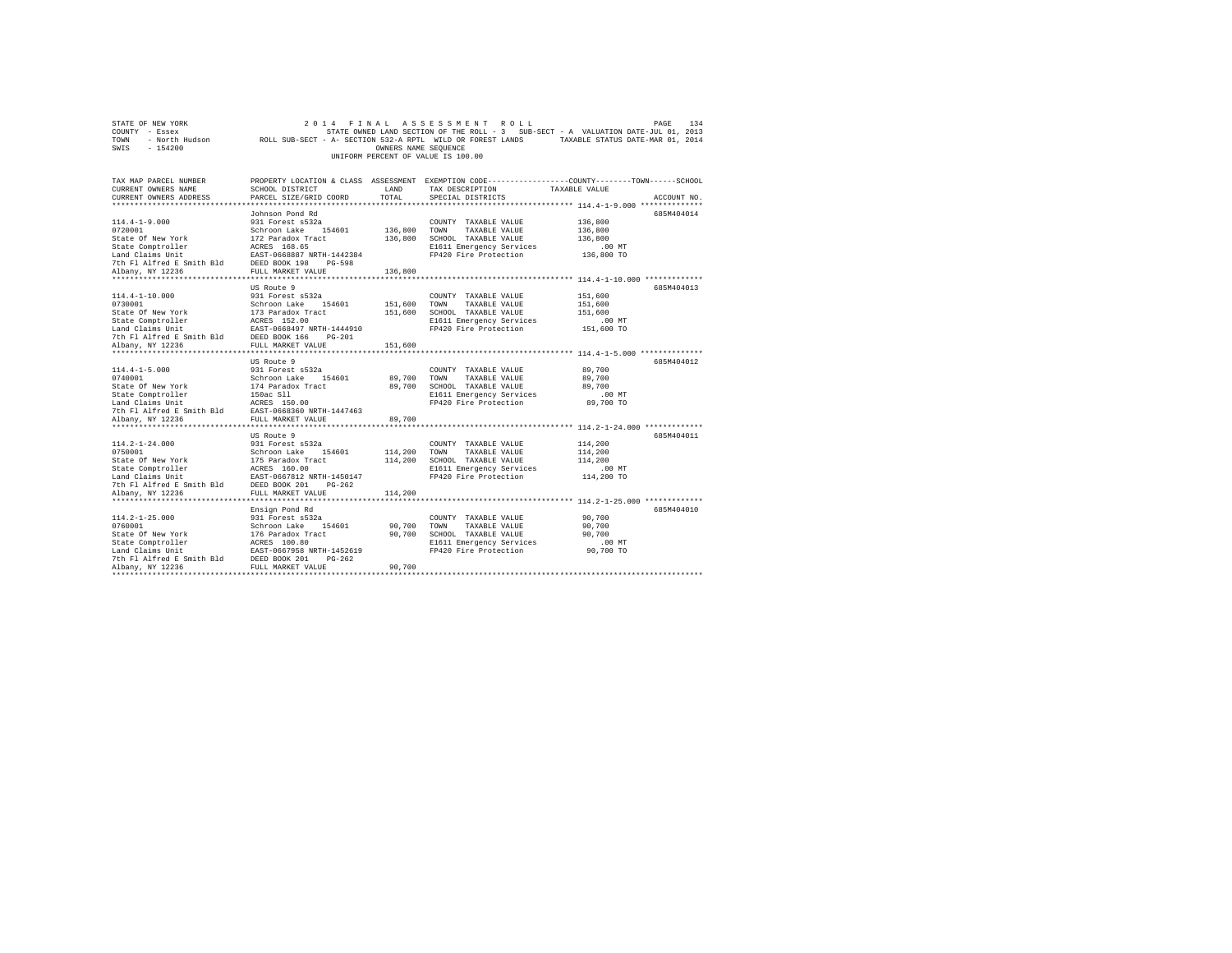| STATE OF NEW YORK                                                                                              |                                   |                      | 2014 FINAL ASSESSMENT ROLL         | PAGE                                                                                                       | 134 |
|----------------------------------------------------------------------------------------------------------------|-----------------------------------|----------------------|------------------------------------|------------------------------------------------------------------------------------------------------------|-----|
| COUNTY - Essex                                                                                                 |                                   |                      |                                    | STATE OWNED LAND SECTION OF THE ROLL - 3 SUB-SECT - A VALUATION DATE-JUL 01, 2013                          |     |
| TOWN                                                                                                           |                                   |                      |                                    | - North Hudson ROLL SUB-SECT - A- SECTION 532-A RPTL WILD OR FOREST LANDS TAXABLE STATUS DATE-MAR 01, 2014 |     |
| SWIS<br>$-154200$                                                                                              |                                   | OWNERS NAME SEQUENCE |                                    |                                                                                                            |     |
|                                                                                                                |                                   |                      | UNIFORM PERCENT OF VALUE IS 100.00 |                                                                                                            |     |
|                                                                                                                |                                   |                      |                                    |                                                                                                            |     |
|                                                                                                                |                                   |                      |                                    |                                                                                                            |     |
| TAX MAP PARCEL NUMBER                                                                                          |                                   |                      |                                    | PROPERTY LOCATION & CLASS ASSESSMENT EXEMPTION CODE----------------COUNTY-------TOWN-----SCHOOL            |     |
| CURRENT OWNERS NAME                                                                                            | <b>LAND</b><br>SCHOOL DISTRICT    |                      | TAX DESCRIPTION                    | TAXABLE VALUE                                                                                              |     |
| CURRENT OWNERS ADDRESS                                                                                         | PARCEL SIZE/GRID COORD            | TOTAL                | SPECIAL DISTRICTS                  | ACCOUNT NO.                                                                                                |     |
|                                                                                                                |                                   |                      |                                    |                                                                                                            |     |
|                                                                                                                | Johnson Pond Rd                   |                      |                                    | 685M404014                                                                                                 |     |
| $114.4 - 1 - 9.000$                                                                                            | 931 Forest s532a                  |                      | COUNTY TAXABLE VALUE               | 136,800                                                                                                    |     |
| 0720001                                                                                                        | Schroon Lake 154601               | 136,800 TOWN         | TAXABLE VALUE                      | 136,800                                                                                                    |     |
| State Of New York                                                                                              |                                   |                      | 136,800 SCHOOL TAXABLE VALUE       | 136,800                                                                                                    |     |
| State Comptroller                                                                                              | 172 Paradox Tract<br>ACRES 168.65 |                      | E1611 Emergency Services           | $.00$ MT                                                                                                   |     |
| Land Claims Unit                                                                                               | EAST-0668887 NRTH-1442384         |                      | FP420 Fire Protection              | 136,800 TO                                                                                                 |     |
| 7th Fl Alfred E Smith Bld DEED BOOK 198 PG-598                                                                 |                                   |                      |                                    |                                                                                                            |     |
| Albany, NY 12236                                                                                               | FULL MARKET VALUE                 | 136,800              |                                    |                                                                                                            |     |
|                                                                                                                |                                   |                      |                                    |                                                                                                            |     |
|                                                                                                                | US Route 9                        |                      |                                    | 685M404013                                                                                                 |     |
| $114.4 - 1 - 10.000$                                                                                           | 931 Forest s532a                  |                      | COUNTY TAXABLE VALUE               | 151,600                                                                                                    |     |
| 0730001                                                                                                        | Schroon Lake 154601               | 151,600 TOWN         | TAXABLE VALUE                      | 151,600                                                                                                    |     |
| State Of New York                                                                                              |                                   |                      | 151,600 SCHOOL TAXABLE VALUE       | 151,600                                                                                                    |     |
| State Comptroller                                                                                              | 173 Paradox Tract<br>ACRES 152.00 |                      | E1611 Emergency Services           | $.00$ MT                                                                                                   |     |
| Land Claims Unit<br>The EAST-0668497 NRTH-1444910<br>7th Fl Alfred E Smith Bld<br>DEED BOOK 166 PG-201         |                                   |                      | FP420 Fire Protection              | 151,600 TO                                                                                                 |     |
|                                                                                                                |                                   |                      |                                    |                                                                                                            |     |
| Albany, NY 12236                                                                                               | FULL MARKET VALUE                 | 151,600              |                                    |                                                                                                            |     |
|                                                                                                                |                                   |                      |                                    |                                                                                                            |     |
|                                                                                                                | US Route 9                        |                      |                                    | 685M404012                                                                                                 |     |
| $114.4 - 1 - 5.000$                                                                                            | 931 Forest s532a                  |                      | COUNTY TAXABLE VALUE               | 89,700                                                                                                     |     |
| 0740001                                                                                                        | Schroon Lake 154601               | 89,700 TOWN          | TAXABLE VALUE                      | 89,700                                                                                                     |     |
| State Of New York                                                                                              |                                   |                      | 89,700 SCHOOL TAXABLE VALUE        | 89,700                                                                                                     |     |
| State Comptroller                                                                                              | 174 Paradox Tract<br>150ac Sll    |                      | E1611 Emergency Services           | $.00$ MT                                                                                                   |     |
|                                                                                                                |                                   |                      | FP420 Fire Protection              | 89,700 TO                                                                                                  |     |
| State Competition of The Terms 2018<br>Tand Claims Unit<br>The PI Alfred E Smith Bld EAST-0668360 NRTH-1447463 |                                   |                      |                                    |                                                                                                            |     |
| Albany, NY 12236                                                                                               | FULL MARKET VALUE                 | 89,700               |                                    |                                                                                                            |     |
|                                                                                                                |                                   |                      |                                    |                                                                                                            |     |
|                                                                                                                | US Route 9                        |                      |                                    | 685M404011                                                                                                 |     |
| $114.2 - 1 - 24.000$                                                                                           | 931 Forest s532a                  |                      | COUNTY TAXABLE VALUE               | 114,200                                                                                                    |     |
| 0750001                                                                                                        | Schroon Lake 154601               | 114,200 TOWN         | TAXABLE VALUE                      | 114,200                                                                                                    |     |
| State Of New York                                                                                              |                                   |                      | 114,200 SCHOOL TAXABLE VALUE       | 114,200                                                                                                    |     |
| State Comptroller                                                                                              | 175 Paradox Tract<br>ACRES 160.00 |                      | E1611 Emergency Services           | $.00$ MT                                                                                                   |     |
|                                                                                                                |                                   |                      | FP420 Fire Protection              | 114,200 TO                                                                                                 |     |
| East -0667812 NRTH-1450147<br>7th Fl Alfred E Smith Bld<br>DEED BOOK 201 PG-262                                |                                   |                      |                                    |                                                                                                            |     |
| Albany, NY 12236                                                                                               | FULL MARKET VALUE                 | 114,200              |                                    |                                                                                                            |     |
|                                                                                                                |                                   |                      |                                    |                                                                                                            |     |
|                                                                                                                |                                   |                      |                                    |                                                                                                            |     |
|                                                                                                                | Ensign Pond Rd                    |                      |                                    | 685M404010                                                                                                 |     |
| $114.2 - 1 - 25.000$                                                                                           | 931 Forest s532a                  |                      | COUNTY TAXABLE VALUE               | 90,700                                                                                                     |     |
| 0760001                                                                                                        | Schroon Lake 154601               | 90,700               | TOWN<br>TAXABLE VALUE              | 90,700                                                                                                     |     |
| State Of New York                                                                                              | 176 Paradox Tract                 |                      | 90,700 SCHOOL TAXABLE VALUE        | 90,700                                                                                                     |     |
| State Comptroller                                                                                              | ACRES 100.80                      |                      | E1611 Emergency Services           | .00 MT                                                                                                     |     |
| EAST-0667958 NRTH-1452619<br>7th F1 Alfred E Smith Bld<br>DEED BOOK 201 PG-262                                 |                                   |                      | FP420 Fire Protection              | 90,700 TO                                                                                                  |     |
|                                                                                                                |                                   |                      |                                    |                                                                                                            |     |
| Albany, NY 12236                                                                                               | FULL MARKET VALUE                 | 90,700               |                                    |                                                                                                            |     |
|                                                                                                                |                                   |                      |                                    |                                                                                                            |     |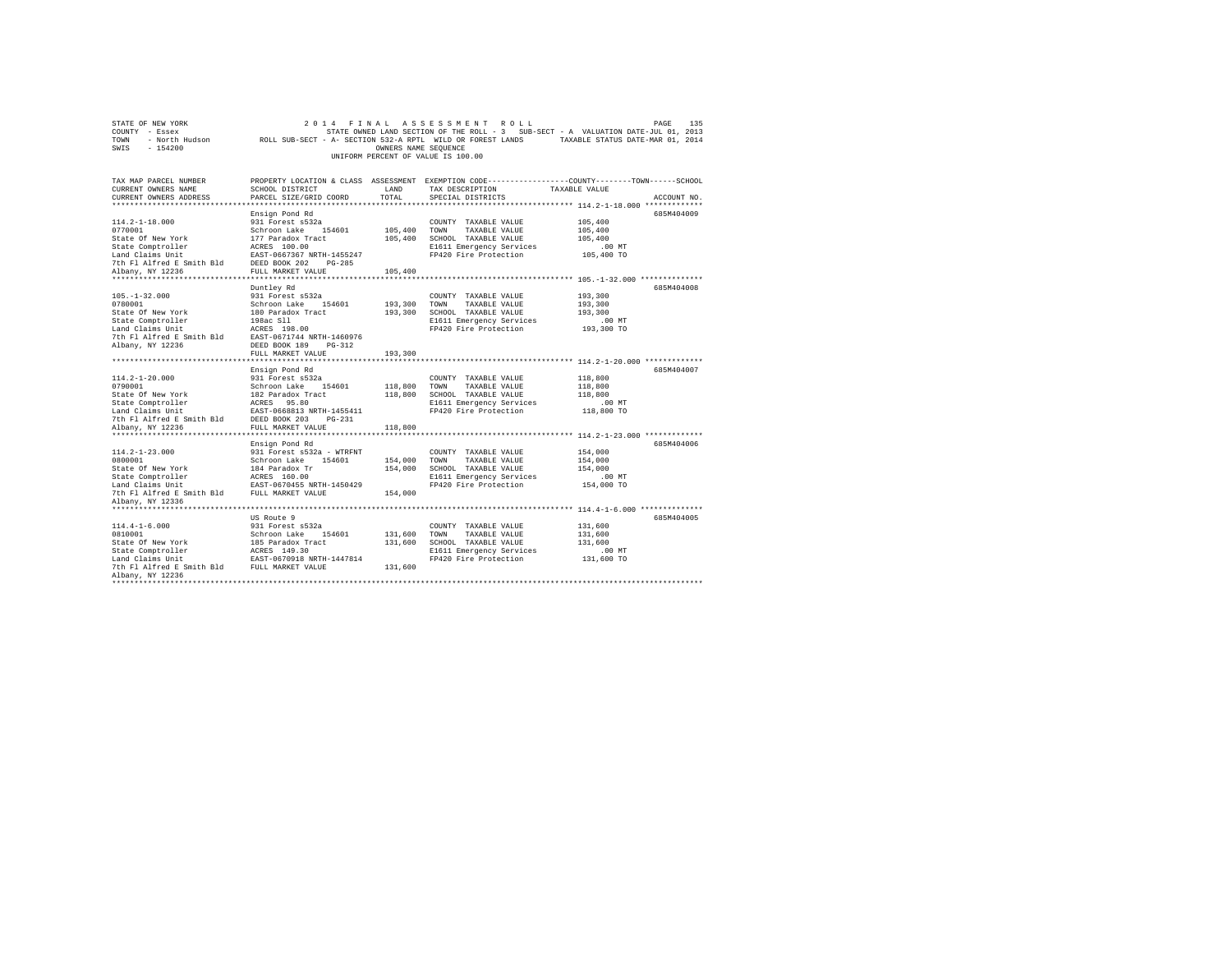| STATE OF NEW YORK<br>COUNTY - Essex<br>TOWN<br>$-154200$<br>SWIS                                                                                                                     |                                                                                                                                                                          | OWNERS NAME SEOUENCE          | 2014 FINAL ASSESSMENT ROLL<br>UNIFORM PERCENT OF VALUE IS 100.00                                                           | PAGE<br>135<br>STATE OWNED LAND SECTION OF THE ROLL - 3 SUB-SECT - A VALUATION DATE-JUL 01, 2013<br>- North Hudson ROLL SUB-SECT - A- SECTION 532-A RPTL WILD OR FOREST LANDS TAXABLE STATUS DATE-MAR 01, 2014 |
|--------------------------------------------------------------------------------------------------------------------------------------------------------------------------------------|--------------------------------------------------------------------------------------------------------------------------------------------------------------------------|-------------------------------|----------------------------------------------------------------------------------------------------------------------------|----------------------------------------------------------------------------------------------------------------------------------------------------------------------------------------------------------------|
| TAX MAP PARCEL NUMBER<br>CURRENT OWNERS NAME<br>CURRENT OWNERS ADDRESS                                                                                                               | SCHOOL DISTRICT<br>PARCEL SIZE/GRID COORD                                                                                                                                | LAND<br>TOTAL                 | TAX DESCRIPTION<br>SPECIAL DISTRICTS                                                                                       | PROPERTY LOCATION & CLASS ASSESSMENT EXEMPTION CODE---------------COUNTY-------TOWN------SCHOOL<br>TAXABLE VALUE<br>ACCOUNT NO.                                                                                |
| $114.2 - 1 - 18.000$<br>0770001<br>State Of New York<br>State Comptroller<br>Land Claims Unit<br>7th Fl Alfred E Smith Bld<br>Albany, NY 12236                                       | Ensign Pond Rd<br>931 Forest s532a<br>Schroon Lake 154601<br>177 Paradox Tract<br>ACRES 100.00<br>EAST-0667367 NRTH-1455247<br>DEED BOOK 202 PG-285<br>FULL MARKET VALUE | 105,400<br>105,400<br>105,400 | COUNTY TAXABLE VALUE<br>TOWN<br>TAXABLE VALUE<br>SCHOOL TAXABLE VALUE<br>E1611 Emergency Services<br>FP420 Fire Protection | 685M404009<br>105,400<br>105,400<br>105,400<br>$.00$ MT<br>105,400 TO                                                                                                                                          |
|                                                                                                                                                                                      |                                                                                                                                                                          |                               |                                                                                                                            |                                                                                                                                                                                                                |
| $105. - 1 - 32.000$<br>0780001<br>State Of New York<br>State Comptroller<br>Land Claims Unit<br>7th Fl Alfred E Smith Bld<br>Albany, NY 12236                                        | Duntley Rd<br>931 Forest s532a<br>Schroon Lake 154601<br>180 Paradox Tract<br>198ac Sll<br>ACRES 198.00<br>EAST-0671744 NRTH-1460976<br>DEED BOOK 189 PG-312             | 193,300<br>193,300            | COUNTY TAXABLE VALUE<br>TOWN<br>TAXABLE VALUE<br>SCHOOL TAXABLE VALUE<br>E1611 Emergency Services<br>FP420 Fire Protection | 685M404008<br>193,300<br>193,300<br>193,300<br>$.00$ MT<br>193,300 TO                                                                                                                                          |
|                                                                                                                                                                                      | FULL MARKET VALUE                                                                                                                                                        | 193,300                       |                                                                                                                            |                                                                                                                                                                                                                |
| $114.2 - 1 - 20.000$<br>0790001<br>State Of New York<br>State Comptroller<br>Land Claims Unit<br>7th Fl Alfred E Smith Bld                                                           | Ensign Pond Rd<br>931 Forest s532a<br>Schroon Lake 154601<br>182 Paradox Tract<br>ACRES 95.80<br>EAST-0668813 NRTH-1455411<br>DEED BOOK 203 PG-231                       | 118,800<br>118,800            | COUNTY TAXABLE VALUE<br>TOWN<br>TAXABLE VALUE<br>SCHOOL TAXABLE VALUE<br>E1611 Emergency Services<br>FP420 Fire Protection | 685M404007<br>118,800<br>118,800<br>118,800<br>$.00$ MT<br>118,800 TO                                                                                                                                          |
| Albany, NY 12236                                                                                                                                                                     | FULL MARKET VALUE                                                                                                                                                        | 118,800                       |                                                                                                                            |                                                                                                                                                                                                                |
| $114.2 - 1 - 23.000$<br>0800001<br>State Of New York<br>State Comptroller<br>Land Claims Unit<br>Land Claims Unit<br>7th Fl Alfred E Smith Bld FULL MARKET VALUE<br>Albany, NY 12336 | Ensign Pond Rd<br>931 Forest s532a - WTRFNT<br>Schroon Lake 154601<br>184 Paradox Tr<br>ACRES 160.00<br>EAST-0670455 NRTH-1450429                                        | 154,000<br>154,000<br>154,000 | COUNTY TAXABLE VALUE<br>TOWN TAXABLE VALUE<br>SCHOOL TAXABLE VALUE<br>E1611 Emergency Services<br>FP420 Fire Protection    | 685M404006<br>154,000<br>154,000<br>154,000<br>$.00$ MT<br>154,000 TO                                                                                                                                          |
|                                                                                                                                                                                      |                                                                                                                                                                          |                               |                                                                                                                            |                                                                                                                                                                                                                |
| $114.4 - 1 - 6.000$<br>0810001<br>State Of New York<br>State Comptroller<br>Land Claims Unit<br>7th F1 Alfred E Smith Bld FULL MARKET VALUE<br>Albany, NY 12236                      | US Route 9<br>931 Forest s532a<br>Schroon Lake 154601<br>185 Paradox Tract<br>ACRES 149.30<br>EAST-0670918 NRTH-1447814                                                  | 131,600<br>131,600<br>131,600 | COUNTY TAXABLE VALUE<br>TAXABLE VALUE<br>TOWN<br>SCHOOL TAXABLE VALUE<br>E1611 Emergency Services<br>FP420 Fire Protection | 685M404005<br>131,600<br>131,600<br>131,600<br>$.00$ MT<br>131,600 TO                                                                                                                                          |
| *******************                                                                                                                                                                  |                                                                                                                                                                          |                               |                                                                                                                            |                                                                                                                                                                                                                |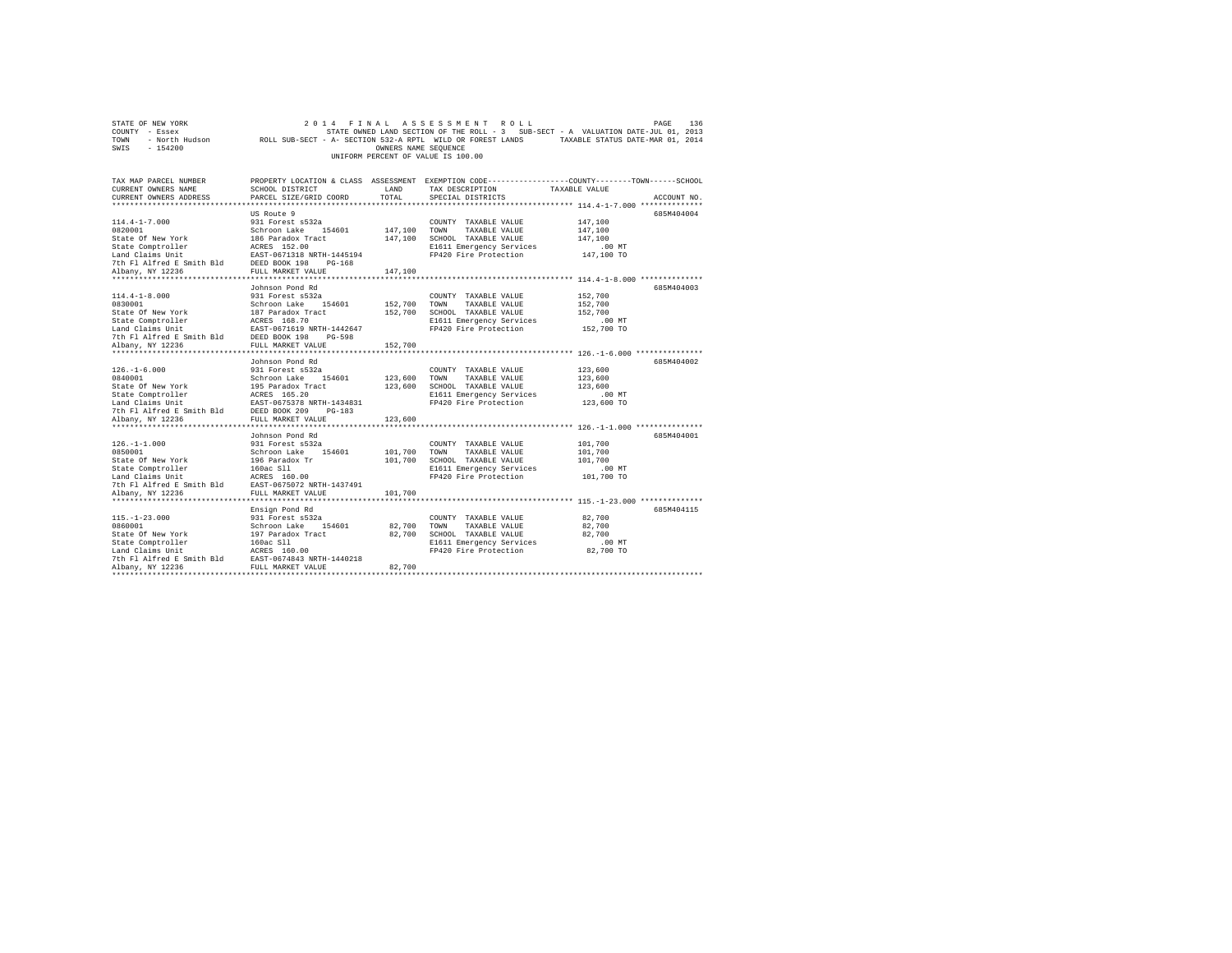|                | STATE OF NEW YORK |                                                            |                                    |                      |  | 2014 FINAL ASSESSMENT ROLL |                                                                                   | PAGE | 136 |
|----------------|-------------------|------------------------------------------------------------|------------------------------------|----------------------|--|----------------------------|-----------------------------------------------------------------------------------|------|-----|
| COUNTY - Essex |                   |                                                            |                                    |                      |  |                            | STATE OWNED LAND SECTION OF THE ROLL - 3 SUB-SECT - A VALUATION DATE-JUL 01, 2013 |      |     |
| TOWN           | - North Hudson    | ROLL SUB-SECT - A- SECTION 532-A RPTL WILD OR FOREST LANDS |                                    |                      |  |                            | TAXABLE STATUS DATE-MAR 01, 2014                                                  |      |     |
| SWIS           | - 154200          |                                                            |                                    | OWNERS NAME SEOUENCE |  |                            |                                                                                   |      |     |
|                |                   |                                                            | UNIFORM PERCENT OF VALUE IS 100.00 |                      |  |                            |                                                                                   |      |     |

| TAX MAP PARCEL NUMBER<br>CURRENT OWNERS NAME<br>CURRENT OWNERS ADDRESS                                                                                                                                                                      | SCHOOL DISTRICT<br>PARCEL SIZE/GRID COORD                    | LAND<br>TOTAL | PROPERTY LOCATION & CLASS ASSESSMENT EXEMPTION CODE----------------COUNTY-------TOWN------SCHOOL<br>TAX DESCRIPTION<br>SPECIAL DISTRICTS              | TAXABLE VALUE        | ACCOUNT NO. |
|---------------------------------------------------------------------------------------------------------------------------------------------------------------------------------------------------------------------------------------------|--------------------------------------------------------------|---------------|-------------------------------------------------------------------------------------------------------------------------------------------------------|----------------------|-------------|
|                                                                                                                                                                                                                                             |                                                              |               |                                                                                                                                                       |                      |             |
|                                                                                                                                                                                                                                             | US Route 9                                                   |               |                                                                                                                                                       |                      | 685M404004  |
| $114.4 - 1 - 7.000$                                                                                                                                                                                                                         |                                                              |               | 931 Forest s532a (2010) 2000 COUNTY TAXABLE VALUE<br>Schroon Lake 154601 147,100 TOWN TAXABLE VALUE<br>186 Paradox Tract 147,100 SCHOOL TAXABLE VALUE | 147,100              |             |
| 0820001<br>State Of New York                                                                                                                                                                                                                |                                                              |               |                                                                                                                                                       | 147,100              |             |
|                                                                                                                                                                                                                                             |                                                              |               |                                                                                                                                                       | 147,100              |             |
|                                                                                                                                                                                                                                             |                                                              |               | E1611 Emergency Services                                                                                                                              | 00 MT.<br>147,100 TO |             |
|                                                                                                                                                                                                                                             |                                                              |               | FP420 Fire Protection                                                                                                                                 |                      |             |
|                                                                                                                                                                                                                                             |                                                              |               |                                                                                                                                                       |                      |             |
| Albany, NY 12236                                                                                                                                                                                                                            | FULL MARKET VALUE                                            | 147,100       |                                                                                                                                                       |                      |             |
|                                                                                                                                                                                                                                             |                                                              |               |                                                                                                                                                       |                      |             |
|                                                                                                                                                                                                                                             | Johnson Pond Rd                                              |               |                                                                                                                                                       |                      | 685M404003  |
| $114.4 - 1 - 8.000$                                                                                                                                                                                                                         | 931 Forest s532a                                             |               | COUNTY TAXABLE VALUE                                                                                                                                  | 152,700              |             |
| 0830001 Schroon Lake 154601<br>State Of New York 187 Paradox Tract                                                                                                                                                                          |                                                              |               | 152,700 TOWN TAXABLE VALUE                                                                                                                            | 152,700              |             |
|                                                                                                                                                                                                                                             |                                                              |               | 152,700 SCHOOL TAXABLE VALUE                                                                                                                          | 152,700              |             |
| State Comptroller acks 168.70<br>Land Claims Unit Example 2015-057-0671519 NRTH-1442647<br>7th Fl Alfred E Smith Bld DESD BOOK 198 PG-598<br>Albany, NY 12236 FULL MARKET VALUE                                                             |                                                              |               | E1611 Emergency Services                                                                                                                              | $.00$ MT             |             |
|                                                                                                                                                                                                                                             |                                                              |               | FP420 Fire Protection                                                                                                                                 | 152,700 TO           |             |
|                                                                                                                                                                                                                                             |                                                              |               |                                                                                                                                                       |                      |             |
|                                                                                                                                                                                                                                             |                                                              | 152,700       |                                                                                                                                                       |                      |             |
|                                                                                                                                                                                                                                             |                                                              |               |                                                                                                                                                       |                      |             |
|                                                                                                                                                                                                                                             | Johnson Pond Rd                                              |               |                                                                                                                                                       |                      | 685M404002  |
| $126. - 1 - 6.000$                                                                                                                                                                                                                          | 931 Forest s532a<br>Schroon Lake 154601                      |               | COUNTY TAXABLE VALUE<br>123,600 TOWN TAXABLE VALUE<br>COUNTY TAXABLE VALUE                                                                            | 123,600              |             |
| 0840001                                                                                                                                                                                                                                     |                                                              |               |                                                                                                                                                       | 123,600              |             |
|                                                                                                                                                                                                                                             |                                                              |               |                                                                                                                                                       | 123,600              |             |
|                                                                                                                                                                                                                                             |                                                              |               |                                                                                                                                                       | $.00 \text{ MT}$     |             |
|                                                                                                                                                                                                                                             |                                                              |               | FP420 Fire Protection 123,600 TO                                                                                                                      |                      |             |
| Continue the Magnetic Control of Magnetic Control (123,600 SCHOOL TAXABLE VALUE State Of New York 155 Paradox Tract 123,600 SCHOOL TAXABLE VALUE Experience and the Magnetic Experience of the Magnetic Control of Magnetic Co              |                                                              |               |                                                                                                                                                       |                      |             |
|                                                                                                                                                                                                                                             |                                                              |               |                                                                                                                                                       |                      |             |
|                                                                                                                                                                                                                                             | Johnson Pond Rd                                              |               |                                                                                                                                                       |                      | 685M404001  |
|                                                                                                                                                                                                                                             |                                                              |               |                                                                                                                                                       |                      |             |
|                                                                                                                                                                                                                                             |                                                              |               |                                                                                                                                                       |                      |             |
|                                                                                                                                                                                                                                             |                                                              |               |                                                                                                                                                       |                      |             |
|                                                                                                                                                                                                                                             |                                                              |               |                                                                                                                                                       |                      |             |
|                                                                                                                                                                                                                                             |                                                              |               |                                                                                                                                                       |                      |             |
|                                                                                                                                                                                                                                             |                                                              |               |                                                                                                                                                       |                      |             |
|                                                                                                                                                                                                                                             |                                                              |               |                                                                                                                                                       |                      |             |
| 126.-1-1.000<br>31 Forest 532a<br>081 Forest 532a<br>School Label 101,700 TONN TAXABLE VALUE 101,700<br>State Of New York 196 Paradox Tr<br>26 Paradox Tr<br>26 Paradox Trip 101,700 SCHOOL TAXABLE VALUE 101,700<br>2010 TAXABLE VALUE 101 |                                                              |               |                                                                                                                                                       |                      |             |
|                                                                                                                                                                                                                                             | Ensign Pond Rd                                               |               |                                                                                                                                                       |                      | 685M404115  |
| $115. - 1 - 23.000$                                                                                                                                                                                                                         |                                                              |               | COUNTY TAXABLE VALUE                                                                                                                                  | 82,700               |             |
| 0860001                                                                                                                                                                                                                                     | 931 Forest s532a<br>Schroon Lake 154601<br>197 Paradox Tract | 82.700 TOWN   | TAXABLE VALUE                                                                                                                                         | 82,700               |             |
| State Of New York                                                                                                                                                                                                                           |                                                              | 82,700        | SCHOOL TAXABLE VALUE                                                                                                                                  | 82,700               |             |
| State Comptroller                                                                                                                                                                                                                           |                                                              |               | E1611 Emergency Services                                                                                                                              |                      |             |
| Land Claims Unit                                                                                                                                                                                                                            | 160ac S11<br>ACRES 160.00                                    |               | FP420 Fire Protection                                                                                                                                 | 00 MT.<br>82,700 TO  |             |
| 7th F1 Alfred E Smith Bld EAST-0674843 NRTH-1440218                                                                                                                                                                                         |                                                              |               |                                                                                                                                                       |                      |             |
| Albany, NY 12236                                                                                                                                                                                                                            | FULL MARKET VALUE                                            | 82,700        |                                                                                                                                                       |                      |             |
|                                                                                                                                                                                                                                             |                                                              |               |                                                                                                                                                       |                      |             |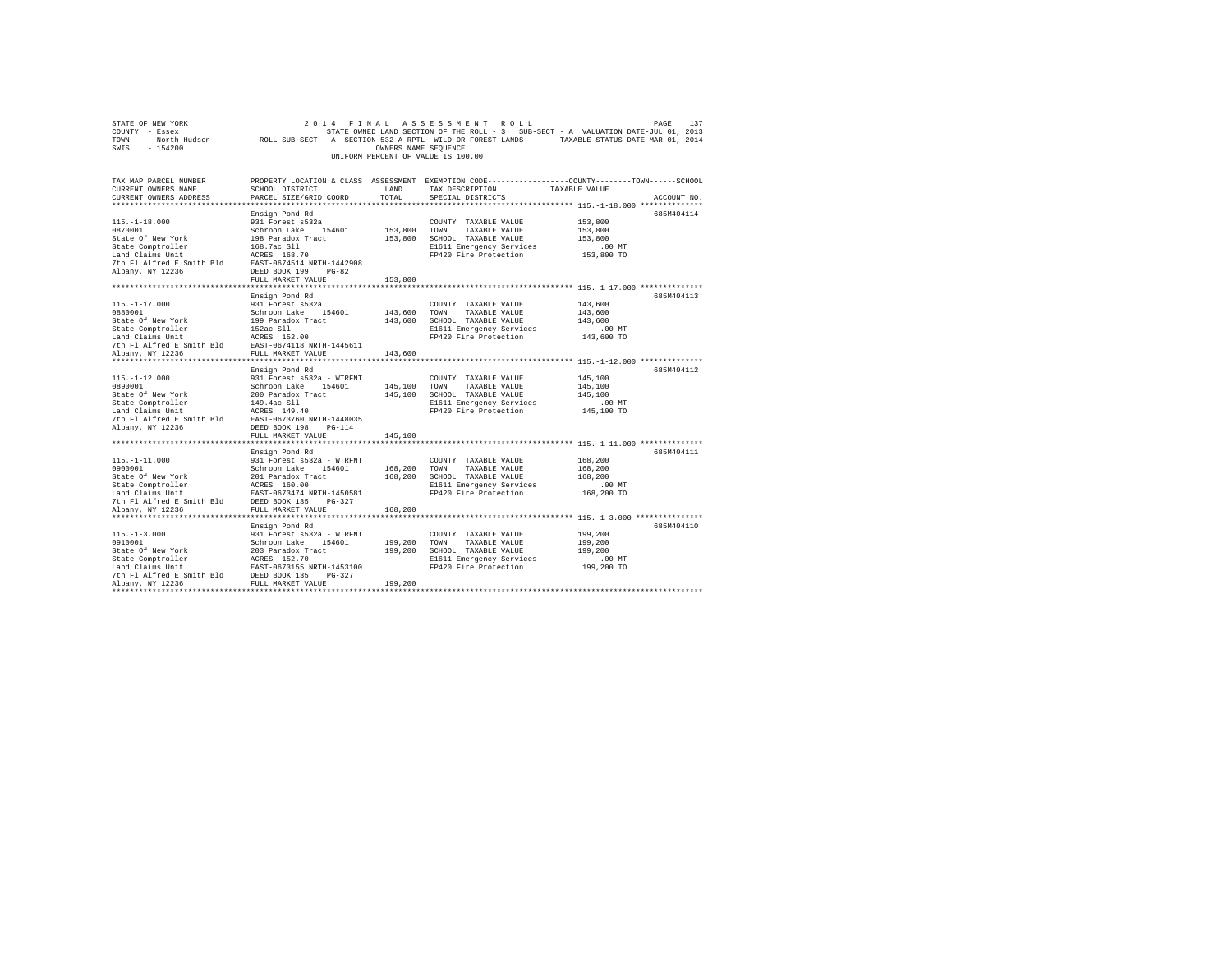| STATE OF NEW YORK<br>COUNTY - Essex<br>TOWN - North Hudson ROLL SUB-SECT - A- SECTION 532-A RPTL WILD OR FOREST LANDS TAXABLE STATUS DATE-MAR 01, 2014<br>SWIS - 154200 |                                                                                                                                                           | OWNERS NAME SEQUENCE | 2014 FINAL ASSESSMENT ROLL<br>STATE OWNED LAND SECTION OF THE ROLL - 3 SUB-SECT - A VALUATION DATE-JUL 01, 2013<br>UNIFORM PERCENT OF VALUE IS 100.00 |                                                         | 137<br>PAGE |
|-------------------------------------------------------------------------------------------------------------------------------------------------------------------------|-----------------------------------------------------------------------------------------------------------------------------------------------------------|----------------------|-------------------------------------------------------------------------------------------------------------------------------------------------------|---------------------------------------------------------|-------------|
| TAX MAP PARCEL NUMBER<br>CURRENT OWNERS NAME<br>CURRENT OWNERS ADDRESS                                                                                                  | SCHOOL DISTRICT<br>PARCEL SIZE/GRID COORD                                                                                                                 | LAND<br>TOTAL        | PROPERTY LOCATION & CLASS ASSESSMENT EXEMPTION CODE---------------COUNTY-------TOWN------SCHOOL<br>TAX DESCRIPTION<br>SPECIAL DISTRICTS               | TAXABLE VALUE                                           | ACCOUNT NO. |
|                                                                                                                                                                         |                                                                                                                                                           |                      |                                                                                                                                                       |                                                         |             |
| $115. - 1 - 18.000$<br>0870001<br>State Of New York                                                                                                                     | Ensign Pond Rd<br>931 Forest s532a<br>Schroon Lake 154601<br>198 Paradox Tract                                                                            | 153,800 TOWN         | COUNTY TAXABLE VALUE<br>TAXABLE VALUE<br>153,800 SCHOOL TAXABLE VALUE                                                                                 | 153,800<br>153,800<br>153,800                           | 685M404114  |
| State Comptroller<br>Land Claims Unit<br>7th Fl Alfred E Smith Bld<br>Albany, NY 12236                                                                                  | 168.7ac Sll<br>ACRES 168.70<br>EAST-0674514 NRTH-1442908<br>DEED BOOK 199 PG-82                                                                           |                      | E1611 Emergency Services<br>FP420 Fire Protection                                                                                                     | $.00$ MT<br>153,800 TO                                  |             |
|                                                                                                                                                                         | FULL MARKET VALUE                                                                                                                                         | 153,800              |                                                                                                                                                       |                                                         |             |
| $115. - 1 - 17.000$                                                                                                                                                     | Ensign Pond Rd<br>931 Forest s532a                                                                                                                        |                      | COUNTY TAXABLE VALUE                                                                                                                                  | 143,600                                                 | 685M404113  |
| 0880001<br>State Of New York<br>State Comptroller                                                                                                                       | Schroon Lake 154601<br>199 Paradox Tract<br>152ac Sll                                                                                                     | 143,600 TOWN         | TAXABLE VALUE<br>143,600 SCHOOL TAXABLE VALUE<br>E1611 Emergency Services                                                                             | 143,600<br>143,600<br>$.00$ MT                          |             |
| Land Claims Unit<br>7th Fl Alfred E Smith Bld<br>Albany, NY 12236                                                                                                       | ACRES 152.00<br>EAST-0674118 NRTH-1445611<br>FULL MARKET VALUE                                                                                            | 143,600              | FP420 Fire Protection                                                                                                                                 | 143,600 TO                                              |             |
|                                                                                                                                                                         | Ensign Pond Rd                                                                                                                                            |                      |                                                                                                                                                       |                                                         | 685M404112  |
| $115. - 1 - 12.000$<br>0890001<br>State Of New York<br>State Comptroller<br>Land Claims Unit<br>7th Fl Alfred E Smith Bld<br>Albany, NY 12236                           | 931 Forest s532a - WTRFNT<br>Schroon Lake 154601<br>200 Paradox Tract<br>149.4ac Sll<br>ACRES 149.40<br>EAST-0673760 NRTH-1448035<br>DEED BOOK 198 PG-114 |                      | COUNTY TAXABLE VALUE<br>145,100 TOWN<br>TAXABLE VALUE<br>145,100 SCHOOL TAXABLE VALUE<br>E1611 Emergency Services<br>FP420 Fire Protection            | 145,100<br>145,100<br>145,100<br>$.00$ MT<br>145,100 TO |             |
|                                                                                                                                                                         | FULL MARKET VALUE                                                                                                                                         | 145,100              |                                                                                                                                                       |                                                         |             |
| $115. - 1 - 11.000$<br>0900001<br>State Of New York                                                                                                                     | Ensign Pond Rd<br>931 Forest s532a - WTRFNT<br>Schroon Lake 154601<br>201 Paradox Tract                                                                   | 168,200 TOWN         | COUNTY TAXABLE VALUE<br>TAXABLE VALUE<br>168,200 SCHOOL TAXABLE VALUE                                                                                 | 168,200<br>168,200<br>168,200                           | 685M404111  |
| State Comptroller<br>Land Claims Unit<br>7th Fl Alfred E Smith Bld<br>Albany, NY 12236                                                                                  | ACRES 160.00<br>EAST-0673474 NRTH-1450581<br>DEED BOOK 135 PG-327<br>FULL MARKET VALUE                                                                    | 168,200              | E1611 Emergency Services<br>FP420 Fire Protection                                                                                                     | $.00$ MT<br>168,200 TO                                  |             |
|                                                                                                                                                                         |                                                                                                                                                           |                      |                                                                                                                                                       |                                                         |             |
| $115. - 1 - 3.000$<br>0910001<br>State Of New York<br>State Comptroller<br>Land Claims Unit                                                                             | Ensign Pond Rd<br>931 Forest s532a - WTRFNT<br>Schroon Lake 154601<br>203 Paradox Tract<br>ACRES 152.70<br>EAST-0673155 NRTH-1453100                      |                      | COUNTY TAXABLE VALUE<br>199,200 TOWN TAXABLE VALUE<br>199,200 SCHOOL TAXABLE VALUE<br>E1611 Emergency Services<br>FP420 Fire Protection               | 199,200<br>199,200<br>199,200<br>.00 MT<br>199,200 TO   | 685M404110  |
| 7th Fl Alfred E Smith Bld DEED BOOK 135 PG-327<br>Albany, NY 12236                                                                                                      | FULL MARKET VALUE                                                                                                                                         | 199,200              |                                                                                                                                                       |                                                         |             |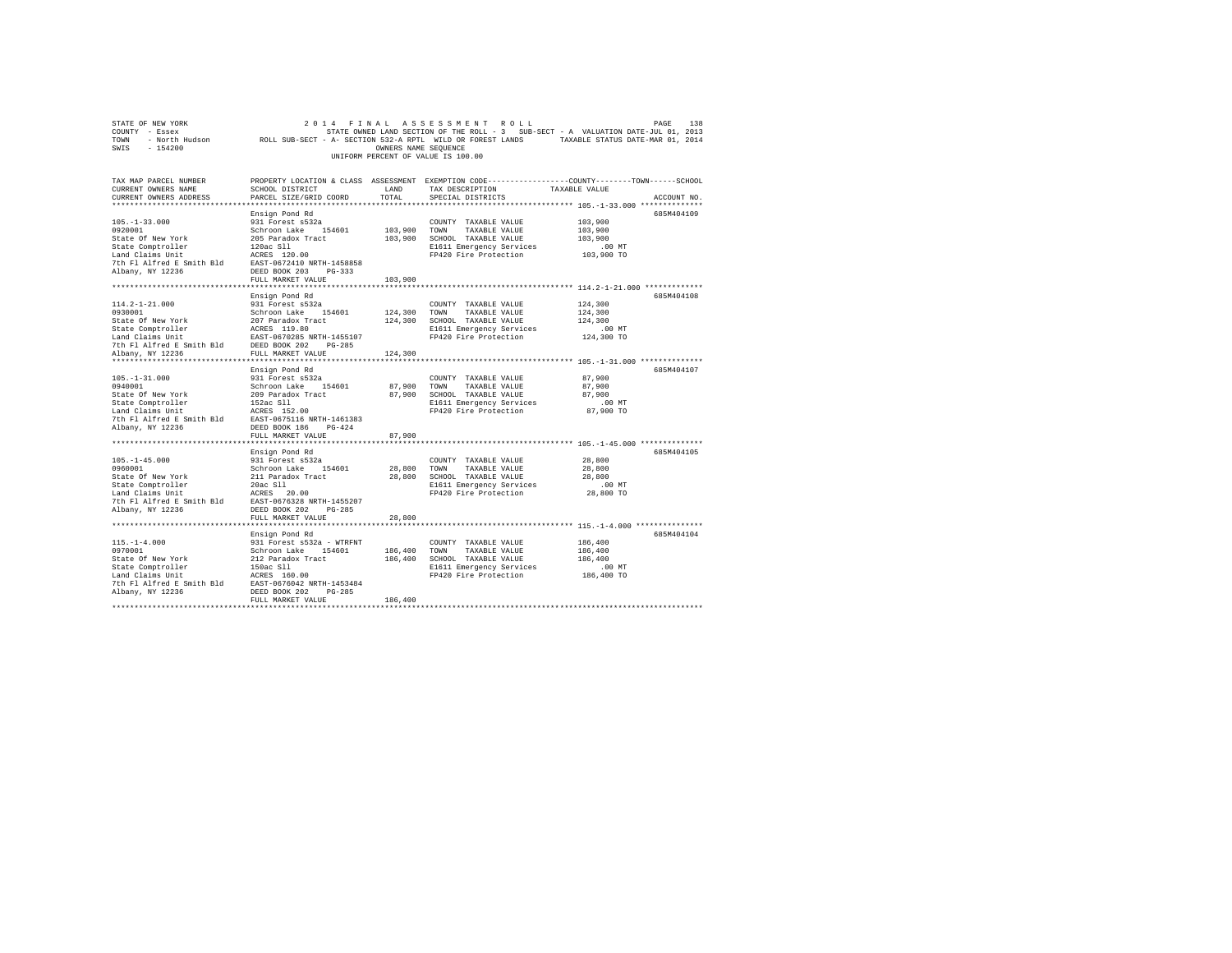|                                                                                                                                                                                                                                            |                                                                                                                             |         | UNIFORM PERCENT OF VALUE IS 100.00                                                                                                      | $\begin{tabular}{lllllllllllllllllllllll} \multicolumn{2}{c }{\textbf{COMNT}} & \multicolumn{2}{c }{\textbf{ROL}} & \multicolumn{2}{c }{\textbf{PAGE}} & \multicolumn{2}{c }{\textbf{PAGE}} & \multicolumn{2}{c }{\textbf{PAGE}} & \multicolumn{2}{c }{\textbf{PAGE}} & \multicolumn{2}{c }{\textbf{PAGE}} & \multicolumn{2}{c }{\textbf{PAGE}} & \multicolumn{2}{c }{\textbf{PAGE}} & \multicolumn{2}{c }{\textbf{PAGE}} & \multicolumn{2}{c }{\textbf{PAGE}} & \multic$ |
|--------------------------------------------------------------------------------------------------------------------------------------------------------------------------------------------------------------------------------------------|-----------------------------------------------------------------------------------------------------------------------------|---------|-----------------------------------------------------------------------------------------------------------------------------------------|---------------------------------------------------------------------------------------------------------------------------------------------------------------------------------------------------------------------------------------------------------------------------------------------------------------------------------------------------------------------------------------------------------------------------------------------------------------------------|
| TAX MAP PARCEL NUMBER<br>CURRENT OWNERS NAME<br>CURRENT OWNERS ADDRESS                                                                                                                                                                     | PARCEL SIZE/GRID COORD                                                                                                      | TOTAL   | SCHOOL DISTRICT TAND TAX DESCRIPTION<br>SPECIAL DISTRICTS                                                                               | PROPERTY LOCATION & CLASS ASSESSMENT EXEMPTION CODE---------------COUNTY-------TOWN------SCHOOL<br>TAXABLE VALUE<br>ACCOUNT NO.                                                                                                                                                                                                                                                                                                                                           |
| $105. - 1 - 33.000$<br>0920001<br>State Of New York<br>State Comptroller<br>Land Claims Unit<br>Land Claims Unit<br>2008 511<br>7th F1 Alfred E Smith B1d<br>EAST-0672410 NRTH-1458858<br>Nhony NY 19926<br>Albany, NY 12236               | Ensign Pond Rd<br>931 Forest s532a<br>Schroon Lake 154601<br>205 Paradox Tract<br>DEED BOOK 203 PG-333<br>FULL MARKET VALUE | 103,900 | COUNTY TAXABLE VALUE<br>103,900 TOWN TAXABLE VALUE<br>103,900 SCHOOL TAXABLE VALUE<br>E1611 Emergency Services<br>FP420 Fire Protection | 685M404109<br>103,900<br>103,900<br>103,900<br>$.00$ MT<br>103,900 TO                                                                                                                                                                                                                                                                                                                                                                                                     |
| $114.2 - 1 - 21.000$<br>0930001<br>7th Fl Alfred E Smith Bld BEED BOOK 202 PG-285<br>Albany. NY 12236 FULL MARKET VALUE<br>Albany, NY 12236                                                                                                | Ensign Pond Rd<br>931 Forest s532a<br>Schroon Lake 154601<br>EAST-0670285 NRTH-1455107                                      | 124,300 | COUNTY TAXABLE VALUE<br>124,300 TOWN TAXABLE VALUE<br>124,300 SCHOOL TAXABLE VALUE<br>E1611 Emergency Services<br>FP420 Fire Protection | 685M404108<br>124,300<br>124,300<br>124,300<br>$.00$ MT<br>124,300 TO                                                                                                                                                                                                                                                                                                                                                                                                     |
| $105. - 1 - 31.000$                                                                                                                                                                                                                        | Ensign Pond Rd<br>931 Forest s532a<br>Schroon Lake 154601<br>FULL MARKET VALUE                                              | 87,900  | COUNTY TAXABLE VALUE<br>87,900 TOWN TAXABLE VALUE<br>87,900 SCHOOL TAXABLE VALUE<br>E1611 Emergency Services<br>FP420 Fire Protection   | 685M404107<br>87,900<br>87,900<br>87,900<br>$.00$ MT<br>87,900 TO                                                                                                                                                                                                                                                                                                                                                                                                         |
| $105. - 1 - 45.000$<br>0960001<br>State Of New York<br>State Comptroller 20ac S11<br>Land Claims Unit<br>7th F1 AIFred E Smith Bld<br>EAST-0676328 NRTH-1455207<br>The MY 10026 Smith Bld<br>EAST-0676328 NRTH-1455207<br>Albany, NY 12236 | Ensign Pond Rd<br>931 Forest s532a<br>Schroon Lake 154601<br>211 Paradox Tract<br>DEED BOOK 202 PG-285<br>FULL MARKET VALUE | 28,800  | COUNTY TAXABLE VALUE<br>28,800 TOWN TAXABLE VALUE<br>28,800 SCHOOL TAXABLE VALUE<br>E1611 Emergency Services<br>FP420 Fire Protection   | 685M404105<br>28,800<br>28,800<br>28,800<br>$.00$ MT<br>28,800 TO                                                                                                                                                                                                                                                                                                                                                                                                         |
| $115. - 1 - 4.000$<br>0970001<br>State Of New York 212 Paradox Tract<br>State Comptroller 150ac S11<br>Land Claims Unit 160ac 160.00<br>7th Fl Alfred E Smith Bld EAST-0676042 NRTH-1453484<br>Albany, NY 12236                            | Ensign Pond Rd<br>931 Forest s532a - WTRFNT<br>Schroon Lake 154601<br>DEED BOOK 202 PG-285<br>FULL MARKET VALUE             | 186,400 | COUNTY TAXABLE VALUE<br>186,400 TOWN TAXABLE VALUE<br>186,400 SCHOOL TAXABLE VALUE<br>E1611 Emergency Services<br>FP420 Fire Protection | 685M404104<br>186,400<br>186,400<br>186,400<br>$.00$ MT<br>186,400 TO                                                                                                                                                                                                                                                                                                                                                                                                     |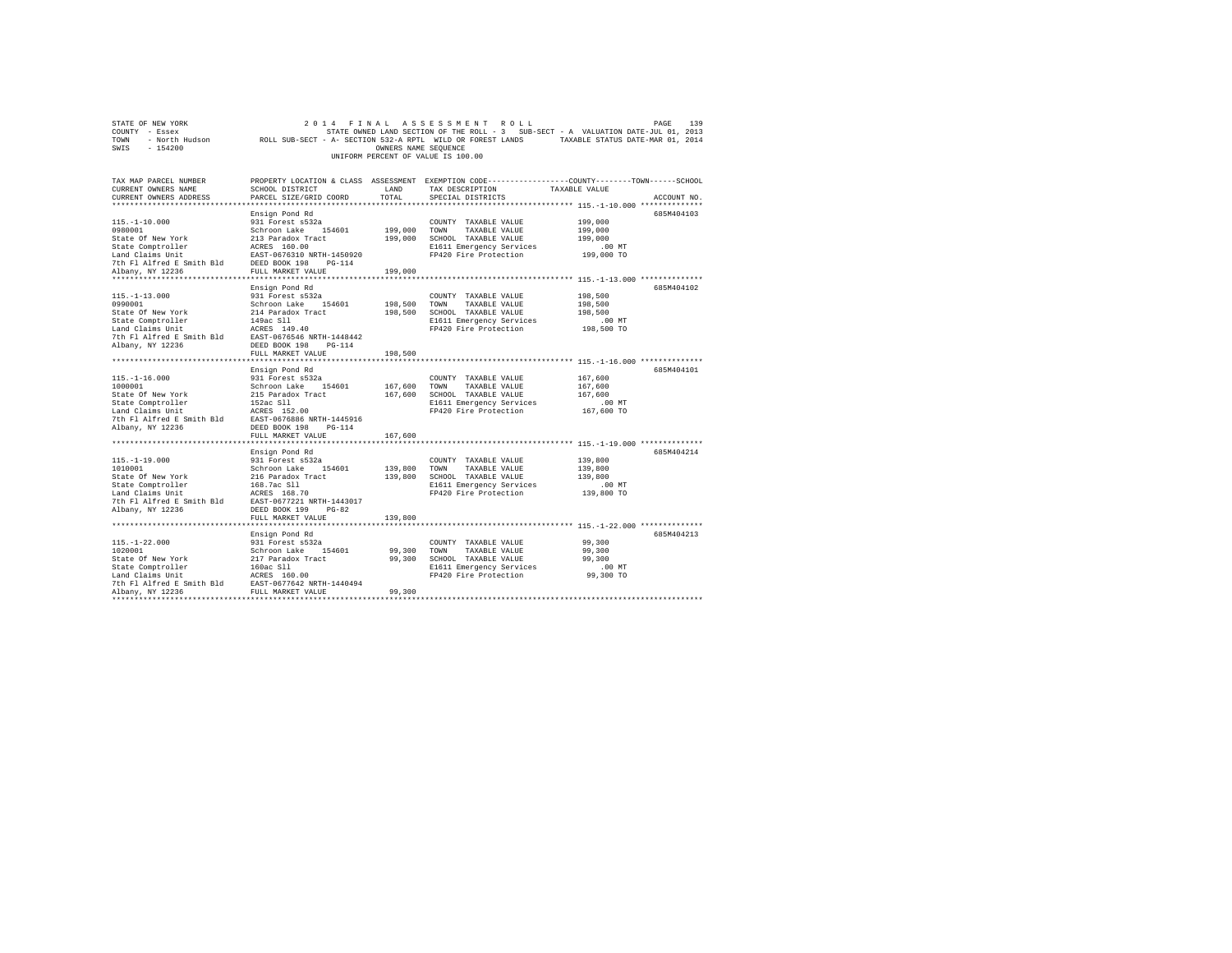| STATE OF NEW YORK                                                                                                                                                                                                                                                                                                                                                 |                          |                      | 2014 FINAL ASSESSMENT ROLL                        | 139<br>PAGE                                                                                                     |
|-------------------------------------------------------------------------------------------------------------------------------------------------------------------------------------------------------------------------------------------------------------------------------------------------------------------------------------------------------------------|--------------------------|----------------------|---------------------------------------------------|-----------------------------------------------------------------------------------------------------------------|
| COUNTY - Essex                                                                                                                                                                                                                                                                                                                                                    |                          |                      |                                                   | STATE OWNED LAND SECTION OF THE ROLL - 3 SUB-SECT - A VALUATION DATE-JUL 01, 2013                               |
|                                                                                                                                                                                                                                                                                                                                                                   |                          |                      |                                                   | TOWN - North Hudson ROLL SUB-SECT - A- SECTION 532-A RPTL WILD OR FOREST LANDS TAXABLE STATUS DATE-MAR 01, 2014 |
| $-154200$<br>SWIS                                                                                                                                                                                                                                                                                                                                                 |                          | OWNERS NAME SEQUENCE |                                                   |                                                                                                                 |
|                                                                                                                                                                                                                                                                                                                                                                   |                          |                      | UNIFORM PERCENT OF VALUE IS 100.00                |                                                                                                                 |
|                                                                                                                                                                                                                                                                                                                                                                   |                          |                      |                                                   |                                                                                                                 |
|                                                                                                                                                                                                                                                                                                                                                                   |                          |                      |                                                   |                                                                                                                 |
| TAX MAP PARCEL NUMBER                                                                                                                                                                                                                                                                                                                                             |                          |                      |                                                   | PROPERTY LOCATION & CLASS ASSESSMENT EXEMPTION CODE---------------COUNTY-------TOWN------SCHOOL                 |
| CURRENT OWNERS NAME                                                                                                                                                                                                                                                                                                                                               | SCHOOL DISTRICT          | LAND                 | TAX DESCRIPTION                                   | TAXABLE VALUE                                                                                                   |
| CURRENT OWNERS ADDRESS                                                                                                                                                                                                                                                                                                                                            | PARCEL SIZE/GRID COORD   | TOTAL                | SPECIAL DISTRICTS                                 | ACCOUNT NO.                                                                                                     |
|                                                                                                                                                                                                                                                                                                                                                                   |                          |                      |                                                   |                                                                                                                 |
|                                                                                                                                                                                                                                                                                                                                                                   |                          |                      |                                                   | 685M404103                                                                                                      |
|                                                                                                                                                                                                                                                                                                                                                                   | Ensign Pond Rd           |                      |                                                   |                                                                                                                 |
| $115. - 1 - 10.000$                                                                                                                                                                                                                                                                                                                                               | 931 Forest s532a         |                      | COUNTY TAXABLE VALUE                              | 199,000                                                                                                         |
| 0980001                                                                                                                                                                                                                                                                                                                                                           | Schroon Lake 154601      | 199,000 TOWN         | TAXABLE VALUE                                     | 199,000                                                                                                         |
|                                                                                                                                                                                                                                                                                                                                                                   |                          |                      | 199,000 SCHOOL TAXABLE VALUE                      | 199,000                                                                                                         |
| State Of New York<br>State Comptroller<br>213 Paradox Tract<br>213 Paradox Tract<br>213 Paradox Tract<br>213 Paradox Tract<br>213 Paradox Tract<br>2010 Paradox Paradox Paradox Paradox<br>214 Paradox Paradox Paradox<br>214 PULL MARKET VALUE<br>                                                                                                               |                          |                      | E1611 Emergency Services                          | $.00$ MT                                                                                                        |
|                                                                                                                                                                                                                                                                                                                                                                   |                          |                      | FP420 Fire Protection                             | 199,000 TO                                                                                                      |
|                                                                                                                                                                                                                                                                                                                                                                   |                          |                      |                                                   |                                                                                                                 |
|                                                                                                                                                                                                                                                                                                                                                                   |                          | 199,000              |                                                   |                                                                                                                 |
|                                                                                                                                                                                                                                                                                                                                                                   |                          |                      |                                                   |                                                                                                                 |
|                                                                                                                                                                                                                                                                                                                                                                   | Ensign Pond Rd           |                      |                                                   | 685M404102                                                                                                      |
| $115. - 1 - 13.000$                                                                                                                                                                                                                                                                                                                                               | 931 Forest s532a         |                      | COUNTY TAXABLE VALUE                              | 198,500                                                                                                         |
| 0990001                                                                                                                                                                                                                                                                                                                                                           | Schroon Lake 154601      |                      | 198,500 TOWN TAXABLE VALUE                        | 198,500                                                                                                         |
| State Of New York                                                                                                                                                                                                                                                                                                                                                 | 214 Paradox Tract        |                      | 198,500 SCHOOL TAXABLE VALUE                      | 198,500                                                                                                         |
| State Comptroller<br>149ac Sll<br>Land Claims Unit<br>149ac Sll<br>16. Range 16. Range 16. Range 16. Range 16. Range 1148442<br>7th Fl Alfred E Smith Bld<br>20236 DEED BOOK 198 PG-114                                                                                                                                                                           |                          |                      | E1611 Emergency Services                          | $.00$ MT                                                                                                        |
|                                                                                                                                                                                                                                                                                                                                                                   |                          |                      | FP420 Fire Protection                             | 198,500 TO                                                                                                      |
|                                                                                                                                                                                                                                                                                                                                                                   |                          |                      |                                                   |                                                                                                                 |
| Albany, NY 12236                                                                                                                                                                                                                                                                                                                                                  | DEED BOOK 198 PG-114     |                      |                                                   |                                                                                                                 |
|                                                                                                                                                                                                                                                                                                                                                                   | FULL MARKET VALUE        | 198,500              |                                                   |                                                                                                                 |
|                                                                                                                                                                                                                                                                                                                                                                   |                          |                      |                                                   |                                                                                                                 |
|                                                                                                                                                                                                                                                                                                                                                                   | Ensign Pond Rd           |                      |                                                   | 685M404101                                                                                                      |
| $115. - 1 - 16.000$                                                                                                                                                                                                                                                                                                                                               | 931 Forest s532a         |                      | COUNTY TAXABLE VALUE                              | 167.600                                                                                                         |
| 1000001                                                                                                                                                                                                                                                                                                                                                           | Schroon Lake 154601      | 167,600              | TOWN<br>TAXABLE VALUE                             | 167,600                                                                                                         |
|                                                                                                                                                                                                                                                                                                                                                                   |                          |                      |                                                   | 167,600                                                                                                         |
|                                                                                                                                                                                                                                                                                                                                                                   |                          |                      | 167,600 SCHOOL TAXABLE VALUE                      |                                                                                                                 |
| State of New York 215 Paradox Tract<br>State Comptroller 255 Paradox Tract<br>152ac S11 152ac S11 200<br>152ac S152.00<br>7th Fl Alfred E Smith Bld RAST-0676886 NRTH-1445916                                                                                                                                                                                     |                          |                      | E1611 Emergency Services                          | $.00$ MT                                                                                                        |
|                                                                                                                                                                                                                                                                                                                                                                   |                          |                      | FP420 Fire Protection                             | 167,600 TO                                                                                                      |
|                                                                                                                                                                                                                                                                                                                                                                   |                          |                      |                                                   |                                                                                                                 |
| Albany, NY 12236                                                                                                                                                                                                                                                                                                                                                  | DEED BOOK 198 PG-114     |                      |                                                   |                                                                                                                 |
|                                                                                                                                                                                                                                                                                                                                                                   | FULL MARKET VALUE        | 167,600              |                                                   |                                                                                                                 |
|                                                                                                                                                                                                                                                                                                                                                                   |                          |                      |                                                   |                                                                                                                 |
|                                                                                                                                                                                                                                                                                                                                                                   | Ensign Pond Rd           |                      |                                                   | 685M404214                                                                                                      |
| $115. - 1 - 19.000$                                                                                                                                                                                                                                                                                                                                               | 931 Forest s532a         |                      | COUNTY TAXABLE VALUE                              | 139,800                                                                                                         |
| 1010001                                                                                                                                                                                                                                                                                                                                                           | Schroon Lake 154601      | 139,800 TOWN         | TAXABLE VALUE                                     | 139,800                                                                                                         |
| $\begin{tabular}{lllllllllllll} \texttt{State Of New York} & & & & & & & \\ \texttt{State Of New York} & & & & & & & \\ \texttt{State Controller} & & & & & & 168.7ac & \\ \texttt{Land Claim Unit} & & & & & & & \\ \texttt{Land Claim Unit} & & & & & & \\ \texttt{ZME} & & & & & & & \\ \end{tabular} \label{tab:2}$<br>State Of New York<br>State Comptroller |                          |                      | 139,800 SCHOOL TAXABLE VALUE                      | 139,800                                                                                                         |
|                                                                                                                                                                                                                                                                                                                                                                   |                          |                      | E1611 Emergency Services                          | $.00$ MT                                                                                                        |
|                                                                                                                                                                                                                                                                                                                                                                   |                          |                      | FP420 Fire Protection                             | 139,800 TO                                                                                                      |
|                                                                                                                                                                                                                                                                                                                                                                   |                          |                      |                                                   |                                                                                                                 |
| Albany, NY 12236                                                                                                                                                                                                                                                                                                                                                  | DEED BOOK 199<br>$PG-82$ |                      |                                                   |                                                                                                                 |
|                                                                                                                                                                                                                                                                                                                                                                   | FULL MARKET VALUE        | 139,800              |                                                   |                                                                                                                 |
|                                                                                                                                                                                                                                                                                                                                                                   |                          |                      |                                                   |                                                                                                                 |
|                                                                                                                                                                                                                                                                                                                                                                   | Ensign Pond Rd           |                      |                                                   | 685M404213                                                                                                      |
|                                                                                                                                                                                                                                                                                                                                                                   |                          |                      | COUNTY TAXABLE VALUE                              | 99,300                                                                                                          |
|                                                                                                                                                                                                                                                                                                                                                                   |                          |                      | 99,300 TOWN TAXABLE VALUE                         | 99,300                                                                                                          |
|                                                                                                                                                                                                                                                                                                                                                                   |                          |                      | 99,300 SCHOOL TAXABLE VALUE                       | 99,300                                                                                                          |
|                                                                                                                                                                                                                                                                                                                                                                   |                          |                      |                                                   |                                                                                                                 |
|                                                                                                                                                                                                                                                                                                                                                                   |                          |                      | E1611 Emergency Services<br>FP420 Fire Protection | $.00$ MT                                                                                                        |
|                                                                                                                                                                                                                                                                                                                                                                   |                          |                      |                                                   | 99,300 TO                                                                                                       |
|                                                                                                                                                                                                                                                                                                                                                                   |                          |                      |                                                   |                                                                                                                 |
| **************************                                                                                                                                                                                                                                                                                                                                        |                          | 99,300               |                                                   |                                                                                                                 |
|                                                                                                                                                                                                                                                                                                                                                                   |                          |                      |                                                   |                                                                                                                 |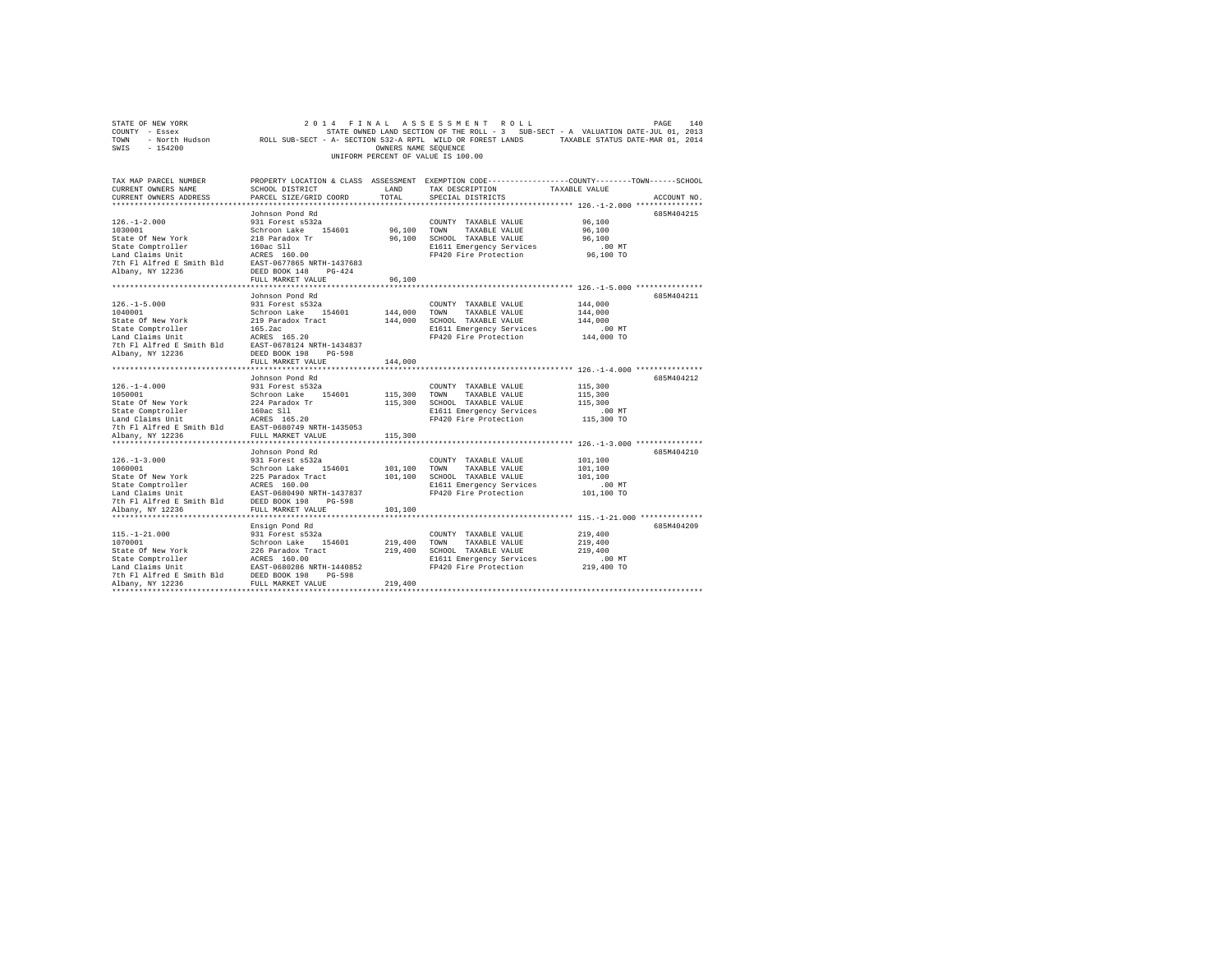| STATE OF NEW YORK<br>COUNTY - Essex<br>TOWN - North Hudson ROLL SUB-SECT - A- SECTION 532-A RPTL WILD OR FOREST LANDS - TAXABLE STATUS DATE-MAR 01, 2014<br>SWIS - 154200                                                                      |                                                                                                                                        | OWNERS NAME SEQUENCE | 2014 FINAL ASSESSMENT ROLL<br>STATE OWNED LAND SECTION OF THE ROLL - 3 SUB-SECT - A VALUATION DATE-JUL 01, 2013<br>UNIFORM PERCENT OF VALUE IS 100.00 |                                                         | 140<br>PAGE |
|------------------------------------------------------------------------------------------------------------------------------------------------------------------------------------------------------------------------------------------------|----------------------------------------------------------------------------------------------------------------------------------------|----------------------|-------------------------------------------------------------------------------------------------------------------------------------------------------|---------------------------------------------------------|-------------|
| TAX MAP PARCEL NUMBER<br>CURRENT OWNERS NAME<br>CURRENT OWNERS ADDRESS                                                                                                                                                                         | SCHOOL DISTRICT<br>PARCEL SIZE/GRID COORD                                                                                              | LAND<br>TOTAL        | PROPERTY LOCATION & CLASS ASSESSMENT EXEMPTION CODE----------------COUNTY-------TOWN------SCHOOL<br>TAX DESCRIPTION<br>SPECIAL DISTRICTS              | TAXABLE VALUE                                           | ACCOUNT NO. |
|                                                                                                                                                                                                                                                |                                                                                                                                        |                      |                                                                                                                                                       |                                                         |             |
| $126. - 1 - 2.000$<br>1030001<br>State Of New York<br>State Comptroller<br>Land Claims Unit<br>Land Claims Unit<br>2008 11 ACRES 160.00<br>21 ACRES 160.00<br>21 ACRES 160.00<br>21 ACRES 160.00<br>21 ACRES 160.00<br>21 ACRES 160.00         | Johnson Pond Rd<br>931 Forest s532a<br>Schroon Lake 154601<br>218 Paradox Tr                                                           |                      | COUNTY TAXABLE VALUE<br>96.100 TOWN TAXABLE VALUE<br>96,100 SCHOOL TAXABLE VALUE<br>E1611 Emergency Services<br>FP420 Fire Protection                 | 96,100<br>96,100<br>96,100<br>$.00$ MT<br>96,100 TO     | 685M404215  |
| Albany, NY 12236                                                                                                                                                                                                                               | DEED BOOK 148 PG-424                                                                                                                   |                      |                                                                                                                                                       |                                                         |             |
|                                                                                                                                                                                                                                                | FULL MARKET VALUE                                                                                                                      | 96,100               |                                                                                                                                                       |                                                         |             |
|                                                                                                                                                                                                                                                |                                                                                                                                        |                      |                                                                                                                                                       |                                                         |             |
| $126. - 1 - 5.000$<br>1040001<br>State Of New York                                                                                                                                                                                             | Johnson Pond Rd<br>931 Forest s532a<br>Schroon Lake 154601<br>219 Paradox Tract                                                        | 144,000              | COUNTY TAXABLE VALUE<br>TOWN<br>TAXABLE VALUE<br>144,000 SCHOOL TAXABLE VALUE<br>E1611 Emergency Services<br>FP420 Fire Protection                    | 144,000<br>144,000<br>144,000<br>$.00$ MT<br>144,000 TO | 685M404211  |
|                                                                                                                                                                                                                                                | FULL MARKET VALUE                                                                                                                      | 144,000              |                                                                                                                                                       |                                                         |             |
|                                                                                                                                                                                                                                                |                                                                                                                                        |                      |                                                                                                                                                       |                                                         |             |
| $126. - 1 - 4.000$<br>1050001<br>State Of New York<br>State Comptroller<br>7th Fl Alfred E Smith Bld                                                                                                                                           | Johnson Pond Rd<br>931 Forest s532a<br>Schroon Lake 154601<br>224 Paradox Tr<br>160ac Sll<br>ACRES 165.20<br>EAST-0680749 NRTH-1435053 |                      | COUNTY TAXABLE VALUE<br>115,300 TOWN TAXABLE VALUE<br>115,300 SCHOOL TAXABLE VALUE<br>E1611 Emergency Services<br>FP420 Fire Protection               | 115,300<br>115,300<br>115,300<br>$.00$ MT<br>115,300 TO | 685M404212  |
| Albany, NY 12236                                                                                                                                                                                                                               | FULL MARKET VALUE                                                                                                                      | 115,300              |                                                                                                                                                       |                                                         |             |
| $126. - 1 - 3.000$<br>1060001                                                                                                                                                                                                                  | Johnson Pond Rd<br>931 Forest s532a<br>Schroon Lake 154601                                                                             | 101,100              | COUNTY TAXABLE VALUE<br>TOWN<br>TAXABLE VALUE<br>101,100 SCHOOL TAXABLE VALUE<br>E1611 Emergency Services<br>FP420 Fire Protection                    | 101,100<br>101,100<br>101,100<br>$.00$ MT<br>101,100 TO | 685M404210  |
| Albany, NY 12236                                                                                                                                                                                                                               | FULL MARKET VALUE                                                                                                                      | 101,100              |                                                                                                                                                       |                                                         |             |
| $115. - 1 - 21.000$                                                                                                                                                                                                                            | Ensign Pond Rd<br>931 Forest s532a                                                                                                     | 219,400 TOWN         | COUNTY TAXABLE VALUE<br>TAXABLE VALUE                                                                                                                 | 219,400<br>219,400<br>219,400                           | 685M404209  |
| 1070001<br>Schroon Lake 154601<br>State Comptroller 226 Paradox Tract<br>State Comptroller 1267 BS 160.00<br>Land Claims Unit 12.853-060286 NRTH-1440852<br>2001 Claims Unit 12236<br>Nabany, NY 12236<br>Nabany, NY 12236<br>Nabany, NY 12236 |                                                                                                                                        |                      | 219,400 SCHOOL TAXABLE VALUE<br>E1611 Emergency Services<br>FP420 Fire Protection                                                                     | 00 MT.<br>219,400 TO                                    |             |
|                                                                                                                                                                                                                                                |                                                                                                                                        | 219,400              |                                                                                                                                                       |                                                         |             |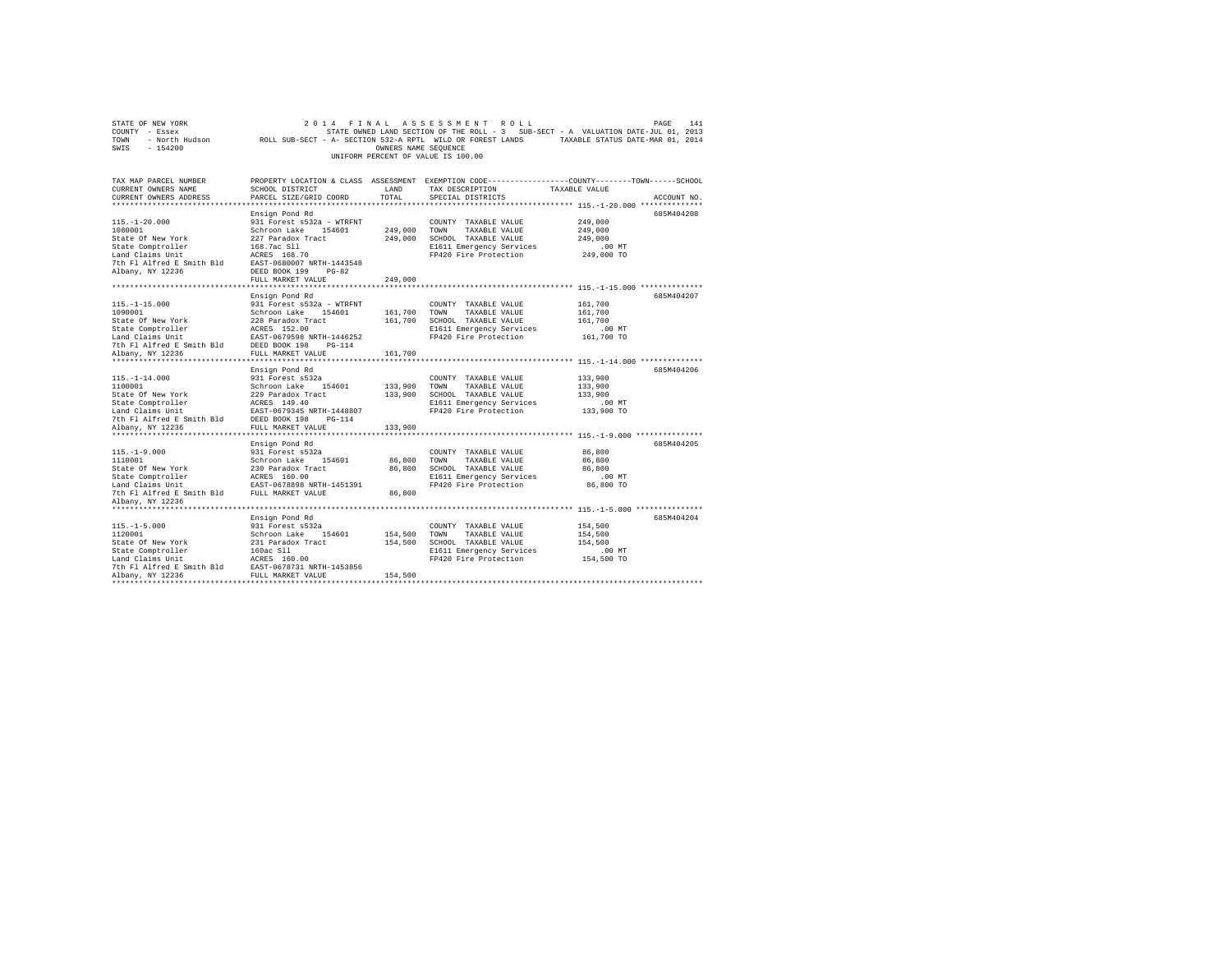| COUNTY - Essex<br>TOWN<br>SWIS<br>$-154200$                                                                                                                                                                                                                              |                                    | OWNERS NAME SEQUENCE |                                               | STATE OWNED LAND SECTION OF THE ROLL - 3 SUB-SECT - A VALUATION DATE-JUL 01, 2013<br>- North Hudson MCLL SUB-SECT - A- SECTION 532-A RPTL WILD OR FOREST LANDS TAXABLE STATUS DATE-MAR 01, 2014 |  |
|--------------------------------------------------------------------------------------------------------------------------------------------------------------------------------------------------------------------------------------------------------------------------|------------------------------------|----------------------|-----------------------------------------------|-------------------------------------------------------------------------------------------------------------------------------------------------------------------------------------------------|--|
|                                                                                                                                                                                                                                                                          |                                    |                      | UNIFORM PERCENT OF VALUE IS 100.00            |                                                                                                                                                                                                 |  |
| TAX MAP PARCEL NUMBER                                                                                                                                                                                                                                                    |                                    |                      |                                               | PROPERTY LOCATION & CLASS ASSESSMENT EXEMPTION CODE---------------COUNTY-------TOWN------SCHOOL                                                                                                 |  |
| CURRENT OWNERS NAME                                                                                                                                                                                                                                                      | SCHOOL DISTRICT                    | LAND                 | TAX DESCRIPTION                               | TAXABLE VALUE                                                                                                                                                                                   |  |
| CURRENT OWNERS ADDRESS                                                                                                                                                                                                                                                   | PARCEL SIZE/GRID COORD             | TOTAL                | SPECIAL DISTRICTS                             | ACCOUNT NO.                                                                                                                                                                                     |  |
|                                                                                                                                                                                                                                                                          | Ensign Pond Rd                     |                      |                                               | 685M404208                                                                                                                                                                                      |  |
| $115. - 1 - 20.000$                                                                                                                                                                                                                                                      | 931 Forest s532a - WTRFNT          |                      | COUNTY TAXABLE VALUE                          | 249,000                                                                                                                                                                                         |  |
| 1080001                                                                                                                                                                                                                                                                  | Schroon Lake 154601                | 249,000 TOWN         | TAXABLE VALUE                                 | 249,000                                                                                                                                                                                         |  |
| State Of New York                                                                                                                                                                                                                                                        | 227 Paradox Tract                  |                      | 249,000 SCHOOL TAXABLE VALUE                  | 249,000                                                                                                                                                                                         |  |
|                                                                                                                                                                                                                                                                          |                                    |                      | E1611 Emergency Services                      | $.00$ MT                                                                                                                                                                                        |  |
|                                                                                                                                                                                                                                                                          |                                    |                      | FP420 Fire Protection                         | 249,000 TO                                                                                                                                                                                      |  |
|                                                                                                                                                                                                                                                                          | EAST-0680007 NRTH-1443548          |                      |                                               |                                                                                                                                                                                                 |  |
| Albany, NY 12236                                                                                                                                                                                                                                                         | DEED BOOK 199 PG-82                |                      |                                               |                                                                                                                                                                                                 |  |
|                                                                                                                                                                                                                                                                          | FULL MARKET VALUE                  | 249,000              |                                               |                                                                                                                                                                                                 |  |
|                                                                                                                                                                                                                                                                          |                                    |                      |                                               |                                                                                                                                                                                                 |  |
|                                                                                                                                                                                                                                                                          | Ensign Pond Rd                     |                      |                                               | 685M404207                                                                                                                                                                                      |  |
| $115. - 1 - 15.000$                                                                                                                                                                                                                                                      | 931 Forest s532a - WTRFNT          |                      | COUNTY TAXABLE VALUE                          | 161,700                                                                                                                                                                                         |  |
|                                                                                                                                                                                                                                                                          |                                    | 161,700 TOWN         | TAXABLE VALUE<br>161,700 SCHOOL TAXABLE VALUE | 161,700<br>161,700                                                                                                                                                                              |  |
|                                                                                                                                                                                                                                                                          |                                    |                      | E1611 Emergency Services                      | $.00$ MT                                                                                                                                                                                        |  |
|                                                                                                                                                                                                                                                                          |                                    |                      | FP420 Fire Protection                         | 161,700 TO                                                                                                                                                                                      |  |
|                                                                                                                                                                                                                                                                          |                                    |                      |                                               |                                                                                                                                                                                                 |  |
| 1090001<br>1090001<br>Schate Of New York<br>Schate Of New York<br>Schate Comptroller<br>1228 Paradox Tract<br>146252<br>1228 Paradox Paradox Paradox Paradox Paradox<br>2027 Paradox Paradox Paradox Paradox Paradox<br>2021<br>2021 Paradox Parad                       |                                    | 161,700              |                                               |                                                                                                                                                                                                 |  |
|                                                                                                                                                                                                                                                                          |                                    |                      |                                               |                                                                                                                                                                                                 |  |
|                                                                                                                                                                                                                                                                          | Ensign Pond Rd                     |                      |                                               | 685M404206                                                                                                                                                                                      |  |
| $115. - 1 - 14.000$                                                                                                                                                                                                                                                      | 931 Forest s532a                   |                      | COUNTY TAXABLE VALUE                          | 133,900                                                                                                                                                                                         |  |
| 1100001                                                                                                                                                                                                                                                                  | Schroon Lake 154601                | 133,900 TOWN         | TAXABLE VALUE                                 | 133,900                                                                                                                                                                                         |  |
|                                                                                                                                                                                                                                                                          |                                    |                      | 133,900 SCHOOL TAXABLE VALUE                  | 133,900                                                                                                                                                                                         |  |
|                                                                                                                                                                                                                                                                          |                                    |                      | E1611 Emergency Services                      | $.00$ MT                                                                                                                                                                                        |  |
|                                                                                                                                                                                                                                                                          |                                    |                      | FP420 Fire Protection                         | 133,900 TO                                                                                                                                                                                      |  |
| 1100011<br>State Of New York<br>State Comptroller<br>State Compton 1229 Paradox Tract<br>Land Claims Unit<br>Land Claims Smith Bld<br>DEED BOOK 198<br>To Paradox Tract<br>Albany, NY 12236<br>PULL MARKET VALUE<br>POLY APROPED BOOK<br>PULL MARKET<br>Albany, NY 12236 | FULL MARKET VALUE                  | 133,900              |                                               |                                                                                                                                                                                                 |  |
|                                                                                                                                                                                                                                                                          |                                    |                      |                                               |                                                                                                                                                                                                 |  |
|                                                                                                                                                                                                                                                                          | Ensign Pond Rd                     |                      |                                               | 685M404205                                                                                                                                                                                      |  |
| $115. - 1 - 9.000$                                                                                                                                                                                                                                                       | 931 Forest s532a                   |                      | COUNTY TAXABLE VALUE                          | 86,800                                                                                                                                                                                          |  |
|                                                                                                                                                                                                                                                                          |                                    | 86,800               | TOWN<br>TAXABLE VALUE                         | 86,800                                                                                                                                                                                          |  |
|                                                                                                                                                                                                                                                                          |                                    |                      | 86,800 SCHOOL TAXABLE VALUE                   | 86,800                                                                                                                                                                                          |  |
|                                                                                                                                                                                                                                                                          |                                    |                      | E1611 Emergency Services                      | $.00$ MT                                                                                                                                                                                        |  |
|                                                                                                                                                                                                                                                                          |                                    |                      | FP420 Fire Protection                         | 86,800 TO                                                                                                                                                                                       |  |
|                                                                                                                                                                                                                                                                          |                                    | 86,800               |                                               |                                                                                                                                                                                                 |  |
| Albany, NY 12236                                                                                                                                                                                                                                                         |                                    |                      |                                               |                                                                                                                                                                                                 |  |
|                                                                                                                                                                                                                                                                          |                                    |                      |                                               | 685M404204                                                                                                                                                                                      |  |
| $115. - 1 - 5.000$                                                                                                                                                                                                                                                       | Ensign Pond Rd<br>931 Forest s532a |                      | COUNTY TAXABLE VALUE                          | 154,500                                                                                                                                                                                         |  |
| 1120001                                                                                                                                                                                                                                                                  | Schroon Lake 154601                | 154,500              | TOWN<br>TAXABLE VALUE                         | 154,500                                                                                                                                                                                         |  |
| State Of New York                                                                                                                                                                                                                                                        | 231 Paradox Tract                  |                      | 154,500 SCHOOL TAXABLE VALUE                  | 154,500                                                                                                                                                                                         |  |
| State Comptroller                                                                                                                                                                                                                                                        | 160ac Sll                          |                      | E1611 Emergency Services                      | $.00$ MT                                                                                                                                                                                        |  |
|                                                                                                                                                                                                                                                                          |                                    |                      | FP420 Fire Protection                         | 154,500 TO                                                                                                                                                                                      |  |
| State Computer Mark 2022<br>The F1 AIfred E Smith B1d<br>The F1 AIfred E Smith B1d<br>RIBany, NY 12236<br>PULL MARKET VALUE                                                                                                                                              |                                    |                      |                                               |                                                                                                                                                                                                 |  |
| Albany, NY 12236                                                                                                                                                                                                                                                         |                                    | 154,500              |                                               |                                                                                                                                                                                                 |  |
|                                                                                                                                                                                                                                                                          |                                    |                      |                                               |                                                                                                                                                                                                 |  |

STATE OF NEW YORK 2014 FINAL ASSESSMENT ROLL PAGE 141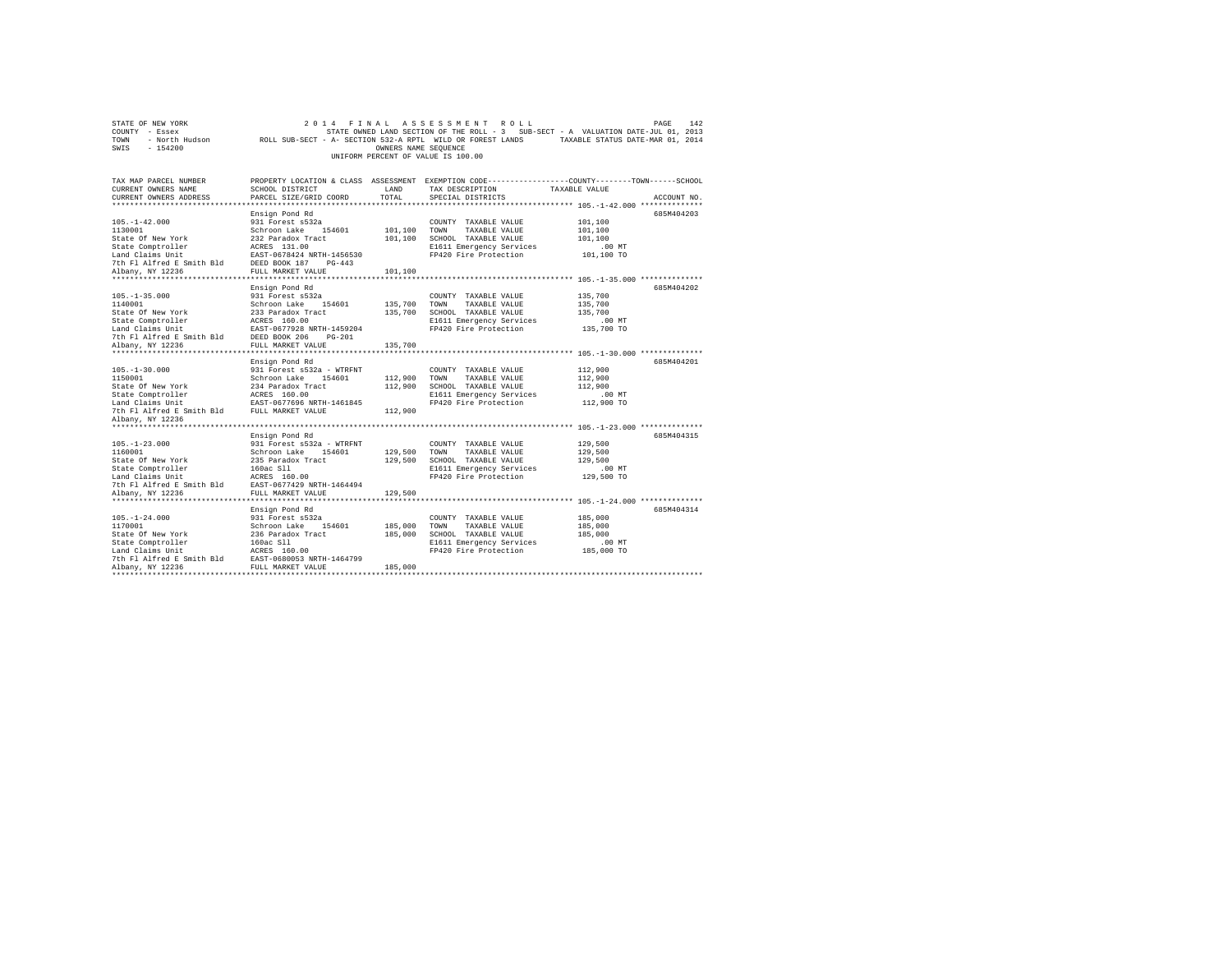| STATE OF NEW YORK<br>COUNTY - Essex                                                                                                                                                                            |                                                           |                      | 2014 FINAL ASSESSMENT ROLL            | PAGE<br>STATE OWNED LAND SECTION OF THE ROLL - 3 SUB-SECT - A VALUATION DATE-JUL 01, 2013                  | 142 |
|----------------------------------------------------------------------------------------------------------------------------------------------------------------------------------------------------------------|-----------------------------------------------------------|----------------------|---------------------------------------|------------------------------------------------------------------------------------------------------------|-----|
| TOWN                                                                                                                                                                                                           |                                                           |                      |                                       | - North Hudson ROLL SUB-SECT - A- SECTION 532-A RPTL WILD OR FOREST LANDS TAXABLE STATUS DATE-MAR 01, 2014 |     |
| SWIS<br>$-154200$                                                                                                                                                                                              |                                                           | OWNERS NAME SEQUENCE |                                       |                                                                                                            |     |
|                                                                                                                                                                                                                |                                                           |                      | UNIFORM PERCENT OF VALUE IS 100.00    |                                                                                                            |     |
|                                                                                                                                                                                                                |                                                           |                      |                                       |                                                                                                            |     |
| TAX MAP PARCEL NUMBER                                                                                                                                                                                          |                                                           |                      |                                       | PROPERTY LOCATION & CLASS ASSESSMENT EXEMPTION CODE---------------COUNTY-------TOWN------SCHOOL            |     |
| CURRENT OWNERS NAME                                                                                                                                                                                            | SCHOOL DISTRICT                                           | LAND                 | TAX DESCRIPTION                       | TAXABLE VALUE                                                                                              |     |
| CURRENT OWNERS ADDRESS                                                                                                                                                                                         | PARCEL SIZE/GRID COORD                                    | TOTAL                | SPECIAL DISTRICTS                     | ACCOUNT NO.                                                                                                |     |
|                                                                                                                                                                                                                |                                                           |                      |                                       |                                                                                                            |     |
|                                                                                                                                                                                                                | Ensign Pond Rd                                            |                      |                                       | 685M404203                                                                                                 |     |
| $105. - 1 - 42.000$<br>1130001                                                                                                                                                                                 | 931 Forest s532a<br>Schroon Lake 154601                   | 101,100 TOWN         | COUNTY TAXABLE VALUE<br>TAXABLE VALUE | 101,100<br>101,100                                                                                         |     |
| State Of New York                                                                                                                                                                                              |                                                           |                      | 101,100 SCHOOL TAXABLE VALUE          | 101,100                                                                                                    |     |
| State Comptroller                                                                                                                                                                                              | 232 Paradox Tract<br>ACRES 131.00<br>EAST-0678424 NRTH-14 |                      | E1611 Emergency Services              | $.00$ MT                                                                                                   |     |
| Land Claims Unit                                                                                                                                                                                               | EAST-0678424 NRTH-1456530                                 |                      | FP420 Fire Protection                 | 101,100 TO                                                                                                 |     |
| 7th F1 Alfred E Smith Bld BEED BOOK 187 PG-443                                                                                                                                                                 |                                                           |                      |                                       |                                                                                                            |     |
| Albany, NY 12236                                                                                                                                                                                               | FULL MARKET VALUE                                         | 101,100              |                                       |                                                                                                            |     |
|                                                                                                                                                                                                                |                                                           |                      |                                       |                                                                                                            |     |
|                                                                                                                                                                                                                | Ensign Pond Rd                                            |                      |                                       | 685M404202                                                                                                 |     |
| $105. - 1 - 35.000$                                                                                                                                                                                            | 931 Forest s532a                                          |                      | COUNTY TAXABLE VALUE                  | 135,700                                                                                                    |     |
| 1140001                                                                                                                                                                                                        | Schroon Lake 154601                                       | 135,700 TOWN         | TAXABLE VALUE                         | 135,700                                                                                                    |     |
|                                                                                                                                                                                                                |                                                           |                      | 135,700 SCHOOL TAXABLE VALUE          | 135,700                                                                                                    |     |
| State Of New York 233 Paradox Tract<br>State Comptroller ACRES 160.00<br>Land Claims Unit<br>Land Claims United E Smith Bld DEED BOOK 206 PC<br>7th F1 Alford E Smith Bld DEED BOOK 206 PC<br>Alfony, NY 12236 |                                                           |                      | E1611 Emergency Services              | $.00$ MT                                                                                                   |     |
|                                                                                                                                                                                                                | EAST-0677928 NRTH-1459204                                 |                      | FP420 Fire Protection                 | 135,700 TO                                                                                                 |     |
|                                                                                                                                                                                                                | DEED BOOK 206 PG-201                                      |                      |                                       |                                                                                                            |     |
| Albany, NY 12236                                                                                                                                                                                               | FULL MARKET VALUE                                         | 135,700              |                                       |                                                                                                            |     |
|                                                                                                                                                                                                                | Ensign Pond Rd                                            |                      |                                       | 685M404201                                                                                                 |     |
| $105. - 1 - 30.000$                                                                                                                                                                                            | 931 Forest s532a - WTRFNT                                 |                      | COUNTY TAXABLE VALUE                  | 112,900                                                                                                    |     |
| 1150001                                                                                                                                                                                                        | Schroon Lake 154601                                       | 112,900 TOWN         | TAXABLE VALUE                         | 112,900                                                                                                    |     |
|                                                                                                                                                                                                                |                                                           |                      | 112,900 SCHOOL TAXABLE VALUE          | 112,900                                                                                                    |     |
|                                                                                                                                                                                                                |                                                           |                      | E1611 Emergency Services              | $.00$ MT                                                                                                   |     |
|                                                                                                                                                                                                                |                                                           |                      | FP420 Fire Protection                 | 112,900 TO                                                                                                 |     |
|                                                                                                                                                                                                                |                                                           | 112,900              |                                       |                                                                                                            |     |
| Albany, NY 12236                                                                                                                                                                                               |                                                           |                      |                                       |                                                                                                            |     |
|                                                                                                                                                                                                                |                                                           |                      |                                       |                                                                                                            |     |
| $105. - 1 - 23.000$                                                                                                                                                                                            | Ensign Pond Rd<br>931 Forest s532a - WTRFNT               |                      |                                       | 685M404315<br>129,500                                                                                      |     |
| 1160001                                                                                                                                                                                                        | Schroon Lake 154601                                       | 129,500 TOWN         | COUNTY TAXABLE VALUE<br>TAXABLE VALUE | 129,500                                                                                                    |     |
| State Of New York                                                                                                                                                                                              | 235 Paradox Tract                                         |                      | 129,500 SCHOOL TAXABLE VALUE          | 129,500                                                                                                    |     |
| State Comptroller                                                                                                                                                                                              | 160ac S11                                                 |                      | E1611 Emergency Services              | $.00$ MT                                                                                                   |     |
| Land Claims Unit                                                                                                                                                                                               | ACRES 160.00                                              |                      | FP420 Fire Protection                 | 129,500 TO                                                                                                 |     |
| 7th Fl Alfred E Smith Bld                                                                                                                                                                                      | EAST-0677429 NRTH-1464494                                 |                      |                                       |                                                                                                            |     |
| Albany, NY 12236                                                                                                                                                                                               | FULL MARKET VALUE                                         | 129,500              |                                       |                                                                                                            |     |
|                                                                                                                                                                                                                |                                                           |                      |                                       |                                                                                                            |     |
|                                                                                                                                                                                                                | Ensign Pond Rd                                            |                      |                                       | 685M404314                                                                                                 |     |
|                                                                                                                                                                                                                |                                                           |                      |                                       |                                                                                                            |     |
| $105. - 1 - 24.000$                                                                                                                                                                                            | 931 Forest s532a                                          |                      | COUNTY TAXABLE VALUE                  | 185,000                                                                                                    |     |
| 1170001                                                                                                                                                                                                        | Schroon Lake 154601                                       | 185,000              | TOWN<br>TAXABLE VALUE                 | 185,000                                                                                                    |     |
| State Of New York                                                                                                                                                                                              | 236 Paradox Tract                                         | 185,000              | SCHOOL TAXABLE VALUE                  | 185,000                                                                                                    |     |
| State Comptroller                                                                                                                                                                                              | 160ac Sll                                                 |                      | E1611 Emergency Services              | .00MT                                                                                                      |     |
| Land Claims Unit                                                                                                                                                                                               | ACRES 160.00                                              |                      | FP420 Fire Protection                 | 185,000 TO                                                                                                 |     |
| Albany, NY 12236                                                                                                                                                                                               | FULL MARKET VALUE                                         | 185,000              |                                       |                                                                                                            |     |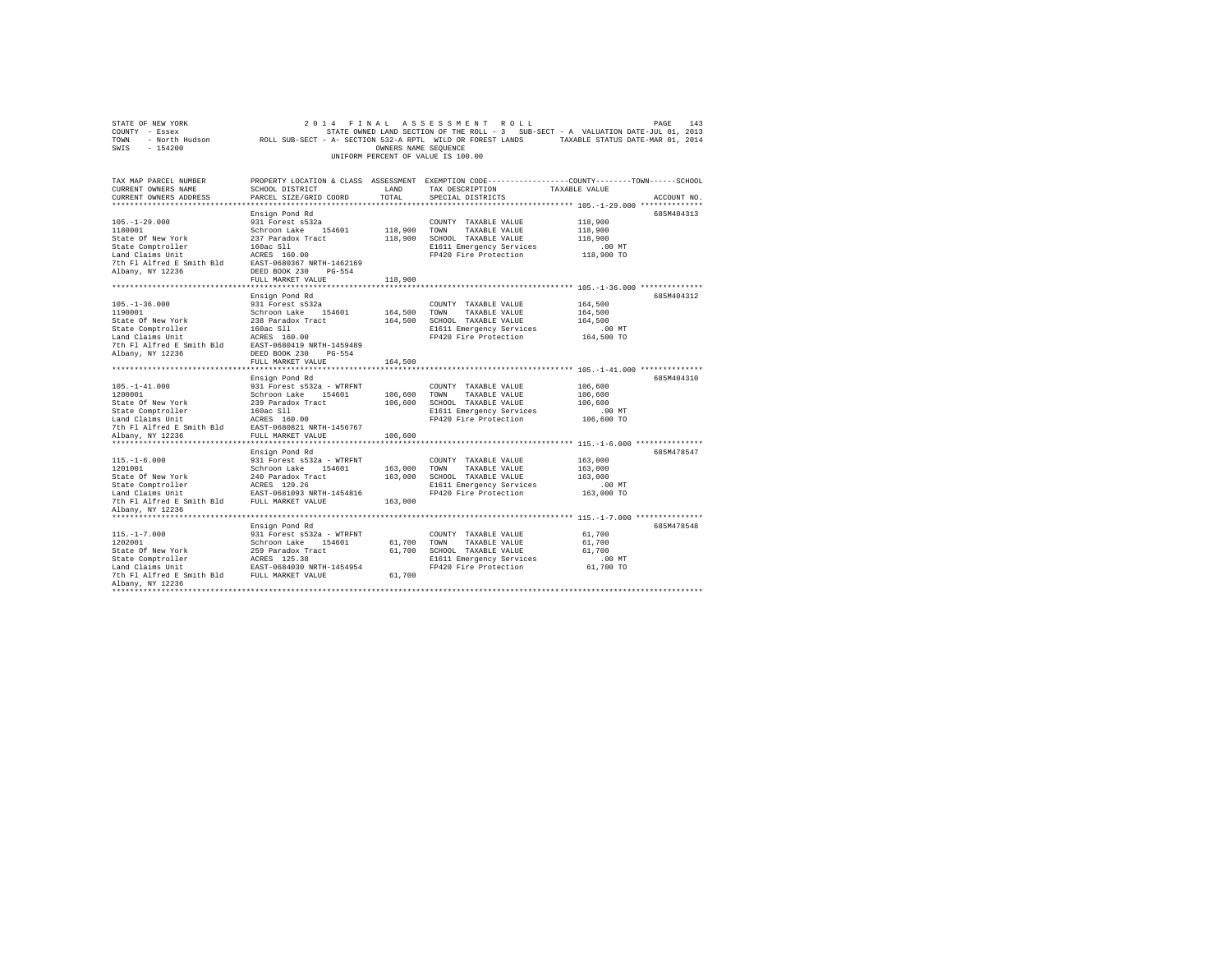| STATE OF NEW YORK<br>COUNTY - Essex<br>- North Hudson<br>TOWN<br>SWIS<br>$-154200$ | ROLL SUB-SECT - A- SECTION 532-A RPTL WILD OR FOREST LANDS TAXABLE STATUS DATE-MAR 01, 2014     | OWNERS NAME SEOUENCE | 2014 FINAL ASSESSMENT ROLL<br>STATE OWNED LAND SECTION OF THE ROLL - 3 SUB-SECT - A VALUATION DATE-JUL 01, 2013<br>UNIFORM PERCENT OF VALUE IS 100.00 |                                          | PAGE<br>143 |
|------------------------------------------------------------------------------------|-------------------------------------------------------------------------------------------------|----------------------|-------------------------------------------------------------------------------------------------------------------------------------------------------|------------------------------------------|-------------|
| TAX MAP PARCEL NUMBER                                                              | PROPERTY LOCATION & CLASS ASSESSMENT EXEMPTION CODE---------------COUNTY-------TOWN------SCHOOL |                      |                                                                                                                                                       |                                          |             |
| CURRENT OWNERS NAME<br>CURRENT OWNERS ADDRESS                                      | SCHOOL DISTRICT<br>PARCEL SIZE/GRID COORD                                                       | LAND<br>TOTAL        | TAX DESCRIPTION<br>SPECIAL DISTRICTS                                                                                                                  | TAXABLE VALUE                            | ACCOUNT NO. |
|                                                                                    |                                                                                                 |                      |                                                                                                                                                       | *********** 105.-1-29.000 ************** |             |
|                                                                                    | Ensign Pond Rd                                                                                  |                      |                                                                                                                                                       |                                          | 685M404313  |
| $105. - 1 - 29.000$                                                                | 931 Forest s532a                                                                                |                      | COUNTY TAXABLE VALUE                                                                                                                                  | 118,900                                  |             |
| 1180001                                                                            | Schroon Lake 154601                                                                             | 118,900 TOWN         | TAXABLE VALUE                                                                                                                                         | 118,900                                  |             |
| State Of New York                                                                  | 237 Paradox Tract                                                                               |                      | 118,900 SCHOOL TAXABLE VALUE                                                                                                                          | 118,900                                  |             |
| State Comptroller                                                                  | 160ac Sll                                                                                       |                      | E1611 Emergency Services                                                                                                                              | .00MT                                    |             |
| Land Claims Unit                                                                   | ACRES 160.00                                                                                    |                      | FP420 Fire Protection                                                                                                                                 | 118,900 TO                               |             |
| 7th Fl Alfred E Smith Bld                                                          | EAST-0680367 NRTH-1462169                                                                       |                      |                                                                                                                                                       |                                          |             |
| Albany, NY 12236                                                                   | DEED BOOK 230 PG-554                                                                            |                      |                                                                                                                                                       |                                          |             |
|                                                                                    | FULL MARKET VALUE                                                                               | 118,900              |                                                                                                                                                       |                                          |             |
|                                                                                    |                                                                                                 |                      |                                                                                                                                                       |                                          |             |
|                                                                                    | Ensign Pond Rd                                                                                  |                      |                                                                                                                                                       |                                          | 685M404312  |
| $105. - 1 - 36.000$                                                                | 931 Forest s532a                                                                                |                      | COUNTY TAXABLE VALUE                                                                                                                                  | 164,500                                  |             |
| 1190001                                                                            | Schroon Lake 154601                                                                             | 164,500 TOWN         | TAXABLE VALUE                                                                                                                                         | 164,500                                  |             |
| State Of New York                                                                  | 238 Paradox Tract                                                                               |                      | 164,500 SCHOOL TAXABLE VALUE                                                                                                                          | 164,500                                  |             |
| State Comptroller                                                                  | 160ac Sll                                                                                       |                      | E1611 Emergency Services                                                                                                                              | $.00$ MT                                 |             |
| Land Claims Unit                                                                   | ACRES 160.00                                                                                    |                      | FP420 Fire Protection                                                                                                                                 | 164,500 TO                               |             |
| 7th Fl Alfred E Smith Bld EAST-0680419 NRTH-1459489                                |                                                                                                 |                      |                                                                                                                                                       |                                          |             |
| Albany, NY 12236                                                                   | DEED BOOK 230 PG-554                                                                            |                      |                                                                                                                                                       |                                          |             |
|                                                                                    | FULL MARKET VALUE                                                                               | 164,500              |                                                                                                                                                       |                                          |             |
| ***********************                                                            |                                                                                                 |                      |                                                                                                                                                       |                                          |             |
|                                                                                    | Ensign Pond Rd                                                                                  |                      |                                                                                                                                                       |                                          | 685M404310  |
| $105. - 1 - 41.000$                                                                | 931 Forest s532a - WTRFNT                                                                       |                      | COUNTY TAXABLE VALUE                                                                                                                                  | 106,600                                  |             |
| 1200001                                                                            | Schroon Lake 154601                                                                             | 106,600 TOWN         | TAXABLE VALUE                                                                                                                                         | 106,600                                  |             |
| State Of New York                                                                  | 239 Paradox Tract                                                                               |                      | 106,600 SCHOOL TAXABLE VALUE                                                                                                                          | 106,600                                  |             |
| State Comptroller                                                                  | 160ac Sll                                                                                       |                      | E1611 Emergency Services                                                                                                                              | $.00$ MT                                 |             |
| Land Claims Unit                                                                   | ACRES 160.00                                                                                    |                      | FP420 Fire Protection                                                                                                                                 | 106,600 TO                               |             |
| 7th Fl Alfred E Smith Bld                                                          | EAST-0680821 NRTH-1456767                                                                       |                      |                                                                                                                                                       |                                          |             |
| Albany, NY 12236                                                                   | FULL MARKET VALUE                                                                               | 106,600              |                                                                                                                                                       |                                          |             |
| **********************                                                             | ***************************                                                                     |                      |                                                                                                                                                       |                                          |             |
|                                                                                    | Ensign Pond Rd                                                                                  |                      |                                                                                                                                                       |                                          | 685M478547  |
| $115. - 1 - 6.000$                                                                 | 931 Forest s532a - WTRFNT                                                                       |                      | COUNTY TAXABLE VALUE                                                                                                                                  | 163,000                                  |             |
| 1201001                                                                            | Schroon Lake 154601                                                                             | 163,000 TOWN         | TAXABLE VALUE                                                                                                                                         | 163,000                                  |             |
| State Of New York                                                                  | 240 Paradox Tract                                                                               |                      | 163,000 SCHOOL TAXABLE VALUE                                                                                                                          | 163,000                                  |             |
| State Comptroller                                                                  | ACRES 129.26                                                                                    |                      | E1611 Emergency Services                                                                                                                              | $.00$ MT                                 |             |
| Land Claims Unit                                                                   | EAST-0681093 NRTH-1454816                                                                       |                      | FP420 Fire Protection                                                                                                                                 | 163,000 TO                               |             |
| 7th Fl Alfred E Smith Bld                                                          | FULL MARKET VALUE                                                                               | 163,000              |                                                                                                                                                       |                                          |             |
| Albany, NY 12236                                                                   |                                                                                                 |                      |                                                                                                                                                       |                                          |             |
|                                                                                    |                                                                                                 |                      |                                                                                                                                                       |                                          |             |
|                                                                                    | Ensign Pond Rd                                                                                  |                      |                                                                                                                                                       |                                          | 685M478548  |
| $115. - 1 - 7.000$                                                                 | 931 Forest s532a - WTRFNT                                                                       |                      | COUNTY TAXABLE VALUE                                                                                                                                  | 61,700                                   |             |
| 1202001                                                                            | Schroon Lake 154601                                                                             | 61,700 TOWN          | TAXABLE VALUE                                                                                                                                         | 61,700                                   |             |
| State Of New York                                                                  | 259 Paradox Tract                                                                               |                      | 61,700 SCHOOL TAXABLE VALUE                                                                                                                           | 61,700                                   |             |
|                                                                                    |                                                                                                 |                      |                                                                                                                                                       |                                          |             |
| state Comptroller<br>Land Claims Unit                                              | ACRES 125.38                                                                                    |                      | E1611 Emergency Services<br>FP420 Fire Protection                                                                                                     | $.00$ MT                                 |             |
|                                                                                    | EAST-0684030 NRTH-1454954                                                                       |                      |                                                                                                                                                       | 61,700 TO                                |             |
| 7th Fl Alfred E Smith Bld                                                          | FULL MARKET VALUE                                                                               | 61,700               |                                                                                                                                                       |                                          |             |
| Albany, NY 12236                                                                   |                                                                                                 |                      |                                                                                                                                                       |                                          |             |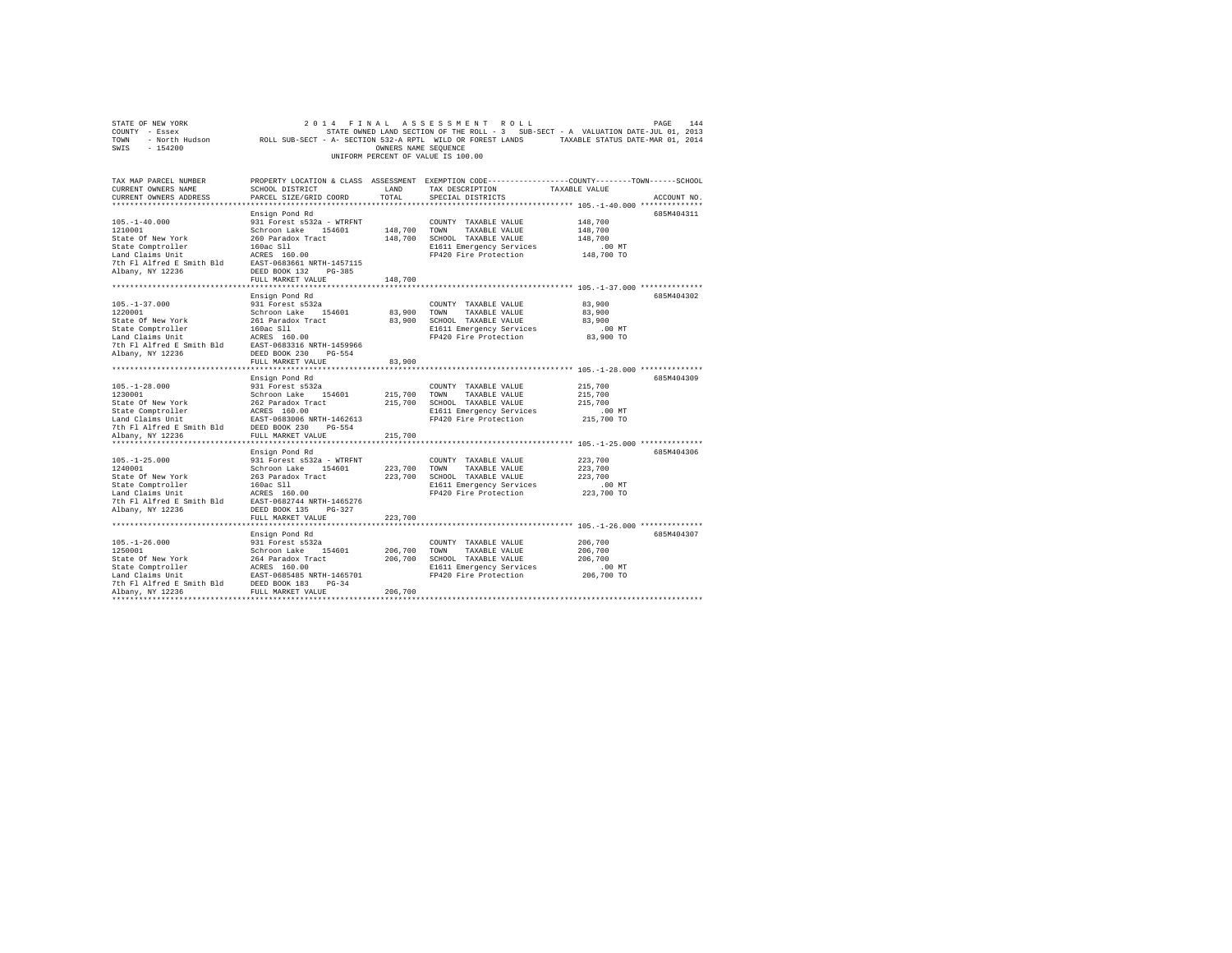|                                                                                                                                                                                                                                                                                 |                        |         |                                                                                   | COUNTY - ESSEX DATE-JUL 01, 2013<br>TOWN - NOYL'N HUGSON - ROLL SUB-SECT - A- SECTION S32-A RPTL WILD OR FOREST LANDS - TAXABLE STATUS DATE-MAR 01, 2014<br>SWIS - 154200 |
|---------------------------------------------------------------------------------------------------------------------------------------------------------------------------------------------------------------------------------------------------------------------------------|------------------------|---------|-----------------------------------------------------------------------------------|---------------------------------------------------------------------------------------------------------------------------------------------------------------------------|
|                                                                                                                                                                                                                                                                                 |                        |         |                                                                                   |                                                                                                                                                                           |
|                                                                                                                                                                                                                                                                                 |                        |         |                                                                                   |                                                                                                                                                                           |
|                                                                                                                                                                                                                                                                                 |                        |         | UNIFORM PERCENT OF VALUE IS 100.00                                                |                                                                                                                                                                           |
|                                                                                                                                                                                                                                                                                 |                        |         |                                                                                   |                                                                                                                                                                           |
|                                                                                                                                                                                                                                                                                 |                        |         |                                                                                   | PROPERTY LOCATION & CLASS ASSESSMENT EXEMPTION CODE----------------COUNTY-------TOWN------SCHOOL<br>SCHOOL DISTRICT                                                       |
| TAX MAP PARCEL NUMBER<br>CURRENT OWNERS NAME                                                                                                                                                                                                                                    | SCHOOL DISTRICT        |         | LAND TAX DESCRIPTION TAXABLE VALUE                                                |                                                                                                                                                                           |
| CURRENT OWNERS ADDRESS                                                                                                                                                                                                                                                          |                        | TOTAL   | SPECIAL DISTRICTS                                                                 | ACCOUNT NO.                                                                                                                                                               |
|                                                                                                                                                                                                                                                                                 | PARCEL SIZE/GRID COORD |         |                                                                                   |                                                                                                                                                                           |
|                                                                                                                                                                                                                                                                                 |                        |         |                                                                                   | 685M404311                                                                                                                                                                |
|                                                                                                                                                                                                                                                                                 |                        |         |                                                                                   | 148,700                                                                                                                                                                   |
|                                                                                                                                                                                                                                                                                 |                        |         |                                                                                   | 148,700                                                                                                                                                                   |
|                                                                                                                                                                                                                                                                                 |                        |         |                                                                                   | 148,700                                                                                                                                                                   |
|                                                                                                                                                                                                                                                                                 |                        |         | 148,700 SCHOOL TAXABLE VALUE<br>E1611 Emergency Services<br>FP420 Fire Protection |                                                                                                                                                                           |
|                                                                                                                                                                                                                                                                                 |                        |         | E1611 Emergency Services .00 MT<br>FP420 Fire Protection 148,700 TO               |                                                                                                                                                                           |
|                                                                                                                                                                                                                                                                                 |                        |         |                                                                                   |                                                                                                                                                                           |
|                                                                                                                                                                                                                                                                                 |                        |         |                                                                                   |                                                                                                                                                                           |
|                                                                                                                                                                                                                                                                                 | FULL MARKET VALUE      | 148,700 |                                                                                   |                                                                                                                                                                           |
|                                                                                                                                                                                                                                                                                 |                        |         |                                                                                   |                                                                                                                                                                           |
|                                                                                                                                                                                                                                                                                 | Ensign Pond Rd         |         |                                                                                   | 685M404302                                                                                                                                                                |
| $[105. -1-37.000$ $[105. -1-37.000]$ $[105. -1-37.000]$ $[105. -1-37.000]$ $[105. -1-37.000]$ $[105. -1-37.000]$ $[105. -1-37.000]$ $[105. -1-37.000]$ $[105. -1-37.000]$ $[105. -1-37.000]$ $[105. -1-37.000]$ $[105. -1-37.000]$ $[105.$                                      |                        |         | COUNTY TAXABLE VALUE                                                              | 83,900                                                                                                                                                                    |
|                                                                                                                                                                                                                                                                                 |                        |         | 83,900 TOWN TAXABLE VALUE                                                         | 83,900                                                                                                                                                                    |
|                                                                                                                                                                                                                                                                                 |                        |         | 83,900 SCHOOL TAXABLE VALUE                                                       | 83,900                                                                                                                                                                    |
|                                                                                                                                                                                                                                                                                 |                        |         | E1611 Emergency Services                                                          | .00 MT                                                                                                                                                                    |
|                                                                                                                                                                                                                                                                                 |                        |         | FP420 Fire Protection                                                             | 83,900 TO                                                                                                                                                                 |
|                                                                                                                                                                                                                                                                                 |                        |         |                                                                                   |                                                                                                                                                                           |
|                                                                                                                                                                                                                                                                                 |                        |         |                                                                                   |                                                                                                                                                                           |
|                                                                                                                                                                                                                                                                                 | FULL MARKET VALUE      | 83,900  |                                                                                   |                                                                                                                                                                           |
|                                                                                                                                                                                                                                                                                 |                        |         |                                                                                   |                                                                                                                                                                           |
|                                                                                                                                                                                                                                                                                 |                        |         |                                                                                   | 685M404309                                                                                                                                                                |
|                                                                                                                                                                                                                                                                                 |                        |         | COUNTY TAXABLE VALUE 215,700                                                      |                                                                                                                                                                           |
|                                                                                                                                                                                                                                                                                 |                        |         |                                                                                   | 215,700                                                                                                                                                                   |
|                                                                                                                                                                                                                                                                                 |                        |         |                                                                                   | 215,700                                                                                                                                                                   |
|                                                                                                                                                                                                                                                                                 |                        |         |                                                                                   |                                                                                                                                                                           |
|                                                                                                                                                                                                                                                                                 |                        |         |                                                                                   | 215,700 TO                                                                                                                                                                |
|                                                                                                                                                                                                                                                                                 |                        |         |                                                                                   |                                                                                                                                                                           |
|                                                                                                                                                                                                                                                                                 |                        |         |                                                                                   |                                                                                                                                                                           |
|                                                                                                                                                                                                                                                                                 |                        |         |                                                                                   |                                                                                                                                                                           |
|                                                                                                                                                                                                                                                                                 | Ensign Pond Rd         |         |                                                                                   | 685M404306                                                                                                                                                                |
|                                                                                                                                                                                                                                                                                 |                        |         | COUNTY TAXABLE VALUE 223,700                                                      |                                                                                                                                                                           |
|                                                                                                                                                                                                                                                                                 |                        |         | 223,700 TOWN TAXABLE VALUE                                                        | 223,700                                                                                                                                                                   |
| $105,-1-25.000$ $201010$ $240001$ $24001$ $24001$ $24001$ $24001$ $2401$ $2401$ $2401$ $2401$ $2401$ $2401$ $2401$ $2401$ $2401$ $2401$ $2401$ $2401$ $2401$ $2401$ $2401$ $240101$ $240101$ $240101$ $240101$ $240101$ $24010$                                                 |                        |         |                                                                                   | 223,700                                                                                                                                                                   |
|                                                                                                                                                                                                                                                                                 |                        |         | 223,700 SCHOOL TAXABLE VALUE<br>E1611 Emergency Services<br>FP420 Fire Protection | $.00$ MT                                                                                                                                                                  |
|                                                                                                                                                                                                                                                                                 |                        |         |                                                                                   | 223,700 TO                                                                                                                                                                |
|                                                                                                                                                                                                                                                                                 |                        |         |                                                                                   |                                                                                                                                                                           |
|                                                                                                                                                                                                                                                                                 |                        |         |                                                                                   |                                                                                                                                                                           |
|                                                                                                                                                                                                                                                                                 | FULL MARKET VALUE      | 223,700 |                                                                                   |                                                                                                                                                                           |
|                                                                                                                                                                                                                                                                                 |                        |         |                                                                                   |                                                                                                                                                                           |
|                                                                                                                                                                                                                                                                                 | Ensign Pond Rd         |         |                                                                                   | 685M404307                                                                                                                                                                |
|                                                                                                                                                                                                                                                                                 |                        |         |                                                                                   | 206,700                                                                                                                                                                   |
|                                                                                                                                                                                                                                                                                 |                        |         |                                                                                   | 206,700                                                                                                                                                                   |
|                                                                                                                                                                                                                                                                                 |                        |         |                                                                                   | 206,700                                                                                                                                                                   |
|                                                                                                                                                                                                                                                                                 |                        |         |                                                                                   | $.00$ MT                                                                                                                                                                  |
|                                                                                                                                                                                                                                                                                 |                        |         |                                                                                   | 206,700 TO                                                                                                                                                                |
|                                                                                                                                                                                                                                                                                 |                        |         |                                                                                   |                                                                                                                                                                           |
| $[105. -1-26.000$ $1250001$ $1250010$ $[206.700$ We York$ 206,700$ and 206,700$ TONRABLE VALUE\nState Comptroller\nState Comptroller\n126.700 TONRABLE VALUE\nState Comptroller\nLATE\nState Comptroller\nThat claims unit\n206.700 206,700\n206.700 206,700\n206.700 20600\n<$ |                        |         |                                                                                   |                                                                                                                                                                           |
|                                                                                                                                                                                                                                                                                 |                        |         |                                                                                   |                                                                                                                                                                           |

STATE OF NEW YORK 2014 FINAL ASSESSMENT ROLL PAGE 144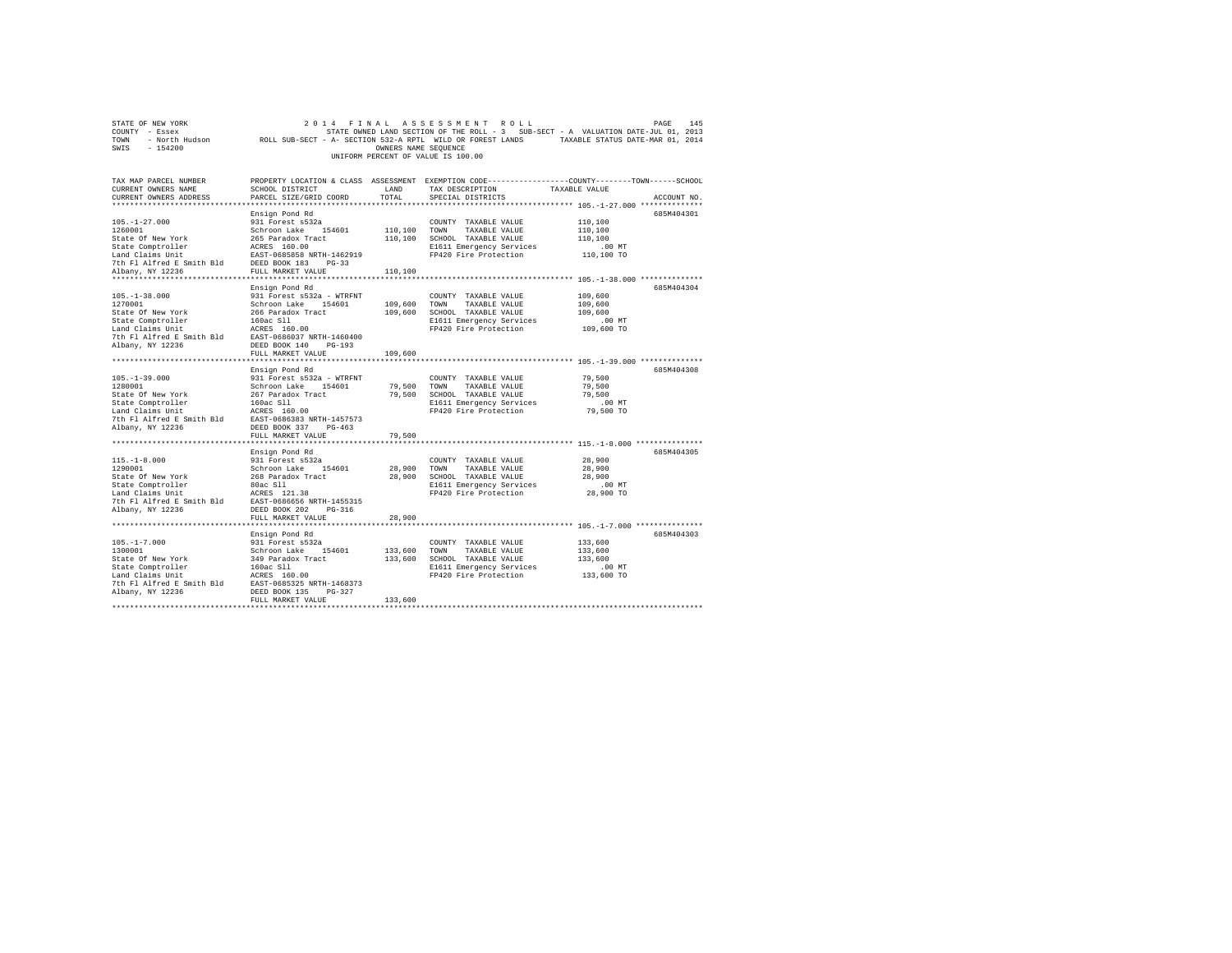| $\begin{array}{ccccccccc} \texttt{STR} \texttt{CP} & \texttt{R} \texttt{OR} & \texttt{2} \texttt{O} & \texttt{14} & \texttt{18} & \texttt{18} & \texttt{18} & \texttt{18} & \texttt{18} & \texttt{18} & \texttt{18} & \texttt{18} & \texttt{18} \\ \texttt{COUTYT} & - \texttt{E} \texttt{S} \texttt{ex} & \texttt{S} & \texttt{S} & \texttt{S} & \texttt{S} & \texttt{S} & \texttt{S} & \texttt{S} & \texttt{S} & \texttt{S$ |                            |                 |                                                                                                          |                                                                   |             |
|-------------------------------------------------------------------------------------------------------------------------------------------------------------------------------------------------------------------------------------------------------------------------------------------------------------------------------------------------------------------------------------------------------------------------------|----------------------------|-----------------|----------------------------------------------------------------------------------------------------------|-------------------------------------------------------------------|-------------|
|                                                                                                                                                                                                                                                                                                                                                                                                                               |                            |                 |                                                                                                          |                                                                   |             |
|                                                                                                                                                                                                                                                                                                                                                                                                                               |                            |                 |                                                                                                          |                                                                   |             |
|                                                                                                                                                                                                                                                                                                                                                                                                                               |                            |                 |                                                                                                          |                                                                   |             |
|                                                                                                                                                                                                                                                                                                                                                                                                                               |                            |                 | UNIFORM PERCENT OF VALUE IS 100.00                                                                       |                                                                   |             |
|                                                                                                                                                                                                                                                                                                                                                                                                                               |                            |                 |                                                                                                          |                                                                   |             |
|                                                                                                                                                                                                                                                                                                                                                                                                                               |                            |                 |                                                                                                          |                                                                   |             |
| TAX MAP PARCEL NUMBER                                                                                                                                                                                                                                                                                                                                                                                                         |                            |                 | PROPERTY LOCATION & CLASS ASSESSMENT EXEMPTION CODE---------------COUNTY-------TOWN------SCHOOL          |                                                                   |             |
| CURRENT OWNERS NAME                                                                                                                                                                                                                                                                                                                                                                                                           | SCHOOL DISTRICT            | LAND            | TAX DESCRIPTION                                                                                          | TAXABLE VALUE                                                     |             |
| CURRENT OWNERS ADDRESS                                                                                                                                                                                                                                                                                                                                                                                                        | PARCEL SIZE/GRID COORD     | TOTAL           | SPECIAL DISTRICTS                                                                                        |                                                                   | ACCOUNT NO. |
|                                                                                                                                                                                                                                                                                                                                                                                                                               |                            |                 |                                                                                                          |                                                                   |             |
|                                                                                                                                                                                                                                                                                                                                                                                                                               | Ensign Pond Rd             |                 |                                                                                                          |                                                                   | 685M404301  |
| $105. - 1 - 27.000$                                                                                                                                                                                                                                                                                                                                                                                                           | 931 Forest s532a           |                 | COUNTY TAXABLE VALUE                                                                                     | 110,100                                                           |             |
|                                                                                                                                                                                                                                                                                                                                                                                                                               |                            |                 |                                                                                                          | 110,100                                                           |             |
|                                                                                                                                                                                                                                                                                                                                                                                                                               |                            |                 |                                                                                                          | 110,100                                                           |             |
|                                                                                                                                                                                                                                                                                                                                                                                                                               |                            |                 | E1611 Emergency Services<br>FP420 Fire Protection                                                        | .00 MT<br>110,100 TO                                              |             |
| $\begin{tabular}{l c c c c c} \multicolumn{3}{c}{\textbf{56.001}} & \multicolumn{3}{c}{\textbf{56.001}} & \multicolumn{3}{c}{\textbf{56.001}} & \multicolumn{3}{c}{\textbf{56.001}} & \multicolumn{3}{c}{\textbf{56.001}} & \multicolumn{3}{c}{\textbf{56.001}} & \multicolumn{3}{c}{\textbf{56.001}} & \multicolumn{3}{c}{\textbf{76.001}} & \multicolumn{3}{c}{\textbf{76.001}} & \multicolumn{3}{c}{\textbf{$              |                            |                 |                                                                                                          |                                                                   |             |
|                                                                                                                                                                                                                                                                                                                                                                                                                               |                            |                 |                                                                                                          |                                                                   |             |
|                                                                                                                                                                                                                                                                                                                                                                                                                               |                            |                 |                                                                                                          |                                                                   |             |
|                                                                                                                                                                                                                                                                                                                                                                                                                               | Ensign Pond Rd             |                 |                                                                                                          |                                                                   | 685M404304  |
| $105. - 1 - 38.000$                                                                                                                                                                                                                                                                                                                                                                                                           | 931 Forest s532a - WTRFNT  |                 | COUNTY TAXABLE VALUE                                                                                     | 109,600                                                           |             |
| 1270001                                                                                                                                                                                                                                                                                                                                                                                                                       | Schroon Lake 154601        |                 | 109,600 TOWN TAXABLE VALUE                                                                               | 109,600                                                           |             |
|                                                                                                                                                                                                                                                                                                                                                                                                                               |                            |                 |                                                                                                          | 109,600                                                           |             |
| Example of New York 266 Paradox Tract 199,600 SCROOL TAXABLE VALUE<br>State Comptroller 1606c S11<br>State Comptom and Calma United ACRS 160.00 E1611 Emergency Services<br>Land Claims United E. Rankin Bld EAST-0686037 NRTH-14604                                                                                                                                                                                          |                            |                 |                                                                                                          | .00 MT                                                            |             |
|                                                                                                                                                                                                                                                                                                                                                                                                                               |                            |                 |                                                                                                          | 109,600 TO                                                        |             |
|                                                                                                                                                                                                                                                                                                                                                                                                                               |                            |                 |                                                                                                          |                                                                   |             |
|                                                                                                                                                                                                                                                                                                                                                                                                                               |                            |                 |                                                                                                          |                                                                   |             |
|                                                                                                                                                                                                                                                                                                                                                                                                                               | FULL MARKET VALUE          | 109,600         |                                                                                                          |                                                                   |             |
|                                                                                                                                                                                                                                                                                                                                                                                                                               |                            | *************** |                                                                                                          | *********************************** 105.-1-39.000 *************** |             |
|                                                                                                                                                                                                                                                                                                                                                                                                                               | Ensign Pond Rd             |                 |                                                                                                          |                                                                   | 685M404308  |
|                                                                                                                                                                                                                                                                                                                                                                                                                               | 931 Forest s532a - WTRFNT  |                 | COUNTY TAXABLE VALUE                                                                                     | 79,500                                                            |             |
| $105. -1 - 39.000$<br>1280001                                                                                                                                                                                                                                                                                                                                                                                                 |                            |                 |                                                                                                          | 79,500                                                            |             |
|                                                                                                                                                                                                                                                                                                                                                                                                                               |                            |                 |                                                                                                          |                                                                   |             |
|                                                                                                                                                                                                                                                                                                                                                                                                                               |                            |                 | 79,500 SCHOOL TAXABLE VALUE 79,500<br>E1611 Energency Services 100 MT<br>FP420 Fire Protection 79,500 TO |                                                                   |             |
|                                                                                                                                                                                                                                                                                                                                                                                                                               |                            |                 |                                                                                                          |                                                                   |             |
|                                                                                                                                                                                                                                                                                                                                                                                                                               |                            |                 |                                                                                                          |                                                                   |             |
|                                                                                                                                                                                                                                                                                                                                                                                                                               |                            |                 |                                                                                                          |                                                                   |             |
|                                                                                                                                                                                                                                                                                                                                                                                                                               | FULL MARKET VALUE          | 79,500          |                                                                                                          |                                                                   |             |
| *******************************                                                                                                                                                                                                                                                                                                                                                                                               | ************************** | ***********     |                                                                                                          | ***************************** 115.-1-8.000 ***************        |             |
|                                                                                                                                                                                                                                                                                                                                                                                                                               | Ensign Pond Rd             |                 |                                                                                                          |                                                                   | 685M404305  |
| $115. - 1 - 8.000$                                                                                                                                                                                                                                                                                                                                                                                                            | 931 Forest s532a           |                 | COUNTY TAXABLE VALUE                                                                                     | 28,900                                                            |             |
| 1290001                                                                                                                                                                                                                                                                                                                                                                                                                       | Schroon Lake 154601        | 28,900 TOWN     | TAXABLE VALUE                                                                                            | 28,900                                                            |             |
| State Of New York<br>State Comptroller<br>State Compton and Claims Unit<br>Land Claims Unit<br>Land Claims Unit<br>The Filalited E Smith Bld<br>EAST-0666565 NRTH-1455315<br>7th Fl Aifred E Smith Bld<br>EAST-0666565 NRTH-1455315<br>Albany, N                                                                                                                                                                              |                            |                 | 28,900 SCHOOL TAXABLE VALUE                                                                              | 28,900                                                            |             |
|                                                                                                                                                                                                                                                                                                                                                                                                                               |                            |                 | E1611 Emergency Services                                                                                 | 00 MT.<br>28,900 TO                                               |             |
|                                                                                                                                                                                                                                                                                                                                                                                                                               |                            |                 | FP420 Fire Protection                                                                                    |                                                                   |             |
|                                                                                                                                                                                                                                                                                                                                                                                                                               |                            |                 |                                                                                                          |                                                                   |             |
|                                                                                                                                                                                                                                                                                                                                                                                                                               |                            |                 |                                                                                                          |                                                                   |             |
|                                                                                                                                                                                                                                                                                                                                                                                                                               | FULL MARKET VALUE          | 28,900          |                                                                                                          |                                                                   |             |
|                                                                                                                                                                                                                                                                                                                                                                                                                               |                            |                 |                                                                                                          |                                                                   |             |
|                                                                                                                                                                                                                                                                                                                                                                                                                               | Ensign Pond Rd             |                 |                                                                                                          |                                                                   | 685M404303  |
|                                                                                                                                                                                                                                                                                                                                                                                                                               |                            |                 |                                                                                                          |                                                                   |             |
|                                                                                                                                                                                                                                                                                                                                                                                                                               |                            |                 |                                                                                                          |                                                                   |             |
|                                                                                                                                                                                                                                                                                                                                                                                                                               |                            |                 |                                                                                                          |                                                                   |             |
|                                                                                                                                                                                                                                                                                                                                                                                                                               |                            |                 |                                                                                                          |                                                                   |             |
|                                                                                                                                                                                                                                                                                                                                                                                                                               |                            |                 |                                                                                                          |                                                                   |             |
|                                                                                                                                                                                                                                                                                                                                                                                                                               |                            |                 |                                                                                                          |                                                                   |             |
| Albany, NY 12236                                                                                                                                                                                                                                                                                                                                                                                                              | DEED BOOK 135 PG-327       |                 |                                                                                                          |                                                                   |             |
|                                                                                                                                                                                                                                                                                                                                                                                                                               | FULL MARKET VALUE          | 133,600         |                                                                                                          |                                                                   |             |
|                                                                                                                                                                                                                                                                                                                                                                                                                               |                            |                 |                                                                                                          |                                                                   |             |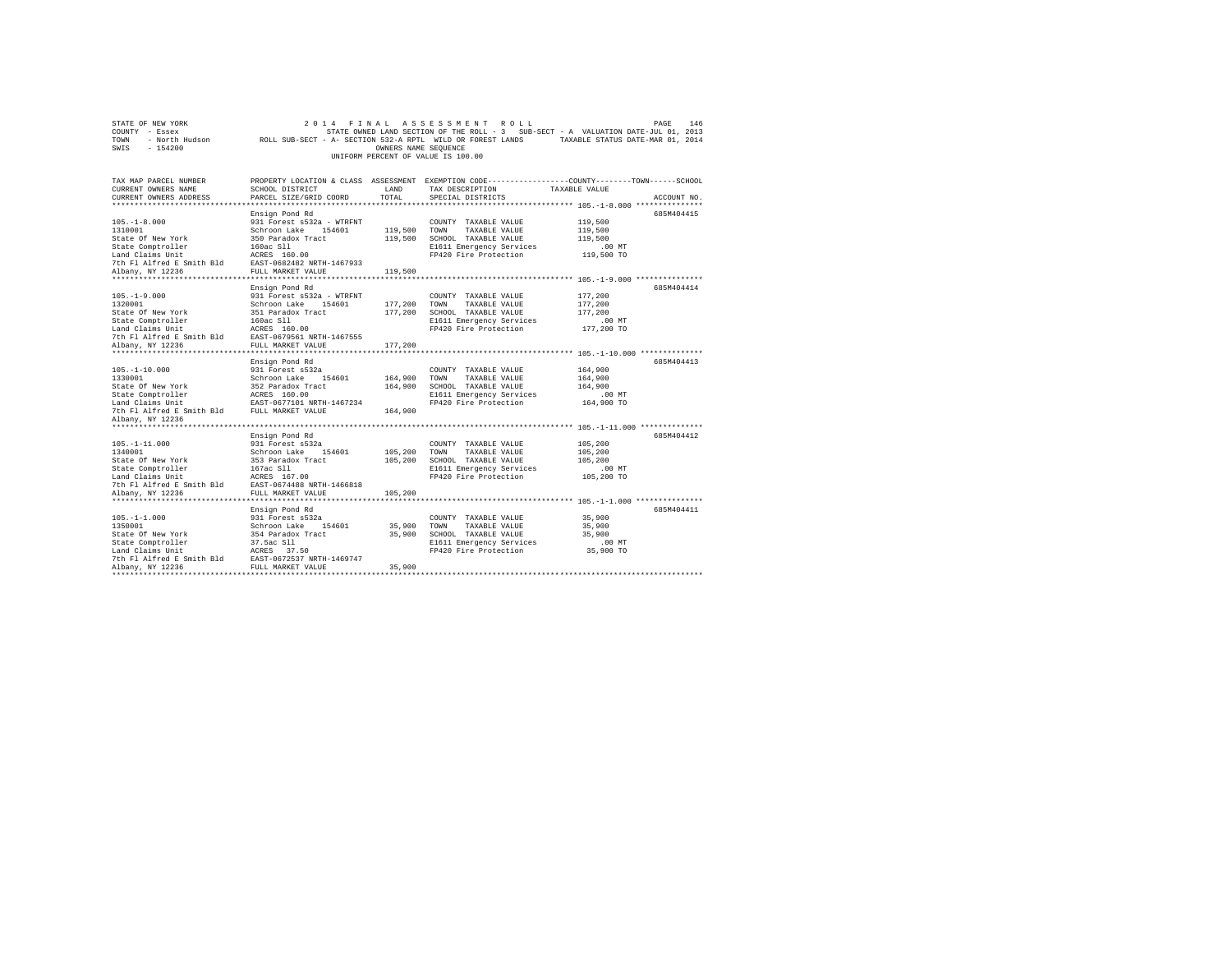|                | STATE OF NEW YORK |                                                            | 2014 FINAL ASSESSMENT ROLL         |                      |  |  |                                                                                   |  | PAGE                             | 146 |
|----------------|-------------------|------------------------------------------------------------|------------------------------------|----------------------|--|--|-----------------------------------------------------------------------------------|--|----------------------------------|-----|
| COUNTY - Essex |                   |                                                            |                                    |                      |  |  | STATE OWNED LAND SECTION OF THE ROLL - 3 SUB-SECT - A VALUATION DATE-JUL 01, 2013 |  |                                  |     |
| TOWN           | - North Hudson    | ROLL SUB-SECT - A- SECTION 532-A RPTL WILD OR FOREST LANDS |                                    |                      |  |  |                                                                                   |  | TAXABLE STATUS DATE-MAR 01, 2014 |     |
| SWIS           | - 154200          |                                                            |                                    | OWNERS NAME SEOUENCE |  |  |                                                                                   |  |                                  |     |
|                |                   |                                                            | UNIFORM PERCENT OF VALUE IS 100.00 |                      |  |  |                                                                                   |  |                                  |     |

| TAX MAP PARCEL NUMBER<br>CURRENT OWNERS NAME<br>CURRENT OWNERS ADDRESS | SCHOOL DISTRICT<br>PARCEL SIZE/GRID COORD                    | LAND<br>TOTAL | TAX DESCRIPTION<br>SPECIAL DISTRICTS                               | PROPERTY LOCATION & CLASS ASSESSMENT EXEMPTION CODE----------------COUNTY-------TOWN-----SCHOOL<br>TAXABLE VALUE<br>ACCOUNT NO.                                                                                                                |
|------------------------------------------------------------------------|--------------------------------------------------------------|---------------|--------------------------------------------------------------------|------------------------------------------------------------------------------------------------------------------------------------------------------------------------------------------------------------------------------------------------|
|                                                                        |                                                              |               |                                                                    |                                                                                                                                                                                                                                                |
|                                                                        | Ensign Pond Rd                                               |               |                                                                    | 685M404415                                                                                                                                                                                                                                     |
| 105. -1-8.000                                                          |                                                              |               | COUNTY TAXABLE VALUE                                               | 119,500                                                                                                                                                                                                                                        |
|                                                                        |                                                              |               |                                                                    |                                                                                                                                                                                                                                                |
| 1310001<br>State Of New York                                           |                                                              |               |                                                                    | 119,500<br>119,500                                                                                                                                                                                                                             |
|                                                                        |                                                              |               | E1611 Emergency Services                                           |                                                                                                                                                                                                                                                |
|                                                                        |                                                              |               | FP420 Fire Protection                                              | 00 MT.<br>119,500 TO                                                                                                                                                                                                                           |
|                                                                        |                                                              |               |                                                                    |                                                                                                                                                                                                                                                |
|                                                                        |                                                              | 119,500       |                                                                    |                                                                                                                                                                                                                                                |
| **********************                                                 |                                                              |               |                                                                    | ****************************** 105.-1-9.000 ***************                                                                                                                                                                                    |
|                                                                        | Ensign Pond Rd                                               |               |                                                                    | 685M404414                                                                                                                                                                                                                                     |
|                                                                        |                                                              |               |                                                                    | 177,200                                                                                                                                                                                                                                        |
|                                                                        |                                                              |               |                                                                    | 177,200                                                                                                                                                                                                                                        |
|                                                                        |                                                              |               |                                                                    | 177,200                                                                                                                                                                                                                                        |
|                                                                        |                                                              |               |                                                                    |                                                                                                                                                                                                                                                |
|                                                                        |                                                              |               |                                                                    |                                                                                                                                                                                                                                                |
|                                                                        |                                                              |               |                                                                    |                                                                                                                                                                                                                                                |
|                                                                        |                                                              |               |                                                                    |                                                                                                                                                                                                                                                |
|                                                                        |                                                              |               |                                                                    |                                                                                                                                                                                                                                                |
|                                                                        | Ensign Pond Rd                                               |               |                                                                    | 685M404413                                                                                                                                                                                                                                     |
|                                                                        |                                                              |               |                                                                    | 164,900                                                                                                                                                                                                                                        |
|                                                                        |                                                              |               |                                                                    | 164,900                                                                                                                                                                                                                                        |
|                                                                        |                                                              |               |                                                                    |                                                                                                                                                                                                                                                |
|                                                                        |                                                              |               |                                                                    | 164,900<br>.00 MT                                                                                                                                                                                                                              |
|                                                                        |                                                              |               |                                                                    | 164,900 TO                                                                                                                                                                                                                                     |
|                                                                        |                                                              |               |                                                                    |                                                                                                                                                                                                                                                |
| Albany, NY 12236                                                       |                                                              |               |                                                                    |                                                                                                                                                                                                                                                |
| *******************                                                    |                                                              |               |                                                                    |                                                                                                                                                                                                                                                |
|                                                                        | Ensign Pond Rd                                               |               |                                                                    | 685M404412                                                                                                                                                                                                                                     |
|                                                                        |                                                              |               |                                                                    |                                                                                                                                                                                                                                                |
|                                                                        |                                                              |               |                                                                    |                                                                                                                                                                                                                                                |
|                                                                        |                                                              |               |                                                                    |                                                                                                                                                                                                                                                |
|                                                                        |                                                              |               |                                                                    |                                                                                                                                                                                                                                                |
|                                                                        |                                                              |               |                                                                    |                                                                                                                                                                                                                                                |
|                                                                        |                                                              |               |                                                                    |                                                                                                                                                                                                                                                |
|                                                                        |                                                              |               |                                                                    |                                                                                                                                                                                                                                                |
|                                                                        |                                                              |               |                                                                    | 105.-1-11.000<br>1918.-1-11.000<br>1918.-1-11.000<br>391 Forest S322<br>State Of New York S532 and<br>State Of New York S532 and<br>S53 Paradox Tract 105,200 TON TAXABLE VALUE<br>105,200 TAXABLE VALUE<br>105,200 TAXABLE VALUE<br>105,200 T |
|                                                                        | Ensign Pond Rd                                               |               |                                                                    | 685M404411                                                                                                                                                                                                                                     |
| $105. - 1 - 1.000$                                                     |                                                              |               | COUNTY TAXABLE VALUE                                               | 35,900                                                                                                                                                                                                                                         |
| 1350001                                                                |                                                              | 35,900 TOWN   | TAXABLE VALUE                                                      | 35,900                                                                                                                                                                                                                                         |
| State Of New York                                                      | 931 Forest s532a<br>Schroon Lake 154601<br>354 Paradox Tract | 35,900        | SCHOOL TAXABLE VALUE                                               | 35,900                                                                                                                                                                                                                                         |
| State Comptroller                                                      | 37.5ac S11<br>ACRES 37.50                                    |               | E1611 Emergency Services .00 MT<br>FP420 Fire Protection 35,900 TO |                                                                                                                                                                                                                                                |
| Land Claims Unit                                                       |                                                              |               |                                                                    |                                                                                                                                                                                                                                                |
| 7th F1 Alfred E Smith Bld EAST-0672537 NRTH-1469747                    |                                                              |               |                                                                    |                                                                                                                                                                                                                                                |
| Albany, NY 12236                                                       | FULL MARKET VALUE                                            | 35,900        |                                                                    |                                                                                                                                                                                                                                                |
|                                                                        |                                                              |               |                                                                    |                                                                                                                                                                                                                                                |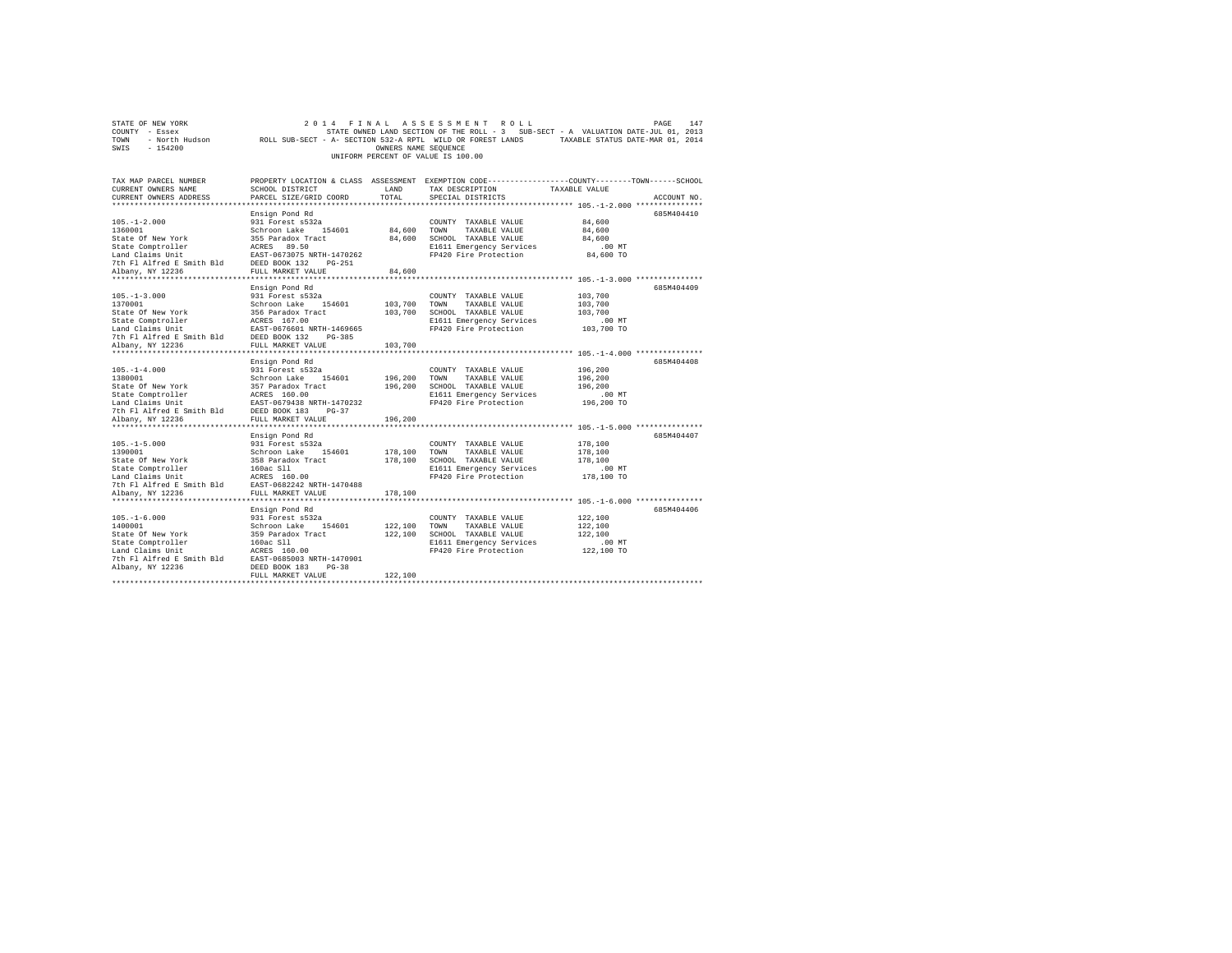| STATE OF NEW YORK      | 2014 FINAL ASSESSMENT ROLL                                                                        | PAGE | 147 |
|------------------------|---------------------------------------------------------------------------------------------------|------|-----|
| COUNTY - Essex         | STATE OWNED LAND SECTION OF THE ROLL - 3 SUB-SECT - A VALUATION DATE-JUL 01, 2013                 |      |     |
| - North Hudson<br>TOWN | TAXABLE STATUS DATE-MAR 01, 2014<br>ROLL SUB-SECT - A- SECTION 532-A RPTL WILD OR FOREST LANDS    |      |     |
| SWIS<br>$-154200$      | OWNERS NAME SEOUENCE                                                                              |      |     |
|                        | UNIFORM PERCENT OF VALUE IS 100.00                                                                |      |     |
|                        |                                                                                                   |      |     |
|                        |                                                                                                   |      |     |
| TAY MAD DARCEL NHMRER  | DROBRRTY LOCATION & CLASS ASSESSMENT RYEMPTION CODR----------------COUNTY--------TOWN------SCHOOL |      |     |

| TAX MAP PARCEL NUMBER                                                                          |                                                         |              | PROPERTY LOCATION & CLASS ASSESSMENT EXEMPTION CODE---------------COUNTY-------TOWN-----SCHOOL |               |             |
|------------------------------------------------------------------------------------------------|---------------------------------------------------------|--------------|------------------------------------------------------------------------------------------------|---------------|-------------|
| CURRENT OWNERS NAME                                                                            | SCHOOL DISTRICT                                         | LAND         | TAX DESCRIPTION                                                                                | TAXABLE VALUE |             |
| CURRENT OWNERS ADDRESS                                                                         | PARCEL SIZE/GRID COORD                                  | TOTAL        | SPECIAL DISTRICTS                                                                              |               | ACCOUNT NO. |
|                                                                                                |                                                         |              |                                                                                                |               |             |
|                                                                                                | Ensign Pond Rd                                          |              |                                                                                                |               | 685M404410  |
| $105. - 1 - 2.000$                                                                             | 931 Forest s532a                                        |              | COUNTY TAXABLE VALUE                                                                           | 84,600        |             |
| 1360001                                                                                        | Schroon Lake 154601                                     | 84,600 TOWN  | TAXABLE VALUE                                                                                  | 84,600        |             |
| State Of New York                                                                              | 355 Paradox Tract                                       |              | 84,600 SCHOOL TAXABLE VALUE                                                                    | 84,600        |             |
| State Comptroller                                                                              | ACRES 89.50                                             |              | E1611 Emergency Services                                                                       | $.00$ MT      |             |
| Land Claims Unit                                                                               | EAST-0673075 NRTH-1470262                               |              | FP420 Fire Protection                                                                          | 84,600 TO     |             |
| 7th Fl Alfred E Smith Bld DEED BOOK 132                                                        | PG-251                                                  |              |                                                                                                |               |             |
| Albany, NY 12236                                                                               | FULL MARKET VALUE                                       | 84,600       |                                                                                                |               |             |
|                                                                                                |                                                         |              |                                                                                                |               |             |
|                                                                                                | Ensign Pond Rd                                          |              |                                                                                                |               | 685M404409  |
| $105. - 1 - 3.000$                                                                             | 931 Forest s532a                                        |              | COUNTY TAXABLE VALUE                                                                           | 103,700       |             |
| 1370001                                                                                        | Schroon Lake 154601                                     | 103,700 TOWN |                                                                                                |               |             |
|                                                                                                |                                                         |              | TAXABLE VALUE                                                                                  | 103,700       |             |
| State Of New York                                                                              | 356 Paradox Tract                                       | 103,700      | SCHOOL TAXABLE VALUE                                                                           | 103,700       |             |
| State Comptroller                                                                              | ACRES 167.00<br>EAST-0676601 NRTH-1469665               |              | E1611 Emergency Services                                                                       | .00 MT        |             |
| Land Claims Unit                                                                               |                                                         |              | FP420 Fire Protection                                                                          | $103,700$ TO  |             |
| 7th F1 Alfred E Smith Bld                                                                      | DEED BOOK 132<br>$PG-385$                               |              |                                                                                                |               |             |
| Albany, NY 12236                                                                               | FULL MARKET VALUE                                       | 103,700      |                                                                                                |               |             |
|                                                                                                |                                                         |              |                                                                                                |               |             |
|                                                                                                | Ensign Pond Rd                                          |              |                                                                                                |               | 685M404408  |
| $105. - 1 - 4.000$                                                                             | 931 Forest s532a                                        |              | COUNTY TAXABLE VALUE                                                                           | 196,200       |             |
| 1380001                                                                                        | Schroon Lake 154601                                     | 196,200 TOWN | TAXABLE VALUE                                                                                  | 196,200       |             |
| State Of New York                                                                              | 357 Paradox Tract<br>ACRES 160.00<br>EAST-0679438 NRTH- | 196,200      | SCHOOL TAXABLE VALUE                                                                           | 196,200       |             |
| State Comptroller                                                                              |                                                         |              | E1611 Emergency Services                                                                       | $.00$ MT      |             |
| Land Claims Unit                                                                               | EAST-0679438 NRTH-1470232                               |              | FP420 Fire Protection                                                                          | 196,200 TO    |             |
| 7th F1 Alfred E Smith Bld DEED BOOK 183                                                        | $PG-37$                                                 |              |                                                                                                |               |             |
| Albany, NY 12236                                                                               | FULL MARKET VALUE                                       | 196,200      |                                                                                                |               |             |
|                                                                                                |                                                         |              |                                                                                                |               |             |
|                                                                                                | Ensign Pond Rd                                          |              |                                                                                                |               | 685M404407  |
| $105. -1 - 5.000$                                                                              | 931 Forest s532a                                        |              | COUNTY TAXABLE VALUE                                                                           | 178,100       |             |
| 1390001                                                                                        |                                                         |              | 178,100 TOWN TAXABLE VALUE                                                                     | 178,100       |             |
| State Of New York                                                                              | Schroon Lake 154601<br>358 Paradox Tract                |              | 178,100 SCHOOL TAXABLE VALUE                                                                   | 178,100       |             |
|                                                                                                |                                                         |              | E1611 Emergency Services                                                                       | .00 MT        |             |
| State Comptroller<br>Land Claims Unit                                                          | 160ac S11<br>ACRES 160.00                               |              | FP420 Fire Protection                                                                          | 178,100 TO    |             |
| 7th Fl Alfred E Smith Bld EAST-0682242 NRTH-1470488                                            |                                                         |              |                                                                                                |               |             |
| Albany, NY 12236                                                                               | FULL MARKET VALUE                                       | 178,100      |                                                                                                |               |             |
|                                                                                                |                                                         |              |                                                                                                |               |             |
|                                                                                                |                                                         |              |                                                                                                |               |             |
|                                                                                                | Ensign Pond Rd                                          |              |                                                                                                |               | 685M404406  |
| $105. -1 - 6.000$                                                                              | 931 Forest s532a                                        |              | COUNTY TAXABLE VALUE                                                                           | 122,100       |             |
| 1400001                                                                                        | Schroon Lake 154601                                     | 122.100 TOWN | TAXABLE VALUE                                                                                  | 122,100       |             |
| State Of New York                                                                              | 359 Paradox Tract                                       | 122,100      | SCHOOL TAXABLE VALUE                                                                           | 122,100       |             |
| State Comptroller                                                                              | 160ac Sll                                               |              | E1611 Emergency Services                                                                       | $.00$ MT      |             |
| Land Claims Unit<br>Tand Claims Unit<br>The F1 Alfred E Smith Bld<br>EAST-0685003 NRTH-1470901 |                                                         |              | FP420 Fire Protection                                                                          | 122,100 TO    |             |
|                                                                                                |                                                         |              |                                                                                                |               |             |
| Albany, NY 12236                                                                               | DEED BOOK 183<br>$PG-38$                                |              |                                                                                                |               |             |
|                                                                                                | FULL MARKET VALUE                                       | 122,100      |                                                                                                |               |             |
|                                                                                                |                                                         |              |                                                                                                |               |             |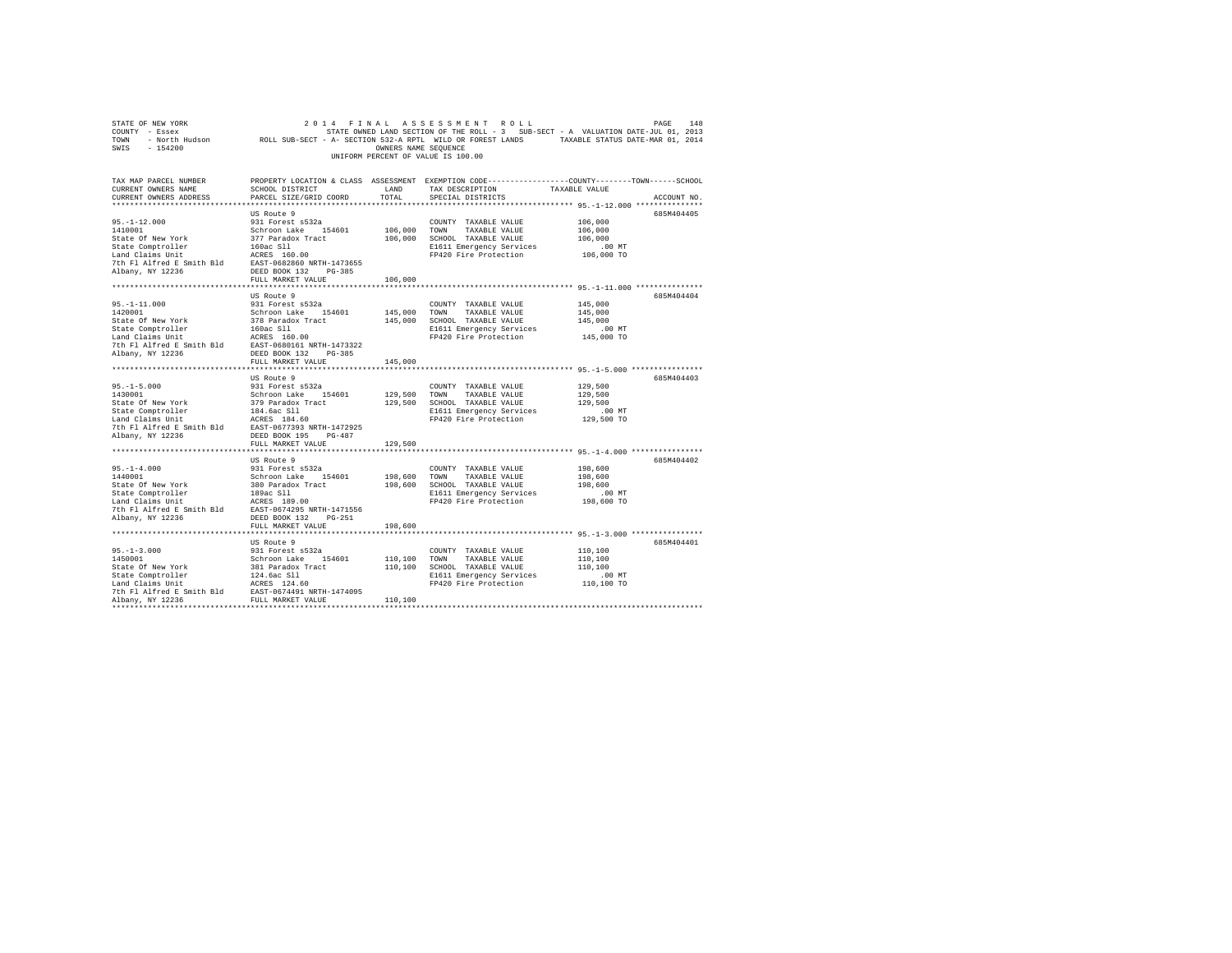|                                                                                                                                                                                                                                                 |                                           |         | COUNTY - Essex - STATE ON STATE ON STATE ON THE ROLL - 3 SUB-SECT - A VALUATION DATE-JUL 01, 2013<br>TONN - North Hudson - ROLL SUB-SECT - A- SECTION 532-A RPTL WILD OR FOREST LANDS - TAXABLE STATUS DATE-MAR 01, 2014<br>SWIS - 1 |                      |  |
|-------------------------------------------------------------------------------------------------------------------------------------------------------------------------------------------------------------------------------------------------|-------------------------------------------|---------|--------------------------------------------------------------------------------------------------------------------------------------------------------------------------------------------------------------------------------------|----------------------|--|
|                                                                                                                                                                                                                                                 |                                           |         | UNIFORM PERCENT OF VALUE IS 100.00                                                                                                                                                                                                   |                      |  |
| TAX MAP PARCEL NUMBER<br>CURRENT OWNERS NAME                                                                                                                                                                                                    | SCHOOL DISTRICT<br>PARCEL SIZE/GRID COORD | LAND    | PROPERTY LOCATION & CLASS ASSESSMENT EXEMPTION CODE---------------COUNTY-------TOWN------SCHOOL<br>TAX DESCRIPTION TAXABLE VALUE                                                                                                     |                      |  |
| CURRENT OWNERS ADDRESS                                                                                                                                                                                                                          |                                           | TOTAL   | SPECIAL DISTRICTS                                                                                                                                                                                                                    | ACCOUNT NO.          |  |
|                                                                                                                                                                                                                                                 |                                           |         |                                                                                                                                                                                                                                      |                      |  |
|                                                                                                                                                                                                                                                 |                                           |         |                                                                                                                                                                                                                                      | 685M404405           |  |
|                                                                                                                                                                                                                                                 |                                           |         | COUNTY TAXABLE VALUE<br>106,000 TOWN TAXABLE VALUE<br>COUNTY TAXABLE VALUE                                                                                                                                                           | 106,000              |  |
|                                                                                                                                                                                                                                                 |                                           |         | 106,000 SCHOOL TAXABLE VALUE                                                                                                                                                                                                         | 106,000<br>106,000   |  |
|                                                                                                                                                                                                                                                 |                                           |         |                                                                                                                                                                                                                                      | .00 MT               |  |
|                                                                                                                                                                                                                                                 |                                           |         | E1611 Emergency Services<br>FP420 Fire Protection                                                                                                                                                                                    | 106,000 TO           |  |
|                                                                                                                                                                                                                                                 |                                           |         |                                                                                                                                                                                                                                      |                      |  |
|                                                                                                                                                                                                                                                 |                                           |         |                                                                                                                                                                                                                                      |                      |  |
|                                                                                                                                                                                                                                                 |                                           | 106,000 |                                                                                                                                                                                                                                      |                      |  |
|                                                                                                                                                                                                                                                 |                                           |         |                                                                                                                                                                                                                                      |                      |  |
|                                                                                                                                                                                                                                                 | US Route 9                                |         |                                                                                                                                                                                                                                      | 685M404404           |  |
|                                                                                                                                                                                                                                                 |                                           |         | COUNTY TAXABLE VALUE                                                                                                                                                                                                                 | 145,000              |  |
|                                                                                                                                                                                                                                                 |                                           |         | 145,000 TOWN TAXABLE VALUE                                                                                                                                                                                                           | 145,000              |  |
|                                                                                                                                                                                                                                                 |                                           |         | 145,000 SCHOOL TAXABLE VALUE                                                                                                                                                                                                         | 145,000              |  |
|                                                                                                                                                                                                                                                 |                                           |         | E1611 Emergency Services .00 MT<br>FP420 Fire Protection .00 TO 145,000 TO                                                                                                                                                           |                      |  |
|                                                                                                                                                                                                                                                 |                                           |         |                                                                                                                                                                                                                                      |                      |  |
|                                                                                                                                                                                                                                                 |                                           |         |                                                                                                                                                                                                                                      |                      |  |
|                                                                                                                                                                                                                                                 |                                           |         |                                                                                                                                                                                                                                      |                      |  |
|                                                                                                                                                                                                                                                 | FULL MARKET VALUE                         | 145,000 |                                                                                                                                                                                                                                      |                      |  |
|                                                                                                                                                                                                                                                 | US Route 9                                |         |                                                                                                                                                                                                                                      | 685M404403           |  |
|                                                                                                                                                                                                                                                 |                                           |         | COUNTY TAXABLE VALUE                                                                                                                                                                                                                 | 129,500              |  |
|                                                                                                                                                                                                                                                 |                                           |         | 129,500 TOWN TAXABLE VALUE                                                                                                                                                                                                           | 129,500              |  |
|                                                                                                                                                                                                                                                 |                                           |         | 129,500 SCHOOL TAXABLE VALUE                                                                                                                                                                                                         | 129,500              |  |
| 95.-1-5.000<br>1430001 031 Forest s532a<br>1430001 031 Forest s532a<br>5tate Of New York 379 Paradox Tract<br>154601 1979 Paradox Tract<br>Land Claims Unit<br>144.6ac S11<br>171 Alfred E Smith Bld<br>27th F1 Alfred E Smith Bld<br>2827-0677 |                                           |         | E1611 Emergency Services                                                                                                                                                                                                             | .00 MT               |  |
|                                                                                                                                                                                                                                                 |                                           |         | FP420 Fire Protection                                                                                                                                                                                                                | 129,500 TO           |  |
|                                                                                                                                                                                                                                                 |                                           |         |                                                                                                                                                                                                                                      |                      |  |
| Albany, NY 12236                                                                                                                                                                                                                                | DEED BOOK 195 PG-487                      |         |                                                                                                                                                                                                                                      |                      |  |
|                                                                                                                                                                                                                                                 | FULL MARKET VALUE                         | 129,500 |                                                                                                                                                                                                                                      |                      |  |
|                                                                                                                                                                                                                                                 |                                           |         |                                                                                                                                                                                                                                      |                      |  |
|                                                                                                                                                                                                                                                 |                                           |         |                                                                                                                                                                                                                                      | 685M404402           |  |
|                                                                                                                                                                                                                                                 |                                           |         |                                                                                                                                                                                                                                      | 198,600              |  |
|                                                                                                                                                                                                                                                 |                                           |         |                                                                                                                                                                                                                                      | 198,600              |  |
|                                                                                                                                                                                                                                                 |                                           |         |                                                                                                                                                                                                                                      | 198,600              |  |
|                                                                                                                                                                                                                                                 |                                           |         |                                                                                                                                                                                                                                      | .00 MT               |  |
|                                                                                                                                                                                                                                                 |                                           |         |                                                                                                                                                                                                                                      | 198,600 TO           |  |
|                                                                                                                                                                                                                                                 |                                           |         |                                                                                                                                                                                                                                      |                      |  |
|                                                                                                                                                                                                                                                 | FULL MARKET VALUE                         | 198,600 |                                                                                                                                                                                                                                      |                      |  |
|                                                                                                                                                                                                                                                 |                                           |         |                                                                                                                                                                                                                                      |                      |  |
|                                                                                                                                                                                                                                                 | US Route 9                                |         |                                                                                                                                                                                                                                      | 685M404401           |  |
|                                                                                                                                                                                                                                                 |                                           |         |                                                                                                                                                                                                                                      | 110,100              |  |
|                                                                                                                                                                                                                                                 |                                           |         |                                                                                                                                                                                                                                      | 110,100              |  |
|                                                                                                                                                                                                                                                 |                                           |         |                                                                                                                                                                                                                                      | 110,100              |  |
|                                                                                                                                                                                                                                                 |                                           |         |                                                                                                                                                                                                                                      | 00 MT.<br>110,100 TO |  |
|                                                                                                                                                                                                                                                 |                                           |         | FP420 Fire Protection                                                                                                                                                                                                                |                      |  |
|                                                                                                                                                                                                                                                 |                                           |         |                                                                                                                                                                                                                                      |                      |  |
|                                                                                                                                                                                                                                                 |                                           |         |                                                                                                                                                                                                                                      |                      |  |
|                                                                                                                                                                                                                                                 |                                           |         |                                                                                                                                                                                                                                      |                      |  |

STATE OF NEW YORK 2 0 1 4 F I N A L A S S E S S M E N T R O L L PAGE 148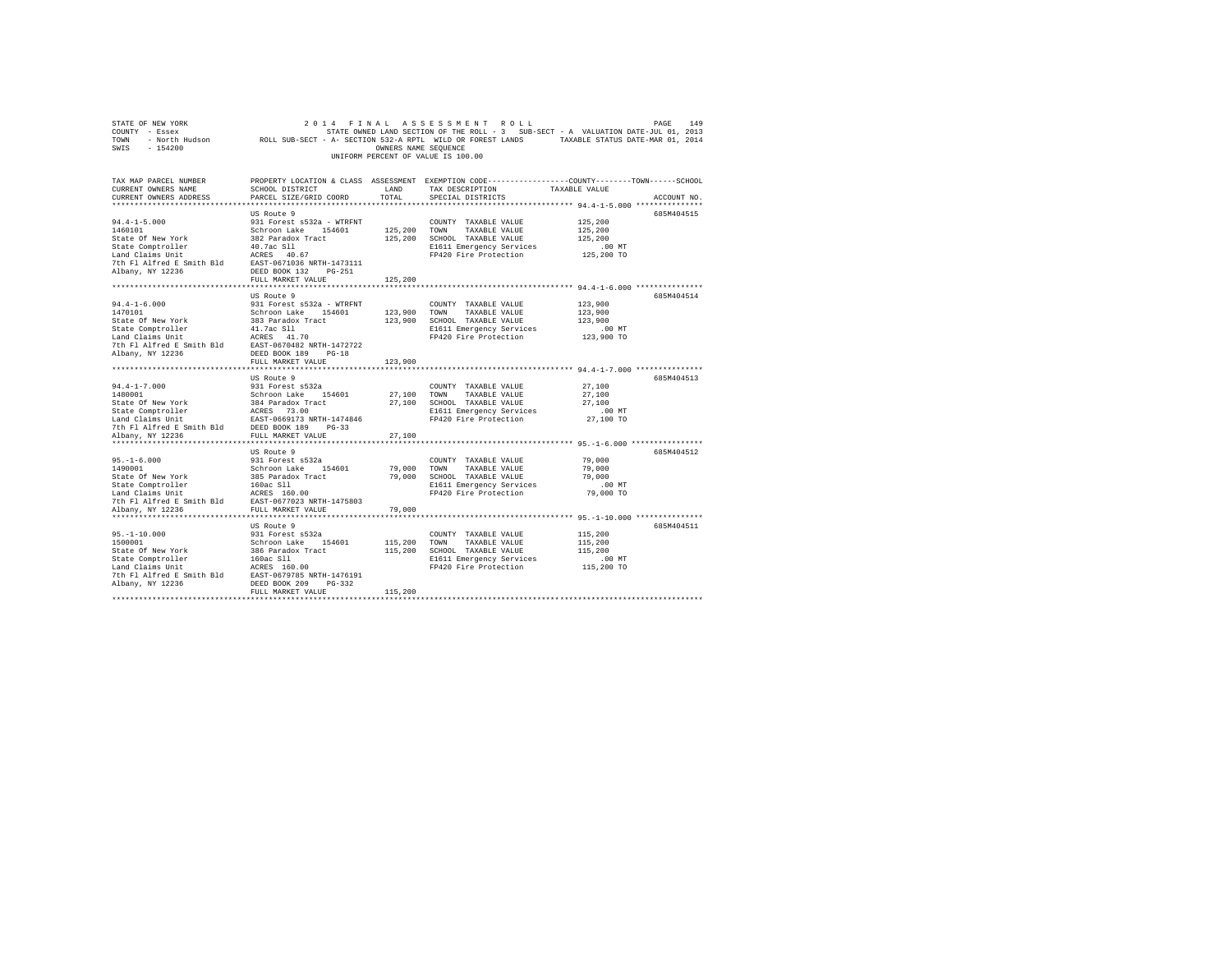| STATE OF NEW YORK                                                                                     |                                |                      | 2014 FINAL ASSESSMENT ROLL         | PAGE                                                                                                       | 149         |
|-------------------------------------------------------------------------------------------------------|--------------------------------|----------------------|------------------------------------|------------------------------------------------------------------------------------------------------------|-------------|
| COUNTY - Essex                                                                                        |                                |                      |                                    | STATE OWNED LAND SECTION OF THE ROLL - 3 SUB-SECT - A VALUATION DATE-JUL 01, 2013                          |             |
| TOWN                                                                                                  |                                |                      |                                    | - North Hudson Moll SUB-SECT - A- SECTION 532-A RPTL WILD OR FOREST LANDS TAXABLE STATUS DATE-MAR 01, 2014 |             |
| $-154200$<br>SWIS                                                                                     |                                | OWNERS NAME SEQUENCE |                                    |                                                                                                            |             |
|                                                                                                       |                                |                      | UNIFORM PERCENT OF VALUE IS 100.00 |                                                                                                            |             |
|                                                                                                       |                                |                      |                                    |                                                                                                            |             |
|                                                                                                       |                                |                      |                                    |                                                                                                            |             |
| TAX MAP PARCEL NUMBER                                                                                 |                                |                      |                                    | PROPERTY LOCATION & CLASS ASSESSMENT EXEMPTION CODE---------------COUNTY-------TOWN-----SCHOOL             |             |
| CURRENT OWNERS NAME                                                                                   | SCHOOL DISTRICT                | LAND                 | TAX DESCRIPTION                    | TAXABLE VALUE                                                                                              |             |
| CURRENT OWNERS ADDRESS                                                                                | PARCEL SIZE/GRID COORD         | TOTAL                | SPECIAL DISTRICTS                  |                                                                                                            | ACCOUNT NO. |
|                                                                                                       |                                |                      |                                    |                                                                                                            |             |
|                                                                                                       | US Route 9                     |                      |                                    |                                                                                                            | 685M404515  |
| $94.4 - 1 - 5.000$                                                                                    | 931 Forest s532a - WTRFNT      |                      | COUNTY TAXABLE VALUE               | 125,200                                                                                                    |             |
| 1460101                                                                                               | Schroon Lake 154601            | 125,200 TOWN         | TAXABLE VALUE                      | 125,200                                                                                                    |             |
| State Of New York                                                                                     | 382 Paradox Tract              | 125,200              | SCHOOL TAXABLE VALUE               | 125,200                                                                                                    |             |
| State Comptroller                                                                                     | 40.7ac Sll                     |                      | E1611 Emergency Services           | $.00$ MT                                                                                                   |             |
|                                                                                                       |                                |                      | FP420 Fire Protection              | 125,200 TO                                                                                                 |             |
|                                                                                                       |                                |                      |                                    |                                                                                                            |             |
|                                                                                                       |                                |                      |                                    |                                                                                                            |             |
|                                                                                                       | FULL MARKET VALUE              | 125,200              |                                    |                                                                                                            |             |
|                                                                                                       |                                |                      |                                    |                                                                                                            |             |
|                                                                                                       | US Route 9                     |                      |                                    |                                                                                                            | 685M404514  |
| $94.4 - 1 - 6.000$                                                                                    | 931 Forest s532a - WTRFNT      |                      | COUNTY TAXABLE VALUE               | 123,900                                                                                                    |             |
| 1470101                                                                                               | Schroon Lake 154601            |                      | 123,900 TOWN TAXABLE VALUE         | 123,900                                                                                                    |             |
| State Of New York                                                                                     | 383 Paradox Tract              |                      | 123,900 SCHOOL TAXABLE VALUE       | 123,900                                                                                                    |             |
| State Comptroller                                                                                     | 41.7ac S11                     |                      | E1611 Emergency Services           | $.00$ MT                                                                                                   |             |
| Land Claims Unit                                                                                      | ACRES 41.70                    |                      | FP420 Fire Protection              | 123,900 TO                                                                                                 |             |
| 7th Fl Alfred E Smith Bld                                                                             | EAST-0670482 NRTH-1472722      |                      |                                    |                                                                                                            |             |
| Albany, NY 12236                                                                                      | DEED BOOK 189 PG-18            |                      |                                    |                                                                                                            |             |
|                                                                                                       | FULL MARKET VALUE              | 123,900              |                                    |                                                                                                            |             |
|                                                                                                       |                                |                      |                                    |                                                                                                            |             |
|                                                                                                       | US Route 9                     |                      |                                    |                                                                                                            | 685M404513  |
| $94.4 - 1 - 7.000$                                                                                    | 931 Forest s532a               |                      | COUNTY TAXABLE VALUE               | 27,100                                                                                                     |             |
| 1480001                                                                                               | Schroon Lake 154601            | 27,100               | TOWN<br>TAXABLE VALUE              | 27,100                                                                                                     |             |
| State Of New York                                                                                     | 384 Paradox Tract              |                      | 27,100 SCHOOL TAXABLE VALUE        | 27,100                                                                                                     |             |
|                                                                                                       |                                |                      | E1611 Emergency Services           | $.00$ MT                                                                                                   |             |
| State Comptroller<br>Land Claims Unit Example 14748<br>7th Fl Alfred E Smith Bld<br>FULL MARKET VALUE | EAST-0669173 NRTH-1474846      |                      | FP420 Fire Protection              | 27,100 TO                                                                                                  |             |
|                                                                                                       |                                |                      |                                    |                                                                                                            |             |
|                                                                                                       |                                | 27,100               |                                    |                                                                                                            |             |
|                                                                                                       |                                |                      |                                    |                                                                                                            |             |
|                                                                                                       | US Route 9                     |                      |                                    |                                                                                                            | 685M404512  |
| $95. - 1 - 6.000$                                                                                     | 931 Forest s532a               |                      | COUNTY TAXABLE VALUE               | 79,000                                                                                                     |             |
| 1490001                                                                                               | Schroon Lake 154601            | 79,000               | TOWN<br>TAXABLE VALUE              | 79,000                                                                                                     |             |
|                                                                                                       |                                |                      | 79,000 SCHOOL TAXABLE VALUE        | 79,000                                                                                                     |             |
| State Of New York<br>State Comptroller<br>Land Claims Unit                                            | 385 Paradox Tract<br>160ac Sll |                      | E1611 Emergency Services           | $.00$ MT                                                                                                   |             |
|                                                                                                       | ACRES 160.00                   |                      | FP420 Fire Protection              | 79,000 TO                                                                                                  |             |
| 7th Fl Alfred E Smith Bld EAST-0677023 NRTH-1475803                                                   |                                |                      |                                    |                                                                                                            |             |
| Albany, NY 12236                                                                                      | FULL MARKET VALUE              | 79,000               |                                    |                                                                                                            |             |
|                                                                                                       |                                |                      |                                    |                                                                                                            |             |
|                                                                                                       | US Route 9                     |                      |                                    |                                                                                                            | 685M404511  |
| $95. - 1 - 10.000$                                                                                    | 931 Forest s532a               |                      | COUNTY TAXABLE VALUE               | 115,200                                                                                                    |             |
| 1500001                                                                                               | Schroon Lake 154601            | 115,200              | TOWN<br>TAXABLE VALUE              | 115,200                                                                                                    |             |
| State Of New York                                                                                     | 386 Paradox Tract              | 115,200              | SCHOOL TAXABLE VALUE               | 115,200                                                                                                    |             |
|                                                                                                       | 160ac S11                      |                      | E1611 Emergency Services           |                                                                                                            |             |
| State Comptroller<br>Land Claims Unit                                                                 | ACRES 160.00                   |                      | FP420 Fire Protection              | $.00$ MT<br>115,200 TO                                                                                     |             |
| 7th Fl Alfred E Smith Bld                                                                             | EAST-0679785 NRTH-1476191      |                      |                                    |                                                                                                            |             |
| Albany, NY 12236                                                                                      | DEED BOOK 209<br>PG-332        |                      |                                    |                                                                                                            |             |
|                                                                                                       |                                | 115,200              |                                    |                                                                                                            |             |
|                                                                                                       | FULL MARKET VALUE              |                      |                                    |                                                                                                            |             |
|                                                                                                       |                                |                      |                                    |                                                                                                            |             |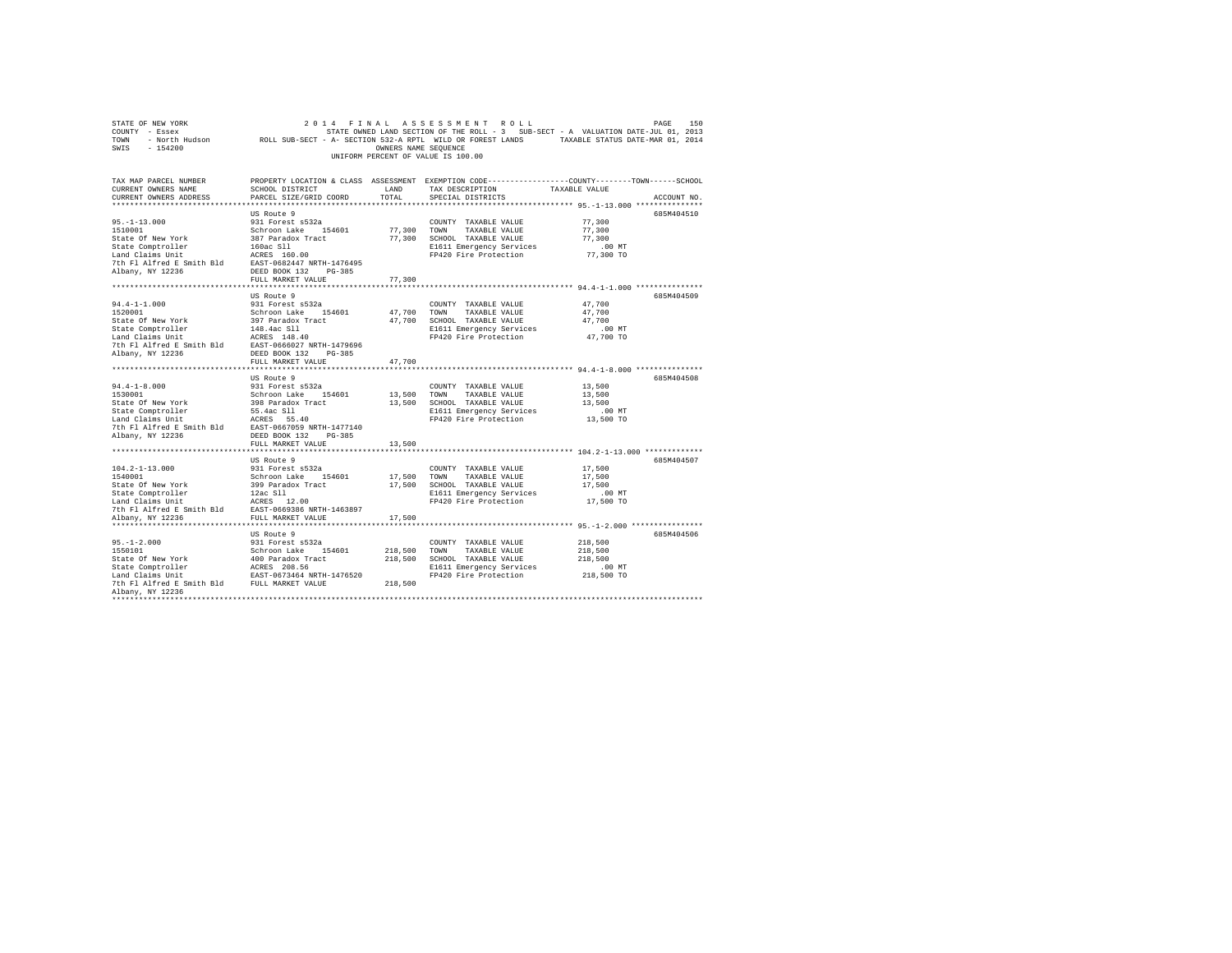| SWIS - 154200                                                                                                                                                                                                                                    |                                           | OWNERS NAME SEOUENCE | UNIFORM PERCENT OF VALUE IS 100.00                 |                                                                                                                 |  |
|--------------------------------------------------------------------------------------------------------------------------------------------------------------------------------------------------------------------------------------------------|-------------------------------------------|----------------------|----------------------------------------------------|-----------------------------------------------------------------------------------------------------------------|--|
| TAX MAP PARCEL NUMBER<br>CURRENT OWNERS NAME<br>CURRENT OWNERS ADDRESS                                                                                                                                                                           | SCHOOL DISTRICT<br>PARCEL SIZE/GRID COORD | LAND<br>TOTAL        | TAX DESCRIPTION TAXABLE VALUE<br>SPECIAL DISTRICTS | PROPERTY LOCATION & CLASS ASSESSMENT EXEMPTION CODE----------------COUNTY-------TOWN------SCHOOL<br>ACCOUNT NO. |  |
|                                                                                                                                                                                                                                                  |                                           |                      |                                                    |                                                                                                                 |  |
| 95.-1-13.000<br>1510001                                                                                                                                                                                                                          | US Route 9<br>931 Forest s532a            |                      | COUNTY TAXABLE VALUE<br>77,300 TOWN TAXABLE VALUE  | 685M404510<br>77,300<br>77,300                                                                                  |  |
| 1510001<br>Schroon Lake 154601<br>State Of New York 387 Paradox Tract<br>State Comptroller 160ac S11<br>Land Claims Unit 160ac S11<br>ACRES 160.00                                                                                               |                                           |                      | 77,300 SCHOOL TAXABLE VALUE                        | 77,300                                                                                                          |  |
|                                                                                                                                                                                                                                                  |                                           |                      | E1611 Emergency Services                           | $.00$ MT                                                                                                        |  |
|                                                                                                                                                                                                                                                  |                                           |                      | FP420 Fire Protection                              | 77,300 TO                                                                                                       |  |
| 7th Fl Alfred E Smith Bld EAST-0682447 NRTH-1476495<br>Albany, NY 12236                                                                                                                                                                          | DEED BOOK 132 PG-385                      |                      |                                                    |                                                                                                                 |  |
|                                                                                                                                                                                                                                                  | FULL MARKET VALUE                         | 77,300               |                                                    |                                                                                                                 |  |
|                                                                                                                                                                                                                                                  |                                           |                      |                                                    |                                                                                                                 |  |
|                                                                                                                                                                                                                                                  | US Route 9<br>931 Forest s532a            |                      | COUNTY TAXABLE VALUE                               | 685M404509<br>47,700                                                                                            |  |
| $94.4 - 1 - 1.000$<br>1520001                                                                                                                                                                                                                    |                                           |                      | 47,700 TOWN TAXABLE VALUE                          | 47.700                                                                                                          |  |
|                                                                                                                                                                                                                                                  |                                           |                      | 47,700 SCHOOL TAXABLE VALUE                        | 47.700                                                                                                          |  |
|                                                                                                                                                                                                                                                  |                                           |                      | E1611 Emergency Services                           | $.00$ MT                                                                                                        |  |
|                                                                                                                                                                                                                                                  |                                           |                      | FP420 Fire Protection                              | 47,700 TO                                                                                                       |  |
|                                                                                                                                                                                                                                                  |                                           |                      |                                                    |                                                                                                                 |  |
| Albany, NY 12236                                                                                                                                                                                                                                 | DEED BOOK 132 PG-385                      |                      |                                                    |                                                                                                                 |  |
|                                                                                                                                                                                                                                                  | FULL MARKET VALUE                         | 47,700               |                                                    |                                                                                                                 |  |
|                                                                                                                                                                                                                                                  |                                           |                      |                                                    |                                                                                                                 |  |
|                                                                                                                                                                                                                                                  | US Route 9                                |                      |                                                    | 685M404508                                                                                                      |  |
| $94.4 - 1 - 8.000$                                                                                                                                                                                                                               | 931 Forest s532a                          |                      | COUNTY TAXABLE VALUE                               | 13,500                                                                                                          |  |
| 1530001                                                                                                                                                                                                                                          | Schroon Lake 154601                       |                      | 13,500 TOWN TAXABLE VALUE                          | 13,500                                                                                                          |  |
|                                                                                                                                                                                                                                                  |                                           |                      | 13,500 SCHOOL TAXABLE VALUE                        | 13,500                                                                                                          |  |
|                                                                                                                                                                                                                                                  |                                           |                      | E1611 Emergency Services                           | $.00$ MT<br>13,500 TO                                                                                           |  |
|                                                                                                                                                                                                                                                  |                                           |                      | FP420 Fire Protection                              |                                                                                                                 |  |
|                                                                                                                                                                                                                                                  |                                           |                      |                                                    |                                                                                                                 |  |
|                                                                                                                                                                                                                                                  | FULL MARKET VALUE                         | 13,500               |                                                    |                                                                                                                 |  |
|                                                                                                                                                                                                                                                  |                                           |                      |                                                    |                                                                                                                 |  |
|                                                                                                                                                                                                                                                  | US Route 9                                |                      |                                                    | 685M404507                                                                                                      |  |
| $104.2 - 1 - 13.000$                                                                                                                                                                                                                             | 931 Forest s532a                          |                      | COUNTY TAXABLE VALUE                               | 17,500                                                                                                          |  |
| 1540001<br>Schroon Lake 154601<br>State Of New York 399 Paradox Tract<br>State Comptroller 12ac S11<br>Lam Claims Unit 12ac S11<br>12ac S11<br>7th F1 AIfred E Smith B1d<br>EAST-0669386 NRTH-1463897<br>7th F1 AIfred E Smith B1d<br>EAST-06693 |                                           |                      | 17,500 TOWN TAXABLE VALUE                          | 17,500                                                                                                          |  |
|                                                                                                                                                                                                                                                  |                                           |                      | 17,500 SCHOOL TAXABLE VALUE                        | 17,500                                                                                                          |  |
|                                                                                                                                                                                                                                                  |                                           |                      | E1611 Emergency Services<br>FP420 Fire Protection  | $.00$ MT                                                                                                        |  |
|                                                                                                                                                                                                                                                  |                                           |                      |                                                    | 17,500 TO                                                                                                       |  |
|                                                                                                                                                                                                                                                  |                                           |                      |                                                    |                                                                                                                 |  |
| Albany, NY 12236                                                                                                                                                                                                                                 | FULL MARKET VALUE                         | 17,500               |                                                    |                                                                                                                 |  |
|                                                                                                                                                                                                                                                  |                                           |                      |                                                    |                                                                                                                 |  |
|                                                                                                                                                                                                                                                  | US Route 9<br>931 Forest s532a            |                      | COUNTY TAXABLE VALUE                               | 685M404506<br>218,500                                                                                           |  |
| $95. -1 - 2.000$<br>1550101<br>1550101                                                                                                                                                                                                           | Schroon Lake 154601                       |                      | 218,500 TOWN TAXABLE VALUE                         | 218,500                                                                                                         |  |
|                                                                                                                                                                                                                                                  |                                           |                      | 218,500 SCHOOL TAXABLE VALUE                       | 218,500                                                                                                         |  |
|                                                                                                                                                                                                                                                  |                                           |                      | E1611 Emergency Services                           | .00 MT                                                                                                          |  |
| State Of New York 400 Paradox Tract<br>State Comptroller ACRES 208.56<br>Land Claims Unit EAST-0673464 NRTH-1476520                                                                                                                              |                                           |                      | FP420 Fire Protection                              | 218,500 TO                                                                                                      |  |
| 7th Fl Alfred E Smith Bld FULL MARKET VALUE                                                                                                                                                                                                      |                                           | 218,500              |                                                    |                                                                                                                 |  |
| Albany, NY 12236                                                                                                                                                                                                                                 |                                           |                      |                                                    |                                                                                                                 |  |
|                                                                                                                                                                                                                                                  |                                           |                      |                                                    |                                                                                                                 |  |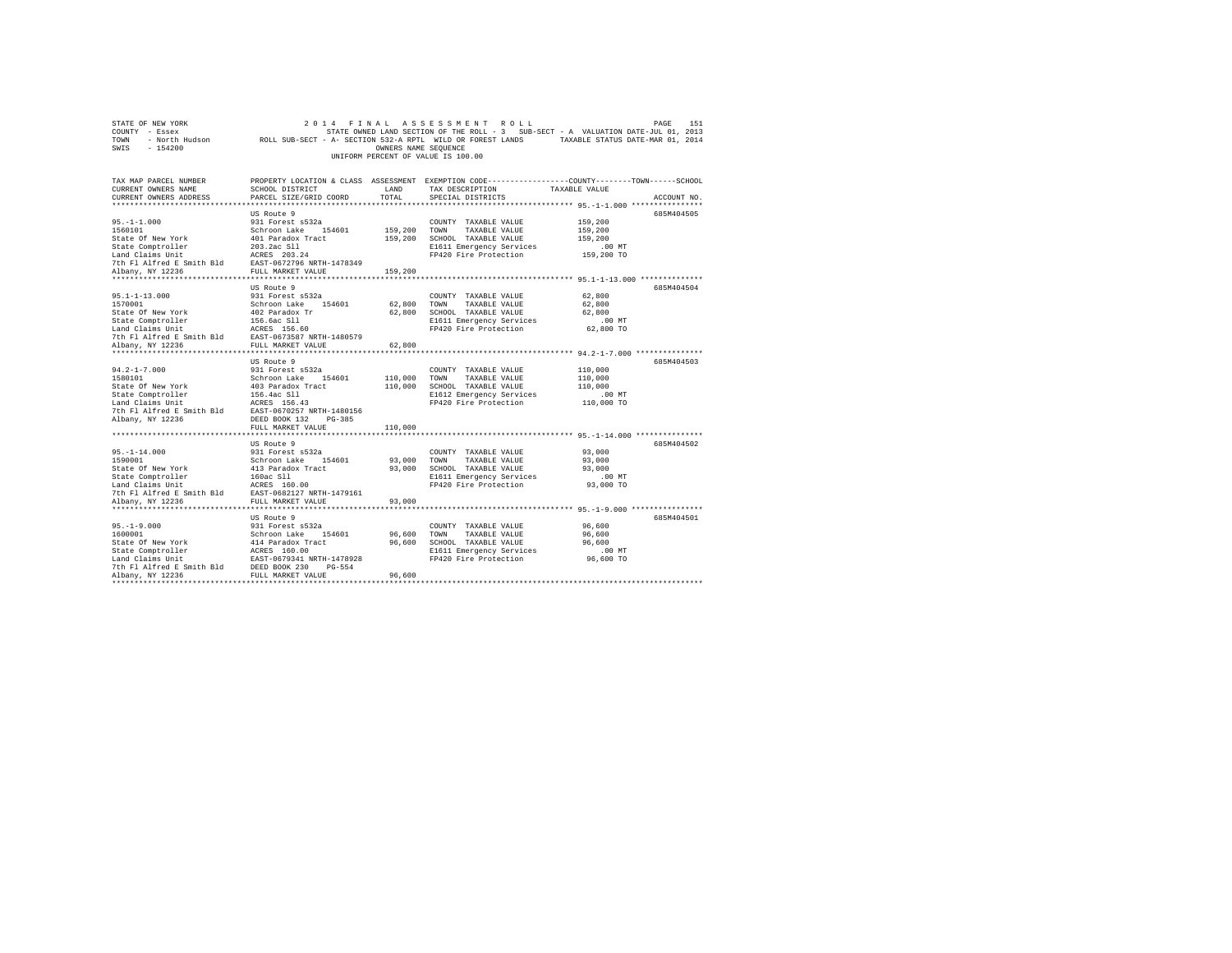| STATE OF NEW YORK<br>COUNTY - Essex        | 2 0 1 4<br>FINAL                                           |                      | ASSESSMENT ROLL                                                                                |                                                            | 151<br>PAGE |
|--------------------------------------------|------------------------------------------------------------|----------------------|------------------------------------------------------------------------------------------------|------------------------------------------------------------|-------------|
| TOWN                                       | ROLL SUB-SECT - A- SECTION 532-A RPTL WILD OR FOREST LANDS |                      | STATE OWNED LAND SECTION OF THE ROLL - 3 SUB-SECT - A VALUATION DATE-JUL 01, 2013              | TAXABLE STATUS DATE-MAR 01, 2014                           |             |
| - North Hudson<br>SWIS<br>$-154200$        |                                                            | OWNERS NAME SEQUENCE |                                                                                                |                                                            |             |
|                                            |                                                            |                      | UNIFORM PERCENT OF VALUE IS 100.00                                                             |                                                            |             |
|                                            |                                                            |                      |                                                                                                |                                                            |             |
|                                            |                                                            |                      |                                                                                                |                                                            |             |
| TAX MAP PARCEL NUMBER                      |                                                            |                      | PROPERTY LOCATION & CLASS ASSESSMENT EXEMPTION CODE---------------COUNTY-------TOWN-----SCHOOL |                                                            |             |
| CURRENT OWNERS NAME                        | SCHOOL DISTRICT                                            | LAND                 | TAX DESCRIPTION                                                                                | TAXABLE VALUE                                              |             |
| CURRENT OWNERS ADDRESS                     | PARCEL SIZE/GRID COORD                                     | TOTAL                | SPECIAL DISTRICTS                                                                              |                                                            | ACCOUNT NO. |
|                                            |                                                            |                      |                                                                                                |                                                            |             |
|                                            | US Route 9                                                 |                      |                                                                                                |                                                            | 685M404505  |
| $95. -1 - 1.000$                           | 931 Forest s532a                                           |                      | COUNTY TAXABLE VALUE                                                                           | 159,200                                                    |             |
| 1560101                                    | Schroon Lake 154601                                        | 159,200              | TOWN<br>TAXABLE VALUE                                                                          | 159,200                                                    |             |
| State Of New York                          | 401 Paradox Tract                                          | 159,200              | SCHOOL TAXABLE VALUE                                                                           | 159,200                                                    |             |
| State Comptroller                          | 203.2ac S11                                                |                      | E1611 Emergency Services                                                                       | $.00$ MT                                                   |             |
| Land Claims Unit                           | ACRES 203.24                                               |                      | FP420 Fire Protection                                                                          | 159,200 TO                                                 |             |
| 7th Fl Alfred E Smith Bld                  | EAST-0672796 NRTH-1478349<br>FULL MARKET VALUE             |                      |                                                                                                |                                                            |             |
| Albany, NY 12236<br>********************** | *********************                                      | 159,200              |                                                                                                | ************************ 95.1-1-13.000 **************      |             |
|                                            | US Route 9                                                 |                      |                                                                                                |                                                            | 685M404504  |
| $95.1 - 1 - 13.000$                        | 931 Forest s532a                                           |                      | COUNTY TAXABLE VALUE                                                                           | 62,800                                                     |             |
| 1570001                                    | Schroon Lake 154601                                        | 62,800               | TOWN<br>TAXABLE VALUE                                                                          | 62,800                                                     |             |
| State Of New York                          | 402 Paradox Tr                                             | 62,800               | SCHOOL TAXABLE VALUE                                                                           | 62,800                                                     |             |
| State Comptroller                          | 156.6ac Sll                                                |                      | E1611 Emergency Services                                                                       | $.00$ MT                                                   |             |
| Land Claims Unit                           | ACRES 156.60                                               |                      | FP420 Fire Protection                                                                          | 62,800 TO                                                  |             |
| 7th Fl Alfred E Smith Bld                  | EAST-0673587 NRTH-1480579                                  |                      |                                                                                                |                                                            |             |
| Albany, NY 12236                           | FULL MARKET VALUE                                          | 62,800               |                                                                                                |                                                            |             |
| ***********************                    | ***********************                                    | **********           |                                                                                                | ***************************** 94.2-1-7.000 *************** |             |
|                                            | US Route 9                                                 |                      |                                                                                                |                                                            | 685M404503  |
| $94.2 - 1 - 7.000$                         | 931 Forest s532a                                           |                      | COUNTY TAXABLE VALUE                                                                           | 110,000                                                    |             |
| 1580101                                    | Schroon Lake<br>154601                                     | 110,000              | TOWN<br>TAXABLE VALUE                                                                          | 110,000                                                    |             |
| State Of New York                          | 403 Paradox Tract                                          | 110,000              | SCHOOL TAXABLE VALUE                                                                           | 110,000                                                    |             |
| State Comptroller                          | 156.4ac Sll                                                |                      | E1612 Emergency Services                                                                       | .00MT                                                      |             |
| Land Claims Unit                           | ACRES 156.43                                               |                      | FP420 Fire Protection                                                                          | 110,000 TO                                                 |             |
| 7th Fl Alfred E Smith Bld                  | EAST-0670257 NRTH-1480156                                  |                      |                                                                                                |                                                            |             |
| Albany, NY 12236                           | DEED BOOK 132<br>$PG-385$                                  |                      |                                                                                                |                                                            |             |
|                                            | FULL MARKET VALUE                                          | 110,000              |                                                                                                |                                                            |             |
|                                            |                                                            |                      |                                                                                                |                                                            |             |
|                                            | US Route 9                                                 |                      |                                                                                                |                                                            | 685M404502  |
| $95. -1 - 14.000$                          | 931 Forest s532a                                           |                      | COUNTY TAXABLE VALUE                                                                           | 93,000                                                     |             |
| 1590001                                    | 154601<br>Schroon Lake                                     | 93,000               | TOWN<br>TAXABLE VALUE                                                                          | 93,000                                                     |             |
| State Of New York                          | 413 Paradox Tract                                          | 93,000               | SCHOOL TAXABLE VALUE                                                                           | 93,000                                                     |             |
| State Comptroller                          | 160ac S11                                                  |                      | E1611 Emergency Services                                                                       | .00 MT                                                     |             |
| Land Claims Unit                           | ACRES 160.00                                               |                      | FP420 Fire Protection                                                                          | 93,000 TO                                                  |             |
| 7th Fl Alfred E Smith Bld                  | EAST-0682127 NRTH-1479161                                  |                      |                                                                                                |                                                            |             |
| Albany, NY 12236                           | FULL MARKET VALUE                                          | 93,000               | *********************************** 95.-1-9.000 ****************                               |                                                            |             |
|                                            |                                                            |                      |                                                                                                |                                                            | 685M404501  |
| $95. -1 - 9.000$                           | US Route 9                                                 |                      |                                                                                                | 96,600                                                     |             |
| 1600001                                    | 931 Forest s532a<br>Schroon Lake<br>154601                 | 96,600               | COUNTY TAXABLE VALUE<br>TOWN<br>TAXABLE VALUE                                                  | 96,600                                                     |             |
| State Of New York                          | 414 Paradox Tract                                          | 96,600               | SCHOOL TAXABLE VALUE                                                                           | 96,600                                                     |             |
| State Comptroller                          | ACRES 160.00                                               |                      | E1611 Emergency Services                                                                       | $.00$ MT                                                   |             |
| Land Claims Unit                           | EAST-0679341 NRTH-1478928                                  |                      | FP420 Fire Protection                                                                          | 96,600 TO                                                  |             |
| 7th Fl Alfred E Smith Bld                  | DEED BOOK 230<br>PG-554                                    |                      |                                                                                                |                                                            |             |
| Albany, NY 12236                           | FULL MARKET VALUE                                          | 96,600               |                                                                                                |                                                            |             |
|                                            |                                                            |                      |                                                                                                |                                                            |             |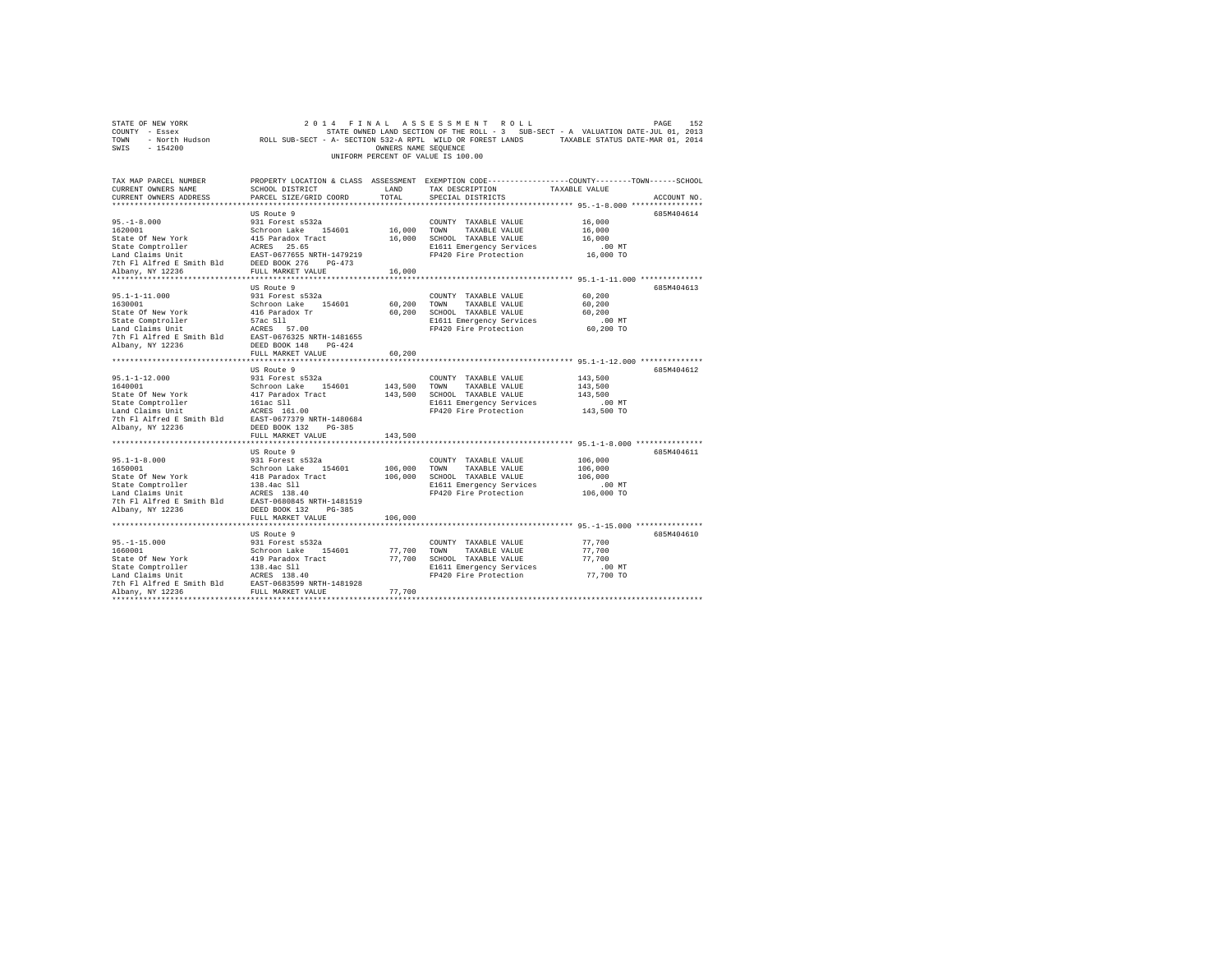| TOWN<br>- North Hudson<br>SWIS<br>$-154200$                                                                                                                                                                               | ROLL SUB-SECT - A- SECTION 532-A RPTL WILD OR FOREST LANDS | OWNERS NAME SEQUENCE |                                                   | TAXABLE STATUS DATE-MAR 01, 2014                                                                |
|---------------------------------------------------------------------------------------------------------------------------------------------------------------------------------------------------------------------------|------------------------------------------------------------|----------------------|---------------------------------------------------|-------------------------------------------------------------------------------------------------|
|                                                                                                                                                                                                                           |                                                            |                      | UNIFORM PERCENT OF VALUE IS 100.00                |                                                                                                 |
|                                                                                                                                                                                                                           |                                                            |                      |                                                   |                                                                                                 |
| TAX MAP PARCEL NUMBER                                                                                                                                                                                                     |                                                            |                      |                                                   | PROPERTY LOCATION & CLASS ASSESSMENT EXEMPTION CODE----------------COUNTY-------TOWN-----SCHOOL |
| CURRENT OWNERS NAME                                                                                                                                                                                                       | SCHOOL DISTRICT                                            | LAND                 | TAX DESCRIPTION                                   | TAXABLE VALUE                                                                                   |
| CURRENT OWNERS ADDRESS                                                                                                                                                                                                    | PARCEL SIZE/GRID COORD                                     | TOTAL                | SPECIAL DISTRICTS                                 | ACCOUNT NO.                                                                                     |
|                                                                                                                                                                                                                           |                                                            |                      |                                                   |                                                                                                 |
|                                                                                                                                                                                                                           | US Route 9                                                 |                      |                                                   | 685M404614                                                                                      |
| $95. - 1 - 8.000$                                                                                                                                                                                                         | 931 Forest s532a                                           |                      | COUNTY TAXABLE VALUE                              | 16,000                                                                                          |
| 1620001                                                                                                                                                                                                                   | Schroon Lake 154601                                        | 16,000 TOWN          | TAXABLE VALUE                                     | 16,000                                                                                          |
|                                                                                                                                                                                                                           |                                                            |                      | 16,000 SCHOOL TAXABLE VALUE                       | 16,000                                                                                          |
| State of New York $415$ Paradox Tract<br>State Comptroller and CRES 25.65<br>Land Claims Unit Base 25.65 NRTH-1479219<br>7th F1 Alfred E Smith Bld DEED BOOK 276 PG-473<br>7th F1 Alfred E Smith Bld DEED BOOK 276 PG-473 |                                                            |                      | E1611 Emergency Services                          | $.00$ MT                                                                                        |
|                                                                                                                                                                                                                           |                                                            |                      | FP420 Fire Protection                             | 16,000 TO                                                                                       |
| Albany, NY 12236                                                                                                                                                                                                          | FULL MARKET VALUE                                          | 16,000               |                                                   |                                                                                                 |
|                                                                                                                                                                                                                           |                                                            |                      |                                                   |                                                                                                 |
|                                                                                                                                                                                                                           | US Route 9                                                 |                      |                                                   | 685M404613                                                                                      |
| $95.1 - 1 - 11.000$                                                                                                                                                                                                       | 931 Forest s532a                                           |                      | COUNTY TAXABLE VALUE                              | 60,200                                                                                          |
| 1630001                                                                                                                                                                                                                   | Schroon Lake 154601                                        | 60,200               | TOWN<br>TAXABLE VALUE                             | 60,200                                                                                          |
| State Of New York                                                                                                                                                                                                         | 416 Paradox Tr                                             | 60,200               | SCHOOL TAXABLE VALUE                              | 60,200                                                                                          |
| State Comptroller                                                                                                                                                                                                         | 57ac S11                                                   |                      | E1611 Emergency Services                          | $.00$ MT                                                                                        |
| Land Claims Unit                                                                                                                                                                                                          | ACRES 57.00                                                |                      | FP420 Fire Protection                             | 60,200 TO                                                                                       |
| 7th Fl Alfred E Smith Bld EAST-0676325 NRTH-1481655                                                                                                                                                                       |                                                            |                      |                                                   |                                                                                                 |
| Albany, NY 12236                                                                                                                                                                                                          | DEED BOOK 148 PG-424                                       |                      |                                                   |                                                                                                 |
|                                                                                                                                                                                                                           | FULL MARKET VALUE                                          | 60,200               |                                                   |                                                                                                 |
|                                                                                                                                                                                                                           |                                                            |                      |                                                   |                                                                                                 |
| $95.1 - 1 - 12.000$                                                                                                                                                                                                       | US Route 9<br>931 Forest s532a                             |                      |                                                   | 685M404612<br>143,500                                                                           |
| 1640001                                                                                                                                                                                                                   | Schroon Lake 154601                                        | 143,500 TOWN         | COUNTY TAXABLE VALUE<br>TAXABLE VALUE             | 143,500                                                                                         |
|                                                                                                                                                                                                                           |                                                            |                      | 143,500 SCHOOL TAXABLE VALUE                      | 143,500                                                                                         |
|                                                                                                                                                                                                                           |                                                            |                      | E1611 Emergency Services                          | $.00$ MT                                                                                        |
|                                                                                                                                                                                                                           |                                                            |                      | FP420 Fire Protection                             | 143,500 TO                                                                                      |
| State of New York and State of New York and Changes and State Compton<br>State Compton International Mark 1610<br>Land Claims Unit 1614 RAST-0677379 NRTH-1480684<br>The F1 Alfred E Smith B1d RAST-0677379 NRTH-1480684  |                                                            |                      |                                                   |                                                                                                 |
| Albany, NY 12236                                                                                                                                                                                                          | DEED BOOK 132 PG-385                                       |                      |                                                   |                                                                                                 |
|                                                                                                                                                                                                                           | FULL MARKET VALUE                                          | 143,500              |                                                   |                                                                                                 |
|                                                                                                                                                                                                                           | .                                                          |                      |                                                   | ************** 95.1-1-8.000 *************                                                       |
|                                                                                                                                                                                                                           | US Route 9                                                 |                      |                                                   | 685M404611                                                                                      |
| $95.1 - 1 - 8.000$                                                                                                                                                                                                        | 931 Forest s532a                                           |                      | COUNTY TAXABLE VALUE                              | 106,000                                                                                         |
| 1650001                                                                                                                                                                                                                   | Schroon Lake 154601                                        | 106,000              | TAXABLE VALUE<br>TOWN                             | 106,000                                                                                         |
| State Of New York                                                                                                                                                                                                         | 418 Paradox Tract                                          | 106,000              | SCHOOL TAXABLE VALUE                              | 106,000                                                                                         |
| State Comptroller<br>Land Claims Unit                                                                                                                                                                                     | 138.4ac S11<br>ACRES 138.40                                |                      | E1611 Emergency Services<br>FP420 Fire Protection | $.00$ MT<br>106,000 TO                                                                          |
| 7th Fl Alfred E Smith Bld                                                                                                                                                                                                 | EAST-0680845 NRTH-1481519                                  |                      |                                                   |                                                                                                 |
| Albany, NY 12236                                                                                                                                                                                                          | DEED BOOK 132 PG-385                                       |                      |                                                   |                                                                                                 |
|                                                                                                                                                                                                                           | FULL MARKET VALUE                                          | 106,000              |                                                   |                                                                                                 |
|                                                                                                                                                                                                                           | ********************                                       |                      |                                                   | ************************************ 95.-1-15.000 ***************                               |
|                                                                                                                                                                                                                           | US Route 9                                                 |                      |                                                   | 685M404610                                                                                      |
| $95. -1 - 15.000$                                                                                                                                                                                                         | 931 Forest s532a                                           |                      | COUNTY TAXABLE VALUE                              | 77,700                                                                                          |
| 1660001                                                                                                                                                                                                                   | Schroon Lake 154601                                        | 77.700               | TOWN<br>TAXABLE VALUE                             | 77.700                                                                                          |
| State Of New York                                                                                                                                                                                                         | 419 Paradox Tract                                          |                      | 77,700 SCHOOL TAXABLE VALUE                       | 77.700                                                                                          |
|                                                                                                                                                                                                                           |                                                            |                      | E1611 Emergency Services                          | $.00$ MT                                                                                        |
|                                                                                                                                                                                                                           |                                                            |                      | FP420 Fire Protection                             | 77,700 TO                                                                                       |
|                                                                                                                                                                                                                           |                                                            | 77.700               |                                                   |                                                                                                 |
| State Comptroller<br>Land Claims Unit<br>The F1 Alfred E Smith B1d<br>The F1 Alfred E Smith B1d<br>FULL MARKET VALUE<br>FULL MARKET VALUE<br>FULL MARKET VALUE                                                            |                                                            |                      |                                                   |                                                                                                 |
|                                                                                                                                                                                                                           |                                                            |                      |                                                   |                                                                                                 |

STATE OF NEW YORK<br>COUNTY - Essex STATE ON A STATE OWNED LAND SECTION OF THE ROLL - 3 SUB-SECT - A VALUATION DATE-JUL 01, 2013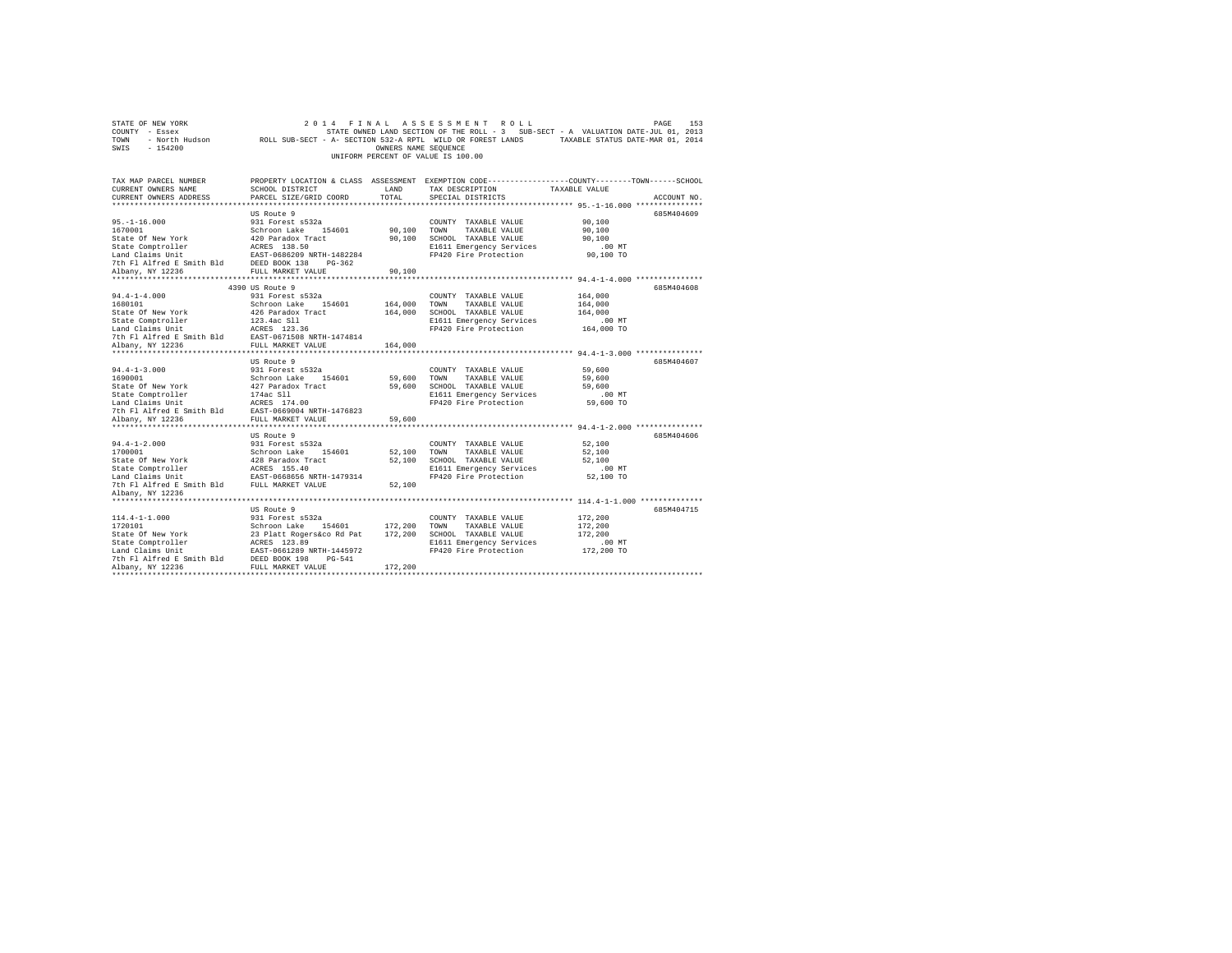| STATE OF NEW YORK                                                                                                                                                                                                                                                                                                                                                                                                                                          | 2 0 1 4                        |                      | FINAL ASSESSMENT ROLL                             | PAGE<br>153                                                                                                |  |
|------------------------------------------------------------------------------------------------------------------------------------------------------------------------------------------------------------------------------------------------------------------------------------------------------------------------------------------------------------------------------------------------------------------------------------------------------------|--------------------------------|----------------------|---------------------------------------------------|------------------------------------------------------------------------------------------------------------|--|
| COUNTY - Essex                                                                                                                                                                                                                                                                                                                                                                                                                                             |                                |                      |                                                   | STATE OWNED LAND SECTION OF THE ROLL - 3 SUB-SECT - A VALUATION DATE-JUL 01, 2013                          |  |
| TOWN                                                                                                                                                                                                                                                                                                                                                                                                                                                       |                                |                      |                                                   | - North Hudson ROLL SUB-SECT - A- SECTION 532-A RPTL WILD OR FOREST LANDS TAXABLE STATUS DATE-MAR 01, 2014 |  |
| SWIS<br>$-154200$                                                                                                                                                                                                                                                                                                                                                                                                                                          |                                | OWNERS NAME SEQUENCE |                                                   |                                                                                                            |  |
|                                                                                                                                                                                                                                                                                                                                                                                                                                                            |                                |                      | UNIFORM PERCENT OF VALUE IS 100.00                |                                                                                                            |  |
|                                                                                                                                                                                                                                                                                                                                                                                                                                                            |                                |                      |                                                   |                                                                                                            |  |
|                                                                                                                                                                                                                                                                                                                                                                                                                                                            |                                |                      |                                                   |                                                                                                            |  |
| TAX MAP PARCEL NUMBER                                                                                                                                                                                                                                                                                                                                                                                                                                      |                                |                      |                                                   | PROPERTY LOCATION & CLASS ASSESSMENT EXEMPTION CODE---------------COUNTY-------TOWN------SCHOOL            |  |
| CURRENT OWNERS NAME                                                                                                                                                                                                                                                                                                                                                                                                                                        | <b>LAND</b><br>SCHOOL DISTRICT |                      | TAX DESCRIPTION                                   | TAXABLE VALUE                                                                                              |  |
| CURRENT OWNERS ADDRESS                                                                                                                                                                                                                                                                                                                                                                                                                                     | PARCEL SIZE/GRID COORD         | TOTAL                | SPECIAL DISTRICTS                                 | ACCOUNT NO.                                                                                                |  |
|                                                                                                                                                                                                                                                                                                                                                                                                                                                            |                                |                      |                                                   |                                                                                                            |  |
|                                                                                                                                                                                                                                                                                                                                                                                                                                                            | US Route 9                     |                      |                                                   | 685M404609                                                                                                 |  |
| $95. - 1 - 16.000$                                                                                                                                                                                                                                                                                                                                                                                                                                         | 931 Forest s532a               |                      | COUNTY TAXABLE VALUE                              | 90,100                                                                                                     |  |
| 1670001                                                                                                                                                                                                                                                                                                                                                                                                                                                    | Schroon Lake 154601            | 90,100 TOWN          | TAXABLE VALUE                                     | 90,100                                                                                                     |  |
|                                                                                                                                                                                                                                                                                                                                                                                                                                                            |                                |                      | 90.100 SCHOOL TAXABLE VALUE                       | 90,100                                                                                                     |  |
|                                                                                                                                                                                                                                                                                                                                                                                                                                                            |                                |                      | E1611 Emergency Services                          | $.00$ MT                                                                                                   |  |
|                                                                                                                                                                                                                                                                                                                                                                                                                                                            |                                |                      | FP420 Fire Protection                             | 90,100 TO                                                                                                  |  |
| DEED BOOK 138 PG-362<br>The Fl Alfred E Smith Bld BEED BOOK 138 PG-362<br>Albany. NY 12236 FULL MARKET VALUE                                                                                                                                                                                                                                                                                                                                               |                                |                      |                                                   |                                                                                                            |  |
|                                                                                                                                                                                                                                                                                                                                                                                                                                                            |                                | 90,100               |                                                   |                                                                                                            |  |
|                                                                                                                                                                                                                                                                                                                                                                                                                                                            |                                |                      |                                                   |                                                                                                            |  |
|                                                                                                                                                                                                                                                                                                                                                                                                                                                            | 4390 US Route 9                |                      |                                                   | 685M404608                                                                                                 |  |
| $94.4 - 1 - 4.000$                                                                                                                                                                                                                                                                                                                                                                                                                                         | 931 Forest s532a               |                      | COUNTY TAXABLE VALUE                              | 164,000                                                                                                    |  |
| 1680101                                                                                                                                                                                                                                                                                                                                                                                                                                                    | Schroon Lake 154601            | 164,000 TOWN         | TAXABLE VALUE                                     | 164,000                                                                                                    |  |
| State Of New York                                                                                                                                                                                                                                                                                                                                                                                                                                          | 426 Paradox Tract              |                      | 164,000 SCHOOL TAXABLE VALUE                      | 164,000                                                                                                    |  |
| State Comptroller                                                                                                                                                                                                                                                                                                                                                                                                                                          | 123.4ac Sll                    |                      | E1611 Emergency Services                          | $.00$ MT                                                                                                   |  |
| Land Claims Unit ACRES 123.36                                                                                                                                                                                                                                                                                                                                                                                                                              |                                |                      | FP420 Fire Protection                             | 164,000 TO                                                                                                 |  |
| 7th Fl Alfred E Smith Bld                                                                                                                                                                                                                                                                                                                                                                                                                                  | EAST-0671508 NRTH-1474814      |                      |                                                   |                                                                                                            |  |
| Albany, NY 12236                                                                                                                                                                                                                                                                                                                                                                                                                                           | FULL MARKET VALUE              | 164,000              |                                                   |                                                                                                            |  |
|                                                                                                                                                                                                                                                                                                                                                                                                                                                            |                                |                      |                                                   |                                                                                                            |  |
|                                                                                                                                                                                                                                                                                                                                                                                                                                                            | US Route 9                     |                      |                                                   | 685M404607                                                                                                 |  |
| $94.4 - 1 - 3.000$                                                                                                                                                                                                                                                                                                                                                                                                                                         | 931 Forest s532a               |                      | COUNTY TAXABLE VALUE                              | 59,600                                                                                                     |  |
| 1690001                                                                                                                                                                                                                                                                                                                                                                                                                                                    | Schroon Lake 154601            | 59,600 TOWN          | TAXABLE VALUE                                     | 59,600                                                                                                     |  |
| Notional State of New York (427 Paradox Tract Controller (427 Paradox Tract Controller (427 Paradox Tract Land Claims Unit (427 Paradox New York Planet Controller (428 Paradox New York Planet Planet Research Apple PULL MAR                                                                                                                                                                                                                             |                                |                      | 59,600 SCHOOL TAXABLE VALUE                       | 59,600                                                                                                     |  |
|                                                                                                                                                                                                                                                                                                                                                                                                                                                            |                                |                      | E1611 Emergency Services                          | $.00$ MT                                                                                                   |  |
|                                                                                                                                                                                                                                                                                                                                                                                                                                                            |                                |                      | FP420 Fire Protection                             | 59,600 TO                                                                                                  |  |
|                                                                                                                                                                                                                                                                                                                                                                                                                                                            |                                |                      |                                                   |                                                                                                            |  |
| Albany, NY 12236                                                                                                                                                                                                                                                                                                                                                                                                                                           | FULL MARKET VALUE              | 59,600               |                                                   |                                                                                                            |  |
|                                                                                                                                                                                                                                                                                                                                                                                                                                                            |                                |                      |                                                   |                                                                                                            |  |
|                                                                                                                                                                                                                                                                                                                                                                                                                                                            | US Route 9                     |                      |                                                   | 685M404606                                                                                                 |  |
| $94.4 - 1 - 2.000$                                                                                                                                                                                                                                                                                                                                                                                                                                         | 931 Forest s532a               |                      | COUNTY TAXABLE VALUE                              | 52,100                                                                                                     |  |
| 1700001<br>$\begin{tabular}{lcl} \texttt{Student} & \texttt{Stable} & \texttt{Stable} & \texttt{J4801} \\ \texttt{State Comptroller} & & & & & & \\ \texttt{State Comptroller} & & & & & \\ \texttt{L48~Baralox Tract} & & & & \\ \texttt{L48~Baralox Tract} & & & & \\ \texttt{L48~Barri-1479314} & & & & \\ \texttt{D4~FI-1479314} & & & & & \\ \texttt{C48~H} & & & & & \\ \texttt{D5~H} & & & & & \\ \texttt{D6~H} & & & & & \\ \texttt{D7~I} & & & &$ | Schroon Lake 154601            | 52.100 TOWN          | TAXABLE VALUE                                     | 52,100                                                                                                     |  |
|                                                                                                                                                                                                                                                                                                                                                                                                                                                            |                                |                      | 52,100 SCHOOL TAXABLE VALUE                       | 52,100                                                                                                     |  |
|                                                                                                                                                                                                                                                                                                                                                                                                                                                            |                                |                      | E1611 Emergency Services<br>FP420 Fire Protection | $.00$ MT<br>52,100 TO                                                                                      |  |
|                                                                                                                                                                                                                                                                                                                                                                                                                                                            |                                |                      |                                                   |                                                                                                            |  |
|                                                                                                                                                                                                                                                                                                                                                                                                                                                            |                                | 52,100               |                                                   |                                                                                                            |  |
| Albany, NY 12236                                                                                                                                                                                                                                                                                                                                                                                                                                           |                                |                      |                                                   |                                                                                                            |  |
|                                                                                                                                                                                                                                                                                                                                                                                                                                                            | US Route 9                     |                      |                                                   | 685M404715                                                                                                 |  |
|                                                                                                                                                                                                                                                                                                                                                                                                                                                            |                                |                      |                                                   |                                                                                                            |  |
| $114.4 - 1 - 1.000$                                                                                                                                                                                                                                                                                                                                                                                                                                        | 931 Forest s532a               |                      | COUNTY TAXABLE VALUE                              | 172,200                                                                                                    |  |
|                                                                                                                                                                                                                                                                                                                                                                                                                                                            |                                | 172,200              | TOWN<br>TAXABLE VALUE                             | 172,200<br>172,200                                                                                         |  |
|                                                                                                                                                                                                                                                                                                                                                                                                                                                            |                                |                      | 172,200 SCHOOL TAXABLE VALUE                      |                                                                                                            |  |
|                                                                                                                                                                                                                                                                                                                                                                                                                                                            |                                |                      | E1611 Emergency Services<br>FP420 Fire Protection | .00 MT<br>172,200 TO                                                                                       |  |
|                                                                                                                                                                                                                                                                                                                                                                                                                                                            |                                |                      |                                                   |                                                                                                            |  |
|                                                                                                                                                                                                                                                                                                                                                                                                                                                            |                                | 172,200              |                                                   |                                                                                                            |  |
|                                                                                                                                                                                                                                                                                                                                                                                                                                                            |                                |                      |                                                   |                                                                                                            |  |
|                                                                                                                                                                                                                                                                                                                                                                                                                                                            |                                |                      |                                                   |                                                                                                            |  |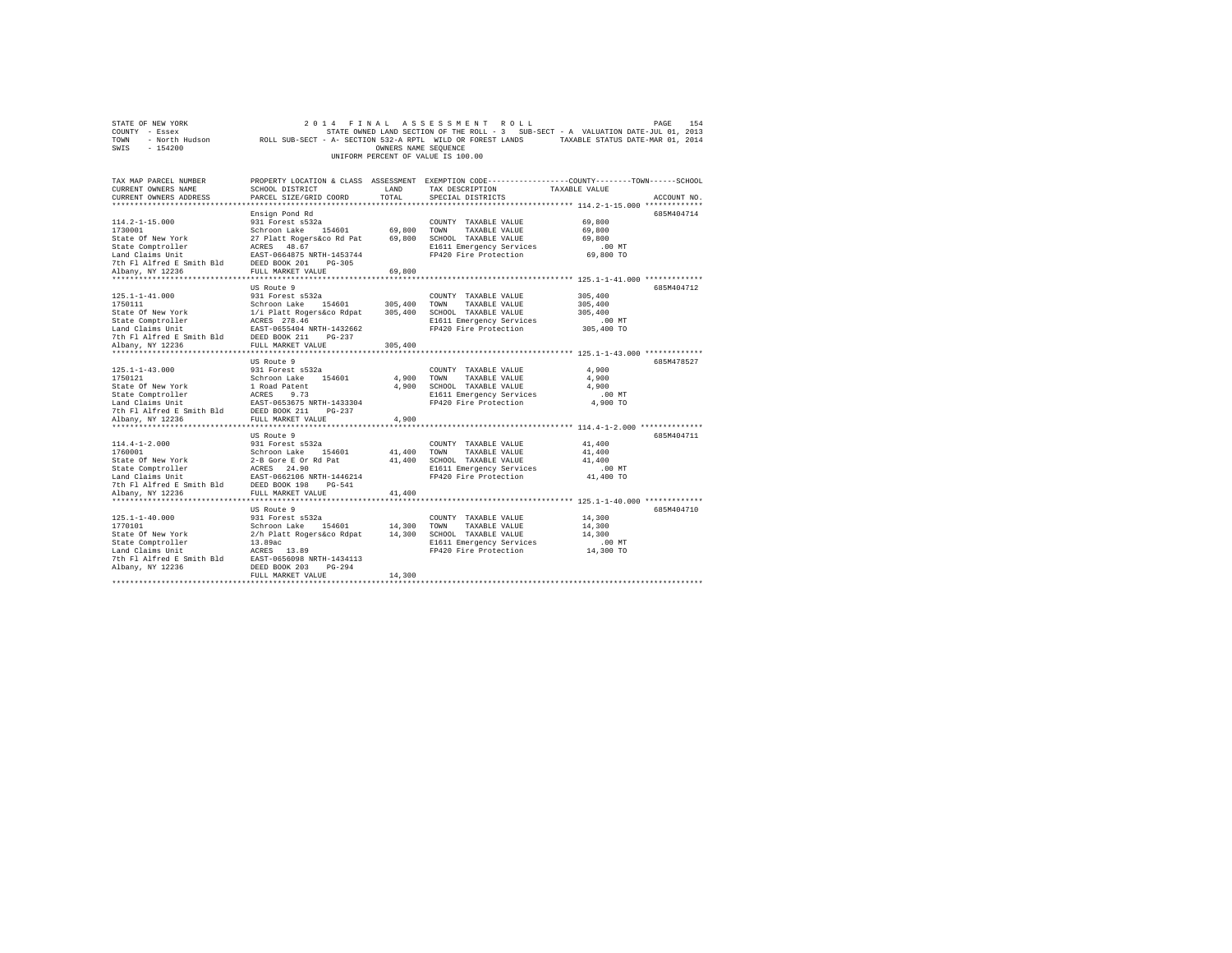| STATE OF NEW YORK         | 2014<br>FINAL                                                                                   |                      | ASSESSMENT<br>ROLL                                                                |                                                            | PAGE<br>154 |
|---------------------------|-------------------------------------------------------------------------------------------------|----------------------|-----------------------------------------------------------------------------------|------------------------------------------------------------|-------------|
| COUNTY - Essex            |                                                                                                 |                      | STATE OWNED LAND SECTION OF THE ROLL - 3 SUB-SECT - A VALUATION DATE-JUL 01, 2013 |                                                            |             |
| - North Hudson<br>TOWN    | ROLL SUB-SECT - A- SECTION 532-A RPTL WILD OR FOREST LANDS                                      |                      |                                                                                   | TAXABLE STATUS DATE-MAR 01, 2014                           |             |
| SWIS<br>$-154200$         |                                                                                                 | OWNERS NAME SEQUENCE |                                                                                   |                                                            |             |
|                           |                                                                                                 |                      | UNIFORM PERCENT OF VALUE IS 100.00                                                |                                                            |             |
|                           |                                                                                                 |                      |                                                                                   |                                                            |             |
|                           |                                                                                                 |                      |                                                                                   |                                                            |             |
| TAX MAP PARCEL NUMBER     | PROPERTY LOCATION & CLASS ASSESSMENT EXEMPTION CODE---------------COUNTY-------TOWN------SCHOOL |                      |                                                                                   |                                                            |             |
| CURRENT OWNERS NAME       | SCHOOL DISTRICT                                                                                 | LAND                 | TAX DESCRIPTION                                                                   | TAXABLE VALUE                                              |             |
| CURRENT OWNERS ADDRESS    | PARCEL SIZE/GRID COORD                                                                          | TOTAL                | SPECIAL DISTRICTS                                                                 |                                                            | ACCOUNT NO. |
|                           |                                                                                                 |                      |                                                                                   |                                                            |             |
|                           | Ensign Pond Rd                                                                                  |                      |                                                                                   |                                                            | 685M404714  |
| $114.2 - 1 - 15.000$      | 931 Forest s532a                                                                                |                      | COUNTY TAXABLE VALUE                                                              | 69,800                                                     |             |
| 1730001                   | Schroon Lake<br>154601                                                                          | 69,800               | TOWN<br>TAXABLE VALUE                                                             | 69,800                                                     |             |
| State Of New York         | 27 Platt Rogers&co Rd Pat                                                                       | 69,800               | SCHOOL TAXABLE VALUE                                                              | 69,800                                                     |             |
| State Comptroller         | ACRES 48.67                                                                                     |                      | E1611 Emergency Services                                                          | $.00$ MT                                                   |             |
| Land Claims Unit          | EAST-0664875 NRTH-1453744                                                                       |                      | FP420 Fire Protection                                                             | 69,800 TO                                                  |             |
| 7th Fl Alfred E Smith Bld | DEED BOOK 201<br>$PG-305$                                                                       |                      |                                                                                   |                                                            |             |
| Albany, NY 12236          | FULL MARKET VALUE                                                                               | 69,800               |                                                                                   |                                                            |             |
| *******************       | ********************                                                                            |                      |                                                                                   | ******************** 125.1-1-41.000 *************          |             |
|                           | US Route 9                                                                                      |                      |                                                                                   |                                                            | 685M404712  |
| $125.1 - 1 - 41.000$      | 931 Forest s532a                                                                                |                      | COUNTY TAXABLE VALUE                                                              | 305,400                                                    |             |
| 1750111                   | Schroon Lake<br>154601                                                                          | 305,400              | TOWN<br>TAXABLE VALUE                                                             | 305,400                                                    |             |
| State Of New York         | 1/i Platt Rogers&co Rdpat                                                                       | 305,400              | SCHOOL TAXABLE VALUE                                                              | 305,400                                                    |             |
| State Comptroller         | ACRES 278.46                                                                                    |                      | E1611 Emergency Services                                                          | $.00$ MT                                                   |             |
| Land Claims Unit          | EAST-0655404 NRTH-1432662                                                                       |                      | FP420 Fire Protection                                                             | 305,400 TO                                                 |             |
| 7th Fl Alfred E Smith Bld | DEED BOOK 211<br>$PG-237$                                                                       |                      |                                                                                   |                                                            |             |
| Albany, NY 12236          | FULL MARKET VALUE                                                                               | 305,400              |                                                                                   |                                                            |             |
| **********************    | ***********************                                                                         | **********           |                                                                                   | ***************************** 125.1-1-43.000 ************* |             |
|                           | US Route 9                                                                                      |                      |                                                                                   |                                                            | 685M478527  |
| $125.1 - 1 - 43.000$      | 931 Forest s532a                                                                                |                      | COUNTY TAXABLE VALUE                                                              | 4,900                                                      |             |
| 1750121                   | Schroon Lake<br>154601                                                                          | 4.900                | TOWN<br>TAXABLE VALUE                                                             | 4,900                                                      |             |
| State Of New York         | 1 Road Patent                                                                                   | 4.900                | SCHOOL TAXABLE VALUE                                                              | 4,900                                                      |             |
| State Comptroller         | ACRES<br>9.73                                                                                   |                      | E1611 Emergency Services                                                          | .00MT                                                      |             |
| Land Claims Unit          | EAST-0653675 NRTH-1433304                                                                       |                      | FP420 Fire Protection                                                             | 4,900 TO                                                   |             |
| 7th Fl Alfred E Smith Bld | DEED BOOK 211<br>$PG-237$                                                                       |                      |                                                                                   |                                                            |             |
| Albany, NY 12236          | FULL MARKET VALUE                                                                               | 4.900                |                                                                                   |                                                            |             |
| *****************         | .                                                                                               |                      |                                                                                   | ********* 114.4-1-2.000 *************                      |             |
|                           | US Route 9                                                                                      |                      |                                                                                   |                                                            | 685M404711  |
| $114.4 - 1 - 2.000$       | 931 Forest s532a                                                                                |                      | COUNTY TAXABLE VALUE                                                              | 41,400                                                     |             |
| 1760001                   | Schroon Lake<br>154601                                                                          | 41,400               | TAXABLE VALUE<br>TOWN                                                             | 41,400                                                     |             |
| State Of New York         | 2-B Gore E Or Rd Pat                                                                            | 41,400               | SCHOOL TAXABLE VALUE                                                              | 41,400                                                     |             |
| State Comptroller         | ACRES 24.90                                                                                     |                      | E1611 Emergency Services                                                          | .00MT                                                      |             |
| Land Claims Unit          | EAST-0662106 NRTH-1446214                                                                       |                      | FP420 Fire Protection                                                             | 41,400 TO                                                  |             |
| 7th Fl Alfred E Smith Bld | DEED BOOK 198<br>$PG-541$                                                                       |                      |                                                                                   |                                                            |             |
| Albany, NY 12236          | FULL MARKET VALUE                                                                               | 41,400               |                                                                                   |                                                            |             |
| ************************  |                                                                                                 |                      |                                                                                   |                                                            |             |
|                           | US Route 9                                                                                      |                      |                                                                                   |                                                            | 685M404710  |
| $125.1 - 1 - 40.000$      | 931 Forest s532a                                                                                |                      | COUNTY TAXABLE VALUE                                                              | 14,300                                                     |             |
| 1770101                   | Schroon Lake 154601                                                                             | 14,300               | TOWN<br>TAXABLE VALUE                                                             | 14,300                                                     |             |
| State Of New York         | 2/h Platt Rogers&co Rdpat                                                                       | 14,300               | SCHOOL TAXABLE VALUE                                                              | 14,300                                                     |             |
| State Comptroller         | 13.89ac                                                                                         |                      | E1611 Emergency Services                                                          | .00MT                                                      |             |
| Land Claims Unit          | ACRES 13.89                                                                                     |                      | FP420 Fire Protection                                                             | 14,300 TO                                                  |             |
| 7th Fl Alfred E Smith Bld | EAST-0656098 NRTH-1434113                                                                       |                      |                                                                                   |                                                            |             |
| Albany, NY 12236          | DEED BOOK 203<br>$PG-294$                                                                       |                      |                                                                                   |                                                            |             |
|                           | FULL MARKET VALUE                                                                               | 14,300               |                                                                                   |                                                            |             |
|                           |                                                                                                 |                      |                                                                                   |                                                            |             |
|                           |                                                                                                 |                      |                                                                                   |                                                            |             |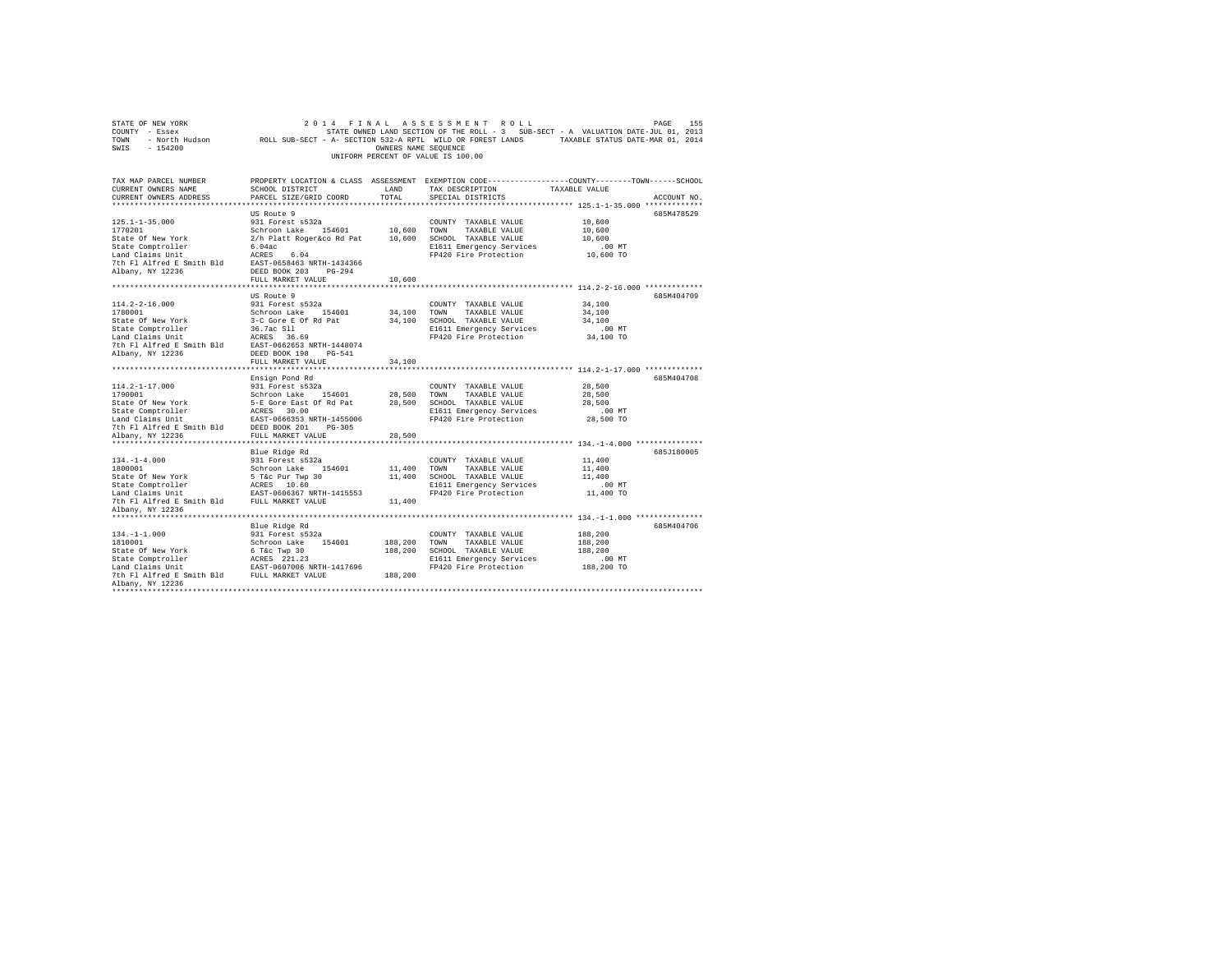| OWNERS NAME SEOUENCE<br>UNIFORM PERCENT OF VALUE IS 100.00<br>PROPERTY LOCATION & CLASS ASSESSMENT EXEMPTION CODE----------------COUNTY-------TOWN-----SCHOOL<br>CURRENT OWNERS NAME<br>SCHOOL DISTRICT<br>LAND<br>TAX DESCRIPTION<br>TAXABLE VALUE<br>CURRENT OWNERS ADDRESS<br>PARCEL SIZE/GRID COORD<br>TOTAL<br>ACCOUNT NO.<br>SPECIAL DISTRICTS<br>*************************** 125.1-1-35.000 *************<br>US Route 9<br>685M478529<br>$125.1 - 1 - 35.000$<br>931 Forest s532a<br>COUNTY TAXABLE VALUE<br>10,600<br>Schroon Lake 154601 10,600<br>TOWN<br>10,600<br>TAXABLE VALUE<br>2/h Platt Roger&co Rd Pat<br>10,600 SCHOOL TAXABLE VALUE<br>10,600<br>6.04ac<br>E1611 Emergency Services<br>.00MT<br>FP420 Fire Protection<br>10,600 TO<br>Land Claims Unit<br>ACRES 6.04<br>7th Fl Alfred E Smith Bld<br>EAST-0658463 NRTH-1434366<br>Albany, NY 12236<br>DEED BOOK 203 PG-294<br>FULL MARKET VALUE<br>10,600<br>***************************<br>************************************ 114.2-2-16.000 *************<br>***************************<br>************<br>US Route 9<br>685M404709<br>$114.2 - 2 - 16.000$<br>931 Forest s532a<br>34,100<br>COUNTY TAXABLE VALUE<br>1780001<br>Schroon Lake 154601<br>34,100<br>TOWN<br>34,100<br>TAXABLE VALUE<br>3-C Gore E Of Rd Pat<br>State Of New York<br>34,100 SCHOOL TAXABLE VALUE<br>34,100<br>36.7ac S11<br>ACRES 36.<br>E1611 Emergency Services<br>$.00$ MT<br>FP420 Fire Protection<br>ACRES 36.69<br>34,100 TO<br>7th Fl Alfred E Smith Bld EAST-0662653 NRTH-1448074<br>DEED BOOK 198 PG-541<br>FULL MARKET VALUE<br>34,100<br>Ensign Pond Rd<br>685M404708<br>$114.2 - 1 - 17.000$<br>931 Forest s532a<br>28,500<br>COUNTY TAXABLE VALUE<br>1790001<br>1790001<br>1790001<br>Schroom Lake 154601<br>5-E Gore East of Ri Pata<br>5-E Gore East of Ri Pata<br>Schroom Lake 154601<br>State Comptroller<br>Land Claims Unit<br>2007 10001<br>2007<br>2007<br>20081<br>2007<br>20081<br>20081<br>20081<br>20081<br><br>28,500<br>28,500<br>TOWN<br>TAXABLE VALUE<br>28,500 SCHOOL TAXABLE VALUE<br>28,500<br>E1611 Emergency Services<br>$.00$ MT<br>FP420 Fire Protection<br>28,500 TO<br>28,500<br>Blue Ridge Rd<br>685J180005<br>$134. - 1 - 4.000$<br>931 Forest s532a<br>11,400<br>COUNTY TAXABLE VALUE<br>1800001<br>Schroon Lake 154601<br>11,400<br>TOWN<br>TAXABLE VALUE<br>11,400<br>State of New York<br>State Of New York<br>State Comptroller<br>Land Claims Unit<br>EAST-0606367 NRTH-1415553<br>11,400 SCHOOL TAXABLE VALUE<br>11,400<br>E1611 Emergency Services<br>$.00$ MT<br>11,400 TO<br>FP420 Fire Protection<br>7th Fl Alfred E Smith Bld FULL MARKET VALUE<br>11,400<br>Albany, NY 12236<br>Blue Ridge Rd<br>685M404706<br>931 Forest s532a<br>188,200<br>COUNTY TAXABLE VALUE<br>Schroon Lake 154601<br>188,200<br>188,200<br>TOWN<br>TAXABLE VALUE<br>6 T&c Twp 30<br>188,200<br>SCHOOL TAXABLE VALUE<br>188,200<br>$\begin{tabular}{lllllll} \texttt{State Comptroller} & \texttt{ACRES} & 221.23 \\ \texttt{Land Claus Unit} & \texttt{ESST-0607006 NRTH-1417696} \\ \texttt{7th Fl Alfred E Smith Bld} & \texttt{FULL MARKET VALUE} \end{tabular}$<br>E1611 Emergency Services<br>$.00$ MT<br>188,200 TO<br>FP420 Fire Protection<br>188,200<br>Albany, NY 12236 | COUNTY - Essex<br>TOWN |  | STATE OWNED LAND SECTION OF THE ROLL - 3 SUB-SECT - A VALUATION DATE-JUL 01, 2013<br>- North Hudson       ROLL SUB-SECT - A- SECTION 532-A RPTL WILD OR FOREST LANDS       TAXABLE STATUS DATE-MAR 01, 2014 |  |
|---------------------------------------------------------------------------------------------------------------------------------------------------------------------------------------------------------------------------------------------------------------------------------------------------------------------------------------------------------------------------------------------------------------------------------------------------------------------------------------------------------------------------------------------------------------------------------------------------------------------------------------------------------------------------------------------------------------------------------------------------------------------------------------------------------------------------------------------------------------------------------------------------------------------------------------------------------------------------------------------------------------------------------------------------------------------------------------------------------------------------------------------------------------------------------------------------------------------------------------------------------------------------------------------------------------------------------------------------------------------------------------------------------------------------------------------------------------------------------------------------------------------------------------------------------------------------------------------------------------------------------------------------------------------------------------------------------------------------------------------------------------------------------------------------------------------------------------------------------------------------------------------------------------------------------------------------------------------------------------------------------------------------------------------------------------------------------------------------------------------------------------------------------------------------------------------------------------------------------------------------------------------------------------------------------------------------------------------------------------------------------------------------------------------------------------------------------------------------------------------------------------------------------------------------------------------------------------------------------------------------------------------------------------------------------------------------------------------------------------------------------------------------------------------------------------------------------------------------------------------------------------------------------------------------------------------------------------------------------------------------------------------------------------------------------------------------------------------------------------------------------------------------------------------------------------------------------------------------------------------------------------------|------------------------|--|-------------------------------------------------------------------------------------------------------------------------------------------------------------------------------------------------------------|--|
|                                                                                                                                                                                                                                                                                                                                                                                                                                                                                                                                                                                                                                                                                                                                                                                                                                                                                                                                                                                                                                                                                                                                                                                                                                                                                                                                                                                                                                                                                                                                                                                                                                                                                                                                                                                                                                                                                                                                                                                                                                                                                                                                                                                                                                                                                                                                                                                                                                                                                                                                                                                                                                                                                                                                                                                                                                                                                                                                                                                                                                                                                                                                                                                                                                                                     | SWIS<br>$-154200$      |  |                                                                                                                                                                                                             |  |
|                                                                                                                                                                                                                                                                                                                                                                                                                                                                                                                                                                                                                                                                                                                                                                                                                                                                                                                                                                                                                                                                                                                                                                                                                                                                                                                                                                                                                                                                                                                                                                                                                                                                                                                                                                                                                                                                                                                                                                                                                                                                                                                                                                                                                                                                                                                                                                                                                                                                                                                                                                                                                                                                                                                                                                                                                                                                                                                                                                                                                                                                                                                                                                                                                                                                     |                        |  |                                                                                                                                                                                                             |  |
|                                                                                                                                                                                                                                                                                                                                                                                                                                                                                                                                                                                                                                                                                                                                                                                                                                                                                                                                                                                                                                                                                                                                                                                                                                                                                                                                                                                                                                                                                                                                                                                                                                                                                                                                                                                                                                                                                                                                                                                                                                                                                                                                                                                                                                                                                                                                                                                                                                                                                                                                                                                                                                                                                                                                                                                                                                                                                                                                                                                                                                                                                                                                                                                                                                                                     | TAX MAP PARCEL NUMBER  |  |                                                                                                                                                                                                             |  |
|                                                                                                                                                                                                                                                                                                                                                                                                                                                                                                                                                                                                                                                                                                                                                                                                                                                                                                                                                                                                                                                                                                                                                                                                                                                                                                                                                                                                                                                                                                                                                                                                                                                                                                                                                                                                                                                                                                                                                                                                                                                                                                                                                                                                                                                                                                                                                                                                                                                                                                                                                                                                                                                                                                                                                                                                                                                                                                                                                                                                                                                                                                                                                                                                                                                                     |                        |  |                                                                                                                                                                                                             |  |
|                                                                                                                                                                                                                                                                                                                                                                                                                                                                                                                                                                                                                                                                                                                                                                                                                                                                                                                                                                                                                                                                                                                                                                                                                                                                                                                                                                                                                                                                                                                                                                                                                                                                                                                                                                                                                                                                                                                                                                                                                                                                                                                                                                                                                                                                                                                                                                                                                                                                                                                                                                                                                                                                                                                                                                                                                                                                                                                                                                                                                                                                                                                                                                                                                                                                     |                        |  |                                                                                                                                                                                                             |  |
|                                                                                                                                                                                                                                                                                                                                                                                                                                                                                                                                                                                                                                                                                                                                                                                                                                                                                                                                                                                                                                                                                                                                                                                                                                                                                                                                                                                                                                                                                                                                                                                                                                                                                                                                                                                                                                                                                                                                                                                                                                                                                                                                                                                                                                                                                                                                                                                                                                                                                                                                                                                                                                                                                                                                                                                                                                                                                                                                                                                                                                                                                                                                                                                                                                                                     |                        |  |                                                                                                                                                                                                             |  |
|                                                                                                                                                                                                                                                                                                                                                                                                                                                                                                                                                                                                                                                                                                                                                                                                                                                                                                                                                                                                                                                                                                                                                                                                                                                                                                                                                                                                                                                                                                                                                                                                                                                                                                                                                                                                                                                                                                                                                                                                                                                                                                                                                                                                                                                                                                                                                                                                                                                                                                                                                                                                                                                                                                                                                                                                                                                                                                                                                                                                                                                                                                                                                                                                                                                                     |                        |  |                                                                                                                                                                                                             |  |
|                                                                                                                                                                                                                                                                                                                                                                                                                                                                                                                                                                                                                                                                                                                                                                                                                                                                                                                                                                                                                                                                                                                                                                                                                                                                                                                                                                                                                                                                                                                                                                                                                                                                                                                                                                                                                                                                                                                                                                                                                                                                                                                                                                                                                                                                                                                                                                                                                                                                                                                                                                                                                                                                                                                                                                                                                                                                                                                                                                                                                                                                                                                                                                                                                                                                     | 1770201                |  |                                                                                                                                                                                                             |  |
|                                                                                                                                                                                                                                                                                                                                                                                                                                                                                                                                                                                                                                                                                                                                                                                                                                                                                                                                                                                                                                                                                                                                                                                                                                                                                                                                                                                                                                                                                                                                                                                                                                                                                                                                                                                                                                                                                                                                                                                                                                                                                                                                                                                                                                                                                                                                                                                                                                                                                                                                                                                                                                                                                                                                                                                                                                                                                                                                                                                                                                                                                                                                                                                                                                                                     | State Of New York      |  |                                                                                                                                                                                                             |  |
|                                                                                                                                                                                                                                                                                                                                                                                                                                                                                                                                                                                                                                                                                                                                                                                                                                                                                                                                                                                                                                                                                                                                                                                                                                                                                                                                                                                                                                                                                                                                                                                                                                                                                                                                                                                                                                                                                                                                                                                                                                                                                                                                                                                                                                                                                                                                                                                                                                                                                                                                                                                                                                                                                                                                                                                                                                                                                                                                                                                                                                                                                                                                                                                                                                                                     | State Comptroller      |  |                                                                                                                                                                                                             |  |
|                                                                                                                                                                                                                                                                                                                                                                                                                                                                                                                                                                                                                                                                                                                                                                                                                                                                                                                                                                                                                                                                                                                                                                                                                                                                                                                                                                                                                                                                                                                                                                                                                                                                                                                                                                                                                                                                                                                                                                                                                                                                                                                                                                                                                                                                                                                                                                                                                                                                                                                                                                                                                                                                                                                                                                                                                                                                                                                                                                                                                                                                                                                                                                                                                                                                     |                        |  |                                                                                                                                                                                                             |  |
|                                                                                                                                                                                                                                                                                                                                                                                                                                                                                                                                                                                                                                                                                                                                                                                                                                                                                                                                                                                                                                                                                                                                                                                                                                                                                                                                                                                                                                                                                                                                                                                                                                                                                                                                                                                                                                                                                                                                                                                                                                                                                                                                                                                                                                                                                                                                                                                                                                                                                                                                                                                                                                                                                                                                                                                                                                                                                                                                                                                                                                                                                                                                                                                                                                                                     |                        |  |                                                                                                                                                                                                             |  |
|                                                                                                                                                                                                                                                                                                                                                                                                                                                                                                                                                                                                                                                                                                                                                                                                                                                                                                                                                                                                                                                                                                                                                                                                                                                                                                                                                                                                                                                                                                                                                                                                                                                                                                                                                                                                                                                                                                                                                                                                                                                                                                                                                                                                                                                                                                                                                                                                                                                                                                                                                                                                                                                                                                                                                                                                                                                                                                                                                                                                                                                                                                                                                                                                                                                                     |                        |  |                                                                                                                                                                                                             |  |
|                                                                                                                                                                                                                                                                                                                                                                                                                                                                                                                                                                                                                                                                                                                                                                                                                                                                                                                                                                                                                                                                                                                                                                                                                                                                                                                                                                                                                                                                                                                                                                                                                                                                                                                                                                                                                                                                                                                                                                                                                                                                                                                                                                                                                                                                                                                                                                                                                                                                                                                                                                                                                                                                                                                                                                                                                                                                                                                                                                                                                                                                                                                                                                                                                                                                     |                        |  |                                                                                                                                                                                                             |  |
|                                                                                                                                                                                                                                                                                                                                                                                                                                                                                                                                                                                                                                                                                                                                                                                                                                                                                                                                                                                                                                                                                                                                                                                                                                                                                                                                                                                                                                                                                                                                                                                                                                                                                                                                                                                                                                                                                                                                                                                                                                                                                                                                                                                                                                                                                                                                                                                                                                                                                                                                                                                                                                                                                                                                                                                                                                                                                                                                                                                                                                                                                                                                                                                                                                                                     |                        |  |                                                                                                                                                                                                             |  |
|                                                                                                                                                                                                                                                                                                                                                                                                                                                                                                                                                                                                                                                                                                                                                                                                                                                                                                                                                                                                                                                                                                                                                                                                                                                                                                                                                                                                                                                                                                                                                                                                                                                                                                                                                                                                                                                                                                                                                                                                                                                                                                                                                                                                                                                                                                                                                                                                                                                                                                                                                                                                                                                                                                                                                                                                                                                                                                                                                                                                                                                                                                                                                                                                                                                                     |                        |  |                                                                                                                                                                                                             |  |
|                                                                                                                                                                                                                                                                                                                                                                                                                                                                                                                                                                                                                                                                                                                                                                                                                                                                                                                                                                                                                                                                                                                                                                                                                                                                                                                                                                                                                                                                                                                                                                                                                                                                                                                                                                                                                                                                                                                                                                                                                                                                                                                                                                                                                                                                                                                                                                                                                                                                                                                                                                                                                                                                                                                                                                                                                                                                                                                                                                                                                                                                                                                                                                                                                                                                     |                        |  |                                                                                                                                                                                                             |  |
|                                                                                                                                                                                                                                                                                                                                                                                                                                                                                                                                                                                                                                                                                                                                                                                                                                                                                                                                                                                                                                                                                                                                                                                                                                                                                                                                                                                                                                                                                                                                                                                                                                                                                                                                                                                                                                                                                                                                                                                                                                                                                                                                                                                                                                                                                                                                                                                                                                                                                                                                                                                                                                                                                                                                                                                                                                                                                                                                                                                                                                                                                                                                                                                                                                                                     |                        |  |                                                                                                                                                                                                             |  |
|                                                                                                                                                                                                                                                                                                                                                                                                                                                                                                                                                                                                                                                                                                                                                                                                                                                                                                                                                                                                                                                                                                                                                                                                                                                                                                                                                                                                                                                                                                                                                                                                                                                                                                                                                                                                                                                                                                                                                                                                                                                                                                                                                                                                                                                                                                                                                                                                                                                                                                                                                                                                                                                                                                                                                                                                                                                                                                                                                                                                                                                                                                                                                                                                                                                                     | State Comptroller      |  |                                                                                                                                                                                                             |  |
|                                                                                                                                                                                                                                                                                                                                                                                                                                                                                                                                                                                                                                                                                                                                                                                                                                                                                                                                                                                                                                                                                                                                                                                                                                                                                                                                                                                                                                                                                                                                                                                                                                                                                                                                                                                                                                                                                                                                                                                                                                                                                                                                                                                                                                                                                                                                                                                                                                                                                                                                                                                                                                                                                                                                                                                                                                                                                                                                                                                                                                                                                                                                                                                                                                                                     | Land Claims Unit       |  |                                                                                                                                                                                                             |  |
|                                                                                                                                                                                                                                                                                                                                                                                                                                                                                                                                                                                                                                                                                                                                                                                                                                                                                                                                                                                                                                                                                                                                                                                                                                                                                                                                                                                                                                                                                                                                                                                                                                                                                                                                                                                                                                                                                                                                                                                                                                                                                                                                                                                                                                                                                                                                                                                                                                                                                                                                                                                                                                                                                                                                                                                                                                                                                                                                                                                                                                                                                                                                                                                                                                                                     |                        |  |                                                                                                                                                                                                             |  |
|                                                                                                                                                                                                                                                                                                                                                                                                                                                                                                                                                                                                                                                                                                                                                                                                                                                                                                                                                                                                                                                                                                                                                                                                                                                                                                                                                                                                                                                                                                                                                                                                                                                                                                                                                                                                                                                                                                                                                                                                                                                                                                                                                                                                                                                                                                                                                                                                                                                                                                                                                                                                                                                                                                                                                                                                                                                                                                                                                                                                                                                                                                                                                                                                                                                                     | Albany, NY 12236       |  |                                                                                                                                                                                                             |  |
|                                                                                                                                                                                                                                                                                                                                                                                                                                                                                                                                                                                                                                                                                                                                                                                                                                                                                                                                                                                                                                                                                                                                                                                                                                                                                                                                                                                                                                                                                                                                                                                                                                                                                                                                                                                                                                                                                                                                                                                                                                                                                                                                                                                                                                                                                                                                                                                                                                                                                                                                                                                                                                                                                                                                                                                                                                                                                                                                                                                                                                                                                                                                                                                                                                                                     |                        |  |                                                                                                                                                                                                             |  |
|                                                                                                                                                                                                                                                                                                                                                                                                                                                                                                                                                                                                                                                                                                                                                                                                                                                                                                                                                                                                                                                                                                                                                                                                                                                                                                                                                                                                                                                                                                                                                                                                                                                                                                                                                                                                                                                                                                                                                                                                                                                                                                                                                                                                                                                                                                                                                                                                                                                                                                                                                                                                                                                                                                                                                                                                                                                                                                                                                                                                                                                                                                                                                                                                                                                                     |                        |  |                                                                                                                                                                                                             |  |
|                                                                                                                                                                                                                                                                                                                                                                                                                                                                                                                                                                                                                                                                                                                                                                                                                                                                                                                                                                                                                                                                                                                                                                                                                                                                                                                                                                                                                                                                                                                                                                                                                                                                                                                                                                                                                                                                                                                                                                                                                                                                                                                                                                                                                                                                                                                                                                                                                                                                                                                                                                                                                                                                                                                                                                                                                                                                                                                                                                                                                                                                                                                                                                                                                                                                     |                        |  |                                                                                                                                                                                                             |  |
|                                                                                                                                                                                                                                                                                                                                                                                                                                                                                                                                                                                                                                                                                                                                                                                                                                                                                                                                                                                                                                                                                                                                                                                                                                                                                                                                                                                                                                                                                                                                                                                                                                                                                                                                                                                                                                                                                                                                                                                                                                                                                                                                                                                                                                                                                                                                                                                                                                                                                                                                                                                                                                                                                                                                                                                                                                                                                                                                                                                                                                                                                                                                                                                                                                                                     |                        |  |                                                                                                                                                                                                             |  |
|                                                                                                                                                                                                                                                                                                                                                                                                                                                                                                                                                                                                                                                                                                                                                                                                                                                                                                                                                                                                                                                                                                                                                                                                                                                                                                                                                                                                                                                                                                                                                                                                                                                                                                                                                                                                                                                                                                                                                                                                                                                                                                                                                                                                                                                                                                                                                                                                                                                                                                                                                                                                                                                                                                                                                                                                                                                                                                                                                                                                                                                                                                                                                                                                                                                                     |                        |  |                                                                                                                                                                                                             |  |
|                                                                                                                                                                                                                                                                                                                                                                                                                                                                                                                                                                                                                                                                                                                                                                                                                                                                                                                                                                                                                                                                                                                                                                                                                                                                                                                                                                                                                                                                                                                                                                                                                                                                                                                                                                                                                                                                                                                                                                                                                                                                                                                                                                                                                                                                                                                                                                                                                                                                                                                                                                                                                                                                                                                                                                                                                                                                                                                                                                                                                                                                                                                                                                                                                                                                     |                        |  |                                                                                                                                                                                                             |  |
|                                                                                                                                                                                                                                                                                                                                                                                                                                                                                                                                                                                                                                                                                                                                                                                                                                                                                                                                                                                                                                                                                                                                                                                                                                                                                                                                                                                                                                                                                                                                                                                                                                                                                                                                                                                                                                                                                                                                                                                                                                                                                                                                                                                                                                                                                                                                                                                                                                                                                                                                                                                                                                                                                                                                                                                                                                                                                                                                                                                                                                                                                                                                                                                                                                                                     |                        |  |                                                                                                                                                                                                             |  |
|                                                                                                                                                                                                                                                                                                                                                                                                                                                                                                                                                                                                                                                                                                                                                                                                                                                                                                                                                                                                                                                                                                                                                                                                                                                                                                                                                                                                                                                                                                                                                                                                                                                                                                                                                                                                                                                                                                                                                                                                                                                                                                                                                                                                                                                                                                                                                                                                                                                                                                                                                                                                                                                                                                                                                                                                                                                                                                                                                                                                                                                                                                                                                                                                                                                                     |                        |  |                                                                                                                                                                                                             |  |
|                                                                                                                                                                                                                                                                                                                                                                                                                                                                                                                                                                                                                                                                                                                                                                                                                                                                                                                                                                                                                                                                                                                                                                                                                                                                                                                                                                                                                                                                                                                                                                                                                                                                                                                                                                                                                                                                                                                                                                                                                                                                                                                                                                                                                                                                                                                                                                                                                                                                                                                                                                                                                                                                                                                                                                                                                                                                                                                                                                                                                                                                                                                                                                                                                                                                     |                        |  |                                                                                                                                                                                                             |  |
|                                                                                                                                                                                                                                                                                                                                                                                                                                                                                                                                                                                                                                                                                                                                                                                                                                                                                                                                                                                                                                                                                                                                                                                                                                                                                                                                                                                                                                                                                                                                                                                                                                                                                                                                                                                                                                                                                                                                                                                                                                                                                                                                                                                                                                                                                                                                                                                                                                                                                                                                                                                                                                                                                                                                                                                                                                                                                                                                                                                                                                                                                                                                                                                                                                                                     |                        |  |                                                                                                                                                                                                             |  |
|                                                                                                                                                                                                                                                                                                                                                                                                                                                                                                                                                                                                                                                                                                                                                                                                                                                                                                                                                                                                                                                                                                                                                                                                                                                                                                                                                                                                                                                                                                                                                                                                                                                                                                                                                                                                                                                                                                                                                                                                                                                                                                                                                                                                                                                                                                                                                                                                                                                                                                                                                                                                                                                                                                                                                                                                                                                                                                                                                                                                                                                                                                                                                                                                                                                                     |                        |  |                                                                                                                                                                                                             |  |
|                                                                                                                                                                                                                                                                                                                                                                                                                                                                                                                                                                                                                                                                                                                                                                                                                                                                                                                                                                                                                                                                                                                                                                                                                                                                                                                                                                                                                                                                                                                                                                                                                                                                                                                                                                                                                                                                                                                                                                                                                                                                                                                                                                                                                                                                                                                                                                                                                                                                                                                                                                                                                                                                                                                                                                                                                                                                                                                                                                                                                                                                                                                                                                                                                                                                     |                        |  |                                                                                                                                                                                                             |  |
|                                                                                                                                                                                                                                                                                                                                                                                                                                                                                                                                                                                                                                                                                                                                                                                                                                                                                                                                                                                                                                                                                                                                                                                                                                                                                                                                                                                                                                                                                                                                                                                                                                                                                                                                                                                                                                                                                                                                                                                                                                                                                                                                                                                                                                                                                                                                                                                                                                                                                                                                                                                                                                                                                                                                                                                                                                                                                                                                                                                                                                                                                                                                                                                                                                                                     |                        |  |                                                                                                                                                                                                             |  |
|                                                                                                                                                                                                                                                                                                                                                                                                                                                                                                                                                                                                                                                                                                                                                                                                                                                                                                                                                                                                                                                                                                                                                                                                                                                                                                                                                                                                                                                                                                                                                                                                                                                                                                                                                                                                                                                                                                                                                                                                                                                                                                                                                                                                                                                                                                                                                                                                                                                                                                                                                                                                                                                                                                                                                                                                                                                                                                                                                                                                                                                                                                                                                                                                                                                                     |                        |  |                                                                                                                                                                                                             |  |
|                                                                                                                                                                                                                                                                                                                                                                                                                                                                                                                                                                                                                                                                                                                                                                                                                                                                                                                                                                                                                                                                                                                                                                                                                                                                                                                                                                                                                                                                                                                                                                                                                                                                                                                                                                                                                                                                                                                                                                                                                                                                                                                                                                                                                                                                                                                                                                                                                                                                                                                                                                                                                                                                                                                                                                                                                                                                                                                                                                                                                                                                                                                                                                                                                                                                     |                        |  |                                                                                                                                                                                                             |  |
|                                                                                                                                                                                                                                                                                                                                                                                                                                                                                                                                                                                                                                                                                                                                                                                                                                                                                                                                                                                                                                                                                                                                                                                                                                                                                                                                                                                                                                                                                                                                                                                                                                                                                                                                                                                                                                                                                                                                                                                                                                                                                                                                                                                                                                                                                                                                                                                                                                                                                                                                                                                                                                                                                                                                                                                                                                                                                                                                                                                                                                                                                                                                                                                                                                                                     |                        |  |                                                                                                                                                                                                             |  |
|                                                                                                                                                                                                                                                                                                                                                                                                                                                                                                                                                                                                                                                                                                                                                                                                                                                                                                                                                                                                                                                                                                                                                                                                                                                                                                                                                                                                                                                                                                                                                                                                                                                                                                                                                                                                                                                                                                                                                                                                                                                                                                                                                                                                                                                                                                                                                                                                                                                                                                                                                                                                                                                                                                                                                                                                                                                                                                                                                                                                                                                                                                                                                                                                                                                                     |                        |  |                                                                                                                                                                                                             |  |
|                                                                                                                                                                                                                                                                                                                                                                                                                                                                                                                                                                                                                                                                                                                                                                                                                                                                                                                                                                                                                                                                                                                                                                                                                                                                                                                                                                                                                                                                                                                                                                                                                                                                                                                                                                                                                                                                                                                                                                                                                                                                                                                                                                                                                                                                                                                                                                                                                                                                                                                                                                                                                                                                                                                                                                                                                                                                                                                                                                                                                                                                                                                                                                                                                                                                     | *******************    |  |                                                                                                                                                                                                             |  |
|                                                                                                                                                                                                                                                                                                                                                                                                                                                                                                                                                                                                                                                                                                                                                                                                                                                                                                                                                                                                                                                                                                                                                                                                                                                                                                                                                                                                                                                                                                                                                                                                                                                                                                                                                                                                                                                                                                                                                                                                                                                                                                                                                                                                                                                                                                                                                                                                                                                                                                                                                                                                                                                                                                                                                                                                                                                                                                                                                                                                                                                                                                                                                                                                                                                                     |                        |  |                                                                                                                                                                                                             |  |
|                                                                                                                                                                                                                                                                                                                                                                                                                                                                                                                                                                                                                                                                                                                                                                                                                                                                                                                                                                                                                                                                                                                                                                                                                                                                                                                                                                                                                                                                                                                                                                                                                                                                                                                                                                                                                                                                                                                                                                                                                                                                                                                                                                                                                                                                                                                                                                                                                                                                                                                                                                                                                                                                                                                                                                                                                                                                                                                                                                                                                                                                                                                                                                                                                                                                     | $134. -1 - 1.000$      |  |                                                                                                                                                                                                             |  |
|                                                                                                                                                                                                                                                                                                                                                                                                                                                                                                                                                                                                                                                                                                                                                                                                                                                                                                                                                                                                                                                                                                                                                                                                                                                                                                                                                                                                                                                                                                                                                                                                                                                                                                                                                                                                                                                                                                                                                                                                                                                                                                                                                                                                                                                                                                                                                                                                                                                                                                                                                                                                                                                                                                                                                                                                                                                                                                                                                                                                                                                                                                                                                                                                                                                                     | 1810001                |  |                                                                                                                                                                                                             |  |
|                                                                                                                                                                                                                                                                                                                                                                                                                                                                                                                                                                                                                                                                                                                                                                                                                                                                                                                                                                                                                                                                                                                                                                                                                                                                                                                                                                                                                                                                                                                                                                                                                                                                                                                                                                                                                                                                                                                                                                                                                                                                                                                                                                                                                                                                                                                                                                                                                                                                                                                                                                                                                                                                                                                                                                                                                                                                                                                                                                                                                                                                                                                                                                                                                                                                     | State Of New York      |  |                                                                                                                                                                                                             |  |
|                                                                                                                                                                                                                                                                                                                                                                                                                                                                                                                                                                                                                                                                                                                                                                                                                                                                                                                                                                                                                                                                                                                                                                                                                                                                                                                                                                                                                                                                                                                                                                                                                                                                                                                                                                                                                                                                                                                                                                                                                                                                                                                                                                                                                                                                                                                                                                                                                                                                                                                                                                                                                                                                                                                                                                                                                                                                                                                                                                                                                                                                                                                                                                                                                                                                     |                        |  |                                                                                                                                                                                                             |  |
|                                                                                                                                                                                                                                                                                                                                                                                                                                                                                                                                                                                                                                                                                                                                                                                                                                                                                                                                                                                                                                                                                                                                                                                                                                                                                                                                                                                                                                                                                                                                                                                                                                                                                                                                                                                                                                                                                                                                                                                                                                                                                                                                                                                                                                                                                                                                                                                                                                                                                                                                                                                                                                                                                                                                                                                                                                                                                                                                                                                                                                                                                                                                                                                                                                                                     |                        |  |                                                                                                                                                                                                             |  |
|                                                                                                                                                                                                                                                                                                                                                                                                                                                                                                                                                                                                                                                                                                                                                                                                                                                                                                                                                                                                                                                                                                                                                                                                                                                                                                                                                                                                                                                                                                                                                                                                                                                                                                                                                                                                                                                                                                                                                                                                                                                                                                                                                                                                                                                                                                                                                                                                                                                                                                                                                                                                                                                                                                                                                                                                                                                                                                                                                                                                                                                                                                                                                                                                                                                                     |                        |  |                                                                                                                                                                                                             |  |
|                                                                                                                                                                                                                                                                                                                                                                                                                                                                                                                                                                                                                                                                                                                                                                                                                                                                                                                                                                                                                                                                                                                                                                                                                                                                                                                                                                                                                                                                                                                                                                                                                                                                                                                                                                                                                                                                                                                                                                                                                                                                                                                                                                                                                                                                                                                                                                                                                                                                                                                                                                                                                                                                                                                                                                                                                                                                                                                                                                                                                                                                                                                                                                                                                                                                     |                        |  |                                                                                                                                                                                                             |  |

STATE OF NEW YORK 2 0 1 4 F I N A L A S S E S S M E N T R O L L PAGE 155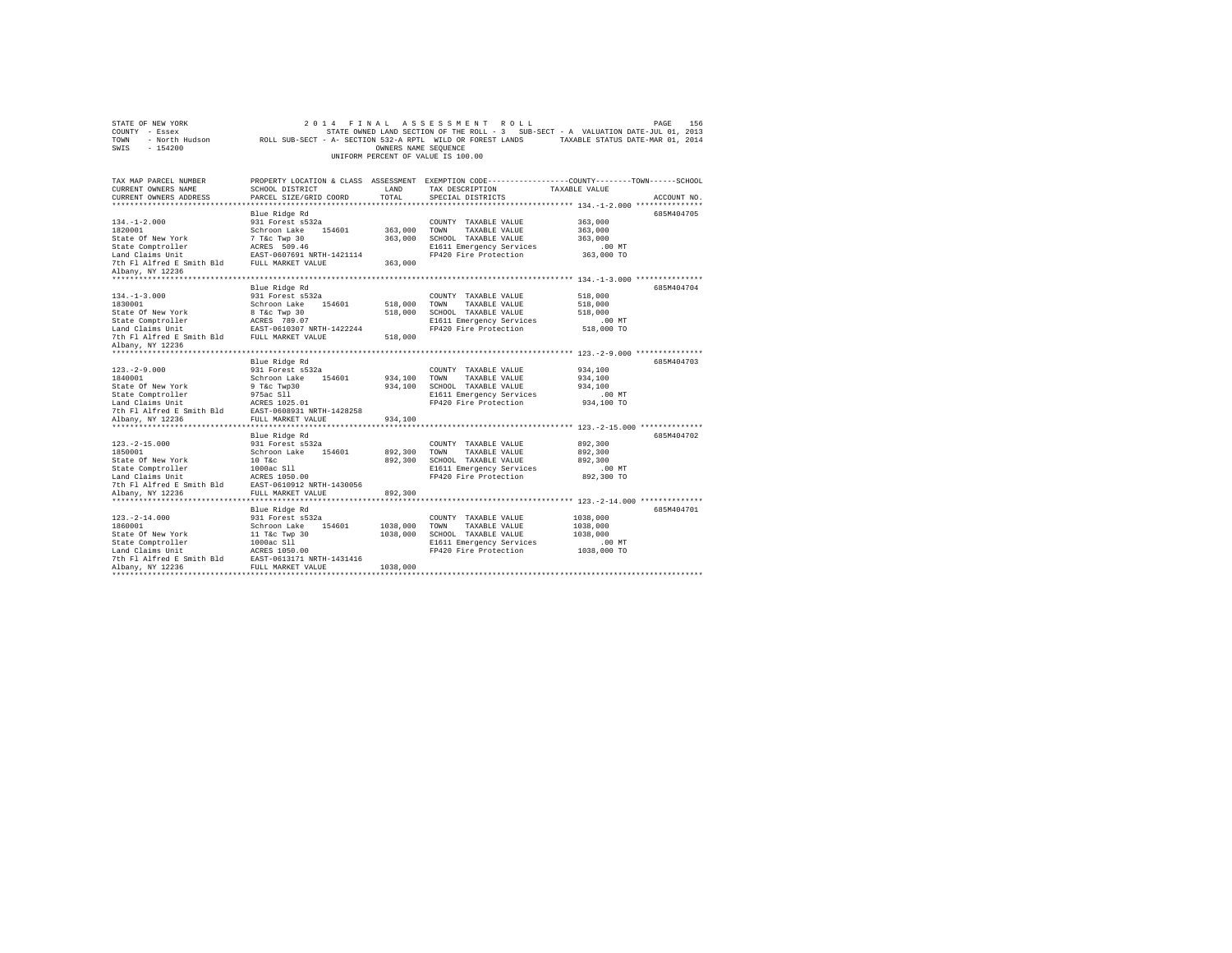| 2014 FINAL ASSESSMENT ROLL<br>STATE OF NEW YORK<br>PAGE<br>156<br>COUNTY - Essex<br>STATE OWNED LAND SECTION OF THE ROLL - 3 SUB-SECT - A VALUATION DATE-JUL 01, 2013<br>- North Hudson TROLL SUB-SECT - A- SECTION 532-A RPTL WILD OR FOREST LANDS TAXABLE STATUS DATE-MAR 01, 2014<br>TOWN<br>SWIS<br>$-154200$<br>OWNERS NAME SEQUENCE<br>UNIFORM PERCENT OF VALUE IS 100.00 |                                                                                                                                                               |                                  |                                                                                                                            |                                                                                                                                |  |  |  |
|---------------------------------------------------------------------------------------------------------------------------------------------------------------------------------------------------------------------------------------------------------------------------------------------------------------------------------------------------------------------------------|---------------------------------------------------------------------------------------------------------------------------------------------------------------|----------------------------------|----------------------------------------------------------------------------------------------------------------------------|--------------------------------------------------------------------------------------------------------------------------------|--|--|--|
| TAX MAP PARCEL NUMBER<br>CURRENT OWNERS NAME<br>CURRENT OWNERS ADDRESS                                                                                                                                                                                                                                                                                                          | SCHOOL DISTRICT<br>PARCEL SIZE/GRID COORD                                                                                                                     | LAND<br>TOTAL                    | TAX DESCRIPTION<br>SPECIAL DISTRICTS                                                                                       | PROPERTY LOCATION & CLASS ASSESSMENT EXEMPTION CODE---------------COUNTY-------TOWN-----SCHOOL<br>TAXABLE VALUE<br>ACCOUNT NO. |  |  |  |
| $134. - 1 - 2.000$<br>1820001<br>State Of New York<br>State Comptroller<br>Land Claims Unit<br>7th Fl Alfred E Smith Bld FULL MARKET VALUE<br>Albany, NY 12236                                                                                                                                                                                                                  | Blue Ridge Rd<br>931 Forest s532a<br>Schroon Lake 154601<br>7 T&c Twp 30<br>ACRES 509.46<br>EAST-0607691 NRTH-1421114                                         | 363,000<br>363,000<br>363,000    | COUNTY TAXABLE VALUE<br>TOWN<br>TAXABLE VALUE<br>SCHOOL TAXABLE VALUE<br>E1611 Emergency Services<br>FP420 Fire Protection | 685M404705<br>363,000<br>363,000<br>363,000<br>$.00$ MT<br>363,000 TO                                                          |  |  |  |
| $134. -1 - 3.000$<br>1830001<br>State Of New York<br>State Comptroller<br>Land Claims Unit<br>7th Fl Alfred E Smith Bld FULL MARKET VALUE                                                                                                                                                                                                                                       | Blue Ridge Rd<br>931 Forest s532a<br>Schroon Lake 154601<br>8 T&c Twp 30<br>ACRES 789.07<br>EAST-0610307 NRTH-1422244                                         | 518,000<br>518,000<br>518,000    | COUNTY TAXABLE VALUE<br>TAXABLE VALUE<br>TOWN<br>SCHOOL TAXABLE VALUE<br>E1611 Emergency Services<br>FP420 Fire Protection | 685M404704<br>518,000<br>518,000<br>518,000<br>$.00$ MT<br>518,000 TO                                                          |  |  |  |
| Albany, NY 12236<br>$123. -2 - 9.000$<br>1840001<br>State Of New York<br>State Comptroller<br>Land Claims Unit<br>7th Fl Alfred E Smith Bld EAST-0608931 NRTH-1428258                                                                                                                                                                                                           | Blue Ridge Rd<br>931 Forest s532a<br>Schroon Lake 154601<br>9 T&c Twp30<br>975ac S11<br>ACRES 1025.01                                                         | 934,100<br>934,100               | COUNTY TAXABLE VALUE<br>TOWN<br>TAXABLE VALUE<br>SCHOOL TAXABLE VALUE<br>E1611 Emergency Services<br>FP420 Fire Protection | 685M404703<br>934,100<br>934,100<br>934,100<br>$.00$ MT<br>934,100 TO                                                          |  |  |  |
| Albany, NY 12236<br>$123. -2 - 15.000$<br>1850001                                                                                                                                                                                                                                                                                                                               | FULL MARKET VALUE<br>Blue Ridge Rd<br>931 Forest s532a<br>Schroon Lake<br>154601                                                                              | 934,100<br>892,300               | COUNTY TAXABLE VALUE<br>TOWN<br>TAXABLE VALUE                                                                              | 685M404702<br>892,300<br>892,300                                                                                               |  |  |  |
| State Of New York<br>State Comptroller<br>Land Claims Unit<br>7th Fl Alfred E Smith Bld<br>Albany, NY 12236                                                                                                                                                                                                                                                                     | $10$ T&c<br>1000ac S11<br>ACRES 1050.00<br>EAST-0610912 NRTH-1430056<br>FULL MARKET VALUE                                                                     | 892,300<br>892,300               | SCHOOL TAXABLE VALUE<br>E1611 Emergency Services<br>FP420 Fire Protection                                                  | 892,300<br>.00 MT<br>892,300 TO                                                                                                |  |  |  |
| ***********************<br>$123. - 2 - 14.000$<br>1860001<br>State Of New York<br>State Comptroller<br>Land Claims Unit<br>7th Fl Alfred E Smith Bld<br>Albany, NY 12236                                                                                                                                                                                                        | Blue Ridge Rd<br>931 Forest s532a<br>Schroon Lake<br>154601<br>11 T&c Twp 30<br>1000ac S11<br>ACRES 1050.00<br>EAST-0613171 NRTH-1431416<br>FULL MARKET VALUE | 1038,000<br>1038,000<br>1038,000 | COUNTY TAXABLE VALUE<br>TOWN<br>TAXABLE VALUE<br>SCHOOL TAXABLE VALUE<br>E1611 Emergency Services<br>FP420 Fire Protection | 685M404701<br>1038,000<br>1038,000<br>1038,000<br>.00MT<br>1038,000 TO                                                         |  |  |  |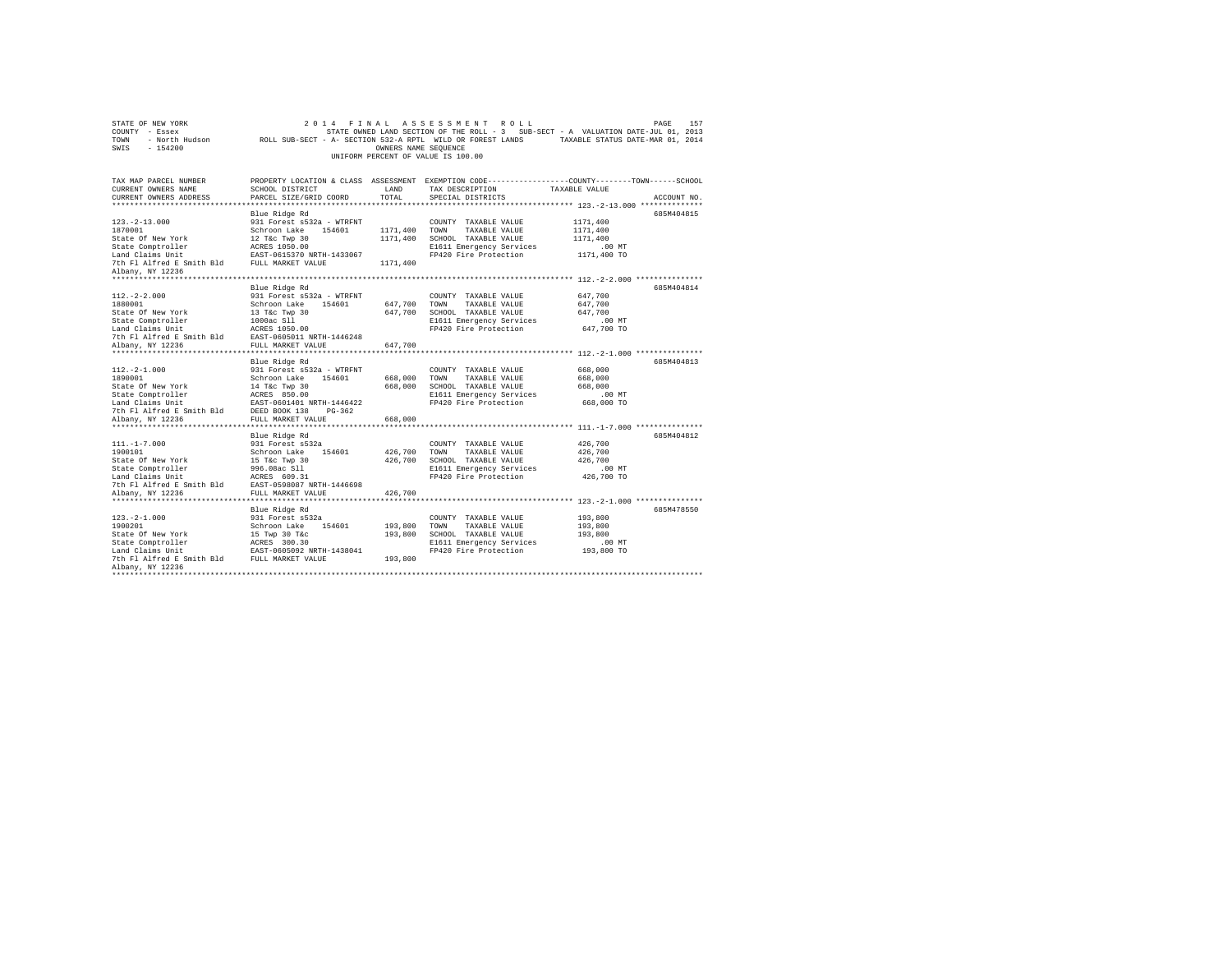| COUNTY - Essex<br>- North Hudson<br>TOWN<br>SWIS<br>$-154200$ | ROLL SUB-SECT - A- SECTION 532-A RPTL WILD OR FOREST LANDS                                                         | OWNERS NAME SEQUENCE | STATE OWNED LAND SECTION OF THE ROLL - 3 SUB-SECT - A VALUATION DATE-JUL 01, 2013 | TAXABLE STATUS DATE-MAR 01, 2014            |             |
|---------------------------------------------------------------|--------------------------------------------------------------------------------------------------------------------|----------------------|-----------------------------------------------------------------------------------|---------------------------------------------|-------------|
|                                                               |                                                                                                                    |                      | UNIFORM PERCENT OF VALUE IS 100.00                                                |                                             |             |
| TAX MAP PARCEL NUMBER<br>CURRENT OWNERS NAME                  | PROPERTY LOCATION & CLASS ASSESSMENT EXEMPTION CODE----------------COUNTY-------TOWN-----SCHOOL<br>SCHOOL DISTRICT | LAND                 | TAX DESCRIPTION                                                                   | TAXABLE VALUE                               |             |
| CURRENT OWNERS ADDRESS                                        | PARCEL SIZE/GRID COORD                                                                                             | TOTAL                | SPECIAL DISTRICTS                                                                 |                                             | ACCOUNT NO. |
| ***********************                                       |                                                                                                                    |                      |                                                                                   | ************** 123.-2-13.000 ************** |             |
| $123. - 2 - 13.000$                                           | Blue Ridge Rd<br>931 Forest s532a - WTRFNT                                                                         |                      | COUNTY TAXABLE VALUE                                                              | 1171,400                                    | 685M404815  |
| 1870001                                                       | Schroon Lake 154601                                                                                                | 1171,400             | TOWN<br>TAXABLE VALUE                                                             | 1171,400                                    |             |
| State Of New York                                             | 12 T&c Twp 30                                                                                                      | 1171,400             | SCHOOL TAXABLE VALUE                                                              | 1171,400                                    |             |
| State Comptroller                                             | ACRES 1050.00                                                                                                      |                      | E1611 Emergency Services                                                          | .00 MT                                      |             |
| Land Claims Unit                                              | EAST-0615370 NRTH-1433067                                                                                          |                      | FP420 Fire Protection                                                             | 1171,400 TO                                 |             |
| 7th Fl Alfred E Smith Bld                                     | FULL MARKET VALUE                                                                                                  | 1171,400             |                                                                                   |                                             |             |
| Albany, NY 12236                                              |                                                                                                                    |                      |                                                                                   |                                             |             |
|                                                               |                                                                                                                    |                      |                                                                                   |                                             |             |
| $112. -2 - 2.000$                                             | Blue Ridge Rd<br>931 Forest s532a - WTRFNT                                                                         |                      |                                                                                   | 647.700                                     | 685M404814  |
| 1880001                                                       | Schroon Lake<br>154601                                                                                             | 647,700              | COUNTY TAXABLE VALUE<br>TOWN<br>TAXABLE VALUE                                     | 647,700                                     |             |
| State Of New York                                             | 13 T&C Twp 30                                                                                                      | 647.700              | SCHOOL TAXABLE VALUE                                                              | 647.700                                     |             |
| State Comptroller                                             | 1000ac S11                                                                                                         |                      | E1611 Emergency Services                                                          | $.00$ MT                                    |             |
| Land Claims Unit                                              | ACRES 1050.00                                                                                                      |                      | FP420 Fire Protection                                                             | 647,700 TO                                  |             |
| 7th Fl Alfred E Smith Bld                                     | EAST-0605011 NRTH-1446248                                                                                          |                      |                                                                                   |                                             |             |
| Albany, NY 12236                                              | FULL MARKET VALUE                                                                                                  | 647.700              |                                                                                   |                                             |             |
| ************************                                      | *******************************                                                                                    |                      |                                                                                   |                                             |             |
|                                                               | Blue Ridge Rd                                                                                                      |                      |                                                                                   |                                             | 685M404813  |
| $112. -2 - 1.000$<br>1890001                                  | 931 Forest s532a - WTRFNT<br>Schroon Lake                                                                          | 668,000              | COUNTY TAXABLE VALUE<br>TOWN<br>TAXABLE VALUE                                     | 668,000<br>668,000                          |             |
| State Of New York                                             | 154601<br>14 T&c Twp 30                                                                                            | 668,000              | SCHOOL TAXABLE VALUE                                                              | 668,000                                     |             |
| State Comptroller                                             | ACRES 850.00                                                                                                       |                      | E1611 Emergency Services                                                          | $.00$ MT                                    |             |
| Land Claims Unit                                              | EAST-0601401 NRTH-1446422                                                                                          |                      | FP420 Fire Protection                                                             | 668,000 TO                                  |             |
| 7th Fl Alfred E Smith Bld                                     | DEED BOOK 138<br>$PG-362$                                                                                          |                      |                                                                                   |                                             |             |
| Albany, NY 12236                                              | FULL MARKET VALUE                                                                                                  | 668,000              |                                                                                   |                                             |             |
| **********************                                        | ***************************                                                                                        |                      |                                                                                   |                                             |             |
|                                                               | Blue Ridge Rd                                                                                                      |                      |                                                                                   |                                             | 685M404812  |
| $111. - 1 - 7.000$                                            | 931 Forest s532a                                                                                                   |                      | COUNTY TAXABLE VALUE                                                              | 426,700                                     |             |
| 1900101<br>State Of New York                                  | Schroon Lake 154601<br>15 T&c Twp 30                                                                               | 426,700<br>426,700   | TOWN<br>TAXABLE VALUE<br>SCHOOL TAXABLE VALUE                                     | 426,700<br>426,700                          |             |
| State Comptroller                                             | 996.08ac Sll                                                                                                       |                      | E1611 Emergency Services                                                          | .00MT                                       |             |
| Land Claims Unit                                              | ACRES 609.31                                                                                                       |                      | FP420 Fire Protection                                                             | 426,700 TO                                  |             |
| 7th Fl Alfred E Smith Bld                                     | EAST-0598087 NRTH-1446698                                                                                          |                      |                                                                                   |                                             |             |
| Albany, NY 12236                                              | FULL MARKET VALUE                                                                                                  | 426,700              |                                                                                   |                                             |             |
|                                                               |                                                                                                                    |                      | ***************************** 123.-2-1.000 ***************                        |                                             |             |
|                                                               | Blue Ridge Rd                                                                                                      |                      |                                                                                   |                                             | 685M478550  |
| $123. -2 - 1.000$                                             | 931 Forest s532a                                                                                                   |                      | COUNTY TAXABLE VALUE                                                              | 193,800                                     |             |
| 1900201                                                       | Schroon Lake 154601                                                                                                | 193,800              | TOWN<br>TAXABLE VALUE                                                             | 193,800                                     |             |
| State Of New York<br>State Comptroller                        | 15 Twp 30 T&c<br>ACRES 300.30                                                                                      | 193,800              | SCHOOL TAXABLE VALUE<br>E1611 Emergency Services                                  | 193,800<br>.00 MT                           |             |
| Land Claims Unit                                              | EAST-0605092 NRTH-1438041                                                                                          |                      | FP420 Fire Protection                                                             | 193,800 TO                                  |             |
| 7th Fl Alfred E Smith Bld FULL MARKET VALUE                   |                                                                                                                    | 193,800              |                                                                                   |                                             |             |
| Albany, NY 12236                                              |                                                                                                                    |                      |                                                                                   |                                             |             |
|                                                               |                                                                                                                    |                      |                                                                                   |                                             |             |

STATE OF NEW YORK 2014 FINAL ASSESSMENT ROLL PAGE 157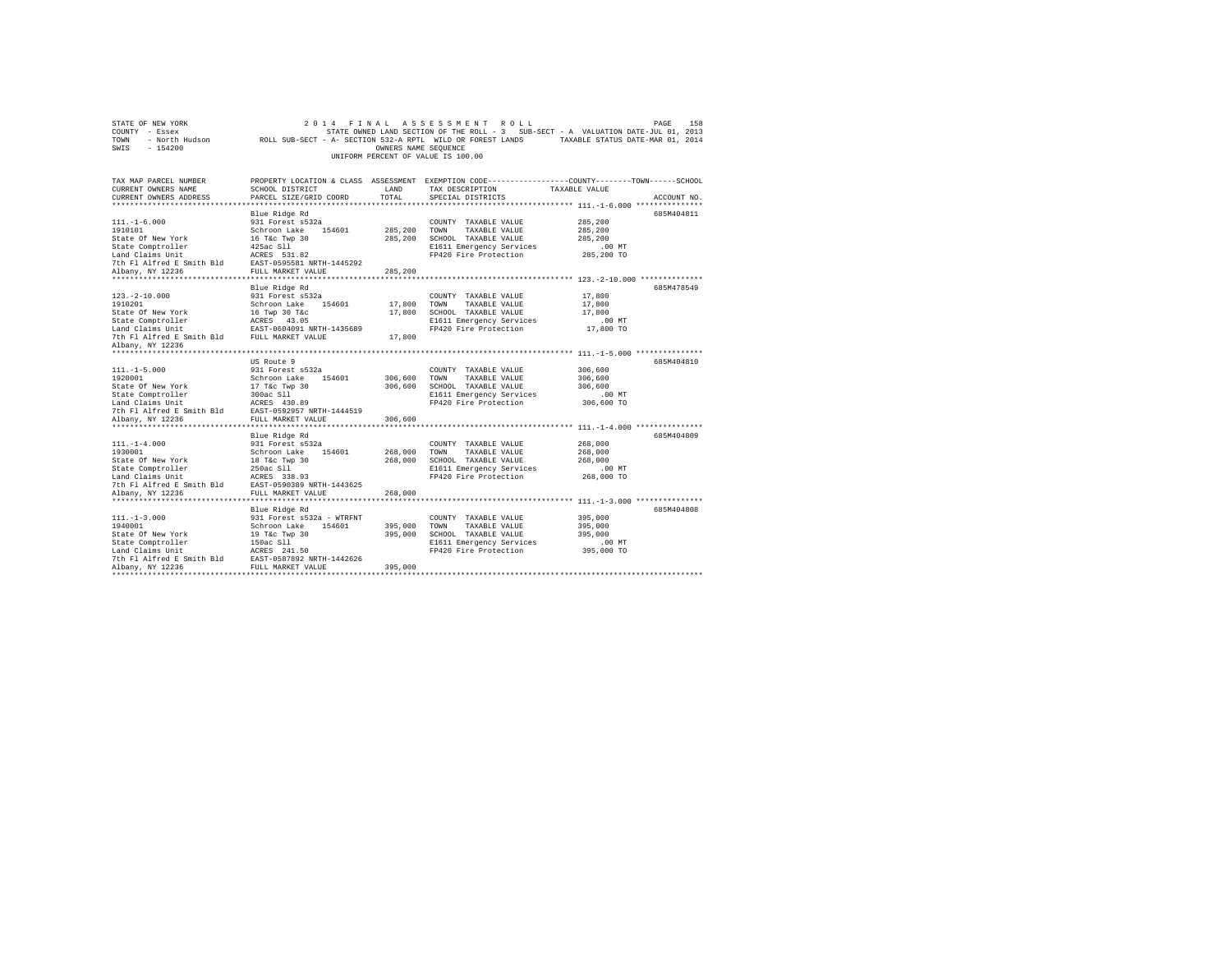| STATE OF NEW YORK<br>COUNTY - Essex                                                                                                                                        | 2 0 1 4                                                                                                    |                      | FINAL ASSESSMENT ROLL<br>STATE OWNED LAND SECTION OF THE ROLL - 3 SUB-SECT - A VALUATION DATE-JUL 01, 2013 |                    | PAGE<br>158 |
|----------------------------------------------------------------------------------------------------------------------------------------------------------------------------|------------------------------------------------------------------------------------------------------------|----------------------|------------------------------------------------------------------------------------------------------------|--------------------|-------------|
| TOWN                                                                                                                                                                       | - North Hudson ROLL SUB-SECT - A- SECTION 532-A RPTL WILD OR FOREST LANDS TAXABLE STATUS DATE-MAR 01, 2014 |                      |                                                                                                            |                    |             |
| SWIS<br>$-154200$                                                                                                                                                          |                                                                                                            | OWNERS NAME SEQUENCE |                                                                                                            |                    |             |
|                                                                                                                                                                            |                                                                                                            |                      | UNIFORM PERCENT OF VALUE IS 100.00                                                                         |                    |             |
|                                                                                                                                                                            |                                                                                                            |                      |                                                                                                            |                    |             |
| TAX MAP PARCEL NUMBER                                                                                                                                                      |                                                                                                            |                      | PROPERTY LOCATION & CLASS ASSESSMENT EXEMPTION CODE---------------COUNTY-------TOWN------SCHOOL            |                    |             |
| CURRENT OWNERS NAME                                                                                                                                                        | SCHOOL DISTRICT                                                                                            | LAND                 | TAX DESCRIPTION                                                                                            | TAXABLE VALUE      |             |
| CURRENT OWNERS ADDRESS                                                                                                                                                     | PARCEL SIZE/GRID COORD                                                                                     | TOTAL                | SPECIAL DISTRICTS                                                                                          |                    | ACCOUNT NO. |
|                                                                                                                                                                            |                                                                                                            |                      |                                                                                                            |                    |             |
|                                                                                                                                                                            | Blue Ridge Rd                                                                                              |                      |                                                                                                            |                    | 685M404811  |
| $111. - 1 - 6.000$                                                                                                                                                         | 931 Forest s532a                                                                                           |                      | COUNTY TAXABLE VALUE                                                                                       | 285,200            |             |
| 1910101                                                                                                                                                                    | Schroon Lake 154601                                                                                        | 285,200              | TOWN<br>TAXABLE VALUE                                                                                      | 285,200            |             |
| State Of New York                                                                                                                                                          | 16 T&c Twp 30<br>425ac Sll                                                                                 |                      | 285,200 SCHOOL TAXABLE VALUE                                                                               | 285,200            |             |
| State Comptroller                                                                                                                                                          |                                                                                                            |                      | E1611 Emergency Services                                                                                   | .00 MT             |             |
|                                                                                                                                                                            |                                                                                                            |                      | FP420 Fire Protection                                                                                      | 285,200 TO         |             |
|                                                                                                                                                                            |                                                                                                            | 285,200              |                                                                                                            |                    |             |
|                                                                                                                                                                            |                                                                                                            |                      |                                                                                                            |                    |             |
|                                                                                                                                                                            | Blue Ridge Rd                                                                                              |                      |                                                                                                            |                    | 685M478549  |
| $123. - 2 - 10.000$                                                                                                                                                        | 931 Forest s532a                                                                                           |                      | COUNTY TAXABLE VALUE                                                                                       | 17,800             |             |
| 1910201                                                                                                                                                                    | Schroon Lake 154601                                                                                        | 17,800               | TOWN<br>TAXABLE VALUE                                                                                      | 17,800             |             |
|                                                                                                                                                                            |                                                                                                            | 17,800               | SCHOOL TAXABLE VALUE                                                                                       | 17,800             |             |
|                                                                                                                                                                            |                                                                                                            |                      | E1611 Emergency Services                                                                                   | $.00$ MT           |             |
|                                                                                                                                                                            |                                                                                                            |                      | FP420 Fire Protection                                                                                      | 17,800 TO          |             |
|                                                                                                                                                                            |                                                                                                            | 17,800               |                                                                                                            |                    |             |
| Albany, NY 12236                                                                                                                                                           |                                                                                                            |                      |                                                                                                            |                    |             |
|                                                                                                                                                                            |                                                                                                            |                      |                                                                                                            |                    |             |
|                                                                                                                                                                            | US Route 9                                                                                                 |                      |                                                                                                            |                    | 685M404810  |
| $111. -1 - 5.000$                                                                                                                                                          | 931 Forest s532a                                                                                           |                      | COUNTY TAXABLE VALUE                                                                                       | 306,600            |             |
| 1920001                                                                                                                                                                    | Schroon Lake 154601                                                                                        | 306,600              | TOWN<br>TAXABLE VALUE<br>306,600 SCHOOL TAXABLE VALUE                                                      | 306,600<br>306,600 |             |
|                                                                                                                                                                            |                                                                                                            |                      | E1611 Emergency Services                                                                                   | $.00$ MT           |             |
|                                                                                                                                                                            |                                                                                                            |                      | FP420 Fire Protection                                                                                      | 306,600 TO         |             |
|                                                                                                                                                                            |                                                                                                            |                      |                                                                                                            |                    |             |
| Albany, NY 12236                                                                                                                                                           | FULL MARKET VALUE                                                                                          | 306,600              |                                                                                                            |                    |             |
|                                                                                                                                                                            |                                                                                                            |                      |                                                                                                            |                    |             |
|                                                                                                                                                                            | Blue Ridge Rd                                                                                              |                      |                                                                                                            |                    | 685M404809  |
| $111. - 1 - 4.000$                                                                                                                                                         | 931 Forest s532a                                                                                           |                      | COUNTY TAXABLE VALUE                                                                                       | 268,000            |             |
| 1930001                                                                                                                                                                    | Schroon Lake 154601                                                                                        | 268,000              | TOWN<br>TAXABLE VALUE                                                                                      | 268,000            |             |
| State Of New York                                                                                                                                                          | 18 T&c Twp 30<br>250ac Sll                                                                                 |                      | 268,000 SCHOOL TAXABLE VALUE                                                                               | 268,000            |             |
| State Comptroller<br>State Comptromer<br>Land Claims Unit Macket Bases 338.93<br>7th Fl Alfred E Smith Bld BAST-0590389 NRTH-1443625<br>11 Norw NY 12236 FULL MARKET VALUE |                                                                                                            |                      | E1611 Emergency Services                                                                                   | $.00$ MT           |             |
|                                                                                                                                                                            |                                                                                                            |                      | FP420 Fire Protection                                                                                      | 268,000 TO         |             |
|                                                                                                                                                                            |                                                                                                            | 268,000              |                                                                                                            |                    |             |
|                                                                                                                                                                            |                                                                                                            |                      |                                                                                                            |                    |             |
|                                                                                                                                                                            | Blue Ridge Rd                                                                                              |                      |                                                                                                            |                    | 685M404808  |
| $111. - 1 - 3.000$                                                                                                                                                         | 931 Forest s532a - WTRFNT                                                                                  |                      | COUNTY TAXABLE VALUE                                                                                       | 395,000            |             |
| 1940001                                                                                                                                                                    | Schroon Lake<br>154601                                                                                     | 395,000              | TOWN<br>TAXABLE VALUE                                                                                      | 395,000            |             |
| State Of New York                                                                                                                                                          | 19 T&c Twp 30                                                                                              | 395,000              | SCHOOL TAXABLE VALUE                                                                                       | 395,000            |             |
| State Comptroller                                                                                                                                                          | 150ac S11                                                                                                  |                      | E1611 Emergency Services                                                                                   | .00MT              |             |
| Land Claims Unit                                                                                                                                                           | ACRES 241.50                                                                                               |                      | FP420 Fire Protection                                                                                      | 395,000 TO         |             |
| Find the smith Bld<br>The Fi Alfred E Smith Bld<br>Albany, NY 12236 FULL MARKET VALUE                                                                                      |                                                                                                            |                      |                                                                                                            |                    |             |
| Albany, NY 12236                                                                                                                                                           | FULL MARKET VALUE                                                                                          | 395,000              |                                                                                                            |                    |             |
|                                                                                                                                                                            |                                                                                                            |                      |                                                                                                            |                    |             |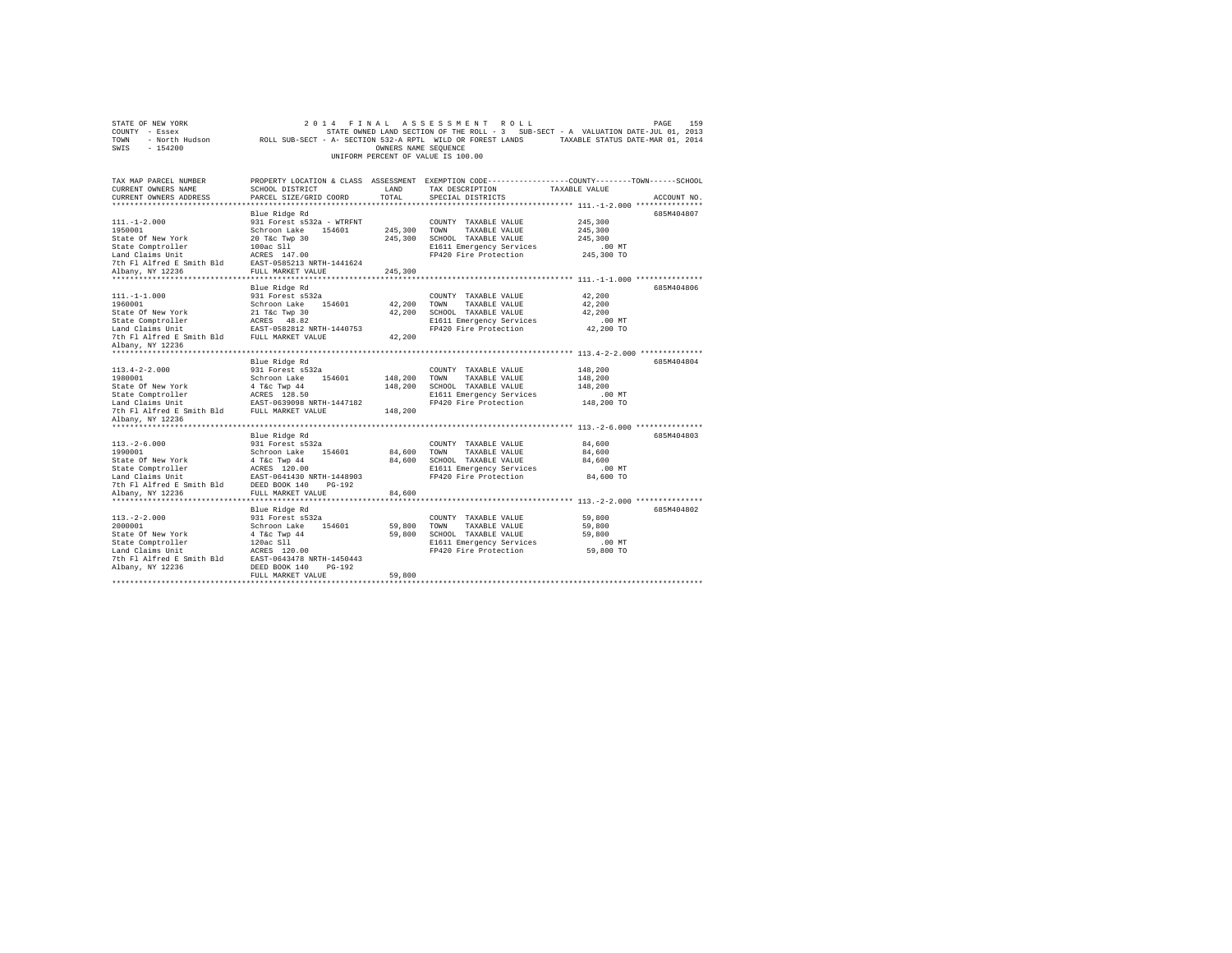| STATE OF NEW YORK         | 2 0 1 4<br>FINAL                                           |                      | ASSESSMENT<br>ROLL                 | PAGE                                                                                             | 159         |
|---------------------------|------------------------------------------------------------|----------------------|------------------------------------|--------------------------------------------------------------------------------------------------|-------------|
| COUNTY - Essex            |                                                            |                      |                                    | STATE OWNED LAND SECTION OF THE ROLL - 3 SUB-SECT - A VALUATION DATE-JUL 01, 2013                |             |
| - North Hudson<br>TOWN    | ROLL SUB-SECT - A- SECTION 532-A RPTL WILD OR FOREST LANDS |                      |                                    | TAXABLE STATUS DATE-MAR 01, 2014                                                                 |             |
| SWIS<br>$-154200$         |                                                            | OWNERS NAME SEQUENCE |                                    |                                                                                                  |             |
|                           |                                                            |                      | UNIFORM PERCENT OF VALUE IS 100.00 |                                                                                                  |             |
|                           |                                                            |                      |                                    |                                                                                                  |             |
|                           |                                                            |                      |                                    |                                                                                                  |             |
| TAX MAP PARCEL NUMBER     |                                                            |                      |                                    | PROPERTY LOCATION & CLASS ASSESSMENT EXEMPTION CODE----------------COUNTY-------TOWN------SCHOOL |             |
| CURRENT OWNERS NAME       | SCHOOL DISTRICT                                            | LAND                 | TAX DESCRIPTION                    | TAXABLE VALUE                                                                                    |             |
| CURRENT OWNERS ADDRESS    | PARCEL SIZE/GRID COORD                                     | TOTAL                | SPECIAL DISTRICTS                  |                                                                                                  | ACCOUNT NO. |
|                           |                                                            |                      |                                    |                                                                                                  |             |
|                           |                                                            |                      |                                    |                                                                                                  |             |
|                           | Blue Ridge Rd                                              |                      |                                    |                                                                                                  | 685M404807  |
| $111. - 1 - 2.000$        | 931 Forest s532a - WTRFNT                                  |                      | COUNTY TAXABLE VALUE               | 245,300                                                                                          |             |
| 1950001                   | Schroon Lake<br>154601                                     | 245,300              | TOWN<br>TAXABLE VALUE              | 245,300                                                                                          |             |
| State Of New York         | 20 T&c Twp 30                                              | 245,300              | SCHOOL TAXABLE VALUE               | 245,300                                                                                          |             |
| State Comptroller         | 100ac S11                                                  |                      | E1611 Emergency Services           | $.00$ MT                                                                                         |             |
| Land Claims Unit          | ACRES 147.00                                               |                      | FP420 Fire Protection              | 245,300 TO                                                                                       |             |
| 7th Fl Alfred E Smith Bld | EAST-0585213 NRTH-1441624                                  |                      |                                    |                                                                                                  |             |
| Albany, NY 12236          | FULL MARKET VALUE                                          | 245,300              |                                    |                                                                                                  |             |
| *********************     | ********************                                       | **********           |                                    | *********************** 111.-1-1.000 ***************                                             |             |
|                           | Blue Ridge Rd                                              |                      |                                    |                                                                                                  | 685M404806  |
| $111. - 1 - 1.000$        | 931 Forest s532a                                           |                      | COUNTY TAXABLE VALUE               | 42,200                                                                                           |             |
| 1960001                   | Schroon Lake<br>154601                                     | 42,200               | TOWN<br>TAXABLE VALUE              | 42,200                                                                                           |             |
| State Of New York         | 21 T&c Twp 30                                              | 42,200               | SCHOOL TAXABLE VALUE               | 42,200                                                                                           |             |
|                           |                                                            |                      |                                    |                                                                                                  |             |
| State Comptroller         | ACRES 48.82                                                |                      | E1611 Emergency Services           | .00 MT                                                                                           |             |
| Land Claims Unit          | EAST-0582812 NRTH-1440753                                  |                      | FP420 Fire Protection              | 42,200 TO                                                                                        |             |
| 7th Fl Alfred E Smith Bld | FULL MARKET VALUE                                          | 42,200               |                                    |                                                                                                  |             |
| Albany, NY 12236          |                                                            |                      |                                    |                                                                                                  |             |
|                           |                                                            |                      |                                    |                                                                                                  |             |
|                           | Blue Ridge Rd                                              |                      |                                    |                                                                                                  | 685M404804  |
| $113.4 - 2 - 2.000$       | 931 Forest s532a                                           |                      | COUNTY TAXABLE VALUE               | 148,200                                                                                          |             |
| 1980001                   | Schroon Lake<br>154601                                     | 148,200              | TOWN<br>TAXABLE VALUE              | 148,200                                                                                          |             |
| State Of New York         | 4 T&c Twp 44                                               | 148,200              | SCHOOL TAXABLE VALUE               | 148,200                                                                                          |             |
| State Comptroller         | ACRES 128.50                                               |                      | E1611 Emergency Services           | .00MT                                                                                            |             |
| Land Claims Unit          | EAST-0639098 NRTH-1447182                                  |                      | FP420 Fire Protection              | 148,200 TO                                                                                       |             |
| 7th Fl Alfred E Smith Bld | FULL MARKET VALUE                                          | 148,200              |                                    |                                                                                                  |             |
| Albany, NY 12236          |                                                            |                      |                                    |                                                                                                  |             |
| *****************         |                                                            |                      |                                    | *********** 113.-2-6.000 ***************                                                         |             |
|                           | Blue Ridge Rd                                              |                      |                                    |                                                                                                  | 685M404803  |
| $113. - 2 - 6.000$        | 931 Forest s532a                                           |                      | COUNTY TAXABLE VALUE               | 84,600                                                                                           |             |
| 1990001                   |                                                            |                      | TOWN                               |                                                                                                  |             |
|                           | Schroon Lake<br>154601                                     | 84,600               | TAXABLE VALUE                      | 84,600                                                                                           |             |
| State Of New York         | 4 T&c Twp 44                                               | 84,600               | SCHOOL TAXABLE VALUE               | 84,600                                                                                           |             |
| State Comptroller         | ACRES 120.00                                               |                      | E1611 Emergency Services           | .00MT                                                                                            |             |
| Land Claims Unit          | EAST-0641430 NRTH-1448903                                  |                      | FP420 Fire Protection              | 84,600 TO                                                                                        |             |
| 7th Fl Alfred E Smith Bld | DEED BOOK 140<br>$PG-192$                                  |                      |                                    |                                                                                                  |             |
| Albany, NY 12236          | FULL MARKET VALUE                                          | 84,600               |                                    |                                                                                                  |             |
|                           |                                                            |                      |                                    |                                                                                                  |             |
|                           | Blue Ridge Rd                                              |                      |                                    |                                                                                                  | 685M404802  |
| $113. -2 - 2.000$         | 931 Forest s532a                                           |                      | COUNTY TAXABLE VALUE               | 59,800                                                                                           |             |
| 2000001                   | Schroon Lake<br>154601                                     | 59,800               | TOWN<br>TAXABLE VALUE              | 59,800                                                                                           |             |
| State Of New York         | 4 T&c Twp 44                                               | 59,800               | SCHOOL TAXABLE VALUE               | 59,800                                                                                           |             |
| State Comptroller         | 120ac S11                                                  |                      | E1611 Emergency Services           | .00MT                                                                                            |             |
| Land Claims Unit          | ACRES 120.00                                               |                      | FP420 Fire Protection              | 59,800 TO                                                                                        |             |
| 7th Fl Alfred E Smith Bld | EAST-0643478 NRTH-1450443                                  |                      |                                    |                                                                                                  |             |
| Albany, NY 12236          | DEED BOOK 140<br>$PG-192$                                  |                      |                                    |                                                                                                  |             |
|                           | FULL MARKET VALUE                                          | 59,800               |                                    |                                                                                                  |             |
|                           |                                                            |                      |                                    |                                                                                                  |             |
|                           |                                                            |                      |                                    |                                                                                                  |             |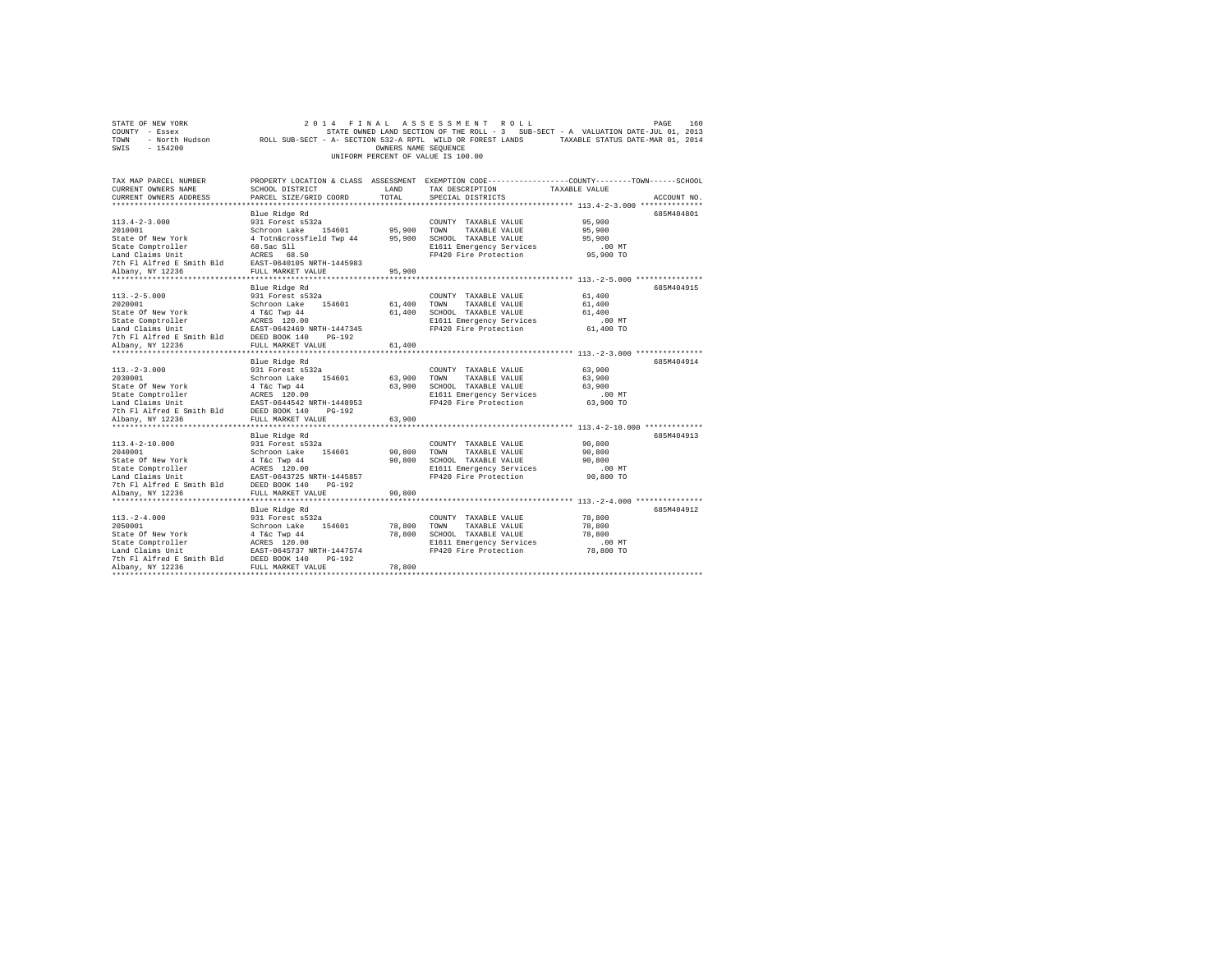|                                    | STATE OF NEW YORK |                                                            |  |  |  |  | 2014 FINAL ASSESSMENT ROLL |  |  |                                                                                   |  | PAGE                             | 160 |
|------------------------------------|-------------------|------------------------------------------------------------|--|--|--|--|----------------------------|--|--|-----------------------------------------------------------------------------------|--|----------------------------------|-----|
| COUNTY - Essex                     |                   |                                                            |  |  |  |  |                            |  |  | STATE OWNED LAND SECTION OF THE ROLL - 3 SUB-SECT - A VALUATION DATE-JUL 01, 2013 |  |                                  |     |
| TOWN                               | - North Hudson    | ROLL SUB-SECT - A- SECTION 532-A RPTL WILD OR FOREST LANDS |  |  |  |  |                            |  |  |                                                                                   |  | TAXABLE STATUS DATE-MAR 01, 2014 |     |
| SWIS                               | - 154200          |                                                            |  |  |  |  | OWNERS NAME SEOUENCE       |  |  |                                                                                   |  |                                  |     |
| UNIFORM PERCENT OF VALUE IS 100.00 |                   |                                                            |  |  |  |  |                            |  |  |                                                                                   |  |                                  |     |

| TAX MAP PARCEL NUMBER<br>CURRENT OWNERS NAME                                                                                                        | SCHOOL DISTRICT                                          | LAND        | TAX DESCRIPTION                                   | PROPERTY LOCATION & CLASS ASSESSMENT EXEMPTION CODE----------------COUNTY-------TOWN-----SCHOOL<br>TAXABLE VALUE |
|-----------------------------------------------------------------------------------------------------------------------------------------------------|----------------------------------------------------------|-------------|---------------------------------------------------|------------------------------------------------------------------------------------------------------------------|
| CURRENT OWNERS ADDRESS                                                                                                                              | PARCEL SIZE/GRID COORD                                   | TOTAL       | SPECIAL DISTRICTS                                 | ACCOUNT NO                                                                                                       |
|                                                                                                                                                     | Blue Ridge Rd                                            |             |                                                   | 685M404801                                                                                                       |
| $113.4 - 2 - 3.000$                                                                                                                                 | 931 Forest s532a                                         |             | COUNTY TAXABLE VALUE                              | 95,900                                                                                                           |
| 2010001                                                                                                                                             | Schroon Lake 154601 95,900                               |             | TOWN<br>TAXABLE VALUE                             | 95,900                                                                                                           |
| State Of New York                                                                                                                                   | 4 Totn&crossfield Twp 44                                 | 95,900      | SCHOOL TAXABLE VALUE                              | 95,900                                                                                                           |
| State Comptroller                                                                                                                                   |                                                          |             | E1611 Emergency Services                          | .00 MT                                                                                                           |
| Land Claims Unit                                                                                                                                    | 68.5ac S11<br>ACRES 68.50                                |             | FP420 Fire Protection                             | 95,900 TO                                                                                                        |
| 7th Fl Alfred E Smith Bld EAST-0640105 NRTH-1445983                                                                                                 |                                                          |             |                                                   |                                                                                                                  |
| Albany, NY 12236                                                                                                                                    | FULL MARKET VALUE                                        | 95,900      |                                                   |                                                                                                                  |
| .                                                                                                                                                   | *******************                                      | *******     |                                                   | ********* 113. - 2-5.000 ***************                                                                         |
|                                                                                                                                                     | Blue Ridge Rd                                            |             |                                                   | 685M404915                                                                                                       |
| $113. - 2 - 5.000$                                                                                                                                  | 931 Forest s532a                                         |             | COUNTY TAXABLE VALUE                              | 61,400                                                                                                           |
| 2020001                                                                                                                                             | Schroon Lake 154601                                      |             | 61,400 TOWN<br>TAXABLE VALUE                      | 61,400                                                                                                           |
| State Of New York                                                                                                                                   | 4 T&C Twp 44                                             |             | 61,400 SCHOOL TAXABLE VALUE                       | 61,400                                                                                                           |
|                                                                                                                                                     |                                                          |             | E1611 Emergency Services                          | $.00$ MT                                                                                                         |
|                                                                                                                                                     |                                                          |             | FP420 Fire Protection                             | 61,400 TO                                                                                                        |
| State Comptroller<br>Land Claims Unit<br>The Flatfred E. Smith Bld<br>The Flatfred E. Smith Bld<br>DEED BOOK 140<br>DEED BOOK 110<br>Nhany NY 12226 |                                                          |             |                                                   |                                                                                                                  |
| Albany, NY 12236<br>******************                                                                                                              | FULL MARKET VALUE<br>************************            | 61,400      |                                                   |                                                                                                                  |
|                                                                                                                                                     |                                                          |             |                                                   |                                                                                                                  |
|                                                                                                                                                     | Blue Ridge Rd                                            |             |                                                   | 685M404914                                                                                                       |
| $113. - 2 - 3.000$<br>2030001                                                                                                                       | 931 Forest s532a<br>Schroon Lake 154601                  | 63,900 TOWN | COUNTY TAXABLE VALUE<br>TAXABLE VALUE             | 63,900<br>63,900                                                                                                 |
| State Of New York                                                                                                                                   |                                                          |             | 63.900 SCHOOL TAXABLE VALUE                       | 63,900                                                                                                           |
| State Comptroller                                                                                                                                   | 4 T&C Twp 44<br>ACRES 120.00                             |             | E1611 Emergency Services                          | .00MT                                                                                                            |
| Land Claims Unit                                                                                                                                    |                                                          |             | FP420 Fire Protection                             | 63,900 TO                                                                                                        |
| 7th Fl Alfred E Smith Bld                                                                                                                           | EAST-0644542 NRTH-1448953<br>th Bld DEED BOOK 140 PG-192 |             |                                                   |                                                                                                                  |
| Albany, NY 12236                                                                                                                                    | FULL MARKET VALUE                                        | 63,900      |                                                   |                                                                                                                  |
|                                                                                                                                                     |                                                          |             |                                                   | ******************** 113.4-2-10.000 ***********                                                                  |
|                                                                                                                                                     | Blue Ridge Rd                                            |             |                                                   | 685M404913                                                                                                       |
| $113.4 - 2 - 10.000$                                                                                                                                | 931 Forest s532a                                         |             | COUNTY TAXABLE VALUE                              | 90,800                                                                                                           |
| 2040001                                                                                                                                             | 154601<br>Schroon Lake                                   | 90,800      | TOWN<br>TAXABLE VALUE                             | 90,800                                                                                                           |
| State Of New York                                                                                                                                   | 4 T&c Twp 44                                             | 90,800      | SCHOOL TAXABLE VALUE                              | 90,800                                                                                                           |
| State Comptroller                                                                                                                                   | ACRES 120.00<br>EAST-0643725 NRTH-1445857                |             | E1611 Emergency Services                          | .00MT                                                                                                            |
| Land Claims Unit                                                                                                                                    |                                                          |             | FP420 Fire Protection                             | 90,800 TO                                                                                                        |
| Land Claims only<br>7th Fl Alfred E Smith Bld       DEED BOOK 140<br>- Norman My 19936                   FULL MARKET VI                             | PG-192                                                   |             |                                                   |                                                                                                                  |
|                                                                                                                                                     | FULL MARKET VALUE                                        | 90,800      |                                                   |                                                                                                                  |
|                                                                                                                                                     |                                                          |             |                                                   |                                                                                                                  |
|                                                                                                                                                     | Blue Ridge Rd                                            |             |                                                   | 685M404912                                                                                                       |
| $113. - 2 - 4.000$                                                                                                                                  | 931 Forest s532a                                         |             | COUNTY TAXABLE VALUE                              | 78,800                                                                                                           |
| 2050001                                                                                                                                             | Schroon Lake 154601                                      | 78,800      | TOWN<br>TAXABLE VALUE                             | 78,800                                                                                                           |
| State Of New York                                                                                                                                   | 4 T&c Twp 44<br>ACRES 120.00                             | 78,800      | SCHOOL TAXABLE VALUE                              | 78,800                                                                                                           |
| State Comptroller<br>Land Claims Unit                                                                                                               | EAST-0645737 NRTH-1447574                                |             | E1611 Emergency Services<br>FP420 Fire Protection | $.00$ MT<br>78,800 TO                                                                                            |
| 7th Fl Alfred E Smith Bld                                                                                                                           | DEED BOOK 140<br>$PG-192$                                |             |                                                   |                                                                                                                  |
| Albany, NY 12236                                                                                                                                    | FULL MARKET VALUE                                        | 78,800      |                                                   |                                                                                                                  |
| *************************                                                                                                                           |                                                          |             |                                                   |                                                                                                                  |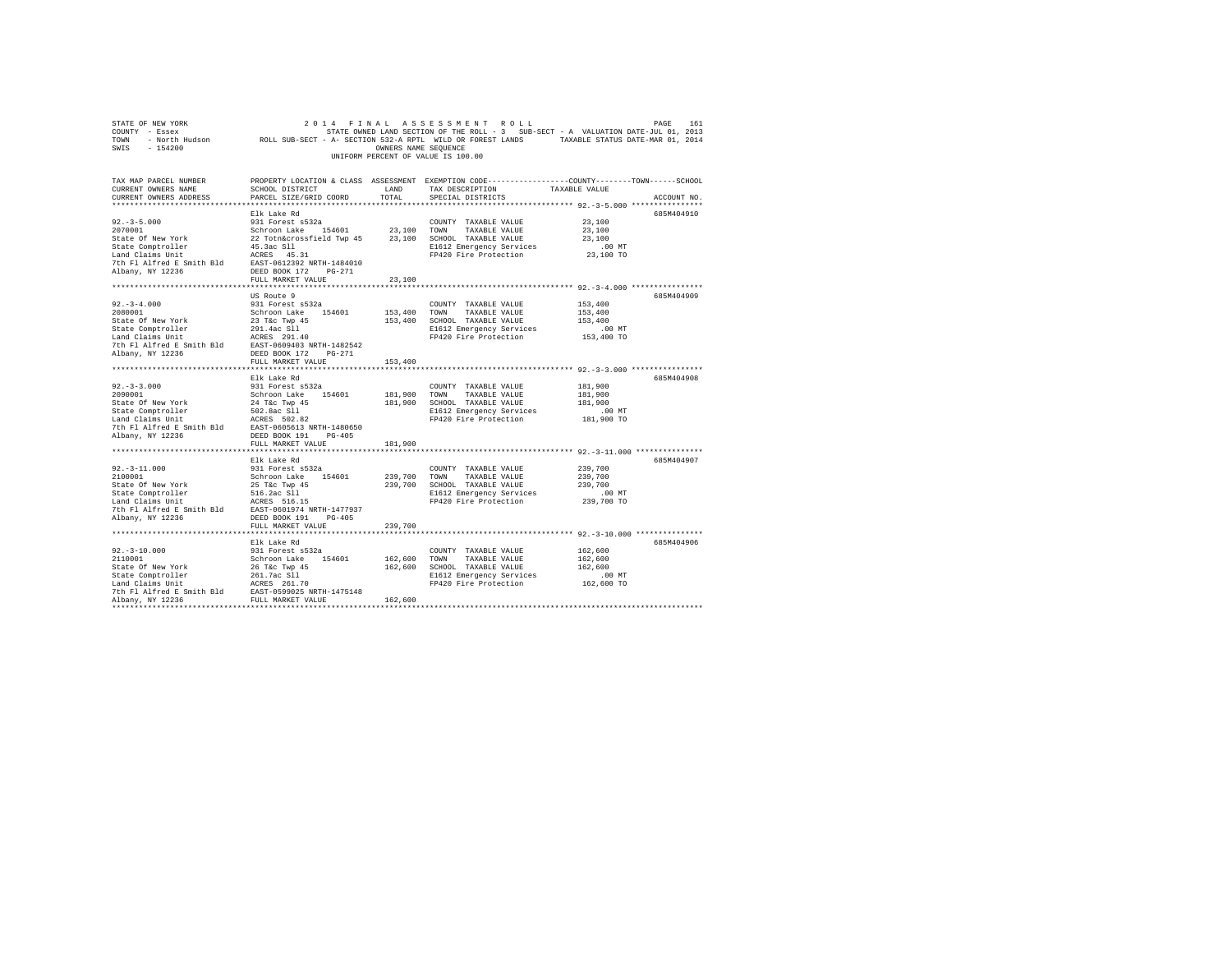| STATE OF NEW YORK<br>COUNTY - Essex COUNTY - ESSEX COUNTY - ESSEX COUNTY - ESSEX COUNTY - ESSEX COUNTY - ESSEX COUNTY - ESSEX COUN<br>2014 - North Hudson           ROLL SUB-SECT - A- SECTION 532-A RPTL WILD OR FOREST LANDS     TAXABLE STATUS DATE<br>SWIS - 154200 |                                                                                                                                                         | OWNERS NAME SEQUENCE    | 2014 FINAL ASSESSMENT ROLL<br>UNIFORM PERCENT OF VALUE IS 100.00                                                                        |                                                                                                   | PAGE<br>161 |
|-------------------------------------------------------------------------------------------------------------------------------------------------------------------------------------------------------------------------------------------------------------------------|---------------------------------------------------------------------------------------------------------------------------------------------------------|-------------------------|-----------------------------------------------------------------------------------------------------------------------------------------|---------------------------------------------------------------------------------------------------|-------------|
| TAX MAP PARCEL NUMBER<br>CURRENT OWNERS NAME<br>CURRENT OWNERS ADDRESS                                                                                                                                                                                                  | PROPERTY LOCATION & CLASS ASSESSMENT EXEMPTION CODE---------------COUNTY-------TOWN------SCHOOL<br>SCHOOL DISTRICT LAND<br>PARCEL SIZE/GRID COORD TOTAL |                         | TAX DESCRIPTION<br>SPECIAL DISTRICTS                                                                                                    | TAXABLE VALUE                                                                                     | ACCOUNT NO. |
| $92. - 3 - 5.000$<br>2070001<br>State Of New York<br>State Comptroller<br>Land Claims Unit<br>7th Fl Alfred E Smith Bld EAST-0612392 NRTH-1484010<br>Albany, NY 12236                                                                                                   | Elk Lake Rd<br>931 Forest s532a<br>Schroon Lake 154601<br>22 Totn&crossfield Twp 45<br>45.3ac S11<br>ACRES 45.31<br>DEED BOOK 172   PG-271              | 23,100 TOWN             | COUNTY TAXABLE VALUE<br>TAXABLE VALUE<br>23,100 SCHOOL TAXABLE VALUE<br>E1612 Emergency Services<br>FP420 Fire Protection               | 23,100<br>23,100<br>23,100<br>$.00$ MT<br>23,100 TO                                               | 685M404910  |
|                                                                                                                                                                                                                                                                         | FULL MARKET VALUE                                                                                                                                       | 23,100                  |                                                                                                                                         |                                                                                                   |             |
| $92. - 3 - 4.000$<br>2080001<br>State Of New York<br>State Comptroller<br>Land Claims Unit<br>7th Fl Alfred E Smith Bld EAST-0609403 NRTH-1482542<br>Albany, NY 12236                                                                                                   | US Route 9<br>931 Forest s532a<br>Schroon Lake 154601<br>23 T&c Twp 45<br>291.4ac Sll<br>ACRES 291.40<br>DEED BOOK 172 PG-271                           |                         | COUNTY TAXABLE VALUE<br>153,400 TOWN TAXABLE VALUE<br>153,400 SCHOOL TAXABLE VALUE<br>E1612 Emergency Services<br>FP420 Fire Protection | 153,400<br>153,400<br>153,400<br>$.00$ MT<br>153,400 TO                                           | 685M404909  |
|                                                                                                                                                                                                                                                                         | FULL MARKET VALUE                                                                                                                                       | 153,400                 |                                                                                                                                         |                                                                                                   |             |
| $92. - 3 - 3.000$<br>2090001<br>State Of New York<br>State Comptroller<br>Land Claims Unit<br>7th Fl Alfred E Smith Bld EAST-0605613 NRTH-1480650<br>Albany, NY 12236                                                                                                   | Elk Lake Rd<br>931 Forest s532a<br>Schroon Lake 154601<br>24 T&C Twp 45<br>502.8ac S11<br>ACRES 502.82<br>DEED BOOK 191 PG-405                          | 181,900 TOWN            | COUNTY TAXABLE VALUE<br>TAXABLE VALUE<br>181,900 SCHOOL TAXABLE VALUE<br>E1612 Emergency Services<br>FP420 Fire Protection              | 181,900<br>181,900<br>181,900<br>$.00$ MT<br>181,900 TO                                           | 685M404908  |
|                                                                                                                                                                                                                                                                         | FULL MARKET VALUE                                                                                                                                       | 181,900                 |                                                                                                                                         |                                                                                                   |             |
| $92.-3-11.000$<br>2100001<br>State Of New York<br>State Comptroller<br>State Computer of the state of the state of the Land Claims Unit<br>7th Fl Alfred E Smith Bld EAST-0601974 NRTH-1477937<br>Albany, NY 12236                                                      | Elk Lake Rd<br>931 Forest s532a<br>Schroon Lake 154601<br>25 T&c Twp 45<br>516.2ac Sll<br>DEED BOOK 191 PG-405                                          |                         | COUNTY TAXABLE VALUE<br>239,700 TOWN TAXABLE VALUE<br>239,700 SCHOOL TAXABLE VALUE<br>E1612 Emergency Services<br>FP420 Fire Protection | 239,700<br>239,700<br>239,700<br>$.00$ MT<br>239,700 TO                                           | 685M404907  |
|                                                                                                                                                                                                                                                                         | FULL MARKET VALUE                                                                                                                                       | 239,700                 |                                                                                                                                         |                                                                                                   |             |
| $92. - 3 - 10.000$<br>2110001<br>State Of New York 26 T&C Twp 45<br>State Comptroller 261.7ac Sll<br>Land Claims Unit ACRES 261.70<br>7th Fl Alfred E Smith Bld EAST-0599025 NRTH-1475148<br>Albany, NY 12236                                                           | .<br>Elk Lake Rd<br>931 Forest s532a<br>Schroon Lake 154601<br>FULL MARKET VALUE                                                                        | 162,600 TOWN<br>162,600 | COUNTY TAXABLE VALUE<br>TAXABLE VALUE<br>162,600 SCHOOL TAXABLE VALUE<br>E1612 Emergency Services<br>FP420 Fire Protection              | ********** 92. -3-10.000 ***************<br>162,600<br>162,600<br>162,600<br>.00 MT<br>162,600 TO | 685M404906  |
|                                                                                                                                                                                                                                                                         |                                                                                                                                                         |                         |                                                                                                                                         |                                                                                                   |             |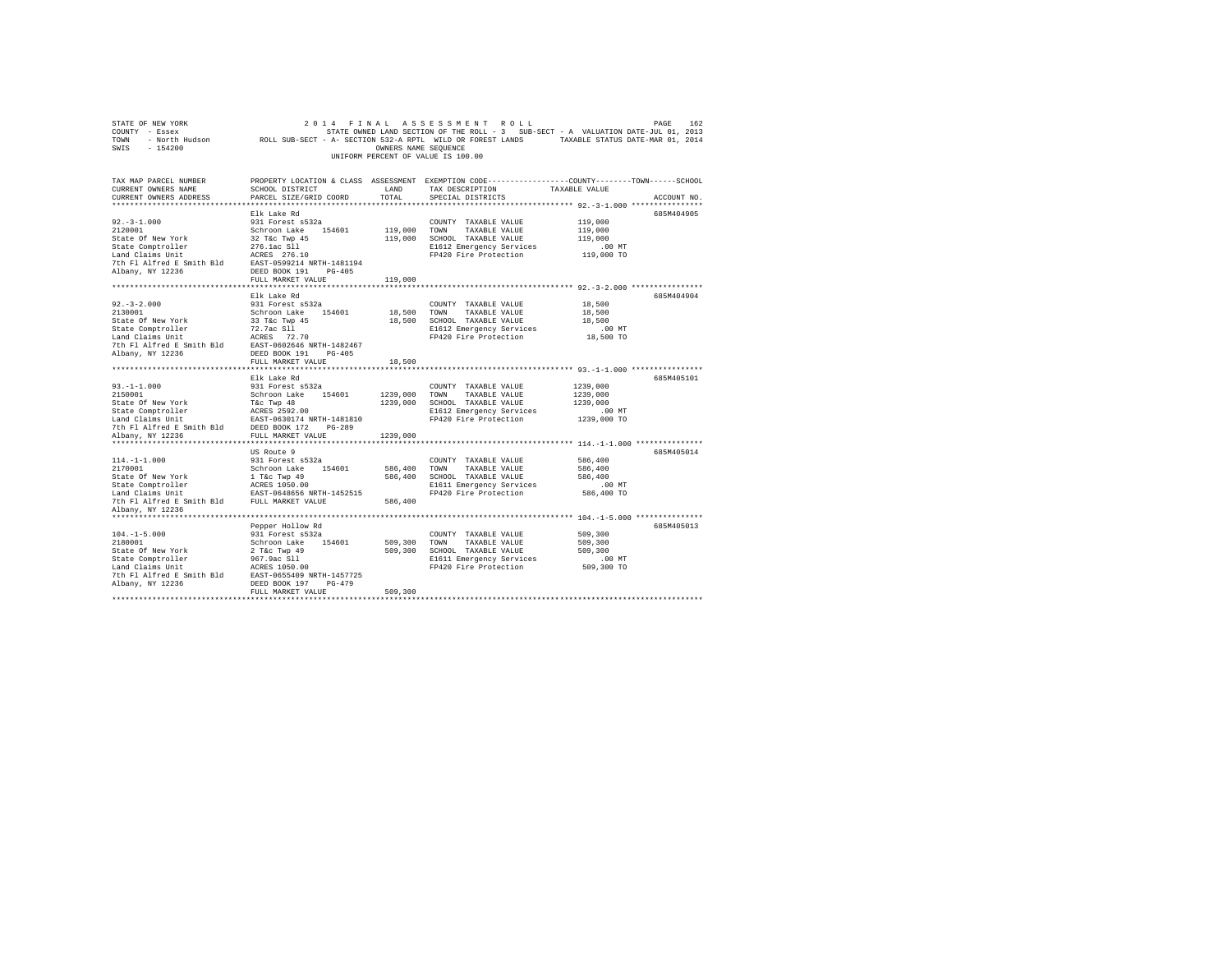| STATE OF NEW YORK<br>COUNTY - Essex COUNTY - Essex COUL SUB-SECT - A VALUATION DATE-JUL 01, 2013<br>2014 TOWN - North Hudson           ROLL SUB-SECT - A- SECTION 532-A RPTL WILD OR FOREST LANDS     TAXABLE STATUS DATE-MAR 01, 2014<br>SWIS - 154200 |                                 | OWNERS NAME SEQUENCE | 2014 FINAL ASSESSMENT ROLL<br>UNIFORM PERCENT OF VALUE IS 100.00                                                   |                    | PAGE<br>162 |
|---------------------------------------------------------------------------------------------------------------------------------------------------------------------------------------------------------------------------------------------------------|---------------------------------|----------------------|--------------------------------------------------------------------------------------------------------------------|--------------------|-------------|
| TAX MAP PARCEL NUMBER<br>CURRENT OWNERS NAME                                                                                                                                                                                                            | SCHOOL DISTRICT                 | LAND                 | PROPERTY LOCATION & CLASS ASSESSMENT EXEMPTION CODE---------------COUNTY-------TOWN------SCHOOL<br>TAX DESCRIPTION | TAXABLE VALUE      |             |
| CURRENT OWNERS ADDRESS                                                                                                                                                                                                                                  | PARCEL SIZE/GRID COORD          | TOTAL                | SPECIAL DISTRICTS                                                                                                  |                    | ACCOUNT NO. |
|                                                                                                                                                                                                                                                         |                                 |                      |                                                                                                                    |                    |             |
| $92. -3 - 1.000$                                                                                                                                                                                                                                        | Elk Lake Rd<br>931 Forest s532a |                      | COUNTY TAXABLE VALUE                                                                                               | 119,000            | 685M404905  |
| 2120001                                                                                                                                                                                                                                                 | Schroon Lake 154601             |                      | 119,000 TOWN TAXABLE VALUE                                                                                         | 119,000            |             |
| State Of New York                                                                                                                                                                                                                                       | 32 T&C Twp 45                   |                      | 119,000 SCHOOL TAXABLE VALUE                                                                                       | 119,000            |             |
| State Comptroller                                                                                                                                                                                                                                       | 276.1ac S11                     |                      | E1612 Emergency Services                                                                                           | .00 MT             |             |
| Land Claims Unit                                                                                                                                                                                                                                        | ACRES 276.10                    |                      | FP420 Fire Protection                                                                                              | 119,000 TO         |             |
| 7th Fl Alfred E Smith Bld EAST-0599214 NRTH-1481194                                                                                                                                                                                                     |                                 |                      |                                                                                                                    |                    |             |
| Albany, NY 12236                                                                                                                                                                                                                                        | DEED BOOK 191 PG-405            |                      |                                                                                                                    |                    |             |
|                                                                                                                                                                                                                                                         | FULL MARKET VALUE               | 119,000              |                                                                                                                    |                    |             |
|                                                                                                                                                                                                                                                         |                                 |                      |                                                                                                                    |                    |             |
|                                                                                                                                                                                                                                                         | Elk Lake Rd                     |                      |                                                                                                                    |                    | 685M404904  |
| $92. - 3 - 2.000$                                                                                                                                                                                                                                       | 931 Forest s532a                |                      | COUNTY TAXABLE VALUE                                                                                               | 18,500             |             |
| 2130001                                                                                                                                                                                                                                                 | Schroon Lake 154601             |                      | 18,500 TOWN TAXABLE VALUE                                                                                          | 18,500             |             |
| State Of New York                                                                                                                                                                                                                                       | 33 T&c Twp 45                   |                      | 18,500 SCHOOL TAXABLE VALUE                                                                                        | 18,500<br>$.00$ MT |             |
|                                                                                                                                                                                                                                                         |                                 |                      | E1612 Emergency Services<br>FP420 Fire Protection                                                                  | 18,500 TO          |             |
| State Comptroller 72.7ac S11<br>Land Claims Unit ACRES 72.70<br>7th F1 Alfred E Smith Bld EAST-0602646 NRTH-1482467                                                                                                                                     |                                 |                      |                                                                                                                    |                    |             |
| Albany, NY 12236                                                                                                                                                                                                                                        | DEED BOOK 191 PG-405            |                      |                                                                                                                    |                    |             |
|                                                                                                                                                                                                                                                         | FULL MARKET VALUE               | 18,500               |                                                                                                                    |                    |             |
|                                                                                                                                                                                                                                                         |                                 |                      |                                                                                                                    |                    |             |
|                                                                                                                                                                                                                                                         | Elk Lake Rd                     |                      |                                                                                                                    |                    | 685M405101  |
| $93. -1 - 1.000$                                                                                                                                                                                                                                        | 931 Forest s532a                |                      | COUNTY TAXABLE VALUE                                                                                               | 1239,000           |             |
| 2150001                                                                                                                                                                                                                                                 | Schroon Lake 154601             |                      | 1239,000 TOWN TAXABLE VALUE                                                                                        | 1239,000           |             |
|                                                                                                                                                                                                                                                         |                                 |                      | 1239,000 SCHOOL TAXABLE VALUE                                                                                      | 1239,000           |             |
|                                                                                                                                                                                                                                                         |                                 |                      | E1612 Emergency Services                                                                                           | .00 MT             |             |
| 7th Fl Alfred E Smith Bld DEED BOOK 172 PG-289                                                                                                                                                                                                          |                                 |                      | FP420 Fire Protection                                                                                              | 1239,000 TO        |             |
| Albany, NY 12236                                                                                                                                                                                                                                        | FULL MARKET VALUE 1239,000      |                      |                                                                                                                    |                    |             |
|                                                                                                                                                                                                                                                         |                                 |                      |                                                                                                                    |                    |             |
|                                                                                                                                                                                                                                                         | US Route 9                      |                      |                                                                                                                    |                    | 685M405014  |
| $114. -1 -1.000$                                                                                                                                                                                                                                        | 931 Forest s532a                |                      | COUNTY TAXABLE VALUE                                                                                               | 586,400            |             |
| 2170001                                                                                                                                                                                                                                                 | Schroon Lake 154601             | 586,400 TOWN         | TAXABLE VALUE                                                                                                      | 586,400            |             |
| State Of New York                                                                                                                                                                                                                                       | 1 T&C Twp 49<br>ACRES 1050.00   |                      | 586,400 SCHOOL TAXABLE VALUE                                                                                       | 586,400            |             |
| State Comptroller                                                                                                                                                                                                                                       |                                 |                      | E1611 Emergency Services                                                                                           | $.00$ MT           |             |
| Land Claims Unit                                                                                                                                                                                                                                        | EAST-0648656 NRTH-1452515       |                      | FP420 Fire Protection                                                                                              | 586,400 TO         |             |
| 7th Fl Alfred E Smith Bld FULL MARKET VALUE                                                                                                                                                                                                             |                                 | 586,400              |                                                                                                                    |                    |             |
| Albany, NY 12236                                                                                                                                                                                                                                        |                                 |                      |                                                                                                                    |                    |             |
|                                                                                                                                                                                                                                                         |                                 |                      |                                                                                                                    |                    |             |
|                                                                                                                                                                                                                                                         | Pepper Hollow Rd                |                      |                                                                                                                    |                    | 685M405013  |
| $104. -1 - 5.000$<br>2180001                                                                                                                                                                                                                            | 931 Forest s532a                |                      | COUNTY TAXABLE VALUE                                                                                               | 509,300            |             |
| State Of New York                                                                                                                                                                                                                                       | Schroon Lake 154601             |                      | 509,300 TOWN TAXABLE VALUE<br>509,300 SCHOOL TAXABLE VALUE                                                         | 509,300<br>509,300 |             |
| State Comptroller                                                                                                                                                                                                                                       | 2 T&c Twp 49<br>967.9ac Sll     |                      | E1611 Emergency Services                                                                                           | $.00$ MT           |             |
| Land Claims Unit                                                                                                                                                                                                                                        | ACRES 1050.00                   |                      | FP420 Fire Protection                                                                                              | 509,300 TO         |             |
| 7th Fl Alfred E Smith Bld EAST-0655409 NRTH-1457725                                                                                                                                                                                                     |                                 |                      |                                                                                                                    |                    |             |
| Albany, NY 12236                                                                                                                                                                                                                                        | DEED BOOK 197 PG-479            |                      |                                                                                                                    |                    |             |
|                                                                                                                                                                                                                                                         | FULL MARKET VALUE               | 509,300              |                                                                                                                    |                    |             |
|                                                                                                                                                                                                                                                         |                                 |                      |                                                                                                                    |                    |             |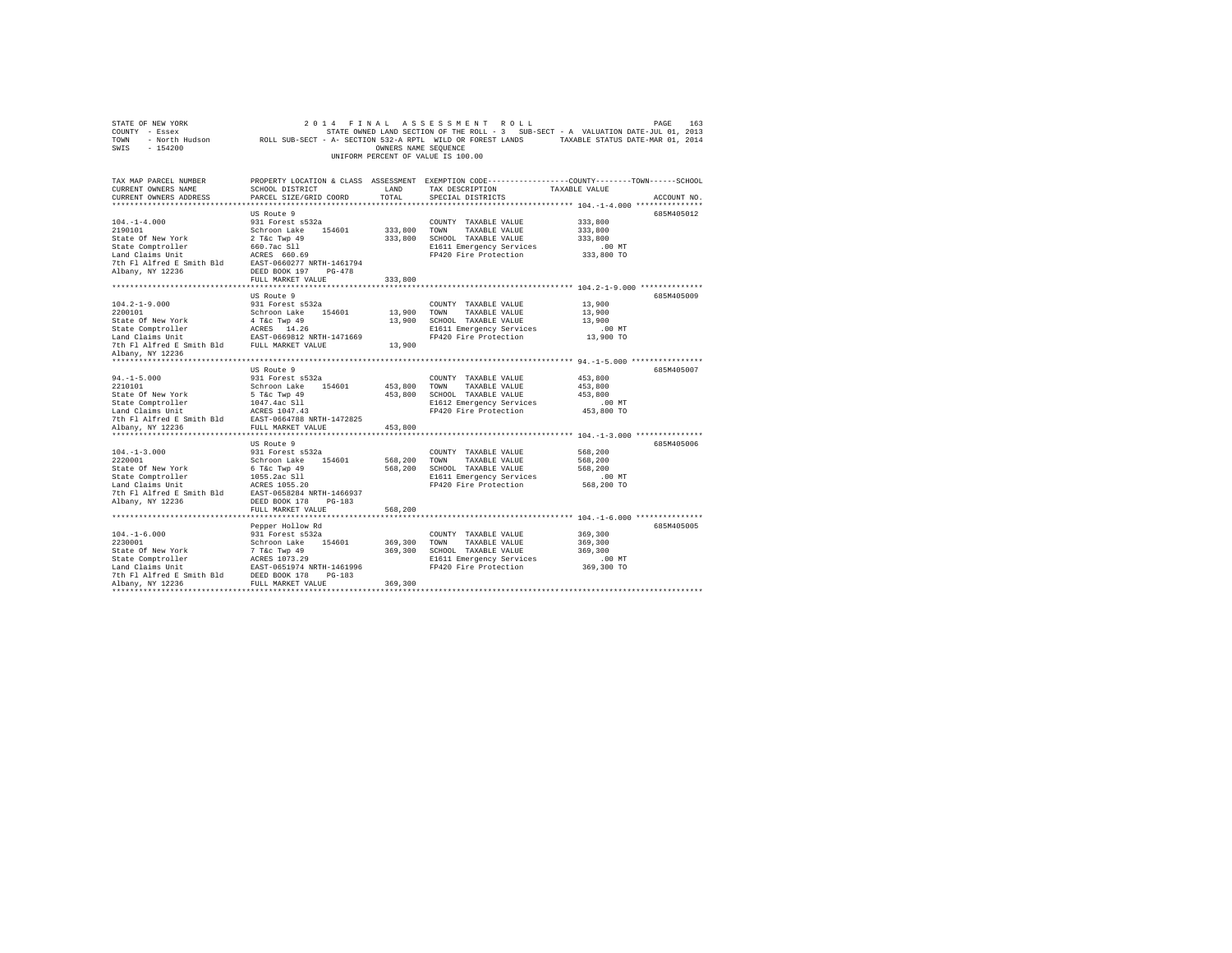| STATE OF NEW YORK<br>COUNTY - Essex<br>TOWN<br>$-154200$<br>SWIS                                                         | - North Hudson Mac ROLL SUB-SECT - A- SECTION 532-A RPTL WILD OR FOREST LANDS TAXABLE STATUS DATE-MAR 01, 2014 | OWNERS NAME SEOUENCE | 2014 FINAL ASSESSMENT ROLL<br>STATE OWNED LAND SECTION OF THE ROLL - 3 SUB-SECT - A VALUATION DATE-JUL 01, 2013<br>UNIFORM PERCENT OF VALUE IS 100.00 |                                               | PAGE<br>163 |
|--------------------------------------------------------------------------------------------------------------------------|----------------------------------------------------------------------------------------------------------------|----------------------|-------------------------------------------------------------------------------------------------------------------------------------------------------|-----------------------------------------------|-------------|
| TAX MAP PARCEL NUMBER THE PROPERTY LOCATION & CLASS ASSESSMENT EXEMPTION CODE--------------COUNTY-------TOWN------SCHOOL |                                                                                                                |                      |                                                                                                                                                       |                                               |             |
| CURRENT OWNERS NAME                                                                                                      | SCHOOL DISTRICT                                                                                                | LAND                 | TAX DESCRIPTION                                                                                                                                       | TAXABLE VALUE                                 |             |
| CURRENT OWNERS ADDRESS<br>***********************                                                                        | PARCEL SIZE/GRID COORD                                                                                         | TOTAL                | SPECIAL DISTRICTS                                                                                                                                     | **************** 104.-1-4.000 *************** | ACCOUNT NO. |
|                                                                                                                          | US Route 9                                                                                                     |                      |                                                                                                                                                       |                                               | 685M405012  |
| $104. - 1 - 4.000$                                                                                                       | 931 Forest s532a                                                                                               |                      | COUNTY TAXABLE VALUE                                                                                                                                  | 333,800                                       |             |
| 2190101                                                                                                                  | Schroon Lake 154601                                                                                            | 333,800 TOWN         | TAXABLE VALUE                                                                                                                                         | 333,800                                       |             |
| State Of New York                                                                                                        | 2 T&c Twp 49                                                                                                   |                      | 333,800 SCHOOL TAXABLE VALUE                                                                                                                          | 333,800                                       |             |
| State Comptroller                                                                                                        | 660.7ac Sll                                                                                                    |                      | E1611 Emergency Services                                                                                                                              | $.00$ MT                                      |             |
| Land Claims Unit                                                                                                         | ACRES 660.69                                                                                                   |                      | FP420 Fire Protection                                                                                                                                 | 333,800 TO                                    |             |
| 7th Fl Alfred E Smith Bld EAST-0660277 NRTH-1461794                                                                      |                                                                                                                |                      |                                                                                                                                                       |                                               |             |
| Albany, NY 12236                                                                                                         | DEED BOOK 197 PG-478                                                                                           |                      |                                                                                                                                                       |                                               |             |
|                                                                                                                          | FULL MARKET VALUE                                                                                              | 333,800              |                                                                                                                                                       |                                               |             |
|                                                                                                                          |                                                                                                                |                      |                                                                                                                                                       |                                               |             |
|                                                                                                                          | US Route 9                                                                                                     |                      |                                                                                                                                                       |                                               | 685M405009  |
| $104.2 - 1 - 9.000$                                                                                                      | 931 Forest s532a                                                                                               |                      | COUNTY TAXABLE VALUE                                                                                                                                  | 13,900                                        |             |
| 2200101                                                                                                                  | Schroon Lake 154601                                                                                            | 13,900 TOWN          | TAXABLE VALUE                                                                                                                                         | 13,900                                        |             |
| State Of New York                                                                                                        | 4 T&c Twp 49                                                                                                   |                      | 13,900 SCHOOL TAXABLE VALUE                                                                                                                           | 13,900                                        |             |
| State Comptroller                                                                                                        | ACRES 14.26                                                                                                    |                      | E1611 Emergency Services                                                                                                                              | $.00$ MT                                      |             |
| Land Claims Unit                                                                                                         | EAST-0669812 NRTH-1471669                                                                                      |                      | FP420 Fire Protection                                                                                                                                 | 13,900 TO                                     |             |
| 7th Fl Alfred E Smith Bld FULL MARKET VALUE                                                                              |                                                                                                                | 13,900               |                                                                                                                                                       |                                               |             |
| Albany, NY 12236                                                                                                         |                                                                                                                |                      |                                                                                                                                                       |                                               |             |
|                                                                                                                          |                                                                                                                |                      |                                                                                                                                                       |                                               |             |
|                                                                                                                          | US Route 9                                                                                                     |                      |                                                                                                                                                       |                                               | 685M405007  |
| $94. -1 - 5.000$                                                                                                         | 931 Forest s532a                                                                                               |                      | COUNTY TAXABLE VALUE                                                                                                                                  | 453,800                                       |             |
| 2210101                                                                                                                  | Schroon Lake 154601                                                                                            | 453,800 TOWN         | TAXABLE VALUE                                                                                                                                         | 453,800                                       |             |
| State Of New York                                                                                                        | 5 T&c Twp 49                                                                                                   |                      | 453,800 SCHOOL TAXABLE VALUE                                                                                                                          | 453,800                                       |             |
| State Comptroller                                                                                                        | 1047.4ac Sll<br>ACRES 1047.43                                                                                  |                      | E1612 Emergency Services                                                                                                                              | $.00$ MT                                      |             |
| Land Claims Unit                                                                                                         |                                                                                                                |                      | FP420 Fire Protection                                                                                                                                 | 453,800 TO                                    |             |
| 7th Fl Alfred E Smith Bld EAST-0664788 NRTH-1472825                                                                      |                                                                                                                |                      |                                                                                                                                                       |                                               |             |
| Albany, NY 12236                                                                                                         | FULL MARKET VALUE                                                                                              | 453,800              |                                                                                                                                                       |                                               |             |
|                                                                                                                          |                                                                                                                |                      |                                                                                                                                                       |                                               |             |
| $104. -1 - 3.000$                                                                                                        | US Route 9<br>931 Forest s532a                                                                                 |                      | COUNTY TAXABLE VALUE                                                                                                                                  | 568,200                                       | 685M405006  |
| 2220001                                                                                                                  | Schroon Lake 154601                                                                                            | 568,200 TOWN         | TAXABLE VALUE                                                                                                                                         | 568,200                                       |             |
| State Of New York                                                                                                        | 6 T&C Twp 49                                                                                                   |                      | 568,200 SCHOOL TAXABLE VALUE                                                                                                                          | 568,200                                       |             |
| State Comptroller                                                                                                        | 1055.2ac Sll                                                                                                   |                      | E1611 Emergency Services                                                                                                                              | .00MT                                         |             |
| Land Claims Unit                                                                                                         | ACRES 1055.20                                                                                                  |                      | FP420 Fire Protection                                                                                                                                 | 568,200 TO                                    |             |
| 7th Fl Alfred E Smith Bld                                                                                                | EAST-0658284 NRTH-1466937                                                                                      |                      |                                                                                                                                                       |                                               |             |
| Albany, NY 12236                                                                                                         | DEED BOOK 178 PG-183                                                                                           |                      |                                                                                                                                                       |                                               |             |
|                                                                                                                          | FULL MARKET VALUE                                                                                              | 568,200              |                                                                                                                                                       |                                               |             |
|                                                                                                                          |                                                                                                                |                      |                                                                                                                                                       |                                               |             |
|                                                                                                                          | Pepper Hollow Rd                                                                                               |                      |                                                                                                                                                       |                                               | 685M405005  |
| $104. - 1 - 6.000$                                                                                                       | 931 Forest s532a                                                                                               |                      | COUNTY TAXABLE VALUE                                                                                                                                  | 369,300                                       |             |
| 2230001                                                                                                                  | Schroon Lake 154601                                                                                            |                      | 369,300 TOWN TAXABLE VALUE                                                                                                                            | 369,300                                       |             |
| State Of New York                                                                                                        | 7 T&C Twp 49                                                                                                   |                      | 369,300 SCHOOL TAXABLE VALUE                                                                                                                          | 369.300                                       |             |
|                                                                                                                          |                                                                                                                |                      | E1611 Emergency Services                                                                                                                              | $.00$ MT                                      |             |
|                                                                                                                          |                                                                                                                |                      | FP420 Fire Protection                                                                                                                                 | 369,300 TO                                    |             |
| 7th Fl Alfred E Smith Bld DEED BOOK 178 PG-183                                                                           |                                                                                                                |                      |                                                                                                                                                       |                                               |             |
| Albany, NY 12236                                                                                                         | FULL MARKET VALUE                                                                                              | 369,300              |                                                                                                                                                       |                                               |             |
| ************                                                                                                             |                                                                                                                |                      |                                                                                                                                                       |                                               |             |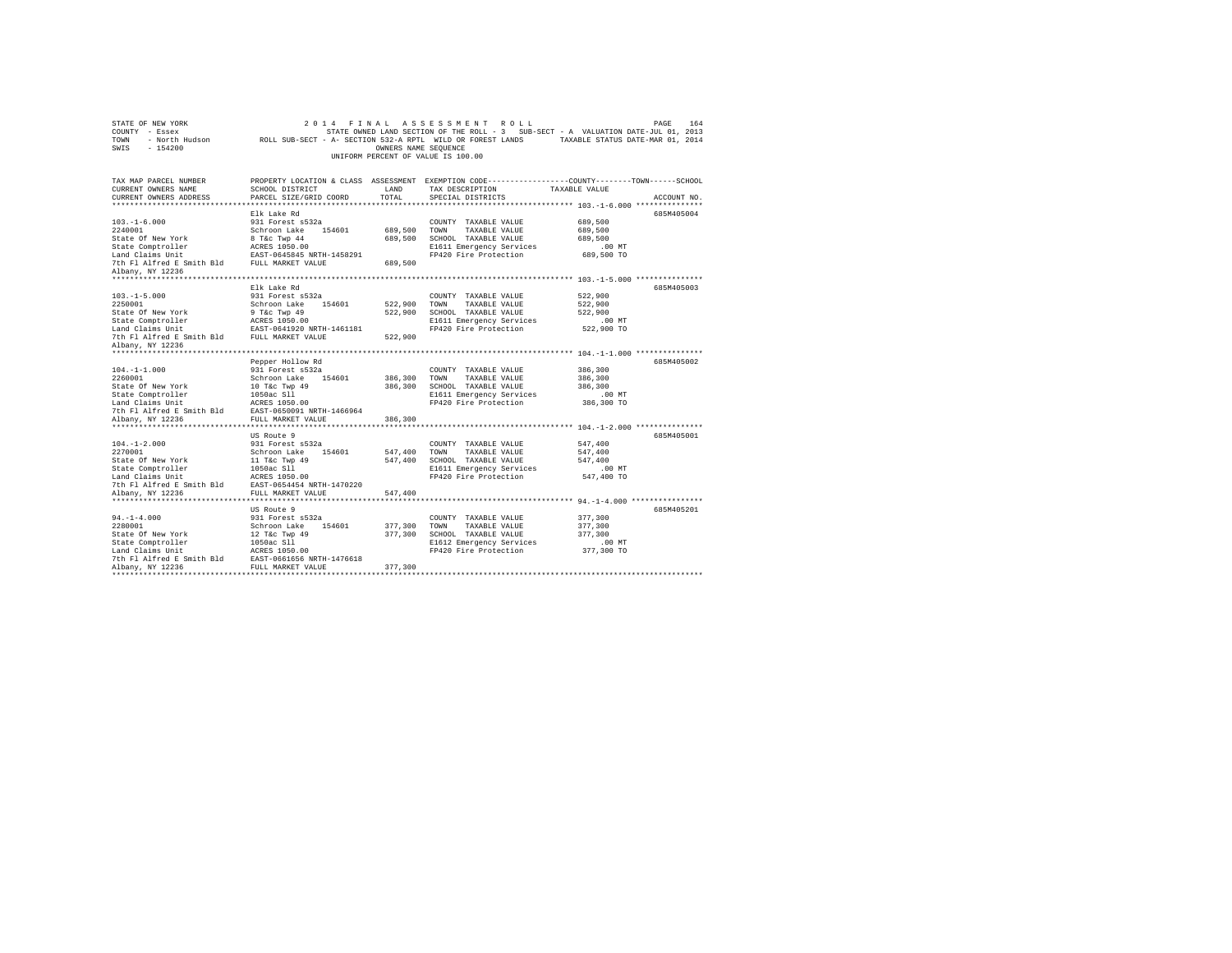| STATE OF NEW YORK<br>COUNTY - Essex<br>TOWN<br>SWIS<br>$-154200$        |                                                | OWNERS NAME SEQUENCE | 2014 FINAL ASSESSMENT ROLL<br>UNIFORM PERCENT OF VALUE IS 100.00 | PAGE<br>STATE OWNED LAND SECTION OF THE ROLL - 3 SUB-SECT - A VALUATION DATE-JUL 01, 2013<br>- North Hudson TROLL SUB-SECT - A- SECTION 532-A RPTL WILD OR FOREST LANDS TAXABLE STATUS DATE-MAR 01, 2014 | 164 |
|-------------------------------------------------------------------------|------------------------------------------------|----------------------|------------------------------------------------------------------|----------------------------------------------------------------------------------------------------------------------------------------------------------------------------------------------------------|-----|
| TAX MAP PARCEL NUMBER<br>CURRENT OWNERS NAME<br>CURRENT OWNERS ADDRESS  | SCHOOL DISTRICT<br>PARCEL SIZE/GRID COORD      | LAND<br>TOTAL.       | TAX DESCRIPTION<br>SPECIAL DISTRICTS                             | PROPERTY LOCATION & CLASS ASSESSMENT EXEMPTION CODE---------------COUNTY-------TOWN-----SCHOOL<br>TAXABLE VALUE<br>ACCOUNT NO.                                                                           |     |
| ***********************                                                 |                                                |                      |                                                                  |                                                                                                                                                                                                          |     |
|                                                                         | Elk Lake Rd                                    |                      |                                                                  | 685M405004                                                                                                                                                                                               |     |
| $103. - 1 - 6.000$                                                      | 931 Forest s532a                               |                      | COUNTY TAXABLE VALUE                                             | 689,500                                                                                                                                                                                                  |     |
| 2240001                                                                 | Schroon Lake 154601                            | 689,500              | TOWN TAXABLE VALUE                                               | 689,500                                                                                                                                                                                                  |     |
| State Of New York                                                       | 8 T&c Twp 44                                   | 689,500              | SCHOOL TAXABLE VALUE                                             | 689,500                                                                                                                                                                                                  |     |
| State Comptroller                                                       | ACRES 1050.00                                  |                      | E1611 Emergency Services                                         | $.00$ MT                                                                                                                                                                                                 |     |
| Land Claims Unit                                                        | EAST-0645845 NRTH-1458291                      | 689,500              | FP420 Fire Protection                                            | 689,500 TO                                                                                                                                                                                               |     |
| 7th Fl Alfred E Smith Bld FULL MARKET VALUE<br>Albany, NY 12236         |                                                |                      |                                                                  |                                                                                                                                                                                                          |     |
|                                                                         |                                                |                      |                                                                  |                                                                                                                                                                                                          |     |
|                                                                         | Elk Lake Rd                                    |                      |                                                                  | 685M405003                                                                                                                                                                                               |     |
| $103. -1 - 5.000$                                                       | 931 Forest s532a                               |                      | COUNTY TAXABLE VALUE                                             | 522,900                                                                                                                                                                                                  |     |
| 2250001                                                                 | Schroon Lake 154601                            | 522,900              | TOWN<br>TAXABLE VALUE                                            | 522,900                                                                                                                                                                                                  |     |
| State Of New York                                                       | 9 T&c Twp 49                                   | 522,900              | SCHOOL TAXABLE VALUE                                             | 522,900                                                                                                                                                                                                  |     |
| State Comptroller                                                       | ACRES 1050.00                                  |                      | E1611 Emergency Services                                         | $.00$ MT                                                                                                                                                                                                 |     |
| Land Claims Unit                                                        | EAST-0641920 NRTH-1461181                      | 522,900              | FP420 Fire Protection                                            | 522,900 TO                                                                                                                                                                                               |     |
| 7th Fl Alfred E Smith Bld FULL MARKET VALUE<br>Albany, NY 12236         |                                                |                      |                                                                  |                                                                                                                                                                                                          |     |
|                                                                         |                                                |                      |                                                                  |                                                                                                                                                                                                          |     |
|                                                                         | Pepper Hollow Rd                               |                      |                                                                  | 685M405002                                                                                                                                                                                               |     |
| $104. -1 - 1.000$                                                       | 931 Forest s532a                               |                      | COUNTY TAXABLE VALUE                                             | 386,300                                                                                                                                                                                                  |     |
| 2260001                                                                 | Schroon Lake 154601                            | 386,300              | TAXABLE VALUE<br>TOWN                                            | 386,300                                                                                                                                                                                                  |     |
| State Of New York                                                       | 10 T&c Twp 49                                  | 386,300              | SCHOOL TAXABLE VALUE                                             | 386,300                                                                                                                                                                                                  |     |
| State Comptroller                                                       | 1050ac Sll                                     |                      | E1611 Emergency Services                                         | $.00$ MT                                                                                                                                                                                                 |     |
| Land Claims Unit                                                        | ACRES 1050.00                                  |                      | FP420 Fire Protection                                            | 386,300 TO                                                                                                                                                                                               |     |
| 7th Fl Alfred E Smith Bld<br>Albany, NY 12236                           | EAST-0650091 NRTH-1466964<br>FULL MARKET VALUE | 386,300              |                                                                  |                                                                                                                                                                                                          |     |
|                                                                         |                                                |                      |                                                                  |                                                                                                                                                                                                          |     |
|                                                                         | US Route 9                                     |                      |                                                                  | 685M405001                                                                                                                                                                                               |     |
| $104. - 1 - 2.000$                                                      | 931 Forest s532a                               |                      | COUNTY TAXABLE VALUE                                             | 547,400                                                                                                                                                                                                  |     |
| 2270001                                                                 | Schroon Lake 154601                            | 547,400              | TOWN<br>TAXABLE VALUE                                            | 547.400                                                                                                                                                                                                  |     |
| State Of New York                                                       | 11 T&c Twp 49                                  | 547.400              | SCHOOL TAXABLE VALUE                                             | 547.400                                                                                                                                                                                                  |     |
| State Comptroller                                                       | 1050ac Sll                                     |                      | E1611 Emergency Services                                         | $.00$ MT                                                                                                                                                                                                 |     |
| Land Claims Unit                                                        | ACRES 1050.00                                  |                      | FP420 Fire Protection                                            | 547,400 TO                                                                                                                                                                                               |     |
| 7th Fl Alfred E Smith Bld EAST-0654454 NRTH-1470220<br>Albany, NY 12236 | FULL MARKET VALUE                              | 547,400              |                                                                  |                                                                                                                                                                                                          |     |
|                                                                         |                                                |                      |                                                                  |                                                                                                                                                                                                          |     |
|                                                                         | US Route 9                                     |                      |                                                                  | 685M405201                                                                                                                                                                                               |     |
| $94. -1 - 4.000$                                                        | 931 Forest s532a                               |                      | COUNTY TAXABLE VALUE                                             | 377,300                                                                                                                                                                                                  |     |
| 2280001                                                                 | Schroon Lake<br>154601                         | 377,300              | TOWN<br>TAXABLE VALUE                                            | 377,300                                                                                                                                                                                                  |     |
| State Of New York                                                       | 12 T&c Twp 49                                  | 377,300              | SCHOOL TAXABLE VALUE                                             | 377,300                                                                                                                                                                                                  |     |
| State Comptroller                                                       | 1050ac S11                                     |                      | E1612 Emergency Services                                         | $.00$ MT                                                                                                                                                                                                 |     |
| Land Claims Unit                                                        | ACRES 1050.00                                  |                      | FP420 Fire Protection                                            | 377,300 TO                                                                                                                                                                                               |     |
|                                                                         |                                                |                      |                                                                  |                                                                                                                                                                                                          |     |
| Albany, NY 12236                                                        | FULL MARKET VALUE                              | 377,300              |                                                                  |                                                                                                                                                                                                          |     |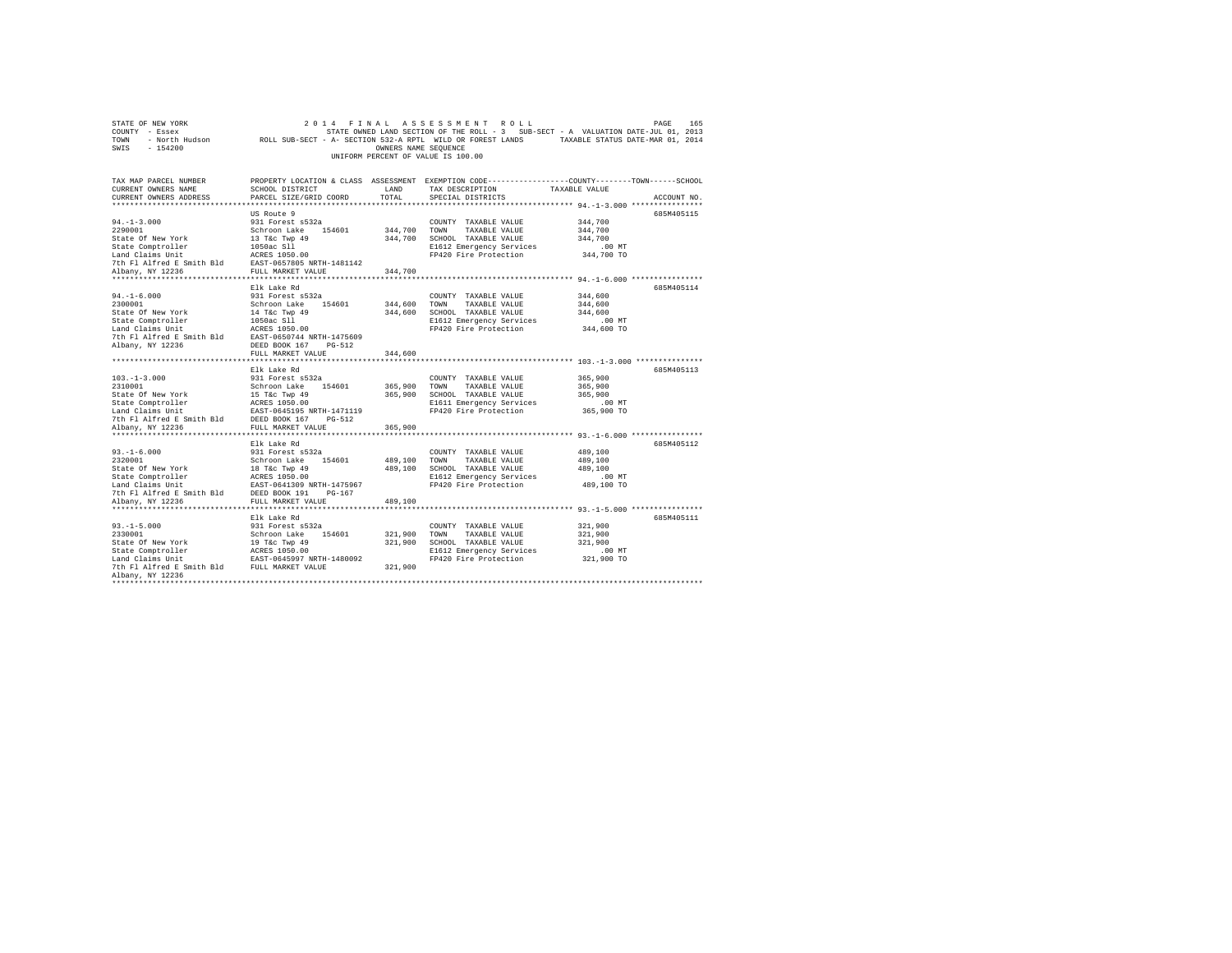| STATE OF NEW YORK<br>COUNTY - Essex         | 2014<br>FINAL                              |                      | ASSESSMENT ROLL<br>STATE OWNED LAND SECTION OF THE ROLL - 3 SUB-SECT - A VALUATION DATE-JUL 01, 2013       |                        | PAGE<br>165 |
|---------------------------------------------|--------------------------------------------|----------------------|------------------------------------------------------------------------------------------------------------|------------------------|-------------|
| TOWN                                        |                                            |                      | - North Hudson ROLL SUB-SECT - A- SECTION 532-A RPTL WILD OR FOREST LANDS TAXABLE STATUS DATE-MAR 01, 2014 |                        |             |
| SWIS<br>$-154200$                           |                                            | OWNERS NAME SEQUENCE |                                                                                                            |                        |             |
|                                             |                                            |                      | UNIFORM PERCENT OF VALUE IS 100.00                                                                         |                        |             |
|                                             |                                            |                      |                                                                                                            |                        |             |
| TAX MAP PARCEL NUMBER                       |                                            |                      | PROPERTY LOCATION & CLASS ASSESSMENT EXEMPTION CODE---------------COUNTY-------TOWN-----SCHOOL             |                        |             |
| CURRENT OWNERS NAME                         | SCHOOL DISTRICT                            | LAND                 | TAX DESCRIPTION                                                                                            | TAXABLE VALUE          |             |
| CURRENT OWNERS ADDRESS                      | PARCEL SIZE/GRID COORD                     | TOTAL                | SPECIAL DISTRICTS                                                                                          |                        | ACCOUNT NO. |
|                                             |                                            |                      |                                                                                                            |                        |             |
|                                             | US Route 9                                 |                      |                                                                                                            |                        | 685M405115  |
| $94. -1 - 3.000$<br>2290001                 | 931 Forest s532a                           |                      | COUNTY TAXABLE VALUE                                                                                       | 344,700<br>344,700     |             |
| State Of New York                           | Schroon Lake 154601<br>13 T&c Twp 49       | 344,700<br>344,700   | TOWN<br>TAXABLE VALUE<br>SCHOOL TAXABLE VALUE                                                              | 344,700                |             |
| State Comptroller                           | 1050ac S11                                 |                      | E1612 Emergency Services                                                                                   | .00MT                  |             |
| Land Claims Unit                            | ACRES 1050.00                              |                      | FP420 Fire Protection                                                                                      | 344,700 TO             |             |
| 7th Fl Alfred E Smith Bld                   | EAST-0657805 NRTH-1481142                  |                      |                                                                                                            |                        |             |
| Albany, NY 12236                            | FULL MARKET VALUE                          | 344,700              |                                                                                                            |                        |             |
| **********************                      | *********************                      | ************         |                                                                                                            |                        |             |
|                                             | Elk Lake Rd                                |                      |                                                                                                            |                        | 685M405114  |
| $94. - 1 - 6.000$                           | 931 Forest s532a                           |                      | COUNTY TAXABLE VALUE                                                                                       | 344,600                |             |
| 2300001                                     | Schroon Lake 154601                        | 344,600              | TOWN<br>TAXABLE VALUE                                                                                      | 344,600                |             |
| State Of New York                           | 14 T&c Twp 49                              | 344,600              | SCHOOL TAXABLE VALUE                                                                                       | 344,600                |             |
| State Comptroller                           | 1050ac S11                                 |                      | E1612 Emergency Services                                                                                   | .00 MT                 |             |
| Land Claims Unit                            | ACRES 1050.00                              |                      | FP420 Fire Protection                                                                                      | 344,600 TO             |             |
| 7th Fl Alfred E Smith Bld                   | EAST-0650744 NRTH-1475609                  |                      |                                                                                                            |                        |             |
| Albany, NY 12236                            | DEED BOOK 167<br>$PG-512$                  |                      |                                                                                                            |                        |             |
|                                             | FULL MARKET VALUE                          | 344,600              |                                                                                                            |                        |             |
|                                             | Elk Lake Rd                                |                      |                                                                                                            |                        | 685M405113  |
| $103. - 1 - 3.000$                          | 931 Forest s532a                           |                      | COUNTY TAXABLE VALUE                                                                                       | 365,900                |             |
| 2310001                                     | Schroon Lake<br>154601                     | 365,900              | TOWN<br>TAXABLE VALUE                                                                                      | 365,900                |             |
| State Of New York                           | 15 T&c Twp 49                              | 365,900              | SCHOOL TAXABLE VALUE                                                                                       | 365,900                |             |
| State Comptroller<br>Land Claims Unit       | ACRES 1050.00                              |                      | E1611 Emergency Services                                                                                   | $.00$ MT               |             |
|                                             | EAST-0645195 NRTH-1471119                  |                      | FP420 Fire Protection                                                                                      | 365,900 TO             |             |
| 7th Fl Alfred E Smith Bld DEED BOOK 167     | PG-512                                     |                      |                                                                                                            |                        |             |
| Albany, NY 12236                            | FULL MARKET VALUE                          | 365,900              |                                                                                                            |                        |             |
|                                             |                                            |                      |                                                                                                            |                        |             |
| $93. -1 - 6.000$                            | Elk Lake Rd<br>931 Forest s532a            |                      |                                                                                                            |                        | 685M405112  |
| 2320001                                     | Schroon Lake<br>154601                     | 489,100              | COUNTY TAXABLE VALUE<br>TAXABLE VALUE<br>TOWN                                                              | 489,100<br>489,100     |             |
| State Of New York                           | 18 T&c Twp 49                              | 489,100              | SCHOOL TAXABLE VALUE                                                                                       | 489,100                |             |
| State Comptroller                           | ACRES 1050.00                              |                      | E1612 Emergency Services                                                                                   | .00 MT                 |             |
| Land Claims Unit                            | EAST-0641309 NRTH-1475967                  |                      | FP420 Fire Protection                                                                                      | 489,100 TO             |             |
| 7th Fl Alfred E Smith Bld DEED BOOK 191     | $PG-167$                                   |                      |                                                                                                            |                        |             |
| Albany, NY 12236                            | FULL MARKET VALUE                          | 489,100              |                                                                                                            |                        |             |
|                                             |                                            |                      |                                                                                                            |                        |             |
|                                             | Elk Lake Rd                                |                      |                                                                                                            |                        | 685M405111  |
| $93. -1 - 5.000$                            | 931 Forest s532a                           |                      | COUNTY TAXABLE VALUE                                                                                       | 321,900                |             |
| 2330001                                     | Schroon Lake<br>154601                     | 321,900              | TOWN<br>TAXABLE VALUE                                                                                      | 321,900                |             |
| State Of New York                           | 19 T&c Twp 49                              | 321,900              | SCHOOL TAXABLE VALUE                                                                                       | 321,900                |             |
| State Comptroller<br>Land Claims Unit       | ACRES 1050.00<br>EAST-0645997 NRTH-1480092 |                      | E1612 Emergency Services<br>FP420 Fire Protection                                                          | $.00$ MT<br>321,900 TO |             |
| 7th Fl Alfred E Smith Bld FULL MARKET VALUE |                                            | 321,900              |                                                                                                            |                        |             |
| Albany, NY 12236                            |                                            |                      |                                                                                                            |                        |             |
|                                             |                                            |                      |                                                                                                            |                        |             |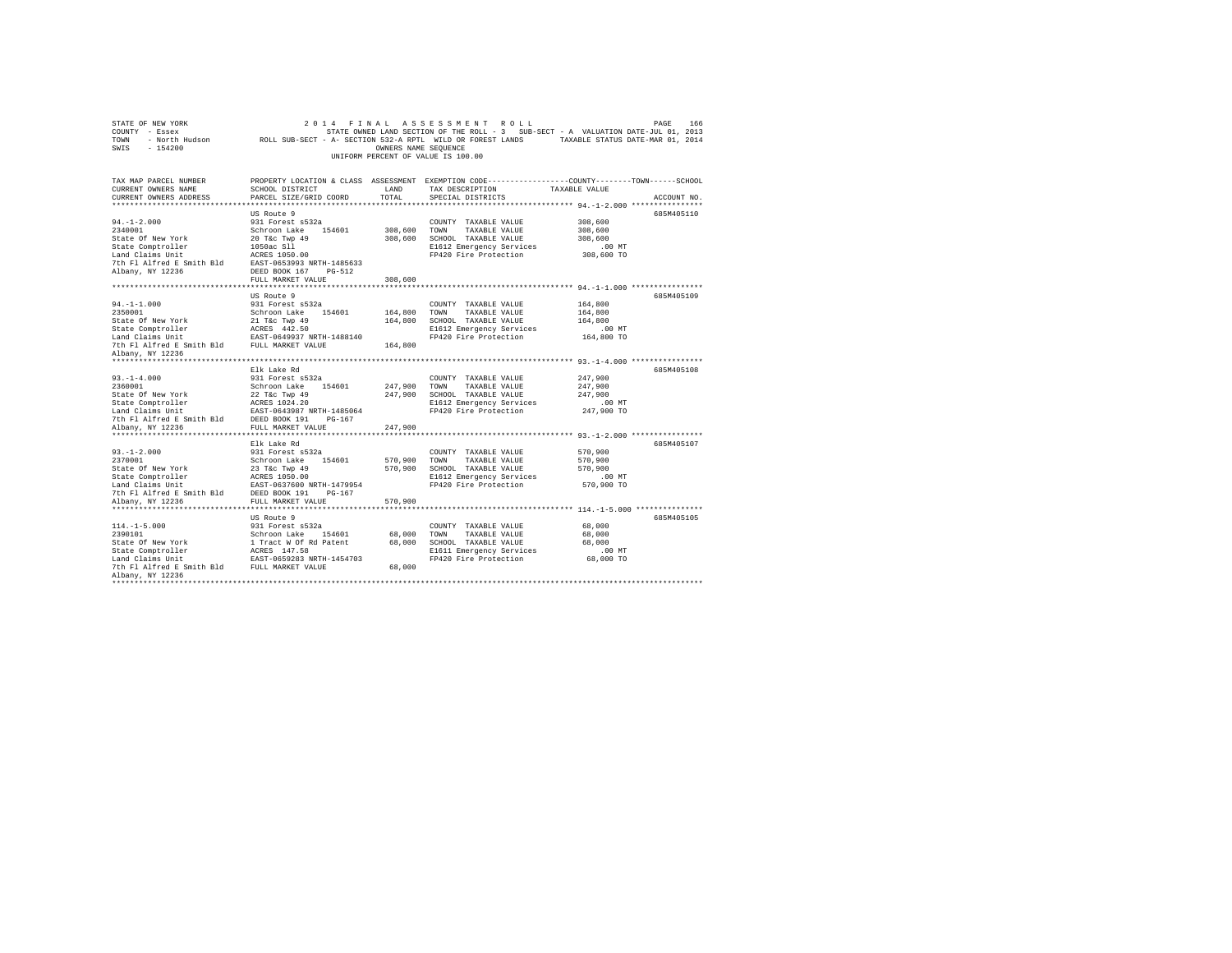| STATE OF NEW YORK<br>2014 FINAL ASSESSMENT ROLL<br>PAGE<br>166<br>COUNTY - Essex<br>STATE OWNED LAND SECTION OF THE ROLL - 3 SUB-SECT - A VALUATION DATE-JUL 01, 2013<br>ROLL SUB-SECT - A- SECTION 532-A RPTL WILD OR FOREST LANDS<br>TAXABLE STATUS DATE-MAR 01, 2014<br>TOWN - North Hudson<br>SWIS - 154200<br>OWNERS NAME SEQUENCE<br>UNIFORM PERCENT OF VALUE IS 100.00 |                                           |              |                                                                                                 |                                                  |  |  |
|-------------------------------------------------------------------------------------------------------------------------------------------------------------------------------------------------------------------------------------------------------------------------------------------------------------------------------------------------------------------------------|-------------------------------------------|--------------|-------------------------------------------------------------------------------------------------|--------------------------------------------------|--|--|
| TAX MAP PARCEL NUMBER                                                                                                                                                                                                                                                                                                                                                         |                                           |              | PROPERTY LOCATION & CLASS ASSESSMENT EXEMPTION CODE---------------COUNTY-------TOWN------SCHOOL |                                                  |  |  |
| CURRENT OWNERS NAME                                                                                                                                                                                                                                                                                                                                                           | SCHOOL DISTRICT                           | LAND         | TAX DESCRIPTION                                                                                 | TAXABLE VALUE                                    |  |  |
| CURRENT OWNERS ADDRESS                                                                                                                                                                                                                                                                                                                                                        | PARCEL SIZE/GRID COORD                    | TOTAL        | SPECIAL DISTRICTS                                                                               | ACCOUNT NO.                                      |  |  |
|                                                                                                                                                                                                                                                                                                                                                                               |                                           |              |                                                                                                 |                                                  |  |  |
|                                                                                                                                                                                                                                                                                                                                                                               | US Route 9                                |              |                                                                                                 | 685M405110                                       |  |  |
| $94. -1 - 2.000$<br>2340001                                                                                                                                                                                                                                                                                                                                                   | 931 Forest s532a                          |              | COUNTY TAXABLE VALUE                                                                            | 308,600                                          |  |  |
| State Of New York                                                                                                                                                                                                                                                                                                                                                             | Schroon Lake 154601<br>20 T&c Twp 49      | 308,600 TOWN | TAXABLE VALUE<br>308,600 SCHOOL TAXABLE VALUE                                                   | 308,600<br>308,600                               |  |  |
| State Comptroller                                                                                                                                                                                                                                                                                                                                                             | 1050ac S11                                |              | E1612 Emergency Services                                                                        | $.00$ MT                                         |  |  |
| Land Claims Unit                                                                                                                                                                                                                                                                                                                                                              | ACRES 1050.00                             |              | FP420 Fire Protection                                                                           | 308,600 TO                                       |  |  |
| 7th Fl Alfred E Smith Bld                                                                                                                                                                                                                                                                                                                                                     | EAST-0653993 NRTH-1485633                 |              |                                                                                                 |                                                  |  |  |
| Albany, NY 12236                                                                                                                                                                                                                                                                                                                                                              | DEED BOOK 167 PG-512                      |              |                                                                                                 |                                                  |  |  |
|                                                                                                                                                                                                                                                                                                                                                                               | FULL MARKET VALUE                         | 308,600      |                                                                                                 |                                                  |  |  |
| *********************                                                                                                                                                                                                                                                                                                                                                         | ****************************              |              |                                                                                                 | ******************* 94.-1-1.000 **************** |  |  |
|                                                                                                                                                                                                                                                                                                                                                                               | US Route 9                                |              |                                                                                                 | 685M405109                                       |  |  |
| $94. -1 -1.000$                                                                                                                                                                                                                                                                                                                                                               | 931 Forest s532a                          |              | COUNTY TAXABLE VALUE                                                                            | 164,800                                          |  |  |
| 2350001                                                                                                                                                                                                                                                                                                                                                                       | Schroon Lake 154601                       | 164,800 TOWN | TAXABLE VALUE                                                                                   | 164,800                                          |  |  |
| State Of New York                                                                                                                                                                                                                                                                                                                                                             | 21 T&c Twp 49                             |              | 164,800 SCHOOL TAXABLE VALUE                                                                    | 164,800                                          |  |  |
| State Comptroller                                                                                                                                                                                                                                                                                                                                                             | ACRES 442.50                              |              | E1612 Emergency Services                                                                        | .00MT                                            |  |  |
| Land Claims Unit                                                                                                                                                                                                                                                                                                                                                              | EAST-0649937 NRTH-1488140                 |              | FP420 Fire Protection                                                                           | 164,800 TO                                       |  |  |
| 7th Fl Alfred E Smith Bld                                                                                                                                                                                                                                                                                                                                                     | FULL MARKET VALUE                         | 164,800      |                                                                                                 |                                                  |  |  |
| Albany, NY 12236                                                                                                                                                                                                                                                                                                                                                              |                                           |              |                                                                                                 |                                                  |  |  |
|                                                                                                                                                                                                                                                                                                                                                                               |                                           |              |                                                                                                 |                                                  |  |  |
| $93. -1 - 4.000$                                                                                                                                                                                                                                                                                                                                                              | Elk Lake Rd                               |              |                                                                                                 | 685M405108<br>247.900                            |  |  |
| 2360001                                                                                                                                                                                                                                                                                                                                                                       | 931 Forest s532a<br>Schroon Lake 154601   | 247,900      | COUNTY TAXABLE VALUE<br>TAXABLE VALUE<br>TOWN                                                   | 247.900                                          |  |  |
| State Of New York                                                                                                                                                                                                                                                                                                                                                             | 22 T&c Twp 49                             |              | 247.900 SCHOOL TAXABLE VALUE                                                                    | 247.900                                          |  |  |
| State Comptroller                                                                                                                                                                                                                                                                                                                                                             | ACRES 1024.20                             |              | E1612 Emergency Services                                                                        | $.00$ MT                                         |  |  |
| Land Claims Unit                                                                                                                                                                                                                                                                                                                                                              | EAST-0643987 NRTH-1485064                 |              | FP420 Fire Protection                                                                           | 247,900 TO                                       |  |  |
| 7th Fl Alfred E Smith Bld                                                                                                                                                                                                                                                                                                                                                     | DEED BOOK 191<br>$PG-167$                 |              |                                                                                                 |                                                  |  |  |
| Albany, NY 12236                                                                                                                                                                                                                                                                                                                                                              | FULL MARKET VALUE                         | 247,900      |                                                                                                 |                                                  |  |  |
|                                                                                                                                                                                                                                                                                                                                                                               |                                           |              |                                                                                                 |                                                  |  |  |
|                                                                                                                                                                                                                                                                                                                                                                               | Elk Lake Rd                               |              |                                                                                                 | 685M405107                                       |  |  |
| $93. -1 - 2.000$                                                                                                                                                                                                                                                                                                                                                              | 931 Forest s532a                          |              | COUNTY TAXABLE VALUE                                                                            | 570,900                                          |  |  |
| 2370001                                                                                                                                                                                                                                                                                                                                                                       | Schroon Lake 154601                       | 570,900 TOWN | TAXABLE VALUE                                                                                   | 570,900                                          |  |  |
| State Of New York                                                                                                                                                                                                                                                                                                                                                             | 23 T&c Twp 49                             |              | 570,900 SCHOOL TAXABLE VALUE                                                                    | 570,900                                          |  |  |
| State Comptroller                                                                                                                                                                                                                                                                                                                                                             | ACRES 1050.00                             |              | E1612 Emergency Services                                                                        | $.00$ MT                                         |  |  |
| Land Claims Unit                                                                                                                                                                                                                                                                                                                                                              | EAST-0637600 NRTH-1479954                 |              | FP420 Fire Protection                                                                           | 570,900 TO                                       |  |  |
| 7th Fl Alfred E Smith Bld                                                                                                                                                                                                                                                                                                                                                     | DEED BOOK 191<br>PG-167                   |              |                                                                                                 |                                                  |  |  |
| Albany, NY 12236                                                                                                                                                                                                                                                                                                                                                              | FULL MARKET VALUE                         | 570,900      |                                                                                                 |                                                  |  |  |
|                                                                                                                                                                                                                                                                                                                                                                               |                                           |              |                                                                                                 |                                                  |  |  |
|                                                                                                                                                                                                                                                                                                                                                                               | US Route 9                                |              |                                                                                                 | 685M405105                                       |  |  |
| $114. - 1 - 5.000$                                                                                                                                                                                                                                                                                                                                                            | 931 Forest s532a                          |              | COUNTY TAXABLE VALUE                                                                            | 68,000                                           |  |  |
| 2390101                                                                                                                                                                                                                                                                                                                                                                       | Schroon Lake 154601                       | 68,000 TOWN  | TAXABLE VALUE                                                                                   | 68,000                                           |  |  |
| State Of New York                                                                                                                                                                                                                                                                                                                                                             | 1 Tract W Of Rd Patent                    |              | 68,000 SCHOOL TAXABLE VALUE                                                                     | 68,000                                           |  |  |
| State Comptroller<br>Land Claims Unit                                                                                                                                                                                                                                                                                                                                         | ACRES 147.58<br>EAST-0659283 NRTH-1454703 |              | E1611 Emergency Services<br>FP420 Fire Protection                                               | .00 MT<br>68,000 TO                              |  |  |
| 7th Fl Alfred E Smith Bld                                                                                                                                                                                                                                                                                                                                                     | FULL MARKET VALUE                         | 68,000       |                                                                                                 |                                                  |  |  |
| Albany, NY 12236                                                                                                                                                                                                                                                                                                                                                              |                                           |              |                                                                                                 |                                                  |  |  |
|                                                                                                                                                                                                                                                                                                                                                                               |                                           |              |                                                                                                 |                                                  |  |  |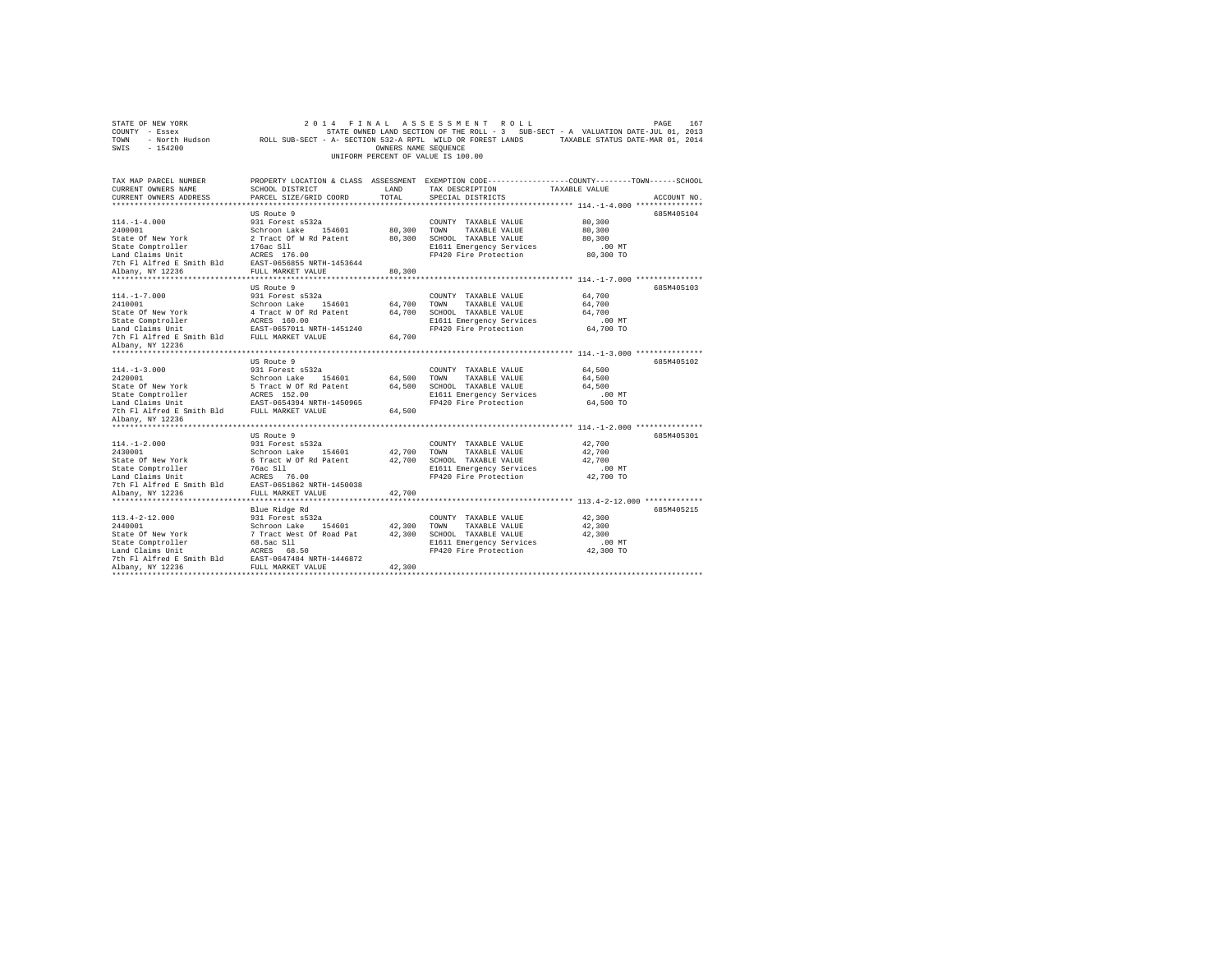| STATE OF NEW YORK<br>COUNTY - Essex                                                                                                                                                                                     | 2 0 1 4                                                                                                    |                      | FINAL ASSESSMENT ROLL<br>STATE OWNED LAND SECTION OF THE ROLL - 3 SUB-SECT - A VALUATION DATE-JUL 01, 2013 |                  | PAGE<br>167 |
|-------------------------------------------------------------------------------------------------------------------------------------------------------------------------------------------------------------------------|------------------------------------------------------------------------------------------------------------|----------------------|------------------------------------------------------------------------------------------------------------|------------------|-------------|
| TOWN                                                                                                                                                                                                                    | - North Hudson ROLL SUB-SECT - A- SECTION 532-A RPTL WILD OR FOREST LANDS TAXABLE STATUS DATE-MAR 01, 2014 |                      |                                                                                                            |                  |             |
| SWIS<br>$-154200$                                                                                                                                                                                                       |                                                                                                            | OWNERS NAME SEQUENCE |                                                                                                            |                  |             |
|                                                                                                                                                                                                                         |                                                                                                            |                      | UNIFORM PERCENT OF VALUE IS 100.00                                                                         |                  |             |
|                                                                                                                                                                                                                         |                                                                                                            |                      |                                                                                                            |                  |             |
| TAX MAP PARCEL NUMBER                                                                                                                                                                                                   | PROPERTY LOCATION & CLASS ASSESSMENT EXEMPTION CODE----------------COUNTY-------TOWN-----SCHOOL            |                      |                                                                                                            |                  |             |
| CURRENT OWNERS NAME<br>CURRENT OWNERS ADDRESS                                                                                                                                                                           | SCHOOL DISTRICT<br>PARCEL SIZE/GRID COORD                                                                  | LAND<br>TOTAL        | TAX DESCRIPTION<br>SPECIAL DISTRICTS                                                                       | TAXABLE VALUE    | ACCOUNT NO. |
|                                                                                                                                                                                                                         |                                                                                                            |                      |                                                                                                            |                  |             |
|                                                                                                                                                                                                                         | US Route 9                                                                                                 |                      |                                                                                                            |                  | 685M405104  |
| $114. - 1 - 4.000$                                                                                                                                                                                                      | 931 Forest s532a                                                                                           |                      | COUNTY TAXABLE VALUE                                                                                       | 80,300           |             |
| 2400001                                                                                                                                                                                                                 | Schroon Lake 154601                                                                                        | 80,300               | TOWN<br>TAXABLE VALUE                                                                                      | 80,300           |             |
| State Of New York                                                                                                                                                                                                       |                                                                                                            |                      | 80.300 SCHOOL TAXABLE VALUE                                                                                | 80,300           |             |
| State Comptroller                                                                                                                                                                                                       | 2 Tract Of W Rd Patent<br>176ac Sll                                                                        |                      | E1611 Emergency Services                                                                                   | $.00$ MT         |             |
| Land Claims Unit                                                                                                                                                                                                        | ACRES 176.00                                                                                               |                      | FP420 Fire Protection                                                                                      | 80,300 TO        |             |
| 7th Fl Alfred E Smith Bld EAST-0656855 NRTH-1453644                                                                                                                                                                     |                                                                                                            |                      |                                                                                                            |                  |             |
| Albany, NY 12236                                                                                                                                                                                                        | FULL MARKET VALUE                                                                                          | 80,300               |                                                                                                            |                  |             |
|                                                                                                                                                                                                                         |                                                                                                            |                      |                                                                                                            |                  |             |
| $114. - 1 - 7.000$                                                                                                                                                                                                      | US Route 9<br>931 Forest s532a                                                                             |                      |                                                                                                            |                  | 685M405103  |
| 2410001                                                                                                                                                                                                                 | Schroon Lake 154601                                                                                        | 64,700               | COUNTY TAXABLE VALUE<br>TOWN<br>TAXABLE VALUE                                                              | 64,700<br>64,700 |             |
| State Of New York                                                                                                                                                                                                       | 4 Tract W Of Rd Patent                                                                                     | 64,700               | SCHOOL TAXABLE VALUE                                                                                       | 64,700           |             |
| State Comptroller                                                                                                                                                                                                       | ACRES 160.00                                                                                               |                      | E1611 Emergency Services                                                                                   | $.00$ MT         |             |
| Land Claims Unit EAST-0657011 NRTH-1451240                                                                                                                                                                              |                                                                                                            |                      | FP420 Fire Protection                                                                                      | 64,700 TO        |             |
| 7th F1 Alfred E Smith Bld FULL MARKET VALUE                                                                                                                                                                             |                                                                                                            | 64,700               |                                                                                                            |                  |             |
| Albany, NY 12236                                                                                                                                                                                                        |                                                                                                            |                      |                                                                                                            |                  |             |
|                                                                                                                                                                                                                         |                                                                                                            |                      |                                                                                                            |                  |             |
|                                                                                                                                                                                                                         | US Route 9                                                                                                 |                      |                                                                                                            |                  | 685M405102  |
| $114. -1 - 3.000$                                                                                                                                                                                                       | 931 Forest s532a                                                                                           |                      | COUNTY TAXABLE VALUE                                                                                       | 64,500           |             |
| 2420001                                                                                                                                                                                                                 | Schroon Lake 154601                                                                                        | 64,500               | TOWN<br>TAXABLE VALUE                                                                                      | 64,500           |             |
|                                                                                                                                                                                                                         |                                                                                                            | 64,500               | SCHOOL TAXABLE VALUE                                                                                       | 64,500           |             |
|                                                                                                                                                                                                                         |                                                                                                            |                      | E1611 Emergency Services<br>FP420 Fire Protection                                                          | $.00$ MT         |             |
| State Of New York 5 Tract W Of Rd Patent State Comptroller ACRES 152.00<br>State Comptroller RARST-0554394 NRTH-1450965<br>Land Claims Unit EAST-0554394 NRTH-1450965<br>7th Fl Alfred E Smith Bld<br>EULL MARKET VALUE |                                                                                                            | 64,500               |                                                                                                            | 64,500 TO        |             |
| Albany, NY 12236                                                                                                                                                                                                        |                                                                                                            |                      |                                                                                                            |                  |             |
|                                                                                                                                                                                                                         |                                                                                                            |                      |                                                                                                            |                  |             |
|                                                                                                                                                                                                                         | US Route 9                                                                                                 |                      |                                                                                                            |                  | 685M405301  |
| $114. -1 - 2.000$                                                                                                                                                                                                       | 931 Forest s532a                                                                                           |                      | COUNTY TAXABLE VALUE                                                                                       | 42,700           |             |
| 2430001                                                                                                                                                                                                                 | Schroon Lake 154601                                                                                        | 42.700               | TOWN<br>TAXABLE VALUE                                                                                      | 42,700           |             |
| State Of New York                                                                                                                                                                                                       | 6 Tract W Of Rd Patent                                                                                     |                      | 42,700 SCHOOL TAXABLE VALUE                                                                                | 42,700           |             |
| State Comptroller                                                                                                                                                                                                       | 76ac Sll                                                                                                   |                      | E1611 Emergency Services                                                                                   | $.00$ MT         |             |
| State Composition:<br>Land Claims Unit Mark 76.00<br>The Fl Alfred E Smith Bld EAST-0651862 NRTH-1450038<br>albany. NY 12236 FULL MARKET VALUE                                                                          |                                                                                                            |                      | FP420 Fire Protection                                                                                      | 42,700 TO        |             |
|                                                                                                                                                                                                                         |                                                                                                            |                      |                                                                                                            |                  |             |
|                                                                                                                                                                                                                         |                                                                                                            | 42,700               |                                                                                                            |                  |             |
|                                                                                                                                                                                                                         |                                                                                                            |                      |                                                                                                            |                  | 685M405215  |
| $113.4 - 2 - 12.000$                                                                                                                                                                                                    | Blue Ridge Rd<br>931 Forest s532a                                                                          |                      | COUNTY TAXABLE VALUE                                                                                       | 42,300           |             |
| 2440001                                                                                                                                                                                                                 | Schroon Lake 154601                                                                                        | 42,300               | TOWN<br>TAXABLE VALUE                                                                                      | 42,300           |             |
| State Of New York                                                                                                                                                                                                       | 7 Tract West Of Road Pat                                                                                   | 42,300               | SCHOOL TAXABLE VALUE                                                                                       | 42,300           |             |
| State Comptroller                                                                                                                                                                                                       | 68.5ac S11                                                                                                 |                      | E1611 Emergency Services                                                                                   | .00 MT           |             |
| Land Claims Unit                                                                                                                                                                                                        | ACRES 68.50                                                                                                |                      | FP420 Fire Protection                                                                                      | 42,300 TO        |             |
| 7th Fl Alfred E Smith Bld                                                                                                                                                                                               | EAST-0647484 NRTH-1446872                                                                                  |                      |                                                                                                            |                  |             |
| Albany, NY 12236                                                                                                                                                                                                        | FULL MARKET VALUE                                                                                          | 42,300               |                                                                                                            |                  |             |
|                                                                                                                                                                                                                         |                                                                                                            |                      |                                                                                                            |                  |             |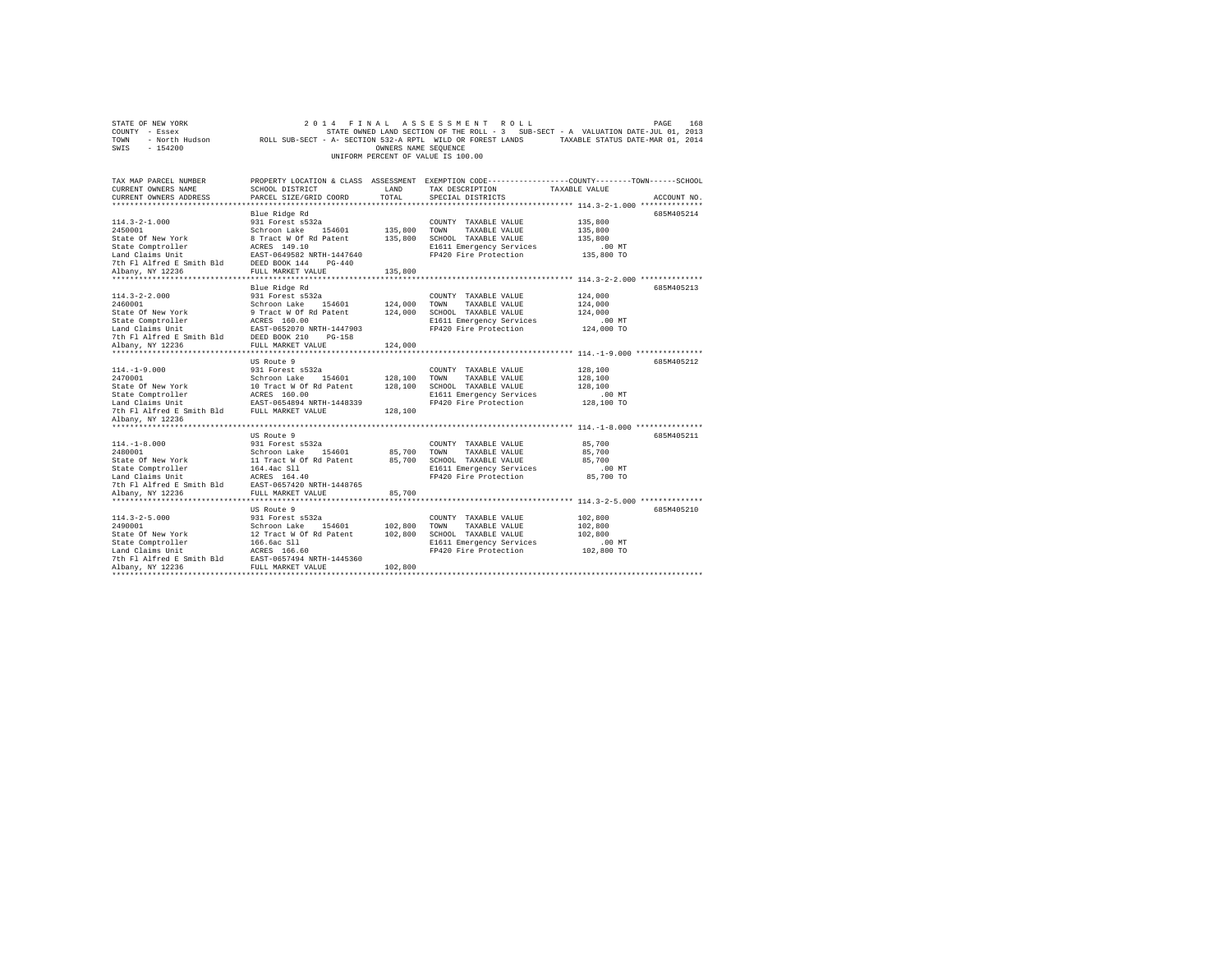| STATE OF NEW YORK                                   | 2 0 1 4                                 |                      | FINAL ASSESSMENT ROLL              | PAGE<br>168                                                                                                |  |
|-----------------------------------------------------|-----------------------------------------|----------------------|------------------------------------|------------------------------------------------------------------------------------------------------------|--|
| COUNTY - Essex                                      |                                         |                      |                                    | STATE OWNED LAND SECTION OF THE ROLL - 3 SUB-SECT - A VALUATION DATE-JUL 01, 2013                          |  |
| TOWN                                                |                                         |                      |                                    | - North Hudson ROLL SUB-SECT - A- SECTION 532-A RPTL WILD OR FOREST LANDS TAXABLE STATUS DATE-MAR 01, 2014 |  |
| SWIS<br>$-154200$                                   |                                         | OWNERS NAME SEQUENCE |                                    |                                                                                                            |  |
|                                                     |                                         |                      | UNIFORM PERCENT OF VALUE IS 100.00 |                                                                                                            |  |
|                                                     |                                         |                      |                                    |                                                                                                            |  |
|                                                     |                                         |                      |                                    |                                                                                                            |  |
| TAX MAP PARCEL NUMBER                               |                                         |                      |                                    | PROPERTY LOCATION & CLASS ASSESSMENT EXEMPTION CODE----------------COUNTY-------TOWN-----SCHOOL            |  |
| CURRENT OWNERS NAME                                 | SCHOOL DISTRICT                         | LAND                 | TAX DESCRIPTION                    | TAXABLE VALUE                                                                                              |  |
| CURRENT OWNERS ADDRESS                              | PARCEL SIZE/GRID COORD                  | TOTAL                | SPECIAL DISTRICTS                  | ACCOUNT NO.                                                                                                |  |
|                                                     |                                         |                      |                                    |                                                                                                            |  |
|                                                     | Blue Ridge Rd                           |                      |                                    | 685M405214                                                                                                 |  |
| $114.3 - 2 - 1.000$                                 | 931 Forest s532a                        |                      | COUNTY TAXABLE VALUE               | 135,800                                                                                                    |  |
| 2450001                                             | Schroon Lake 154601                     | 135,800 TOWN         | TAXABLE VALUE                      | 135,800                                                                                                    |  |
| State Of New York                                   | 8 Tract W Of Rd Patent                  |                      | 135,800 SCHOOL TAXABLE VALUE       | 135,800                                                                                                    |  |
| State Comptroller                                   | ACRES 149.10                            |                      | E1611 Emergency Services           | $.00$ MT                                                                                                   |  |
| Land Claims Unit                                    | EAST-0649582 NRTH-1447640               |                      | FP420 Fire Protection              | 135,800 TO                                                                                                 |  |
| 7th F1 Alfred E Smith Bld DEED BOOK 144 PG-440      |                                         |                      |                                    |                                                                                                            |  |
| Albany, NY 12236                                    | FULL MARKET VALUE                       | 135,800              |                                    |                                                                                                            |  |
|                                                     |                                         |                      |                                    |                                                                                                            |  |
|                                                     | Blue Ridge Rd                           |                      |                                    | 685M405213                                                                                                 |  |
| $114.3 - 2 - 2.000$                                 | 931 Forest s532a                        |                      | COUNTY TAXABLE VALUE               | 124,000                                                                                                    |  |
| 2460001                                             | Schroon Lake 154601                     | 124,000 TOWN         | TAXABLE VALUE                      | 124,000                                                                                                    |  |
| State Of New York                                   | 9 Tract W Of Rd Patent                  | 124,000              | SCHOOL TAXABLE VALUE               | 124,000                                                                                                    |  |
| State Comptroller                                   | ACRES 160.00                            |                      | E1611 Emergency Services           | $.00$ MT                                                                                                   |  |
| Land Claims Unit                                    | EAST-0652070 NRTH-1447903               |                      | FP420 Fire Protection              | 124,000 TO                                                                                                 |  |
| 7th Fl Alfred E Smith Bld                           | DEED BOOK 210<br>$PG-158$               |                      |                                    |                                                                                                            |  |
| Albany, NY 12236                                    | FULL MARKET VALUE                       | 124,000              |                                    |                                                                                                            |  |
|                                                     |                                         |                      |                                    |                                                                                                            |  |
|                                                     | US Route 9                              |                      |                                    | 685M405212                                                                                                 |  |
| $114. - 1 - 9.000$                                  | 931 Forest s532a                        |                      | COUNTY TAXABLE VALUE               | 128,100                                                                                                    |  |
| 2470001                                             | Schroon Lake 154601                     | 128,100 TOWN         | TAXABLE VALUE                      | 128,100                                                                                                    |  |
| State Of New York                                   | 10 Tract W Of Rd Patent<br>ACRES 160.00 |                      | 128,100 SCHOOL TAXABLE VALUE       | 128,100                                                                                                    |  |
| State Comptroller                                   |                                         |                      | E1611 Emergency Services           | $.00$ MT                                                                                                   |  |
| Land Claims Unit                                    | EAST-0654894 NRTH-1448339               |                      | FP420 Fire Protection              | 128,100 TO                                                                                                 |  |
| 7th Fl Alfred E Smith Bld FULL MARKET VALUE         |                                         | 128,100              |                                    |                                                                                                            |  |
| Albany, NY 12236                                    |                                         |                      |                                    |                                                                                                            |  |
|                                                     |                                         |                      |                                    |                                                                                                            |  |
|                                                     | US Route 9                              |                      |                                    | 685M405211                                                                                                 |  |
| $114. -1 - 8.000$                                   | 931 Forest s532a                        |                      | COUNTY TAXABLE VALUE               | 85,700                                                                                                     |  |
| 2480001                                             | Schroon Lake 154601                     | 85,700               | TOWN<br>TAXABLE VALUE              | 85,700                                                                                                     |  |
| State Of New York                                   | 11 Tract W Of Rd Patent                 |                      | 85,700 SCHOOL TAXABLE VALUE        | 85,700                                                                                                     |  |
| State Comptroller                                   | 164.4ac Sll                             |                      | E1611 Emergency Services           | $.00$ MT                                                                                                   |  |
| Land Claims Unit                                    | ACRES 164.40                            |                      | FP420 Fire Protection              | 85,700 TO                                                                                                  |  |
| 7th Fl Alfred E Smith Bld                           | EAST-0657420 NRTH-1448765               |                      |                                    |                                                                                                            |  |
| Albany, NY 12236                                    | FULL MARKET VALUE                       | 85,700               |                                    |                                                                                                            |  |
|                                                     |                                         |                      |                                    |                                                                                                            |  |
|                                                     | US Route 9                              |                      |                                    | 685M405210                                                                                                 |  |
| $114.3 - 2 - 5.000$                                 | 931 Forest s532a                        |                      | COUNTY TAXABLE VALUE               | 102,800                                                                                                    |  |
| 2490001                                             | Schroon Lake 154601                     | 102,800              | TOWN<br>TAXABLE VALUE              | 102,800                                                                                                    |  |
| State Of New York                                   | 12 Tract W Of Rd Patent                 | 102,800              | SCHOOL TAXABLE VALUE               | 102,800                                                                                                    |  |
| State Comptroller                                   | 166.6ac Sll                             |                      | E1611 Emergency Services           | $.00$ MT                                                                                                   |  |
| Land Claims Unit                                    | ACRES 166.60                            |                      | FP420 Fire Protection              | 102,800 TO                                                                                                 |  |
| 7th Fl Alfred E Smith Bld EAST-0657494 NRTH-1445360 |                                         |                      |                                    |                                                                                                            |  |
| Albany, NY 12236                                    | FULL MARKET VALUE                       | 102,800              |                                    |                                                                                                            |  |
|                                                     |                                         |                      |                                    |                                                                                                            |  |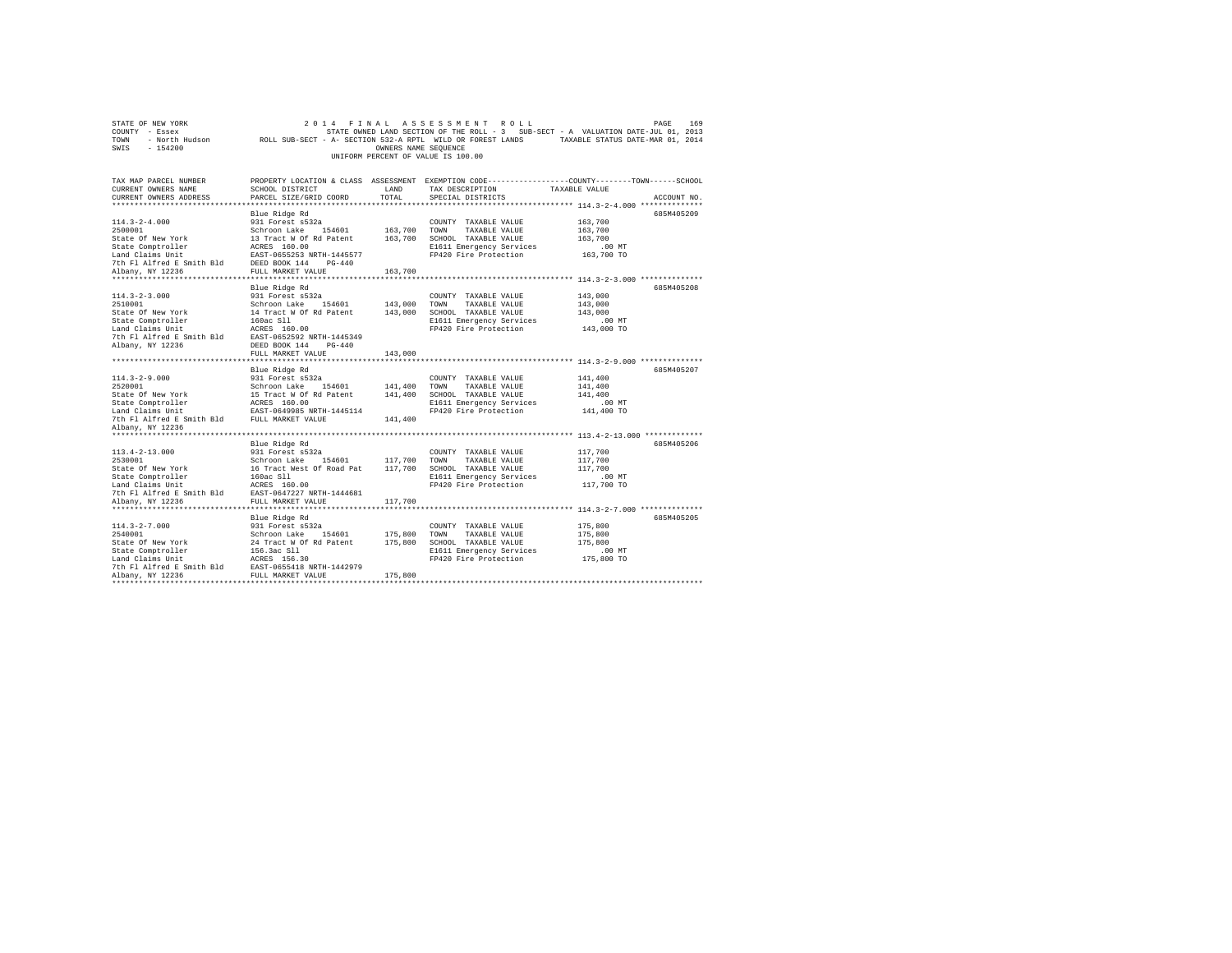| ROLL SUB-SECT - A- SECTION 532-A RPTL WILD OR FOREST LANDS TAXABLE STATUS DATE-MAR 01, 2014<br>$-154200$<br>OWNERS NAME SEQUENCE<br>UNIFORM PERCENT OF VALUE IS 100.00<br>PROPERTY LOCATION & CLASS ASSESSMENT EXEMPTION CODE----------------COUNTY-------TOWN-----SCHOOL<br>SCHOOL DISTRICT<br>LAND<br>TAX DESCRIPTION<br>TAXABLE VALUE<br>TOTAL<br>CURRENT OWNERS ADDRESS<br>PARCEL SIZE/GRID COORD<br>SPECIAL DISTRICTS<br>ACCOUNT NO.<br>685M405209<br>Blue Ridge Rd<br>$114.3 - 2 - 4.000$<br>163,700<br>931 Forest s532a<br>COUNTY TAXABLE VALUE<br>2500001<br>163,700<br>Schroon Lake<br>154601<br>TOWN<br>TAXABLE VALUE<br>163,700<br>State Of New York<br>13 Tract W Of Rd Patent<br>163,700<br>SCHOOL TAXABLE VALUE<br>163,700<br>State Comptroller<br>ACRES 160.00<br>E1611 Emergency Services<br>.00MT<br>EAST-0655253 NRTH-1445577<br>Land Claims Unit<br>FP420 Fire Protection<br>163,700 TO<br>DEED BOOK 144<br>$PG-440$<br>163,700<br>FULL MARKET VALUE<br>***********************<br>**********************<br>**********<br>·**************************** 114.3-2-3.000 **************<br>685M405208<br>Blue Ridge Rd<br>$114.3 - 2 - 3.000$<br>143,000<br>931 Forest s532a<br>COUNTY TAXABLE VALUE<br>2510001<br>Schroon Lake<br>143,000<br>TOWN<br>TAXABLE VALUE<br>143,000<br>154601<br>State Of New York<br>14 Tract W Of Rd Patent<br>143,000<br>SCHOOL TAXABLE VALUE<br>143,000<br>State Comptroller<br>160ac S11<br>E1611 Emergency Services<br>.00 MT<br>Land Claims Unit<br>ACRES 160.00<br>FP420 Fire Protection<br>143,000 TO<br>7th Fl Alfred E Smith Bld<br>EAST-0652592 NRTH-1445349<br>Albany, NY 12236<br>DEED BOOK 144<br>$PG-440$<br>FULL MARKET VALUE<br>143,000<br>Blue Ridge Rd<br>685M405207<br>$114.3 - 2 - 9.000$<br>931 Forest s532a<br>141,400<br>COUNTY TAXABLE VALUE<br>2520001<br>Schroon Lake<br>154601<br>141,400<br>TOWN<br>TAXABLE VALUE<br>141,400<br>State Of New York<br>15 Tract W Of Rd Patent<br>141,400<br>SCHOOL TAXABLE VALUE<br>141,400<br>State Comptroller<br>ACRES 160.00<br>E1611 Emergency Services<br>.00MT<br>FP420 Fire Protection<br>141,400 TO<br>Land Claims Unit<br>EAST-0649985 NRTH-1445114<br>7th Fl Alfred E Smith Bld<br>FULL MARKET VALUE<br>141,400<br>Albany, NY 12236<br>Blue Ridge Rd<br>685M405206<br>931 Forest s532a<br>117,700<br>COUNTY TAXABLE VALUE<br>2530001<br>Schroon Lake<br>154601<br>117,700<br>117,700<br>TOWN<br>TAXABLE VALUE<br>State Of New York<br>16 Tract West Of Road Pat<br>117,700<br>SCHOOL TAXABLE VALUE<br>117,700<br>E1611 Emergency Services<br>State Comptroller<br>160ac S11<br>.00 MT<br>Land Claims Unit<br>ACRES 160.00<br>FP420 Fire Protection<br>117,700 TO<br>7th Fl Alfred E Smith Bld<br>EAST-0647227 NRTH-1444681<br>Albany, NY 12236<br>FULL MARKET VALUE<br>117,700<br>685M405205<br>Blue Ridge Rd<br>931 Forest s532a<br>175,800<br>COUNTY TAXABLE VALUE<br>175,800<br>Schroon Lake<br>154601<br>TOWN<br>TAXABLE VALUE<br>175,800<br>24 Tract W Of Rd Patent<br>175,800<br>175,800<br>SCHOOL TAXABLE VALUE<br>156.3ac Sll<br>State Comptroller<br>E1611 Emergency Services<br>$.00$ MT<br>175,800 TO<br>ACRES 156.30<br>FP420 Fire Protection<br>Land Claims Unit<br>7th Fl Alfred E Smith Bld<br>EAST-0655418 NRTH-1442979<br>Albany, NY 12236<br>175,800<br>FULL MARKET VALUE | STATE OF NEW YORK<br>COUNTY - Essex<br>- North Hudson<br>TOWN | 2014<br>FINAL | ASSESSMENT<br>ROLL | 169<br>PAGE<br>STATE OWNED LAND SECTION OF THE ROLL - 3 SUB-SECT - A VALUATION DATE-JUL 01, 2013 |  |
|-----------------------------------------------------------------------------------------------------------------------------------------------------------------------------------------------------------------------------------------------------------------------------------------------------------------------------------------------------------------------------------------------------------------------------------------------------------------------------------------------------------------------------------------------------------------------------------------------------------------------------------------------------------------------------------------------------------------------------------------------------------------------------------------------------------------------------------------------------------------------------------------------------------------------------------------------------------------------------------------------------------------------------------------------------------------------------------------------------------------------------------------------------------------------------------------------------------------------------------------------------------------------------------------------------------------------------------------------------------------------------------------------------------------------------------------------------------------------------------------------------------------------------------------------------------------------------------------------------------------------------------------------------------------------------------------------------------------------------------------------------------------------------------------------------------------------------------------------------------------------------------------------------------------------------------------------------------------------------------------------------------------------------------------------------------------------------------------------------------------------------------------------------------------------------------------------------------------------------------------------------------------------------------------------------------------------------------------------------------------------------------------------------------------------------------------------------------------------------------------------------------------------------------------------------------------------------------------------------------------------------------------------------------------------------------------------------------------------------------------------------------------------------------------------------------------------------------------------------------------------------------------------------------------------------------------------------------------------------------------------------------------------------------------------------------------------------------------------------------------------------------------------------------------------------------------------------------------------------------------------------------------------------------------------------------------|---------------------------------------------------------------|---------------|--------------------|--------------------------------------------------------------------------------------------------|--|
|                                                                                                                                                                                                                                                                                                                                                                                                                                                                                                                                                                                                                                                                                                                                                                                                                                                                                                                                                                                                                                                                                                                                                                                                                                                                                                                                                                                                                                                                                                                                                                                                                                                                                                                                                                                                                                                                                                                                                                                                                                                                                                                                                                                                                                                                                                                                                                                                                                                                                                                                                                                                                                                                                                                                                                                                                                                                                                                                                                                                                                                                                                                                                                                                                                                                                                                 | SWIS                                                          |               |                    |                                                                                                  |  |
|                                                                                                                                                                                                                                                                                                                                                                                                                                                                                                                                                                                                                                                                                                                                                                                                                                                                                                                                                                                                                                                                                                                                                                                                                                                                                                                                                                                                                                                                                                                                                                                                                                                                                                                                                                                                                                                                                                                                                                                                                                                                                                                                                                                                                                                                                                                                                                                                                                                                                                                                                                                                                                                                                                                                                                                                                                                                                                                                                                                                                                                                                                                                                                                                                                                                                                                 | TAX MAP PARCEL NUMBER                                         |               |                    |                                                                                                  |  |
|                                                                                                                                                                                                                                                                                                                                                                                                                                                                                                                                                                                                                                                                                                                                                                                                                                                                                                                                                                                                                                                                                                                                                                                                                                                                                                                                                                                                                                                                                                                                                                                                                                                                                                                                                                                                                                                                                                                                                                                                                                                                                                                                                                                                                                                                                                                                                                                                                                                                                                                                                                                                                                                                                                                                                                                                                                                                                                                                                                                                                                                                                                                                                                                                                                                                                                                 | CURRENT OWNERS NAME                                           |               |                    |                                                                                                  |  |
|                                                                                                                                                                                                                                                                                                                                                                                                                                                                                                                                                                                                                                                                                                                                                                                                                                                                                                                                                                                                                                                                                                                                                                                                                                                                                                                                                                                                                                                                                                                                                                                                                                                                                                                                                                                                                                                                                                                                                                                                                                                                                                                                                                                                                                                                                                                                                                                                                                                                                                                                                                                                                                                                                                                                                                                                                                                                                                                                                                                                                                                                                                                                                                                                                                                                                                                 |                                                               |               |                    |                                                                                                  |  |
|                                                                                                                                                                                                                                                                                                                                                                                                                                                                                                                                                                                                                                                                                                                                                                                                                                                                                                                                                                                                                                                                                                                                                                                                                                                                                                                                                                                                                                                                                                                                                                                                                                                                                                                                                                                                                                                                                                                                                                                                                                                                                                                                                                                                                                                                                                                                                                                                                                                                                                                                                                                                                                                                                                                                                                                                                                                                                                                                                                                                                                                                                                                                                                                                                                                                                                                 |                                                               |               |                    |                                                                                                  |  |
|                                                                                                                                                                                                                                                                                                                                                                                                                                                                                                                                                                                                                                                                                                                                                                                                                                                                                                                                                                                                                                                                                                                                                                                                                                                                                                                                                                                                                                                                                                                                                                                                                                                                                                                                                                                                                                                                                                                                                                                                                                                                                                                                                                                                                                                                                                                                                                                                                                                                                                                                                                                                                                                                                                                                                                                                                                                                                                                                                                                                                                                                                                                                                                                                                                                                                                                 |                                                               |               |                    |                                                                                                  |  |
|                                                                                                                                                                                                                                                                                                                                                                                                                                                                                                                                                                                                                                                                                                                                                                                                                                                                                                                                                                                                                                                                                                                                                                                                                                                                                                                                                                                                                                                                                                                                                                                                                                                                                                                                                                                                                                                                                                                                                                                                                                                                                                                                                                                                                                                                                                                                                                                                                                                                                                                                                                                                                                                                                                                                                                                                                                                                                                                                                                                                                                                                                                                                                                                                                                                                                                                 |                                                               |               |                    |                                                                                                  |  |
|                                                                                                                                                                                                                                                                                                                                                                                                                                                                                                                                                                                                                                                                                                                                                                                                                                                                                                                                                                                                                                                                                                                                                                                                                                                                                                                                                                                                                                                                                                                                                                                                                                                                                                                                                                                                                                                                                                                                                                                                                                                                                                                                                                                                                                                                                                                                                                                                                                                                                                                                                                                                                                                                                                                                                                                                                                                                                                                                                                                                                                                                                                                                                                                                                                                                                                                 |                                                               |               |                    |                                                                                                  |  |
|                                                                                                                                                                                                                                                                                                                                                                                                                                                                                                                                                                                                                                                                                                                                                                                                                                                                                                                                                                                                                                                                                                                                                                                                                                                                                                                                                                                                                                                                                                                                                                                                                                                                                                                                                                                                                                                                                                                                                                                                                                                                                                                                                                                                                                                                                                                                                                                                                                                                                                                                                                                                                                                                                                                                                                                                                                                                                                                                                                                                                                                                                                                                                                                                                                                                                                                 |                                                               |               |                    |                                                                                                  |  |
|                                                                                                                                                                                                                                                                                                                                                                                                                                                                                                                                                                                                                                                                                                                                                                                                                                                                                                                                                                                                                                                                                                                                                                                                                                                                                                                                                                                                                                                                                                                                                                                                                                                                                                                                                                                                                                                                                                                                                                                                                                                                                                                                                                                                                                                                                                                                                                                                                                                                                                                                                                                                                                                                                                                                                                                                                                                                                                                                                                                                                                                                                                                                                                                                                                                                                                                 |                                                               |               |                    |                                                                                                  |  |
|                                                                                                                                                                                                                                                                                                                                                                                                                                                                                                                                                                                                                                                                                                                                                                                                                                                                                                                                                                                                                                                                                                                                                                                                                                                                                                                                                                                                                                                                                                                                                                                                                                                                                                                                                                                                                                                                                                                                                                                                                                                                                                                                                                                                                                                                                                                                                                                                                                                                                                                                                                                                                                                                                                                                                                                                                                                                                                                                                                                                                                                                                                                                                                                                                                                                                                                 | 7th Fl Alfred E Smith Bld                                     |               |                    |                                                                                                  |  |
|                                                                                                                                                                                                                                                                                                                                                                                                                                                                                                                                                                                                                                                                                                                                                                                                                                                                                                                                                                                                                                                                                                                                                                                                                                                                                                                                                                                                                                                                                                                                                                                                                                                                                                                                                                                                                                                                                                                                                                                                                                                                                                                                                                                                                                                                                                                                                                                                                                                                                                                                                                                                                                                                                                                                                                                                                                                                                                                                                                                                                                                                                                                                                                                                                                                                                                                 | Albany, NY 12236                                              |               |                    |                                                                                                  |  |
|                                                                                                                                                                                                                                                                                                                                                                                                                                                                                                                                                                                                                                                                                                                                                                                                                                                                                                                                                                                                                                                                                                                                                                                                                                                                                                                                                                                                                                                                                                                                                                                                                                                                                                                                                                                                                                                                                                                                                                                                                                                                                                                                                                                                                                                                                                                                                                                                                                                                                                                                                                                                                                                                                                                                                                                                                                                                                                                                                                                                                                                                                                                                                                                                                                                                                                                 |                                                               |               |                    |                                                                                                  |  |
|                                                                                                                                                                                                                                                                                                                                                                                                                                                                                                                                                                                                                                                                                                                                                                                                                                                                                                                                                                                                                                                                                                                                                                                                                                                                                                                                                                                                                                                                                                                                                                                                                                                                                                                                                                                                                                                                                                                                                                                                                                                                                                                                                                                                                                                                                                                                                                                                                                                                                                                                                                                                                                                                                                                                                                                                                                                                                                                                                                                                                                                                                                                                                                                                                                                                                                                 |                                                               |               |                    |                                                                                                  |  |
|                                                                                                                                                                                                                                                                                                                                                                                                                                                                                                                                                                                                                                                                                                                                                                                                                                                                                                                                                                                                                                                                                                                                                                                                                                                                                                                                                                                                                                                                                                                                                                                                                                                                                                                                                                                                                                                                                                                                                                                                                                                                                                                                                                                                                                                                                                                                                                                                                                                                                                                                                                                                                                                                                                                                                                                                                                                                                                                                                                                                                                                                                                                                                                                                                                                                                                                 |                                                               |               |                    |                                                                                                  |  |
|                                                                                                                                                                                                                                                                                                                                                                                                                                                                                                                                                                                                                                                                                                                                                                                                                                                                                                                                                                                                                                                                                                                                                                                                                                                                                                                                                                                                                                                                                                                                                                                                                                                                                                                                                                                                                                                                                                                                                                                                                                                                                                                                                                                                                                                                                                                                                                                                                                                                                                                                                                                                                                                                                                                                                                                                                                                                                                                                                                                                                                                                                                                                                                                                                                                                                                                 |                                                               |               |                    |                                                                                                  |  |
|                                                                                                                                                                                                                                                                                                                                                                                                                                                                                                                                                                                                                                                                                                                                                                                                                                                                                                                                                                                                                                                                                                                                                                                                                                                                                                                                                                                                                                                                                                                                                                                                                                                                                                                                                                                                                                                                                                                                                                                                                                                                                                                                                                                                                                                                                                                                                                                                                                                                                                                                                                                                                                                                                                                                                                                                                                                                                                                                                                                                                                                                                                                                                                                                                                                                                                                 |                                                               |               |                    |                                                                                                  |  |
|                                                                                                                                                                                                                                                                                                                                                                                                                                                                                                                                                                                                                                                                                                                                                                                                                                                                                                                                                                                                                                                                                                                                                                                                                                                                                                                                                                                                                                                                                                                                                                                                                                                                                                                                                                                                                                                                                                                                                                                                                                                                                                                                                                                                                                                                                                                                                                                                                                                                                                                                                                                                                                                                                                                                                                                                                                                                                                                                                                                                                                                                                                                                                                                                                                                                                                                 |                                                               |               |                    |                                                                                                  |  |
|                                                                                                                                                                                                                                                                                                                                                                                                                                                                                                                                                                                                                                                                                                                                                                                                                                                                                                                                                                                                                                                                                                                                                                                                                                                                                                                                                                                                                                                                                                                                                                                                                                                                                                                                                                                                                                                                                                                                                                                                                                                                                                                                                                                                                                                                                                                                                                                                                                                                                                                                                                                                                                                                                                                                                                                                                                                                                                                                                                                                                                                                                                                                                                                                                                                                                                                 |                                                               |               |                    |                                                                                                  |  |
|                                                                                                                                                                                                                                                                                                                                                                                                                                                                                                                                                                                                                                                                                                                                                                                                                                                                                                                                                                                                                                                                                                                                                                                                                                                                                                                                                                                                                                                                                                                                                                                                                                                                                                                                                                                                                                                                                                                                                                                                                                                                                                                                                                                                                                                                                                                                                                                                                                                                                                                                                                                                                                                                                                                                                                                                                                                                                                                                                                                                                                                                                                                                                                                                                                                                                                                 |                                                               |               |                    |                                                                                                  |  |
|                                                                                                                                                                                                                                                                                                                                                                                                                                                                                                                                                                                                                                                                                                                                                                                                                                                                                                                                                                                                                                                                                                                                                                                                                                                                                                                                                                                                                                                                                                                                                                                                                                                                                                                                                                                                                                                                                                                                                                                                                                                                                                                                                                                                                                                                                                                                                                                                                                                                                                                                                                                                                                                                                                                                                                                                                                                                                                                                                                                                                                                                                                                                                                                                                                                                                                                 |                                                               |               |                    |                                                                                                  |  |
|                                                                                                                                                                                                                                                                                                                                                                                                                                                                                                                                                                                                                                                                                                                                                                                                                                                                                                                                                                                                                                                                                                                                                                                                                                                                                                                                                                                                                                                                                                                                                                                                                                                                                                                                                                                                                                                                                                                                                                                                                                                                                                                                                                                                                                                                                                                                                                                                                                                                                                                                                                                                                                                                                                                                                                                                                                                                                                                                                                                                                                                                                                                                                                                                                                                                                                                 |                                                               |               |                    |                                                                                                  |  |
|                                                                                                                                                                                                                                                                                                                                                                                                                                                                                                                                                                                                                                                                                                                                                                                                                                                                                                                                                                                                                                                                                                                                                                                                                                                                                                                                                                                                                                                                                                                                                                                                                                                                                                                                                                                                                                                                                                                                                                                                                                                                                                                                                                                                                                                                                                                                                                                                                                                                                                                                                                                                                                                                                                                                                                                                                                                                                                                                                                                                                                                                                                                                                                                                                                                                                                                 |                                                               |               |                    |                                                                                                  |  |
|                                                                                                                                                                                                                                                                                                                                                                                                                                                                                                                                                                                                                                                                                                                                                                                                                                                                                                                                                                                                                                                                                                                                                                                                                                                                                                                                                                                                                                                                                                                                                                                                                                                                                                                                                                                                                                                                                                                                                                                                                                                                                                                                                                                                                                                                                                                                                                                                                                                                                                                                                                                                                                                                                                                                                                                                                                                                                                                                                                                                                                                                                                                                                                                                                                                                                                                 |                                                               |               |                    |                                                                                                  |  |
|                                                                                                                                                                                                                                                                                                                                                                                                                                                                                                                                                                                                                                                                                                                                                                                                                                                                                                                                                                                                                                                                                                                                                                                                                                                                                                                                                                                                                                                                                                                                                                                                                                                                                                                                                                                                                                                                                                                                                                                                                                                                                                                                                                                                                                                                                                                                                                                                                                                                                                                                                                                                                                                                                                                                                                                                                                                                                                                                                                                                                                                                                                                                                                                                                                                                                                                 |                                                               |               |                    |                                                                                                  |  |
|                                                                                                                                                                                                                                                                                                                                                                                                                                                                                                                                                                                                                                                                                                                                                                                                                                                                                                                                                                                                                                                                                                                                                                                                                                                                                                                                                                                                                                                                                                                                                                                                                                                                                                                                                                                                                                                                                                                                                                                                                                                                                                                                                                                                                                                                                                                                                                                                                                                                                                                                                                                                                                                                                                                                                                                                                                                                                                                                                                                                                                                                                                                                                                                                                                                                                                                 |                                                               |               |                    |                                                                                                  |  |
|                                                                                                                                                                                                                                                                                                                                                                                                                                                                                                                                                                                                                                                                                                                                                                                                                                                                                                                                                                                                                                                                                                                                                                                                                                                                                                                                                                                                                                                                                                                                                                                                                                                                                                                                                                                                                                                                                                                                                                                                                                                                                                                                                                                                                                                                                                                                                                                                                                                                                                                                                                                                                                                                                                                                                                                                                                                                                                                                                                                                                                                                                                                                                                                                                                                                                                                 |                                                               |               |                    |                                                                                                  |  |
|                                                                                                                                                                                                                                                                                                                                                                                                                                                                                                                                                                                                                                                                                                                                                                                                                                                                                                                                                                                                                                                                                                                                                                                                                                                                                                                                                                                                                                                                                                                                                                                                                                                                                                                                                                                                                                                                                                                                                                                                                                                                                                                                                                                                                                                                                                                                                                                                                                                                                                                                                                                                                                                                                                                                                                                                                                                                                                                                                                                                                                                                                                                                                                                                                                                                                                                 |                                                               |               |                    |                                                                                                  |  |
|                                                                                                                                                                                                                                                                                                                                                                                                                                                                                                                                                                                                                                                                                                                                                                                                                                                                                                                                                                                                                                                                                                                                                                                                                                                                                                                                                                                                                                                                                                                                                                                                                                                                                                                                                                                                                                                                                                                                                                                                                                                                                                                                                                                                                                                                                                                                                                                                                                                                                                                                                                                                                                                                                                                                                                                                                                                                                                                                                                                                                                                                                                                                                                                                                                                                                                                 |                                                               |               |                    |                                                                                                  |  |
|                                                                                                                                                                                                                                                                                                                                                                                                                                                                                                                                                                                                                                                                                                                                                                                                                                                                                                                                                                                                                                                                                                                                                                                                                                                                                                                                                                                                                                                                                                                                                                                                                                                                                                                                                                                                                                                                                                                                                                                                                                                                                                                                                                                                                                                                                                                                                                                                                                                                                                                                                                                                                                                                                                                                                                                                                                                                                                                                                                                                                                                                                                                                                                                                                                                                                                                 |                                                               |               |                    |                                                                                                  |  |
|                                                                                                                                                                                                                                                                                                                                                                                                                                                                                                                                                                                                                                                                                                                                                                                                                                                                                                                                                                                                                                                                                                                                                                                                                                                                                                                                                                                                                                                                                                                                                                                                                                                                                                                                                                                                                                                                                                                                                                                                                                                                                                                                                                                                                                                                                                                                                                                                                                                                                                                                                                                                                                                                                                                                                                                                                                                                                                                                                                                                                                                                                                                                                                                                                                                                                                                 |                                                               |               |                    |                                                                                                  |  |
|                                                                                                                                                                                                                                                                                                                                                                                                                                                                                                                                                                                                                                                                                                                                                                                                                                                                                                                                                                                                                                                                                                                                                                                                                                                                                                                                                                                                                                                                                                                                                                                                                                                                                                                                                                                                                                                                                                                                                                                                                                                                                                                                                                                                                                                                                                                                                                                                                                                                                                                                                                                                                                                                                                                                                                                                                                                                                                                                                                                                                                                                                                                                                                                                                                                                                                                 | $113.4 - 2 - 13.000$                                          |               |                    |                                                                                                  |  |
|                                                                                                                                                                                                                                                                                                                                                                                                                                                                                                                                                                                                                                                                                                                                                                                                                                                                                                                                                                                                                                                                                                                                                                                                                                                                                                                                                                                                                                                                                                                                                                                                                                                                                                                                                                                                                                                                                                                                                                                                                                                                                                                                                                                                                                                                                                                                                                                                                                                                                                                                                                                                                                                                                                                                                                                                                                                                                                                                                                                                                                                                                                                                                                                                                                                                                                                 |                                                               |               |                    |                                                                                                  |  |
|                                                                                                                                                                                                                                                                                                                                                                                                                                                                                                                                                                                                                                                                                                                                                                                                                                                                                                                                                                                                                                                                                                                                                                                                                                                                                                                                                                                                                                                                                                                                                                                                                                                                                                                                                                                                                                                                                                                                                                                                                                                                                                                                                                                                                                                                                                                                                                                                                                                                                                                                                                                                                                                                                                                                                                                                                                                                                                                                                                                                                                                                                                                                                                                                                                                                                                                 |                                                               |               |                    |                                                                                                  |  |
|                                                                                                                                                                                                                                                                                                                                                                                                                                                                                                                                                                                                                                                                                                                                                                                                                                                                                                                                                                                                                                                                                                                                                                                                                                                                                                                                                                                                                                                                                                                                                                                                                                                                                                                                                                                                                                                                                                                                                                                                                                                                                                                                                                                                                                                                                                                                                                                                                                                                                                                                                                                                                                                                                                                                                                                                                                                                                                                                                                                                                                                                                                                                                                                                                                                                                                                 |                                                               |               |                    |                                                                                                  |  |
|                                                                                                                                                                                                                                                                                                                                                                                                                                                                                                                                                                                                                                                                                                                                                                                                                                                                                                                                                                                                                                                                                                                                                                                                                                                                                                                                                                                                                                                                                                                                                                                                                                                                                                                                                                                                                                                                                                                                                                                                                                                                                                                                                                                                                                                                                                                                                                                                                                                                                                                                                                                                                                                                                                                                                                                                                                                                                                                                                                                                                                                                                                                                                                                                                                                                                                                 |                                                               |               |                    |                                                                                                  |  |
|                                                                                                                                                                                                                                                                                                                                                                                                                                                                                                                                                                                                                                                                                                                                                                                                                                                                                                                                                                                                                                                                                                                                                                                                                                                                                                                                                                                                                                                                                                                                                                                                                                                                                                                                                                                                                                                                                                                                                                                                                                                                                                                                                                                                                                                                                                                                                                                                                                                                                                                                                                                                                                                                                                                                                                                                                                                                                                                                                                                                                                                                                                                                                                                                                                                                                                                 |                                                               |               |                    |                                                                                                  |  |
|                                                                                                                                                                                                                                                                                                                                                                                                                                                                                                                                                                                                                                                                                                                                                                                                                                                                                                                                                                                                                                                                                                                                                                                                                                                                                                                                                                                                                                                                                                                                                                                                                                                                                                                                                                                                                                                                                                                                                                                                                                                                                                                                                                                                                                                                                                                                                                                                                                                                                                                                                                                                                                                                                                                                                                                                                                                                                                                                                                                                                                                                                                                                                                                                                                                                                                                 |                                                               |               |                    |                                                                                                  |  |
|                                                                                                                                                                                                                                                                                                                                                                                                                                                                                                                                                                                                                                                                                                                                                                                                                                                                                                                                                                                                                                                                                                                                                                                                                                                                                                                                                                                                                                                                                                                                                                                                                                                                                                                                                                                                                                                                                                                                                                                                                                                                                                                                                                                                                                                                                                                                                                                                                                                                                                                                                                                                                                                                                                                                                                                                                                                                                                                                                                                                                                                                                                                                                                                                                                                                                                                 |                                                               |               |                    |                                                                                                  |  |
|                                                                                                                                                                                                                                                                                                                                                                                                                                                                                                                                                                                                                                                                                                                                                                                                                                                                                                                                                                                                                                                                                                                                                                                                                                                                                                                                                                                                                                                                                                                                                                                                                                                                                                                                                                                                                                                                                                                                                                                                                                                                                                                                                                                                                                                                                                                                                                                                                                                                                                                                                                                                                                                                                                                                                                                                                                                                                                                                                                                                                                                                                                                                                                                                                                                                                                                 | $114.3 - 2 - 7.000$                                           |               |                    |                                                                                                  |  |
|                                                                                                                                                                                                                                                                                                                                                                                                                                                                                                                                                                                                                                                                                                                                                                                                                                                                                                                                                                                                                                                                                                                                                                                                                                                                                                                                                                                                                                                                                                                                                                                                                                                                                                                                                                                                                                                                                                                                                                                                                                                                                                                                                                                                                                                                                                                                                                                                                                                                                                                                                                                                                                                                                                                                                                                                                                                                                                                                                                                                                                                                                                                                                                                                                                                                                                                 | 2540001                                                       |               |                    |                                                                                                  |  |
|                                                                                                                                                                                                                                                                                                                                                                                                                                                                                                                                                                                                                                                                                                                                                                                                                                                                                                                                                                                                                                                                                                                                                                                                                                                                                                                                                                                                                                                                                                                                                                                                                                                                                                                                                                                                                                                                                                                                                                                                                                                                                                                                                                                                                                                                                                                                                                                                                                                                                                                                                                                                                                                                                                                                                                                                                                                                                                                                                                                                                                                                                                                                                                                                                                                                                                                 | State Of New York                                             |               |                    |                                                                                                  |  |
|                                                                                                                                                                                                                                                                                                                                                                                                                                                                                                                                                                                                                                                                                                                                                                                                                                                                                                                                                                                                                                                                                                                                                                                                                                                                                                                                                                                                                                                                                                                                                                                                                                                                                                                                                                                                                                                                                                                                                                                                                                                                                                                                                                                                                                                                                                                                                                                                                                                                                                                                                                                                                                                                                                                                                                                                                                                                                                                                                                                                                                                                                                                                                                                                                                                                                                                 |                                                               |               |                    |                                                                                                  |  |
|                                                                                                                                                                                                                                                                                                                                                                                                                                                                                                                                                                                                                                                                                                                                                                                                                                                                                                                                                                                                                                                                                                                                                                                                                                                                                                                                                                                                                                                                                                                                                                                                                                                                                                                                                                                                                                                                                                                                                                                                                                                                                                                                                                                                                                                                                                                                                                                                                                                                                                                                                                                                                                                                                                                                                                                                                                                                                                                                                                                                                                                                                                                                                                                                                                                                                                                 |                                                               |               |                    |                                                                                                  |  |
|                                                                                                                                                                                                                                                                                                                                                                                                                                                                                                                                                                                                                                                                                                                                                                                                                                                                                                                                                                                                                                                                                                                                                                                                                                                                                                                                                                                                                                                                                                                                                                                                                                                                                                                                                                                                                                                                                                                                                                                                                                                                                                                                                                                                                                                                                                                                                                                                                                                                                                                                                                                                                                                                                                                                                                                                                                                                                                                                                                                                                                                                                                                                                                                                                                                                                                                 |                                                               |               |                    |                                                                                                  |  |
|                                                                                                                                                                                                                                                                                                                                                                                                                                                                                                                                                                                                                                                                                                                                                                                                                                                                                                                                                                                                                                                                                                                                                                                                                                                                                                                                                                                                                                                                                                                                                                                                                                                                                                                                                                                                                                                                                                                                                                                                                                                                                                                                                                                                                                                                                                                                                                                                                                                                                                                                                                                                                                                                                                                                                                                                                                                                                                                                                                                                                                                                                                                                                                                                                                                                                                                 |                                                               |               |                    |                                                                                                  |  |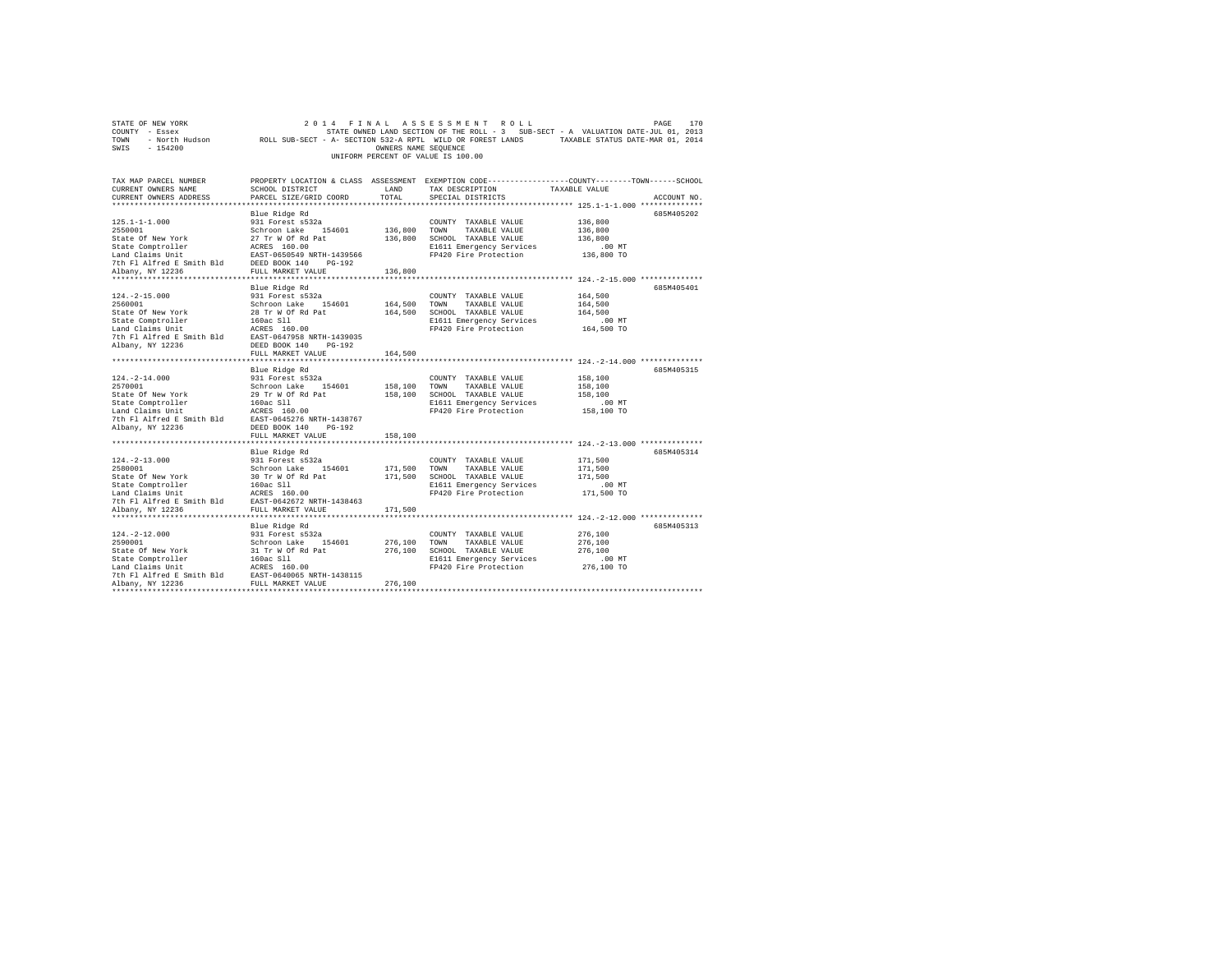| STATE OF NEW YORK                                                                                                                                                                                                                                                                                                                                                                                                                                    |                        |                      | 2014 FINAL ASSESSMENT ROLL                                                                                         | PAGE          | 170         |
|------------------------------------------------------------------------------------------------------------------------------------------------------------------------------------------------------------------------------------------------------------------------------------------------------------------------------------------------------------------------------------------------------------------------------------------------------|------------------------|----------------------|--------------------------------------------------------------------------------------------------------------------|---------------|-------------|
| COUNTY - Essex                                                                                                                                                                                                                                                                                                                                                                                                                                       |                        |                      | STATE OWNED LAND SECTION OF THE ROLL - 3 SUB-SECT - A VALUATION DATE-JUL 01, 2013                                  |               |             |
| TOWN - North Hudson ROLL SUB-SECT - A- SECTION 532-A RPTL WILD OR FOREST LANDS TAXABLE STATUS DATE-MAR 01, 2014                                                                                                                                                                                                                                                                                                                                      |                        |                      |                                                                                                                    |               |             |
| SWIS - 154200                                                                                                                                                                                                                                                                                                                                                                                                                                        |                        | OWNERS NAME SEQUENCE |                                                                                                                    |               |             |
|                                                                                                                                                                                                                                                                                                                                                                                                                                                      |                        |                      | UNIFORM PERCENT OF VALUE IS 100.00                                                                                 |               |             |
|                                                                                                                                                                                                                                                                                                                                                                                                                                                      |                        |                      |                                                                                                                    |               |             |
|                                                                                                                                                                                                                                                                                                                                                                                                                                                      |                        |                      |                                                                                                                    |               |             |
| TAX MAP PARCEL NUMBER                                                                                                                                                                                                                                                                                                                                                                                                                                | SCHOOL DISTRICT LAND   |                      | PROPERTY LOCATION & CLASS ASSESSMENT EXEMPTION CODE---------------COUNTY-------TOWN------SCHOOL<br>TAX DESCRIPTION | TAXABLE VALUE |             |
| CURRENT OWNERS NAME                                                                                                                                                                                                                                                                                                                                                                                                                                  |                        |                      |                                                                                                                    |               |             |
| CURRENT OWNERS ADDRESS                                                                                                                                                                                                                                                                                                                                                                                                                               | PARCEL SIZE/GRID COORD | TOTAL                | SPECIAL DISTRICTS                                                                                                  |               | ACCOUNT NO. |
|                                                                                                                                                                                                                                                                                                                                                                                                                                                      |                        |                      |                                                                                                                    |               |             |
|                                                                                                                                                                                                                                                                                                                                                                                                                                                      | Blue Ridge Rd          |                      |                                                                                                                    |               | 685M405202  |
| $125.1 - 1 - 1.000$                                                                                                                                                                                                                                                                                                                                                                                                                                  | 931 Forest s532a       |                      | COUNTY TAXABLE VALUE                                                                                               | 136,800       |             |
|                                                                                                                                                                                                                                                                                                                                                                                                                                                      |                        | 136,800 TOWN         | TAXABLE VALUE                                                                                                      | 136,800       |             |
|                                                                                                                                                                                                                                                                                                                                                                                                                                                      |                        |                      | 136,800 SCHOOL TAXABLE VALUE                                                                                       | 136,800       |             |
|                                                                                                                                                                                                                                                                                                                                                                                                                                                      |                        |                      | E1611 Emergency Services<br>FP420 Fire Protection                                                                  | $.00$ MT      |             |
|                                                                                                                                                                                                                                                                                                                                                                                                                                                      |                        |                      |                                                                                                                    | 136,800 TO    |             |
|                                                                                                                                                                                                                                                                                                                                                                                                                                                      |                        |                      |                                                                                                                    |               |             |
|                                                                                                                                                                                                                                                                                                                                                                                                                                                      |                        | 136,800              |                                                                                                                    |               |             |
|                                                                                                                                                                                                                                                                                                                                                                                                                                                      |                        |                      |                                                                                                                    |               |             |
|                                                                                                                                                                                                                                                                                                                                                                                                                                                      | Blue Ridge Rd          |                      |                                                                                                                    |               | 685M405401  |
| $124. -2 - 15.000$                                                                                                                                                                                                                                                                                                                                                                                                                                   | 931 Forest s532a       |                      | COUNTY TAXABLE VALUE                                                                                               | 164,500       |             |
| 2560001                                                                                                                                                                                                                                                                                                                                                                                                                                              | Schroon Lake 154601    |                      | 164,500 TOWN TAXABLE VALUE                                                                                         | 164,500       |             |
|                                                                                                                                                                                                                                                                                                                                                                                                                                                      |                        |                      | 164,500 SCHOOL TAXABLE VALUE                                                                                       | 164,500       |             |
|                                                                                                                                                                                                                                                                                                                                                                                                                                                      |                        |                      | E1611 Emergency Services                                                                                           | .00 MT        |             |
|                                                                                                                                                                                                                                                                                                                                                                                                                                                      |                        |                      | FP420 Fire Protection                                                                                              | 164,500 TO    |             |
|                                                                                                                                                                                                                                                                                                                                                                                                                                                      |                        |                      |                                                                                                                    |               |             |
|                                                                                                                                                                                                                                                                                                                                                                                                                                                      |                        |                      |                                                                                                                    |               |             |
|                                                                                                                                                                                                                                                                                                                                                                                                                                                      | FULL MARKET VALUE      | 164,500              |                                                                                                                    |               |             |
|                                                                                                                                                                                                                                                                                                                                                                                                                                                      |                        |                      |                                                                                                                    |               |             |
|                                                                                                                                                                                                                                                                                                                                                                                                                                                      | Blue Ridge Rd          |                      |                                                                                                                    |               | 685M405315  |
| $124. - 2 - 14.000$                                                                                                                                                                                                                                                                                                                                                                                                                                  | 931 Forest s532a       |                      | COUNTY TAXABLE VALUE                                                                                               | 158,100       |             |
|                                                                                                                                                                                                                                                                                                                                                                                                                                                      |                        | 158,100 TOWN         | TAXABLE VALUE                                                                                                      | 158,100       |             |
|                                                                                                                                                                                                                                                                                                                                                                                                                                                      |                        |                      | 158,100 SCHOOL TAXABLE VALUE                                                                                       | 158,100       |             |
|                                                                                                                                                                                                                                                                                                                                                                                                                                                      |                        |                      | E1611 Emergency Services                                                                                           | $.00$ MT      |             |
|                                                                                                                                                                                                                                                                                                                                                                                                                                                      |                        |                      | FP420 Fire Protection                                                                                              | 158,100 TO    |             |
|                                                                                                                                                                                                                                                                                                                                                                                                                                                      |                        |                      |                                                                                                                    |               |             |
|                                                                                                                                                                                                                                                                                                                                                                                                                                                      |                        |                      |                                                                                                                    |               |             |
|                                                                                                                                                                                                                                                                                                                                                                                                                                                      | FULL MARKET VALUE      | 158,100              |                                                                                                                    |               |             |
|                                                                                                                                                                                                                                                                                                                                                                                                                                                      |                        |                      |                                                                                                                    |               |             |
|                                                                                                                                                                                                                                                                                                                                                                                                                                                      |                        |                      |                                                                                                                    |               | 685M405314  |
|                                                                                                                                                                                                                                                                                                                                                                                                                                                      |                        |                      | COUNTY TAXABLE VALUE                                                                                               | 171,500       |             |
|                                                                                                                                                                                                                                                                                                                                                                                                                                                      |                        |                      | 171,500 TOWN TAXABLE VALUE                                                                                         | 171,500       |             |
|                                                                                                                                                                                                                                                                                                                                                                                                                                                      |                        |                      | 171,500 SCHOOL TAXABLE VALUE                                                                                       | 171,500       |             |
|                                                                                                                                                                                                                                                                                                                                                                                                                                                      |                        |                      | E1611 Emergency Services                                                                                           | .00 MT        |             |
|                                                                                                                                                                                                                                                                                                                                                                                                                                                      |                        |                      | FP420 Fire Protection                                                                                              | 171,500 TO    |             |
|                                                                                                                                                                                                                                                                                                                                                                                                                                                      |                        |                      |                                                                                                                    |               |             |
|                                                                                                                                                                                                                                                                                                                                                                                                                                                      |                        | 171,500              |                                                                                                                    |               |             |
| $\begin{tabular}{lllllllllll} \texttt{114} & \texttt{m11} & \texttt{m11} & \texttt{B} & \texttt{931} & \texttt{931} & \texttt{931} & \texttt{931} & \texttt{931} & \texttt{931} & \texttt{931} & \texttt{931} & \texttt{931} & \texttt{931} & \texttt{931} & \texttt{931} & \texttt{931} & \texttt{931} & \texttt{931} & \texttt{931} & \texttt{931} & \texttt{931} & \texttt{931} & \text$                                                          |                        |                      |                                                                                                                    |               |             |
|                                                                                                                                                                                                                                                                                                                                                                                                                                                      |                        |                      |                                                                                                                    |               | 685M405313  |
|                                                                                                                                                                                                                                                                                                                                                                                                                                                      |                        |                      | COUNTY TAXABLE VALUE                                                                                               | 276,100       |             |
|                                                                                                                                                                                                                                                                                                                                                                                                                                                      |                        | 276,100 TOWN         | TAXABLE VALUE                                                                                                      | 276,100       |             |
|                                                                                                                                                                                                                                                                                                                                                                                                                                                      |                        |                      | 276,100 SCHOOL TAXABLE VALUE                                                                                       | 276,100       |             |
|                                                                                                                                                                                                                                                                                                                                                                                                                                                      |                        |                      | E1611 Emergency Services                                                                                           | $.00$ MT      |             |
|                                                                                                                                                                                                                                                                                                                                                                                                                                                      |                        |                      | FP420 Fire Protection                                                                                              | 276,100 TO    |             |
|                                                                                                                                                                                                                                                                                                                                                                                                                                                      |                        |                      |                                                                                                                    |               |             |
|                                                                                                                                                                                                                                                                                                                                                                                                                                                      |                        | 276,100              |                                                                                                                    |               |             |
| $\begin{tabular}{ll} $\texttt{a=1.2-12.000}$ & \texttt{blue Ridge Rd} & \texttt{3.32} \\ \texttt{2590001} & \texttt{331 Force} & \texttt{532a} \\ \texttt{2590001} & \texttt{New York} & \texttt{Schroon Lake} & \texttt{154601} \\ \texttt{State Computer} & \texttt{31 Tr W 87 R} \\ \texttt{Lade Comptroller} & \texttt{160ac S1l} \\ \texttt{7th F1 A1fred B Smith Bld} & \texttt{ACRES} & \texttt{160.00} \\ \texttt{7th F1 A1fred B Smith Bld$ |                        |                      |                                                                                                                    |               |             |
|                                                                                                                                                                                                                                                                                                                                                                                                                                                      |                        |                      |                                                                                                                    |               |             |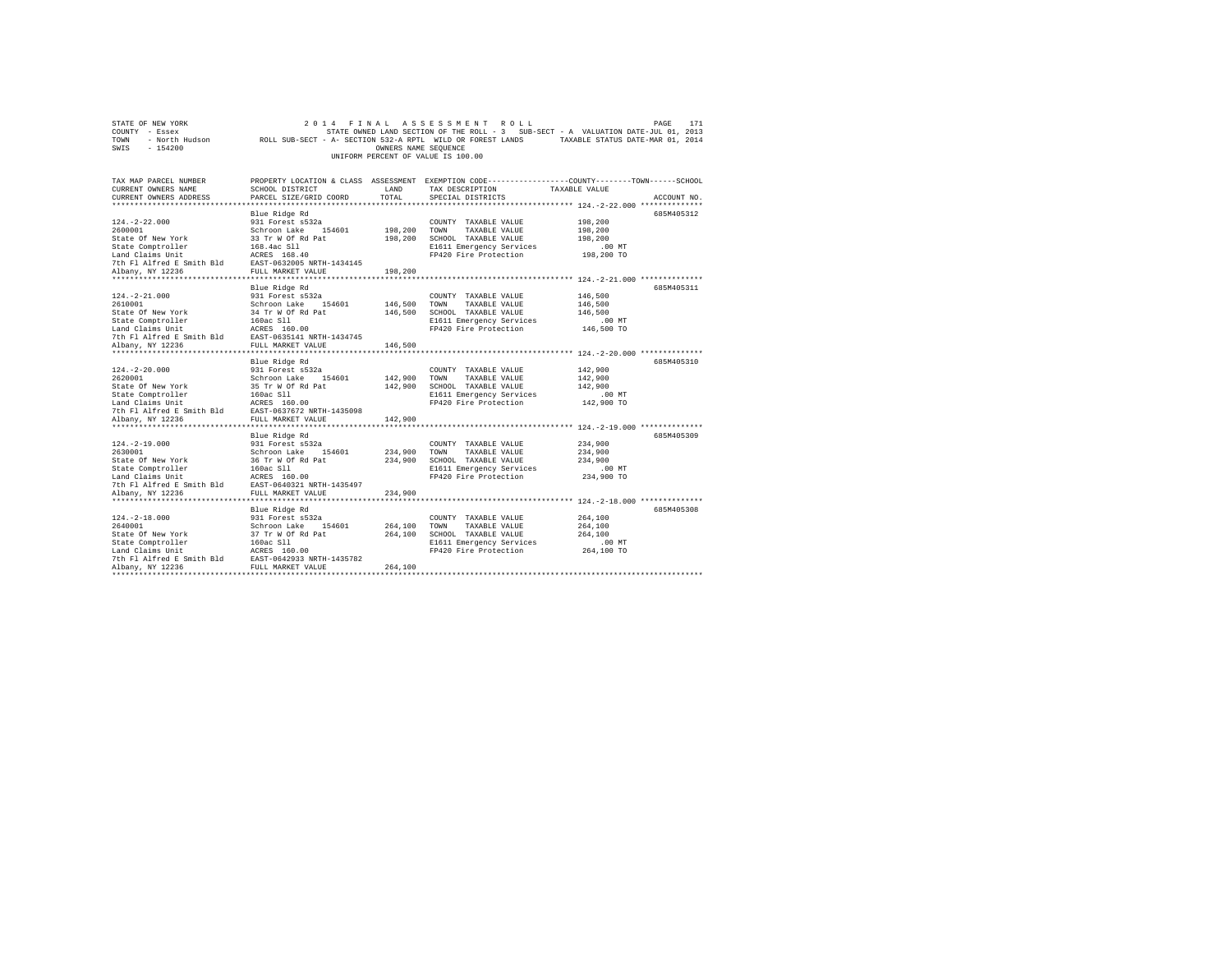| STATE OF NEW YORK                                                                                                                                                                                                              |                                                                                                            |                      | 2014 FINAL ASSESSMENT ROLL                                                                       |               | PAGE<br>171 |
|--------------------------------------------------------------------------------------------------------------------------------------------------------------------------------------------------------------------------------|------------------------------------------------------------------------------------------------------------|----------------------|--------------------------------------------------------------------------------------------------|---------------|-------------|
| COUNTY - Essex                                                                                                                                                                                                                 |                                                                                                            |                      | STATE OWNED LAND SECTION OF THE ROLL - 3 SUB-SECT - A VALUATION DATE-JUL 01, 2013                |               |             |
| TOWN                                                                                                                                                                                                                           | - North Hudson MOLL SUB-SECT - A- SECTION 532-A RPTL WILD OR FOREST LANDS TAXABLE STATUS DATE-MAR 01, 2014 |                      |                                                                                                  |               |             |
| SWIS<br>$-154200$                                                                                                                                                                                                              |                                                                                                            | OWNERS NAME SEQUENCE |                                                                                                  |               |             |
|                                                                                                                                                                                                                                |                                                                                                            |                      | UNIFORM PERCENT OF VALUE IS 100.00                                                               |               |             |
|                                                                                                                                                                                                                                |                                                                                                            |                      |                                                                                                  |               |             |
|                                                                                                                                                                                                                                |                                                                                                            |                      |                                                                                                  |               |             |
| TAX MAP PARCEL NUMBER                                                                                                                                                                                                          |                                                                                                            |                      | PROPERTY LOCATION & CLASS ASSESSMENT EXEMPTION CODE----------------COUNTY-------TOWN------SCHOOL |               |             |
| CURRENT OWNERS NAME                                                                                                                                                                                                            | SCHOOL DISTRICT                                                                                            | LAND                 | TAX DESCRIPTION                                                                                  | TAXABLE VALUE |             |
| CURRENT OWNERS ADDRESS                                                                                                                                                                                                         | PARCEL SIZE/GRID COORD                                                                                     | TOTAL                | SPECIAL DISTRICTS                                                                                |               | ACCOUNT NO. |
|                                                                                                                                                                                                                                |                                                                                                            |                      |                                                                                                  |               |             |
|                                                                                                                                                                                                                                | Blue Ridge Rd                                                                                              |                      |                                                                                                  |               | 685M405312  |
| $124. - 2 - 22.000$                                                                                                                                                                                                            | 931 Forest s532a                                                                                           |                      | COUNTY TAXABLE VALUE                                                                             | 198,200       |             |
| 2600001                                                                                                                                                                                                                        | Schroon Lake 154601                                                                                        | 198,200              | TOWN<br>TAXABLE VALUE                                                                            | 198,200       |             |
| State Of New York                                                                                                                                                                                                              | 33 Tr W Of Rd Pat<br>168.4ac Sll                                                                           |                      | 198,200 SCHOOL TAXABLE VALUE                                                                     | 198,200       |             |
| State Comptroller                                                                                                                                                                                                              |                                                                                                            |                      | E1611 Emergency Services                                                                         | $.00$ MT      |             |
| Land Claims Unit                                                                                                                                                                                                               | ACRES 168.40                                                                                               |                      | FP420 Fire Protection                                                                            | 198,200 TO    |             |
| 7th Fl Alfred E Smith Bld EAST-0632005 NRTH-1434145                                                                                                                                                                            |                                                                                                            |                      |                                                                                                  |               |             |
| Albany, NY 12236                                                                                                                                                                                                               | FULL MARKET VALUE                                                                                          | 198,200              |                                                                                                  |               |             |
|                                                                                                                                                                                                                                |                                                                                                            |                      |                                                                                                  |               |             |
|                                                                                                                                                                                                                                | Blue Ridge Rd                                                                                              |                      |                                                                                                  |               | 685M405311  |
| $124. - 2 - 21.000$                                                                                                                                                                                                            | 931 Forest s532a                                                                                           |                      | COUNTY TAXABLE VALUE                                                                             | 146,500       |             |
| 2610001                                                                                                                                                                                                                        | Schroon Lake 154601                                                                                        | 146,500 TOWN         | TAXABLE VALUE                                                                                    | 146,500       |             |
| State Of New York                                                                                                                                                                                                              | 34 Tr W Of Rd Pat<br>160ac Sll                                                                             | 146,500              | SCHOOL TAXABLE VALUE                                                                             | 146,500       |             |
| State Comptroller                                                                                                                                                                                                              |                                                                                                            |                      | E1611 Emergency Services                                                                         | $.00$ MT      |             |
| Land Claims Unit                                                                                                                                                                                                               | ACRES 160.00                                                                                               |                      | FP420 Fire Protection                                                                            | 146,500 TO    |             |
| 7th Fl Alfred E Smith Bld EAST-0635141 NRTH-1434745                                                                                                                                                                            |                                                                                                            |                      |                                                                                                  |               |             |
| Albany, NY 12236                                                                                                                                                                                                               | FULL MARKET VALUE                                                                                          | 146,500              |                                                                                                  |               |             |
|                                                                                                                                                                                                                                |                                                                                                            |                      |                                                                                                  |               |             |
|                                                                                                                                                                                                                                | Blue Ridge Rd                                                                                              |                      |                                                                                                  |               | 685M405310  |
| $124. - 2 - 20.000$                                                                                                                                                                                                            | 931 Forest s532a                                                                                           |                      | COUNTY TAXABLE VALUE                                                                             | 142,900       |             |
| 2620001                                                                                                                                                                                                                        | Schroon Lake 154601                                                                                        | 142,900 TOWN         | TAXABLE VALUE                                                                                    | 142,900       |             |
|                                                                                                                                                                                                                                |                                                                                                            |                      | 142,900 SCHOOL TAXABLE VALUE                                                                     | 142,900       |             |
| State of New York Signal and Summon and Signal and Capital Controller 160 at Least Company and Capital Controller 2016 160 and Capital Controller 2016 160 and Capital Controller 2016 161 and Capital Controller 2016 2017 16 |                                                                                                            |                      | E1611 Emergency Services                                                                         | $.00$ MT      |             |
|                                                                                                                                                                                                                                |                                                                                                            |                      | FP420 Fire Protection                                                                            | 142,900 TO    |             |
|                                                                                                                                                                                                                                |                                                                                                            |                      |                                                                                                  |               |             |
| Albany, NY 12236                                                                                                                                                                                                               | FULL MARKET VALUE                                                                                          | 142,900              |                                                                                                  |               |             |
|                                                                                                                                                                                                                                |                                                                                                            |                      |                                                                                                  |               |             |
|                                                                                                                                                                                                                                | Blue Ridge Rd                                                                                              |                      |                                                                                                  |               | 685M405309  |
| $124. -2 - 19.000$                                                                                                                                                                                                             | 931 Forest s532a                                                                                           |                      | COUNTY TAXABLE VALUE                                                                             | 234,900       |             |
| 2630001                                                                                                                                                                                                                        | Schroon Lake 154601                                                                                        | 234,900              | TOWN<br>TAXABLE VALUE                                                                            | 234,900       |             |
| State Of New York                                                                                                                                                                                                              | 36 Tr W Of Rd Pat                                                                                          |                      | 234,900 SCHOOL TAXABLE VALUE                                                                     | 234,900       |             |
| State Comptroller                                                                                                                                                                                                              | 160ac Sll                                                                                                  |                      | E1611 Emergency Services                                                                         | $.00$ MT      |             |
| Exate Computeriors<br>Land Claims Unit<br>7th Fl Alfred E Smith Bld BAST-0640321 N                                                                                                                                             |                                                                                                            |                      | FP420 Fire Protection                                                                            | 234,900 TO    |             |
|                                                                                                                                                                                                                                | EAST-0640321 NRTH-1435497                                                                                  |                      |                                                                                                  |               |             |
| Albany, NY 12236                                                                                                                                                                                                               | FULL MARKET VALUE                                                                                          | 234,900              |                                                                                                  |               |             |
|                                                                                                                                                                                                                                |                                                                                                            |                      |                                                                                                  |               |             |
|                                                                                                                                                                                                                                | Blue Ridge Rd                                                                                              |                      |                                                                                                  |               | 685M405308  |
| $124. - 2 - 18.000$                                                                                                                                                                                                            | 931 Forest s532a                                                                                           |                      | COUNTY TAXABLE VALUE                                                                             | 264,100       |             |
| 2640001                                                                                                                                                                                                                        | Schroon Lake 154601                                                                                        | 264,100              | TOWN<br>TAXABLE VALUE                                                                            | 264,100       |             |
| State Of New York                                                                                                                                                                                                              | 37 Tr W Of Rd Pat                                                                                          | 264,100              | SCHOOL TAXABLE VALUE                                                                             | 264,100       |             |
| State Comptroller                                                                                                                                                                                                              | 160ac Sll                                                                                                  |                      | E1611 Emergency Services                                                                         | $.00$ MT      |             |
| Land Claims Unit                                                                                                                                                                                                               | ACRES 160.00                                                                                               |                      | FP420 Fire Protection                                                                            | 264,100 TO    |             |
|                                                                                                                                                                                                                                |                                                                                                            |                      |                                                                                                  |               |             |
| Albany, NY 12236                                                                                                                                                                                                               | FULL MARKET VALUE                                                                                          | 264,100              |                                                                                                  |               |             |
|                                                                                                                                                                                                                                |                                                                                                            |                      |                                                                                                  |               |             |
|                                                                                                                                                                                                                                |                                                                                                            |                      |                                                                                                  |               |             |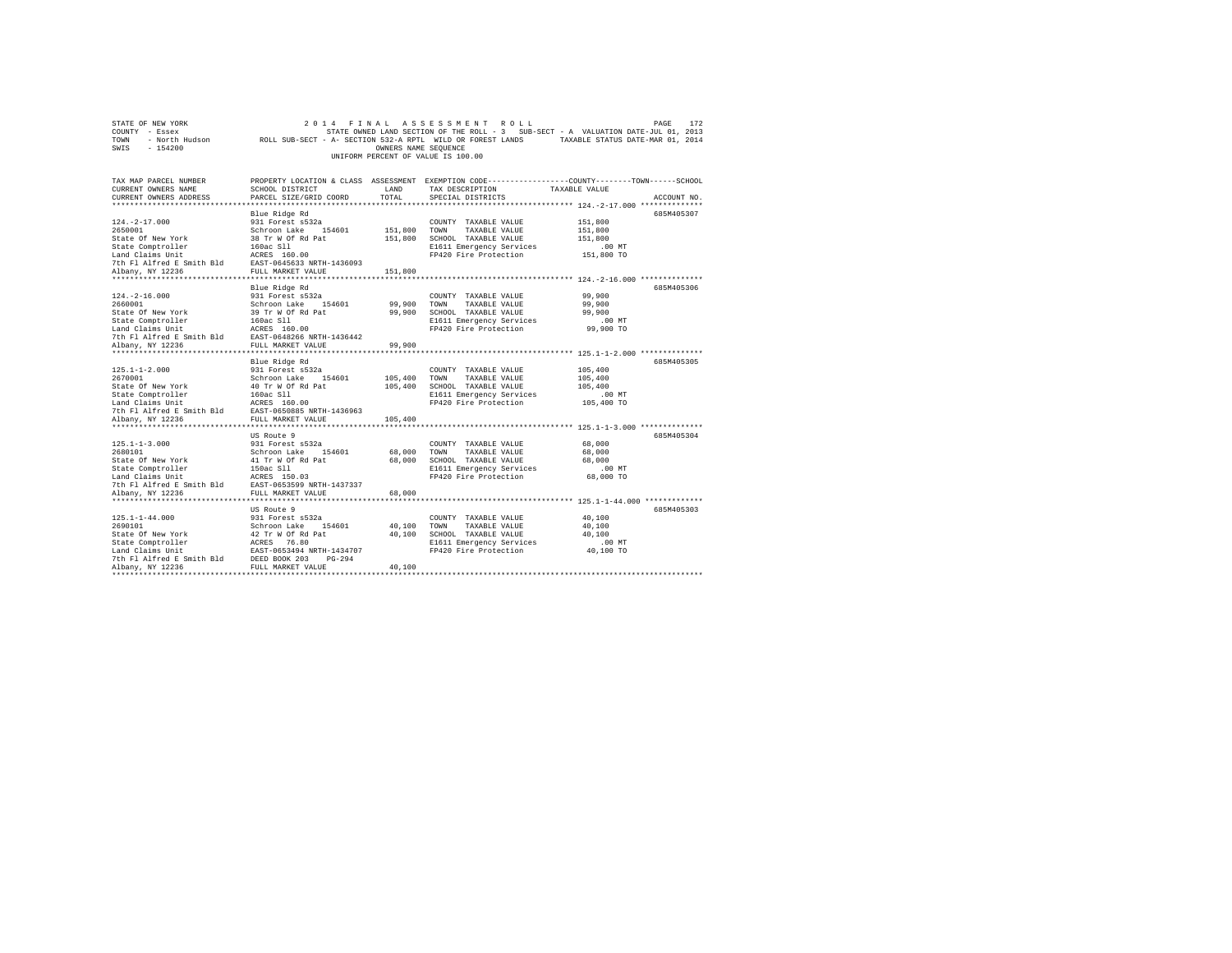| STATE OF NEW YORK<br>COUNTY - Essex                                                                                                                                     |                                          |                      | 2014 FINAL ASSESSMENT ROLL<br>STATE OWNED LAND SECTION OF THE ROLL - 3 SUB-SECT - A VALUATION DATE-JUL 01, 2013    |               | PAGE<br>172 |
|-------------------------------------------------------------------------------------------------------------------------------------------------------------------------|------------------------------------------|----------------------|--------------------------------------------------------------------------------------------------------------------|---------------|-------------|
| TOWN                                                                                                                                                                    |                                          |                      | - North Hudson MOLL SUB-SECT - A- SECTION 532-A RPTL WILD OR FOREST LANDS TAXABLE STATUS DATE-MAR 01, 2014         |               |             |
| SWIS<br>$-154200$                                                                                                                                                       |                                          | OWNERS NAME SEQUENCE |                                                                                                                    |               |             |
|                                                                                                                                                                         |                                          |                      | UNIFORM PERCENT OF VALUE IS 100.00                                                                                 |               |             |
|                                                                                                                                                                         |                                          |                      |                                                                                                                    |               |             |
|                                                                                                                                                                         |                                          |                      |                                                                                                                    |               |             |
| TAX MAP PARCEL NUMBER<br>CURRENT OWNERS NAME                                                                                                                            | <b>LAND</b><br>SCHOOL DISTRICT           |                      | PROPERTY LOCATION & CLASS ASSESSMENT EXEMPTION CODE----------------COUNTY-------TOWN-----SCHOOL<br>TAX DESCRIPTION |               |             |
| CURRENT OWNERS ADDRESS                                                                                                                                                  | PARCEL SIZE/GRID COORD                   | TOTAL                | SPECIAL DISTRICTS                                                                                                  | TAXABLE VALUE | ACCOUNT NO. |
|                                                                                                                                                                         |                                          |                      |                                                                                                                    |               |             |
|                                                                                                                                                                         | Blue Ridge Rd                            |                      |                                                                                                                    |               | 685M405307  |
| $124. -2 - 17.000$                                                                                                                                                      | 931 Forest s532a                         |                      | COUNTY TAXABLE VALUE                                                                                               | 151,800       |             |
| 2650001                                                                                                                                                                 | Schroon Lake 154601                      | 151,800              | TOWN<br>TAXABLE VALUE                                                                                              | 151,800       |             |
|                                                                                                                                                                         |                                          |                      | 151,800 SCHOOL TAXABLE VALUE                                                                                       | 151,800       |             |
|                                                                                                                                                                         |                                          |                      | E1611 Emergency Services                                                                                           | $.00$ MT      |             |
|                                                                                                                                                                         |                                          |                      | FP420 Fire Protection                                                                                              | 151,800 TO    |             |
|                                                                                                                                                                         |                                          |                      |                                                                                                                    |               |             |
|                                                                                                                                                                         |                                          | 151,800              |                                                                                                                    |               |             |
|                                                                                                                                                                         |                                          |                      |                                                                                                                    |               |             |
|                                                                                                                                                                         | Blue Ridge Rd                            |                      |                                                                                                                    |               | 685M405306  |
| $124. - 2 - 16.000$                                                                                                                                                     | 931 Forest s532a                         |                      | COUNTY TAXABLE VALUE                                                                                               | 99,900        |             |
| 2660001                                                                                                                                                                 | Schroon Lake 154601                      | 99,900               | TOWN<br>TAXABLE VALUE                                                                                              | 99,900        |             |
|                                                                                                                                                                         |                                          | 99,900               | SCHOOL TAXABLE VALUE                                                                                               | 99,900        |             |
|                                                                                                                                                                         |                                          |                      | E1611 Emergency Services                                                                                           | $.00$ MT      |             |
|                                                                                                                                                                         |                                          |                      | FP420 Fire Protection                                                                                              | 99,900 TO     |             |
| Albany, NY 12236                                                                                                                                                        | FULL MARKET VALUE                        | 99,900               |                                                                                                                    |               |             |
|                                                                                                                                                                         |                                          |                      |                                                                                                                    |               |             |
|                                                                                                                                                                         | Blue Ridge Rd                            |                      |                                                                                                                    |               | 685M405305  |
| $125.1 - 1 - 2.000$                                                                                                                                                     | 931 Forest s532a                         |                      | COUNTY TAXABLE VALUE                                                                                               | 105,400       |             |
| 2670001                                                                                                                                                                 | Schroon Lake 154601                      | 105,400              | TOWN<br>TAXABLE VALUE                                                                                              | 105,400       |             |
|                                                                                                                                                                         |                                          |                      | 105,400 SCHOOL TAXABLE VALUE                                                                                       | 105,400       |             |
|                                                                                                                                                                         |                                          |                      | E1611 Emergency Services                                                                                           | $.00$ MT      |             |
|                                                                                                                                                                         |                                          |                      | FP420 Fire Protection                                                                                              | 105,400 TO    |             |
|                                                                                                                                                                         |                                          |                      |                                                                                                                    |               |             |
|                                                                                                                                                                         |                                          | 105,400              |                                                                                                                    |               |             |
|                                                                                                                                                                         |                                          |                      |                                                                                                                    |               |             |
|                                                                                                                                                                         | US Route 9                               |                      |                                                                                                                    |               | 685M405304  |
| $125.1 - 1 - 3.000$                                                                                                                                                     | 931 Forest s532a                         |                      | COUNTY TAXABLE VALUE                                                                                               | 68,000        |             |
|                                                                                                                                                                         |                                          | 68,000               | TOWN<br>TAXABLE VALUE                                                                                              | 68,000        |             |
|                                                                                                                                                                         |                                          |                      | 68,000 SCHOOL TAXABLE VALUE                                                                                        | 68,000        |             |
|                                                                                                                                                                         |                                          |                      | E1611 Emergency Services                                                                                           | $.00$ MT      |             |
|                                                                                                                                                                         |                                          |                      | FP420 Fire Protection                                                                                              | 68,000 TO     |             |
| Albany, NY 12236                                                                                                                                                        |                                          | 68,000               |                                                                                                                    |               |             |
|                                                                                                                                                                         | FULL MARKET VALUE                        |                      |                                                                                                                    |               |             |
|                                                                                                                                                                         | US Route 9                               |                      |                                                                                                                    |               | 685M405303  |
| $125.1 - 1 - 44.000$                                                                                                                                                    | 931 Forest s532a                         |                      | COUNTY TAXABLE VALUE                                                                                               | 40,100        |             |
| 2690101                                                                                                                                                                 |                                          | 40,100               | TOWN<br>TAXABLE VALUE                                                                                              | 40,100        |             |
| State Of New York                                                                                                                                                       | Schroon Lake 154601<br>42 Tr W Of Rd Pat | 40,100               | SCHOOL TAXABLE VALUE                                                                                               | 40,100        |             |
|                                                                                                                                                                         |                                          |                      | E1611 Emergency Services                                                                                           | .00 MT        |             |
|                                                                                                                                                                         |                                          |                      | FP420 Fire Protection                                                                                              | 40,100 TO     |             |
| State Comptroller<br>Land Claims Unit<br>Land Claims Unit<br>17th Fl Alfred E Smith Bld<br>2016 1947<br>20236 PULL MARKET VALUE<br>2018 PORT 20236<br>PULL MARKET VALUE |                                          |                      |                                                                                                                    |               |             |
| Albany, NY 12236                                                                                                                                                        |                                          | 40,100               |                                                                                                                    |               |             |
|                                                                                                                                                                         |                                          |                      |                                                                                                                    |               |             |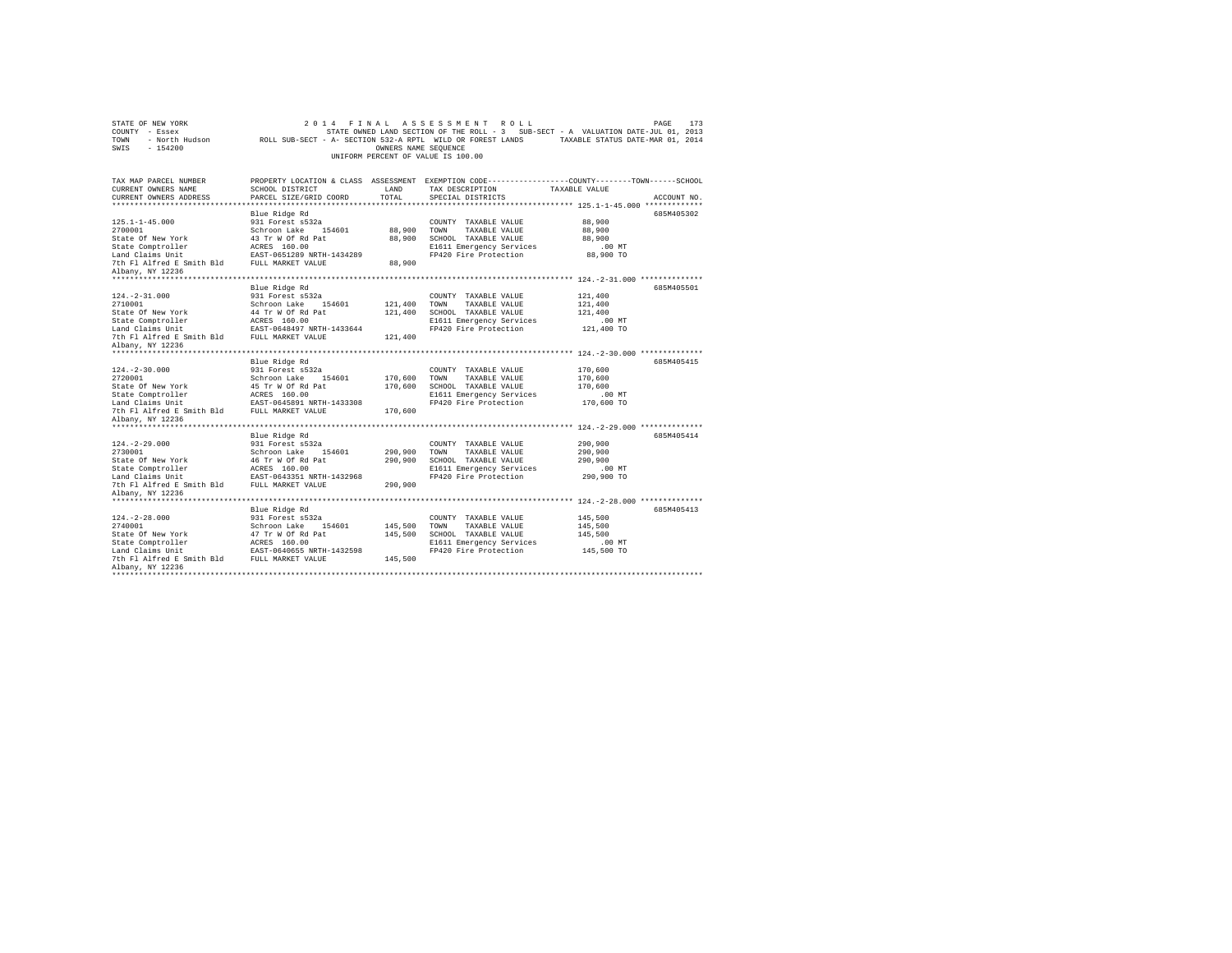| STATE OF NEW YORK<br>COUNTY - Essex<br>TOWN<br>- North Hudson<br>$-154200$<br>SWIS | ROLL SUB-SECT - A- SECTION 532-A RPTL WILD OR FOREST LANDS | OWNERS NAME SEQUENCE | 2014 FINAL ASSESSMENT ROLL<br>UNIFORM PERCENT OF VALUE IS 100.00 | PAGE<br>173<br>STATE OWNED LAND SECTION OF THE ROLL - 3 SUB-SECT - A VALUATION DATE-JUL 01, 2013<br>TAXABLE STATUS DATE-MAR 01, 2014 |
|------------------------------------------------------------------------------------|------------------------------------------------------------|----------------------|------------------------------------------------------------------|--------------------------------------------------------------------------------------------------------------------------------------|
| TAX MAP PARCEL NUMBER<br>CURRENT OWNERS NAME                                       | SCHOOL DISTRICT                                            | LAND                 | TAX DESCRIPTION                                                  | PROPERTY LOCATION & CLASS ASSESSMENT EXEMPTION CODE---------------COUNTY-------TOWN------SCHOOL<br>TAXABLE VALUE                     |
| CURRENT OWNERS ADDRESS<br>***********************                                  | PARCEL SIZE/GRID COORD                                     | TOTAL.               | SPECIAL DISTRICTS                                                | ACCOUNT NO.                                                                                                                          |
|                                                                                    | Blue Ridge Rd                                              |                      |                                                                  | *************************** 125.1-1-45.000 *************<br>685M405302                                                               |
| $125.1 - 1 - 45.000$                                                               | 931 Forest s532a                                           |                      | COUNTY TAXABLE VALUE                                             | 88,900                                                                                                                               |
| 2700001                                                                            | Schroon Lake 154601                                        | 88,900               | TOWN<br>TAXABLE VALUE                                            | 88,900                                                                                                                               |
| State Of New York                                                                  | 43 Tr W Of Rd Pat                                          | 88,900               | SCHOOL TAXABLE VALUE                                             | 88,900                                                                                                                               |
| State Comptroller                                                                  | ACRES 160.00                                               |                      | E1611 Emergency Services                                         | $.00$ MT                                                                                                                             |
| Land Claims Unit                                                                   | EAST-0651289 NRTH-1434289                                  |                      | FP420 Fire Protection                                            | 88,900 TO                                                                                                                            |
| 7th Fl Alfred E Smith Bld FULL MARKET VALUE                                        |                                                            | 88,900               |                                                                  |                                                                                                                                      |
| Albany, NY 12236                                                                   |                                                            |                      |                                                                  |                                                                                                                                      |
|                                                                                    |                                                            |                      |                                                                  |                                                                                                                                      |
|                                                                                    | Blue Ridge Rd                                              |                      |                                                                  | 685M405501                                                                                                                           |
| $124. -2 - 31.000$<br>2710001                                                      | 931 Forest s532a<br>Schroon Lake 154601                    | 121,400              | COUNTY TAXABLE VALUE<br>TOWN<br>TAXABLE VALUE                    | 121,400<br>121,400                                                                                                                   |
| State Of New York                                                                  | 44 Tr W Of Rd Pat                                          | 121,400              | SCHOOL TAXABLE VALUE                                             | 121,400                                                                                                                              |
| State Comptroller                                                                  | ACRES 160.00                                               |                      | E1611 Emergency Services                                         | .00MT                                                                                                                                |
| Land Claims Unit                                                                   | EAST-0648497 NRTH-1433644                                  |                      | FP420 Fire Protection                                            | 121,400 TO                                                                                                                           |
| 7th Fl Alfred E Smith Bld                                                          | FULL MARKET VALUE                                          | 121,400              |                                                                  |                                                                                                                                      |
| Albany, NY 12236                                                                   |                                                            |                      |                                                                  |                                                                                                                                      |
|                                                                                    |                                                            |                      |                                                                  |                                                                                                                                      |
|                                                                                    | Blue Ridge Rd                                              |                      |                                                                  | 685M405415                                                                                                                           |
| $124. -2 - 30.000$                                                                 | 931 Forest s532a                                           |                      | COUNTY TAXABLE VALUE                                             | 170,600                                                                                                                              |
| 2720001                                                                            | Schroon Lake 154601                                        | 170,600              | TOWN<br>TAXABLE VALUE                                            | 170,600                                                                                                                              |
| State Of New York<br>State Comptroller                                             | 45 Tr W Of Rd Pat<br>ACRES 160.00                          | 170,600              | SCHOOL TAXABLE VALUE<br>E1611 Emergency Services                 | 170,600<br>.00 MT                                                                                                                    |
| Land Claims Unit                                                                   | EAST-0645891 NRTH-1433308                                  |                      | FP420 Fire Protection                                            | 170,600 TO                                                                                                                           |
| 7th Fl Alfred E Smith Bld                                                          | FULL MARKET VALUE                                          | 170,600              |                                                                  |                                                                                                                                      |
| Albany, NY 12236                                                                   |                                                            |                      |                                                                  |                                                                                                                                      |
| ********************                                                               |                                                            |                      |                                                                  |                                                                                                                                      |
|                                                                                    | Blue Ridge Rd                                              |                      |                                                                  | 685M405414                                                                                                                           |
| $124. -2 - 29.000$                                                                 | 931 Forest s532a                                           |                      | COUNTY TAXABLE VALUE                                             | 290,900                                                                                                                              |
| 2730001                                                                            | Schroon Lake 154601                                        | 290,900              | TAXABLE VALUE<br>TOWN                                            | 290,900                                                                                                                              |
| State Of New York                                                                  | 46 Tr W Of Rd Pat                                          | 290,900              | SCHOOL TAXABLE VALUE                                             | 290,900                                                                                                                              |
| State Comptroller<br>Land Claims Unit                                              | ACRES 160.00<br>EAST-0643351 NRTH-1432968                  |                      | E1611 Emergency Services<br>FP420 Fire Protection                | .00 MT<br>290,900 TO                                                                                                                 |
| 7th Fl Alfred E Smith Bld FULL MARKET VALUE                                        |                                                            | 290,900              |                                                                  |                                                                                                                                      |
| Albany, NY 12236                                                                   |                                                            |                      |                                                                  |                                                                                                                                      |
|                                                                                    |                                                            |                      |                                                                  |                                                                                                                                      |
|                                                                                    | Blue Ridge Rd                                              |                      |                                                                  | 685M405413                                                                                                                           |
| $124. - 2 - 28.000$                                                                | 931 Forest s532a                                           |                      | COUNTY TAXABLE VALUE                                             | 145,500                                                                                                                              |
| 2740001                                                                            | Schroon Lake<br>154601                                     | 145,500              | TOWN<br>TAXABLE VALUE                                            | 145,500                                                                                                                              |
| State Of New York                                                                  | 47 Tr W Of Rd Pat                                          | 145,500              | SCHOOL TAXABLE VALUE                                             | 145,500                                                                                                                              |
| State Comptroller                                                                  | ACRES 160.00                                               |                      | E1611 Emergency Services                                         | .00MT                                                                                                                                |
| Land Claims Unit                                                                   | EAST-0640655 NRTH-1432598                                  |                      | FP420 Fire Protection                                            | 145,500 TO                                                                                                                           |
| 7th Fl Alfred E Smith Bld<br>Albany, NY 12236                                      | FULL MARKET VALUE                                          | 145,500              |                                                                  |                                                                                                                                      |
| ****************                                                                   |                                                            |                      |                                                                  |                                                                                                                                      |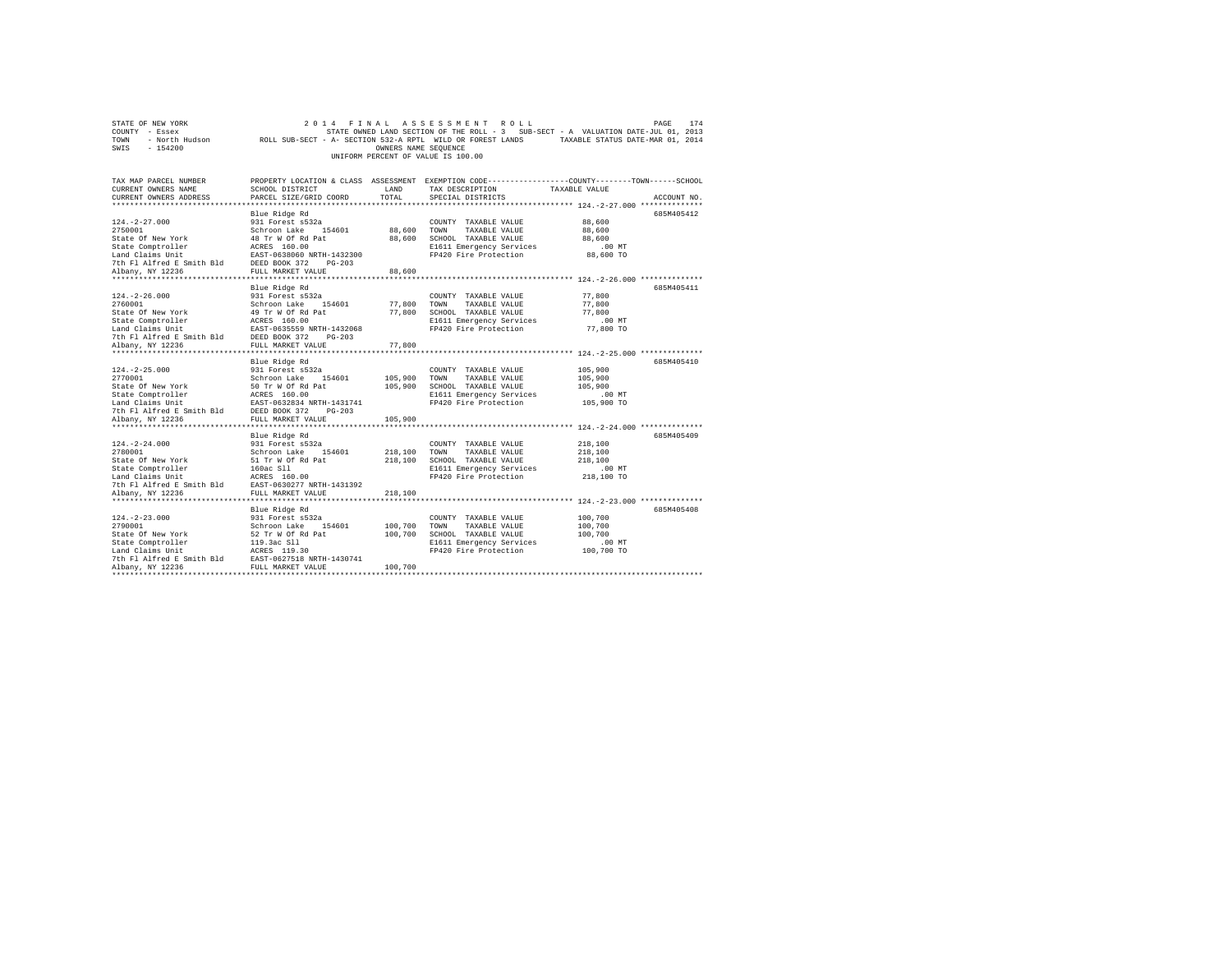|                | STATE OF NEW YORK |                                                            |                                    |                      |  | 2014 FINAL ASSESSMENT ROLL |                                                                                   | PAGE | 174 |
|----------------|-------------------|------------------------------------------------------------|------------------------------------|----------------------|--|----------------------------|-----------------------------------------------------------------------------------|------|-----|
| COUNTY - Essex |                   |                                                            |                                    |                      |  |                            | STATE OWNED LAND SECTION OF THE ROLL - 3 SUB-SECT - A VALUATION DATE-JUL 01, 2013 |      |     |
| TOWN           | - North Hudson    | ROLL SUB-SECT - A- SECTION 532-A RPTL WILD OR FOREST LANDS |                                    |                      |  |                            | TAXABLE STATUS DATE-MAR 01, 2014                                                  |      |     |
| SWIS           | - 154200          |                                                            |                                    | OWNERS NAME SEOUENCE |  |                            |                                                                                   |      |     |
|                |                   |                                                            | UNIFORM PERCENT OF VALUE IS 100.00 |                      |  |                            |                                                                                   |      |     |

| TAX MAP PARCEL NUMBER<br>CURRENT OWNERS NAME<br>CURRENT OWNERS ADDRESS                                                                                                                                                                     | PROPERTY LOCATION & CLASS ASSESSMENT EXEMPTION CODE----------------COUNTY-------TOWN------SCHOOL<br>SCHOOL DISTRICT<br>PARCEL SIZE/GRID COORD | LAND<br>TOTAL | TAX DESCRIPTION<br>SPECIAL DISTRICTS               | TAXABLE VALUE       | ACCOUNT NO. |
|--------------------------------------------------------------------------------------------------------------------------------------------------------------------------------------------------------------------------------------------|-----------------------------------------------------------------------------------------------------------------------------------------------|---------------|----------------------------------------------------|---------------------|-------------|
|                                                                                                                                                                                                                                            |                                                                                                                                               |               |                                                    |                     |             |
|                                                                                                                                                                                                                                            | Blue Ridge Rd                                                                                                                                 |               |                                                    |                     | 685M405412  |
| $124. - 2 - 27.000$                                                                                                                                                                                                                        | 931 Forest s532a                                                                                                                              |               | COUNTY TAXABLE VALUE                               | 88,600              |             |
| 2750001                                                                                                                                                                                                                                    |                                                                                                                                               |               |                                                    | 88,600              |             |
| State Of New York                                                                                                                                                                                                                          | Schroon Lake 154601 88,600 TOWN TAXABLE VALUE<br>48 Tr W Of Rd Pat 88,600 SCHOOL TAXABLE VALUE                                                |               |                                                    | 88,600              |             |
|                                                                                                                                                                                                                                            |                                                                                                                                               |               | E1611 Emergency Services                           | .00 MT              |             |
|                                                                                                                                                                                                                                            |                                                                                                                                               |               | FP420 Fire Protection                              | 88,600 TO           |             |
|                                                                                                                                                                                                                                            |                                                                                                                                               |               |                                                    |                     |             |
| Albany, NY 12236                                                                                                                                                                                                                           | FULL MARKET VALUE                                                                                                                             | 88,600        |                                                    |                     |             |
|                                                                                                                                                                                                                                            |                                                                                                                                               |               |                                                    |                     |             |
|                                                                                                                                                                                                                                            | Blue Ridge Rd                                                                                                                                 |               |                                                    |                     | 685M405411  |
| $124. - 2 - 26.000$                                                                                                                                                                                                                        | 931 Forest s532a                                                                                                                              |               | COUNTY TAXABLE VALUE                               | 77,800              |             |
| 2760001<br>State Of New York 31 1999 Tr W Of Rd Pat                                                                                                                                                                                        |                                                                                                                                               |               | 77,800 TOWN TAXABLE VALUE                          | 77,800              |             |
|                                                                                                                                                                                                                                            |                                                                                                                                               |               | 77,800 SCHOOL TAXABLE VALUE                        | 77,800              |             |
|                                                                                                                                                                                                                                            |                                                                                                                                               |               | E1611 Emergency Services                           | $.00$ MT            |             |
|                                                                                                                                                                                                                                            |                                                                                                                                               |               | FP420 Fire Protection                              | 77,800 TO           |             |
|                                                                                                                                                                                                                                            |                                                                                                                                               |               |                                                    |                     |             |
|                                                                                                                                                                                                                                            |                                                                                                                                               | 77,800        |                                                    |                     |             |
|                                                                                                                                                                                                                                            |                                                                                                                                               |               |                                                    |                     | 685M405410  |
| $124. - 2 - 25.000$                                                                                                                                                                                                                        | Blue Ridge Rd                                                                                                                                 |               | COUNTY TAXABLE VALUE                               | 105,900             |             |
| 2770001                                                                                                                                                                                                                                    | 931 Forest s532a<br>Schroon Lake 154601                                                                                                       |               | COUNTY TAXABLE VALUE<br>105,900 TOWN TAXABLE VALUE | 105,900             |             |
|                                                                                                                                                                                                                                            |                                                                                                                                               |               | 105,900 SCHOOL TAXABLE VALUE                       | 105,900             |             |
|                                                                                                                                                                                                                                            |                                                                                                                                               |               | E1611 Emergency Services                           | .00 MT              |             |
|                                                                                                                                                                                                                                            |                                                                                                                                               |               | FP420 Fire Protection                              | 105,900 TO          |             |
|                                                                                                                                                                                                                                            |                                                                                                                                               |               |                                                    |                     |             |
| 2/0001 - 20101 - 2010 - 2010 - 2010<br>State Comptroller - ACRES 160.00<br>State Comptroller - ACRES 160.00<br>Land Claims Unit<br>The Alfred E Smith Bld - DEED BOOK 372 - PG-203<br>2010 - 2010 - 2010<br>Albany, NY 12236 - 2010 - 2010 |                                                                                                                                               | 105,900       |                                                    |                     |             |
|                                                                                                                                                                                                                                            |                                                                                                                                               |               |                                                    |                     |             |
|                                                                                                                                                                                                                                            | Blue Ridge Rd                                                                                                                                 |               |                                                    |                     | 685M405409  |
|                                                                                                                                                                                                                                            |                                                                                                                                               |               | COUNTY TAXABLE VALUE                               | 218,100             |             |
|                                                                                                                                                                                                                                            |                                                                                                                                               |               | TAXABLE VALUE                                      | 218,100             |             |
|                                                                                                                                                                                                                                            |                                                                                                                                               |               | SCHOOL TAXABLE VALUE                               | 218,100             |             |
|                                                                                                                                                                                                                                            |                                                                                                                                               |               | E1611 Emergency Services                           | $.00$ MT            |             |
|                                                                                                                                                                                                                                            |                                                                                                                                               |               | FP420 Fire Protection                              | 218,100 TO          |             |
|                                                                                                                                                                                                                                            |                                                                                                                                               |               |                                                    |                     |             |
| Albany, NY 12236                                                                                                                                                                                                                           | FULL MARKET VALUE                                                                                                                             | 218,100       |                                                    |                     |             |
| ***********                                                                                                                                                                                                                                |                                                                                                                                               |               |                                                    |                     |             |
|                                                                                                                                                                                                                                            | Blue Ridge Rd                                                                                                                                 |               |                                                    |                     | 685M405408  |
| $124. - 2 - 23.000$                                                                                                                                                                                                                        | 931 Forest s532a<br>Schroon Lake 154601<br>52 Tr W Of Rd Pat                                                                                  | 100,700       | COUNTY TAXABLE VALUE                               | 100,700             |             |
| 2790001<br>State Of New York                                                                                                                                                                                                               |                                                                                                                                               |               | TOWN<br>TAXABLE VALUE                              | 100,700             |             |
| State Comptroller                                                                                                                                                                                                                          |                                                                                                                                               | 100,700       | SCHOOL TAXABLE VALUE<br>E1611 Emergency Services   | 100,700<br>$.00$ MT |             |
| Land Claims Unit                                                                                                                                                                                                                           | 119.3ac S11<br>ACRES 119.30                                                                                                                   |               | FP420 Fire Protection                              | 100,700 TO          |             |
| 7th F1 Alfred E Smith Bld EAST-0627518 NRTH-1430741                                                                                                                                                                                        |                                                                                                                                               |               |                                                    |                     |             |
| Albany, NY 12236                                                                                                                                                                                                                           | FULL MARKET VALUE                                                                                                                             | 100,700       |                                                    |                     |             |
|                                                                                                                                                                                                                                            |                                                                                                                                               |               |                                                    |                     |             |
|                                                                                                                                                                                                                                            |                                                                                                                                               |               |                                                    |                     |             |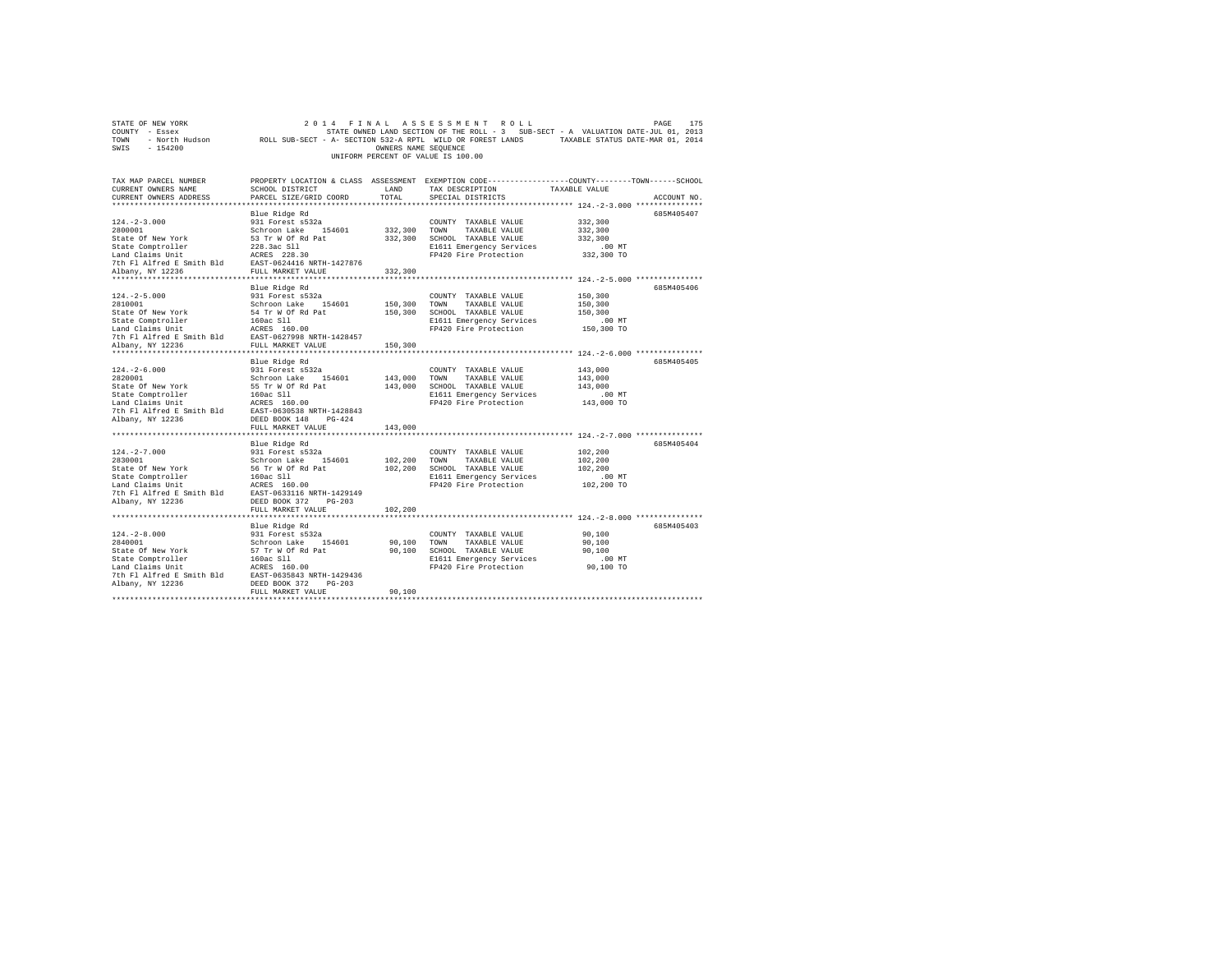| STATE OF NEW YORK                                                                                                                                                                                                                             |                                                              |                      | 2014 FINAL ASSESSMENT ROLL                                                                     |               | 175<br>PAGE |
|-----------------------------------------------------------------------------------------------------------------------------------------------------------------------------------------------------------------------------------------------|--------------------------------------------------------------|----------------------|------------------------------------------------------------------------------------------------|---------------|-------------|
| COUNTY - Essex                                                                                                                                                                                                                                |                                                              |                      | STATE OWNED LAND SECTION OF THE ROLL - 3 SUB-SECT - A VALUATION DATE-JUL 01, 2013              |               |             |
| TOWN - North Hudson ROLL SUB-SECT - A- SECTION 532-A RPTL WILD OR FOREST LANDS TAXABLE STATUS DATE-MAR 01, 2014                                                                                                                               |                                                              |                      |                                                                                                |               |             |
| $-154200$<br>SWIS                                                                                                                                                                                                                             |                                                              | OWNERS NAME SEQUENCE |                                                                                                |               |             |
|                                                                                                                                                                                                                                               |                                                              |                      | UNIFORM PERCENT OF VALUE IS 100.00                                                             |               |             |
|                                                                                                                                                                                                                                               |                                                              |                      |                                                                                                |               |             |
|                                                                                                                                                                                                                                               |                                                              |                      |                                                                                                |               |             |
| TAX MAP PARCEL NUMBER                                                                                                                                                                                                                         |                                                              |                      | PROPERTY LOCATION & CLASS ASSESSMENT EXEMPTION CODE---------------COUNTY-------TOWN-----SCHOOL |               |             |
| CURRENT OWNERS NAME                                                                                                                                                                                                                           | SCHOOL DISTRICT                                              | LAND                 | TAX DESCRIPTION                                                                                | TAXABLE VALUE |             |
| CURRENT OWNERS ADDRESS                                                                                                                                                                                                                        | PARCEL SIZE/GRID COORD                                       | TOTAL                | SPECIAL DISTRICTS                                                                              |               | ACCOUNT NO. |
|                                                                                                                                                                                                                                               |                                                              |                      |                                                                                                |               |             |
|                                                                                                                                                                                                                                               |                                                              |                      |                                                                                                |               |             |
|                                                                                                                                                                                                                                               | Blue Ridge Rd                                                |                      |                                                                                                |               | 685M405407  |
| $124. -2 - 3.000$                                                                                                                                                                                                                             | 931 Forest s532a                                             |                      | COUNTY TAXABLE VALUE                                                                           | 332,300       |             |
| 2800001                                                                                                                                                                                                                                       | Schroon Lake 154601                                          | 332,300 TOWN         | TAXABLE VALUE                                                                                  | 332,300       |             |
|                                                                                                                                                                                                                                               |                                                              |                      | 332,300 SCHOOL TAXABLE VALUE                                                                   | 332,300       |             |
| State Of New York 53 Tr W Of Rd Pat<br>State Comptroller 5228.3ac S11<br>Land Claims Unit 1228.3ac S12<br>The F1 Alfred E Smith B1d RGRES 228.30<br>The P1 Alfred E Smith B1d RST-0624416 NRTH-1427876<br>Albany, NY 122236 FULL MARKET VALUE |                                                              |                      | E1611 Emergency Services                                                                       | $.00$ MT      |             |
|                                                                                                                                                                                                                                               |                                                              |                      | FP420 Fire Protection                                                                          | 332,300 TO    |             |
|                                                                                                                                                                                                                                               |                                                              |                      |                                                                                                |               |             |
|                                                                                                                                                                                                                                               |                                                              | 332,300              |                                                                                                |               |             |
|                                                                                                                                                                                                                                               |                                                              |                      |                                                                                                |               |             |
|                                                                                                                                                                                                                                               | Blue Ridge Rd                                                |                      |                                                                                                |               | 685M405406  |
| $124. - 2 - 5.000$                                                                                                                                                                                                                            | 931 Forest s532a                                             |                      | COUNTY TAXABLE VALUE                                                                           | 150,300       |             |
| 2810001                                                                                                                                                                                                                                       | Schroon Lake 154601                                          | 150,300              | TOWN TAXABLE VALUE                                                                             | 150,300       |             |
|                                                                                                                                                                                                                                               |                                                              |                      |                                                                                                |               |             |
| State Of New York                                                                                                                                                                                                                             | 54 Tr W Of Rd Pat                                            | 150,300              | SCHOOL TAXABLE VALUE                                                                           | 150,300       |             |
|                                                                                                                                                                                                                                               |                                                              |                      | E1611 Emergency Services                                                                       | $.00$ MT      |             |
| State Comptroller 160ac S11<br>Land Claims Unit 160ac S160.00<br>7th F1 Alfred E Smith Bld EAST-0627998 NRTH-1428457<br>7th F1 Alfred E Smith Bld<br>FULL MARKET VALUE                                                                        |                                                              |                      | FP420 Fire Protection                                                                          | 150,300 TO    |             |
|                                                                                                                                                                                                                                               |                                                              |                      |                                                                                                |               |             |
| Albany, NY 12236                                                                                                                                                                                                                              | FULL MARKET VALUE                                            | 150,300              |                                                                                                |               |             |
|                                                                                                                                                                                                                                               |                                                              |                      |                                                                                                |               |             |
|                                                                                                                                                                                                                                               | Blue Ridge Rd                                                |                      |                                                                                                |               | 685M405405  |
|                                                                                                                                                                                                                                               | $931$ Forest $s532a$                                         |                      | COUNTY TAXABLE VALUE                                                                           | 143,000       |             |
| 124.-2-6.000<br>2820001                                                                                                                                                                                                                       | Schroon Lake 154601                                          | 143,000              | TOWN<br>TAXABLE VALUE                                                                          | 143,000       |             |
|                                                                                                                                                                                                                                               |                                                              |                      | 143,000 SCHOOL TAXABLE VALUE                                                                   | 143,000       |             |
|                                                                                                                                                                                                                                               |                                                              |                      | E1611 Emergency Services                                                                       | $.00$ MT      |             |
|                                                                                                                                                                                                                                               |                                                              |                      | FP420 Fire Protection                                                                          | 143,000 TO    |             |
| State Of New York 55 Tr W Of Rd Pat<br>State Comptroller 160ac S11<br>160ac S11<br>160ac S11<br>160ac S11<br>160ac S160.00<br>201 Fl Alfred E Smith Bld BAST-0630538 NRTH-1428843                                                             |                                                              |                      |                                                                                                |               |             |
|                                                                                                                                                                                                                                               |                                                              |                      |                                                                                                |               |             |
| Albany, NY 12236                                                                                                                                                                                                                              | $PG-424$<br>DEED BOOK 148                                    |                      |                                                                                                |               |             |
|                                                                                                                                                                                                                                               | FULL MARKET VALUE                                            | 143,000              |                                                                                                |               |             |
|                                                                                                                                                                                                                                               |                                                              |                      |                                                                                                |               |             |
|                                                                                                                                                                                                                                               | Blue Ridge Rd                                                |                      |                                                                                                |               | 685M405404  |
| $124. -2 - 7.000$                                                                                                                                                                                                                             |                                                              |                      | COUNTY TAXABLE VALUE                                                                           | 102,200       |             |
| 2830001                                                                                                                                                                                                                                       |                                                              | 102,200              | TOWN TAXABLE VALUE                                                                             | 102,200       |             |
| State Of New York                                                                                                                                                                                                                             | 931 Forest s532a<br>Schroon Lake 154601<br>56 Tr W Of Rd Pat | 102,200              | SCHOOL TAXABLE VALUE                                                                           | 102,200       |             |
| State Comptroller<br>Land Claims Unit<br>Land Claims Unit<br>160ac S11<br>2010<br>2025<br>20236 DEED BOOK 372 PG-203<br>20236 DEED BOOK 372 PG-203                                                                                            |                                                              |                      | E1611 Emergency Services                                                                       | $.00$ MT      |             |
|                                                                                                                                                                                                                                               |                                                              |                      | FP420 Fire Protection                                                                          | 102,200 TO    |             |
|                                                                                                                                                                                                                                               |                                                              |                      |                                                                                                |               |             |
| Albany, NY 12236                                                                                                                                                                                                                              | DEED BOOK 372 PG-203                                         |                      |                                                                                                |               |             |
|                                                                                                                                                                                                                                               | FULL MARKET VALUE                                            | 102,200              |                                                                                                |               |             |
|                                                                                                                                                                                                                                               |                                                              |                      |                                                                                                |               |             |
|                                                                                                                                                                                                                                               |                                                              |                      |                                                                                                |               |             |
|                                                                                                                                                                                                                                               | Blue Ridge Rd                                                |                      |                                                                                                |               | 685M405403  |
| $124. - 2 - 8.000$                                                                                                                                                                                                                            | 931 Forest s532a                                             |                      | COUNTY TAXABLE VALUE                                                                           | 90,100        |             |
| 2840001                                                                                                                                                                                                                                       | Schroon Lake 154601                                          | 90,100               | TOWN<br>TAXABLE VALUE                                                                          | 90,100        |             |
| State Of New York                                                                                                                                                                                                                             | 57 Tr W Of Rd Pat                                            |                      | 90,100 SCHOOL TAXABLE VALUE                                                                    | 90,100        |             |
| State Comptroller<br>Land Claims Unit<br>Land Claims Unit<br>7th Fl Alfred E Smith Bld<br>EAST-0635843 NRTH-1429436<br>State Comptroller<br>--- 3 claims Unit                                                                                 |                                                              |                      | E1611 Emergency Services                                                                       | .00MT         |             |
|                                                                                                                                                                                                                                               |                                                              |                      | FP420 Fire Protection                                                                          | 90,100 TO     |             |
|                                                                                                                                                                                                                                               |                                                              |                      |                                                                                                |               |             |
| Albany, NY 12236                                                                                                                                                                                                                              | DEED BOOK 372 PG-203                                         |                      |                                                                                                |               |             |
|                                                                                                                                                                                                                                               | FULL MARKET VALUE                                            | 90,100               |                                                                                                |               |             |
|                                                                                                                                                                                                                                               |                                                              |                      |                                                                                                |               |             |
|                                                                                                                                                                                                                                               |                                                              |                      |                                                                                                |               |             |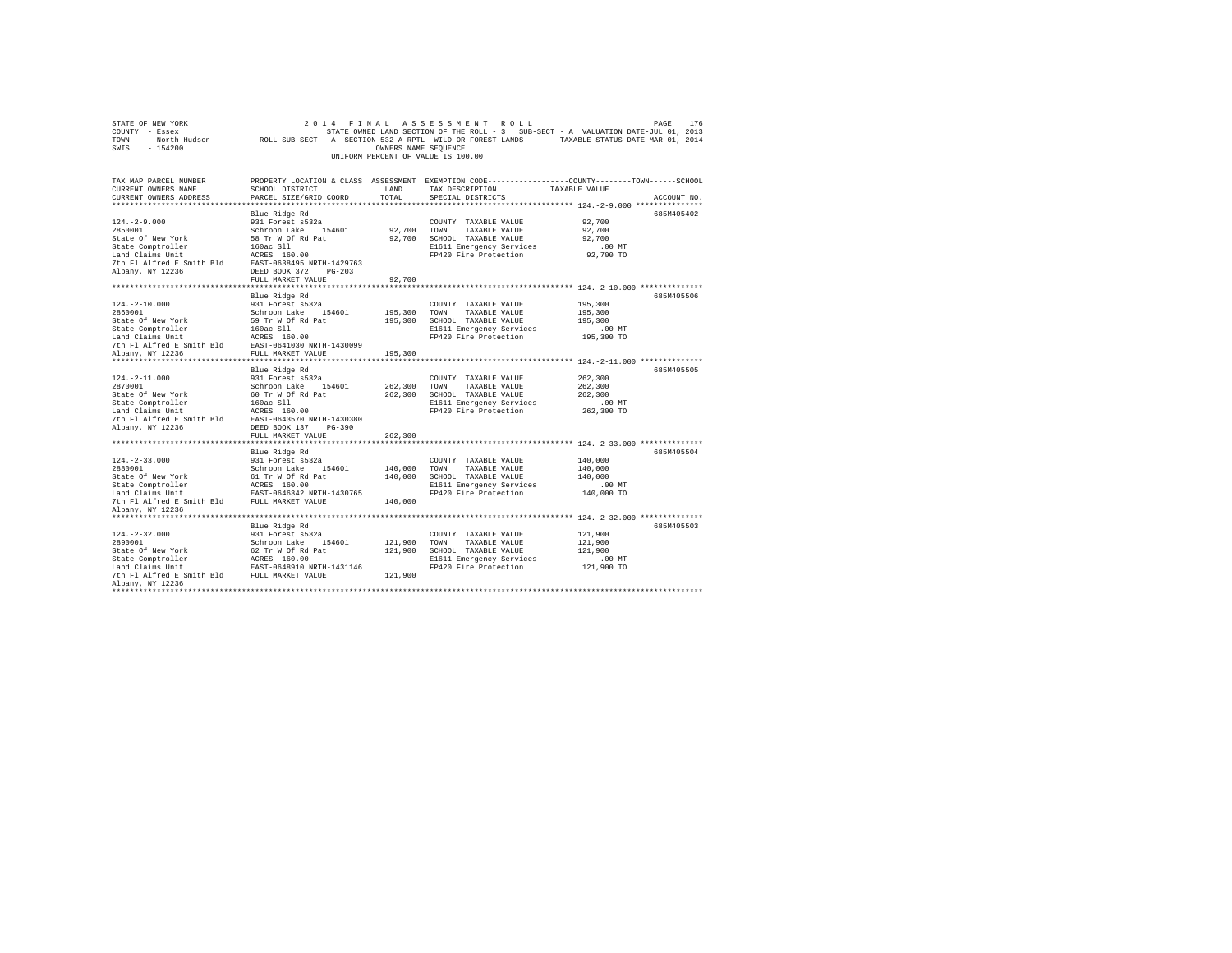| STATE OF NEW YORK<br>COUNTY - Essex<br>TOWN<br>SWIS<br>$-154200$                                                                                                                                                |                                                                                                                    | OWNERS NAME SEOUENCE          | 2014 FINAL ASSESSMENT ROLL<br>UNIFORM PERCENT OF VALUE IS 100.00                                                                      | PAGE<br>176<br>STATE OWNED LAND SECTION OF THE ROLL - 3 SUB-SECT - A VALUATION DATE-JUL 01, 2013<br>- North Hudson MOLL SUB-SECT - A- SECTION 532-A RPTL WILD OR FOREST LANDS TAXABLE STATUS DATE-MAR 01, 2014 |
|-----------------------------------------------------------------------------------------------------------------------------------------------------------------------------------------------------------------|--------------------------------------------------------------------------------------------------------------------|-------------------------------|---------------------------------------------------------------------------------------------------------------------------------------|----------------------------------------------------------------------------------------------------------------------------------------------------------------------------------------------------------------|
| TAX MAP PARCEL NUMBER<br>CURRENT OWNERS NAME<br>CURRENT OWNERS ADDRESS<br>***********************                                                                                                               | SCHOOL DISTRICT<br>PARCEL SIZE/GRID COORD                                                                          | LAND<br>TOTAL                 | TAX DESCRIPTION<br>SPECIAL DISTRICTS                                                                                                  | PROPERTY LOCATION & CLASS ASSESSMENT EXEMPTION CODE---------------COUNTY-------TOWN------SCHOOL<br>TAXABLE VALUE<br>ACCOUNT NO.<br>******************* 124.-2-9.000 ****************                           |
| $124. -2 - 9.000$<br>2850001<br>State Of New York<br>State Comptroller<br>Land Claims Unit<br>$\frac{1}{10}$ Tell alfred E Smith Bld<br>$\frac{1}{10}$ EAST-0638495 NRTH-1429763<br>Albany, NY 12236            | Blue Ridge Rd<br>931 Forest s532a<br>Schroon Lake 154601<br>58 Tr W Of Rd Pat<br>160ac S11<br>DEED BOOK 372 PG-203 |                               | COUNTY TAXABLE VALUE<br>92,700 TOWN TAXABLE VALUE<br>92,700 SCHOOL TAXABLE VALUE<br>E1611 Emergency Services<br>FP420 Fire Protection | 685M405402<br>92,700<br>92,700<br>92,700<br>$.00$ MT<br>92,700 TO                                                                                                                                              |
|                                                                                                                                                                                                                 | FULL MARKET VALUE                                                                                                  | 92,700                        |                                                                                                                                       |                                                                                                                                                                                                                |
| $124. - 2 - 10.000$<br>2860001<br>State Of New York                                                                                                                                                             | Blue Ridge Rd<br>931 Forest s532a<br>Schroon Lake 154601<br>59 Tr W Of Rd Pat                                      | 195,300                       | COUNTY TAXABLE VALUE<br>TAXABLE VALUE<br>TOWN<br>195,300 SCHOOL TAXABLE VALUE<br>E1611 Emergency Services<br>FP420 Fire Protection    | 685M405506<br>195,300<br>195,300<br>195,300<br>$.00$ MT<br>195,300 TO                                                                                                                                          |
| Albany, NY 12236                                                                                                                                                                                                | FULL MARKET VALUE                                                                                                  | 195,300                       |                                                                                                                                       |                                                                                                                                                                                                                |
| $124. - 2 - 11.000$<br>2870001<br>State Of New York<br>State Comptroller<br>Land Claims Unit<br>Land Claims Unit<br>7th Fl Alfred E Smith Bld<br>EAST-0643570 NRTH-1430380<br>Albany, NY 12236                  | Blue Ridge Rd<br>931 Forest s532a<br>Schroon Lake 154601<br>60 Tr W Of Rd Pat<br>DEED BOOK 137 PG-390              | 262,300                       | COUNTY TAXABLE VALUE<br>TOWN<br>TAXABLE VALUE<br>262,300 SCHOOL TAXABLE VALUE<br>E1611 Emergency Services<br>FP420 Fire Protection    | 685M405505<br>262,300<br>262,300<br>262,300<br>$.00$ MT<br>262,300 TO                                                                                                                                          |
|                                                                                                                                                                                                                 | FULL MARKET VALUE                                                                                                  | 262,300                       |                                                                                                                                       |                                                                                                                                                                                                                |
| $124. - 2 - 33.000$<br>2880001<br>State Of New York<br>Albany, NY 12236                                                                                                                                         | Blue Ridge Rd<br>931 Forest s532a<br>Schroon Lake 154601<br>61 Tr W Of Rd Pat                                      | 140,000<br>140,000<br>140,000 | COUNTY TAXABLE VALUE<br>TOWN<br>TAXABLE VALUE<br>SCHOOL TAXABLE VALUE<br>E1611 Emergency Services<br>FP420 Fire Protection            | 685M405504<br>140,000<br>140,000<br>140,000<br>$.00$ MT<br>140,000 TO                                                                                                                                          |
|                                                                                                                                                                                                                 |                                                                                                                    |                               |                                                                                                                                       |                                                                                                                                                                                                                |
| $124. - 2 - 32.000$<br>2890001<br>State Of New York<br>State Comptroller<br>Land Claims Unit<br>Land Claims Unit<br>The F1 Alfred E Smith Bld<br>FULL MARKET VALUE<br>Albany, NY 12236<br>********************* | Blue Ridge Rd<br>931 Forest s532a<br>Schroon Lake 154601<br>62 Tr W Of Rd Pat                                      | 121,900 TOWN<br>121,900       | COUNTY TAXABLE VALUE<br>TAXABLE VALUE<br>121,900 SCHOOL TAXABLE VALUE<br>E1611 Emergency Services<br>FP420 Fire Protection            | 685M405503<br>121,900<br>121,900<br>121.900<br>$.00$ MT<br>121,900 TO                                                                                                                                          |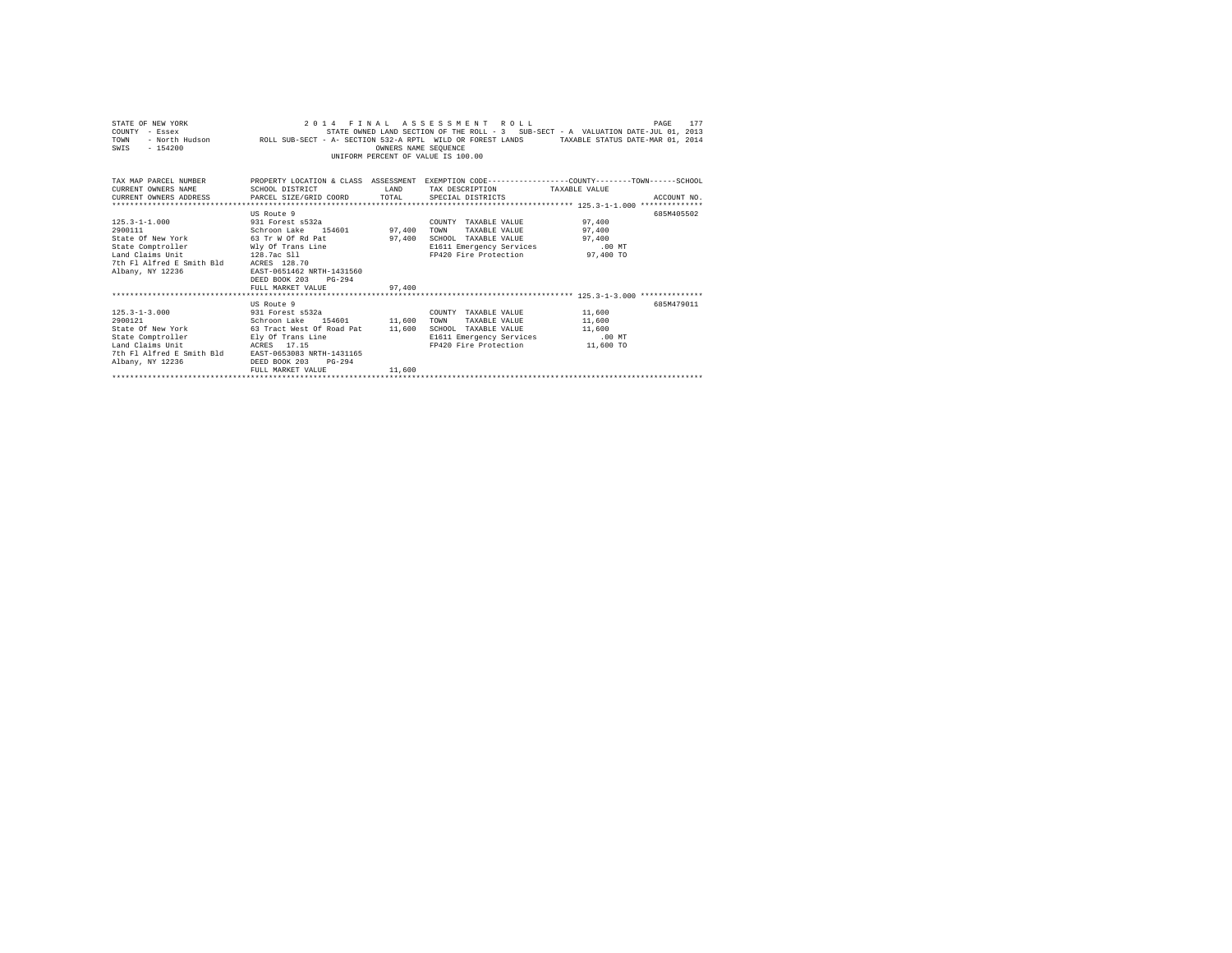| STATE OF NEW YORK<br>COUNTY - Essex<br>TOWN<br>$-154200$<br>SWIS                                                                              | - Essex (1, 2013) - STATE OWNED LAND SECTION OF THE ROLL - 3 SUB-SECT - A VALUATION DATE-JUL 01, 2013<br>- North Hudson       ROLL SUB-SECT - A- SECTION 532-A RPTL WILD OR FOREST LANDS   TAXABLE STATUS DATE-MAR 01, | OWNERS NAME SEQUENCE | 2014 FINAL ASSESSMENT ROLL<br>STATE OWNED LAND SECTION OF THE ROLL - 3 SUB-SECT - A VALUATION DATE-JUL 01, 2013<br>UNIFORM PERCENT OF VALUE IS 100.00 | 177<br>PAGE |
|-----------------------------------------------------------------------------------------------------------------------------------------------|------------------------------------------------------------------------------------------------------------------------------------------------------------------------------------------------------------------------|----------------------|-------------------------------------------------------------------------------------------------------------------------------------------------------|-------------|
| TAX MAP PARCEL NUMBER THE PROPERTY LOCATION & CLASS ASSESSMENT EXEMPTION CODE--------------COUNTY-------TOWN------SCHOOL                      |                                                                                                                                                                                                                        |                      |                                                                                                                                                       |             |
| CURRENT OWNERS NAME                                                                                                                           | SCHOOL DISTRICT                                                                                                                                                                                                        |                      | LAND TAX DESCRIPTION TAXABLE VALUE                                                                                                                    |             |
| CURRENT OWNERS ADDRESS PARCEL SIZE/GRID COORD TOTAL SPECIAL DISTRICTS                                                                         |                                                                                                                                                                                                                        |                      |                                                                                                                                                       | ACCOUNT NO. |
|                                                                                                                                               |                                                                                                                                                                                                                        |                      |                                                                                                                                                       |             |
|                                                                                                                                               | US Route 9                                                                                                                                                                                                             |                      |                                                                                                                                                       | 685M405502  |
|                                                                                                                                               |                                                                                                                                                                                                                        |                      | COUNTY TAXABLE VALUE 97,400                                                                                                                           |             |
| $\begin{array}{cccc} 125.3\text{--}1\text{--}1.000 & 931 \text{ Forest s}532a \\ 2900111 & \text{Schroon Lake} & 154601 & 97,400 \end{array}$ |                                                                                                                                                                                                                        |                      | TAXABLE VALUE 97,400<br>TOWN                                                                                                                          |             |
| State Of New York 63 Tr W Of Rd Pat 97,400                                                                                                    |                                                                                                                                                                                                                        |                      | SCHOOL TAXABLE VALUE 97,400                                                                                                                           |             |
| State Comptroller Mly Of Trans Line<br>Land Claims Unit 128.7ac Sll                                                                           |                                                                                                                                                                                                                        |                      | E1611 Emergency Services .00 MT                                                                                                                       |             |
| 128.7ac S11                                                                                                                                   |                                                                                                                                                                                                                        |                      | FP420 Fire Protection 97,400 TO                                                                                                                       |             |
| 7th Fl Alfred E Smith Bld ACRES 128.70                                                                                                        |                                                                                                                                                                                                                        |                      |                                                                                                                                                       |             |
| Albany, NY 12236                                                                                                                              | EAST-0651462 NRTH-1431560                                                                                                                                                                                              |                      |                                                                                                                                                       |             |
|                                                                                                                                               | DEED BOOK 203 PG-294                                                                                                                                                                                                   |                      |                                                                                                                                                       |             |
|                                                                                                                                               | FULL MARKET VALUE 97,400                                                                                                                                                                                               |                      |                                                                                                                                                       |             |
|                                                                                                                                               |                                                                                                                                                                                                                        |                      |                                                                                                                                                       |             |
|                                                                                                                                               | US Route 9                                                                                                                                                                                                             |                      |                                                                                                                                                       | 685M479011  |
| 125.3-1-3.000 931 Forest s532a                                                                                                                |                                                                                                                                                                                                                        |                      | COUNTY TAXABLE VALUE 11,600                                                                                                                           |             |
| 2900121                                                                                                                                       | Schroon Lake 154601 11,600                                                                                                                                                                                             |                      | TAXABLE VALUE 11,600<br>TOWN                                                                                                                          |             |
| State Of New York 63 Tract West Of Road Pat 11,600 SCHOOL TAXABLE VALUE 11,600                                                                |                                                                                                                                                                                                                        |                      |                                                                                                                                                       |             |
| State Comptroller Ely Of Trans Line                                                                                                           |                                                                                                                                                                                                                        |                      | E1611 Emergency Services .00 MT                                                                                                                       |             |
| Land Claims Unit                                                                                                                              | ACRES 17.15                                                                                                                                                                                                            |                      | FP420 Fire Protection 11,600 TO                                                                                                                       |             |
| 7th Fl Alfred E Smith Bld EAST-0653083 NRTH-1431165                                                                                           |                                                                                                                                                                                                                        |                      |                                                                                                                                                       |             |
| Albany, NY 12236                                                                                                                              | DEED BOOK 203<br>$PG-294$                                                                                                                                                                                              |                      |                                                                                                                                                       |             |
|                                                                                                                                               | FULL MARKET VALUE                                                                                                                                                                                                      | 11,600               |                                                                                                                                                       |             |
|                                                                                                                                               |                                                                                                                                                                                                                        |                      |                                                                                                                                                       |             |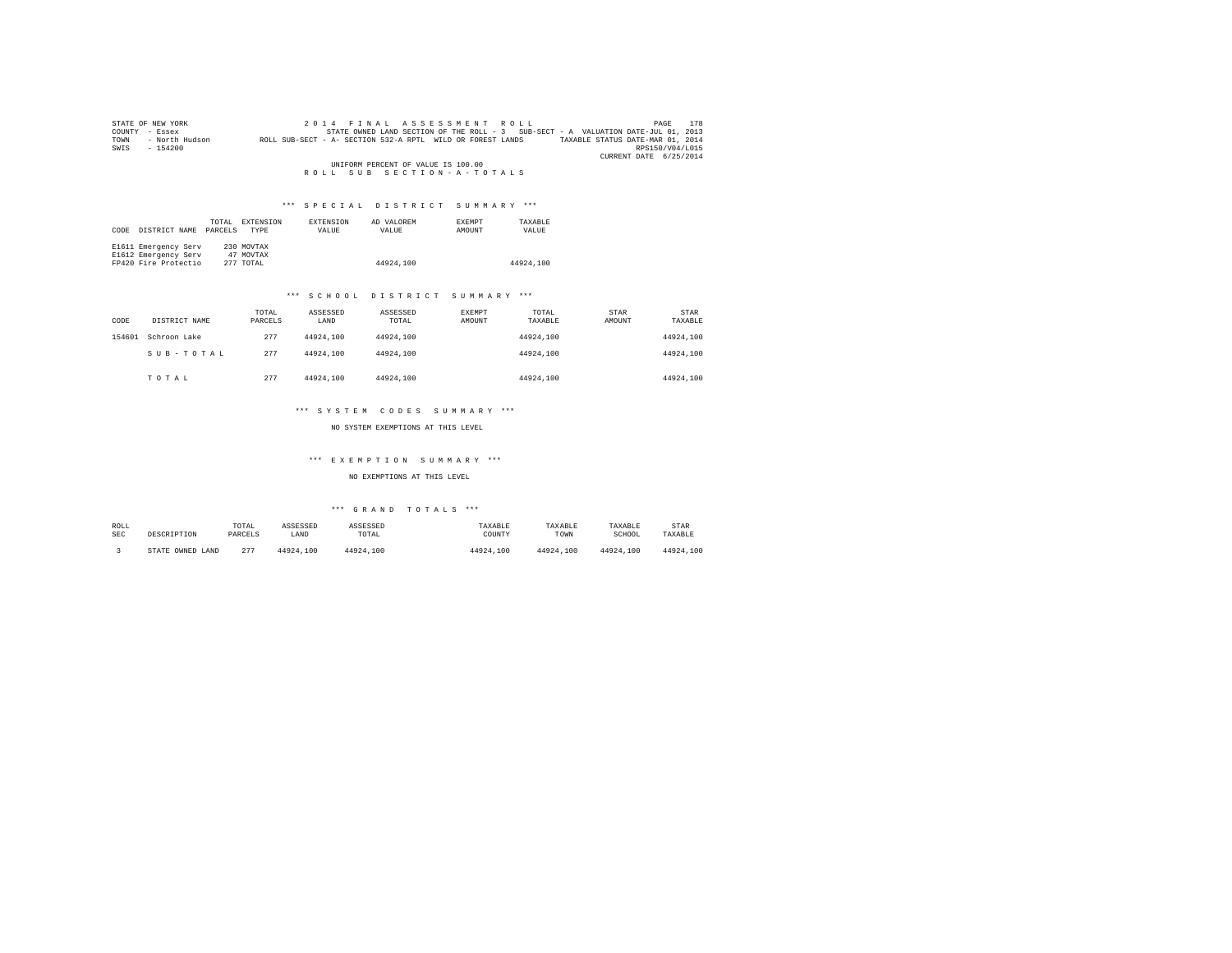|        | STATE OF NEW YORK | 2014 FINAL ASSESSMENT ROLL                                                                     | 178<br>PAGE            |
|--------|-------------------|------------------------------------------------------------------------------------------------|------------------------|
| COUNTY | - Essex           | STATE OWNED LAND SECTION OF THE ROLL - 3 SUB-SECT - A VALUATION DATE-JUL 01, 2013              |                        |
| TOWN   | - North Hudson    | ROLL SUB-SECT - A- SECTION 532-A RPTL WILD OR FOREST LANDS<br>TAXABLE STATUS DATE-MAR 01, 2014 |                        |
| SWIS   | $-154200$         |                                                                                                | RPS150/V04/L015        |
|        |                   |                                                                                                | CURRENT DATE 6/25/2014 |
|        |                   | UNIFORM PERCENT OF VALUE IS 100.00                                                             |                        |
|        |                   | ROLL SUB SECTION-A-TOTALS                                                                      |                        |

# \*\*\* S P E C I A L D I S T R I C T S U M M A R Y \*\*\*

| CODE | DISTRICT NAME        | TOTAL<br>PARCELS | EXTENSION<br>TYPE | EXTENSION<br>VALUE | AD VALOREM<br>VALUE | <b>EXEMPT</b><br>AMOUNT | TAXARLE<br>VALUE |
|------|----------------------|------------------|-------------------|--------------------|---------------------|-------------------------|------------------|
|      | E1611 Emergency Serv |                  | 230 MOVTAX        |                    |                     |                         |                  |
|      | E1612 Emergency Serv |                  | 47 MOVTAX         |                    |                     |                         |                  |
|      | FP420 Fire Protectio |                  | 277 TOTAL         |                    | 44924.100           |                         | 44924.100        |

## \*\*\* S C H O O L D I S T R I C T S U M M A R Y \*\*\*

| CODE   | DISTRICT NAME | TOTAL<br>PARCELS | ASSESSED<br>LAND | ASSESSED<br>TOTAL | EXEMPT<br>AMOUNT | TOTAL<br>TAXABLE | STAR<br>AMOUNT | STAR<br>TAXABLE |
|--------|---------------|------------------|------------------|-------------------|------------------|------------------|----------------|-----------------|
| 154601 | Schroon Lake  | 277              | 44924.100        | 44924,100         |                  | 44924.100        |                | 44924.100       |
|        | SUB-TOTAL     | 277              | 44924.100        | 44924,100         |                  | 44924.100        |                | 44924.100       |
|        | TOTAL         | 277              | 44924.100        | 44924,100         |                  | 44924.100        |                | 44924.100       |

## \*\*\* S Y S T E M C O D E S S U M M A R Y \*\*\*

NO SYSTEM EXEMPTIONS AT THIS LEVEL

# \*\*\* E X E M P T I O N S U M M A R Y \*\*\*

NO EXEMPTIONS AT THIS LEVEL

# \*\*\* G R A N D T O T A L S \*\*\*

| ROLL | DESCRIPTION            | TOTAL   | ASSESSED  | ASSESSED  | TAXABLE   | TAXABLE   | TAXABLE   | STAR      |
|------|------------------------|---------|-----------|-----------|-----------|-----------|-----------|-----------|
| SEC  |                        | PARCELS | LAND      | TOTAL     | COUNTY    | TOWN      | SCHOOL    | TAXABLE   |
|      | OWNED<br>LAND<br>STATE | 277     | 44924.100 | 44924.100 | 44924.100 | 44924.100 | 44924.100 | 44924,100 |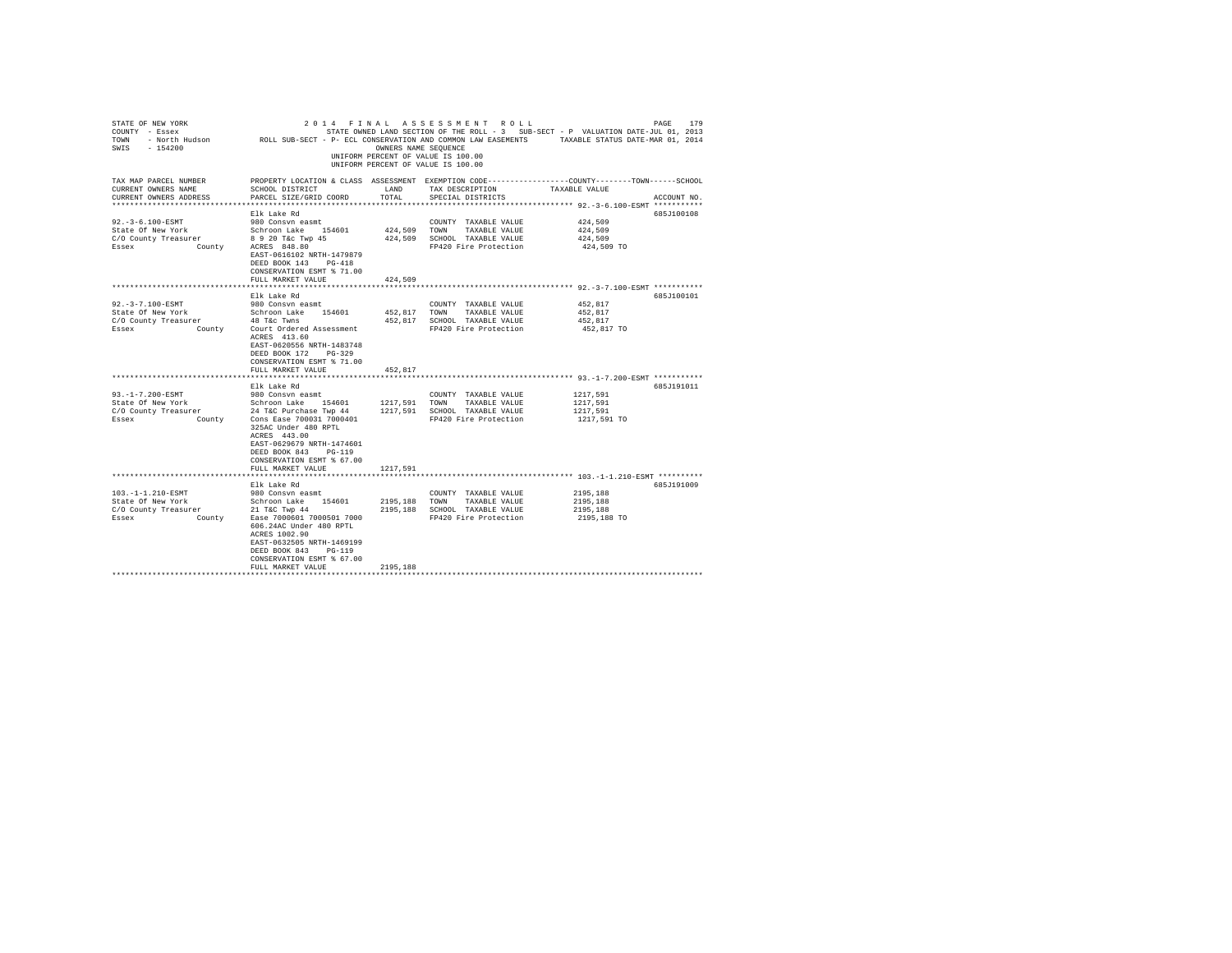| PROPERTY LOCATION & CLASS ASSESSMENT EXEMPTION CODE---------------COUNTY-------TOWN------SCHOOL<br>SCHOOL DISTRICT<br>LAND<br>TAX DESCRIPTION<br>TAXABLE VALUE<br>CURRENT OWNERS ADDRESS<br>PARCEL SIZE/GRID COORD<br>TOTAL<br>SPECIAL DISTRICTS<br>ACCOUNT NO.<br>****************************** 92.-3-6.100-ESMT ***********<br>Elk Lake Rd<br>685J100108<br>92. - 3-6.100-ESMT<br>424,509<br>980 Consvn easmt<br>COUNTY TAXABLE VALUE<br>State Of New York<br>C/O County Treasurer<br>Essex<br>County<br>ACRES 848.80<br>Essex<br>County<br>ACRES 848.80<br>424,509 TOWN TAXABLE VALUE<br>424,509<br>424,509 SCHOOL TAXABLE VALUE<br>424,509<br>FP420 Fire Protection<br>424,509 TO<br>EAST-0616102 NRTH-1479879<br>DEED BOOK 143 PG-418<br>CONSERVATION ESMT % 71.00<br>FULL MARKET VALUE<br>424,509<br>685J100101<br>Elk Lake Rd<br>92. - 3 - 7.100 - ESMT<br>452,817<br>980 Consvn easmt<br>COUNTY TAXABLE VALUE<br>Schroon Lake 154601<br>452.817 TOWN TAXABLE VALUE<br>452.817<br>State Of New York<br>C/O County Treasurer<br>48 T&C Twns<br>452,817 SCHOOL TAXABLE VALUE<br>452.817<br>County<br>FP420 Fire Protection<br>Court Ordered Assessment<br>452,817 TO<br>ACRES 413.60<br>EAST-0620556 NRTH-1483748<br>DEED BOOK 172 PG-329<br>CONSERVATION ESMT % 71.00<br>452,817<br>FULL MARKET VALUE<br>************** 93.-1-7.200-ESMT ***********<br>Elk Lake Rd<br>685J191011<br>93. -1-7.200-ESMT<br>1217.591<br>980 Consvn easmt<br>COUNTY TAXABLE VALUE<br>1217,591<br>1217,591<br>FP420 Fire Protection<br>1217,591 TO<br>325AC Under 480 RPTL<br>ACRES 443.00<br>EAST-0629679 NRTH-1474601<br>DEED BOOK 843 PG-119<br>CONSERVATION ESMT % 67.00<br>1217,591<br>FULL MARKET VALUE<br>**************** 103.-1-1.210-ESMT **********<br>Elk Lake Rd<br>685J191009<br>2195.188<br>980 Consvn easmt<br>COUNTY TAXABLE VALUE<br>Schroon Lake 154601<br>21 T&C Twp 44<br>State Of New York<br>C/O County Treasurer<br>2195,188 TOWN TAXABLE VALUE<br>2195,188<br>2195,188 SCHOOL TAXABLE VALUE<br>2195,188<br>County<br>Ease 7000601 7000501 7000<br>FP420 Fire Protection<br>2195,188 TO<br>606.24AC Under 480 RPTL<br>ACRES 1002.90<br>EAST-0632505 NRTH-1469199<br>DEED BOOK 843 PG-119<br>CONSERVATION ESMT % 67.00<br>2195,188<br>FULL MARKET VALUE | STATE OF NEW YORK<br>COUNTY - Essex<br>SWIS - 154200 | OWNERS NAME SEQUENCE | 2014 FINAL ASSESSMENT ROLL<br>STATE OWNED LAND SECTION OF THE ROLL - 3 SUB-SECT - P VALUATION DATE-JUL 01, 2013<br>UNIFORM PERCENT OF VALUE IS 100.00<br>UNIFORM PERCENT OF VALUE IS 100.00 | PAGE<br>179 |
|-------------------------------------------------------------------------------------------------------------------------------------------------------------------------------------------------------------------------------------------------------------------------------------------------------------------------------------------------------------------------------------------------------------------------------------------------------------------------------------------------------------------------------------------------------------------------------------------------------------------------------------------------------------------------------------------------------------------------------------------------------------------------------------------------------------------------------------------------------------------------------------------------------------------------------------------------------------------------------------------------------------------------------------------------------------------------------------------------------------------------------------------------------------------------------------------------------------------------------------------------------------------------------------------------------------------------------------------------------------------------------------------------------------------------------------------------------------------------------------------------------------------------------------------------------------------------------------------------------------------------------------------------------------------------------------------------------------------------------------------------------------------------------------------------------------------------------------------------------------------------------------------------------------------------------------------------------------------------------------------------------------------------------------------------------------------------------------------------------------------------------------------------------------------------------------------------------------------------------------------------------------------|------------------------------------------------------|----------------------|---------------------------------------------------------------------------------------------------------------------------------------------------------------------------------------------|-------------|
|                                                                                                                                                                                                                                                                                                                                                                                                                                                                                                                                                                                                                                                                                                                                                                                                                                                                                                                                                                                                                                                                                                                                                                                                                                                                                                                                                                                                                                                                                                                                                                                                                                                                                                                                                                                                                                                                                                                                                                                                                                                                                                                                                                                                                                                                   | TAX MAP PARCEL NUMBER<br>CURRENT OWNERS NAME         |                      |                                                                                                                                                                                             |             |
|                                                                                                                                                                                                                                                                                                                                                                                                                                                                                                                                                                                                                                                                                                                                                                                                                                                                                                                                                                                                                                                                                                                                                                                                                                                                                                                                                                                                                                                                                                                                                                                                                                                                                                                                                                                                                                                                                                                                                                                                                                                                                                                                                                                                                                                                   |                                                      |                      |                                                                                                                                                                                             |             |
|                                                                                                                                                                                                                                                                                                                                                                                                                                                                                                                                                                                                                                                                                                                                                                                                                                                                                                                                                                                                                                                                                                                                                                                                                                                                                                                                                                                                                                                                                                                                                                                                                                                                                                                                                                                                                                                                                                                                                                                                                                                                                                                                                                                                                                                                   |                                                      |                      |                                                                                                                                                                                             |             |
|                                                                                                                                                                                                                                                                                                                                                                                                                                                                                                                                                                                                                                                                                                                                                                                                                                                                                                                                                                                                                                                                                                                                                                                                                                                                                                                                                                                                                                                                                                                                                                                                                                                                                                                                                                                                                                                                                                                                                                                                                                                                                                                                                                                                                                                                   |                                                      |                      |                                                                                                                                                                                             |             |
|                                                                                                                                                                                                                                                                                                                                                                                                                                                                                                                                                                                                                                                                                                                                                                                                                                                                                                                                                                                                                                                                                                                                                                                                                                                                                                                                                                                                                                                                                                                                                                                                                                                                                                                                                                                                                                                                                                                                                                                                                                                                                                                                                                                                                                                                   |                                                      |                      |                                                                                                                                                                                             |             |
|                                                                                                                                                                                                                                                                                                                                                                                                                                                                                                                                                                                                                                                                                                                                                                                                                                                                                                                                                                                                                                                                                                                                                                                                                                                                                                                                                                                                                                                                                                                                                                                                                                                                                                                                                                                                                                                                                                                                                                                                                                                                                                                                                                                                                                                                   |                                                      |                      |                                                                                                                                                                                             |             |
|                                                                                                                                                                                                                                                                                                                                                                                                                                                                                                                                                                                                                                                                                                                                                                                                                                                                                                                                                                                                                                                                                                                                                                                                                                                                                                                                                                                                                                                                                                                                                                                                                                                                                                                                                                                                                                                                                                                                                                                                                                                                                                                                                                                                                                                                   |                                                      |                      |                                                                                                                                                                                             |             |
|                                                                                                                                                                                                                                                                                                                                                                                                                                                                                                                                                                                                                                                                                                                                                                                                                                                                                                                                                                                                                                                                                                                                                                                                                                                                                                                                                                                                                                                                                                                                                                                                                                                                                                                                                                                                                                                                                                                                                                                                                                                                                                                                                                                                                                                                   |                                                      |                      |                                                                                                                                                                                             |             |
|                                                                                                                                                                                                                                                                                                                                                                                                                                                                                                                                                                                                                                                                                                                                                                                                                                                                                                                                                                                                                                                                                                                                                                                                                                                                                                                                                                                                                                                                                                                                                                                                                                                                                                                                                                                                                                                                                                                                                                                                                                                                                                                                                                                                                                                                   |                                                      |                      |                                                                                                                                                                                             |             |
|                                                                                                                                                                                                                                                                                                                                                                                                                                                                                                                                                                                                                                                                                                                                                                                                                                                                                                                                                                                                                                                                                                                                                                                                                                                                                                                                                                                                                                                                                                                                                                                                                                                                                                                                                                                                                                                                                                                                                                                                                                                                                                                                                                                                                                                                   |                                                      |                      |                                                                                                                                                                                             |             |
|                                                                                                                                                                                                                                                                                                                                                                                                                                                                                                                                                                                                                                                                                                                                                                                                                                                                                                                                                                                                                                                                                                                                                                                                                                                                                                                                                                                                                                                                                                                                                                                                                                                                                                                                                                                                                                                                                                                                                                                                                                                                                                                                                                                                                                                                   |                                                      |                      |                                                                                                                                                                                             |             |
|                                                                                                                                                                                                                                                                                                                                                                                                                                                                                                                                                                                                                                                                                                                                                                                                                                                                                                                                                                                                                                                                                                                                                                                                                                                                                                                                                                                                                                                                                                                                                                                                                                                                                                                                                                                                                                                                                                                                                                                                                                                                                                                                                                                                                                                                   |                                                      |                      |                                                                                                                                                                                             |             |
|                                                                                                                                                                                                                                                                                                                                                                                                                                                                                                                                                                                                                                                                                                                                                                                                                                                                                                                                                                                                                                                                                                                                                                                                                                                                                                                                                                                                                                                                                                                                                                                                                                                                                                                                                                                                                                                                                                                                                                                                                                                                                                                                                                                                                                                                   | Essex                                                |                      |                                                                                                                                                                                             |             |
|                                                                                                                                                                                                                                                                                                                                                                                                                                                                                                                                                                                                                                                                                                                                                                                                                                                                                                                                                                                                                                                                                                                                                                                                                                                                                                                                                                                                                                                                                                                                                                                                                                                                                                                                                                                                                                                                                                                                                                                                                                                                                                                                                                                                                                                                   |                                                      |                      |                                                                                                                                                                                             |             |
|                                                                                                                                                                                                                                                                                                                                                                                                                                                                                                                                                                                                                                                                                                                                                                                                                                                                                                                                                                                                                                                                                                                                                                                                                                                                                                                                                                                                                                                                                                                                                                                                                                                                                                                                                                                                                                                                                                                                                                                                                                                                                                                                                                                                                                                                   |                                                      |                      |                                                                                                                                                                                             |             |
|                                                                                                                                                                                                                                                                                                                                                                                                                                                                                                                                                                                                                                                                                                                                                                                                                                                                                                                                                                                                                                                                                                                                                                                                                                                                                                                                                                                                                                                                                                                                                                                                                                                                                                                                                                                                                                                                                                                                                                                                                                                                                                                                                                                                                                                                   |                                                      |                      |                                                                                                                                                                                             |             |
|                                                                                                                                                                                                                                                                                                                                                                                                                                                                                                                                                                                                                                                                                                                                                                                                                                                                                                                                                                                                                                                                                                                                                                                                                                                                                                                                                                                                                                                                                                                                                                                                                                                                                                                                                                                                                                                                                                                                                                                                                                                                                                                                                                                                                                                                   |                                                      |                      |                                                                                                                                                                                             |             |
|                                                                                                                                                                                                                                                                                                                                                                                                                                                                                                                                                                                                                                                                                                                                                                                                                                                                                                                                                                                                                                                                                                                                                                                                                                                                                                                                                                                                                                                                                                                                                                                                                                                                                                                                                                                                                                                                                                                                                                                                                                                                                                                                                                                                                                                                   |                                                      |                      |                                                                                                                                                                                             |             |
|                                                                                                                                                                                                                                                                                                                                                                                                                                                                                                                                                                                                                                                                                                                                                                                                                                                                                                                                                                                                                                                                                                                                                                                                                                                                                                                                                                                                                                                                                                                                                                                                                                                                                                                                                                                                                                                                                                                                                                                                                                                                                                                                                                                                                                                                   |                                                      |                      |                                                                                                                                                                                             |             |
|                                                                                                                                                                                                                                                                                                                                                                                                                                                                                                                                                                                                                                                                                                                                                                                                                                                                                                                                                                                                                                                                                                                                                                                                                                                                                                                                                                                                                                                                                                                                                                                                                                                                                                                                                                                                                                                                                                                                                                                                                                                                                                                                                                                                                                                                   |                                                      |                      |                                                                                                                                                                                             |             |
|                                                                                                                                                                                                                                                                                                                                                                                                                                                                                                                                                                                                                                                                                                                                                                                                                                                                                                                                                                                                                                                                                                                                                                                                                                                                                                                                                                                                                                                                                                                                                                                                                                                                                                                                                                                                                                                                                                                                                                                                                                                                                                                                                                                                                                                                   |                                                      |                      |                                                                                                                                                                                             |             |
|                                                                                                                                                                                                                                                                                                                                                                                                                                                                                                                                                                                                                                                                                                                                                                                                                                                                                                                                                                                                                                                                                                                                                                                                                                                                                                                                                                                                                                                                                                                                                                                                                                                                                                                                                                                                                                                                                                                                                                                                                                                                                                                                                                                                                                                                   |                                                      |                      |                                                                                                                                                                                             |             |
|                                                                                                                                                                                                                                                                                                                                                                                                                                                                                                                                                                                                                                                                                                                                                                                                                                                                                                                                                                                                                                                                                                                                                                                                                                                                                                                                                                                                                                                                                                                                                                                                                                                                                                                                                                                                                                                                                                                                                                                                                                                                                                                                                                                                                                                                   |                                                      |                      |                                                                                                                                                                                             |             |
|                                                                                                                                                                                                                                                                                                                                                                                                                                                                                                                                                                                                                                                                                                                                                                                                                                                                                                                                                                                                                                                                                                                                                                                                                                                                                                                                                                                                                                                                                                                                                                                                                                                                                                                                                                                                                                                                                                                                                                                                                                                                                                                                                                                                                                                                   | 103.-1-1.210-ESMT                                    |                      |                                                                                                                                                                                             |             |
|                                                                                                                                                                                                                                                                                                                                                                                                                                                                                                                                                                                                                                                                                                                                                                                                                                                                                                                                                                                                                                                                                                                                                                                                                                                                                                                                                                                                                                                                                                                                                                                                                                                                                                                                                                                                                                                                                                                                                                                                                                                                                                                                                                                                                                                                   |                                                      |                      |                                                                                                                                                                                             |             |
|                                                                                                                                                                                                                                                                                                                                                                                                                                                                                                                                                                                                                                                                                                                                                                                                                                                                                                                                                                                                                                                                                                                                                                                                                                                                                                                                                                                                                                                                                                                                                                                                                                                                                                                                                                                                                                                                                                                                                                                                                                                                                                                                                                                                                                                                   |                                                      |                      |                                                                                                                                                                                             |             |
|                                                                                                                                                                                                                                                                                                                                                                                                                                                                                                                                                                                                                                                                                                                                                                                                                                                                                                                                                                                                                                                                                                                                                                                                                                                                                                                                                                                                                                                                                                                                                                                                                                                                                                                                                                                                                                                                                                                                                                                                                                                                                                                                                                                                                                                                   | Essex                                                |                      |                                                                                                                                                                                             |             |
|                                                                                                                                                                                                                                                                                                                                                                                                                                                                                                                                                                                                                                                                                                                                                                                                                                                                                                                                                                                                                                                                                                                                                                                                                                                                                                                                                                                                                                                                                                                                                                                                                                                                                                                                                                                                                                                                                                                                                                                                                                                                                                                                                                                                                                                                   |                                                      |                      |                                                                                                                                                                                             |             |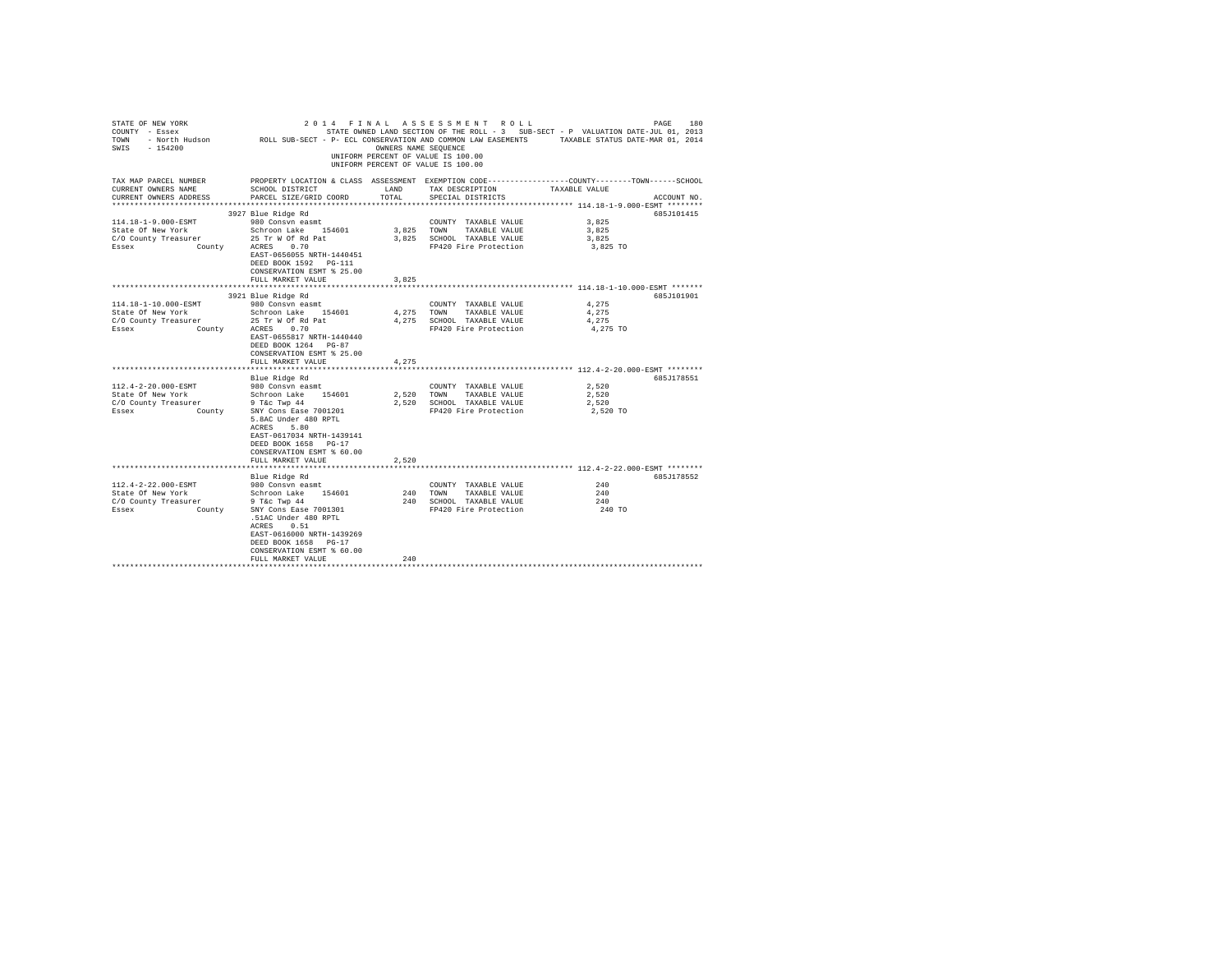| STATE OF NEW YORK<br>COUNTY - Essex<br>TOWN - North Hudson ROLL SUB-SECT - P- ECL CONSERVATION AND COMMON LAW EASEMENTS TAXABLE STATUS DATE-MAR 01, 2014<br>SWIS - 154200 |                                                                                                                                               | OWNERS NAME SEQUENCE | 2014 FINAL ASSESSMENT ROLL<br>UNIFORM PERCENT OF VALUE IS 100.00<br>UNIFORM PERCENT OF VALUE IS 100.00 | PAGE<br>STATE OWNED LAND SECTION OF THE ROLL - 3 SUB-SECT - P VALUATION DATE-JUL 01, 2013                         | 180         |
|---------------------------------------------------------------------------------------------------------------------------------------------------------------------------|-----------------------------------------------------------------------------------------------------------------------------------------------|----------------------|--------------------------------------------------------------------------------------------------------|-------------------------------------------------------------------------------------------------------------------|-------------|
| TAX MAP PARCEL NUMBER<br>CURRENT OWNERS NAME<br>CURRENT OWNERS ADDRESS                                                                                                    | SCHOOL DISTRICT<br>PARCEL SIZE/GRID COORD                                                                                                     | LAND<br>TOTAL        | TAX DESCRIPTION<br>SPECIAL DISTRICTS                                                                   | PROPERTY LOCATION & CLASS ASSESSMENT EXEMPTION CODE----------------COUNTY-------TOWN------SCHOOL<br>TAXABLE VALUE | ACCOUNT NO. |
|                                                                                                                                                                           |                                                                                                                                               |                      |                                                                                                        | ************************ 114.18-1-9.000-ESMT ********                                                             |             |
|                                                                                                                                                                           | 3927 Blue Ridge Rd                                                                                                                            |                      |                                                                                                        |                                                                                                                   | 685J101415  |
| 114.18-1-9.000-ESMT                                                                                                                                                       | 980 Consyn easmt                                                                                                                              |                      | COUNTY TAXABLE VALUE                                                                                   | 3,825                                                                                                             |             |
| State Of New York                                                                                                                                                         | Schroon Lake 154601                                                                                                                           |                      | 3,825 TOWN TAXABLE VALUE                                                                               | 3,825                                                                                                             |             |
| C/O County Treasurer                                                                                                                                                      | 25 Tr W Of Rd Pat                                                                                                                             |                      | 3,825 SCHOOL TAXABLE VALUE                                                                             | 3,825                                                                                                             |             |
| Essex<br>County                                                                                                                                                           | ACRES 0.70<br>EAST-0656055 NRTH-1440451<br>DEED BOOK 1592 PG-111<br>CONSERVATION ESMT % 25.00                                                 |                      | FP420 Fire Protection                                                                                  | 3,825 TO                                                                                                          |             |
|                                                                                                                                                                           | FULL MARKET VALUE                                                                                                                             | 3,825                |                                                                                                        |                                                                                                                   |             |
|                                                                                                                                                                           |                                                                                                                                               |                      |                                                                                                        |                                                                                                                   |             |
|                                                                                                                                                                           | 3921 Blue Ridge Rd                                                                                                                            |                      |                                                                                                        |                                                                                                                   | 685J101901  |
| 114.18-1-10.000-ESMT<br>State Of New York                                                                                                                                 | 980 Consvn easmt<br>Schroon Lake 154601                                                                                                       |                      | COUNTY TAXABLE VALUE                                                                                   | 4.275<br>4.275                                                                                                    |             |
| C/O County Treasurer                                                                                                                                                      | 25 Tr W Of Rd Pat                                                                                                                             | 4,275                | TOWN<br>TAXABLE VALUE<br>4.275 SCHOOL TAXABLE VALUE                                                    | 4.275                                                                                                             |             |
| Essex<br>County                                                                                                                                                           | ACRES 0.70                                                                                                                                    |                      | FP420 Fire Protection                                                                                  | 4,275 TO                                                                                                          |             |
|                                                                                                                                                                           | EAST-0655817 NRTH-1440440<br>DEED BOOK 1264 PG-87<br>CONSERVATION ESMT % 25.00<br>FULL MARKET VALUE                                           | 4,275                |                                                                                                        |                                                                                                                   |             |
|                                                                                                                                                                           |                                                                                                                                               |                      |                                                                                                        |                                                                                                                   |             |
|                                                                                                                                                                           | Blue Ridge Rd                                                                                                                                 |                      |                                                                                                        |                                                                                                                   | 685J178551  |
| 112.4-2-20.000-ESMT                                                                                                                                                       | 980 Consvn easmt                                                                                                                              |                      | COUNTY TAXABLE VALUE                                                                                   | 2.520                                                                                                             |             |
| State Of New York                                                                                                                                                         | Schroon Lake 154601                                                                                                                           | 2,520                | TOWN TAXABLE VALUE                                                                                     | 2.520                                                                                                             |             |
| C/O County Treasurer                                                                                                                                                      | 9 T&c Twp 44                                                                                                                                  |                      | 2,520 SCHOOL TAXABLE VALUE                                                                             | 2,520                                                                                                             |             |
| County<br>Essex                                                                                                                                                           | SNY Cons Ease 7001201<br>5.8AC Under 480 RPTL<br>ACRES 5.80                                                                                   |                      | FP420 Fire Protection                                                                                  | 2,520 TO                                                                                                          |             |
|                                                                                                                                                                           | EAST-0617034 NRTH-1439141<br>DEED BOOK 1658 PG-17<br>CONSERVATION ESMT % 60.00<br>FULL MARKET VALUE                                           | 2.520                |                                                                                                        |                                                                                                                   |             |
|                                                                                                                                                                           |                                                                                                                                               |                      |                                                                                                        |                                                                                                                   |             |
|                                                                                                                                                                           | Blue Ridge Rd                                                                                                                                 |                      |                                                                                                        |                                                                                                                   | 685J178552  |
| 112.4-2-22.000-ESMT                                                                                                                                                       | 980 Consvn easmt                                                                                                                              |                      | COUNTY TAXABLE VALUE                                                                                   | 240                                                                                                               |             |
| State Of New York                                                                                                                                                         | Schroon Lake 154601                                                                                                                           |                      | 240 TOWN TAXABLE VALUE                                                                                 | 240                                                                                                               |             |
| C/O County Treasurer                                                                                                                                                      | $9$ T&c Twp $44$                                                                                                                              |                      | 240 SCHOOL TAXABLE VALUE                                                                               | 240                                                                                                               |             |
| Essex<br>County                                                                                                                                                           | SNY Cons Ease 7001301<br>.51AC Under 480 RPTL<br>ACRES 0.51<br>EAST-0616000 NRTH-1439269<br>DEED BOOK 1658 PG-17<br>CONSERVATION ESMT % 60.00 |                      | FP420 Fire Protection                                                                                  | 240 TO                                                                                                            |             |
|                                                                                                                                                                           | FULL MARKET VALUE                                                                                                                             | 240                  |                                                                                                        |                                                                                                                   |             |
|                                                                                                                                                                           |                                                                                                                                               |                      |                                                                                                        |                                                                                                                   |             |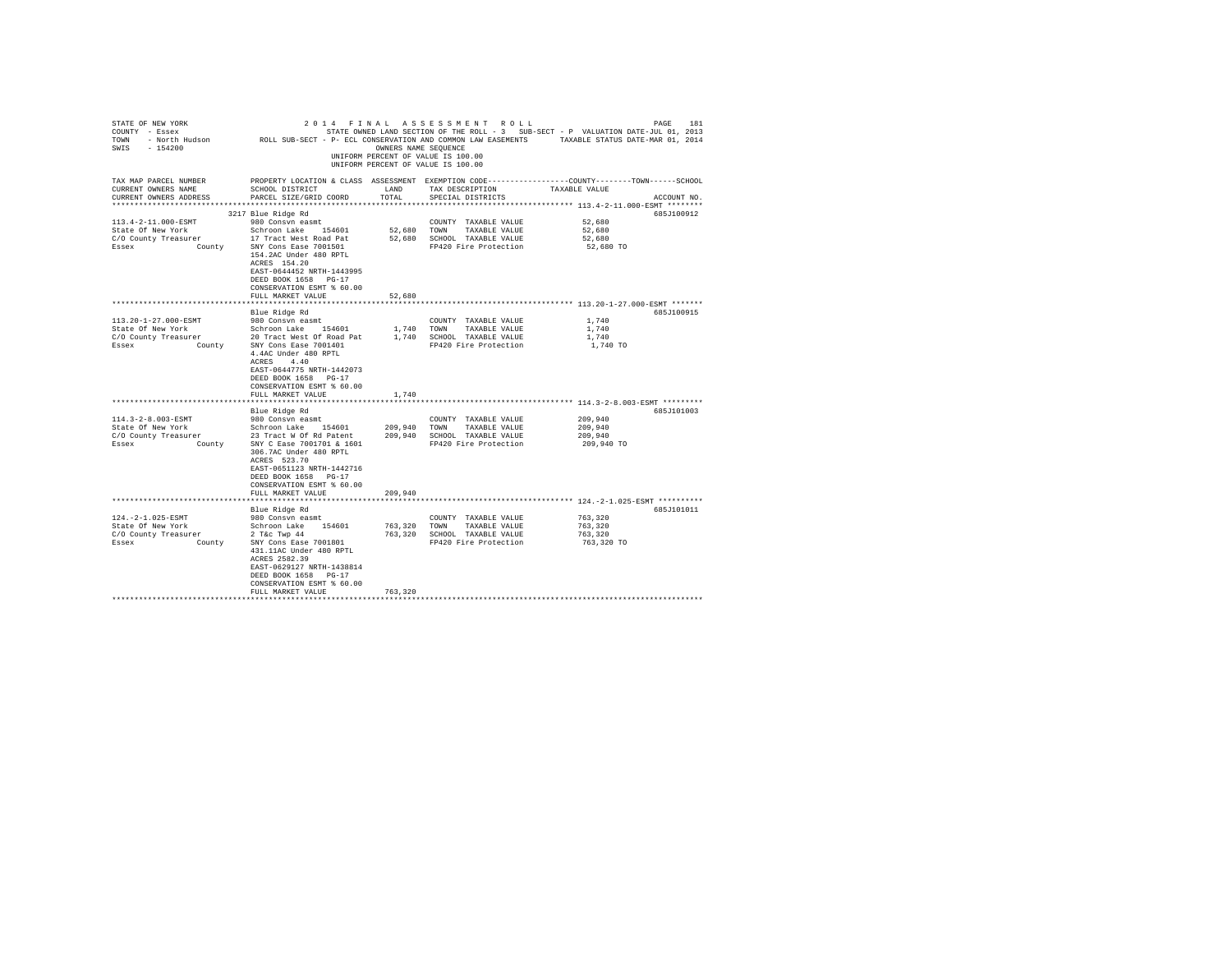| STATE OF NEW YORK<br>COUNTY - Essex<br>TOWN<br>$-154200$<br>SWIS                    | - North Hudson MOLL SUB-SECT - P- ECL CONSERVATION AND COMMON LAW EASEMENTS                                                                                                                                                             | OWNERS NAME SEOUENCE          | 2014 FINAL ASSESSMENT ROLL<br>UNIFORM PERCENT OF VALUE IS 100.00<br>UNIFORM PERCENT OF VALUE IS 100.00 | PAGE<br>STATE OWNED LAND SECTION OF THE ROLL - 3 SUB-SECT - P VALUATION DATE-JUL 01, 2013<br>TAXABLE STATUS DATE-MAR 01, 2014 | 181         |
|-------------------------------------------------------------------------------------|-----------------------------------------------------------------------------------------------------------------------------------------------------------------------------------------------------------------------------------------|-------------------------------|--------------------------------------------------------------------------------------------------------|-------------------------------------------------------------------------------------------------------------------------------|-------------|
| TAX MAP PARCEL NUMBER<br>CURRENT OWNERS NAME<br>CURRENT OWNERS ADDRESS              | SCHOOL DISTRICT<br>PARCEL SIZE/GRID COORD                                                                                                                                                                                               | LAND<br>TOTAL                 | TAX DESCRIPTION<br>SPECIAL DISTRICTS                                                                   | PROPERTY LOCATION & CLASS ASSESSMENT EXEMPTION CODE---------------COUNTY-------TOWN-----SCHOOL<br>TAXABLE VALUE               | ACCOUNT NO. |
| ************************                                                            |                                                                                                                                                                                                                                         |                               |                                                                                                        |                                                                                                                               |             |
| 113.4-2-11.000-ESMT<br>State Of New York<br>C/O County Treasurer<br>Essex<br>County | 3217 Blue Ridge Rd<br>980 Consyn easmt<br>Schroon Lake 154601<br>17 Tract West Road Pat<br>SNY Cons Ease 7001501<br>154.2AC Under 480 RPTL<br>ACRES 154.20<br>EAST-0644452 NRTH-1443995<br>DEED BOOK 1658 PG-17                         | 52,680<br>52,680              | COUNTY TAXABLE VALUE<br>TOWN<br>TAXABLE VALUE<br>SCHOOL TAXABLE VALUE<br>FP420 Fire Protection         | 52,680<br>52,680<br>52,680<br>52,680 TO                                                                                       | 685J100912  |
|                                                                                     | CONSERVATION ESMT % 60.00                                                                                                                                                                                                               |                               |                                                                                                        |                                                                                                                               |             |
|                                                                                     | FULL MARKET VALUE                                                                                                                                                                                                                       | 52,680                        |                                                                                                        |                                                                                                                               |             |
|                                                                                     |                                                                                                                                                                                                                                         |                               |                                                                                                        |                                                                                                                               |             |
|                                                                                     | Blue Ridge Rd                                                                                                                                                                                                                           |                               |                                                                                                        |                                                                                                                               | 685J100915  |
| 113.20-1-27.000-ESMT                                                                | 980 Consvn easmt                                                                                                                                                                                                                        |                               | COUNTY TAXABLE VALUE                                                                                   | 1,740                                                                                                                         |             |
| State Of New York                                                                   | Schroon Lake 154601                                                                                                                                                                                                                     | 1,740<br>1,740                | TOWN<br>TAXABLE VALUE                                                                                  | 1,740<br>1,740                                                                                                                |             |
| C/O County Treasurer<br>Essex<br>County                                             | 20 Tract West Of Road Pat<br>SNY Cons Ease 7001401                                                                                                                                                                                      |                               | SCHOOL TAXABLE VALUE<br>FP420 Fire Protection                                                          | 1,740 TO                                                                                                                      |             |
|                                                                                     | 4.4AC Under 480 RPTL<br>ACRES 4.40<br>EAST-0644775 NRTH-1442073<br>DEED BOOK 1658 PG-17<br>CONSERVATION ESMT % 60.00                                                                                                                    |                               |                                                                                                        |                                                                                                                               |             |
|                                                                                     | FULL MARKET VALUE                                                                                                                                                                                                                       | 1,740                         |                                                                                                        |                                                                                                                               |             |
|                                                                                     |                                                                                                                                                                                                                                         |                               |                                                                                                        |                                                                                                                               | 685J101003  |
| 114.3-2-8.003-ESMT                                                                  | Blue Ridge Rd<br>980 Consvn easmt                                                                                                                                                                                                       |                               | COUNTY TAXABLE VALUE                                                                                   | 209,940                                                                                                                       |             |
| State Of New York                                                                   | Schroon Lake 154601                                                                                                                                                                                                                     | 209,940 TOWN                  | TAXABLE VALUE                                                                                          | 209,940                                                                                                                       |             |
| C/O County Treasurer                                                                | 23 Tract W Of Rd Patent                                                                                                                                                                                                                 |                               | 209,940 SCHOOL TAXABLE VALUE                                                                           | 209,940                                                                                                                       |             |
| Essex<br>County                                                                     | SNY C Ease 7001701 & 1601<br>306.7AC Under 480 RPTL<br>ACRES 523.70<br>EAST-0651123 NRTH-1442716<br>DEED BOOK 1658 PG-17<br>CONSERVATION ESMT % 60.00<br>FULL MARKET VALUE                                                              | 209,940                       | FP420 Fire Protection                                                                                  | 209,940 TO                                                                                                                    |             |
|                                                                                     |                                                                                                                                                                                                                                         |                               |                                                                                                        |                                                                                                                               |             |
|                                                                                     | Blue Ridge Rd                                                                                                                                                                                                                           |                               |                                                                                                        |                                                                                                                               | 685J101011  |
| 124. - 2-1.025-ESMT<br>State Of New York<br>C/O County Treasurer<br>Essex<br>County | 980 Consyn easmt<br>Schroon Lake 154601<br>$2$ T&c Twp $44$<br>SNY Cons Ease 7001801<br>431.11AC Under 480 RPTL<br>ACRES 2582.39<br>EAST-0629127 NRTH-1438814<br>DEED BOOK 1658 PG-17<br>CONSERVATION ESMT % 60.00<br>FULL MARKET VALUE | 763,320<br>763,320<br>763,320 | COUNTY TAXABLE VALUE<br>TOWN<br>TAXABLE VALUE<br>SCHOOL TAXABLE VALUE<br>FP420 Fire Protection         | 763,320<br>763,320<br>763,320<br>763,320 TO                                                                                   |             |
|                                                                                     |                                                                                                                                                                                                                                         |                               |                                                                                                        |                                                                                                                               |             |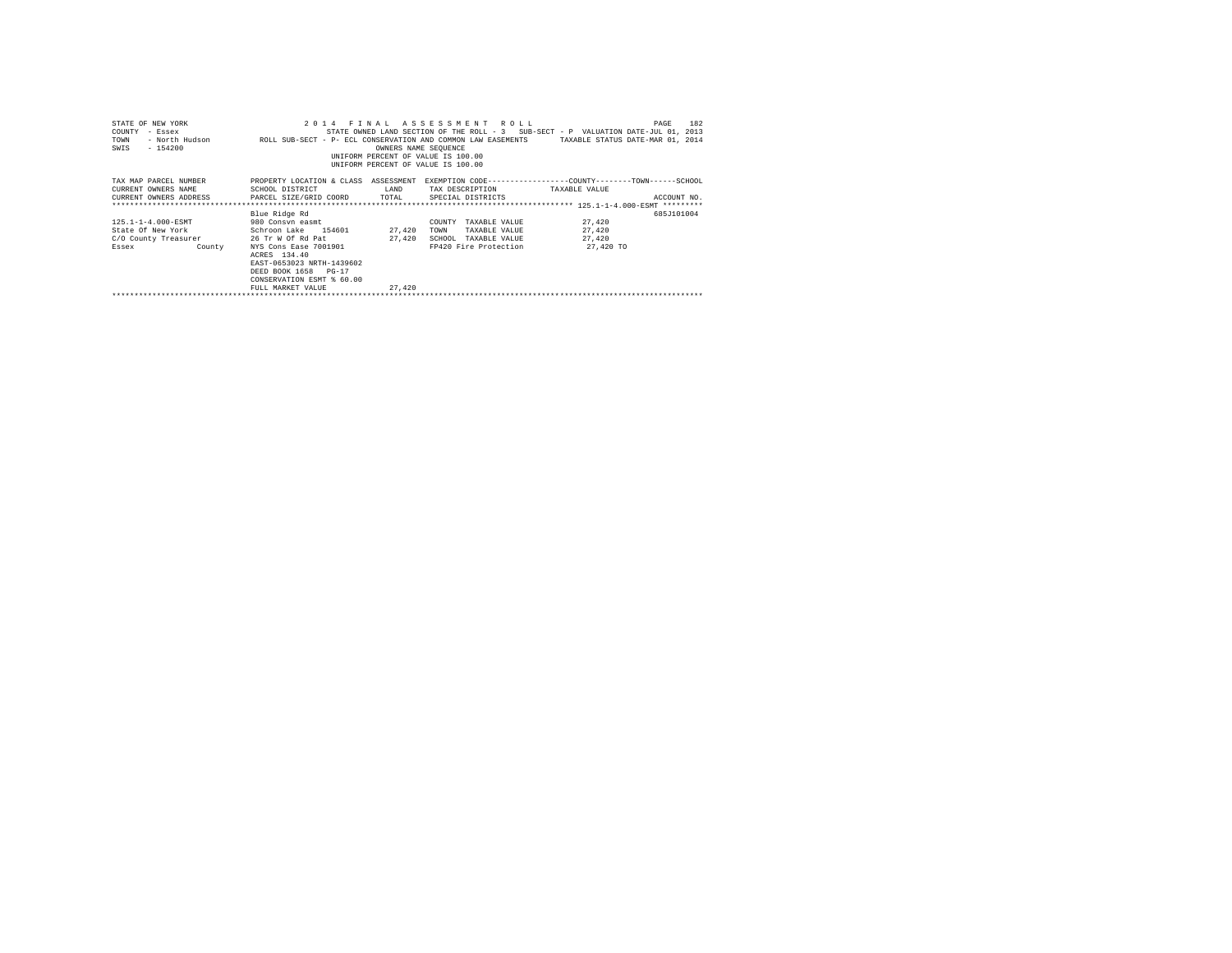| STATE OF NEW YORK<br>COUNTY<br>- Essex<br>TOWN<br>SWIS<br>$-154200$ | 2014 FTNAL                                                                                                                                   | OWNERS NAME SEOUENCE | ASSESSMENT ROLL<br>INIFORM PERCENT OF VALUE IS 100.00<br>UNIFORM PERCENT OF VALUE IS 100.00 | 182<br>PAGE<br>STATE OWNED LAND SECTION OF THE ROLL - 3 SUB-SECT - P VALUATION DATE-JUL 01, 2013<br>- North Hudson COLL SUB-SECT - P- ECL CONSERVATION AND COMMON LAW EASEMENTS TAXABLE STATUS DATE-MAR 01, 2014 |
|---------------------------------------------------------------------|----------------------------------------------------------------------------------------------------------------------------------------------|----------------------|---------------------------------------------------------------------------------------------|------------------------------------------------------------------------------------------------------------------------------------------------------------------------------------------------------------------|
| TAX MAP PARCEL NUMBER                                               | PROPERTY LOCATION & CLASS ASSESSMENT                                                                                                         |                      |                                                                                             | EXEMPTION CODE-----------------COUNTY-------TOWN------SCHOOL                                                                                                                                                     |
| CURRENT OWNERS NAME                                                 | SCHOOL DISTRICT                                                                                                                              | LAND                 | TAX DESCRIPTION                                                                             | TAXABLE VALUE                                                                                                                                                                                                    |
| CURRENT OWNERS ADDRESS PARCEL SIZE/GRID COORD TOTAL                 |                                                                                                                                              |                      | SPECIAL DISTRICTS                                                                           | ACCOUNT NO.                                                                                                                                                                                                      |
|                                                                     |                                                                                                                                              |                      |                                                                                             |                                                                                                                                                                                                                  |
|                                                                     | Blue Ridge Rd                                                                                                                                |                      |                                                                                             | 685J101004                                                                                                                                                                                                       |
| 125.1-1-4.000-ESMT                                                  | 980 Consyn easmt                                                                                                                             |                      | TAXABLE VALUE<br>COUNTY                                                                     | 27,420                                                                                                                                                                                                           |
| State Of New York 5chroon Lake 154601                               |                                                                                                                                              | 27,420               | TOWN<br>TAXABLE VALUE                                                                       | 27,420                                                                                                                                                                                                           |
| C/O County Treasurer 26 Tr W Of Rd Pat                              |                                                                                                                                              | 27,420               | SCHOOL<br>TAXABLE VALUE                                                                     | 27.420                                                                                                                                                                                                           |
| Essex<br><b>County</b>                                              | NYS Cons Ease 7001901<br>ACRES 134.40<br>EAST-0653023 NRTH-1439602<br>DEED BOOK 1658 PG-17<br>CONSERVATION ESMT & 60.00<br>FULL MARKET VALUE | 27,420               | FP420 Fire Protection                                                                       | 27,420 TO                                                                                                                                                                                                        |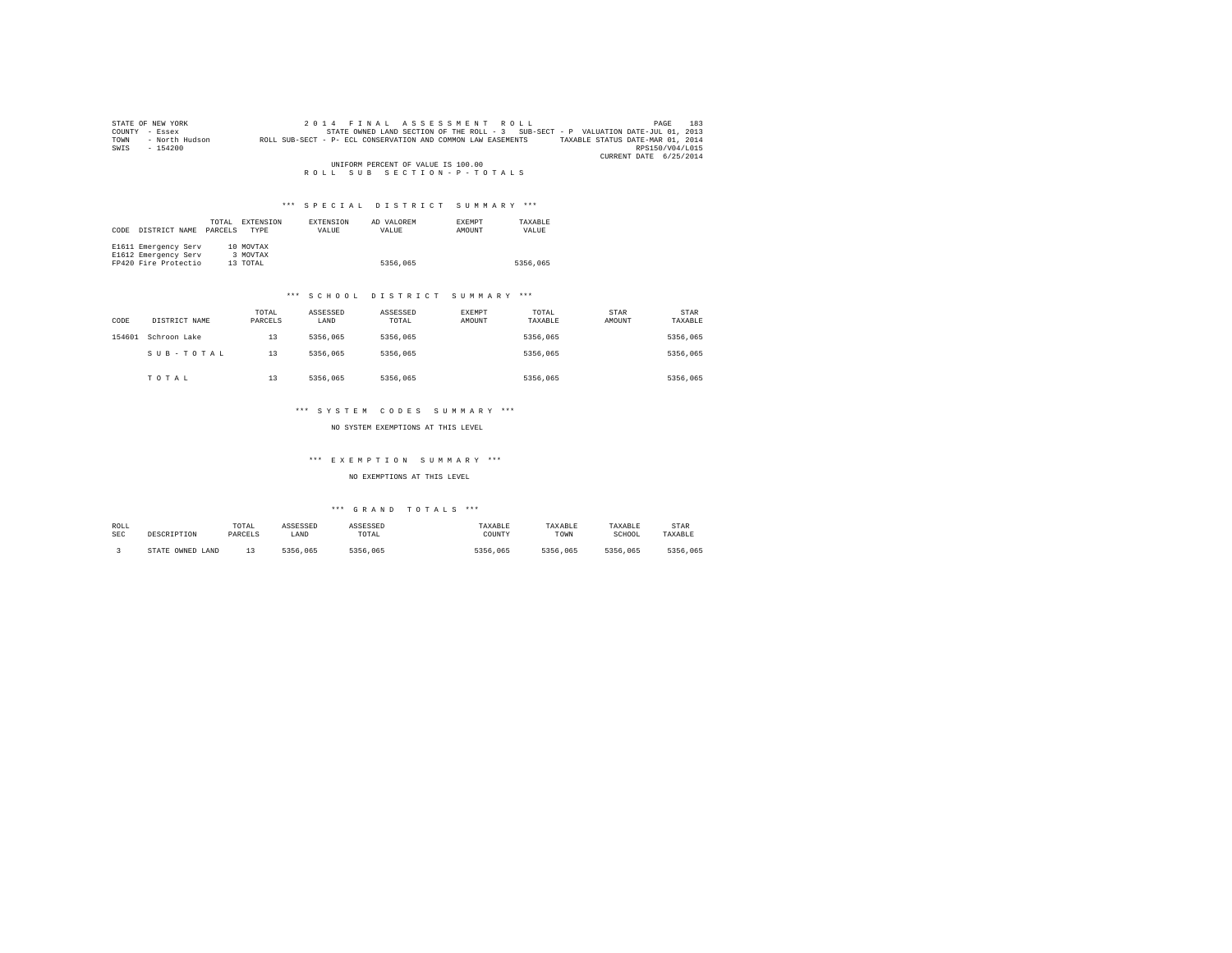| STATE OF NEW YORK                  |                | 2014 FINAL ASSESSMENT ROLL                                                                       | 183<br>PAGE            |  |  |
|------------------------------------|----------------|--------------------------------------------------------------------------------------------------|------------------------|--|--|
| COUNTY                             | - Essex        | STATE OWNED LAND SECTION OF THE ROLL - 3 SUB-SECT - P VALUATION DATE-JUL 01, 2013                |                        |  |  |
| TOWN                               | - North Hudson | TAXABLE STATUS DATE-MAR 01, 2014<br>ROLL SUB-SECT - P- ECL CONSERVATION AND COMMON LAW EASEMENTS |                        |  |  |
| SWIS                               | $-154200$      |                                                                                                  | RPS150/V04/L015        |  |  |
|                                    |                |                                                                                                  | CURRENT DATE 6/25/2014 |  |  |
| UNIFORM PERCENT OF VALUE IS 100.00 |                |                                                                                                  |                        |  |  |
|                                    |                | ROLL SUB SECTION-P-TOTALS                                                                        |                        |  |  |

| <b>TOTAT</b> | <b>DVEDMOTOM</b> | <b>DVDDNOTOM</b> | <b>TEAT ORDER</b><br>n m | <b>JVEMBT</b> | mayant m |
|--------------|------------------|------------------|--------------------------|---------------|----------|

| CODE | DISTRICT NAME                                                        | TOTAL<br>PARCELS | <b>EXTENSION</b><br><b>TYPE</b>   | <b>EXTENSION</b><br>VALUE | AD VALOREM<br>VALUE | <b>EXEMPT</b><br>AMOUNT | TAXARLE<br>VALUE |
|------|----------------------------------------------------------------------|------------------|-----------------------------------|---------------------------|---------------------|-------------------------|------------------|
|      | E1611 Emergency Serv<br>E1612 Emergency Serv<br>FP420 Fire Protectio |                  | 10 MOVTAX<br>3 MOVTAX<br>13 TOTAL |                           | 5356,065            |                         | 5356,065         |

#### \*\*\* S C H O O L D I S T R I C T S U M M A R Y \*\*\*

| CODE   | DISTRICT NAME | TOTAL<br>PARCELS | ASSESSED<br>LAND | ASSESSED<br>TOTAL | EXEMPT<br>AMOUNT | TOTAL<br>TAXABLE | STAR<br>AMOUNT | <b>STAR</b><br>TAXABLE |
|--------|---------------|------------------|------------------|-------------------|------------------|------------------|----------------|------------------------|
| 154601 | Schroon Lake  | 13               | 5356.065         | 5356,065          |                  | 5356.065         |                | 5356,065               |
|        | SUB-TOTAL     | 13               | 5356.065         | 5356,065          |                  | 5356.065         |                | 5356,065               |
|        | TOTAL         | 13               | 5356.065         | 5356,065          |                  | 5356.065         |                | 5356,065               |

#### \*\*\* S Y S T E M C O D E S S U M M A R Y \*\*\*

NO SYSTEM EXEMPTIONS AT THIS LEVEL

## \*\*\* E X E M P T I O N S U M M A R Y \*\*\*

#### NO EXEMPTIONS AT THIS LEVEL

| ROLL       | DESCRIPTION      | TOTAL   | ASSESSED | ASSESSED | TAXABLE  | TAXABLE  | TAXABLE  | STAR     |
|------------|------------------|---------|----------|----------|----------|----------|----------|----------|
| <b>SEC</b> |                  | PARCELS | LAND     | TOTAL    | COUNTY   | TOWN     | SCHOOL   | TAXABLE  |
|            | STATE OWNED LAND |         | 5356,065 | 5356,065 | 5356.065 | 5356.065 | 5356.065 | 5356,065 |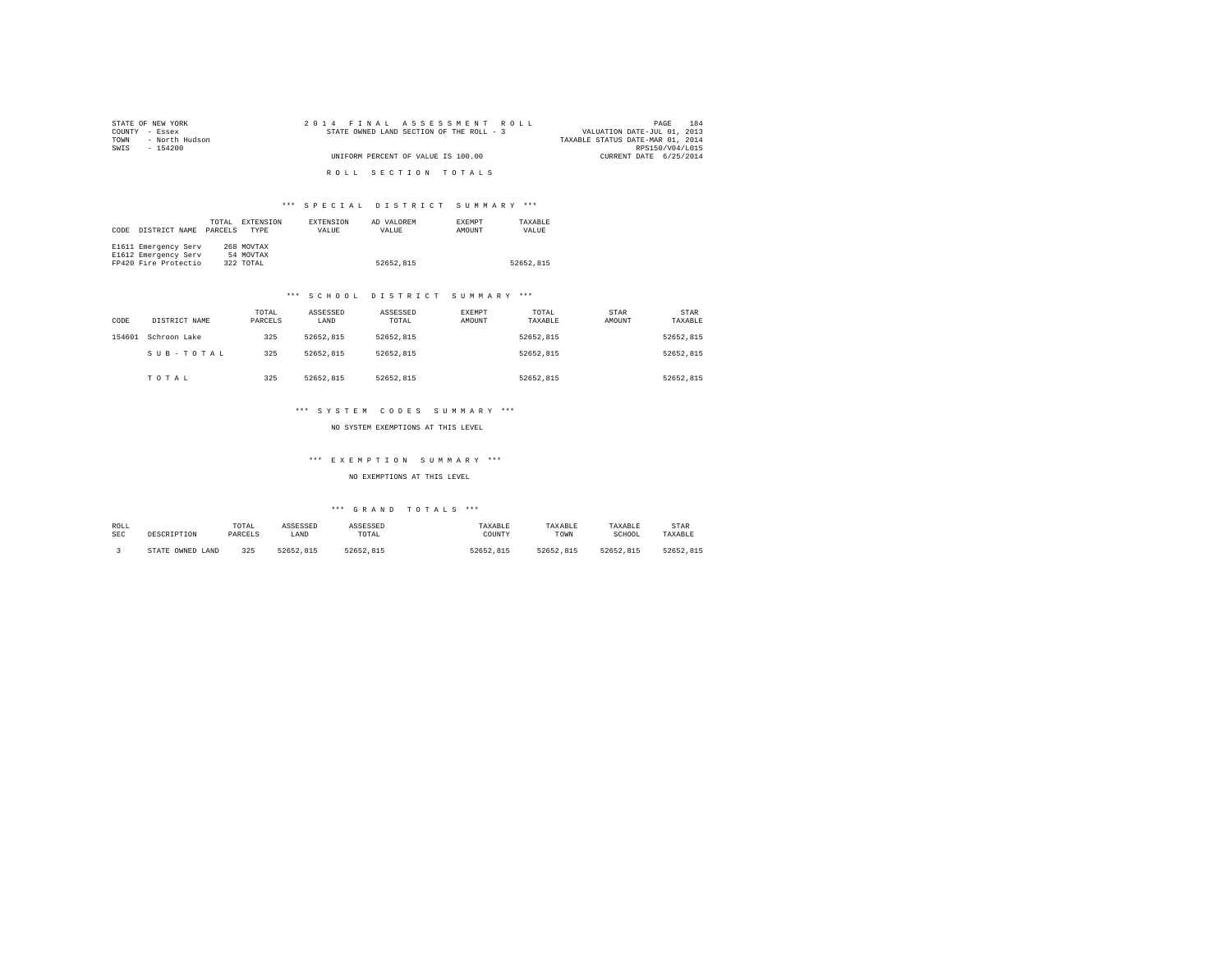| STATE OF NEW YORK      | 2014 FINAL ASSESSMENT ROLL               | 184<br>PAGE                      |
|------------------------|------------------------------------------|----------------------------------|
| COUNTY - Essex         | STATE OWNED LAND SECTION OF THE ROLL - 3 | VALUATION DATE-JUL 01, 2013      |
| - North Hudson<br>TOWN |                                          | TAXABLE STATUS DATE-MAR 01, 2014 |
| SWTS<br>- 154200       |                                          | RPS150/V04/L015                  |
|                        | UNIFORM PERCENT OF VALUE IS 100.00       | CURRENT DATE 6/25/2014           |
|                        |                                          |                                  |
|                        | ROLL SECTION TOTALS                      |                                  |

| CODE | DISTRICT NAME        | TOTAL<br>PARCELS | EXTENSION<br><b>TYPE</b> | <b>EXTENSION</b><br>VALUE | AD VALOREM<br>VALUE | <b>EXEMPT</b><br>AMOUNT | TAXARLE<br>VALUE |
|------|----------------------|------------------|--------------------------|---------------------------|---------------------|-------------------------|------------------|
|      | E1611 Emergency Serv |                  | 268 MOVTAX               |                           |                     |                         |                  |
|      | E1612 Emergency Serv |                  | 54 MOVTAX                |                           |                     |                         |                  |
|      | FP420 Fire Protectio |                  | 322 TOTAL                |                           | 52652.815           |                         | 52652.815        |

#### \*\*\* S C H O O L D I S T R I C T S U M M A R Y \*\*\*

| CODE   | DISTRICT NAME | TOTAL<br>PARCELS | ASSESSED<br>LAND | ASSESSED<br>TOTAL | <b>EXEMPT</b><br>AMOUNT | TOTAL<br>TAXABLE | STAR<br>AMOUNT | STAR<br>TAXABLE |
|--------|---------------|------------------|------------------|-------------------|-------------------------|------------------|----------------|-----------------|
| 154601 | Schroon Lake  | 325              | 52652.815        | 52652.815         |                         | 52652.815        |                | 52652.815       |
|        | SUB-TOTAL     | 325              | 52652.815        | 52652.815         |                         | 52652.815        |                | 52652.815       |
|        | TOTAL         | 325              | 52652.815        | 52652.815         |                         | 52652.815        |                | 52652.815       |

#### \*\*\* S Y S T E M C O D E S S U M M A R Y \*\*\*

NO SYSTEM EXEMPTIONS AT THIS LEVEL

## \*\*\* E X E M P T I O N S U M M A R Y \*\*\*

NO EXEMPTIONS AT THIS LEVEL

| ROLL<br>SEC | DESCRIPTION            | TOTAL<br>PARCELS | ASSESSED<br>LAND | ASSESSED<br>TOTAL | TAXABLE<br>COUNTY | TAXABLE<br>TOWN | TAXABLE<br>SCHOOL | STAR<br>TAXABLE |
|-------------|------------------------|------------------|------------------|-------------------|-------------------|-----------------|-------------------|-----------------|
|             | OWNED<br>LAND<br>STATE | 325              | 52652.815        | 52652.815         | 52652.815         | 52652.815       | 52652.815         | 52652.815       |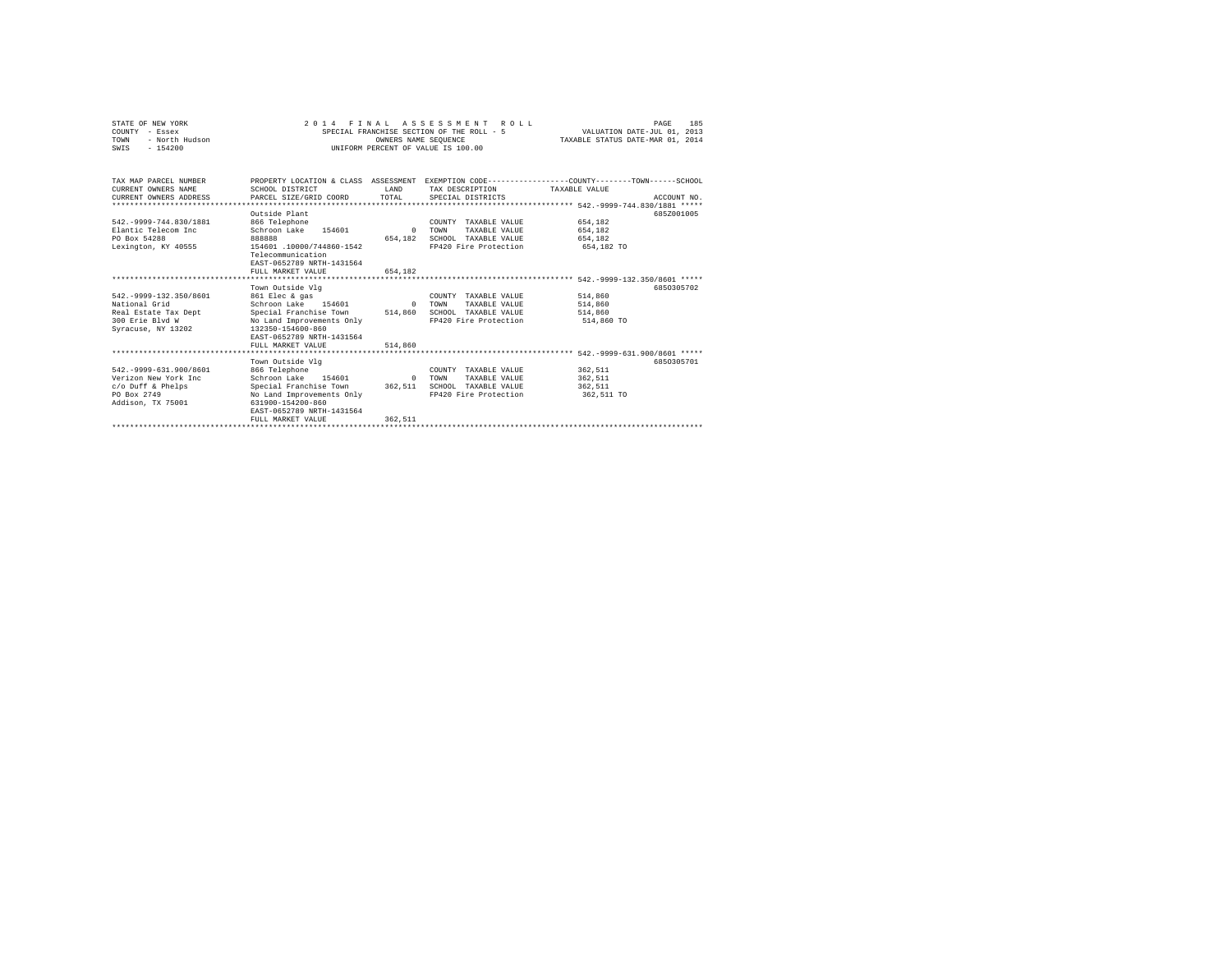| STATE OF NEW YORK<br>COUNTY - Essex<br>- North Hudson<br>TOWN<br>$-154200$<br>SWIS                            |                                                                                                                                                                                         | 2014 FINAL ASSESSMENT ROLL<br>SPECIAL FRANCHISE SECTION OF THE ROLL - 5<br>OWNERS NAME SEOUENCE<br>UNIFORM PERCENT OF VALUE IS 100.00 | VALUATION DATE-JUL 01, 2013<br>TAXABLE STATUS DATE-MAR 01, 2014                                | 185<br>PAGE                                 |             |
|---------------------------------------------------------------------------------------------------------------|-----------------------------------------------------------------------------------------------------------------------------------------------------------------------------------------|---------------------------------------------------------------------------------------------------------------------------------------|------------------------------------------------------------------------------------------------|---------------------------------------------|-------------|
| TAX MAP PARCEL NUMBER<br>CURRENT OWNERS NAME<br>CURRENT OWNERS ADDRESS                                        | PROPERTY LOCATION & CLASS ASSESSMENT EXEMPTION CODE---------------COUNTY-------TOWN------SCHOOL<br>SCHOOL DISTRICT<br>PARCEL SIZE/GRID COORD                                            | T.AND<br>TOTAL                                                                                                                        | TAX DESCRIPTION<br>SPECIAL DISTRICTS                                                           | TAXABLE VALUE                               | ACCOUNT NO. |
| 542. - 9999 - 744.830/1881<br>Elantic Telecom Inc<br>PO Box 54288<br>Lexington, KY 40555                      | Outside Plant<br>866 Telephone<br>Schroon Lake<br>154601<br><b>BRARRS</b><br>154601 .10000/744860-1542<br>Telecommunication<br>EAST-0652789 NRTH-1431564<br>FULL MARKET VALUE           | $\Omega$<br>654.182<br>654,182                                                                                                        | COUNTY TAXABLE VALUE<br>TOWN<br>TAXABLE VALUE<br>SCHOOL TAXABLE VALUE<br>FP420 Fire Protection | 654.182<br>654.182<br>654,182<br>654,182 TO | 685Z001005  |
| 542. - 9999-132.350/8601<br>National Grid<br>Real Estate Tax Dept<br>300 Erie Blyd W<br>Syracuse, NY 13202    | Town Outside Vlg<br>861 Elec & gas<br>Schroon Lake 154601<br>Special Franchise Town<br>No Land Improvements Only<br>132350-154600-860<br>EAST-0652789 NRTH-1431564<br>FULL MARKET VALUE | $\Omega$<br>514,860<br>514,860                                                                                                        | COUNTY TAXABLE VALUE<br>TOWN<br>TAXABLE VALUE<br>SCHOOL TAXABLE VALUE<br>FP420 Fire Protection | 514,860<br>514,860<br>514,860<br>514,860 TO | 6850305702  |
| 542. - 9999-631.900/8601<br>Verizon New York Inc.<br>$c$ /o Duff & Phelps<br>PO Box 2749<br>Addison, TX 75001 | Town Outside Vlg<br>866 Telephone<br>Schroon Lake 154601<br>Special Franchise Town<br>No Land Improvements Only<br>631900-154200-860<br>EAST-0652789 NRTH-1431564<br>FULL MARKET VALUE  | $\Omega$<br>362,511<br>362.511                                                                                                        | COUNTY TAXABLE VALUE<br>TOWN<br>TAXABLE VALUE<br>SCHOOL TAXABLE VALUE<br>FP420 Fire Protection | 362.511<br>362.511<br>362.511<br>362,511 TO | 6850305701  |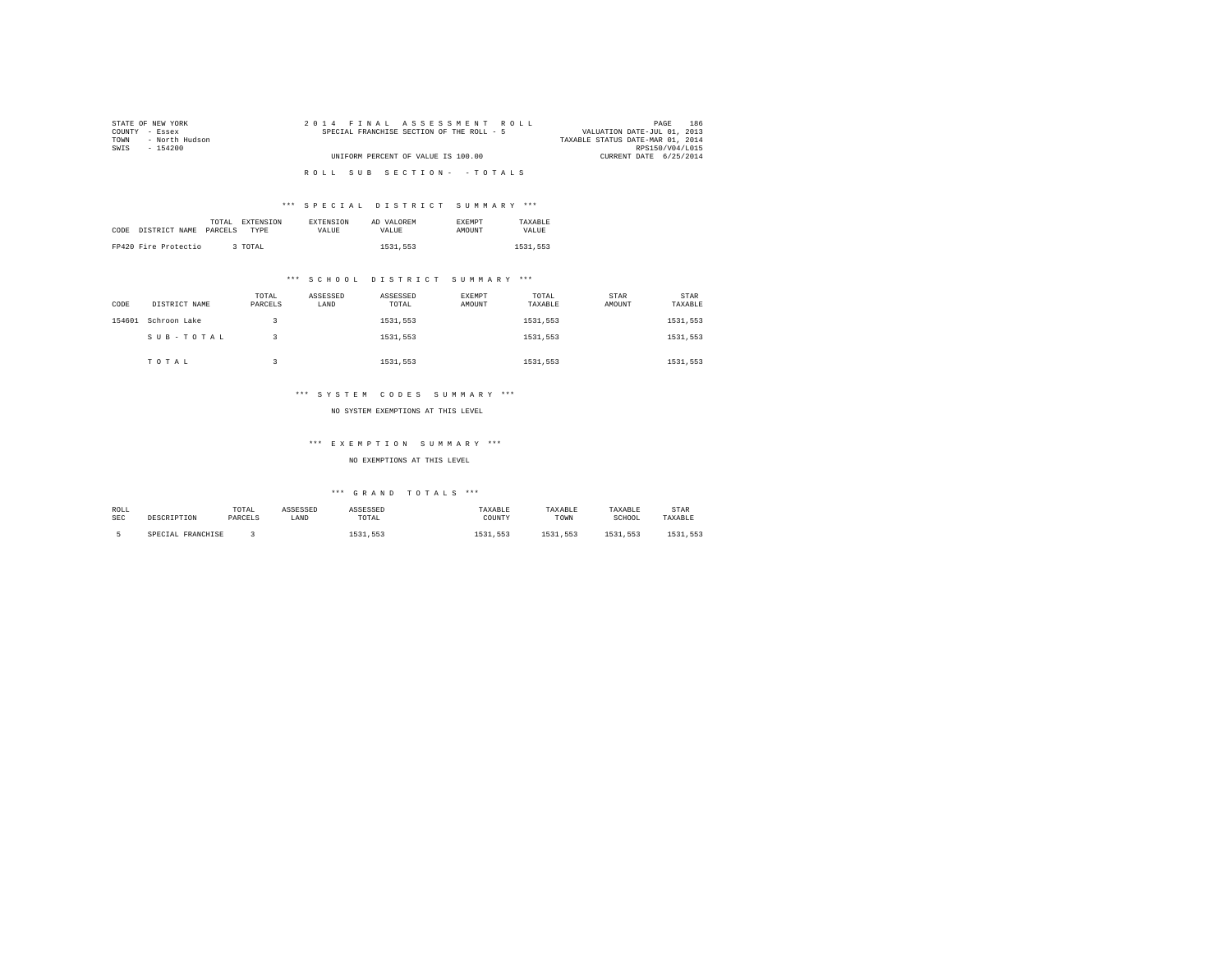| STATE OF NEW YORK      | 2014 FINAL ASSESSMENT ROLL                | 186<br>PAGE                      |
|------------------------|-------------------------------------------|----------------------------------|
| COUNTY - Essex         | SPECIAL FRANCHISE SECTION OF THE ROLL - 5 | VALUATION DATE-JUL 01, 2013      |
| - North Hudson<br>TOWN |                                           | TAXABLE STATUS DATE-MAR 01, 2014 |
| SWTS<br>- 154200       |                                           | RPS150/V04/L015                  |
|                        | UNIFORM PERCENT OF VALUE IS 100.00        | CURRENT DATE 6/25/2014           |
|                        |                                           |                                  |
|                        | ROLL SUB SECTION- - TOTALS                |                                  |
|                        |                                           |                                  |

|                       | EXTENSION<br>TOTAL | <b>EXTENSION</b> | AD VALOREM | <b>EXEMPT</b> | TAXARLE  |
|-----------------------|--------------------|------------------|------------|---------------|----------|
| CODE<br>DISTRICT NAME | PARCELS<br>TYPE    | <b>VALUE</b>     | VALUE.     | AMOUNT        | VALUE    |
|                       |                    |                  |            |               |          |
| FP420 Fire Protectio  | 3 TOTAL            |                  | 1531,553   |               | 1531.553 |

## \*\*\* S C H O O L D I S T R I C T S U M M A R Y \*\*\*

| CODE   | DISTRICT NAME | TOTAL<br>PARCELS | ASSESSED<br>LAND | ASSESSED<br>TOTAL | EXEMPT<br>AMOUNT | TOTAL<br>TAXABLE | STAR<br>AMOUNT | STAR<br>TAXABLE |  |
|--------|---------------|------------------|------------------|-------------------|------------------|------------------|----------------|-----------------|--|
| 154601 | Schroon Lake  |                  |                  | 1531.553          |                  | 1531,553         |                | 1531,553        |  |
|        | SUB-TOTAL     |                  |                  | 1531.553          |                  | 1531.553         |                | 1531,553        |  |
|        | TOTAL         |                  |                  | 1531.553          |                  | 1531,553         |                | 1531,553        |  |

## \*\*\* S Y S T E M C O D E S S U M M A R Y \*\*\*

#### NO SYSTEM EXEMPTIONS AT THIS LEVEL

## \*\*\* E X E M P T I O N S U M M A R Y \*\*\*

## NO EXEMPTIONS AT THIS LEVEL

| ROLL       |                   | TOTAL   | ASSESSED | ASSESSED | TAXABLE  | TAXABLE  | TAXABLE      | STAR     |
|------------|-------------------|---------|----------|----------|----------|----------|--------------|----------|
| <b>SEC</b> | DESCRIPTION       | PARCELS | LAND     | TOTAL    | COUNTY   | TOWN     | SCHOOL       | TAXABLE  |
|            |                   |         |          |          |          |          |              |          |
|            | SPECIAL FRANCHISE |         |          | 1531.553 | 1531.553 | 1531.553 | 5521<br>.553 | 1531 553 |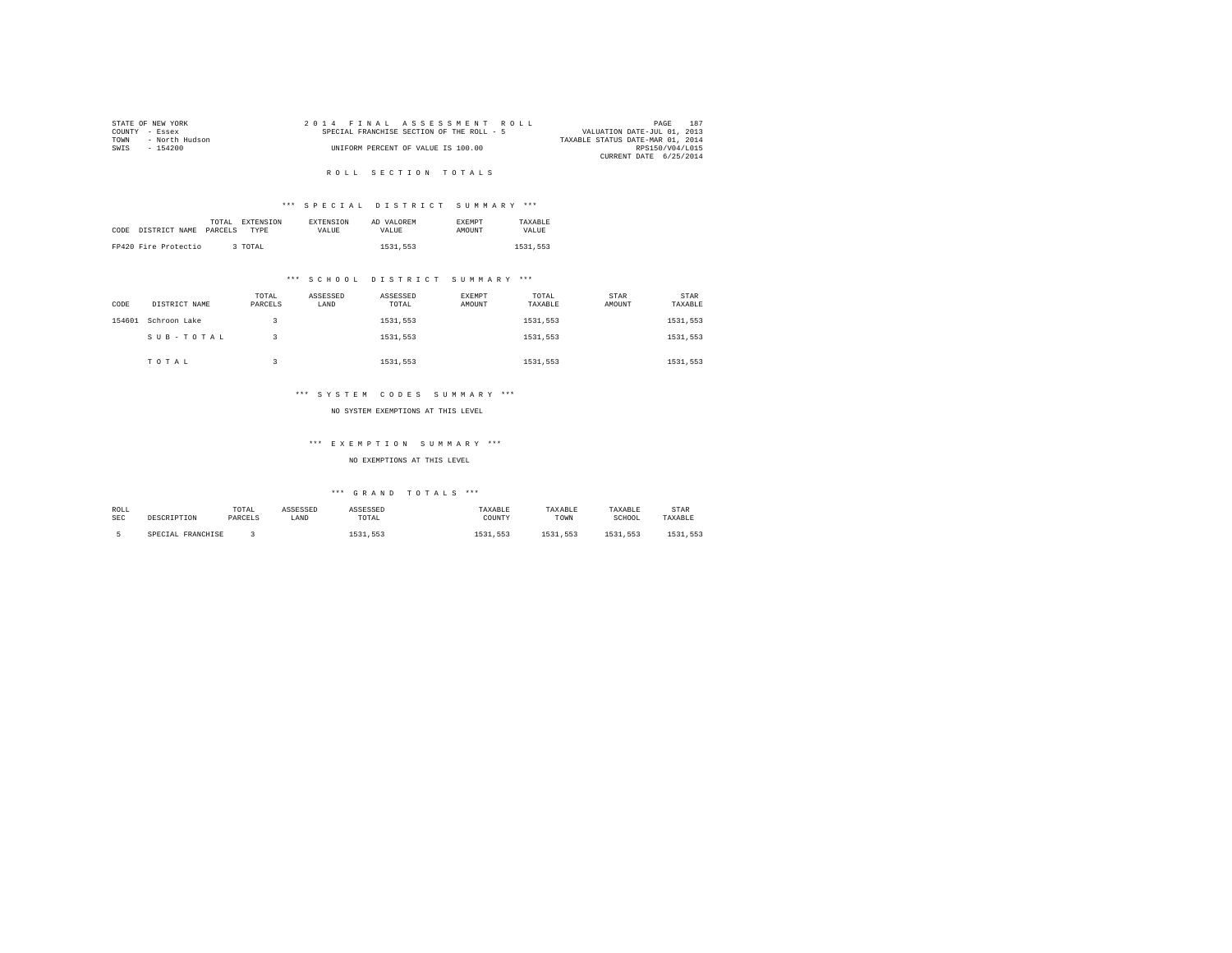| STATE OF NEW YORK      | 2014 FINAL ASSESSMENT ROLL                | 187<br>PAGE                      |
|------------------------|-------------------------------------------|----------------------------------|
| COUNTY - Essex         | SPECIAL FRANCHISE SECTION OF THE ROLL - 5 | VALUATION DATE-JUL 01, 2013      |
| - North Hudson<br>TOWN |                                           | TAXABLE STATUS DATE-MAR 01, 2014 |
| SWIS<br>- 154200       | UNIFORM PERCENT OF VALUE IS 100.00        | RPS150/V04/L015                  |
|                        |                                           | CURRENT DATE 6/25/2014           |
|                        |                                           |                                  |

## ROLL SECTION TOTALS

## \*\*\* S P E C I A L D I S T R I C T S U M M A R Y \*\*\*

| CODE | DISTRICT NAME        | TOTAL<br>PARCELS | <b>EXTENSION</b><br><b>TYPE</b> | <b>EXTENSION</b><br>VALUE | AD VALOREM<br>VALUE | <b>EXEMPT</b><br>AMOUNT | TAXARLE<br>VALUE |  |
|------|----------------------|------------------|---------------------------------|---------------------------|---------------------|-------------------------|------------------|--|
|      | FP420 Fire Protectio |                  | 3 TOTAL                         |                           | 1531.553            |                         | 1531,553         |  |

## \*\*\* S C H O O L D I S T R I C T S U M M A R Y \*\*\*

| CODE   | DISTRICT NAME | TOTAL<br>PARCELS | ASSESSED<br>LAND | ASSESSED<br>TOTAL | EXEMPT<br>AMOUNT | TOTAL<br>TAXABLE | STAR<br>AMOUNT | STAR<br>TAXABLE |
|--------|---------------|------------------|------------------|-------------------|------------------|------------------|----------------|-----------------|
| 154601 | Schroon Lake  |                  |                  | 1531,553          |                  | 1531.553         |                | 1531,553        |
|        | SUB-TOTAL     |                  |                  | 1531,553          |                  | 1531.553         |                | 1531,553        |
|        | TOTAL         |                  |                  | 1531,553          |                  | 1531.553         |                | 1531,553        |

## \*\*\* S Y S T E M C O D E S S U M M A R Y \*\*\*

#### NO SYSTEM EXEMPTIONS AT THIS LEVEL

## \*\*\* E X E M P T I O N S U M M A R Y \*\*\*

## NO EXEMPTIONS AT THIS LEVEL

| ROLL       |                   | TOTAL   | ASSESSED | ASSESSED | TAXABLE  | TAXABLE  | TAXABLE      | STAR     |
|------------|-------------------|---------|----------|----------|----------|----------|--------------|----------|
| <b>SEC</b> | DESCRIPTION       | PARCELS | LAND     | TOTAL    | COUNTY   | TOWN     | SCHOOL       | TAXABLE  |
|            |                   |         |          |          |          |          |              |          |
|            | SPECIAL FRANCHISE |         |          | 1531.553 | 1531.553 | 1531.553 | 5521<br>.553 | 1531 553 |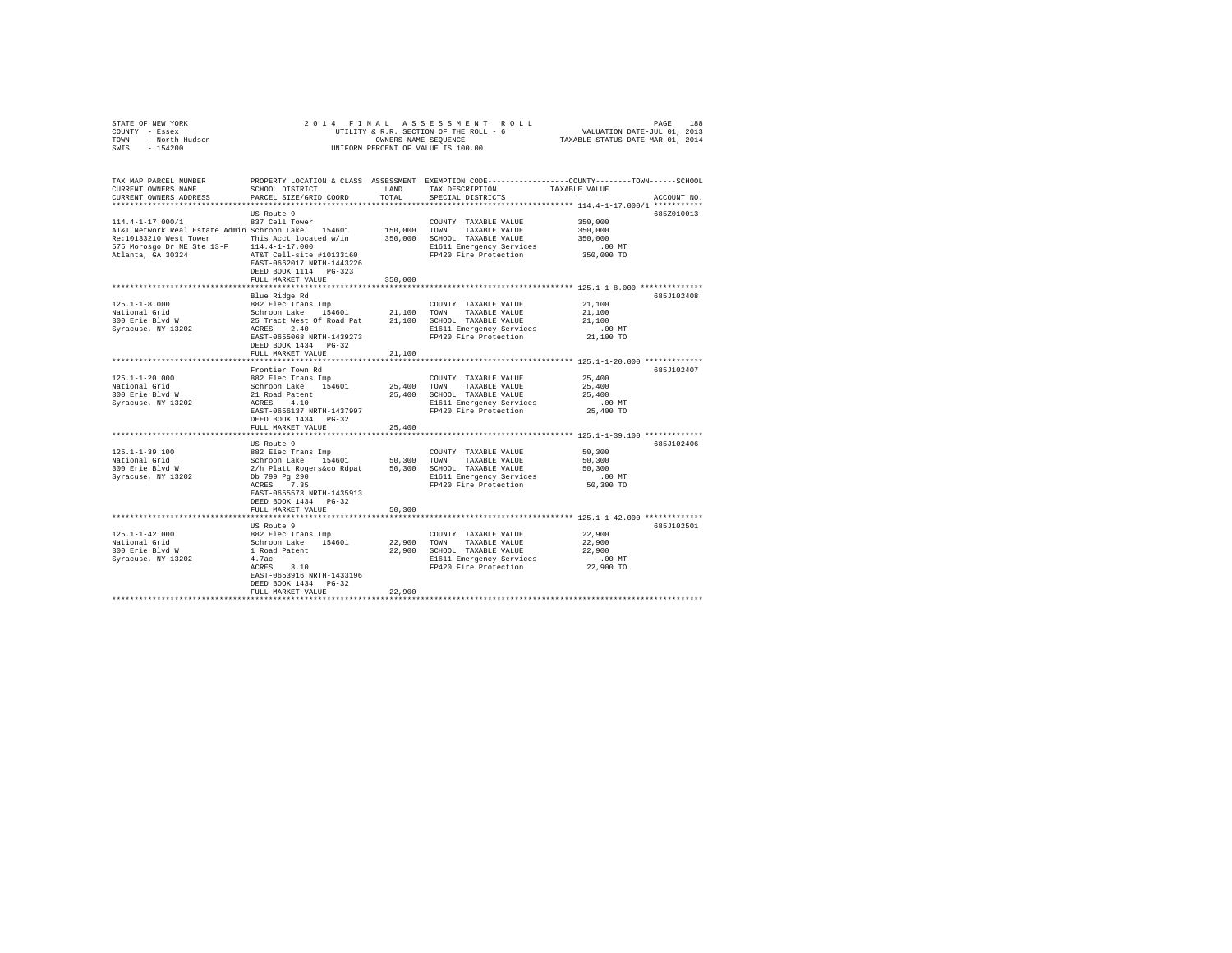| STATE OF NEW YORK<br>COUNTY - Essex<br>TOWN - North Hudson<br>SWIS - 154200                                                                                                                                                                                                                                                                                                                                                                                                                   | UTILITY & A<br>OWNERS NAME SEQUENCE<br>UNIFORM PERCENT OF VALUE IS 100.00                                                                                                                                                                                                                        |               | 2014 FINAL ASSESSMENT ROLL                                                                                                                                                                         | 14 FINAL ASSESSMENT ROLL PAGE 188<br>UTILITY & R.R. SECTION OF THE ROLL - 6<br>TAXABLE STATUS DATE-MAR 01, 2014<br>TAXABLE STATUS DATE-MAR 01, 2014 |
|-----------------------------------------------------------------------------------------------------------------------------------------------------------------------------------------------------------------------------------------------------------------------------------------------------------------------------------------------------------------------------------------------------------------------------------------------------------------------------------------------|--------------------------------------------------------------------------------------------------------------------------------------------------------------------------------------------------------------------------------------------------------------------------------------------------|---------------|----------------------------------------------------------------------------------------------------------------------------------------------------------------------------------------------------|-----------------------------------------------------------------------------------------------------------------------------------------------------|
| TAX MAP PARCEL NUMBER<br>CURRENT OWNERS NAME<br>CURRENT OWNERS ADDRESS                                                                                                                                                                                                                                                                                                                                                                                                                        | SCHOOL DISTRICT<br>PARCEL SIZE/GRID COORD                                                                                                                                                                                                                                                        | LAND<br>TOTAL | TAX DESCRIPTION TAXABLE VALUE<br>SPECIAL DISTRICTS                                                                                                                                                 | PROPERTY LOCATION & CLASS ASSESSMENT EXEMPTION CODE---------------COUNTY-------TOWN------SCHOOL<br>ACCOUNT NO.                                      |
| 114.4-1-17.000/1 637 Cell Tower<br>AT&T Network Real Estate Admin Schroon Lake 154601 150,000 TOWNTY TAXABLE VALUE<br>150,000 TOWN TAXABLE VALUE<br>Re:10133210 West Tower This Acct located W/in 350,000 SCHOOL TAXABLE VALUE 350,000 SCHOOL TAXABLE VALUE 350,000<br>350,000 DE NE SEE 13-F 114.4-1-17.000 END BI611 EMergency Services 350,000 DE NE ALL ALL ALL ALL ALL ALL AND R                                                                                                         | US Route 9<br>EAST-0662017 NRTH-1443226<br>DEED BOOK 1114 PG-323<br>FULL MARKET VALUE 350,000                                                                                                                                                                                                    |               | $\begin{tabular}{lllllllllll} \multicolumn{2}{c}{\textbf{COUNTY}} & \textbf{TXABLE VALUE} & & & 350,000 \\ \multicolumn{2}{c}{\textbf{TOWN}} & \textbf{TXABLE VALUE} & & 350,000 \\ \end{tabular}$ | 685Z010013                                                                                                                                          |
|                                                                                                                                                                                                                                                                                                                                                                                                                                                                                               |                                                                                                                                                                                                                                                                                                  |               |                                                                                                                                                                                                    |                                                                                                                                                     |
|                                                                                                                                                                                                                                                                                                                                                                                                                                                                                               | Blue Ridge Rd<br>DEED BOOK 1434 PG-32                                                                                                                                                                                                                                                            |               |                                                                                                                                                                                                    | 685J102408                                                                                                                                          |
|                                                                                                                                                                                                                                                                                                                                                                                                                                                                                               | FULL MARKET VALUE                                                                                                                                                                                                                                                                                | 21,100        |                                                                                                                                                                                                    |                                                                                                                                                     |
| $\begin{tabular}{l c c c c c c c c} \multicolumn{3}{c}{25.1-1-20.000}&{\small\textsc{Front} &\textsc{Tom} &\textsc{COMNT} &\textsc{TXABLE} &\textsc{VALUE} &\textsc{25,400} \\ \multicolumn{3}{c}{\texttt{National Grid} &\textsc{Std} &\textsc{Schron Lake} &\textsc{194601}&\textsc{25,400} &\textsc{TONNT} &\textsc{TXABLE} &\textsc{VALUE} &\textsc{25,400} \\ \multicolumn{3}{c}{\texttt{National Grid} &\textsc{Schron} &\textsc{21$                                                    | Frontier Town Rd<br>DEED BOOK 1434 PG-32                                                                                                                                                                                                                                                         |               |                                                                                                                                                                                                    | 685J102407                                                                                                                                          |
|                                                                                                                                                                                                                                                                                                                                                                                                                                                                                               | FULL MARKET VALUE                                                                                                                                                                                                                                                                                | 25,400        |                                                                                                                                                                                                    |                                                                                                                                                     |
| $125.1 - 1 - 39.100$<br>National Grid<br>National Glid<br>300 Erie Blvd W<br>Syracuse, NY 13202                                                                                                                                                                                                                                                                                                                                                                                               | US Route 9<br>882 Elec Trans Imp COUNTY TAXABLE VALUE<br>Schroon Lake 154601 50,300 TOWN TAXABLE VALUE<br>2/h Platt Rogersáco Rdpat 50,300 SCHOOL TAXABLE VALUE<br>Db 799 pg 290<br>RCRES 7.35 FP420 Fire Protection<br>EAST-0655573 NRTH-1435913<br>DEED BOOK 1434   PG-32<br>FULL MARKET VALUE | 50,300        |                                                                                                                                                                                                    | 685J102406<br>50,300<br>50,300<br>50,300<br>00 MT.<br>50,300 TO                                                                                     |
|                                                                                                                                                                                                                                                                                                                                                                                                                                                                                               |                                                                                                                                                                                                                                                                                                  |               |                                                                                                                                                                                                    | **************************** 125.1-1-42.000 ************                                                                                            |
| $\begin{array}{cccccc} & & & & & & & \text{US Route 9} & & & & & \text{CODNTY T AXABLE VALUE} & & & & & & 22,900 \\ \text{National Grid} & & & & & & & & & & \text{SCD} \text{ The True} & & & & & & \text{CODNTY T AXABLE VALUE} & & & & & & 22,900 \\ \text{National Grid} & & & & & & & & & & \text{Schron Lake} & 154601 & & & & & \text{TAXABLE VALUE} & & & & & 22,900 \\ \text{300 Eric Blvd W} & & & & & & & & & \text{1 Road Patent} & & & & & \text{DIO} \text{ TAXABLE VALUE} & &$ | EAST-0653916 NRTH-1433196<br>DEED BOOK 1434 PG-32<br>FULL MARKET VALUE                                                                                                                                                                                                                           | 22,900        |                                                                                                                                                                                                    | 685J102501                                                                                                                                          |
|                                                                                                                                                                                                                                                                                                                                                                                                                                                                                               |                                                                                                                                                                                                                                                                                                  |               |                                                                                                                                                                                                    |                                                                                                                                                     |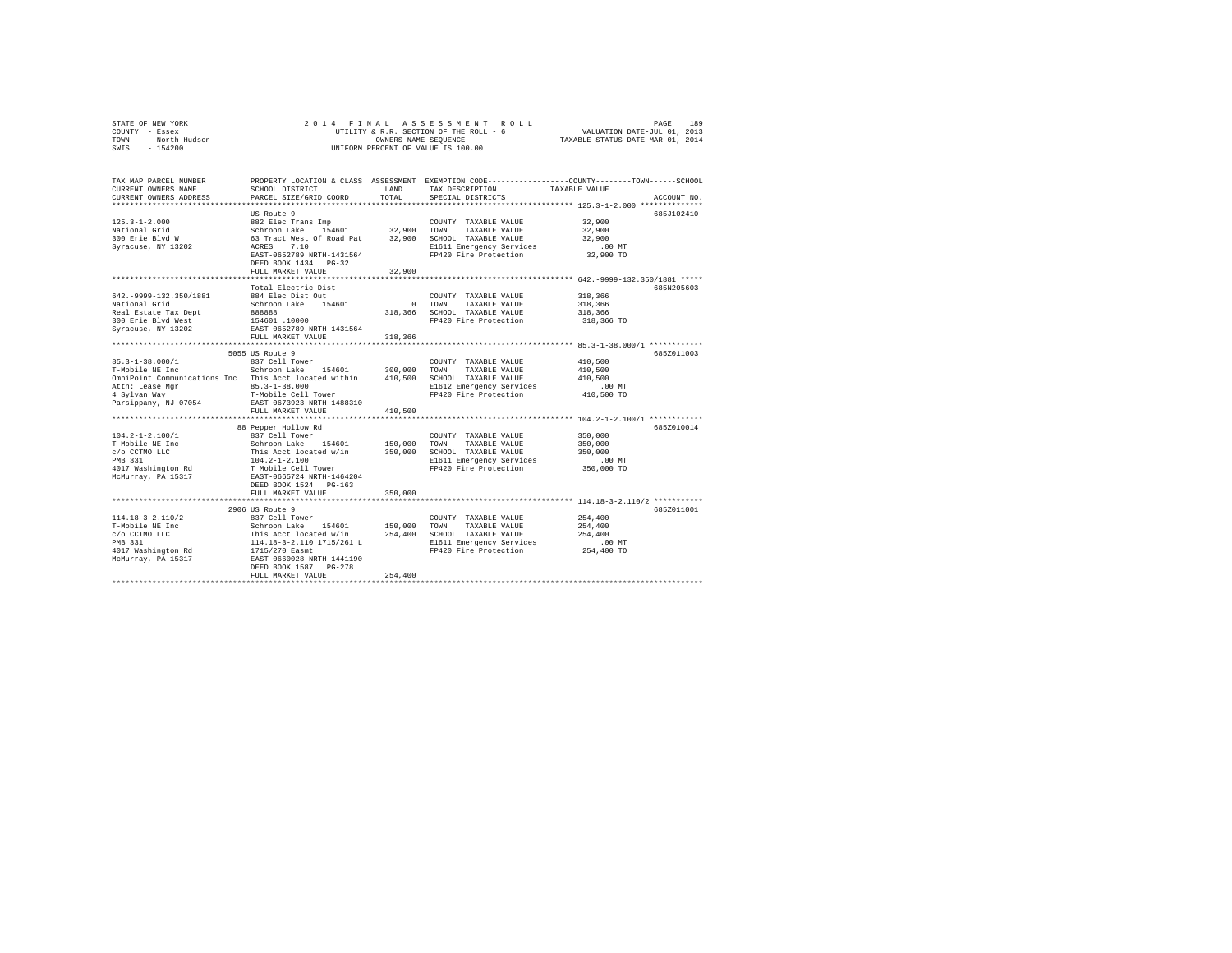|      | STATE OF NEW YORK | 2014 FINAL ASSESSMENT ROLL             | 189<br>PAGE                      |
|------|-------------------|----------------------------------------|----------------------------------|
|      | COUNTY - Essex    | UTILITY & R.R. SECTION OF THE ROLL - 6 | VALUATION DATE-JUL 01, 2013      |
| TOWN | - North Hudson    | OWNERS NAME SEOUENCE                   | TAXABLE STATUS DATE-MAR 01, 2014 |
| SWIS | $-154200$         | UNIFORM PERCENT OF VALUE IS 100.00     |                                  |

| TAX MAP PARCEL NUMBER<br>CURRENT OWNERS NAME<br>CURRENT OWNERS ADDRESS | SCHOOL DISTRICT<br>PARCEL SIZE/GRID COORD                                                                    | LAND<br>TOTAL | TAX DESCRIPTION<br>SPECIAL DISTRICTS          | PROPERTY LOCATION & CLASS ASSESSMENT EXEMPTION CODE---------------COUNTY-------TOWN-----SCHOOL<br>TAXABLE VALUE<br>ACCOUNT NO. |
|------------------------------------------------------------------------|--------------------------------------------------------------------------------------------------------------|---------------|-----------------------------------------------|--------------------------------------------------------------------------------------------------------------------------------|
|                                                                        |                                                                                                              |               |                                               |                                                                                                                                |
|                                                                        | US Route 9                                                                                                   |               |                                               | 685J102410                                                                                                                     |
| $125.3 - 1 - 2.000$                                                    | 882 Elec Trans Imp                                                                                           |               | COUNTY TAXABLE VALUE                          | 32,900                                                                                                                         |
| National Grid                                                          | Schroon Lake 154601<br>63 Tract West Of Road Pat                                                             | 32,900 TOWN   | TAXABLE VALUE                                 | 32,900                                                                                                                         |
| 300 Erie Blvd W                                                        |                                                                                                              |               | 32,900 SCHOOL TAXABLE VALUE                   | 32,900                                                                                                                         |
| Syracuse, NY 13202                                                     | 7.10<br>ACRES                                                                                                |               | E1611 Emergency Services                      | $.00$ MT                                                                                                                       |
|                                                                        | EAST-0652789 NRTH-1431564                                                                                    |               | FP420 Fire Protection                         | 32,900 TO                                                                                                                      |
|                                                                        | DEED BOOK 1434 PG-32                                                                                         |               |                                               |                                                                                                                                |
|                                                                        | FULL MARKET VALUE                                                                                            | 32,900        |                                               |                                                                                                                                |
|                                                                        |                                                                                                              |               |                                               |                                                                                                                                |
| 642. - 9999 - 132. 350/1881                                            | Total Electric Dist                                                                                          |               |                                               | 685N205603<br>318,366                                                                                                          |
|                                                                        | 884 Elec Dist Out<br>Schroon Lake 154601                                                                     |               | COUNTY TAXABLE VALUE<br>0 TOWN                |                                                                                                                                |
| National Grid<br>Real Estate Tax Dept                                  | 888888                                                                                                       |               | TAXABLE VALUE<br>318,366 SCHOOL TAXABLE VALUE | 318,366<br>318,366                                                                                                             |
| 300 Erie Blvd West                                                     | 154601 .10000                                                                                                |               | FP420 Fire Protection                         | 318,366 TO                                                                                                                     |
| Syracuse, NY 13202                                                     | EAST-0652789 NRTH-1431564                                                                                    |               |                                               |                                                                                                                                |
|                                                                        | FULL MARKET VALUE                                                                                            | 318,366       |                                               |                                                                                                                                |
|                                                                        |                                                                                                              |               |                                               |                                                                                                                                |
|                                                                        | 5055 US Route 9                                                                                              |               |                                               | 685Z011003                                                                                                                     |
| $85.3 - 1 - 38.000 / 1$                                                | 837 Cell Tower                                                                                               |               | COUNTY TAXABLE VALUE                          | 410,500                                                                                                                        |
| T-Mobile NE Inc                                                        | Schroon Lake 154601                                                                                          | 300,000       | TOWN<br>TAXABLE VALUE                         | 410,500                                                                                                                        |
| OmniPoint Communications Inc This Acct located within                  |                                                                                                              |               | 410,500 SCHOOL TAXABLE VALUE                  | 410,500                                                                                                                        |
| Attn: Lease Mgr                                                        | $85.3 - 1 - 38.000$                                                                                          |               | E1612 Emergency Services                      | $.00$ MT                                                                                                                       |
| 4 Sylvan Way                                                           | T-Mobile Cell Tower                                                                                          |               | FP420 Fire Protection                         | 410,500 TO                                                                                                                     |
| Parsippany, NJ 07054                                                   | EAST-0673923 NRTH-1488310                                                                                    |               |                                               |                                                                                                                                |
|                                                                        | FULL MARKET VALUE                                                                                            | 410,500       |                                               |                                                                                                                                |
|                                                                        |                                                                                                              |               |                                               |                                                                                                                                |
|                                                                        | 88 Pepper Hollow Rd                                                                                          |               |                                               | 685Z010014                                                                                                                     |
| $104.2 - 1 - 2.100/1$                                                  | 837 Cell Tower                                                                                               |               | COUNTY TAXABLE VALUE                          | 350,000                                                                                                                        |
| T-Mobile NE Inc                                                        | Schroon Lake 154601                                                                                          | 150,000       | TOWN<br>TAXABLE VALUE                         | 350,000                                                                                                                        |
| c/o CCTMO LLC                                                          | $\begin{tabular}{ll} This & \textbf{Act} & \textbf{located} & \textbf{w/in}\\ 104.2-1-2.100 & \end{tabular}$ | 350,000       | SCHOOL TAXABLE VALUE                          | 350,000                                                                                                                        |
| PMB 331                                                                |                                                                                                              |               | E1611 Emergency Services                      | $.00$ MT                                                                                                                       |
|                                                                        |                                                                                                              |               | FP420 Fire Protection                         | 350,000 TO                                                                                                                     |
|                                                                        |                                                                                                              |               |                                               |                                                                                                                                |
|                                                                        | DEED BOOK 1524 PG-163<br>FULL MARKET VALUE                                                                   | 350,000       |                                               |                                                                                                                                |
|                                                                        |                                                                                                              |               |                                               | *************************** 114.18-3-2.110/2 ***********                                                                       |
|                                                                        | 2906 US Route 9                                                                                              |               |                                               | 685Z011001                                                                                                                     |
| $114.18 - 3 - 2.110/2$                                                 |                                                                                                              |               | COUNTY TAXABLE VALUE                          | 254,400                                                                                                                        |
| T-Mobile NE Inc                                                        |                                                                                                              |               | TOWN<br>TAXABLE VALUE                         | 254,400                                                                                                                        |
| c/o CCTMO LLC                                                          |                                                                                                              |               | SCHOOL TAXABLE VALUE                          | 254,400                                                                                                                        |
| PMB 331                                                                | 837 Cell Tower<br>Schroon Lake 154601 150,000<br>This Acct located w/in 254,400<br>114.18-3-2.110 1715/261 L |               | E1611 Emergency Services                      | .00 MT                                                                                                                         |
| 4017 Washington Rd                                                     |                                                                                                              |               | FP420 Fire Protection                         | 254,400 TO                                                                                                                     |
| McMurray, PA 15317                                                     | 1715/270 Easmt<br>EAST-0660028 NRTH-1441190                                                                  |               |                                               |                                                                                                                                |
|                                                                        | DEED BOOK 1587 PG-278                                                                                        |               |                                               |                                                                                                                                |
|                                                                        | FULL MARKET VALUE                                                                                            | 254,400       |                                               |                                                                                                                                |
|                                                                        |                                                                                                              |               |                                               |                                                                                                                                |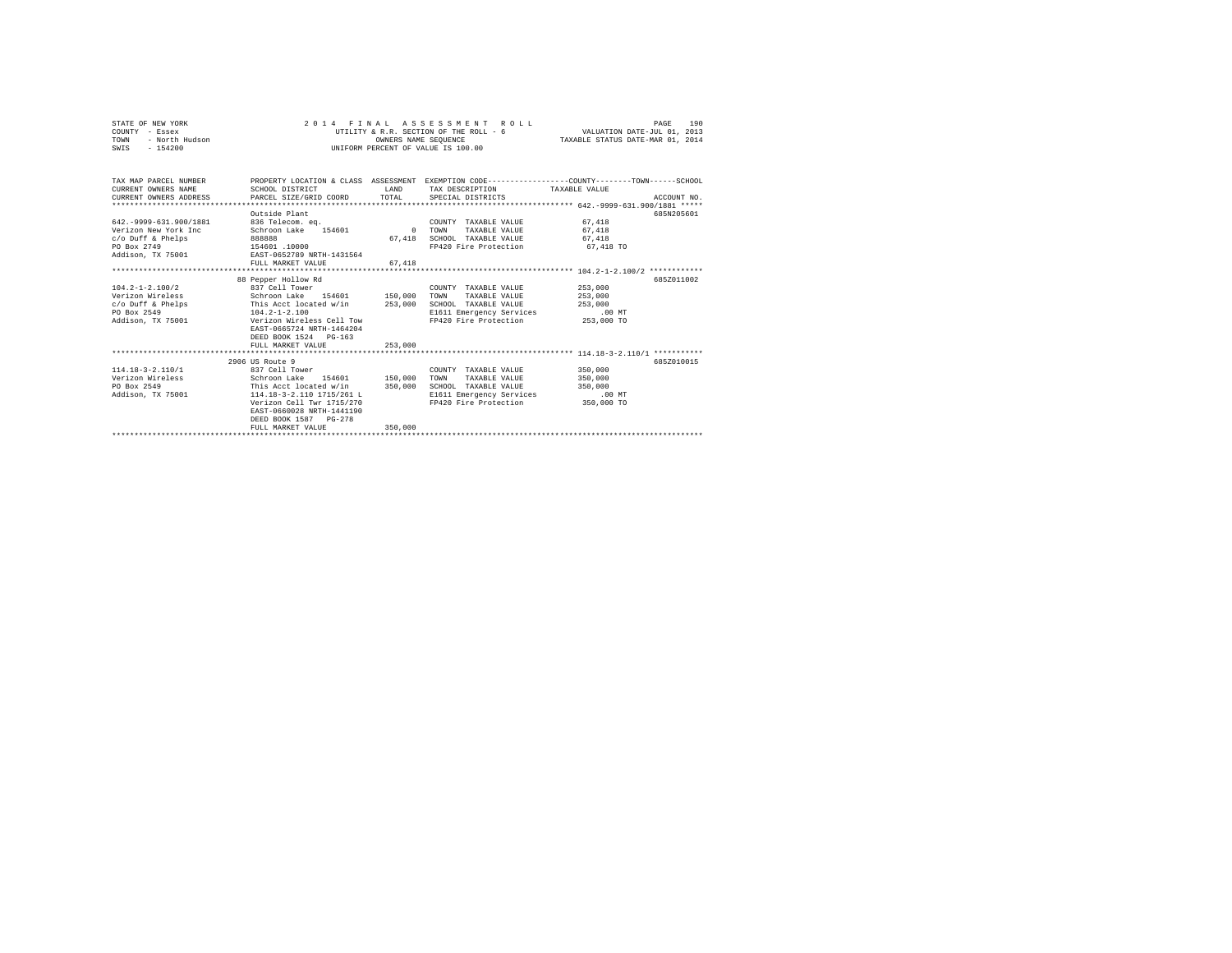| STATE OF NEW YORK<br>COUNTY - Essex<br>- North Hudson<br>TOWN<br>$-154200$<br>SWIS                                                  |                                                                                                                                                                                                                  |                    | 2014 FINAL ASSESSMENT ROLL<br>UTILITY & R.R. SECTION OF THE ROLL - 6<br>OWNERS NAME SEQUENCE<br>UNIFORM PERCENT OF VALUE IS 100.00 | VALUATION DATE-JUL 01, 2013<br>TAXABLE STATUS DATE-MAR 01, 2014 | 190<br>PAGE |
|-------------------------------------------------------------------------------------------------------------------------------------|------------------------------------------------------------------------------------------------------------------------------------------------------------------------------------------------------------------|--------------------|------------------------------------------------------------------------------------------------------------------------------------|-----------------------------------------------------------------|-------------|
| TAX MAP PARCEL NUMBER<br>CURRENT OWNERS NAME<br>CURRENT OWNERS ADDRESS                                                              | PROPERTY LOCATION & CLASS ASSESSMENT EXEMPTION CODE---------------COUNTY-------TOWN------SCHOOL<br>SCHOOL DISTRICT<br>PARCEL SIZE/GRID COORD                                                                     | LAND<br>TOTAL      | TAX DESCRIPTION<br>SPECIAL DISTRICTS                                                                                               | TAXABLE VALUE                                                   | ACCOUNT NO. |
|                                                                                                                                     |                                                                                                                                                                                                                  |                    |                                                                                                                                    |                                                                 |             |
| 642. - 9999-631.900/1881<br>Verizon New York Inc<br>c/o Duff & Phelps<br>PO Box 2749<br>Addison, TX 75001 EAST-0652789 NRTH-1431564 | Outside Plant<br>836 Telecom. eq.<br>Schroon Lake 154601<br>888888<br>154601.10000                                                                                                                               | $\sim$ 0<br>67.418 | COUNTY TAXABLE VALUE<br>TAXABLE VALUE<br>TOWN<br>SCHOOL TAXABLE VALUE<br>FP420 Fire Protection                                     | 67.418<br>67,418<br>67.418<br>67,418 TO                         | 685N205601  |
|                                                                                                                                     | FULL MARKET VALUE                                                                                                                                                                                                | 67.418             |                                                                                                                                    |                                                                 |             |
| $104.2 - 1 - 2.100/2$<br>Verizon Wireless<br>c/o Duff & Phelps<br>PO Box 2549<br>Addison, TX 75001                                  | 88 Pepper Hollow Rd<br>837 Cell Tower<br>Schroon Lake 154601 150,000<br>This Acct located w/in 253,000<br>$104.2 - 1 - 2.100$<br>Verizon Wireless Cell Tow<br>EAST-0665724 NRTH-1464204<br>DEED BOOK 1524 PG-163 |                    | COUNTY TAXABLE VALUE<br>TAXABLE VALUE<br>TOWN<br>SCHOOL TAXABLE VALUE<br>E1611 Emergency Services<br>FP420 Fire Protection         | 253,000<br>253,000<br>253,000<br>.00 MT<br>253,000 TO           | 685Z011002  |
|                                                                                                                                     | FULL MARKET VALUE                                                                                                                                                                                                | 253,000            |                                                                                                                                    |                                                                 |             |
| $114.18 - 3 - 2.110/1$<br>Verizon Wireless<br>PO Box 2549<br>Addison, TX 75001                                                      | 2906 US Route 9<br>837 Cell Tower<br>Schroon Lake 154601 150,000<br>This Acct located w/in<br>114.18-3-2.110 1715/261 L<br>Verizon Cell Twr 1715/270<br>EAST-0660028 NRTH-1441190<br>DEED BOOK 1587 PG-278       | 350,000            | COUNTY TAXABLE VALUE<br>TOWN<br>TAXABLE VALUE<br>SCHOOL TAXABLE VALUE<br>E1611 Emergency Services<br>FP420 Fire Protection         | 350,000<br>350,000<br>350,000<br>$.00$ MT<br>350,000 TO         | 6852010015  |
|                                                                                                                                     | FULL MARKET VALUE                                                                                                                                                                                                | 350,000            |                                                                                                                                    |                                                                 |             |
|                                                                                                                                     |                                                                                                                                                                                                                  |                    |                                                                                                                                    |                                                                 |             |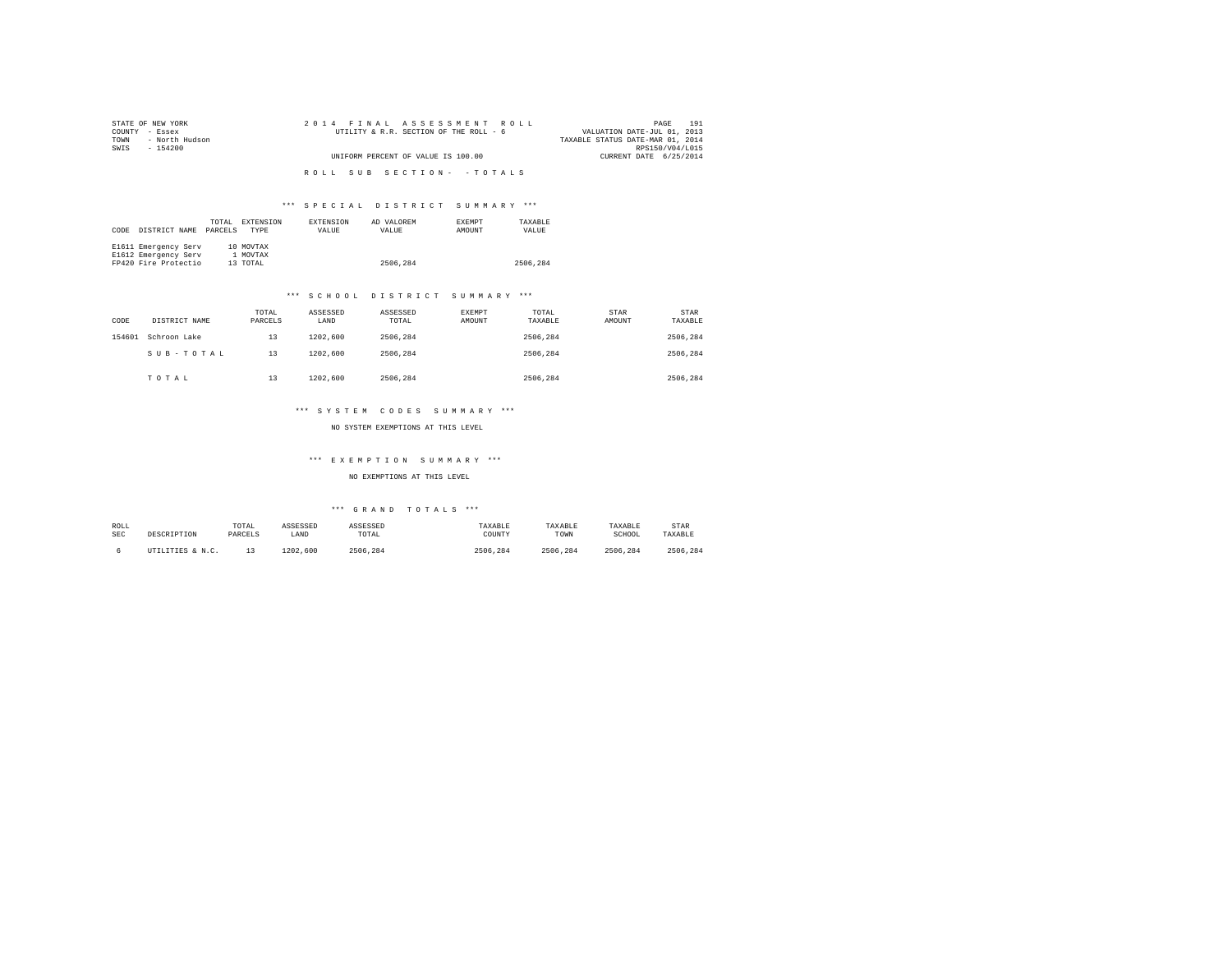| STATE OF NEW YORK      | 2014 FINAL ASSESSMENT ROLL             | 191<br>PAGE                      |
|------------------------|----------------------------------------|----------------------------------|
| COUNTY - Essex         | UTILITY & R.R. SECTION OF THE ROLL - 6 | VALUATION DATE-JUL 01, 2013      |
| - North Hudson<br>TOWN |                                        | TAXABLE STATUS DATE-MAR 01, 2014 |
| SWIS<br>$-154200$      |                                        | RPS150/V04/L015                  |
|                        | UNIFORM PERCENT OF VALUE IS 100.00     | CURRENT DATE 6/25/2014           |
|                        |                                        |                                  |
|                        | ROLL SUB SECTION- - TOTALS             |                                  |
|                        |                                        |                                  |

| CODE | DISTRICT NAME        | TOTAL<br>PARCELS | EXTENSION<br><b>TYPE</b> | EXTENSION<br>VALUE | AD VALOREM<br>VALUE | <b>EXEMPT</b><br>AMOUNT | TAXARLE<br>VALUE |
|------|----------------------|------------------|--------------------------|--------------------|---------------------|-------------------------|------------------|
|      | E1611 Emergency Serv |                  | 10 MOVTAX                |                    |                     |                         |                  |
|      | E1612 Emergency Serv |                  | 1 MOVTAX                 |                    |                     |                         |                  |
|      | FP420 Fire Protectio |                  | 13 TOTAL                 |                    | 2506,284            |                         | 2506.284         |

#### \*\*\* S C H O O L D I S T R I C T S U M M A R Y \*\*\*

| CODE   | DISTRICT NAME | TOTAL<br>PARCELS | ASSESSED<br>LAND | ASSESSED<br>TOTAL | EXEMPT<br>AMOUNT | TOTAL<br>TAXABLE | STAR<br>AMOUNT | STAR<br>TAXABLE |
|--------|---------------|------------------|------------------|-------------------|------------------|------------------|----------------|-----------------|
| 154601 | Schroon Lake  | 13               | 1202,600         | 2506.284          |                  | 2506.284         |                | 2506.284        |
|        | SUB-TOTAL     | 13               | 1202,600         | 2506.284          |                  | 2506.284         |                | 2506.284        |
|        | TOTAL         | 13               | 1202,600         | 2506.284          |                  | 2506.284         |                | 2506.284        |

#### \*\*\* S Y S T E M C O D E S S U M M A R Y \*\*\*

NO SYSTEM EXEMPTIONS AT THIS LEVEL

## \*\*\* E X E M P T I O N S U M M A R Y \*\*\*

#### NO EXEMPTIONS AT THIS LEVEL

| ROLL | DESCRIPTION      | TOTAL   | ASSESSED | ASSESSED | TAXABLE  | TAXABLE  | TAXABLE  | <b>STAR</b> |
|------|------------------|---------|----------|----------|----------|----------|----------|-------------|
| SEC  |                  | PARCELS | LAND     | TOTAL    | COUNTY   | TOWN     | SCHOOL   | TAXABLE     |
|      | UTILITIES & N.C. |         | 1202.600 | 2506.284 | 2506.284 | 2506.284 | 2506.284 | 2506.284    |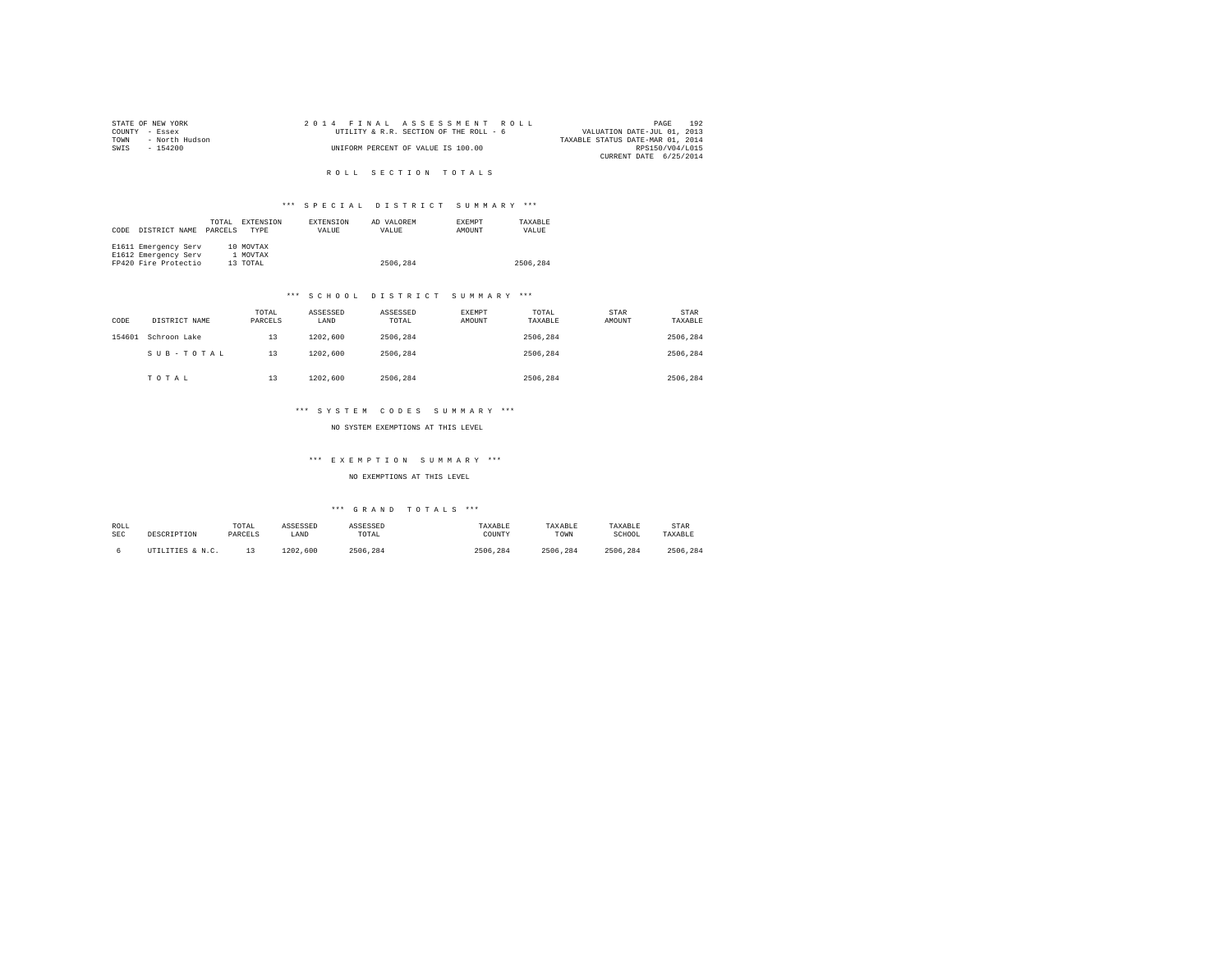| STATE OF NEW YORK |                |  |  |  |                                    | 2014 FINAL ASSESSMENT ROLL             |  |                                  |                 | PAGE | 192 |
|-------------------|----------------|--|--|--|------------------------------------|----------------------------------------|--|----------------------------------|-----------------|------|-----|
| COUNTY - Essex    |                |  |  |  |                                    | UTILITY & R.R. SECTION OF THE ROLL - 6 |  | VALUATION DATE-JUL 01, 2013      |                 |      |     |
| TOWN              | - North Hudson |  |  |  |                                    |                                        |  | TAXABLE STATUS DATE-MAR 01, 2014 |                 |      |     |
| SWIS              | $-154200$      |  |  |  | UNIFORM PERCENT OF VALUE IS 100.00 |                                        |  |                                  | RPS150/V04/L015 |      |     |
|                   |                |  |  |  |                                    |                                        |  | CURRENT DATE 6/25/2014           |                 |      |     |
|                   |                |  |  |  |                                    |                                        |  |                                  |                 |      |     |

R O L L S E C T I O N T O T A L S

## \*\*\* S P E C I A L D I S T R I C T S U M M A R Y \*\*\*

| CODE | DISTRICT NAME        | TOTAL<br>PARCELS | EXTENSION<br><b>TYPE</b> | <b>EXTENSION</b><br>VALUE | AD VALOREM<br>VALUE | <b>EXEMPT</b><br>AMOUNT | TAXARLE<br>VALUE |
|------|----------------------|------------------|--------------------------|---------------------------|---------------------|-------------------------|------------------|
|      | E1611 Emergency Serv |                  | 10 MOVTAX                |                           |                     |                         |                  |
|      | E1612 Emergency Serv |                  | 1 MOVTAX                 |                           |                     |                         |                  |
|      | FP420 Fire Protectio |                  | 13 TOTAL                 |                           | 2506.284            |                         | 2506.284         |

#### \*\*\* S C H O O L D I S T R I C T S U M M A R Y \*\*\*

| CODE   | DISTRICT NAME | TOTAL<br>PARCELS | ASSESSED<br>LAND | ASSESSED<br>TOTAL | EXEMPT<br>AMOUNT | TOTAL<br>TAXABLE | STAR<br>AMOUNT | STAR<br>TAXABLE |
|--------|---------------|------------------|------------------|-------------------|------------------|------------------|----------------|-----------------|
| 154601 | Schroon Lake  | 13               | 1202,600         | 2506.284          |                  | 2506.284         |                | 2506.284        |
|        | SUB-TOTAL     | 13               | 1202,600         | 2506.284          |                  | 2506.284         |                | 2506.284        |
|        | TOTAL         | 13               | 1202,600         | 2506.284          |                  | 2506.284         |                | 2506.284        |

#### \*\*\* S Y S T E M C O D E S S U M M A R Y \*\*\*

NO SYSTEM EXEMPTIONS AT THIS LEVEL

## \*\*\* E X E M P T I O N S U M M A R Y \*\*\*

NO EXEMPTIONS AT THIS LEVEL

| ROLL<br><b>SEC</b> | DESCRIPTION      | TOTAL<br>PARCELS | ASSESSED<br>LAND | ASSESSED<br>TOTAL | TAXABLE<br>COUNTY | TAXABLE<br>TOWN | TAXABLE<br>SCHOOL | <b>STAR</b><br>TAXABLE |
|--------------------|------------------|------------------|------------------|-------------------|-------------------|-----------------|-------------------|------------------------|
|                    | UTILITIES & N.C. |                  | 1202<br>.600     | 2506.284          | 2506.<br>.284     | 2506<br>.284    | 2506.284          | 2506.284               |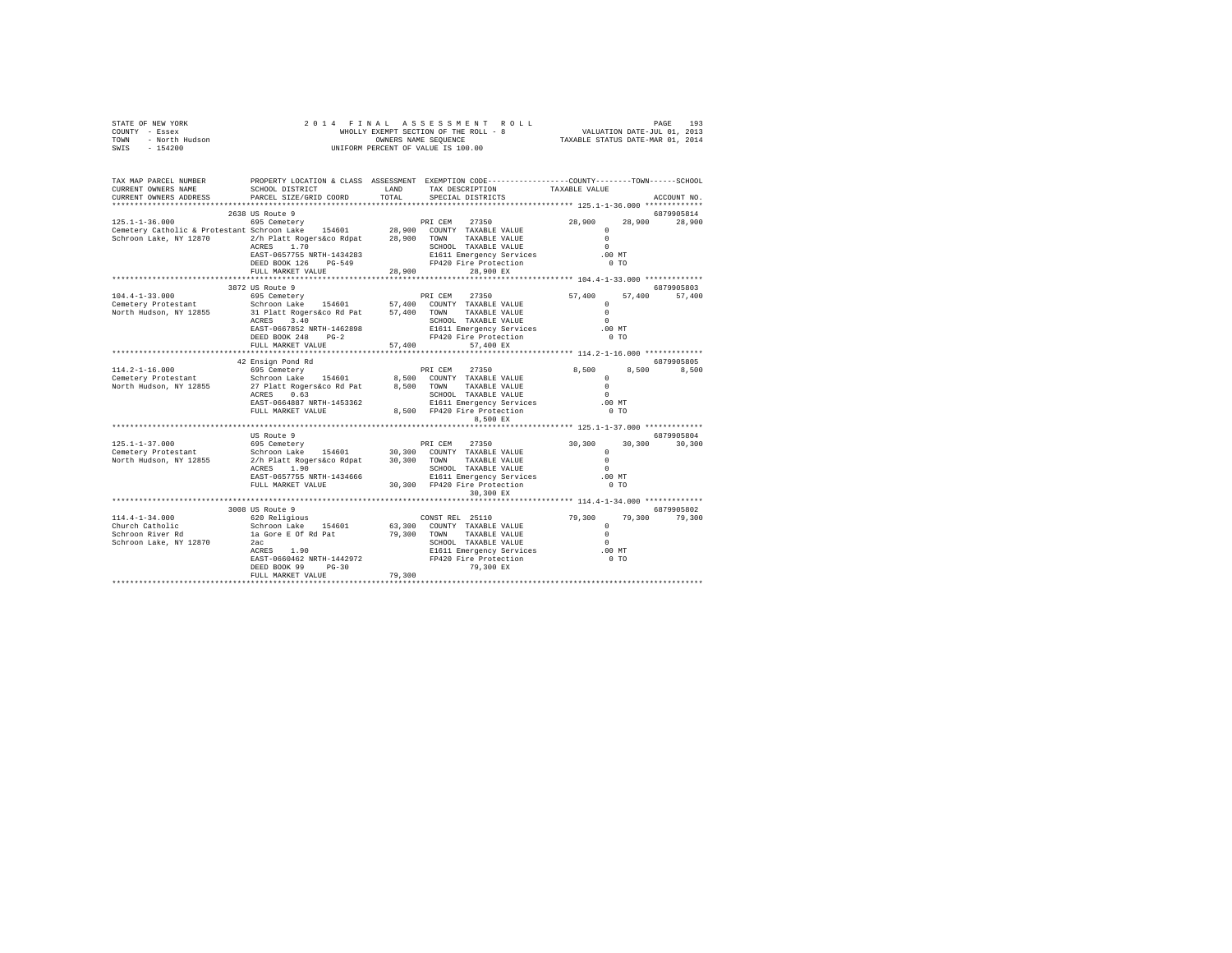| F NEW YORK<br>- Essex<br>- North Hudson<br>- 154200<br>STATE OF NEW YORK<br>COUNTY - Essex<br>TOWN<br>SWIS | PAGE 193<br>VALUATION DATE-JUL 01, 2013<br>TAXABLE STATUS DATE-MAR 01, 2014<br>2014 FINAL<br>ASSESSMENT<br>ROLL.<br>WHOLLY EXEMPT SECTION OF THE ROLL - 8<br>OWNERS NAME SEOUENCE<br>UNIFORM PERCENT OF VALUE IS 100.00 |                            |                         |                                                                                                                                                     |  |                                                        |                            |                      |  |
|------------------------------------------------------------------------------------------------------------|-------------------------------------------------------------------------------------------------------------------------------------------------------------------------------------------------------------------------|----------------------------|-------------------------|-----------------------------------------------------------------------------------------------------------------------------------------------------|--|--------------------------------------------------------|----------------------------|----------------------|--|
| TAX MAP PARCEL NUMBER<br>CURRENT OWNERS NAME<br>CURRENT OWNERS ADDRESS                                     | PROPERTY LOCATION & CLASS ASSESSMENT EXEMPTION CODE----------------COUNTY--------TOWN-----SCHOOL<br>SCHOOL DISTRICT<br>PARCEL SIZE/GRID COORD                                                                           | LAND<br>TOTAL              |                         | TAX DESCRIPTION<br>SPECIAL DISTRICTS                                                                                                                |  | TAXABLE VALUE                                          |                            | ACCOUNT NO.          |  |
|                                                                                                            | 2638 US Route 9                                                                                                                                                                                                         |                            |                         |                                                                                                                                                     |  |                                                        |                            | 6879905814           |  |
| $125.1 - 1 - 36.000$<br>Cemetery Catholic & Protestant Schroon Lake 154601<br>Schroon Lake, NY 12870       | 695 Cemetery<br>2/h Platt Rogers&co Rdpat<br>1.70<br>ACRES<br>EAST-0657755 NRTH-1434283                                                                                                                                 | 28,900                     | PRI CEM<br>TOWN         | 27350<br>28,900 COUNTY TAXABLE VALUE<br>TAXABLE VALUE<br>SCHOOL TAXABLE VALUE<br>E1611 Emergency Services                                           |  | 28,900<br>$\Omega$<br>$\Omega$<br>$\Omega$<br>$.00$ MT | 28,900                     | 28,900               |  |
|                                                                                                            | DEED BOOK 126<br>$PG-549$                                                                                                                                                                                               |                            |                         | FP420 Fire Protection                                                                                                                               |  |                                                        | 0.70                       |                      |  |
|                                                                                                            | FULL MARKET VALUE                                                                                                                                                                                                       | 28,900                     |                         | 28,900 EX                                                                                                                                           |  |                                                        |                            |                      |  |
|                                                                                                            |                                                                                                                                                                                                                         | *************              |                         | .***************************** 104.4-1-33.000 *************                                                                                         |  |                                                        |                            |                      |  |
| $104.4 - 1 - 33.000$<br>Cemetery Protestant<br>North Hudson, NY 12855                                      | 3872 US Route 9<br>695 Cemetery<br>Schroon Lake 154601<br>31 Platt Rogers&co Rd Pat<br>ACRES 3.40<br>EAST-0667852 NRTH-1462898                                                                                          | 57,400<br>57,400           | PRI CEM<br>TOWN         | 27350<br>COUNTY TAXABLE VALUE<br>TAXABLE VALUE<br>SCHOOL TAXABLE VALUE<br>E1611 Emergency Services                                                  |  | 57,400<br>0<br>$\Omega$<br>$\Omega$<br>$.00$ MT        | 57,400                     | 6879905803<br>57,400 |  |
|                                                                                                            | DEED BOOK 248<br>$PG-2$<br>FULL MARKET VALUE<br>**************************                                                                                                                                              | 57,400                     |                         | FP420 Fire Protection<br>57,400 EX                                                                                                                  |  |                                                        | 0 <sub>T</sub>             |                      |  |
|                                                                                                            | 42 Ensign Pond Rd                                                                                                                                                                                                       |                            |                         |                                                                                                                                                     |  |                                                        |                            | 6879905805           |  |
| 114.2-1-16.000<br>Cemetery Protestant<br>North Hudson, NY 12855                                            | 695 Cemetery<br>154601<br>Schroon Lake<br>27 Platt Rogers&co Rd Pat<br>ACRES<br>0.63<br>EAST-0664887 NRTH-1453362<br>FULL MARKET VALUE                                                                                  | 8,500 TOWN                 | PRI CEM                 | 27350<br>8,500 COUNTY TAXABLE VALUE<br>TAXABLE VALUE<br>SCHOOL TAXABLE VALUE<br>E1611 Emergency Services<br>8,500 FP420 Fire Protection<br>8.500 EX |  | 8,500<br>$\Omega$<br>$\Omega$<br>$\Omega$<br>$.00$ MT  | 8,500<br>0 <sub>T</sub>    | 8,500                |  |
|                                                                                                            |                                                                                                                                                                                                                         |                            |                         |                                                                                                                                                     |  | ********* 125.1-1-37.000 *************                 |                            |                      |  |
|                                                                                                            | US Route 9                                                                                                                                                                                                              |                            |                         |                                                                                                                                                     |  |                                                        |                            | 6879905804           |  |
| $125.1 - 1 - 37.000$<br>Cemetery Protestant<br>North Hudson, NY 12855                                      | 695 Cemetery<br>Schroon Lake 154601<br>2/h Platt Rogers&co Rdpat<br>ACRES 1.90<br>EAST-0657755 NRTH-1434666<br>FULL MARKET VALUE                                                                                        | 30,300<br>30,300           | PRI CEM<br>TOWN         | 27350<br>COUNTY TAXABLE VALUE<br>TAXABLE VALUE<br>SCHOOL TAXABLE VALUE<br>E1611 Emergency Services<br>30,300 FP420 Fire Protection<br>30,300 EX     |  | 30,300<br>$\Omega$<br>$\Omega$<br>$\Omega$             | 30,300<br>$.00$ MT<br>0.70 | 30,300               |  |
|                                                                                                            |                                                                                                                                                                                                                         |                            |                         |                                                                                                                                                     |  |                                                        |                            |                      |  |
|                                                                                                            | 3008 US Route 9                                                                                                                                                                                                         |                            |                         |                                                                                                                                                     |  |                                                        |                            | 6879905802           |  |
| $114.4 - 1 - 34.000$<br>Church Catholic<br>Schroon River Rd<br>Schroon Lake, NY 12870                      | 620 Religious<br>Schroon Lake 154601<br>la Gore E Of Rd Pat<br>2ac<br>ACRES<br>1.90<br>EAST-0660462 NRTH-1442972 FP420 Fire Protection<br>DEED BOOK 99<br>$PG-30$<br>FULL MARKET VALUE                                  | 63,300<br>79,300<br>79,300 | CONST REL 25110<br>TOWN | COUNTY TAXABLE VALUE<br>TAXABLE VALUE<br>SCHOOL TAXABLE VALUE<br>E1611 Emergency Services<br>79,300 EX                                              |  | 79,300<br>$\circ$<br>$\Omega$<br>$\Omega$<br>.00MT     | 79,300<br>$0$ TO           | 79,300               |  |
|                                                                                                            |                                                                                                                                                                                                                         |                            |                         |                                                                                                                                                     |  |                                                        |                            |                      |  |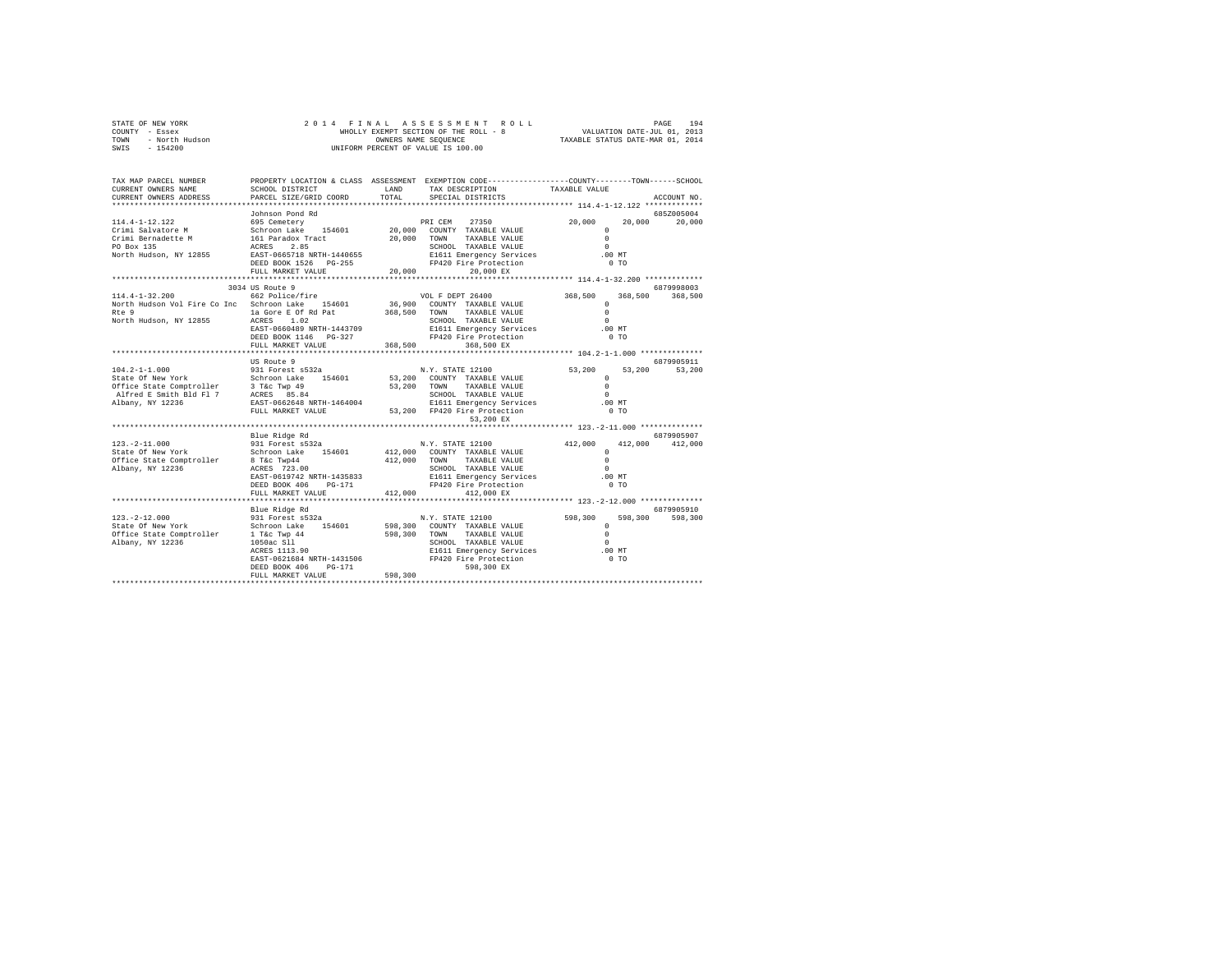|      | STATE OF NEW YORK |  |  |  |  | 2014 FINAL ASSESSMENT ROLL            |                                  | PAGE                        | 194 |
|------|-------------------|--|--|--|--|---------------------------------------|----------------------------------|-----------------------------|-----|
|      | COUNTY - Essex    |  |  |  |  | WHOLLY EXEMPT SECTION OF THE ROLL - 8 |                                  | VALUATION DATE-JUL 01, 2013 |     |
| TOWN | - North Hudson    |  |  |  |  | OWNERS NAME SEOUENCE                  | TAXABLE STATUS DATE-MAR 01, 2014 |                             |     |
| SWIS | - 154200          |  |  |  |  | UNIFORM PERCENT OF VALUE IS 100.00    |                                  |                             |     |

| TAX MAP PARCEL NUMBER<br>CURRENT OWNERS NAME                                                                                                                                                                                               | SCHOOL DISTRICT                                          | LAND            | PROPERTY LOCATION & CLASS ASSESSMENT EXEMPTION CODE---------------COUNTY-------TOWN-----SCHOOL<br>TAX DESCRIPTION TAXABLE VALUE |                                                          |                 |
|--------------------------------------------------------------------------------------------------------------------------------------------------------------------------------------------------------------------------------------------|----------------------------------------------------------|-----------------|---------------------------------------------------------------------------------------------------------------------------------|----------------------------------------------------------|-----------------|
| CURRENT OWNERS ADDRESS                                                                                                                                                                                                                     | PARCEL SIZE/GRID COORD                                   | TOTAL           | SPECIAL DISTRICTS                                                                                                               |                                                          | ACCOUNT NO.     |
|                                                                                                                                                                                                                                            |                                                          |                 |                                                                                                                                 |                                                          | 685Z005004      |
|                                                                                                                                                                                                                                            |                                                          |                 |                                                                                                                                 | 20,000                                                   | 20,000 20,000   |
|                                                                                                                                                                                                                                            |                                                          |                 |                                                                                                                                 | $\circ$                                                  |                 |
|                                                                                                                                                                                                                                            |                                                          |                 |                                                                                                                                 | $\Omega$                                                 |                 |
|                                                                                                                                                                                                                                            |                                                          |                 |                                                                                                                                 | $\Omega$                                                 |                 |
| 114.4-1-12.122 Johnson Pond Rd<br>Crimi Salvatore M (SS Cemetery 154601 20,000 COUNTY TAXABLE VALUE<br>Crimi Bernadette M 161 Paradox Tract 20,000 COUNTY TAXABLE VALUE<br>CP BOX 135 ACRES 2.85<br>PO BOX 135 RAST-0665718 NRTH-14406     |                                                          |                 |                                                                                                                                 | .00 MT                                                   |                 |
|                                                                                                                                                                                                                                            | DEED BOOK 1526 PG-255                                    |                 | FP420 Fire Protection                                                                                                           | 0 <sub>T</sub>                                           |                 |
|                                                                                                                                                                                                                                            | FULL MARKET VALUE                                        | 20,000          | 20,000 EX                                                                                                                       |                                                          |                 |
|                                                                                                                                                                                                                                            |                                                          | *************** |                                                                                                                                 | *************************** 114.4-1-32.200 ************* |                 |
|                                                                                                                                                                                                                                            | 3034 US Route 9                                          |                 |                                                                                                                                 |                                                          | 6879998003      |
|                                                                                                                                                                                                                                            |                                                          |                 |                                                                                                                                 | 368,500                                                  | 368,500 368,500 |
|                                                                                                                                                                                                                                            |                                                          |                 |                                                                                                                                 | $\mathbf{r}$                                             |                 |
| Rte 9                                                                                                                                                                                                                                      | 1a Gore E Of Rd Pat 368,500 TOWN                         |                 | TAXABLE VALUE                                                                                                                   | $\Omega$                                                 |                 |
| North Hudson, NY 12855                                                                                                                                                                                                                     | ACRES 1.02                                               |                 | SCHOOL TAXABLE VALUE                                                                                                            | $\Omega$                                                 |                 |
|                                                                                                                                                                                                                                            | EAST-0660489 NRTH-1443709                                |                 | E1611 Emergency Services                                                                                                        | $.00$ MT                                                 |                 |
|                                                                                                                                                                                                                                            | DEED BOOK 1146 PG-327                                    |                 | FP420 Fire Protection                                                                                                           | 0 <sub>T</sub>                                           |                 |
|                                                                                                                                                                                                                                            | FULL MARKET VALUE                                        | 368,500         | 368,500 EX                                                                                                                      |                                                          |                 |
|                                                                                                                                                                                                                                            |                                                          |                 |                                                                                                                                 |                                                          |                 |
|                                                                                                                                                                                                                                            | US Route 9                                               |                 |                                                                                                                                 |                                                          | 6879905911      |
|                                                                                                                                                                                                                                            |                                                          |                 | N.Y. STATE 12100                                                                                                                | 53,200<br>53,200                                         | 53,200          |
| 104.2-1-1.000<br>State Of New York Schroom Lake 154601 53,200 COUNTY TAXABLE VALUE<br>Office State Comptroller 3 T&c Twp 49 53,200 COUNTY TAXABLE VALUE<br>Alfred E Smith Bld F1 7 ACRES 85.84<br>Albany, NY 12236 5.200 EAST-0662648 NRTH |                                                          |                 |                                                                                                                                 | $\circ$                                                  |                 |
|                                                                                                                                                                                                                                            |                                                          |                 |                                                                                                                                 | $\Omega$                                                 |                 |
|                                                                                                                                                                                                                                            |                                                          |                 |                                                                                                                                 | $\Omega$                                                 |                 |
|                                                                                                                                                                                                                                            |                                                          |                 | E1611 Emergency Services .00 MT                                                                                                 |                                                          |                 |
|                                                                                                                                                                                                                                            | FULL MARKET VALUE 53,200 FP420 Fire Protection           |                 |                                                                                                                                 | 0 <sub>T</sub>                                           |                 |
|                                                                                                                                                                                                                                            |                                                          |                 | 53,200 EX                                                                                                                       |                                                          |                 |
|                                                                                                                                                                                                                                            |                                                          |                 |                                                                                                                                 |                                                          |                 |
|                                                                                                                                                                                                                                            | Blue Ridge Rd                                            |                 |                                                                                                                                 |                                                          | 6879905907      |
| 123. - 2-11.000                                                                                                                                                                                                                            | 931 Forest s532a                                         |                 | N.Y. STATE 12100                                                                                                                | 412,000 412,000 412,000                                  |                 |
| State Of New York                                                                                                                                                                                                                          | Schroon Lake 154601 412,000 COUNTY TAXABLE VALUE         |                 |                                                                                                                                 | $\Omega$                                                 |                 |
| Office State Comptroller                                                                                                                                                                                                                   | 8 T&c Twp44<br>ACRES 723.00<br>EAST-0619742 NRTH-1435833 |                 | 412,000 TOWN TAXABLE VALUE                                                                                                      | $\Omega$                                                 |                 |
| Albany, NY 12236                                                                                                                                                                                                                           |                                                          |                 | SCHOOL TAXABLE VALUE                                                                                                            | $\Omega$                                                 |                 |
|                                                                                                                                                                                                                                            |                                                          |                 | E1611 Emergency Services                                                                                                        | $.00$ MT                                                 |                 |
|                                                                                                                                                                                                                                            | DEED BOOK 406 PG-171                                     |                 |                                                                                                                                 | 0 <sub>T</sub>                                           |                 |
|                                                                                                                                                                                                                                            | FULL MARKET VALUE                                        | 412,000         | 412,000 EX                                                                                                                      |                                                          |                 |
|                                                                                                                                                                                                                                            |                                                          |                 |                                                                                                                                 |                                                          |                 |
|                                                                                                                                                                                                                                            | Blue Ridge Rd                                            |                 |                                                                                                                                 |                                                          | 6879905910      |
| $123. - 2 - 12.000$                                                                                                                                                                                                                        |                                                          |                 |                                                                                                                                 |                                                          | 598,300         |
| State Of New York                                                                                                                                                                                                                          |                                                          |                 |                                                                                                                                 |                                                          |                 |
|                                                                                                                                                                                                                                            |                                                          |                 |                                                                                                                                 | $\Omega$                                                 |                 |
| Albany, NY 12236                                                                                                                                                                                                                           |                                                          |                 |                                                                                                                                 | $\Omega$                                                 |                 |
|                                                                                                                                                                                                                                            |                                                          |                 | E1611 Emergency Services .00 MT                                                                                                 |                                                          |                 |
|                                                                                                                                                                                                                                            |                                                          |                 |                                                                                                                                 | 0 <sub>T</sub>                                           |                 |
|                                                                                                                                                                                                                                            | DEED BOOK 406<br>PG-171                                  |                 | 598,300 EX                                                                                                                      |                                                          |                 |
|                                                                                                                                                                                                                                            | FULL MARKET VALUE                                        | 598,300         |                                                                                                                                 |                                                          |                 |
|                                                                                                                                                                                                                                            |                                                          |                 |                                                                                                                                 |                                                          |                 |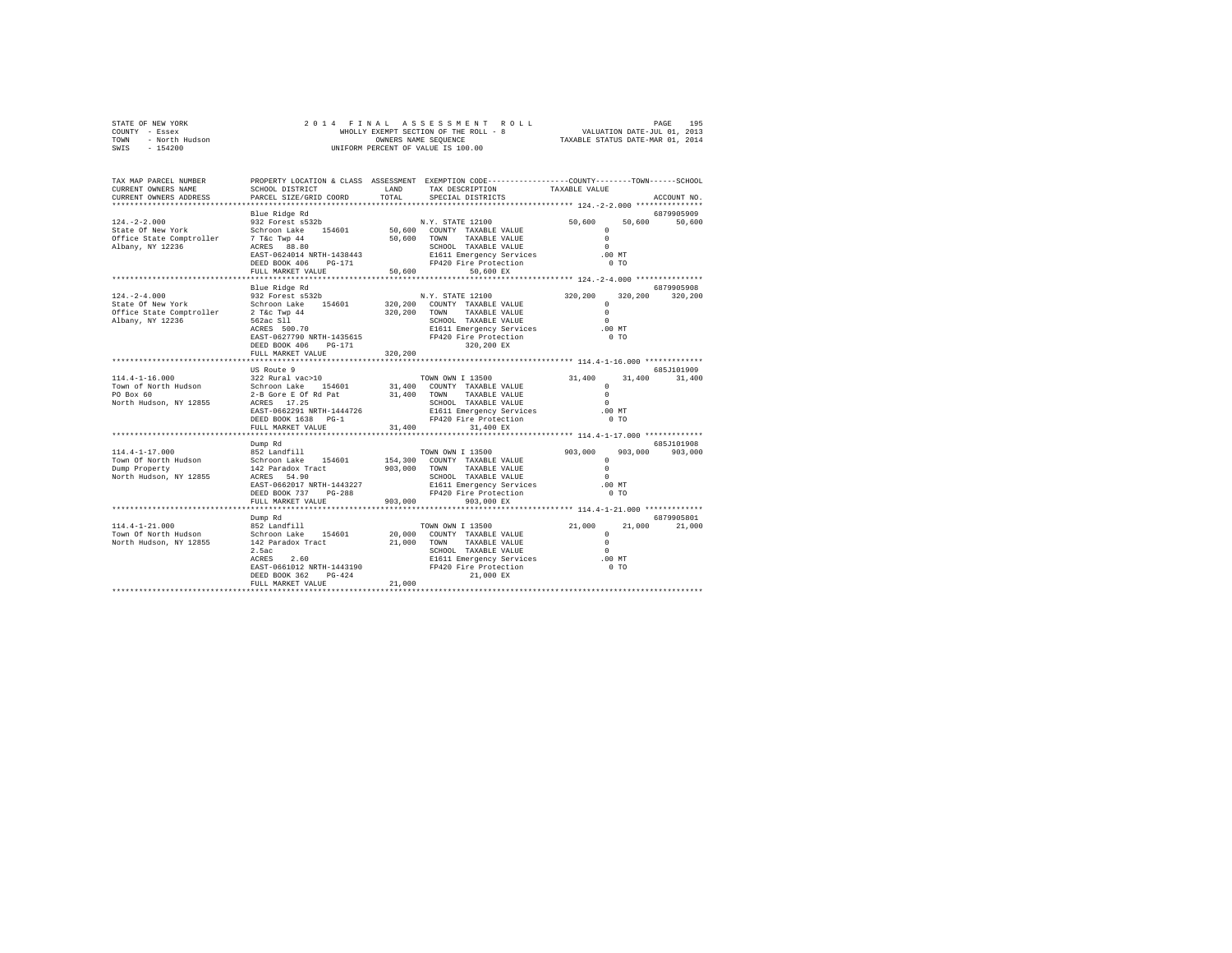|      | STATE OF NEW YORK | 2014 FINAL ASSESSMENT ROLL            | 195<br>PAGE                      |
|------|-------------------|---------------------------------------|----------------------------------|
|      | COUNTY - Essex    | WHOLLY EXEMPT SECTION OF THE ROLL - 8 | VALUATION DATE-JUL 01, 2013      |
| TOWN | - North Hudson    | OWNERS NAME SEOUENCE                  | TAXABLE STATUS DATE-MAR 01, 2014 |
| SWIS | - 154200          | UNIFORM PERCENT OF VALUE IS 100.00    |                                  |

| TAX MAP PARCEL NUMBER               |                                                  |              | PROPERTY LOCATION & CLASS ASSESSMENT EXEMPTION CODE---------------COUNTY-------TOWN-----SCHOOL |                     |               |
|-------------------------------------|--------------------------------------------------|--------------|------------------------------------------------------------------------------------------------|---------------------|---------------|
| CURRENT OWNERS NAME                 | SCHOOL DISTRICT                                  | LAND         | TAX DESCRIPTION                                                                                | TAXABLE VALUE       |               |
| CURRENT OWNERS ADDRESS              | PARCEL SIZE/GRID COORD                           | TOTAL        | SPECIAL DISTRICTS                                                                              |                     | ACCOUNT NO.   |
|                                     | *************************                        |              |                                                                                                |                     |               |
|                                     | Blue Ridge Rd                                    |              |                                                                                                |                     | 6879905909    |
| $124. - 2 - 2.000$                  | 932 Forest s532b                                 |              | N.Y. STATE 12100                                                                               | 50,600              | 50,600 50,600 |
| State Of New York                   | Schroon Lake 154601                              |              | 50,600 COUNTY TAXABLE VALUE                                                                    | $\Omega$            |               |
| Office State Comptroller            | 7 T&C Twp 44                                     |              | 50,600 TOWN TAXABLE VALUE                                                                      | $\Omega$            |               |
| Albany, NY 12236                    | ACRES 88.80                                      |              | SCHOOL TAXABLE VALUE                                                                           | $\Omega$            |               |
|                                     | EAST-0624014 NRTH-1438443                        |              | E1611 Emergency Services                                                                       | .00 MT              |               |
|                                     | DEED BOOK 406<br>PG-171                          |              | FP420 Fire Protection                                                                          | 0 <sub>T</sub>      |               |
|                                     | FULL MARKET VALUE                                | 50,600       | 50,600 EX                                                                                      |                     |               |
|                                     | Blue Ridge Rd                                    |              |                                                                                                |                     | 6879905908    |
| $124. - 2 - 4.000$                  | 932 Forest s532b                                 |              | N.Y. STATE 12100                                                                               | 320,200<br>320,200  | 320,200       |
| State Of New York                   |                                                  |              | 320,200 COUNTY TAXABLE VALUE                                                                   | $\Omega$            |               |
| Office State Comptroller            | Schroon Lake 154601<br>2 T&c Twp 44              |              | 320,200 TOWN TAXABLE VALUE                                                                     | $\circ$             |               |
| Albany, NY 12236                    |                                                  |              | SCHOOL TAXABLE VALUE                                                                           | $\Omega$            |               |
|                                     | 562ac S11<br>ACRES 500.70                        |              | E1611 Emergency Services                                                                       | $.00$ MT            |               |
|                                     | EAST-0627790 NRTH-1435615                        |              | FP420 Fire Protection                                                                          | $0$ TO              |               |
|                                     | DEED BOOK 406<br>PG-171                          |              | 320,200 EX                                                                                     |                     |               |
|                                     | FULL MARKET VALUE                                | 320,200      |                                                                                                |                     |               |
|                                     | *************************                        |              |                                                                                                |                     |               |
|                                     | US Route 9                                       |              |                                                                                                |                     | 6857101909    |
| $114.4 - 1 - 16.000$                | $322$ Rural vac>10<br>Schroon Lake 154601 31,400 |              | TOWN OWN I 13500                                                                               | 31,400<br>31,400    | 31,400        |
| Town of North Hudson                |                                                  |              | 31,400 COUNTY TAXABLE VALUE                                                                    | $\Omega$            |               |
| PO Box 60<br>North Hudson, NY 12855 | 2-B Gore E Of Rd Pat 31,400 TOWN<br>ACRES 17.25  |              | TAXABLE VALUE<br>SCHOOL TAXABLE VALUE                                                          | $\circ$<br>$\Omega$ |               |
|                                     | EAST-0662291 NRTH-1444726                        |              | E1611 Emergency Services                                                                       | $.00$ MT            |               |
|                                     | DEED BOOK 1638 PG-1                              |              | FP420 Fire Protection                                                                          | 0 <sub>T</sub>      |               |
|                                     | FULL MARKET VALUE                                | 31,400       | 31,400 EX                                                                                      |                     |               |
|                                     |                                                  |              |                                                                                                |                     |               |
|                                     | Dump Rd                                          |              |                                                                                                |                     | 685J101908    |
| $114.4 - 1 - 17.000$                | 852 Landfill                                     |              | TOWN OWN I 13500                                                                               | 903,000<br>903,000  | 903,000       |
| Town Of North Hudson                | Schroon Lake 154601                              |              | 154,300 COUNTY TAXABLE VALUE                                                                   | $\Omega$            |               |
| Dump Property                       | 142 Paradox Tract                                | 903,000 TOWN | TAXABLE VALUE                                                                                  | $\Omega$            |               |
| North Hudson, NY 12855              | ACRES 54.90                                      |              | SCHOOL TAXABLE VALUE                                                                           | $\Omega$            |               |
|                                     | EAST-0662017 NRTH-1443227                        |              | E1611 Emergency Services                                                                       | $.00$ MT            |               |
|                                     | DEED BOOK 737<br>$PG-288$                        |              | FP420 Fire Protection                                                                          | 0T                  |               |
|                                     | FULL MARKET VALUE                                | 903,000      | 903,000 EX                                                                                     |                     |               |
|                                     | Dump Rd                                          |              |                                                                                                |                     | 6879905801    |
| $114.4 - 1 - 21.000$                | 852 Landfill                                     |              | TOWN OWN I 13500                                                                               | 21,000<br>21,000    | 21,000        |
| Town Of North Hudson                | Schroon Lake 154601                              |              | 20,000 COUNTY TAXABLE VALUE                                                                    | $^{\circ}$          |               |
| North Hudson, NY 12855              | 142 Paradox Tract                                | 21,000 TOWN  | TAXABLE VALUE                                                                                  | $\circ$             |               |
|                                     | 2.5ac                                            |              | SCHOOL TAXABLE VALUE                                                                           | $\Omega$            |               |
|                                     | 2.60<br>ACRES                                    |              | E1611 Emergency Services                                                                       | $.00$ MT            |               |
|                                     | EAST-0661012 NRTH-1443190                        |              | FP420 Fire Protection                                                                          | $0$ TO              |               |
|                                     | DEED BOOK 362<br>$PG-424$                        |              | 21,000 EX                                                                                      |                     |               |
|                                     | FULL MARKET VALUE                                | 21,000       |                                                                                                |                     |               |
|                                     |                                                  |              |                                                                                                |                     |               |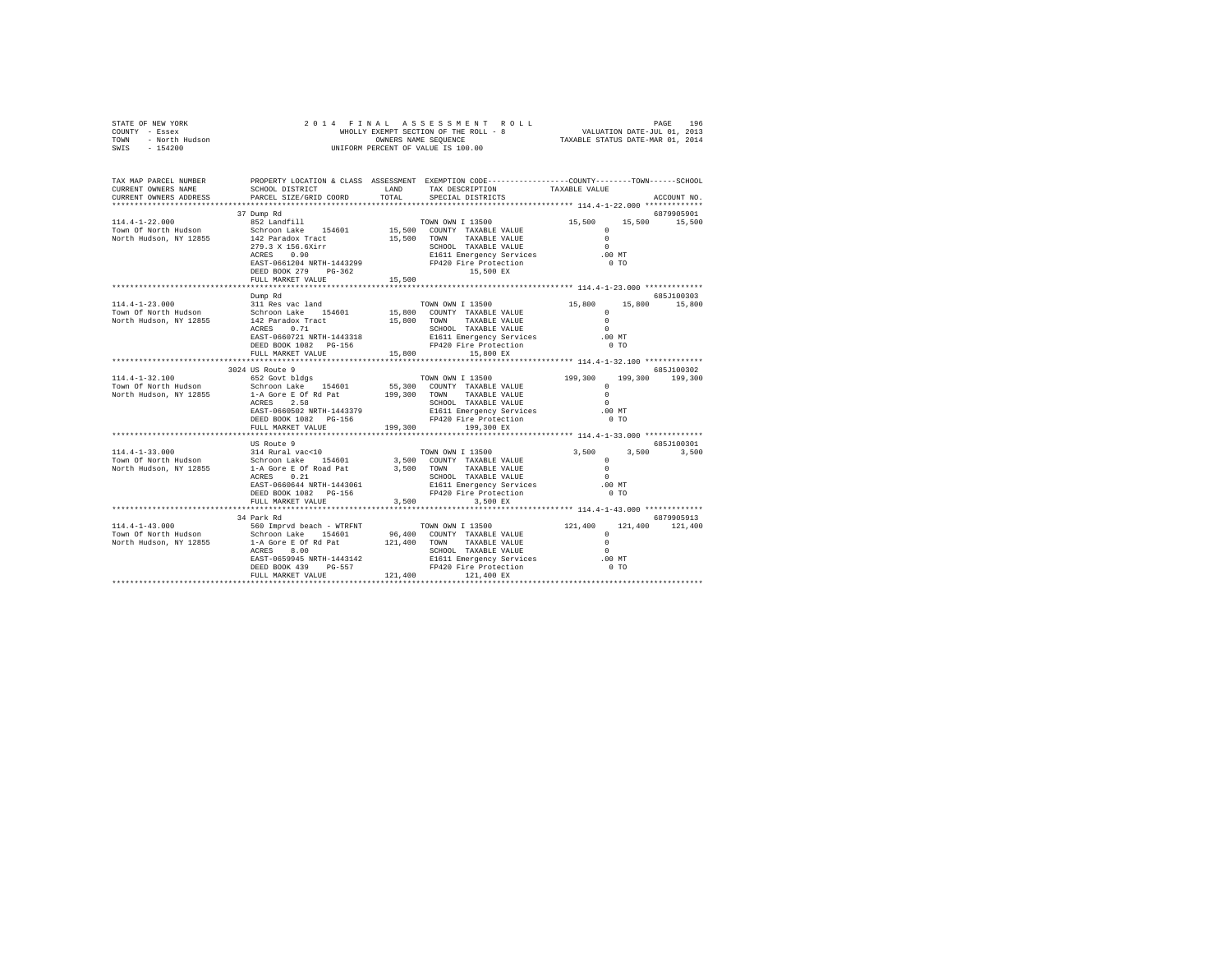| $\begin{array}{cccccccccccc} \texttt{STATE OF NEW YORK} & & & & & & & & & & 2\ 0 & 1 & 4 & F\ \texttt{IMAL} & \texttt{AS} & \texttt{S} & \texttt{S} & \texttt{S} & \texttt{S} & \texttt{M} & \texttt{R} & \texttt{O} & \texttt{L} & \texttt{D} & \texttt{R} & \texttt{D} & \texttt{R} & \texttt{D} & \texttt{R} & \texttt{D} & \texttt{D} & \texttt{D} & \texttt{D} & \texttt{D} & \texttt{D} & \texttt{D} & \texttt{D} & \texttt{D} & \text$ |                                                                                                                                                                                                                                       |                                                                                               |                                                                                                           |        |                           |
|-----------------------------------------------------------------------------------------------------------------------------------------------------------------------------------------------------------------------------------------------------------------------------------------------------------------------------------------------------------------------------------------------------------------------------------------------|---------------------------------------------------------------------------------------------------------------------------------------------------------------------------------------------------------------------------------------|-----------------------------------------------------------------------------------------------|-----------------------------------------------------------------------------------------------------------|--------|---------------------------|
| TAX MAP PARCEL NUMBER PROPERTY LOCATION & CLASS ASSESSMENT EXEMPTION CODE--------------COUNTY-------TOWN-----SCHOOL<br>CURRENT OWNERS NAME<br>CURRENT OWNERS ADDRESS PARCEL SIZE/GRID COORD TOTAL                                                                                                                                                                                                                                             | SCHOOL DISTRICT<br>LAND TAX DESCRIPTION<br>37 Dump Rd                                                                                                                                                                                 | SPECIAL DISTRICTS                                                                             | TAXABLE VALUE                                                                                             |        | ACCOUNT NO.<br>6879905901 |
| $114.4 - 1 - 22.000$                                                                                                                                                                                                                                                                                                                                                                                                                          | 852 Landfill<br>$ACRES$ 0.90<br>15,500 15,500 15,500 15,500 15,500 15,500 15,500 EX                                                                                                                                                   | TOWN OWN I 13500                                                                              | 15,500 15,500 15,500                                                                                      |        |                           |
|                                                                                                                                                                                                                                                                                                                                                                                                                                               |                                                                                                                                                                                                                                       |                                                                                               |                                                                                                           |        |                           |
|                                                                                                                                                                                                                                                                                                                                                                                                                                               | Dump Rd                                                                                                                                                                                                                               |                                                                                               |                                                                                                           |        | 685.T100303               |
| $114.4 - 1 - 23.000$<br>114.4-1-23.000<br>Town of North Hudson<br>Schroon Lake 154601<br>North Hudson, NY 12855<br>142 Paradox Tract<br>15,800 TOWN TAXABLE VALUE<br>North Hudson, NY 12855<br>2CRES<br>2.71<br>2020101 TAXABLE VALUE<br>2CRES<br>2.71<br>2020101 TAXABLE VAL                                                                                                                                                                 | 311 Res vac land<br>ACRES 0.71 NORTH-1443318 . SCHOOL TAXABLE VALUE . 0<br>BAST-0660721NRTH-1443318 . E1611 Emergency Services00 MT<br>DEED BOOK 1082 PG-156 . FP420 Fire Protection . 0 TO<br>FULL MARKET VALUE $15.800$ $15.800$ EX | TOWN OWN I 13500                                                                              | 15,800 15,800 15,800<br>$\sim$ 0<br>$\sim$ 0                                                              |        |                           |
|                                                                                                                                                                                                                                                                                                                                                                                                                                               |                                                                                                                                                                                                                                       |                                                                                               |                                                                                                           |        |                           |
|                                                                                                                                                                                                                                                                                                                                                                                                                                               | 3024 US Route 9                                                                                                                                                                                                                       |                                                                                               |                                                                                                           |        | 685-7100302               |
| $114.4 - 1 - 32.100$<br>Town Of North Hudson<br>North Hudson, NY 12855                                                                                                                                                                                                                                                                                                                                                                        | 652 Govt bldgs<br>Schroon Lake 154601 55,300 COUNTY TAXABLE VALUE<br>1-A Gore E Of Rd Pat 199,300 TOWN TAXABLE VALUE<br>ACRES 2.58<br>EAST-0660502 NRTH-1443379<br>DEED BOOK 1082    PG-156<br>FULL MARKET VALUE 199,300 199,300 EX   | TOWN OWN I 13500<br>SCHOOL TAXABLE VALUE<br>E1611 Emergency Services<br>FP420 Fire Protection | 199,300 199,300 199,300<br>$\begin{array}{c} 0 \\ 0 \\ 0 \end{array}$<br>$\sim$ 0<br>$\sim$ 0<br>$.00$ MT | $0$ TO |                           |
|                                                                                                                                                                                                                                                                                                                                                                                                                                               |                                                                                                                                                                                                                                       |                                                                                               |                                                                                                           |        |                           |
| 114.4-1-33.000<br>Town Of North Hudson<br>North Hudson, NY 12855                                                                                                                                                                                                                                                                                                                                                                              | US Route 9<br>- 1.12.1.12<br>Schroon Lake 154601 3,500 COUNTY TAXABLE VALUE<br>1-A Gore E Of Road Pat 3,500 TOWN TAXABLE VALUE<br>1.4 Gore E Of Road Pat 3,500 TOWN TAXABLE VALUE                                                     |                                                                                               | $\sim$ 0<br>$\sim$<br>$.00$ MT                                                                            | $0$ TO | 685J100301                |
|                                                                                                                                                                                                                                                                                                                                                                                                                                               |                                                                                                                                                                                                                                       | 3,500 3,500 EX                                                                                |                                                                                                           |        |                           |
|                                                                                                                                                                                                                                                                                                                                                                                                                                               | 34 Park Rd                                                                                                                                                                                                                            |                                                                                               |                                                                                                           |        | 6879905913                |
|                                                                                                                                                                                                                                                                                                                                                                                                                                               |                                                                                                                                                                                                                                       |                                                                                               |                                                                                                           |        |                           |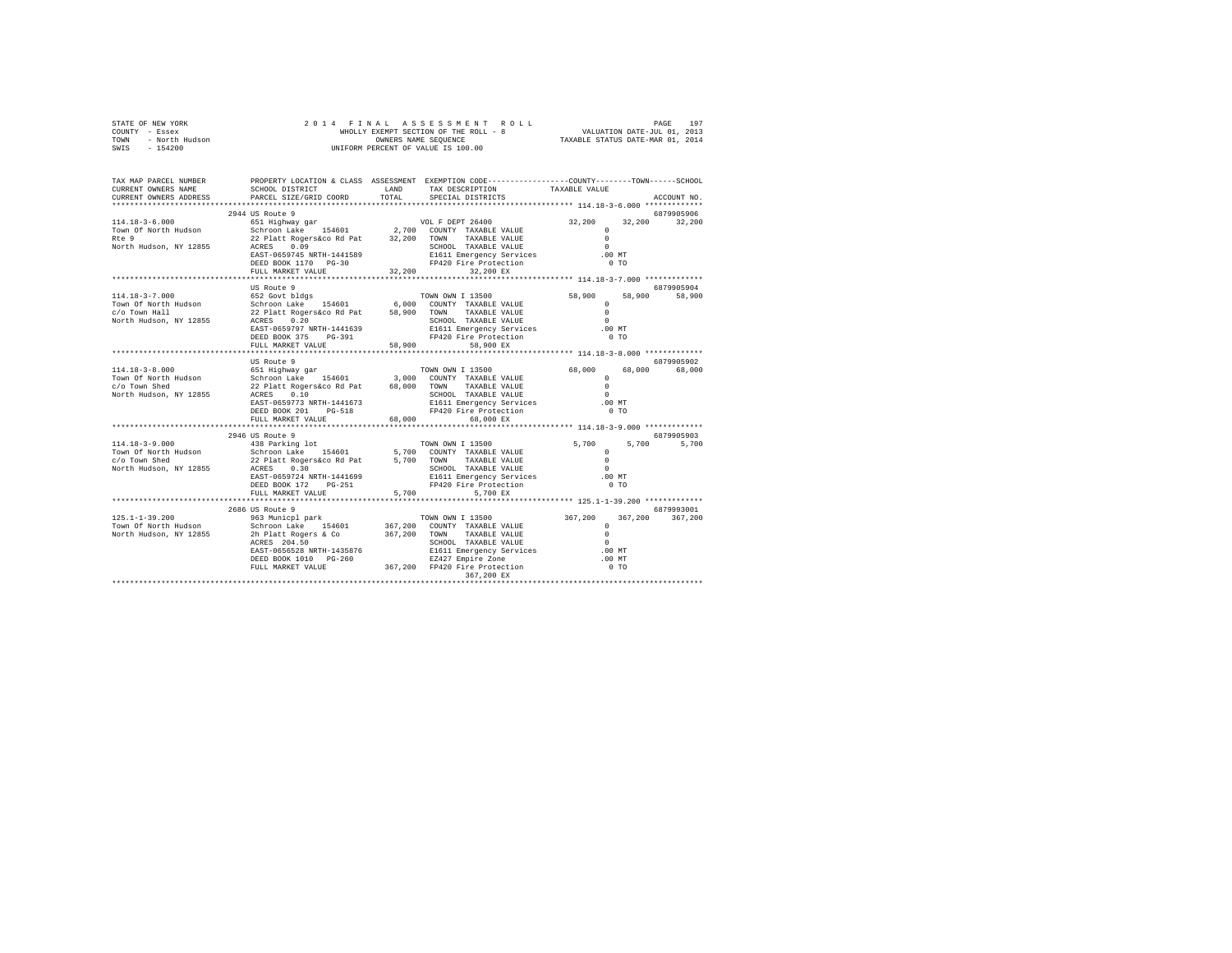| STATE OF NEW YORK      | 2014 FINAL ASSESSMENT ROLL            | 197<br>PAGE                      |
|------------------------|---------------------------------------|----------------------------------|
| - Essex<br>COUNTY      | WHOLLY EXEMPT SECTION OF THE ROLL - 8 | VALUATION DATE-JUL 01, 2013      |
| - North Hudson<br>TOWN | OWNERS NAME SEOUENCE                  | TAXABLE STATUS DATE-MAR 01, 2014 |
| $-154200$<br>SWIS      | UNIFORM PERCENT OF VALUE IS 100.00    |                                  |

| TAX MAP PARCEL NUMBER<br>CURRENT OWNERS NAME | PROPERTY LOCATION & CLASS ASSESSMENT EXEMPTION CODE----------------COUNTY-------TOWN------SCHOOL<br>SCHOOL DISTRICT                                                                                                                                  |        | LAND TAX DESCRIPTION                                     | TAXABLE VALUE                                           |               |
|----------------------------------------------|------------------------------------------------------------------------------------------------------------------------------------------------------------------------------------------------------------------------------------------------------|--------|----------------------------------------------------------|---------------------------------------------------------|---------------|
| CURRENT OWNERS ADDRESS                       | PARCEL SIZE/GRID COORD                                                                                                                                                                                                                               | TOTAL  | SPECIAL DISTRICTS                                        |                                                         | ACCOUNT NO.   |
|                                              | 2944 US Route 9                                                                                                                                                                                                                                      |        |                                                          |                                                         | 6879905906    |
|                                              |                                                                                                                                                                                                                                                      |        |                                                          | 32,200 32,200 32,200                                    |               |
|                                              |                                                                                                                                                                                                                                                      |        |                                                          | $\overline{0}$                                          |               |
|                                              |                                                                                                                                                                                                                                                      |        |                                                          | $\sim$ 0                                                |               |
|                                              | 114.18-3-6.000<br>Town Of North Hudson Schule (1980)<br>Town Of North Hudson Schule (1980)<br>Schule Register (1980)<br>Schule Register (1980)<br>Schule Rorth Hudson, NY 12855<br>North Hudson, NY 12855 (1980)<br>North Hudson, NY 12855           |        |                                                          |                                                         |               |
|                                              | EAST-0659745 NRTH-1441589                                                                                                                                                                                                                            |        | SCHOOL TAXABLE VALUE<br>E1611 Emergency Services (0 0 MT |                                                         |               |
|                                              |                                                                                                                                                                                                                                                      |        | FP420 Fire Protection                                    | 0 <sub>T</sub>                                          |               |
|                                              | FULL MARKET VALUE                                                                                                                                                                                                                                    |        | 32.200<br>32,200 EX                                      |                                                         |               |
|                                              |                                                                                                                                                                                                                                                      |        |                                                          |                                                         |               |
|                                              | US Route 9<br>114.18-3-7.000<br>TOWN ONT DI SCONE USE 154601 62<br>C/O Town Hudson Schroon Lake 154601 6,000 COUNTY TAXABLE VALUE<br>C/O TOWN TAXABLE VALUE 22 Platt Rogersáco Rd Pat 58,900 TOWN TAXABLE VALUE<br>North Hudson, NY 12855 ACRES 0.20 |        |                                                          |                                                         | 6879905904    |
|                                              |                                                                                                                                                                                                                                                      |        |                                                          | 58,900                                                  | 58,900 58,900 |
|                                              |                                                                                                                                                                                                                                                      |        |                                                          |                                                         |               |
|                                              |                                                                                                                                                                                                                                                      |        |                                                          | $\begin{array}{c} 0 \\ 0 \end{array}$                   |               |
|                                              |                                                                                                                                                                                                                                                      |        |                                                          | $\sim$                                                  |               |
|                                              |                                                                                                                                                                                                                                                      |        |                                                          | $.00$ MT                                                |               |
|                                              | ACRES 0.20<br>EAST-0659797 NRTH-1441639 SCHOOL TAXABLE VALUE<br>DEED BOOK 375 PG-391  FP420 Fire Protection                                                                                                                                          |        |                                                          | $0$ TO                                                  |               |
|                                              | FULL MARKET VALUE 58,900                                                                                                                                                                                                                             |        | 58,900 EX                                                |                                                         |               |
|                                              |                                                                                                                                                                                                                                                      |        |                                                          | ****************** 114.18-3-8.000 *************         |               |
|                                              | US Route 9                                                                                                                                                                                                                                           |        |                                                          |                                                         | 6879905902    |
|                                              |                                                                                                                                                                                                                                                      |        |                                                          |                                                         | 68,000 68,000 |
|                                              |                                                                                                                                                                                                                                                      |        |                                                          | $\Omega$                                                |               |
|                                              |                                                                                                                                                                                                                                                      |        |                                                          | $\Omega$                                                |               |
|                                              |                                                                                                                                                                                                                                                      |        |                                                          |                                                         |               |
|                                              |                                                                                                                                                                                                                                                      |        |                                                          |                                                         |               |
|                                              | DEED BOOK 201 PG-518                                                                                                                                                                                                                                 | 68,000 | FP420 Fire Protection                                    | $0$ TO                                                  |               |
|                                              | FULL MARKET VALUE                                                                                                                                                                                                                                    |        | 68,000 EX                                                |                                                         |               |
|                                              | 2946 US Route 9                                                                                                                                                                                                                                      |        |                                                          |                                                         | 6879905903    |
|                                              | 2946 US ROULE 9<br>438 Parking lot                                                                                                                                                                                                                   |        |                                                          | 5,700 5,700 5,700                                       |               |
|                                              |                                                                                                                                                                                                                                                      |        |                                                          | $\Omega$                                                |               |
| c/o Town Shed                                | 22 Platt Rogers&co Rd Pat 5,700 TOWN TAXABLE VALUE                                                                                                                                                                                                   |        |                                                          | $\Omega$                                                |               |
| North Hudson, NY 12855 ACRES 0.30            |                                                                                                                                                                                                                                                      |        | SCHOOL TAXABLE VALUE                                     | $\sim$                                                  |               |
|                                              | EAST-0659724 NRTH-1441699                                                                                                                                                                                                                            |        |                                                          | .00 MT                                                  |               |
|                                              | DEED BOOK 172<br>$PG-251$                                                                                                                                                                                                                            |        | E1611 Emergency Services<br>FP420 Fire Protection        | $0$ TO                                                  |               |
|                                              | FULL MARKET VALUE                                                                                                                                                                                                                                    |        | FP420 Fire Protection<br>5,700 5,700 EX                  |                                                         |               |
|                                              | *************************                                                                                                                                                                                                                            |        |                                                          | ************************** 125.1-1-39.200 ************* |               |
|                                              | 2686 US Route 9                                                                                                                                                                                                                                      |        |                                                          |                                                         | 6879993001    |
|                                              |                                                                                                                                                                                                                                                      |        |                                                          |                                                         |               |
|                                              |                                                                                                                                                                                                                                                      |        |                                                          |                                                         |               |
|                                              |                                                                                                                                                                                                                                                      |        |                                                          |                                                         |               |
|                                              |                                                                                                                                                                                                                                                      |        |                                                          |                                                         |               |
|                                              |                                                                                                                                                                                                                                                      |        |                                                          |                                                         |               |
|                                              |                                                                                                                                                                                                                                                      |        |                                                          |                                                         |               |
|                                              |                                                                                                                                                                                                                                                      |        |                                                          |                                                         |               |
|                                              |                                                                                                                                                                                                                                                      |        |                                                          |                                                         |               |
|                                              |                                                                                                                                                                                                                                                      |        |                                                          |                                                         |               |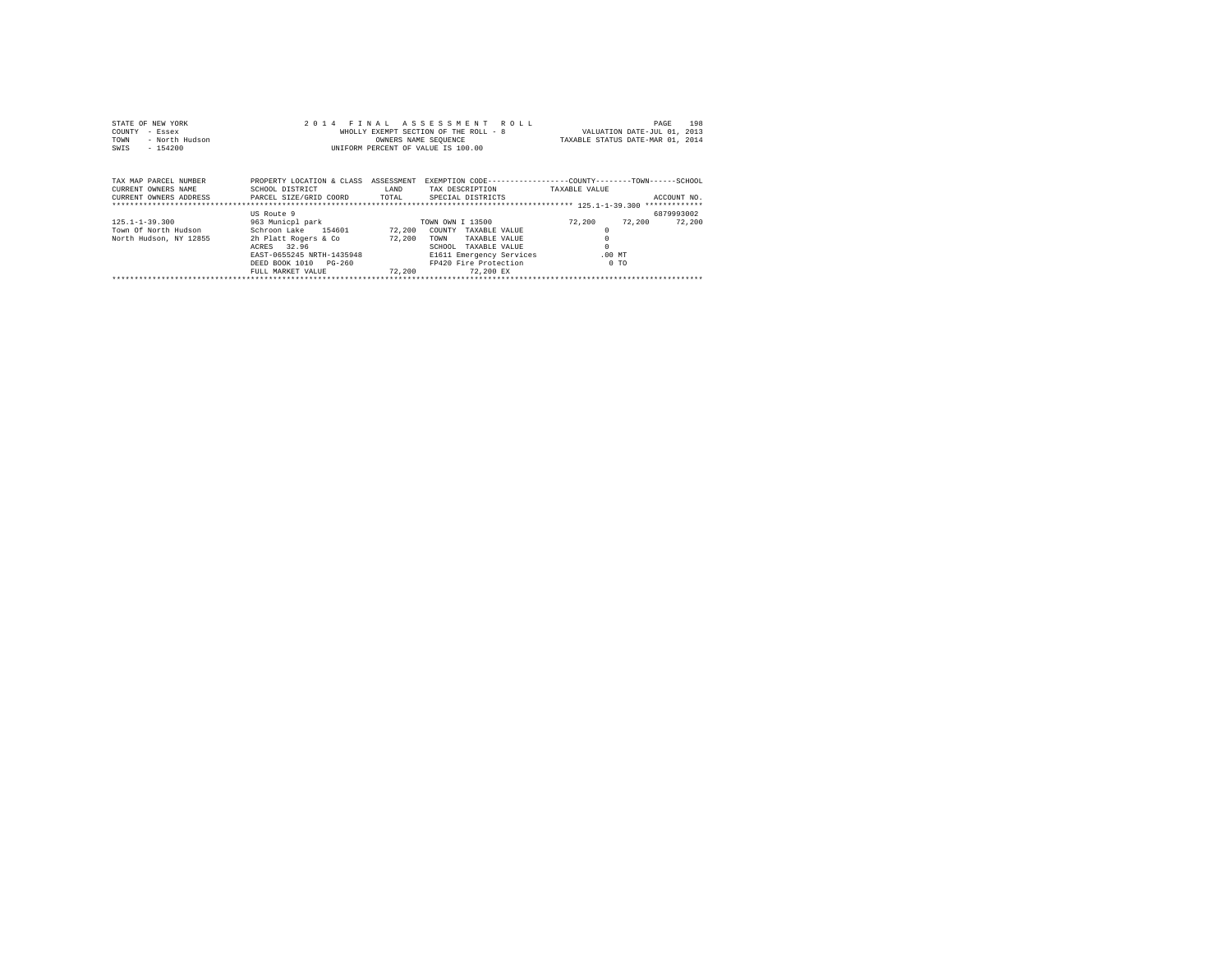| STATE OF NEW YORK<br>COUNTY<br>- Essex<br>- North Hudson<br>TOWN<br>$-154200$<br>SWIS         |                                                         | OWNERS NAME SEQUENCE | 2014 FINAL ASSESSMENT ROLL<br>WHOLLY EXEMPT SECTION OF THE ROLL - 8<br>INIFORM PERCENT OF VALUE IS 100.00 |                | 198<br>PAGE<br>VALUATION DATE-JUL 01, 2013<br>TAXABLE STATUS DATE-MAR 01, 2014 |
|-----------------------------------------------------------------------------------------------|---------------------------------------------------------|----------------------|-----------------------------------------------------------------------------------------------------------|----------------|--------------------------------------------------------------------------------|
| TAX MAP PARCEL NUMBER<br>CURRENT OWNERS NAME<br>CURRENT OWNERS ADDRESS PARCEL SIZE/GRID COORD | PROPERTY LOCATION & CLASS ASSESSMENT<br>SCHOOL DISTRICT | LAND<br>TOTAL        | EXEMPTION CODE-----------------COUNTY-------TOWN------SCHOOL<br>TAX DESCRIPTION<br>SPECIAL DISTRICTS      | TAXABLE VALUE  | ACCOUNT NO.                                                                    |
|                                                                                               | US Route 9                                              |                      |                                                                                                           |                | 6879993002                                                                     |
| $125.1 - 1 - 39.300$                                                                          | 963 Municpl park 60 TOWN OWN I 13500                    |                      |                                                                                                           | 72.200         | 72,200<br>72,200                                                               |
| Town Of North Hudson                                                                          | Schroon Lake 154601                                     | 72,200               | COUNTY<br>TAXABLE VALUE                                                                                   | $^{\circ}$     |                                                                                |
| North Hudson, NY 12855                                                                        | 2h Platt Rogers & Co<br>32.96<br>ACRES                  | 72,200               | TOWN<br>TAXABLE VALUE<br>SCHOOL<br>TAXABLE VALUE                                                          | $\Omega$       |                                                                                |
|                                                                                               | EAST-0655245 NRTH-1435948                               |                      | E1611 Emergency Services                                                                                  | $.00$ MT       |                                                                                |
|                                                                                               | PG-260<br>DEED BOOK 1010                                |                      | FP420 Fire Protection                                                                                     | 0 <sub>0</sub> |                                                                                |
|                                                                                               | FULL MARKET VALUE                                       | 72,200               | 72,200 EX                                                                                                 |                |                                                                                |
|                                                                                               |                                                         |                      |                                                                                                           |                |                                                                                |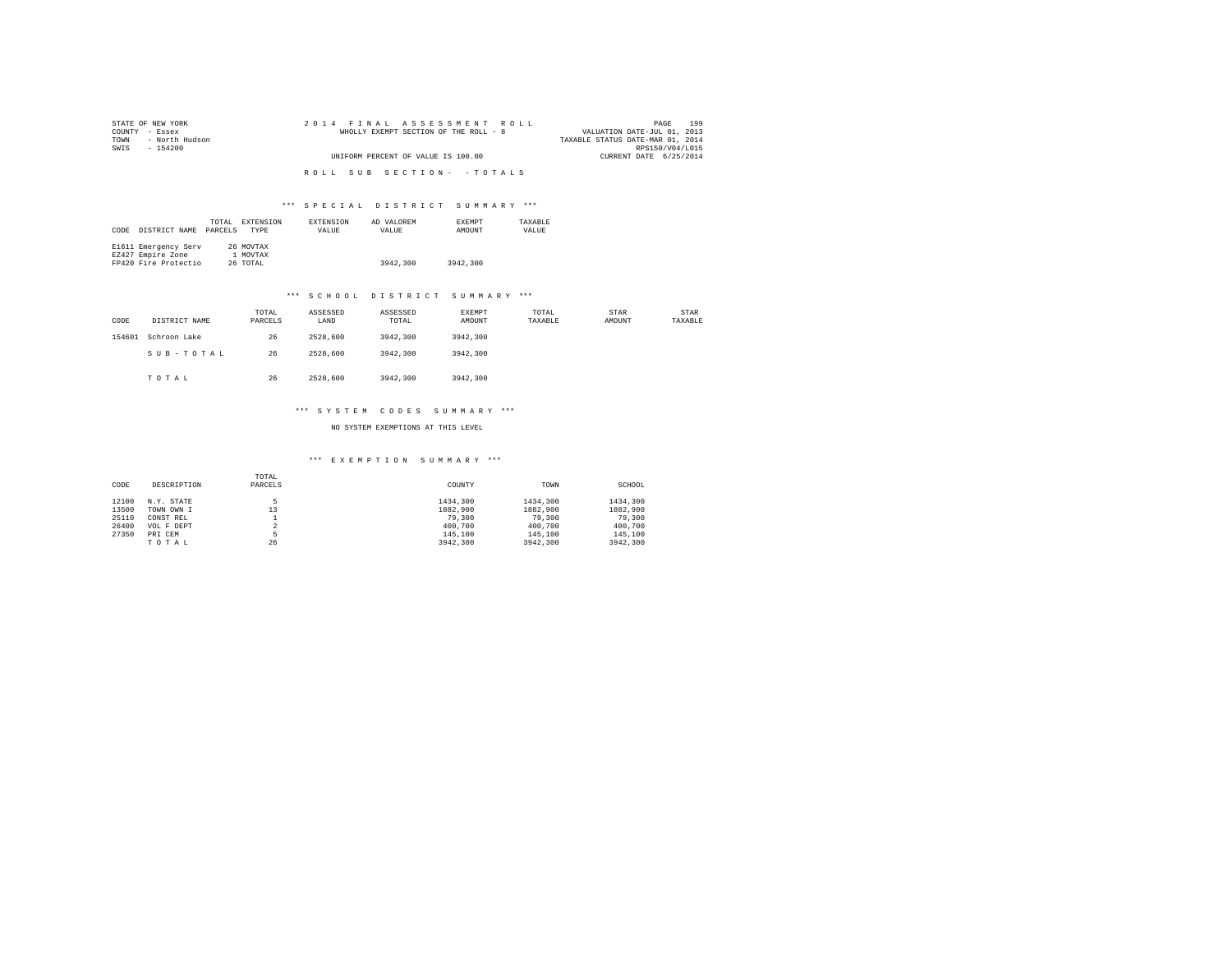| STATE OF NEW YORK   |  | 2014 FINAL ASSESSMENT ROLL            |  |  |                                  | PAGE            | 199 |
|---------------------|--|---------------------------------------|--|--|----------------------------------|-----------------|-----|
| COUNTY - Essex      |  | WHOLLY EXEMPT SECTION OF THE ROLL - 8 |  |  | VALUATION DATE-JUL 01, 2013      |                 |     |
| TOWN - North Hudson |  |                                       |  |  | TAXABLE STATUS DATE-MAR 01, 2014 |                 |     |
| SWIS<br>- 154200    |  |                                       |  |  |                                  | RPS150/V04/L015 |     |
|                     |  | UNIFORM PERCENT OF VALUE IS 100.00    |  |  | CURRENT DATE 6/25/2014           |                 |     |
|                     |  |                                       |  |  |                                  |                 |     |
|                     |  | ROLL SUB SECTION- - TOTALS            |  |  |                                  |                 |     |

| CODE | DISTRICT NAME                                                     | TOTAL<br>PARCELS | EXTENSION<br>TYPE                 | EXTENSION<br>VALUE | AD VALOREM<br>VALUE | EXEMPT<br>AMOUNT | TAXABLE<br>VALUE |
|------|-------------------------------------------------------------------|------------------|-----------------------------------|--------------------|---------------------|------------------|------------------|
|      | E1611 Emergency Serv<br>EZ427 Empire Zone<br>FP420 Fire Protectio |                  | 26 MOVTAX<br>1 MOVTAX<br>26 TOTAL |                    | 3942,300            | 3942,300         |                  |

#### \*\*\* S C H O O L D I S T R I C T S U M M A R Y \*\*\*

| CODE   | DISTRICT NAME | TOTAL<br>PARCELS | ASSESSED<br>LAND | ASSESSED<br>TOTAL | EXEMPT<br>AMOUNT | TOTAL<br>TAXABLE | STAR<br>AMOUNT | STAR<br>TAXABLE |
|--------|---------------|------------------|------------------|-------------------|------------------|------------------|----------------|-----------------|
| 154601 | Schroon Lake  | 26               | 2528,600         | 3942,300          | 3942,300         |                  |                |                 |
|        | SUB-TOTAL     | 26               | 2528,600         | 3942,300          | 3942,300         |                  |                |                 |
|        | TOTAL         | 26               | 2528,600         | 3942,300          | 3942,300         |                  |                |                 |

#### \*\*\* SYSTEM CODES SUMMARY \*\*\*

NO SYSTEM EXEMPTIONS AT THIS LEVEL

| CODE  | DESCRIPTION | TOTAL<br>PARCELS | COUNTY   | TOWN     | SCHOOL   |
|-------|-------------|------------------|----------|----------|----------|
| 12100 | N.Y. STATE  | 5                | 1434,300 | 1434,300 | 1434,300 |
| 13500 | TOWN OWN I  | 13               | 1882,900 | 1882,900 | 1882,900 |
| 25110 | CONST REL   |                  | 79,300   | 79,300   | 79,300   |
| 26400 | VOL F DEPT  | 2                | 400,700  | 400,700  | 400,700  |
| 27350 | PRI CEM     | 5                | 145,100  | 145,100  | 145,100  |
|       | TOTAL       | 26               | 3942,300 | 3942,300 | 3942,300 |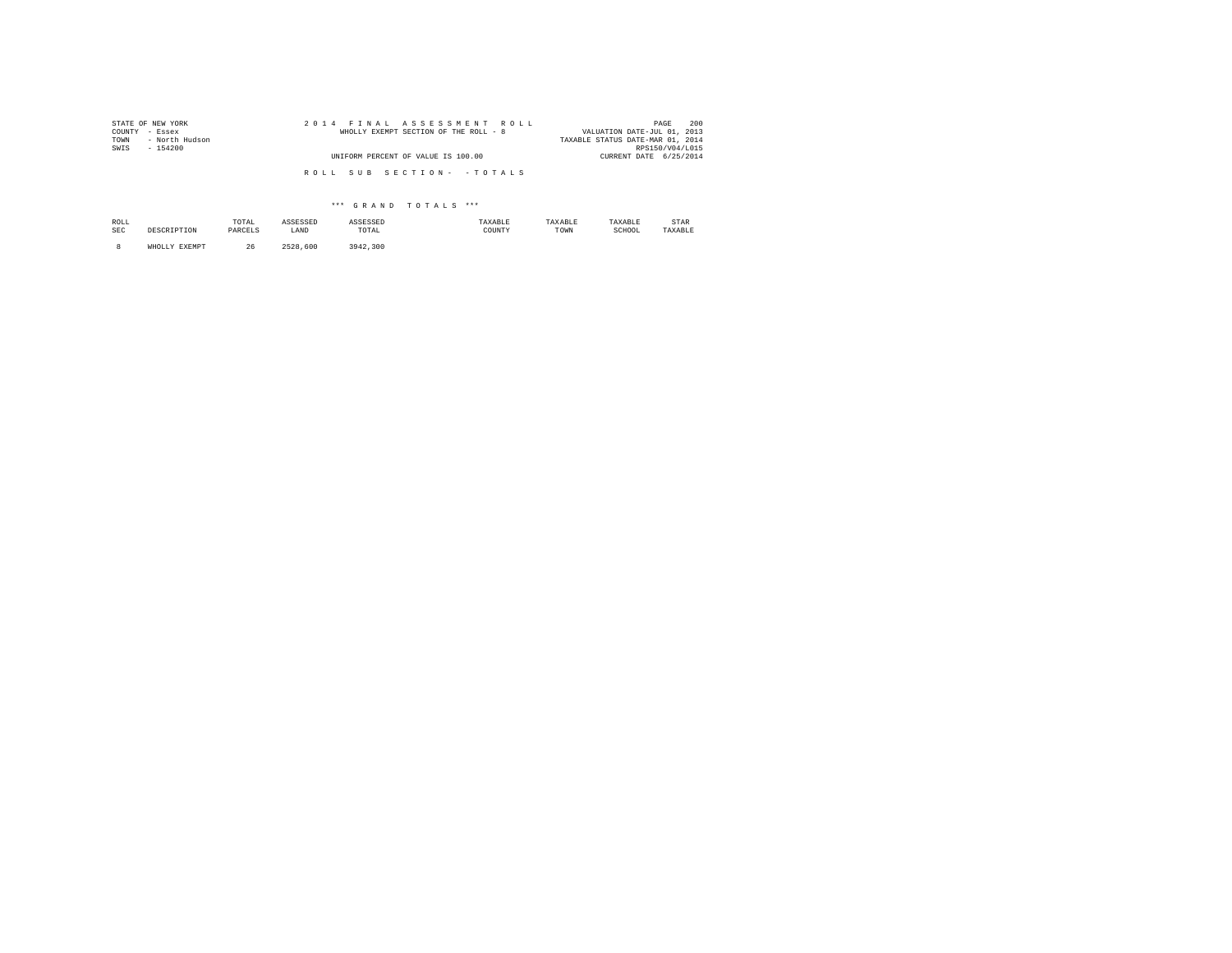| STATE OF NEW YORK      |  |  | 2014 FINAL ASSESSMENT ROLL            |  |  |  |  |  |  | 200<br>PAGE                      |
|------------------------|--|--|---------------------------------------|--|--|--|--|--|--|----------------------------------|
| COUNTY<br>- Essex      |  |  | WHOLLY EXEMPT SECTION OF THE ROLL - 8 |  |  |  |  |  |  | VALUATION DATE-JUL 01, 2013      |
| - North Hudson<br>TOWN |  |  |                                       |  |  |  |  |  |  | TAXABLE STATUS DATE-MAR 01, 2014 |
| SWIS<br>$-154200$      |  |  |                                       |  |  |  |  |  |  | RPS150/V04/L015                  |
|                        |  |  | UNIFORM PERCENT OF VALUE IS 100.00    |  |  |  |  |  |  | CURRENT DATE 6/25/2014           |
|                        |  |  |                                       |  |  |  |  |  |  |                                  |
|                        |  |  | ROLL SUB SECTION- - TOTALS            |  |  |  |  |  |  |                                  |
|                        |  |  |                                       |  |  |  |  |  |  |                                  |

| ROLL<br>SEC | <b>DESCRIPTON</b>       | TOTAL<br>the contract of the contract of the<br>PARCELS | ASSESSED<br>LAND | ASSESSED<br>TOTAL<br>the contract of the contract of the | TAXABLE<br>COUNTY | TAXABLE<br>TOWN | TAXABLE<br>SCHOOL | STAR<br>TAXABLE |
|-------------|-------------------------|---------------------------------------------------------|------------------|----------------------------------------------------------|-------------------|-----------------|-------------------|-----------------|
|             | <b>EXEMPT</b><br>WHOLLY | 26                                                      | .600<br>つちつ良     | 3942.300                                                 |                   |                 |                   |                 |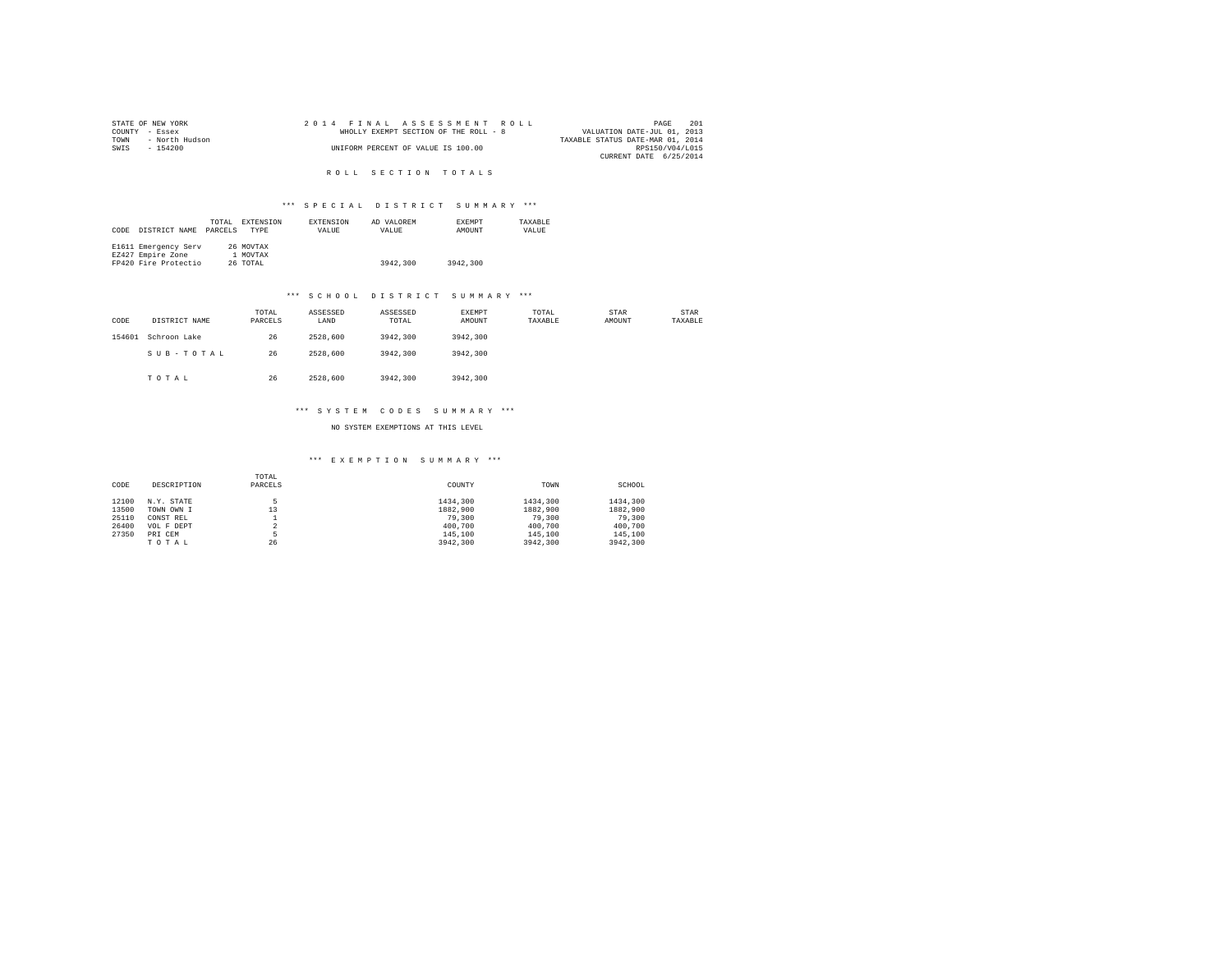|                | STATE OF NEW YORK |  | 2014 FINAL ASSESSMENT ROLL            | PAGE                             | 201 |
|----------------|-------------------|--|---------------------------------------|----------------------------------|-----|
| COUNTY - Essex |                   |  | WHOLLY EXEMPT SECTION OF THE ROLL - 8 | VALUATION DATE-JUL 01, 2013      |     |
| TOWN           | - North Hudson    |  |                                       | TAXABLE STATUS DATE-MAR 01, 2014 |     |
| SWIS           | - 154200          |  | UNIFORM PERCENT OF VALUE IS 100.00    | RPS150/V04/L015                  |     |
|                |                   |  |                                       | CURRENT DATE 6/25/2014           |     |

R O L L S E C T I O N T O T A L S

## \*\*\* S P E C I A L D I S T R I C T S U M M A R Y \*\*\*

| CODE | DISTRICT NAME                                                     | TOTAL<br>PARCELS | EXTENSION<br>TYPE                 | EXTENSION<br>VALUE | AD VALOREM<br>VALUE | EXEMPT<br>AMOUNT | TAXABLE<br>VALUE |
|------|-------------------------------------------------------------------|------------------|-----------------------------------|--------------------|---------------------|------------------|------------------|
|      | E1611 Emergency Serv<br>EZ427 Empire Zone<br>FP420 Fire Protectio |                  | 26 MOVTAX<br>1 MOVTAX<br>26 TOTAL |                    | 3942,300            | 3942,300         |                  |

#### \*\*\* S C H O O L D I S T R I C T S U M M A R Y \*\*\*

| CODE   | DISTRICT NAME | TOTAL<br>PARCELS | ASSESSED<br>LAND | ASSESSED<br>TOTAL | <b>EXEMPT</b><br>AMOUNT | TOTAL<br>TAXABLE | STAR<br>AMOUNT | STAR<br>TAXABLE |
|--------|---------------|------------------|------------------|-------------------|-------------------------|------------------|----------------|-----------------|
| 154601 | Schroon Lake  | 26               | 2528,600         | 3942,300          | 3942,300                |                  |                |                 |
|        | SUB-TOTAL     | 26               | 2528,600         | 3942,300          | 3942,300                |                  |                |                 |
|        | TOTAL         | 26               | 2528,600         | 3942,300          | 3942,300                |                  |                |                 |

#### \*\*\* S Y S T E M C O D E S S U M M A R Y \*\*\*

NO SYSTEM EXEMPTIONS AT THIS LEVEL

| CODE  | DESCRIPTION | TOTAL<br>PARCELS | COUNTY   | TOWN     | SCHOOL   |
|-------|-------------|------------------|----------|----------|----------|
| 12100 | N.Y. STATE  |                  | 1434,300 | 1434,300 | 1434,300 |
| 13500 | TOWN OWN I  | 13               | 1882,900 | 1882,900 | 1882,900 |
| 25110 | CONST REL   |                  | 79,300   | 79,300   | 79,300   |
| 26400 | VOL F DEPT  | $\sim$<br>∡      | 400,700  | 400,700  | 400,700  |
| 27350 | PRI CEM     |                  | 145,100  | 145,100  | 145,100  |
|       | TOTAL       | 26               | 3942,300 | 3942,300 | 3942,300 |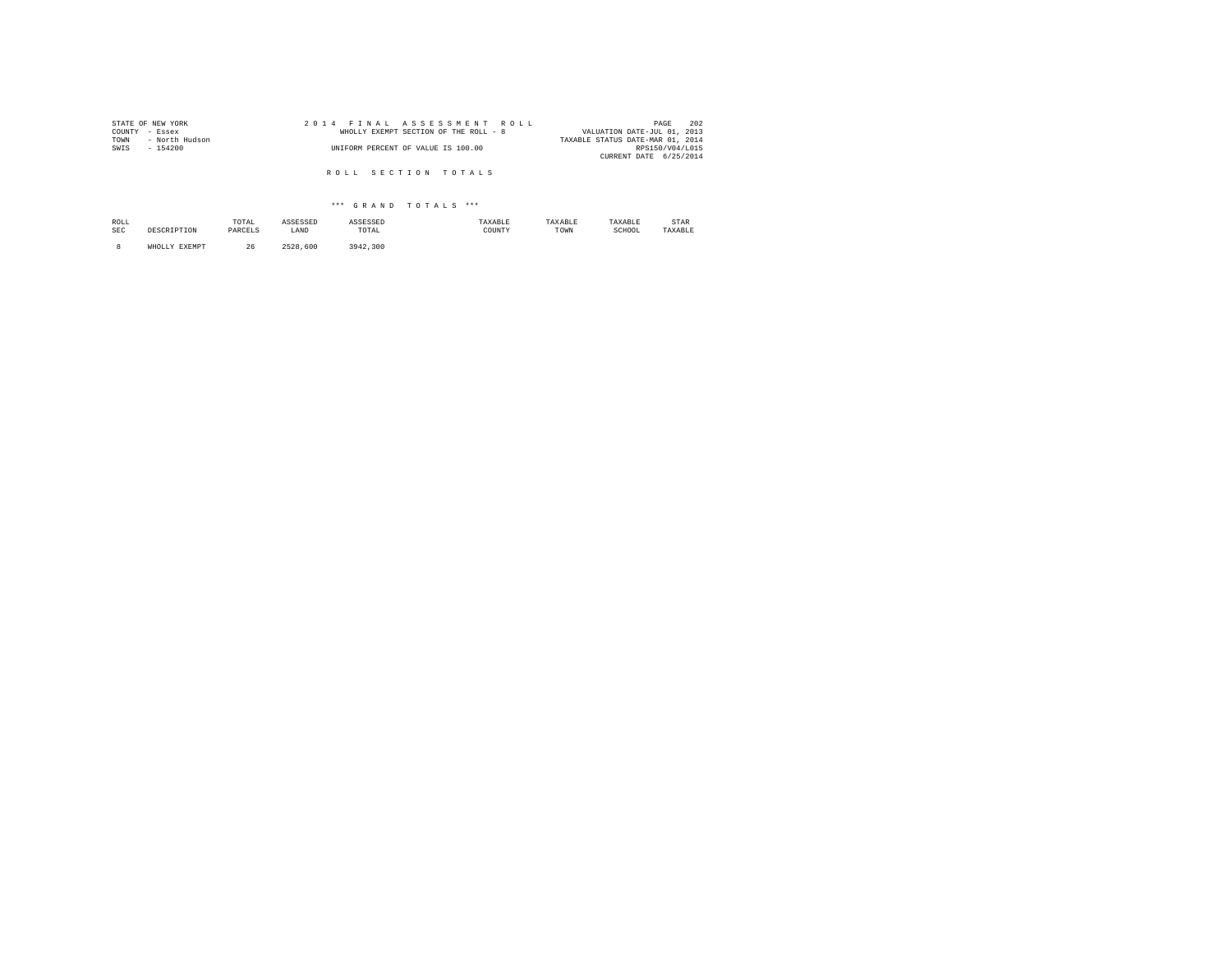| STATE OF NEW YORK      |  | 2014 FINAL ASSESSMENT ROLL            | 202<br>PAGE                      |
|------------------------|--|---------------------------------------|----------------------------------|
| COUNTY - Essex         |  | WHOLLY EXEMPT SECTION OF THE ROLL - 8 | VALUATION DATE-JUL 01, 2013      |
| TOWN<br>- North Hudson |  |                                       | TAXABLE STATUS DATE-MAR 01, 2014 |
| SWIS<br>$-154200$      |  | UNIFORM PERCENT OF VALUE IS 100.00    | RPS150/V04/L015                  |
|                        |  |                                       | CURRENT DATE 6/25/2014           |
|                        |  |                                       |                                  |
|                        |  | ROLL SECTION TOTALS                   |                                  |

| ROLL<br>SEC | <b>DRCODIDTON</b><br>- - - - - | TOTAL<br>the contract of the contract of the contract of<br>PARCELS<br>_______ | ecrectn<br>LAND    | ASSESSED<br>TOTAL<br>the contract of the contract of the contract of | TAXABLE<br>COUNTY<br>. | TAXABLE<br>TOWN | TAXABLE<br>SCHOOL<br>. | STAR<br>TAXABLE |
|-------------|--------------------------------|--------------------------------------------------------------------------------|--------------------|----------------------------------------------------------------------|------------------------|-----------------|------------------------|-----------------|
|             | <b>EXEMPT</b>                  | 26                                                                             | 600<br><b>SEOO</b> | 942.300                                                              |                        |                 |                        |                 |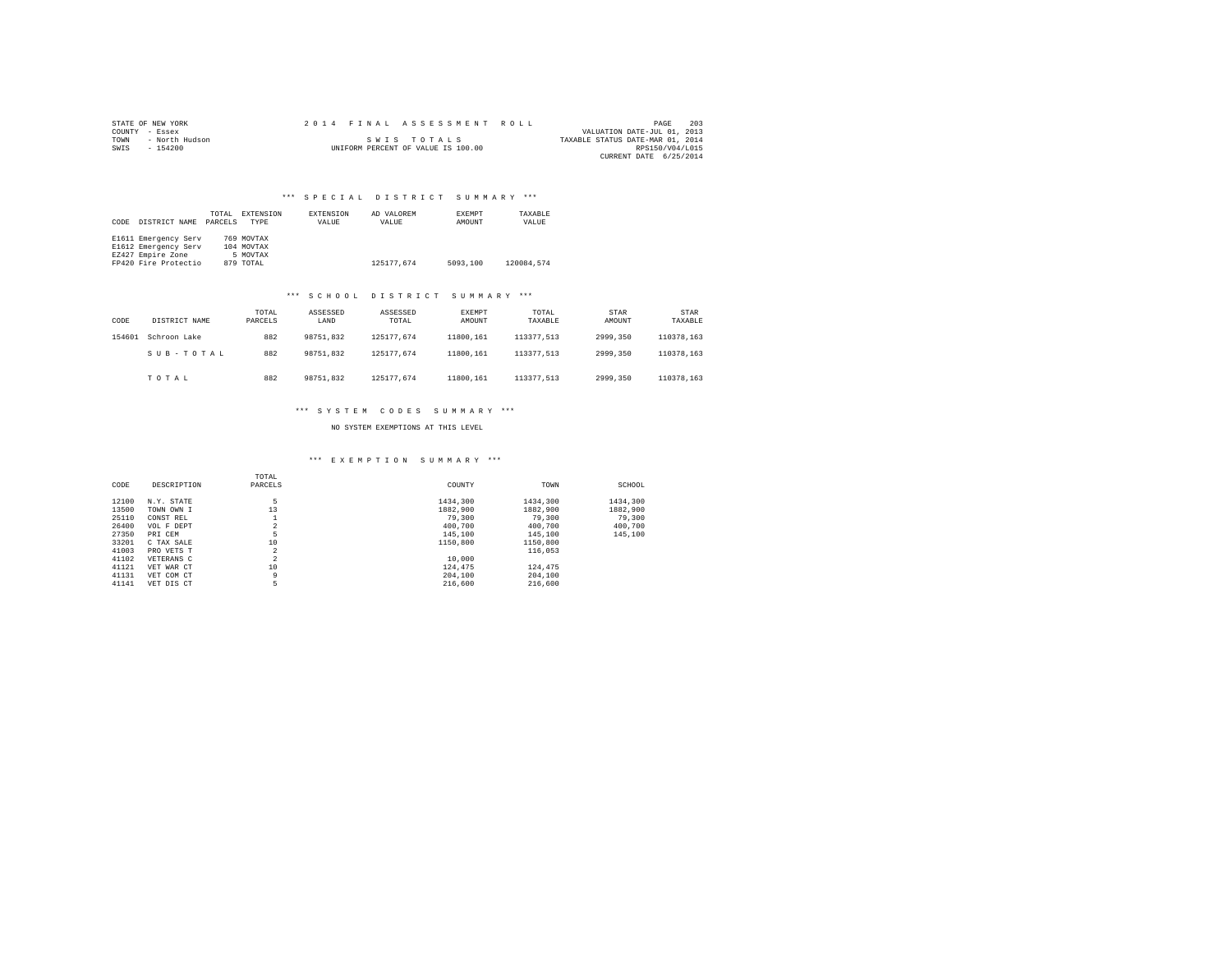| STATE OF NEW YORK |                |  |  |  |  |                                    |  |  |  | 2014 FINAL ASSESSMENT ROLL |                                  | PAGE                   | 203 |
|-------------------|----------------|--|--|--|--|------------------------------------|--|--|--|----------------------------|----------------------------------|------------------------|-----|
| COUNTY - Essex    |                |  |  |  |  |                                    |  |  |  |                            | VALUATION DATE-JUL 01, 2013      |                        |     |
| TOWN              | - North Hudson |  |  |  |  | SWIS TOTALS                        |  |  |  |                            | TAXABLE STATUS DATE-MAR 01, 2014 |                        |     |
| SWIS              | $-154200$      |  |  |  |  | UNIFORM PERCENT OF VALUE IS 100.00 |  |  |  |                            |                                  | RPS150/V04/L015        |     |
|                   |                |  |  |  |  |                                    |  |  |  |                            |                                  | CURRENT DATE 6/25/2014 |     |

| CODE | DISTRICT NAME        | TOTAL<br>PARCELS | EXTENSION<br><b>TYPE</b> | EXTENSION<br>VALUE | AD VALOREM<br>VALUE | EXEMPT<br>AMOUNT | TAXABLE<br>VALUE |  |
|------|----------------------|------------------|--------------------------|--------------------|---------------------|------------------|------------------|--|
|      | E1611 Emergency Serv |                  | 769 MOVTAX               |                    |                     |                  |                  |  |
|      | E1612 Emergency Serv |                  | 104 MOVTAX               |                    |                     |                  |                  |  |
|      | EZ427 Empire Zone    |                  | 5 MOVTAX                 |                    |                     |                  |                  |  |
|      | FP420 Fire Protectio |                  | 879 TOTAL                |                    | 125177.674          | 5093,100         | 120084.574       |  |

#### \*\*\* S C H O O L D I S T R I C T S U M M A R Y \*\*\*

| CODE   | DISTRICT NAME | TOTAL<br>PARCELS | ASSESSED<br>LAND | ASSESSED<br>TOTAL | EXEMPT<br>AMOUNT | TOTAL<br>TAXABLE | STAR<br>AMOUNT | STAR<br>TAXABLE |
|--------|---------------|------------------|------------------|-------------------|------------------|------------------|----------------|-----------------|
| 154601 | Schroon Lake  | 882              | 98751.832        | 125177.674        | 11800.161        | 113377.513       | 2999.350       | 110378.163      |
|        | SUB-TOTAL     | 882              | 98751.832        | 125177.674        | 11800.161        | 113377.513       | 2999.350       | 110378.163      |
|        | TOTAL         | 882              | 98751.832        | 125177.674        | 11800.161        | 113377.513       | 2999.350       | 110378.163      |

#### \*\*\* S Y S T E M C O D E S S U M M A R Y \*\*\*

NO SYSTEM EXEMPTIONS AT THIS LEVEL

|       |             | TOTAL          |          |          |          |
|-------|-------------|----------------|----------|----------|----------|
| CODE  | DESCRIPTION | PARCELS        | COUNTY   | TOWN     | SCHOOL   |
| 12100 | N.Y. STATE  | 5              | 1434,300 | 1434,300 | 1434,300 |
| 13500 | TOWN OWN I  | 13             | 1882,900 | 1882,900 | 1882,900 |
| 25110 | CONST REL   |                | 79,300   | 79,300   | 79,300   |
| 26400 | VOL F DEPT  | $\overline{a}$ | 400,700  | 400,700  | 400,700  |
| 27350 | PRI CEM     | 5              | 145,100  | 145,100  | 145,100  |
| 33201 | C TAX SALE  | 10             | 1150,800 | 1150,800 |          |
| 41003 | PRO VETS T  | 2              |          | 116,053  |          |
| 41102 | VETERANS C  | $\overline{2}$ | 10,000   |          |          |
| 41121 | VET WAR CT  | 10             | 124,475  | 124,475  |          |
| 41131 | VET COM CT  | 9              | 204,100  | 204,100  |          |
| 41141 | VET DIS CT  | 5              | 216,600  | 216,600  |          |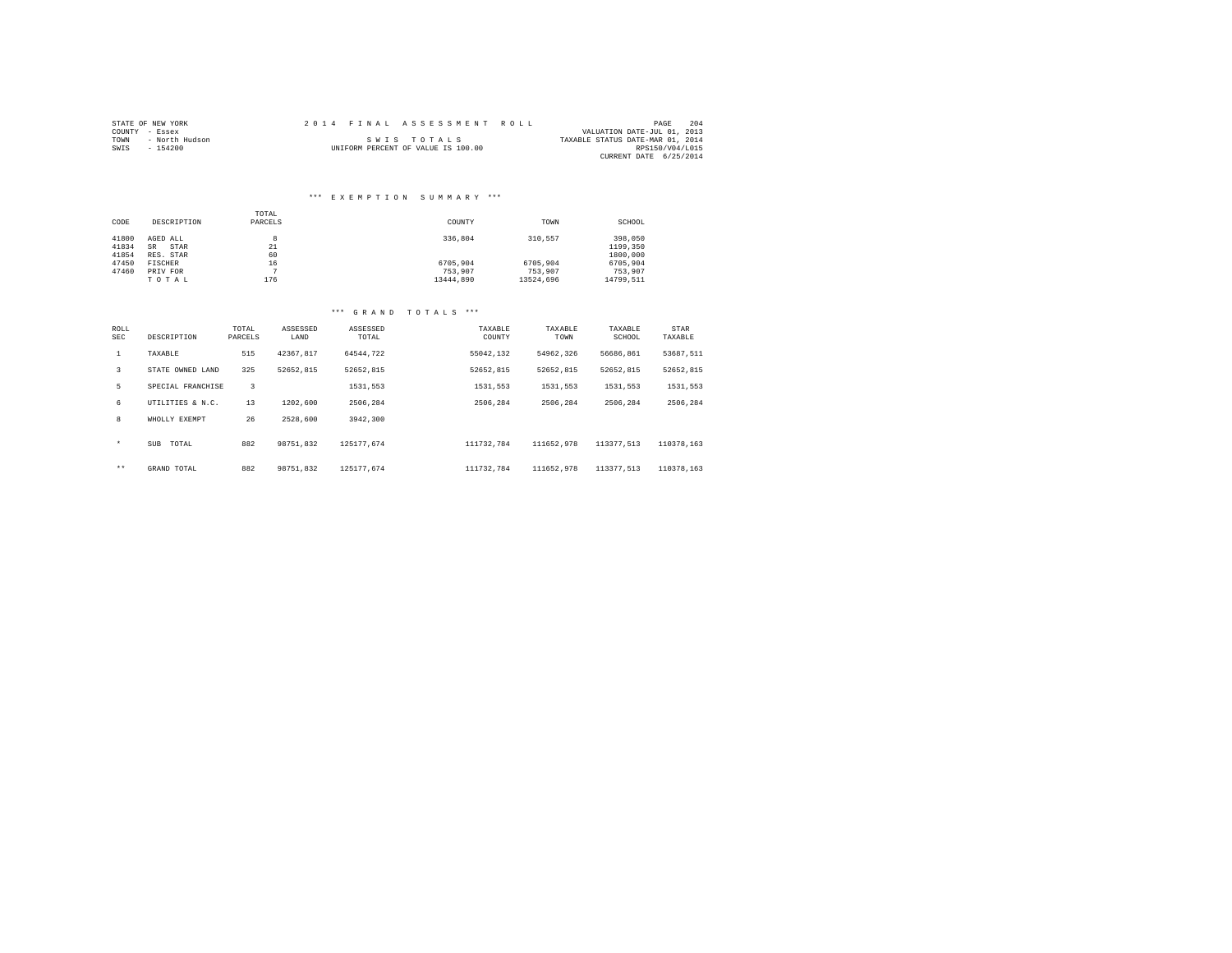|                | STATE OF NEW YORK |  | 2014 FINAL ASSESSMENT ROLL         |                                  | PAGE            | 204 |
|----------------|-------------------|--|------------------------------------|----------------------------------|-----------------|-----|
| COUNTY - Essex |                   |  |                                    | VALUATION DATE-JUL 01, 2013      |                 |     |
| TOWN           | - North Hudson    |  | SWIS TOTALS                        | TAXABLE STATUS DATE-MAR 01, 2014 |                 |     |
| SWIS           | $-154200$         |  | UNIFORM PERCENT OF VALUE IS 100.00 |                                  | RPS150/V04/L015 |     |
|                |                   |  |                                    | CURRENT DATE 6/25/2014           |                 |     |

## \*\*\* E X E M P T I O N S U M M A R Y \*\*\*

|       |             | TOTAL   |           |           |           |
|-------|-------------|---------|-----------|-----------|-----------|
| CODE  | DESCRIPTION | PARCELS | COUNTY    | TOWN      | SCHOOL    |
|       |             |         |           |           |           |
| 41800 | AGED ALL    | 8       | 336,804   | 310.557   | 398,050   |
| 41834 | STAR<br>SR  | 21      |           |           | 1199,350  |
| 41854 | RES. STAR   | 60      |           |           | 1800,000  |
| 47450 | FISCHER     | 16      | 6705.904  | 6705.904  | 6705.904  |
| 47460 | PRIV FOR    | ÷       | 753.907   | 753.907   | 753.907   |
|       | TOTAL       | 176     | 13444.890 | 13524.696 | 14799.511 |

| ROLL<br><b>SEC</b> | DESCRIPTION       | TOTAL<br>PARCELS | ASSESSED<br>LAND | ASSESSED<br>TOTAL | TAXABLE<br>COUNTY | TAXABLE<br>TOWN | TAXABLE<br>SCHOOL | STAR<br>TAXABLE |
|--------------------|-------------------|------------------|------------------|-------------------|-------------------|-----------------|-------------------|-----------------|
| $\mathbf{1}$       | TAXABLE           | 515              | 42367.817        | 64544.722         | 55042.132         | 54962.326       | 56686.861         | 53687.511       |
| 3                  | STATE OWNED LAND  | 325              | 52652.815        | 52652.815         | 52652.815         | 52652.815       | 52652.815         | 52652.815       |
| 5                  | SPECIAL FRANCHISE | 3                |                  | 1531,553          | 1531.553          | 1531.553        | 1531.553          | 1531,553        |
| 6                  | UTILITIES & N.C.  | 13               | 1202,600         | 2506.284          | 2506.284          | 2506.284        | 2506.284          | 2506.284        |
| 8                  | WHOLLY EXEMPT     | 26               | 2528,600         | 3942,300          |                   |                 |                   |                 |
| $\star$            | SUB<br>TOTAL      | 882              | 98751.832        | 125177.674        | 111732.784        | 111652.978      | 113377.513        | 110378.163      |
| $***$              | GRAND TOTAL       | 882              | 98751.832        | 125177.674        | 111732.784        | 111652.978      | 113377.513        | 110378.163      |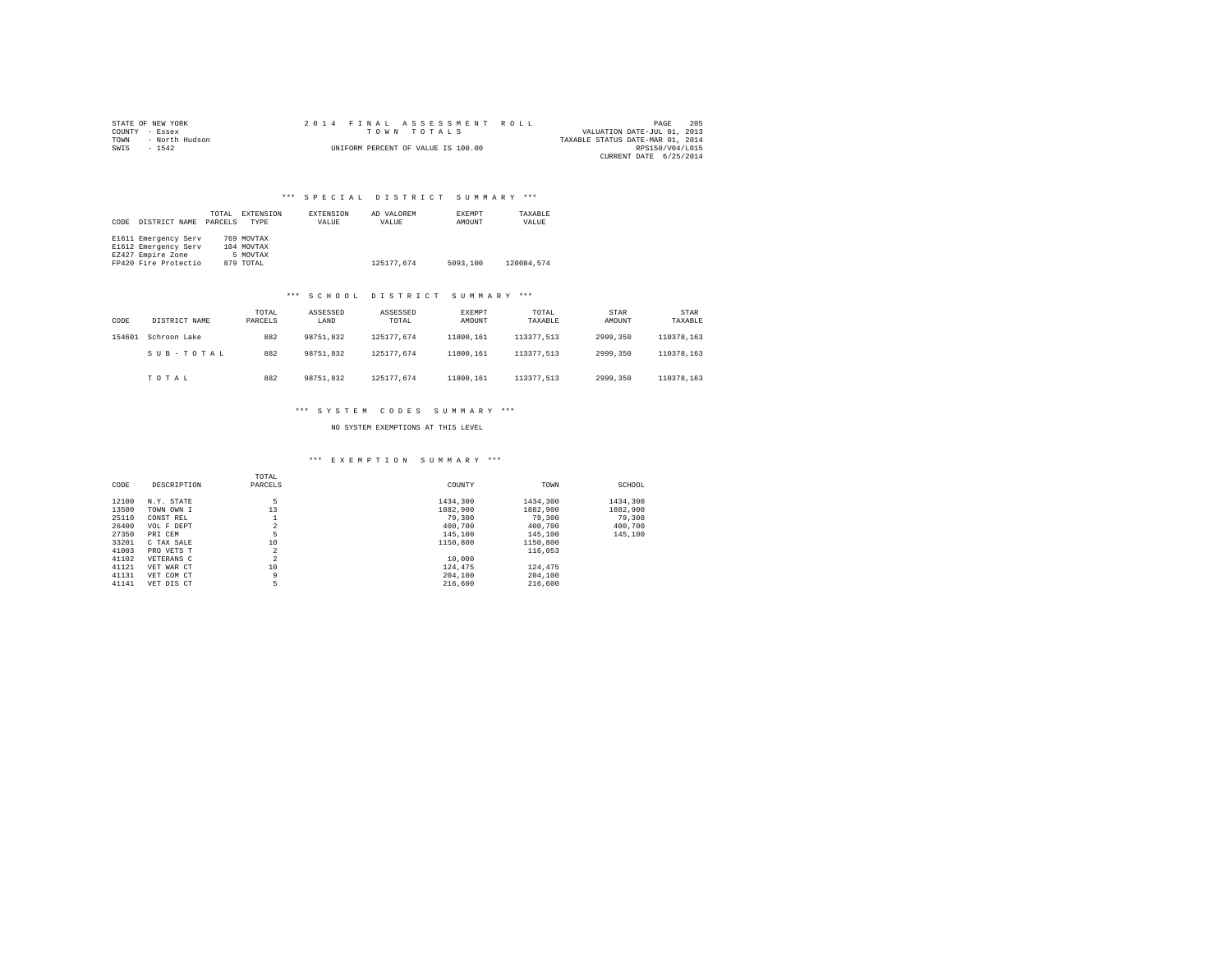|                | STATE OF NEW YORK |  |  |  | 2014 FINAL ASSESSMENT ROLL         |  |                                  | PAGE                   | 205 |
|----------------|-------------------|--|--|--|------------------------------------|--|----------------------------------|------------------------|-----|
| COUNTY - Essex |                   |  |  |  | TOWN TOTALS                        |  | VALUATION DATE-JUL 01, 2013      |                        |     |
| TOWN           | - North Hudson    |  |  |  |                                    |  | TAXABLE STATUS DATE-MAR 01, 2014 |                        |     |
| SWIS           | $-1542$           |  |  |  | UNIFORM PERCENT OF VALUE IS 100.00 |  |                                  | RPS150/V04/L015        |     |
|                |                   |  |  |  |                                    |  |                                  | CURRENT DATE 6/25/2014 |     |

| CODE | DISTRICT NAME        | TOTAL<br>PARCELS | EXTENSION<br><b>TYPE</b> | EXTENSION<br>VALUE | AD VALOREM<br>VALUE | EXEMPT<br>AMOUNT | TAXABLE<br>VALUE |  |
|------|----------------------|------------------|--------------------------|--------------------|---------------------|------------------|------------------|--|
|      | E1611 Emergency Serv |                  | 769 MOVTAX               |                    |                     |                  |                  |  |
|      | E1612 Emergency Serv |                  | 104 MOVTAX               |                    |                     |                  |                  |  |
|      | EZ427 Empire Zone    |                  | 5 MOVTAX                 |                    |                     |                  |                  |  |
|      | FP420 Fire Protectio |                  | 879 TOTAL                |                    | 125177.674          | 5093,100         | 120084.574       |  |

#### \*\*\* S C H O O L D I S T R I C T S U M M A R Y \*\*\*

| CODE   | DISTRICT NAME | TOTAL<br>PARCELS | ASSESSED<br>LAND | ASSESSED<br>TOTAL | EXEMPT<br>AMOUNT | TOTAL<br>TAXABLE | STAR<br>AMOUNT | STAR<br>TAXABLE |
|--------|---------------|------------------|------------------|-------------------|------------------|------------------|----------------|-----------------|
| 154601 | Schroon Lake  | 882              | 98751.832        | 125177.674        | 11800.161        | 113377.513       | 2999.350       | 110378.163      |
|        | SUB-TOTAL     | 882              | 98751.832        | 125177.674        | 11800.161        | 113377.513       | 2999.350       | 110378.163      |
|        | TOTAL         | 882              | 98751.832        | 125177.674        | 11800.161        | 113377.513       | 2999.350       | 110378.163      |

#### \*\*\* S Y S T E M C O D E S S U M M A R Y \*\*\*

NO SYSTEM EXEMPTIONS AT THIS LEVEL

|       |             | TOTAL          |          |          |          |
|-------|-------------|----------------|----------|----------|----------|
| CODE  | DESCRIPTION | PARCELS        | COUNTY   | TOWN     | SCHOOL   |
| 12100 | N.Y. STATE  | 5              | 1434,300 | 1434,300 | 1434,300 |
| 13500 | TOWN OWN I  | 13             | 1882,900 | 1882,900 | 1882,900 |
| 25110 | CONST REL   |                | 79,300   | 79,300   | 79,300   |
| 26400 | VOL F DEPT  | $\overline{a}$ | 400,700  | 400,700  | 400,700  |
| 27350 | PRI CEM     | 5              | 145,100  | 145,100  | 145,100  |
| 33201 | C TAX SALE  | 10             | 1150,800 | 1150,800 |          |
| 41003 | PRO VETS T  | 2              |          | 116,053  |          |
| 41102 | VETERANS C  | $\overline{2}$ | 10,000   |          |          |
| 41121 | VET WAR CT  | 10             | 124,475  | 124,475  |          |
| 41131 | VET COM CT  | 9              | 204,100  | 204,100  |          |
| 41141 | VET DIS CT  | 5              | 216,600  | 216,600  |          |